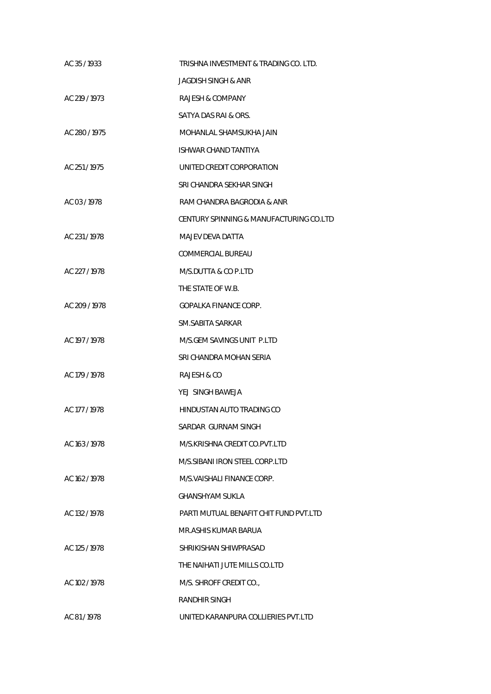| AC 35/1933    | TRISHNA INVESTMENT & TRADING CO. LTD.   |
|---------------|-----------------------------------------|
|               | JAGDISH SINGH & ANR                     |
| AC 219 / 1973 | RAJESH & COMPANY                        |
|               | SATYA DAS RAI & ORS.                    |
| AC 280/1975   | MOHANLAL SHAMSUKHA JAIN                 |
|               | ISHWAR CHAND TANTIYA                    |
| AC 251/1975   | UNITED CREDIT CORPORATION               |
|               | SRI CHANDRA SEKHAR SINGH                |
| AC 03/1978    | RAM CHANDRA BAGRODIA & ANR              |
|               | CENTURY SPINNING & MANUFACTURING CO.LTD |
| AC 231/1978   | MAJEV DEVA DATTA                        |
|               | COMMERCIAL BUREAU                       |
| AC 227 / 1978 | M/S.DUTTA & CO P.LTD                    |
|               | THE STATE OF W.B.                       |
| AC 209 / 1978 | GOPALKA FINANCE CORP.                   |
|               | SM.SABITA SARKAR                        |
| AC 197 / 1978 | M/S.GEM SAVINGS UNIT P.LTD              |
|               | SRI CHANDRA MOHAN SERIA                 |
| AC 179 / 1978 | RAJESH & CO                             |
|               | YEJ SINGH BAWEJA                        |
| AC 177 / 1978 | HINDUSTAN AUTO TRADING CO               |
|               | SARDAR GURNAM SINGH                     |
| AC 163 / 1978 | M/S.KRISHNA CREDIT CO.PVT.LTD           |
|               | M/S.SIBANI IRON STEEL CORP.LTD          |
| AC 162 / 1978 | M/S.VAISHALI FINANCE CORP.              |
|               | GHANSHYAM SUKLA                         |
| AC 132 / 1978 | PARTI MUTUAL BENAFIT CHIT FUND PVT LTD  |
|               | MR.ASHIS KUMAR BARUA                    |
| AC 125 / 1978 | SHRIKISHAN SHIWPRASAD                   |
|               | THE NAIHATI JUTE MILLS CO.LTD           |
| AC 102 / 1978 | M/S. SHROFF CREDIT CO.,                 |
|               | RANDHIR SINGH                           |
| AC 81/1978    | UNITED KARANPURA COLLIERIES PVT.LTD     |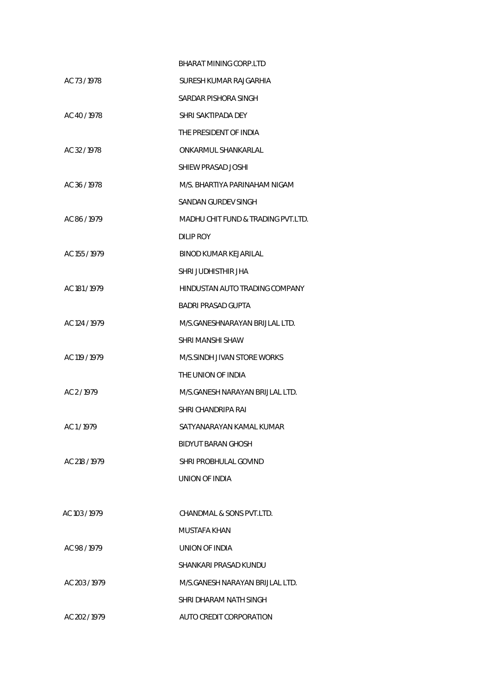|               | BHARAT MINING CORP.LTD             |
|---------------|------------------------------------|
| AC 73/1978    | SURESH KUMAR RAJGARHIA             |
|               | SARDAR PISHORA SINGH               |
| AC 40/1978    | SHRI SAKTIPADA DEY                 |
|               | THE PRESIDENT OF INDIA             |
| AC 32/1978    | ONKARMUL SHANKARLAL                |
|               | SHIEW PRASAD JOSHI                 |
| AC 36 / 1978  | M/S. BHARTIYA PARINAHAM NIGAM      |
|               | SANDAN GURDEV SINGH                |
| AC 86/1979    | MADHU CHIT FUND & TRADING PVT.LTD. |
|               | DILIP ROY                          |
| AC 155 / 1979 | BINOD KUMAR KEJARILAL              |
|               | SHRI JUDHISTHIR JHA                |
| AC 181/1979   | HINDUSTAN AUTO TRADING COMPANY     |
|               | BADRI PRASAD GUPTA                 |
| AC 124 / 1979 | M/S.GANESHNARAYAN BRIJLAL LTD.     |
|               | SHRI MANSHI SHAW                   |
| AC 119 / 1979 | M/S.SINDH JIVAN STORE WORKS        |
|               | THE UNION OF INDIA                 |
| AC 2/1979     | M/S.GANESH NARAYAN BRIJLAL LTD.    |
|               | SHRI CHANDRIPA RAI                 |
| AC 1/1979     | SATYANARAYAN KAMAL KUMAR           |
|               | BIDYUT BARAN GHOSH                 |
| AC 218 / 1979 | SHRI PROBHULAL GOVIND              |
|               | UNION OF INDIA                     |
|               |                                    |
| AC 103/1979   | CHANDMAL & SONS PVT.LTD.           |
|               | MUSTAFA KHAN                       |
| AC 98/1979    | UNION OF INDIA                     |
|               | SHANKARI PRASAD KUNDU              |
| AC 203 / 1979 | M/S.GANESH NARAYAN BRIJLAL LTD.    |
|               | SHRI DHARAM NATH SINGH             |
| AC 202/1979   | AUTO CREDIT CORPORATION            |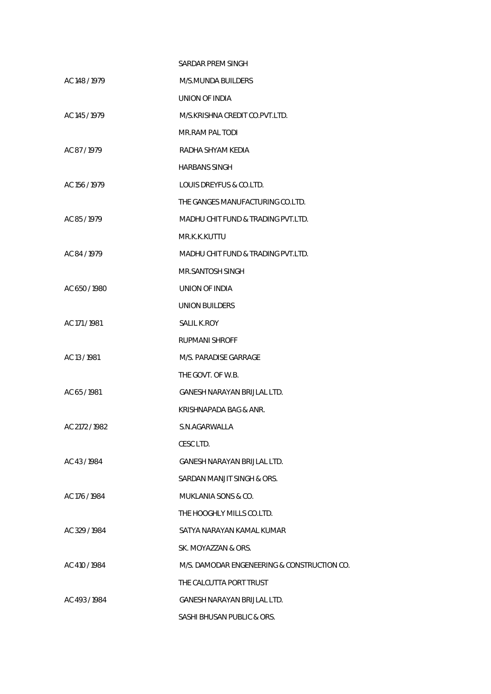|                | SARDAR PREM SINGH                           |
|----------------|---------------------------------------------|
| AC 148 / 1979  | M/S.MUNDA BUILDERS                          |
|                | UNION OF INDIA                              |
| AC 145 / 1979  | M/S.KRISHNA CREDIT CO.PVT.LTD.              |
|                | MR.RAM PAL TODI                             |
| AC 87/1979     | RADHA SHYAM KEDIA                           |
|                | <b>HARBANS SINGH</b>                        |
| AC 156 / 1979  | LOUIS DREYFUS & CO.LTD.                     |
|                | THE GANGES MANUFACTURING CO.LTD.            |
| AC 85/1979     | MADHU CHIT FUND & TRADING PVT.LTD.          |
|                | MR.K.K.KUTTU                                |
| AC 84 / 1979   | MADHU CHIT FUND & TRADING PVT.LTD.          |
|                | MR.SANTOSH SINGH                            |
| AC 650/1980    | UNION OF INDIA                              |
|                | <b>UNION BUILDERS</b>                       |
| AC 171 / 1981  | <b>SALIL K.ROY</b>                          |
|                | <b>RUPMANI SHROFF</b>                       |
| AC 13 / 1981   | M/S. PARADISE GARRAGE                       |
|                | THE GOVT. OF W.B.                           |
| AC 65/1981     | GANESH NARAYAN BRIJLAL LTD.                 |
|                | KRISHNAPADA BAG & ANR.                      |
| AC 2172 / 1982 | S.N.AGARWALLA                               |
|                | CESC LTD.                                   |
| AC 43/1984     | <b>GANESH NARAYAN BRIJLAL LTD.</b>          |
|                | SARDAN MANJIT SINGH & ORS.                  |
| AC 176 / 1984  | MUKLANIA SONS & CO.                         |
|                | THE HOOGHLY MILLS CO.LTD.                   |
| AC 329 / 1984  | SATYA NARAYAN KAMAL KUMAR                   |
|                | SK. MOYAZZAN & ORS.                         |
| AC 410 / 1984  | M/S. DAMODAR ENGENEERING & CONSTRUCTION CO. |
|                | THE CALCUTTA PORT TRUST                     |
| AC 493/1984    | GANESH NARAYAN BRIJLAL LTD.                 |
|                | SASHI BHUSAN PUBLIC & ORS.                  |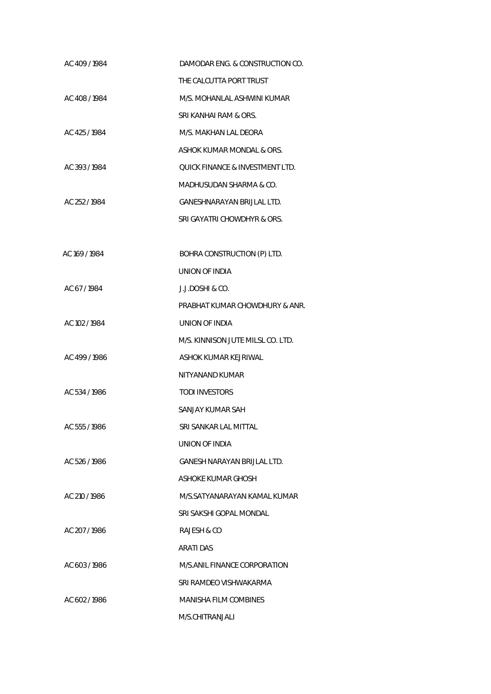| AC 409/1984   | DAMODAR ENG. & CONSTRUCTION CO.   |
|---------------|-----------------------------------|
|               | THE CALCUTTA PORT TRUST           |
| AC 408/1984   | M/S. MOHANLAL ASHWINI KUMAR       |
|               | SRI KANHAI RAM & ORS.             |
| AC 425/1984   | M/S. MAKHAN LAL DEORA             |
|               | ASHOK KUMAR MONDAL & ORS.         |
| AC 393/1984   | QUICK FINANCE & INVESTMENT LTD.   |
|               | MADHUSUDAN SHARMA & CO.           |
| AC 252/1984   | GANESHNARAYAN BRIJLAL LTD.        |
|               | SRI GAYATRI CHOWDHYR & ORS.       |
|               |                                   |
| AC 169 / 1984 | BOHRA CONSTRUCTION (P) LTD.       |
|               | UNION OF INDIA                    |
| AC 67/1984    | J.J.DOSHI & CO.                   |
|               | PRABHAT KUMAR CHOWDHURY & ANR.    |
| AC 102 / 1984 | UNION OF INDIA                    |
|               | M/S. KINNISON JUTE MILSL CO. LTD. |
| AC 499/1986   | ASHOK KUMAR KEJRIWAL              |
|               | NITYANAND KUMAR                   |
| AC 534 / 1986 | <b>TODI INVESTORS</b>             |
|               | SANJAY KUMAR SAH                  |
| AC 555 / 1986 | SRI SANKAR LAL MITTAL             |
|               | UNION OF INDIA                    |
| AC 526 / 1986 | GANESH NARAYAN BRIJLAL LTD.       |
|               | ASHOKE KUMAR GHOSH                |
| AC 210 / 1986 | M/S.SATYANARAYAN KAMAL KUMAR      |
|               | SRI SAKSHI GOPAL MONDAL           |
| AC 207/1986   | RAJESH & CO                       |
|               | ARATI DAS                         |
| AC 603/1986   | M/S.ANIL FINANCE CORPORATION      |
|               | SRI RAMDEO VISHWAKARMA            |
| AC 602/1986   | MANISHA FILM COMBINES             |
|               | M/S.CHITRANJALI                   |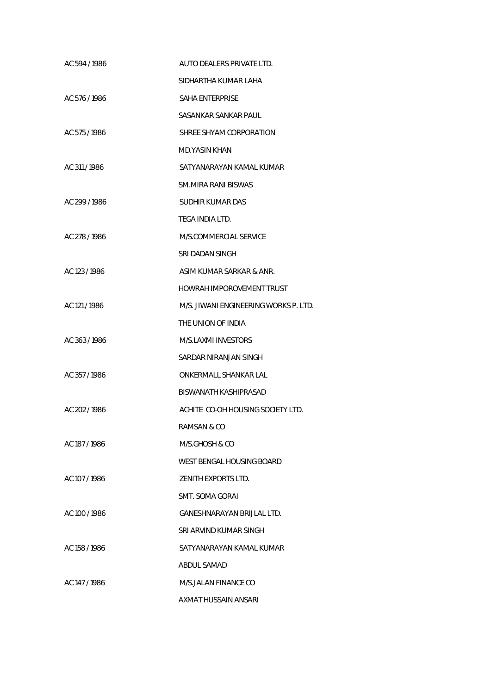| AC 594 / 1986 | AUTO DEALERS PRIVATE LTD.             |
|---------------|---------------------------------------|
|               | SIDHARTHA KUMAR LAHA                  |
| AC 576/1986   | <b>SAHA ENTERPRISE</b>                |
|               | SASANKAR SANKAR PAUL                  |
| AC 575 / 1986 | SHREE SHYAM CORPORATION               |
|               | MD.YASIN KHAN                         |
| AC 311/1986   | SATYANARAYAN KAMAL KUMAR              |
|               | SM.MIRA RANI BISWAS                   |
| AC 299/1986   | SUDHIR KUMAR DAS                      |
|               | TEGA INDIA LTD.                       |
| AC 278 / 1986 | M/S.COMMERCIAL SERVICE                |
|               | SRI DADAN SINGH                       |
| AC 123 / 1986 | ASIM KUMAR SARKAR & ANR.              |
|               | HOWRAH IMPOROVEMENT TRUST             |
| AC 121/1986   | M/S. JIWANI ENGINEERING WORKS P. LTD. |
|               | THE UNION OF INDIA                    |
| AC 363/1986   | M/S.LAXMI INVESTORS                   |
|               | SARDAR NIRANJAN SINGH                 |
| AC 357/1986   | ONKERMALL SHANKAR LAL                 |
|               | BISWANATH KASHIPRASAD                 |
| AC 202/1986   | ACHITE CO-OH HOUSING SOCIETY LTD.     |
|               | RAMSAN & CO                           |
| AC 187 / 1986 | M/S.GHOSH & CO                        |
|               | WEST BENGAL HOUSING BOARD             |
| AC 107 / 1986 | ZENITH EXPORTS LTD.                   |
|               | SMT. SOMA GORAI                       |
| AC 100 / 1986 | GANESHNARAYAN BRIJLAL LTD.            |
|               | SRI ARVIND KUMAR SINGH                |
| AC 158 / 1986 | SATYANARAYAN KAMAL KUMAR              |
|               | ABDUL SAMAD                           |
| AC 147 / 1986 | M/S.JALAN FINANCE CO                  |
|               | AXMAT HUSSAIN ANSARI                  |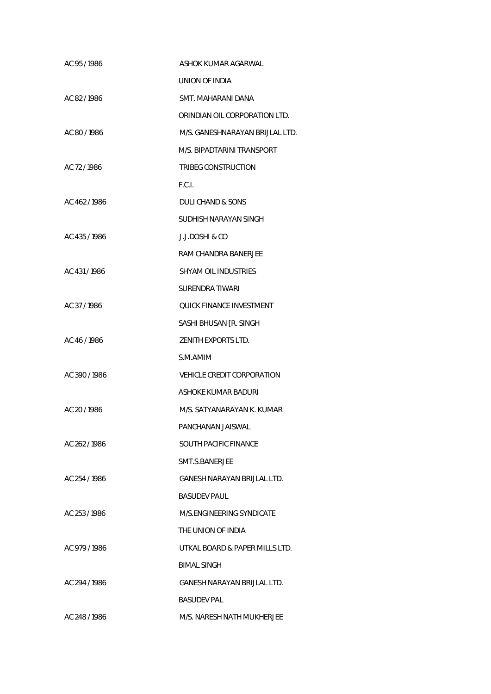| AC 95/1986    | ASHOK KUMAR AGARWAL             |
|---------------|---------------------------------|
|               | UNION OF INDIA                  |
| AC 82/1986    | SMT. MAHARANI DANA              |
|               | ORINDIAN OIL CORPORATION LTD.   |
| AC 80/1986    | M/S. GANESHNARAYAN BRIJLAL LTD. |
|               | M/S. BIPADTARINI TRANSPORT      |
| AC 72/1986    | TRIBEG CONSTRUCTION             |
|               | F.C.I.                          |
| AC 462/1986   | DULI CHAND & SONS               |
|               | SUDHISH NARAYAN SINGH           |
| AC 435/1986   | J.J.DOSHI & CO                  |
|               | RAM CHANDRA BANERJEE            |
| AC 431/1986   | SHYAM OIL INDUSTRIES            |
|               | SURENDRA TIWARI                 |
| AC 37/1986    | QUICK FINANCE INVESTMENT        |
|               | SASHI BHUSAN [R. SINGH          |
| AC 46/1986    | ZENITH EXPORTS LTD.             |
|               | S.M.AMIM                        |
| AC 390/1986   | VEHICLE CREDIT CORPORATION      |
|               | ASHOKE KUMAR BADURI             |
| AC 20 / 1986  | M/S. SATYANARAYAN K. KUMAR      |
|               | PANCHANAN JAISWAL               |
| AC 262/1986   | SOUTH PACIFIC FINANCE           |
|               | SMT.S.BANERJEE                  |
| AC 254 / 1986 | GANESH NARAYAN BRIJLAL LTD.     |
|               | <b>BASUDEV PAUL</b>             |
| AC 253/1986   | M/S.ENGINEERING SYNDICATE       |
|               | THE UNION OF INDIA              |
| AC 979/1986   | UTKAL BOARD & PAPER MILLS LTD.  |
|               | <b>BIMAL SINGH</b>              |
| AC 294/1986   | GANESH NARAYAN BRIJLAL LTD.     |
|               | <b>BASUDEV PAL</b>              |
| AC 248 / 1986 | M/S. NARESH NATH MUKHERJEE      |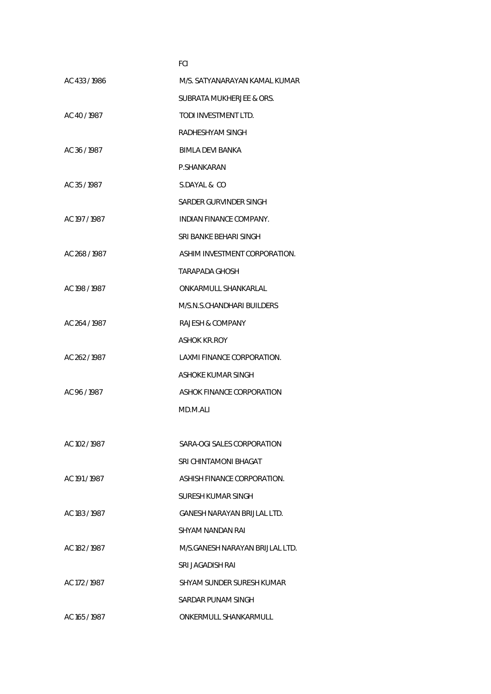|               | FCI                             |
|---------------|---------------------------------|
| AC 433/1986   | M/S. SATYANARAYAN KAMAL KUMAR   |
|               | SUBRATA MUKHERJEE & ORS.        |
| AC 40/1987    | TODI INVESTMENT LTD.            |
|               | RADHESHYAM SINGH                |
| AC 36 / 1987  | BIMLA DEVI BANKA                |
|               | P.SHANKARAN                     |
| AC 35/1987    | S.DAYAL & CO                    |
|               | SARDER GURVINDER SINGH          |
| AC 197 / 1987 | INDIAN FINANCE COMPANY.         |
|               | SRI BANKE BEHARI SINGH          |
| AC 268/1987   | ASHIM INVESTMENT CORPORATION.   |
|               | TARAPADA GHOSH                  |
| AC 198 / 1987 | ONKARMULL SHANKARLAL            |
|               | M/S.N.S.CHANDHARI BUILDERS      |
| AC 264 / 1987 | RAJESH & COMPANY                |
|               | <b>ASHOK KR.ROY</b>             |
| AC 262/1987   | LAXMI FINANCE CORPORATION.      |
|               | ASHOKE KUMAR SINGH              |
| AC 96 / 1987  | ASHOK FINANCE CORPORATION       |
|               | MD.M.ALI                        |
|               |                                 |
| AC 102 / 1987 | SARA-OGI SALES CORPORATION      |
|               | SRI CHINTAMONI BHAGAT           |
| AC 191/1987   | ASHISH FINANCE CORPORATION.     |
|               | SURESH KUMAR SINGH              |
| AC 183 / 1987 | GANESH NARAYAN BRIJLAL LTD.     |
|               | SHYAM NANDAN RAI                |
| AC 182 / 1987 | M/S.GANESH NARAYAN BRIJLAL LTD. |
|               | SRI JAGADISH RAI                |
| AC 172/1987   | SHYAM SUNDER SURESH KUMAR       |
|               | SARDAR PUNAM SINGH              |
| AC 165 / 1987 | ONKERMULL SHANKARMULL           |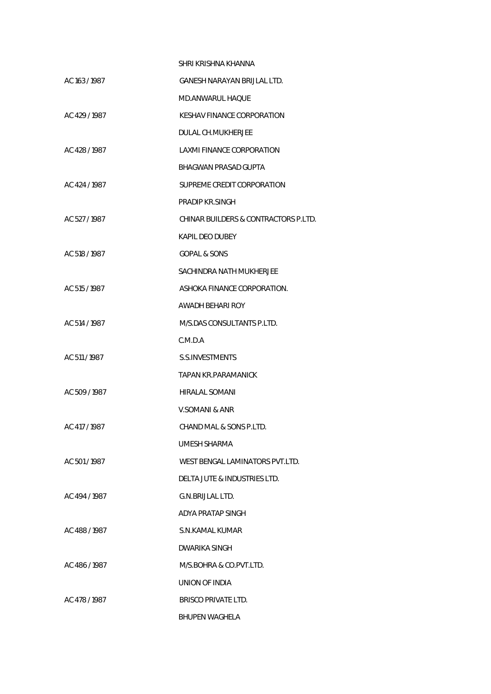|               | SHRI KRISHNA KHANNA                  |
|---------------|--------------------------------------|
| AC 163 / 1987 | <b>GANESH NARAYAN BRIJLAL LTD.</b>   |
|               | MD.ANWARUL HAQUE                     |
| AC 429/1987   | KESHAV FINANCE CORPORATION           |
|               | DULAL CH.MUKHERJEE                   |
| AC 428/1987   | LAXMI FINANCE CORPORATION            |
|               | <b>BHAGWAN PRASAD GUPTA</b>          |
| AC 424 / 1987 | SUPREME CREDIT CORPORATION           |
|               | PRADIP KR.SINGH                      |
| AC 527/1987   | CHINAR BUILDERS & CONTRACTORS P.LTD. |
|               | KAPIL DEO DUBEY                      |
| AC 518 / 1987 | <b>GOPAL &amp; SONS</b>              |
|               | SACHINDRA NATH MUKHERJEE             |
| AC 515 / 1987 | ASHOKA FINANCE CORPORATION.          |
|               | AWADH BEHARI ROY                     |
| AC 514 / 1987 | M/S.DAS CONSULTANTS P.LTD.           |
|               | C.M.D.A                              |
| AC 511 / 1987 | S.S.INVESTMENTS                      |
|               | TAPAN KR.PARAMANICK                  |
| AC 509 / 1987 | <b>HIRALAL SOMANI</b>                |
|               | V.SOMANI & ANR                       |
| AC 417 / 1987 | CHAND MAL & SONS P.LTD.              |
|               | UMESH SHARMA                         |
| AC 501/1987   | WEST BENGAL LAMINATORS PVT.LTD.      |
|               | DELTA JUTE & INDUSTRIES LTD.         |
| AC 494 / 1987 | G.N.BRIJLAL LTD.                     |
|               | ADYA PRATAP SINGH                    |
| AC 488/1987   | S.N.KAMAL KUMAR                      |
|               | DWARIKA SINGH                        |
| AC 486/1987   | M/S.BOHRA & CO.PVT.LTD.              |
|               | UNION OF INDIA                       |
| AC 478 / 1987 | <b>BRISCO PRIVATE LTD.</b>           |
|               | <b>BHUPEN WAGHELA</b>                |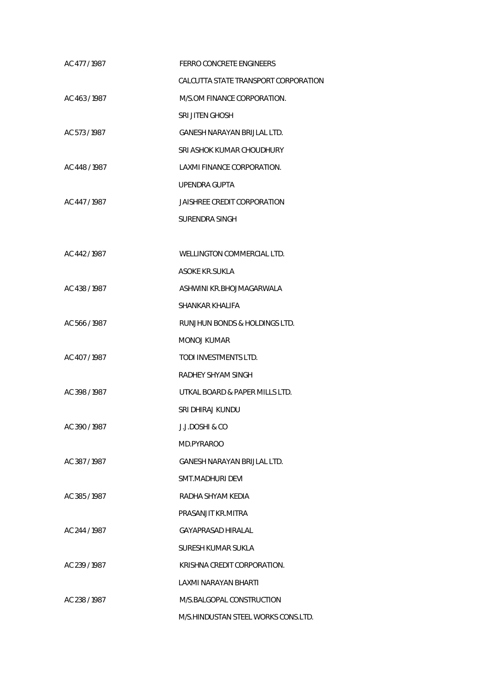| AC 477/1987   | <b>FERRO CONCRETE ENGINEERS</b>      |
|---------------|--------------------------------------|
|               | CALCUTTA STATE TRANSPORT CORPORATION |
| AC 463/1987   | M/S.OM FINANCE CORPORATION.          |
|               | <b>SRI JITEN GHOSH</b>               |
| AC 573/1987   | GANESH NARAYAN BRIJLAL LTD.          |
|               | SRI ASHOK KUMAR CHOUDHURY            |
| AC 448 / 1987 | LAXMI FINANCE CORPORATION.           |
|               | UPENDRA GUPTA                        |
| AC 447/1987   | JAISHREE CREDIT CORPORATION          |
|               | SURENDRA SINGH                       |
|               |                                      |
| AC 442/1987   | WELLINGTON COMMERCIAL LTD.           |
|               | ASOKE KR.SUKLA                       |
| AC 438/1987   | ASHWINI KR.BHOJMAGARWALA             |
|               | SHANKAR KHALIFA                      |
| AC 566/1987   | RUNJHUN BONDS & HOLDINGS LTD.        |
|               | MONOJ KUMAR                          |
| AC 407/1987   | TODI INVESTMENTS LTD.                |
|               | RADHEY SHYAM SINGH                   |
| AC 398/1987   | UTKAL BOARD & PAPER MILLS LTD.       |
|               | SRI DHIRAJ KUNDU                     |
| AC 390 / 1987 | J.J.DOSHI & CO                       |
|               | MD.PYRAROO                           |
| AC 387/1987   | GANESH NARAYAN BRIJLAL LTD.          |
|               | SMT.MADHURI DEVI                     |
| AC 385/1987   | RADHA SHYAM KEDIA                    |
|               | PRASANJIT KR.MITRA                   |
| AC 244 / 1987 | GAYAPRASAD HIRALAL                   |
|               | SURESH KUMAR SUKLA                   |
| AC 239/1987   | KRISHNA CREDIT CORPORATION.          |
|               | LAXMI NARAYAN BHARTI                 |
| AC 238/1987   | M/S.BALGOPAL CONSTRUCTION            |
|               | M/S.HINDUSTAN STEEL WORKS CONS.LTD.  |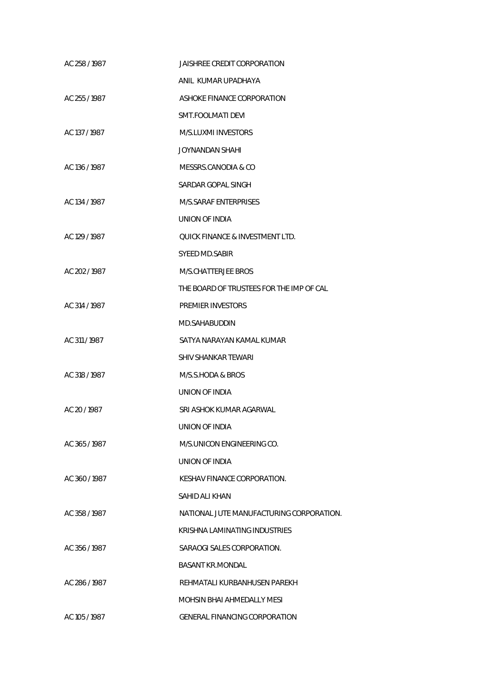| AC 258 / 1987 | JAISHREE CREDIT CORPORATION                |
|---------------|--------------------------------------------|
|               | ANIL KUMAR UPADHAYA                        |
| AC 255 / 1987 | ASHOKE FINANCE CORPORATION                 |
|               | SMT.FOOLMATI DEVI                          |
| AC 137 / 1987 | M/S.LUXMI INVESTORS                        |
|               | JOYNANDAN SHAHI                            |
| AC 136 / 1987 | MESSRS.CANODIA & CO                        |
|               | SARDAR GOPAL SINGH                         |
| AC 134 / 1987 | M/S.SARAF ENTERPRISES                      |
|               | <b>UNION OF INDIA</b>                      |
| AC 129 / 1987 | <b>OUICK FINANCE &amp; INVESTMENT LTD.</b> |
|               | SYEED MD.SABIR                             |
| AC 202/1987   | M/S.CHATTERJEE BROS                        |
|               | THE BOARD OF TRUSTEES FOR THE IMP OF CAL   |
| AC 314 / 1987 | <b>PREMIER INVESTORS</b>                   |
|               | MD.SAHABUDDIN                              |
| AC 311/1987   | SATYA NARAYAN KAMAL KUMAR                  |
|               | SHIV SHANKAR TEWARI                        |
| AC 318 / 1987 | M/S.S.HODA & BROS                          |
|               | UNION OF INDIA                             |
| AC 20 / 1987  | SRI ASHOK KUMAR AGARWAL                    |
|               | UNION OF INDIA                             |
| AC 365/1987   | M/S.UNICON ENGINEERING CO.                 |
|               | UNION OF INDIA                             |
| AC 360/1987   | KESHAV FINANCE CORPORATION.                |
|               | SAHID ALI KHAN                             |
| AC 358/1987   | NATIONAL JUTE MANUFACTURING CORPORATION.   |
|               | KRISHNA LAMINATING INDUSTRIES              |
| AC 356/1987   | SARAOGI SALES CORPORATION.                 |
|               | <b>BASANT KR.MONDAL</b>                    |
| AC 286/1987   | REHMATALI KURBANHUSEN PAREKH               |
|               | <b>MOHSIN BHAI AHMEDALLY MESI</b>          |
| AC 105 / 1987 | <b>GENERAL FINANCING CORPORATION</b>       |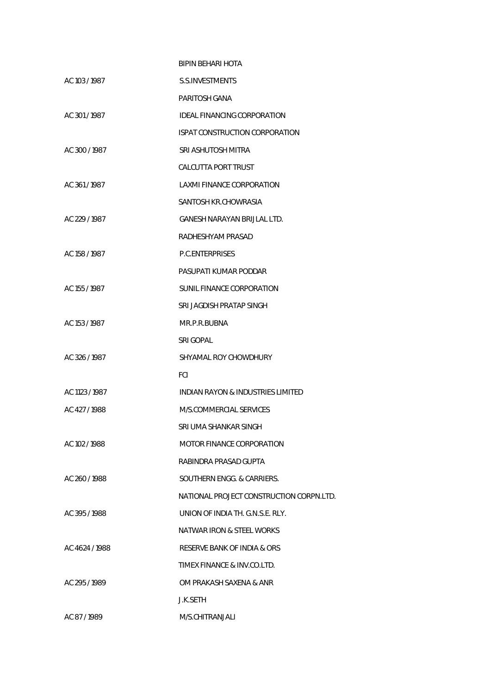|                | BIPIN BEHARI HOTA                        |
|----------------|------------------------------------------|
| AC 103 / 1987  | <b>S.S.INVESTMENTS</b>                   |
|                | PARITOSH GANA                            |
| AC 301/1987    | IDEAL FINANCING CORPORATION              |
|                | <b>ISPAT CONSTRUCTION CORPORATION</b>    |
| AC 300/1987    | SRI ASHUTOSH MITRA                       |
|                | CALCUTTA PORT TRUST                      |
| AC 361/1987    | LAXMI FINANCE CORPORATION                |
|                | SANTOSH KR.CHOWRASIA                     |
| AC 229/1987    | GANESH NARAYAN BRIJLAL LTD.              |
|                | RADHESHYAM PRASAD                        |
| AC 158 / 1987  | P.C.ENTERPRISES                          |
|                | PASUPATI KUMAR PODDAR                    |
| AC 155 / 1987  | SUNIL FINANCE CORPORATION                |
|                | SRI JAGDISH PRATAP SINGH                 |
| AC 153 / 1987  | MR.P.R.BUBNA                             |
|                | <b>SRI GOPAL</b>                         |
| AC 326/1987    | SHYAMAL ROY CHOWDHURY                    |
|                | <b>FCI</b>                               |
| AC 1123 / 1987 | INDIAN RAYON & INDUSTRIES LIMITED        |
| AC 427/1988    | M/S.COMMERCIAL SERVICES                  |
|                | SRI UMA SHANKAR SINGH                    |
| AC 102 / 1988  | MOTOR FINANCE CORPORATION                |
|                | RABINDRA PRASAD GUPTA                    |
| AC 260/1988    | SOUTHERN ENGG. & CARRIERS.               |
|                | NATIONAL PROJECT CONSTRUCTION CORPN.LTD. |
| AC 395/1988    | UNION OF INDIA TH. G.N.S.E. RLY.         |
|                | NATWAR IRON & STEEL WORKS                |
| AC 4624 / 1988 | RESERVE BANK OF INDIA & ORS              |
|                | TIMEX FINANCE & INV.CO.LTD.              |
| AC 295/1989    | OM PRAKASH SAXENA & ANR                  |
|                | J.K.SETH                                 |
| AC 87/1989     | M/S.CHITRANJALI                          |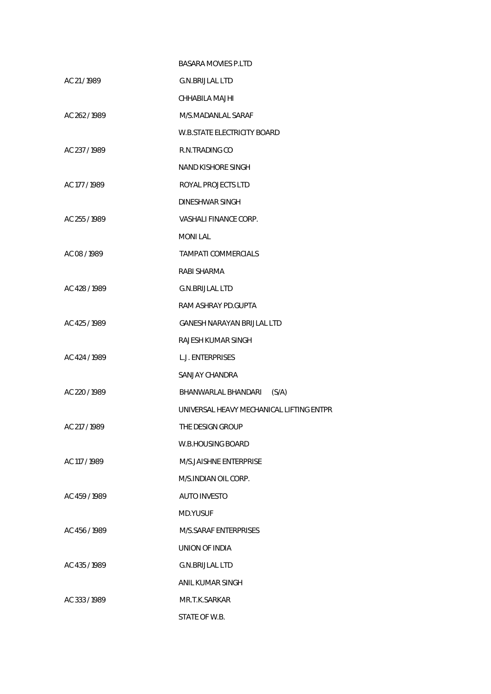|               | <b>BASARA MOVIES P.LTD</b>               |
|---------------|------------------------------------------|
| AC 21/1989    | <b>G.N.BRIJLAL LTD</b>                   |
|               | CHHABILA MAJHI                           |
| AC 262/1989   | M/S.MADANLAL SARAF                       |
|               | <b>W.B.STATE ELECTRICITY BOARD</b>       |
| AC 237/1989   | R.N.TRADING CO                           |
|               | NAND KISHORE SINGH                       |
| AC 177 / 1989 | ROYAL PROJECTS LTD                       |
|               | <b>DINESHWAR SINGH</b>                   |
| AC 255 / 1989 | VASHALI FINANCE CORP.                    |
|               | <b>MONILAL</b>                           |
| AC 08 / 1989  | TAMPATI COMMERCIALS                      |
|               | RABI SHARMA                              |
| AC 428 / 1989 | <b>G.N.BRIJLAL LTD</b>                   |
|               | RAM ASHRAY PD.GUPTA                      |
| AC 425 / 1989 | GANESH NARAYAN BRIJLAL LTD               |
|               | RAJESH KUMAR SINGH                       |
| AC 424 / 1989 | <b>L.J. ENTERPRISES</b>                  |
|               | SANJAY CHANDRA                           |
| AC 220 / 1989 | BHANWARLAL BHANDARI<br>(S/A)             |
|               | UNIVERSAL HEAVY MECHANICAL LIFTING ENTPR |
| AC 217 / 1989 | THE DESIGN GROUP                         |
|               | W.B.HOUSING BOARD                        |
| AC 117 / 1989 | M/S.JAISHNE ENTERPRISE                   |
|               | M/S.INDIAN OIL CORP.                     |
| AC 459 / 1989 | <b>AUTO INVESTO</b>                      |
|               | MD.YUSUF                                 |
| AC 456 / 1989 | M/S.SARAF ENTERPRISES                    |
|               | UNION OF INDIA                           |
| AC 435 / 1989 | <b>G.N.BRIJLAL LTD</b>                   |
|               | ANIL KUMAR SINGH                         |
| AC 333/1989   | MR.T.K.SARKAR                            |
|               | STATE OF W.B.                            |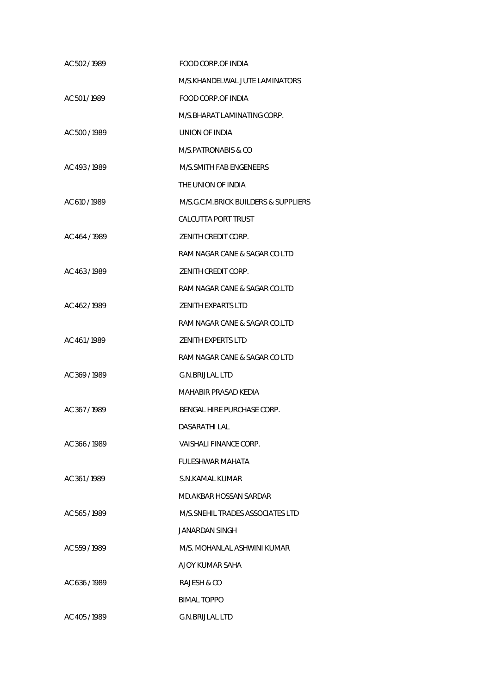| AC 502/1989   | FOOD CORP.OF INDIA                   |
|---------------|--------------------------------------|
|               | M/S.KHANDELWAL JUTE LAMINATORS       |
| AC 501/1989   | <b>FOOD CORP.OF INDIA</b>            |
|               | M/S.BHARAT LAMINATING CORP.          |
| AC 500 / 1989 | UNION OF INDIA                       |
|               | M/S.PATRONABIS & CO                  |
| AC 493 / 1989 | M/S.SMITH FAB ENGENEERS              |
|               | THE UNION OF INDIA                   |
| AC 610 / 1989 | M/S.G.C.M.BRICK BUILDERS & SUPPLIERS |
|               | <b>CALCUTTA PORT TRUST</b>           |
| AC 464 / 1989 | ZENITH CREDIT CORP.                  |
|               | RAM NAGAR CANE & SAGAR CO LTD        |
| AC 463/1989   | ZENITH CREDIT CORP.                  |
|               | RAM NAGAR CANE & SAGAR CO.LTD        |
| AC 462/1989   | <b>ZENITH EXPARTS LTD</b>            |
|               | RAM NAGAR CANE & SAGAR CO.LTD        |
| AC 461/1989   | <b>ZENITH EXPERTS LTD</b>            |
|               | RAM NAGAR CANE & SAGAR CO LTD        |
| AC 369/1989   | <b>G.N.BRIJLAL LTD</b>               |
|               | MAHABIR PRASAD KEDIA                 |
| AC 367/1989   | BENGAL HIRE PURCHASE CORP.           |
|               | DASARATHI LAL                        |
| AC 366/1989   | VAISHALI FINANCE CORP.               |
|               | <b>FULESHWAR MAHATA</b>              |
| AC 361/1989   | S.N.KAMAL KUMAR                      |
|               | MD.AKBAR HOSSAN SARDAR               |
| AC 565/1989   | M/S.SNEHIL TRADES ASSOCIATES LTD     |
|               | JANARDAN SINGH                       |
| AC 559/1989   | M/S. MOHANLAL ASHWINI KUMAR          |
|               | AJOY KUMAR SAHA                      |
| AC 636/1989   | RAJESH & CO                          |
|               | <b>BIMAL TOPPO</b>                   |
| AC 405/1989   | <b>G.N.BRIJLAL LTD</b>               |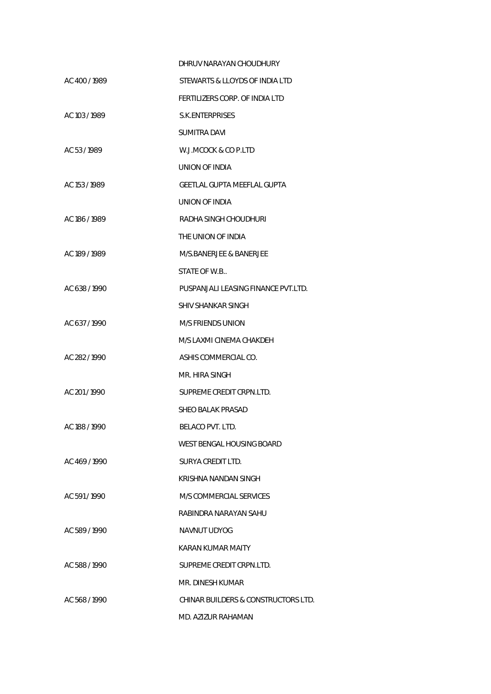|               | DHRUV NARAYAN CHOUDHURY             |
|---------------|-------------------------------------|
| AC 400 / 1989 | STEWARTS & LLOYDS OF INDIA LTD      |
|               | FERTILIZERS CORP. OF INDIA LTD      |
| AC 103 / 1989 | S.K.ENTERPRISES                     |
|               | <b>SUMITRA DAVI</b>                 |
| AC 53/1989    | W.J.MCOCK & CO P.LTD                |
|               | UNION OF INDIA                      |
| AC 153 / 1989 | GEETLAL GUPTA MEEFLAL GUPTA         |
|               | UNION OF INDIA                      |
| AC 186 / 1989 | RADHA SINGH CHOUDHURI               |
|               | THE UNION OF INDIA                  |
| AC 189 / 1989 | M/S.BANERJEE & BANERJEE             |
|               | STATE OF W.B                        |
| AC 638 / 1990 | PUSPANJALI LEASING FINANCE PVT.LTD. |
|               | <b>SHIV SHANKAR SINGH</b>           |
| AC 637/1990   | <b>M/S FRIENDS UNION</b>            |
|               | M/S LAXMI CINEMA CHAKDEH            |
| AC 282 / 1990 | ASHIS COMMERCIAL CO.                |
|               | MR. HIRA SINGH                      |
| AC 201/1990   | SUPREME CREDIT CRPN.LTD.            |
|               | SHEO BALAK PRASAD                   |
| AC 188 / 1990 | BELACO PVT. LTD.                    |
|               | WEST BENGAL HOUSING BOARD           |
| AC 469/1990   | SURYA CREDIT LTD.                   |
|               | KRISHNA NANDAN SINGH                |
| AC 591/1990   | M/S COMMERCIAL SERVICES             |
|               | RABINDRA NARAYAN SAHU               |
| AC 589/1990   | NAVNUT UDYOG                        |
|               | KARAN KUMAR MAITY                   |
| AC 588/1990   | SUPREME CREDIT CRPN.LTD.            |
|               | MR. DINESH KUMAR                    |
| AC 568/1990   | CHINAR BUILDERS & CONSTRUCTORS LTD. |
|               | MD. AZIZUR RAHAMAN                  |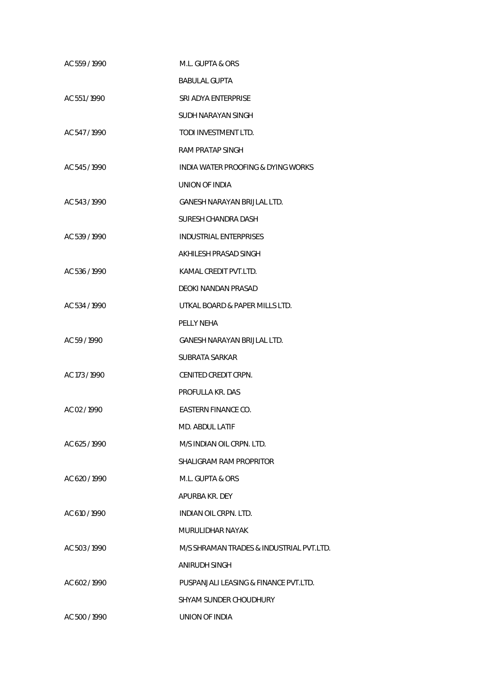| AC 559/1990   | M.L. GUPTA & ORS                         |
|---------------|------------------------------------------|
|               | <b>BABULAL GUPTA</b>                     |
| AC 551/1990   | SRI ADYA ENTERPRISE                      |
|               | SUDH NARAYAN SINGH                       |
| AC 547/1990   | TODI INVESTMENT LTD.                     |
|               | RAM PRATAP SINGH                         |
| AC 545/1990   | INDIA WATER PROOFING & DYING WORKS       |
|               | UNION OF INDIA                           |
| AC 543/1990   | GANESH NARAYAN BRIJLAL LTD.              |
|               | SURESH CHANDRA DASH                      |
| AC 539 / 1990 | INDUSTRIAL ENTERPRISES                   |
|               | AKHILESH PRASAD SINGH                    |
| AC 536 / 1990 | KAMAL CREDIT PVT.LTD.                    |
|               | DEOKI NANDAN PRASAD                      |
| AC 534 / 1990 | UTKAL BOARD & PAPER MILLS LTD.           |
|               | PELLY NEHA                               |
| AC 59/1990    | GANESH NARAYAN BRIJLAL LTD.              |
|               | SUBRATA SARKAR                           |
| AC 173 / 1990 | CENITED CREDIT CRPN.                     |
|               | PROFULLA KR. DAS                         |
| AC 02/1990    | <b>EASTERN FINANCE CO.</b>               |
|               | MD. ABDUL LATIF                          |
| AC 625/1990   | M/S INDIAN OIL CRPN. LTD.                |
|               | SHALIGRAM RAM PROPRITOR                  |
| AC 620 / 1990 | M.L. GUPTA & ORS                         |
|               | APURBA KR. DEY                           |
| AC 610 / 1990 | INDIAN OIL CRPN. LTD.                    |
|               | MURULIDHAR NAYAK                         |
| AC 503/1990   | M/S SHRAMAN TRADES & INDUSTRIAL PVT.LTD. |
|               | ANIRUDH SINGH                            |
| AC 602/1990   | PUSPANJALI LEASING & FINANCE PVT.LTD.    |
|               | SHYAM SUNDER CHOUDHURY                   |
| AC 500 / 1990 | UNION OF INDIA                           |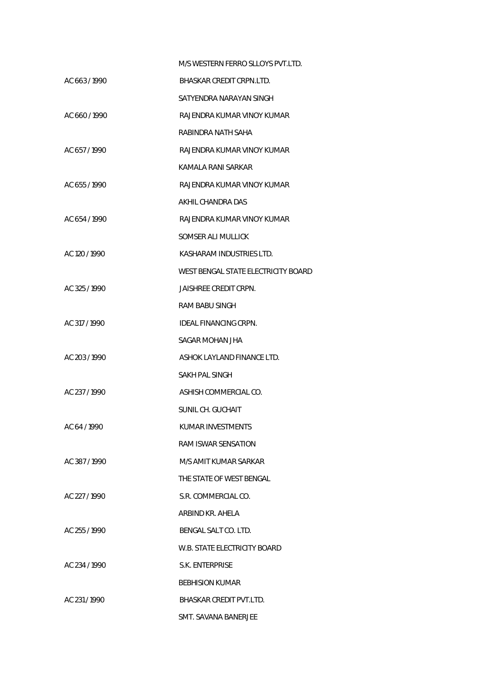|               | M/S WESTERN FERRO SLLOYS PVT.LTD.   |
|---------------|-------------------------------------|
| AC 663/1990   | BHASKAR CREDIT CRPN.LTD.            |
|               | SATYENDRA NARAYAN SINGH             |
| AC 660/1990   | RAJENDRA KUMAR VINOY KUMAR          |
|               | RABINDRA NATH SAHA                  |
| AC 657/1990   | RAJENDRA KUMAR VINOY KUMAR          |
|               | KAMALA RANI SARKAR                  |
| AC 655/1990   | RAJENDRA KUMAR VINOY KUMAR          |
|               | AKHIL CHANDRA DAS                   |
| AC 654/1990   | RAJENDRA KUMAR VINOY KUMAR          |
|               | SOMSER ALI MULLICK                  |
| AC 120 / 1990 | KASHARAM INDUSTRIES LTD.            |
|               | WEST BENGAL STATE ELECTRICITY BOARD |
| AC 325/1990   | JAISHREE CREDIT CRPN.               |
|               | RAM BABU SINGH                      |
| AC 317 / 1990 | IDEAL FINANCING CRPN.               |
|               | SAGAR MOHAN JHA                     |
| AC 203/1990   | ASHOK LAYLAND FINANCE LTD.          |
|               | SAKH PAL SINGH                      |
| AC 237 / 1990 | ASHISH COMMERCIAL CO.               |
|               | SUNIL CH. GUCHAIT                   |
| AC 64 / 1990  | KUMAR INVESTMENTS                   |
|               | RAM ISWAR SENSATION                 |
| AC 387/1990   | M/S AMIT KUMAR SARKAR               |
|               | THE STATE OF WEST BENGAL            |
| AC 227/1990   | S.R. COMMERCIAL CO.                 |
|               | ARBIND KR. AHELA                    |
| AC 255/1990   | BENGAL SALT CO. LTD.                |
|               | W.B. STATE ELECTRICITY BOARD        |
| AC 234/1990   | S.K. ENTERPRISE                     |
|               | <b>BEBHISION KUMAR</b>              |
| AC 231/1990   | BHASKAR CREDIT PVT.LTD.             |
|               | SMT. SAVANA BANERJEE                |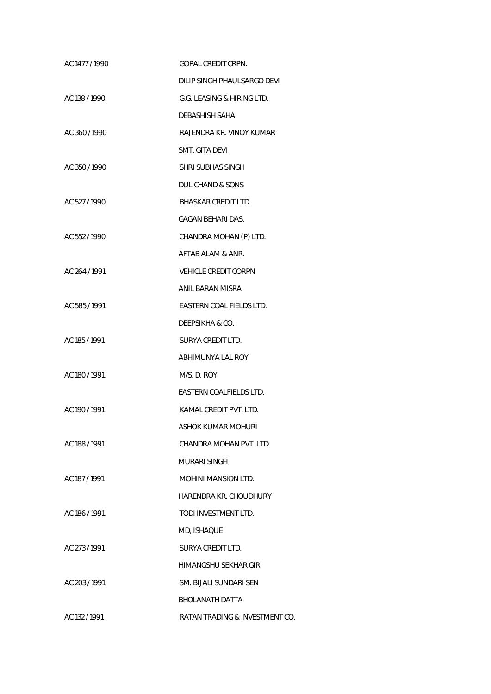| AC 1477 / 1990 | <b>GOPAL CREDIT CRPN.</b>      |
|----------------|--------------------------------|
|                | DILIP SINGH PHAULSARGO DEVI    |
| AC 138 / 1990  | G.G. LEASING & HIRING LTD.     |
|                | DEBASHISH SAHA                 |
| AC 360/1990    | RAJENDRA KR. VINOY KUMAR       |
|                | SMT. GITA DEVI                 |
| AC 350/1990    | <b>SHRI SUBHAS SINGH</b>       |
|                | DULICHAND & SONS               |
| AC 527/1990    | BHASKAR CREDIT LTD.            |
|                | <b>GAGAN BEHARI DAS.</b>       |
| AC 552/1990    | CHANDRA MOHAN (P) LTD.         |
|                | AFTAB ALAM & ANR.              |
| AC 264 / 1991  | <b>VEHICLE CREDIT CORPN</b>    |
|                | ANIL BARAN MISRA               |
| AC 585/1991    | EASTERN COAL FIELDS LTD.       |
|                | DEEPSIKHA & CO.                |
| AC 185 / 1991  | SURYA CREDIT LTD.              |
|                | ABHIMUNYA LAL ROY              |
| AC 180 / 1991  | M/S. D. ROY                    |
|                | EASTERN COALFIELDS LTD.        |
| AC 190/1991    | KAMAL CREDIT PVT. LTD.         |
|                | ASHOK KUMAR MOHURI             |
| AC 188 / 1991  | CHANDRA MOHAN PVT. LTD.        |
|                | MURARI SINGH                   |
| AC 187 / 1991  | MOHINI MANSION LTD.            |
|                | HARENDRA KR. CHOUDHURY         |
| AC 186/1991    | TODI INVESTMENT LTD.           |
|                | MD, ISHAQUE                    |
| AC 273/1991    | SURYA CREDIT LTD.              |
|                | HIMANGSHU SEKHAR GIRI          |
| AC 203/1991    | SM. BIJALI SUNDARI SEN         |
|                | <b>BHOLANATH DATTA</b>         |
| AC 132 / 1991  | RATAN TRADING & INVESTMENT CO. |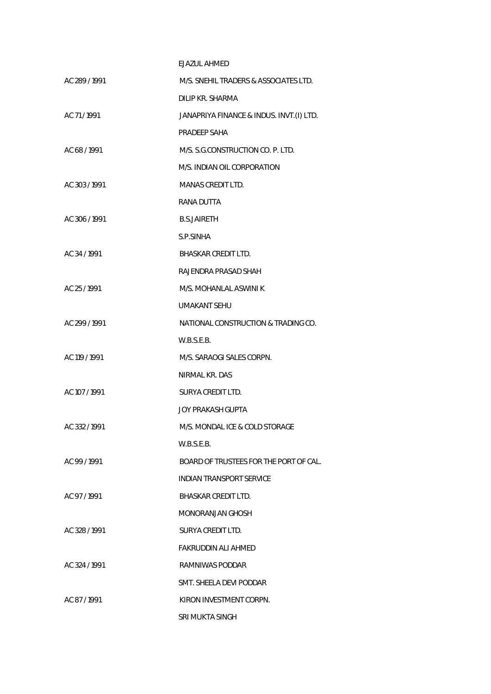|               | <b>EJAZUL AHMED</b>                      |
|---------------|------------------------------------------|
| AC 289 / 1991 | M/S. SNEHIL TRADERS & ASSOCIATES LTD.    |
|               | DILIP KR. SHARMA                         |
| AC 71/1991    | JANAPRIYA FINANCE & INDUS. INVT.(I) LTD. |
|               | PRADEEP SAHA                             |
| AC 68/1991    | M/S. S.G.CONSTRUCTION CO. P. LTD.        |
|               | M/S. INDIAN OIL CORPORATION              |
| AC 303/1991   | MANAS CREDIT LTD.                        |
|               | RANA DUTTA                               |
| AC 306/1991   | <b>B.S.JAIRETH</b>                       |
|               | S.P.SINHA                                |
| AC 34 / 1991  | BHASKAR CREDIT LTD.                      |
|               | RAJENDRA PRASAD SHAH                     |
| AC 25/1991    | M/S. MOHANLAL ASWINI K                   |
|               | UMAKANT SEHU                             |
| AC 299 / 1991 | NATIONAL CONSTRUCTION & TRADING CO.      |
|               | W.B.S.E.B.                               |
| AC 119 / 1991 | M/S. SARAOGI SALES CORPN.                |
|               | NIRMAL KR. DAS                           |
| AC 107 / 1991 | SURYA CREDIT LTD.                        |
|               | JOY PRAKASH GUPTA                        |
| AC 332/1991   | M/S. MONDAL ICE & COLD STORAGE           |
|               | W.B.S.E.B.                               |
| AC 99/1991    | BOARD OF TRUSTEES FOR THE PORT OF CAL.   |
|               | INDIAN TRANSPORT SERVICE                 |
| AC 97/1991    | <b>BHASKAR CREDIT LTD.</b>               |
|               | MONORAN JAN GHOSH                        |
| AC 328 / 1991 | SURYA CREDIT LTD.                        |
|               | FAKRUDDIN ALI AHMED                      |
| AC 324/1991   | RAMNIWAS PODDAR                          |
|               | SMT. SHEELA DEVI PODDAR                  |
| AC 87/1991    | KIRON INVESTMENT CORPN.                  |
|               | SRI MUKTA SINGH                          |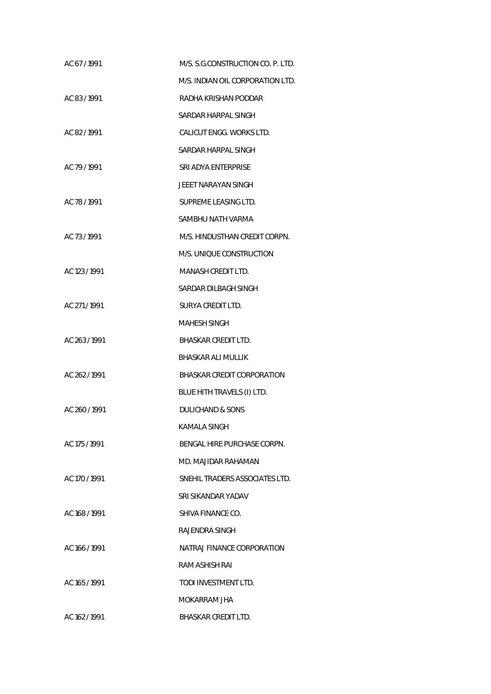| AC 67/1991    | M/S. S.G.CONSTRUCTION CO. P. LTD. |
|---------------|-----------------------------------|
|               | M/S. INDIAN OIL CORPORATION LTD.  |
| AC 83/1991    | RADHA KRISHAN PODDAR              |
|               | SARDAR HARPAL SINGH               |
| AC 82/1991    | CALICUT ENGG. WORKS LTD.          |
|               | SARDAR HARPAL SINGH               |
| AC 79 / 1991  | SRI ADYA ENTERPRISE               |
|               | JEEET NARAYAN SINGH               |
| AC 78 / 1991  | SUPREME LEASING LTD.              |
|               | SAMBHU NATH VARMA                 |
| AC 73/1991    | M/S. HINDUSTHAN CREDIT CORPN.     |
|               | M/S. UNIOUE CONSTRUCTION          |
| AC 123 / 1991 | <b>MANASH CREDIT LTD.</b>         |
|               | SARDAR DILBAGH SINGH              |
| AC 271/1991   | SURYA CREDIT LTD.                 |
|               | MAHESH SINGH                      |
| AC 263 / 1991 | <b>BHASKAR CREDIT LTD.</b>        |
|               | <b>BHASKAR ALI MULLIK</b>         |
| AC 262 / 1991 | BHASKAR CREDIT CORPORATION        |
|               | BLUE HITH TRAVELS (I) LTD.        |
| AC 260 / 1991 | <b>DULICHAND &amp; SONS</b>       |
|               | KAMALA SINGH                      |
| AC 175 / 1991 | BENGAL HIRE PURCHASE CORPN.       |
|               | MD. MAJIDAR RAHAMAN               |
| AC 170/1991   | SNEHIL TRADERS ASSOCIATES LTD.    |
|               | SRI SIKANDAR YADAV                |
| AC 168 / 1991 | SHIVA FINANCE CO.                 |
|               | RAJENDRA SINGH                    |
| AC 166 / 1991 | NATRAJ FINANCE CORPORATION        |
|               | RAM ASHISH RAI                    |
| AC 165 / 1991 | TODI INVESTMENT LTD.              |
|               | MOKARRAM JHA                      |
| AC 162 / 1991 | <b>BHASKAR CREDIT LTD.</b>        |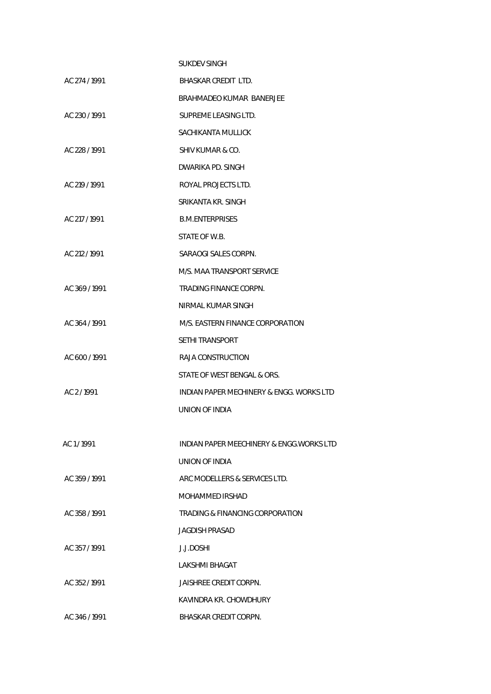|               | <b>SUKDEV SINGH</b>                       |
|---------------|-------------------------------------------|
| AC 274 / 1991 | BHASKAR CREDIT LTD.                       |
|               | <b>BRAHMADEO KUMAR BANERJEE</b>           |
| AC 230/1991   | SUPREME LEASING LTD.                      |
|               | SACHIKANTA MULLICK                        |
| AC 228 / 1991 | SHIV KUMAR & CO.                          |
|               | DWARIKA PD. SINGH                         |
| AC 219 / 1991 | ROYAL PROJECTS LTD.                       |
|               | SRIKANTA KR. SINGH                        |
| AC 217 / 1991 | <b>B.M.ENTERPRISES</b>                    |
|               | STATE OF W.B.                             |
| AC 212 / 1991 | SARAOGI SALES CORPN.                      |
|               | M/S. MAA TRANSPORT SERVICE                |
| AC 369/1991   | TRADING FINANCE CORPN.                    |
|               | NIRMAL KUMAR SINGH                        |
| AC 364 / 1991 | M/S. EASTERN FINANCE CORPORATION          |
|               | SETHI TRANSPORT                           |
| AC 600 / 1991 | RAJA CONSTRUCTION                         |
|               | STATE OF WEST BENGAL & ORS.               |
| AC 2/1991     | INDIAN PAPER MECHINERY & ENGG. WORKS LTD  |
|               | UNION OF INDIA                            |
|               |                                           |
| AC 1/1991     | INDIAN PAPER MEECHINERY & ENGG. WORKS LTD |
|               | UNION OF INDIA                            |
| AC 359/1991   | ARC MODELLERS & SERVICES LTD.             |
|               | MOHAMMED IRSHAD                           |
| AC 358/1991   | TRADING & FINANCING CORPORATION           |
|               | JAGDISH PRASAD                            |
| AC 357/1991   | J.J.DOSHI                                 |
|               | LAKSHMI BHAGAT                            |
| AC 352/1991   | JAISHREE CREDIT CORPN.                    |
|               | KAVINDRA KR. CHOWDHURY                    |
| AC 346/1991   | <b>BHASKAR CREDIT CORPN.</b>              |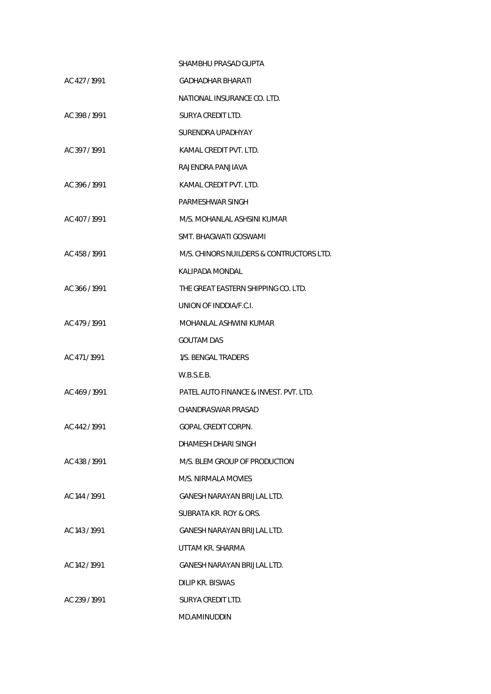|               | SHAMBHU PRASAD GUPTA                     |
|---------------|------------------------------------------|
| AC 427/1991   | GADHADHAR BHARATI                        |
|               | NATIONAL INSURANCE CO. LTD.              |
| AC 398 / 1991 | SURYA CREDIT LTD.                        |
|               | SURENDRA UPADHYAY                        |
| AC 397/1991   | KAMAL CREDIT PVT. LTD.                   |
|               | RAJENDRA PANJIAVA                        |
| AC 396/1991   | KAMAL CREDIT PVT. LTD.                   |
|               | PARMESHWAR SINGH                         |
| AC 407/1991   | M/S. MOHANLAL ASHSINI KUMAR              |
|               | SMT. BHAGWATI GOSWAMI                    |
| AC 458 / 1991 | M/S. CHINORS NUILDERS & CONTRUCTORS LTD. |
|               | KALIPADA MONDAL                          |
| AC 366/1991   | THE GREAT EASTERN SHIPPING CO. LTD.      |
|               | UNION OF INDDIA/F.C.I.                   |
| AC 479 / 1991 | MOHANLAL ASHWINI KUMAR                   |
|               | <b>GOUTAM DAS</b>                        |
| AC 471/1991   | 1/S. BENGAL TRADERS                      |
|               | W.B.S.E.B.                               |
| AC 469/1991   | PATEL AUTO FINANCE & INVEST. PVT. LTD.   |
|               | CHANDRASWAR PRASAD                       |
| AC 442 / 1991 | GOPAL CREDIT CORPN.                      |
|               | DHAMESH DHARI SINGH                      |
| AC 438 / 1991 | M/S. BLEM GROUP OF PRODUCTION            |
|               | M/S. NIRMALA MOVIES                      |
| AC 144 / 1991 | <b>GANESH NARAYAN BRIJLAL LTD.</b>       |
|               | SUBRATA KR. ROY & ORS.                   |
| AC 143/1991   | GANESH NARAYAN BRIJLAL LTD.              |
|               | UTTAM KR. SHARMA                         |
| AC 142/1991   | GANESH NARAYAN BRIJLAL LTD.              |
|               | <b>DILIP KR. BISWAS</b>                  |
| AC 239/1991   | SURYA CREDIT LTD.                        |
|               | MD.AMINUDDIN                             |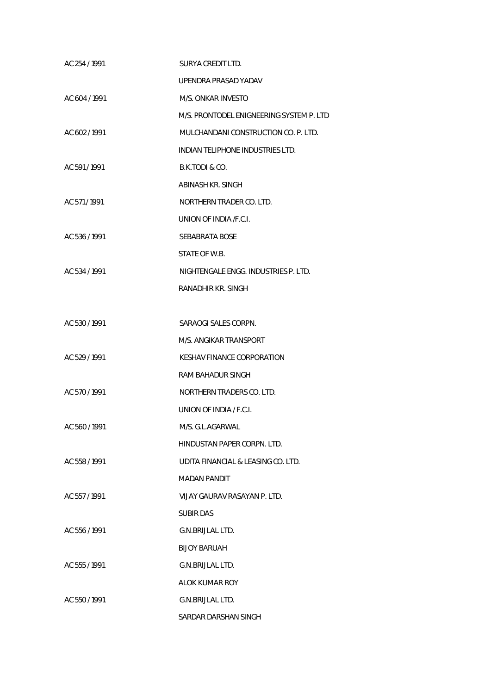| AC 254 / 1991 | SURYA CREDIT LTD.                        |
|---------------|------------------------------------------|
|               | UPENDRA PRASAD YADAV                     |
| AC 604 / 1991 | M/S. ONKAR INVESTO                       |
|               | M/S. PRONTODEL ENIGNEERING SYSTEM P. LTD |
| AC 602/1991   | MULCHANDANI CONSTRUCTION CO. P. LTD.     |
|               | INDIAN TELIPHONE INDUSTRIES LTD.         |
| AC 591/1991   | B.K.TODI & CO.                           |
|               | ABINASH KR. SINGH                        |
| AC 571/1991   | NORTHERN TRADER CO. LTD.                 |
|               | UNION OF INDIA / F.C.I.                  |
| AC 536 / 1991 | <b>SEBABRATA BOSE</b>                    |
|               | STATE OF W.B.                            |
| AC 534 / 1991 | NIGHTENGALE ENGG. INDUSTRIES P. LTD.     |
|               | RANADHIR KR. SINGH                       |
|               |                                          |
| AC 530 / 1991 | SARAOGI SALES CORPN.                     |
|               | M/S. ANGIKAR TRANSPORT                   |
| AC 529 / 1991 | KESHAV FINANCE CORPORATION               |
|               | RAM BAHADUR SINGH                        |
| AC 570 / 1991 | NORTHERN TRADERS CO. LTD.                |
|               | UNION OF INDIA / F.C.I.                  |
| AC 560 / 1991 | M/S. G.L.AGARWAL                         |
|               | HINDUSTAN PAPER CORPN. LTD.              |
| AC 558 / 1991 | UDITA FINANCIAL & LEASING CO. LTD.       |
|               | <b>MADAN PANDIT</b>                      |
| AC 557/1991   | VIJAY GAURAV RASAYAN P. LTD.             |
|               | <b>SUBIR DAS</b>                         |
| AC 556 / 1991 | G.N.BRIJLAL LTD.                         |
|               | <b>BIJOY BARUAH</b>                      |
| AC 555/1991   | G.N.BRIJLAL LTD.                         |
|               | ALOK KUMAR ROY                           |
| AC 550 / 1991 | G.N.BRIJLAL LTD.                         |
|               | SARDAR DARSHAN SINGH                     |
|               |                                          |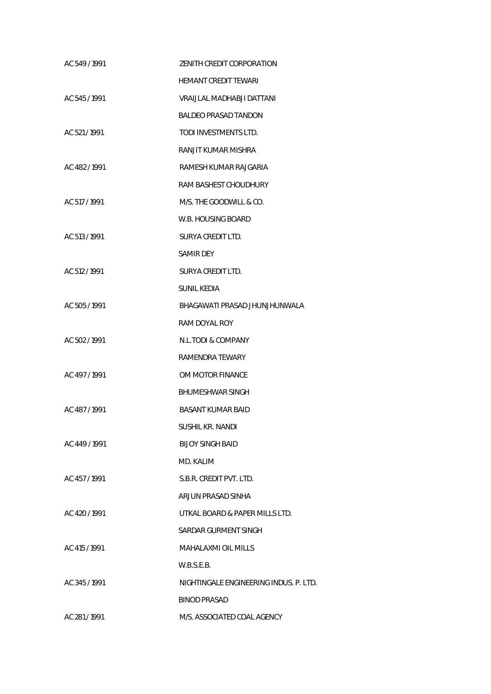| AC 549 / 1991 | ZENITH CREDIT CORPORATION              |
|---------------|----------------------------------------|
|               | HEMANT CREDIT TEWARI                   |
| AC 545 / 1991 | VRAIJLAL MADHABJI DATTANI              |
|               | BALDEO PRASAD TANDON                   |
| AC 521/1991   | TODI INVESTMENTS LTD.                  |
|               | RANJIT KUMAR MISHRA                    |
| AC 482/1991   | RAMESH KUMAR RAJGARIA                  |
|               | RAM BASHEST CHOUDHURY                  |
| AC 517 / 1991 | M/S. THE GOODWILL & CO.                |
|               | W.B. HOUSING BOARD                     |
| AC 513 / 1991 | SURYA CREDIT LTD.                      |
|               | <b>SAMIR DEY</b>                       |
| AC 512 / 1991 | SURYA CREDIT LTD.                      |
|               | SUNIL KEDIA                            |
| AC 505 / 1991 | BHAGAWATI PRASAD JHUNJHUNWALA          |
|               | RAM DOYAL ROY                          |
| AC 502 / 1991 | N.L.TODI & COMPANY                     |
|               | RAMENDRA TEWARY                        |
| AC 497/1991   | OM MOTOR FINANCE                       |
|               | <b>BHUMESHWAR SINGH</b>                |
| AC 487/1991   | BASANT KUMAR BAID                      |
|               | <b>SUSHIL KR. NANDI</b>                |
| AC 449 / 1991 | <b>BIJOY SINGH BAID</b>                |
|               | MD. KALIM                              |
| AC 457/1991   | S.B.R. CREDIT PVT. LTD.                |
|               | ARJUN PRASAD SINHA                     |
| AC 420 / 1991 | UTKAL BOARD & PAPER MILLS LTD.         |
|               | SARDAR GURMENT SINGH                   |
| AC 415 / 1991 | <b>MAHALAXMI OIL MILLS</b>             |
|               | W.B.S.E.B.                             |
| AC 345/1991   | NIGHTINGALE ENGINEERING INDUS. P. LTD. |
|               | <b>BINOD PRASAD</b>                    |
| AC 281/1991   | M/S. ASSOCIATED COAL AGENCY            |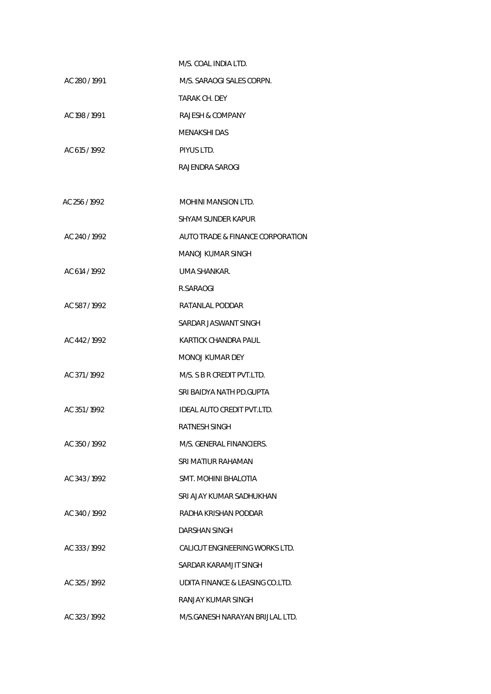|               | M/S. COAL INDIA LTD.             |
|---------------|----------------------------------|
| AC 280/1991   | M/S. SARAOGI SALES CORPN.        |
|               | TARAK CH. DEY                    |
| AC 198 / 1991 | RAJESH & COMPANY                 |
|               | MENAKSHI DAS                     |
| AC 615/1992   | PIYUS LTD.                       |
|               | RAJENDRA SAROGI                  |
|               |                                  |
| AC 256/1992   | MOHINI MANSION LTD.              |
|               | SHYAM SUNDER KAPUR               |
| AC 240/1992   | AUTO TRADE & FINANCE CORPORATION |
|               | MANOJ KUMAR SINGH                |
| AC 614 / 1992 | UMA SHANKAR.                     |
|               | R.SARAOGI                        |
| AC 587/1992   | RATANLAL PODDAR                  |
|               | SARDAR JASWANT SINGH             |
| AC 442/1992   | KARTICK CHANDRA PAUL             |
|               | MONOJ KUMAR DEY                  |
| AC 371/1992   | M/S. S B R CREDIT PVT.LTD.       |
|               | SRI BAIDYA NATH PD.GUPTA         |
| AC 351/1992   | IDEAL AUTO CREDIT PVT.LTD.       |
|               | RATNESH SINGH                    |
| AC 350/1992   | M/S. GENERAL FINANCIERS.         |
|               | SRI MATIUR RAHAMAN               |
| AC 343/1992   | SMT. MOHINI BHALOTIA             |
|               | SRI AJAY KUMAR SADHUKHAN         |
| AC 340/1992   | RADHA KRISHAN PODDAR             |
|               | DARSHAN SINGH                    |
| AC 333/1992   | CALICUT ENGINEERING WORKS LTD.   |
|               | SARDAR KARAMJIT SINGH            |
| AC 325 / 1992 | UDITA FINANCE & LEASING CO.LTD.  |
|               | RANJAY KUMAR SINGH               |
| AC 323/1992   | M/S.GANESH NARAYAN BRIJLAL LTD.  |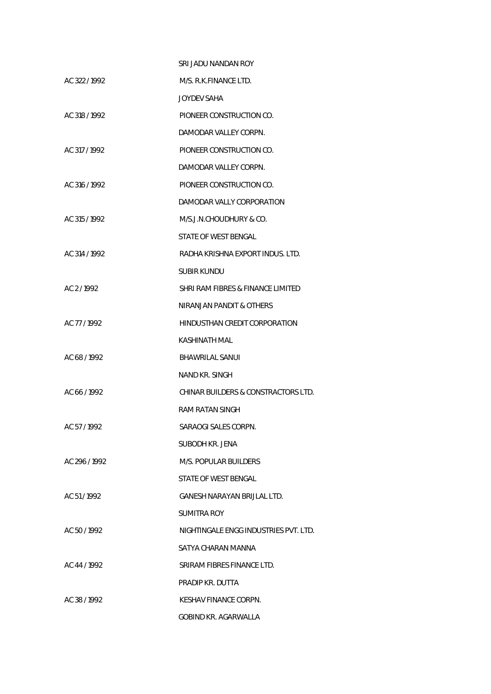|               | SRI JADU NANDAN ROY                   |
|---------------|---------------------------------------|
| AC 322/1992   | M/S. R.K.FINANCE LTD.                 |
|               | JOYDEV SAHA                           |
| AC 318 / 1992 | PIONEER CONSTRUCTION CO.              |
|               | DAMODAR VALLEY CORPN.                 |
| AC 317 / 1992 | PIONEER CONSTRUCTION CO.              |
|               | DAMODAR VALLEY CORPN.                 |
| AC 316 / 1992 | PIONEER CONSTRUCTION CO.              |
|               | DAMODAR VALLY CORPORATION             |
| AC 315 / 1992 | M/S.J.N.CHOUDHURY & CO.               |
|               | STATE OF WEST BENGAL                  |
| AC 314 / 1992 | RADHA KRISHNA EXPORT INDUS. LTD.      |
|               | SUBIR KUNDU                           |
| AC 2/1992     | SHRI RAM FIBRES & FINANCE LIMITED     |
|               | NIRANJAN PANDIT & OTHERS              |
| AC 77 / 1992  | HINDUSTHAN CREDIT CORPORATION         |
|               | KASHINATH MAL                         |
| AC 68 / 1992  | <b>BHAWRILAL SANUI</b>                |
|               | <b>NAND KR. SINGH</b>                 |
| AC 66/1992    | CHINAR BUILDERS & CONSTRACTORS LTD.   |
|               | RAM RATAN SINGH                       |
| AC 57/1992    | SARAOGI SALES CORPN.                  |
|               | SUBODH KR. JENA                       |
| AC 296/1992   | M/S. POPULAR BUILDERS                 |
|               | STATE OF WEST BENGAL                  |
| AC 51/1992    | GANESH NARAYAN BRIJLAL LTD.           |
|               | SUMITRA ROY                           |
| AC 50/1992    | NIGHTINGALE ENGG INDUSTRIES PVT. LTD. |
|               | SATYA CHARAN MANNA                    |
| AC 44 / 1992  | SRIRAM FIBRES FINANCE LTD.            |
|               | PRADIP KR. DUTTA                      |
| AC 38/1992    | KESHAV FINANCE CORPN.                 |
|               | <b>GOBIND KR. AGARWALLA</b>           |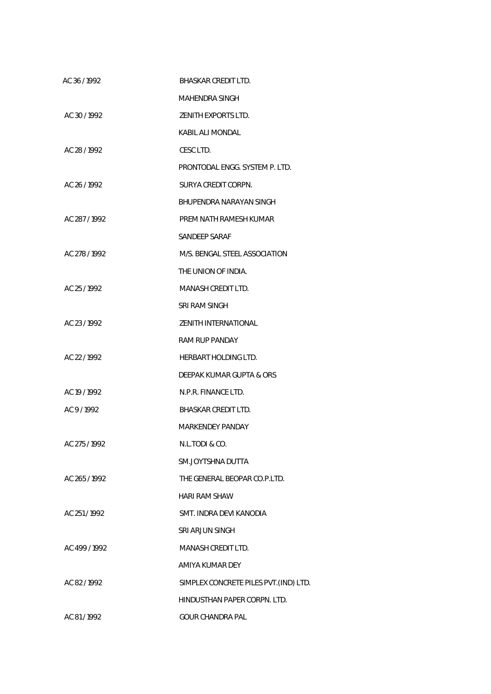| AC 36/1992    | BHASKAR CREDIT LTD.                    |
|---------------|----------------------------------------|
|               | MAHENDRA SINGH                         |
| AC 30 / 1992  | ZENITH EXPORTS LTD.                    |
|               | KABIL ALI MONDAL                       |
| AC 28 / 1992  | CESC LTD.                              |
|               | PRONTODAL ENGG. SYSTEM P. LTD.         |
| AC 26 / 1992  | SURYA CREDIT CORPN.                    |
|               | BHUPENDRA NARAYAN SINGH                |
| AC 287/1992   | PREM NATH RAMESH KUMAR                 |
|               | SANDEEP SARAF                          |
| AC 278/1992   | M/S. BENGAL STEEL ASSOCIATION          |
|               | THE UNION OF INDIA.                    |
| AC 25/1992    | MANASH CREDIT LTD.                     |
|               | SRI RAM SINGH                          |
| AC 23 / 1992  | ZENITH INTERNATIONAL                   |
|               | RAM RUP PANDAY                         |
| AC 22 / 1992  | <b>HERBART HOLDING LTD.</b>            |
|               | DEEPAK KUMAR GUPTA & ORS               |
| AC 19 / 1992  | N.P.R. FINANCE LTD.                    |
| AC 9/1992     | BHASKAR CREDIT LTD.                    |
|               | MARKENDEY PANDAY                       |
| AC 275 / 1992 | N.L.TODI & CO.                         |
|               | SM.JOYTSHNA DUTTA                      |
| AC 265 / 1992 | THE GENERAL BEOPAR CO.P.LTD.           |
|               | <b>HARI RAM SHAW</b>                   |
| AC 251/1992   | SMT. INDRA DEVI KANODIA                |
|               | <b>SRI ARJUN SINGH</b>                 |
| AC 499 / 1992 | <b>MANASH CREDIT LTD.</b>              |
|               | AMIYA KUMAR DEY                        |
| AC 82/1992    | SIMPLEX CONCRETE PILES PVT. (IND) LTD. |
|               | HINDUSTHAN PAPER CORPN. LTD.           |
| AC 81/1992    | <b>GOUR CHANDRA PAL</b>                |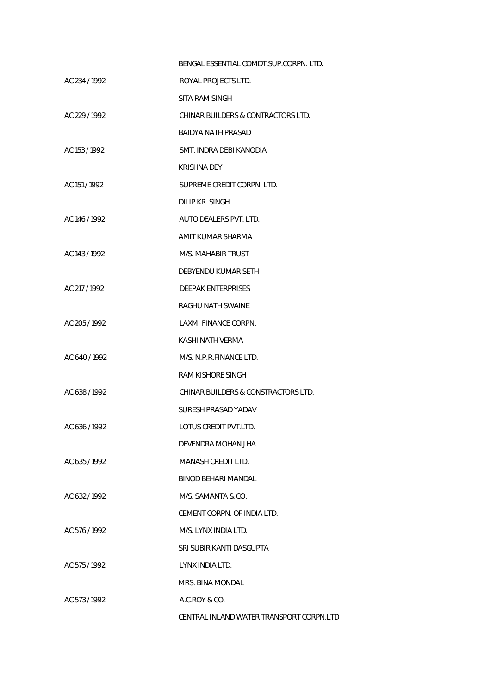|               | BENGAL ESSENTIAL COMDT.SUP.CORPN. LTD.   |
|---------------|------------------------------------------|
| AC 234 / 1992 | ROYAL PROJECTS LTD.                      |
|               | SITA RAM SINGH                           |
| AC 229 / 1992 | CHINAR BUILDERS & CONTRACTORS LTD.       |
|               | BAIDYA NATH PRASAD                       |
| AC 153 / 1992 | SMT. INDRA DEBI KANODIA                  |
|               | KRISHNA DEY                              |
| AC 151/1992   | SUPREME CREDIT CORPN. LTD.               |
|               | DILIP KR. SINGH                          |
| AC 146/1992   | AUTO DEALERS PVT. LTD.                   |
|               | AMIT KUMAR SHARMA                        |
| AC 143 / 1992 | M/S. MAHABIR TRUST                       |
|               | DEBYENDU KUMAR SETH                      |
| AC 217/1992   | <b>DEEPAK ENTERPRISES</b>                |
|               | RAGHU NATH SWAINE                        |
| AC 205/1992   | LAXMI FINANCE CORPN.                     |
|               | KASHI NATH VERMA                         |
| AC 640/1992   | M/S. N.P.R.FINANCE LTD.                  |
|               | RAM KISHORE SINGH                        |
| AC 638/1992   | CHINAR BUILDERS & CONSTRACTORS LTD.      |
|               | SURESH PRASAD YADAV                      |
| AC 636/1992   | LOTUS CREDIT PVT.LTD.                    |
|               | DEVENDRA MOHAN JHA                       |
| AC 635/1992   | <b>MANASH CREDIT LTD.</b>                |
|               | BINOD BEHARI MANDAL                      |
| AC 632/1992   | M/S. SAMANTA & CO.                       |
|               | CEMENT CORPN. OF INDIA LTD.              |
| AC 576/1992   | M/S. LYNX INDIA LTD.                     |
|               | SRI SUBIR KANTI DASGUPTA                 |
| AC 575 / 1992 | LYNX INDIA LTD.                          |
|               | MRS. BINA MONDAL                         |
| AC 573/1992   | A.C.ROY & CO.                            |
|               | CENTRAL INLAND WATER TRANSPORT CORPN.LTD |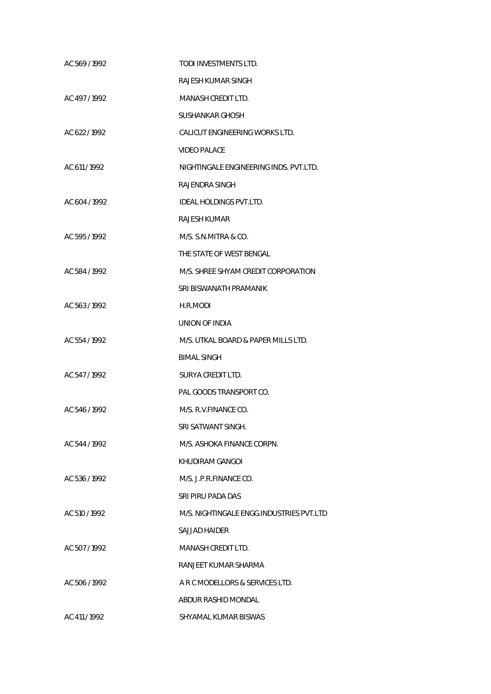| AC 569/1992   | TODI INVESTMENTS LTD.                    |
|---------------|------------------------------------------|
|               | RAJESH KUMAR SINGH                       |
| AC 497/1992   | <b>MANASH CREDIT LTD.</b>                |
|               | SUSHANKAR GHOSH                          |
| AC 622/1992   | CALICUT ENGINEERING WORKS LTD.           |
|               | <b>VIDEO PALACE</b>                      |
| AC 611/1992   | NIGHTINGALE ENGINEERING INDS. PVT.LTD.   |
|               | RAJENDRA SINGH                           |
| AC 604 / 1992 | IDEAL HOLDINGS PVT.LTD.                  |
|               | RAJESH KUMAR                             |
| AC 595/1992   | M/S. S.N.MITRA & CO.                     |
|               | THE STATE OF WEST BENGAL                 |
| AC 584 / 1992 | M/S. SHREE SHYAM CREDIT CORPORATION      |
|               | SRI BISWANATH PRAMANIK                   |
| AC 563 / 1992 | H.R.MODI                                 |
|               | UNION OF INDIA                           |
| AC 554 / 1992 | M/S. UTKAL BOARD & PAPER MILLS LTD.      |
|               | <b>BIMAL SINGH</b>                       |
| AC 547 / 1992 | SURYA CREDIT LTD.                        |
|               | PAL GOODS TRANSPORT CO.                  |
| AC 546/1992   | M/S. R.V.FINANCE CO.                     |
|               | SRI SATWANT SINGH.                       |
| AC 544 / 1992 | M/S. ASHOKA FINANCE CORPN.               |
|               | KHUDIRAM GANGOL                          |
| AC 536/1992   | M/S. J.P.R.FINANCE CO.                   |
|               | SRI PIRU PADA DAS                        |
| AC 510 / 1992 | M/S. NIGHTINGALE ENGG.INDUSTRIES PVT.LTD |
|               | SAJJAD HAIDER                            |
| AC 507/1992   | MANASH CREDIT LTD.                       |
|               | RANJEET KUMAR SHARMA                     |
| AC 506/1992   | A R C MODELLORS & SERVICES LTD.          |
|               | ABDUR RASHID MONDAL                      |
| AC 411 / 1992 | SHYAMAL KUMAR BISWAS                     |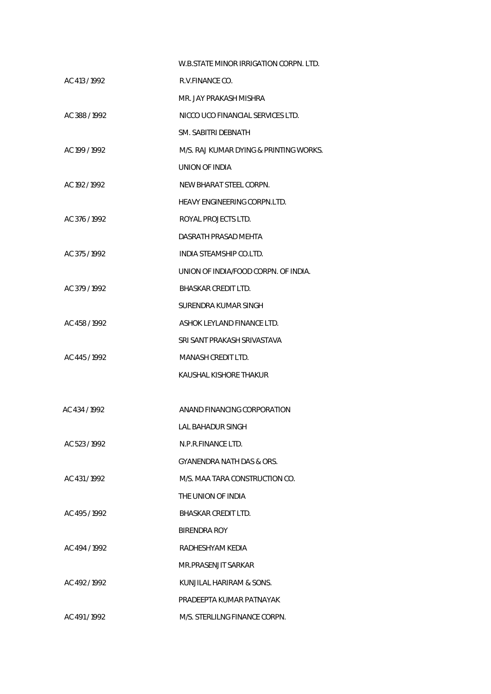|               | W.B.STATE MINOR IRRIGATION CORPN. LTD. |
|---------------|----------------------------------------|
| AC 413/1992   | R.V.FINANCE CO.                        |
|               | MR. JAY PRAKASH MISHRA                 |
| AC 388/1992   | NICCO UCO FINANCIAL SERVICES LTD.      |
|               | SM. SABITRI DEBNATH                    |
| AC 199 / 1992 | M/S. RAJ KUMAR DYING & PRINTING WORKS. |
|               | UNION OF INDIA                         |
| AC 192 / 1992 | NEW BHARAT STEEL CORPN.                |
|               | HEAVY ENGINEERING CORPN.LTD.           |
| AC 376/1992   | ROYAL PROJECTS LTD.                    |
|               | DASRATH PRASAD MEHTA                   |
| AC 375/1992   | INDIA STEAMSHIP CO.LTD.                |
|               | UNION OF INDIA/FOOD CORPN. OF INDIA.   |
| AC 379/1992   | <b>BHASKAR CREDIT LTD.</b>             |
|               | SURENDRA KUMAR SINGH                   |
| AC 458 / 1992 | ASHOK LEYLAND FINANCE LTD.             |
|               | SRI SANT PRAKASH SRIVASTAVA            |
| AC 445/1992   | MANASH CREDIT LTD.                     |
|               | KAUSHAL KISHORE THAKUR                 |
|               |                                        |
| AC 434 / 1992 | ANAND FINANCING CORPORATION            |
|               | LAL BAHADUR SINGH                      |
| AC 523/1992   | N.P.R.FINANCE LTD.                     |
|               | GYANENDRA NATH DAS & ORS.              |
| AC 431/1992   | M/S. MAA TARA CONSTRUCTION CO.         |
|               | THE UNION OF INDIA                     |
| AC 495/1992   | <b>BHASKAR CREDIT LTD.</b>             |
|               | BIRENDRA ROY                           |
| AC 494 / 1992 | RADHESHYAM KEDIA                       |
|               | MR.PRASENJIT SARKAR                    |
| AC 492/1992   | KUNJILAL HARIRAM & SONS.               |
|               | PRADEEPTA KUMAR PATNAYAK               |
| AC 491/1992   | M/S. STERLILNG FINANCE CORPN.          |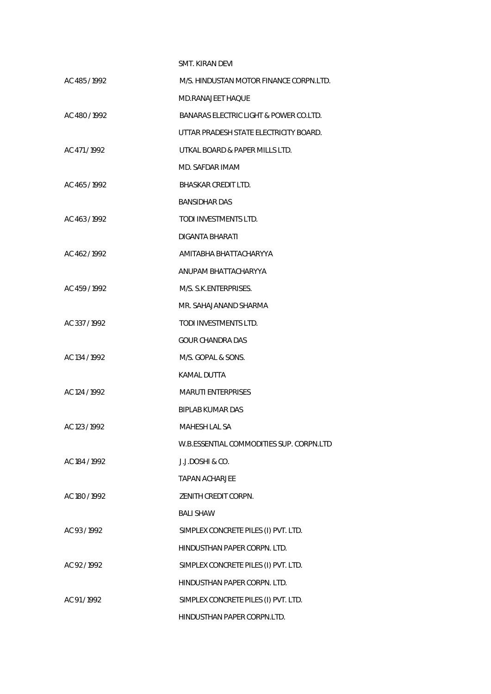|               | <b>SMT. KIRAN DEVI</b>                   |
|---------------|------------------------------------------|
| AC 485/1992   | M/S. HINDUSTAN MOTOR FINANCE CORPN.LTD.  |
|               | MD.RANAJEET HAQUE                        |
| AC 480/1992   | BANARAS ELECTRIC LIGHT & POWER CO.LTD.   |
|               | UTTAR PRADESH STATE ELECTRICITY BOARD.   |
| AC 471/1992   | UTKAL BOARD & PAPER MILLS LTD.           |
|               | MD. SAFDAR IMAM                          |
| AC 465/1992   | BHASKAR CREDIT LTD.                      |
|               | <b>BANSIDHAR DAS</b>                     |
| AC 463/1992   | TODI INVESTMENTS LTD.                    |
|               | DIGANTA BHARATI                          |
| AC 462/1992   | AMITABHA BHATTACHARYYA                   |
|               | ANUPAM BHATTACHARYYA                     |
| AC 459/1992   | M/S. S.K.ENTERPRISES.                    |
|               | MR. SAHAJANAND SHARMA                    |
| AC 337/1992   | TODI INVESTMENTS LTD.                    |
|               | GOUR CHANDRA DAS                         |
| AC 134 / 1992 | M/S. GOPAL & SONS.                       |
|               | KAMAL DUTTA                              |
| AC 124 / 1992 | <b>MARUTI ENTERPRISES</b>                |
|               | BIPLAB KUMAR DAS                         |
| AC 123 / 1992 | MAHESH LAL SA                            |
|               | W.B.ESSENTIAL COMMODITIES SUP. CORPN.LTD |
| AC 184 / 1992 | J.J.DOSHI & CO.                          |
|               | TAPAN ACHARJEE                           |
| AC 180 / 1992 | ZENITH CREDIT CORPN.                     |
|               | <b>BALI SHAW</b>                         |
| AC 93/1992    | SIMPLEX CONCRETE PILES (I) PVT. LTD.     |
|               | HINDUSTHAN PAPER CORPN. LTD.             |
| AC 92/1992    | SIMPLEX CONCRETE PILES (I) PVT. LTD.     |
|               | HINDUSTHAN PAPER CORPN. LTD.             |
| AC 91/1992    | SIMPLEX CONCRETE PILES (I) PVT. LTD.     |
|               | HINDUSTHAN PAPER CORPN.LTD.              |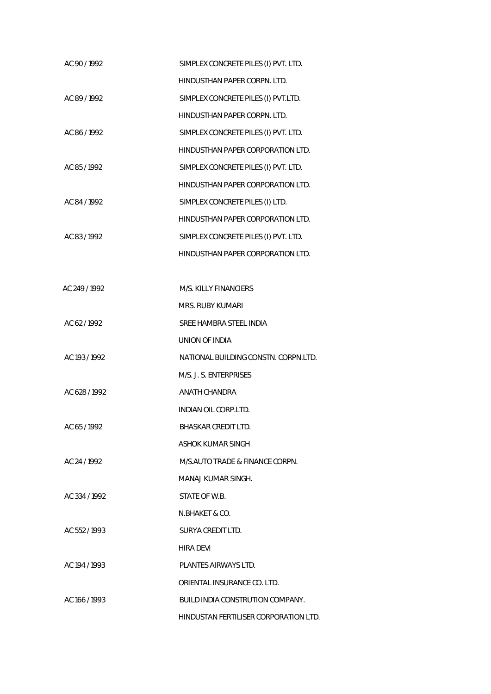| AC 90/1992    | SIMPLEX CONCRETE PILES (I) PVT. LTD.  |
|---------------|---------------------------------------|
|               | HINDUSTHAN PAPER CORPN. LTD.          |
| AC 89 / 1992  | SIMPLEX CONCRETE PILES (I) PVT.LTD.   |
|               | HINDUSTHAN PAPER CORPN. LTD.          |
| AC 86 / 1992  | SIMPLEX CONCRETE PILES (I) PVT. LTD.  |
|               | HINDUSTHAN PAPER CORPORATION LTD.     |
| AC 85/1992    | SIMPLEX CONCRETE PILES (I) PVT. LTD.  |
|               | HINDUSTHAN PAPER CORPORATION LTD.     |
| AC 84 / 1992  | SIMPLEX CONCRETE PILES (I) LTD.       |
|               | HINDUSTHAN PAPER CORPORATION LTD.     |
| AC 83/1992    | SIMPLEX CONCRETE PILES (I) PVT. LTD.  |
|               | HINDUSTHAN PAPER CORPORATION LTD.     |
|               |                                       |
| AC 249 / 1992 | M/S. KILLY FINANCIERS                 |
|               | MRS. RUBY KUMARI                      |
| AC 62/1992    | SREE HAMBRA STEEL INDIA               |
|               | UNION OF INDIA                        |
| AC 193 / 1992 | NATIONAL BUILDING CONSTN. CORPN.LTD.  |
|               | M/S. J. S. ENTERPRISES                |
| AC 628 / 1992 | ANATH CHANDRA                         |
|               | <b>INDIAN OIL CORP.LTD.</b>           |
| AC 65 / 1992  | BHASKAR CREDIT LTD.                   |
|               | ASHOK KUMAR SINGH                     |
| AC 24 / 1992  | M/S.AUTO TRADE & FINANCE CORPN.       |
|               | MANAJ KUMAR SINGH.                    |
| AC 334/1992   | STATE OF W.B.                         |
|               | N.BHAKET & CO.                        |
| AC 552/1993   | SURYA CREDIT LTD.                     |
|               | HIRA DEVI                             |
| AC 194 / 1993 | PLANTES AIRWAYS LTD.                  |
|               | ORIENTAL INSURANCE CO. LTD.           |
| AC 166 / 1993 | BUILD INDIA CONSTRUTION COMPANY.      |
|               | HINDUSTAN FERTILISER CORPORATION LTD. |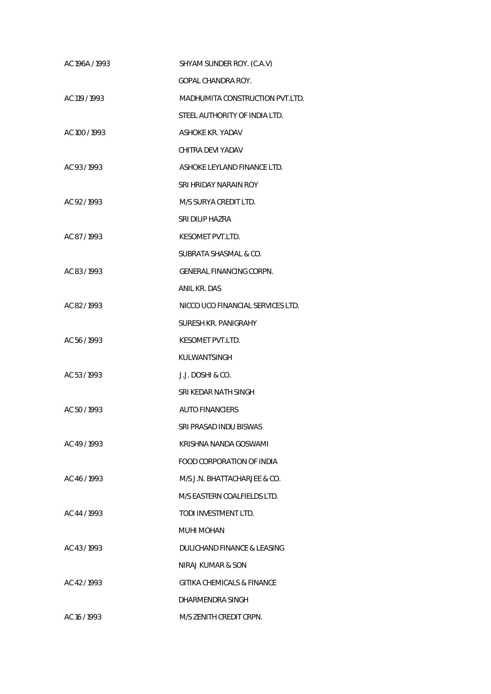| AC 196A / 1993 | SHYAM SUNDER ROY. (C.A.V)         |
|----------------|-----------------------------------|
|                | <b>GOPAL CHANDRA ROY.</b>         |
| AC 119 / 1993  | MADHUMITA CONSTRUCTION PVT.LTD.   |
|                | STEEL AUTHORITY OF INDIA LTD.     |
| AC 100 / 1993  | ASHOKE KR. YADAV                  |
|                | CHITRA DEVI YADAV                 |
| AC 93/1993     | ASHOKE LEYLAND FINANCE LTD.       |
|                | SRI HRIDAY NARAIN ROY             |
| AC 92/1993     | M/S SURYA CREDIT LTD.             |
|                | SRI DILIP HAZRA                   |
| AC 87/1993     | KESOMET PVT.LTD.                  |
|                | SUBRATA SHASMAL & CO.             |
| AC 83/1993     | GENERAL FINANCING CORPN.          |
|                | ANIL KR. DAS                      |
| AC 82/1993     | NICCO UCO FINANCIAL SERVICES LTD. |
|                | SURESH KR. PANIGRAHY              |
| AC 56 / 1993   | KESOMET PVT.LTD.                  |
|                | KULWANTSINGH                      |
| AC 53/1993     | J.J. DOSHI & CO.                  |
|                | SRI KEDAR NATH SINGH              |
| AC 50/1993     | <b>AUTO FINANCIERS</b>            |
|                | SRI PRASAD INDU BISWAS            |
| AC 49/1993     | KRISHNA NANDA GOSWAMI             |
|                | FOOD CORPORATION OF INDIA         |
| AC 46/1993     | M/S J.N. BHATTACHARJEE & CO.      |
|                | M/S EASTERN COALFIELDS LTD.       |
| AC 44 / 1993   | TODI INVESTMENT LTD.              |
|                | MUHI MOHAN                        |
| AC 43/1993     | DULICHAND FINANCE & LEASING       |
|                | NIRAJ KUMAR & SON                 |
| AC 42/1993     | GITIKA CHEMICALS & FINANCE        |
|                | DHARMENDRA SINGH                  |
| AC 16 / 1993   | M/S ZENITH CREDIT CRPN.           |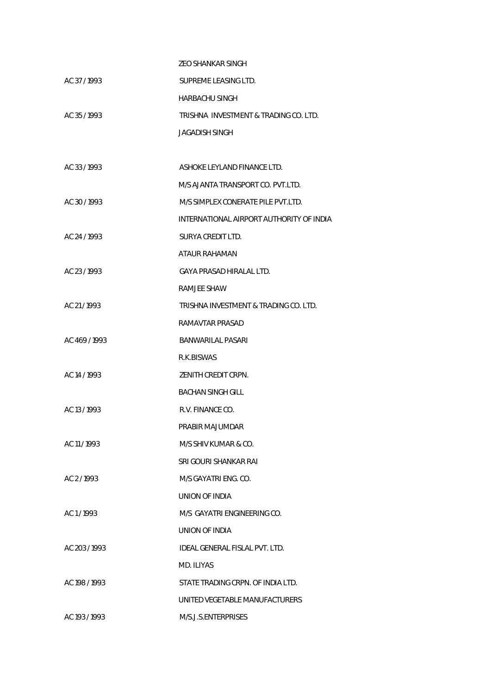|               | <b>ZEO SHANKAR SINGH</b>                 |
|---------------|------------------------------------------|
| AC 37/1993    | SUPREME LEASING LTD.                     |
|               | <b>HARBACHU SINGH</b>                    |
| AC 35/1993    | TRISHNA INVESTMENT & TRADING CO. LTD.    |
|               | <b>JAGADISH SINGH</b>                    |
|               |                                          |
| AC 33/1993    | ASHOKE LEYLAND FINANCE LTD.              |
|               | M/S AJANTA TRANSPORT CO. PVT.LTD.        |
| AC 30/1993    | M/S SIMPLEX CONERATE PILE PVT.LTD.       |
|               | INTERNATIONAL AIRPORT AUTHORITY OF INDIA |
| AC 24 / 1993  | SURYA CREDIT LTD.                        |
|               | ATAUR RAHAMAN                            |
| AC 23/1993    | <b>GAYA PRASAD HIRALAL LTD.</b>          |
|               | <b>RAMJEE SHAW</b>                       |
| AC 21/1993    | TRISHNA INVESTMENT & TRADING CO. LTD.    |
|               | RAMAVTAR PRASAD                          |
| AC 469/1993   | BANWARILAL PASARI                        |
|               | R.K.BISWAS                               |
| AC 14 / 1993  | ZENITH CREDIT CRPN.                      |
|               | <b>BACHAN SINGH GILL</b>                 |
| AC 13/1993    | R.V. FINANCE CO.                         |
|               | PRABIR MAJUMDAR                          |
| AC 11/1993    | M/S SHIV KUMAR & CO.                     |
|               | SRI GOURI SHANKAR RAI                    |
| AC 2/1993     | M/S GAYATRI ENG. CO.                     |
|               | UNION OF INDIA                           |
| AC 1/1993     | M/S GAYATRI ENGINEERING CO.              |
|               | UNION OF INDIA                           |
| AC 203/1993   | IDEAL GENERAL FISLAL PVT. LTD.           |
|               | MD. ILIYAS                               |
| AC 198 / 1993 | STATE TRADING CRPN. OF INDIA LTD.        |
|               | UNITED VEGETABLE MANUFACTURERS           |
| AC 193 / 1993 | M/S.J.S.ENTERPRISES                      |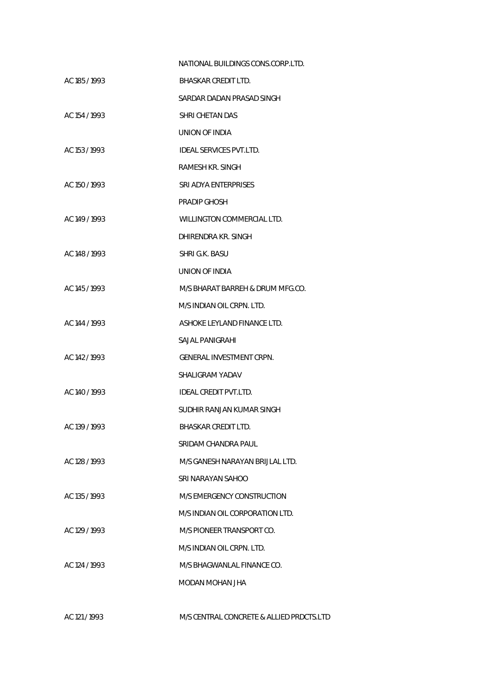|               | NATIONAL BUILDINGS CONS.CORP.LTD. |
|---------------|-----------------------------------|
| AC 185 / 1993 | BHASKAR CREDIT LTD.               |
|               | SARDAR DADAN PRASAD SINGH         |
| AC 154 / 1993 | SHRI CHETAN DAS                   |
|               | UNION OF INDIA                    |
| AC 153 / 1993 | <b>IDEAL SERVICES PVT.LTD.</b>    |
|               | RAMESH KR. SINGH                  |
| AC 150 / 1993 | SRI ADYA ENTERPRISES              |
|               | PRADIP GHOSH                      |
| AC 149 / 1993 | WILLINGTON COMMERCIAL LTD.        |
|               | DHIRENDRA KR. SINGH               |
| AC 148 / 1993 | SHRI G.K. BASU                    |
|               | UNION OF INDIA                    |
| AC 145 / 1993 | M/S BHARAT BARREH & DRUM MFG.CO.  |
|               | M/S INDIAN OIL CRPN. LTD.         |
| AC 144 / 1993 | ASHOKE LEYLAND FINANCE LTD.       |
|               | SAJAL PANIGRAHI                   |
| AC 142/1993   | GENERAL INVESTMENT CRPN.          |
|               | SHALIGRAM YADAV                   |
| AC 140 / 1993 | IDEAL CREDIT PVT.LTD.             |
|               | SUDHIR RANJAN KUMAR SINGH         |
| AC 139 / 1993 | <b>BHASKAR CREDIT LTD.</b>        |
|               | SRIDAM CHANDRA PAUL               |
| AC 128 / 1993 | M/S GANESH NARAYAN BRIJLAL LTD.   |
|               | SRI NARAYAN SAHOO                 |
| AC 135 / 1993 | M/S EMERGENCY CONSTRUCTION        |
|               | M/S INDIAN OIL CORPORATION LTD.   |
| AC 129 / 1993 | M/S PIONEER TRANSPORT CO.         |
|               | M/S INDIAN OIL CRPN. LTD.         |
| AC 124 / 1993 | M/S BHAGWANLAL FINANCE CO.        |
|               | MODAN MOHAN JHA                   |
|               |                                   |

AC 121 / 1993 M/S CENTRAL CONCRETE & ALLIED PRDCTS.LTD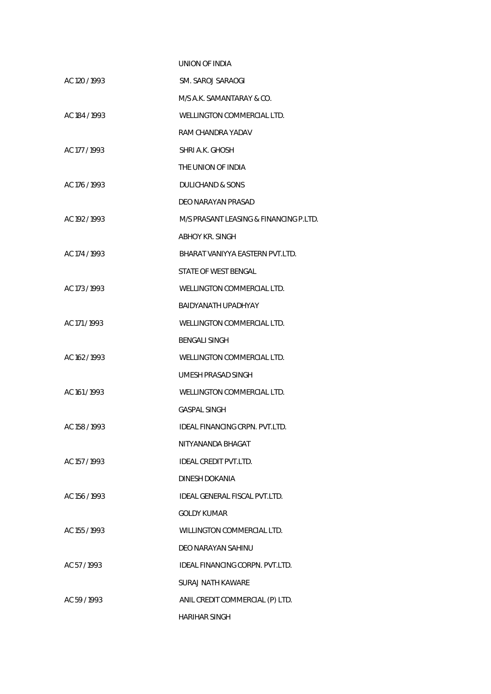|               | UNION OF INDIA                         |
|---------------|----------------------------------------|
| AC 120 / 1993 | SM. SAROJ SARAOGI                      |
|               | M/S A.K. SAMANTARAY & CO.              |
| AC 184 / 1993 | WELLINGTON COMMERCIAL LTD.             |
|               | RAM CHANDRA YADAV                      |
| AC 177 / 1993 | SHRI A.K. GHOSH                        |
|               | THE UNION OF INDIA                     |
| AC 176 / 1993 | DULICHAND & SONS                       |
|               | DEO NARAYAN PRASAD                     |
| AC 192/1993   | M/S PRASANT LEASING & FINANCING P.LTD. |
|               | ABHOY KR. SINGH                        |
| AC 174 / 1993 | BHARAT VANIYYA FASTERN PVT LTD.        |
|               | <b>STATE OF WEST BENGAL</b>            |
| AC 173 / 1993 | WELLINGTON COMMERCIAL LTD.             |
|               | BAIDYANATH UPADHYAY                    |
| AC 171/1993   | WELLINGTON COMMERCIAL LTD.             |
|               | <b>BENGALI SINGH</b>                   |
| AC 162/1993   | WELLINGTON COMMERCIAL LTD.             |
|               | UMESH PRASAD SINGH                     |
| AC 161/1993   | WELLINGTON COMMERCIAL LTD.             |
|               | <b>GASPAL SINGH</b>                    |
| AC 158 / 1993 | IDEAL FINANCING CRPN. PVT.LTD.         |
|               | NITYANANDA BHAGAT                      |
| AC 157/1993   | <b>IDEAL CREDIT PVT.LTD.</b>           |
|               | DINESH DOKANIA                         |
| AC 156 / 1993 | IDEAL GENERAL FISCAL PVT.LTD.          |
|               | <b>GOLDY KUMAR</b>                     |
| AC 155 / 1993 | WILLINGTON COMMERCIAL LTD.             |
|               | DEO NARAYAN SAHINU                     |
| AC 57/1993    | <b>IDEAL FINANCING CORPN. PVT.LTD.</b> |
|               | <b>SURAJ NATH KAWARE</b>               |
| AC 59/1993    | ANIL CREDIT COMMERCIAL (P) LTD.        |
|               | <b>HARIHAR SINGH</b>                   |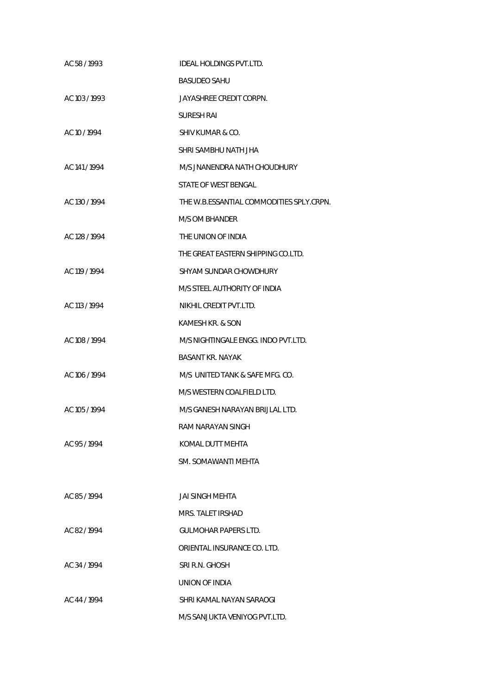| AC 58 / 1993  | IDEAL HOLDINGS PVT.LTD.                  |
|---------------|------------------------------------------|
|               | <b>BASUDEO SAHU</b>                      |
| AC 103/1993   | JAYASHREE CREDIT CORPN.                  |
|               | <b>SURESH RAI</b>                        |
| AC 10 / 1994  | SHIV KUMAR & CO.                         |
|               | SHRI SAMBHU NATH JHA                     |
| AC 141 / 1994 | M/S JNANENDRA NATH CHOUDHURY             |
|               | STATE OF WEST BENGAL                     |
| AC 130 / 1994 | THE W.B.ESSANTIAL COMMODITIES SPLY.CRPN. |
|               | M/S OM BHANDER                           |
| AC 128 / 1994 | THE UNION OF INDIA                       |
|               | THE GREAT EASTERN SHIPPING CO.LTD.       |
| AC 119 / 1994 | SHYAM SUNDAR CHOWDHURY                   |
|               | M/S STEEL AUTHORITY OF INDIA             |
| AC 113 / 1994 | NIKHIL CREDIT PVT.LTD.                   |
|               | KAMESH KR. & SON                         |
| AC 108 / 1994 | M/S NIGHTINGALE ENGG. INDO PVT.LTD.      |
|               | <b>BASANT KR. NAYAK</b>                  |
| AC 106 / 1994 | M/S UNITED TANK & SAFE MFG. CO.          |
|               | M/S WESTERN COALFIELD LTD.               |
| AC 105 / 1994 | M/S GANESH NARAYAN BRIJLAL LTD.          |
|               | RAM NARAYAN SINGH                        |
| AC 95/1994    | KOMAL DUTT MEHTA                         |
|               | SM. SOMAWANTI MEHTA                      |
|               |                                          |
| AC 85/1994    | JAI SINGH MEHTA                          |
|               | MRS. TALET IRSHAD                        |
| AC 82/1994    | <b>GULMOHAR PAPERS LTD.</b>              |
|               | ORIENTAL INSURANCE CO. LTD.              |
| AC 34 / 1994  | SRI R.N. GHOSH                           |
|               | UNION OF INDIA                           |
| AC 44 / 1994  | SHRI KAMAL NAYAN SARAOGI                 |
|               | M/S SANJUKTA VENIYOG PVT.LTD.            |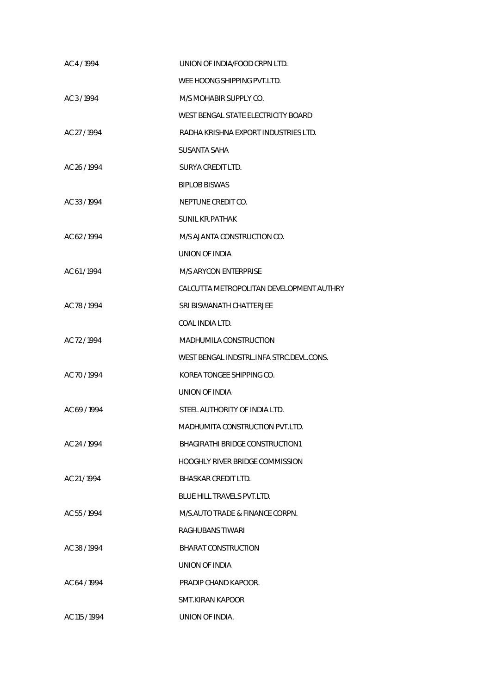| AC 4 / 1994   | UNION OF INDIA/FOOD CRPN LTD.            |
|---------------|------------------------------------------|
|               | WEE HOONG SHIPPING PVT.LTD.              |
| AC 3/1994     | M/S MOHABIR SUPPLY CO.                   |
|               | WEST BENGAL STATE ELECTRICITY BOARD      |
| AC 27 / 1994  | RADHA KRISHNA EXPORT INDUSTRIES LTD.     |
|               | <b>SUSANTA SAHA</b>                      |
| AC 26 / 1994  | SURYA CREDIT LTD.                        |
|               | <b>BIPLOB BISWAS</b>                     |
| AC 33/1994    | NEPTUNE CREDIT CO.                       |
|               | <b>SUNIL KR.PATHAK</b>                   |
| AC 62/1994    | M/S AJANTA CONSTRUCTION CO.              |
|               | UNION OF INDIA                           |
| AC 61/1994    | M/S ARYCON ENTERPRISE                    |
|               | CALCUTTA METROPOLITAN DEVELOPMENT AUTHRY |
| AC 78 / 1994  | SRI BISWANATH CHATTERJEE                 |
|               | COAL INDIA LTD.                          |
| AC 72/1994    | <b>MADHUMILA CONSTRUCTION</b>            |
|               | WEST BENGAL INDSTRL.INFA STRC.DEVL.CONS. |
| AC 70/1994    | KOREA TONGEE SHIPPING CO.                |
|               | <b>UNION OF INDIA</b>                    |
| AC 69/1994    | STEEL AUTHORITY OF INDIA LTD.            |
|               | MADHUMITA CONSTRUCTION PVT.LTD.          |
| AC 24 / 1994  | BHAGIRATHI BRIDGE CONSTRUCTION1          |
|               | HOOGHLY RIVER BRIDGE COMMISSION          |
| AC 21/1994    | <b>BHASKAR CREDIT LTD.</b>               |
|               | <b>BLUE HILL TRAVELS PVT.LTD.</b>        |
| AC 55/1994    | M/S.AUTO TRADE & FINANCE CORPN.          |
|               | RAGHUBANS TIWARI                         |
| AC 38 / 1994  | <b>BHARAT CONSTRUCTION</b>               |
|               | UNION OF INDIA                           |
| AC 64 / 1994  | PRADIP CHAND KAPOOR.                     |
|               | SMT.KIRAN KAPOOR                         |
| AC 115 / 1994 | UNION OF INDIA.                          |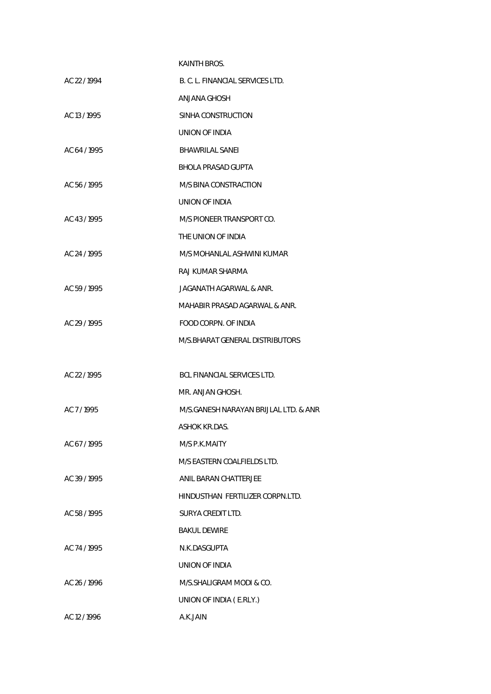|              | <b>KAINTH BROS.</b>                   |
|--------------|---------------------------------------|
| AC 22 / 1994 | B. C. L. FINANCIAL SERVICES LTD.      |
|              | ANJANA GHOSH                          |
| AC 13/1995   | SINHA CONSTRUCTION                    |
|              | UNION OF INDIA                        |
| AC 64 / 1995 | <b>BHAWRILAL SANEL</b>                |
|              | BHOLA PRASAD GUPTA                    |
| AC 56 / 1995 | M/S BINA CONSTRACTION                 |
|              | UNION OF INDIA                        |
| AC 43/1995   | M/S PIONEER TRANSPORT CO.             |
|              | THE UNION OF INDIA                    |
| AC 24 / 1995 | M/S MOHANLAL ASHWINI KUMAR            |
|              | RAJ KUMAR SHARMA                      |
| AC 59/1995   | JAGANATH AGARWAL & ANR.               |
|              | MAHABIR PRASAD AGARWAL & ANR.         |
| AC 29 / 1995 | FOOD CORPN. OF INDIA                  |
|              | M/S.BHARAT GENERAL DISTRIBUTORS       |
|              |                                       |
| AC 22 / 1995 | BCL FINANCIAL SERVICES LTD.           |
|              | MR. ANJAN GHOSH.                      |
| AC 7/1995    | M/S.GANESH NARAYAN BRIJLAL LTD. & ANR |
|              | ASHOK KR.DAS.                         |
| AC 67/1995   | M/S P.K.MAITY                         |
|              | M/S EASTERN COALFIELDS LTD.           |
| AC 39 / 1995 | ANIL BARAN CHATTERJEE                 |
|              | HINDUSTHAN FERTILIZER CORPN.LTD.      |
| AC 58/1995   | SURYA CREDIT LTD.                     |
|              | <b>BAKUL DEWIRE</b>                   |
| AC 74 / 1995 | N.K.DASGUPTA                          |
|              | UNION OF INDIA                        |
| AC 26/1996   | M/S.SHALIGRAM MODI & CO.              |
|              | UNION OF INDIA (E.RLY.)               |
| AC 12/1996   | A.K.JAIN                              |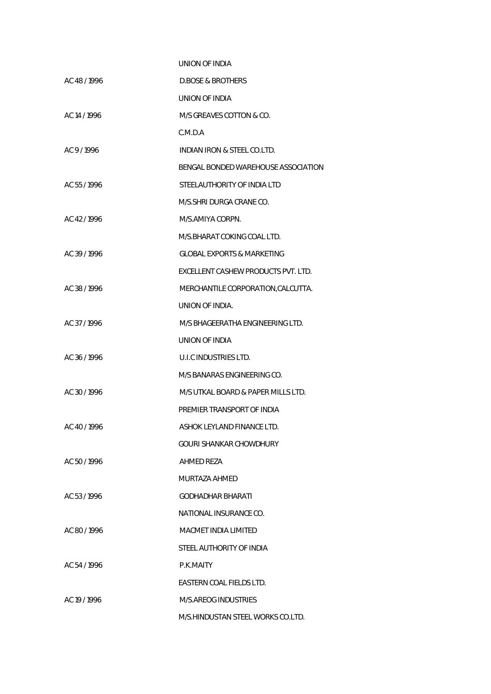|              | UNION OF INDIA                        |
|--------------|---------------------------------------|
| AC 48/1996   | <b>D.BOSE &amp; BROTHERS</b>          |
|              | UNION OF INDIA                        |
| AC 14 / 1996 | M/S GREAVES COTTON & CO.              |
|              | C.M.D.A                               |
| AC 9/1996    | INDIAN IRON & STEEL CO.LTD.           |
|              | BENGAL BONDED WAREHOUSE ASSOCIATION   |
| AC 55 / 1996 | STEELAUTHORITY OF INDIA LTD           |
|              | M/S.SHRI DURGA CRANE CO.              |
| AC 42/1996   | M/S.AMIYA CORPN.                      |
|              | M/S.BHARAT COKING COAL LTD.           |
| AC 39/1996   | <b>GLOBAL EXPORTS &amp; MARKETING</b> |
|              | EXCELLENT CASHEW PRODUCTS PVT. LTD.   |
| AC 38/1996   | MERCHANTILE CORPORATION, CALCUTTA.    |
|              | UNION OF INDIA.                       |
| AC 37/1996   | M/S BHAGEERATHA ENGINEERING LTD.      |
|              | UNION OF INDIA                        |
| AC 36/1996   | U.I.C INDUSTRIES LTD.                 |
|              | M/S BANARAS ENGINEERING CO.           |
| AC 30/1996   | M/S UTKAL BOARD & PAPER MILLS LTD.    |
|              | PREMIER TRANSPORT OF INDIA            |
| AC 40/1996   | ASHOK LEYLAND FINANCE LTD.            |
|              | GOURI SHANKAR CHOWDHURY               |
| AC 50/1996   | AHMED REZA                            |
|              | MURTAZA AHMED                         |
| AC 53/1996   | GODHADHAR BHARATI                     |
|              | NATIONAL INSURANCE CO.                |
| AC 80/1996   | MACMET INDIA LIMITED                  |
|              | STEEL AUTHORITY OF INDIA              |
| AC 54 / 1996 | P.K.MAITY                             |
|              | EASTERN COAL FIELDS LTD.              |
| AC 19 / 1996 | M/S.AREOG INDUSTRIES                  |
|              | M/S.HINDUSTAN STEEL WORKS CO.LTD.     |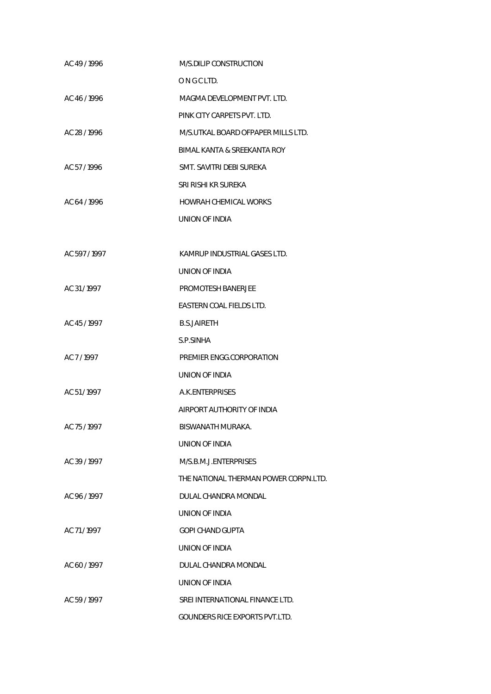| AC 49/1996    | M/S.DILIP CONSTRUCTION                |
|---------------|---------------------------------------|
|               | ONGCLTD.                              |
| AC 46/1996    | MAGMA DEVELOPMENT PVT. LTD.           |
|               | PINK CITY CARPETS PVT. LTD.           |
| AC 28 / 1996  | M/S.UTKAL BOARD OFPAPER MILLS LTD.    |
|               | BIMAL KANTA & SREEKANTA ROY           |
| AC 57/1996    | SMT. SAVITRI DEBI SUREKA              |
|               | SRI RISHI KR SUREKA                   |
| AC 64 / 1996  | HOWRAH CHEMICAL WORKS                 |
|               | UNION OF INDIA                        |
|               |                                       |
| AC 597 / 1997 | KAMRUP INDUSTRIAL GASES LTD.          |
|               | UNION OF INDIA                        |
| AC 31/1997    | PROMOTESH BANERJEE                    |
|               | EASTERN COAL FIELDS LTD.              |
| AC 45/1997    | <b>B.S.JAIRETH</b>                    |
|               | S.P.SINHA                             |
| AC 7/1997     | PREMIER ENGG.CORPORATION              |
|               | UNION OF INDIA                        |
| AC 51/1997    | A.K.ENTERPRISES                       |
|               | AIRPORT AUTHORITY OF INDIA            |
| AC 75 / 1997  | BISWANATH MURAKA.                     |
|               | UNION OF INDIA                        |
| AC 39 / 1997  | M/S.B.M.J.ENTERPRISES                 |
|               | THE NATIONAL THERMAN POWER CORPN.LTD. |
| AC 96 / 1997  | DULAL CHANDRA MONDAL                  |
|               | UNION OF INDIA                        |
| AC 71/1997    | <b>GOPI CHAND GUPTA</b>               |
|               | UNION OF INDIA                        |
| AC 60/1997    | DULAL CHANDRA MONDAL                  |
|               | UNION OF INDIA                        |
| AC 59 / 1997  | SREI INTERNATIONAL FINANCE LTD.       |
|               | GOUNDERS RICE EXPORTS PVT.LTD.        |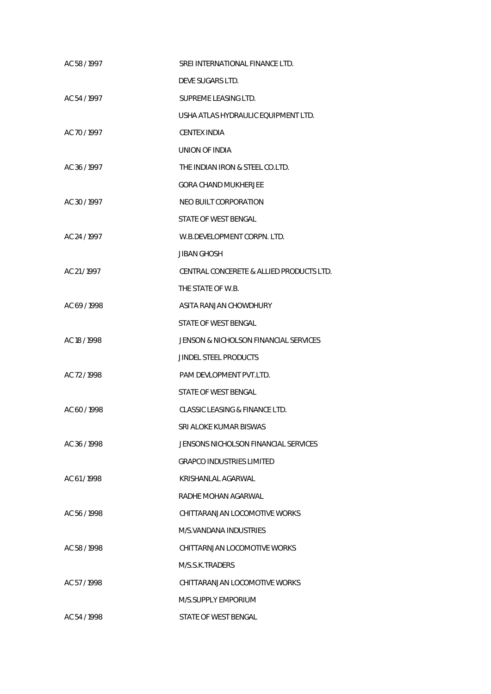| AC 58/1997   | SREI INTERNATIONAL FINANCE LTD.          |
|--------------|------------------------------------------|
|              | DEVE SUGARS LTD.                         |
| AC 54 / 1997 | SUPREME LEASING LTD.                     |
|              | USHA ATLAS HYDRAULIC EQUIPMENT LTD.      |
| AC 70 / 1997 | <b>CENTEX INDIA</b>                      |
|              | UNION OF INDIA                           |
| AC 36 / 1997 | THE INDIAN IRON & STEEL CO.LTD.          |
|              | <b>GORA CHAND MUKHERJEE</b>              |
| AC 30 / 1997 | NEO BUILT CORPORATION                    |
|              | STATE OF WEST BENGAL                     |
| AC 24 / 1997 | W.B.DEVELOPMENT CORPN. LTD.              |
|              | JIBAN GHOSH                              |
| AC 21/1997   | CENTRAL CONCERETE & ALLIED PRODUCTS LTD. |
|              | THE STATE OF W.B.                        |
| AC 69/1998   | ASITA RANJAN CHOWDHURY                   |
|              | STATE OF WEST BENGAL                     |
| AC 18 / 1998 | JENSON & NICHOLSON FINANCIAL SERVICES    |
|              | JINDEL STEEL PRODUCTS                    |
| AC 72 / 1998 | PAM DEVLOPMENT PVT.LTD.                  |
|              | STATE OF WEST BENGAL                     |
| AC 60/1998   | CLASSIC LEASING & FINANCE LTD.           |
|              | SRI ALOKE KUMAR BISWAS                   |
| AC 36/1998   | JENSONS NICHOLSON FINANCIAL SERVICES     |
|              | <b>GRAPCO INDUSTRIES LIMITED</b>         |
| AC 61/1998   | KRISHANLAL AGARWAL                       |
|              | RADHE MOHAN AGARWAL                      |
| AC 56 / 1998 | CHITTARANJAN LOCOMOTIVE WORKS            |
|              | M/S.VANDANA INDUSTRIES                   |
| AC 58/1998   | CHITTARNJAN LOCOMOTIVE WORKS             |
|              | M/S.S.K.TRADERS                          |
| AC 57/1998   | CHITTARANJAN LOCOMOTIVE WORKS            |
|              | M/S.SUPPLY EMPORIUM                      |
| AC 54/1998   | STATE OF WEST BENGAL                     |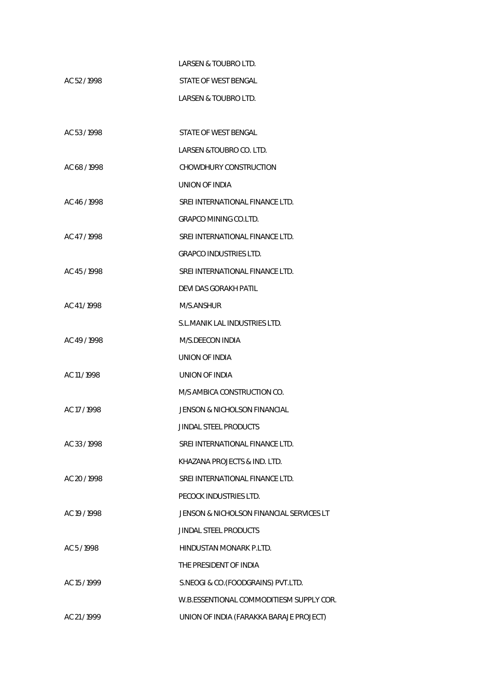|              | LARSEN & TOUBRO LTD.                     |
|--------------|------------------------------------------|
| AC 52/1998   | STATE OF WEST BENGAL                     |
|              | LARSEN & TOUBRO LTD.                     |
|              |                                          |
| AC 53/1998   | STATE OF WEST BENGAL                     |
|              | LARSEN &TOUBRO CO. LTD.                  |
| AC 68/1998   | CHOWDHURY CONSTRUCTION                   |
|              | UNION OF INDIA                           |
| AC 46/1998   | SREI INTERNATIONAL FINANCE LTD.          |
|              | <b>GRAPCO MINING CO.LTD.</b>             |
| AC 47/1998   | SREI INTERNATIONAL FINANCE LTD.          |
|              | <b>GRAPCO INDUSTRIES LTD.</b>            |
| AC 45/1998   | SREI INTERNATIONAL FINANCE LTD.          |
|              | <b>DEVI DAS GORAKH PATIL</b>             |
| AC 41/1998   | M/S.ANSHUR                               |
|              | S.L.MANIK LAL INDUSTRIES LTD.            |
| AC 49/1998   | M/S.DEECON INDIA                         |
|              | UNION OF INDIA                           |
| AC 11/1998   | UNION OF INDIA                           |
|              | M/S AMBICA CONSTRUCTION CO.              |
| AC 17/1998   | JENSON & NICHOLSON FINANCIAL             |
|              | JINDAL STEEL PRODUCTS                    |
| AC 33/1998   | SREI INTERNATIONAL FINANCE LTD.          |
|              | KHAZANA PROJECTS & IND. LTD.             |
| AC 20 / 1998 | SREI INTERNATIONAL FINANCE LTD.          |
|              | PECOCK INDUSTRIES LTD.                   |
| AC 19 / 1998 | JENSON & NICHOLSON FINANCIAL SERVICES LT |
|              | <b>JINDAL STEEL PRODUCTS</b>             |
| AC 5/1998    | HINDUSTAN MONARK P.LTD.                  |
|              | THE PRESIDENT OF INDIA                   |
| AC 15 / 1999 | S.NEOGI & CO.(FOODGRAINS) PVT.LTD.       |
|              | W.B.ESSENTIONAL COMMODITIESM SUPPLY COR. |
| AC 21/1999   | UNION OF INDIA (FARAKKA BARAJE PROJECT)  |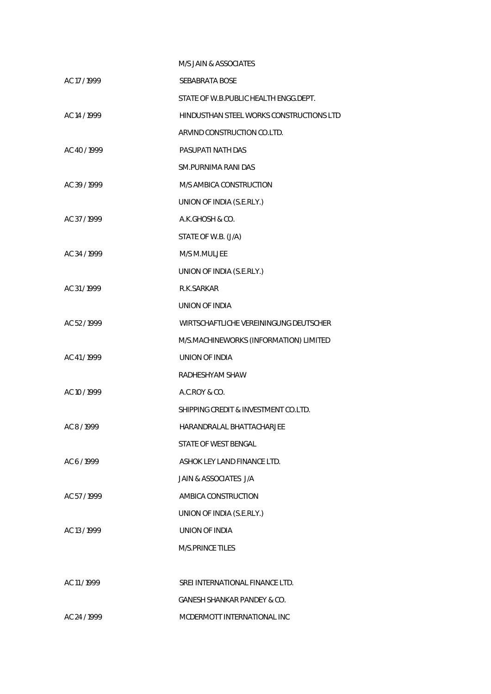|              | M/S JAIN & ASSOCIATES                    |
|--------------|------------------------------------------|
| AC 17 / 1999 | <b>SEBABRATA BOSE</b>                    |
|              | STATE OF W.B.PUBLIC HEALTH ENGG.DEPT.    |
| AC 14 / 1999 | HINDUSTHAN STEEL WORKS CONSTRUCTIONS LTD |
|              | ARVIND CONSTRUCTION CO.LTD.              |
| AC 40/1999   | PASUPATI NATH DAS                        |
|              | SM.PURNIMA RANI DAS                      |
| AC 39/1999   | M/S AMBICA CONSTRUCTION                  |
|              | UNION OF INDIA (S.E.RLY.)                |
| AC 37/1999   | A.K.GHOSH & CO.                          |
|              | STATE OF W.B. (J/A)                      |
| AC 34 / 1999 | M/S M.MULJEE                             |
|              | UNION OF INDIA (S.E.RLY.)                |
| AC 31/1999   | R.K.SARKAR                               |
|              | UNION OF INDIA                           |
| AC 52/1999   | WIRTSCHAFTLICHE VEREININGUNG DEUTSCHER   |
|              | M/S.MACHINEWORKS (INFORMATION) LIMITED   |
| AC 41/1999   | <b>UNION OF INDIA</b>                    |
|              | RADHESHYAM SHAW                          |
| AC 10 / 1999 | A.C.ROY & CO.                            |
|              | SHIPPING CREDIT & INVESTMENT CO.LTD.     |
| AC 8/1999    | HARANDRALAL BHATTACHARJEE                |
|              | STATE OF WEST BENGAL                     |
| AC 6/1999    | ASHOK LEY LAND FINANCE LTD.              |
|              | <b>JAIN &amp; ASSOCIATES J/A</b>         |
| AC 57/1999   | AMBICA CONSTRUCTION                      |
|              | UNION OF INDIA (S.E.RLY.)                |
| AC 13/1999   | UNION OF INDIA                           |
|              | <b>M/S.PRINCE TILES</b>                  |
|              |                                          |
| AC 11/1999   | SREI INTERNATIONAL FINANCE LTD.          |
|              | <b>GANESH SHANKAR PANDEY &amp; CO.</b>   |
| AC 24 / 1999 | MCDERMOTT INTERNATIONAL INC              |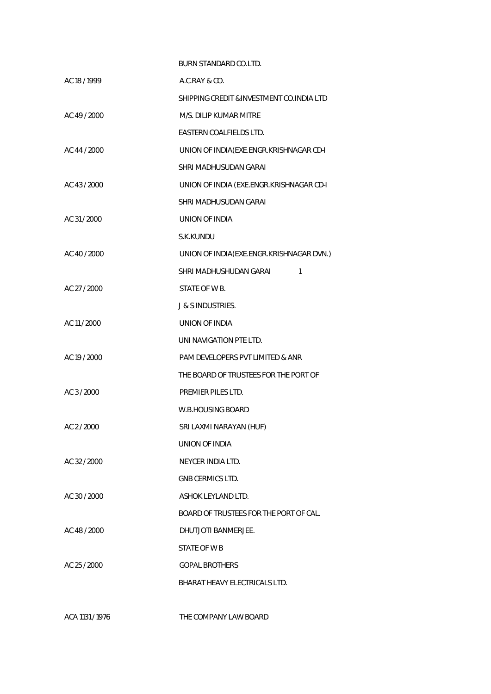|              | BURN STANDARD CO.LTD.                      |
|--------------|--------------------------------------------|
| AC 18 / 1999 | A.C.RAY & CO.                              |
|              | SHIPPING CREDIT & INVESTMENT CO. INDIA LTD |
| AC 49/2000   | M/S. DILIP KUMAR MITRE                     |
|              | EASTERN COALFIELDS LTD.                    |
| AC 44 / 2000 | UNION OF INDIA(EXE.ENGR.KRISHNAGAR CD-I    |
|              | SHRI MADHUSUDAN GARAI                      |
| AC 43 / 2000 | UNION OF INDIA (EXE.ENGR.KRISHNAGAR CD-I   |
|              | SHRI MADHUSUDAN GARAI                      |
| AC 31/2000   | UNION OF INDIA                             |
|              | S.K.KUNDU                                  |
| AC 40 / 2000 | UNION OF INDIA(EXE.ENGR.KRISHNAGAR DVN.)   |
|              | SHRI MADHUSHUDAN GARAI<br>1                |
| AC 27 / 2000 | STATE OF W B.                              |
|              | <b>J &amp; S INDUSTRIES.</b>               |
| AC 11 / 2000 | UNION OF INDIA                             |
|              | UNI NAVIGATION PTE LTD.                    |
| AC 19 / 2000 | PAM DEVELOPERS PVT LIMITED & ANR           |
|              | THE BOARD OF TRUSTEES FOR THE PORT OF      |
| AC 3/2000    | PREMIER PILES LTD.                         |
|              | W.B.HOUSING BOARD                          |
| AC 2/2000    | SRI LAXMI NARAYAN (HUF)                    |
|              | <b>UNION OF INDIA</b>                      |
| AC 32 / 2000 | NEYCER INDIA LTD.                          |
|              | <b>GNB CERMICS LTD.</b>                    |
| AC 30 / 2000 | ASHOK LEYLAND LTD.                         |
|              | BOARD OF TRUSTEES FOR THE PORT OF CAL.     |
| AC 48 / 2000 | DHUTJOTI BANMERJEE.                        |
|              | STATE OF W B                               |
| AC 25 / 2000 | <b>GOPAL BROTHERS</b>                      |
|              | BHARAT HEAVY ELECTRICALS LTD.              |
|              |                                            |

ACA 1131 / 1976 THE COMPANY LAW BOARD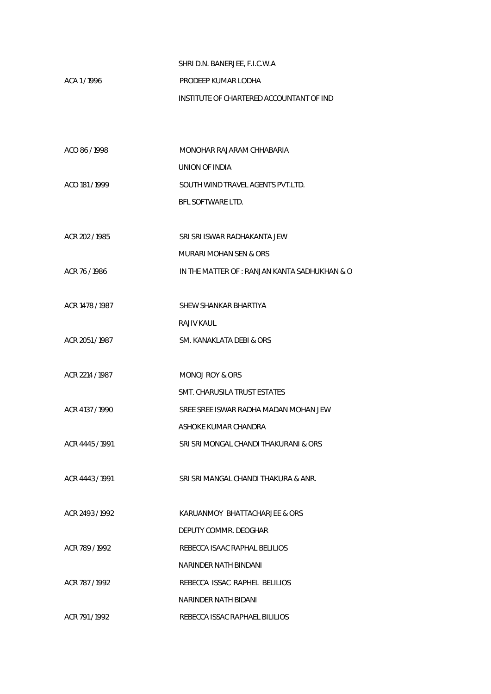## SHRI D.N. BANERJEE, F.I.C.W.A

## ACA 1 / 1996 **PRODEEP KUMAR LODHA** INSTITUTE OF CHARTERED ACCOUNTANT OF IND

| ACO 86/1998     | MONOHAR RAJARAM CHHABARIA                     |
|-----------------|-----------------------------------------------|
|                 | UNION OF INDIA                                |
| ACO 181/1999    | SOUTH WIND TRAVEL AGENTS PVT.LTD.             |
|                 | <b>BFL SOFTWARE LTD.</b>                      |
|                 |                                               |
| ACR 202 / 1985  | SRI SRI ISWAR RADHAKANTA JEW                  |
|                 | <b>MURARI MOHAN SEN &amp; ORS</b>             |
| ACR 76/1986     | IN THE MATTER OF : RANJAN KANTA SADHUKHAN & O |
|                 |                                               |
| ACR 1478 / 1987 | SHEW SHANKAR BHARTIYA                         |
|                 | <b>RAJIV KAUL</b>                             |
| ACR 2051 / 1987 | SM. KANAKLATA DEBI & ORS                      |
|                 |                                               |
| ACR 2214 / 1987 | <b>MONOJ ROY &amp; ORS</b>                    |
|                 | SMT. CHARUSILA TRUST ESTATES                  |
| ACR 4137 / 1990 | SREE SREE ISWAR RADHA MADAN MOHAN JEW         |
|                 | ASHOKE KUMAR CHANDRA                          |
| ACR 4445 / 1991 | SRI SRI MONGAL CHANDI THAKURANI & ORS         |
|                 |                                               |
| ACR 4443 / 1991 | SRI SRI MANGAL CHANDI THAKURA & ANR.          |
|                 |                                               |
| ACR 2493 / 1992 | KARUANMOY BHATTACHARJEE & ORS                 |
|                 | DEPUTY COMMR. DEOGHAR                         |
| ACR 789 / 1992  | REBECCA ISAAC RAPHAL BELILIOS                 |
|                 | NARINDER NATH BINDANI                         |
| ACR 787/1992    | REBECCA ISSAC RAPHEL BELILIOS                 |
|                 | NARINDER NATH BIDANI                          |
| ACR 791/1992    | REBECCA ISSAC RAPHAEL BILILIOS                |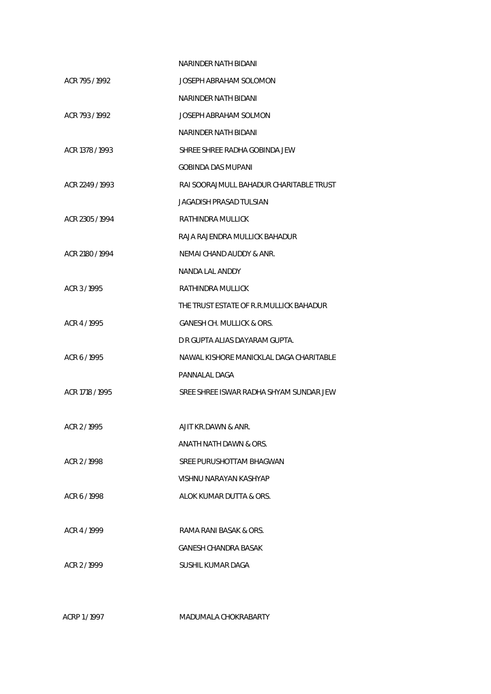|                 | NARINDER NATH BIDANI                    |
|-----------------|-----------------------------------------|
| ACR 795/1992    | JOSEPH ABRAHAM SOLOMON                  |
|                 | NARINDER NATH BIDANI                    |
| ACR 793/1992    | JOSEPH ABRAHAM SOLMON                   |
|                 | NARINDER NATH BIDANI                    |
| ACR 1378 / 1993 | SHREE SHREE RADHA GOBINDA JEW           |
|                 | GOBINDA DAS MUPANI                      |
| ACR 2249 / 1993 | RAI SOORAJMULL BAHADUR CHARITABLE TRUST |
|                 | JAGADISH PRASAD TULSIAN                 |
| ACR 2305 / 1994 | RATHINDRA MULLICK                       |
|                 | RAJA RAJENDRA MULLICK BAHADUR           |
| ACR 2180 / 1994 | NEMAI CHAND AUDDY & ANR.                |
|                 | NANDA LAL ANDDY                         |
| ACR 3/1995      | RATHINDRA MULLICK                       |
|                 | THE TRUST ESTATE OF R.R.MULLICK BAHADUR |
| ACR 4/1995      | GANESH CH. MULLICK & ORS.               |
|                 | D R GUPTA ALIAS DAYARAM GUPTA.          |
| ACR 6/1995      | NAWAL KISHORE MANICKLAL DAGA CHARITABLE |
|                 | PANNALAL DAGA                           |
| ACR 1718 / 1995 | SREE SHREE ISWAR RADHA SHYAM SUNDAR JEW |
|                 |                                         |
| ACR 2 / 1995    | AJIT KR.DAWN & ANR.                     |
|                 | ANATH NATH DAWN & ORS.                  |
| ACR 2/1998      | SREE PURUSHOTTAM BHAGWAN                |
|                 | VISHNU NARAYAN KASHYAP                  |
| ACR 6/1998      | ALOK KUMAR DUTTA & ORS.                 |
|                 |                                         |
| ACR 4 / 1999    | RAMA RANI BASAK & ORS.                  |
|                 | GANESH CHANDRA BASAK                    |
| ACR 2/1999      | SUSHIL KUMAR DAGA                       |
|                 |                                         |

ACRP 1 / 1997 MADUMALA CHOKRABARTY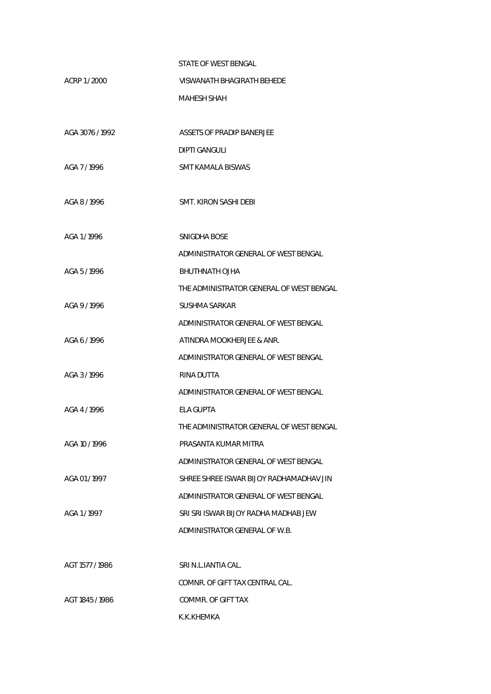|                 | STATE OF WEST BENGAL                     |
|-----------------|------------------------------------------|
| ACRP 1/2000     | VISWANATH BHAGIRATH BEHEDE               |
|                 | MAHESH SHAH                              |
|                 |                                          |
| AGA 3076 / 1992 | ASSETS OF PRADIP BANERJEE                |
|                 | DIPTI GANGULI                            |
| AGA 7/1996      | SMT KAMALA BISWAS                        |
|                 |                                          |
| AGA 8/1996      | SMT. KIRON SASHI DEBI                    |
|                 |                                          |
| AGA 1/1996      | SNIGDHA BOSE                             |
|                 | ADMINISTRATOR GENERAL OF WEST BENGAL     |
| AGA 5/1996      | <b>BHUTHNATH OJHA</b>                    |
|                 | THE ADMINISTRATOR GENERAL OF WEST BENGAL |
| AGA 9/1996      | <b>SUSHMA SARKAR</b>                     |
|                 | ADMINISTRATOR GENERAL OF WEST BENGAL     |
| AGA 6/1996      | ATINDRA MOOKHERJEE & ANR.                |
|                 | ADMINISTRATOR GENERAL OF WEST BENGAL     |
| AGA 3/1996      | RINA DUTTA                               |
|                 | ADMINISTRATOR GENERAL OF WEST BENGAL     |
| AGA 4 / 1996    | ELA GUPTA                                |
|                 | THE ADMINISTRATOR GENERAL OF WEST BENGAL |
| AGA 10 / 1996   | PRASANTA KUMAR MITRA                     |
|                 | ADMINISTRATOR GENERAL OF WEST BENGAL     |
| AGA 01/1997     | SHREE SHREE ISWAR BIJOY RADHAMADHAV JIN  |
|                 | ADMINISTRATOR GENERAL OF WEST BENGAL     |
| AGA 1/1997      | SRI SRI ISWAR BIJOY RADHA MADHAB JEW     |
|                 | ADMINISTRATOR GENERAL OF W.B.            |
|                 |                                          |
| AGT 1577 / 1986 | SRI N.L.IANTIA CAL.                      |
|                 | COMNR. OF GIFT TAX CENTRAL CAL.          |
| AGT 1845 / 1986 | COMMR. OF GIFT TAX                       |
|                 | K.K.KHEMKA                               |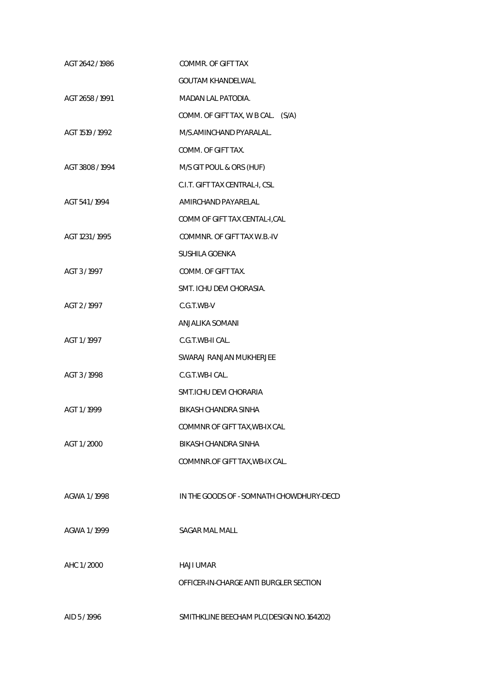| AGT 2642 / 1986 | COMMR. OF GIFT TAX                       |
|-----------------|------------------------------------------|
|                 | <b>GOUTAM KHANDELWAL</b>                 |
| AGT 2658 / 1991 | <b>MADAN LAL PATODIA.</b>                |
|                 | COMM. OF GIFT TAX, W B CAL. (S/A)        |
| AGT 1519 / 1992 | M/S.AMINCHAND PYARALAL.                  |
|                 | COMM. OF GIFT TAX.                       |
| AGT 3808 / 1994 | M/S GIT POUL & ORS (HUF)                 |
|                 | C.I.T. GIFT TAX CENTRAL-I, CSL           |
| AGT 541/1994    | AMIRCHAND PAYARELAL                      |
|                 | COMM OF GIFT TAX CENTAL-I, CAL           |
| AGT 1231 / 1995 | COMMNR. OF GIFT TAX W.B.-IV              |
|                 | SUSHILA GOENKA                           |
| AGT 3/1997      | COMM. OF GIFT TAX.                       |
|                 | SMT. ICHU DEVI CHORASIA.                 |
| AGT 2/1997      | C.G.T.WB-V                               |
|                 | ANJALIKA SOMANI                          |
| AGT 1/1997      | C.G.T.WB-II CAL.                         |
|                 | SWARAJ RANJAN MUKHERJEE                  |
| AGT 3/1998      | C.G.T.WB-I CAL.                          |
|                 | SMT.ICHU DEVI CHORARIA                   |
| AGT 1/1999      | BIKASH CHANDRA SINHA                     |
|                 | COMMNR OF GIFT TAX, WB-IX CAL            |
| AGT 1/2000      | <b>BIKASH CHANDRA SINHA</b>              |
|                 | COMMNR.OF GIFT TAX, WB-IX CAL.           |
|                 |                                          |
| AGWA 1/1998     | IN THE GOODS OF - SOMNATH CHOWDHURY-DECD |
|                 |                                          |
| AGWA 1/1999     | <b>SAGAR MAL MALL</b>                    |
|                 |                                          |
| AHC 1/2000      | <b>HAJI UMAR</b>                         |
|                 | OFFICER-IN-CHARGE ANTI BURGLER SECTION   |
|                 |                                          |
| AID 5/1996      | SMITHKLINE BEECHAM PLC(DESIGN NO.164202) |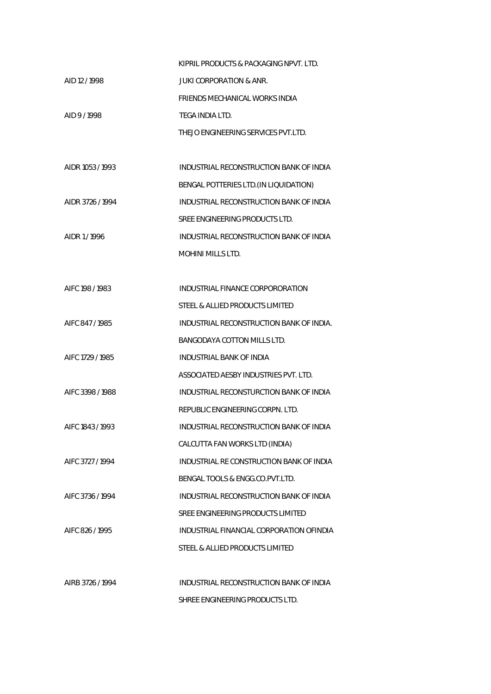|                  | KIPRIL PRODUCTS & PACKAGING NPVT. LTD.   |
|------------------|------------------------------------------|
| AID 12/1998      | JUKI CORPORATION & ANR.                  |
|                  | FRIENDS MECHANICAL WORKS INDIA           |
| AID 9/1998       | TEGA INDIA LTD.                          |
|                  | THEJO ENGINEERING SERVICES PVT.LTD.      |
|                  |                                          |
| AIDR 1053 / 1993 | INDUSTRIAL RECONSTRUCTION BANK OF INDIA  |
|                  | BENGAL POTTERIES LTD. (IN LIQUIDATION)   |
| AIDR 3726 / 1994 | INDUSTRIAL RECONSTRUCTION BANK OF INDIA  |
|                  | SREE ENGINEERING PRODUCTS LTD.           |
| AIDR 1/1996      | INDUSTRIAL RECONSTRUCTION BANK OF INDIA  |
|                  | <b>MOHINI MILLS LTD.</b>                 |
|                  |                                          |
| AIFC 198 / 1983  | INDUSTRIAL FINANCE CORPORORATION         |
|                  | STEEL & ALLIED PRODUCTS LIMITED          |
| AIFC 847/1985    | INDUSTRIAL RECONSTRUCTION BANK OF INDIA. |
|                  | BANGODAYA COTTON MILLS LTD.              |
| AIFC 1729 / 1985 | INDUSTRIAL BANK OF INDIA                 |
|                  | ASSOCIATED AESBY INDUSTRIES PVT. LTD.    |
| AIFC 3398 / 1988 | INDUSTRIAL RECONSTURCTION BANK OF INDIA  |
|                  | REPUBLIC ENGINEERING CORPN. LTD.         |
| AIFC 1843 / 1993 | INDUSTRIAL RECONSTRUCTION BANK OF INDIA  |
|                  | CALCUTTA FAN WORKS LTD (INDIA)           |
| AIFC 3727 / 1994 | INDUSTRIAL RE CONSTRUCTION BANK OF INDIA |
|                  | BENGAL TOOLS & ENGG.CO.PVT.LTD.          |
| AIFC 3736 / 1994 | INDUSTRIAL RECONSTRUCTION BANK OF INDIA  |
|                  | SREE ENGINEERING PRODUCTS LIMITED        |
| AIFC 826 / 1995  | INDUSTRIAL FINANCIAL CORPORATION OFINDIA |
|                  | STEEL & ALLIED PRODUCTS LIMITED          |
|                  |                                          |
| AIRB 3726 / 1994 | INDUSTRIAL RECONSTRUCTION BANK OF INDIA  |
|                  | SHREE ENGINEERING PRODUCTS LTD.          |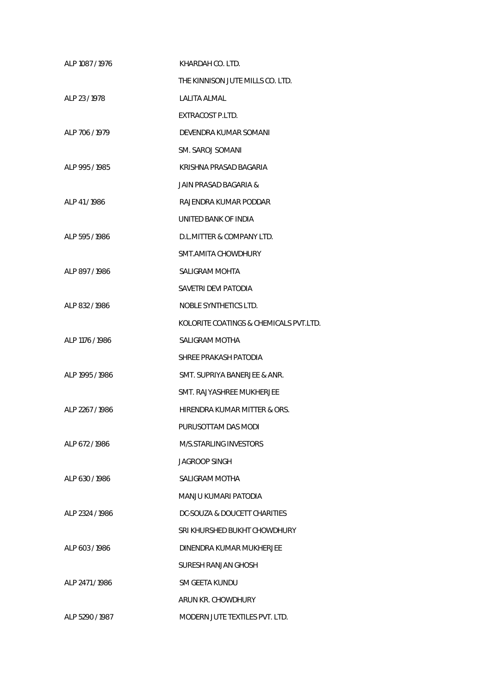| ALP 1087 / 1976 | KHARDAH CO. LTD.                       |
|-----------------|----------------------------------------|
|                 | THE KINNISON JUTE MILLS CO. LTD.       |
| ALP 23 / 1978   | LALITA ALMAL                           |
|                 | EXTRACOST P.LTD.                       |
| ALP 706 / 1979  | DEVENDRA KUMAR SOMANI                  |
|                 | SM. SAROJ SOMANI                       |
| ALP 995 / 1985  | KRISHNA PRASAD BAGARIA                 |
|                 | JAIN PRASAD BAGARIA &                  |
| ALP 41/1986     | RAJENDRA KUMAR PODDAR                  |
|                 | UNITED BANK OF INDIA                   |
| ALP 595/1986    | D.L.MITTER & COMPANY LTD.              |
|                 | SMT.AMITA CHOWDHURY                    |
| ALP 897/1986    | SALIGRAM MOHTA                         |
|                 | SAVETRI DEVI PATODIA                   |
| ALP 832/1986    | NOBLE SYNTHETICS LTD.                  |
|                 | KOLORITE COATINGS & CHEMICALS PVT.LTD. |
| ALP 1176 / 1986 | SALIGRAM MOTHA                         |
|                 | SHREE PRAKASH PATODIA                  |
| ALP 1995 / 1986 | SMT. SUPRIYA BANERJEE & ANR.           |
|                 | SMT. RAJYASHREE MUKHERJEE              |
| ALP 2267/1986   | HIRENDRA KUMAR MITTER & ORS.           |
|                 | PURUSOTTAM DAS MODI                    |
| ALP 672/1986    | M/S.STARLING INVESTORS                 |
|                 | JAGROOP SINGH                          |
| ALP 630 / 1986  | SALIGRAM MOTHA                         |
|                 | MANJU KUMARI PATODIA                   |
| ALP 2324 / 1986 | DC-SOUZA & DOUCETT CHARITIES           |
|                 | SRI KHURSHED BUKHT CHOWDHURY           |
| ALP 603/1986    | DINENDRA KUMAR MUKHERJEE               |
|                 | SURESH RANJAN GHOSH                    |
| ALP 2471/1986   | SM GEETA KUNDU                         |
|                 | ARUN KR. CHOWDHURY                     |
| ALP 5290 / 1987 | MODERN JUTE TEXTILES PVT. LTD.         |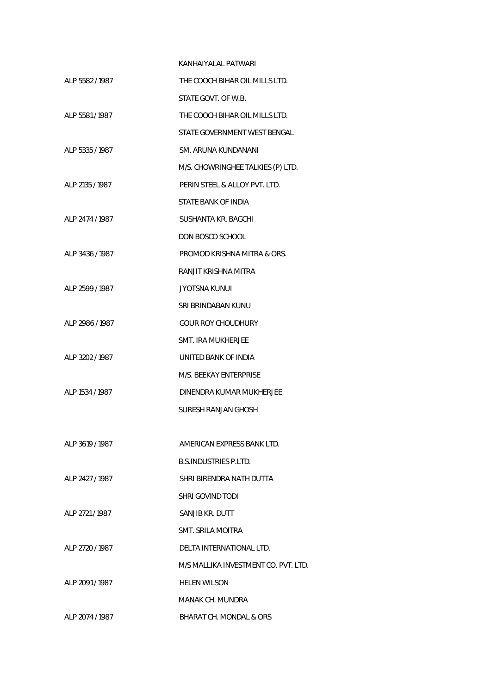|                 | KANHAIYALAL PATWARI                  |
|-----------------|--------------------------------------|
| ALP 5582 / 1987 | THE COOCH BIHAR OIL MILLS LTD.       |
|                 | STATE GOVT. OF W.B.                  |
| ALP 5581/1987   | THE COOCH BIHAR OIL MILLS LTD.       |
|                 | STATE GOVERNMENT WEST BENGAL         |
| ALP 5335 / 1987 | SM. ARUNA KUNDANANI                  |
|                 | M/S. CHOWRINGHEE TALKIES (P) LTD.    |
| ALP 2135 / 1987 | PERIN STEEL & ALLOY PVT. LTD.        |
|                 | STATE BANK OF INDIA                  |
| ALP 2474 / 1987 | SUSHANTA KR. BAGCHI                  |
|                 | DON BOSCO SCHOOL                     |
| ALP 3436 / 1987 | PROMOD KRISHNA MITRA & ORS.          |
|                 | RANJIT KRISHNA MITRA                 |
| ALP 2599 / 1987 | JYOTSNA KUNUL                        |
|                 | SRI BRINDABAN KUNU                   |
| ALP 2986 / 1987 | <b>GOUR ROY CHOUDHURY</b>            |
|                 | SMT. IRA MUKHERJEE                   |
| ALP 3202 / 1987 | UNITED BANK OF INDIA                 |
|                 | M/S. BEEKAY ENTERPRISE               |
| ALP 1534 / 1987 | DINENDRA KUMAR MUKHERJEE             |
|                 | SURESH RANJAN GHOSH                  |
|                 |                                      |
| ALP 3619 / 1987 | AMERICAN EXPRESS BANK LTD.           |
|                 | <b>B.S.INDUSTRIES P.LTD.</b>         |
| ALP 2427 / 1987 | SHRI BIRENDRA NATH DUTTA             |
|                 | SHRI GOVIND TODI                     |
| ALP 2721/1987   | SANJIB KR. DUTT                      |
|                 | SMT. SRILA MOITRA                    |
| ALP 2720 / 1987 | DELTA INTERNATIONAL LTD.             |
|                 | M/S MALLIKA INVESTMENT CO. PVT. LTD. |
| ALP 2091/1987   | <b>HELEN WILSON</b>                  |
|                 | MANAK CH. MUNDRA                     |
| ALP 2074 / 1987 | BHARAT CH. MONDAL & ORS              |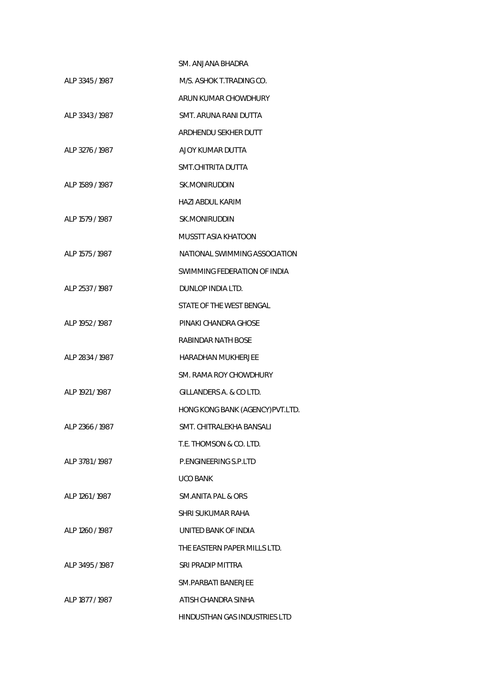|                 | SM. ANJANA BHADRA                |
|-----------------|----------------------------------|
| ALP 3345 / 1987 | M/S. ASHOK T.TRADING CO.         |
|                 | ARUN KUMAR CHOWDHURY             |
| ALP 3343 / 1987 | SMT. ARUNA RANI DUTTA            |
|                 | ARDHENDU SEKHER DUTT             |
| ALP 3276 / 1987 | AJOY KUMAR DUTTA                 |
|                 | SMT.CHITRITA DUTTA               |
| ALP 1589 / 1987 | SK.MONIRUDDIN                    |
|                 | HAZI ABDUL KARIM                 |
| ALP 1579 / 1987 | SK.MONIRUDDIN                    |
|                 | MUSSTT ASIA KHATOON              |
| ALP 1575 / 1987 | NATIONAL SWIMMING ASSOCIATION    |
|                 | SWIMMING FEDERATION OF INDIA     |
| ALP 2537 / 1987 | DUNLOP INDIA LTD.                |
|                 | STATE OF THE WEST BENGAL         |
| ALP 1952 / 1987 | PINAKI CHANDRA GHOSE             |
|                 | RABINDAR NATH BOSE               |
| ALP 2834 / 1987 | <b>HARADHAN MUKHERJEE</b>        |
|                 | SM. RAMA ROY CHOWDHURY           |
| ALP 1921 / 1987 | GILLANDERS A. & CO LTD.          |
|                 | HONG KONG BANK (AGENCY) PVT.LTD. |
| ALP 2366 / 1987 | SMT. CHITRALEKHA BANSALI         |
|                 | T.E. THOMSON & CO. LTD.          |
| ALP 3781/1987   | P FNGINFFRING S.P.I TD           |
|                 | UCO BANK                         |
| ALP 1261 / 1987 | SM.ANITA PAL & ORS               |
|                 | SHRI SUKUMAR RAHA                |
| ALP 1260 / 1987 | UNITED BANK OF INDIA             |
|                 | THE EASTERN PAPER MILLS LTD.     |
| ALP 3495/1987   | SRI PRADIP MITTRA                |
|                 | SM.PARBATI BANERJEE              |
| ALP 1877 / 1987 | ATISH CHANDRA SINHA              |
|                 | HINDUSTHAN GAS INDUSTRIES LTD    |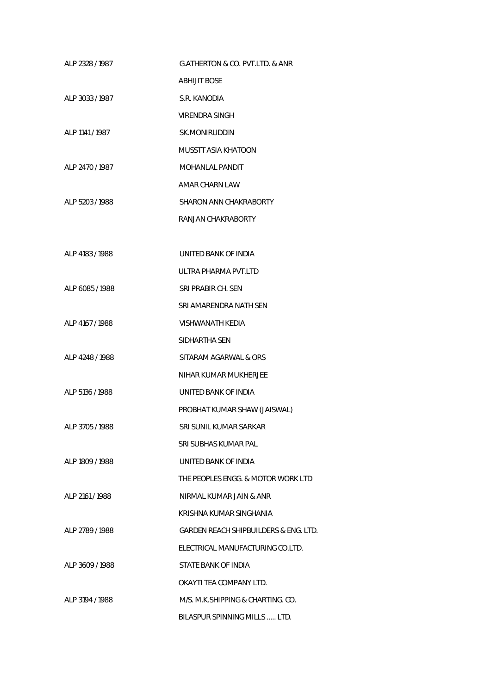| ALP 2328 / 1987 | G.ATHERTON & CO. PVT.LTD. & ANR       |
|-----------------|---------------------------------------|
|                 | <b>ABHIJIT BOSE</b>                   |
| ALP 3033 / 1987 | S.R. KANODIA                          |
|                 | VIRENDRA SINGH                        |
| ALP 1141 / 1987 | SK.MONIRUDDIN                         |
|                 | MUSSTT ASIA KHATOON                   |
| ALP 2470 / 1987 | MOHANLAL PANDIT                       |
|                 | AMAR CHARN LAW                        |
| ALP 5203 / 1988 | SHARON ANN CHAKRABORTY                |
|                 | RANJAN CHAKRABORTY                    |
|                 |                                       |
| ALP 4183 / 1988 | UNITED BANK OF INDIA                  |
|                 | ULTRA PHARMA PVT.LTD                  |
| ALP 6085 / 1988 | SRI PRABIR CH. SEN                    |
|                 | SRI AMARENDRA NATH SEN                |
| ALP 4167 / 1988 | VISHWANATH KEDIA                      |
|                 | SIDHARTHA SEN                         |
| ALP 4248 / 1988 | SITARAM AGARWAL & ORS                 |
|                 | NIHAR KUMAR MUKHERJEE                 |
| ALP 5136 / 1988 | UNITED BANK OF INDIA                  |
|                 | PROBHAT KUMAR SHAW (JAISWAL)          |
| ALP 3705 / 1988 | SRI SUNIL KUMAR SARKAR                |
|                 | SRI SUBHAS KUMAR PAL                  |
| ALP 1809 / 1988 | UNITED BANK OF INDIA                  |
|                 | THE PEOPLES ENGG. & MOTOR WORK LTD    |
| ALP 2161 / 1988 | NIRMAL KUMAR JAIN & ANR               |
|                 | KRISHNA KUMAR SINGHANIA               |
| ALP 2789 / 1988 | GARDEN REACH SHIPBUILDERS & ENG. LTD. |
|                 | ELECTRICAL MANUFACTURING CO.LTD.      |
| ALP 3609 / 1988 | STATE BANK OF INDIA                   |
|                 | OKAYTI TEA COMPANY LTD.               |
| ALP 3194 / 1988 | M/S. M.K.SHIPPING & CHARTING. CO.     |
|                 | BILASPUR SPINNING MILLS  LTD.         |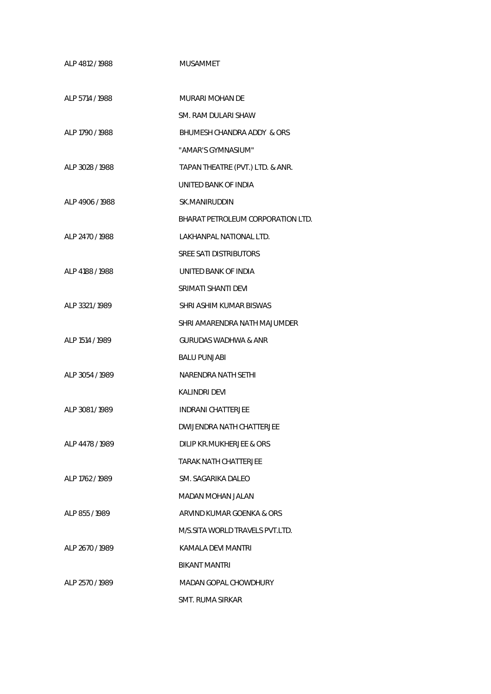| ALP 4812 / 1988 | <b>MUSAMMET</b>                   |
|-----------------|-----------------------------------|
| ALP 5714 / 1988 | MURARI MOHAN DE                   |
|                 | SM. RAM DULARI SHAW               |
| ALP 1790 / 1988 | BHUMESH CHANDRA ADDY & ORS        |
|                 | "AMAR'S GYMNASIUM"                |
| ALP 3028 / 1988 | TAPAN THEATRE (PVT.) LTD. & ANR.  |
|                 | UNITED BANK OF INDIA              |
| ALP 4906 / 1988 | SK.MANIRUDDIN                     |
|                 | BHARAT PETROLEUM CORPORATION LTD. |
| ALP 2470 / 1988 | LAKHANPAL NATIONAL LTD.           |
|                 | <b>SREE SATI DISTRIBUTORS</b>     |
| ALP 4188 / 1988 | UNITED BANK OF INDIA              |
|                 | SRIMATI SHANTI DEVI               |
| ALP 3321/1989   | SHRI ASHIM KUMAR BISWAS           |
|                 | SHRI AMARENDRA NATH MAJUMDER      |
| ALP 1514 / 1989 | <b>GURUDAS WADHWA &amp; ANR</b>   |
|                 | <b>BALU PUNJABI</b>               |
| ALP 3054 / 1989 | NARENDRA NATH SETHI               |
|                 | <b>KALINDRI DEVI</b>              |
| ALP 3081/1989   | <b>INDRANI CHATTERJEE</b>         |
|                 | DWIJENDRA NATH CHATTERJEE         |
| ALP 4478 / 1989 | DILIP KR.MUKHERJEE & ORS          |
|                 | TARAK NATH CHATTERJEE             |
| ALP 1762 / 1989 | SM. SAGARIKA DALEO                |
|                 | MADAN MOHAN JALAN                 |
| ALP 855/1989    | ARVIND KUMAR GOENKA & ORS         |
|                 | M/S.SITA WORLD TRAVELS PVT.LTD.   |
| ALP 2670 / 1989 | KAMALA DEVI MANTRI                |
|                 | BIKANT MANTRI                     |
| ALP 2570 / 1989 | MADAN GOPAL CHOWDHURY             |
|                 | <b>SMT. RUMA SIRKAR</b>           |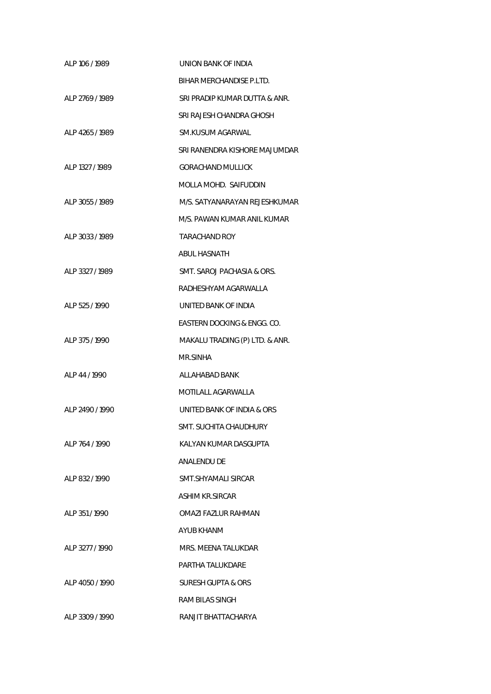| ALP 106 / 1989   | UNION BANK OF INDIA            |
|------------------|--------------------------------|
|                  | BIHAR MERCHANDISE P.LTD.       |
| ALP 2769 / 1989  | SRI PRADIP KUMAR DUTTA & ANR.  |
|                  | SRI RAJESH CHANDRA GHOSH       |
| ALP 4265 / 1989  | SM.KUSUM AGARWAL               |
|                  | SRI RANENDRA KISHORE MAJUMDAR  |
| AI P 1327 / 1989 | <b>GORACHAND MULLICK</b>       |
|                  | MOLLA MOHD. SAIFUDDIN          |
| ALP 3055 / 1989  | M/S. SATYANARAYAN REJESHKUMAR  |
|                  | M/S. PAWAN KUMAR ANIL KUMAR    |
| ALP 3033 / 1989  | <b>TARACHAND ROY</b>           |
|                  | ABUL HASNATH                   |
| ALP 3327 / 1989  | SMT. SAROJ PACHASIA & ORS.     |
|                  | RADHESHYAM AGARWALLA           |
| ALP 525 / 1990   | UNITED BANK OF INDIA           |
|                  | EASTERN DOCKING & ENGG. CO.    |
| ALP 375 / 1990   | MAKALU TRADING (P) LTD. & ANR. |
|                  | MR.SINHA                       |
| ALP 44 / 1990    | ALLAHABAD BANK                 |
|                  | MOTILALL AGARWALLA             |
| ALP 2490 / 1990  | UNITED BANK OF INDIA & ORS     |
|                  | SMT. SUCHITA CHAUDHURY         |
| ALP 764 / 1990   | KALYAN KUMAR DASGUPTA          |
|                  | <b>ANALENDU DE</b>             |
| ALP 832/1990     | SMT.SHYAMALI SIRCAR            |
|                  | ASHIM KR.SIRCAR                |
| ALP 351/1990     | OMAZI FAZLUR RAHMAN            |
|                  | AYUB KHANM                     |
| ALP 3277 / 1990  | MRS. MEENA TALUKDAR            |
|                  | PARTHA TALUKDARE               |
| ALP 4050 / 1990  | SURESH GUPTA & ORS             |
|                  | RAM BILAS SINGH                |
| ALP 3309 / 1990  | RANJIT BHATTACHARYA            |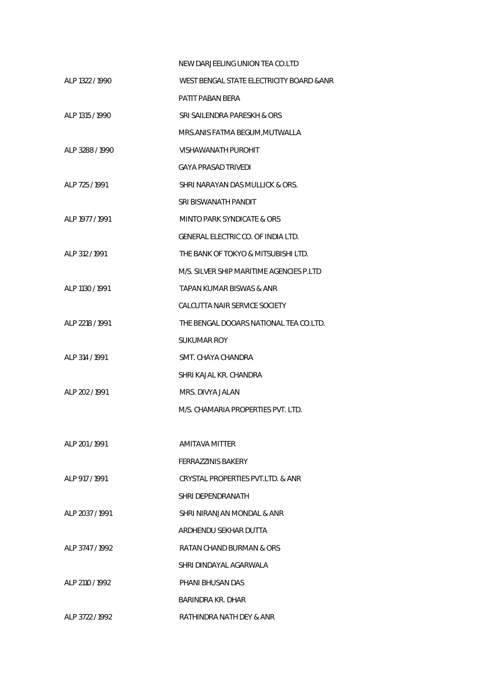|                 | NEW DARJEELING UNION TEA CO.LTD           |
|-----------------|-------------------------------------------|
| ALP 1322 / 1990 | WEST BENGAL STATE ELECTRICITY BOARD & ANR |
|                 | PATIT PABAN BERA                          |
| ALP 1315 / 1990 | SRI SAILENDRA PARESKH & ORS               |
|                 | MRS.ANIS FATMA BEGUM, MUTWALLA            |
| ALP 3288 / 1990 | <b>VISHAWANATH PUROHIT</b>                |
|                 | <b>GAYA PRASAD TRIVEDI</b>                |
| ALP 725 / 1991  | SHRI NARAYAN DAS MULLICK & ORS.           |
|                 | SRI BISWANATH PANDIT                      |
| ALP 1977 / 1991 | MINTO PARK SYNDICATE & ORS                |
|                 | GENERAL ELECTRIC CO. OF INDIA LTD.        |
| ALP 312 / 1991  | THE BANK OF TOKYO & MITSUBISHI LTD.       |
|                 | M/S. SILVER SHIP MARITIME AGENCIES P.LTD  |
| ALP 1130 / 1991 | TAPAN KUMAR BISWAS & ANR                  |
|                 | CALCUTTA NAIR SERVICE SOCIETY             |
| ALP 2218 / 1991 | THE BENGAL DOOARS NATIONAL TEA CO.LTD.    |
|                 | SUKUMAR ROY                               |
| ALP 314 / 1991  | SMT. CHAYA CHANDRA                        |
|                 | SHRI KAJAL KR. CHANDRA                    |
| ALP 202 / 1991  | MRS. DIVYA JALAN                          |
|                 | M/S. CHAMARIA PROPERTIES PVT. LTD.        |
|                 |                                           |
| AI P 201 / 1991 | <b>AMITAVA MITTER</b>                     |
|                 | <b>FERRAZZINIS BAKERY</b>                 |
| ALP 917 / 1991  | CRYSTAL PROPERTIES PVT LTD. & ANR         |
|                 | SHRI DEPENDRANATH                         |
| ALP 2037 / 1991 | SHRI NIRANJAN MONDAL & ANR                |
|                 | ARDHENDU SEKHAR DUTTA                     |
| ALP 3747 / 1992 | RATAN CHAND BURMAN & ORS                  |
|                 | SHRI DINDAYAL AGARWALA                    |
| ALP 2110 / 1992 | PHANI BHUSAN DAS                          |
|                 | BARINDRA KR. DHAR                         |
| ALP 3722 / 1992 | RATHINDRA NATH DEY & ANR                  |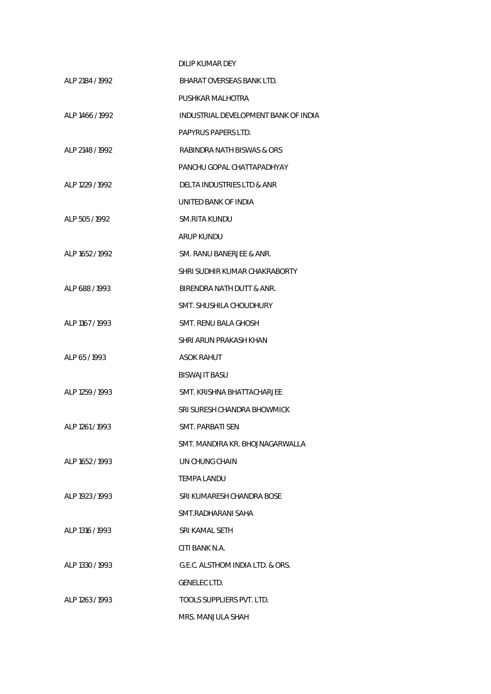|                  | DILIP KUMAR DEY                      |
|------------------|--------------------------------------|
| ALP 2184 / 1992  | BHARAT OVERSEAS BANK LTD.            |
|                  | PUSHKAR MALHOTRA                     |
| ALP 1466 / 1992  | INDUSTRIAL DEVELOPMENT BANK OF INDIA |
|                  | PAPYRUS PAPERS LTD.                  |
| AI P 2148 / 1992 | RABINDRA NATH BISWAS & ORS           |
|                  | PANCHU GOPAL CHATTAPADHYAY           |
| ALP 1229 / 1992  | DELTA INDUSTRIES LTD & ANR           |
|                  | UNITED BANK OF INDIA                 |
| ALP 505/1992     | SM.RITA KUNDU                        |
|                  | ARUP KUNDU                           |
| ALP 1652 / 1992  | SM. RANU BANERJEE & ANR.             |
|                  | SHRI SUDHIR KUMAR CHAKRABORTY        |
| AI P 688 / 1993  | BIRENDRA NATH DUTT & ANR.            |
|                  | SMT. SHUSHILA CHOUDHURY              |
| ALP 1167 / 1993  | SMT. RENU BALA GHOSH                 |
|                  | SHRI ARUN PRAKASH KHAN               |
| ALP 65/1993      | ASOK RAHUT                           |
|                  | <b>BISWAJIT BASU</b>                 |
| ALP 1259 / 1993  | SMT. KRISHNA BHATTACHARJEE           |
|                  | SRI SURESH CHANDRA BHOWMICK          |
| ALP 1261 / 1993  | <b>SMT. PARBATI SEN</b>              |
|                  | SMT. MANDIRA KR. BHOJNAGARWALLA      |
| ALP 1652 / 1993  | UN CHUNG CHAIN                       |
|                  | <b>TEMPA LANDU</b>                   |
| ALP 1923 / 1993  | SRI KUMARESH CHANDRA BOSE            |
|                  | SMT.RADHARANI SAHA                   |
| ALP 1316 / 1993  | SRI KAMAL SETH                       |
|                  | CITI BANK N.A.                       |
| ALP 1330 / 1993  | G.E.C. ALSTHOM INDIA LTD. & ORS.     |
|                  | <b>GENELEC LTD.</b>                  |
| ALP 1263 / 1993  | <b>TOOLS SUPPLIERS PVT. LTD.</b>     |
|                  | MRS. MANJULA SHAH                    |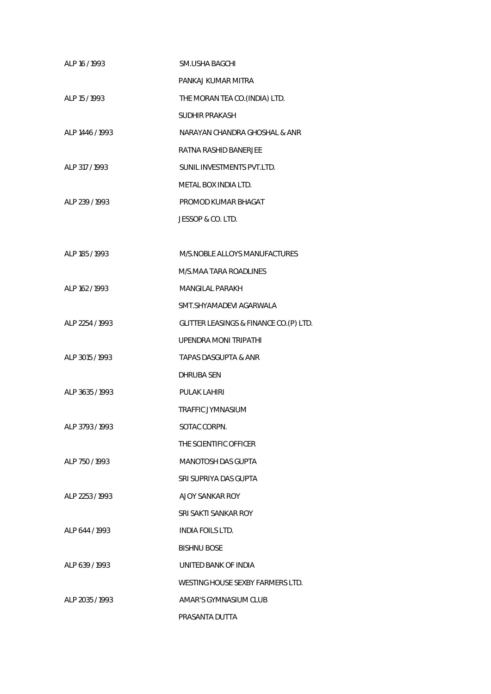| ALP 16 / 1993    | <b>SM.USHA BAGCHI</b>                   |
|------------------|-----------------------------------------|
|                  | PANKAJ KUMAR MITRA                      |
| ALP 15 / 1993    | THE MORAN TEA CO. (INDIA) LTD.          |
|                  | <b>SUDHIR PRAKASH</b>                   |
| ALP 1446 / 1993  | NARAYAN CHANDRA GHOSHAL & ANR           |
|                  | RATNA RASHID BANERJEE                   |
| ALP 317 / 1993   | SUNIL INVESTMENTS PVT.LTD.              |
|                  | METAL BOX INDIA LTD.                    |
| ALP 239 / 1993   | PROMOD KUMAR BHAGAT                     |
|                  | JESSOP & CO. LTD.                       |
|                  |                                         |
| ALP 185 / 1993   | M/S.NOBLE ALLOYS MANUFACTURES           |
|                  | M/S.MAA TARA ROADLINES                  |
| ALP 162 / 1993   | <b>MANGILAL PARAKH</b>                  |
|                  | SMT.SHYAMADEVI AGARWALA                 |
| ALP 2254 / 1993  | GLITTER LEASINGS & FINANCE CO. (P) LTD. |
|                  | <b>UPENDRA MONI TRIPATHI</b>            |
| ALP 3015 / 1993  | <b>TAPAS DASGUPTA &amp; ANR</b>         |
|                  | DHRUBA SEN                              |
| ALP 3635 / 1993  | <b>PULAK LAHIRI</b>                     |
|                  | <b>TRAFFIC JYMNASIUM</b>                |
| ALP 3793 / 1993  | SOTAC CORPN.                            |
|                  | THE SCIENTIFIC OFFICER                  |
| ALP 750 / 1993   | <b>MANOTOSH DAS GUPTA</b>               |
|                  | SRI SUPRIYA DAS GUPTA                   |
| AI P 2253 / 1993 | A JOY SANKAR ROY                        |
|                  | SRI SAKTI SANKAR ROY                    |
| ALP 644 / 1993   | <b>INDIA FOILS LTD.</b>                 |
|                  | <b>BISHNU BOSE</b>                      |
| ALP 639/1993     | UNITED BANK OF INDIA                    |
|                  | WESTING HOUSE SEXBY FARMERS LTD.        |
| ALP 2035 / 1993  | AMAR'S GYMNASIUM CLUB                   |
|                  | PRASANTA DUTTA                          |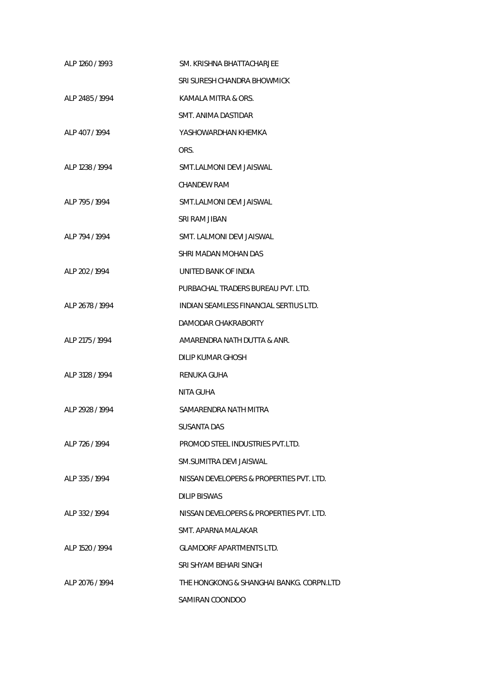| ALP 1260 / 1993 | SM. KRISHNA BHATTACHARJEE                |
|-----------------|------------------------------------------|
|                 | SRI SURESH CHANDRA BHOWMICK              |
| ALP 2485 / 1994 | KAMALA MITRA & ORS.                      |
|                 | SMT. ANIMA DASTIDAR                      |
| ALP 407/1994    | YASHOWARDHAN KHEMKA                      |
|                 | ORS.                                     |
| ALP 1238 / 1994 | SMT.LALMONI DEVI JAISWAL                 |
|                 | CHANDEW RAM                              |
| ALP 795/1994    | SMT.LALMONI DEVI JAISWAL                 |
|                 | SRI RAM JIBAN                            |
| AI P 794 / 1994 | SMT. LALMONI DEVI JAISWAL                |
|                 | SHRI MADAN MOHAN DAS                     |
| ALP 202 / 1994  | UNITED BANK OF INDIA                     |
|                 | PURBACHAL TRADERS BUREAU PVT. LTD.       |
| ALP 2678 / 1994 | INDIAN SEAMLESS FINANCIAL SERTIUS LTD.   |
|                 | DAMODAR CHAKRABORTY                      |
| ALP 2175 / 1994 | AMARENDRA NATH DUTTA & ANR.              |
|                 | DILIP KUMAR GHOSH                        |
| ALP 3128 / 1994 | RENUKA GUHA                              |
|                 | NITA GUHA                                |
| ALP 2928 / 1994 | SAMARENDRA NATH MITRA                    |
|                 | <b>SUSANTA DAS</b>                       |
| ALP 726 / 1994  | PROMOD STEEL INDUSTRIES PVT.LTD.         |
|                 | SM.SUMITRA DEVI JAISWAL                  |
| AI P 335 / 1994 | NISSAN DEVELOPERS & PROPERTIES PVT. LTD. |
|                 | DILIP BISWAS                             |
| ALP 332/1994    | NISSAN DEVELOPERS & PROPERTIES PVT. LTD. |
|                 | SMT. APARNA MALAKAR                      |
| ALP 1520 / 1994 | <b>GLAMDORF APARTMENTS LTD.</b>          |
|                 | SRI SHYAM BEHARI SINGH                   |
| ALP 2076 / 1994 | THE HONGKONG & SHANGHAI BANKG. CORPN.LTD |
|                 | SAMIRAN COONDOO                          |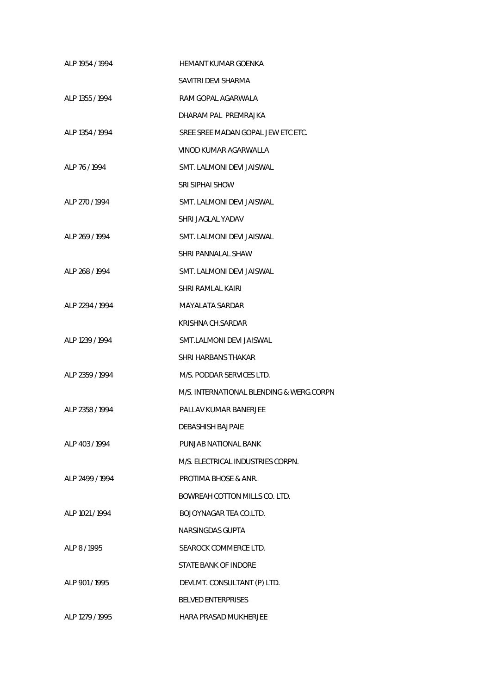| ALP 1954 / 1994 | HEMANT KUMAR GOENKA                      |
|-----------------|------------------------------------------|
|                 | SAVITRI DEVI SHARMA                      |
| ALP 1355 / 1994 | RAM GOPAL AGARWALA                       |
|                 | DHARAM PAL PREMRAJKA                     |
| ALP 1354 / 1994 | SREE SREE MADAN GOPAL JEW ETC ETC.       |
|                 | VINOD KUMAR AGARWALLA                    |
| ALP 76/1994     | SMT. LALMONI DEVI JAISWAL                |
|                 | SRI SIPHAI SHOW                          |
| ALP 270/1994    | SMT. LALMONI DEVI JAISWAL                |
|                 | SHRI JAGLAL YADAV                        |
| ALP 269 / 1994  | SMT. LALMONI DEVI JAISWAL                |
|                 | SHRI PANNALAL SHAW                       |
| ALP 268 / 1994  | SMT. LALMONI DEVI JAISWAL                |
|                 | SHRI RAMLAL KAIRI                        |
| ALP 2294 / 1994 | <b>MAYALATA SARDAR</b>                   |
|                 | KRISHNA CH.SARDAR                        |
| ALP 1239 / 1994 | SMT.LALMONI DEVI JAISWAL                 |
|                 | SHRI HARBANS THAKAR                      |
| ALP 2359 / 1994 | M/S. PODDAR SERVICES LTD.                |
|                 | M/S. INTERNATIONAL BLENDING & WERG.CORPN |
| ALP 2358 / 1994 | PALLAV KUMAR BANERJEE                    |
|                 | DEBASHISH BAJPAIE                        |
| ALP 403/1994    | PUNJAB NATIONAL BANK                     |
|                 | M/S. ELECTRICAL INDUSTRIES CORPN.        |
| ALP 2499 / 1994 | <b>PROTIMA BHOSE &amp; ANR.</b>          |
|                 | BOWREAH COTTON MILLS CO. LTD.            |
| ALP 1021 / 1994 | BOJOYNAGAR TEA CO.LTD.                   |
|                 | NARSINGDAS GUPTA                         |
| ALP 8 / 1995    | SEAROCK COMMERCE LTD.                    |
|                 | STATE BANK OF INDORE                     |
| ALP 901/1995    | DEVLMT. CONSULTANT (P) LTD.              |
|                 | <b>BELVED ENTERPRISES</b>                |
| ALP 1279 / 1995 | <b>HARA PRASAD MUKHERJEE</b>             |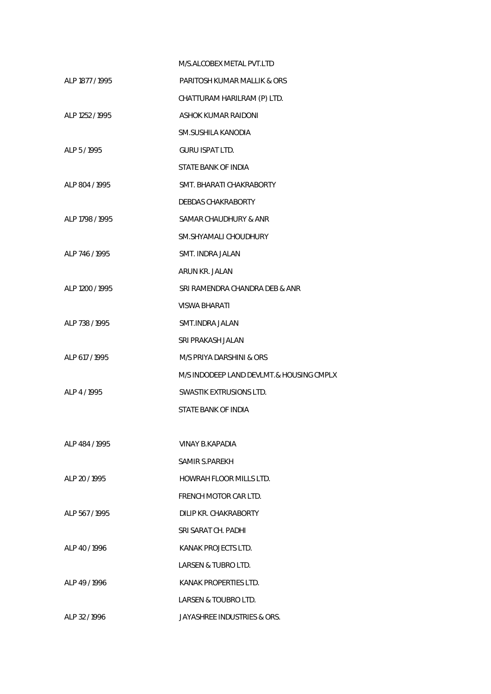|                 | M/S ALCOBEX METAL PVT LTD                |
|-----------------|------------------------------------------|
| ALP 1877 / 1995 | PARITOSH KUMAR MALLIK & ORS              |
|                 | CHATTURAM HARILRAM (P) LTD.              |
| ALP 1252 / 1995 | ASHOK KUMAR RAIDONI                      |
|                 | SM.SUSHILA KANODIA                       |
| ALP 5/1995      | GURU ISPAT LTD.                          |
|                 | STATE BANK OF INDIA                      |
| ALP 804 / 1995  | SMT. BHARATI CHAKRABORTY                 |
|                 | DEBDAS CHAKRABORTY                       |
| ALP 1798 / 1995 | SAMAR CHAUDHURY & ANR                    |
|                 | SM.SHYAMALI CHOUDHURY                    |
| ALP 746 / 1995  | SMT. INDRA JALAN                         |
|                 | ARUN KR. JALAN                           |
| ALP 1200 / 1995 | SRI RAMENDRA CHANDRA DEB & ANR           |
|                 | VISWA BHARATI                            |
| ALP 738 / 1995  | SMT.INDRA JALAN                          |
|                 | SRI PRAKASH JALAN                        |
| ALP 617 / 1995  | M/S PRIYA DARSHINI & ORS                 |
|                 | M/S INDODEEP LAND DEVLMT.& HOUSING CMPLX |
| ALP 4 / 1995    | SWASTIK EXTRUSIONS LTD.                  |
|                 | STATE BANK OF INDIA                      |
|                 |                                          |
| ALP 484 / 1995  | VINAY B.KAPADIA                          |
|                 | SAMIR S.PAREKH                           |
| ALP 20 / 1995   | HOWRAH FLOOR MILLS LTD.                  |
|                 | FRENCH MOTOR CAR LTD.                    |
| ALP 567/1995    | DILIP KR. CHAKRABORTY                    |
|                 | SRI SARAT CH. PADHI                      |
| ALP 40 / 1996   | KANAK PROJECTS LTD.                      |
|                 | LARSEN & TUBRO LTD.                      |
| ALP 49 / 1996   | KANAK PROPERTIES LTD.                    |
|                 | LARSEN & TOUBRO LTD.                     |
| ALP 32 / 1996   | JAYASHREE INDUSTRIES & ORS.              |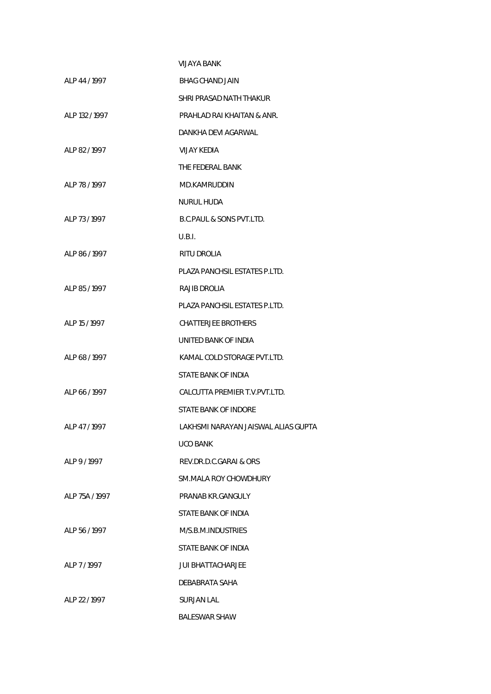|                | VIJAYA BANK                         |
|----------------|-------------------------------------|
| ALP 44 / 1997  | BHAG CHAND JAIN                     |
|                | SHRI PRASAD NATH THAKUR             |
| ALP 132 / 1997 | PRAHLAD RAI KHAITAN & ANR.          |
|                | DANKHA DEVI AGARWAL                 |
| ALP 82/1997    | VIJAY KEDIA                         |
|                | THE FEDERAL BANK                    |
| ALP 78 / 1997  | MD.KAMRUDDIN                        |
|                | <b>NURUL HUDA</b>                   |
| ALP 73/1997    | B.C.PAUL & SONS PVT.LTD.            |
|                | U.B.I.                              |
| ALP 86 / 1997  | RITU DROLIA                         |
|                | PLAZA PANCHSIL ESTATES P.LTD.       |
| ALP 85/1997    | RAJIB DROLIA                        |
|                | PLAZA PANCHSIL ESTATES P.LTD.       |
| ALP 15 / 1997  | <b>CHATTERJEE BROTHERS</b>          |
|                | UNITED BANK OF INDIA                |
| ALP 68/1997    | KAMAL COLD STORAGE PVT.LTD.         |
|                | STATE BANK OF INDIA                 |
| ALP 66 / 1997  | CALCUTTA PREMIER T.V. PVT. LTD.     |
|                | STATE BANK OF INDORE                |
| ALP 47/1997    | LAKHSMI NARAYAN JAISWAL ALIAS GUPTA |
|                | <b>UCO BANK</b>                     |
| ALP 9/1997     | REV.DR.D.C.GARAI & ORS              |
|                | <b>SM.MALA ROY CHOWDHURY</b>        |
| ALP 75A / 1997 | PRANAB KR.GANGULY                   |
|                | STATE BANK OF INDIA                 |
| ALP 56 / 1997  | M/S.B.M.INDUSTRIES                  |
|                | STATE BANK OF INDIA                 |
| ALP 7/1997     | <b>JUI BHATTACHARJEE</b>            |
|                | DEBABRATA SAHA                      |
| ALP 22 / 1997  | SURJAN LAL                          |
|                | <b>BALESWAR SHAW</b>                |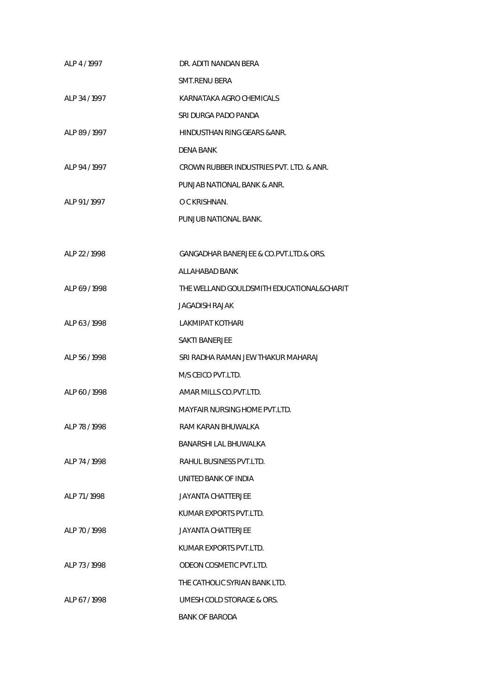| ALP 4 / 1997  | DR. ADITI NANDAN BERA                     |
|---------------|-------------------------------------------|
|               | <b>SMT.RENU BERA</b>                      |
| ALP 34 / 1997 | KARNATAKA AGRO CHEMICALS                  |
|               | SRI DURGA PADO PANDA                      |
| ALP 89 / 1997 | HINDUSTHAN RING GEARS & ANR.              |
|               | <b>DENA BANK</b>                          |
| ALP 94 / 1997 | CROWN RUBBER INDUSTRIES PVT. LTD. & ANR.  |
|               | PUNJAB NATIONAL BANK & ANR.               |
| ALP 91/1997   | O C KRISHNAN.                             |
|               | PUNJUB NATIONAL BANK.                     |
|               |                                           |
| ALP 22 / 1998 | GANGADHAR BANERJEE & CO.PVT.LTD.& ORS.    |
|               | ALLAHABAD BANK                            |
| ALP 69 / 1998 | THE WELLAND GOULDSMITH EDUCATIONAL&CHARIT |
|               | <b>JAGADISH RAJAK</b>                     |
| ALP 63/1998   | <b>LAKMIPAT KOTHARI</b>                   |
|               | <b>SAKTI BANERJEE</b>                     |
| ALP 56 / 1998 | SRI RADHA RAMAN JEW THAKUR MAHARAJ        |
|               | M/S CEICO PVT.LTD.                        |
| ALP 60/1998   | AMAR MILLS CO.PVT.LTD.                    |
|               | <b>MAYFAIR NURSING HOME PVT.LTD.</b>      |
| ALP 78 / 1998 | RAM KARAN BHUWALKA                        |
|               | BANARSHI LAL BHUWALKA                     |
| ALP 74 / 1998 | RAHUL BUSINESS PVT.LTD.                   |
|               | UNITED BANK OF INDIA                      |
| ALP 71/1998   | JAYANTA CHATTERJEE                        |
|               | KUMAR EXPORTS PVT.LTD.                    |
| ALP 70/1998   | <b>JAYANTA CHATTERJEE</b>                 |
|               | KUMAR EXPORTS PVT.LTD.                    |
| ALP 73/1998   | ODEON COSMETIC PVT.LTD.                   |
|               | THE CATHOLIC SYRIAN BANK LTD.             |
| ALP 67/1998   | UMESH COLD STORAGE & ORS.                 |
|               | <b>BANK OF BARODA</b>                     |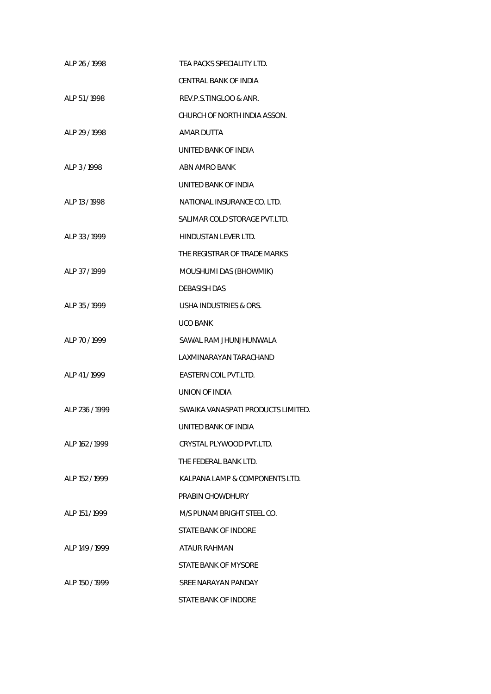| ALP 26 / 1998  | TEA PACKS SPECIALITY LTD.          |
|----------------|------------------------------------|
|                | CENTRAL BANK OF INDIA              |
| ALP 51/1998    | REV.P.S.TINGLOO & ANR.             |
|                | CHURCH OF NORTH INDIA ASSON.       |
| ALP 29 / 1998  | AMAR DUTTA                         |
|                | UNITED BANK OF INDIA               |
| ALP 3/1998     | ABN AMRO BANK                      |
|                | UNITED BANK OF INDIA               |
| ALP 13 / 1998  | NATIONAL INSURANCE CO. LTD.        |
|                | SALIMAR COLD STORAGE PVT.LTD.      |
| AI P 33/1999   | HINDUSTAN LEVER LTD.               |
|                | THE REGISTRAR OF TRADE MARKS       |
| ALP 37 / 1999  | MOUSHUMI DAS (BHOWMIK)             |
|                | <b>DEBASISH DAS</b>                |
| ALP 35/1999    | USHA INDUSTRIES & ORS.             |
|                | UCO BANK                           |
| ALP 70/1999    | SAWAL RAM JHUNJHUNWALA             |
|                | LAXMINARAYAN TARACHAND             |
| ALP 41/1999    | EASTERN COIL PVT.LTD.              |
|                | UNION OF INDIA                     |
| ALP 236 / 1999 | SWAIKA VANASPATI PRODUCTS LIMITED. |
|                | UNITED BANK OF INDIA               |
| ALP 162 / 1999 | CRYSTAL PLYWOOD PVT.LTD.           |
|                | THE FEDERAL BANK LTD.              |
| ALP 152 / 1999 | KALPANA LAMP & COMPONENTS LTD.     |
|                | PRABIN CHOWDHURY                   |
| ALP 151/1999   | M/S PUNAM BRIGHT STEEL CO.         |
|                | STATE BANK OF INDORE               |
| ALP 149 / 1999 | ATAUR RAHMAN                       |
|                | STATE BANK OF MYSORE               |
| ALP 150 / 1999 | SREE NARAYAN PANDAY                |
|                | STATE BANK OF INDORE               |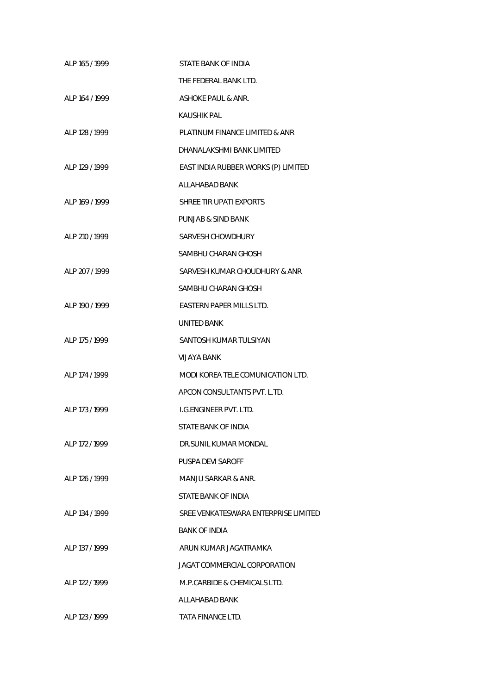| ALP 165 / 1999  | STATE BANK OF INDIA                  |
|-----------------|--------------------------------------|
|                 | THE FEDERAL BANK LTD.                |
| AI P 164 / 1999 | <b>ASHOKE PAUL &amp; ANR.</b>        |
|                 | <b>KAUSHIK PAL</b>                   |
| ALP 128 / 1999  | PLATINUM FINANCE LIMITED & ANR       |
|                 | DHANALAKSHMI BANK LIMITED            |
| ALP 129 / 1999  | EAST INDIA RUBBER WORKS (P) LIMITED  |
|                 | ALLAHABAD BANK                       |
| ALP 169 / 1999  | SHREE TIR UPATI EXPORTS              |
|                 | PUNJAB & SIND BANK                   |
| ALP 210 / 1999  | SARVESH CHOWDHURY                    |
|                 | SAMBHU CHARAN GHOSH                  |
| AI P 207 / 1999 | SARVESH KUMAR CHOUDHURY & ANR        |
|                 | SAMBHU CHARAN GHOSH                  |
| ALP 190 / 1999  | EASTERN PAPER MILLS LTD.             |
|                 | <b>UNITED BANK</b>                   |
| ALP 175 / 1999  | SANTOSH KUMAR TULSIYAN               |
|                 | VIJAYA BANK                          |
| ALP 174 / 1999  | MODI KOREA TELE COMUNICATION LTD.    |
|                 | APCON CONSULTANTS PVT. L.TD.         |
| AI P 173 / 1999 | LG.ENGINEER PVT. LTD.                |
|                 | STATE BANK OF INDIA                  |
| ALP 172 / 1999  | DR.SUNIL KUMAR MONDAL                |
|                 | PUSPA DEVI SAROFF                    |
| AI P 126 / 1999 | MANJU SARKAR & ANR.                  |
|                 | STATE BANK OF INDIA                  |
| AI P 134 / 1999 | SREE VENKATESWARA ENTERPRISE LIMITED |
|                 | <b>BANK OF INDIA</b>                 |
| ALP 137 / 1999  | ARUN KUMAR JAGATRAMKA                |
|                 | JAGAT COMMERCIAL CORPORATION         |
| ALP 122 / 1999  | M.P.CARBIDE & CHEMICALS LTD.         |
|                 | ALLAHABAD BANK                       |
| ALP 123 / 1999  | TATA FINANCE LTD.                    |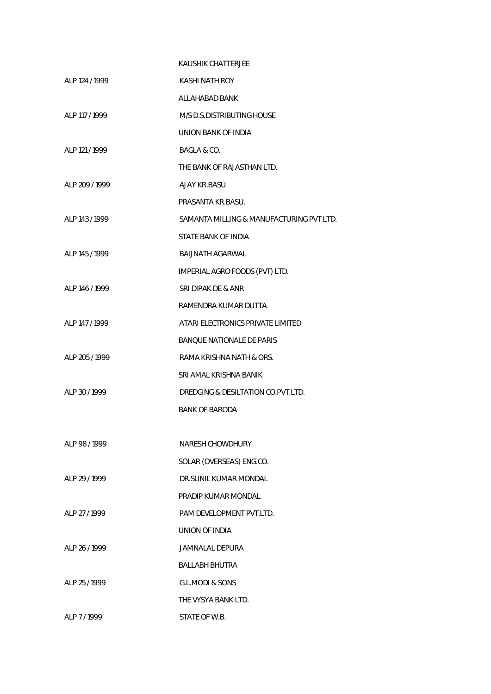|                | KAUSHIK CHATTERJEE                       |
|----------------|------------------------------------------|
| ALP 124 / 1999 | KASHI NATH ROY                           |
|                | ALLAHABAD BANK                           |
| ALP 117 / 1999 | M/S D.S.DISTRIBUTING HOUSE               |
|                | UNION BANK OF INDIA                      |
| ALP 121 / 1999 | BAGLA & CO.                              |
|                | THE BANK OF RAJASTHAN LTD.               |
| ALP 209 / 1999 | AJAY KR.BASU                             |
|                | PRASANTA KR.BASU.                        |
| ALP 143 / 1999 | SAMANTA MILLING & MANUFACTURING PVT.LTD. |
|                | STATE BANK OF INDIA                      |
| ALP 145 / 1999 | BAIJNATH AGARWAL                         |
|                | IMPERIAL AGRO FOODS (PVT) LTD.           |
| ALP 146 / 1999 | SRI DIPAK DE & ANR                       |
|                | RAMENDRA KUMAR DUTTA                     |
| ALP 147 / 1999 | ATARI ELECTRONICS PRIVATE LIMITED        |
|                | <b>BANQUE NATIONALE DE PARIS</b>         |
| ALP 205 / 1999 | RAMA KRISHNA NATH & ORS.                 |
|                | SRI AMAL KRISHNA BANIK                   |
| ALP 30/1999    | DREDGING & DESILTATION CO. PVT.LTD.      |
|                | <b>BANK OF BARODA</b>                    |
|                |                                          |
| ALP 98/1999    | NARESH CHOWDHURY                         |
|                | SOLAR (OVERSEAS) ENG.CO.                 |
| ALP 29 / 1999  | DR.SUNIL KUMAR MONDAL                    |
|                | PRADIP KUMAR MONDAL                      |
| ALP 27 / 1999  | PAM DEVELOPMENT PVT.LTD.                 |
|                | UNION OF INDIA                           |
| ALP 26 / 1999  | JAMNALAL DEPURA                          |
|                | <b>BALLABH BHUTRA</b>                    |
| ALP 25 / 1999  | <b>G.L.MODI &amp; SONS</b>               |
|                | THE VYSYA BANK LTD.                      |
| ALP 7/1999     | STATE OF W.B.                            |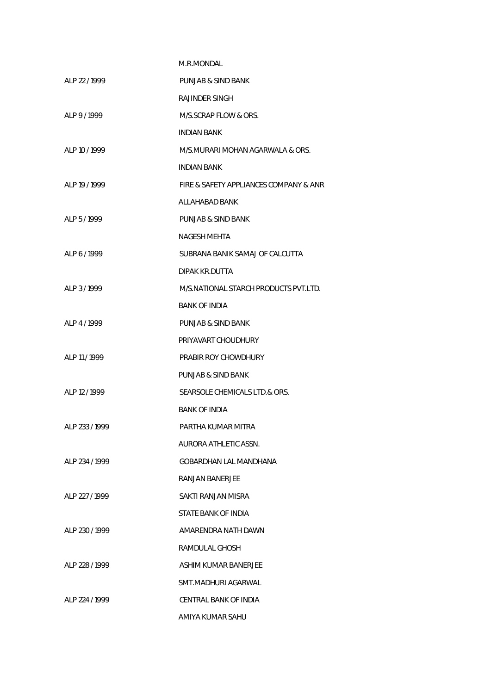|                | M.R.MONDAL                             |
|----------------|----------------------------------------|
| ALP 22/1999    | PUNJAB & SIND BANK                     |
|                | RAJINDER SINGH                         |
| AI P 9/1999    | M/S.SCRAP FLOW & ORS.                  |
|                | <b>INDIAN BANK</b>                     |
| ALP 10/1999    | M/S.MURARI MOHAN AGARWALA & ORS.       |
|                | INDIAN BANK                            |
| ALP 19 / 1999  | FIRE & SAFETY APPLIANCES COMPANY & ANR |
|                | ALLAHABAD BANK                         |
| ALP 5/1999     | PUNJAB & SIND BANK                     |
|                | <b>NAGESH MEHTA</b>                    |
| ALP 6/1999     | SUBRANA BANIK SAMAJ OF CALCUTTA        |
|                | <b>DIPAK KR.DUTTA</b>                  |
| ALP 3/1999     | M/S.NATIONAL STARCH PRODUCTS PVT.LTD.  |
|                | <b>BANK OF INDIA</b>                   |
| ALP 4/1999     | PUNJAB & SIND BANK                     |
|                | PRIYAVART CHOUDHURY                    |
| ALP 11 / 1999  | PRABIR ROY CHOWDHURY                   |
|                | PUNJAB & SIND BANK                     |
| ALP 12 / 1999  | SEARSOLE CHEMICALS LTD.& ORS.          |
|                | <b>BANK OF INDIA</b>                   |
| ALP 233/1999   | PARTHA KUMAR MITRA                     |
|                | AURORA ATHLETIC ASSN.                  |
| ALP 234 / 1999 | GOBARDHAN LAL MANDHANA                 |
|                | RANJAN BANERJEE                        |
| ALP 227 / 1999 | SAKTI RANJAN MISRA                     |
|                | STATE BANK OF INDIA                    |
| ALP 230 / 1999 | AMARENDRA NATH DAWN                    |
|                | RAMDULAL GHOSH                         |
| ALP 228 / 1999 | ASHIM KUMAR BANERJEE                   |
|                | SMT.MADHURI AGARWAL                    |
| ALP 224 / 1999 | CENTRAL BANK OF INDIA                  |
|                | AMIYA KUMAR SAHU                       |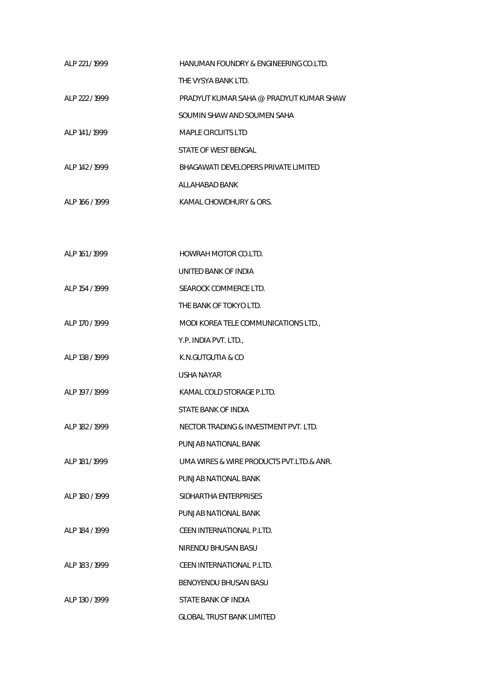| ALP 221/1999    | HANUMAN FOUNDRY & ENGINEERING CO.LTD.   |
|-----------------|-----------------------------------------|
|                 | THE VYSYA BANK LTD.                     |
| ALP 222 / 1999  | PRADYUT KUMAR SAHA @ PRADYUT KUMAR SHAW |
|                 | SOUMIN SHAW AND SOUMEN SAHA             |
| ALP 141 / 1999  | MAPLE CIRCUITS LTD                      |
|                 | STATE OF WEST BENGAL                    |
| AI P 142 / 1999 | BHAGAWATI DEVELOPERS PRIVATE LIMITED    |
|                 | ALLAHABAD BANK                          |
| ALP 166 / 1999  | KAMAL CHOWDHURY & ORS.                  |

| ALP 161 / 1999 | HOWRAH MOTOR CO.LTD.                     |
|----------------|------------------------------------------|
|                | UNITED BANK OF INDIA                     |
| ALP 154 / 1999 | SEAROCK COMMERCE LTD.                    |
|                | THE BANK OF TOKYO LTD.                   |
| ALP 170 / 1999 | MODI KOREA TELE COMMUNICATIONS LTD.      |
|                | Y.P. INDIA PVT. LTD.,                    |
| ALP 138 / 1999 | K.N.GUTGUTIA & CO                        |
|                | <b>USHA NAYAR</b>                        |
| ALP 197 / 1999 | KAMAL COLD STORAGE P.LTD.                |
|                | STATE BANK OF INDIA                      |
| ALP 182 / 1999 | NECTOR TRADING & INVESTMENT PVT. LTD.    |
|                | PUNJAB NATIONAL BANK                     |
| ALP 181 / 1999 | UMA WIRES & WIRE PRODUCTS PVT.LTD.& ANR. |
|                | PUNJAB NATIONAL BANK                     |
| ALP 180 / 1999 | SIDHARTHA ENTERPRISES                    |
|                | PUNJAB NATIONAL BANK                     |
| ALP 184 / 1999 | CEEN INTERNATIONAL P.LTD.                |
|                | NIRENDU BHUSAN BASU                      |
| ALP 183 / 1999 | CEEN INTERNATIONAL P.LTD.                |
|                | BENOYENDU BHUSAN BASU                    |
| ALP 130 / 1999 | STATE BANK OF INDIA                      |
|                | <b>GLOBAL TRUST BANK LIMITED</b>         |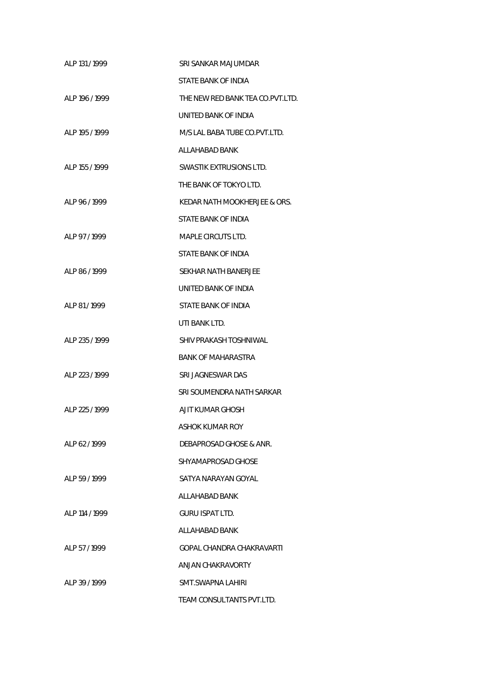| ALP 131/1999   | SRI SANKAR MAJUMDAR              |
|----------------|----------------------------------|
|                | STATE BANK OF INDIA              |
| ALP 196 / 1999 | THE NEW RED BANK TEA CO.PVT.LTD. |
|                | UNITED BANK OF INDIA             |
| ALP 195 / 1999 | M/S LAL BABA TUBE CO.PVT.LTD.    |
|                | ALLAHABAD BANK                   |
| ALP 155 / 1999 | SWASTIK EXTRUSIONS LTD.          |
|                | THE BANK OF TOKYO LTD.           |
| ALP 96/1999    | KEDAR NATH MOOKHERJEE & ORS.     |
|                | STATE BANK OF INDIA              |
| ALP 97/1999    | MAPLE CIRCUTS LTD.               |
|                | STATE BANK OF INDIA              |
| ALP 86/1999    | SEKHAR NATH BANERJEE             |
|                | UNITED BANK OF INDIA             |
| ALP 81/1999    | STATE BANK OF INDIA              |
|                | UTI BANK LTD.                    |
| ALP 235 / 1999 | SHIV PRAKASH TOSHNIWAL           |
|                | <b>BANK OF MAHARASTRA</b>        |
| ALP 223 / 1999 | SRI JAGNESWAR DAS                |
|                | SRI SOUMENDRA NATH SARKAR        |
| ALP 225 / 1999 | AJIT KUMAR GHOSH                 |
|                | ASHOK KUMAR ROY                  |
| ALP 62/1999    | DEBAPROSAD GHOSE & ANR.          |
|                | SHYAMAPROSAD GHOSE               |
| ALP 59 / 1999  | SATYA NARAYAN GOYAL              |
|                | ALLAHABAD BANK                   |
| ALP 114 / 1999 | GURU ISPAT LTD.                  |
|                | ALLAHABAD BANK                   |
| ALP 57/1999    | GOPAL CHANDRA CHAKRAVARTI        |
|                | ANJAN CHAKRAVORTY                |
| ALP 39 / 1999  | SMT.SWAPNA LAHIRI                |
|                | TEAM CONSULTANTS PVT.LTD.        |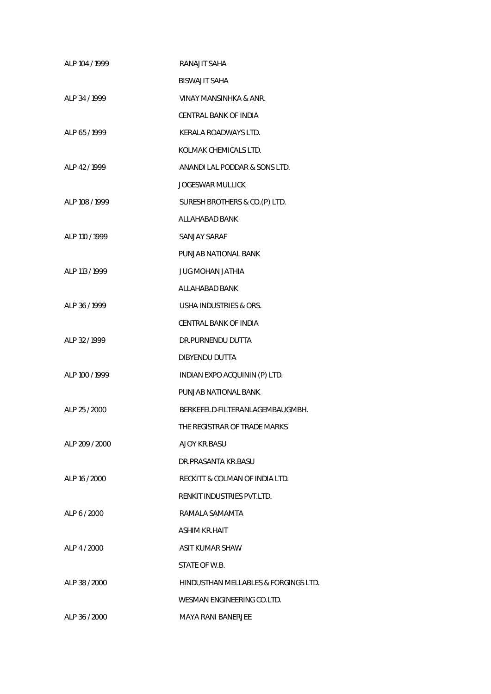| ALP 104 / 1999 | RANAJIT SAHA                         |
|----------------|--------------------------------------|
|                | <b>BISWAJIT SAHA</b>                 |
| ALP 34 / 1999  | VINAY MANSINHKA & ANR.               |
|                | CENTRAL BANK OF INDIA                |
| ALP 65 / 1999  | KERALA ROADWAYS LTD.                 |
|                | KOLMAK CHEMICALS LTD.                |
| ALP 42/1999    | ANANDI LAL PODDAR & SONS LTD.        |
|                | <b>JOGESWAR MULLICK</b>              |
| ALP 108 / 1999 | SURESH BROTHERS & CO.(P) LTD.        |
|                | ALLAHABAD BANK                       |
| ALP 110 / 1999 | SANJAY SARAF                         |
|                | PUNJAB NATIONAL BANK                 |
| ALP 113 / 1999 | JUG MOHAN JATHIA                     |
|                | ALLAHABAD BANK                       |
| ALP 36/1999    | USHA INDUSTRIES & ORS.               |
|                | CENTRAL BANK OF INDIA                |
| ALP 32 / 1999  | DR.PURNENDU DUTTA                    |
|                | <b>DIBYENDU DUTTA</b>                |
| ALP 100 / 1999 | INDIAN EXPO ACQUININ (P) LTD.        |
|                | PUNJAB NATIONAL BANK                 |
| ALP 25 / 2000  | BERKEFELD-FILTERANLAGEMBAUGMBH.      |
|                | THE REGISTRAR OF TRADE MARKS         |
| ALP 209 / 2000 | AJOY KR.BASU                         |
|                | DR.PRASANTA KR.BASU                  |
| ALP 16 / 2000  | RECKITT & COLMAN OF INDIA LTD.       |
|                | RENKIT INDUSTRIES PVT.LTD.           |
| ALP 6 / 2000   | RAMALA SAMAMTA                       |
|                | ASHIM KR.HAIT                        |
| ALP 4 / 2000   | ASIT KUMAR SHAW                      |
|                | STATE OF W.B.                        |
| ALP 38 / 2000  | HINDUSTHAN MELLABLES & FORGINGS LTD. |
|                | WESMAN ENGINEERING CO.LTD.           |
| ALP 36 / 2000  | <b>MAYA RANI BANERJEE</b>            |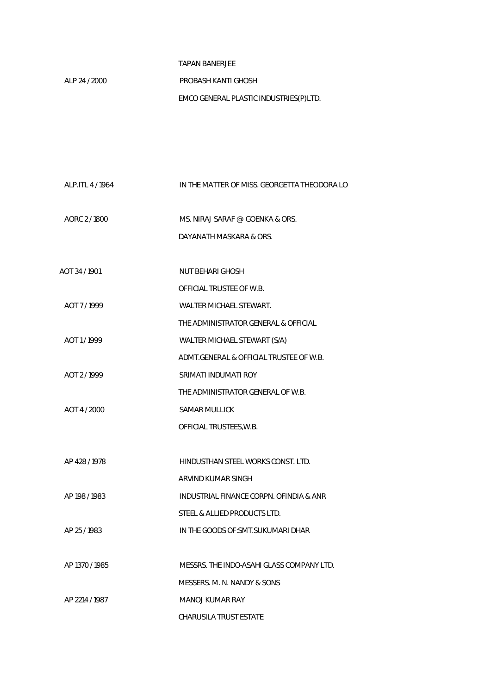## TAPAN BANERJEE

 ALP 24 / 2000 PROBASH KANTI GHOSH EMCO GENERAL PLASTIC INDUSTRIES(P)LTD.

| ALP.ITL 4 / 1964 | IN THE MATTER OF MISS. GEORGETTA THEODORA LO |
|------------------|----------------------------------------------|
| AORC 2/1800      | MS. NIRAJ SARAF @ GOENKA & ORS.              |
|                  | DAYANATH MASKARA & ORS.                      |
| AOT 34 / 1901    | NUT BEHARI GHOSH                             |
|                  | OFFICIAL TRUSTEE OF W.B.                     |
| AOT 7/1999       | WALTER MICHAEL STEWART.                      |
|                  | THE ADMINISTRATOR GENERAL & OFFICIAL         |
| AOT 1/1999       | WALTER MICHAEL STEWART (S/A)                 |
|                  | ADMT.GENERAL & OFFICIAL TRUSTEE OF W.B.      |
| AOT 2/1999       | SRIMATI INDUMATI ROY                         |
|                  | THE ADMINISTRATOR GENERAL OF W.B.            |
| AOT 4 / 2000     | <b>SAMAR MULLICK</b>                         |
|                  | OFFICIAL TRUSTEES, W.B.                      |
|                  |                                              |
| AP 428 / 1978    | HINDUSTHAN STEEL WORKS CONST. LTD.           |
|                  | ARVIND KUMAR SINGH                           |
| AP 198 / 1983    | INDUSTRIAL FINANCE CORPN. OFINDIA & ANR      |
|                  | STEEL & ALLIED PRODUCTS LTD.                 |
| AP 25 / 1983     | IN THE GOODS OF: SMT. SUKUMARI DHAR          |
|                  |                                              |
| AP 1370 / 1985   | MESSRS. THE INDO-ASAHI GLASS COMPANY LTD.    |
|                  | MESSERS. M. N. NANDY & SONS                  |
| AP 2214 / 1987   | MANOJ KUMAR RAY                              |
|                  | CHARUSILA TRUST ESTATE                       |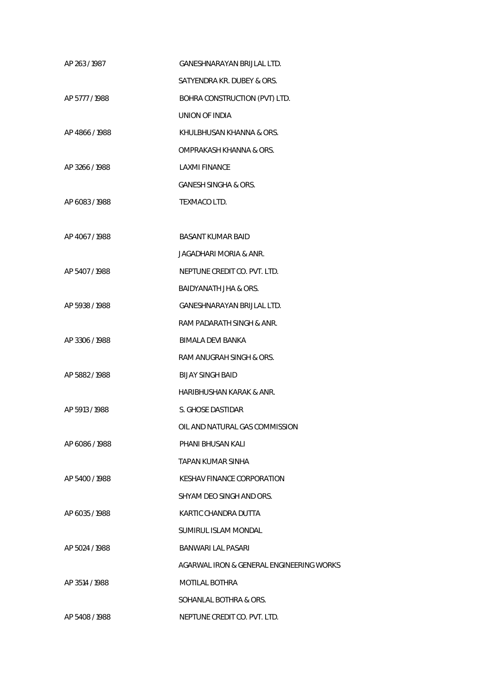| AP 263/1987    | GANESHNARAYAN BRIJLAL LTD.               |
|----------------|------------------------------------------|
|                | SATYENDRA KR. DUBEY & ORS.               |
| AP 5777 / 1988 | BOHRA CONSTRUCTION (PVT) LTD.            |
|                | UNION OF INDIA                           |
| AP 4866/1988   | KHULBHUSAN KHANNA & ORS.                 |
|                | OMPRAKASH KHANNA & ORS.                  |
| AP 3266/1988   | LAXMI FINANCE                            |
|                | <b>GANESH SINGHA &amp; ORS.</b>          |
| AP 6083/1988   | TEXMACO LTD.                             |
|                |                                          |
| AP 4067/1988   | <b>BASANT KUMAR BAID</b>                 |
|                | JAGADHARI MORIA & ANR.                   |
| AP 5407/1988   | NEPTUNE CREDIT CO. PVT. LTD.             |
|                | BAIDYANATH JHA & ORS.                    |
| AP 5938 / 1988 | GANESHNARAYAN BRIJLAL LTD.               |
|                | RAM PADARATH SINGH & ANR.                |
| AP 3306 / 1988 | BIMALA DEVI BANKA                        |
|                | RAM ANUGRAH SINGH & ORS.                 |
| AP 5882/1988   | <b>BIJAY SINGH BAID</b>                  |
|                | HARIBHUSHAN KARAK & ANR.                 |
| AP 5913 / 1988 | S. GHOSE DASTIDAR                        |
|                | OIL AND NATURAL GAS COMMISSION           |
| AP 6086 / 1988 | PHANI BHUSAN KALI                        |
|                | TAPAN KUMAR SINHA                        |
| AP 5400 / 1988 | KESHAV FINANCE CORPORATION               |
|                | SHYAM DEO SINGH AND ORS.                 |
| AP 6035/1988   | KARTIC CHANDRA DUTTA                     |
|                | SUMIRUL ISLAM MONDAL                     |
| AP 5024 / 1988 | <b>BANWARI LAL PASARI</b>                |
|                | AGARWAL IRON & GENERAL ENGINEERING WORKS |
| AP 3514 / 1988 | MOTILAL BOTHRA                           |
|                | SOHANLAL BOTHRA & ORS.                   |
| AP 5408 / 1988 | NEPTUNE CREDIT CO. PVT. LTD.             |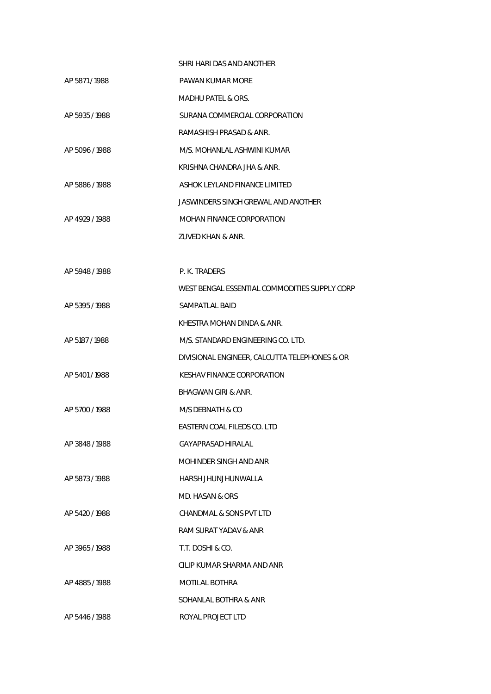|                | SHRI HARI DAS AND ANOTHER                     |
|----------------|-----------------------------------------------|
| AP 5871/1988   | PAWAN KUMAR MORE                              |
|                | <b>MADHU PATEL &amp; ORS.</b>                 |
| AP 5935 / 1988 | SURANA COMMERCIAL CORPORATION                 |
|                | RAMASHISH PRASAD & ANR.                       |
| AP 5096 / 1988 | M/S. MOHANLAL ASHWINI KUMAR                   |
|                | KRISHNA CHANDRA JHA & ANR.                    |
| AP 5886 / 1988 | ASHOK LEYLAND FINANCE LIMITED                 |
|                | JASWINDERS SINGH GREWAL AND ANOTHER           |
| AP 4929 / 1988 | <b>MOHAN FINANCE CORPORATION</b>              |
|                | ZUVED KHAN & ANR.                             |
|                |                                               |
| AP 5948 / 1988 | P. K. TRADERS                                 |
|                | WEST BENGAL ESSENTIAL COMMODITIES SUPPLY CORP |
| AP 5395 / 1988 | SAMPATLAL BAID                                |
|                | KHESTRA MOHAN DINDA & ANR.                    |
| AP 5187 / 1988 | M/S. STANDARD ENGINEERING CO. LTD.            |
|                | DIVISIONAL ENGINEER, CALCUTTA TELEPHONES & OR |
| AP 5401/1988   | <b>KESHAV FINANCE CORPORATION</b>             |
|                | BHAGWAN GIRI & ANR.                           |
| AP 5700 / 1988 | M/S DEBNATH & CO                              |
|                | EASTERN COAL FILEDS CO. LTD                   |
| AP 3848 / 1988 | GAYAPRASAD HIRAI AI                           |
|                | MOHINDER SINGH AND ANR                        |
| AP 5873/1988   | HARSH JHUNJHUNWALLA                           |
|                | MD. HASAN & ORS                               |
| AP 5420 / 1988 | CHANDMAL & SONS PVT LTD                       |
|                | RAM SURAT YADAV & ANR                         |
| AP 3965/1988   | T.T. DOSHI & CO.                              |
|                | CILIP KUMAR SHARMA AND ANR                    |
| AP 4885/1988   | MOTILAL BOTHRA                                |
|                | SOHANLAL BOTHRA & ANR                         |
| AP 5446 / 1988 | ROYAL PROJECT LTD                             |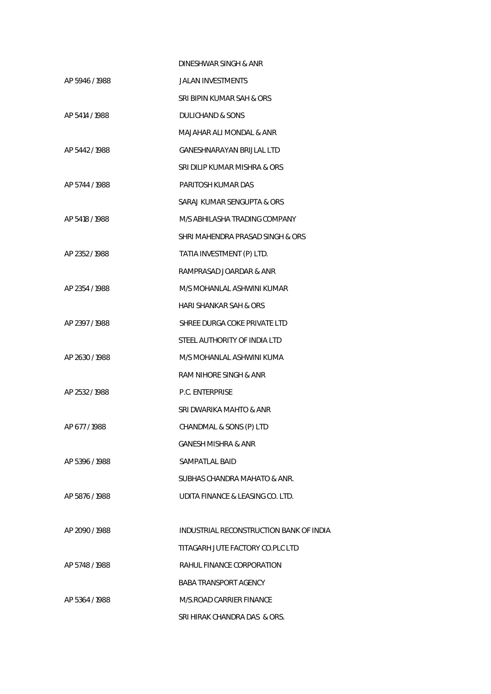|                | DINESHWAR SINGH & ANR                   |
|----------------|-----------------------------------------|
| AP 5946 / 1988 | <b>JALAN INVESTMENTS</b>                |
|                | SRI BIPIN KUMAR SAH & ORS               |
| AP 5414 / 1988 | DULICHAND & SONS                        |
|                | MAJAHAR ALI MONDAL & ANR                |
| AP 5442/1988   | <b>GANESHNARAYAN BRIJLAL LTD</b>        |
|                | SRI DILIP KUMAR MISHRA & ORS            |
| AP 5744 / 1988 | PARITOSH KUMAR DAS                      |
|                | SARAJ KUMAR SENGUPTA & ORS              |
| AP 5418 / 1988 | M/S ABHILASHA TRADING COMPANY           |
|                | SHRI MAHENDRA PRASAD SINGH & ORS        |
| AP 2352 / 1988 | TATIA INVESTMENT (P) LTD.               |
|                | RAMPRASAD JOARDAR & ANR                 |
| AP 2354 / 1988 | M/S MOHANLAL ASHWINI KUMAR              |
|                | HARI SHANKAR SAH & ORS                  |
| AP 2397/1988   | SHREE DURGA COKE PRIVATE LTD            |
|                | STEEL AUTHORITY OF INDIA LTD            |
| AP 2630 / 1988 | M/S MOHANLAL ASHWINI KUMA               |
|                | RAM NIHORE SINGH & ANR                  |
| AP 2532 / 1988 | <b>P.C. ENTERPRISE</b>                  |
|                | SRI DWARIKA MAHTO & ANR                 |
| AP 677/1988    | CHANDMAL & SONS (P) LTD                 |
|                | <b>GANESH MISHRA &amp; ANR</b>          |
| AP 5396 / 1988 | <b>SAMPATLAL BAID</b>                   |
|                | SUBHAS CHANDRA MAHATO & ANR.            |
| AP 5876 / 1988 | UDITA FINANCE & LEASING CO. LTD.        |
|                |                                         |
| AP 2090 / 1988 | INDUSTRIAL RECONSTRUCTION BANK OF INDIA |
|                | TITAGARH JUTE FACTORY CO.PLC LTD        |
| AP 5748 / 1988 | RAHUL FINANCE CORPORATION               |
|                | <b>BABA TRANSPORT AGENCY</b>            |
| AP 5364 / 1988 | M/S.ROAD CARRIER FINANCE                |
|                | SRI HIRAK CHANDRA DAS & ORS.            |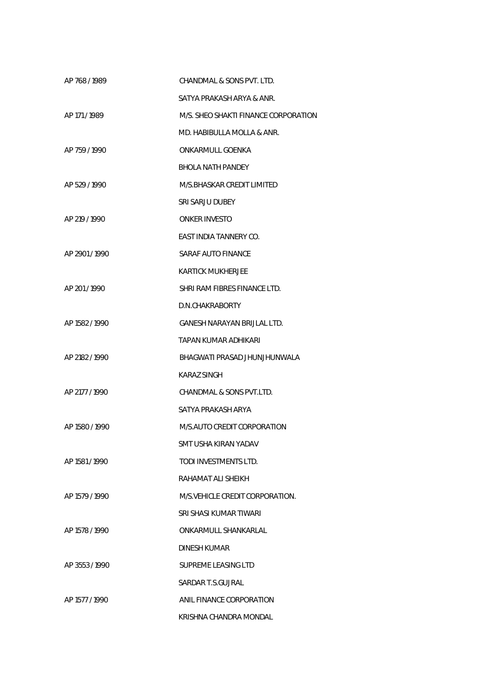| AP 768/1989    | CHANDMAL & SONS PVT. LTD.            |
|----------------|--------------------------------------|
|                | SATYA PRAKASH ARYA & ANR.            |
| AP 171/1989    | M/S. SHEO SHAKTI FINANCE CORPORATION |
|                | MD. HABIBULLA MOLLA & ANR.           |
| AP 759/1990    | ONKARMULL GOENKA                     |
|                | BHOLA NATH PANDEY                    |
| AP 529 / 1990  | M/S.BHASKAR CREDIT LIMITED           |
|                | SRI SARJU DUBEY                      |
| AP 219 / 1990  | <b>ONKER INVESTO</b>                 |
|                | EAST INDIA TANNERY CO.               |
| AP 2901/1990   | SARAF AUTO FINANCE                   |
|                | KARTICK MUKHERJEE                    |
| AP 201/1990    | SHRI RAM FIBRES FINANCE LTD.         |
|                | D.N.CHAKRABORTY                      |
| AP 1582 / 1990 | GANESH NARAYAN BRIJLAL LTD.          |
|                | TAPAN KUMAR ADHIKARI                 |
| AP 2182 / 1990 | BHAGWATI PRASAD JHUNJHUNWALA         |
|                | <b>KARAZ SINGH</b>                   |
| AP 2177 / 1990 | CHANDMAL & SONS PVT.LTD.             |
|                | SATYA PRAKASH ARYA                   |
| AP 1580 / 1990 | M/S.AUTO CREDIT CORPORATION          |
|                | SMT USHA KIRAN YADAV                 |
| AP 1581 / 1990 | TODI INVESTMENTS LTD.                |
|                | RAHAMAT ALI SHEIKH                   |
| AP 1579 / 1990 | M/S. VEHICLE CREDIT CORPORATION.     |
|                | SRI SHASI KUMAR TIWARI               |
| AP 1578 / 1990 | ONKARMULL SHANKARLAL                 |
|                | DINESH KUMAR                         |
| AP 3553/1990   | SUPREME LEASING LTD                  |
|                | SARDAR T.S.GUJRAL                    |
| AP 1577 / 1990 | ANIL FINANCE CORPORATION             |
|                | KRISHNA CHANDRA MONDAL               |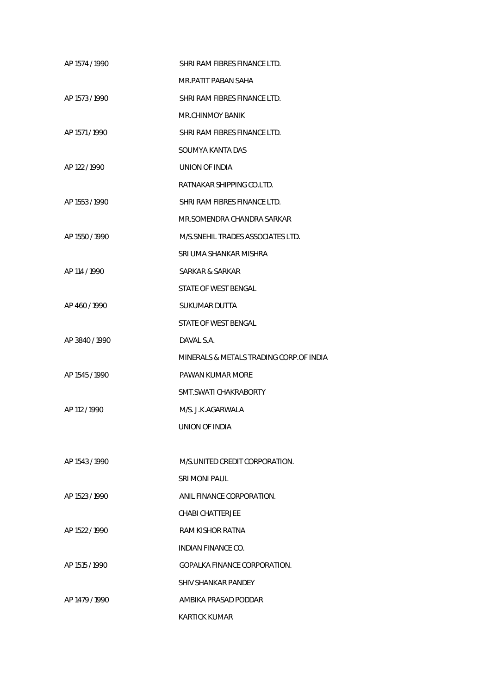| AP 1574 / 1990 | SHRI RAM FIBRES FINANCE LTD.            |
|----------------|-----------------------------------------|
|                | MR.PATIT PABAN SAHA                     |
| AP 1573 / 1990 | SHRI RAM FIBRES FINANCE LTD.            |
|                | MR.CHINMOY BANIK                        |
| AP 1571 / 1990 | SHRI RAM FIBRES FINANCE LTD.            |
|                | SOUMYA KANTA DAS                        |
| AP 122 / 1990  | <b>UNION OF INDIA</b>                   |
|                | RATNAKAR SHIPPING CO.LTD.               |
| AP 1553 / 1990 | SHRI RAM FIBRES FINANCE LTD.            |
|                | MR.SOMENDRA CHANDRA SARKAR              |
| AP 1550 / 1990 | M/S. SNEHIL TRADES ASSOCIATES LTD.      |
|                | SRI UMA SHANKAR MISHRA                  |
| AP 114 / 1990  | SARKAR & SARKAR                         |
|                | STATE OF WEST BENGAL                    |
| AP 460/1990    | SUKUMAR DUTTA                           |
|                | STATE OF WEST BENGAL                    |
| AP 3840/1990   | DAVAL S.A.                              |
|                | MINERALS & METALS TRADING CORP.OF INDIA |
| AP 1545 / 1990 | PAWAN KUMAR MORE                        |
|                | SMT.SWATI CHAKRABORTY                   |
| AP 112 / 1990  | M/S. J.K.AGARWALA                       |
|                | UNION OF INDIA                          |
|                |                                         |
| AP 1543 / 1990 | M/S.UNITED CREDIT CORPORATION.          |
|                | SRI MONI PAUL                           |
| AP 1523 / 1990 | ANIL FINANCE CORPORATION.               |
|                | CHABI CHATTERJEE                        |
| AP 1522 / 1990 | RAM KISHOR RATNA                        |
|                | INDIAN FINANCE CO.                      |
| AP 1515 / 1990 | <b>GOPALKA FINANCE CORPORATION.</b>     |
|                | <b>SHIV SHANKAR PANDEY</b>              |
| AP 1479 / 1990 | AMBIKA PRASAD PODDAR                    |
|                | <b>KARTICK KUMAR</b>                    |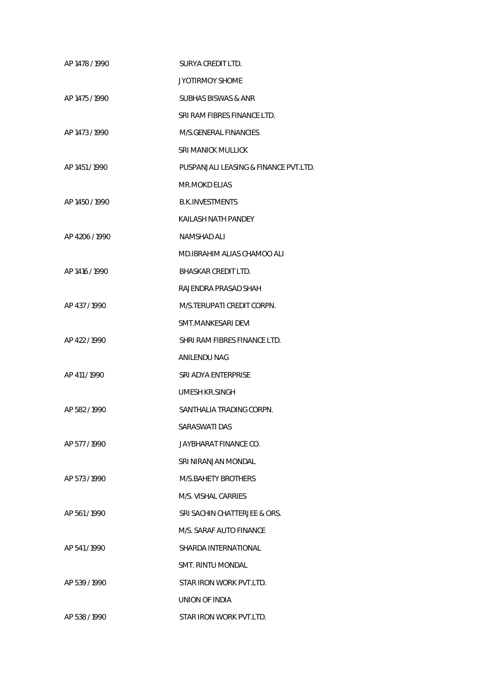| AP 1478 / 1990 | SURYA CREDIT LTD.                     |
|----------------|---------------------------------------|
|                | <b>JYOTIRMOY SHOME</b>                |
| AP 1475 / 1990 | <b>SUBHAS BISWAS &amp; ANR</b>        |
|                | SRI RAM FIBRES FINANCE LTD.           |
| AP 1473 / 1990 | M/S.GENERAL FINANCIES                 |
|                | <b>SRI MANICK MULLICK</b>             |
| AP 1451 / 1990 | PUSPANJALI LEASING & FINANCE PVT.LTD. |
|                | <b>MR.MOKD ELIAS</b>                  |
| AP 1450 / 1990 | <b>B.K.INVESTMENTS</b>                |
|                | KAILASH NATH PANDEY                   |
| AP 4206 / 1990 | <b>NAMSHAD ALI</b>                    |
|                | MD.IBRAHIM ALIAS CHAMOO ALI           |
| AP 1416 / 1990 | <b>BHASKAR CREDIT LTD.</b>            |
|                | RAJENDRA PRASAD SHAH                  |
| AP 437/1990    | M/S.TERUPATI CREDIT CORPN.            |
|                | SMT.MANKESARI DEVI                    |
| AP 422 / 1990  | SHRI RAM FIBRES FINANCE LTD.          |
|                | ANILENDU NAG                          |
| AP 411/1990    | SRI ADYA ENTERPRISE                   |
|                | <b>UMESH KR.SINGH</b>                 |
| AP 582/1990    | SANTHALIA TRADING CORPN.              |
|                | SARASWATI DAS                         |
| AP 577/1990    | JAYBHARAT FINANCE CO.                 |
|                | SRI NIRANJAN MONDAL                   |
| AP 573/1990    | M/S.BAHETY BROTHERS                   |
|                | M/S. VISHAL CARRIES                   |
| AP 561/1990    | SRI SACHIN CHATTERJEE & ORS.          |
|                | M/S. SARAF AUTO FINANCE               |
| AP 541/1990    | SHARDA INTERNATIONAL                  |
|                | SMT. RINTU MONDAL                     |
| AP 539 / 1990  | STAR IRON WORK PVT.LTD.               |
|                | UNION OF INDIA                        |
| AP 538 / 1990  | STAR IRON WORK PVT.LTD.               |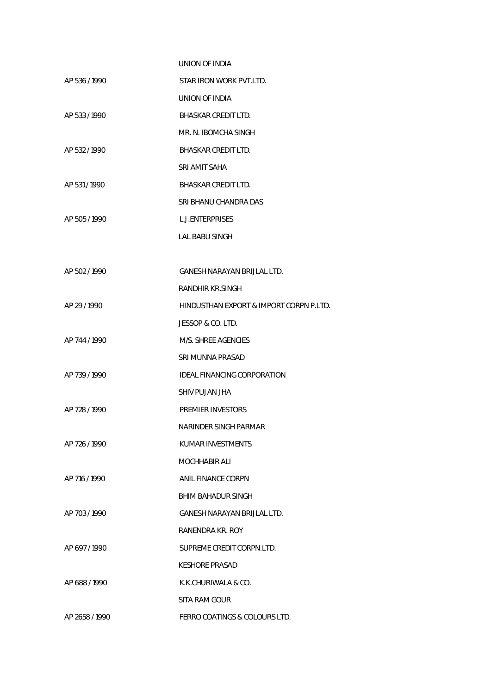|                | UNION OF INDIA                          |
|----------------|-----------------------------------------|
| AP 536 / 1990  | STAR IRON WORK PVT.LTD.                 |
|                | UNION OF INDIA                          |
| AP 533 / 1990  | <b>BHASKAR CREDIT LTD.</b>              |
|                | MR. N. IBOMCHA SINGH                    |
| AP 532 / 1990  | <b>BHASKAR CREDIT LTD.</b>              |
|                | SRI AMIT SAHA                           |
| AP 531/1990    | BHASKAR CREDIT LTD.                     |
|                | SRI BHANU CHANDRA DAS                   |
| AP 505 / 1990  | <b>L.J.ENTERPRISES</b>                  |
|                | <b>LAL BABU SINGH</b>                   |
|                |                                         |
| AP 502 / 1990  | <b>GANESH NARAYAN BRIJLAL LTD.</b>      |
|                | <b>RANDHIR KR.SINGH</b>                 |
| AP 29 / 1990   | HINDUSTHAN EXPORT & IMPORT CORPN P.LTD. |
|                | JESSOP & CO. LTD.                       |
| AP 744 / 1990  | M/S. SHREE AGENCIES                     |
|                | SRI MUNNA PRASAD                        |
| AP 739 / 1990  | <b>IDEAL FINANCING CORPORATION</b>      |
|                | SHIV PUJAN JHA                          |
| AP 728 / 1990  | <b>PREMIER INVESTORS</b>                |
|                | NARINDER SINGH PARMAR                   |
| AP 726 / 1990  | KUMAR INVESTMENTS                       |
|                | <b>MOCHHABIR ALI</b>                    |
| AP 716 / 1990  | ANIL FINANCE CORPN                      |
|                | BHIM BAHADUR SINGH                      |
| AP 703 / 1990  | <b>GANESH NARAYAN BRIJLAL LTD.</b>      |
|                | RANENDRA KR. ROY                        |
| AP 697/1990    | SUPREME CREDIT CORPN.LTD.               |
|                | <b>KESHORE PRASAD</b>                   |
| AP 688/1990    | K.K.CHURIWALA & CO.                     |
|                | SITA RAM GOUR                           |
| AP 2658 / 1990 | FERRO COATINGS & COLOURS LTD.           |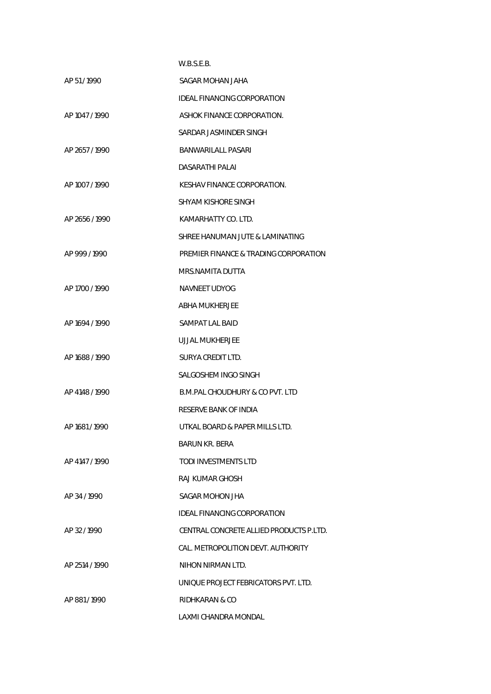|                | W.B.S.E.B.                              |
|----------------|-----------------------------------------|
| AP 51/1990     | SAGAR MOHAN JAHA                        |
|                | IDEAL FINANCING CORPORATION             |
| AP 1047 / 1990 | ASHOK FINANCE CORPORATION.              |
|                | SARDAR JASMINDER SINGH                  |
| AP 2657/1990   | BANWARILALL PASARI                      |
|                | DASARATHI PALAI                         |
| AP 1007 / 1990 | KESHAV FINANCE CORPORATION.             |
|                | SHYAM KISHORE SINGH                     |
| AP 2656 / 1990 | KAMARHATTY CO. LTD.                     |
|                | SHREE HANUMAN JUTE & LAMINATING         |
| AP 999/1990    | PREMIER FINANCE & TRADING CORPORATION   |
|                | MRS.NAMITA DUTTA                        |
| AP 1700 / 1990 | <b>NAVNEET UDYOG</b>                    |
|                | ABHA MUKHERJEE                          |
| AP 1694 / 1990 | SAMPAT LAL BAID                         |
|                | UJJAL MUKHERJEE                         |
| AP 1688 / 1990 | SURYA CREDIT LTD.                       |
|                | SALGOSHEM INGO SINGH                    |
| AP 4148 / 1990 | B.M.PAL CHOUDHURY & CO PVT. LTD         |
|                | RESERVE BANK OF INDIA                   |
| AP 1681 / 1990 | UTKAL BOARD & PAPER MILLS LTD.          |
|                | <b>BARUN KR. BERA</b>                   |
| AP 4147 / 1990 | <b>TODI INVESTMENTS LTD</b>             |
|                | RAJ KUMAR GHOSH                         |
| AP 34/1990     | SAGAR MOHON JHA                         |
|                | <b>IDEAL FINANCING CORPORATION</b>      |
| AP 32/1990     | CENTRAL CONCRETE ALLIED PRODUCTS P.LTD. |
|                | CAL. METROPOLITION DEVT. AUTHORITY      |
| AP 2514 / 1990 | NIHON NIRMAN LTD.                       |
|                | UNIQUE PROJECT FEBRICATORS PVT. LTD.    |
| AP 881/1990    | RIDHKARAN & CO                          |
|                | LAXMI CHANDRA MONDAL                    |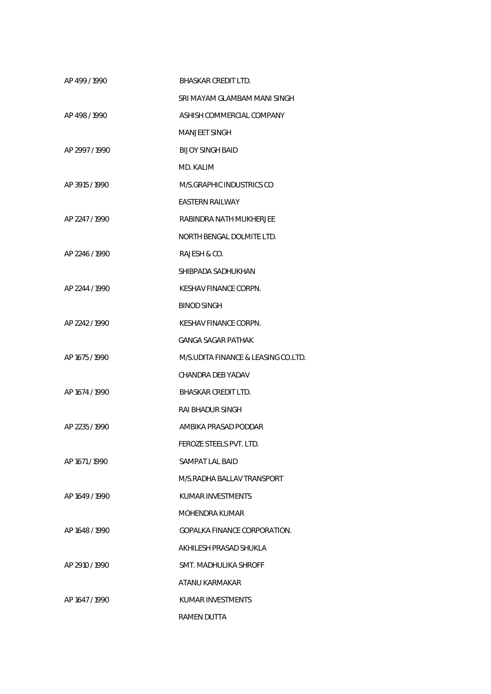| AP 499/1990    | BHASKAR CREDIT LTD.                 |
|----------------|-------------------------------------|
|                | SRI MAYAM GLAMBAM MANI SINGH        |
| AP 498/1990    | ASHISH COMMERCIAL COMPANY           |
|                | MANJEET SINGH                       |
| AP 2997/1990   | <b>BIJOY SINGH BAID</b>             |
|                | MD. KALIM                           |
| AP 3915 / 1990 | M/S.GRAPHIC INDUSTRICS CO           |
|                | <b>EASTERN RAILWAY</b>              |
| AP 2247 / 1990 | RABINDRA NATH MUKHERJEE             |
|                | NORTH BENGAL DOLMITE LTD.           |
| AP 2246 / 1990 | <b>RAJESH &amp; CO.</b>             |
|                | SHIBPADA SADHUKHAN                  |
| AP 2244 / 1990 | KESHAV FINANCE CORPN.               |
|                | <b>BINOD SINGH</b>                  |
| AP 2242 / 1990 | KESHAV FINANCE CORPN.               |
|                | <b>GANGA SAGAR PATHAK</b>           |
| AP 1675 / 1990 | M/S.UDITA FINANCE & LEASING CO.LTD. |
|                | CHANDRA DEB YADAV                   |
| AP 1674 / 1990 | <b>BHASKAR CREDIT LTD.</b>          |
|                | RAI BHADUR SINGH                    |
| AP 2235 / 1990 | AMBIKA PRASAD PODDAR                |
|                | FEROZE STEELS PVT. LTD.             |
| AP 1671 / 1990 | SAMPAT LAL BAID                     |
|                | M/S.RADHA BALLAV TRANSPORT          |
| AP 1649 / 1990 | KUMAR INVESTMENTS                   |
|                | MOHENDRA KUMAR                      |
| AP 1648 / 1990 | GOPALKA FINANCE CORPORATION.        |
|                | AKHILESH PRASAD SHUKLA              |
| AP 2910 / 1990 | SMT. MADHULIKA SHROFF               |
|                | ATANU KARMAKAR                      |
| AP 1647 / 1990 | KUMAR INVESTMENTS                   |
|                | <b>RAMEN DUTTA</b>                  |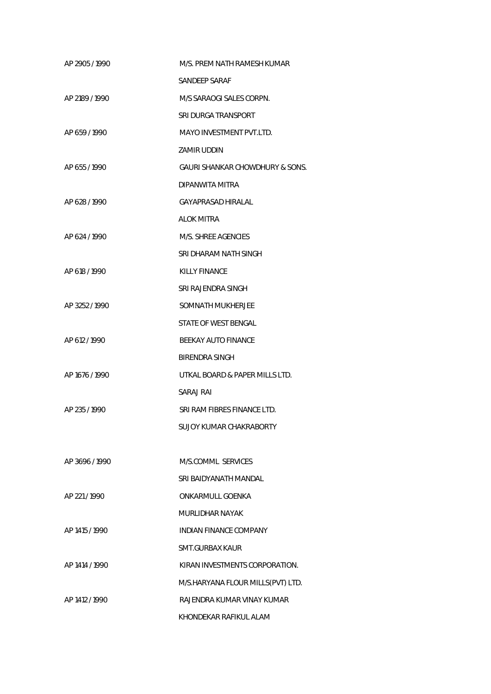| AP 2905 / 1990 | M/S. PREM NATH RAMESH KUMAR       |
|----------------|-----------------------------------|
|                | SANDEEP SARAF                     |
| AP 2189 / 1990 | M/S SARAOGI SALES CORPN.          |
|                | SRI DURGA TRANSPORT               |
| AP 659 / 1990  | MAYO INVESTMENT PVT.LTD.          |
|                | ZAMIR UDDIN                       |
| AP 655 / 1990  | GAURI SHANKAR CHOWDHURY & SONS.   |
|                | DIPANWITA MITRA                   |
| AP 628 / 1990  | GAYAPRASAD HIRALAL                |
|                | ALOK MITRA                        |
| AP 624 / 1990  | M/S. SHREE AGENCIES               |
|                | SRI DHARAM NATH SINGH             |
| AP 618 / 1990  | KILLY FINANCE                     |
|                | SRI RAJENDRA SINGH                |
| AP 3252 / 1990 | SOMNATH MUKHERJEE                 |
|                | STATE OF WEST BENGAL              |
| AP 612 / 1990  | BEEKAY AUTO FINANCE               |
|                | BIRENDRA SINGH                    |
| AP 1676 / 1990 | UTKAL BOARD & PAPER MILLS LTD.    |
|                | SARAJ RAI                         |
| AP 235 / 1990  | SRI RAM FIBRES FINANCE LTD.       |
|                | SUJOY KUMAR CHAKRABORTY           |
|                |                                   |
| AP 3696 / 1990 | M/S.COMML SERVICES                |
|                | SRI BAIDYANATH MANDAL             |
| AP 221 / 1990  | <b>ONKARMULL GOENKA</b>           |
|                | MURLIDHAR NAYAK                   |
| AP 1415 / 1990 | <b>INDIAN FINANCE COMPANY</b>     |
|                | SMT.GURBAX KAUR                   |
| AP 1414 / 1990 | KIRAN INVESTMENTS CORPORATION.    |
|                | M/S.HARYANA FLOUR MILLS(PVT) LTD. |
| AP 1412 / 1990 | RAJENDRA KUMAR VINAY KUMAR        |
|                | KHONDEKAR RAFIKUL ALAM            |
|                |                                   |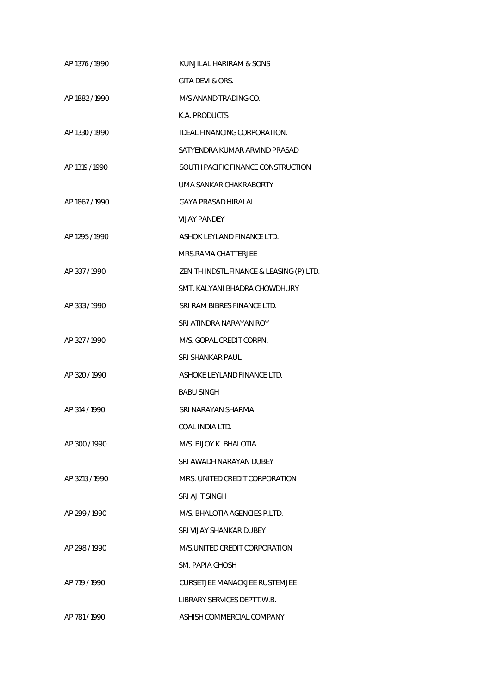| AP 1376 / 1990 | KUNJILAL HARIRAM & SONS                  |
|----------------|------------------------------------------|
|                | GITA DEVI & ORS.                         |
| AP 1882 / 1990 | M/S ANAND TRADING CO.                    |
|                | K.A. PRODUCTS                            |
| AP 1330 / 1990 | IDEAL FINANCING CORPORATION.             |
|                | SATYENDRA KUMAR ARVIND PRASAD            |
| AP 1319 / 1990 | SOUTH PACIFIC FINANCE CONSTRUCTION       |
|                | UMA SANKAR CHAKRABORTY                   |
| AP 1867 / 1990 | GAYA PRASAD HIRALAL                      |
|                | <b>VIJAY PANDEY</b>                      |
| AP 1295 / 1990 | ASHOK LEYLAND FINANCE LTD.               |
|                | MRS.RAMA CHATTERJEE                      |
| AP 337/1990    | ZENITH INDSTL.FINANCE & LEASING (P) LTD. |
|                | SMT. KALYANI BHADRA CHOWDHURY            |
| AP 333 / 1990  | SRI RAM BIBRES FINANCE LTD.              |
|                | SRI ATINDRA NARAYAN ROY                  |
| AP 327 / 1990  | M/S. GOPAL CREDIT CORPN.                 |
|                | <b>SRI SHANKAR PAUL</b>                  |
| AP 320 / 1990  | ASHOKE LEYLAND FINANCE LTD.              |
|                | <b>BABU SINGH</b>                        |
| AP 314 / 1990  | SRI NARAYAN SHARMA                       |
|                | COAL INDIA LTD.                          |
| AP 300 / 1990  | M/S. BIJOY K. BHALOTIA                   |
|                | SRI AWADH NARAYAN DUBEY                  |
| AP 3213/1990   | MRS. UNITED CREDIT CORPORATION           |
|                | SRI AJIT SINGH                           |
| AP 299 / 1990  | M/S. BHALOTIA AGENCIES P.LTD.            |
|                | SRI VIJAY SHANKAR DUBEY                  |
| AP 298 / 1990  | M/S.UNITED CREDIT CORPORATION            |
|                | SM. PAPIA GHOSH                          |
| AP 719 / 1990  | CURSETJEE MANACKJEE RUSTEMJEE            |
|                | LIBRARY SERVICES DEPTT.W.B.              |
| AP 781/1990    | ASHISH COMMERCIAL COMPANY                |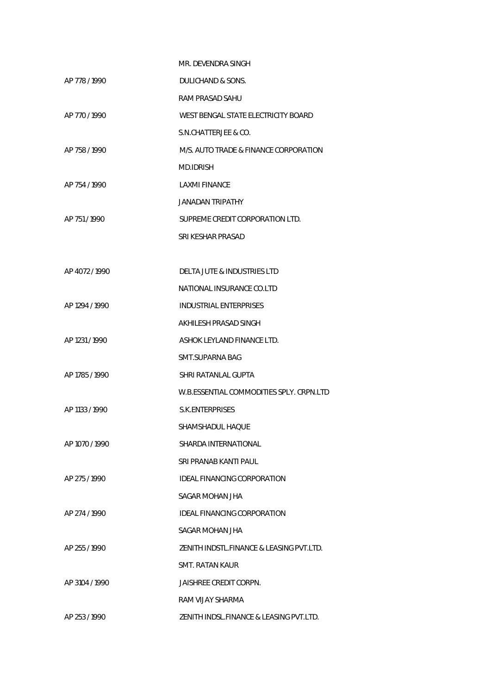|                | MR. DEVENDRA SINGH                       |
|----------------|------------------------------------------|
| AP 778 / 1990  | DULICHAND & SONS.                        |
|                | RAM PRASAD SAHU                          |
| AP 770 / 1990  | WEST BENGAL STATE ELECTRICITY BOARD      |
|                | S.N.CHATTERJEE & CO.                     |
| AP 758 / 1990  | M/S. AUTO TRADE & FINANCE CORPORATION    |
|                | <b>MD.IDRISH</b>                         |
| AP 754 / 1990  | LAXMI FINANCE                            |
|                | JANADAN TRIPATHY                         |
| AP 751 / 1990  | SUPREME CREDIT CORPORATION LTD.          |
|                | SRI KESHAR PRASAD                        |
|                |                                          |
| AP 4072/1990   | DELTA JUTE & INDUSTRIES LTD              |
|                | NATIONAL INSURANCE CO.LTD                |
| AP 1294 / 1990 | <b>INDUSTRIAL ENTERPRISES</b>            |
|                | AKHILESH PRASAD SINGH                    |
| AP 1231 / 1990 | ASHOK LEYLAND FINANCE LTD.               |
|                | <b>SMT.SUPARNA BAG</b>                   |
| AP 1785 / 1990 | SHRI RATANLAL GUPTA                      |
|                | W.B.ESSENTIAL COMMODITIES SPLY. CRPN.LTD |
| AP 1133 / 1990 | S.K.ENTERPRISES                          |
|                | SHAMSHADUL HAOUE                         |
| AP 1070 / 1990 | SHARDA INTERNATIONAL                     |
|                | SRI PRANAB KANTI PAUL                    |
| AP 275/1990    | IDEAL FINANCING CORPORATION              |
|                | SAGAR MOHAN JHA                          |
| AP 274 / 1990  | IDEAL FINANCING CORPORATION              |
|                | SAGAR MOHAN JHA                          |
| AP 255 / 1990  | ZENITH INDSTL.FINANCE & LEASING PVT.LTD. |
|                | SMT. RATAN KAUR                          |
| AP 3104 / 1990 | JAISHREE CREDIT CORPN.                   |
|                | RAM VIJAY SHARMA                         |
| AP 253 / 1990  | ZENITH INDSL.FINANCE & LEASING PVT.LTD.  |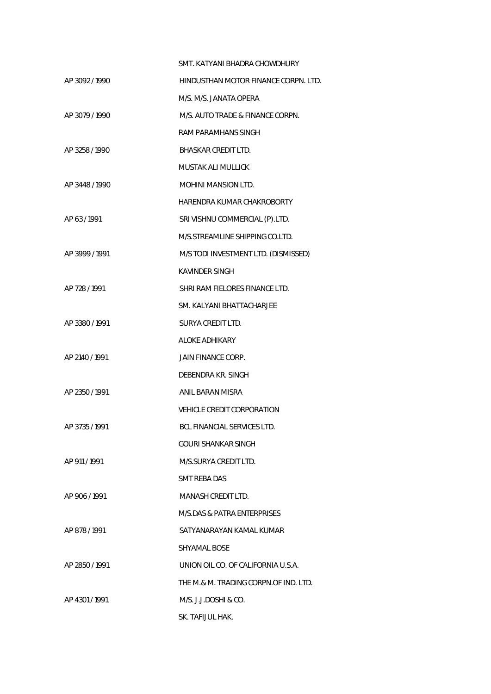|                | SMT. KATYANI BHADRA CHOWDHURY         |
|----------------|---------------------------------------|
| AP 3092/1990   | HINDUSTHAN MOTOR FINANCE CORPN. LTD.  |
|                | M/S. M/S. JANATA OPERA                |
| AP 3079 / 1990 | M/S. AUTO TRADE & FINANCE CORPN.      |
|                | RAM PARAMHANS SINGH                   |
| AP 3258 / 1990 | <b>BHASKAR CREDIT LTD.</b>            |
|                | <b>MUSTAK ALI MULLICK</b>             |
| AP 3448 / 1990 | <b>MOHINI MANSION LTD.</b>            |
|                | HARENDRA KUMAR CHAKROBORTY            |
| AP 63/1991     | SRI VISHNU COMMERCIAL (P).LTD.        |
|                | M/S.STREAMLINE SHIPPING CO.LTD.       |
| AP 3999 / 1991 | M/S TODI INVESTMENT LTD. (DISMISSED)  |
|                | <b>KAVINDER SINGH</b>                 |
| AP 728 / 1991  | SHRI RAM FIELORES FINANCE LTD.        |
|                | SM. KALYANI BHATTACHARJEE             |
| AP 3380 / 1991 | <b>SURYA CREDIT LTD.</b>              |
|                | <b>ALOKE ADHIKARY</b>                 |
| AP 2140 / 1991 | JAIN FINANCE CORP.                    |
|                | DEBENDRA KR. SINGH                    |
| AP 2350 / 1991 | ANIL BARAN MISRA                      |
|                | VEHICLE CREDIT CORPORATION            |
| AP 3735 / 1991 | BCL FINANCIAL SERVICES LTD.           |
|                | GOURL SHANKAR SINGH                   |
| AP 911/1991    | M/S.SURYA CREDIT LTD.                 |
|                | SMT REBA DAS                          |
| AP 906/1991    | MANASH CREDIT LTD.                    |
|                | M/S.DAS & PATRA ENTERPRISES           |
| AP 878/1991    | SATYANARAYAN KAMAL KUMAR              |
|                | SHYAMAL BOSE                          |
| AP 2850 / 1991 | UNION OIL CO. OF CALIFORNIA U.S.A.    |
|                | THE M.& M. TRADING CORPN.OF IND. LTD. |
| AP 4301/1991   | M/S. J.J.DOSHI & CO.                  |
|                | SK. TAFIJUL HAK.                      |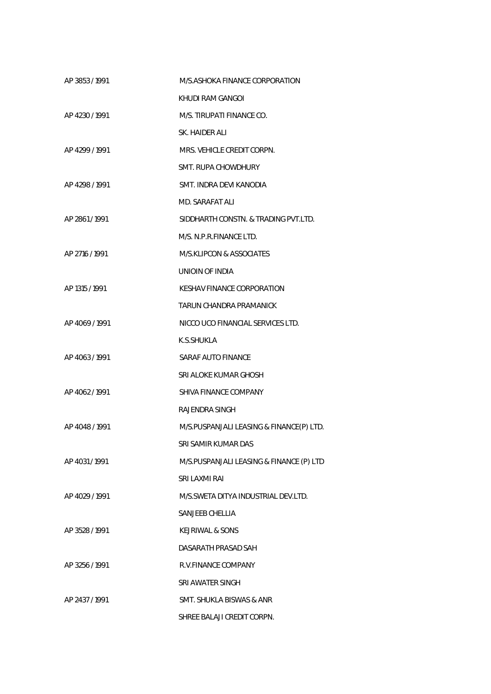| AP 3853/1991   | M/S.ASHOKA FINANCE CORPORATION           |
|----------------|------------------------------------------|
|                | KHUDI RAM GANGOL                         |
| AP 4230/1991   | M/S. TIRUPATI FINANCE CO.                |
|                | SK. HAIDER ALL                           |
| AP 4299 / 1991 | MRS. VEHICLE CREDIT CORPN.               |
|                | SMT. RUPA CHOWDHURY                      |
| AP 4298 / 1991 | SMT. INDRA DEVI KANODIA                  |
|                | MD. SARAFAT ALI                          |
| AP 2861/1991   | SIDDHARTH CONSTN. & TRADING PVT.LTD.     |
|                | M/S. N.P.R.FINANCE LTD.                  |
| AP 2716 / 1991 | <b>M/S.KLIPCON &amp; ASSOCIATES</b>      |
|                | UNIOIN OF INDIA                          |
| AP 1315 / 1991 | KESHAV FINANCE CORPORATION               |
|                | TARUN CHANDRA PRAMANICK                  |
| AP 4069 / 1991 | NICCO UCO FINANCIAL SERVICES LTD.        |
|                | K.S.SHUKLA                               |
| AP 4063/1991   | SARAF AUTO FINANCE                       |
|                | SRI ALOKE KUMAR GHOSH                    |
| AP 4062/1991   | SHIVA FINANCE COMPANY                    |
|                | RAJENDRA SINGH                           |
| AP 4048 / 1991 | M/S.PUSPANJALI LEASING & FINANCE(P) LTD. |
|                | SRI SAMIR KUMAR DAS                      |
| AP 4031/1991   | M/S.PUSPANJALI LEASING & FINANCE (P) LTD |
|                | SRI LAXMI RAI                            |
| AP 4029 / 1991 | M/S. SWETA DITYA INDUSTRIAL DEV. LTD.    |
|                | SANJEEB CHELLIA                          |
| AP 3528 / 1991 | KEJRIWAL & SONS                          |
|                | DASARATH PRASAD SAH                      |
| AP 3256 / 1991 | R.V.FINANCE COMPANY                      |
|                | SRI AWATER SINGH                         |
| AP 2437 / 1991 | SMT. SHUKLA BISWAS & ANR                 |
|                | SHREE BALAJI CREDIT CORPN.               |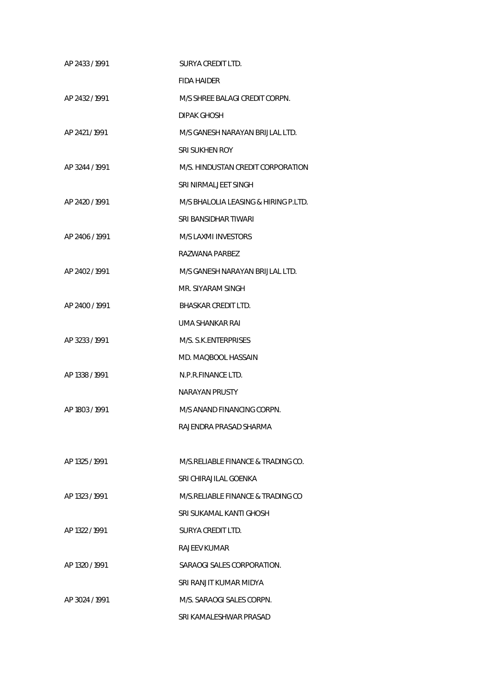| AP 2433 / 1991 | SURYA CREDIT LTD.                    |
|----------------|--------------------------------------|
|                | <b>FIDA HAIDER</b>                   |
| AP 2432 / 1991 | M/S SHREE BALAGI CREDIT CORPN.       |
|                | DIPAK GHOSH                          |
| AP 2421/1991   | M/S GANESH NARAYAN BRIJLAL LTD.      |
|                | SRI SUKHEN ROY                       |
| AP 3244 / 1991 | M/S. HINDUSTAN CREDIT CORPORATION    |
|                | SRI NIRMALJEET SINGH                 |
| AP 2420 / 1991 | M/S BHALOLIA LEASING & HIRING P.LTD. |
|                | SRI BANSIDHAR TIWARI                 |
| AP 2406 / 1991 | M/S LAXMI INVESTORS                  |
|                | RAZWANA PARREZ                       |
| AP 2402 / 1991 | M/S GANESH NARAYAN BRIJLAL LTD.      |
|                | MR. SIYARAM SINGH                    |
| AP 2400 / 1991 | BHASKAR CREDIT LTD.                  |
|                | UMA SHANKAR RAI                      |
| AP 3233 / 1991 | M/S. S.K.ENTERPRISES                 |
|                | MD. MAQBOOL HASSAIN                  |
| AP 1338 / 1991 | N.P.R.FINANCE LTD.                   |
|                | NARAYAN PRUSTY                       |
| AP 1803 / 1991 | M/S ANAND FINANCING CORPN.           |
|                | RAJENDRA PRASAD SHARMA               |
|                |                                      |
| AP 1325 / 1991 | M/S.RELIABLE FINANCE & TRADING CO.   |
|                | SRI CHIRAJII AL GOENKA               |
| AP 1323 / 1991 | M/S.RELIABLE FINANCE & TRADING CO    |
|                | SRI SUKAMAL KANTI GHOSH              |
| AP 1322 / 1991 | SURYA CREDIT LTD.                    |
|                | RAJEEV KUMAR                         |
| AP 1320 / 1991 | SARAOGI SALES CORPORATION.           |
|                | SRI RANJIT KUMAR MIDYA               |
| AP 3024 / 1991 | M/S. SARAOGI SALES CORPN.            |
|                | SRI KAMALESHWAR PRASAD               |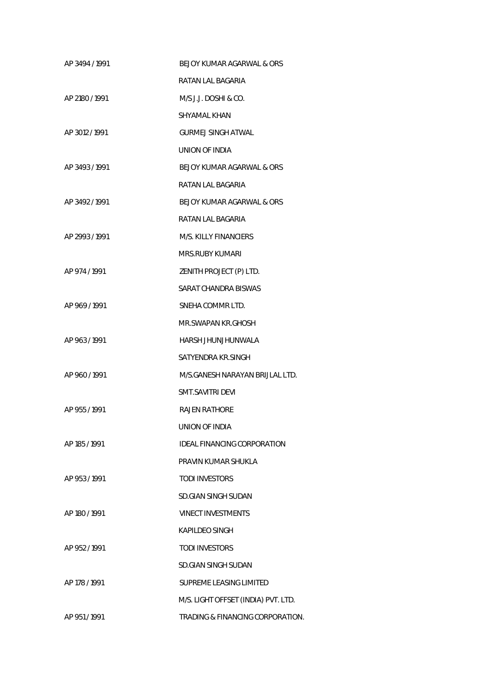| AP 3494 / 1991 | BEJOY KUMAR AGARWAL & ORS           |
|----------------|-------------------------------------|
|                | RATAN LAL BAGARIA                   |
| AP 2180 / 1991 | M/S J.J. DOSHI & CO.                |
|                | SHYAMAL KHAN                        |
| AP 3012 / 1991 | <b>GURMEJ SINGH ATWAL</b>           |
|                | UNION OF INDIA                      |
| AP 3493/1991   | BEJOY KUMAR AGARWAL & ORS           |
|                | RATAN LAL BAGARIA                   |
| AP 3492/1991   | BEJOY KUMAR AGARWAL & ORS           |
|                | RATAN LAL BAGARIA                   |
| AP 2993/1991   | M/S. KILLY FINANCIFRS               |
|                | MRS.RUBY KUMARI                     |
| AP 974 / 1991  | ZENITH PROJECT (P) LTD.             |
|                | SARAT CHANDRA BISWAS                |
| AP 969/1991    | SNEHA COMMR LTD.                    |
|                | MR.SWAPAN KR.GHOSH                  |
| AP 963 / 1991  | HARSH JHUNJHUNWALA                  |
|                | SATYENDRA KR.SINGH                  |
| AP 960/1991    | M/S.GANESH NARAYAN BRIJLAL LTD.     |
|                | SMT.SAVITRI DEVI                    |
| AP 955/1991    | <b>RAJEN RATHORE</b>                |
|                | UNION OF INDIA                      |
| AP 185/1991    | IDEAL FINANCING CORPORATION         |
|                | PRAVIN KUMAR SHUKLA                 |
| AP 953 / 1991  | <b>TODI INVESTORS</b>               |
|                | SD.GIAN SINGH SUDAN                 |
| AP 180 / 1991  | <b>VINECT INVESTMENTS</b>           |
|                | KAPILDEO SINGH                      |
| AP 952/1991    | <b>TODI INVESTORS</b>               |
|                | SD.GIAN SINGH SUDAN                 |
| AP 178 / 1991  | SUPREME LEASING LIMITED             |
|                | M/S. LIGHT OFFSET (INDIA) PVT. LTD. |
| AP 951/1991    | TRADING & FINANCING CORPORATION.    |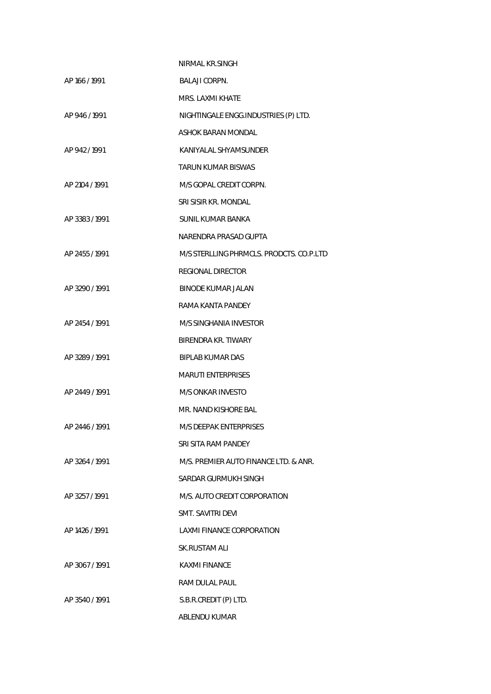|                | NIRMAL KR.SINGH                          |
|----------------|------------------------------------------|
| AP 166 / 1991  | <b>BALAJI CORPN.</b>                     |
|                | MRS. LAXMI KHATE                         |
| AP 946 / 1991  | NIGHTINGALE ENGG.INDUSTRIES (P) LTD.     |
|                | ASHOK BARAN MONDAL                       |
| AP 942/1991    | KANIYALAL SHYAMSUNDER                    |
|                | <b>TARUN KUMAR BISWAS</b>                |
| AP 2104 / 1991 | M/S GOPAL CREDIT CORPN.                  |
|                | SRI SISIR KR. MONDAL                     |
| AP 3383/1991   | <b>SUNIL KUMAR BANKA</b>                 |
|                | NARENDRA PRASAD GUPTA                    |
| AP 2455 / 1991 | M/S STERLLING PHRMCLS. PRODCTS. CO.P.LTD |
|                | <b>REGIONAL DIRECTOR</b>                 |
| AP 3290 / 1991 | <b>BINODE KUMAR JALAN</b>                |
|                | RAMA KANTA PANDEY                        |
| AP 2454 / 1991 | M/S SINGHANIA INVESTOR                   |
|                | BIRENDRA KR. TIWARY                      |
| AP 3289 / 1991 | <b>BIPLAB KUMAR DAS</b>                  |
|                | <b>MARUTI ENTERPRISES</b>                |
| AP 2449 / 1991 | <b>M/S ONKAR INVESTO</b>                 |
|                | MR. NAND KISHORE BAL                     |
| AP 2446 / 1991 | M/S DEEPAK ENTERPRISES                   |
|                | SRI SITA RAM PANDEY                      |
| AP 3264 / 1991 | M/S. PREMIER AUTO FINANCE LTD. & ANR.    |
|                | SARDAR GURMUKH SINGH                     |
| AP 3257/1991   | M/S. AUTO CREDIT CORPORATION             |
|                | SMT. SAVITRI DEVI                        |
| AP 1426 / 1991 | <b>LAXMI FINANCE CORPORATION</b>         |
|                | SK.RUSTAM ALI                            |
| AP 3067/1991   | KAXMI FINANCE                            |
|                | <b>RAM DULAL PAUL</b>                    |
| AP 3540/1991   | S.B.R.CREDIT (P) LTD.                    |
|                | ABLENDU KUMAR                            |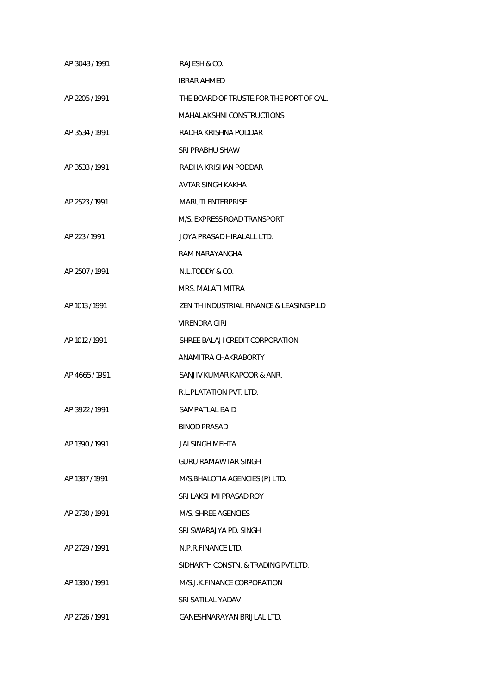| AP 3043/1991   | RAJESH & CO.                             |
|----------------|------------------------------------------|
|                | <b>IBRAR AHMED</b>                       |
| AP 2205 / 1991 | THE BOARD OF TRUSTE.FOR THE PORT OF CAL. |
|                | MAHALAKSHNI CONSTRUCTIONS                |
| AP 3534 / 1991 | RADHA KRISHNA PODDAR                     |
|                | <b>SRI PRABHU SHAW</b>                   |
| AP 3533 / 1991 | RADHA KRISHAN PODDAR                     |
|                | AVTAR SINGH KAKHA                        |
| AP 2523 / 1991 | <b>MARUTI ENTERPRISE</b>                 |
|                | M/S. EXPRESS ROAD TRANSPORT              |
| AP 223/1991    | JOYA PRASAD HIRALALL LTD.                |
|                | RAM NARAYANGHA                           |
| AP 2507 / 1991 | N.L.TODDY & CO.                          |
|                | MRS. MALATI MITRA                        |
| AP 1013 / 1991 | ZENITH INDUSTRIAL FINANCE & LEASING P.LD |
|                | VIRENDRA GIRI                            |
| AP 1012 / 1991 | SHREE BALAJI CREDIT CORPORATION          |
|                | ANAMITRA CHAKRABORTY                     |
| AP 4665/1991   | SANJIV KUMAR KAPOOR & ANR.               |
|                | R.L.PLATATION PVT. LTD.                  |
| AP 3922 / 1991 | SAMPATLAL BAID                           |
|                | <b>BINOD PRASAD</b>                      |
| AP 1390 / 1991 | JAI SINGH MEHTA                          |
|                | <b>GURU RAMAWTAR SINGH</b>               |
| AP 1387 / 1991 | M/S.BHALOTIA AGENCIES (P) LTD.           |
|                | SRI LAKSHMI PRASAD ROY                   |
| AP 2730 / 1991 | M/S. SHREE AGENCIES                      |
|                | SRI SWARAJYA PD. SINGH                   |
| AP 2729 / 1991 | N.P.R.FINANCE LTD.                       |
|                | SIDHARTH CONSTN. & TRADING PVT.LTD.      |
| AP 1380 / 1991 | M/S.J.K.FINANCE CORPORATION              |
|                | SRI SATILAL YADAV                        |
| AP 2726 / 1991 | GANESHNARAYAN BRIJLAL LTD.               |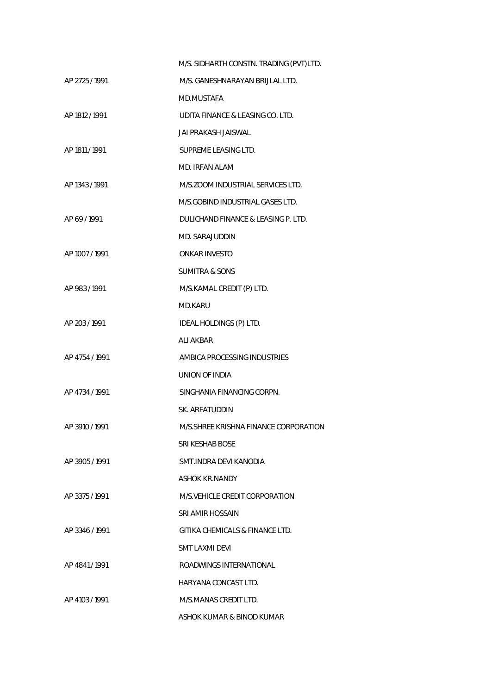|                | M/S. SIDHARTH CONSTN. TRADING (PVT)LTD. |
|----------------|-----------------------------------------|
| AP 2725 / 1991 | M/S. GANESHNARAYAN BRIJLAL LTD.         |
|                | MD.MUSTAFA                              |
| AP 1812 / 1991 | UDITA FINANCE & LEASING CO. LTD.        |
|                | <b>JAI PRAKASH JAISWAL</b>              |
| AP 1811 / 1991 | SUPREME LEASING LTD.                    |
|                | MD. IRFAN ALAM                          |
| AP 1343 / 1991 | M/S.ZOOM INDUSTRIAL SERVICES LTD.       |
|                | M/S.GOBIND INDUSTRIAL GASES LTD.        |
| AP 69/1991     | DULICHAND FINANCE & LEASING P. LTD.     |
|                | MD. SARAJUDDIN                          |
| AP 1007 / 1991 | <b>ONKAR INVESTO</b>                    |
|                | <b>SUMITRA &amp; SONS</b>               |
| AP 983 / 1991  | M/S.KAMAL CREDIT (P) LTD.               |
|                | MD.KARU                                 |
| AP 203/1991    | IDEAL HOLDINGS (P) LTD.                 |
|                | <b>ALI AKBAR</b>                        |
| AP 4754 / 1991 | AMBICA PROCESSING INDUSTRIES            |
|                | UNION OF INDIA                          |
| AP 4734 / 1991 | SINGHANIA FINANCING CORPN.              |
|                | SK. ARFATUDDIN                          |
| AP 3910 / 1991 | M/S.SHREE KRISHNA FINANCE CORPORATION   |
|                | SRI KESHAB BOSE                         |
| AP 3905/1991   | SMT. INDRA DEVI KANODIA                 |
|                | ASHOK KR.NANDY                          |
| AP 3375 / 1991 | M/S. VEHICLE CREDIT CORPORATION         |
|                | SRI AMIR HOSSAIN                        |
| AP 3346/1991   | GITIKA CHEMICALS & FINANCE LTD.         |
|                | SMT LAXMI DEVI                          |
| AP 4841/1991   | ROADWINGS INTERNATIONAL                 |
|                | HARYANA CONCAST LTD.                    |
| AP 4103 / 1991 | M/S.MANAS CREDIT LTD.                   |
|                | ASHOK KUMAR & BINOD KUMAR               |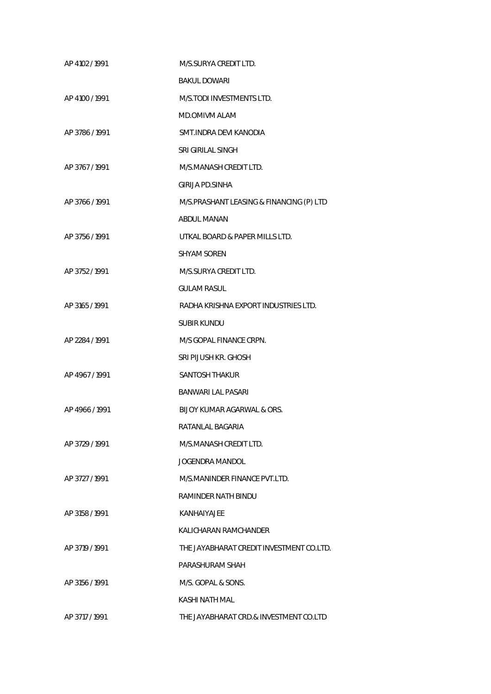| AP 4102 / 1991 | M/S.SURYA CREDIT LTD.                    |
|----------------|------------------------------------------|
|                | <b>BAKUL DOWARI</b>                      |
| AP 4100 / 1991 | M/S.TODI INVESTMENTS LTD.                |
|                | <b>MD.OMIVM ALAM</b>                     |
| AP 3786 / 1991 | SMT.INDRA DEVI KANODIA                   |
|                | SRI GIRILAL SINGH                        |
| AP 3767 / 1991 | M/S.MANASH CREDIT LTD.                   |
|                | <b>GIRIJA PD.SINHA</b>                   |
| AP 3766 / 1991 | M/S.PRASHANT LEASING & FINANCING (P) LTD |
|                | <b>ABDUL MANAN</b>                       |
| AP 3756 / 1991 | UTKAL BOARD & PAPER MILLS LTD.           |
|                | SHYAM SOREN                              |
| AP 3752 / 1991 | M/S.SURYA CREDIT LTD.                    |
|                | <b>GULAM RASUL</b>                       |
| AP 3165 / 1991 | RADHA KRISHNA EXPORT INDUSTRIES LTD.     |
|                | <b>SUBIR KUNDU</b>                       |
| AP 2284 / 1991 | M/S GOPAL FINANCE CRPN.                  |
|                | SRI PIJUSH KR. GHOSH                     |
| AP 4967/1991   | <b>SANTOSH THAKUR</b>                    |
|                | <b>BANWARI LAL PASARI</b>                |
| AP 4966 / 1991 | BIJOY KUMAR AGARWAL & ORS.               |
|                | RATANLAL BAGARIA                         |
| AP 3729 / 1991 | M/S.MANASH CREDIT LTD.                   |
|                | <b>JOGENDRA MANDOL</b>                   |
| AP 3727 / 1991 | M/S.MANINDER FINANCE PVT.LTD.            |
|                | RAMINDER NATH BINDU                      |
| AP 3158 / 1991 | KANHAIYAJEE                              |
|                | KALICHARAN RAMCHANDER                    |
| AP 3719 / 1991 | THE JAYABHARAT CREDIT INVESTMENT CO.LTD. |
|                | PARASHURAM SHAH                          |
| AP 3156 / 1991 | M/S. GOPAL & SONS.                       |
|                | KASHI NATH MAL                           |
| AP 3717 / 1991 | THE JAYABHARAT CRD.& INVESTMENT CO.LTD   |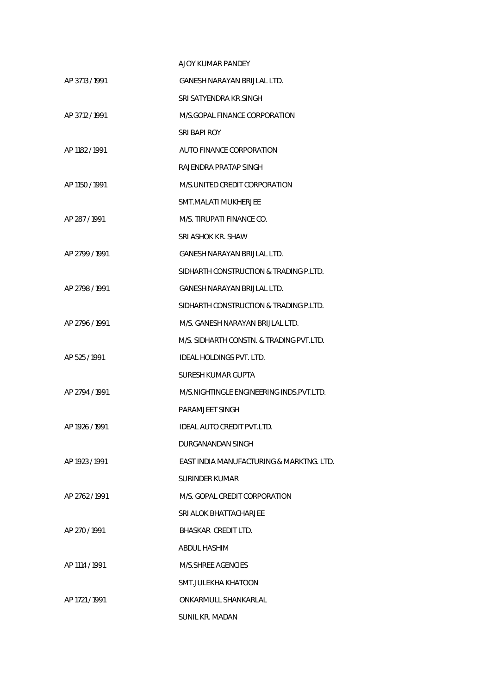|                | AJOY KUMAR PANDEY                        |
|----------------|------------------------------------------|
| AP 3713 / 1991 | GANESH NARAYAN BRIJLAL LTD.              |
|                | SRI SATYENDRA KR.SINGH                   |
| AP 3712 / 1991 | M/S.GOPAL FINANCE CORPORATION            |
|                | SRI BAPI ROY                             |
| AP 1182 / 1991 | AUTO FINANCE CORPORATION                 |
|                | RAJENDRA PRATAP SINGH                    |
| AP 1150 / 1991 | M/S.UNITED CREDIT CORPORATION            |
|                | SMT.MALATI MUKHERJEE                     |
| AP 287/1991    | M/S. TIRUPATI FINANCE CO.                |
|                | SRI ASHOK KR. SHAW                       |
| AP 2799 / 1991 | GANESH NARAYAN BRIJLAL LTD.              |
|                | SIDHARTH CONSTRUCTION & TRADING P.LTD.   |
| AP 2798 / 1991 | GANESH NARAYAN BRIJLAL LTD.              |
|                | SIDHARTH CONSTRUCTION & TRADING P.LTD.   |
| AP 2796 / 1991 | M/S. GANESH NARAYAN BRIJLAL LTD.         |
|                | M/S. SIDHARTH CONSTN. & TRADING PVT.LTD. |
| AP 525/1991    | <b>IDEAL HOLDINGS PVT. LTD.</b>          |
|                | <b>SURESH KUMAR GUPTA</b>                |
| AP 2794 / 1991 | M/S.NIGHTINGLE ENGINEERING INDS.PVT.LTD. |
|                | PARAMJEET SINGH                          |
| AP 1926 / 1991 | IDEAL AUTO CREDIT PVT.LTD.               |
|                | DURGANANDAN SINGH                        |
| AP 1923 / 1991 | EAST INDIA MANUFACTURING & MARKTNG. LTD. |
|                | SURINDER KUMAR                           |
| AP 2762 / 1991 | M/S. GOPAL CREDIT CORPORATION            |
|                | SRI ALOK BHATTACHARJEE                   |
| AP 270/1991    | BHASKAR CREDIT LTD.                      |
|                | ABDUL HASHIM                             |
| AP 1114 / 1991 | M/S.SHREE AGENCIES                       |
|                | SMT.JULEKHA KHATOON                      |
| AP 1721 / 1991 | ONKARMULL SHANKARLAL                     |
|                | SUNIL KR. MADAN                          |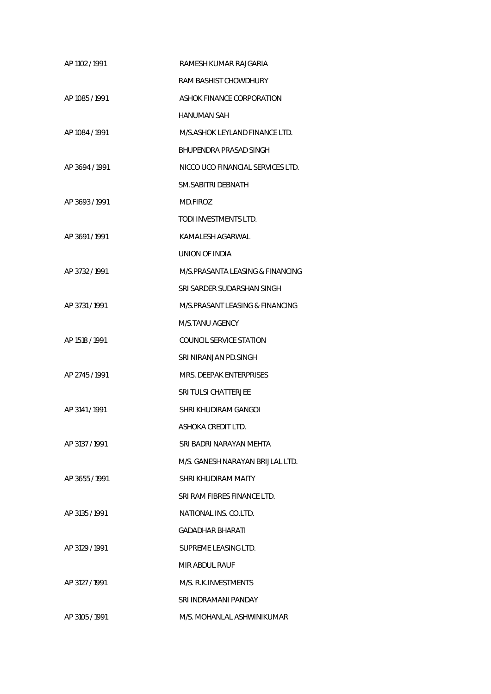| AP 1102 / 1991 | RAMESH KUMAR RAJGARIA             |
|----------------|-----------------------------------|
|                | RAM BASHIST CHOWDHURY             |
| AP 1085 / 1991 | ASHOK FINANCE CORPORATION         |
|                | <b>HANUMAN SAH</b>                |
| AP 1084 / 1991 | M/S.ASHOK LEYLAND FINANCE LTD.    |
|                | BHUPENDRA PRASAD SINGH            |
| AP 3694 / 1991 | NICCO UCO FINANCIAL SERVICES LTD. |
|                | SM.SABITRI DEBNATH                |
| AP 3693/1991   | MD.FIROZ                          |
|                | TODI INVESTMENTS LTD.             |
| AP 3691/1991   | KAMALESH AGARWAL                  |
|                | <b>UNION OF INDIA</b>             |
| AP 3732 / 1991 | M/S.PRASANTA LEASING & FINANCING  |
|                | SRI SARDER SUDARSHAN SINGH        |
| AP 3731/1991   | M/S.PRASANT LEASING & FINANCING   |
|                | M/S.TANU AGENCY                   |
| AP 1518 / 1991 | <b>COUNCIL SERVICE STATION</b>    |
|                | SRI NIRANJAN PD.SINGH             |
| AP 2745 / 1991 | MRS. DEEPAK ENTERPRISES           |
|                | SRI TULSI CHATTERJEE              |
| AP 3141/1991   | SHRI KHUDIRAM GANGOI              |
|                | ASHOKA CREDIT LTD.                |
| AP 3137 / 1991 | SRI BADRI NARAYAN MEHTA           |
|                | M/S. GANESH NARAYAN BRIJLAL LTD.  |
| AP 3655/1991   | SHRI KHUDIRAM MAITY               |
|                | SRI RAM FIBRES FINANCE LTD.       |
| AP 3135 / 1991 | NATIONAL INS. CO.LTD.             |
|                | GADADHAR BHARATI                  |
| AP 3129 / 1991 | SUPREME LEASING LTD.              |
|                | MIR ABDUL RAUF                    |
| AP 3127 / 1991 | M/S. R.K. INVESTMENTS             |
|                | SRI INDRAMANI PANDAY              |
| AP 3105 / 1991 | M/S. MOHANLAL ASHWINIKUMAR        |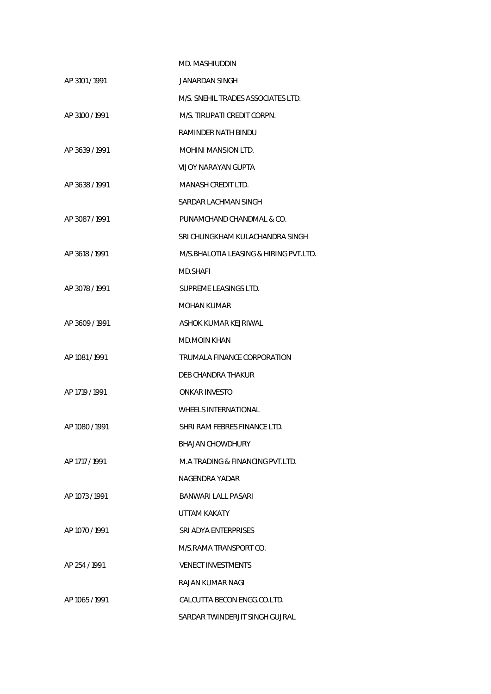|                | MD. MASHIUDDIN                         |
|----------------|----------------------------------------|
| AP 3101/1991   | JANARDAN SINGH                         |
|                | M/S. SNEHIL TRADES ASSOCIATES LTD.     |
| AP 3100 / 1991 | M/S. TIRUPATI CREDIT CORPN.            |
|                | RAMINDER NATH BINDU                    |
| AP 3639/1991   | <b>MOHINI MANSION LTD.</b>             |
|                | VIJOY NARAYAN GUPTA                    |
| AP 3638 / 1991 | MANASH CREDIT LTD.                     |
|                | SARDAR LACHMAN SINGH                   |
| AP 3087/1991   | PUNAMCHAND CHANDMAL & CO.              |
|                | SRI CHUNGKHAM KULACHANDRA SINGH        |
| AP 3618 / 1991 | M/S.BHALOTIA LEASING & HIRING PVT.LTD. |
|                | MD SHAFI                               |
| AP 3078 / 1991 | SUPREME LEASINGS LTD.                  |
|                | <b>MOHAN KUMAR</b>                     |
| AP 3609 / 1991 | ASHOK KUMAR KEJRIWAL                   |
|                | <b>MD.MOIN KHAN</b>                    |
| AP 1081 / 1991 | TRUMALA FINANCE CORPORATION            |
|                | DEB CHANDRA THAKUR                     |
| AP 1719 / 1991 | <b>ONKAR INVESTO</b>                   |
|                | <b>WHEELS INTERNATIONAL</b>            |
| AP 1080 / 1991 | SHRI RAM FEBRES FINANCE LTD.           |
|                | <b>BHAJAN CHOWDHURY</b>                |
| AP 1717 / 1991 | M.A TRADING & FINANCING PVT.LTD.       |
|                | NAGENDRA YADAR                         |
| AP 1073 / 1991 | BANWARI LALL PASARI                    |
|                | <b>UTTAM KAKATY</b>                    |
| AP 1070 / 1991 | SRI ADYA ENTERPRISES                   |
|                | M/S.RAMA TRANSPORT CO.                 |
| AP 254 / 1991  | <b>VENECT INVESTMENTS</b>              |
|                | RAJAN KUMAR NAGI                       |
| AP 1065 / 1991 | CALCUTTA BECON ENGG.CO.LTD.            |
|                | SARDAR TWINDERJIT SINGH GUJRAL         |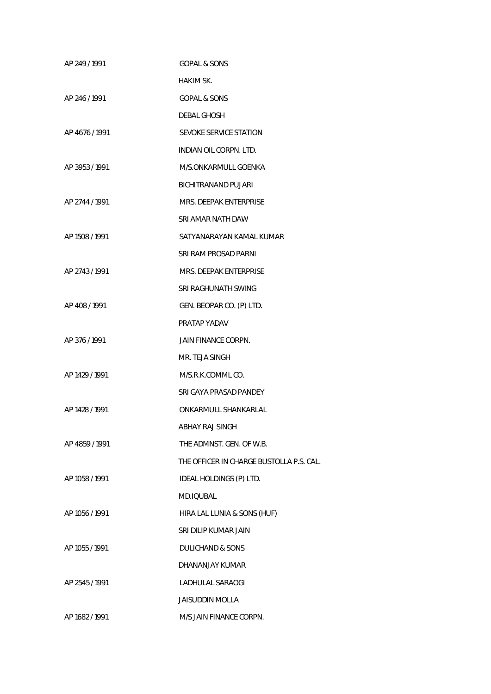| AP 249/1991    | <b>GOPAL &amp; SONS</b>                  |
|----------------|------------------------------------------|
|                | HAKIM SK.                                |
| AP 246/1991    | <b>GOPAL &amp; SONS</b>                  |
|                | DEBAL GHOSH                              |
| AP 4676 / 1991 | SEVOKE SERVICE STATION                   |
|                | INDIAN OIL CORPN. LTD.                   |
| AP 3953/1991   | M/S.ONKARMULL GOENKA                     |
|                | BICHITRANAND PUJARI                      |
| AP 2744 / 1991 | MRS. DEEPAK ENTERPRISE                   |
|                | SRI AMAR NATH DAW                        |
| AP 1508 / 1991 | SATYANARAYAN KAMAL KUMAR                 |
|                | SRI RAM PROSAD PARNI                     |
| AP 2743 / 1991 | MRS. DEEPAK ENTERPRISE                   |
|                | SRI RAGHUNATH SWING                      |
| AP 408/1991    | GEN. BEOPAR CO. (P) LTD.                 |
|                | PRATAP YADAV                             |
| AP 376/1991    | JAIN FINANCE CORPN.                      |
|                | MR. TEJA SINGH                           |
| AP 1429 / 1991 | M/S.R.K.COMMLCO.                         |
|                | SRI GAYA PRASAD PANDEY                   |
| AP 1428 / 1991 | ONKARMULL SHANKARLAL                     |
|                | ABHAY RAJ SINGH                          |
| AP 4859 / 1991 | THE ADMNST. GEN. OF W.B.                 |
|                | THE OFFICER IN CHARGE BUSTOLLA P.S. CAL. |
| AP 1058 / 1991 | IDEAL HOLDINGS (P) LTD.                  |
|                | MD.IQUBAL                                |
| AP 1056 / 1991 | HIRA LAL LUNIA & SONS (HUF)              |
|                | SRI DILIP KUMAR JAIN                     |
| AP 1055 / 1991 | <b>DULICHAND &amp; SONS</b>              |
|                | DHANANJAY KUMAR                          |
| AP 2545 / 1991 | LADHULAL SARAOGI                         |
|                | <b>JAISUDDIN MOLLA</b>                   |
| AP 1682 / 1991 | M/S JAIN FINANCE CORPN.                  |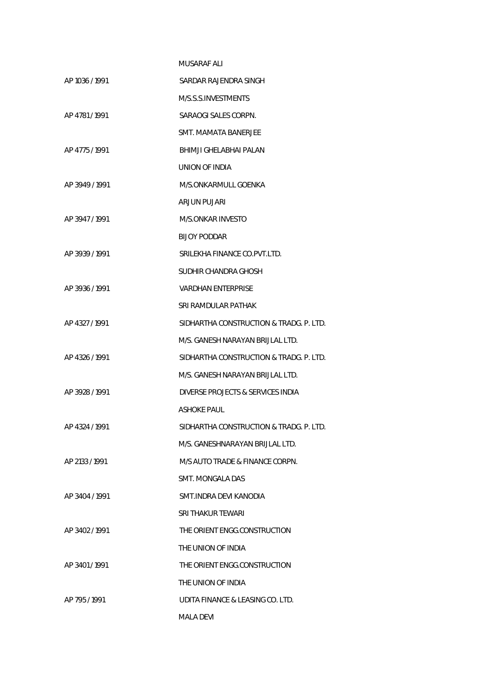|                | MUSARAF ALI                             |
|----------------|-----------------------------------------|
| AP 1036 / 1991 | SARDAR RAJENDRA SINGH                   |
|                | M/S.S.S.INVESTMENTS                     |
| AP 4781/1991   | SARAOGI SALES CORPN.                    |
|                | SMT. MAMATA BANERJEE                    |
| AP 4775/1991   | BHIMJI GHELABHAI PALAN                  |
|                | UNION OF INDIA                          |
| AP 3949/1991   | M/S.ONKARMULL GOENKA                    |
|                | ARJUN PUJARI                            |
| AP 3947/1991   | M/S.ONKAR INVESTO                       |
|                | <b>BIJOY PODDAR</b>                     |
| AP 3939 / 1991 | SRILEKHA FINANCE CO.PVT.LTD.            |
|                | SUDHIR CHANDRA GHOSH                    |
| AP 3936 / 1991 | VARDHAN ENTERPRISE                      |
|                | SRI RAMDULAR PATHAK                     |
| AP 4327 / 1991 | SIDHARTHA CONSTRUCTION & TRADG. P. LTD. |
|                | M/S. GANESH NARAYAN BRIJLAL LTD.        |
| AP 4326 / 1991 | SIDHARTHA CONSTRUCTION & TRADG. P. LTD. |
|                | M/S. GANESH NARAYAN BRIJLAL LTD.        |
| AP 3928 / 1991 | DIVERSE PROJECTS & SERVICES INDIA       |
|                | ASHOKE PAUL                             |
| AP 4324 / 1991 | SIDHARTHA CONSTRUCTION & TRADG. P. LTD. |
|                | M/S. GANESHNARAYAN BRIJLAL LTD.         |
| AP 2133 / 1991 | M/S AUTO TRADE & FINANCE CORPN.         |
|                | SMT. MONGALA DAS                        |
| AP 3404 / 1991 | SMT.INDRA DEVI KANODIA                  |
|                | SRI THAKUR TEWARI                       |
| AP 3402/1991   | THE ORIENT ENGG.CONSTRUCTION            |
|                | THE UNION OF INDIA                      |
| AP 3401/1991   | THE ORIENT ENGG.CONSTRUCTION            |
|                | THE UNION OF INDIA                      |
| AP 795/1991    | UDITA FINANCE & LEASING CO. LTD.        |
|                | MALA DEVI                               |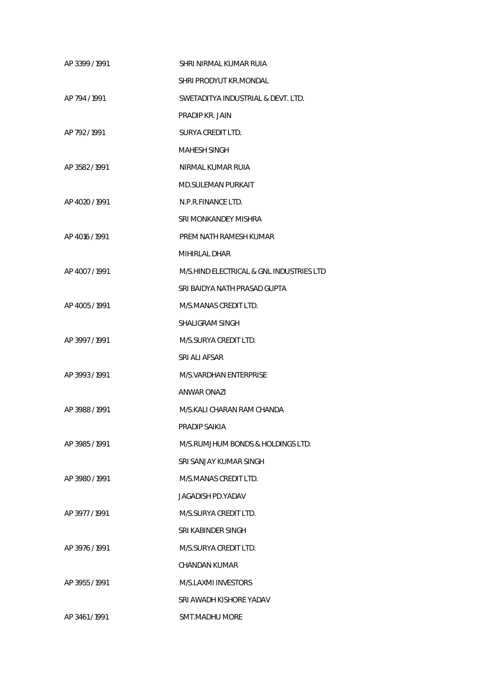| AP 3399 / 1991 | SHRI NIRMAL KUMAR RUIA                   |
|----------------|------------------------------------------|
|                | SHRI PRODYUT KR.MONDAL                   |
| AP 794 / 1991  | SWETADITYA INDUSTRIAL & DEVT. LTD.       |
|                | PRADIP KR. JAIN                          |
| AP 792/1991    | SURYA CREDIT LTD.                        |
|                | MAHESH SINGH                             |
| AP 3582/1991   | NIRMAL KUMAR RUIA                        |
|                | MD.SULEMAN PURKAIT                       |
| AP 4020 / 1991 | N.P.R.FINANCE LTD.                       |
|                | SRI MONKANDEY MISHRA                     |
| AP 4016 / 1991 | PREM NATH RAMESH KUMAR                   |
|                | MIHIRLAL DHAR                            |
| AP 4007/1991   | M/S.HIND ELECTRICAL & GNL INDUSTRIES LTD |
|                | SRI BAIDYA NATH PRASAD GUPTA             |
| AP 4005/1991   | M/S.MANAS CREDIT LTD.                    |
|                | SHALIGRAM SINGH                          |
| AP 3997/1991   | M/S.SURYA CREDIT LTD.                    |
|                | SRI ALI AFSAR                            |
| AP 3993/1991   | M/S.VARDHAN ENTERPRISE                   |
|                | ANWAR ONAZI                              |
| AP 3988 / 1991 | M/S.KALI CHARAN RAM CHANDA               |
|                | PRADIP SAIKIA                            |
| AP 3985/1991   | M/S.RUMJHUM BONDS & HOLDINGS LTD.        |
|                | SRI SANJAY KUMAR SINGH                   |
| AP 3980/1991   | M/S.MANAS CREDIT LTD.                    |
|                | JAGADISH PD.YADAV                        |
| AP 3977 / 1991 | M/S.SURYA CREDIT LTD.                    |
|                | SRI KABINDER SINGH                       |
| AP 3976 / 1991 | M/S.SURYA CREDIT LTD.                    |
|                | CHANDAN KUMAR                            |
| AP 3955 / 1991 | M/S.LAXMI INVESTORS                      |
|                | SRI AWADH KISHORE YADAV                  |
| AP 3461/1991   | <b>SMT.MADHU MORE</b>                    |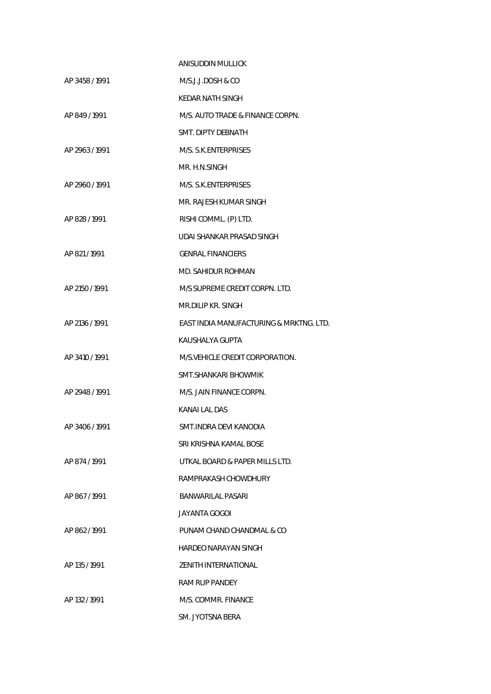|                | ANISUDDIN MULLICK                       |
|----------------|-----------------------------------------|
| AP 3458 / 1991 | M/S.J.J.DOSH & CO                       |
|                | KEDAR NATH SINGH                        |
| AP 849 / 1991  | M/S. AUTO TRADE & FINANCE CORPN.        |
|                | SMT. DIPTY DEBNATH                      |
| AP 2963 / 1991 | M/S. S.K.ENTERPRISES                    |
|                | MR. H.N.SINGH                           |
| AP 2960 / 1991 | M/S. S.K.ENTERPRISES                    |
|                | MR. RAJESH KUMAR SINGH                  |
| AP 828 / 1991  | RISHI COMML. (P) LTD.                   |
|                | UDAI SHANKAR PRASAD SINGH               |
| AP 821/1991    | <b>GENRAL FINANCIERS</b>                |
|                | MD. SAHIDUR ROHMAN                      |
| AP 2150 / 1991 | M/S SUPREME CREDIT CORPN. LTD.          |
|                | MR.DILIP KR. SINGH                      |
| AP 2136 / 1991 | EAST INDIA MANUFACTURING & MRKTNG. LTD. |
|                | KAUSHALYA GUPTA                         |
| AP 3410 / 1991 | M/S. VEHICLE CREDIT CORPORATION.        |
|                | SMT.SHANKARI BHOWMIK                    |
| AP 2948 / 1991 | M/S. JAIN FINANCE CORPN.                |
|                | KANAI LAL DAS                           |
| AP 3406 / 1991 | SMT.INDRA DEVI KANODIA                  |
|                | SRI KRISHNA KAMAL BOSE                  |
| AP 874 / 1991  | UTKAL BOARD & PAPER MILLS LTD.          |
|                | RAMPRAKASH CHOWDHURY                    |
| AP 867/1991    | BANWARILAL PASARI                       |
|                | JAYANTA GOGOI                           |
| AP 862/1991    | PUNAM CHAND CHANDMAL & CO               |
|                | HARDEO NARAYAN SINGH                    |
| AP 135 / 1991  | ZENITH INTERNATIONAL                    |
|                | <b>RAM RUP PANDEY</b>                   |
| AP 132/1991    | M/S. COMMR. FINANCE                     |
|                | SM. JYOTSNA BERA                        |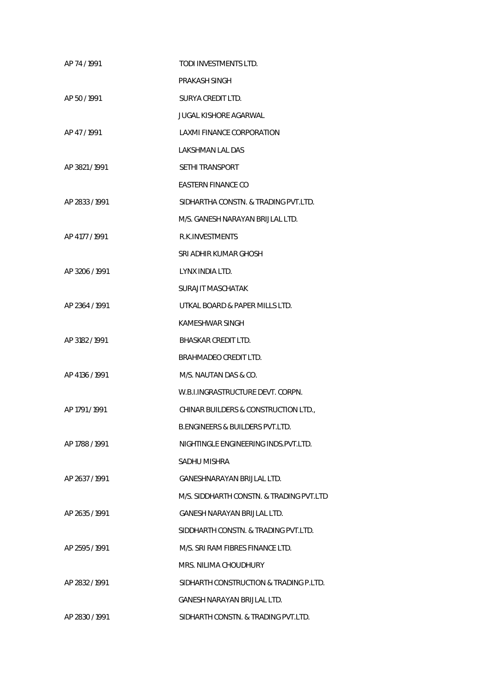| AP 74 / 1991   | TODI INVESTMENTS LTD.                      |
|----------------|--------------------------------------------|
|                | PRAKASH SINGH                              |
| AP 50/1991     | SURYA CREDIT LTD.                          |
|                | <b>JUGAL KISHORE AGARWAL</b>               |
| AP 47/1991     | LAXMI FINANCE CORPORATION                  |
|                | LAKSHMAN LAL DAS                           |
| AP 3821/1991   | <b>SETHI TRANSPORT</b>                     |
|                | EASTERN FINANCE CO                         |
| AP 2833 / 1991 | SIDHARTHA CONSTN. & TRADING PVT.LTD.       |
|                | M/S. GANESH NARAYAN BRIJLAL LTD.           |
| AP 4177 / 1991 | R.K. INVESTMENTS                           |
|                | SRI ADHIR KUMAR GHOSH                      |
| AP 3206 / 1991 | LYNX INDIA LTD.                            |
|                | SURAJIT MASCHATAK                          |
| AP 2364 / 1991 | UTKAL BOARD & PAPER MILLS LTD.             |
|                | KAMESHWAR SINGH                            |
| AP 3182 / 1991 | BHASKAR CREDIT LTD.                        |
|                | BRAHMADEO CREDIT LTD.                      |
| AP 4136 / 1991 | M/S. NAUTAN DAS & CO.                      |
|                | W.B.I.INGRASTRUCTURE DEVT. CORPN.          |
| AP 1791 / 1991 | CHINAR BUILDERS & CONSTRUCTION LTD.        |
|                | <b>B.ENGINEERS &amp; BUILDERS PVT.LTD.</b> |
| AP 1788 / 1991 | NIGHTINGLE ENGINEERING INDS.PVT.LTD.       |
|                | SADHU MISHRA                               |
| AP 2637 / 1991 | GANESHNARAYAN BRIJLAL LTD.                 |
|                | M/S. SIDDHARTH CONSTN. & TRADING PVT.LTD   |
| AP 2635 / 1991 | GANESH NARAYAN BRIJLAL LTD.                |
|                | SIDDHARTH CONSTN. & TRADING PVT.LTD.       |
| AP 2595 / 1991 | M/S. SRI RAM FIBRES FINANCE LTD.           |
|                | MRS. NILIMA CHOUDHURY                      |
| AP 2832 / 1991 | SIDHARTH CONSTRUCTION & TRADING P.LTD.     |
|                | GANESH NARAYAN BRIJLAL LTD.                |
| AP 2830 / 1991 | SIDHARTH CONSTN. & TRADING PVT.LTD.        |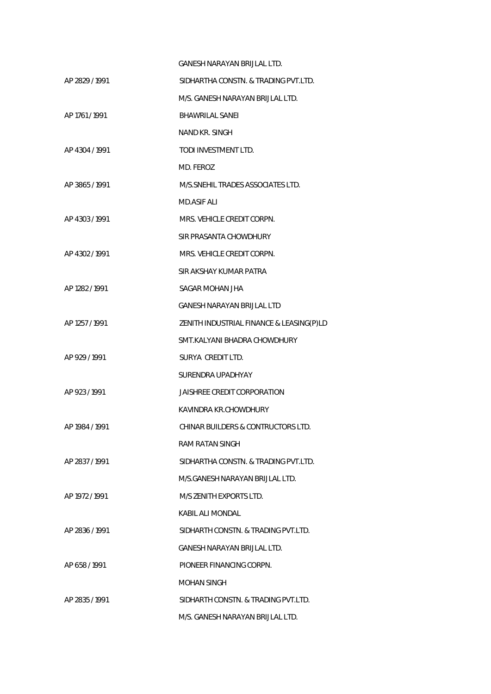|                | GANESH NARAYAN BRIJLAL LTD.              |
|----------------|------------------------------------------|
| AP 2829 / 1991 | SIDHARTHA CONSTN. & TRADING PVT.LTD.     |
|                | M/S. GANESH NARAYAN BRIJLAL LTD.         |
| AP 1761 / 1991 | <b>BHAWRILAL SANEI</b>                   |
|                | NAND KR. SINGH                           |
| AP 4304 / 1991 | TODI INVESTMENT LTD.                     |
|                | MD. FEROZ                                |
| AP 3865/1991   | M/S.SNEHIL TRADES ASSOCIATES LTD.        |
|                | <b>MD.ASIF ALI</b>                       |
| AP 4303/1991   | MRS. VEHICLE CREDIT CORPN.               |
|                | SIR PRASANTA CHOWDHURY                   |
| AP 4302/1991   | MRS. VEHICLE CREDIT CORPN.               |
|                | SIR AKSHAY KUMAR PATRA                   |
| AP 1282 / 1991 | SAGAR MOHAN JHA                          |
|                | GANESH NARAYAN BRIJLAL LTD               |
| AP 1257 / 1991 | ZENITH INDUSTRIAL FINANCE & LEASING(P)LD |
|                | SMT.KALYANI BHADRA CHOWDHURY             |
| AP 929 / 1991  | SURYA CREDIT LTD.                        |
|                | SURENDRA UPADHYAY                        |
| AP 923/1991    | JAISHREE CREDIT CORPORATION              |
|                | KAVINDRA KR.CHOWDHURY                    |
| AP 1984 / 1991 | CHINAR BUILDERS & CONTRUCTORS LTD.       |
|                | RAM RATAN SINGH                          |
| AP 2837 / 1991 | SIDHARTHA CONSTN. & TRADING PVT.LTD.     |
|                | M/S.GANESH NARAYAN BRIJLAL LTD.          |
| AP 1972 / 1991 | M/S ZENITH EXPORTS LTD.                  |
|                | KABIL ALI MONDAL                         |
| AP 2836 / 1991 | SIDHARTH CONSTN. & TRADING PVT.LTD.      |
|                | GANESH NARAYAN BRIJLAL LTD.              |
| AP 658/1991    | PIONEER FINANCING CORPN.                 |
|                | MOHAN SINGH                              |
| AP 2835 / 1991 | SIDHARTH CONSTN. & TRADING PVT.LTD.      |
|                | M/S. GANESH NARAYAN BRIJLAL LTD.         |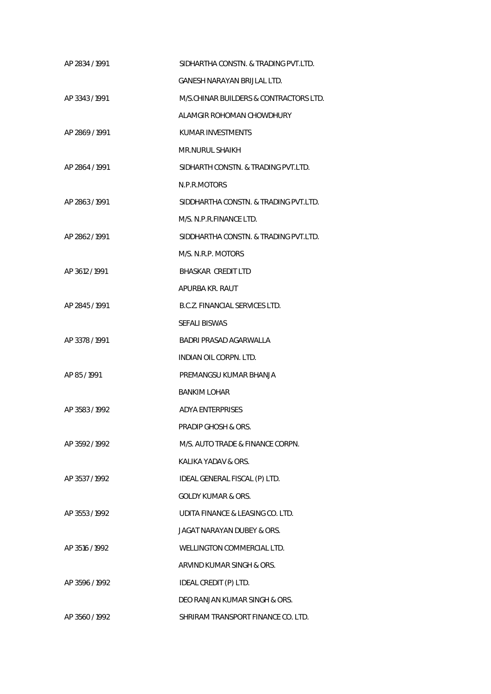| AP 2834 / 1991 | SIDHARTHA CONSTN. & TRADING PVT.LTD.   |
|----------------|----------------------------------------|
|                | GANESH NARAYAN BRULAL LTD.             |
| AP 3343/1991   | M/S.CHINAR BUILDERS & CONTRACTORS LTD. |
|                | ALAMGIR ROHOMAN CHOWDHURY              |
| AP 2869/1991   | KUMAR INVESTMENTS                      |
|                | MR.NURUL SHAIKH                        |
| AP 2864 / 1991 | SIDHARTH CONSTN. & TRADING PVT.LTD.    |
|                | N.P.R.MOTORS                           |
| AP 2863/1991   | SIDDHARTHA CONSTN. & TRADING PVT.LTD.  |
|                | M/S. N.P.R.FINANCE LTD.                |
| AP 2862/1991   | SIDDHARTHA CONSTN. & TRADING PVT.LTD.  |
|                | M/S. N.R.P. MOTORS                     |
| AP 3612/1991   | BHASKAR CREDIT LTD                     |
|                | APURBA KR. RAUT                        |
| AP 2845 / 1991 | B.C.Z. FINANCIAL SERVICES LTD.         |
|                | <b>SEFALI BISWAS</b>                   |
| AP 3378 / 1991 | BADRI PRASAD AGARWALLA                 |
|                | INDIAN OIL CORPN. LTD.                 |
| AP 85 / 1991   | PREMANGSU KUMAR BHANJA                 |
|                | <b>BANKIM LOHAR</b>                    |
| AP 3583/1992   | ADYA ENTERPRISES                       |
|                | PRADIP GHOSH & ORS.                    |
| AP 3592/1992   | M/S. AUTO TRADE & FINANCE CORPN.       |
|                | KALIKA YADAV & ORS.                    |
| AP 3537/1992   | IDEAL GENERAL FISCAL (P) LTD.          |
|                | <b>GOLDY KUMAR &amp; ORS.</b>          |
| AP 3553/1992   | UDITA FINANCE & LEASING CO. LTD.       |
|                | JAGAT NARAYAN DUBEY & ORS.             |
| AP 3516 / 1992 | WELLINGTON COMMERCIAL LTD.             |
|                | ARVIND KUMAR SINGH & ORS.              |
| AP 3596 / 1992 | IDEAL CREDIT (P) LTD.                  |
|                | DEO RANJAN KUMAR SINGH & ORS.          |
| AP 3560 / 1992 | SHRIRAM TRANSPORT FINANCE CO. LTD.     |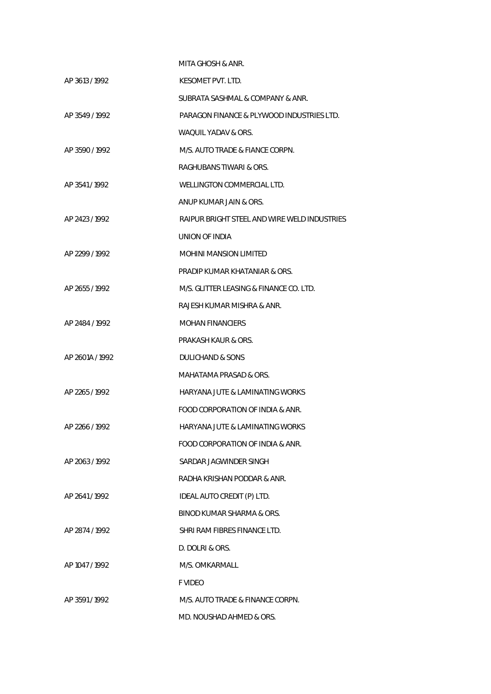|                 | MITA GHOSH & ANR.                            |
|-----------------|----------------------------------------------|
| AP 3613/1992    | KESOMET PVT. LTD.                            |
|                 | SUBRATA SASHMAL & COMPANY & ANR.             |
| AP 3549 / 1992  | PARAGON FINANCE & PLYWOOD INDUSTRIES LTD.    |
|                 | WAQUIL YADAV & ORS.                          |
| AP 3590/1992    | M/S. AUTO TRADE & FIANCE CORPN.              |
|                 | RAGHUBANS TIWARI & ORS.                      |
| AP 3541/1992    | WELLINGTON COMMERCIAL LTD.                   |
|                 | ANUP KUMAR JAIN & ORS.                       |
| AP 2423 / 1992  | RAIPUR BRIGHT STEEL AND WIRE WELD INDUSTRIES |
|                 | UNION OF INDIA                               |
| AP 2299 / 1992  | <b>MOHINI MANSION LIMITED</b>                |
|                 | PRADIP KUMAR KHATANIAR & ORS.                |
| AP 2655/1992    | M/S. GLITTER LEASING & FINANCE CO. LTD.      |
|                 | RAJESH KUMAR MISHRA & ANR.                   |
| AP 2484 / 1992  | <b>MOHAN FINANCIERS</b>                      |
|                 | PRAKASH KAUR & ORS.                          |
| AP 2601A / 1992 | DULICHAND & SONS                             |
|                 | MAHATAMA PRASAD & ORS.                       |
| AP 2265/1992    | HARYANA JUTE & LAMINATING WORKS              |
|                 | FOOD CORPORATION OF INDIA & ANR.             |
| AP 2266 / 1992  | HARYANA JUTE & LAMINATING WORKS              |
|                 | FOOD CORPORATION OF INDIA & ANR.             |
| AP 2063/1992    | SARDAR JAGWINDER SINGH                       |
|                 | RADHA KRISHAN PODDAR & ANR.                  |
| AP 2641/1992    | IDEAL AUTO CREDIT (P) LTD.                   |
|                 | BINOD KUMAR SHARMA & ORS.                    |
| AP 2874 / 1992  | SHRI RAM FIBRES FINANCE LTD.                 |
|                 | D. DOLRI & ORS.                              |
| AP 1047 / 1992  | M/S. OMKARMALL                               |
|                 | <b>F VIDEO</b>                               |
| AP 3591/1992    | M/S. AUTO TRADE & FINANCE CORPN.             |
|                 | MD. NOUSHAD AHMED & ORS.                     |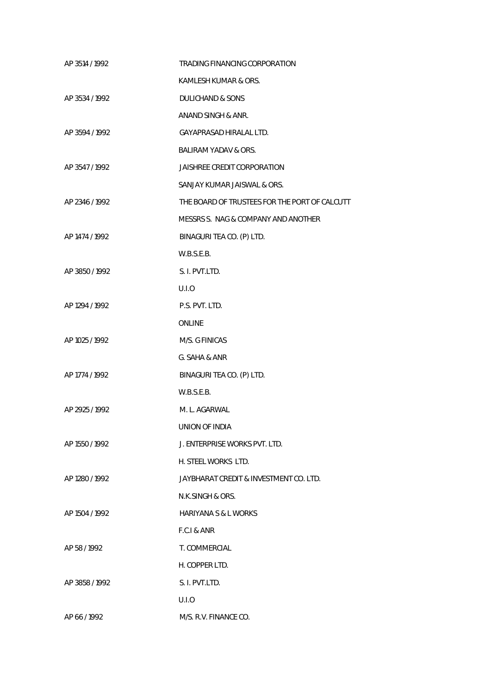| AP 3514 / 1992 | TRADING FINANCING CORPORATION                 |
|----------------|-----------------------------------------------|
|                | KAMLESH KUMAR & ORS.                          |
| AP 3534 / 1992 | <b>DULICHAND &amp; SONS</b>                   |
|                | ANAND SINGH & ANR.                            |
| AP 3594 / 1992 | GAYAPRASAD HIRALAL LTD.                       |
|                | BALIRAM YADAV & ORS.                          |
| AP 3547/1992   | JAISHREE CREDIT CORPORATION                   |
|                | SANJAY KUMAR JAISWAL & ORS.                   |
| AP 2346 / 1992 | THE BOARD OF TRUSTEES FOR THE PORT OF CALCUTT |
|                | MESSRS S. NAG & COMPANY AND ANOTHER           |
| AP 1474 / 1992 | BINAGURI TEA CO. (P) LTD.                     |
|                | W.B.S.E.B.                                    |
| AP 3850 / 1992 | S. I. PVT.LTD.                                |
|                | U.I.O                                         |
| AP 1294 / 1992 | P.S. PVT. LTD.                                |
|                | <b>ONLINE</b>                                 |
| AP 1025 / 1992 | M/S. G FINICAS                                |
|                | G. SAHA & ANR                                 |
| AP 1774 / 1992 | BINAGURI TEA CO. (P) LTD.                     |
|                | W.B.S.E.B.                                    |
| AP 2925 / 1992 | M. L. AGARWAL                                 |
|                | UNION OF INDIA                                |
| AP 1550 / 1992 | J. ENTERPRISE WORKS PVT. LTD.                 |
|                | H. STEEL WORKS LTD.                           |
| AP 1280/1992   | JAYBHARAT CREDIT & INVESTMENT CO. LTD.        |
|                | N.K.SINGH & ORS.                              |
| AP 1504 / 1992 | <b>HARIYANA S &amp; L WORKS</b>               |
|                | F.C.I & ANR                                   |
| AP 58 / 1992   | T. COMMERCIAL                                 |
|                | H. COPPER LTD.                                |
| AP 3858 / 1992 | S. I. PVT.LTD.                                |
|                | U.I.O                                         |
| AP 66 / 1992   | M/S. R.V. FINANCE CO.                         |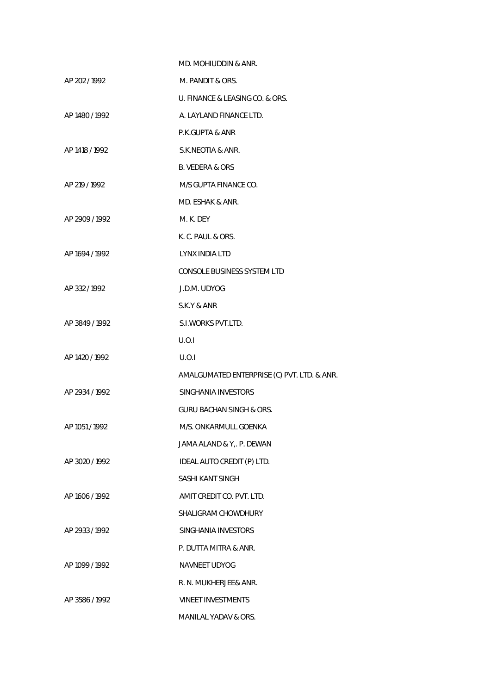|                | MD. MOHIUDDIN & ANR.                        |
|----------------|---------------------------------------------|
| AP 202 / 1992  | M. PANDIT & ORS.                            |
|                | U. FINANCE & LEASING CO. & ORS.             |
| AP 1480 / 1992 | A. LAYLAND FINANCE LTD.                     |
|                | P.K.GUPTA & ANR                             |
| AP 1418 / 1992 | S.K.NEOTIA & ANR.                           |
|                | <b>B. VEDERA &amp; ORS</b>                  |
| AP 219 / 1992  | M/S GUPTA FINANCE CO.                       |
|                | MD. ESHAK & ANR.                            |
| AP 2909 / 1992 | M. K. DEY                                   |
|                | K. C. PAUL & ORS.                           |
| AP 1694 / 1992 | LYNX INDIA LTD                              |
|                | CONSOLE BUSINESS SYSTEM LTD                 |
| AP 332/1992    | J.D.M. UDYOG                                |
|                | S.K.Y & ANR                                 |
| AP 3849 / 1992 | S.I. WORKS PVT.LTD.                         |
|                | U.O.I                                       |
| AP 1420 / 1992 | U.O.I                                       |
|                | AMALGUMATED ENTERPRISE (C) PVT. LTD. & ANR. |
| AP 2934 / 1992 | SINGHANIA INVESTORS                         |
|                | <b>GURU BACHAN SINGH &amp; ORS.</b>         |
| AP 1051 / 1992 | M/S. ONKARMULL GOENKA                       |
|                | JAMA ALAND & Y,. P. DEWAN                   |
| AP 3020 / 1992 | IDEAL AUTO CREDIT (P) LTD.                  |
|                | SASHI KANT SINGH                            |
| AP 1606 / 1992 | AMIT CREDIT CO. PVT. LTD.                   |
|                | SHALIGRAM CHOWDHURY                         |
| AP 2933 / 1992 | SINGHANIA INVESTORS                         |
|                | P. DUTTA MITRA & ANR.                       |
| AP 1099 / 1992 | NAVNEET UDYOG                               |
|                | R. N. MUKHERJEE& ANR.                       |
| AP 3586 / 1992 | <b>VINEET INVESTMENTS</b>                   |
|                | MANILAL YADAV & ORS.                        |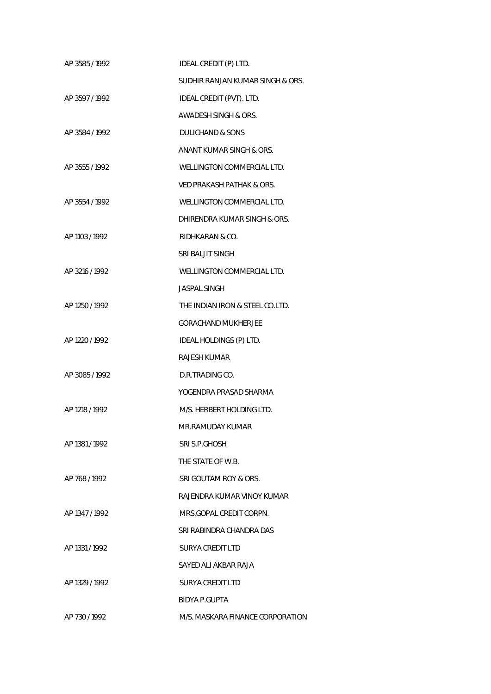| AP 3585/1992   | IDEAL CREDIT (P) LTD.                |
|----------------|--------------------------------------|
|                | SUDHIR RANJAN KUMAR SINGH & ORS.     |
| AP 3597/1992   | IDEAL CREDIT (PVT). LTD.             |
|                | AWADESH SINGH & ORS.                 |
| AP 3584 / 1992 | DULICHAND & SONS                     |
|                | ANANT KUMAR SINGH & ORS.             |
| AP 3555/1992   | WELLINGTON COMMERCIAL LTD.           |
|                | <b>VED PRAKASH PATHAK &amp; ORS.</b> |
| AP 3554 / 1992 | WELLINGTON COMMERCIAL LTD.           |
|                | DHIRENDRA KUMAR SINGH & ORS.         |
| AP 1103 / 1992 | RIDHKARAN & CO.                      |
|                | SRI BALJIT SINGH                     |
| AP 3216 / 1992 | WELLINGTON COMMERCIAL LTD.           |
|                | <b>JASPAL SINGH</b>                  |
| AP 1250 / 1992 | THE INDIAN IRON & STEEL CO.LTD.      |
|                | <b>GORACHAND MUKHERJEE</b>           |
| AP 1220 / 1992 | IDEAL HOLDINGS (P) LTD.              |
|                | RAJESH KUMAR                         |
| AP 3085 / 1992 | D.R.TRADING CO.                      |
|                | YOGENDRA PRASAD SHARMA               |
| AP 1218 / 1992 | M/S. HERBERT HOLDING LTD.            |
|                | MR.RAMUDAY KUMAR                     |
| AP 1381 / 1992 | SRI S.P.GHOSH                        |
|                | THE STATE OF W.B.                    |
| AP 768/1992    | SRI GOUTAM ROY & ORS.                |
|                | RAJENDRA KUMAR VINOY KUMAR           |
| AP 1347 / 1992 | MRS.GOPAL CREDIT CORPN.              |
|                | SRI RABINDRA CHANDRA DAS             |
| AP 1331 / 1992 | SURYA CREDIT LTD                     |
|                | SAYED ALI AKBAR RAJA                 |
| AP 1329 / 1992 | SURYA CREDIT LTD                     |
|                | BIDYA P.GUPTA                        |
| AP 730/1992    | M/S. MASKARA FINANCE CORPORATION     |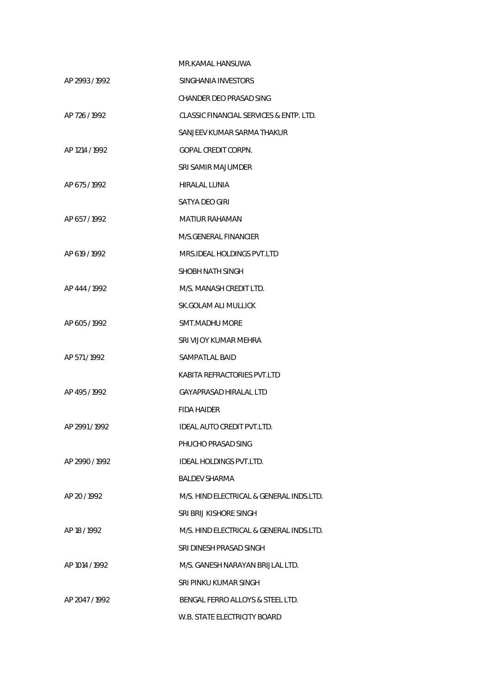|                | MR.KAMAL HANSUWA                         |
|----------------|------------------------------------------|
| AP 2993/1992   | SINGHANIA INVESTORS                      |
|                | CHANDER DEO PRASAD SING                  |
| AP 726/1992    | CLASSIC FINANCIAL SERVICES & ENTP. LTD.  |
|                | SANJEEV KUMAR SARMA THAKUR               |
| AP 1214 / 1992 | <b>GOPAL CREDIT CORPN.</b>               |
|                | SRI SAMIR MAJUMDER                       |
| AP 675/1992    | HIRALAL LUNIA                            |
|                | SATYA DEO GIRI                           |
| AP 657/1992    | MATIUR RAHAMAN                           |
|                | M/S.GENERAL FINANCIER                    |
| AP 619 / 1992  | MRS.IDEAL HOLDINGS PVT.LTD               |
|                | SHOBH NATH SINGH                         |
| AP 444 / 1992  | M/S. MANASH CREDIT LTD.                  |
|                | SK.GOLAM ALI MULLICK                     |
| AP 605/1992    | SMT.MADHU MORE                           |
|                | SRI VIJOY KUMAR MEHRA                    |
| AP 571/1992    | SAMPATLAL BAID                           |
|                | KABITA REFRACTORIES PVT.LTD              |
| AP 495/1992    | GAYAPRASAD HIRALAL LTD                   |
|                | <b>FIDA HAIDER</b>                       |
| AP 2991 / 1992 | IDEAL AUTO CREDIT PVT.LTD.               |
|                | PHUCHO PRASAD SING                       |
| AP 2990/1992   | IDEAL HOLDINGS PVT.LTD.                  |
|                | <b>BALDEV SHARMA</b>                     |
| AP 20 / 1992   | M/S. HIND ELECTRICAL & GENERAL INDS.LTD. |
|                | SRI BRIJ KISHORE SINGH                   |
| AP 18 / 1992   | M/S. HIND ELECTRICAL & GENERAL INDS.LTD. |
|                | SRI DINESH PRASAD SINGH                  |
| AP 1014 / 1992 | M/S. GANESH NARAYAN BRIJLAL LTD.         |
|                | SRI PINKU KUMAR SINGH                    |
| AP 2047 / 1992 | BENGAL FERRO ALLOYS & STEEL LTD.         |
|                | W.B. STATE ELECTRICITY BOARD             |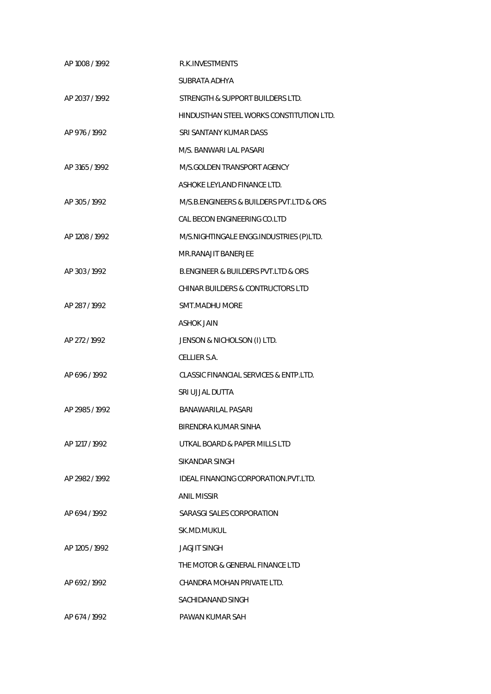| AP 1008 / 1992 | <b>R.K.INVESTMENTS</b>                             |
|----------------|----------------------------------------------------|
|                | SUBRATA ADHYA                                      |
| AP 2037 / 1992 | STRENGTH & SUPPORT BUILDERS LTD.                   |
|                | HINDUSTHAN STEEL WORKS CONSTITUTION LTD.           |
| AP 976 / 1992  | SRI SANTANY KUMAR DASS                             |
|                | M/S. BANWARI LAL PASARI                            |
| AP 3165 / 1992 | M/S.GOLDEN TRANSPORT AGENCY                        |
|                | ASHOKE LEYLAND FINANCE LTD.                        |
| AP 305 / 1992  | M/S.B. ENGINEERS & BUILDERS PVT. LTD & ORS         |
|                | CAL BECON ENGINEERING CO.LTD                       |
| AP 1208 / 1992 | M/S.NIGHTINGALE ENGG.INDUSTRIES (P)LTD.            |
|                | MR.RANAJIT BANERJEE                                |
| AP 303 / 1992  | <b>B.ENGINEER &amp; BUILDERS PVT.LTD &amp; ORS</b> |
|                | <b>CHINAR BUILDERS &amp; CONTRUCTORS LTD</b>       |
| AP 287/1992    | <b>SMT.MADHU MORE</b>                              |
|                | <b>ASHOK JAIN</b>                                  |
| AP 272 / 1992  | JENSON & NICHOLSON (I) LTD.                        |
|                | CELLIER S.A.                                       |
| AP 696/1992    | CLASSIC FINANCIAL SERVICES & ENTP.LTD.             |
|                | SRI UJJAL DUTTA                                    |
| AP 2985 / 1992 | BANAWARILAL PASARI                                 |
|                | BIRENDRA KUMAR SINHA                               |
| AP 1217 / 1992 | UTKAL BOARD & PAPER MILLS LTD                      |
|                | SIKANDAR SINGH                                     |
| AP 2982 / 1992 | IDEAL FINANCING CORPORATION.PVT.LTD.               |
|                | ANIL MISSIR                                        |
| AP 694/1992    | SARASGI SALES CORPORATION                          |
|                | SK.MD.MUKUL                                        |
| AP 1205 / 1992 | <b>JAGJIT SINGH</b>                                |
|                | THE MOTOR & GENERAL FINANCE LTD                    |
| AP 692/1992    | CHANDRA MOHAN PRIVATE LTD.                         |
|                | SACHIDANAND SINGH                                  |
| AP 674/1992    | PAWAN KUMAR SAH                                    |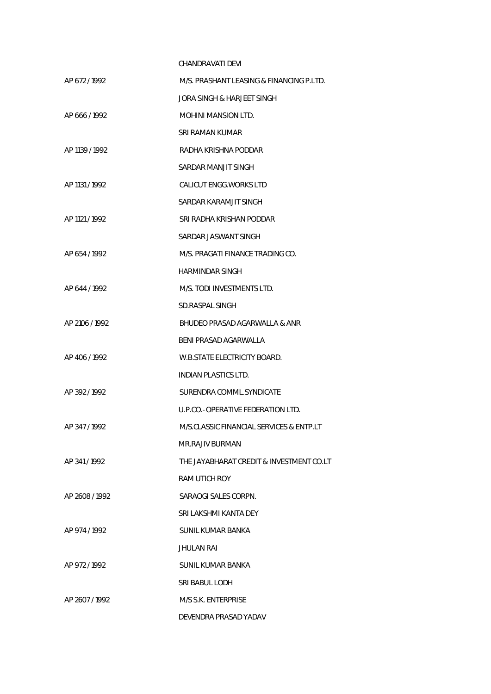|                | CHANDRAVATI DEVI                         |
|----------------|------------------------------------------|
| AP 672/1992    | M/S. PRASHANT LEASING & FINANCING P.LTD. |
|                | JORA SINGH & HARJEET SINGH               |
| AP 666/1992    | <b>MOHINI MANSION LTD.</b>               |
|                | SRI RAMAN KUMAR                          |
| AP 1139 / 1992 | RADHA KRISHNA PODDAR                     |
|                | SARDAR MANJIT SINGH                      |
| AP 1131 / 1992 | <b>CALICUT ENGG. WORKS LTD</b>           |
|                | SARDAR KARAMJIT SINGH                    |
| AP 1121 / 1992 | SRI RADHA KRISHAN PODDAR                 |
|                | SARDAR JASWANT SINGH                     |
| AP 654/1992    | M/S. PRAGATI FINANCE TRADING CO.         |
|                | HARMINDAR SINGH                          |
| AP 644 / 1992  | M/S. TODI INVESTMENTS LTD.               |
|                | SD.RASPAL SINGH                          |
| AP 2106 / 1992 | BHUDEO PRASAD AGARWALLA & ANR            |
|                | BENI PRASAD AGARWALLA                    |
| AP 406/1992    | W.B.STATE ELECTRICITY BOARD.             |
|                | <b>INDIAN PLASTICS LTD.</b>              |
| AP 392/1992    | SURENDRA COMML.SYNDICATE                 |
|                | U.P.CO. - OPERATIVE FEDERATION LTD.      |
| AP 347/1992    | M/S.CLASSIC FINANCIAL SERVICES & ENTP.LT |
|                | MR.RAJIV BURMAN                          |
| AP 341/1992    | THE JAYABHARAT CREDIT & INVESTMENT CO.LT |
|                | RAM UTICH ROY                            |
| AP 2608 / 1992 | SARAOGI SALES CORPN.                     |
|                | SRI LAKSHMI KANTA DEY                    |
| AP 974 / 1992  | SUNIL KUMAR BANKA                        |
|                | JHULAN RAI                               |
| AP 972 / 1992  | SUNIL KUMAR BANKA                        |
|                | SRI BABUL LODH                           |
| AP 2607/1992   | M/S S.K. ENTERPRISE                      |
|                | DEVENDRA PRASAD YADAV                    |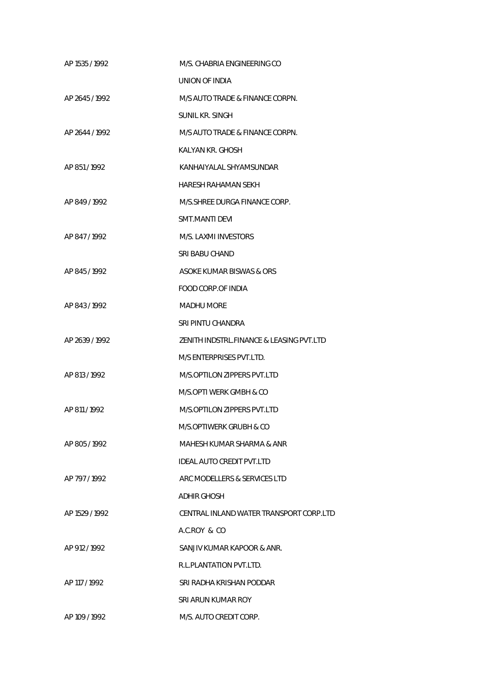| AP 1535 / 1992 | M/S. CHABRIA ENGINEERING CO              |
|----------------|------------------------------------------|
|                | <b>UNION OF INDIA</b>                    |
| AP 2645/1992   | M/S AUTO TRADE & FINANCE CORPN.          |
|                | SUNIL KR. SINGH                          |
| AP 2644 / 1992 | M/S AUTO TRADE & FINANCE CORPN.          |
|                | KALYAN KR. GHOSH                         |
| AP 851/1992    | KANHAIYALAL SHYAMSUNDAR                  |
|                | HARESH RAHAMAN SEKH                      |
| AP 849/1992    | M/S.SHREE DURGA FINANCE CORP.            |
|                | SMT.MANTI DEVI                           |
| AP 847 / 1992  | M/S. LAXMI INVESTORS                     |
|                | SRI BABU CHAND                           |
| AP 845/1992    | ASOKE KUMAR BISWAS & ORS                 |
|                | <b>FOOD CORP.OF INDIA</b>                |
| AP 843/1992    | <b>MADHU MORE</b>                        |
|                | SRI PINTU CHANDRA                        |
| AP 2639 / 1992 | ZENITH INDSTRL.FINANCE & LEASING PVT.LTD |
|                | M/S ENTERPRISES PVT.LTD.                 |
| AP 813 / 1992  | M/S.OPTILON ZIPPERS PVT.LTD              |
|                | M/S.OPTI WERK GMBH & CO                  |
| AP 811/1992    | M/S.OPTILON ZIPPERS PVT.LTD              |
|                | M/S.OPTIWERK GRUBH & CO                  |
| AP 805/1992    | MAHESH KUMAR SHARMA & ANR                |
|                | <b>IDEAL AUTO CREDIT PVT.LTD</b>         |
| AP 797/1992    | ARC MODELLERS & SERVICES LTD             |
|                | ADHIR GHOSH                              |
| AP 1529 / 1992 | CENTRAL INLAND WATER TRANSPORT CORP.LTD  |
|                | A.C.ROY & CO                             |
| AP 912/1992    | SANJIV KUMAR KAPOOR & ANR.               |
|                | R.L.PLANTATION PVT.LTD.                  |
| AP 117 / 1992  | SRI RADHA KRISHAN PODDAR                 |
|                | SRI ARUN KUMAR ROY                       |
| AP 109 / 1992  | M/S. AUTO CREDIT CORP.                   |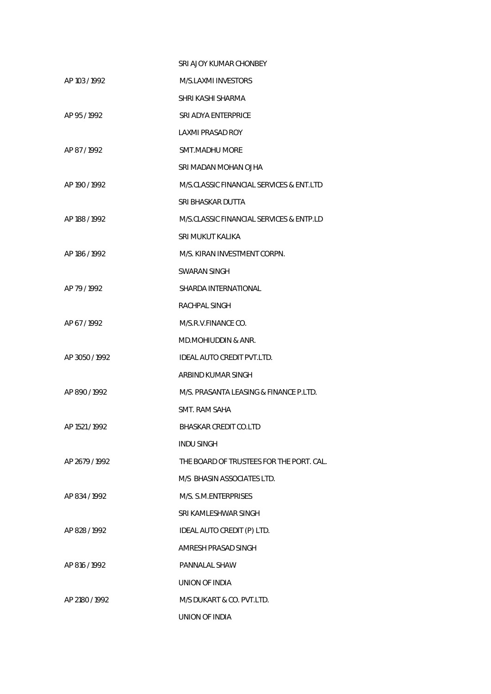|                | SRI AJOY KUMAR CHONBEY                   |
|----------------|------------------------------------------|
| AP 103 / 1992  | M/S.I AXMI INVESTORS                     |
|                | SHRI KASHI SHARMA                        |
| AP 95/1992     | SRI ADYA ENTERPRICE                      |
|                | LAXMI PRASAD ROY                         |
| AP 87/1992     | SMT.MADHU MORE                           |
|                | SRI MADAN MOHAN OJHA                     |
| AP 190 / 1992  | M/S.CLASSIC FINANCIAL SERVICES & ENT.LTD |
|                | SRI BHASKAR DUTTA                        |
| AP 188 / 1992  | M/S.CLASSIC FINANCIAL SERVICES & ENTP.LD |
|                | SRI MUKUT KALIKA                         |
| AP 186 / 1992  | M/S. KIRAN INVESTMENT CORPN.             |
|                | SWARAN SINGH                             |
| AP 79 / 1992   | SHARDA INTERNATIONAL                     |
|                | RACHPAL SINGH                            |
| AP 67/1992     | M/S.R.V.FINANCE CO.                      |
|                | MD.MOHIUDDIN & ANR.                      |
| AP 3050 / 1992 | <b>IDEAL AUTO CREDIT PVT.LTD.</b>        |
|                | ARBIND KUMAR SINGH                       |
| AP 890/1992    | M/S. PRASANTA LEASING & FINANCE P.LTD.   |
|                | SMT. RAM SAHA                            |
| AP 1521 / 1992 | BHASKAR CREDIT CO.LTD                    |
|                | <b>INDU SINGH</b>                        |
| AP 2679/1992   | THE BOARD OF TRUSTEES FOR THE PORT. CAL. |
|                | M/S BHASIN ASSOCIATES LTD.               |
| AP 834/1992    | M/S. S.M.ENTERPRISES                     |
|                | SRI KAMLESHWAR SINGH                     |
| AP 828/1992    | IDEAL AUTO CREDIT (P) LTD.               |
|                | AMRESH PRASAD SINGH                      |
| AP 816 / 1992  | <b>PANNALAL SHAW</b>                     |
|                | UNION OF INDIA                           |
| AP 2180 / 1992 | M/S DUKART & CO. PVT.LTD.                |
|                | UNION OF INDIA                           |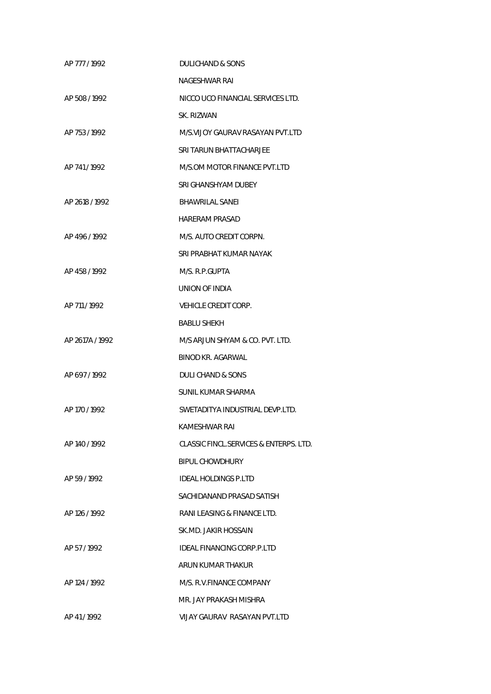| AP 777 / 1992   | DULICHAND & SONS                       |
|-----------------|----------------------------------------|
|                 | NAGESHWAR RAI                          |
| AP 508/1992     | NICCO UCO FINANCIAL SERVICES LTD.      |
|                 | SK. RIZWAN                             |
| AP 753/1992     | M/S.VIJOY GAURAV RASAYAN PVT.LTD       |
|                 | SRI TARUN BHATTACHAR JFF               |
| AP 741/1992     | M/S.OM MOTOR FINANCE PVT.LTD           |
|                 | SRI GHANSHYAM DUBEY                    |
| AP 2618 / 1992  | <b>BHAWRILAL SANEI</b>                 |
|                 | <b>HARFRAM PRASAD</b>                  |
| AP 496 / 1992   | M/S. AUTO CREDIT CORPN.                |
|                 | SRI PRABHAT KUMAR NAYAK                |
| AP 458/1992     | M/S. R.P.GUPTA                         |
|                 | UNION OF INDIA                         |
| AP 711/1992     | <b>VEHICLE CREDIT CORP.</b>            |
|                 | <b>BABLU SHEKH</b>                     |
| AP 2617A / 1992 | M/S ARJUN SHYAM & CO. PVT. LTD.        |
|                 | BINOD KR. AGARWAL                      |
| AP 697/1992     | DULI CHAND & SONS                      |
|                 | SUNIL KUMAR SHARMA                     |
| AP 170 / 1992   | SWETADITYA INDUSTRIAL DEVP.LTD.        |
|                 | KAMESHWAR RAI                          |
| AP 140 / 1992   | CLASSIC FINCL.SERVICES & ENTERPS. LTD. |
|                 | <b>BIPUL CHOWDHURY</b>                 |
| AP 59/1992      | <b>IDEAL HOLDINGS P.LTD</b>            |
|                 | SACHIDANAND PRASAD SATISH              |
| AP 126 / 1992   | RANI LEASING & FINANCE LTD.            |
|                 | SK.MD. JAKIR HOSSAIN                   |
| AP 57/1992      | IDEAL FINANCING CORP.P.LTD             |
|                 | ARUN KUMAR THAKUR                      |
| AP 124 / 1992   | M/S. R.V.FINANCE COMPANY               |
|                 | MR. JAY PRAKASH MISHRA                 |
| AP 41/1992      | <b>VIJAY GAURAV RASAYAN PVT.LTD</b>    |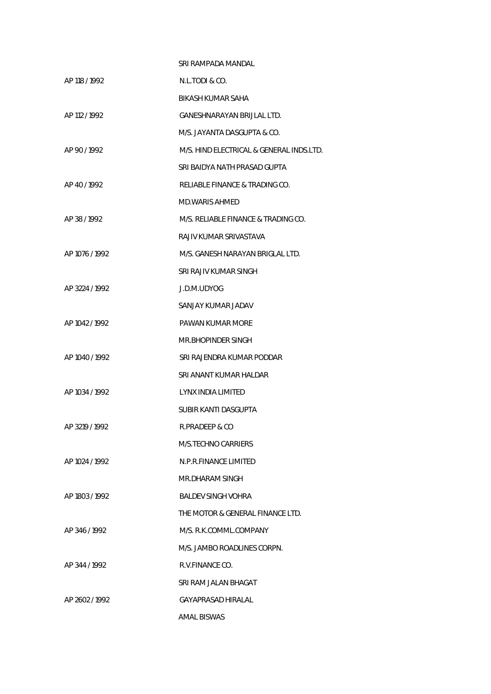|                | SRI RAMPADA MANDAI                       |
|----------------|------------------------------------------|
| AP 118 / 1992  | N.L.TODI & CO.                           |
|                | BIKASH KUMAR SAHA                        |
| AP 112 / 1992  | GANESHNARAYAN BRIJLAL LTD.               |
|                | M/S. JAYANTA DASGUPTA & CO.              |
| AP 90/1992     | M/S. HIND ELECTRICAL & GENERAL INDS.LTD. |
|                | SRI BAIDYA NATH PRASAD GUPTA             |
| AP 40/1992     | RELIABLE FINANCE & TRADING CO.           |
|                | <b>MD.WARIS AHMED</b>                    |
| AP 38/1992     | M/S. RELIABLE FINANCE & TRADING CO.      |
|                | RAJIV KUMAR SRIVASTAVA                   |
| AP 1076 / 1992 | M/S. GANESH NARAYAN BRIGLAL LTD.         |
|                | SRI RAJIV KUMAR SINGH                    |
| AP 3224 / 1992 | J.D.M.UDYOG                              |
|                | SANJAY KUMAR JADAV                       |
| AP 1042 / 1992 | PAWAN KUMAR MORE                         |
|                | MR.BHOPINDER SINGH                       |
| AP 1040 / 1992 | SRI RAJENDRA KUMAR PODDAR                |
|                | SRI ANANT KUMAR HALDAR                   |
| AP 1034 / 1992 | LYNX INDIA LIMITED                       |
|                | SUBIR KANTI DASGUPTA                     |
| AP 3219 / 1992 | R.PRADEEP & CO                           |
|                | M/S.TECHNO CARRIERS                      |
| AP 1024 / 1992 | N.P.R.FINANCE LIMITED                    |
|                | MR.DHARAM SINGH                          |
| AP 1803 / 1992 | <b>BALDEV SINGH VOHRA</b>                |
|                | THE MOTOR & GENERAL FINANCE LTD.         |
| AP 346/1992    | M/S. R.K.COMML.COMPANY                   |
|                | M/S. JAMBO ROADLINES CORPN.              |
| AP 344 / 1992  | R.V.FINANCE CO.                          |
|                | SRI RAM JALAN BHAGAT                     |
| AP 2602/1992   | GAYAPRASAD HIRALAL                       |
|                | AMAL BISWAS                              |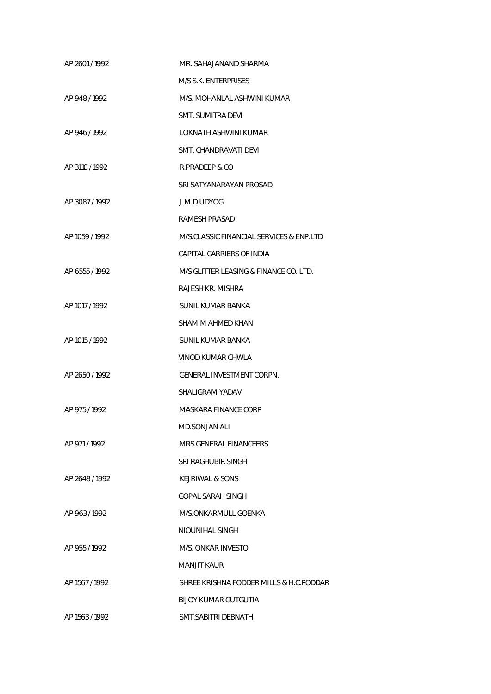| AP 2601/1992   | MR. SAHAJANAND SHARMA                    |
|----------------|------------------------------------------|
|                | M/S S.K. ENTERPRISES                     |
| AP 948/1992    | M/S. MOHANLAL ASHWINI KUMAR              |
|                | <b>SMT. SUMITRA DEVI</b>                 |
| AP 946/1992    | LOKNATH ASHWINI KUMAR                    |
|                | SMT. CHANDRAVATI DEVI                    |
| AP 3110 / 1992 | R.PRADEEP & CO                           |
|                | SRI SATYANARAYAN PROSAD                  |
| AP 3087/1992   | J.M.D.UDYOG                              |
|                | <b>RAMESH PRASAD</b>                     |
| AP 1059 / 1992 | M/S.CLASSIC FINANCIAL SERVICES & ENP.LTD |
|                | CAPITAL CARRIERS OF INDIA                |
| AP 6555 / 1992 | M/S GLITTER LEASING & FINANCE CO. LTD.   |
|                | RAJESH KR. MISHRA                        |
| AP 1017 / 1992 | <b>SUNIL KUMAR BANKA</b>                 |
|                | SHAMIM AHMED KHAN                        |
| AP 1015 / 1992 | SUNIL KUMAR BANKA                        |
|                | VINOD KUMAR CHWLA                        |
| AP 2650 / 1992 | <b>GENERAL INVESTMENT CORPN.</b>         |
|                | SHAI IGRAM YADAV                         |
| AP 975/1992    | MASKARA FINANCE CORP                     |
|                | MD.SONJAN ALI                            |
| AP 971/1992    | MRS.GENERAL FINANCEERS                   |
|                | SRI RAGHUBIR SINGH                       |
| AP 2648 / 1992 | KEJRIWAL & SONS                          |
|                | GOPAL SARAH SINGH                        |
| AP 963/1992    | M/S.ONKARMULL GOENKA                     |
|                | NIOUNIHAL SINGH                          |
| AP 955/1992    | M/S. ONKAR INVESTO                       |
|                | MANJIT KAUR                              |
| AP 1567 / 1992 | SHREE KRISHNA FODDER MILLS & H.C.PODDAR  |
|                | BIJOY KUMAR GUTGUTIA                     |
| AP 1563 / 1992 | SMT. SABITRI DEBNATH                     |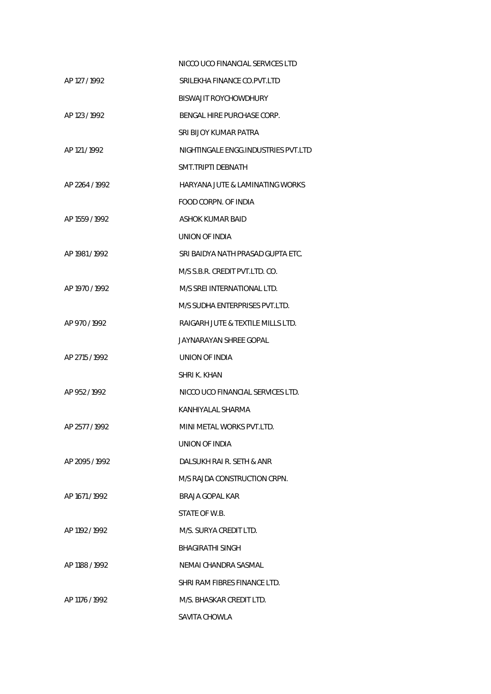|                | NICCO UCO FINANCIAL SERVICES LTD    |
|----------------|-------------------------------------|
| AP 127 / 1992  | SRILEKHA FINANCE CO.PVT.LTD         |
|                | BISWAJIT ROYCHOWDHURY               |
| AP 123 / 1992  | BENGAL HIRE PURCHASE CORP.          |
|                | SRI BIJOY KUMAR PATRA               |
| AP 121/1992    | NIGHTINGALE ENGG.INDUSTRIES PVT.LTD |
|                | SMT.TRIPTI DEBNATH                  |
| AP 2264 / 1992 | HARYANA JUTE & LAMINATING WORKS     |
|                | FOOD CORPN. OF INDIA                |
| AP 1559 / 1992 | ASHOK KUMAR BAID                    |
|                | UNION OF INDIA                      |
| AP 1981 / 1992 | SRI BAIDYA NATH PRASAD GUPTA FTC.   |
|                | M/S S.B.R. CREDIT PVT.LTD. CO.      |
| AP 1970 / 1992 | M/S SREI INTERNATIONAL LTD.         |
|                | M/S SUDHA ENTERPRISES PVT.LTD.      |
| AP 970/1992    | RAIGARH JUTE & TEXTILE MILLS LTD.   |
|                | JAYNARAYAN SHREE GOPAL              |
| AP 2715 / 1992 | UNION OF INDIA                      |
|                | SHRI K. KHAN                        |
| AP 952/1992    | NICCO UCO FINANCIAL SERVICES LTD.   |
|                | KANHIYALAL SHARMA                   |
| AP 2577 / 1992 | MINI METAL WORKS PVT.LTD.           |
|                | UNION OF INDIA                      |
| AP 2095 / 1992 | DALSUKH RAI R. SETH & ANR           |
|                | M/S RAJDA CONSTRUCTION CRPN.        |
| AP 1671/1992   | BRAJA GOPAL KAR                     |
|                | STATE OF W.B.                       |
| AP 1192 / 1992 | M/S. SURYA CREDIT LTD.              |
|                | BHAGIRATHI SINGH                    |
| AP 1188 / 1992 | NEMAI CHANDRA SASMAL                |
|                | SHRI RAM FIBRES FINANCE LTD.        |
| AP 1176 / 1992 | M/S. BHASKAR CREDIT LTD.            |
|                | SAVITA CHOWLA                       |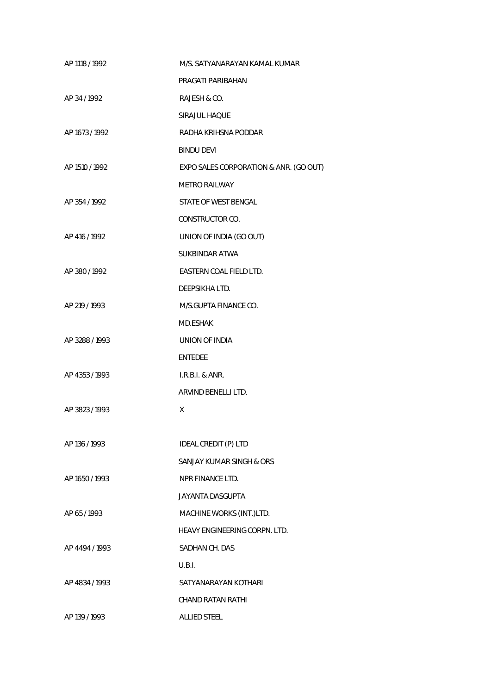| AP 1118 / 1992 | M/S. SATYANARAYAN KAMAL KUMAR          |
|----------------|----------------------------------------|
|                | PRAGATI PARIBAHAN                      |
| AP 34 / 1992   | RAJESH & CO.                           |
|                | SIRAJUL HAQUE                          |
| AP 1673 / 1992 | RADHA KRIHSNA PODDAR                   |
|                | <b>BINDU DEVI</b>                      |
| AP 1510 / 1992 | EXPO SALES CORPORATION & ANR. (GO OUT) |
|                | <b>METRO RAILWAY</b>                   |
| AP 354/1992    | STATE OF WEST BENGAL                   |
|                | CONSTRUCTOR CO.                        |
| AP 416 / 1992  | UNION OF INDIA (GO OUT)                |
|                | <b>SUKBINDAR ATWA</b>                  |
| AP 380/1992    | EASTERN COAL FIELD LTD.                |
|                | DEEPSIKHA LTD.                         |
| AP 219 / 1993  | M/S.GUPTA FINANCE CO.                  |
|                | MD.ESHAK                               |
| AP 3288 / 1993 | UNION OF INDIA                         |
|                | <b>ENTEDEE</b>                         |
| AP 4353/1993   | $I.R.B.I.$ & $ANR.$                    |
|                | ARVIND BENELLI LTD.                    |
| AP 3823 / 1993 | X                                      |
|                |                                        |
| AP 136 / 1993  | IDEAL CREDIT (P) LTD                   |
|                | SANJAY KUMAR SINGH & ORS               |
| AP 1650 / 1993 | NPR FINANCE LTD.                       |
|                | <b>JAYANTA DASGUPTA</b>                |
| AP 65/1993     | MACHINE WORKS (INT.)LTD.               |
|                | HEAVY ENGINEERING CORPN. LTD.          |
| AP 4494 / 1993 | SADHAN CH. DAS                         |
|                | U.B.I.                                 |
| AP 4834 / 1993 | SATYANARAYAN KOTHARI                   |
|                | <b>CHAND RATAN RATHI</b>               |
| AP 139 / 1993  | <b>ALLIED STEEL</b>                    |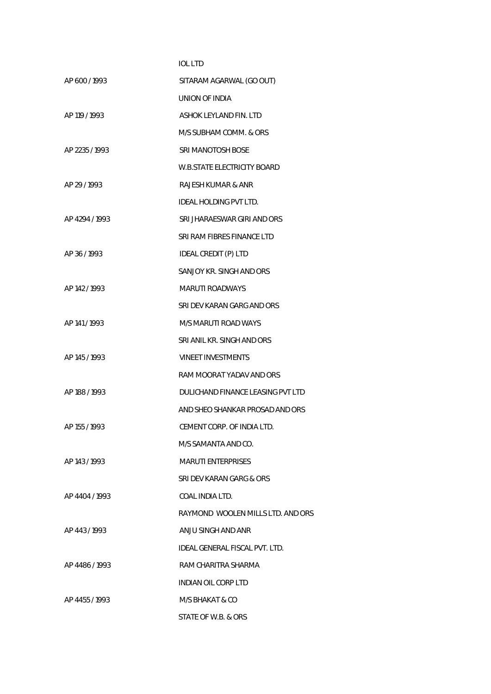|                | <b>IOL LTD</b>                     |
|----------------|------------------------------------|
| AP 600/1993    | SITARAM AGARWAL (GO OUT)           |
|                | <b>UNION OF INDIA</b>              |
| AP 119 / 1993  | ASHOK LEYLAND FIN. LTD             |
|                | M/S SUBHAM COMM. & ORS             |
| AP 2235/1993   | SRI MANOTOSH BOSE                  |
|                | <b>W.B.STATE ELECTRICITY BOARD</b> |
| AP 29 / 1993   | RAJESH KUMAR & ANR                 |
|                | IDEAL HOLDING PVT LTD.             |
| AP 4294 / 1993 | SRI JHARAESWAR GIRI AND ORS        |
|                | SRI RAM FIBRES FINANCE LTD         |
| AP 36/1993     | IDEAL CREDIT (P) LTD               |
|                | SANJOY KR. SINGH AND ORS           |
| AP 142 / 1993  | MARUTI ROADWAYS                    |
|                | SRI DEV KARAN GARG AND ORS         |
| AP 141/1993    | M/S MARUTI ROAD WAYS               |
|                | SRI ANIL KR. SINGH AND ORS         |
| AP 145 / 1993  | <b>VINEET INVESTMENTS</b>          |
|                | RAM MOORAT YADAV AND ORS           |
| AP 188 / 1993  | DULICHAND FINANCE LEASING PVT LTD  |
|                | AND SHEO SHANKAR PROSAD AND ORS    |
| AP 155 / 1993  | CEMENT CORP. OF INDIA LTD.         |
|                | M/S SAMANTA AND CO.                |
| AP 143 / 1993  | <b>MARUTI ENTERPRISES</b>          |
|                | SRI DEV KARAN GARG & ORS           |
| AP 4404/1993   | COAL INDIA LTD.                    |
|                | RAYMOND WOOLEN MILLS LTD. AND ORS  |
| AP 443/1993    | ANJU SINGH AND ANR                 |
|                | IDEAL GENERAL FISCAL PVT. LTD.     |
| AP 4486/1993   | RAM CHARITRA SHARMA                |
|                | INDIAN OIL CORP LTD                |
| AP 4455/1993   | M/S BHAKAT & CO                    |
|                | STATE OF W.B. & ORS                |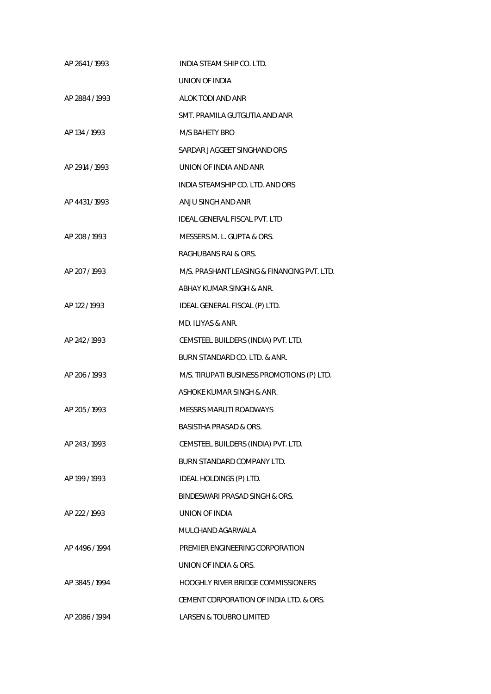| AP 2641/1993   | INDIA STEAM SHIP CO. LTD.                   |
|----------------|---------------------------------------------|
|                | UNION OF INDIA                              |
| AP 2884 / 1993 | ALOK TODI AND ANR                           |
|                | SMT. PRAMILA GUTGUTIA AND ANR               |
| AP 134 / 1993  | M/S BAHETY BRO                              |
|                | SARDAR JAGGEET SINGHAND ORS                 |
| AP 2914 / 1993 | UNION OF INDIA AND ANR                      |
|                | INDIA STEAMSHIP CO. LTD. AND ORS            |
| AP 4431/1993   | ANJU SINGH AND ANR                          |
|                | IDEAL GENERAL FISCAL PVT. LTD               |
| AP 208 / 1993  | MESSERS M. L. GUPTA & ORS.                  |
|                | RAGHUBANS RAI & ORS.                        |
| AP 207/1993    | M/S. PRASHANT LEASING & FINANCING PVT. LTD. |
|                | ABHAY KUMAR SINGH & ANR.                    |
| AP 122 / 1993  | IDEAL GENERAL FISCAL (P) LTD.               |
|                | MD. ILIYAS & ANR.                           |
| AP 242/1993    | CEMSTEEL BUILDERS (INDIA) PVT. LTD.         |
|                | BURN STANDARD CO. LTD. & ANR.               |
| AP 206 / 1993  | M/S. TIRUPATI BUSINESS PROMOTIONS (P) LTD.  |
|                | ASHOKE KUMAR SINGH & ANR.                   |
| AP 205/1993    | <b>MESSRS MARUTI ROADWAYS</b>               |
|                | BASISTHA PRASAD & ORS.                      |
| AP 243/1993    | CEMSTEEL BUILDERS (INDIA) PVT. LTD.         |
|                | BURN STANDARD COMPANY LTD.                  |
| AP 199 / 1993  | IDEAL HOLDINGS (P) LTD.                     |
|                | BINDESWARI PRASAD SINGH & ORS.              |
| AP 222 / 1993  | UNION OF INDIA                              |
|                | MULCHAND AGARWALA                           |
| AP 4496 / 1994 | PREMIER ENGINEERING CORPORATION             |
|                | UNION OF INDIA & ORS.                       |
| AP 3845/1994   | <b>HOOGHLY RIVER BRIDGE COMMISSIONERS</b>   |
|                | CEMENT CORPORATION OF INDIA LTD. & ORS.     |
| AP 2086 / 1994 | <b>LARSEN &amp; TOUBRO LIMITED</b>          |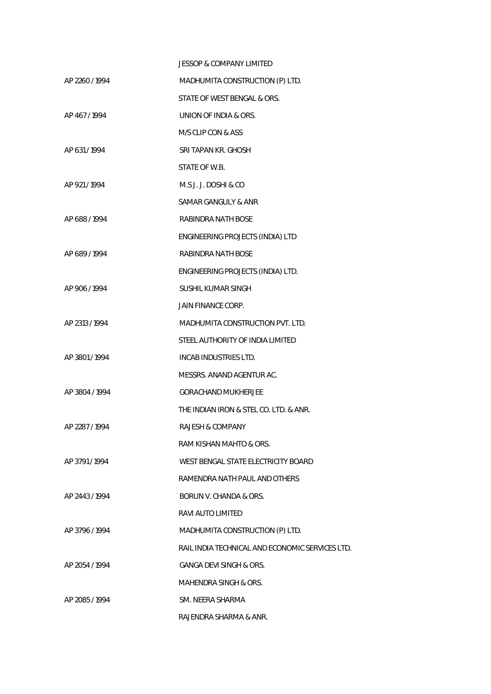| <b>JESSOP &amp; COMPANY LIMITED</b>             |
|-------------------------------------------------|
| MADHUMITA CONSTRUCTION (P) LTD.                 |
| STATE OF WEST BENGAL & ORS.                     |
| UNION OF INDIA & ORS.                           |
| M/S CLIP CON & ASS                              |
| SRI TAPAN KR. GHOSH                             |
| STATE OF W.B.                                   |
| M.S.J. J. DOSHI & CO                            |
| SAMAR GANGULY & ANR                             |
| RABINDRA NATH BOSE                              |
| ENGINEERING PROJECTS (INDIA) LTD                |
| RABINDRA NATH BOSE                              |
| ENGINEERING PROJECTS (INDIA) LTD.               |
| SUSHIL KUMAR SINGH                              |
| JAIN FINANCE CORP.                              |
| MADHUMITA CONSTRUCTION PVT. LTD.                |
| STEEL AUTHORITY OF INDIA LIMITED                |
| INCAB INDUSTRIES LTD.                           |
| MESSRS. ANAND AGENTUR AC.                       |
| <b>GORACHAND MUKHERJEE</b>                      |
| THE INDIAN IRON & STEL CO. LTD. & ANR.          |
| RAJESH & COMPANY                                |
| RAM KISHAN MAHTO & ORS.                         |
| WEST BENGAL STATE ELECTRICITY BOARD             |
| RAMENDRA NATH PAUL AND OTHERS                   |
| BORUN V. CHANDA & ORS.                          |
| RAVI AUTO LIMITED                               |
| MADHUMITA CONSTRUCTION (P) LTD.                 |
| RAIL INDIA TECHNICAL AND ECONOMIC SERVICES LTD. |
| <b>GANGA DEVI SINGH &amp; ORS.</b>              |
| <b>MAHENDRA SINGH &amp; ORS.</b>                |
| SM. NEERA SHARMA                                |
| RAJENDRA SHARMA & ANR.                          |
|                                                 |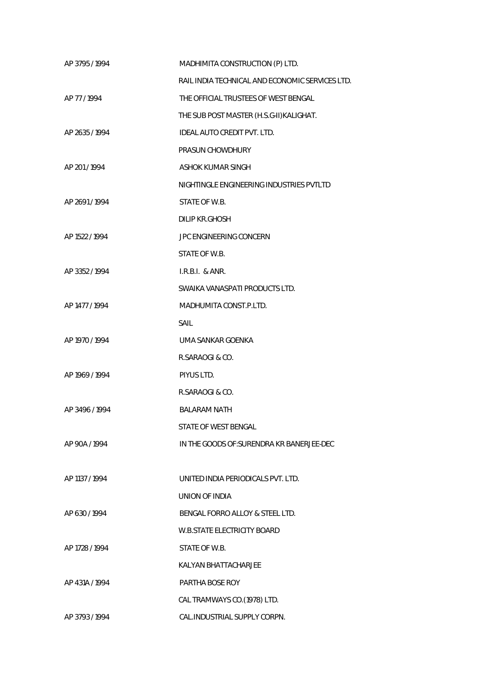| AP 3795 / 1994 | MADHIMITA CONSTRUCTION (P) LTD.                 |
|----------------|-------------------------------------------------|
|                | RAIL INDIA TECHNICAL AND ECONOMIC SERVICES LTD. |
| AP 77/1994     | THE OFFICIAL TRUSTEES OF WEST BENGAL            |
|                | THE SUB POST MASTER (H.S.G-II) KALIGHAT.        |
| AP 2635 / 1994 | <b>IDEAL AUTO CREDIT PVT. LTD.</b>              |
|                | PRASUN CHOWDHURY                                |
| AP 201/1994    | ASHOK KUMAR SINGH                               |
|                | NIGHTINGLE ENGINEERING INDUSTRIES PVTLTD        |
| AP 2691/1994   | STATE OF W.B.                                   |
|                | <b>DILIP KR.GHOSH</b>                           |
| AP 1522 / 1994 | <b>JPC ENGINEERING CONCERN</b>                  |
|                | STATE OF W.B.                                   |
| AP 3352 / 1994 | I.R.B.I. & ANR.                                 |
|                | SWAIKA VANASPATI PRODUCTS LTD.                  |
| AP 1477 / 1994 | MADHUMITA CONST.P.LTD.                          |
|                | SAIL                                            |
| AP 1970 / 1994 | UMA SANKAR GOENKA                               |
|                | R.SARAOGI & CO.                                 |
| AP 1969 / 1994 | PIYUS LTD.                                      |
|                | R.SARAOGI & CO.                                 |
| AP 3496 / 1994 | <b>BALARAM NATH</b>                             |
|                | STATE OF WEST BENGAL                            |
| AP 90A / 1994  | IN THE GOODS OF: SURENDRA KR BANERJEE-DEC       |
|                |                                                 |
| AP 1137 / 1994 | UNITED INDIA PERIODICALS PVT. LTD.              |
|                | UNION OF INDIA                                  |
| AP 630/1994    | BENGAL FORRO ALLOY & STEEL LTD.                 |
|                | W.B.STATE ELECTRICITY BOARD                     |
| AP 1728 / 1994 | STATE OF W.B.                                   |
|                | KALYAN BHATTACHARJEE                            |
| AP 431A / 1994 | PARTHA BOSE ROY                                 |
|                | CAL TRAMWAYS CO.(1978) LTD.                     |
| AP 3793 / 1994 | CAL.INDUSTRIAL SUPPLY CORPN.                    |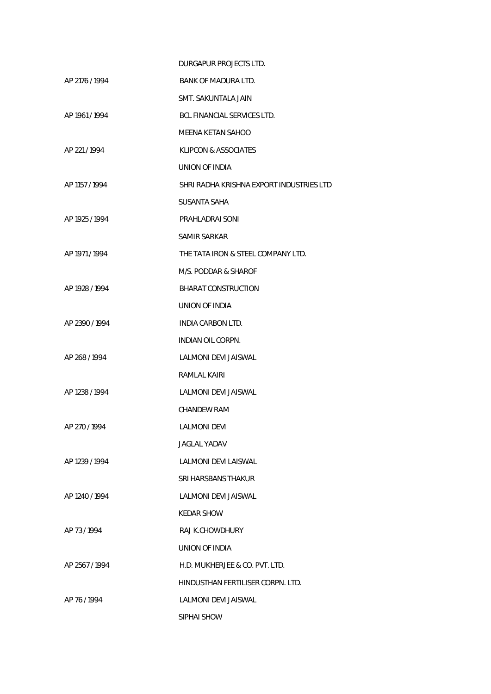|                | DURGAPUR PROJECTS LTD.                   |
|----------------|------------------------------------------|
| AP 2176 / 1994 | BANK OF MADURA LTD.                      |
|                | SMT. SAKUNTALA JAIN                      |
| AP 1961 / 1994 | BCL FINANCIAL SERVICES LTD.              |
|                | <b>MEENA KETAN SAHOO</b>                 |
| AP 221/1994    | <b>KLIPCON &amp; ASSOCIATES</b>          |
|                | UNION OF INDIA                           |
| AP 1157 / 1994 | SHRI RADHA KRISHNA EXPORT INDUSTRIES LTD |
|                | SUSANTA SAHA                             |
| AP 1925 / 1994 | PRAHLADRAI SONI                          |
|                | SAMIR SARKAR                             |
| AP 1971 / 1994 | THE TATA IRON & STEEL COMPANY LTD.       |
|                | M/S. PODDAR & SHAROF                     |
| AP 1928 / 1994 | <b>BHARAT CONSTRUCTION</b>               |
|                | UNION OF INDIA                           |
| AP 2390/1994   | INDIA CARBON LTD.                        |
|                | <b>INDIAN OIL CORPN.</b>                 |
| AP 268/1994    | LALMONI DEVI JAISWAL                     |
|                | RAMLAL KAIRI                             |
| AP 1238 / 1994 | LALMONI DEVI JAISWAL                     |
|                | <b>CHANDEW RAM</b>                       |
| AP 270/1994    | LALMONI DEVI                             |
|                | JAGLAL YADAV                             |
| AP 1239 / 1994 | LALMONI DEVI LAISWAL                     |
|                | SRI HARSBANS THAKUR                      |
| AP 1240 / 1994 | LALMONI DEVI JAISWAL                     |
|                | KEDAR SHOW                               |
| AP 73/1994     | RAJ K.CHOWDHURY                          |
|                | UNION OF INDIA                           |
| AP 2567/1994   | H.D. MUKHERJEE & CO. PVT. LTD.           |
|                | HINDUSTHAN FERTILISER CORPN. LTD.        |
| AP 76/1994     | LALMONI DEVI JAISWAL                     |
|                | SIPHAI SHOW                              |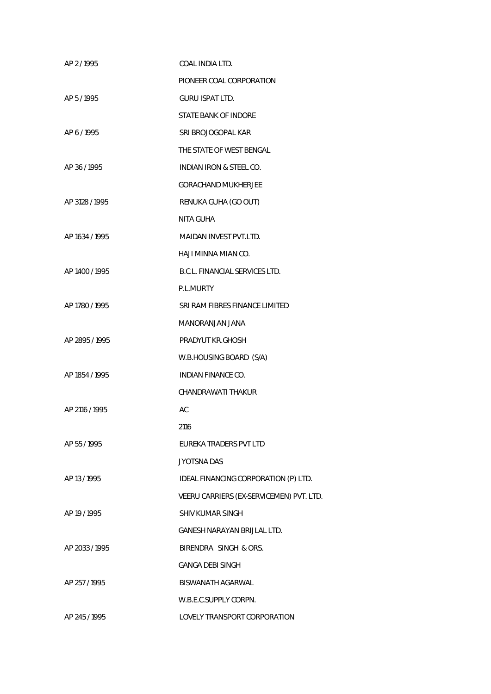| AP 2/1995      | COAL INDIA LTD.                          |
|----------------|------------------------------------------|
|                | PIONEER COAL CORPORATION                 |
| AP 5/1995      | <b>GURU ISPAT LTD.</b>                   |
|                | STATE BANK OF INDORE                     |
| AP 6/1995      | SRI BROJOGOPAL KAR                       |
|                | THE STATE OF WEST BENGAL                 |
| AP 36 / 1995   | <b>INDIAN IRON &amp; STEEL CO.</b>       |
|                | <b>GORACHAND MUKHERJEE</b>               |
| AP 3128 / 1995 | RENUKA GUHA (GO OUT)                     |
|                | <b>NITA GUHA</b>                         |
| AP 1634 / 1995 | <b>MAIDAN INVEST PVT.LTD.</b>            |
|                | HAJI MINNA MIAN CO.                      |
| AP 1400 / 1995 | B.C.L. FINANCIAL SERVICES LTD.           |
|                | P.L.MURTY                                |
| AP 1780 / 1995 | SRI RAM FIBRES FINANCE LIMITED           |
|                | MANORANJAN JANA                          |
| AP 2895 / 1995 | PRADYUT KR.GHOSH                         |
|                | W.B.HOUSING BOARD (S/A)                  |
| AP 1854 / 1995 | <b>INDIAN FINANCE CO.</b>                |
|                | CHANDRAWATI THAKUR                       |
| AP 2116 / 1995 | AC                                       |
|                | 2116                                     |
| AP 55 / 1995   | <b>EUREKA TRADERS PVT LTD</b>            |
|                | <b>JYOTSNA DAS</b>                       |
| AP 13/1995     | IDEAL FINANCING CORPORATION (P) LTD.     |
|                | VEERU CARRIERS (EX-SERVICEMEN) PVT. LTD. |
| AP 19 / 1995   | <b>SHIV KUMAR SINGH</b>                  |
|                | <b>GANESH NARAYAN BRIJLAL LTD.</b>       |
| AP 2033 / 1995 | BIRENDRA SINGH & ORS.                    |
|                | <b>GANGA DEBI SINGH</b>                  |
| AP 257 / 1995  | <b>BISWANATH AGARWAL</b>                 |
|                | W.B.E.C.SUPPLY CORPN.                    |
| AP 245 / 1995  | LOVELY TRANSPORT CORPORATION             |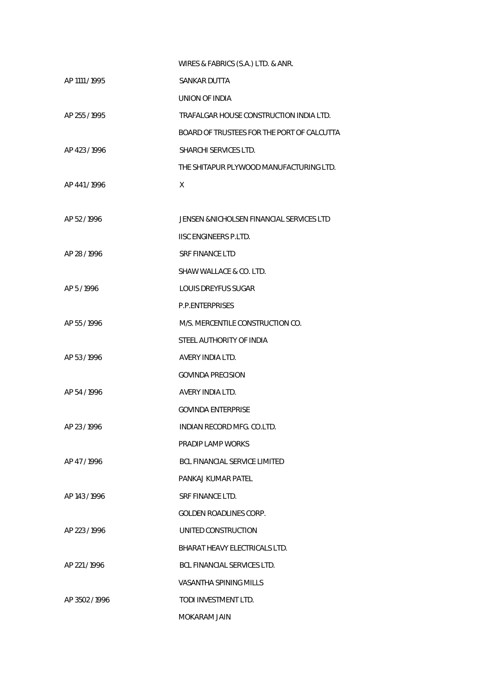|                | WIRES & FABRICS (S.A.) LTD. & ANR.         |
|----------------|--------------------------------------------|
| AP 1111 / 1995 | <b>SANKAR DUTTA</b>                        |
|                | UNION OF INDIA                             |
| AP 255 / 1995  | TRAFALGAR HOUSE CONSTRUCTION INDIA LTD.    |
|                | BOARD OF TRUSTEES FOR THE PORT OF CALCUTTA |
| AP 423/1996    | SHARCHI SERVICES LTD.                      |
|                | THE SHITAPUR PLYWOOD MANUFACTURING LTD.    |
| AP 441/1996    | X                                          |
|                |                                            |
| AP 52/1996     | JENSEN & NICHOLSEN FINANCIAL SERVICES LTD  |
|                | <b>IISC ENGINEERS P.I TD.</b>              |
| AP 28 / 1996   | <b>SRF FINANCE LTD</b>                     |
|                | SHAW WALLACE & CO. LTD.                    |
| AP 5/1996      | <b>LOUIS DREYFUS SUGAR</b>                 |
|                | <b>P.P.ENTERPRISES</b>                     |
| AP 55 / 1996   | M/S. MERCENTILE CONSTRUCTION CO.           |
|                | STEEL AUTHORITY OF INDIA                   |
| AP 53/1996     | AVERY INDIA LTD.                           |
|                | <b>GOVINDA PRECISION</b>                   |
| AP 54 / 1996   | AVERY INDIA LTD.                           |
|                | <b>GOVINDA ENTERPRISE</b>                  |
| AP 23/1996     | INDIAN RECORD MFG. CO.LTD.                 |
|                | PRADIP LAMP WORKS                          |
| AP 47/1996     | <b>BCL FINANCIAL SERVICE LIMITED</b>       |
|                | PANKAJ KUMAR PATEL                         |
| AP 143 / 1996  | SRF FINANCE LTD.                           |
|                | <b>GOLDEN ROADLINES CORP.</b>              |
| AP 223/1996    | UNITED CONSTRUCTION                        |
|                | BHARAT HEAVY ELECTRICALS LTD.              |
| AP 221/1996    | BCL FINANCIAL SERVICES LTD.                |
|                | VASANTHA SPINING MILLS                     |
| AP 3502/1996   | TODI INVESTMENT LTD.                       |
|                | MOKARAM JAIN                               |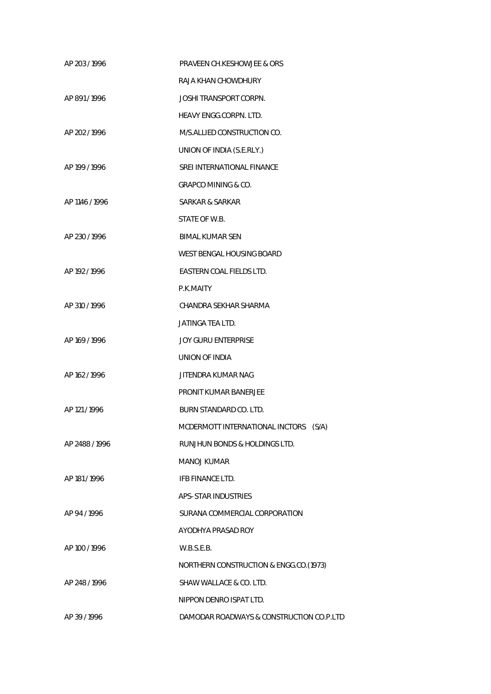| AP 203/1996    | <b>PRAVEEN CH.KESHOWJEE &amp; ORS</b>    |
|----------------|------------------------------------------|
|                | RAJA KHAN CHOWDHURY                      |
| AP 891/1996    | <b>JOSHI TRANSPORT CORPN.</b>            |
|                | <b>HEAVY ENGG.CORPN. LTD.</b>            |
| AP 202 / 1996  | M/S.ALLIED CONSTRUCTION CO.              |
|                | UNION OF INDIA (S.E.RLY.)                |
| AP 199 / 1996  | SREI INTERNATIONAL FINANCE               |
|                | <b>GRAPCO MINING &amp; CO.</b>           |
| AP 1146 / 1996 | SARKAR & SARKAR                          |
|                | STATE OF W.B.                            |
| AP 230/1996    | <b>BIMAL KUMAR SEN</b>                   |
|                | WEST BENGAL HOUSING BOARD                |
| AP 192/1996    | EASTERN COAL FIELDS LTD.                 |
|                | P.K.MAITY                                |
| AP 310/1996    | CHANDRA SEKHAR SHARMA                    |
|                | JATINGA TEA LTD.                         |
| AP 169 / 1996  | <b>JOY GURU ENTERPRISE</b>               |
|                | UNION OF INDIA                           |
| AP 162 / 1996  | JITENDRA KUMAR NAG                       |
|                | PRONIT KUMAR BANERJEE                    |
| AP 121 / 1996  | BURN STANDARD CO. LTD.                   |
|                | MCDERMOTT INTERNATIONAL INCTORS (S/A)    |
| AP 2488 / 1996 | RUNJHUN BONDS & HOLDINGS LTD.            |
|                | <b>MANOJ KUMAR</b>                       |
| AP 181/1996    | <b>IFB FINANCE LTD.</b>                  |
|                | APS- STAR INDUSTRIES                     |
| AP 94 / 1996   | SURANA COMMERCIAL CORPORATION            |
|                | AYODHYA PRASAD ROY                       |
| AP 100 / 1996  | W.B.S.E.B.                               |
|                | NORTHERN CONSTRUCTION & ENGG.CO.(1973)   |
| AP 248 / 1996  | SHAW WALLACE & CO. LTD.                  |
|                | NIPPON DENRO ISPAT LTD.                  |
| AP 39 / 1996   | DAMODAR ROADWAYS & CONSTRUCTION CO.P.LTD |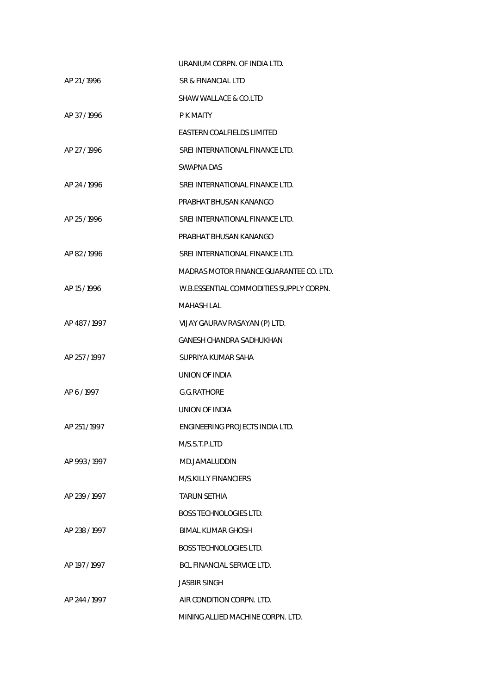|               | URANIUM CORPN. OF INDIA LTD.            |
|---------------|-----------------------------------------|
| AP 21/1996    | SR & FINANCIAL LTD                      |
|               | SHAW WALLACE & CO.LTD                   |
| AP 37/1996    | P K MAITY                               |
|               | EASTERN COALFIELDS LIMITED              |
| AP 27 / 1996  | SREI INTERNATIONAL FINANCE LTD.         |
|               | SWAPNA DAS                              |
| AP 24/1996    | SREI INTERNATIONAL FINANCE LTD.         |
|               | PRABHAT BHUSAN KANANGO                  |
| AP 25/1996    | SREI INTERNATIONAL FINANCE LTD.         |
|               | PRABHAT BHUSAN KANANGO                  |
| AP 82/1996    | SREI INTERNATIONAL FINANCE LTD.         |
|               | MADRAS MOTOR FINANCE GUARANTEE CO. LTD. |
| AP 15/1996    | W.B.ESSENTIAL COMMODITIES SUPPLY CORPN. |
|               | <b>MAHASH LAL</b>                       |
| AP 487/1997   | VIJAY GAURAV RASAYAN (P) LTD.           |
|               | <b>GANESH CHANDRA SADHUKHAN</b>         |
| AP 257 / 1997 | SUPRIYA KUMAR SAHA                      |
|               | UNION OF INDIA                          |
| AP 6/1997     | <b>G.G.RATHORE</b>                      |
|               | UNION OF INDIA                          |
| AP 251/1997   | ENGINEERING PROJECTS INDIA LTD.         |
|               | M/S.S.T.P.LTD                           |
| AP 993/1997   | MD.JAMALUDDIN                           |
|               | <b>M/S.KILLY FINANCIERS</b>             |
| AP 239/1997   | TARUN SETHIA                            |
|               | <b>BOSS TECHNOLOGIES LTD.</b>           |
| AP 238/1997   | BIMAL KUMAR GHOSH                       |
|               | <b>BOSS TECHNOLOGIES LTD.</b>           |
| AP 197 / 1997 | BCL FINANCIAL SERVICE LTD.              |
|               | <b>JASBIR SINGH</b>                     |
| AP 244 / 1997 | AIR CONDITION CORPN. LTD.               |
|               | MINING ALLIED MACHINE CORPN. LTD.       |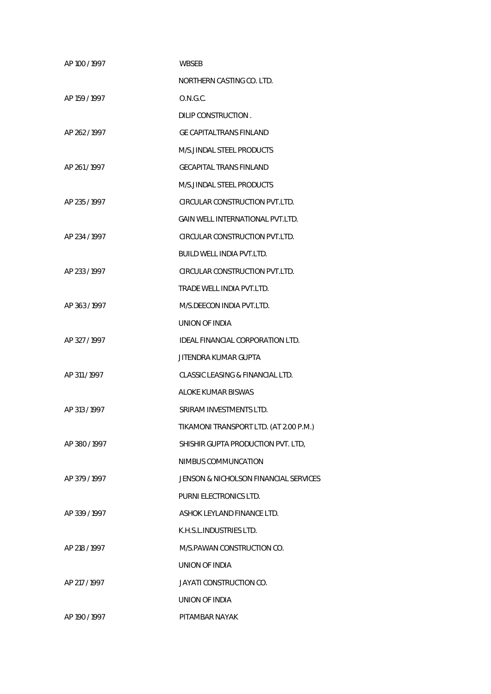| AP 100 / 1997 | WBSEB                                   |
|---------------|-----------------------------------------|
|               | NORTHERN CASTING CO. LTD.               |
| AP 159 / 1997 | O.N.G.C.                                |
|               | DILIP CONSTRUCTION.                     |
| AP 262/1997   | GE CAPITALTRANS FINLAND                 |
|               | M/S.JINDAL STEEL PRODUCTS               |
| AP 261/1997   | <b>GECAPITAL TRANS FINLAND</b>          |
|               | M/S.JINDAL STEEL PRODUCTS               |
| AP 235/1997   | CIRCULAR CONSTRUCTION PVT.LTD.          |
|               | <b>GAIN WELL INTERNATIONAL PVT.LTD.</b> |
| AP 234 / 1997 | CIRCULAR CONSTRUCTION PVT.LTD.          |
|               | <b>BUILD WELL INDIA PVT.LTD.</b>        |
| AP 233/1997   | CIRCULAR CONSTRUCTION PVT.LTD.          |
|               | TRADE WELL INDIA PVT.LTD.               |
| AP 363/1997   | M/S.DEECON INDIA PVT.LTD.               |
|               | UNION OF INDIA                          |
| AP 327 / 1997 | IDEAL FINANCIAL CORPORATION LTD.        |
|               | JITENDRA KUMAR GUPTA                    |
| AP 311 / 1997 | CLASSIC LEASING & FINANCIAL LTD.        |
|               | <b>ALOKE KUMAR BISWAS</b>               |
| AP 313 / 1997 | SRIRAM INVESTMENTS LTD.                 |
|               | TIKAMONI TRANSPORT LTD. (AT 2.00 P.M.)  |
| AP 380/1997   | SHISHIR GUPTA PRODUCTION PVT. LTD,      |
|               | NIMBUS COMMUNCATION                     |
| AP 379/1997   | JENSON & NICHOLSON FINANCIAL SERVICES   |
|               | PURNI ELECTRONICS LTD.                  |
| AP 339/1997   | ASHOK LEYLAND FINANCE LTD.              |
|               | K.H.S.L.INDUSTRIES LTD.                 |
| AP 218 / 1997 | M/S. PAWAN CONSTRUCTION CO.             |
|               | UNION OF INDIA                          |
| AP 217 / 1997 | JAYATI CONSTRUCTION CO.                 |
|               | UNION OF INDIA                          |
| AP 190 / 1997 | PITAMBAR NAYAK                          |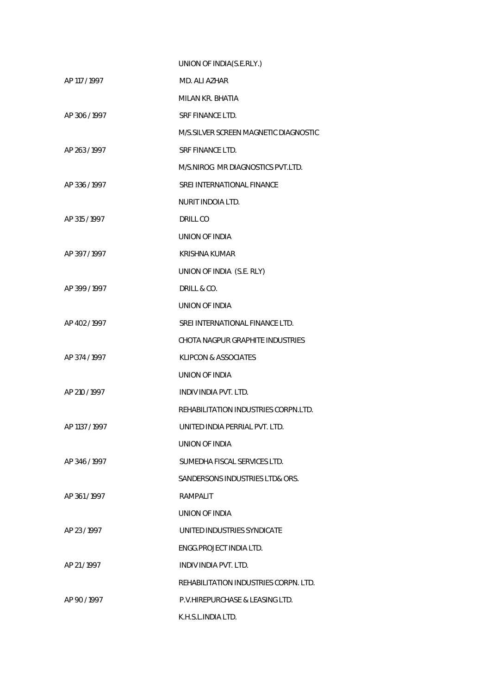|                | UNION OF INDIA(S.E.RLY.)               |
|----------------|----------------------------------------|
| AP 117 / 1997  | MD. ALI AZHAR                          |
|                | MILAN KR. BHATIA                       |
| AP 306/1997    | SRF FINANCE LTD.                       |
|                | M/S. SILVER SCREEN MAGNETIC DIAGNOSTIC |
| AP 263 / 1997  | SRE FINANCE LTD.                       |
|                | M/S.NIROG MR DIAGNOSTICS PVT.LTD.      |
| AP 336/1997    | SREI INTERNATIONAL FINANCE             |
|                | NURIT INDOIA LTD.                      |
| AP 315 / 1997  | DRILL CO                               |
|                | UNION OF INDIA                         |
| AP 397/1997    | KRISHNA KUMAR                          |
|                | UNION OF INDIA (S.E. RLY)              |
| AP 399 / 1997  | DRILL & CO.                            |
|                | UNION OF INDIA                         |
| AP 402 / 1997  | SREI INTERNATIONAL FINANCE LTD.        |
|                | CHOTA NAGPUR GRAPHITE INDUSTRIES       |
| AP 374 / 1997  | KLIPCON & ASSOCIATES                   |
|                | UNION OF INDIA                         |
| AP 210 / 1997  | INDIV INDIA PVT. LTD.                  |
|                | REHABILITATION INDUSTRIES CORPN.LTD.   |
| AP 1137 / 1997 | UNITED INDIA PERRIAL PVT. LTD.         |
|                | UNION OF INDIA                         |
| AP 346/1997    | SUMEDHA FISCAL SERVICES LTD.           |
|                | SANDERSONS INDUSTRIES LTD& ORS.        |
| AP 361/1997    | RAMPALIT                               |
|                | UNION OF INDIA                         |
| AP 23/1997     | UNITED INDUSTRIES SYNDICATE            |
|                | ENGG.PROJECT INDIA LTD.                |
| AP 21/1997     | INDIV INDIA PVT. LTD.                  |
|                | REHABILITATION INDUSTRIES CORPN. LTD.  |
| AP 90/1997     | P.V.HIREPURCHASE & LEASING LTD.        |
|                | K.H.S.L.INDIA LTD.                     |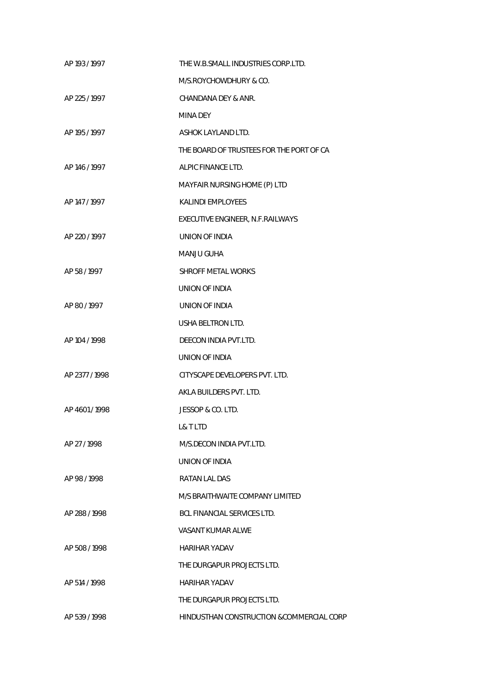| AP 193 / 1997 | THE W.B.SMALL INDUSTRIES CORP.LTD.        |
|---------------|-------------------------------------------|
|               | M/S.ROYCHOWDHURY & CO.                    |
| AP 225 / 1997 | CHANDANA DEY & ANR.                       |
|               | MINA DEY                                  |
| AP 195 / 1997 | ASHOK LAYLAND LTD.                        |
|               | THE BOARD OF TRUSTEES FOR THE PORT OF CA  |
| AP 146 / 1997 | ALPIC FINANCE LTD.                        |
|               | MAYFAIR NURSING HOME (P) LTD              |
| AP 147 / 1997 | <b>KALINDI EMPLOYEES</b>                  |
|               | EXECUTIVE ENGINEER, N.F.RAILWAYS          |
| AP 220 / 1997 | <b>UNION OF INDIA</b>                     |
|               | MANJU GUHA                                |
| AP 58 / 1997  | <b>SHROFF METAL WORKS</b>                 |
|               | UNION OF INDIA                            |
| AP 80 / 1997  | UNION OF INDIA                            |
|               | USHA BELTRON LTD.                         |
| AP 104 / 1998 | DEECON INDIA PVT.LTD.                     |
|               | UNION OF INDIA                            |
| AP 2377/1998  | CITYSCAPE DEVELOPERS PVT. LTD.            |
|               | AKLA BUILDERS PVT. LTD.                   |
| AP 4601/1998  | JESSOP & CO. LTD.                         |
|               | L& T LTD                                  |
| AP 27 / 1998  | M/S.DECON INDIA PVT.LTD.                  |
|               | UNION OF INDIA                            |
| AP 98/1998    | RATAN LAL DAS                             |
|               | M/S BRAITHWAITE COMPANY LIMITED           |
| AP 288 / 1998 | BCL FINANCIAL SERVICES LTD.               |
|               | VASANT KUMAR ALWE                         |
| AP 508/1998   | HARIHAR YADAV                             |
|               | THE DURGAPUR PROJECTS LTD.                |
| AP 514 / 1998 | HARIHAR YADAV                             |
|               | THE DURGAPUR PROJECTS LTD.                |
| AP 539/1998   | HINDUSTHAN CONSTRUCTION & COMMERCIAL CORP |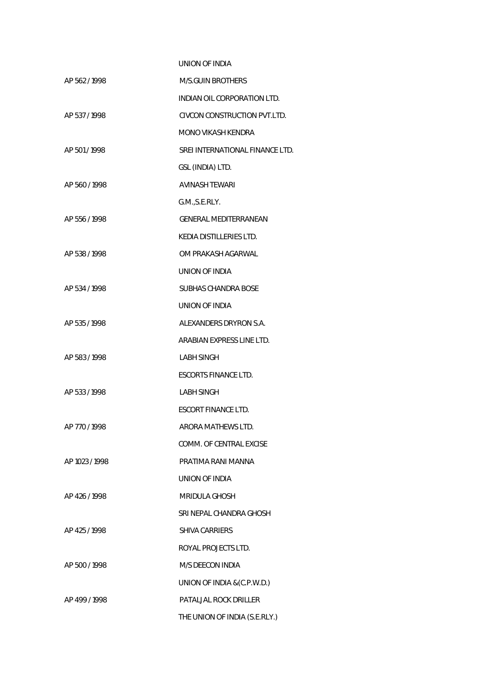|                | UNION OF INDIA                  |
|----------------|---------------------------------|
| AP 562/1998    | <b>M/S.GUIN BROTHERS</b>        |
|                | INDIAN OIL CORPORATION LTD.     |
| AP 537/1998    | CIVCON CONSTRUCTION PVT.LTD.    |
|                | <b>MONO VIKASH KENDRA</b>       |
| AP 501/1998    | SREI INTERNATIONAL FINANCE LTD. |
|                | GSL (INDIA) LTD.                |
| AP 560/1998    | <b>AVINASH TEWARI</b>           |
|                | G.M., S.E.RLY.                  |
| AP 556/1998    | <b>GENERAL MEDITERRANEAN</b>    |
|                | KEDIA DISTILLERIES LTD.         |
| AP 538 / 1998  | OM PRAKASH AGARWAL              |
|                | UNION OF INDIA                  |
| AP 534 / 1998  | SUBHAS CHANDRA BOSE             |
|                | UNION OF INDIA                  |
| AP 535/1998    | ALEXANDERS DRYRON S.A.          |
|                | ARABIAN EXPRESS LINE LTD.       |
| AP 583 / 1998  | <b>LABH SINGH</b>               |
|                | <b>ESCORTS FINANCE LTD.</b>     |
| AP 533 / 1998  | <b>LABH SINGH</b>               |
|                | <b>ESCORT FINANCE LTD.</b>      |
| AP 770/1998    | ARORA MATHEWS LTD.              |
|                | COMM. OF CENTRAL EXCISE         |
| AP 1023 / 1998 | PRATIMA RANI MANNA              |
|                | UNION OF INDIA                  |
| AP 426 / 1998  | <b>MRIDULA GHOSH</b>            |
|                | SRI NEPAL CHANDRA GHOSH         |
| AP 425/1998    | <b>SHIVA CARRIERS</b>           |
|                | ROYAL PROJECTS LTD.             |
| AP 500 / 1998  | M/S DEECON INDIA                |
|                | UNION OF INDIA & (C.P.W.D.)     |
| AP 499 / 1998  | PATALJAL ROCK DRILLER           |
|                | THE UNION OF INDIA (S.E.RLY.)   |
|                |                                 |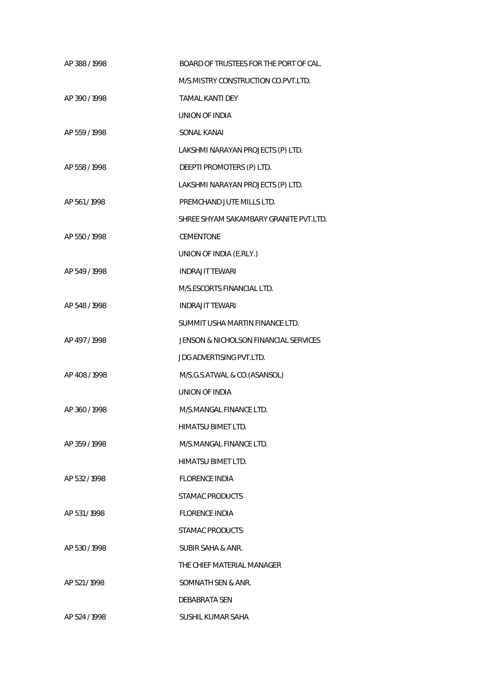| AP 388 / 1998 | BOARD OF TRUSTEES FOR THE PORT OF CAL. |
|---------------|----------------------------------------|
|               | M/S.MISTRY CONSTRUCTION CO.PVT.LTD.    |
| AP 390/1998   | <b>TAMAL KANTI DEY</b>                 |
|               | UNION OF INDIA                         |
| AP 559 / 1998 | SONAL KANAI                            |
|               | LAKSHMI NARAYAN PROJECTS (P) LTD.      |
| AP 558 / 1998 | DEEPTI PROMOTERS (P) LTD.              |
|               | LAKSHMI NARAYAN PROJECTS (P) LTD.      |
| AP 561/1998   | PREMCHAND JUTE MILLS LTD.              |
|               | SHREE SHYAM SAKAMBARY GRANITE PVT LTD. |
| AP 550 / 1998 | <b>CEMENTONE</b>                       |
|               | UNION OF INDIA (E.RLY.)                |
| AP 549 / 1998 | <b>INDRAJIT TEWARI</b>                 |
|               | M/S.ESCORTS FINANCIAL LTD.             |
| AP 548 / 1998 | <b>INDRAJIT TEWARI</b>                 |
|               | SUMMIT USHA MARTIN FINANCE LTD.        |
| AP 497/1998   | JENSON & NICHOLSON FINANCIAL SERVICES  |
|               | <b>JDG ADVERTISING PVT.LTD.</b>        |
| AP 408/1998   | M/S.G.S.ATWAL & CO.(ASANSOL)           |
|               | UNION OF INDIA                         |
| AP 360/1998   | M/S.MANGAL FINANCE LTD.                |
|               | HIMATSU BIMET LTD.                     |
| AP 359/1998   | M/S.MANGAL FINANCE LTD.                |
|               | HIMATSU BIMET LTD.                     |
| AP 532/1998   | <b>FLORENCE INDIA</b>                  |
|               | STAMAC PRODUCTS                        |
| AP 531/1998   | <b>FLORENCE INDIA</b>                  |
|               | STAMAC PRODUCTS                        |
| AP 530/1998   | SUBIR SAHA & ANR.                      |
|               | THE CHIEF MATERIAL MANAGER             |
| AP 521/1998   | SOMNATH SEN & ANR.                     |
|               | DEBABRATA SEN                          |
| AP 524 / 1998 | SUSHIL KUMAR SAHA                      |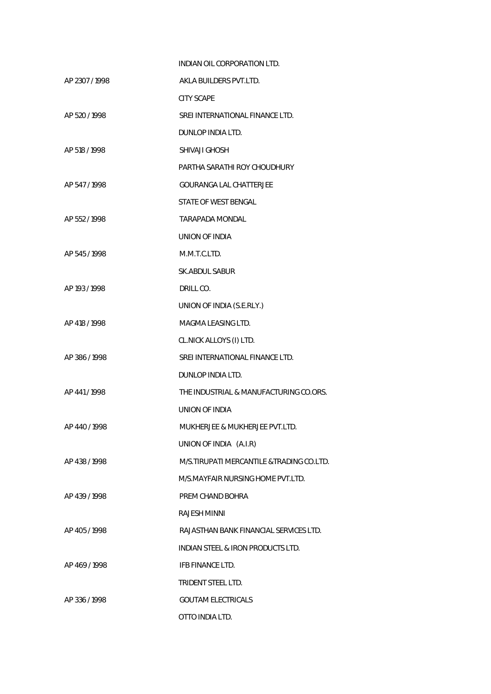|                | INDIAN OIL CORPORATION LTD.                  |
|----------------|----------------------------------------------|
| AP 2307 / 1998 | AKLA BUILDERS PVT.LTD.                       |
|                | <b>CITY SCAPE</b>                            |
| AP 520 / 1998  | SREI INTERNATIONAL FINANCE LTD.              |
|                | DUNLOP INDIA LTD.                            |
| AP 518 / 1998  | SHIVAJI GHOSH                                |
|                | PARTHA SARATHI ROY CHOUDHURY                 |
| AP 547/1998    | <b>GOURANGA LAL CHATTERJEE</b>               |
|                | STATE OF WEST BENGAL                         |
| AP 552 / 1998  | <b>TARAPADA MONDAL</b>                       |
|                | UNION OF INDIA                               |
| AP 545 / 1998  | M.M.T.C.LTD.                                 |
|                | SK.ABDUL SABUR                               |
| AP 193 / 1998  | DRILL CO.                                    |
|                | UNION OF INDIA (S.E.RLY.)                    |
| AP 418 / 1998  | MAGMA LEASING LTD.                           |
|                | CL.NICK ALLOYS (I) LTD.                      |
| AP 386 / 1998  | SREI INTERNATIONAL FINANCE LTD.              |
|                | DUNLOP INDIA LTD.                            |
| AP 441/1998    | THE INDUSTRIAL & MANUFACTURING CO.ORS.       |
|                | UNION OF INDIA                               |
| AP 440 / 1998  | MUKHERJEE & MUKHERJEE PVT.LTD.               |
|                | UNION OF INDIA (A.I.R)                       |
| AP 438/1998    | M/S. TIRUPATI MERCANTILE & TRADING CO.LTD.   |
|                | M/S MAYFAIR NURSING HOME PVT LTD.            |
| AP 439/1998    | PREM CHAND BOHRA                             |
|                | RAJESH MINNI                                 |
| AP 405/1998    | RAJASTHAN BANK FINANCIAL SERVICES LTD.       |
|                | <b>INDIAN STEEL &amp; IRON PRODUCTS LTD.</b> |
| AP 469/1998    | IFB FINANCE LTD.                             |
|                | TRIDENT STEEL LTD.                           |
| AP 336/1998    | <b>GOUTAM ELECTRICALS</b>                    |
|                | OTTO INDIA LTD.                              |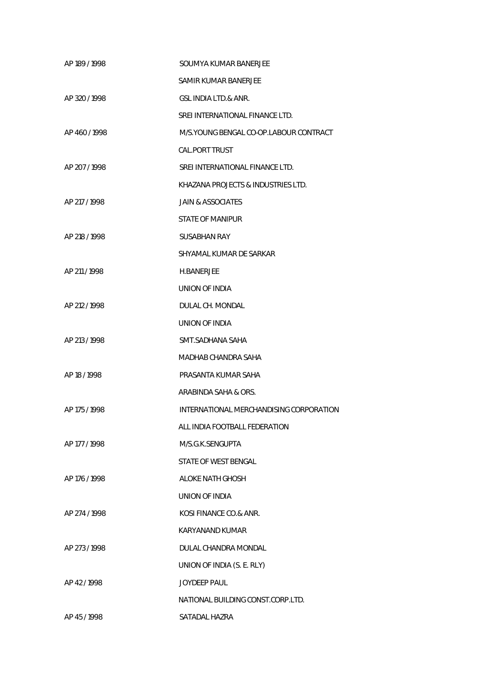| AP 189 / 1998 | SOUMYA KUMAR BANERJEE                    |
|---------------|------------------------------------------|
|               | SAMIR KUMAR BANERJEE                     |
| AP 320/1998   | GSL INDIA LTD.& ANR.                     |
|               | SREI INTERNATIONAL FINANCE LTD.          |
| AP 460/1998   | M/S. YOUNG BENGAL CO-OP. LABOUR CONTRACT |
|               | <b>CAL.PORT TRUST</b>                    |
| AP 207/1998   | SREI INTERNATIONAL FINANCE LTD.          |
|               | KHAZANA PROJECTS & INDUSTRIES LTD.       |
| AP 217 / 1998 | <b>JAIN &amp; ASSOCIATES</b>             |
|               | STATE OF MANIPUR                         |
| AP 218 / 1998 | <b>SUSABHAN RAY</b>                      |
|               | SHYAMAL KUMAR DE SARKAR                  |
| AP 211/1998   | <b>H.BANERJEE</b>                        |
|               | UNION OF INDIA                           |
| AP 212 / 1998 | DULAL CH. MONDAL                         |
|               | UNION OF INDIA                           |
| AP 213 / 1998 | SMT.SADHANA SAHA                         |
|               | MADHAB CHANDRA SAHA                      |
| AP 18 / 1998  | PRASANTA KUMAR SAHA                      |
|               | ARABINDA SAHA & ORS.                     |
| AP 175 / 1998 | INTERNATIONAL MERCHANDISING CORPORATION  |
|               | ALL INDIA FOOTBALL FEDERATION            |
| AP 177 / 1998 | M/S.G.K.SENGUPTA                         |
|               | STATE OF WEST BENGAL                     |
| AP 176 / 1998 | ALOKE NATH GHOSH                         |
|               | UNION OF INDIA                           |
| AP 274 / 1998 | KOSI FINANCE CO.& ANR.                   |
|               | <b>KARYANAND KUMAR</b>                   |
| AP 273/1998   | DULAL CHANDRA MONDAL                     |
|               | UNION OF INDIA (S. E. RLY)               |
| AP 42/1998    | <b>JOYDEEP PAUL</b>                      |
|               | NATIONAL BUILDING CONST.CORP.LTD.        |
| AP 45/1998    | SATADAL HAZRA                            |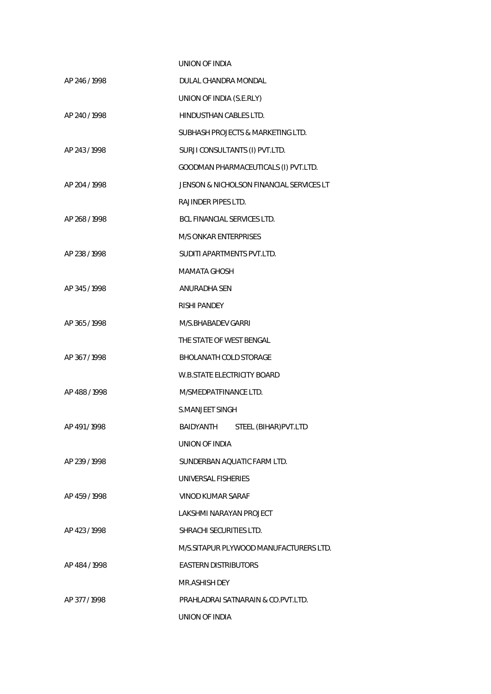|               | UNION OF INDIA                           |
|---------------|------------------------------------------|
| AP 246/1998   | DULAL CHANDRA MONDAL                     |
|               | UNION OF INDIA (S.E.RLY)                 |
| AP 240 / 1998 | HINDUSTHAN CABLES LTD.                   |
|               | SUBHASH PROJECTS & MARKETING LTD.        |
| AP 243/1998   | SURJI CONSULTANTS (I) PVT.LTD.           |
|               | GOODMAN PHARMACEUTICALS (I) PVT.LTD.     |
| AP 204 / 1998 | JENSON & NICHOLSON FINANCIAL SERVICES LT |
|               | <b>RAJINDER PIPES LTD.</b>               |
| AP 268 / 1998 | <b>BCL FINANCIAL SERVICES LTD.</b>       |
|               | M/S ONKAR ENTERPRISES                    |
| AP 238 / 1998 | SUDITI APARTMENTS PVT.LTD.               |
|               | <b>MAMATA GHOSH</b>                      |
| AP 345/1998   | ANURADHA SEN                             |
|               | RISHI PANDEY                             |
| AP 365/1998   | M/S.BHABADEV GARRI                       |
|               | THE STATE OF WEST BENGAL                 |
| AP 367/1998   | <b>BHOLANATH COLD STORAGE</b>            |
|               | <b>W.B.STATE ELECTRICITY BOARD</b>       |
| AP 488/1998   | M/SMEDPATFINANCE LTD.                    |
|               | <b>S.MANJEET SINGH</b>                   |
| AP 491/1998   | BAIDYANTH<br>STEEL (BIHAR) PVT.LTD       |
|               | UNION OF INDIA                           |
| AP 239 / 1998 | SUNDERBAN AOUATIC FARM LTD.              |
|               | UNIVERSAL FISHERIES                      |
| AP 459/1998   | VINOD KUMAR SARAF                        |
|               | LAKSHMI NARAYAN PROJECT                  |
| AP 423/1998   | SHRACHI SECURITIES LTD.                  |
|               | M/S.SITAPUR PLYWOOD MANUFACTURERS LTD.   |
| AP 484/1998   | <b>EASTERN DISTRIBUTORS</b>              |
|               | MR.ASHISH DEY                            |
| AP 377/1998   | PRAHLADRAI SATNARAIN & CO.PVT.LTD.       |
|               | UNION OF INDIA                           |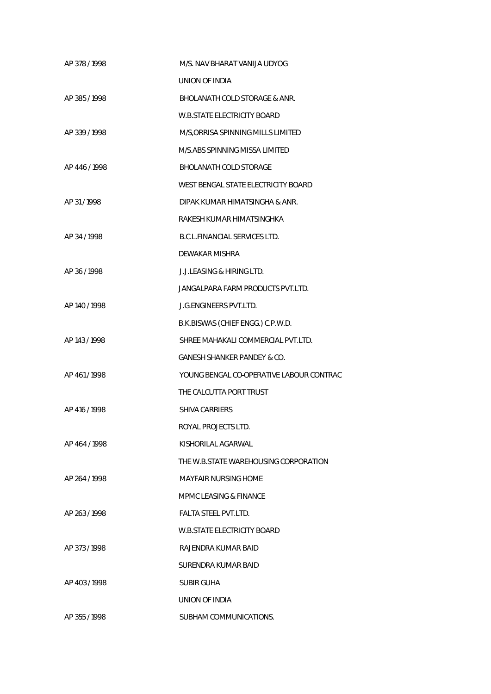| AP 378/1998   | M/S. NAV BHARAT VANIJA UDYOG             |
|---------------|------------------------------------------|
|               | UNION OF INDIA                           |
| AP 385/1998   | <b>BHOLANATH COLD STORAGE &amp; ANR.</b> |
|               | <b>W.B.STATE ELECTRICITY BOARD</b>       |
| AP 339/1998   | M/S, ORRISA SPINNING MILLS LIMITED       |
|               | M/S.ABS SPINNING MISSA LIMITED           |
| AP 446/1998   | <b>BHOLANATH COLD STORAGE</b>            |
|               | WEST BENGAL STATE ELECTRICITY BOARD      |
| AP 31/1998    | DIPAK KUMAR HIMATSINGHA & ANR.           |
|               | RAKESH KUMAR HIMATSINGHKA                |
| AP 34 / 1998  | <b>B.C.L.FINANCIAL SERVICES LTD.</b>     |
|               | DEWAKAR MISHRA                           |
| AP 36 / 1998  | <b>J.J.LEASING &amp; HIRING LTD.</b>     |
|               | JANGALPARA FARM PRODUCTS PVT.LTD.        |
| AP 140 / 1998 | <b>J.G. ENGINEERS PVT.LTD.</b>           |
|               | B.K.BISWAS (CHIEF ENGG.) C.P.W.D.        |
| AP 143 / 1998 | SHREE MAHAKALI COMMERCIAL PVT.LTD.       |
|               | GANESH SHANKER PANDEY & CO.              |
| AP 461/1998   | YOUNG BENGAL CO-OPERATIVE LABOUR CONTRAC |
|               | THE CALCUTTA PORT TRUST                  |
| AP 416 / 1998 | <b>SHIVA CARRIERS</b>                    |
|               | ROYAL PROJECTS LTD.                      |
| AP 464 / 1998 | KISHORILAL AGARWAL                       |
|               | THE W.B.STATE WAREHOUSING CORPORATION    |
| AP 264 / 1998 | MAYFAIR NURSING HOME                     |
|               | MPMC LEASING & FINANCE                   |
| AP 263/1998   | FALTA STEEL PVT.LTD.                     |
|               | W.B.STATE ELECTRICITY BOARD              |
| AP 373/1998   | RAJENDRA KUMAR BAID                      |
|               | SURENDRA KUMAR BAID                      |
| AP 403/1998   | SUBIR GUHA                               |
|               | UNION OF INDIA                           |
| AP 355/1998   | SUBHAM COMMUNICATIONS.                   |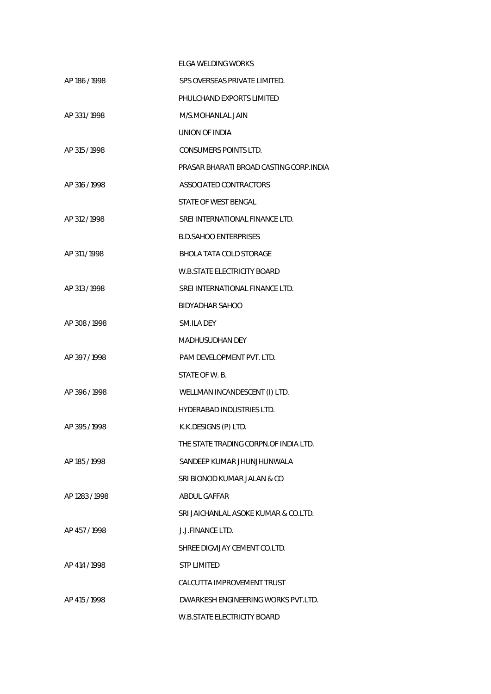|                | ELGA WELDING WORKS                      |
|----------------|-----------------------------------------|
| AP 186 / 1998  | SPS OVERSEAS PRIVATE LIMITED.           |
|                | PHULCHAND EXPORTS LIMITED               |
| AP 331/1998    | M/S.MOHANLAL JAIN                       |
|                | UNION OF INDIA                          |
| AP 315 / 1998  | <b>CONSUMERS POINTS LTD.</b>            |
|                | PRASAR BHARATI BROAD CASTING CORP.INDIA |
| AP 316 / 1998  | ASSOCIATED CONTRACTORS                  |
|                | STATE OF WEST BENGAL                    |
| AP 312/1998    | SREI INTERNATIONAL FINANCE LTD.         |
|                | <b>B.D.SAHOO ENTERPRISES</b>            |
| AP 311/1998    | BHOLA TATA COLD STORAGE                 |
|                | <b>W.B.STATE ELECTRICITY BOARD</b>      |
| AP 313 / 1998  | SREI INTERNATIONAL FINANCE LTD.         |
|                | <b>BIDYADHAR SAHOO</b>                  |
| AP 308/1998    | SM.ILA DEY                              |
|                | <b>MADHUSUDHAN DEY</b>                  |
| AP 397/1998    | PAM DEVELOPMENT PVT. LTD.               |
|                | STATE OF W.B.                           |
| AP 396/1998    | WELLMAN INCANDESCENT (I) LTD.           |
|                | <b>HYDERABAD INDUSTRIES LTD.</b>        |
| AP 395/1998    | K.K.DESIGNS (P) LTD.                    |
|                | THE STATE TRADING CORPN OF INDIA LTD.   |
| AP 185 / 1998  | SANDEEP KUMAR JHUNJHUNWALA              |
|                | SRI BIONOD KUMAR JALAN & CO             |
| AP 1283 / 1998 | ABDUL GAFFAR                            |
|                | SRI JAICHANLAL ASOKE KUMAR & CO.LTD.    |
| AP 457/1998    | J.J.FINANCE LTD.                        |
|                | SHREE DIGVIJAY CEMENT CO.LTD.           |
| AP 414 / 1998  | STP LIMITED                             |
|                | CALCUTTA IMPROVEMENT TRUST              |
| AP 415/1998    | DWARKESH ENGINEERING WORKS PVT.LTD.     |
|                | W.B.STATE ELECTRICITY BOARD             |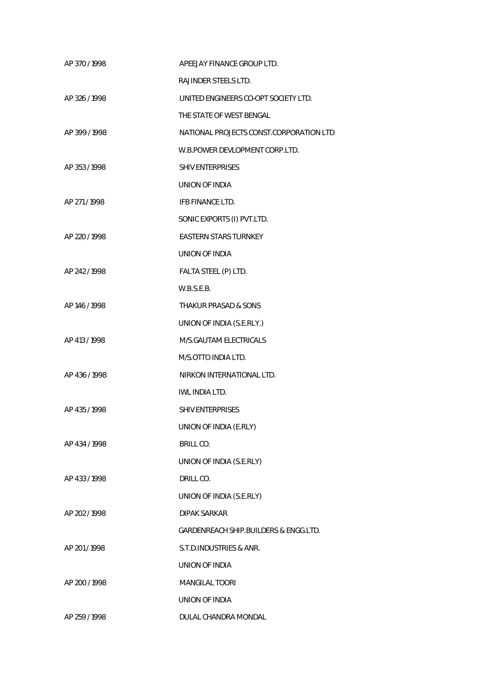| AP 370/1998   | APEEJAY FINANCE GROUP LTD.                       |
|---------------|--------------------------------------------------|
|               | RAJINDER STEELS LTD.                             |
| AP 326/1998   | UNITED ENGINEERS CO-OPT SOCIETY LTD.             |
|               | THE STATE OF WEST BENGAL                         |
| AP 399/1998   | NATIONAL PROJECTS CONST.CORPORATION LTD          |
|               | W.B.POWER DEVLOPMENT CORP.LTD.                   |
| AP 353/1998   | <b>SHIV ENTERPRISES</b>                          |
|               | UNION OF INDIA                                   |
| AP 271/1998   | IFB FINANCE LTD.                                 |
|               | SONIC EXPORTS (I) PVT.LTD.                       |
| AP 220 / 1998 | <b>EASTERN STARS TURNKEY</b>                     |
|               | UNION OF INDIA                                   |
| AP 242/1998   | FALTA STEEL (P) LTD.                             |
|               | W.B.S.E.B.                                       |
| AP 146 / 1998 | <b>THAKUR PRASAD &amp; SONS</b>                  |
|               | UNION OF INDIA (S.E.RLY.)                        |
| AP 413 / 1998 | M/S.GAUTAM ELECTRICALS                           |
|               | M/S.OTTO INDIA LTD.                              |
| AP 436 / 1998 | NIRKON INTERNATIONAL LTD.                        |
|               | IWL INDIA LTD.                                   |
| AP 435 / 1998 | <b>SHIV ENTERPRISES</b>                          |
|               | UNION OF INDIA (E.RLY)                           |
| AP 434 / 1998 | BRILL CO.                                        |
|               | UNION OF INDIA (S.E.RLY)                         |
| AP 433/1998   | DRILL CO.                                        |
|               | UNION OF INDIA (S.E.RLY)                         |
| AP 202 / 1998 | <b>DIPAK SARKAR</b>                              |
|               | <b>GARDENREACH SHIP.BUILDERS &amp; ENGG.LTD.</b> |
| AP 201/1998   | S.T.D.INDUSTRIES & ANR.                          |
|               | UNION OF INDIA                                   |
| AP 200 / 1998 | <b>MANGILAL TOORI</b>                            |
|               | UNION OF INDIA                                   |
| AP 259 / 1998 | DULAL CHANDRA MONDAL                             |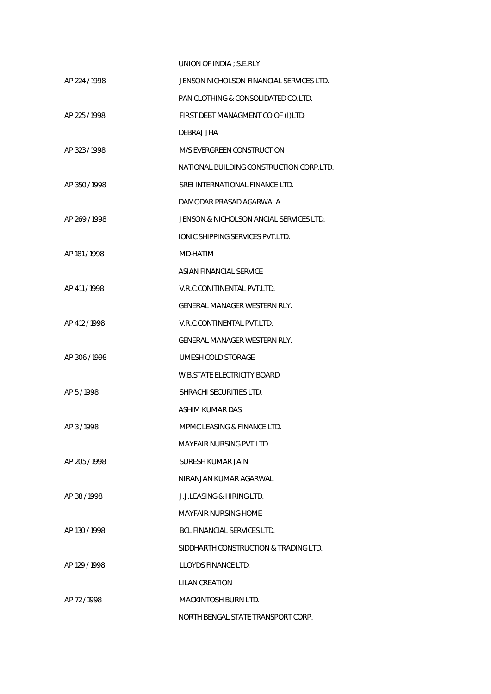|               | UNION OF INDIA: S.E.RLY                  |
|---------------|------------------------------------------|
| AP 224 / 1998 | JENSON NICHOLSON FINANCIAL SERVICES LTD. |
|               | PAN CLOTHING & CONSOLIDATED CO.LTD.      |
| AP 225 / 1998 | FIRST DEBT MANAGMENT CO.OF (I)LTD.       |
|               | DEBRAJ JHA                               |
| AP 323/1998   | M/S EVERGREEN CONSTRUCTION               |
|               | NATIONAL BUILDING CONSTRUCTION CORP.LTD. |
| AP 350/1998   | SREI INTERNATIONAL FINANCE LTD.          |
|               | DAMODAR PRASAD AGARWALA                  |
| AP 269/1998   | JENSON & NICHOLSON ANCIAL SERVICES LTD.  |
|               | <b>IONIC SHIPPING SERVICES PVT.LTD.</b>  |
| AP 181 / 1998 | MD-HATIM                                 |
|               | ASIAN FINANCIAL SERVICE                  |
| AP 411/1998   | V.R.C.CONITINENTAL PVT.LTD.              |
|               | GENERAL MANAGER WESTERN RLY.             |
| AP 412/1998   | V.R.C.CONTINENTAL PVT.LTD.               |
|               | GENERAL MANAGER WESTERN RLY.             |
| AP 306 / 1998 | UMESH COLD STORAGE                       |
|               | <b>W.B.STATE ELECTRICITY BOARD</b>       |
| AP 5/1998     | SHRACHI SECURITIES LTD.                  |
|               | ASHIM KUMAR DAS                          |
| AP 3/1998     | MPMC LEASING & FINANCE LTD.              |
|               | MAYFAIR NURSING PVT.LTD.                 |
| AP 205 / 1998 | SURESH KUMAR JAIN                        |
|               | NIRANJAN KUMAR AGARWAL                   |
| AP 38/1998    | J.J.LEASING & HIRING LTD.                |
|               | <b>MAYFAIR NURSING HOME</b>              |
| AP 130 / 1998 | <b>BCL FINANCIAL SERVICES LTD.</b>       |
|               | SIDDHARTH CONSTRUCTION & TRADING LTD.    |
| AP 129 / 1998 | LLOYDS FINANCE LTD.                      |
|               | LILAN CREATION                           |
| AP 72/1998    | MACKINTOSH BURN LTD.                     |
|               | NORTH BENGAL STATE TRANSPORT CORP.       |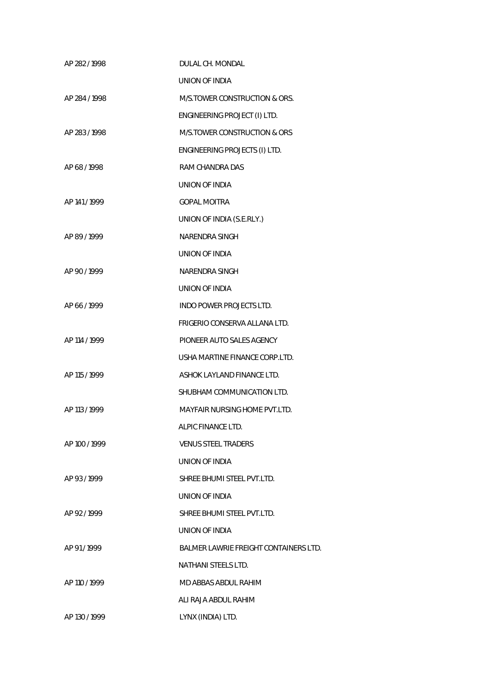| AP 282/1998   | DULAL CH. MONDAL                             |
|---------------|----------------------------------------------|
|               | UNION OF INDIA                               |
| AP 284 / 1998 | M/S.TOWER CONSTRUCTION & ORS.                |
|               | ENGINEERING PROJECT (I) LTD.                 |
| AP 283/1998   | M/S.TOWER CONSTRUCTION & ORS                 |
|               | ENGINEERING PROJECTS (I) LTD.                |
| AP 68/1998    | RAM CHANDRA DAS                              |
|               | UNION OF INDIA                               |
| AP 141/1999   | <b>GOPAL MOITRA</b>                          |
|               | UNION OF INDIA (S.E.RLY.)                    |
| AP 89 / 1999  | <b>NARENDRA SINGH</b>                        |
|               | UNION OF INDIA                               |
| AP 90 / 1999  | NARENDRA SINGH                               |
|               | UNION OF INDIA                               |
| AP 66/1999    | INDO POWER PROJECTS LTD.                     |
|               | FRIGERIO CONSERVA ALLANA LTD.                |
| AP 114 / 1999 | PIONEER AUTO SALES AGENCY                    |
|               | USHA MARTINE FINANCE CORP.LTD.               |
| AP 115 / 1999 | ASHOK LAYLAND FINANCE LTD.                   |
|               | SHUBHAM COMMUNICATION LTD.                   |
| AP 113 / 1999 | <b>MAYFAIR NURSING HOME PVT.LTD.</b>         |
|               | ALPIC FINANCE LTD.                           |
| AP 100 / 1999 | <b>VENUS STEEL TRADERS</b>                   |
|               | UNION OF INDIA                               |
| AP 93/1999    | SHREE BHUMI STEEL PVT.LTD.                   |
|               | UNION OF INDIA                               |
| AP 92/1999    | SHREE BHUMI STEEL PVT.LTD.                   |
|               | UNION OF INDIA                               |
| AP 91/1999    | <b>BALMER LAWRIE FREIGHT CONTAINERS LTD.</b> |
|               | <b>NATHANI STEELS LTD.</b>                   |
| AP 110 / 1999 | MD ABBAS ABDUL RAHIM                         |
|               | ALI RAJA ABDUL RAHIM                         |
| AP 130 / 1999 | LYNX (INDIA) LTD.                            |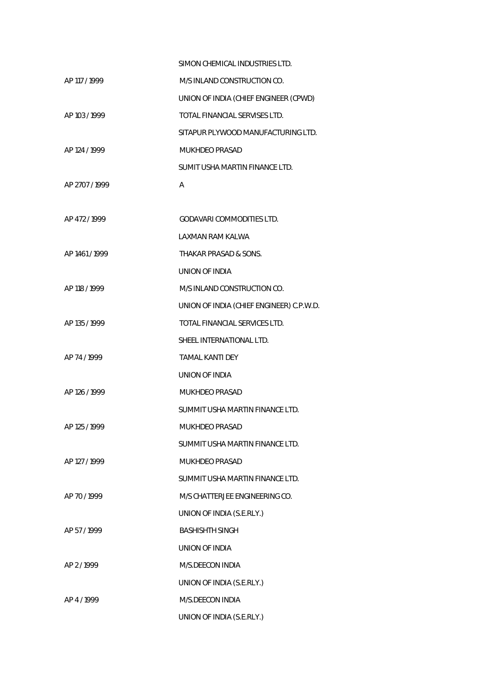|                | SIMON CHEMICAL INDUSTRIES LTD.           |
|----------------|------------------------------------------|
| AP 117 / 1999  | M/S INLAND CONSTRUCTION CO.              |
|                | UNION OF INDIA (CHIEF ENGINEER (CPWD)    |
| AP 103 / 1999  | TOTAL FINANCIAL SERVISES LTD.            |
|                | SITAPUR PLYWOOD MANUFACTURING LTD.       |
| AP 124 / 1999  | <b>MUKHDEO PRASAD</b>                    |
|                | SUMIT USHA MARTIN FINANCE LTD.           |
| AP 2707 / 1999 | Α                                        |
|                |                                          |
| AP 472/1999    | GODAVARI COMMODITIES LTD.                |
|                | LAXMAN RAM KALWA                         |
| AP 1461/1999   | THAKAR PRASAD & SONS.                    |
|                | UNION OF INDIA                           |
| AP 118 / 1999  | M/S INLAND CONSTRUCTION CO.              |
|                | UNION OF INDIA (CHIEF ENGINEER) C.P.W.D. |
| AP 135 / 1999  | TOTAL FINANCIAL SERVICES LTD.            |
|                | SHEEL INTERNATIONAL LTD.                 |
| AP 74 / 1999   | <b>TAMAL KANTI DEY</b>                   |
|                | UNION OF INDIA                           |
| AP 126 / 1999  | <b>MUKHDEO PRASAD</b>                    |
|                | SUMMIT USHA MARTIN FINANCE LTD.          |
| AP 125 / 1999  | MUKHDEO PRASAD                           |
|                | SUMMIT USHA MARTIN FINANCE LTD.          |
| AP 127 / 1999  | <b>MUKHDEO PRASAD</b>                    |
|                | SUMMIT USHA MARTIN FINANCE LTD.          |
| AP 70/1999     | M/S CHATTERJEE ENGINEERING CO.           |
|                | UNION OF INDIA (S.E.RLY.)                |
| AP 57/1999     | <b>BASHISHTH SINGH</b>                   |
|                | UNION OF INDIA                           |
| AP 2/1999      | M/S.DEECON INDIA                         |
|                | UNION OF INDIA (S.E.RLY.)                |
| AP 4/1999      | M/S.DEECON INDIA                         |
|                | UNION OF INDIA (S.E.RLY.)                |
|                |                                          |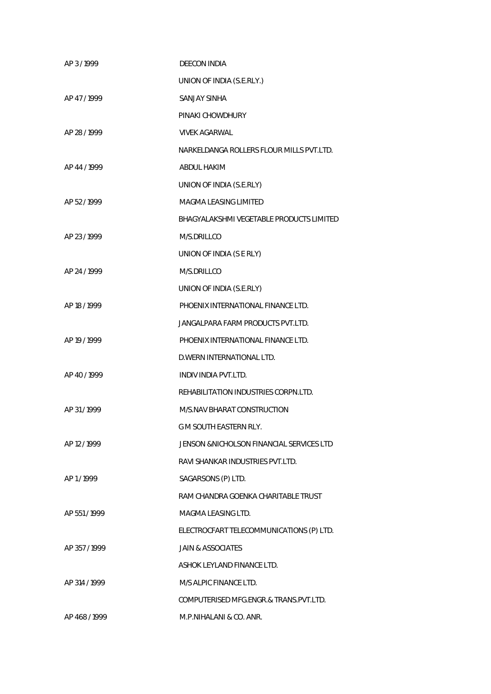| AP 3/1999     | <b>DEECON INDIA</b>                       |
|---------------|-------------------------------------------|
|               | UNION OF INDIA (S.E.RLY.)                 |
| AP 47/1999    | <b>SANJAY SINHA</b>                       |
|               | PINAKI CHOWDHURY                          |
| AP 28 / 1999  | <b>VIVEK AGARWAL</b>                      |
|               | NARKELDANGA ROLLERS FLOUR MILLS PVT.LTD.  |
| AP 44 / 1999  | <b>ABDUL HAKIM</b>                        |
|               | UNION OF INDIA (S.E.RLY)                  |
| AP 52/1999    | MAGMA LEASING LIMITED                     |
|               | BHAGYALAKSHMI VEGETABLE PRODUCTS LIMITED  |
| AP 23 / 1999  | M/S.DRILLCO                               |
|               | UNION OF INDIA (S E RLY)                  |
| AP 24 / 1999  | M/S.DRILLCO                               |
|               | UNION OF INDIA (S.E.RLY)                  |
| AP 18 / 1999  | PHOENIX INTERNATIONAL FINANCE LTD.        |
|               | JANGALPARA FARM PRODUCTS PVT.LTD.         |
| AP 19 / 1999  | PHOENIX INTERNATIONAL FINANCE LTD.        |
|               | D. WERN INTERNATIONAL LTD.                |
| AP 40/1999    | INDIV INDIA PVT.LTD.                      |
|               | REHABILITATION INDUSTRIES CORPN.LTD.      |
| AP 31/1999    | M/S.NAV BHARAT CONSTRUCTION               |
|               | G M SOUTH EASTERN RLY.                    |
| AP 12 / 1999  | JENSON & NICHOLSON FINANCIAL SERVICES LTD |
|               | RAVI SHANKAR INDUSTRIES PVT.LTD.          |
| AP 1/1999     | SAGARSONS (P) LTD.                        |
|               | RAM CHANDRA GOENKA CHARITABLE TRUST       |
| AP 551/1999   | MAGMA LEASING LTD.                        |
|               | ELECTROCFART TELECOMMUNICATIONS (P) LTD.  |
| AP 357/1999   | <b>JAIN &amp; ASSOCIATES</b>              |
|               | ASHOK LEYLAND FINANCE LTD.                |
| AP 314 / 1999 | M/S ALPIC FINANCE LTD.                    |
|               | COMPUTERISED MFG.ENGR.& TRANS.PVT.LTD.    |
| AP 468 / 1999 | M.P.NIHALANI & CO. ANR.                   |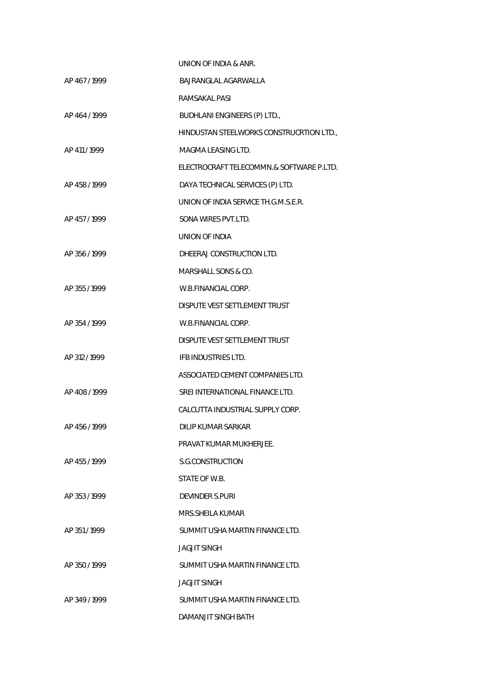|               | UNION OF INDIA & ANR.                    |
|---------------|------------------------------------------|
| AP 467/1999   | BAJRANGLAL AGARWALLA                     |
|               | RAMSAKAL PASI                            |
| AP 464 / 1999 | BUDHLANI ENGINEERS (P) LTD.,             |
|               | HINDUSTAN STEELWORKS CONSTRUCRTION LTD., |
| AP 411/1999   | MAGMA LEASING LTD.                       |
|               | ELECTROCRAFT TELECOMMN.& SOFTWARE P.LTD. |
| AP 458/1999   | DAYA TECHNICAL SERVICES (P) LTD.         |
|               | UNION OF INDIA SERVICE TH.G.M.S.E.R.     |
| AP 457/1999   | SONA WIRES PVT.LTD.                      |
|               | UNION OF INDIA                           |
| AP 356 / 1999 | DHEERAJ CONSTRUCTION LTD.                |
|               | <b>MARSHALL SONS &amp; CO.</b>           |
| AP 355 / 1999 | W.B.FINANCIAL CORP.                      |
|               | DISPUTE VEST SETTLEMENT TRUST            |
| AP 354 / 1999 | W.B.FINANCIAL CORP.                      |
|               | DISPUTE VEST SETTLEMENT TRUST            |
| AP 312 / 1999 | IFB INDUSTRIES LTD.                      |
|               | ASSOCIATED CEMENT COMPANIES LTD.         |
| AP 408/1999   | SREI INTERNATIONAL FINANCE LTD.          |
|               | CALCUTTA INDUSTRIAL SUPPLY CORP.         |
| AP 456/1999   | DILIP KUMAR SARKAR                       |
|               | PRAVAT KUMAR MUKHERJEE.                  |
| AP 455/1999   | S.G.CONSTRUCTION                         |
|               | STATE OF W.B.                            |
| AP 353/1999   | <b>DEVINDER S.PURI</b>                   |
|               | MRS.SHEILA KUMAR                         |
| AP 351/1999   | SUMMIT USHA MARTIN FINANCE LTD.          |
|               | JAGJIT SINGH                             |
| AP 350/1999   | SUMMIT USHA MARTIN FINANCE LTD.          |
|               | <b>JAGJIT SINGH</b>                      |
| AP 349/1999   | SUMMIT USHA MARTIN FINANCE LTD.          |
|               | DAMANJIT SINGH BATH                      |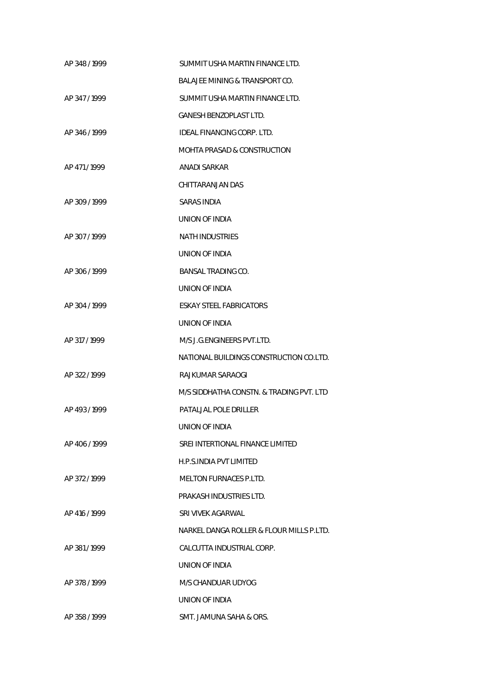| AP 348 / 1999 | SUMMIT USHA MARTIN FINANCE LTD.           |
|---------------|-------------------------------------------|
|               | <b>BALAJEE MINING &amp; TRANSPORT CO.</b> |
| AP 347/1999   | SUMMIT USHA MARTIN FINANCE LTD.           |
|               | <b>GANESH BENZOPLAST LTD.</b>             |
| AP 346/1999   | <b>IDEAL FINANCING CORP. LTD.</b>         |
|               | <b>MOHTA PRASAD &amp; CONSTRUCTION</b>    |
| AP 471/1999   | <b>ANADI SARKAR</b>                       |
|               | CHITTARANJAN DAS                          |
| AP 309/1999   | <b>SARAS INDIA</b>                        |
|               | UNION OF INDIA                            |
| AP 307/1999   | <b>NATH INDUSTRIES</b>                    |
|               | UNION OF INDIA                            |
| AP 306/1999   | BANSAL TRADING CO.                        |
|               | UNION OF INDIA                            |
| AP 304 / 1999 | <b>ESKAY STEEL FABRICATORS</b>            |
|               | UNION OF INDIA                            |
| AP 317 / 1999 | M/S J.G. ENGINEERS PVT. LTD.              |
|               | NATIONAL BUILDINGS CONSTRUCTION CO.LTD.   |
| AP 322/1999   | RAJKUMAR SARAOGI                          |
|               | M/S SIDDHATHA CONSTN. & TRADING PVT. LTD  |
| AP 493/1999   | PATALJAL POLE DRILLER                     |
|               | UNION OF INDIA                            |
| AP 406/1999   | SREI INTERTIONAL FINANCE LIMITED          |
|               | H.P.S.INDIA PVT LIMITED                   |
| AP 372/1999   | <b>MELTON FURNACES P.LTD.</b>             |
|               | PRAKASH INDUSTRIES LTD.                   |
| AP 416 / 1999 | SRI VIVEK AGARWAL                         |
|               | NARKEL DANGA ROLLER & FLOUR MILLS P.LTD.  |
| AP 381/1999   | CALCUTTA INDUSTRIAL CORP.                 |
|               | UNION OF INDIA                            |
| AP 378/1999   | M/S CHANDUAR UDYOG                        |
|               | UNION OF INDIA                            |
| AP 358 / 1999 | SMT. JAMUNA SAHA & ORS.                   |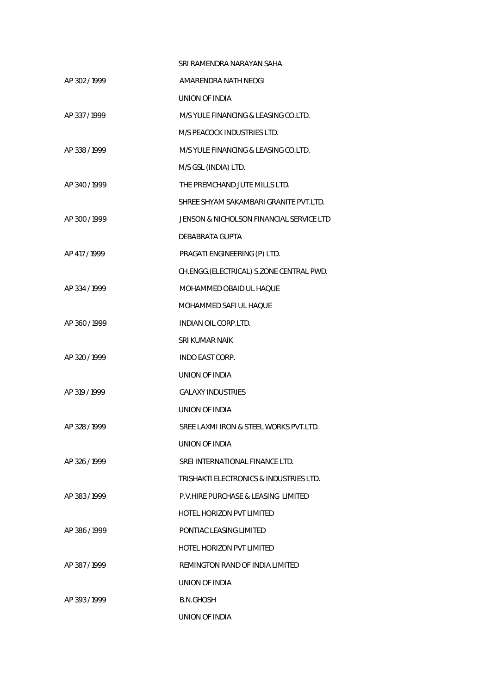|               | SRI RAMENDRA NARAYAN SAHA                |
|---------------|------------------------------------------|
| AP 302 / 1999 | AMARENDRA NATH NEOGI                     |
|               | UNION OF INDIA                           |
| AP 337/1999   | M/S YULE FINANCING & LEASING CO.LTD.     |
|               | M/S PEACOCK INDUSTRIES LTD.              |
| AP 338 / 1999 | M/S YULE FINANCING & LEASING CO.LTD.     |
|               | M/S GSL (INDIA) LTD.                     |
| AP 340/1999   | THE PREMCHAND JUTE MILLS LTD.            |
|               | SHREE SHYAM SAKAMBARI GRANITE PVT.LTD.   |
| AP 300 / 1999 | JENSON & NICHOLSON FINANCIAL SERVICE LTD |
|               | DEBABRATA GUPTA                          |
| AP 417 / 1999 | PRAGATI ENGINEERING (P) LTD.             |
|               | CH.ENGG.(ELECTRICAL) S.ZONE CENTRAL PWD. |
| AP 334 / 1999 | MOHAMMED OBAID UL HAOUE                  |
|               | MOHAMMED SAFI UL HAQUE                   |
| AP 360 / 1999 | <b>INDIAN OIL CORP.LTD.</b>              |
|               | SRI KUMAR NAIK                           |
| AP 320/1999   | <b>INDO EAST CORP.</b>                   |
|               | UNION OF INDIA                           |
| AP 319 / 1999 | <b>GALAXY INDUSTRIES</b>                 |
|               | UNION OF INDIA                           |
| AP 328 / 1999 | SREE LAXMI IRON & STEEL WORKS PVT.LTD.   |
|               | UNION OF INDIA                           |
| AP 326/1999   | SREI INTERNATIONAL FINANCE LTD.          |
|               | TRISHAKTI ELECTRONICS & INDUSTRIES LTD.  |
| AP 383/1999   | P.V.HIRE PURCHASE & LEASING LIMITED      |
|               | HOTEL HORIZON PVT LIMITED                |
| AP 386/1999   | PONTIAC LEASING LIMITED                  |
|               | HOTEL HORIZON PVT LIMITED                |
| AP 387/1999   | REMINGTON RAND OF INDIA LIMITED          |
|               | UNION OF INDIA                           |
| AP 393/1999   | B.N.GHOSH                                |
|               | UNION OF INDIA                           |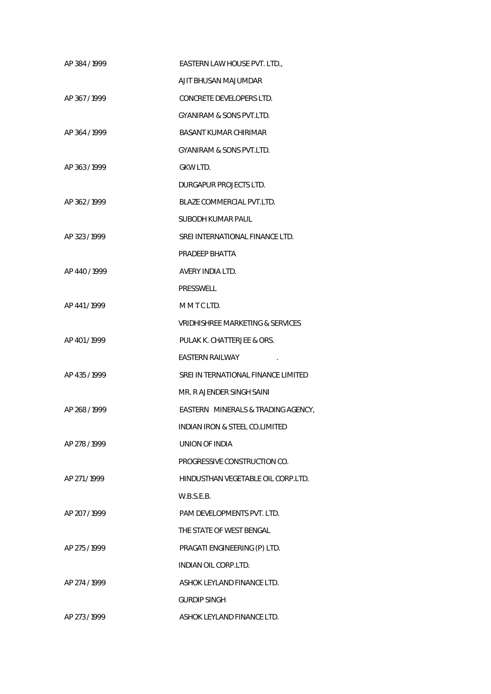| AP 384 / 1999 | EASTERN LAW HOUSE PVT. LTD.,              |
|---------------|-------------------------------------------|
|               | AJIT BHUSAN MAJUMDAR                      |
| AP 367/1999   | CONCRETE DEVELOPERS LTD.                  |
|               | GYANIRAM & SONS PVT.LTD.                  |
| AP 364/1999   | BASANT KUMAR CHIRIMAR                     |
|               | GYANIRAM & SONS PVT.LTD.                  |
| AP 363/1999   | GKW LTD.                                  |
|               | DURGAPUR PROJECTS LTD.                    |
| AP 362/1999   | BLAZE COMMERCIAL PVT.LTD.                 |
|               | SUBODH KUMAR PAUL                         |
| AP 323/1999   | SREI INTERNATIONAL FINANCE LTD.           |
|               | PRADEEP BHATTA                            |
| AP 440 / 1999 | AVERY INDIA LTD.                          |
|               | PRESSWELL                                 |
| AP 441/1999   | MMTCLTD.                                  |
|               | VRIDHISHREE MARKETING & SERVICES          |
| AP 401/1999   | PULAK K. CHATTERJEE & ORS.                |
|               | EASTERN RAILWAY                           |
| AP 435/1999   | SREI IN TERNATIONAL FINANCE LIMITED       |
|               | MR. R AJENDER SINGH SAINI                 |
| AP 268/1999   | EASTERN MINERALS & TRADING AGENCY,        |
|               | <b>INDIAN IRON &amp; STEEL CO.LIMITED</b> |
| AP 278 / 1999 | UNION OF INDIA                            |
|               | PROGRESSIVE CONSTRUCTION CO.              |
| AP 271/1999   | HINDUSTHAN VEGETABLE OIL CORP.LTD.        |
|               | W.B.S.E.B.                                |
| AP 207 / 1999 | PAM DEVELOPMENTS PVT. LTD.                |
|               | THE STATE OF WEST BENGAL                  |
| AP 275/1999   | PRAGATI ENGINEERING (P) LTD.              |
|               | <b>INDIAN OIL CORP.LTD.</b>               |
| AP 274 / 1999 | ASHOK LEYLAND FINANCE LTD.                |
|               | <b>GURDIP SINGH</b>                       |
| AP 273 / 1999 | ASHOK LEYLAND FINANCE LTD.                |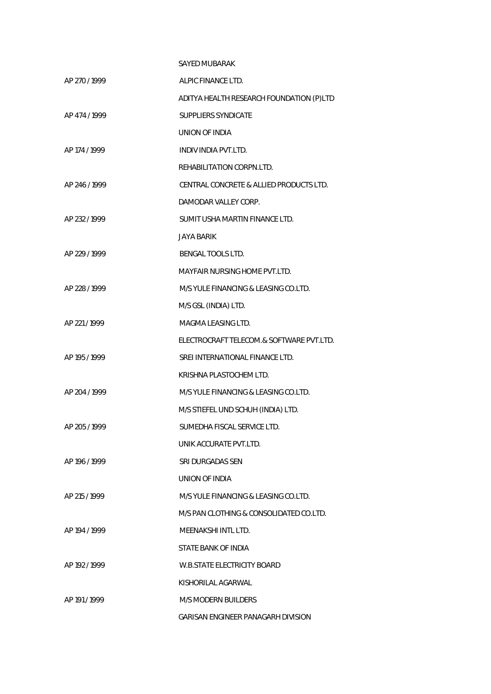|               | <b>SAYED MUBARAK</b>                     |
|---------------|------------------------------------------|
| AP 270/1999   | ALPIC FINANCE LTD.                       |
|               | ADITYA HEALTH RESEARCH FOUNDATION (P)LTD |
| AP 474 / 1999 | <b>SUPPLIERS SYNDICATE</b>               |
|               | UNION OF INDIA                           |
| AP 174 / 1999 | <b>INDIV INDIA PVT.LTD.</b>              |
|               | REHABILITATION CORPN.LTD.                |
| AP 246/1999   | CENTRAL CONCRETE & ALLIED PRODUCTS LTD.  |
|               | DAMODAR VALLEY CORP.                     |
| AP 232 / 1999 | SUMIT USHA MARTIN FINANCE LTD.           |
|               | JAYA BARIK                               |
| AP 229 / 1999 | <b>BENGAL TOOLS LTD.</b>                 |
|               | MAYFAIR NURSING HOME PVT.LTD.            |
| AP 228 / 1999 | M/S YULE FINANCING & LEASING CO.LTD.     |
|               | M/S GSL (INDIA) LTD.                     |
| AP 221/1999   | MAGMA LEASING LTD.                       |
|               | ELECTROCRAFT TELECOM.& SOFTWARE PVT.LTD. |
| AP 195 / 1999 | SREI INTERNATIONAL FINANCE LTD.          |
|               | KRISHNA PLASTOCHEM LTD.                  |
| AP 204 / 1999 | M/S YULE FINANCING & LEASING CO.LTD.     |
|               | M/S STIEFEL UND SCHUH (INDIA) LTD.       |
| AP 205/1999   | SUMEDHA FISCAL SERVICE LTD.              |
|               | UNIK ACCURATE PVT.LTD.                   |
| AP 196 / 1999 | SRI DURGADAS SEN                         |
|               | UNION OF INDIA                           |
| AP 215 / 1999 | M/S YULE FINANCING & LEASING CO.LTD.     |
|               | M/S PAN CLOTHING & CONSOLIDATED CO.LTD.  |
| AP 194 / 1999 | MEENAKSHI INTL LTD.                      |
|               | STATE BANK OF INDIA                      |
| AP 192/1999   | W.B.STATE ELECTRICITY BOARD              |
|               | KISHORILAL AGARWAL                       |
| AP 191/1999   | <b>M/S MODERN BUILDERS</b>               |
|               | GARISAN ENGINEER PANAGARH DIVISION       |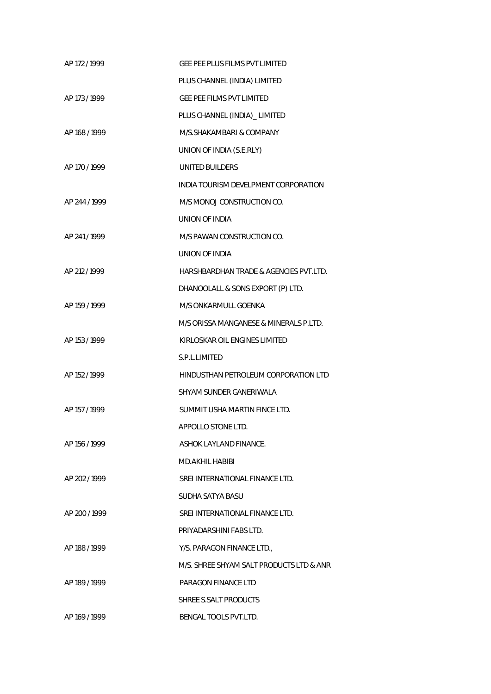| AP 172 / 1999 | <b>GEE PEE PLUS FILMS PVT LIMITED</b>    |
|---------------|------------------------------------------|
|               | PLUS CHANNEL (INDIA) LIMITED             |
| AP 173 / 1999 | <b>GEE PEE FILMS PVT LIMITED</b>         |
|               | PLUS CHANNEL (INDIA)_ LIMITED            |
| AP 168 / 1999 | M/S.SHAKAMBARI & COMPANY                 |
|               | UNION OF INDIA (S.E.RLY)                 |
| AP 170 / 1999 | <b>UNITED BUILDERS</b>                   |
|               | INDIA TOURISM DEVELPMENT CORPORATION     |
| AP 244 / 1999 | M/S MONOJ CONSTRUCTION CO.               |
|               | UNION OF INDIA                           |
| AP 241/1999   | M/S PAWAN CONSTRUCTION CO.               |
|               | UNION OF INDIA                           |
| AP 212 / 1999 | HARSHBARDHAN TRADE & AGENCIES PVT.LTD.   |
|               | DHANOOLALL & SONS EXPORT (P) LTD.        |
| AP 159 / 1999 | M/S ONKARMULL GOENKA                     |
|               | M/S ORISSA MANGANESE & MINERALS P.LTD.   |
| AP 153 / 1999 | KIRLOSKAR OIL ENGINES LIMITED            |
|               | S.P.L.LIMITED                            |
| AP 152 / 1999 | HINDUSTHAN PETROLEUM CORPORATION LTD     |
|               | SHYAM SUNDER GANERIWALA                  |
| AP 157 / 1999 | SUMMIT USHA MARTIN FINCE LTD.            |
|               | APPOLLO STONE LTD.                       |
| AP 156 / 1999 | ASHOK LAYLAND FINANCE.                   |
|               | MD.AKHIL HABIBI                          |
| AP 202 / 1999 | SREI INTERNATIONAL FINANCE LTD.          |
|               | SUDHA SATYA BASU                         |
| AP 200 / 1999 | SREI INTERNATIONAL FINANCE LTD.          |
|               | PRIYADARSHINI FABS LTD.                  |
| AP 188 / 1999 | Y/S. PARAGON FINANCE LTD.,               |
|               | M/S. SHREE SHYAM SALT PRODUCTS LTD & ANR |
| AP 189 / 1999 | PARAGON FINANCE LTD                      |
|               | SHREE S.SALT PRODUCTS                    |
| AP 169 / 1999 | BENGAL TOOLS PVT.LTD.                    |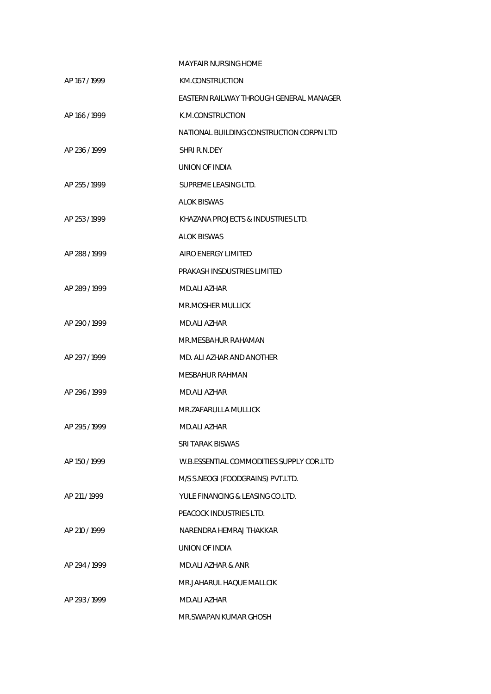|               | <b>MAYFAIR NURSING HOME</b>              |
|---------------|------------------------------------------|
| AP 167 / 1999 | KM.CONSTRUCTION                          |
|               | EASTERN RAILWAY THROUGH GENERAL MANAGER  |
| AP 166/1999   | K.M.CONSTRUCTION                         |
|               | NATIONAL BUILDING CONSTRUCTION CORPN LTD |
| AP 236/1999   | SHRI R.N.DEY                             |
|               | UNION OF INDIA                           |
| AP 255 / 1999 | SUPREME LEASING LTD.                     |
|               | <b>ALOK BISWAS</b>                       |
| AP 253/1999   | KHAZANA PROJECTS & INDUSTRIES LTD.       |
|               | ALOK BISWAS                              |
| AP 288 / 1999 | AIRO ENERGY LIMITED                      |
|               | PRAKASH INSDUSTRIES LIMITED              |
| AP 289/1999   | MD.ALI AZHAR                             |
|               | MR.MOSHER MULLICK                        |
| AP 290/1999   | MD.ALI AZHAR                             |
|               | MR.MESBAHUR RAHAMAN                      |
| AP 297/1999   | MD. ALI AZHAR AND ANOTHER                |
|               | MESBAHUR RAHMAN                          |
| AP 296/1999   | MD.ALI AZHAR                             |
|               | MR.ZAFARULLA MULLICK                     |
| AP 295/1999   | MD.ALI AZHAR                             |
|               | SRI TARAK BISWAS                         |
| AP 150 / 1999 | W.B.ESSENTIAL COMMODITIES SUPPLY COR.LTD |
|               | M/S S.NEOGI (FOODGRAINS) PVT.LTD.        |
| AP 211/1999   | YULE FINANCING & LEASING CO.LTD.         |
|               | PEACOCK INDUSTRIES LTD.                  |
| AP 210 / 1999 | NARENDRA HEMRAJ THAKKAR                  |
|               | UNION OF INDIA                           |
| AP 294 / 1999 | <b>MD.ALI AZHAR &amp; ANR</b>            |
|               | MR.JAHARUL HAQUE MALLCIK                 |
| AP 293/1999   | <b>MD.ALI AZHAR</b>                      |
|               | MR.SWAPAN KUMAR GHOSH                    |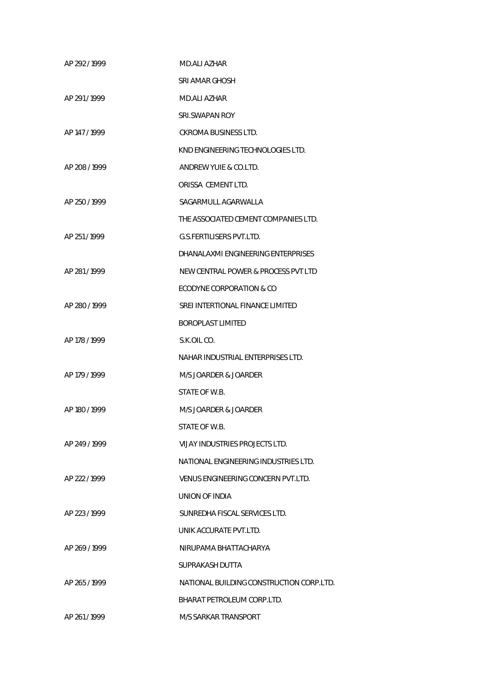| AP 292/1999   | MD.ALI AZHAR                             |
|---------------|------------------------------------------|
|               | SRI AMAR GHOSH                           |
| AP 291/1999   | MD.ALI AZHAR                             |
|               | SRLSWAPAN ROY                            |
| AP 147 / 1999 | CKROMA BUSINESS LTD.                     |
|               | KND ENGINEERING TECHNOLOGIES LTD.        |
| AP 208/1999   | ANDREW YUIE & CO.LTD.                    |
|               | ORISSA CEMENT LTD.                       |
| AP 250 / 1999 | SAGARMULL AGARWALLA                      |
|               | THE ASSOCIATED CEMENT COMPANIES LTD.     |
| AP 251/1999   | <b>G.S.FERTILISERS PVT.LTD.</b>          |
|               | DHANALAXMI ENGINEERING ENTERPRISES       |
| AP 281/1999   | NEW CENTRAL POWER & PROCESS PVT LTD      |
|               | ECODYNE CORPORATION & CO                 |
| AP 280 / 1999 | SREI INTERTIONAL FINANCE LIMITED         |
|               | <b>BOROPLAST LIMITED</b>                 |
| AP 178 / 1999 | S.K.OIL CO.                              |
|               | NAHAR INDUSTRIAL ENTERPRISES LTD.        |
| AP 179 / 1999 | M/S JOARDER & JOARDER                    |
|               | STATE OF W.B.                            |
| AP 180 / 1999 | M/S JOARDER & JOARDER                    |
|               | STATE OF W.B.                            |
| AP 249 / 1999 | VIJAY INDUSTRIES PROJECTS LTD.           |
|               | NATIONAL ENGINEERING INDUSTRIES LTD.     |
| AP 222 / 1999 | VENUS ENGINEERING CONCERN PVT.LTD.       |
|               | UNION OF INDIA                           |
| AP 223 / 1999 | SUNREDHA FISCAL SERVICES LTD.            |
|               | UNIK ACCURATE PVT.LTD.                   |
| AP 269/1999   | NIRUPAMA BHATTACHARYA                    |
|               | SUPRAKASH DUTTA                          |
| AP 265/1999   | NATIONAL BUILDING CONSTRUCTION CORP.LTD. |
|               | BHARAT PETROLEUM CORP.LTD.               |
| AP 261/1999   | M/S SARKAR TRANSPORT                     |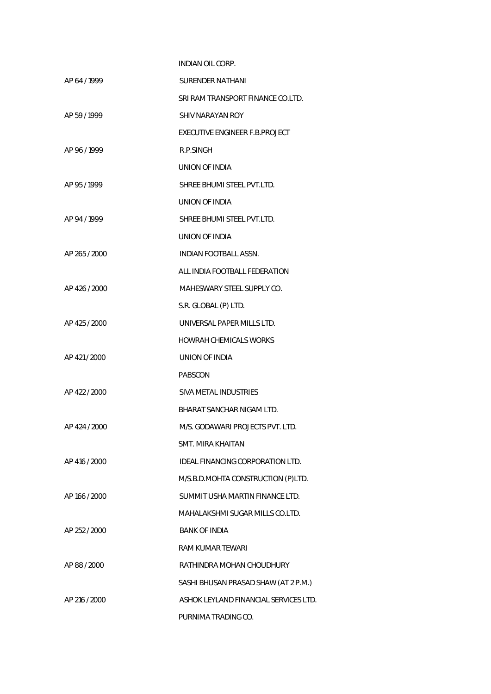|               | INDIAN OIL CORP.                        |
|---------------|-----------------------------------------|
| AP 64 / 1999  | <b>SURENDER NATHANI</b>                 |
|               | SRI RAM TRANSPORT FINANCE CO.LTD.       |
| AP 59 / 1999  | SHIV NARAYAN ROY                        |
|               | EXECUTIVE ENGINEER F.B.PROJECT          |
| AP 96/1999    | R.P.SINGH                               |
|               | UNION OF INDIA                          |
| AP 95/1999    | SHREE BHUMI STEEL PVT.LTD.              |
|               | UNION OF INDIA                          |
| AP 94 / 1999  | SHREE BHUMI STEEL PVT.LTD.              |
|               | UNION OF INDIA                          |
| AP 265 / 2000 | INDIAN FOOTBALL ASSN.                   |
|               | ALL INDIA FOOTBALL FEDERATION           |
| AP 426 / 2000 | MAHESWARY STEEL SUPPLY CO.              |
|               | S.R. GLOBAL (P) LTD.                    |
| AP 425 / 2000 | UNIVERSAL PAPER MILLS LTD.              |
|               | HOWRAH CHEMICALS WORKS                  |
| AP 421/2000   | UNION OF INDIA                          |
|               | PABSCON                                 |
| AP 422 / 2000 | SIVA METAL INDUSTRIES                   |
|               | BHARAT SANCHAR NIGAM LTD.               |
| AP 424 / 2000 | M/S. GODAWARI PROJECTS PVT. LTD.        |
|               | SMT. MIRA KHAITAN                       |
| AP 416 / 2000 | <b>IDEAL FINANCING CORPORATION LTD.</b> |
|               | M/S.B.D.MOHTA CONSTRUCTION (P)LTD.      |
| AP 166 / 2000 | SUMMIT USHA MARTIN FINANCE LTD.         |
|               | MAHALAKSHMI SUGAR MILLS CO.LTD.         |
| AP 252 / 2000 | <b>BANK OF INDIA</b>                    |
|               | RAM KUMAR TEWARI                        |
| AP 88 / 2000  | RATHINDRA MOHAN CHOUDHURY               |
|               | SASHI BHUSAN PRASAD SHAW (AT 2 P.M.)    |
| AP 216 / 2000 | ASHOK LEYLAND FINANCIAL SERVICES LTD.   |
|               | PURNIMA TRADING CO.                     |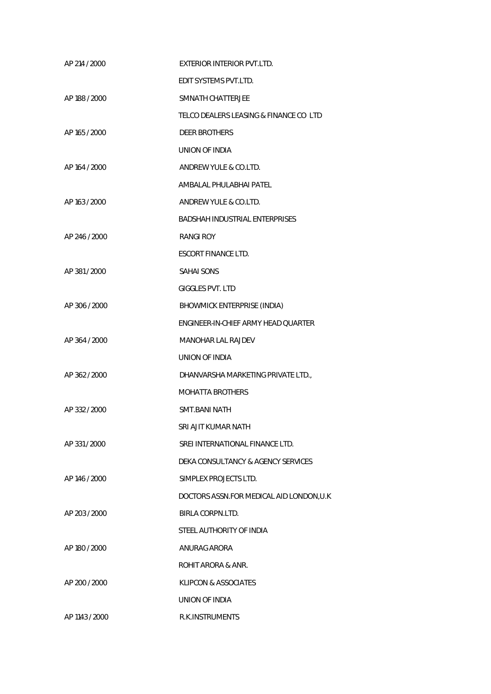| AP 214 / 2000  | EXTERIOR INTERIOR PVT.LTD.                |
|----------------|-------------------------------------------|
|                | EDIT SYSTEMS PVT.LTD.                     |
| AP 188 / 2000  | SMNATH CHATTERJEE                         |
|                | TELCO DEALERS LEASING & FINANCE CO LTD    |
| AP 165 / 2000  | <b>DEER BROTHERS</b>                      |
|                | UNION OF INDIA                            |
| AP 164 / 2000  | ANDREW YULE & CO.LTD.                     |
|                | AMBALAL PHULABHAI PATEL                   |
| AP 163 / 2000  | ANDREW YULE & CO.LTD.                     |
|                | <b>BADSHAH INDUSTRIAL ENTERPRISES</b>     |
| AP 246 / 2000  | RANGI ROY                                 |
|                | <b>ESCORT FINANCE LTD.</b>                |
| AP 381/2000    | SAHAI SONS                                |
|                | <b>GIGGLES PVT. LTD</b>                   |
| AP 306 / 2000  | BHOWMICK ENTERPRISE (INDIA)               |
|                | ENGINEER-IN-CHIEF ARMY HEAD QUARTER       |
| AP 364 / 2000  | <b>MANOHAR LAL RAJDEV</b>                 |
|                | UNION OF INDIA                            |
| AP 362 / 2000  | DHANVARSHA MARKETING PRIVATE LTD.,        |
|                | <b>MOHATTA BROTHERS</b>                   |
| AP 332 / 2000  | <b>SMT.BANI NATH</b>                      |
|                | SRI AJIT KUMAR NATH                       |
| AP 331 / 2000  | SREI INTERNATIONAL FINANCE LTD.           |
|                | DEKA CONSULTANCY & AGENCY SERVICES        |
| AP 146 / 2000  | SIMPLEX PROJECTS LTD.                     |
|                | DOCTORS ASSN.FOR MEDICAL AID LONDON, U.K. |
| AP 203 / 2000  | <b>BIRLA CORPN.LTD.</b>                   |
|                | STEEL AUTHORITY OF INDIA                  |
| AP 180 / 2000  | ANURAG ARORA                              |
|                | ROHIT ARORA & ANR.                        |
| AP 200 / 2000  | KLIPCON & ASSOCIATES                      |
|                | UNION OF INDIA                            |
| AP 1143 / 2000 | <b>R.K.INSTRUMENTS</b>                    |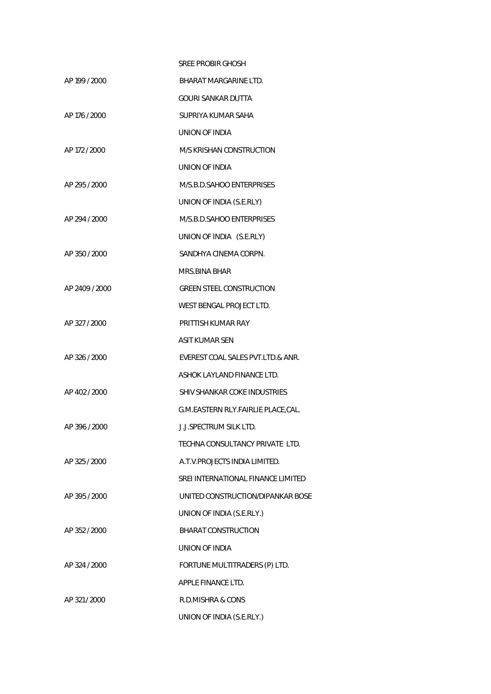|                | SREE PROBIR GHOSH                  |
|----------------|------------------------------------|
| AP 199 / 2000  | BHARAT MARGARINE LTD.              |
|                | GOURI SANKAR DUTTA                 |
| AP 176 / 2000  | SUPRIYA KUMAR SAHA                 |
|                | UNION OF INDIA                     |
| AP 172 / 2000  | M/S KRISHAN CONSTRUCTION           |
|                | UNION OF INDIA                     |
| AP 295 / 2000  | M/S.B.D.SAHOO ENTERPRISES          |
|                | UNION OF INDIA (S.E.RLY)           |
| AP 294 / 2000  | M/S.B.D.SAHOO ENTERPRISES          |
|                | UNION OF INDIA (S.E.RLY)           |
| AP 350 / 2000  | SANDHYA CINEMA CORPN.              |
|                | MRS.BINA BHAR                      |
| AP 2409 / 2000 | <b>GREEN STEEL CONSTRUCTION</b>    |
|                | WEST BENGAL PROJECT LTD.           |
| AP 327 / 2000  | PRITTISH KUMAR RAY                 |
|                | <b>ASIT KUMAR SEN</b>              |
| AP 326 / 2000  | EVEREST COAL SALES PVT.LTD.& ANR.  |
|                | ASHOK LAYLAND FINANCE LTD.         |
| AP 402 / 2000  | SHIV SHANKAR COKE INDUSTRIES       |
|                | G.M.EASTERN RLY.FAIRLIE PLACE,CAL. |
| AP 396 / 2000  | <b>J.J.SPECTRUM SILK LTD.</b>      |
|                | TECHNA CONSULTANCY PRIVATE LTD.    |
| AP 325 / 2000  | A.T.V. PROJECTS INDIA LIMITED.     |
|                | SREI INTERNATIONAL FINANCE LIMITED |
| AP 395 / 2000  | UNITED CONSTRUCTION/DIPANKAR BOSE  |
|                | UNION OF INDIA (S.E.RLY.)          |
| AP 352 / 2000  | <b>BHARAT CONSTRUCTION</b>         |
|                | UNION OF INDIA                     |
| AP 324 / 2000  | FORTUNE MULTITRADERS (P) LTD.      |
|                | APPLE FINANCE LTD.                 |
| AP 321/2000    | R.D.MISHRA & CONS                  |
|                | UNION OF INDIA (S.E.RLY.)          |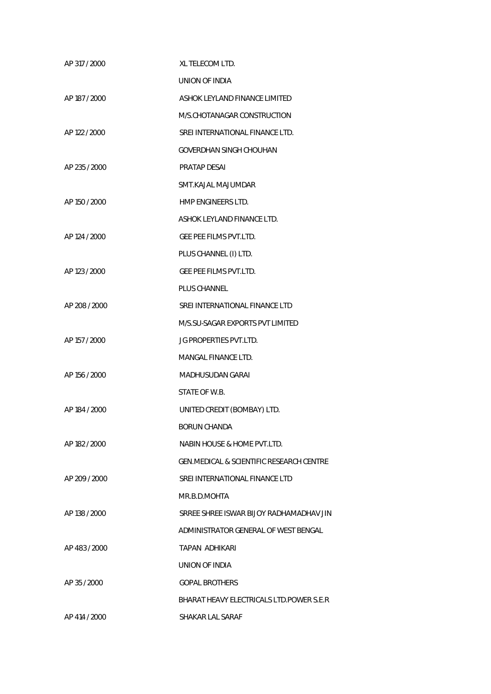| AP 317 / 2000 | XL TELECOM LTD.                                     |
|---------------|-----------------------------------------------------|
|               | UNION OF INDIA                                      |
| AP 187 / 2000 | ASHOK LEYLAND FINANCE LIMITED                       |
|               | M/S.CHOTANAGAR CONSTRUCTION                         |
| AP 122 / 2000 | SREI INTERNATIONAL FINANCE LTD.                     |
|               | <b>GOVERDHAN SINGH CHOUHAN</b>                      |
| AP 235 / 2000 | <b>PRATAP DESAI</b>                                 |
|               | SMT.KAJAL MAJUMDAR                                  |
| AP 150 / 2000 | HMP ENGINEERS LTD.                                  |
|               | ASHOK LEYLAND FINANCE LTD.                          |
| AP 124 / 2000 | <b>GEE PEE FILMS PVT.LTD.</b>                       |
|               | PLUS CHANNEL (I) LTD.                               |
| AP 123 / 2000 | GEE PEE FILMS PVT.LTD.                              |
|               | <b>PLUS CHANNEL</b>                                 |
| AP 208 / 2000 | SREI INTERNATIONAL FINANCE LTD                      |
|               | M/S.SU-SAGAR EXPORTS PVT LIMITED                    |
| AP 157 / 2000 | JG PROPERTIES PVT.LTD.                              |
|               | MANGAL FINANCE LTD.                                 |
| AP 156 / 2000 | <b>MADHUSUDAN GARAI</b>                             |
|               | STATE OF W.B.                                       |
| AP 184 / 2000 | UNITED CREDIT (BOMBAY) LTD.                         |
|               | <b>BORUN CHANDA</b>                                 |
| AP 182 / 2000 | NABIN HOUSE & HOME PVT.LTD.                         |
|               | <b>GEN.MEDICAL &amp; SCIENTIFIC RESEARCH CENTRE</b> |
| AP 209 / 2000 | SREI INTERNATIONAL FINANCE LTD                      |
|               | MR.B.D.MOHTA                                        |
| AP 138 / 2000 | SRREE SHREE ISWAR BIJOY RADHAMADHAV JIN             |
|               | ADMINISTRATOR GENERAL OF WEST BENGAL                |
| AP 483/2000   | TAPAN ADHIKARI                                      |
|               | UNION OF INDIA                                      |
| AP 35 / 2000  | <b>GOPAL BROTHERS</b>                               |
|               | BHARAT HEAVY ELECTRICALS LTD.POWER S.E.R            |
| AP 414 / 2000 | SHAKAR LAL SARAF                                    |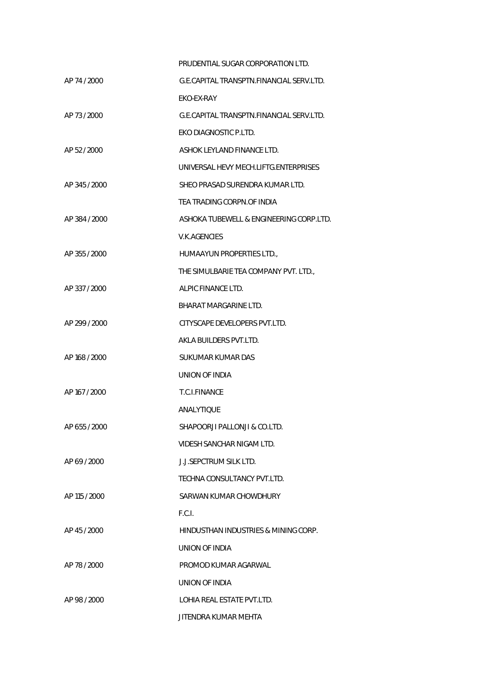|               | PRUDENTIAL SUGAR CORPORATION LTD.        |
|---------------|------------------------------------------|
| AP 74 / 2000  | G.E.CAPITAL TRANSPTN.FINANCIAL SERV.LTD. |
|               | EKO-EX-RAY                               |
| AP 73/2000    | G.E.CAPITAL TRANSPTN.FINANCIAL SERV.LTD. |
|               | EKO DIAGNOSTIC P.LTD.                    |
| AP 52 / 2000  | ASHOK LEYLAND FINANCE LTD.               |
|               | UNIVERSAL HEVY MECH.LIFTG.ENTERPRISES    |
| AP 345 / 2000 | SHEO PRASAD SURENDRA KUMAR LTD.          |
|               | TEA TRADING CORPN.OF INDIA               |
| AP 384 / 2000 | ASHOKA TUBEWELL & ENGINEERING CORP.LTD.  |
|               | V.K.AGENCIES                             |
| AP 355 / 2000 | HUMAAYUN PROPERTIES LTD.,                |
|               | THE SIMULBARIE TEA COMPANY PVT. LTD.,    |
| AP 337 / 2000 | ALPIC FINANCE LTD.                       |
|               | <b>BHARAT MARGARINE LTD.</b>             |
| AP 299 / 2000 | CITYSCAPE DEVELOPERS PVT.LTD.            |
|               | AKLA BUILDERS PVT.LTD.                   |
| AP 168 / 2000 | SUKUMAR KUMAR DAS                        |
|               | UNION OF INDIA                           |
| AP 167 / 2000 | T.C.I.FINANCE                            |
|               | ANALYTIQUE                               |
| AP 655/2000   | SHAPOORJI PALLONJI & CO.LTD.             |
|               | VIDESH SANCHAR NIGAM LTD.                |
| AP 69 / 2000  | <b>J.J.SEPCTRUM SILK LTD.</b>            |
|               | TECHNA CONSULTANCY PVT.LTD.              |
| AP 115 / 2000 | SARWAN KUMAR CHOWDHURY                   |
|               | F.C.I.                                   |
| AP 45 / 2000  | HINDUSTHAN INDUSTRIES & MINING CORP.     |
|               | UNION OF INDIA                           |
| AP 78 / 2000  | PROMOD KUMAR AGARWAL                     |
|               | UNION OF INDIA                           |
| AP 98 / 2000  | LOHIA REAL ESTATE PVT.LTD.               |
|               | JITENDRA KUMAR MEHTA                     |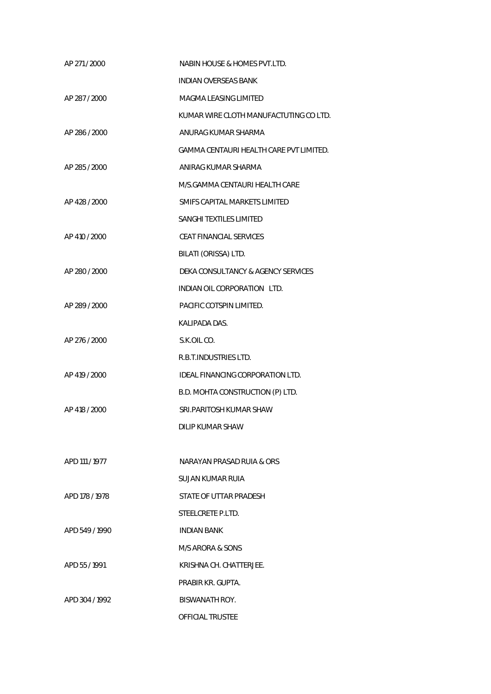| AP 271 / 2000  | NABIN HOUSE & HOMES PVT.LTD.            |
|----------------|-----------------------------------------|
|                | <b>INDIAN OVERSEAS BANK</b>             |
| AP 287 / 2000  | MAGMA LEASING LIMITED                   |
|                | KUMAR WIRE CLOTH MANUFACTUTING CO LTD.  |
| AP 286 / 2000  | ANURAG KUMAR SHARMA                     |
|                | GAMMA CENTAURI HEALTH CARE PVT LIMITED. |
| AP 285 / 2000  | ANIRAG KUMAR SHARMA                     |
|                | M/S.GAMMA CENTAURI HEALTH CARE          |
| AP 428 / 2000  | SMIFS CAPITAL MARKETS LIMITED           |
|                | SANGHI TEXTILES LIMITED                 |
| AP 410 / 2000  | <b>CEAT FINANCIAL SERVICES</b>          |
|                | BILATI (ORISSA) LTD.                    |
| AP 280 / 2000  | DEKA CONSULTANCY & AGENCY SERVICES      |
|                | INDIAN OIL CORPORATION LTD.             |
| AP 289 / 2000  | PACIFIC COTSPIN LIMITED.                |
|                | KALIPADA DAS.                           |
| AP 276 / 2000  | S.K.OIL CO.                             |
|                | R.B.T.INDUSTRIES LTD.                   |
| AP 419 / 2000  | IDEAL FINANCING CORPORATION LTD.        |
|                | B.D. MOHTA CONSTRUCTION (P) LTD.        |
| AP 418 / 2000  | SRI. PARITOSH KUMAR SHAW                |
|                | DILIP KUMAR SHAW                        |
|                |                                         |
| APD 111 / 1977 | NARAYAN PRASAD RUIA & ORS               |
|                | SUJAN KUMAR RUIA                        |
| APD 178 / 1978 | STATE OF UTTAR PRADESH                  |
|                | STEELCRETE P.LTD.                       |
| APD 549 / 1990 | <b>INDIAN BANK</b>                      |
|                | M/S ARORA & SONS                        |
| APD 55/1991    | KRISHNA CH. CHATTERJEE.                 |
|                | PRABIR KR. GUPTA.                       |
| APD 304 / 1992 | BISWANATH ROY.                          |
|                | OFFICIAL TRUSTEE                        |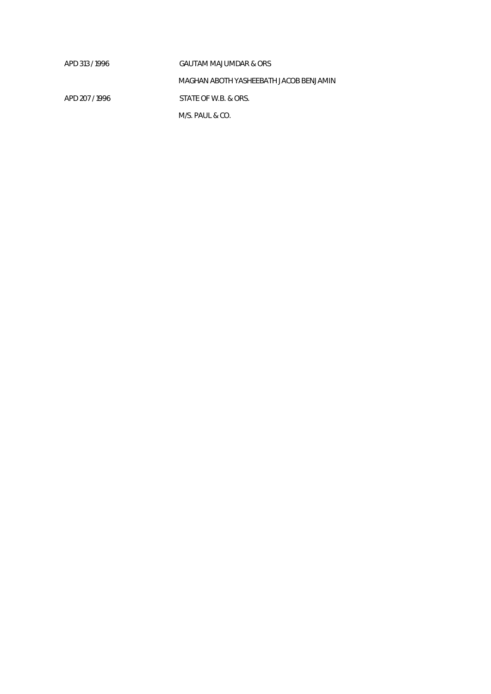| APD 313/1996   | GAUTAM MAJUMDAR & ORS                  |
|----------------|----------------------------------------|
|                | MAGHAN ABOTH YASHEEBATH JACOB BENJAMIN |
| APD 207 / 1996 | STATE OF W.B. & ORS.                   |
|                | M/S. PAUL & CO.                        |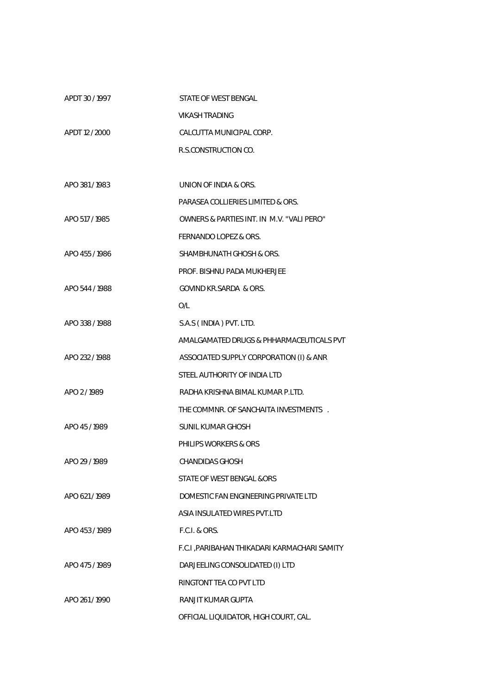| APDT 30/1997   | STATE OF WEST BENGAL                          |
|----------------|-----------------------------------------------|
|                | <b>VIKASH TRADING</b>                         |
| APDT 12 / 2000 | CALCUTTA MUNICIPAL CORP.                      |
|                | R.S.CONSTRUCTION CO.                          |
|                |                                               |
| APO 381/1983   | UNION OF INDIA & ORS.                         |
|                | PARASEA COLLIERIES LIMITED & ORS.             |
| APO 517 / 1985 | OWNERS & PARTIES INT. IN M.V. "VALI PERO"     |
|                | FERNANDO LOPEZ & ORS.                         |
| APO 455/1986   | SHAMBHUNATH GHOSH & ORS.                      |
|                | PROF. BISHNU PADA MUKHERJEE                   |
| APO 544 / 1988 | <b>GOVIND KR.SARDA &amp; ORS.</b>             |
|                | O/L                                           |
| APO 338 / 1988 | S.A.S (INDIA) PVT. LTD.                       |
|                | AMALGAMATED DRUGS & PHHARMACEUTICALS PVT      |
| APO 232 / 1988 | ASSOCIATED SUPPLY CORPORATION (I) & ANR       |
|                | STEEL AUTHORITY OF INDIA LTD                  |
| APO 2/1989     | RADHA KRISHNA BIMAL KUMAR P.LTD.              |
|                | THE COMMNR. OF SANCHAITA INVESTMENTS.         |
| APO 45/1989    | SUNIL KUMAR GHOSH                             |
|                | PHILIPS WORKERS & ORS                         |
| APO 29 / 1989  | <b>CHANDIDAS GHOSH</b>                        |
|                | STATE OF WEST BENGAL &ORS                     |
| APO 621/1989   | DOMESTIC FAN ENGINEERING PRIVATE LTD          |
|                | ASIA INSULATED WIRES PVT.LTD                  |
| APO 453/1989   | <b>F.C.I. &amp; ORS.</b>                      |
|                | F.C.I , PARIBAHAN THIKADARI KARMACHARI SAMITY |
| APO 475/1989   | DARJEELING CONSOLIDATED (I) LTD               |
|                | RINGTONT TEA CO PVT LTD                       |
| APO 261/1990   | RANJIT KUMAR GUPTA                            |
|                | OFFICIAL LIQUIDATOR, HIGH COURT, CAL.         |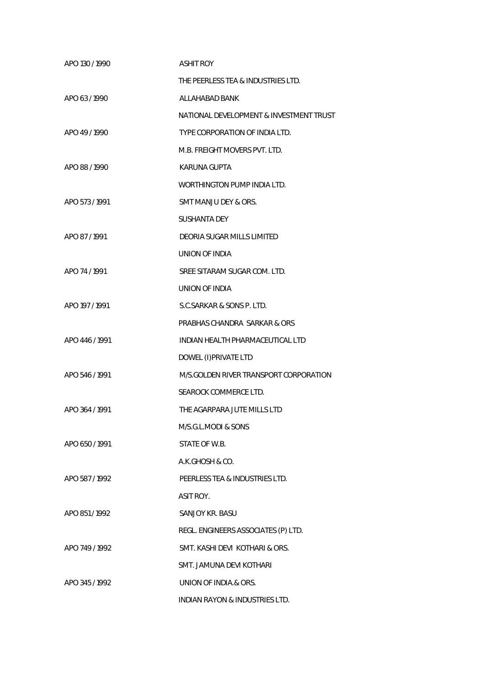| APO 130 / 1990 | <b>ASHIT ROY</b>                        |
|----------------|-----------------------------------------|
|                | THE PEERLESS TEA & INDUSTRIES LTD.      |
| APO 63 / 1990  | ALLAHABAD BANK                          |
|                | NATIONAL DEVELOPMENT & INVESTMENT TRUST |
| APO 49/1990    | TYPE CORPORATION OF INDIA LTD.          |
|                | M.B. FREIGHT MOVERS PVT. LTD.           |
| APO 88 / 1990  | KARUNA GUPTA                            |
|                | WORTHINGTON PUMP INDIA LTD.             |
| APO 573 / 1991 | SMT MANJU DEY & ORS.                    |
|                | <b>SUSHANTA DEY</b>                     |
| APO 87/1991    | DEORIA SUGAR MILLS LIMITED              |
|                | UNION OF INDIA                          |
| APO 74/1991    | SREE SITARAM SUGAR COM. LTD.            |
|                | UNION OF INDIA                          |
| APO 197 / 1991 | S.C. SARKAR & SONS P. LTD.              |
|                | PRABHAS CHANDRA SARKAR & ORS            |
| APO 446 / 1991 | INDIAN HEALTH PHARMACEUTICAL LTD        |
|                | DOWEL (I) PRIVATE LTD                   |
| APO 546 / 1991 | M/S.GOLDEN RIVER TRANSPORT CORPORATION  |
|                | SEAROCK COMMERCE LTD.                   |
| APO 364 / 1991 | THE AGARPARA JUTE MILLS LTD             |
|                | M/S.G.L.MODI & SONS                     |
| APO 650 / 1991 | STATE OF W.B.                           |
|                | A.K.GHOSH & CO.                         |
| APO 587 / 1992 | PEERLESS TEA & INDUSTRIES LTD.          |
|                | ASIT ROY.                               |
| APO 851/1992   | SANJOY KR. BASU                         |
|                | REGL. ENGINEERS ASSOCIATES (P) LTD.     |
| APO 749 / 1992 | SMT. KASHI DEVI KOTHARI & ORS.          |
|                | SMT. JAMUNA DEVI KOTHARI                |
| APO 345 / 1992 | UNION OF INDIA.& ORS.                   |
|                | INDIAN RAYON & INDUSTRIES LTD.          |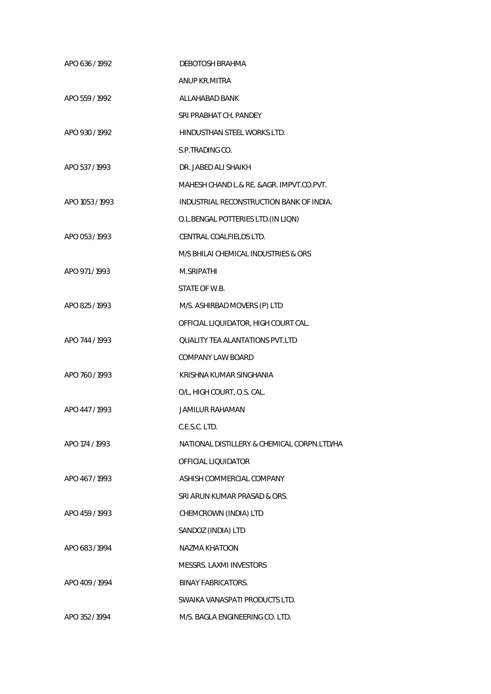| APO 636 / 1992  | <b>DEBOTOSH BRAHMA</b>                      |
|-----------------|---------------------------------------------|
|                 | ANUP KR.MITRA                               |
| APO 559 / 1992  | ALLAHABAD BANK                              |
|                 | SRI PRABHAT CH. PANDEY                      |
| APO 930 / 1992  | HINDUSTHAN STEEL WORKS LTD.                 |
|                 | S.P.TRADING CO.                             |
| APO 537/1993    | DR. JABED ALI SHAIKH                        |
|                 | MAHESH CHAND L.& RE. &AGR. IMPVT.CO.PVT.    |
| APO 1053 / 1993 | INDUSTRIAL RECONSTRUCTION BANK OF INDIA.    |
|                 | O.L.BENGAL POTTERIES LTD. (IN LIQN)         |
| APO 053 / 1993  | CENTRAL COALFIELDS LTD.                     |
|                 | M/S BHILAI CHEMICAL INDUSTRIES & ORS        |
| APO 971/1993    | M.SRIPATHI                                  |
|                 | STATE OF W.B.                               |
| APO 825 / 1993  | M/S. ASHIRBAD MOVERS (P) LTD                |
|                 | OFFICIAL LIQUIDATOR, HIGH COURT CAL.        |
| APO 744 / 1993  | <b>QUALITY TEA ALANTATIONS PVT.LTD</b>      |
|                 | <b>COMPANY LAW BOARD</b>                    |
| APO 760 / 1993  | KRISHNA KUMAR SINGHANIA                     |
|                 | O/L, HIGH COURT, O.S. CAL.                  |
| APO 447/1993    | <b>JAMILUR RAHAMAN</b>                      |
|                 | C.E.S.C. LTD.                               |
| APO 174 / 1993  | NATIONAL DISTILLERY & CHEMICAL CORPN.LTD/HA |
|                 | OFFICIAL LIQUIDATOR                         |
| APO 467/1993    | ASHISH COMMERCIAL COMPANY                   |
|                 | SRI ARUN KUMAR PRASAD & ORS.                |
| APO 459 / 1993  | CHEMCROWN (INDIA) LTD                       |
|                 | SANDOZ (INDIA) LTD                          |
| APO 683/1994    | NAZMA KHATOON                               |
|                 | MESSRS. LAXMI INVESTORS                     |
| APO 409 / 1994  | BINAY FABRICATORS.                          |
|                 | SWAIKA VANASPATI PRODUCTS LTD.              |
| APO 352 / 1994  | M/S. BAGLA ENGINEERING CO. LTD.             |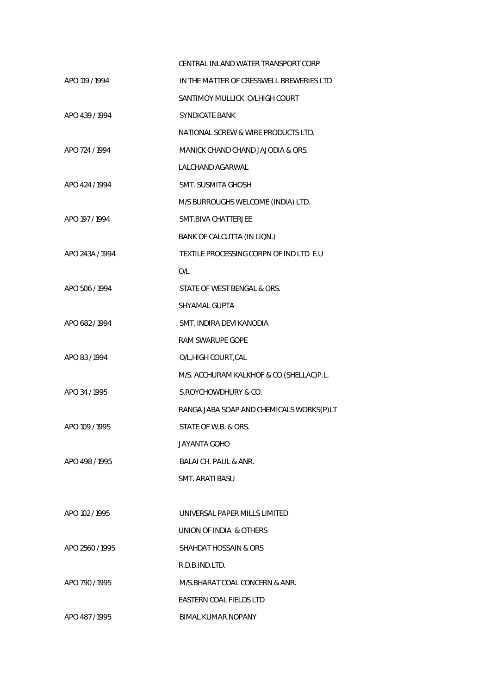|                 | CENTRAL INLAND WATER TRANSPORT CORP      |
|-----------------|------------------------------------------|
| APO 119 / 1994  | IN THE MATTER OF CRESSWELL BREWERIES LTD |
|                 | SANTIMOY MULLICK O/LHIGH COURT           |
| APO 439 / 1994  | <b>SYNDICATE BANK</b>                    |
|                 | NATIONAL SCREW & WIRE PRODUCTS LTD.      |
| APO 724 / 1994  | MANICK CHAND CHAND JAJODIA & ORS.        |
|                 | LALCHAND AGARWAL                         |
| APO 424 / 1994  | <b>SMT. SUSMITA GHOSH</b>                |
|                 | M/S BURROUGHS WELCOME (INDIA) LTD.       |
| APO 197 / 1994  | <b>SMT.BIVA CHATTERJEE</b>               |
|                 | BANK OF CALCUTTA (IN LIQN.)              |
| APO 243A / 1994 | TEXTILE PROCESSING CORPN OF IND LTD E.U  |
|                 | O/L                                      |
| APO 506 / 1994  | STATE OF WEST BENGAL & ORS.              |
|                 | SHYAMAL GUPTA                            |
| APO 682 / 1994  | SMT. INDIRA DEVI KANODIA                 |
|                 | RAM SWARUPE GOPE                         |
| APO 83/1994     | O/L, HIGH COURT, CAL                     |
|                 | M/S. ACCHURAM KALKHOF & CO.(SHELLAC)P.L. |
| APO 34 / 1995   | S. ROYCHOWDHURY & CO.                    |
|                 | RANGA JABA SOAP AND CHEMICALS WORKS(P)LT |
| APO 109 / 1995  | STATE OF W.B. & ORS.                     |
|                 | JAYANTA GOHO                             |
| APO 498/1995    | BALAI CH. PAUL & ANR.                    |
|                 | SMT. ARATI BASU                          |
|                 |                                          |
| APO 102 / 1995  | UNIVERSAL PAPER MILLS LIMITED            |
|                 | UNION OF INDIA & OTHERS                  |
| APO 2560 / 1995 | SHAHDAT HOSSAIN & ORS                    |
|                 | R.D.B.IND.LTD.                           |
| APO 790 / 1995  | M/S.BHARAT COAL CONCERN & ANR.           |
|                 | EASTERN COAL FIELDS LTD                  |
| APO 487/1995    | BIMAL KUMAR NOPANY                       |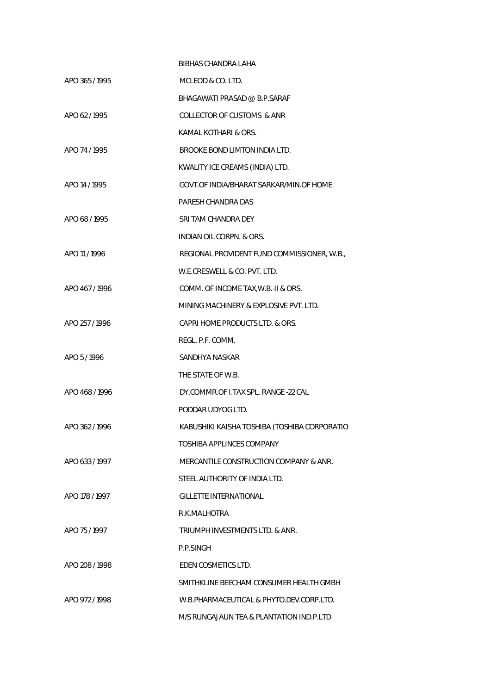|                | BIBHAS CHANDRA LAHA                          |
|----------------|----------------------------------------------|
| APO 365/1995   | MCLEOD & CO. LTD.                            |
|                | BHAGAWATI PRASAD @ B.P.SARAF                 |
| APO 62/1995    | COLLECTOR OF CUSTOMS & ANR                   |
|                | KAMAL KOTHARI & ORS.                         |
| APO 74/1995    | BROOKE BOND LIMTON INDIA LTD.                |
|                | KWALITY ICE CREAMS (INDIA) LTD.              |
| APO 14 / 1995  | GOVT.OF INDIA/BHARAT SARKAR/MIN.OF HOME      |
|                | PARESH CHANDRA DAS                           |
| APO 68 / 1995  | SRI TAM CHANDRA DEY                          |
|                | <b>INDIAN OIL CORPN. &amp; ORS.</b>          |
| APO 11/1996    | REGIONAL PROVIDENT FUND COMMISSIONER, W.B.,  |
|                | W.E.CRESWELL & CO. PVT. LTD.                 |
| APO 467/1996   | COMM. OF INCOME TAX, W.B.-II & ORS.          |
|                | MINING MACHINERY & EXPLOSIVE PVT. LTD.       |
| APO 257 / 1996 | CAPRI HOME PRODUCTS LTD. & ORS.              |
|                | REGL. P.F. COMM.                             |
| APO 5/1996     | SANDHYA NASKAR                               |
|                | THE STATE OF W.B.                            |
| APO 468/1996   | DY.COMMR.OF LTAX SPL. RANGE -22 CAL          |
|                | PODDAR UDYOG LTD.                            |
| APO 362 / 1996 | KABUSHIKI KAISHA TOSHIBA (TOSHIBA CORPORATIO |
|                | TOSHIBA APPLINCES COMPANY                    |
| APO 633/1997   | MERCANTILE CONSTRUCTION COMPANY & ANR.       |
|                | STEEL AUTHORITY OF INDIA LTD.                |
| APO 178 / 1997 | <b>GILLETTE INTERNATIONAL</b>                |
|                | R.K.MALHOTRA                                 |
| APO 75/1997    | TRIUMPH INVESTMENTS LTD. & ANR.              |
|                | P.P.SINGH                                    |
| APO 208 / 1998 | EDEN COSMETICS LTD.                          |
|                | SMITHKLINE BEECHAM CONSUMER HEALTH GMBH      |
| APO 972 / 1998 | W.B.PHARMACEUTICAL & PHYTO.DEV.CORP.LTD.     |
|                | M/S RUNGAJAUN TEA & PLANTATION IND.P.LTD     |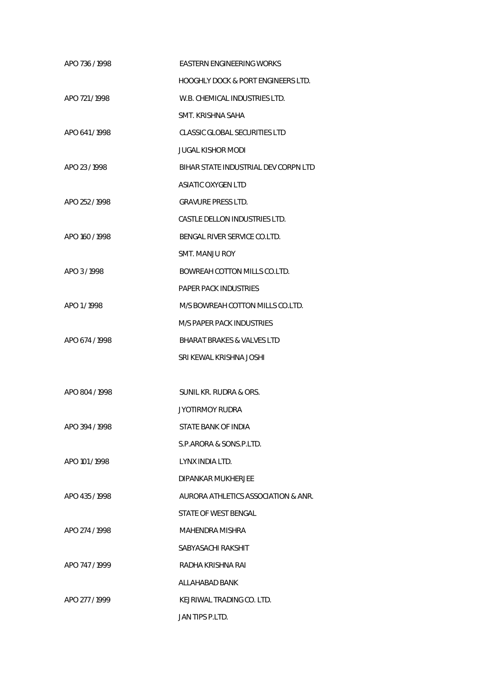| APO 736 / 1998 | EASTERN ENGINEERING WORKS                     |
|----------------|-----------------------------------------------|
|                | <b>HOOGHLY DOCK &amp; PORT ENGINEERS LTD.</b> |
| APO 721/1998   | W.B. CHEMICAL INDUSTRIES LTD.                 |
|                | SMT. KRISHNA SAHA                             |
| APO 641/1998   | CLASSIC GLOBAL SECURITIES LTD                 |
|                | <b>JUGAL KISHOR MODI</b>                      |
| APO 23/1998    | BIHAR STATE INDUSTRIAL DEV CORPN LTD          |
|                | <b>ASIATIC OXYGEN LTD</b>                     |
| APO 252 / 1998 | <b>GRAVURE PRESS LTD.</b>                     |
|                | CASTLE DELLON INDUSTRIES LTD.                 |
| APO 160 / 1998 | BENGAL RIVER SERVICE CO.LTD.                  |
|                | SMT. MANJU ROY                                |
| APO 3/1998     | BOWREAH COTTON MILLS CO.LTD.                  |
|                | PAPER PACK INDUSTRIES                         |
| APO 1/1998     | M/S BOWREAH COTTON MILLS CO.LTD.              |
|                | M/S PAPER PACK INDUSTRIES                     |
| APO 674 / 1998 | <b>BHARAT BRAKES &amp; VALVES LTD</b>         |
|                | SRI KEWAL KRISHNA JOSHI                       |
|                |                                               |
| APO 804 / 1998 | SUNIL KR. RUDRA & ORS.                        |
|                | JYOTIRMOY RUDRA                               |
| APO 394 / 1998 | STATE BANK OF INDIA                           |
|                | S.P.ARORA & SONS.P.LTD.                       |
| APO 101/1998   | LYNX INDIA LTD.                               |
|                | DIPANKAR MUKHERJEE                            |
| APO 435/1998   | AURORA ATHLETICS ASSOCIATION & ANR.           |
|                | STATE OF WEST BENGAL                          |
| APO 274 / 1998 | MAHENDRA MISHRA                               |
|                | SABYASACHI RAKSHIT                            |
| APO 747/1999   | RADHA KRISHNA RAI                             |
|                | ALLAHABAD BANK                                |
| APO 277 / 1999 | KEJRIWAL TRADING CO. LTD.                     |
|                | JAN TIPS P.LTD.                               |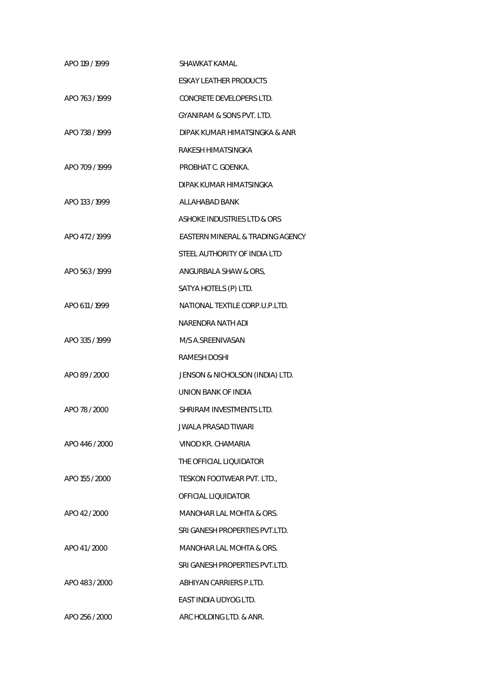| APO 119 / 1999 | SHAWKAT KAMAL                        |
|----------------|--------------------------------------|
|                | ESKAY LEATHER PRODUCTS               |
| APO 763/1999   | CONCRETE DEVELOPERS LTD.             |
|                | <b>GYANIRAM &amp; SONS PVT. LTD.</b> |
| APO 738 / 1999 | DIPAK KUMAR HIMATSINGKA & ANR        |
|                | RAKESH HIMATSINGKA                   |
| APO 709 / 1999 | PROBHAT C. GOENKA.                   |
|                | DIPAK KUMAR HIMATSINGKA              |
| APO 133 / 1999 | ALLAHABAD BANK                       |
|                | ASHOKE INDUSTRIES LTD & ORS          |
| APO 472 / 1999 | EASTERN MINERAL & TRADING AGENCY     |
|                | STEEL AUTHORITY OF INDIA LTD         |
| APO 563 / 1999 | ANGURBALA SHAW & ORS,                |
|                | SATYA HOTELS (P) LTD.                |
| APO 611 / 1999 | NATIONAL TEXTILE CORP.U.P.LTD.       |
|                | NARENDRA NATH ADI                    |
| APO 335/1999   | M/S A.SREENIVASAN                    |
|                | RAMESH DOSHI                         |
| APO 89 / 2000  | JENSON & NICHOLSON (INDIA) LTD.      |
|                | UNION BANK OF INDIA                  |
| APO 78 / 2000  | SHRIRAM INVESTMENTS LTD.             |
|                | <b>JWALA PRASAD TIWARI</b>           |
| APO 446 / 2000 | VINOD KR. CHAMARIA                   |
|                | THE OFFICIAL LIQUIDATOR              |
| APO 155 / 2000 | TESKON FOOTWEAR PVT. LTD.            |
|                | OFFICIAL LIOUIDATOR                  |
| APO 42 / 2000  | MANOHAR LAL MOHTA & ORS.             |
|                | SRI GANESH PROPERTIES PVT.LTD.       |
| APO 41/2000    | MANOHAR LAL MOHTA & ORS.             |
|                | SRI GANESH PROPERTIES PVT.LTD.       |
| APO 483 / 2000 | ABHIYAN CARRIERS P.LTD.              |
|                | EAST INDIA UDYOG LTD.                |
| APO 256 / 2000 | ARC HOLDING LTD. & ANR.              |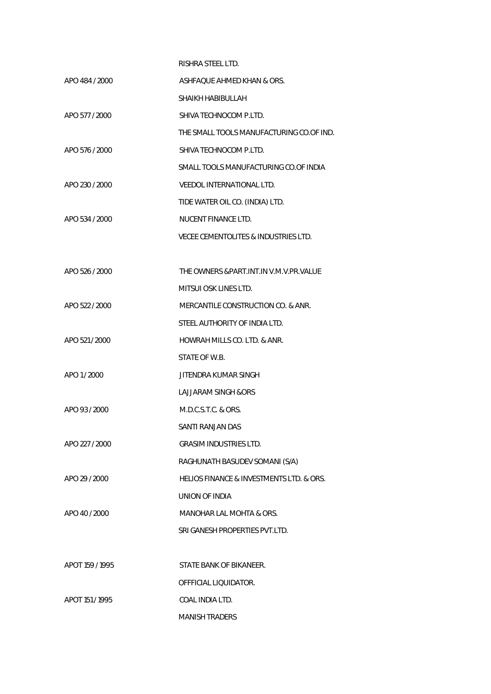|                 | RISHRA STEEL LTD.                               |
|-----------------|-------------------------------------------------|
| APO 484 / 2000  | ASHFAQUE AHMED KHAN & ORS.                      |
|                 | SHAIKH HABIBULLAH                               |
| APO 577 / 2000  | SHIVA TECHNOCOM P.LTD.                          |
|                 | THE SMALL TOOLS MANUFACTURING CO.OF IND.        |
| APO 576 / 2000  | SHIVA TECHNOCOM P.LTD.                          |
|                 | SMALL TOOLS MANUFACTURING CO.OF INDIA           |
| APO 230 / 2000  | VEEDOL INTERNATIONAL LTD.                       |
|                 | TIDE WATER OIL CO. (INDIA) LTD.                 |
| APO 534 / 2000  | NUCENT FINANCE LTD.                             |
|                 | <b>VECEE CEMENTOLITES &amp; INDUSTRIES LTD.</b> |
|                 |                                                 |
| APO 526 / 2000  | THE OWNERS &PART.INT.IN V.M.V.PR.VALUE          |
|                 | MITSUI OSK LINES LTD.                           |
| APO 522 / 2000  | MERCANTILE CONSTRUCTION CO. & ANR.              |
|                 | STEEL AUTHORITY OF INDIA LTD.                   |
| APO 521 / 2000  | HOWRAH MILLS CO. LTD. & ANR.                    |
|                 | STATE OF W.B.                                   |
| APO 1/2000      | JITENDRA KUMAR SINGH                            |
|                 | <b>LAJJARAM SINGH &amp;ORS</b>                  |
| APO 93 / 2000   | M.D.C.S.T.C. & ORS.                             |
|                 | SANTI RANJAN DAS                                |
| APO 227 / 2000  | <b>GRASIM INDUSTRIES LTD.</b>                   |
|                 | RAGHUNATH BASUDEV SOMANI (S/A)                  |
| APO 29 / 2000   | HELIOS FINANCE & INVESTMENTS LTD. & ORS.        |
|                 | UNION OF INDIA                                  |
| APO 40 / 2000   | MANOHAR LAL MOHTA & ORS.                        |
|                 | SRI GANESH PROPERTIES PVT.LTD.                  |
|                 |                                                 |
| APOT 159 / 1995 | STATE BANK OF BIKANEER.                         |
|                 | OFFFICIAL LIQUIDATOR.                           |
| APOT 151 / 1995 | COAL INDIA LTD.                                 |
|                 | <b>MANISH TRADERS</b>                           |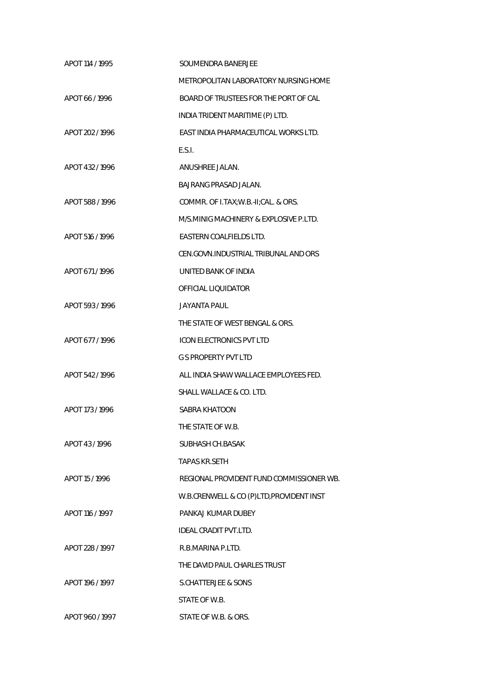| APOT 114 / 1995 | SOUMENDRA BANERJEE                       |
|-----------------|------------------------------------------|
|                 | METROPOLITAN LABORATORY NURSING HOME     |
| APOT 66/1996    | BOARD OF TRUSTEES FOR THE PORT OF CAL    |
|                 | INDIA TRIDENT MARITIME (P) LTD.          |
| APOT 202 / 1996 | EAST INDIA PHARMACEUTICAL WORKS LTD.     |
|                 | E.S.I.                                   |
| APOT 432/1996   | ANUSHREE JALAN.                          |
|                 | BAJRANG PRASAD JALAN.                    |
| APOT 588 / 1996 | COMMR. OF I.TAX; W.B.-II; CAL. & ORS.    |
|                 | M/S.MINIG MACHINERY & EXPLOSIVE P.LTD.   |
| APOT 516 / 1996 | EASTERN COALFIELDS LTD.                  |
|                 | CEN.GOVN.INDUSTRIAL TRIBUNAL AND ORS     |
| APOT 671/1996   | UNITED BANK OF INDIA                     |
|                 | OFFICIAL LIQUIDATOR                      |
| APOT 593/1996   | <b>JAYANTA PAUL</b>                      |
|                 | THE STATE OF WEST BENGAL & ORS.          |
| APOT 677 / 1996 | <b>ICON ELECTRONICS PVT LTD</b>          |
|                 | <b>G S PROPERTY PVT LTD</b>              |
| APOT 542/1996   | ALL INDIA SHAW WALLACE EMPLOYEES FED.    |
|                 | SHALL WALLACE & CO. LTD.                 |
| APOT 173 / 1996 | SABRA KHATOON                            |
|                 | THE STATE OF W.B.                        |
| APOT 43/1996    | SUBHASH CH BASAK                         |
|                 | <b>TAPAS KR.SETH</b>                     |
| APOT 15/1996    | REGIONAL PROVIDENT FUND COMMISSIONER WB. |
|                 | W.B.CRENWELL & CO (P)LTD, PROVIDENT INST |
| APOT 116 / 1997 | PANKAJ KUMAR DUBEY                       |
|                 | <b>IDEAL CRADIT PVT.LTD.</b>             |
| APOT 228 / 1997 | R.B.MARINA P.LTD.                        |
|                 | THE DAVID PAUL CHARLES TRUST             |
| APOT 196 / 1997 | <b>S.CHATTERJEE &amp; SONS</b>           |
|                 | STATE OF W.B.                            |
| APOT 960 / 1997 | STATE OF W.B. & ORS.                     |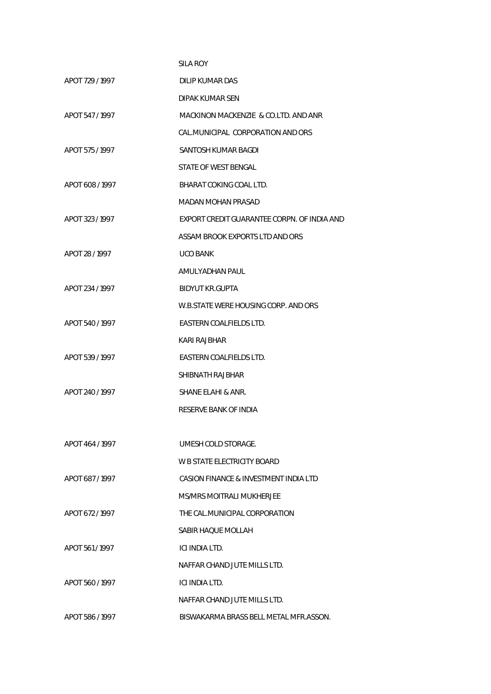|                 | <b>SILA ROY</b>                             |
|-----------------|---------------------------------------------|
| APOT 729 / 1997 | <b>DILIP KUMAR DAS</b>                      |
|                 | DIPAK KUMAR SEN                             |
| APOT 547 / 1997 | MACKINON MACKENZIE & CO.LTD. AND ANR        |
|                 | CAL MUNICIPAL CORPORATION AND ORS           |
| APOT 575 / 1997 | SANTOSH KUMAR BAGDI                         |
|                 | STATE OF WEST BENGAL                        |
| APOT 608 / 1997 | BHARAT COKING COAL LTD.                     |
|                 | MADAN MOHAN PRASAD                          |
| APOT 323 / 1997 | EXPORT CREDIT GUARANTEE CORPN. OF INDIA AND |
|                 | ASSAM BROOK EXPORTS LTD AND ORS             |
| APOT 28 / 1997  | <b>UCO BANK</b>                             |
|                 | AMULYADHAN PAUL                             |
| APOT 234 / 1997 | <b>BIDYUT KR.GUPTA</b>                      |
|                 | W.B.STATE WERE HOUSING CORP. AND ORS        |
| APOT 540 / 1997 | EASTERN COALFIELDS LTD.                     |
|                 | KARI RAJBHAR                                |
| APOT 539 / 1997 | EASTERN COALFIELDS LTD.                     |
|                 | SHIBNATH RAJBHAR                            |
| APOT 240 / 1997 | SHANE ELAHI & ANR.                          |
|                 | RESERVE BANK OF INDIA                       |
|                 |                                             |
| APOT 464 / 1997 | UMESH COLD STORAGE.                         |
|                 | W B STATE ELECTRICITY BOARD                 |
| APOT 687/1997   | CASION FINANCE & INVESTMENT INDIA LTD       |
|                 | MS/MRS MOITRALI MUKHERJEE                   |
| APOT 672 / 1997 | THE CAL MUNICIPAL CORPORATION               |
|                 | SABIR HAQUE MOLLAH                          |
| APOT 561/1997   | ICI INDIA LTD.                              |
|                 | NAFFAR CHAND JUTE MILLS LTD.                |
| APOT 560 / 1997 | ICI INDIA LTD.                              |
|                 | NAFFAR CHAND JUTE MILLS LTD.                |
| APOT 586 / 1997 | BISWAKARMA BRASS BELL METAL MFR.ASSON.      |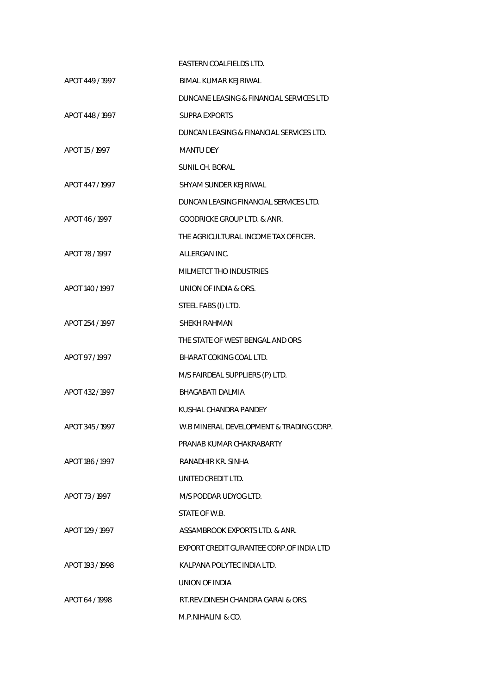|                 | EASTERN COALFIELDS LTD.                  |
|-----------------|------------------------------------------|
| APOT 449 / 1997 | <b>BIMAL KUMAR KEJRIWAL</b>              |
|                 | DUNCANE LEASING & FINANCIAL SERVICES LTD |
| APOT 448 / 1997 | SUPRA EXPORTS                            |
|                 | DUNCAN LEASING & FINANCIAL SERVICES LTD. |
| APOT 15 / 1997  | <b>MANTU DEY</b>                         |
|                 | SUNIL CH. BORAL                          |
| APOT 447/1997   | SHYAM SUNDER KEJRIWAL                    |
|                 | DUNCAN LEASING FINANCIAL SERVICES LTD.   |
| APOT 46/1997    | <b>GOODRICKE GROUP LTD. &amp; ANR.</b>   |
|                 | THE AGRICULTURAL INCOME TAX OFFICER.     |
| APOT 78 / 1997  | ALLERGAN INC.                            |
|                 | MILMETCT THO INDUSTRIES                  |
| APOT 140 / 1997 | UNION OF INDIA & ORS.                    |
|                 | STEEL FABS (I) LTD.                      |
| APOT 254 / 1997 | SHEKH RAHMAN                             |
|                 | THE STATE OF WEST BENGAL AND ORS         |
| APOT 97/1997    | BHARAT COKING COAL LTD.                  |
|                 | M/S FAIRDEAL SUPPLIERS (P) LTD.          |
| APOT 432 / 1997 | BHAGABATI DALMIA                         |
|                 | KUSHAL CHANDRA PANDEY                    |
| APOT 345 / 1997 | W.B MINERAL DEVELOPMENT & TRADING CORP   |
|                 | PRANAB KUMAR CHAKRABARTY                 |
| APOT 186 / 1997 | RANADHIR KR. SINHA                       |
|                 | UNITED CREDIT LTD.                       |
| APOT 73/1997    | M/S PODDAR UDYOG LTD.                    |
|                 | STATE OF W.B.                            |
| APOT 129 / 1997 | ASSAMBROOK EXPORTS LTD. & ANR.           |
|                 | EXPORT CREDIT GURANTEE CORP.OF INDIA LTD |
| APOT 193 / 1998 | KALPANA POLYTEC INDIA LTD.               |
|                 | UNION OF INDIA                           |
| APOT 64/1998    | RT.REV.DINESH CHANDRA GARAI & ORS.       |
|                 | M.P.NIHALINI & CO.                       |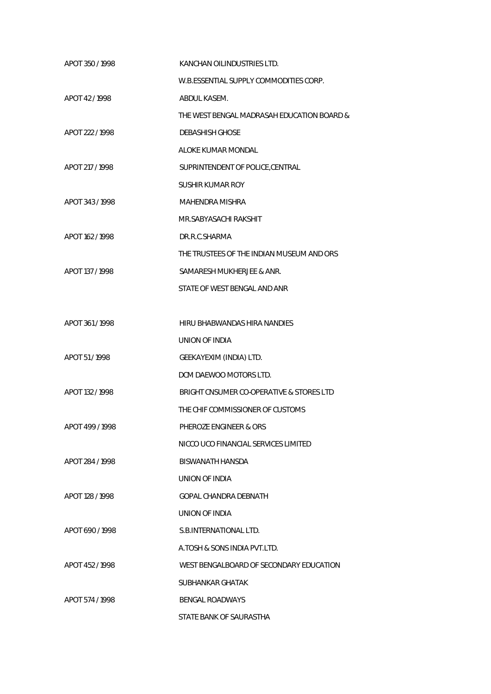| APOT 350 / 1998 | KANCHAN OILINDUSTRIES LTD.                 |
|-----------------|--------------------------------------------|
|                 | W.B.ESSENTIAL SUPPLY COMMODITIES CORP.     |
| APOT 42/1998    | ABDUL KASEM.                               |
|                 | THE WEST BENGAL MADRASAH EDUCATION BOARD & |
| APOT 222 / 1998 | <b>DEBASHISH GHOSE</b>                     |
|                 | ALOKE KUMAR MONDAL                         |
| APOT 217 / 1998 | SUPRINTENDENT OF POLICE, CENTRAL           |
|                 | <b>SUSHIR KUMAR ROY</b>                    |
| APOT 343/1998   | MAHENDRA MISHRA                            |
|                 | MR.SABYASACHI RAKSHIT                      |
| APOT 162 / 1998 | DR.R.C.SHARMA                              |
|                 | THE TRUSTEES OF THE INDIAN MUSEUM AND ORS  |
| APOT 137 / 1998 | SAMARESH MUKHERJEE & ANR.                  |
|                 | STATE OF WEST BENGAL AND ANR               |
|                 |                                            |
| APOT 361/1998   | HIRU BHABWANDAS HIRA NANDIES               |
|                 | UNION OF INDIA                             |
| APOT 51/1998    | GEEKAYEXIM (INDIA) LTD.                    |
|                 | DCM DAEWOO MOTORS LTD.                     |
| APOT 132 / 1998 | BRIGHT CNSUMER CO-OPERATIVE & STORES LTD   |
|                 | THE CHIF COMMISSIONER OF CUSTOMS           |
| APOT 499 / 1998 | PHEROZE ENGINEER & ORS                     |
|                 | NICCO UCO FINANCIAL SERVICES LIMITED       |
| APOT 284 / 1998 | BISWANATH HANSDA                           |
|                 | <b>UNION OF INDIA</b>                      |
| APOT 128 / 1998 | GOPAL CHANDRA DEBNATH                      |
|                 | UNION OF INDIA                             |
| APOT 690 / 1998 | S.B. INTERNATIONAL LTD.                    |
|                 | A.TOSH & SONS INDIA PVT.LTD.               |
| APOT 452/1998   | WEST BENGALBOARD OF SECONDARY EDUCATION    |
|                 | SUBHANKAR GHATAK                           |
| APOT 574 / 1998 | <b>BENGAL ROADWAYS</b>                     |
|                 | STATE BANK OF SAURASTHA                    |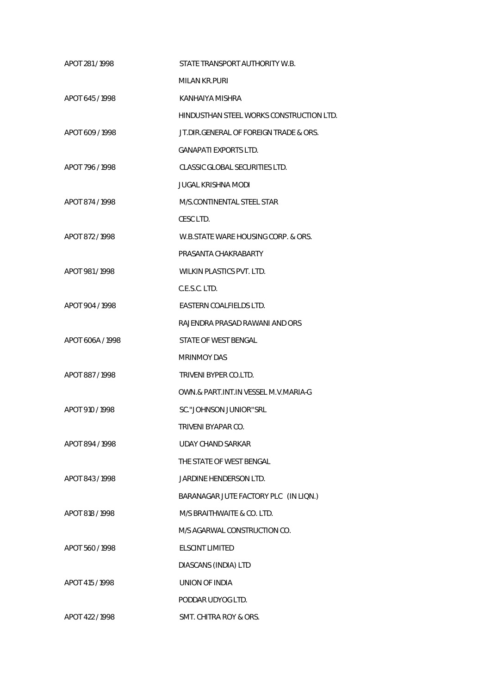| APOT 281/1998    | STATE TRANSPORT AUTHORITY W.B.           |
|------------------|------------------------------------------|
|                  | MILAN KR.PURI                            |
| APOT 645/1998    | KANHAIYA MISHRA                          |
|                  | HINDUSTHAN STEEL WORKS CONSTRUCTION LTD. |
| APOT 609 / 1998  | JT.DIR.GENERAL OF FOREIGN TRADE & ORS.   |
|                  | <b>GANAPATI EXPORTS LTD.</b>             |
| APOT 796 / 1998  | CLASSIC GLOBAL SECURITIES LTD.           |
|                  | JUGAL KRISHNA MODI                       |
| APOT 874 / 1998  | M/S.CONTINENTAL STEEL STAR               |
|                  | CESC LTD.                                |
| APOT 872 / 1998  | W.B.STATE WARE HOUSING CORP. & ORS.      |
|                  | PRASANTA CHAKRABARTY                     |
| APOT 981/1998    | <b>WILKIN PLASTICS PVT. LTD.</b>         |
|                  | C.E.S.C. LTD.                            |
| APOT 904 / 1998  | EASTERN COALFIELDS LTD.                  |
|                  | RAJENDRA PRASAD RAWANI AND ORS           |
| APOT 606A / 1998 | STATE OF WEST BENGAL                     |
|                  | <b>MRINMOY DAS</b>                       |
| APOT 887/1998    | TRIVENI BYPER CO.LTD.                    |
|                  | OWN.& PART.INT.IN VESSEL M.V.MARIA-G     |
| APOT 910 / 1998  | SC."JOHNSON JUNIOR"SRL                   |
|                  | TRIVENI BYAPAR CO.                       |
| APOT 894 / 1998  | UDAY CHAND SARKAR                        |
|                  | THE STATE OF WEST BENGAL                 |
| APOT 843/1998    | JARDINE HENDERSON LTD.                   |
|                  | BARANAGAR JUTE FACTORY PLC (IN LIQN.)    |
| APOT 818 / 1998  | M/S BRAITHWAITE & CO. LTD.               |
|                  | M/S AGARWAL CONSTRUCTION CO.             |
| APOT 560/1998    | ELSCINT LIMITED                          |
|                  | DIASCANS (INDIA) LTD                     |
| APOT 415 / 1998  | UNION OF INDIA                           |
|                  | PODDAR UDYOG LTD.                        |
| APOT 422 / 1998  | SMT. CHITRA ROY & ORS.                   |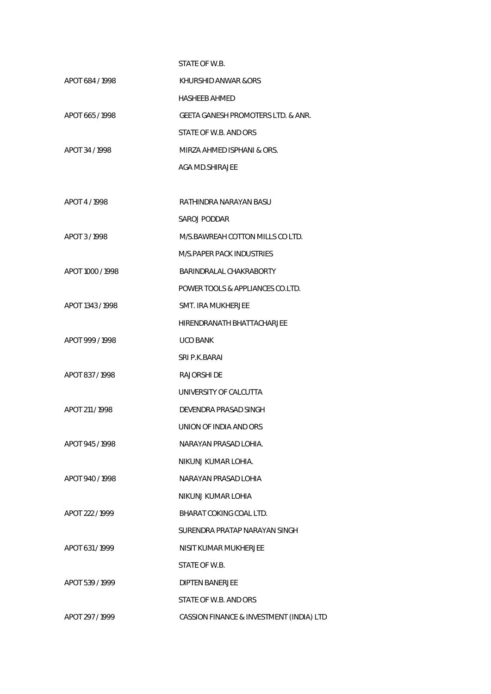| APOT 684 / 1998  | KHURSHID ANWAR &ORS                      |
|------------------|------------------------------------------|
|                  | HASHEEB AHMED                            |
| APOT 665/1998    | GEETA GANESH PROMOTERS LTD. & ANR.       |
|                  | STATE OF W.B. AND ORS                    |
| APOT 34 / 1998   | MIRZA AHMED ISPHANI & ORS.               |
|                  | AGA MD.SHIRAJEE                          |
|                  |                                          |
| APOT 4/1998      | RATHINDRA NARAYAN BASU                   |
|                  | SAROJ PODDAR                             |
| APOT 3/1998      | M/S.BAWREAH COTTON MILLS CO LTD.         |
|                  | M/S.PAPER PACK INDUSTRIES                |
| APOT 1000 / 1998 | BARINDRALAL CHAKRABORTY                  |
|                  | POWER TOOLS & APPLIANCES CO.LTD.         |
| APOT 1343 / 1998 | SMT. IRA MUKHERJEE                       |
|                  | HIRENDRANATH BHATTACHARJEE               |
| APOT 999 / 1998  | <b>UCO BANK</b>                          |
|                  | SRI P.K.BARAI                            |
| APOT 837/1998    | RAJORSHI DE                              |
|                  | UNIVERSITY OF CALCUTTA                   |
| APOT 211 / 1998  | DEVENDRA PRASAD SINGH                    |
|                  | UNION OF INDIA AND ORS                   |
| APOT 945 / 1998  | NARAYAN PRASAD LOHIA.                    |
|                  | NIKUNJ KUMAR LOHIA.                      |
| APOT 940 / 1998  | NARAYAN PRASAD LOHIA                     |
|                  | NIKUNJ KUMAR LOHIA                       |
| APOT 222 / 1999  | BHARAT COKING COAL LTD.                  |
|                  | SURENDRA PRATAP NARAYAN SINGH            |
| APOT 631/1999    | NISIT KUMAR MUKHERJEE                    |
|                  | STATE OF W.B.                            |
| APOT 539 / 1999  | <b>DIPTEN BANERJEE</b>                   |
|                  | STATE OF W.B. AND ORS                    |
| APOT 297 / 1999  | CASSION FINANCE & INVESTMENT (INDIA) LTD |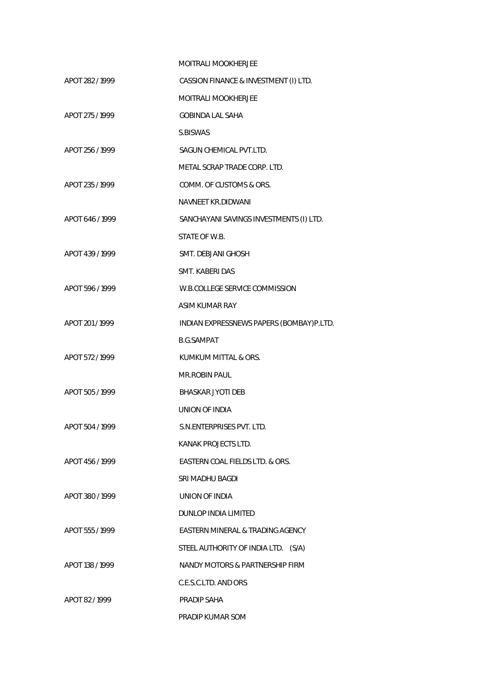|                 | MOITRALI MOOKHERJEE                      |
|-----------------|------------------------------------------|
| APOT 282 / 1999 | CASSION FINANCE & INVESTMENT (I) LTD.    |
|                 | MOITRALI MOOKHERJEE                      |
| APOT 275 / 1999 | <b>GOBINDA LAL SAHA</b>                  |
|                 | S.BISWAS                                 |
| APOT 256 / 1999 | SAGUN CHEMICAL PVT.LTD.                  |
|                 | METAL SCRAP TRADE CORP. LTD.             |
| APOT 235 / 1999 | COMM. OF CUSTOMS & ORS.                  |
|                 | NAVNEET KR.DIDWANI                       |
| APOT 646 / 1999 | SANCHAYANI SAVINGS INVESTMENTS (I) LTD.  |
|                 | STATE OF W.B.                            |
| APOT 439 / 1999 | SMT. DEBJANI GHOSH                       |
|                 | SMT. KABERI DAS                          |
| APOT 596 / 1999 | W.B.COLLEGE SERVICE COMMISSION           |
|                 | ASIM KUMAR RAY                           |
| APOT 201 / 1999 | INDIAN EXPRESSNEWS PAPERS (BOMBAY)P.LTD. |
|                 | <b>B.G.SAMPAT</b>                        |
| APOT 572 / 1999 | KUMKUM MITTAL & ORS.                     |
|                 | <b>MR.ROBIN PAUL</b>                     |
| APOT 505 / 1999 | <b>BHASKAR JYOTI DEB</b>                 |
|                 | UNION OF INDIA                           |
| APOT 504 / 1999 | S.N.ENTERPRISES PVT. LTD.                |
|                 | KANAK PROJECTS LTD.                      |
| APOT 456/1999   | EASTERN COAL FIELDS LTD. & ORS.          |
|                 | SRI MADHU BAGDI                          |
| APOT 380/1999   | UNION OF INDIA                           |
|                 | DUNLOP INDIA LIMITED                     |
| APOT 555 / 1999 | EASTERN MINERAL & TRADING AGENCY         |
|                 | STEEL AUTHORITY OF INDIA LTD. (S/A)      |
| APOT 138 / 1999 | NANDY MOTORS & PARTNERSHIP FIRM          |
|                 | C.E.S.C.LTD. AND ORS                     |
| APOT 82/1999    | PRADIP SAHA                              |
|                 | PRADIP KUMAR SOM                         |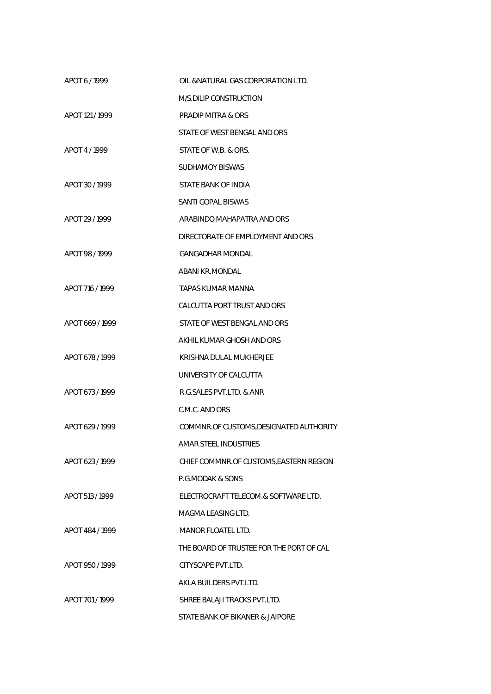| APOT 6/1999     | OIL & NATURAL GAS CORPORATION LTD.       |
|-----------------|------------------------------------------|
|                 | M/S.DILIP CONSTRUCTION                   |
| APOT 121 / 1999 | PRADIP MITRA & ORS                       |
|                 | STATE OF WEST BENGAL AND ORS             |
| APOT 4/1999     | STATE OF W.B. & ORS.                     |
|                 | SUDHAMOY BISWAS                          |
| APOT 30 / 1999  | STATE BANK OF INDIA                      |
|                 | <b>SANTI GOPAL BISWAS</b>                |
| APOT 29 / 1999  | ARABINDO MAHAPATRA AND ORS               |
|                 | DIRECTORATE OF EMPLOYMENT AND ORS        |
| APOT 98/1999    | GANGADHAR MONDAL                         |
|                 | ABANI KR.MONDAL                          |
| APOT 716 / 1999 | TAPAS KUMAR MANNA                        |
|                 | CALCUTTA PORT TRUST AND ORS              |
| APOT 669/1999   | STATE OF WEST BENGAL AND ORS             |
|                 | AKHIL KUMAR GHOSH AND ORS                |
| APOT 678 / 1999 | KRISHNA DULAL MUKHERJEE                  |
|                 | UNIVERSITY OF CALCUTTA                   |
| APOT 673 / 1999 | R.G. SALES PVT. LTD. & ANR               |
|                 | C.M.C. AND ORS                           |
| APOT 629 / 1999 | COMMNR.OF CUSTOMS, DESIGNATED AUTHORITY  |
|                 | AMAR STEEL INDUSTRIES                    |
| APOT 623/1999   | CHIEF COMMNR.OF CUSTOMS, EASTERN REGION  |
|                 | <b>P.G.MODAK &amp; SONS</b>              |
| APOT 513 / 1999 | ELECTROCRAFT TELECOM.& SOFTWARE LTD.     |
|                 | MAGMA LEASING LTD.                       |
| APOT 484 / 1999 | MANOR FLOATEL LTD.                       |
|                 | THE BOARD OF TRUSTEE FOR THE PORT OF CAL |
| APOT 950/1999   | CITYSCAPE PVT.LTD.                       |
|                 | AKLA BUILDERS PVT.LTD.                   |
| APOT 701 / 1999 | SHREE BALAJI TRACKS PVT.LTD.             |
|                 | STATE BANK OF BIKANER & JAIPORE          |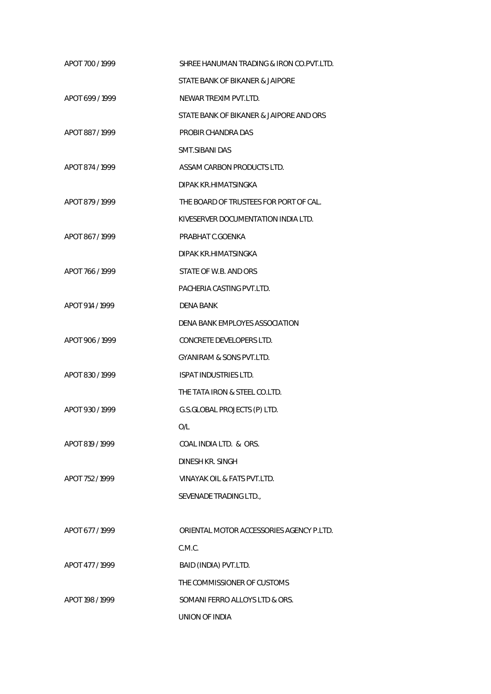| APOT 700 / 1999 | SHREE HANUMAN TRADING & IRON CO.PVT.LTD. |
|-----------------|------------------------------------------|
|                 | STATE BANK OF BIKANER & JAIPORE          |
| APOT 699 / 1999 | NEWAR TREXIM PVT.LTD.                    |
|                 | STATE BANK OF BIKANER & JAIPORE AND ORS  |
| APOT 887/1999   | PROBIR CHANDRA DAS                       |
|                 | SMT.SIBANI DAS                           |
| APOT 874 / 1999 | ASSAM CARBON PRODUCTS LTD.               |
|                 | DIPAK KR.HIMATSINGKA                     |
| APOT 879 / 1999 | THE BOARD OF TRUSTEES FOR PORT OF CAL.   |
|                 | KIVESERVER DOCUMENTATION INDIA LTD.      |
| APOT 867/1999   | PRABHAT C.GOENKA                         |
|                 | DIPAK KR.HIMATSINGKA                     |
| APOT 766 / 1999 | STATE OF W.B. AND ORS                    |
|                 | PACHERIA CASTING PVT.LTD.                |
| APOT 914 / 1999 | DENA BANK                                |
|                 | DENA BANK EMPLOYES ASSOCIATION           |
| APOT 906 / 1999 | CONCRETE DEVELOPERS LTD.                 |
|                 | <b>GYANIRAM &amp; SONS PVT.LTD.</b>      |
| APOT 830 / 1999 | <b>ISPAT INDUSTRIES LTD.</b>             |
|                 | THE TATA IRON & STEEL CO.LTD.            |
| APOT 930/1999   | G.S.GLOBAL PROJECTS (P) LTD.             |
|                 | O/L                                      |
| APOT 819 / 1999 | COAL INDIA LTD. & ORS.                   |
|                 | DINESH KR. SINGH                         |
| APOT 752 / 1999 | VINAYAK OIL & FATS PVT.LTD.              |
|                 | SEVENADE TRADING LTD.,                   |
|                 |                                          |
| APOT 677 / 1999 | ORIENTAL MOTOR ACCESSORIES AGENCY P.LTD. |
|                 | C.M.C.                                   |
| APOT 477 / 1999 | BAID (INDIA) PVT.LTD.                    |
|                 | THE COMMISSIONER OF CUSTOMS              |
| APOT 198 / 1999 | SOMANI FERRO ALLOYS LTD & ORS.           |
|                 | UNION OF INDIA                           |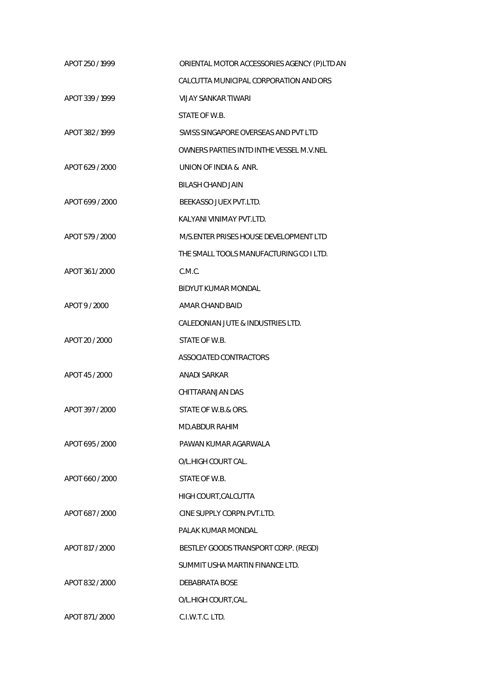| APOT 250 / 1999 | ORIENTAL MOTOR ACCESSORIES AGENCY (P)LTD AN |
|-----------------|---------------------------------------------|
|                 | CALCUTTA MUNICIPAL CORPORATION AND ORS      |
| APOT 339 / 1999 | <b>VIJAY SANKAR TIWARI</b>                  |
|                 | STATE OF W.B.                               |
| APOT 382 / 1999 | SWISS SINGAPORE OVERSEAS AND PVT LTD        |
|                 | OWNERS PARTIES INTD INTHE VESSEL M.V.NEL    |
| APOT 629 / 2000 | UNION OF INDIA & ANR.                       |
|                 | BILASH CHAND JAIN                           |
| APOT 699 / 2000 | BEEKASSO JUEX PVT.LTD.                      |
|                 | KALYANI VINIMAY PVT.LTD.                    |
| APOT 579 / 2000 | M/S.ENTER PRISES HOUSE DEVELOPMENT LTD      |
|                 | THE SMALL TOOLS MANUFACTURING CO I LTD.     |
| APOT 361/2000   | C.M.C.                                      |
|                 | <b>BIDYUT KUMAR MONDAL</b>                  |
| APOT 9 / 2000   | AMAR CHAND BAID                             |
|                 | CALEDONIAN JUTE & INDUSTRIES LTD.           |
| APOT 20 / 2000  | STATE OF W.B.                               |
|                 | ASSOCIATED CONTRACTORS                      |
| APOT 45 / 2000  | <b>ANADI SARKAR</b>                         |
|                 | CHITTARANJAN DAS                            |
| APOT 397 / 2000 | STATE OF W.B.& ORS.                         |
|                 | MD.ABDUR RAHIM                              |
| APOT 695 / 2000 | PAWAN KUMAR AGARWALA                        |
|                 | O/L.HIGH COURT CAL.                         |
| APOT 660 / 2000 | STATE OF W.B.                               |
|                 | HIGH COURT, CALCUTTA                        |
| APOT 687 / 2000 | CINE SUPPLY CORPN.PVT.LTD.                  |
|                 | PALAK KUMAR MONDAL                          |
| APOT 817 / 2000 | BESTLEY GOODS TRANSPORT CORP. (REGD)        |
|                 | SUMMIT USHA MARTIN FINANCE LTD.             |
| APOT 832 / 2000 | DEBABRATA BOSE                              |
|                 | O/L.HIGH COURT, CAL.                        |
| APOT 871 / 2000 | C.I.W.T.C. LTD.                             |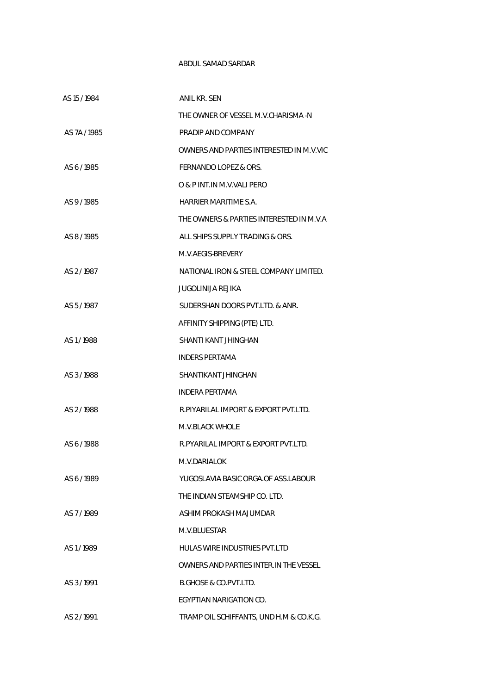## ABDUL SAMAD SARDAR

| AS 15 / 1984 | <b>ANIL KR. SEN</b>                      |
|--------------|------------------------------------------|
|              | THE OWNER OF VESSEL M.V.CHARISMA -N      |
| AS 7A / 1985 | PRADIP AND COMPANY                       |
|              | OWNERS AND PARTIES INTERESTED IN M.V.VIC |
| AS 6/1985    | FERNANDO LOPEZ & ORS.                    |
|              | O & P INT. IN M.V. VALI PERO             |
| AS 9/1985    | HARRIER MARITIME S.A.                    |
|              | THE OWNERS & PARTIES INTERESTED IN M.V.A |
| AS 8/1985    | ALL SHIPS SUPPLY TRADING & ORS.          |
|              | M.V.AFGIS-BREVERY                        |
| AS 2/1987    | NATIONAL IRON & STEEL COMPANY LIMITED.   |
|              | JUGOLINIJA REJIKA                        |
| AS 5/1987    | SUDERSHAN DOORS PVT.LTD. & ANR.          |
|              | AFFINITY SHIPPING (PTE) LTD.             |
| AS 1/1988    | SHANTI KANT JHINGHAN                     |
|              | <b>INDERS PERTAMA</b>                    |
| AS 3/1988    | SHANTIKANT JHINGHAN                      |
|              | INDERA PERTAMA                           |
| AS 2/1988    | R.PIYARILAL IMPORT & EXPORT PVT.LTD.     |
|              | M.V.BLACK WHOLE                          |
| AS 6/1988    | R. PYARILAL IMPORT & EXPORT PVT. LTD.    |
|              | M.V.DARIALOK                             |
| AS 6/1989    | YUGOSLAVIA BASIC ORGA.OF ASS.LABOUR      |
|              | THE INDIAN STEAMSHIP CO. LTD.            |
| AS 7/1989    | ASHIM PROKASH MAJUMDAR                   |
|              | M.V.BLUESTAR                             |
| AS 1/1989    | HULAS WIRE INDUSTRIES PVT.LTD            |
|              | OWNERS AND PARTIES INTER. IN THE VESSEL  |
| AS 3/1991    | B.GHOSE & CO.PVT.LTD.                    |
|              | EGYPTIAN NARIGATION CO.                  |
| AS 2/1991    | TRAMP OIL SCHIFFANTS, UND H.M & CO.K.G.  |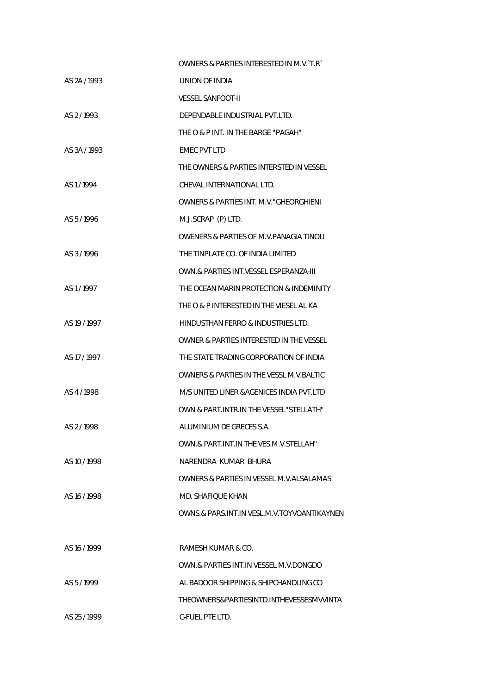|              | OWNERS & PARTIES INTERESTED IN M.V. T.R.    |
|--------------|---------------------------------------------|
| AS 2A / 1993 | UNION OF INDIA                              |
|              | <b>VESSEL SANFOOT-II</b>                    |
| AS 2/1993    | DEPENDABLE INDUSTRIAL PVT.LTD.              |
|              | THE O & P INT. IN THE BARGE "PAGAH"         |
| AS 3A / 1993 | <b>EMEC PVT LTD</b>                         |
|              | THE OWNERS & PARTIES INTERSTED IN VESSEL    |
| AS 1/1994    | CHEVAL INTERNATIONAL LTD.                   |
|              | OWNERS & PARTIES INT. M.V. "GHEORGHIENI     |
| AS 5/1996    | M.J.SCRAP (P) LTD.                          |
|              | OWENERS & PARTIES OF M.V. PANAGIA TINOU     |
| AS 3/1996    | THE TINPLATE CO. OF INDIA LIMITED           |
|              | OWN.& PARTIES INT.VESSEL ESPERANZA-III      |
| AS 1/1997    | THE OCEAN MARIN PROTECTION & INDEMINITY     |
|              | THE O & P INTERESTED IN THE VIESEL AL KA    |
| AS 19 / 1997 | HINDUSTHAN FERRO & INDUSTRIES LTD.          |
|              | OWNER & PARTIES INTERESTED IN THE VESSEL    |
| AS 17 / 1997 | THE STATE TRADING CORPORATION OF INDIA      |
|              | OWNERS & PARTIES IN THE VESSL M.V.BALTIC    |
| AS 4/1998    | M/S UNITED LINER & AGENICES INDIA PVT.LTD   |
|              | OWN & PART INTR IN THE VESSEL "STELLATH"    |
| AS 2/1998    | ALUMINIUM DE GRECES S.A.                    |
|              | OWN.& PART.INT.IN THE VES.M.V.STELLAH"      |
| AS 10/1998   | NARENDRA KUMAR BHURA                        |
|              | OWNERS & PARTIES IN VESSEL M.V.ALSALAMAS    |
| AS 16/1998   | MD. SHAFIOUE KHAN                           |
|              | OWNS.& PARS.INT.IN VESL.M.V.TOYVOANTIKAYNEN |
|              |                                             |
| AS 16/1999   | RAMESH KUMAR & CO.                          |
|              | OWN.& PARTIES INT.IN VESSEL M.V.DONGDO      |
| AS 5/1999    | AL BADOOR SHIPPING & SHIPCHANDLING CO       |
|              | THEOWNERS&PARTIESINTD.INTHEVESSESMVVINTA    |
| AS 25/1999   | G-FUEL PTE LTD.                             |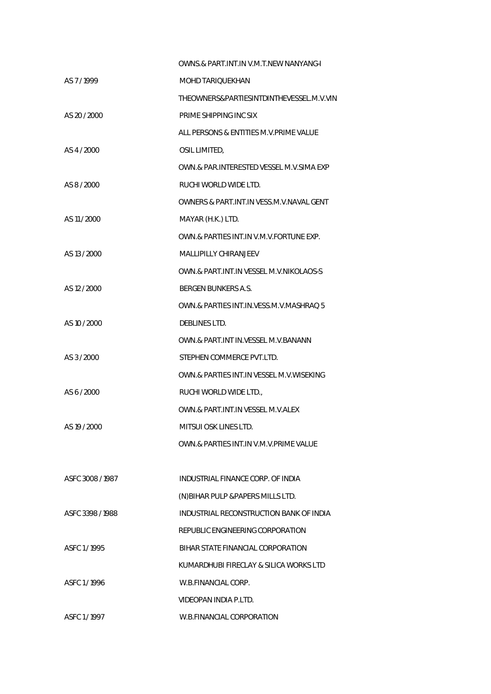| OWNS & PART INT IN V.M.T.NEW NANYANG-I     |
|--------------------------------------------|
| <b>MOHD TARIQUEKHAN</b>                    |
| THEOWNERS&PARTIESINTDINTHEVESSEL.M.V.VIN   |
| PRIME SHIPPING INC SIX                     |
| ALL PERSONS & ENTITIES M.V. PRIME VALUE    |
| OSIL LIMITED,                              |
| OWN.& PAR.INTERESTED VESSEL M.V.SIMA EXP   |
| RUCHI WORLD WIDE LTD.                      |
| OWNERS & PART.INT.IN VESS.M.V.NAVAL GENT   |
| MAYAR (H.K.) LTD.                          |
| OWN.& PARTIES INT.IN V.M.V.FORTUNE EXP.    |
| MALLIPILLY CHIRANJEEV                      |
| OWN.& PART.INT.IN VESSEL M.V.NIKOLAOS-S    |
| <b>BERGEN BUNKERS A.S.</b>                 |
| OWN.& PARTIES INT.IN. VESS.M. V. MASHRAQ 5 |
| DEBLINES LTD.                              |
| OWN.& PART.INT IN. VESSEL M.V. BANANN      |
| STEPHEN COMMERCE PVT.LTD.                  |
| OWN.& PARTIES INT.IN VESSEL M.V. WISEKING  |
| RUCHI WORLD WIDE LTD.,                     |
| OWN.& PART.INT.IN VESSEL M.V.ALEX          |
| MITSUI OSK LINES LTD.                      |
| OWN.& PARTIES INT.IN V.M.V.PRIME VALUE     |
|                                            |
| INDUSTRIAL FINANCE CORP. OF INDIA          |
| (N) BIHAR PULP & PAPERS MILLS LTD.         |
| INDUSTRIAL RECONSTRUCTION BANK OF INDIA    |
| REPUBLIC ENGINEERING CORPORATION           |
| BIHAR STATE FINANCIAL CORPORATION          |
| KUMARDHUBI FIRECLAY & SILICA WORKS LTD     |
| W.B.FINANCIAL CORP.                        |
| VIDEOPAN INDIA P.LTD.                      |
| W.B.FINANCIAL CORPORATION                  |
|                                            |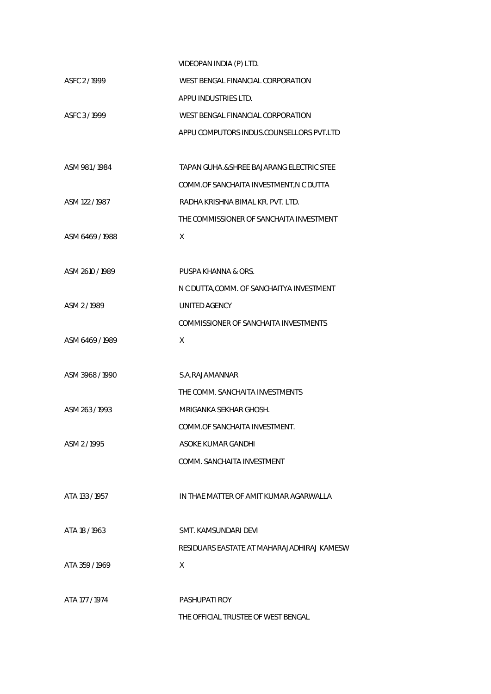|                 | VIDEOPAN INDIA (P) LTD.                    |
|-----------------|--------------------------------------------|
| ASFC 2/1999     | WEST BENGAL FINANCIAL CORPORATION          |
|                 | APPU INDUSTRIES LTD.                       |
| ASFC 3/1999     | WEST BENGAL FINANCIAL CORPORATION          |
|                 | APPU COMPUTORS INDUS.COUNSELLORS PVT.LTD   |
|                 |                                            |
| ASM 981/1984    | TAPAN GUHA.& SHREE BAJARANG ELECTRIC STEE  |
|                 | COMM.OF SANCHAITA INVESTMENT, N C DUTTA    |
| ASM 122 / 1987  | RADHA KRISHNA BIMAL KR. PVT. LTD.          |
|                 | THE COMMISSIONER OF SANCHAITA INVESTMENT   |
| ASM 6469 / 1988 | X                                          |
|                 |                                            |
| ASM 2610 / 1989 | PUSPA KHANNA & ORS.                        |
|                 | N C DUTTA, COMM. OF SANCHAITYA INVESTMENT  |
| ASM 2/1989      | UNITED AGENCY                              |
|                 | COMMISSIONER OF SANCHAITA INVESTMENTS      |
| ASM 6469/1989   | X                                          |
|                 |                                            |
| ASM 3968 / 1990 | S.A.RAJAMANNAR                             |
|                 | THE COMM. SANCHAITA INVESTMENTS            |
| ASM 263 / 1993  | MRIGANKA SEKHAR GHOSH.                     |
|                 | COMM.OF SANCHAITA INVESTMENT.              |
| ASM 2/1995      | ASOKE KUMAR GANDHI                         |
|                 | COMM. SANCHAITA INVESTMENT                 |
|                 |                                            |
| ATA 133 / 1957  | IN THAE MATTER OF AMIT KUMAR AGARWALLA     |
|                 |                                            |
| ATA 18 / 1963   | SMT. KAMSUNDARI DEVI                       |
|                 | RESIDUARS EASTATE AT MAHARAJADHIRAJ KAMESW |
| ATA 359/1969    | X                                          |
|                 |                                            |
| ATA 177 / 1974  | <b>PASHUPATI ROY</b>                       |
|                 | THE OFFICIAL TRUSTEE OF WEST BENGAL        |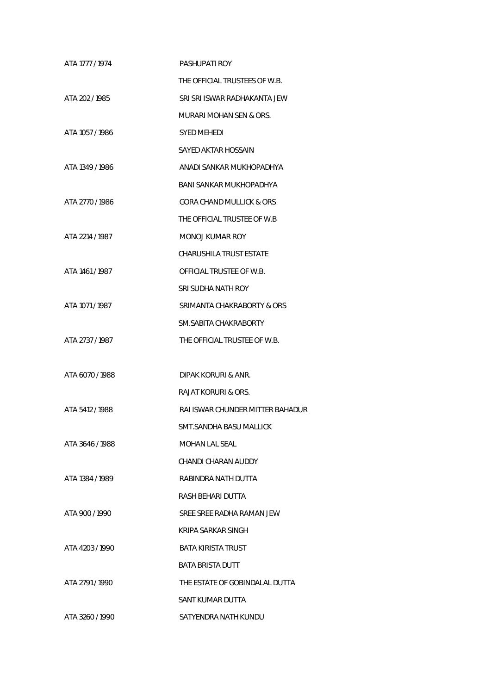| ATA 1777 / 1974 | <b>PASHUPATI ROY</b>             |
|-----------------|----------------------------------|
|                 | THE OFFICIAL TRUSTEES OF W.B.    |
| ATA 202 / 1985  | SRI SRI ISWAR RADHAKANTA JEW     |
|                 | MURARI MOHAN SEN & ORS.          |
| ATA 1057 / 1986 | SYED MEHEDI                      |
|                 | SAYED AKTAR HOSSAIN              |
| ATA 1349 / 1986 | ANADI SANKAR MUKHOPADHYA         |
|                 | BANI SANKAR MUKHOPADHYA          |
| ATA 2770 / 1986 | GORA CHAND MULLICK & ORS         |
|                 | THE OFFICIAL TRUSTEE OF W.B      |
| ATA 2214 / 1987 | MONOJ KUMAR ROY                  |
|                 | CHARUSHILA TRUST ESTATE          |
| ATA 1461 / 1987 | OFFICIAL TRUSTEE OF W.B.         |
|                 | SRI SUDHA NATH ROY               |
| ATA 1071 / 1987 | SRIMANTA CHAKRABORTY & ORS       |
|                 | SM.SABITA CHAKRABORTY            |
| ATA 2737 / 1987 | THE OFFICIAL TRUSTEE OF W.B.     |
|                 |                                  |
| ATA 6070 / 1988 | DIPAK KORURI & ANR.              |
|                 | <b>RAJAT KORURI &amp; ORS.</b>   |
| ATA 5412 / 1988 | RAI ISWAR CHUNDER MITTER BAHADUR |
|                 | SMT.SANDHA BASU MALLICK          |
| ATA 3646 / 1988 | MOHAN LAL SEAL                   |
|                 | CHANDI CHARAN AUDDY              |
| ATA 1384 / 1989 | RABINDRA NATH DUITTA             |
|                 | RASH BEHARI DUTTA                |
| ATA 900 / 1990  | SREE SREE RADHA RAMAN JEW        |
|                 | KRIPA SARKAR SINGH               |
| ATA 4203/1990   | BATA KIRISTA TRUST               |
|                 | <b>BATA BRISTA DUTT</b>          |
| ATA 2791/1990   | THE ESTATE OF GOBINDALAL DUTTA   |
|                 | SANT KUMAR DUTTA                 |
| ATA 3260/1990   | SATYENDRA NATH KUNDU             |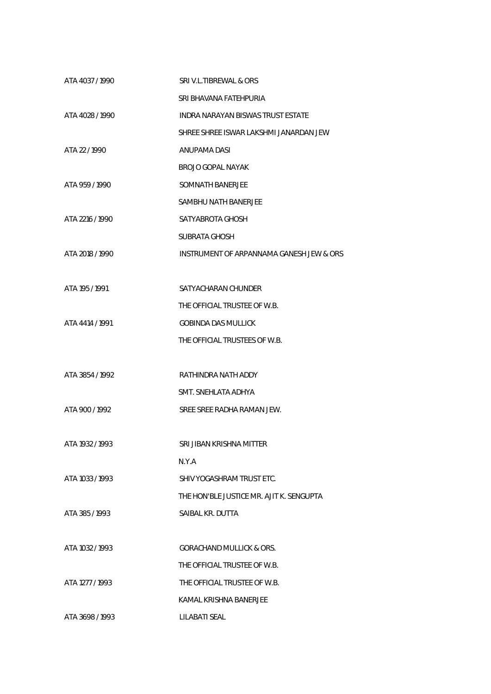| ATA 4037 / 1990 | SRI V.L.TIBREWAL & ORS                   |
|-----------------|------------------------------------------|
|                 | SRI BHAVANA FATEHPURIA                   |
| ATA 4028 / 1990 | <b>INDRA NARAYAN BISWAS TRUST ESTATE</b> |
|                 | SHREE SHREE ISWAR LAKSHMI JANARDAN JEW   |
| ATA 22 / 1990   | ANUPAMA DASI                             |
|                 | BROJO GOPAL NAYAK                        |
| ATA 959 / 1990  | SOMNATH BANERJEE                         |
|                 | SAMBHU NATH BANERJEE                     |
| ATA 2216 / 1990 | SATYABROTA GHOSH                         |
|                 | <b>SUBRATA GHOSH</b>                     |
| ATA 2018 / 1990 | INSTRUMENT OF ARPANNAMA GANESH JEW & ORS |
|                 |                                          |
| ATA 195 / 1991  | SATYACHARAN CHUNDER                      |
|                 | THE OFFICIAL TRUSTEE OF W.B.             |
| ATA 4414 / 1991 | <b>GOBINDA DAS MULLICK</b>               |
|                 | THE OFFICIAL TRUSTEES OF W.B.            |
|                 |                                          |
| ATA 3854 / 1992 | RATHINDRA NATH ADDY                      |
|                 | SMT. SNEHLATA ADHYA                      |
| ATA 900 / 1992  | SREE SREE RADHA RAMAN JEW.               |
|                 |                                          |
| ATA 1932 / 1993 | SRI JIBAN KRISHNA MITTER                 |
|                 | N.Y.A                                    |
| ATA 1033 / 1993 | SHIV YOGASHRAM TRUST ETC.                |
|                 | THE HON'BLE JUSTICE MR. AJIT K. SENGUPTA |
| ATA 385/1993    | SAIBAL KR. DUTTA                         |
|                 |                                          |
| ATA 1032 / 1993 | <b>GORACHAND MULLICK &amp; ORS.</b>      |
|                 | THE OFFICIAL TRUSTEE OF W.B.             |
| ATA 1277 / 1993 | THE OFFICIAL TRUSTEE OF W.B.             |
|                 | KAMAL KRISHNA BANERJEE                   |
| ATA 3698 / 1993 | LILABATI SEAL                            |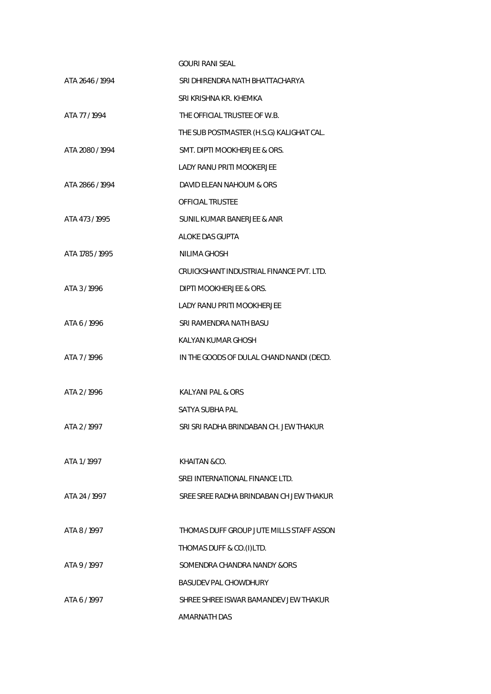|                 | <b>GOURI RANI SEAL</b>                   |
|-----------------|------------------------------------------|
| ATA 2646 / 1994 | SRI DHIRENDRA NATH BHATTACHARYA          |
|                 | SRI KRISHNA KR. KHEMKA                   |
| ATA 77/1994     | THE OFFICIAL TRUSTEE OF W.B.             |
|                 | THE SUB POSTMASTER (H.S.G) KALIGHAT CAL. |
| ATA 2080 / 1994 | SMT. DIPTI MOOKHERJEE & ORS.             |
|                 | <b>LADY RANU PRITI MOOKERJEE</b>         |
| ATA 2866 / 1994 | DAVID ELEAN NAHOUM & ORS                 |
|                 | <b>OFFICIAL TRUSTEE</b>                  |
| ATA 473/1995    | SUNIL KUMAR BANERJEE & ANR               |
|                 | ALOKE DAS GUPTA                          |
| ATA 1785 / 1995 | NILIMA GHOSH                             |
|                 | CRUICKSHANT INDUSTRIAL FINANCE PVT. LTD. |
| ATA 3/1996      | DIPTI MOOKHERJEE & ORS.                  |
|                 | <b>LADY RANU PRITI MOOKHERJEE</b>        |
| ATA 6 / 1996    | SRI RAMENDRA NATH BASU                   |
|                 | KALYAN KUMAR GHOSH                       |
| ATA 7/1996      | IN THE GOODS OF DULAL CHAND NANDI (DECD. |
|                 |                                          |
| ATA 2/1996      | KALYANI PAL & ORS                        |
|                 | SATYA SUBHA PAL                          |
| ATA 2 / 1997    | SRI SRI RADHA BRINDABAN CH. JEW THAKUR   |
|                 |                                          |
| ATA 1/1997      | KHAITAN &CO.                             |
|                 | SREI INTERNATIONAL FINANCE LTD.          |
| ATA 24 / 1997   | SREE SREE RADHA BRINDABAN CH JEW THAKUR  |
|                 |                                          |
| ATA 8/1997      | THOMAS DUFF GROUP JUTE MILLS STAFF ASSON |
|                 | THOMAS DUFF & CO.(I)LTD.                 |
| ATA 9 / 1997    | SOMENDRA CHANDRA NANDY & ORS             |
|                 | BASUDEV PAL CHOWDHURY                    |
| ATA 6 / 1997    | SHREE SHREE ISWAR BAMANDEV JEW THAKUR    |
|                 | <b>AMARNATH DAS</b>                      |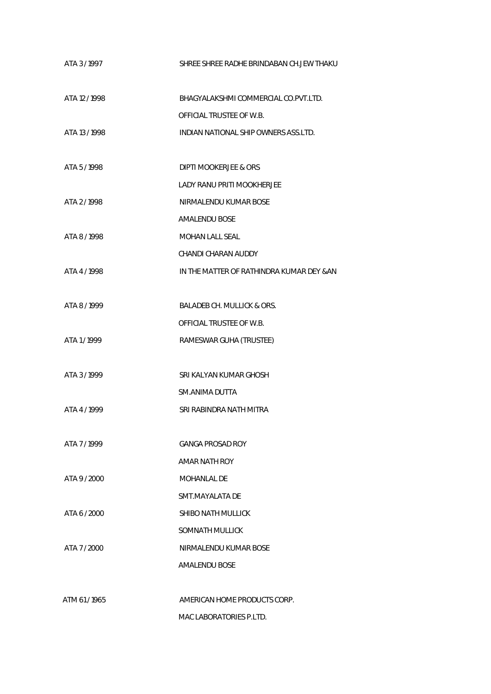| ATA 3/1997    | SHREE SHREE RADHE BRINDABAN CH.JEW THAKU  |
|---------------|-------------------------------------------|
| ATA 12 / 1998 | BHAGYALAKSHMI COMMERCIAL CO.PVT.LTD.      |
|               | OFFICIAL TRUSTEE OF W.B.                  |
| ATA 13 / 1998 | INDIAN NATIONAL SHIP OWNERS ASS.LTD.      |
| ATA 5/1998    | DIPTI MOOKERJEE & ORS                     |
|               | <b>LADY RANU PRITI MOOKHERJEE</b>         |
| ATA 2/1998    | NIRMALENDU KUMAR BOSE                     |
|               | <b>AMALENDU BOSE</b>                      |
| ATA 8/1998    | <b>MOHAN LALL SEAL</b>                    |
|               | CHANDI CHARAN AUDDY                       |
| ATA 4 / 1998  | IN THE MATTER OF RATHINDRA KUMAR DEY & AN |
|               |                                           |
| ATA 8/1999    | BALADEB CH. MULLICK & ORS.                |
|               | OFFICIAL TRUSTEE OF W.B.                  |
| ATA 1/1999    | RAMESWAR GUHA (TRUSTEE)                   |
|               |                                           |
| ATA 3/1999    | SRI KALYAN KUMAR GHOSH                    |
|               | SM.ANIMA DUTTA                            |
| ATA 4 / 1999  | SRI RABINDRA NATH MITRA                   |
|               |                                           |
| ATA 7/1999    | <b>GANGA PROSAD ROY</b>                   |
|               | AMAR NATH ROY                             |
| ATA 9/2000    | MOHANI AI DE                              |
|               | SMT.MAYALATA DE                           |
| ATA 6 / 2000  | SHIBO NATH MULLICK                        |
|               | SOMNATH MULLICK                           |
| ATA 7/2000    | NIRMALENDU KUMAR BOSE                     |
|               | AMALENDU BOSE                             |
|               |                                           |
| ATM 61/1965   | AMERICAN HOME PRODUCTS CORP.              |
|               | MAC LABORATORIES P.LTD.                   |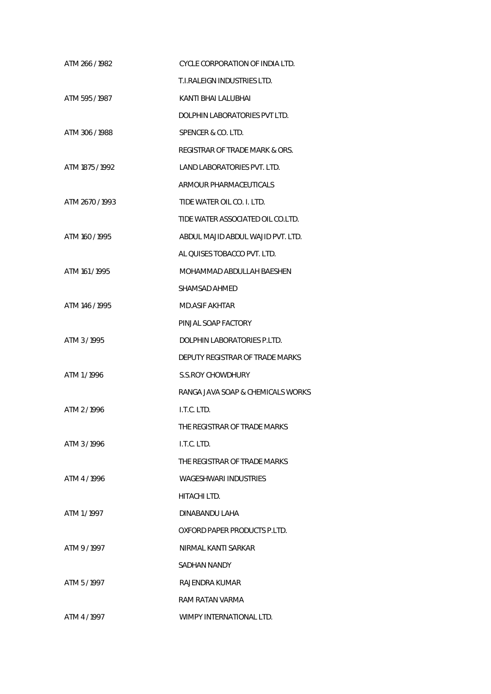| ATM 266 / 1982  | CYCLE CORPORATION OF INDIA LTD.   |
|-----------------|-----------------------------------|
|                 | T.I.RALEIGN INDUSTRIES LTD.       |
| ATM 595 / 1987  | KANTI BHALLALUBHAL                |
|                 | DOLPHIN LABORATORIES PVT LTD.     |
| ATM 306 / 1988  | SPENCER & CO. LTD.                |
|                 | REGISTRAR OF TRADE MARK & ORS.    |
| ATM 1875 / 1992 | LAND LABORATORIES PVT. LTD.       |
|                 | ARMOUR PHARMACEUTICALS            |
| ATM 2670 / 1993 | TIDE WATER OIL CO. I. LTD.        |
|                 | TIDE WATER ASSOCIATED OIL CO.LTD. |
| ATM 160 / 1995  | ABDUL MAJID ABDUL WAJID PVT. LTD. |
|                 | AL QUISES TOBACCO PVT. LTD.       |
| ATM 161/1995    | MOHAMMAD ABDULLAH BAESHEN         |
|                 | SHAMSAD AHMED                     |
| ATM 146 / 1995  | <b>MD.ASIF AKHTAR</b>             |
|                 | PINJAL SOAP FACTORY               |
| ATM 3/1995      | DOLPHIN LABORATORIES P.LTD.       |
|                 | DEPUTY REGISTRAR OF TRADE MARKS   |
| ATM 1/1996      | <b>S.S.ROY CHOWDHURY</b>          |
|                 | RANGA JAVA SOAP & CHEMICALS WORKS |
| ATM 2/1996      | I.T.C. LTD.                       |
|                 | THE REGISTRAR OF TRADE MARKS      |
| ATM 3/1996      | I.T.C. LTD.                       |
|                 | THE REGISTRAR OF TRADE MARKS      |
| ATM 4/1996      | <b>WAGESHWARI INDUSTRIES</b>      |
|                 | HITACHI LTD.                      |
| ATM 1/1997      | DINABANDU LAHA                    |
|                 | OXFORD PAPER PRODUCTS P.LTD.      |
| ATM 9/1997      | NIRMAL KANTI SARKAR               |
|                 | SADHAN NANDY                      |
| ATM 5/1997      | RAJENDRA KUMAR                    |
|                 | RAM RATAN VARMA                   |
| ATM 4/1997      | WIMPY INTERNATIONAL LTD.          |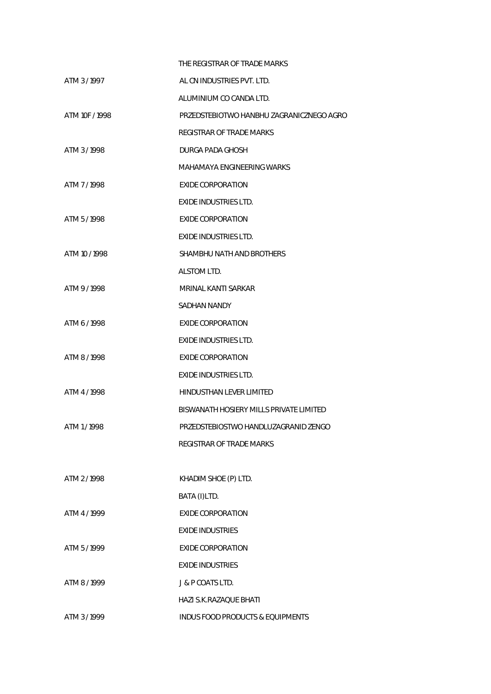|                | THE REGISTRAR OF TRADE MARKS                |
|----------------|---------------------------------------------|
| ATM 3/1997     | AL CN INDUSTRIES PVT. LTD.                  |
|                | ALUMINIUM CO CANDA LTD.                     |
| ATM 10F / 1998 | PRZEDSTEBIOTWO HANBHU ZAGRANICZNEGO AGRO    |
|                | <b>REGISTRAR OF TRADE MARKS</b>             |
| ATM 3/1998     | DURGA PADA GHOSH                            |
|                | MAHAMAYA ENGINEERING WARKS                  |
| ATM 7/1998     | EXIDE CORPORATION                           |
|                | <b>EXIDE INDUSTRIES LTD.</b>                |
| ATM 5/1998     | <b>EXIDE CORPORATION</b>                    |
|                | <b>EXIDE INDUSTRIES LTD.</b>                |
| ATM 10 / 1998  | SHAMBHU NATH AND BROTHERS                   |
|                | ALSTOM LTD.                                 |
| ATM 9/1998     | MRINAL KANTI SARKAR                         |
|                | SADHAN NANDY                                |
| ATM 6 / 1998   | EXIDE CORPORATION                           |
|                | <b>EXIDE INDUSTRIES LTD.</b>                |
| ATM 8 / 1998   | <b>EXIDE CORPORATION</b>                    |
|                | <b>EXIDE INDUSTRIES LTD.</b>                |
| ATM 4/1998     | HINDUSTHAN LEVER LIMITED                    |
|                | BISWANATH HOSIERY MILLS PRIVATE LIMITED     |
| ATM 1/1998     | PRZEDSTEBIOSTWO HANDLUZAGRANID ZENGO        |
|                | REGISTRAR OF TRADE MARKS                    |
|                |                                             |
| ATM 2/1998     | KHADIM SHOE (P) LTD.                        |
|                | BATA (I)LTD.                                |
| ATM 4/1999     | <b>EXIDE CORPORATION</b>                    |
|                | <b>FXIDE INDUSTRIES</b>                     |
| ATM 5/1999     | <b>EXIDE CORPORATION</b>                    |
|                | <b>EXIDE INDUSTRIES</b>                     |
| ATM 8 / 1999   | J & P COATS LTD.                            |
|                | <b>HAZI S.K.RAZAQUE BHATI</b>               |
| ATM 3/1999     | <b>INDUS FOOD PRODUCTS &amp; EQUIPMENTS</b> |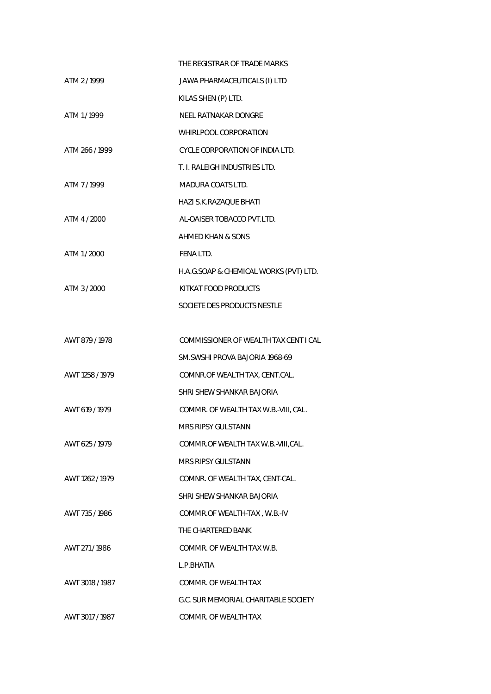|                 | THE REGISTRAR OF TRADE MARKS           |
|-----------------|----------------------------------------|
| ATM 2/1999      | JAWA PHARMACEUTICALS (I) LTD           |
|                 | KILAS SHEN (P) LTD.                    |
| ATM 1/1999      | NEEL RATNAKAR DONGRE                   |
|                 | WHIRLPOOL CORPORATION                  |
| ATM 266/1999    | CYCLE CORPORATION OF INDIA LTD.        |
|                 | T. I. RALEIGH INDUSTRIES LTD.          |
| ATM 7/1999      | MADURA COATS LTD.                      |
|                 | HAZI S.K.RAZAQUE BHATI                 |
| ATM 4 / 2000    | AL-OAISER TOBACCO PVT.LTD.             |
|                 | AHMED KHAN & SONS                      |
| ATM 1/2000      | FENA LTD.                              |
|                 | H.A.G.SOAP & CHEMICAL WORKS (PVT) LTD. |
| ATM 3 / 2000    | KITKAT FOOD PRODUCTS                   |
|                 | SOCIETE DES PRODUCTS NESTLE            |
|                 |                                        |
| AWT 879 / 1978  | COMMISSIONER OF WEALTH TAX CENT I CAL  |
|                 | SM.SWSHI PROVA BAJORIA 1968-69         |
| AWT 1258 / 1979 | COMNR.OF WEALTH TAX, CENT.CAL.         |
|                 | SHRI SHEW SHANKAR BAJORIA              |
| AWT 619 / 1979  | COMMR. OF WEALTH TAX W.B.-VIII, CAL.   |
|                 | MRS RIPSY GULSTANN                     |
| AWT 625/1979    | COMMR.OF WEALTH TAX W.B.-VIII, CAL.    |
|                 | <b>MRS RIPSY GULSTANN</b>              |
| AWT 1262 / 1979 | COMNR. OF WEALTH TAX, CENT-CAL.        |
|                 | SHRI SHEW SHANKAR BAJORIA              |
| AWT 735/1986    | COMMR.OF WEALTH-TAX, W.B.-IV           |
|                 | THE CHARTERED BANK                     |
| AWT 271/1986    | COMMR. OF WEALTH TAX W.B.              |
|                 | L.P.BHATIA                             |
| AWT 3018 / 1987 | COMMR. OF WEALTH TAX                   |
|                 | G.C. SUR MEMORIAL CHARITABLE SOCIETY   |
| AWT 3017/1987   | COMMR. OF WEALTH TAX                   |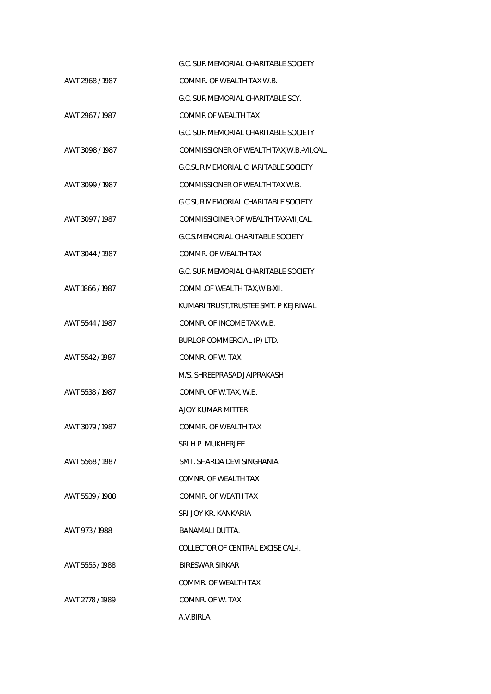|                 | G.C. SUR MEMORIAL CHARITABLE SOCIETY       |
|-----------------|--------------------------------------------|
| AWT 2968 / 1987 | COMMR. OF WEALTH TAX W.B.                  |
|                 | G.C. SUR MEMORIAL CHARITABLE SCY.          |
| AWT 2967 / 1987 | COMMR OF WEALTH TAX                        |
|                 | G.C. SUR MEMORIAL CHARITABLE SOCIETY       |
| AWT 3098 / 1987 | COMMISSIONER OF WEALTH TAX, W.B.-VII, CAL. |
|                 | <b>G.C.SUR MEMORIAL CHARITABLE SOCIETY</b> |
| AWT 3099 / 1987 | COMMISSIONER OF WEALTH TAX W.B.            |
|                 | <b>G.C.SUR MEMORIAL CHARITABLE SOCIETY</b> |
| AWT 3097 / 1987 | COMMISSIOINER OF WEALTH TAX-VII, CAL.      |
|                 | G.C.S.MEMORIAL CHARITABLE SOCIETY          |
| AWT 3044 / 1987 | COMMR. OF WEALTH TAX                       |
|                 | G.C. SUR MEMORIAL CHARITABLE SOCIETY       |
| AWT 1866 / 1987 | COMM .OF WEALTH TAX, W B-XII.              |
|                 | KUMARI TRUST, TRUSTEE SMT. P KEJRIWAL.     |
| AWT 5544 / 1987 | COMNR. OF INCOME TAX W.B.                  |
|                 | BURLOP COMMERCIAL (P) LTD.                 |
| AWT 5542 / 1987 | COMNR. OF W. TAX                           |
|                 | M/S. SHREEPRASAD JAIPRAKASH                |
| AWT 5538 / 1987 | COMNR. OF W.TAX, W.B.                      |
|                 | AJOY KUMAR MITTER                          |
| AWT 3079 / 1987 | COMMR. OF WEALTH TAX                       |
|                 | SRI H.P. MUKHERJEF                         |
| AWT 5568/1987   | SMT. SHARDA DEVI SINGHANIA                 |
|                 | COMNR. OF WEALTH TAX                       |
| AWT 5539 / 1988 | COMMR. OF WEATH TAX                        |
|                 | SRI JOY KR. KANKARIA                       |
| AWT 973/1988    | BANAMALI DUTTA.                            |
|                 | COLLECTOR OF CENTRAL EXCISE CAL-I.         |
| AWT 5555 / 1988 | BIRESWAR SIRKAR                            |
|                 | COMMR. OF WEALTH TAX                       |
| AWT 2778 / 1989 | COMNR. OF W. TAX                           |
|                 | A.V.BIRLA                                  |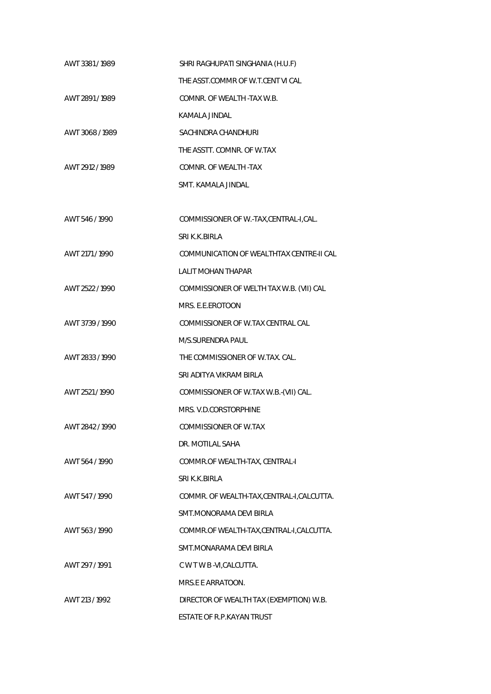| AWT 3381/1989   | SHRI RAGHUPATI SINGHANIA (H.U.F)           |
|-----------------|--------------------------------------------|
|                 | THE ASST.COMMR OF W.T.CENT VI CAL          |
| AWT 2891/1989   | COMNR. OF WEALTH -TAX W.B.                 |
|                 | KAMALA JINDAL                              |
| AWT 3068 / 1989 | SACHINDRA CHANDHURI                        |
|                 | THE ASSTT, COMNR, OF W.TAX                 |
| AWT 2912 / 1989 | COMNR. OF WEALTH -TAX                      |
|                 | SMT. KAMALA JINDAL                         |
|                 |                                            |
| AWT 546 / 1990  | COMMISSIONER OF W.-TAX,CENTRAL-I,CAL.      |
|                 | SRI K.K.BIRLA                              |
| AWT 2171 / 1990 | COMMUNICATION OF WEALTHTAX CENTRE-II CAL   |
|                 | <b>LALIT MOHAN THAPAR</b>                  |
| AWT 2522 / 1990 | COMMISSIONER OF WELTH TAX W.B. (VII) CAL   |
|                 | MRS. E.E.EROTOON                           |
| AWT 3739 / 1990 | COMMISSIONER OF W.TAX CENTRAL CAL          |
|                 | M/S.SURENDRA PAUL                          |
| AWT 2833 / 1990 | THE COMMISSIONER OF W.TAX. CAL.            |
|                 | SRI ADITYA VIKRAM BIRLA                    |
| AWT 2521/1990   | COMMISSIONER OF W.TAX W.B.-(VII) CAL.      |
|                 | MRS. V.D.CORSTORPHINE                      |
| AWT 2842 / 1990 | COMMISSIONER OF W.TAX                      |
|                 | DR. MOTILAL SAHA                           |
| AWT 564 / 1990  | COMMR.OF WEALTH-TAX, CENTRAL-I             |
|                 | SRI K.K.BIRLA                              |
| AWT 547/1990    | COMMR. OF WEALTH-TAX, CENTRAL-I, CALCUTTA. |
|                 | SMT.MONORAMA DEVI BIRLA                    |
| AWT 563/1990    | COMMR.OF WEALTH-TAX,CENTRAL-I,CALCUTTA.    |
|                 | SMT.MONARAMA DEVI BIRLA                    |
| AWT 297 / 1991  | C W T W B -VI, CALCUTTA.                   |
|                 | MRS.E E ARRATOON.                          |
| AWT 213 / 1992  | DIRECTOR OF WEALTH TAX (EXEMPTION) W.B.    |
|                 | ESTATE OF R.P.KAYAN TRUST                  |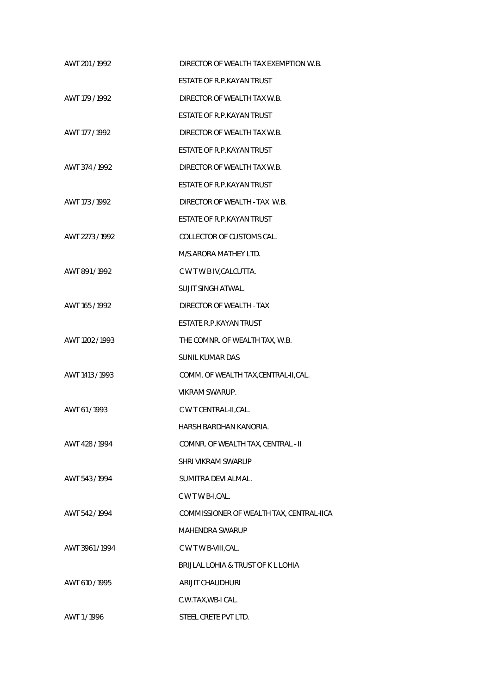| AWT 201/1992    | DIRECTOR OF WEALTH TAX EXEMPTION W.B.    |
|-----------------|------------------------------------------|
|                 | ESTATE OF R.P.KAYAN TRUST                |
| AWT 179 / 1992  | DIRECTOR OF WEALTH TAX W.B.              |
|                 | ESTATE OF R.P.KAYAN TRUST                |
| AWT 177 / 1992  | DIRECTOR OF WEALTH TAX W.B.              |
|                 | ESTATE OF R.P.KAYAN TRUST                |
| AWT 374 / 1992  | DIRECTOR OF WEALTH TAX W.B.              |
|                 | ESTATE OF R.P.KAYAN TRUST                |
| AWT 173 / 1992  | DIRECTOR OF WEALTH - TAX W.B.            |
|                 | ESTATE OF R.P.KAYAN TRUST                |
| AWT 2273 / 1992 | COLLECTOR OF CUSTOMS CAL.                |
|                 | M/S.ARORA MATHEY LTD.                    |
| AWT 891/1992    | C W T W B IV, CALCUTTA.                  |
|                 | <b>SUJIT SINGH ATWAL.</b>                |
| AWT 165 / 1992  | DIRECTOR OF WEALTH - TAX                 |
|                 | ESTATE R.P.KAYAN TRUST                   |
| AWT 1202 / 1993 | THE COMNR. OF WEALTH TAX, W.B.           |
|                 | <b>SUNIL KUMAR DAS</b>                   |
| AWT 1413 / 1993 | COMM. OF WEALTH TAX, CENTRAL-II, CAL.    |
|                 | <b>VIKRAM SWARUP.</b>                    |
| AWT 61/1993     | C W T CENTRAL-II, CAL.                   |
|                 | HARSH BARDHAN KANORIA.                   |
| AWT 428 / 1994  | COMNR. OF WEALTH TAX, CENTRAL - II       |
|                 | SHRI VIKRAM SWARUP                       |
| AWT 543/1994    | SUMITRA DEVI ALMAL.                      |
|                 | C W T W B-I, CAL.                        |
| AWT 542/1994    | COMMISSIONER OF WEALTH TAX, CENTRAL-IICA |
|                 | <b>MAHENDRA SWARUP</b>                   |
| AWT 3961/1994   | C W T W B-VIII, CAL.                     |
|                 | BRIJLAL LOHIA & TRUST OF K L LOHIA       |
| AWT 610 / 1995  | ARIJIT CHAUDHURI                         |
|                 | C.W.TAX, WB-I CAL.                       |
| AWT 1/1996      | STEEL CRETE PVT LTD.                     |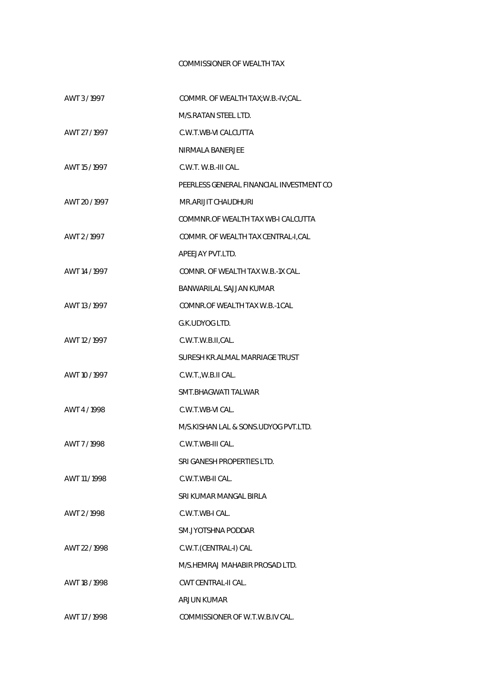## COMMISSIONER OF WEALTH TAX

| AWT 3/1997    | COMMR. OF WEALTH TAX; W.B.-IV; CAL.      |
|---------------|------------------------------------------|
|               | M/S.RATAN STEEL LTD.                     |
| AWT 27/1997   | C.W.T.WB-VI CALCUTTA                     |
|               | NIRMALA BANERJEE                         |
| AWT 15/1997   | C.W.T. W.B.-III CAL.                     |
|               | PEERLESS GENERAL FINANCIAL INVESTMENT CO |
| AWT 20 / 1997 | MR.ARIJIT CHAUDHURI                      |
|               | COMMNR.OF WEALTH TAX WB-I CALCUTTA       |
| AWT 2/1997    | COMMR. OF WEALTH TAX CENTRAL-I, CAL      |
|               | APEEJAY PVT.LTD.                         |
| AWT 14 / 1997 | COMNR. OF WEALTH TAX W.B.-1X CAL.        |
|               | BANWARILAL SAJJAN KUMAR                  |
| AWT 13 / 1997 | COMNR.OF WEALTH TAX W.B.-1 CAL           |
|               | G.K.UDYOG LTD.                           |
| AWT 12 / 1997 | C.W.T.W.B.II,CAL.                        |
|               | SURESH KR.ALMAL MARRIAGE TRUST           |
| AWT 10 / 1997 | C.W.T., W.B.II CAL.                      |
|               | SMT.BHAGWATI TALWAR                      |
| AWT 4 / 1998  | C.W.T.WB-VI CAL.                         |
|               | M/S.KISHAN LAL & SONS.UDYOG PVT.LTD.     |
| AWT 7/1998    | C.W.T.WB-III CAL.                        |
|               | SRI GANESH PROPERTIES LTD.               |
| AWT 11/1998   | C.W.T.WB-II CAL.                         |
|               | SRI KUMAR MANGAL BIRLA                   |
| AWT 2/1998    | C.W.T.WB-I CAL.                          |
|               | SM.JYOTSHNA PODDAR                       |
| AWT 22 / 1998 | C.W.T.(CENTRAL-I) CAL                    |
|               | M/S.HEMRAJ MAHABIR PROSAD LTD.           |
| AWT 18 / 1998 | CWT CENTRAL-II CAL.                      |
|               | <b>ARJUN KUMAR</b>                       |
| AWT 17 / 1998 | COMMISSIONER OF W.T.W.B.IV CAL.          |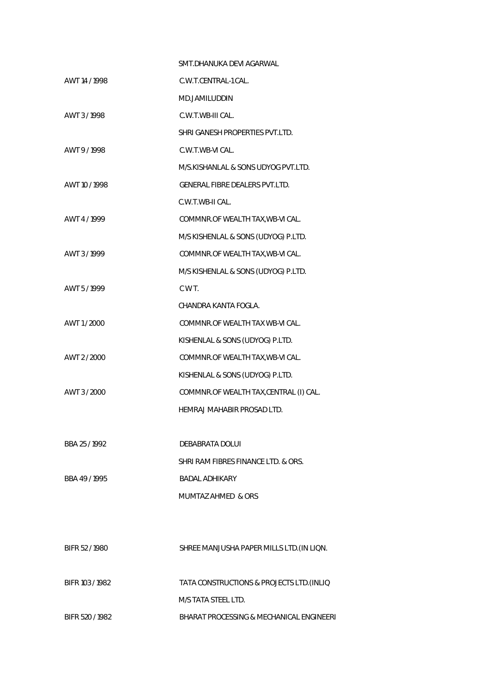|                 | SMT.DHANUKA DEVI AGARWAL                  |
|-----------------|-------------------------------------------|
| AWT 14 / 1998   | C.W.T.CENTRAL-1 CAL.                      |
|                 | MD.JAMILUDDIN                             |
| AWT 3/1998      | C.W.T.WB-III CAL.                         |
|                 | SHRI GANESH PROPERTIES PVT.LTD.           |
| AWT 9/1998      | C.W.T.WB-VI CAL.                          |
|                 | M/S.KISHANLAL & SONS UDYOG PVT.LTD.       |
| AWT 10 / 1998   | <b>GENERAL FIBRE DEALERS PVT.LTD.</b>     |
|                 | C.W.T.WB-II CAL.                          |
| AWT 4/1999      | COMMNR.OF WEALTH TAX, WB-VI CAL.          |
|                 | M/S KISHENLAL & SONS (UDYOG) P.LTD.       |
| AWT 3/1999      | COMMNR.OF WEALTH TAX, WB-VI CAL.          |
|                 | M/S KISHENLAL & SONS (UDYOG) P.LTD.       |
| AWT 5/1999      | C W T.                                    |
|                 | CHANDRA KANTA FOGLA.                      |
| AWT 1/2000      | COMMNR.OF WEALTH TAX WB-VI CAL.           |
|                 | KISHENLAL & SONS (UDYOG) P.LTD.           |
| AWT 2/2000      | COMMNR.OF WEALTH TAX, WB-VI CAL.          |
|                 | KISHENLAL & SONS (UDYOG) P.LTD.           |
| AWT 3/2000      | COMMNR.OF WEALTH TAX, CENTRAL (I) CAL.    |
|                 | HEMRAJ MAHABIR PROSAD LTD.                |
|                 |                                           |
| BBA 25/1992     | DEBABRATA DOLUI                           |
|                 | SHRI RAM FIBRES FINANCE LTD. & ORS.       |
| BBA 49/1995     | <b>BADAL ADHIKARY</b>                     |
|                 | MUMTAZ AHMED & ORS                        |
|                 |                                           |
|                 |                                           |
| BIFR 52/1980    | SHREE MANJUSHA PAPER MILLS LTD. (IN LIQN. |
|                 |                                           |
| BIFR 103 / 1982 | TATA CONSTRUCTIONS & PROJECTS LTD. (INLIQ |
|                 | M/S TATA STEEL LTD.                       |

BIFR 520 / 1982 BHARAT PROCESSING & MECHANICAL ENGINEERI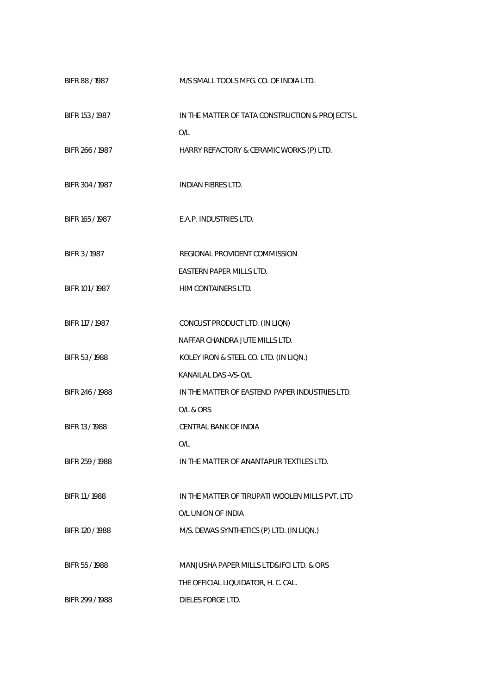| BIFR 88 / 1987  | M/S SMALL TOOLS MFG. CO. OF INDIA LTD.                 |
|-----------------|--------------------------------------------------------|
| BIFR 153 / 1987 | IN THE MATTER OF TATA CONSTRUCTION & PROJECTS L<br>O/L |
| BIFR 266/1987   | HARRY REFACTORY & CERAMIC WORKS (P) LTD.               |
| BIFR 304 / 1987 | <b>INDIAN FIBRES LTD.</b>                              |
| BIFR 165 / 1987 | E.A.P. INDUSTRIES LTD.                                 |
| BIFR 3/1987     | REGIONAL PROVIDENT COMMISSION                          |
|                 | EASTERN PAPER MILLS LTD.                               |
| BIFR 101 / 1987 | HIM CONTAINERS LTD.                                    |
| BIFR 117 / 1987 | CONCUST PRODUCT LTD. (IN LIQN)                         |
|                 | NAFFAR CHANDRA JUTE MILLS LTD.                         |
| BIFR 53/1988    | KOLEY IRON & STEEL CO. LTD. (IN LIQN.)                 |
|                 | KANAILAL DAS - VS- O/L                                 |
| BIFR 246 / 1988 | IN THE MATTER OF EASTEND PAPER INDUSTRIES LTD.         |
|                 | O/L & ORS                                              |
| BIFR 13 / 1988  | CENTRAL BANK OF INDIA                                  |
|                 | O/L                                                    |
| BIFR 259 / 1988 | IN THE MATTER OF ANANTAPUR TEXTILES LTD.               |
| BIFR 11 / 1988  | IN THE MATTER OF TIRUPATI WOOLEN MILLS PVT. LTD        |
|                 | O/L UNION OF INDIA                                     |
| BIFR 120 / 1988 | M/S. DEWAS SYNTHETICS (P) LTD. (IN LIQN.)              |
| BIFR 55/1988    | MANJUSHA PAPER MILLS LTD&IFCI LTD. & ORS               |
|                 | THE OFFICIAL LIQUIDATOR, H. C. CAL.                    |
| BIFR 299 / 1988 | DIELES FORGE LTD.                                      |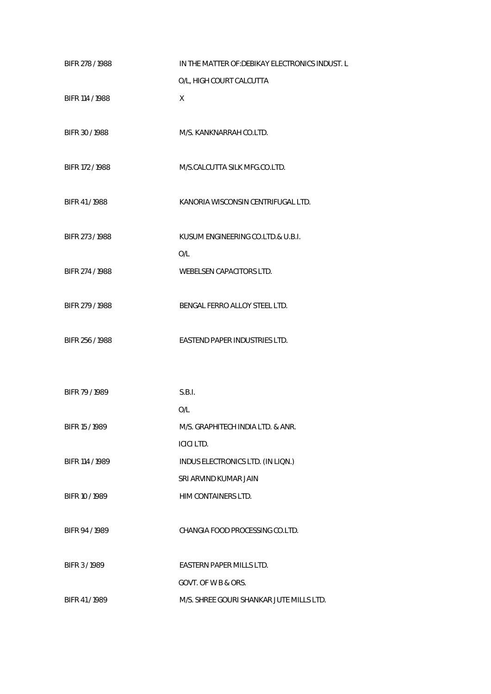| BIFR 278 / 1988 | IN THE MATTER OF: DEBIKAY ELECTRONICS INDUST. L |
|-----------------|-------------------------------------------------|
|                 | O/L, HIGH COURT CALCUTTA                        |
| BIFR 114 / 1988 | X                                               |
|                 |                                                 |
| BIFR 30 / 1988  | M/S. KANKNARRAH CO.LTD.                         |
|                 |                                                 |
| BIFR 172 / 1988 | M/S.CALCUTTA SILK MFG.CO.LTD.                   |
| BIFR 41/1988    | KANORIA WISCONSIN CENTRIFUGAL LTD.              |
|                 |                                                 |
| BIFR 273 / 1988 | KUSUM ENGINEERING CO.LTD.& U.B.I.               |
|                 | O/L                                             |
| BIFR 274 / 1988 | WEBELSEN CAPACITORS LTD.                        |
|                 |                                                 |
| BIFR 279 / 1988 | BENGAL FERRO ALLOY STEEL LTD.                   |
|                 |                                                 |
| BIFR 256 / 1988 | EASTEND PAPER INDUSTRIES LTD.                   |
|                 |                                                 |
| BIFR 79 / 1989  | S.B.I.                                          |
|                 | O/L                                             |
| BIFR 15 / 1989  | M/S. GRAPHITECH INDIA LTD. & ANR.               |
|                 | <b>ICICI LTD.</b>                               |
| BIFR 114 / 1989 | INDUS ELECTRONICS LTD. (IN LIQN.)               |
|                 | SRI ARVIND KUMAR JAIN                           |
| BIFR 10 / 1989  | HIM CONTAINERS LTD.                             |
|                 |                                                 |
| BIFR 94/1989    | CHANGIA FOOD PROCESSING CO.LTD.                 |
| BIFR 3/1989     | <b>EASTERN PAPER MILLS LTD.</b>                 |
|                 | GOVT. OF W B & ORS.                             |
| BIFR 41/1989    | M/S. SHREE GOURI SHANKAR JUTE MILLS LTD.        |
|                 |                                                 |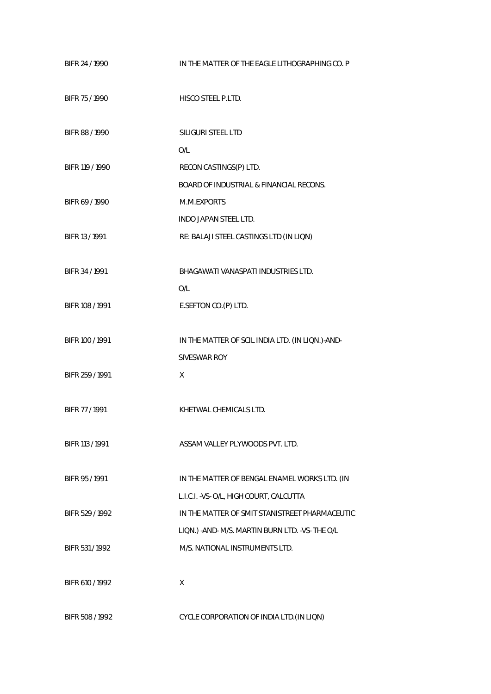| BIFR 24 / 1990  | IN THE MATTER OF THE EAGLE LITHOGRAPHING CO. P    |
|-----------------|---------------------------------------------------|
| BIFR 75 / 1990  | HISCO STEEL P.LTD.                                |
| BIFR 88 / 1990  | SILIGURI STEEL LTD                                |
|                 | O/L                                               |
| BIFR 119 / 1990 | RECON CASTINGS(P) LTD.                            |
|                 | BOARD OF INDUSTRIAL & FINANCIAL RECONS.           |
| BIFR 69 / 1990  | M.M.EXPORTS                                       |
|                 | <b>INDO JAPAN STEEL LTD.</b>                      |
| BIFR 13 / 1991  | RE: BALAJI STEEL CASTINGS LTD (IN LIQN)           |
|                 |                                                   |
| BIFR 34 / 1991  | BHAGAWATI VANASPATI INDUSTRIES LTD.               |
|                 | O/L                                               |
| BIFR 108 / 1991 | E.SEFTON CO.(P) LTD.                              |
|                 |                                                   |
| BIFR 100 / 1991 | IN THE MATTER OF SCIL INDIA LTD. (IN LIQN.)-AND-  |
|                 | SIVESWAR ROY                                      |
| BIFR 259 / 1991 | X                                                 |
|                 |                                                   |
| BIFR 77 / 1991  | KHETWAL CHEMICALS LTD.                            |
|                 |                                                   |
| BIFR 113 / 1991 | ASSAM VALLEY PLYWOODS PVT. LTD.                   |
|                 |                                                   |
| BIFR 95/1991    | IN THE MATTER OF BENGAL ENAMEL WORKS LTD. (IN     |
|                 | L.I.C.I. - VS- O/L, HIGH COURT, CALCUTTA          |
| BIFR 529 / 1992 | IN THE MATTER OF SMIT STANISTREET PHARMACEUTIC    |
|                 | LIQN.) - AND- M/S. MARTIN BURN LTD. - VS- THE O/L |
| BIFR 531/1992   | M/S. NATIONAL INSTRUMENTS LTD.                    |
|                 |                                                   |
| BIFR 610 / 1992 | X                                                 |
|                 |                                                   |
| BIFR 508 / 1992 | CYCLE CORPORATION OF INDIA LTD. (IN LIQN)         |
|                 |                                                   |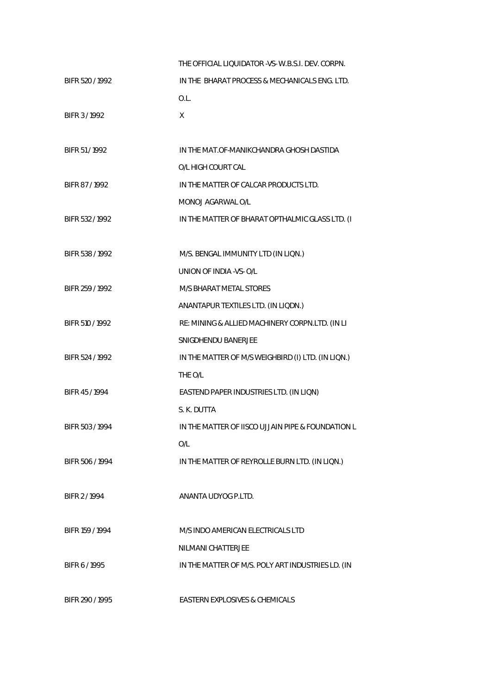|                 | THE OFFICIAL LIQUIDATOR - VS-W.B.S.I. DEV. CORPN.  |
|-----------------|----------------------------------------------------|
| BIFR 520 / 1992 | IN THE BHARAT PROCESS & MECHANICALS ENG. LTD.      |
|                 | O.L.                                               |
| BIFR 3/1992     | X                                                  |
|                 |                                                    |
| BIFR 51/1992    | IN THE MAT.OF-MANIKCHANDRA GHOSH DASTIDA           |
|                 | O/L HIGH COURT CAL                                 |
| BIFR 87/1992    | IN THE MATTER OF CALCAR PRODUCTS LTD.              |
|                 | MONOJ AGARWAL O/L                                  |
| BIFR 532 / 1992 | IN THE MATTER OF BHARAT OPTHALMIC GLASS LTD. (I    |
|                 |                                                    |
| BIFR 538 / 1992 | M/S. BENGAL IMMUNITY LTD (IN LIQN.)                |
|                 | UNION OF INDIA - VS- O/L                           |
| BIFR 259 / 1992 | M/S BHARAT METAL STORES                            |
|                 | ANANTAPUR TEXTILES LTD. (IN LIQDN.)                |
| BIFR 510 / 1992 | RE: MINING & ALLIED MACHINERY CORPN.LTD. (IN LI    |
|                 | SNIGDHENDU BANERJEE                                |
| BIFR 524 / 1992 | IN THE MATTER OF M/S WEIGHBIRD (I) LTD. (IN LIQN.) |
|                 | THE O/L                                            |
| BIFR 45/1994    | EASTEND PAPER INDUSTRIES LTD. (IN LIQN)            |
|                 | S. K. DUTTA                                        |
| BIFR 503 / 1994 | IN THE MATTER OF IISCO UJJAIN PIPE & FOUNDATION L  |
|                 | O/L                                                |
| BIFR 506 / 1994 | IN THE MATTER OF REYROLLE BURN LTD. (IN LIQN.)     |
|                 |                                                    |
| BIFR 2/1994     | ANANTA UDYOG P.LTD.                                |
|                 |                                                    |
| BIFR 159 / 1994 | M/S INDO AMERICAN ELECTRICALS LTD                  |
|                 | NILMANI CHATTERJEE                                 |
| BIFR 6 / 1995   | IN THE MATTER OF M/S. POLY ART INDUSTRIES LD. (IN  |
|                 |                                                    |
| BIFR 290 / 1995 | EASTERN EXPLOSIVES & CHEMICALS                     |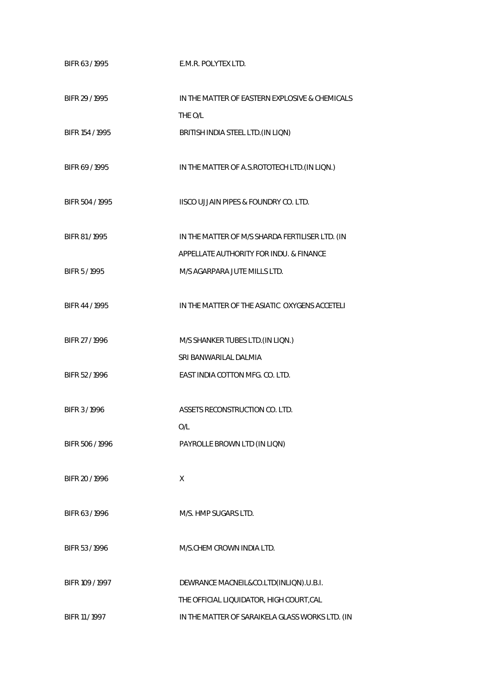| BIFR 63/1995    | E.M.R. POLYTEX LTD.                             |
|-----------------|-------------------------------------------------|
| BIFR 29 / 1995  | IN THE MATTER OF EASTERN EXPLOSIVE & CHEMICALS  |
|                 | THE O/L                                         |
| BIFR 154 / 1995 | BRITISH INDIA STEEL LTD. (IN LIQN)              |
| BIFR 69/1995    | IN THE MATTER OF A.S.ROTOTECH LTD. (IN LIQN.)   |
| BIFR 504 / 1995 | IISCO UJJAIN PIPES & FOUNDRY CO. LTD.           |
| BIFR 81/1995    | IN THE MATTER OF M/S SHARDA FERTILISER LTD. (IN |
|                 | APPELLATE AUTHORITY FOR INDU. & FINANCE         |
| BIFR 5 / 1995   | M/S AGARPARA JUTE MILLS LTD.                    |
| BIFR 44/1995    | IN THE MATTER OF THE ASIATIC OXYGENS ACCETELI   |
| BIFR 27/1996    | M/S SHANKER TUBES LTD. (IN LIQN.)               |
|                 | SRI BANWARILAL DALMIA                           |
| BIFR 52/1996    | EAST INDIA COTTON MFG. CO. LTD.                 |
| BIFR 3/1996     | ASSETS RECONSTRUCTION CO. LTD.<br>O/L           |
| BIFR 506 / 1996 | PAYROLLE BROWN LTD (IN LIQN)                    |
| BIFR 20 / 1996  | X                                               |
| BIFR 63 / 1996  | M/S. HMP SUGARS LTD.                            |
| BIFR 53/1996    | M/S.CHEM CROWN INDIA LTD.                       |
| BIFR 109 / 1997 | DEWRANCE MACNEIL&CO.LTD(INLIQN).U.B.I.          |
|                 | THE OFFICIAL LIQUIDATOR, HIGH COURT, CAL        |
| BIFR 11 / 1997  | IN THE MATTER OF SARAIKELA GLASS WORKS LTD. (IN |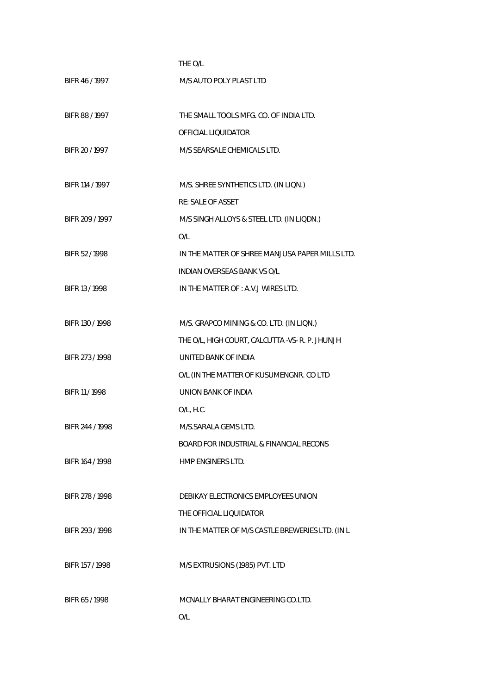|                 | THE O/L                                            |
|-----------------|----------------------------------------------------|
| BIFR 46/1997    | M/S AUTO POLY PLAST LTD                            |
|                 |                                                    |
| BIFR 88 / 1997  | THE SMALL TOOLS MFG. CO. OF INDIA LTD.             |
|                 | OFFICIAL LIQUIDATOR                                |
| BIFR 20 / 1997  | M/S SEARSALE CHEMICALS LTD.                        |
|                 |                                                    |
| BIFR 114 / 1997 | M/S. SHREE SYNTHETICS LTD. (IN LIQN.)              |
|                 | <b>RE: SALE OF ASSET</b>                           |
| BIFR 209 / 1997 | M/S SINGH ALLOYS & STEEL LTD. (IN LIQDN.)          |
|                 | O/L                                                |
| BIFR 52/1998    | IN THE MATTER OF SHREE MANJUSA PAPER MILLS LTD.    |
|                 | <b>INDIAN OVERSEAS BANK VS O/L</b>                 |
| BIFR 13 / 1998  | IN THE MATTER OF: A.V.J WIRES LTD.                 |
|                 |                                                    |
| BIFR 130 / 1998 | M/S. GRAPCO MINING & CO. LTD. (IN LIQN.)           |
|                 | THE O/L, HIGH COURT, CALCUTTA -VS- R. P. JHUNJH    |
| BIFR 273 / 1998 | UNITED BANK OF INDIA                               |
|                 | O/L (IN THE MATTER OF KUSUMENGNR. CO LTD           |
| BIFR 11 / 1998  | UNION BANK OF INDIA                                |
|                 | O/L, H.C.                                          |
| BIFR 244 / 1998 | M/S.SARALA GEMS LTD.                               |
|                 | <b>BOARD FOR INDUSTRIAL &amp; FINANCIAL RECONS</b> |
| BIFR 164 / 1998 | HMP ENGINERS LTD.                                  |
|                 |                                                    |
| BIFR 278 / 1998 | DEBIKAY ELECTRONICS EMPLOYEES UNION                |
|                 | THE OFFICIAL LIQUIDATOR                            |
| BIFR 293 / 1998 | IN THE MATTER OF M/S CASTLE BREWERIES LTD. (IN L   |
|                 |                                                    |
| BIFR 157 / 1998 | M/S EXTRUSIONS (1985) PVT. LTD                     |
|                 |                                                    |
| BIFR 65/1998    | MCNALLY BHARAT ENGINEERING CO.LTD.                 |
|                 | O/L                                                |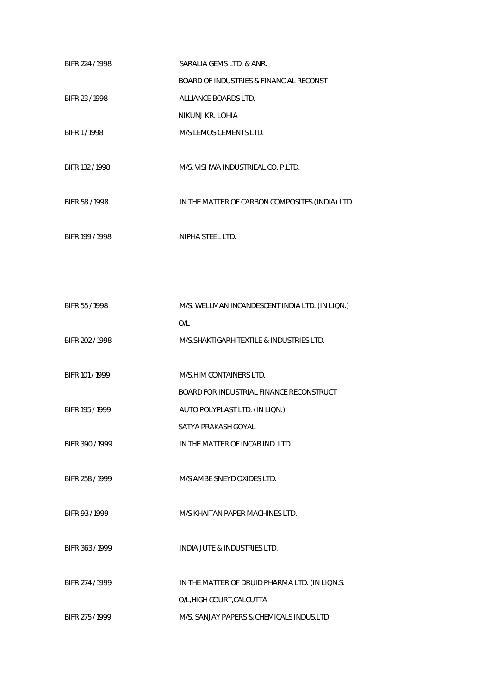| BIFR 224 / 1998 | SARALIA GEMS LTD. & ANR.                        |
|-----------------|-------------------------------------------------|
|                 | BOARD OF INDUSTRIES & FINANCIAL RECONST         |
| BIFR 23/1998    | ALLIANCE BOARDS LTD.                            |
|                 | NIKUNJ KR. LOHIA                                |
| BIFR 1/1998     | M/S LEMOS CEMENTS LTD.                          |
|                 |                                                 |
| BIFR 132 / 1998 | M/S. VISHWA INDUSTRIEAL CO. P.LTD.              |
|                 |                                                 |
| BIFR 58 / 1998  | IN THE MATTER OF CARBON COMPOSITES (INDIA) LTD. |
|                 |                                                 |
| BIFR 199 / 1998 | NIPHA STEEL LTD.                                |
|                 |                                                 |
|                 |                                                 |
|                 |                                                 |
| BIFR 55/1998    | M/S. WELLMAN INCANDESCENT INDIA LTD. (IN LIQN.) |
|                 | O/L                                             |
| BIFR 202 / 1998 | M/S. SHAKTIGARH TEXTILE & INDUSTRIES LTD.       |
|                 |                                                 |
| BIFR 101 / 1999 | M/S.HIM CONTAINERS LTD.                         |
|                 | BOARD FOR INDUSTRIAL FINANCE RECONSTRUCT        |
| BIFR 195 / 1999 | AUTO POLYPLAST LTD. (IN LIQN.)                  |
|                 | SATYA PRAKASH GOYAL                             |
| BIFR 390 / 1999 | IN THE MATTER OF INCAB IND. LTD                 |
|                 |                                                 |
| BIFR 258 / 1999 | M/S AMBE SNEYD OXIDES LTD.                      |
|                 |                                                 |
| BIFR 93/1999    | M/S KHAITAN PAPER MACHINES LTD.                 |
|                 |                                                 |
| BIFR 363/1999   | <b>INDIA JUTE &amp; INDUSTRIES LTD.</b>         |
|                 |                                                 |
| BIFR 274 / 1999 | IN THE MATTER OF DRUID PHARMA LTD. (IN LIQN.S.  |
|                 | O/L, HIGH COURT, CALCUTTA                       |
| BIFR 275 / 1999 | M/S. SANJAY PAPERS & CHEMICALS INDUS.LTD        |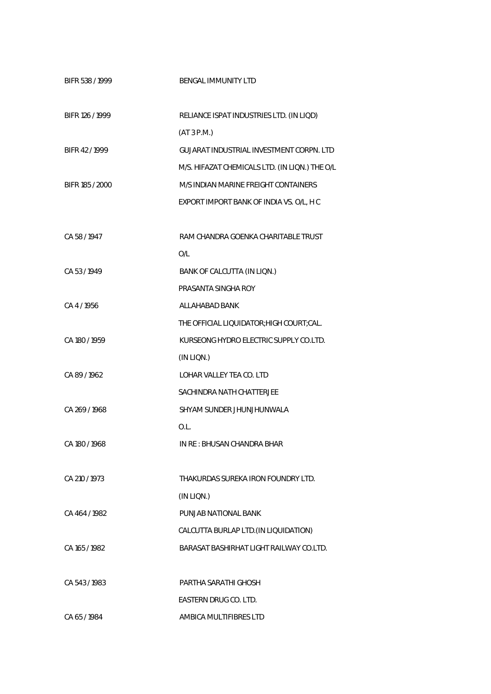| BIFR 538 / 1999 | <b>BENGAL IMMUNITY LTD</b>                      |
|-----------------|-------------------------------------------------|
| BIFR 126 / 1999 | RELIANCE ISPAT INDUSTRIES LTD. (IN LIQD)        |
|                 | (AT 3 P.M.)                                     |
| BIFR 42/1999    | <b>GUJARAT INDUSTRIAL INVESTMENT CORPN. LTD</b> |
|                 | M/S. HIFAZAT CHEMICALS LTD. (IN LIQN.) THE O/L  |
| BIFR 185 / 2000 | M/S INDIAN MARINE FREIGHT CONTAINERS            |
|                 | EXPORT IMPORT BANK OF INDIA VS. O/L, HC         |
| CA 58 / 1947    | RAM CHANDRA GOENKA CHARITABLE TRUST             |
|                 | O/L                                             |
| CA 53/1949      | BANK OF CALCUTTA (IN LIQN.)                     |
|                 | PRASANTA SINGHA ROY                             |
| CA4/1956        | ALLAHABAD BANK                                  |
|                 | THE OFFICIAL LIQUIDATOR; HIGH COURT; CAL.       |
| CA 180 / 1959   | KURSEONG HYDRO ELECTRIC SUPPLY CO.LTD.          |
|                 | (IN LIQN.)                                      |
| CA89/1962       | LOHAR VALLEY TEA CO. LTD                        |
|                 | SACHINDRA NATH CHATTERJEE                       |
| CA 269 / 1968   | SHYAM SUNDER JHUNJHUNWALA                       |
|                 | O.L.                                            |
| CA 180 / 1968   | IN RE: BHUSAN CHANDRA BHAR                      |
| CA 210 / 1973   | THAKURDAS SUREKA IRON FOUNDRY LTD.              |
|                 | (IN LIQN.)                                      |
| CA 464/1982     | PUNJAB NATIONAL BANK                            |
|                 | CALCUTTA BURLAP LTD. (IN LIQUIDATION)           |
| CA 165 / 1982   | BARASAT BASHIRHAT LIGHT RAILWAY CO.LTD.         |
| CA 543/1983     | PARTHA SARATHI GHOSH                            |
|                 | EASTERN DRUG CO. LTD.                           |
| CA 65/1984      | AMBICA MULTIFIBRES LTD                          |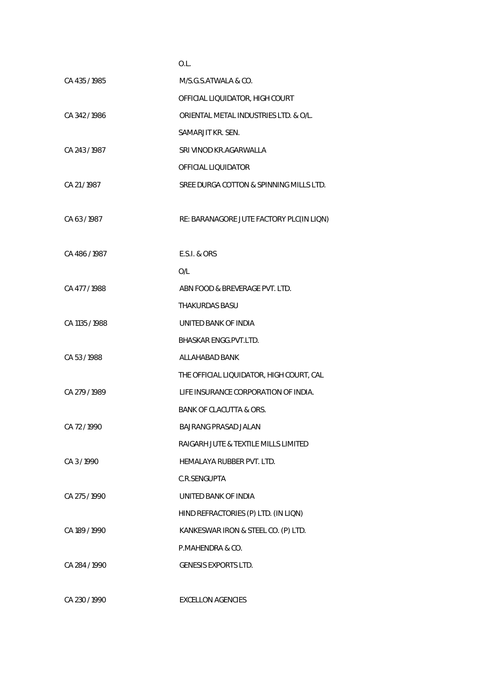|                | O.L.                                     |
|----------------|------------------------------------------|
| CA 435/1985    | M/S.G.S.ATWALA & CO.                     |
|                | OFFICIAL LIQUIDATOR, HIGH COURT          |
| CA 342/1986    | ORIENTAL METAL INDUSTRIES LTD. & O/L.    |
|                | SAMARJIT KR. SEN.                        |
| CA 243/1987    | SRI VINOD KR.AGARWALLA                   |
|                | OFFICIAL LIQUIDATOR                      |
| CA 21/1987     | SREE DURGA COTTON & SPINNING MILLS LTD.  |
| CA 63/1987     | RE: BARANAGORE JUTE FACTORY PLC(IN LIQN) |
| CA 486 / 1987  | <b>E.S.I. &amp; ORS</b>                  |
|                | O/L                                      |
| CA 477/1988    | ABN FOOD & BREVERAGE PVT. LTD.           |
|                | THAKURDAS BASU                           |
| CA 1135 / 1988 | UNITED BANK OF INDIA                     |
|                | <b>BHASKAR ENGG.PVT.LTD.</b>             |
| CA 53/1988     | ALLAHABAD BANK                           |
|                | THE OFFICIAL LIQUIDATOR, HIGH COURT, CAL |
| CA 279 / 1989  | LIFE INSURANCE CORPORATION OF INDIA.     |
|                | <b>BANK OF CLACUTTA &amp; ORS.</b>       |
| CA 72 / 1990   | BAJRANG PRASAD JALAN                     |
|                | RAIGARH JUTE & TEXTILE MILLS LIMITED     |
| CA 3/1990      | HEMALAYA RUBBER PVT. LTD.                |
|                | C.R.SENGUPTA                             |
| CA 275/1990    | UNITED BANK OF INDIA                     |
|                | HIND REFRACTORIES (P) LTD. (IN LIQN)     |
| CA 189 / 1990  | KANKESWAR IRON & STEEL CO. (P) LTD.      |
|                | P.MAHENDRA & CO.                         |
| CA 284 / 1990  | <b>GENESIS EXPORTS LTD.</b>              |
|                |                                          |

CA 230 / 1990 EXCELLON AGENCIES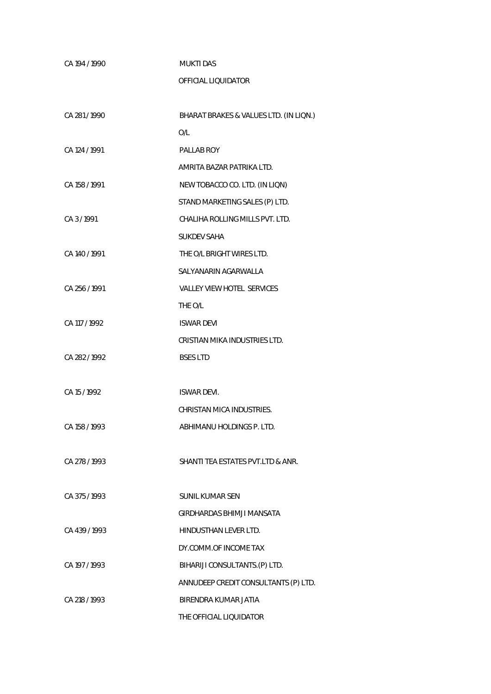| CA 194 / 1990 | <b>MUKTI DAS</b>                       |
|---------------|----------------------------------------|
|               | OFFICIAL LIQUIDATOR                    |
|               |                                        |
| CA 281/1990   | BHARAT BRAKES & VALUES LTD. (IN LIQN.) |
|               | O/L                                    |
| CA 124 / 1991 | PALLAB ROY                             |
|               | AMRITA BAZAR PATRIKA LTD.              |
| CA 158 / 1991 | NEW TOBACCO CO. LTD. (IN LIQN)         |
|               | STAND MARKETING SALES (P) LTD.         |
| CA 3/1991     | CHALIHA ROLLING MILLS PVT. LTD.        |
|               | <b>SUKDEV SAHA</b>                     |
| CA 140 / 1991 | THE O/L BRIGHT WIRES LTD.              |
|               | SALYANARIN AGARWALLA                   |
| CA 256 / 1991 | <b>VALLEY VIEW HOTEL SERVICES</b>      |
|               | THE O/L                                |
| CA 117 / 1992 | <b>ISWAR DEVI</b>                      |
|               | CRISTIAN MIKA INDUSTRIES LTD.          |
| CA 282/1992   | <b>BSES LTD</b>                        |
|               |                                        |
| CA 15 / 1992  | <b>ISWAR DEVI.</b>                     |
|               | CHRISTAN MICA INDUSTRIES.              |
| CA 158 / 1993 | ABHIMANU HOLDINGS P. LTD.              |
|               |                                        |
| CA 278 / 1993 | SHANTI TEA ESTATES PVT.LTD & ANR.      |
|               |                                        |
| CA 375 / 1993 | <b>SUNIL KUMAR SEN</b>                 |
|               | GIRDHARDAS BHIMJI MANSATA              |
| CA 439/1993   | HINDUSTHAN LEVER LTD.                  |
|               | DY.COMM.OF INCOME TAX                  |
| CA 197 / 1993 | BIHARIJI CONSULTANTS.(P) LTD.          |
|               | ANNUDEEP CREDIT CONSULTANTS (P) LTD.   |
| CA 218 / 1993 | BIRENDRA KUMAR JATIA                   |
|               | THE OFFICIAL LIQUIDATOR                |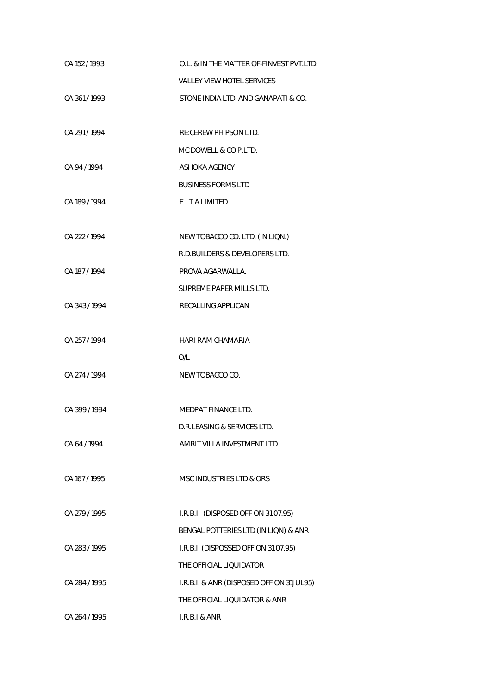| CA 152 / 1993 | O.L. & IN THE MATTER OF-FINVEST PVT.LTD. |
|---------------|------------------------------------------|
|               | <b>VALLEY VIEW HOTEL SERVICES</b>        |
| CA 361/1993   | STONE INDIA LTD. AND GANAPATI & CO.      |
|               |                                          |
| CA 291/1994   | RE:CEREW PHIPSON LTD.                    |
|               | MC DOWELL & CO P.LTD.                    |
| CA 94 / 1994  | ASHOKA AGENCY                            |
|               | <b>BUSINESS FORMS LTD</b>                |
| CA 189 / 1994 | E.I.T.A LIMITED                          |
|               |                                          |
| CA 222 / 1994 | NEW TOBACCO CO. LTD. (IN LIQN.)          |
|               | R.D.BUILDERS & DEVELOPERS LTD.           |
| CA 187 / 1994 | PROVA AGARWALLA.                         |
|               | SUPREME PAPER MILLS LTD.                 |
| CA 343/1994   | RECALLING APPLICAN                       |
|               |                                          |
| CA 257 / 1994 | <b>HARI RAM CHAMARIA</b>                 |
|               | O/L                                      |
| CA 274 / 1994 | NEW TOBACCO CO.                          |
|               |                                          |
| CA 399 / 1994 | MEDPAT FINANCE LTD.                      |
|               | D.R.LEASING & SERVICES LTD.              |
| CA 64 / 1994  | AMRIT VILLA INVESTMENT LTD.              |
|               |                                          |
| CA 167 / 1995 | MSC INDUSTRIES LTD & ORS                 |
|               |                                          |
| CA 279 / 1995 | I.R.B.I. (DISPOSED OFF ON 31.07.95)      |
|               | BENGAL POTTERIES LTD (IN LIQN) & ANR     |
| CA 283 / 1995 | I.R.B.I. (DISPOSSED OFF ON 31.07.95)     |
|               | THE OFFICIAL LIQUIDATOR                  |
| CA 284 / 1995 | I.R.B.I. & ANR (DISPOSED OFF ON 31JUL95) |
|               | THE OFFICIAL LIQUIDATOR & ANR            |
| CA 264 / 1995 | I.R.B.I.& ANR                            |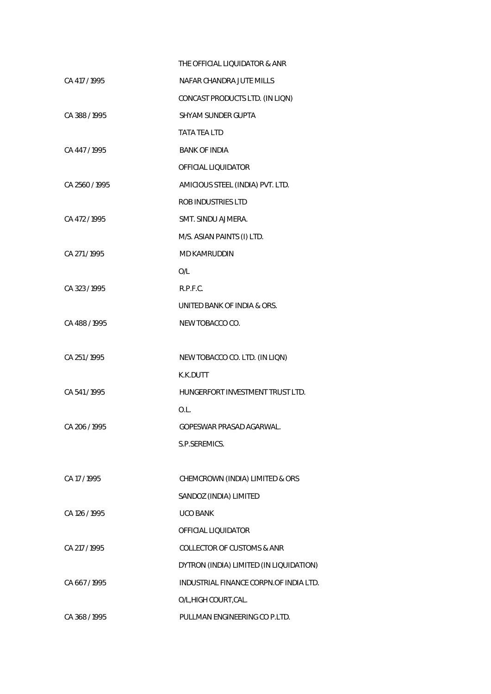|                | THE OFFICIAL LIQUIDATOR & ANR           |
|----------------|-----------------------------------------|
| CA 417 / 1995  | NAFAR CHANDRA JUTE MILLS                |
|                | CONCAST PRODUCTS LTD. (IN LIQN)         |
| CA 388/1995    | SHYAM SUNDER GUPTA                      |
|                | <b>TATA TEA LTD</b>                     |
| CA 447/1995    | <b>BANK OF INDIA</b>                    |
|                | OFFICIAL LIQUIDATOR                     |
| CA 2560 / 1995 | AMICIOUS STEEL (INDIA) PVT. LTD.        |
|                | ROB INDUSTRIES LTD                      |
| CA 472/1995    | SMT. SINDU AJMERA.                      |
|                | M/S. ASIAN PAINTS (I) LTD.              |
| CA 271/1995    | <b>MD KAMRUDDIN</b>                     |
|                | O/L                                     |
| CA 323/1995    | R.P.F.C.                                |
|                | UNITED BANK OF INDIA & ORS.             |
| CA 488 / 1995  | NEW TOBACCO CO.                         |
|                |                                         |
| CA 251 / 1995  | NEW TOBACCO CO. LTD. (IN LIQN)          |
|                | K.K.DUTT                                |
| CA 541/1995    | HUNGERFORT INVESTMENT TRUST LTD.        |
|                | O.L.                                    |
| CA 206 / 1995  | GOPESWAR PRASAD AGARWAL.                |
|                | S.P.SEREMICS.                           |
|                |                                         |
| CA 17/1995     | CHEMCROWN (INDIA) LIMITED & ORS         |
|                | SANDOZ (INDIA) LIMITED                  |
| CA 126 / 1995  | <b>UCO BANK</b>                         |
|                | OFFICIAL LIQUIDATOR                     |
| CA 217 / 1995  | <b>COLLECTOR OF CUSTOMS &amp; ANR</b>   |
|                | DYTRON (INDIA) LIMITED (IN LIQUIDATION) |
| CA 667/1995    | INDUSTRIAL FINANCE CORPN.OF INDIA LTD.  |
|                | O/L, HIGH COURT, CAL.                   |
| CA 368 / 1995  | PULLMAN ENGINEERING CO P.LTD.           |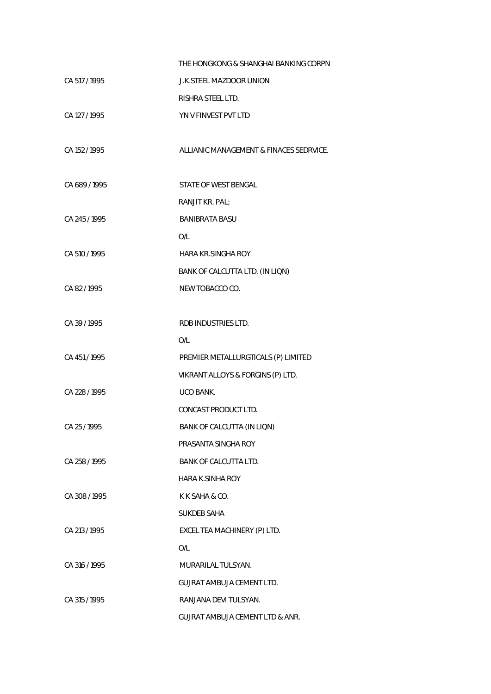|               | THE HONGKONG & SHANGHAI BANKING CORPN      |
|---------------|--------------------------------------------|
| CA 517 / 1995 | <b>J.K.STEEL MAZDOOR UNION</b>             |
|               | RISHRA STEEL LTD.                          |
| CA 127 / 1995 | YN V FINVEST PVT LTD                       |
|               |                                            |
| CA 152 / 1995 | ALLIANIC MANAGEMENT & FINACES SEDRVICE.    |
|               |                                            |
| CA 689/1995   | STATE OF WEST BENGAL                       |
|               | RANJIT KR. PAL;                            |
| CA 245/1995   | <b>BANIBRATA BASU</b>                      |
|               | O/L                                        |
| CA 510 / 1995 | <b>HARA KR.SINGHA ROY</b>                  |
|               | BANK OF CALCUTTA LTD. (IN LIQN)            |
| CA82/1995     | NEW TOBACCO CO.                            |
|               |                                            |
| CA 39 / 1995  | RDB INDUSTRIES LTD.                        |
|               | O/L                                        |
| CA 451 / 1995 | PREMIER METALLURGTICALS (P) LIMITED        |
|               | VIKRANT ALLOYS & FORGINS (P) LTD.          |
| CA 228 / 1995 | UCO BANK.                                  |
|               | CONCAST PRODUCT LTD.                       |
| CA 25 / 1995  | BANK OF CALCUTTA (IN LIQN)                 |
|               | PRASANTA SINGHA ROY                        |
| CA 258 / 1995 | BANK OF CALCUTTA LTD.                      |
|               | <b>HARA K.SINHA ROY</b>                    |
| CA 308 / 1995 | K K SAHA & CO.                             |
|               | <b>SUKDEB SAHA</b>                         |
| CA 213 / 1995 | EXCEL TEA MACHINERY (P) LTD.               |
|               | O/L                                        |
| CA 316 / 1995 | MURARILAL TULSYAN.                         |
|               | GUJRAT AMBUJA CEMENT LTD.                  |
| CA 315 / 1995 | RANJANA DEVI TULSYAN.                      |
|               | <b>GUJRAT AMBUJA CEMENT LTD &amp; ANR.</b> |
|               |                                            |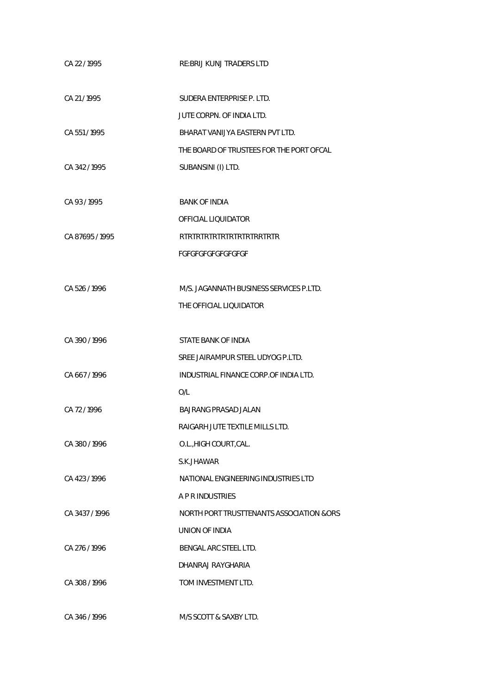| CA 22 / 1995    | <b>RE: BRIJ KUNJ TRADERS LTD</b>         |
|-----------------|------------------------------------------|
| CA 21/1995      | SUDERA ENTERPRISE P. LTD.                |
|                 | JUTE CORPN. OF INDIA LTD.                |
| CA 551/1995     | BHARAT VANIJYA EASTERN PVT LTD.          |
|                 | THE BOARD OF TRUSTEES FOR THE PORT OFCAL |
| CA 342/1995     | SUBANSINI (I) LTD.                       |
|                 |                                          |
| CA 93/1995      | <b>BANK OF INDIA</b>                     |
|                 | OFFICIAL LIQUIDATOR                      |
| CA 87695 / 1995 | <b>RTRTRTRTRTRTRTRTRTRTRTRTR</b>         |
|                 | FGFGFGFGFGFGFGFGF                        |
|                 |                                          |
| CA 526/1996     | M/S. JAGANNATH BUSINESS SERVICES P.LTD.  |
|                 | THE OFFICIAL LIQUIDATOR                  |
|                 |                                          |
| CA 390/1996     | STATE BANK OF INDIA                      |
|                 | SREE JAIRAMPUR STEEL UDYOG P.LTD.        |
| CA 667/1996     | INDUSTRIAL FINANCE CORP.OF INDIA LTD.    |
|                 | O/L                                      |
| CA 72/1996      | BAJRANG PRASAD JALAN                     |
|                 | RAIGARH JUTE TEXTILE MILLS LTD.          |
| CA 380/1996     | O.L., HIGH COURT, CAL.                   |
|                 | S.K.JHAWAR                               |
| CA 423/1996     | NATIONAL ENGINEERING INDUSTRIES LTD      |
|                 | <b>A P R INDUSTRIES</b>                  |
| CA 3437/1996    | NORTH PORT TRUSTTENANTS ASSOCIATION &ORS |
|                 | UNION OF INDIA                           |
| CA 276 / 1996   | BENGAL ARC STEEL LTD.                    |
|                 | DHANRAJ RAYGHARIA                        |
| CA 308/1996     | TOM INVESTMENT LTD.                      |
|                 |                                          |
| CA 346 / 1996   | M/S SCOTT & SAXBY LTD.                   |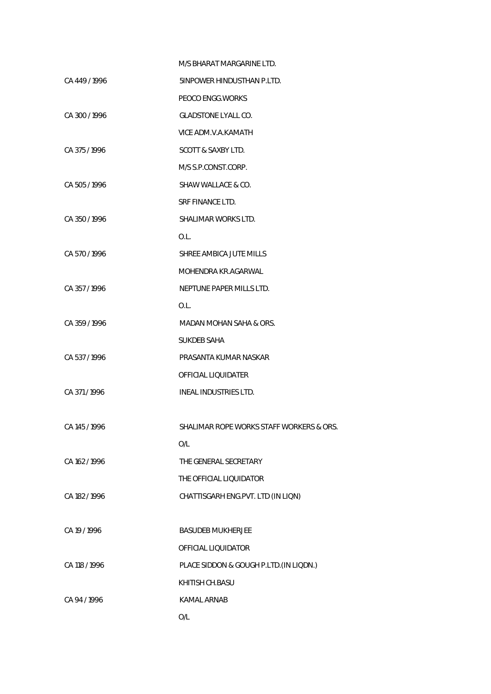|               | M/S BHARAT MARGARINE LTD.                |
|---------------|------------------------------------------|
| CA 449/1996   | 5INPOWER HINDUSTHAN P.LTD.               |
|               | PEOCO ENGG. WORKS                        |
| CA 300/1996   | <b>GLADSTONE LYALL CO.</b>               |
|               | VICE ADM.V.A.KAMATH                      |
| CA 375/1996   | <b>SCOTT &amp; SAXBY LTD.</b>            |
|               | M/S S.P.CONST.CORP.                      |
| CA 505 / 1996 | SHAW WALLACE & CO.                       |
|               | <b>SRF FINANCE LTD.</b>                  |
| CA 350/1996   | SHALIMAR WORKS LTD.                      |
|               | O.L.                                     |
| CA 570/1996   | SHREE AMBICA JUTE MILLS                  |
|               | MOHENDRA KR.AGARWAL                      |
| CA 357/1996   | NEPTUNE PAPER MILLS LTD.                 |
|               | O.L.                                     |
| CA 359/1996   | MADAN MOHAN SAHA & ORS.                  |
|               | SUKDEB SAHA                              |
| CA 537/1996   | PRASANTA KUMAR NASKAR                    |
|               | OFFICIAL LIQUIDATER                      |
| CA 371/1996   | INEAL INDUSTRIES LTD.                    |
|               |                                          |
| CA 145 / 1996 | SHALIMAR ROPE WORKS STAFF WORKERS & ORS. |
|               | O/L                                      |
| CA 162 / 1996 | THE GENERAL SECRETARY                    |
|               | THE OFFICIAL LIQUIDATOR                  |
| CA 182/1996   | CHATTISGARH ENG.PVT. LTD (IN LIQN)       |
|               |                                          |
| CA 19 / 1996  | <b>BASUDEB MUKHERJEE</b>                 |
|               | OFFICIAL LIQUIDATOR                      |
| CA 118 / 1996 | PLACE SIDDON & GOUGH P.LTD. (IN LIQDN.)  |
|               | KHITISH CH.BASU                          |
| CA 94 / 1996  | <b>KAMAL ARNAB</b>                       |
|               | O/L                                      |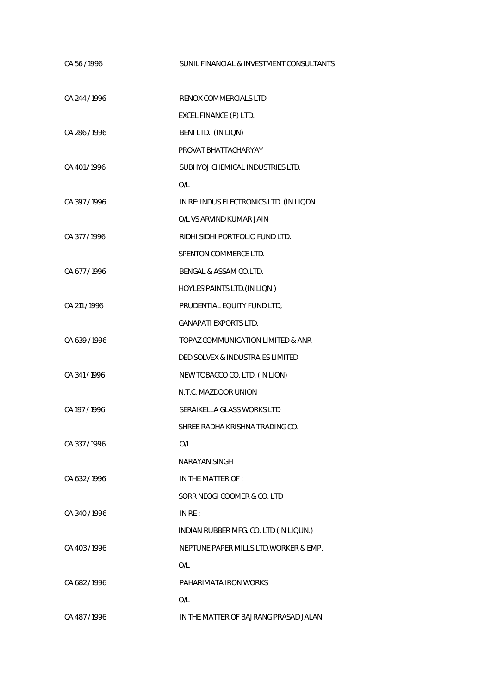| CA 56 / 1996  | SUNIL FINANCIAL & INVESTMENT CONSULTANTS |
|---------------|------------------------------------------|
| CA 244 / 1996 | RENOX COMMERCIALS LTD.                   |
|               | EXCEL FINANCE (P) LTD.                   |
| CA 286 / 1996 | BENI LTD. (IN LIQN)                      |
|               | PROVAT BHATTACHARYAY                     |
| CA 401/1996   | SUBHYOJ CHEMICAL INDUSTRIES LTD.         |
|               | O/L                                      |
| CA 397/1996   | IN RE: INDUS ELECTRONICS LTD. (IN LIQDN. |
|               | O/L VS ARVIND KUMAR JAIN                 |
| CA 377/1996   | RIDHI SIDHI PORTFOLIO FUND LTD.          |
|               | SPENTON COMMERCE LTD.                    |
| CA 677/1996   | BENGAL & ASSAM CO.LTD.                   |
|               | HOYLES' PAINTS LTD. (IN LIQN.)           |
| CA 211 / 1996 | PRUDENTIAL EQUITY FUND LTD,              |
|               | <b>GANAPATI EXPORTS LTD.</b>             |
| CA 639/1996   | TOPAZ COMMUNICATION LIMITED & ANR        |
|               | DED SOLVEX & INDUSTRAIES LIMITED         |
| CA 341/1996   | NEW TOBACCO CO. LTD. (IN LIQN)           |
|               | N.T.C. MAZDOOR UNION                     |
| CA 197 / 1996 | SERAIKELLA GLASS WORKS LTD               |
|               | SHREE RADHA KRISHNA TRADING CO.          |
| CA 337/1996   | O/L                                      |
|               | <b>NARAYAN SINGH</b>                     |
| CA 632/1996   | IN THE MATTER OF:                        |
|               | SORR NEOGI COOMER & CO. LTD              |
| CA 340/1996   | IN RE:                                   |
|               | INDIAN RUBBER MFG. CO. LTD (IN LIQUN.)   |
| CA 403/1996   | NEPTUNE PAPER MILLS LTD. WORKER & EMP.   |
|               | O/L                                      |
| CA 682/1996   | PAHARIMATA IRON WORKS                    |
|               | O/L                                      |
| CA 487/1996   | IN THE MATTER OF BAJRANG PRASAD JALAN    |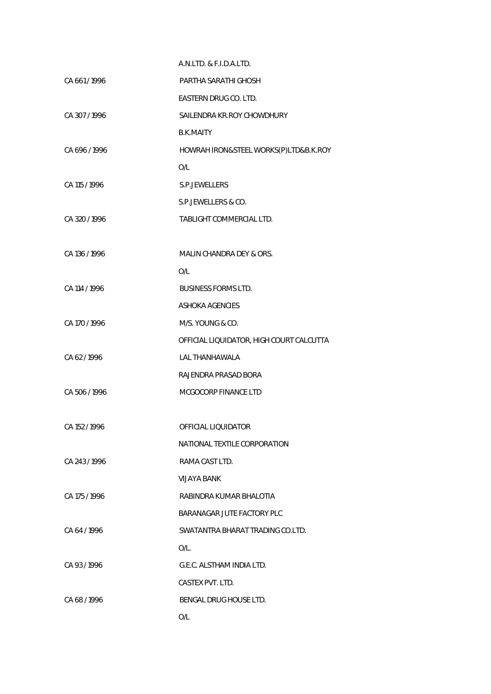|               | A.N.LTD. & F.I.D.A.LTD.                  |
|---------------|------------------------------------------|
| CA 661/1996   | PARTHA SARATHI GHOSH                     |
|               | EASTERN DRUG CO. LTD.                    |
| CA 307/1996   | SAILENDRA KR.ROY CHOWDHURY               |
|               | <b>B.K.MAITY</b>                         |
| CA 696 / 1996 | HOWRAH IRON&STEEL WORKS(P)LTD&B.K.ROY    |
|               | O/L                                      |
| CA 115 / 1996 | S.P.JEWELLERS                            |
|               | S.P.JEWELLERS & CO.                      |
| CA 320 / 1996 | TABLIGHT COMMERCIAL LTD.                 |
|               |                                          |
| CA 136 / 1996 | MALIN CHANDRA DEY & ORS.                 |
|               | O/L                                      |
| CA 114 / 1996 | <b>BUSINESS FORMS LTD.</b>               |
|               | <b>ASHOKA AGENCIES</b>                   |
| CA 170 / 1996 | M/S. YOUNG & CO.                         |
|               | OFFICIAL LIQUIDATOR, HIGH COURT CALCUTTA |
| CA 62/1996    | <b>LAL THANHAWALA</b>                    |
|               | RAJENDRA PRASAD BORA                     |
| CA 506 / 1996 | MCGOCORP FINANCE LTD                     |
|               |                                          |
| CA 152 / 1996 | OFFICIAL LIQUIDATOR                      |
|               | NATIONAL TEXTILE CORPORATION             |
| CA 243/1996   | RAMA CAST LTD.                           |
|               | VIJAYA BANK                              |
| CA 175 / 1996 | RABINDRA KUMAR BHALOTIA                  |
|               | BARANAGAR JUTE FACTORY PLC               |
| CA 64/1996    | SWATANTRA BHARAT TRADING CO.LTD.         |
|               | $O/L$ .                                  |
| CA 93/1996    | G.E.C. ALSTHAM INDIA LTD.                |
|               | CASTEX PVT. LTD.                         |
| CA 68/1996    | BENGAL DRUG HOUSE LTD.                   |
|               | O/L                                      |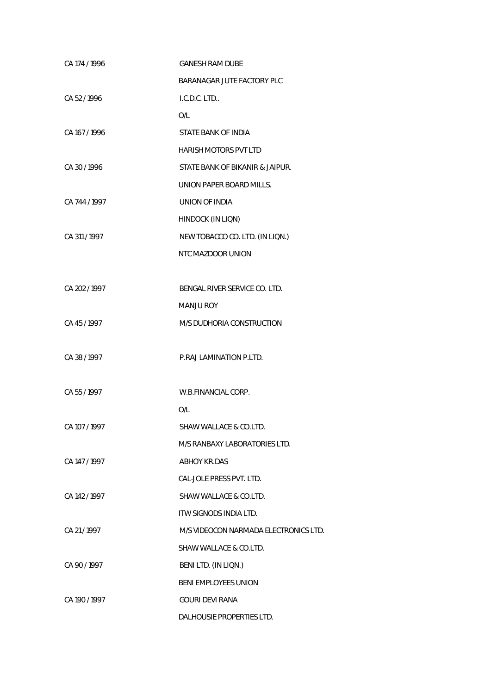| CA 174 / 1996 | <b>GANESH RAM DUBE</b>                |
|---------------|---------------------------------------|
|               | BARANAGAR JUTE FACTORY PLC            |
| CA 52/1996    | I.C.D.C. LTD                          |
|               | O/L                                   |
| CA 167 / 1996 | STATE BANK OF INDIA                   |
|               | <b>HARISH MOTORS PVT LTD</b>          |
| CA 30 / 1996  | STATE BANK OF BIKANIR & JAIPUR.       |
|               | UNION PAPER BOARD MILLS.              |
| CA 744 / 1997 | UNION OF INDIA                        |
|               | HINDOCK (IN LIQN)                     |
| CA 311 / 1997 | NEW TOBACCO CO. LTD. (IN LIQN.)       |
|               | NTC MAZDOOR UNION                     |
|               |                                       |
| CA 202 / 1997 | BENGAL RIVER SERVICE CO. LTD.         |
|               | <b>MANJU ROY</b>                      |
| CA 45/1997    | M/S DUDHORIA CONSTRUCTION             |
|               |                                       |
| CA 38 / 1997  | P.RAJ LAMINATION P.LTD.               |
|               |                                       |
| CA 55/1997    | W.B.FINANCIAL CORP.                   |
|               | O/L                                   |
| CA 107 / 1997 | SHAW WALLACE & CO.LTD.                |
|               | M/S RANBAXY LABORATORIES LTD.         |
| CA 147 / 1997 | <b>ABHOY KR.DAS</b>                   |
|               | CAL-JOLE PRESS PVT. LTD.              |
| CA 142/1997   | SHAW WALLACE & CO.LTD.                |
|               | ITW SIGNODS INDIA LTD.                |
| CA 21/1997    | M/S VIDEOCON NARMADA ELECTRONICS LTD. |
|               | SHAW WALLACE & CO.LTD.                |
| CA 90 / 1997  | BENI LTD. (IN LIQN.)                  |
|               | <b>BENI EMPLOYEES UNION</b>           |
| CA 190 / 1997 | <b>GOURI DEVI RANA</b>                |
|               | DALHOUSIE PROPERTIES LTD.             |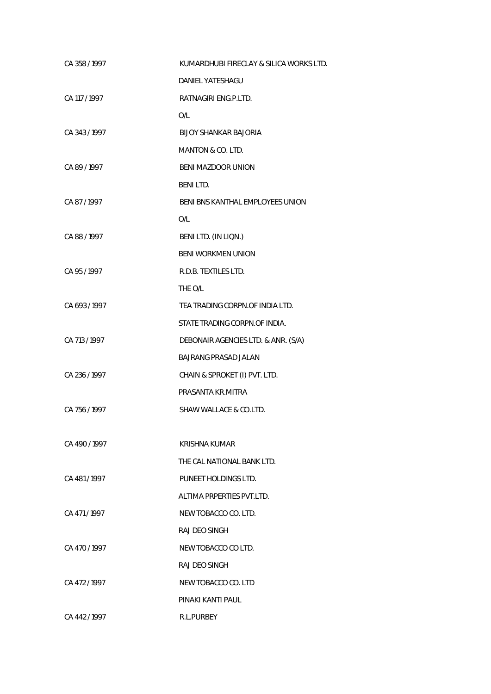| CA 358 / 1997 | KUMARDHUBI FIRECLAY & SILICA WORKS LTD. |
|---------------|-----------------------------------------|
|               | DANIEL YATESHAGU                        |
| CA 117 / 1997 | RATNAGIRI ENG.P.LTD.                    |
|               | O/L                                     |
| CA 343 / 1997 | BIJOY SHANKAR BAJORIA                   |
|               | MANTON & CO. LTD.                       |
| CA 89/1997    | <b>BENI MAZDOOR UNION</b>               |
|               | <b>BENILTD.</b>                         |
| CA 87/1997    | BENI BNS KANTHAL EMPLOYEES UNION        |
|               | O/L                                     |
| CA 88 / 1997  | BENI LTD. (IN LIQN.)                    |
|               | <b>BENI WORKMEN UNION</b>               |
| CA 95/1997    | R.D.B. TEXTILES LTD.                    |
|               | THE O/L                                 |
| CA 693 / 1997 | TEA TRADING CORPN.OF INDIA LTD.         |
|               | STATE TRADING CORPN.OF INDIA.           |
| CA 713 / 1997 | DEBONAIR AGENCIES LTD. & ANR. (S/A)     |
|               | <b>BAJRANG PRASAD JALAN</b>             |
| CA 236 / 1997 | CHAIN & SPROKET (I) PVT. LTD.           |
|               | PRASANTA KR.MITRA                       |
| CA 756 / 1997 | SHAW WALLACE & CO.LTD.                  |
|               |                                         |
| CA 490/1997   | KRISHNA KUMAR                           |
|               | THE CAL NATIONAL BANK LTD.              |
| CA 481/1997   | PUNEET HOLDINGS LTD.                    |
|               | ALTIMA PRPERTIES PVT.LTD.               |
| CA 471/1997   | NEW TOBACCO CO. LTD.                    |
|               | RAJ DEO SINGH                           |
| CA 470/1997   | NEW TOBACCO CO LTD.                     |
|               | RAJ DEO SINGH                           |
| CA 472/1997   | NEW TOBACCO CO. LTD                     |
|               | PINAKI KANTI PAUL                       |
| CA 442/1997   | <b>R.L.PURBEY</b>                       |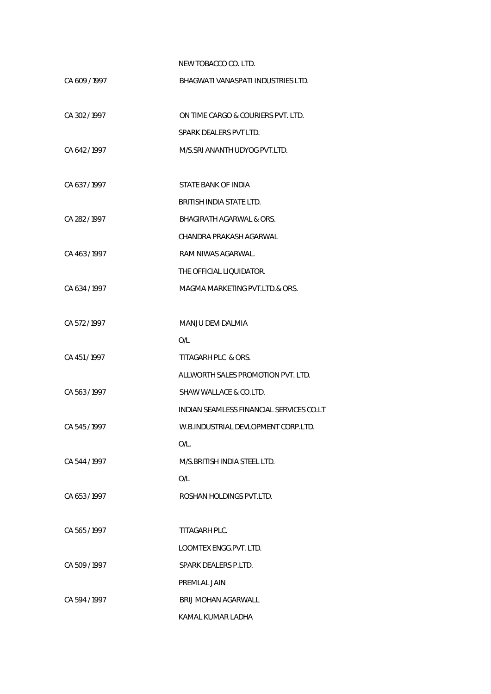NEW TOBACCO CO. LTD.

| CA 609 / 1997 | BHAGWATI VANASPATI INDUSTRIES LTD.       |
|---------------|------------------------------------------|
| CA 302/1997   | ON TIME CARGO & COURIERS PVT. LTD.       |
|               | SPARK DEALERS PVT LTD.                   |
| CA 642/1997   | M/S.SRI ANANTH UDYOG PVT.LTD.            |
| CA 637/1997   | STATE BANK OF INDIA                      |
|               | BRITISH INDIA STATE LTD.                 |
| CA 282/1997   | BHAGIRATH AGARWAL & ORS.                 |
|               | CHANDRA PRAKASH AGARWAL                  |
| CA 463/1997   | RAM NIWAS AGARWAL.                       |
|               | THE OFFICIAL LIOUIDATOR.                 |
| CA 634/1997   | MAGMA MARKETING PVT.LTD.& ORS.           |
| CA 572/1997   | MANJU DEVI DALMIA                        |
|               | O/L                                      |
| CA 451/1997   | TITAGARH PLC & ORS.                      |
|               | ALLWORTH SALES PROMOTION PVT. LTD.       |
| CA 563/1997   | SHAW WALLACE & CO.LTD.                   |
|               | INDIAN SEAMLESS FINANCIAL SERVICES CO.LT |
| CA 545 / 1997 | W.B.INDUSTRIAL DEVLOPMENT CORP.LTD.      |
|               | O/L.                                     |
| CA 544 / 1997 | M/S.BRITISH INDIA STEEL LTD.             |
|               | O/L                                      |
| CA 653/1997   | ROSHAN HOLDINGS PVT.LTD.                 |
| CA 565/1997   | TITAGARH PLC.                            |
|               | LOOMTEX ENGG.PVT. LTD.                   |
| CA 509/1997   | SPARK DEALERS P.LTD.                     |
|               | PREMLAL JAIN                             |
| CA 594 / 1997 | BRIJ MOHAN AGARWALL                      |
|               | KAMAL KUMAR LADHA                        |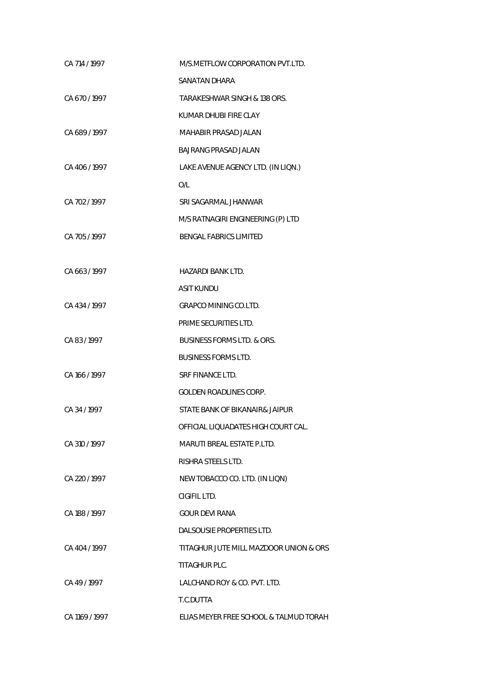| CA 714 / 1997  | M/S.METFLOW CORPORATION PVT.LTD.       |
|----------------|----------------------------------------|
|                | SANATAN DHARA                          |
| CA 670/1997    | TARAKESHWAR SINGH & 138 ORS.           |
|                | KUMAR DHUBI FIRE CLAY                  |
| CA 689/1997    | MAHABIR PRASAD JALAN                   |
|                | <b>BAJRANG PRASAD JALAN</b>            |
| CA 406/1997    | LAKE AVENUE AGENCY LTD. (IN LIQN.)     |
|                | O/L                                    |
| CA 702 / 1997  | SRI SAGARMAL JHANWAR                   |
|                | M/S RATNAGIRI ENGINEERING (P) LTD      |
| CA 705/1997    | <b>BENGAL FABRICS LIMITED</b>          |
|                |                                        |
| CA 663/1997    | HAZARDI BANK LTD.                      |
|                | <b>ASIT KUNDU</b>                      |
| CA 434 / 1997  | <b>GRAPCO MINING CO.LTD.</b>           |
|                | PRIME SECURITIES LTD.                  |
| CA 83/1997     | <b>BUSINESS FORMS LTD. &amp; ORS.</b>  |
|                | <b>BUSINESS FORMS LTD.</b>             |
| CA 166 / 1997  | <b>SRF FINANCE LTD.</b>                |
|                | GOLDEN ROADLINES CORP.                 |
| CA 34 / 1997   | STATE BANK OF BIKANAIR& JAIPUR         |
|                | OFFICIAL LIQUADATES HIGH COURT CAL.    |
| CA 310 / 1997  | <b>MARUTI BREAL ESTATE P.LTD.</b>      |
|                | RISHRA STEELS LTD.                     |
| CA 220 / 1997  | NEW TOBACCO CO. LTD. (IN LIQN)         |
|                | CIGIFIL LTD.                           |
| CA 188 / 1997  | <b>GOUR DEVI RANA</b>                  |
|                | DALSOUSIE PROPERTIES LTD.              |
| CA 404 / 1997  | TITAGHUR JUTE MILL MAZDOOR UNION & ORS |
|                | TITAGHUR PLC.                          |
| CA 49/1997     | LALCHAND ROY & CO. PVT. LTD.           |
|                | T.C.DUTTA                              |
| CA 1169 / 1997 | ELIAS MEYER FREE SCHOOL & TALMUD TORAH |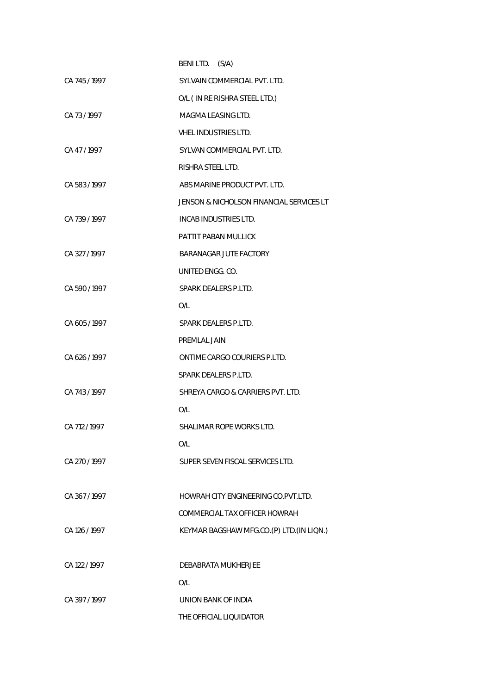|               | BENI LTD.<br>(S/A)                       |
|---------------|------------------------------------------|
| CA 745/1997   | SYLVAIN COMMERCIAL PVT. LTD.             |
|               | O/L ( IN RE RISHRA STEEL LTD.)           |
| CA 73/1997    | MAGMA LEASING LTD.                       |
|               | <b>VHEL INDUSTRIES LTD.</b>              |
| CA 47/1997    | SYLVAN COMMERCIAL PVT. LTD.              |
|               | RISHRA STEEL LTD.                        |
| CA 583/1997   | ABS MARINE PRODUCT PVT. LTD.             |
|               | JENSON & NICHOLSON FINANCIAL SERVICES LT |
| CA 739/1997   | INCAB INDUSTRIES LTD.                    |
|               | PATTIT PABAN MULLICK                     |
| CA 327/1997   | BARANAGAR JUTE FACTORY                   |
|               | UNITED ENGG. CO.                         |
| CA 590 / 1997 | SPARK DEALERS P.LTD.                     |
|               | O/L                                      |
| CA 605/1997   | SPARK DEALERS P.LTD.                     |
|               | PREMLAL JAIN                             |
| CA 626 / 1997 | ONTIME CARGO COURIERS P.LTD.             |
|               | SPARK DEALERS P.LTD.                     |
| CA 743/1997   | SHREYA CARGO & CARRIERS PVT. LTD.        |
|               | O/L                                      |
| CA 712 / 1997 | SHALIMAR ROPE WORKS LTD.                 |
|               | O/L                                      |
| CA 270 / 1997 | SUPER SEVEN FISCAL SERVICES LTD.         |
|               |                                          |
| CA 367/1997   | HOWRAH CITY ENGINEERING CO.PVT.LTD.      |
|               | COMMERCIAL TAX OFFICER HOWRAH            |
| CA 126 / 1997 | KEYMAR BAGSHAW MFG.CO.(P) LTD.(IN LIQN.) |
|               |                                          |
| CA 122 / 1997 | DEBABRATA MUKHERJEE                      |
|               | O/L                                      |
| CA 397/1997   | UNION BANK OF INDIA                      |
|               | THE OFFICIAL LIQUIDATOR                  |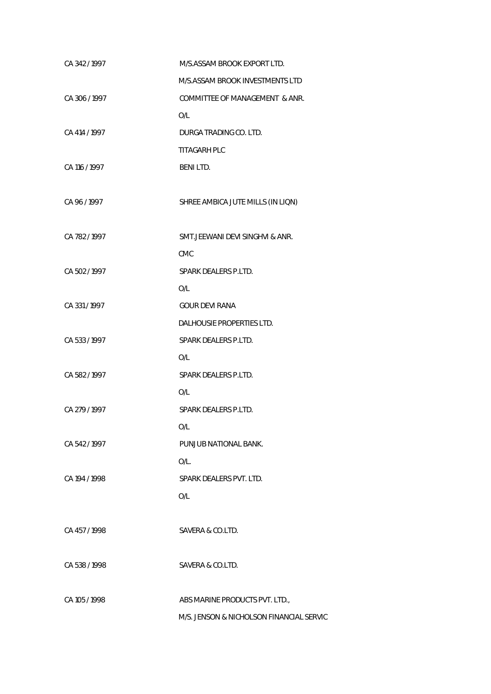| CA 342 / 1997 | M/S.ASSAM BROOK EXPORT LTD.              |
|---------------|------------------------------------------|
|               | M/S.ASSAM BROOK INVESTMENTS LTD          |
| CA 306/1997   | COMMITTEE OF MANAGEMENT & ANR.           |
|               | O/L                                      |
| CA 414 / 1997 | DURGA TRADING CO. LTD.                   |
|               | <b>TITAGARH PLC</b>                      |
| CA 116 / 1997 | <b>BENILTD.</b>                          |
|               |                                          |
| CA 96 / 1997  | SHREE AMBICA JUTE MILLS (IN LIQN)        |
|               |                                          |
| CA 782/1997   | SMT. JEEWANI DEVI SINGHVI & ANR.         |
|               | <b>CMC</b>                               |
| CA 502/1997   | SPARK DEALERS P.LTD.                     |
|               | O/L                                      |
| CA 331/1997   | <b>GOUR DEVI RANA</b>                    |
|               | DALHOUSIE PROPERTIES LTD.                |
| CA 533/1997   | SPARK DEALERS P.LTD.                     |
|               | O/L                                      |
| CA 582/1997   | SPARK DEALERS P.LTD.                     |
|               | O/L                                      |
| CA 279 / 1997 | SPARK DEALERS P.LTD.                     |
|               | O/L                                      |
| CA 542 / 1997 | PUNJUB NATIONAL BANK.                    |
|               | O/L.                                     |
| CA 194 / 1998 | SPARK DEALERS PVT. LTD.                  |
|               | O/L                                      |
|               |                                          |
| CA 457/1998   | SAVERA & CO.LTD.                         |
|               |                                          |
| CA 538 / 1998 | SAVERA & CO.LTD.                         |
|               |                                          |
| CA 105 / 1998 | ABS MARINE PRODUCTS PVT. LTD.,           |
|               | M/S. JENSON & NICHOLSON FINANCIAL SERVIC |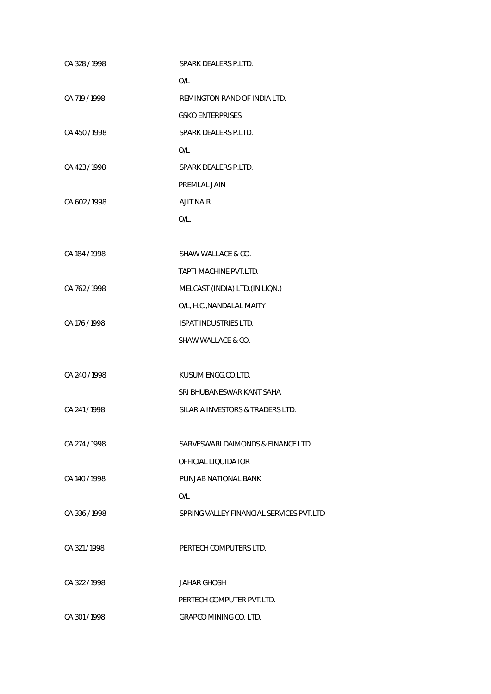| CA 328 / 1998 | SPARK DEALERS P.LTD.                     |
|---------------|------------------------------------------|
|               | O/L                                      |
| CA 719 / 1998 | REMINGTON RAND OF INDIA LTD.             |
|               | <b>GSKO ENTERPRISES</b>                  |
| CA 450 / 1998 | SPARK DEALERS P.LTD.                     |
|               | O/L                                      |
| CA 423 / 1998 | SPARK DEALERS P.LTD.                     |
|               | PREMLAL JAIN                             |
| CA 602 / 1998 | <b>AJIT NAIR</b>                         |
|               | $O/L$ .                                  |
|               |                                          |
| CA 184 / 1998 | SHAW WALLACE & CO.                       |
|               | TAPTI MACHINE PVT.LTD.                   |
| CA 762/1998   | MELCAST (INDIA) LTD. (IN LIQN.)          |
|               | O/L, H.C., NANDALAL MAITY                |
| CA 176 / 1998 | ISPAT INDUSTRIES LTD.                    |
|               | SHAW WALLACE & CO.                       |
|               |                                          |
| CA 240 / 1998 | KUSUM ENGG.CO.LTD.                       |
|               | SRI BHUBANESWAR KANT SAHA                |
| CA 241/1998   | SILARIA INVESTORS & TRADERS LTD.         |
|               |                                          |
| CA 274 / 1998 | SARVESWARI DAIMONDS & FINANCE LTD.       |
|               | OFFICIAL LIQUIDATOR                      |
| CA 140 / 1998 | PUNJAB NATIONAL BANK                     |
|               | O/L                                      |
| CA 336/1998   | SPRING VALLEY FINANCIAL SERVICES PVT.LTD |
|               |                                          |
| CA 321/1998   | PERTECH COMPUTERS LTD.                   |
|               |                                          |
| CA 322 / 1998 | <b>JAHAR GHOSH</b>                       |
|               | PERTECH COMPUTER PVT.LTD.                |
| CA 301/1998   | <b>GRAPCO MINING CO. LTD.</b>            |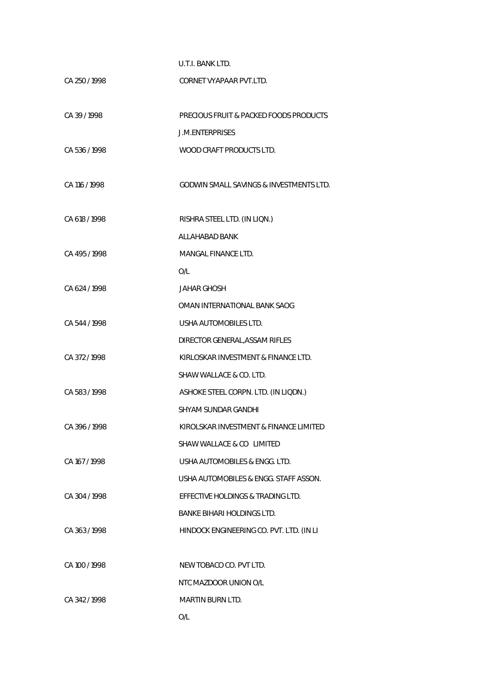| U.T.I. BANK LTD. |
|------------------|
|                  |

| CA 250 / 1998 | CORNET VYAPAAR PVT.LTD.                  |
|---------------|------------------------------------------|
| CA 39/1998    | PRECIOUS FRUIT & PACKED FOODS PRODUCTS   |
|               | <b>J.M.ENTERPRISES</b>                   |
| CA 536 / 1998 | WOOD CRAFT PRODUCTS LTD.                 |
| CA 116 / 1998 | GODWIN SMALL SAVINGS & INVESTMENTS LTD.  |
| CA 618 / 1998 | RISHRA STEEL LTD. (IN LION.)             |
|               | ALLAHABAD BANK                           |
| CA 495 / 1998 | MANGAL FINANCE LTD.                      |
|               | O/L                                      |
| CA 624 / 1998 | <b>JAHAR GHOSH</b>                       |
|               | OMAN INTERNATIONAL BANK SAOG             |
| CA 544/1998   | USHA AUTOMOBILES LTD.                    |
|               | DIRECTOR GENERAL, ASSAM RIFLES           |
| CA 372/1998   | KIRLOSKAR INVESTMENT & FINANCE LTD.      |
|               | SHAW WALLACE & CO. LTD.                  |
| CA 583 / 1998 | ASHOKE STEEL CORPN. LTD. (IN LIQDN.)     |
|               | <b>SHYAM SUNDAR GANDHI</b>               |
| CA 396 / 1998 | KIROLSKAR INVESTMENT & FINANCE LIMITED   |
|               | SHAW WALLACE & CO LIMITED                |
| CA 167/1998   | USHA AUTOMOBILES & ENGG. LTD.            |
|               | USHA AUTOMOBILES & ENGG. STAFF ASSON.    |
| CA 304 / 1998 | EFFECTIVE HOLDINGS & TRADING LTD.        |
|               | BANKE BIHARI HOLDINGS LTD.               |
| CA 363/1998   | HINDOCK ENGINEERING CO. PVT. LTD. (IN LI |
|               |                                          |
| CA 100 / 1998 | NEW TOBACO CO. PVT LTD.                  |
|               | NTC MAZDOOR UNION O/L                    |
| CA 342/1998   | MARTIN BURN LTD.                         |
|               | O/L                                      |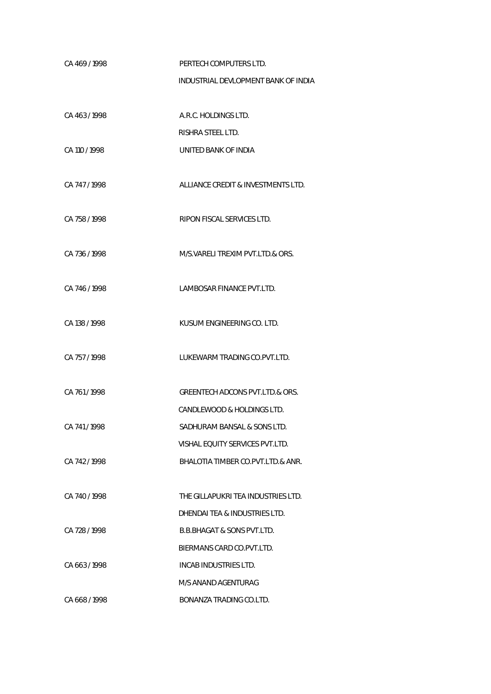| CA 469/1998   | PERTECH COMPUTERS LTD.                     |
|---------------|--------------------------------------------|
|               | INDUSTRIAL DEVLOPMENT BANK OF INDIA        |
|               |                                            |
| CA 463/1998   | A.R.C. HOLDINGS LTD.                       |
|               | RISHRA STEEL LTD.                          |
| CA 110 / 1998 | UNITED BANK OF INDIA                       |
|               |                                            |
| CA 747/1998   | ALLIANCE CREDIT & INVESTMENTS LTD.         |
|               |                                            |
| CA 758 / 1998 | RIPON FISCAL SERVICES LTD.                 |
|               |                                            |
| CA 736 / 1998 | M/S. VARELI TREXIM PVT. LTD. & ORS.        |
|               |                                            |
| CA 746/1998   | LAMBOSAR FINANCE PVT.LTD.                  |
|               |                                            |
| CA 138 / 1998 | KUSUM ENGINEERING CO. LTD.                 |
|               |                                            |
| CA 757/1998   | LUKEWARM TRADING CO.PVT.LTD.               |
|               |                                            |
| CA 761/1998   | <b>GREENTECH ADCONS PVT.LTD.&amp; ORS.</b> |
|               | CANDLEWOOD & HOLDINGS LTD.                 |
| CA 741/1998   | SADHURAM BANSAL & SONS LTD.                |
|               | VISHAL EQUITY SERVICES PVT.LTD.            |
| CA 742/1998   | BHALOTIA TIMBER CO.PVT.LTD.& ANR.          |
|               |                                            |
| CA 740 / 1998 | THE GILLAPUKRI TEA INDUSTRIES LTD.         |
|               | DHENDAI TEA & INDUSTRIES LTD.              |
| CA 728 / 1998 | <b>B.B.BHAGAT &amp; SONS PVT.LTD.</b>      |
|               | BIERMANS CARD CO.PVT.LTD.                  |
| CA 663/1998   | INCAB INDUSTRIES LTD.                      |
|               | M/S ANAND AGENTURAG                        |
| CA 668/1998   | BONANZA TRADING CO.LTD.                    |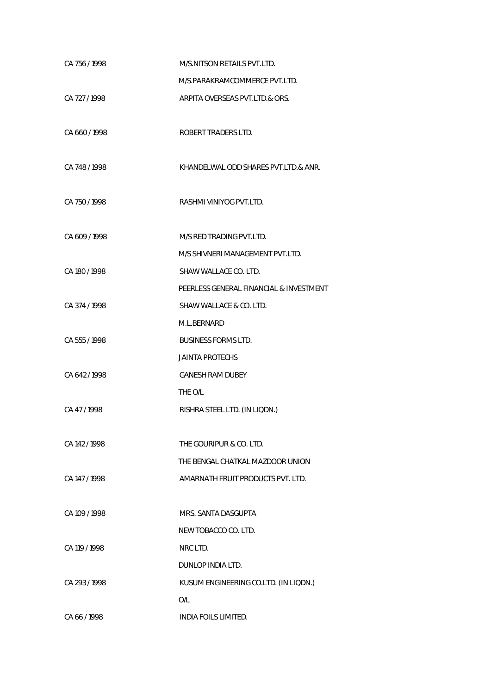| CA 756/1998   | M/S.NITSON RETAILS PVT.LTD.             |
|---------------|-----------------------------------------|
|               | M/S.PARAKRAMCOMMERCE PVT.LTD.           |
| CA 727 / 1998 | ARPITA OVERSEAS PVT.LTD.& ORS.          |
|               |                                         |
| CA 660/1998   | ROBERT TRADERS LTD.                     |
|               |                                         |
| CA 748 / 1998 | KHANDELWAL ODD SHARES PVT.LTD.& ANR.    |
|               |                                         |
| CA 750/1998   | RASHMI VINIYOG PVT.LTD.                 |
| CA 609 / 1998 | M/S RED TRADING PVT.LTD.                |
|               | M/S SHIVNERI MANAGEMENT PVT.LTD.        |
|               | SHAW WALLACE CO. LTD.                   |
| CA 180 / 1998 |                                         |
|               | PEERLESS GENERAL FINANCIAL & INVESTMENT |
| CA 374 / 1998 | SHAW WALLACE & CO. LTD.                 |
|               | M.L.BERNARD                             |
| CA 555 / 1998 | <b>BUSINESS FORMS LTD.</b>              |
|               | <b>JAINTA PROTECHS</b>                  |
| CA 642 / 1998 | <b>GANESH RAM DUBEY</b>                 |
|               | THE O/L                                 |
| CA 47/1998    | RISHRA STEEL LTD. (IN LIQDN.)           |
|               |                                         |
| CA 142/1998   | THE GOURIPUR & CO. LTD.                 |
|               | THE BENGAL CHATKAL MAZDOOR UNION        |
| CA 147 / 1998 | AMARNATH FRUIT PRODUCTS PVT. LTD.       |
|               |                                         |
| CA 109 / 1998 | MRS. SANTA DASGUPTA                     |
|               | NEW TOBACCO CO. LTD.                    |
| CA 119 / 1998 | NRC LTD.                                |
|               | DUNLOP INDIA LTD.                       |
| CA 293/1998   | KUSUM ENGINEERING CO.LTD. (IN LIQDN.)   |
|               | O/L                                     |
| CA 66/1998    | INDIA FOILS LIMITED.                    |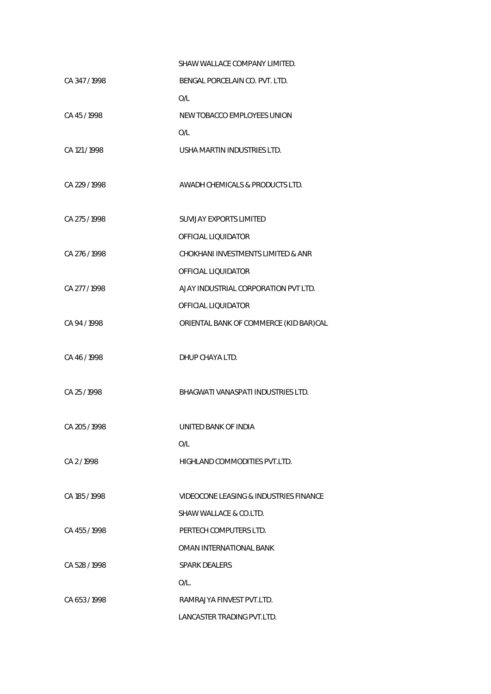|               | SHAW WALLACE COMPANY LIMITED.          |
|---------------|----------------------------------------|
| CA 347/1998   | BENGAL PORCELAIN CO. PVT. LTD.         |
|               | O/L                                    |
| CA 45/1998    | NEW TOBACCO EMPLOYEES UNION            |
|               | O/L                                    |
| CA 121 / 1998 | USHA MARTIN INDUSTRIES LTD.            |
|               |                                        |
| CA 229 / 1998 | AWADH CHEMICALS & PRODUCTS LTD.        |
|               |                                        |
| CA 275 / 1998 | <b>SUVIJAY EXPORTS LIMITED</b>         |
|               | OFFICIAL LIQUIDATOR                    |
| CA 276 / 1998 | CHOKHANI INVESTMENTS LIMITED & ANR     |
|               | OFFICIAL LIQUIDATOR                    |
| CA 277 / 1998 | AJAY INDUSTRIAL CORPORATION PVT LTD.   |
|               | OFFICIAL LIQUIDATOR                    |
| CA 94 / 1998  | ORIENTAL BANK OF COMMERCE (KID BAR)CAL |
|               |                                        |
| CA 46/1998    | DHUP CHAYA LTD.                        |
|               |                                        |
| CA 25 / 1998  | BHAGWATI VANASPATI INDUSTRIES LTD.     |
|               |                                        |
| CA 205 / 1998 | UNITED BANK OF INDIA                   |
|               | O/L                                    |
| CA 2/1998     | HIGHLAND COMMODITIES PVT.LTD.          |
|               |                                        |
| CA 185 / 1998 | VIDEOCONE LEASING & INDUSTRIES FINANCE |
|               | SHAW WALLACE & CO.LTD.                 |
| CA 455/1998   | PERTECH COMPUTERS LTD.                 |
|               | OMAN INTERNATIONAL BANK                |
| CA 528 / 1998 | <b>SPARK DEALERS</b>                   |
|               | $O/L$ .                                |
| CA 653/1998   | RAMRAJYA FINVEST PVT.LTD.              |
|               | LANCASTER TRADING PVT.LTD.             |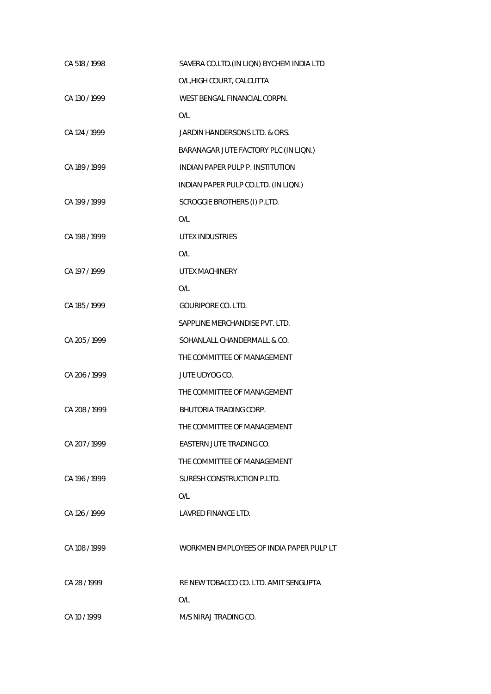| CA 518 / 1998 | SAVERA CO.LTD. (IN LIQN) BYCHEM INDIA LTD |
|---------------|-------------------------------------------|
|               | O/L, HIGH COURT, CALCUTTA                 |
| CA 130 / 1999 | WEST BENGAL FINANCIAL CORPN.              |
|               | O/L                                       |
| CA 124 / 1999 | JARDIN HANDERSONS LTD. & ORS.             |
|               | BARANAGAR JUTE FACTORY PLC (IN LIQN.)     |
| CA 189 / 1999 | INDIAN PAPER PULP P. INSTITUTION          |
|               | INDIAN PAPER PULP CO.LTD. (IN LIQN.)      |
| CA 199 / 1999 | SCROGGIE BROTHERS (I) P.LTD.              |
|               | O/L                                       |
| CA 198 / 1999 | UTEX INDUSTRIES                           |
|               | O/L                                       |
| CA 197 / 1999 | <b>UTEX MACHINERY</b>                     |
|               | O/L                                       |
| CA 185 / 1999 | <b>GOURIPORE CO. LTD.</b>                 |
|               | SAPPLINE MERCHANDISE PVT. LTD.            |
| CA 205 / 1999 | SOHANLALL CHANDERMALL & CO.               |
|               | THE COMMITTEE OF MANAGEMENT               |
| CA 206 / 1999 | JUTE UDYOG CO.                            |
|               | THE COMMITTEE OF MANAGEMENT               |
| CA 208 / 1999 | BHUTORIA TRADING CORP.                    |
|               | THE COMMITTEE OF MANAGEMENT               |
| CA 207/1999   | EASTERN JUTE TRADING CO.                  |
|               | THE COMMITTEE OF MANAGEMENT               |
| CA 196 / 1999 | SURESH CONSTRUCTION P.LTD.                |
|               | O/L                                       |
| CA 126 / 1999 | LAVRED FINANCE LTD.                       |
|               |                                           |
| CA 108 / 1999 | WORKMEN EMPLOYEES OF INDIA PAPER PULP LT  |
|               |                                           |
| CA 28 / 1999  | RE NEW TOBACCO CO. LTD. AMIT SENGUPTA     |
|               | O/L                                       |
| CA 10 / 1999  | M/S NIRAJ TRADING CO.                     |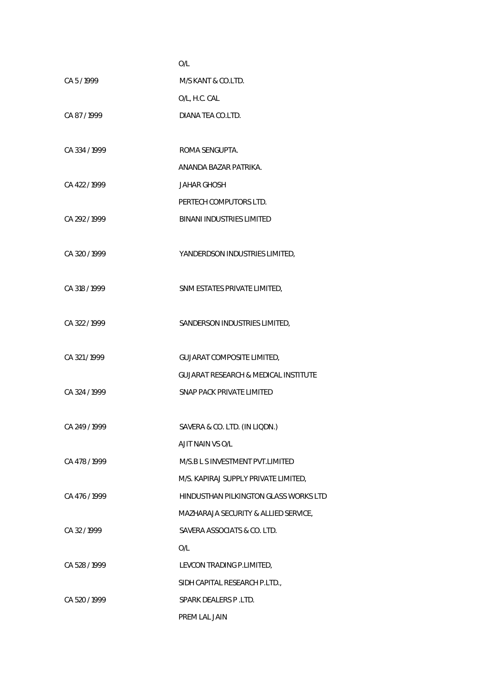|               | O/L                                             |
|---------------|-------------------------------------------------|
| CA 5/1999     | M/S KANT & CO.LTD.                              |
|               | O/L, H.C. CAL                                   |
| CA87/1999     | DIANA TEA CO.LTD.                               |
|               |                                                 |
| CA 334 / 1999 | ROMA SENGUPTA.                                  |
|               | ANANDA BAZAR PATRIKA.                           |
| CA 422 / 1999 | JAHAR GHOSH                                     |
|               | PERTECH COMPUTORS LTD.                          |
| CA 292 / 1999 | <b>BINANI INDUSTRIES LIMITED</b>                |
|               |                                                 |
| CA 320 / 1999 | YANDERDSON INDUSTRIES LIMITED,                  |
|               |                                                 |
| CA 318 / 1999 | SNM ESTATES PRIVATE LIMITED,                    |
|               |                                                 |
| CA 322 / 1999 | SANDERSON INDUSTRIES LIMITED,                   |
|               |                                                 |
| CA 321/1999   | <b>GUJARAT COMPOSITE LIMITED,</b>               |
|               | <b>GUJARAT RESEARCH &amp; MEDICAL INSTITUTE</b> |
| CA 324 / 1999 | SNAP PACK PRIVATE LIMITED                       |
|               |                                                 |
| CA 249 / 1999 | SAVERA & CO. LTD. (IN LIQDN.)                   |
|               | AJIT NAIN VS O/L                                |
| CA 478 / 1999 | M/S.B L S INVESTMENT PVT.LIMITED                |
|               | M/S. KAPIRAJ SUPPLY PRIVATE LIMITED,            |
| CA 476 / 1999 | HINDUSTHAN PILKINGTON GLASS WORKS LTD           |
|               | MAZHARAJA SECURITY & ALLIED SERVICE,            |
| CA 32/1999    | SAVERA ASSOCIATS & CO. LTD.                     |
|               | O/L                                             |
| CA 528 / 1999 | LEVCON TRADING P.LIMITED,                       |
|               | SIDH CAPITAL RESEARCH P.LTD.,                   |
| CA 520 / 1999 | SPARK DEALERS P.LTD.                            |
|               | PREM LAL JAIN                                   |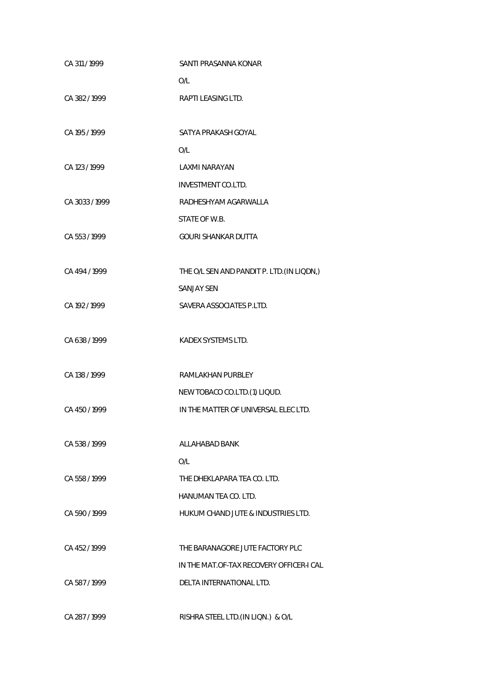| CA 311 / 1999  | SANTI PRASANNA KONAR                       |
|----------------|--------------------------------------------|
|                | O/L                                        |
| CA 382/1999    | RAPTI LEASING LTD.                         |
|                |                                            |
| CA 195 / 1999  | SATYA PRAKASH GOYAL                        |
|                | O/L                                        |
| CA 123 / 1999  | LAXMI NARAYAN                              |
|                | <b>INVESTMENT CO.LTD.</b>                  |
| CA 3033 / 1999 | RADHESHYAM AGARWALLA                       |
|                | STATE OF W.B.                              |
| CA 553 / 1999  | <b>GOURI SHANKAR DUTTA</b>                 |
|                |                                            |
| CA 494 / 1999  | THE O/L SEN AND PANDIT P. LTD. (IN LIQDN,) |
|                | <b>SANJAY SEN</b>                          |
| CA 192 / 1999  | SAVERA ASSOCIATES P.LTD.                   |
|                |                                            |
| CA 638 / 1999  | KADEX SYSTEMS LTD.                         |
|                |                                            |
| CA 138 / 1999  | RAMLAKHAN PURBLEY                          |
|                | NEW TOBACO CO.LTD.(1) LIQUD.               |
| CA 450/1999    | IN THE MATTER OF UNIVERSAL ELEC LTD.       |
|                |                                            |
| CA 538/1999    | ALLAHABAD BANK                             |
|                | O/L                                        |
| CA 558 / 1999  | THE DHEKLAPARA TEA CO. LTD.                |
|                | HANUMAN TEA CO. LTD.                       |
| CA 590/1999    | HUKUM CHAND JUTE & INDUSTRIES LTD.         |
|                |                                            |
| CA 452/1999    | THE BARANAGORE JUTE FACTORY PLC            |
|                | IN THE MAT.OF-TAX RECOVERY OFFICER-I CAL   |
| CA 587/1999    | DELTA INTERNATIONAL LTD.                   |
|                |                                            |
| CA 287 / 1999  | RISHRA STEEL LTD.(IN LIQN.) & O/L          |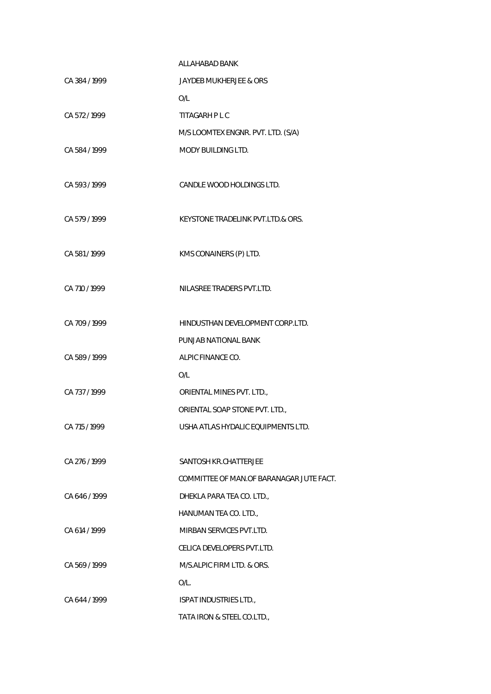|               | ALLAHABAD BANK                            |
|---------------|-------------------------------------------|
| CA 384 / 1999 | JAYDEB MUKHERJEE & ORS                    |
|               | O/L                                       |
| CA 572/1999   | TITAGARH P L C                            |
|               | M/S LOOMTEX ENGNR. PVT. LTD. (S/A)        |
| CA 584 / 1999 | <b>MODY BUILDING LTD.</b>                 |
| CA 593/1999   | CANDLE WOOD HOLDINGS LTD.                 |
| CA 579 / 1999 | KEYSTONE TRADELINK PVT.LTD.& ORS.         |
| CA 581 / 1999 | KMS CONAINERS (P) LTD.                    |
| CA 710 / 1999 | NILASREE TRADERS PVT.LTD.                 |
| CA 709/1999   | HINDUSTHAN DEVELOPMENT CORP.LTD.          |
|               | PUNJAB NATIONAL BANK                      |
| CA 589 / 1999 | ALPIC FINANCE CO.                         |
|               | O/L                                       |
| CA 737/1999   | ORIENTAL MINES PVT. LTD.,                 |
|               | ORIENTAL SOAP STONE PVT. LTD.,            |
| CA 715 / 1999 | USHA ATLAS HYDALIC EQUIPMENTS LTD.        |
| CA 276 / 1999 | SANTOSH KR.CHATTERJEE                     |
|               | COMMITTEE OF MAN. OF BARANAGAR JUTE FACT. |
| CA 646/1999   | DHEKLA PARA TEA CO. LTD.,                 |
|               | HANUMAN TEA CO. LTD.,                     |
| CA 614 / 1999 | MIRBAN SERVICES PVT.LTD.                  |
|               | CELICA DEVELOPERS PVT.LTD.                |
| CA 569/1999   | M/S.ALPIC FIRM LTD. & ORS.                |
|               | $O/L$ .                                   |
| CA 644 / 1999 | ISPAT INDUSTRIES LTD.,                    |
|               | TATA IRON & STEEL CO.LTD.,                |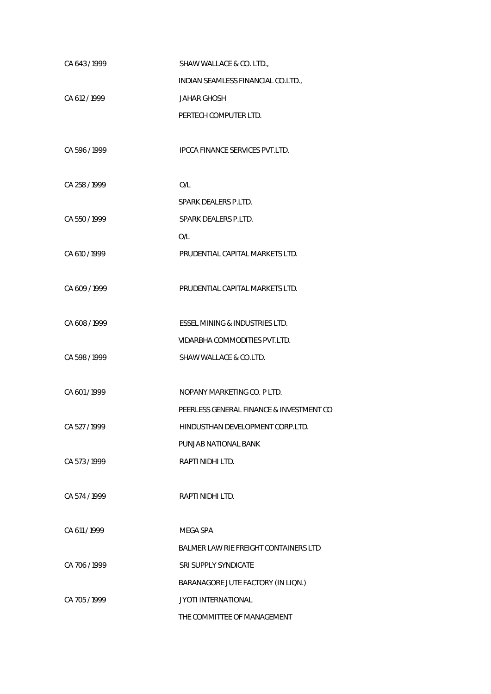| CA 643/1999   | SHAW WALLACE & CO. LTD.,                 |
|---------------|------------------------------------------|
|               | INDIAN SEAMLESS FINANCIAL CO.LTD.,       |
| CA 612 / 1999 | <b>JAHAR GHOSH</b>                       |
|               | PERTECH COMPUTER LTD.                    |
|               |                                          |
| CA 596 / 1999 | <b>IPCCA FINANCE SERVICES PVT.LTD.</b>   |
|               |                                          |
| CA 258 / 1999 | O/L                                      |
|               | SPARK DEALERS P.LTD.                     |
| CA 550 / 1999 | SPARK DEALERS P.LTD.                     |
|               | O/L                                      |
| CA 610 / 1999 | PRUDENTIAL CAPITAL MARKETS LTD.          |
|               |                                          |
| CA 609 / 1999 | PRUDENTIAL CAPITAL MARKETS LTD.          |
|               |                                          |
| CA 608 / 1999 | ESSEL MINING & INDUSTRIES LTD.           |
|               | VIDARBHA COMMODITIES PVT.LTD.            |
| CA 598 / 1999 | SHAW WALLACE & CO.LTD.                   |
|               |                                          |
| CA 601/1999   | NOPANY MARKETING CO. P LTD.              |
|               | PEERLESS GENERAL FINANCE & INVESTMENT CO |
| CA 527 / 1999 | HINDUSTHAN DEVELOPMENT CORP.LTD.         |
|               | PUNJAB NATIONAL BANK                     |
| CA 573/1999   | RAPTI NIDHI LTD.                         |
|               |                                          |
| CA 574/1999   | RAPTI NIDHI LTD.                         |
|               |                                          |
| CA 611/1999   | MEGA SPA                                 |
|               | BALMER LAW RIE FREIGHT CONTAINERS LTD    |
| CA 706 / 1999 | SRI SUPPLY SYNDICATE                     |
|               | BARANAGORE JUTE FACTORY (IN LIQN.)       |
| CA 705 / 1999 | <b>JYOTI INTERNATIONAL</b>               |
|               | THE COMMITTEE OF MANAGEMENT              |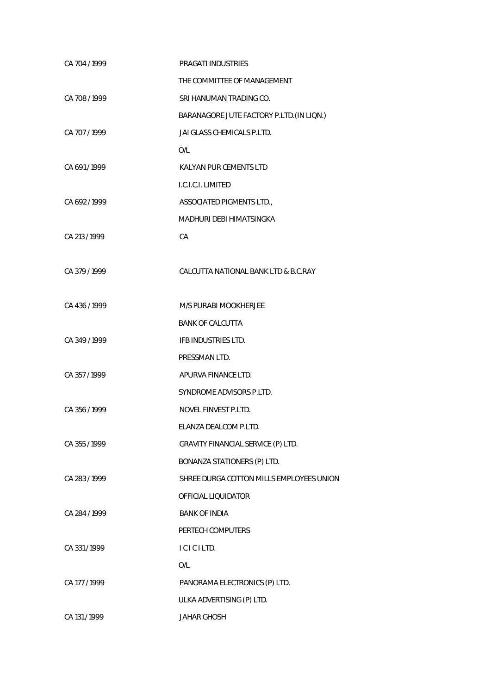| CA 704 / 1999 | PRAGATI INDUSTRIES                        |
|---------------|-------------------------------------------|
|               | THE COMMITTEE OF MANAGEMENT               |
| CA 708 / 1999 | SRI HANUMAN TRADING CO.                   |
|               | BARANAGORE JUTE FACTORY P.LTD. (IN LIQN.) |
| CA 707 / 1999 | JAI GLASS CHEMICALS P.LTD.                |
|               | O/L                                       |
| CA 691/1999   | KALYAN PUR CEMENTS LTD                    |
|               | I.C.I.C.I. LIMITED                        |
| CA 692/1999   | ASSOCIATED PIGMENTS LTD.,                 |
|               | MADHURI DEBI HIMATSINGKA                  |
| CA 213 / 1999 | СA                                        |
|               |                                           |
| CA 379 / 1999 | CALCUTTA NATIONAL BANK LTD & B.C.RAY      |
|               |                                           |
| CA 436 / 1999 | M/S PURABI MOOKHERJEE                     |
|               | <b>BANK OF CALCUTTA</b>                   |
| CA 349 / 1999 | IFB INDUSTRIES LTD.                       |
|               | PRESSMAN LTD.                             |
| CA 357/1999   | APURVA FINANCE LTD.                       |
|               | SYNDROME ADVISORS P.LTD.                  |
| CA 356 / 1999 | NOVEL FINVEST P.LTD.                      |
|               | ELANZA DEALCOM P.LTD.                     |
| CA 355/1999   | GRAVITY FINANCIAL SERVICE (P) LTD.        |
|               | BONANZA STATIONERS (P) LTD.               |
| CA 283 / 1999 | SHREE DURGA COTTON MILLS EMPLOYEES UNION  |
|               | OFFICIAL LIQUIDATOR                       |
| CA 284 / 1999 | <b>BANK OF INDIA</b>                      |
|               | PERTECH COMPUTERS                         |
| CA 331/1999   | ICICILTD.                                 |
|               | O/L                                       |
| CA 177 / 1999 | PANORAMA ELECTRONICS (P) LTD.             |
|               | ULKA ADVERTISING (P) LTD.                 |
| CA 131 / 1999 | <b>JAHAR GHOSH</b>                        |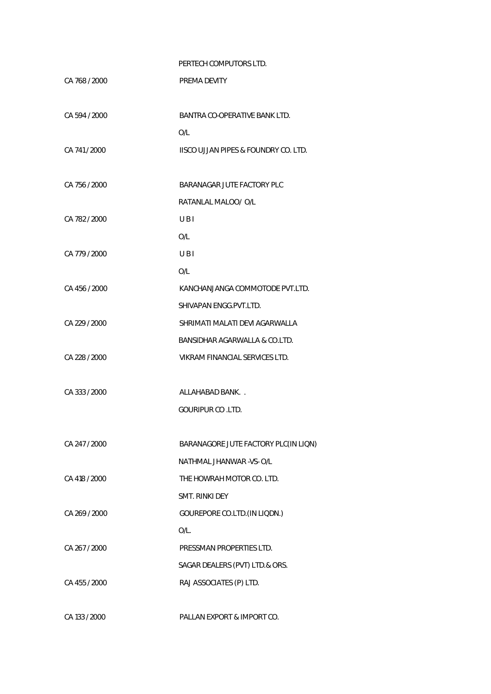## PERTECH COMPUTORS LTD.

| CA 768 / 2000 | PREMA DEVITY                         |
|---------------|--------------------------------------|
| CA 594 / 2000 | BANTRA CO-OPERATIVE BANK LTD.        |
|               | O/L                                  |
| CA 741/2000   | IISCO UJJAN PIPES & FOUNDRY CO. LTD. |
| CA 756 / 2000 | BARANAGAR JUTE FACTORY PLC           |
|               | RATANLAL MALOO/ O/L                  |
| CA 782 / 2000 | UBI                                  |
|               | O/L                                  |
| CA 779 / 2000 | UBI                                  |
|               | O/L                                  |
| CA 456 / 2000 | KANCHANJANGA COMMOTODE PVT.LTD.      |
|               | SHIVAPAN ENGG.PVT.LTD.               |
| CA 229 / 2000 | SHRIMATI MALATI DEVI AGARWALLA       |
|               | BANSIDHAR AGARWALLA & CO.LTD.        |
| CA 228 / 2000 | VIKRAM FINANCIAL SERVICES LTD.       |
| CA 333 / 2000 | ALLAHABAD BANK                       |
|               | <b>GOURIPUR CO.LTD.</b>              |
| CA 247 / 2000 | BARANAGORE JUTE FACTORY PLC(IN LIQN) |
|               | NATHMAL JHANWAR - VS- O/L            |
| CA 418 / 2000 | THE HOWRAH MOTOR CO. LTD.            |
|               | <b>SMT. RINKI DEY</b>                |
| CA 269 / 2000 | GOUREPORE CO.LTD. (IN LIQDN.)        |
|               | O/L.                                 |
| CA 267 / 2000 | PRESSMAN PROPERTIES LTD.             |
|               | SAGAR DEALERS (PVT) LTD.& ORS.       |
| CA 455 / 2000 | RAJ ASSOCIATES (P) LTD.              |
| CA 133 / 2000 | PALLAN EXPORT & IMPORT CO.           |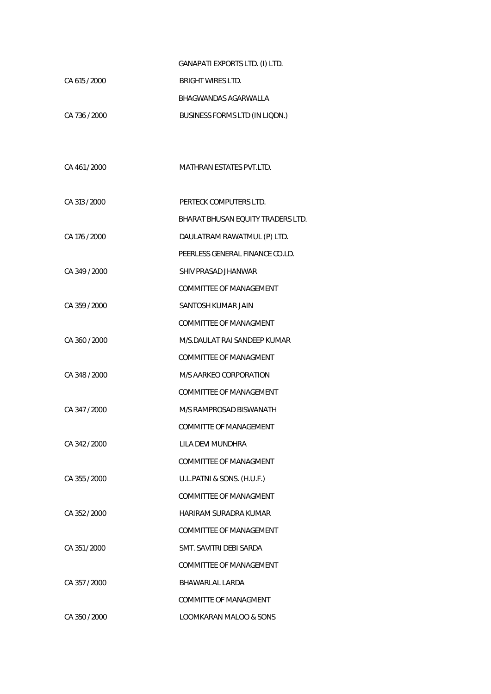|               | GANAPATI EXPORTS LTD. (I) LTD.           |
|---------------|------------------------------------------|
| CA 615 / 2000 | <b>BRIGHT WIRES LTD.</b>                 |
|               | BHAGWANDAS AGARWALLA                     |
| CA 736 / 2000 | BUSINESS FORMS LTD (IN LIQDN.)           |
|               |                                          |
|               |                                          |
| CA 461/2000   | <b>MATHRAN ESTATES PVT.LTD.</b>          |
|               |                                          |
| CA 313 / 2000 | PERTECK COMPUTERS LTD.                   |
|               | <b>BHARAT BHUSAN EOUITY TRADERS LTD.</b> |
| CA 176 / 2000 | DAULATRAM RAWATMUL (P) LTD.              |
|               | PEERLESS GENERAL FINANCE CO.LD.          |
| CA 349 / 2000 | SHIV PRASAD JHANWAR                      |
|               | COMMITTEE OF MANAGEMENT                  |
| CA 359 / 2000 | SANTOSH KUMAR JAIN                       |
|               | <b>COMMITTEE OF MANAGMENT</b>            |
| CA 360 / 2000 | M/S.DAULAT RAI SANDEEP KUMAR             |
|               | <b>COMMITTEE OF MANAGMENT</b>            |
| CA 348 / 2000 | M/S AARKEO CORPORATION                   |
|               | <b>COMMITTEE OF MANAGEMENT</b>           |
| CA 347 / 2000 | M/S RAMPROSAD BISWANATH                  |
|               | COMMITTE OF MANAGEMENT                   |
| CA 342 / 2000 | LILA DEVI MUNDHRA                        |
|               | <b>COMMITTEE OF MANAGMENT</b>            |
| CA 355 / 2000 | U.L.PATNI & SONS. (H.U.F.)               |
|               | COMMITTEE OF MANAGMENT                   |
| CA 352 / 2000 | HARIRAM SURADRA KUMAR                    |
|               | <b>COMMITTEE OF MANAGEMENT</b>           |
| CA 351/2000   | SMT. SAVITRI DEBI SARDA                  |
|               | <b>COMMITTEE OF MANAGEMENT</b>           |
| CA 357 / 2000 | BHAWARLAL LARDA                          |
|               | <b>COMMITTE OF MANAGMENT</b>             |
| CA 350 / 2000 | LOOMKARAN MALOO & SONS                   |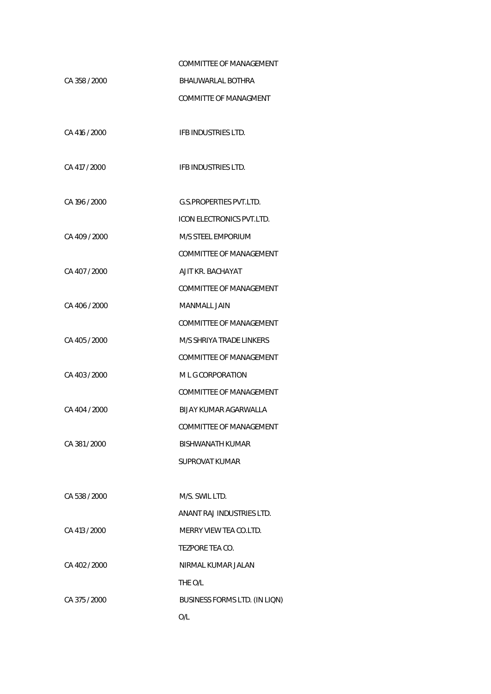|               | <b>COMMITTEE OF MANAGEMENT</b>   |
|---------------|----------------------------------|
| CA 358 / 2000 | BHAUWARLAL BOTHRA                |
|               | COMMITTE OF MANAGMENT            |
| CA 416 / 2000 | IFB INDUSTRIES LTD.              |
| CA 417 / 2000 | IFB INDUSTRIES LTD.              |
| CA 196 / 2000 | <b>G.S.PROPERTIES PVT.LTD.</b>   |
|               | <b>ICON ELECTRONICS PVT.LTD.</b> |
| CA 409 / 2000 | <b>M/S STEEL EMPORIUM</b>        |
|               | COMMITTEE OF MANAGEMENT          |
| CA 407 / 2000 | AJIT KR. BACHAYAT                |
|               | COMMITTEE OF MANAGEMENT          |
| CA 406 / 2000 | <b>MANMALL JAIN</b>              |
|               | <b>COMMITTEE OF MANAGEMENT</b>   |
| CA 405 / 2000 | M/S SHRIYA TRADE LINKERS         |
|               | COMMITTEE OF MANAGEMENT          |
| CA 403 / 2000 | M L G CORPORATION                |
|               | COMMITTEE OF MANAGEMENT          |
| CA 404 / 2000 | BIJAY KUMAR AGARWALLA            |
|               | COMMITTEE OF MANAGEMENT          |
| CA 381 / 2000 | BISHWANATH KUMAR                 |
|               | <b>SUPROVAT KUMAR</b>            |
|               |                                  |
| CA 538 / 2000 | M/S. SWIL LTD.                   |
|               | ANANT RAJ INDUSTRIES LTD.        |
| CA 413 / 2000 | MERRY VIEW TEA CO.LTD.           |
|               | TEZPORE TEA CO.                  |
| CA 402 / 2000 | NIRMAL KUMAR JALAN               |
|               | THE O/L                          |
| CA 375 / 2000 | BUSINESS FORMS LTD. (IN LIQN)    |
|               | O/L                              |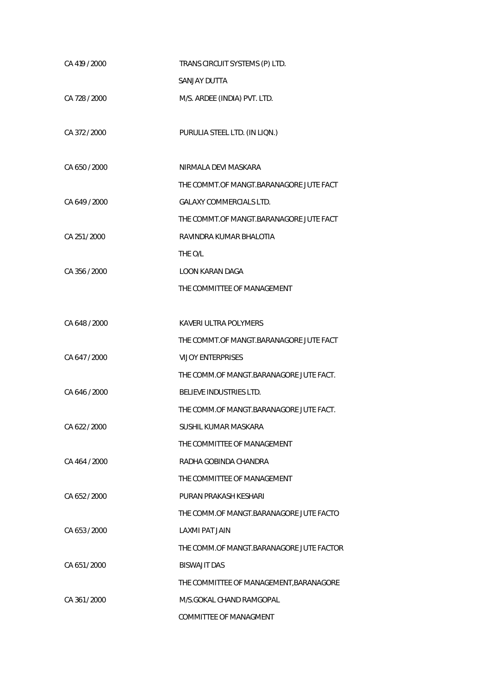| CA 419 / 2000 | TRANS CIRCUIT SYSTEMS (P) LTD.           |
|---------------|------------------------------------------|
|               | <b>SANJAY DUTTA</b>                      |
| CA 728 / 2000 | M/S. ARDEE (INDIA) PVT. LTD.             |
|               |                                          |
| CA 372 / 2000 | PURULIA STEEL LTD. (IN LIQN.)            |
|               |                                          |
| CA 650 / 2000 | NIRMALA DEVI MASKARA                     |
|               | THE COMMT.OF MANGT.BARANAGORE JUTE FACT  |
| CA 649 / 2000 | <b>GALAXY COMMERCIALS LTD.</b>           |
|               | THE COMMT.OF MANGT.BARANAGORE JUTE FACT  |
| CA 251/2000   | RAVINDRA KUMAR BHALOTIA                  |
|               | THE O/L                                  |
| CA 356 / 2000 | LOON KARAN DAGA                          |
|               | THE COMMITTEE OF MANAGEMENT              |
|               |                                          |
| CA 648 / 2000 | KAVERI ULTRA POLYMERS                    |
|               | THE COMMT.OF MANGT.BARANAGORE JUTE FACT  |
| CA 647 / 2000 | <b>VIJOY ENTERPRISES</b>                 |
|               | THE COMM.OF MANGT.BARANAGORE JUTE FACT.  |
| CA 646 / 2000 | BELIEVE INDUSTRIES LTD.                  |
|               | THE COMM.OF MANGT.BARANAGORE JUTE FACT.  |
| CA 622 / 2000 | SUSHIL KUMAR MASKARA                     |
|               | THE COMMITTEE OF MANAGEMENT              |
| CA 464 / 2000 | RADHA GOBINDA CHANDRA                    |
|               | THE COMMITTEE OF MANAGEMENT              |
| CA 652 / 2000 | PURAN PRAKASH KESHARI                    |
|               | THE COMM.OF MANGT.BARANAGORE JUTE FACTO  |
| CA 653 / 2000 | <b>LAXMI PAT JAIN</b>                    |
|               | THE COMM.OF MANGT.BARANAGORE JUTE FACTOR |
| CA 651/2000   | BISWAJIT DAS                             |
|               | THE COMMITTEE OF MANAGEMENT, BARANAGORE  |
| CA 361/2000   | M/S.GOKAL CHAND RAMGOPAL                 |
|               | COMMITTEE OF MANAGMENT                   |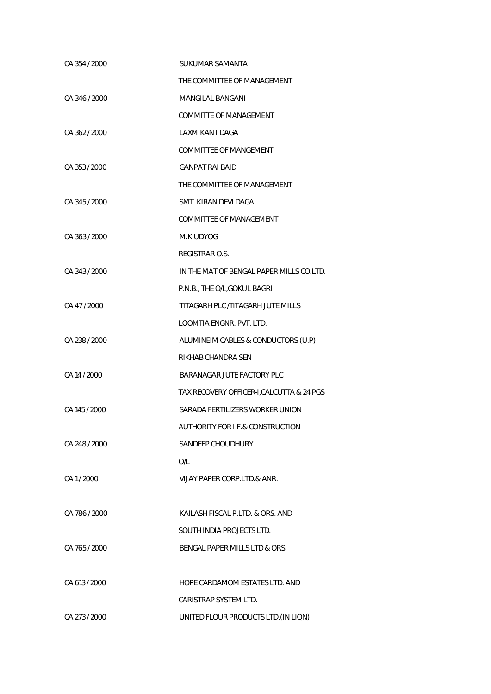| CA 354 / 2000 | SUKUMAR SAMANTA                           |
|---------------|-------------------------------------------|
|               | THE COMMITTEE OF MANAGEMENT               |
| CA 346 / 2000 | <b>MANGILAL BANGANI</b>                   |
|               | <b>COMMITTE OF MANAGEMENT</b>             |
| CA 362 / 2000 | LAXMIKANT DAGA                            |
|               | COMMITTEE OF MANGEMENT                    |
| CA 353 / 2000 | <b>GANPAT RAI BAID</b>                    |
|               | THE COMMITTEE OF MANAGEMENT               |
| CA 345 / 2000 | SMT. KIRAN DEVI DAGA                      |
|               | COMMITTEE OF MANAGEMENT                   |
| CA 363 / 2000 | M.K.UDYOG                                 |
|               | REGISTRAR O.S.                            |
| CA 343 / 2000 | IN THE MAT. OF BENGAL PAPER MILLS CO.LTD. |
|               | P.N.B., THE O/L, GOKUL BAGRI              |
| CA 47/2000    | TITAGARH PLC /TITAGARH JUTE MILLS         |
|               | LOOMTIA ENGNR. PVT. LTD.                  |
| CA 238 / 2000 | ALUMINEIM CABLES & CONDUCTORS (U.P)       |
|               | RIKHAB CHANDRA SEN                        |
| CA 14 / 2000  | BARANAGAR JUTE FACTORY PLC                |
|               | TAX RECOVERY OFFICER-I, CALCUTTA & 24 PGS |
| CA 145 / 2000 | SARADA FERTILIZERS WORKER UNION           |
|               | AUTHORITY FOR I.F.& CONSTRUCTION          |
| CA 248 / 2000 | SANDEEP CHOUDHURY                         |
|               | O/L                                       |
| CA 1/2000     | VIJAY PAPER CORP.LTD.& ANR.               |
|               |                                           |
| CA 786 / 2000 | KAILASH FISCAL P.LTD. & ORS. AND          |
|               | SOUTH INDIA PROJECTS LTD.                 |
| CA 765 / 2000 | BENGAL PAPER MILLS LTD & ORS              |
|               |                                           |
| CA 613 / 2000 | HOPE CARDAMOM ESTATES LTD. AND            |
|               | CARISTRAP SYSTEM LTD.                     |
| CA 273 / 2000 | UNITED FLOUR PRODUCTS LTD. (IN LIQN)      |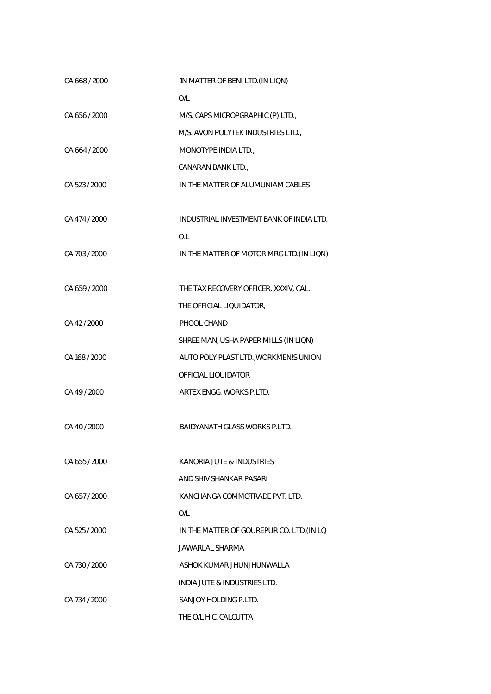| CA 668 / 2000 | 1N MATTER OF BENI LTD. (IN LIQN)          |
|---------------|-------------------------------------------|
|               | O/L                                       |
| CA 656/2000   | M/S. CAPS MICROPGRAPHIC (P) LTD.,         |
|               | M/S. AVON POLYTEK INDUSTRIES LTD.,        |
| CA 664 / 2000 | MONOTYPE INDIA LTD.,                      |
|               | CANARAN BANK LTD.,                        |
| CA 523 / 2000 | IN THE MATTER OF ALUMUNIAM CABLES         |
|               |                                           |
| CA 474 / 2000 | INDUSTRIAL INVESTMENT BANK OF INDIA LTD.  |
|               | O.L                                       |
| CA 703 / 2000 | IN THE MATTER OF MOTOR MRG LTD. (IN LIQN) |
|               |                                           |
| CA 659 / 2000 | THE TAX RECOVERY OFFICER, XXXIV, CAL.     |
|               | THE OFFICIAL LIQUIDATOR,                  |
| CA 42 / 2000  | PHOOL CHAND                               |
|               | SHREE MANJUSHA PAPER MILLS (IN LIQN)      |
| CA 168 / 2000 | AUTO POLY PLAST LTD., WORKMEN!S UNION     |
|               | OFFICIAL LIQUIDATOR                       |
| CA 49/2000    | ARTEX ENGG. WORKS P.LTD.                  |
| CA 40 / 2000  | <b>BAIDYANATH GLASS WORKS P.LTD.</b>      |
|               |                                           |
| CA 655/2000   | KANORIA JUTE & INDUSTRIES                 |
|               | AND SHIV SHANKAR PASARI                   |
| CA 657/2000   | KANCHANGA COMMOTRADE PVT. I TD.           |
|               | O/I                                       |
| CA 525 / 2000 | IN THE MATTER OF GOUREPUR CO. LTD. (IN LO |
|               | JAWARLAL SHARMA                           |
| CA 730 / 2000 | ASHOK KUMAR JHUNJHUNWALLA                 |
|               | INDIA JUTE & INDUSTRIES LTD.              |
| CA 734 / 2000 | SANJOY HOLDING P.LTD.                     |
|               | THE O/L H.C. CALCUTTA                     |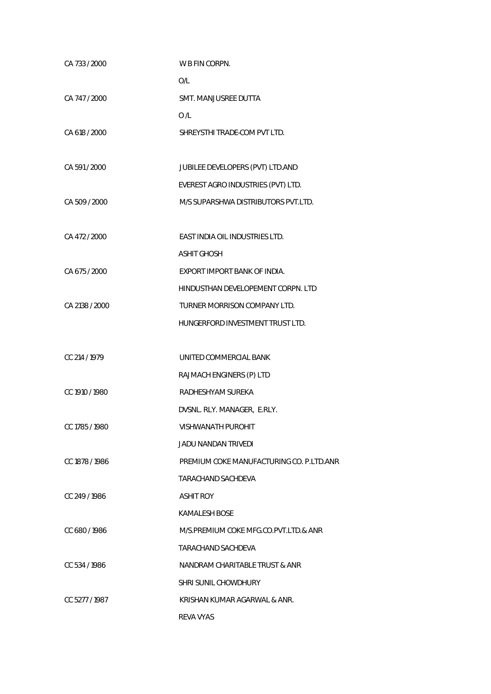| CA 733 / 2000  | W B FIN CORPN.                           |
|----------------|------------------------------------------|
|                | O/L                                      |
| CA 747 / 2000  | SMT. MANJUSREE DUTTA                     |
|                | 0/L                                      |
| CA 618 / 2000  | SHREYSTHI TRADE-COM PVT LTD.             |
|                |                                          |
| CA 591 / 2000  | JUBILEE DEVELOPERS (PVT) LTD.AND         |
|                | EVEREST AGRO INDUSTRIES (PVT) LTD.       |
| CA 509 / 2000  | M/S SUPARSHWA DISTRIBUTORS PVT.LTD.      |
|                |                                          |
| CA 472 / 2000  | EAST INDIA OIL INDUSTRIES LTD.           |
|                | <b>ASHIT GHOSH</b>                       |
| CA 675 / 2000  | EXPORT IMPORT BANK OF INDIA.             |
|                | HINDUSTHAN DEVELOPEMENT CORPN. LTD       |
| CA 2138 / 2000 | TURNER MORRISON COMPANY LTD.             |
|                | HUNGERFORD INVESTMENT TRUST LTD.         |
|                |                                          |
| CC 214 / 1979  | UNITED COMMERCIAL BANK                   |
|                | RAJMACH ENGINERS (P) LTD                 |
| CC 1910 / 1980 | RADHESHYAM SUREKA                        |
|                | DVSNL. RLY. MANAGER, E.RLY.              |
| CC 1785 / 1980 | VISHWANATH PUROHIT                       |
|                | JADU NANDAN TRIVEDI                      |
| CC 1878 / 1986 | PREMIUM COKE MANUFACTURING CO. P.LTD.ANR |
|                | TARACHAND SACHDEVA                       |
| CC 249/1986    | <b>ASHIT ROY</b>                         |
|                | KAMALESH BOSE                            |
| CC 680/1986    | M/S.PREMIUM COKE MFG.CO.PVT.LTD.& ANR    |
|                | TARACHAND SACHDEVA                       |
| CC 534/1986    | NANDRAM CHARITABLE TRUST & ANR           |
|                | SHRI SUNIL CHOWDHURY                     |
| CC 5277/1987   | KRISHAN KUMAR AGARWAL & ANR.             |
|                | <b>REVA VYAS</b>                         |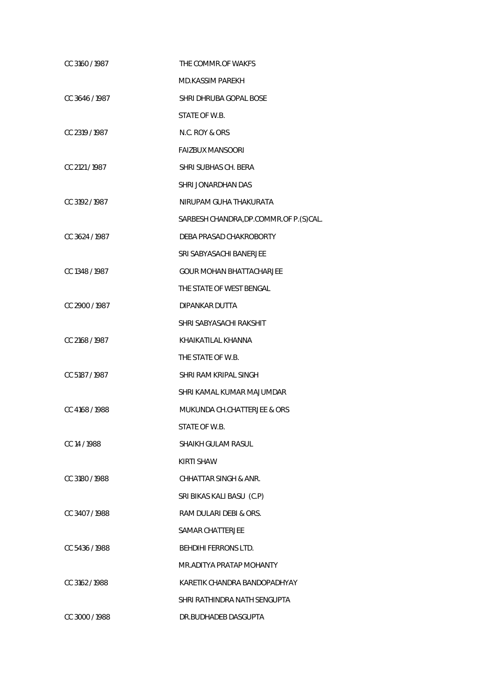| CC 3160 / 1987 | THE COMMR.OF WAKFS                       |
|----------------|------------------------------------------|
|                | <b>MD.KASSIM PAREKH</b>                  |
| CC 3646/1987   | SHRI DHRUBA GOPAL BOSE                   |
|                | STATE OF W.B.                            |
| CC 2319 / 1987 | N.C. ROY & ORS                           |
|                | <b>FAIZBUX MANSOORI</b>                  |
| CC 2121 / 1987 | SHRI SUBHAS CH. BERA                     |
|                | SHRI JONARDHAN DAS                       |
| CC 3192/1987   | NIRUPAM GUHA THAKURATA                   |
|                | SARBESH CHANDRA, DP.COMMR. OF P. (S)CAL. |
| CC 3624 / 1987 | DEBA PRASAD CHAKROBORTY                  |
|                | SRI SABYASACHI BANERJEE                  |
| CC 1348 / 1987 | GOUR MOHAN BHATTACHARJEE                 |
|                | THE STATE OF WEST BENGAL                 |
| CC 2900 / 1987 | DIPANKAR DUTTA                           |
|                | SHRI SABYASACHI RAKSHIT                  |
| CC 2168/1987   | KHAIKATILAL KHANNA                       |
|                | THE STATE OF W.B.                        |
| CC 5187/1987   | SHRI RAM KRIPAL SINGH                    |
|                | SHRI KAMAL KUMAR MAJUMDAR                |
| CC 4168 / 1988 | MUKUNDA CH.CHATTERJEE & ORS              |
|                | STATE OF W.B.                            |
| CC 14 / 1988   | SHAIKH GULAM RASUL                       |
|                | KIRTI SHAW                               |
| CC 3180/1988   | CHHATTAR SINGH & ANR.                    |
|                | SRI BIKAS KALI BASU (C.P)                |
| CC 3407/1988   | RAM DULARI DEBI & ORS.                   |
|                | <b>SAMAR CHATTERJEE</b>                  |
| CC 5436 / 1988 | <b>BEHDIHI FERRONS LTD.</b>              |
|                | MR.ADITYA PRATAP MOHANTY                 |
| CC 3162/1988   | KARETIK CHANDRA BANDOPADHYAY             |
|                | SHRI RATHINDRA NATH SENGUPTA             |
| CC 3000 / 1988 | DR.BUDHADEB DASGUPTA                     |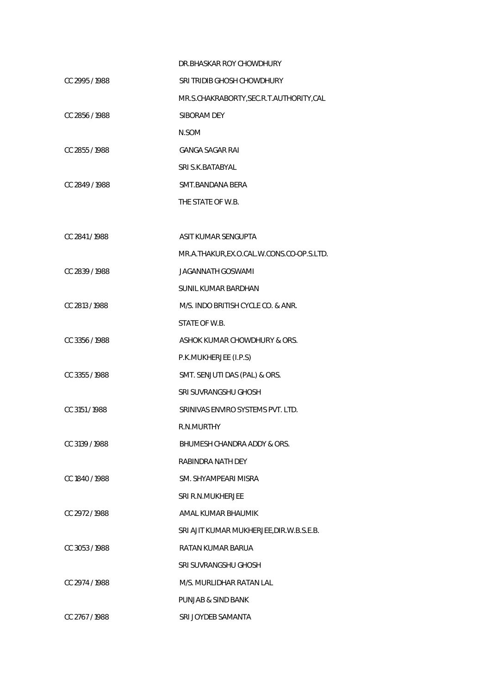|                | DR. BHASKAR ROY CHOWDHURY                 |
|----------------|-------------------------------------------|
| CC 2995 / 1988 | SRI TRIDIB GHOSH CHOWDHURY                |
|                | MR.S.CHAKRABORTY, SEC.R.T. AUTHORITY, CAL |
| CC 2856 / 1988 | SIBORAM DEY                               |
|                | N.SOM                                     |
| CC 2855/1988   | <b>GANGA SAGAR RAI</b>                    |
|                | SRI S.K. BATABYAL                         |
| CC 2849/1988   | SMT.BANDANA BERA                          |
|                | THE STATE OF W.B.                         |
|                |                                           |
| CC 2841/1988   | ASIT KUMAR SENGUPTA                       |
|                | MR.A.THAKUR,EX.O.CAL.W.CONS.CO-OP.S.LTD.  |
| CC 2839/1988   | <b>JAGANNATH GOSWAMI</b>                  |
|                | SUNIL KUMAR BARDHAN                       |
| CC 2813 / 1988 | M/S. INDO BRITISH CYCLE CO. & ANR.        |
|                | STATE OF W.B.                             |
| CC 3356/1988   | ASHOK KUMAR CHOWDHURY & ORS.              |
|                | P.K.MUKHERJEE (I.P.S)                     |
| CC 3355/1988   | SMT. SENJUTI DAS (PAL) & ORS.             |
|                | SRI SUVRANGSHU GHOSH                      |
| CC 3151/1988   | SRINIVAS ENVIRO SYSTEMS PVT. LTD.         |
|                | R.N.MURTHY                                |
| CC 3139/1988   | BHUMESH CHANDRA ADDY & ORS.               |
|                | RABINDRA NATH DEY                         |
| CC 1840 / 1988 | SM. SHYAMPEARI MISRA                      |
|                | SRI R.N.MUKHERJEE                         |
| CC 2972/1988   | AMAL KUMAR BHAUMIK                        |
|                | SRI AJIT KUMAR MUKHERJEE, DIR.W.B.S.E.B.  |
| CC 3053/1988   | RATAN KUMAR BARUA                         |
|                | SRI SUVRANGSHU GHOSH                      |
| CC 2974 / 1988 | M/S. MURLIDHAR RATAN LAL                  |
|                | <b>PUNJAB &amp; SIND BANK</b>             |
| CC 2767/1988   | SRI JOYDEB SAMANTA                        |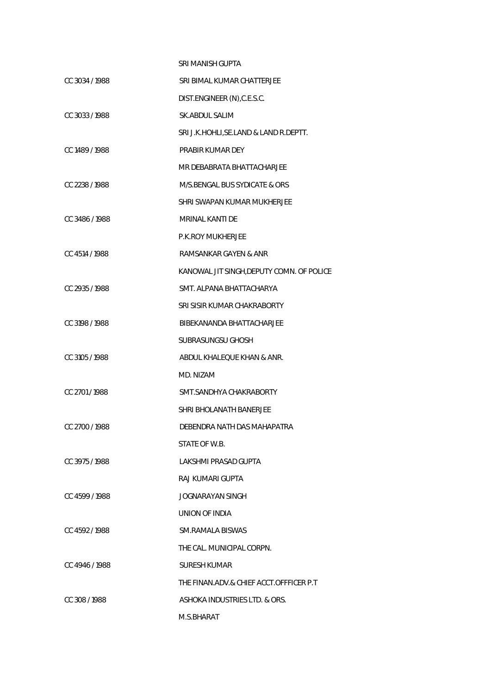|                | SRI MANISH GUPTA                          |
|----------------|-------------------------------------------|
| CC 3034/1988   | SRI BIMAL KUMAR CHATTERJEE                |
|                | DIST.ENGINEER (N), C.E.S.C.               |
| CC 3033/1988   | <b>SK.ABDUL SALIM</b>                     |
|                | SRI J.K.HOHLI, SE.LAND & LAND R.DEPTT.    |
| CC 1489 / 1988 | PRABIR KUMAR DEY                          |
|                | MR DEBABRATA BHATTACHARJEE                |
| CC 2238 / 1988 | M/S.BENGAL BUS SYDICATE & ORS             |
|                | SHRI SWAPAN KUMAR MUKHERJEE               |
| CC 3486/1988   | MRINAL KANTI DE                           |
|                | <b>P.K.ROY MUKHERJEE</b>                  |
| CC 4514 / 1988 | RAMSANKAR GAYEN & ANR                     |
|                | KANOWAL JIT SINGH, DEPUTY COMN. OF POLICE |
| CC 2935 / 1988 | SMT. ALPANA BHATTACHARYA                  |
|                | SRI SISIR KUMAR CHAKRABORTY               |
| CC 3198 / 1988 | BIBEKANANDA BHATTACHARJEE                 |
|                | <b>SUBRASUNGSU GHOSH</b>                  |
| CC 3105/1988   | ABDUL KHALEQUE KHAN & ANR.                |
|                | MD. NIZAM                                 |
| CC 2701/1988   | SMT.SANDHYA CHAKRABORTY                   |
|                | SHRI BHOLANATH BANERJEE                   |
| CC 2700 / 1988 | DEBENDRA NATH DAS MAHAPATRA               |
|                | STATE OF W.B.                             |
| CC 3975/1988   | LAKSHMI PRASAD GUPTA                      |
|                | RAJ KUMARI GUPTA                          |
| CC 4599/1988   | JOGNARAYAN SINGH                          |
|                | UNION OF INDIA                            |
| CC 4592/1988   | SM.RAMALA BISWAS                          |
|                | THE CAL. MUNICIPAL CORPN.                 |
| CC 4946/1988   | SURESH KUMAR                              |
|                | THE FINAN.ADV.& CHIEF ACCT.OFFFICER P.T   |
| CC 308/1988    | ASHOKA INDUSTRIES LTD. & ORS.             |
|                | M.S.BHARAT                                |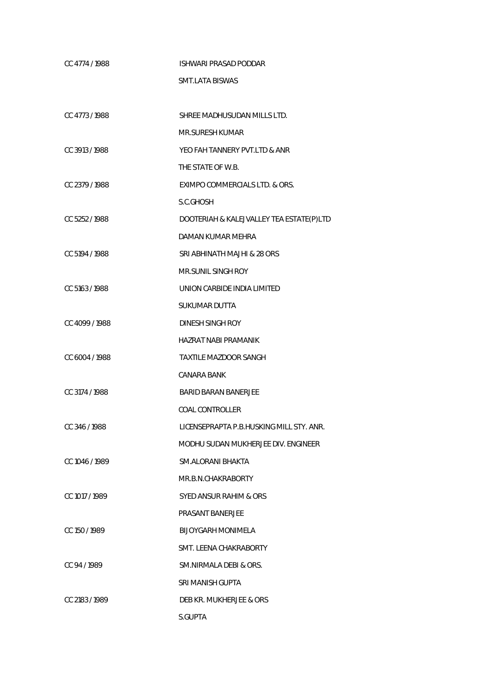| CC 4774/1988   | ISHWARI PRASAD PODDAR                    |
|----------------|------------------------------------------|
|                | <b>SMT.LATA BISWAS</b>                   |
|                |                                          |
| CC 4773/1988   | SHREE MADHUSUDAN MILLS LTD.              |
|                | MR.SURESH KUMAR                          |
| CC 3913 / 1988 | YEO FAH TANNERY PVT.LTD & ANR            |
|                | THE STATE OF W.B.                        |
| CC 2379/1988   | EXIMPO COMMERCIALS LTD. & ORS.           |
|                | S.C.GHOSH                                |
| CC 5252/1988   | DOOTERIAH & KALEJVALLEY TEA ESTATE(P)LTD |
|                | DAMAN KUMAR MEHRA                        |
| CC 5194 / 1988 | SRI ABHINATH MAJHI & 28 ORS              |
|                | <b>MR.SUNIL SINGH ROY</b>                |
| CC 5163 / 1988 | UNION CARBIDE INDIA LIMITED              |
|                | <b>SUKUMAR DUTTA</b>                     |
| CC 4099 / 1988 | DINESH SINGH ROY                         |
|                | <b>HAZRAT NABI PRAMANIK</b>              |
| CC 6004 / 1988 | <b>TAXTILE MAZDOOR SANGH</b>             |
|                | CANARA BANK                              |
| CC 3174 / 1988 | <b>BARID BARAN BANERJEE</b>              |
|                | COAL CONTROLLER                          |
| CC 346 / 1988  | LICENSEPRAPTA P.B.HUSKING MILL STY. ANR. |
|                | MODHU SUDAN MUKHERJEE DIV. ENGINEER      |
| CC 1046 / 1989 | SM.ALORANI BHAKTA                        |
|                | MR.B.N.CHAKRABORTY                       |
| CC 1017 / 1989 | SYED ANSUR RAHIM & ORS                   |
|                | PRASANT BANERJEE                         |
| CC 150/1989    | <b>BLJOYGARH MONIMELA</b>                |
|                | SMT. LEENA CHAKRABORTY                   |
| CC 94/1989     | SM.NIRMALA DEBI & ORS.                   |
|                | SRI MANISH GUPTA                         |
| CC 2183 / 1989 | DEB KR. MUKHERJEE & ORS                  |
|                | S.GUPTA                                  |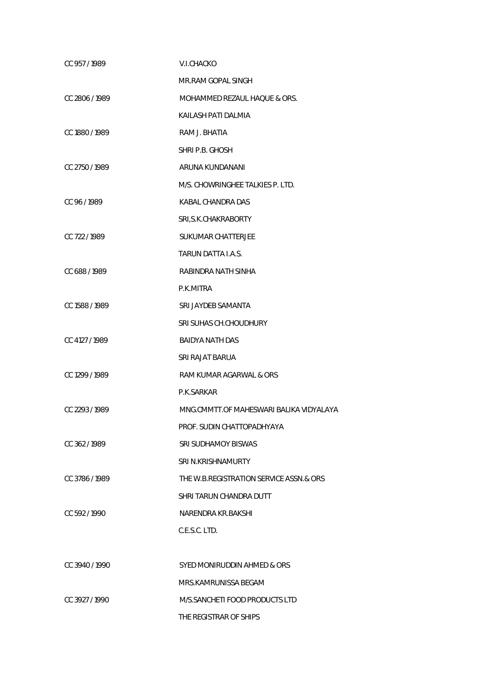| CC 957/1989    | <b>V.I.CHACKO</b>                       |
|----------------|-----------------------------------------|
|                | MR.RAM GOPAL SINGH                      |
| CC 2806/1989   | MOHAMMED REZAUL HAQUE & ORS.            |
|                | KAILASH PATI DALMIA                     |
| CC 1880 / 1989 | RAM J. BHATIA                           |
|                | SHRI P.B. GHOSH                         |
| CC 2750 / 1989 | ARUNA KUNDANANI                         |
|                | M/S. CHOWRINGHEE TALKIES P. LTD.        |
| CC 96/1989     | KABAL CHANDRA DAS                       |
|                | SRI, S.K. CHAKRABORTY                   |
| CC 722/1989    | <b>SUKUMAR CHATTERJEE</b>               |
|                | TARUN DATTA I.A.S.                      |
| CC 688/1989    | RABINDRA NATH SINHA                     |
|                | P.K.MITRA                               |
| CC 1588 / 1989 | SRI JAYDEB SAMANTA                      |
|                | SRI SUHAS CH. CHOUDHURY                 |
| CC 4127 / 1989 | BAIDYA NATH DAS                         |
|                | SRI RAJAT BARUA                         |
| CC 1299 / 1989 | RAM KUMAR AGARWAL & ORS                 |
|                | P.K.SARKAR                              |
| CC 2293/1989   | MNG.CMMTT.OF MAHESWARI BALIKA VIDYALAYA |
|                | PROF. SUDIN CHATTOPADHYAYA              |
| CC 362/1989    | SRI SUDHAMOY BISWAS                     |
|                | SRI N.KRISHNAMURTY                      |
| CC 3786/1989   | THE W.B.REGISTRATION SERVICE ASSN.& ORS |
|                | SHRI TARUN CHANDRA DUTT                 |
| CC 592/1990    | NARENDRA KR.BAKSHI                      |
|                | C.E.S.C. LTD.                           |
|                |                                         |
| CC 3940/1990   | SYED MONIRUDDIN AHMED & ORS             |
|                | MRS.KAMRUNISSA BEGAM                    |
| CC 3927/1990   | M/S.SANCHETI FOOD PRODUCTS LTD          |
|                | THE REGISTRAR OF SHIPS                  |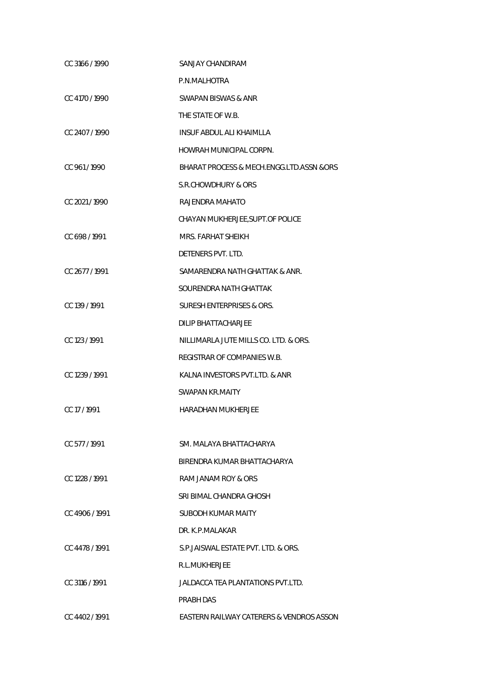| CC 3166 / 1990 | SANJAY CHANDIRAM                          |
|----------------|-------------------------------------------|
|                | P.N.MALHOTRA                              |
| CC 4170 / 1990 | SWAPAN BISWAS & ANR                       |
|                | THE STATE OF W.B.                         |
| CC 2407/1990   | INSUF ABDUL ALI KHAIMLLA                  |
|                | HOWRAH MUNICIPAL CORPN.                   |
| CC 961/1990    | BHARAT PROCESS & MECH.ENGG.LTD.ASSN & ORS |
|                | S.R.CHOWDHURY & ORS                       |
| CC 2021/1990   | RAJENDRA MAHATO                           |
|                | CHAYAN MUKHERJEE, SUPT. OF POLICE         |
| CC 698 / 1991  | MRS. FARHAT SHEIKH                        |
|                | DETENERS PVT. LTD.                        |
| CC 2677 / 1991 | SAMARENDRA NATH GHATTAK & ANR.            |
|                | SOURENDRA NATH GHATTAK                    |
| CC 139 / 1991  | SURESH ENTERPRISES & ORS.                 |
|                | <b>DILIP BHATTACHARJEE</b>                |
| CC 123 / 1991  | NILLIMARLA JUTE MILLS CO. LTD. & ORS.     |
|                | REGISTRAR OF COMPANIES W.B.               |
| CC 1239 / 1991 | KALNA INVESTORS PVT.LTD. & ANR            |
|                | <b>SWAPAN KR.MAITY</b>                    |
| CC 17/1991     | <b>HARADHAN MUKHERJEE</b>                 |
|                |                                           |
| CC 577/1991    | SM. MAI AYA BHATTACHARYA                  |
|                | BIRENDRA KUMAR BHATTACHARYA               |
| CC 1228 / 1991 | RAM JANAM ROY & ORS                       |
|                | SRI BIMAL CHANDRA GHOSH                   |
| CC 4906/1991   | SUBODH KUMAR MAITY                        |
|                | DR. K.P.MALAKAR                           |
| CC 4478 / 1991 | S.P. JAISWAL ESTATE PVT. LTD. & ORS.      |
|                | R.L.MUKHERJEE                             |
| CC 3116 / 1991 | JALDACCA TEA PLANTATIONS PVT.LTD.         |
|                | PRABH DAS                                 |
| CC 4402/1991   | EASTERN RAILWAY CATERERS & VENDROS ASSON  |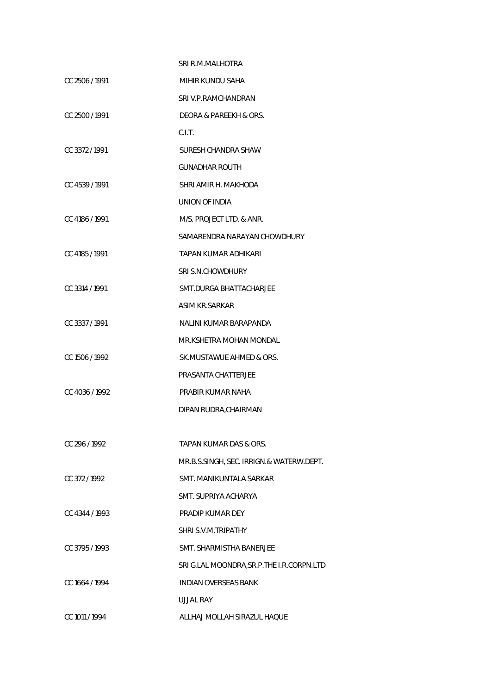|                | SRI R.M.MALHOTRA                           |
|----------------|--------------------------------------------|
| CC 2506 / 1991 | MIHIR KUNDU SAHA                           |
|                | SRI V.P.RAMCHANDRAN                        |
| CC 2500 / 1991 | DEORA & PAREEKH & ORS.                     |
|                | C.I.T.                                     |
| CC 3372/1991   | SURESH CHANDRA SHAW                        |
|                | <b>GUNADHAR ROUTH</b>                      |
| CC 4539 / 1991 | SHRI AMIR H. MAKHODA                       |
|                | UNION OF INDIA                             |
| CC 4186 / 1991 | M/S. PROJECT LTD. & ANR.                   |
|                | SAMARENDRA NARAYAN CHOWDHURY               |
| CC 4185 / 1991 | TAPAN KUMAR ADHIKARI                       |
|                | SRI S.N.CHOWDHURY                          |
| CC 3314 / 1991 | SMT.DURGA BHATTACHARJEE                    |
|                | ASIM KR.SARKAR                             |
| CC 3337/1991   | NALINI KUMAR BARAPANDA                     |
|                | MR.KSHETRA MOHAN MONDAL                    |
| CC 1506 / 1992 | SK.MUSTAWUE AHMED & ORS.                   |
|                | PRASANTA CHATTERJEE                        |
| CC 4036 / 1992 | PRABIR KUMAR NAHA                          |
|                | DIPAN RUDRA, CHAIRMAN                      |
|                |                                            |
| CC 296 / 1992  | TAPAN KUMAR DAS & ORS.                     |
|                | MR.B.S.SINGH, SEC. IRRIGN.& WATERW.DEPT.   |
| CC 372/1992    | SMT. MANIKUNTALA SARKAR                    |
|                | SMT. SUPRIYA ACHARYA                       |
| CC 4344 / 1993 | PRADIP KUMAR DEY                           |
|                | SHRI S.V.M.TRIPATHY                        |
| CC 3795/1993   | SMT. SHARMISTHA BANERJEE                   |
|                | SRI G.LAL MOONDRA, SR.P. THE I.R.CORPN.LTD |
| CC 1664 / 1994 | <b>INDIAN OVERSEAS BANK</b>                |
|                | UJJAL RAY                                  |
| CC 1011 / 1994 | ALLHAJ MOLLAH SIRAZUL HAQUE                |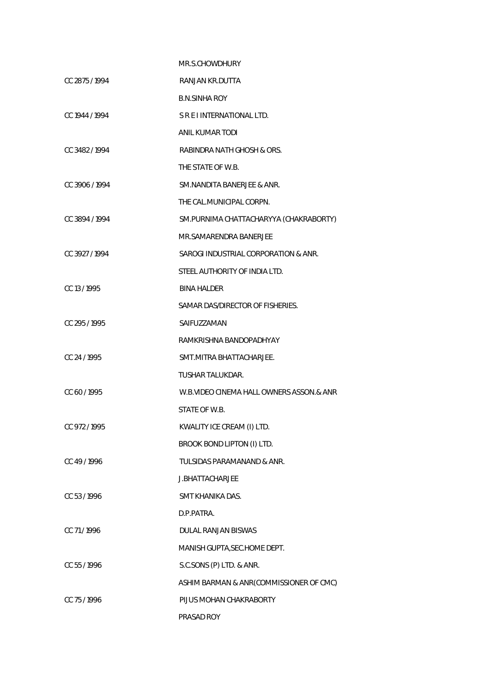|                | MR.S.CHOWDHURY                           |
|----------------|------------------------------------------|
| CC 2875/1994   | RANJAN KR.DUTTA                          |
|                | <b>B.N.SINHA ROY</b>                     |
| CC 1944 / 1994 | S R E I INTERNATIONAL LTD.               |
|                | ANIL KUMAR TODI                          |
| CC 3482/1994   | RABINDRA NATH GHOSH & ORS.               |
|                | THE STATE OF W.B.                        |
| CC 3906 / 1994 | SM.NANDITA BANERJEE & ANR.               |
|                | THE CAL.MUNICIPAL CORPN.                 |
| CC 3894 / 1994 | SM.PURNIMA CHATTACHARYYA (CHAKRABORTY)   |
|                | MR.SAMARENDRA BANERJEE                   |
| CC 3927/1994   | SAROGI INDUSTRIAL CORPORATION & ANR.     |
|                | STEEL AUTHORITY OF INDIA LTD.            |
| CC 13 / 1995   | <b>BINA HALDER</b>                       |
|                | SAMAR DAS/DIRECTOR OF FISHERIES.         |
| CC 295 / 1995  | SAIFUZZAMAN                              |
|                | RAMKRISHNA BANDOPADHYAY                  |
| CC 24 / 1995   | SMT.MITRA BHATTACHARJEE.                 |
|                | <b>TUSHAR TALUKDAR.</b>                  |
| CC 60 / 1995   | W.B.VIDEO CINEMA HALL OWNERS ASSON.& ANR |
|                | STATE OF W.B.                            |
| CC 972 / 1995  | KWALITY ICE CREAM (I) LTD.               |
|                | BROOK BOND LIPTON (I) LTD.               |
| CC 49/1996     | TULSIDAS PARAMANAND & ANR.               |
|                | J.BHATTACHARJEE                          |
| CC 53/1996     | SMT KHANIKA DAS.                         |
|                | D.P.PATRA.                               |
| CC 71/1996     | DULAL RANJAN BISWAS                      |
|                | MANISH GUPTA, SEC. HOME DEPT.            |
| CC 55 / 1996   | S.C.SONS (P) LTD. & ANR.                 |
|                | ASHIM BARMAN & ANR(COMMISSIONER OF CMC)  |
| CC 75/1996     | PIJUS MOHAN CHAKRABORTY                  |
|                | PRASAD ROY                               |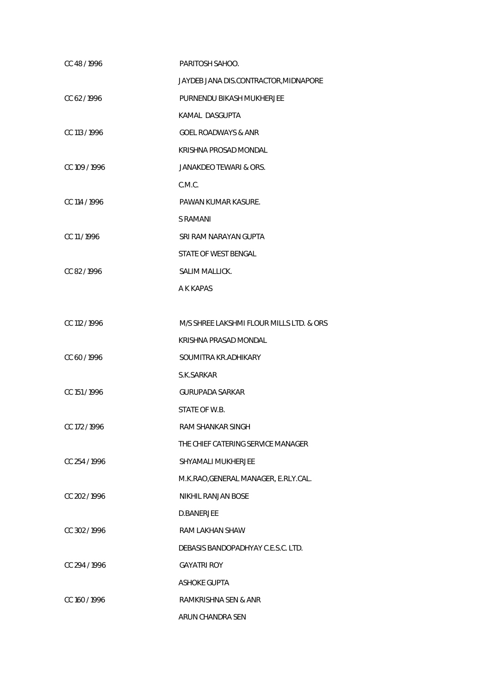| CC 48/1996    | PARITOSH SAHOO.                          |
|---------------|------------------------------------------|
|               | JAYDEB JANA DIS.CONTRACTOR, MIDNAPORE    |
| CC 62/1996    | PURNENDU BIKASH MUKHERJEE                |
|               | KAMAL DASGUPTA                           |
| CC 113 / 1996 | GOEL ROADWAYS & ANR                      |
|               | KRISHNA PROSAD MONDAL                    |
| CC 109 / 1996 | JANAKDEO TEWARI & ORS.                   |
|               | C.M.C.                                   |
| CC 114 / 1996 | PAWAN KUMAR KASURE.                      |
|               | S RAMANI                                 |
| CC 11/1996    | SRI RAM NARAYAN GUPTA                    |
|               | STATE OF WEST BENGAL                     |
| CC 82/1996    | SALIM MALLICK.                           |
|               | A K KAPAS                                |
|               |                                          |
| CC 112 / 1996 | M/S SHREE LAKSHMI FLOUR MILLS LTD. & ORS |
|               | KRISHNA PRASAD MONDAL                    |
| CC 60/1996    | SOUMITRA KR.ADHIKARY                     |
|               | S.K.SARKAR                               |
| CC 151/1996   | <b>GURUPADA SARKAR</b>                   |
|               | STATE OF W.B.                            |
| CC 172 / 1996 | RAM SHANKAR SINGH                        |
|               | THE CHIEF CATERING SERVICE MANAGER       |
| CC 254 / 1996 | SHYAMALI MUKHERJEE                       |
|               | M.K.RAO, GENERAL MANAGER, E.RLY.CAL.     |
| CC 202/1996   | NIKHIL RANJAN BOSE                       |
|               | D.BANERJEE                               |
| CC 302/1996   | RAM LAKHAN SHAW                          |
|               | DEBASIS BANDOPADHYAY C.E.S.C. LTD.       |
| CC 294/1996   | <b>GAYATRI ROY</b>                       |
|               | ASHOKE GUPTA                             |
| CC 160 / 1996 | RAMKRISHNA SEN & ANR                     |
|               | ARUN CHANDRA SEN                         |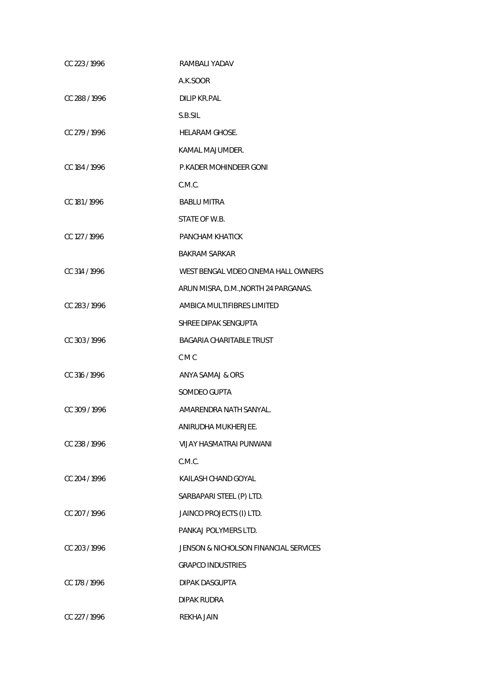| CC 223 / 1996 | RAMBALI YADAV                         |
|---------------|---------------------------------------|
|               | A.K.SOOR                              |
| CC 288 / 1996 | <b>DILIP KR.PAL</b>                   |
|               | S.B.SIL                               |
| CC 279/1996   | HELARAM GHOSE.                        |
|               | KAMAL MAJUMDER.                       |
| CC 184 / 1996 | P.KADER MOHINDEER GONI                |
|               | C.M.C.                                |
| CC 181 / 1996 | <b>BABLU MITRA</b>                    |
|               | STATE OF W.B.                         |
| CC 127 / 1996 | PANCHAM KHATICK                       |
|               | <b>BAKRAM SARKAR</b>                  |
| CC 314 / 1996 | WEST BENGAL VIDEO CINEMA HALL OWNERS  |
|               | ARUN MISRA, D.M., NORTH 24 PARGANAS.  |
| CC 283/1996   | AMBICA MULTIFIBRES LIMITED            |
|               | SHREE DIPAK SENGUPTA                  |
| CC 303/1996   | BAGARIA CHARITABLE TRUST              |
|               | C M C                                 |
| CC 316 / 1996 | ANYA SAMAJ & ORS                      |
|               | SOMDEO GUPTA                          |
| CC 309 / 1996 | AMARENDRA NATH SANYAL.                |
|               | ANIRUDHA MUKHERJEE.                   |
| CC 238/1996   | VIJAY HASMATRAI PUNWANI               |
|               | C.M.C.                                |
| CC 204 / 1996 | KAILASH CHAND GOYAL                   |
|               | SARBAPARI STEEL (P) LTD.              |
| CC 207/1996   | JAINCO PROJECTS (I) LTD.              |
|               | PANKAJ POLYMERS LTD.                  |
| CC 203/1996   | JENSON & NICHOLSON FINANCIAL SERVICES |
|               | <b>GRAPCO INDUSTRIES</b>              |
| CC 178 / 1996 | DIPAK DASGUPTA                        |
|               | DIPAK RUDRA                           |
| CC 227 / 1996 | REKHA JAIN                            |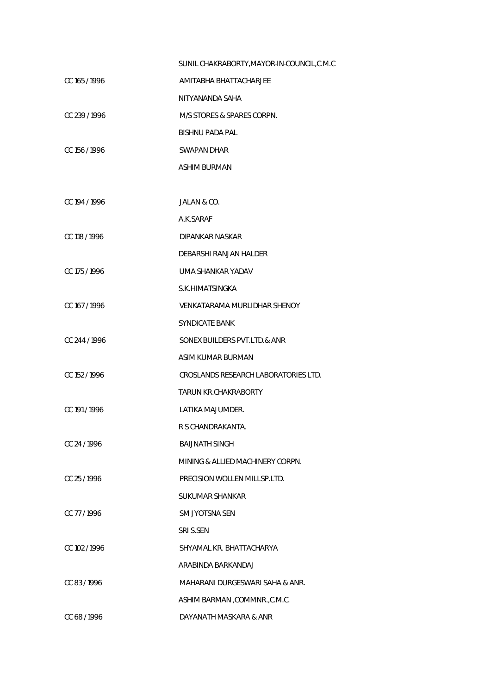|               | SUNIL CHAKRABORTY, MAYOR-IN-COUNCIL, C.M.C |
|---------------|--------------------------------------------|
| CC 165 / 1996 | AMITABHA BHATTACHARJEE                     |
|               | NITYANANDA SAHA                            |
| CC 239 / 1996 | M/S STORES & SPARES CORPN.                 |
|               | <b>BISHNU PADA PAL</b>                     |
| CC 156 / 1996 | <b>SWAPAN DHAR</b>                         |
|               | ASHIM BURMAN                               |
|               |                                            |
| CC 194 / 1996 | JALAN & CO.                                |
|               | A.K.SARAF                                  |
| CC 118 / 1996 | DIPANKAR NASKAR                            |
|               | DEBARSHI RANJAN HALDER                     |
| CC 175 / 1996 | UMA SHANKAR YADAV                          |
|               | S.K.HIMATSINGKA                            |
| CC 167 / 1996 | <b>VENKATARAMA MURLIDHAR SHENOY</b>        |
|               | <b>SYNDICATE BANK</b>                      |
| CC 244 / 1996 | SONEX BUILDERS PVT.LTD.& ANR               |
|               | ASIM KUMAR BURMAN                          |
| CC 152 / 1996 | CROSLANDS RESEARCH LABORATORIES LTD.       |
|               | <b>TARUN KR.CHAKRABORTY</b>                |
| CC 191/1996   | LATIKA MAJUMDER.                           |
|               | R S CHANDRAKANTA.                          |
| CC 24/1996    | <b>BAIJNATH SINGH</b>                      |
|               | MINING & ALLIED MACHINERY CORPN.           |
| CC 25/1996    | PRECISION WOLLEN MILLSP.LTD.               |
|               | <b>SUKUMAR SHANKAR</b>                     |
| CC 77/1996    | SM JYOTSNA SEN                             |
|               | SRI S.SEN                                  |
| CC 102/1996   | SHYAMAL KR. BHATTACHARYA                   |
|               | ARABINDA BARKANDAJ                         |
| CC 83/1996    | MAHARANI DURGESWARI SAHA & ANR.            |
|               | ASHIM BARMAN, COMMNR., C.M.C.              |
| CC 68 / 1996  | DAYANATH MASKARA & ANR                     |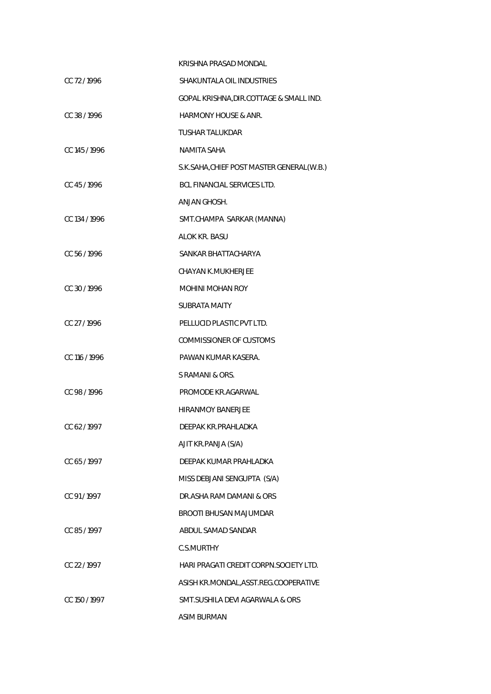|               | KRISHNA PRASAD MONDAL                      |
|---------------|--------------------------------------------|
| CC 72/1996    | SHAKUNTALA OIL INDUSTRIES                  |
|               | GOPAL KRISHNA, DIR. COTTAGE & SMALL IND.   |
| CC 38/1996    | <b>HARMONY HOUSE &amp; ANR.</b>            |
|               | <b>TUSHAR TALUKDAR</b>                     |
| CC 145/1996   | NAMITA SAHA                                |
|               | S.K.SAHA, CHIEF POST MASTER GENERAL (W.B.) |
| CC 45/1996    | BCL FINANCIAL SERVICES LTD.                |
|               | ANJAN GHOSH.                               |
| CC 134 / 1996 | SMT.CHAMPA SARKAR (MANNA)                  |
|               | <b>ALOK KR. BASU</b>                       |
| CC 56/1996    | SANKAR BHATTACHARYA                        |
|               | CHAYAN K.MUKHERJEE                         |
| CC 30/1996    | <b>MOHINI MOHAN ROY</b>                    |
|               | SUBRATA MAITY                              |
| CC 27/1996    | PELLUCID PLASTIC PVT LTD.                  |
|               | <b>COMMISSIONER OF CUSTOMS</b>             |
| CC 116 / 1996 | PAWAN KUMAR KASERA.                        |
|               | S RAMANI & ORS.                            |
| CC 98 / 1996  | PROMODE KR.AGARWAL                         |
|               | <b>HIRANMOY BANERJEE</b>                   |
| CC 62/1997    | DEEPAK KR.PRAHLADKA                        |
|               | AJIT KR.PANJA (S/A)                        |
| CC 65/1997    | DEFPAK KUMAR PRAHI ADKA                    |
|               | MISS DEBJANI SENGUPTA (S/A)                |
| CC 91/1997    | DR.ASHA RAM DAMANI & ORS                   |
|               | <b>BROOTI BHUSAN MAJUMDAR</b>              |
| CC 85/1997    | ABDUL SAMAD SANDAR                         |
|               | <b>C.S.MURTHY</b>                          |
| CC 22 / 1997  | HARI PRAGATI CREDIT CORPN.SOCIETY LTD.     |
|               | ASISH KR.MONDAL, ASST.REG.COOPERATIVE      |
| CC 150 / 1997 | SMT. SUSHILA DEVI AGARWALA & ORS           |
|               | <b>ASIM BURMAN</b>                         |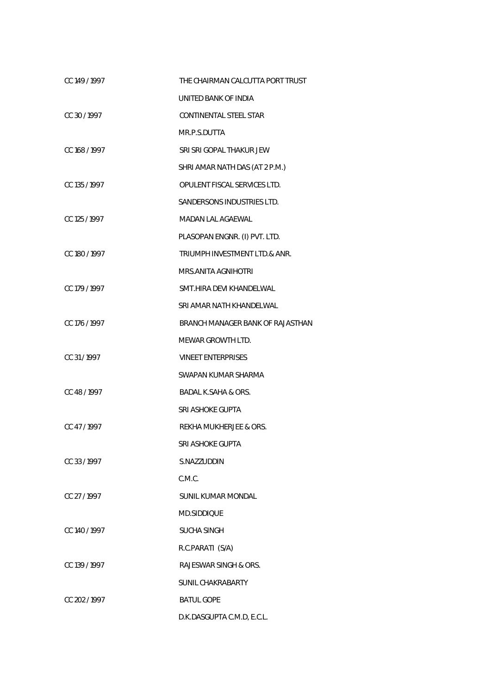| CC 149 / 1997 | THE CHAIRMAN CALCUTTA PORT TRUST |
|---------------|----------------------------------|
|               | UNITED BANK OF INDIA             |
| CC 30/1997    | CONTINENTAL STEEL STAR           |
|               | MR.P.S.DUTTA                     |
| CC 168 / 1997 | SRI SRI GOPAL THAKUR JEW         |
|               | SHRI AMAR NATH DAS (AT 2 P.M.)   |
| CC 135 / 1997 | OPULENT FISCAL SERVICES LTD.     |
|               | SANDERSONS INDUSTRIES LTD.       |
| CC 125 / 1997 | MADAN LAL AGAEWAL                |
|               | PLASOPAN ENGNR. (I) PVT. LTD.    |
| CC 180 / 1997 | TRIUMPH INVESTMENT LTD.& ANR.    |
|               | MRS.ANITA AGNIHOTRI              |
| CC 179 / 1997 | SMT.HIRA DEVI KHANDELWAL         |
|               | SRI AMAR NATH KHANDELWAL         |
| CC 176 / 1997 | BRANCH MANAGER BANK OF RAJASTHAN |
|               | MEWAR GROWTH LTD.                |
| CC 31/1997    | <b>VINEET ENTERPRISES</b>        |
|               | SWAPAN KUMAR SHARMA              |
| CC 48 / 1997  | <b>BADAL K.SAHA &amp; ORS.</b>   |
|               | SRI ASHOKE GUPTA                 |
| CC 47/1997    | REKHA MUKHERJEE & ORS.           |
|               | SRI ASHOKE GUPTA                 |
| CC 33/1997    | S.NAZZUDDIN                      |
|               | C.M.C.                           |
| CC 27/1997    | <b>SUNIL KUMAR MONDAL</b>        |
|               | MD.SIDDIQUE                      |
| CC 140 / 1997 | SUCHA SINGH                      |
|               | R.C.PARATI (S/A)                 |
| CC 139 / 1997 | RAJESWAR SINGH & ORS.            |
|               | SUNIL CHAKRABARTY                |
| CC 202 / 1997 | <b>BATUL GOPE</b>                |
|               | D.K.DASGUPTA C.M.D, E.C.L.       |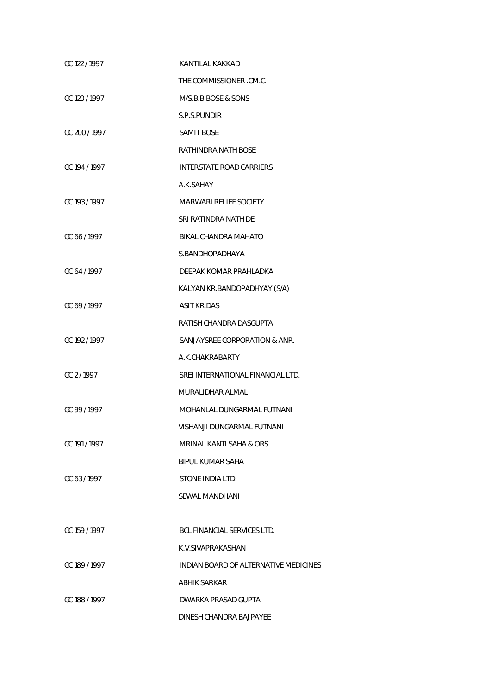| CC 122/1997   | KANTILAL KAKKAD                       |
|---------------|---------------------------------------|
|               | THE COMMISSIONER .CM.C.               |
| CC 120 / 1997 | M/S.B.B.BOSE & SONS                   |
|               | S.P.S.PUNDIR                          |
| CC 200 / 1997 | <b>SAMIT BOSE</b>                     |
|               | RATHINDRA NATH BOSE                   |
| CC 194 / 1997 | <b>INTERSTATE ROAD CARRIERS</b>       |
|               | A.K.SAHAY                             |
| CC 193 / 1997 | MARWARI RELIEF SOCIETY                |
|               | SRI RATINDRA NATH DE                  |
| CC 66 / 1997  | BIKAL CHANDRA MAHATO                  |
|               | S.BANDHOPADHAYA                       |
| CC 64 / 1997  | DEEPAK KOMAR PRAHLADKA                |
|               | KALYAN KR.BANDOPADHYAY (S/A)          |
| CC 69 / 1997  | <b>ASIT KR.DAS</b>                    |
|               | RATISH CHANDRA DASGUPTA               |
| CC 192/1997   | SANJAYSREE CORPORATION & ANR.         |
|               | A.K.CHAKRABARTY                       |
| CC 2/1997     | SREI INTERNATIONAL FINANCIAL LTD.     |
|               | MURALIDHAR ALMAL                      |
| CC 99 / 1997  | MOHANLAL DUNGARMAL FUTNANI            |
|               | VISHANJI DUNGARMAL FUTNANI            |
| CC 191/1997   | MRINAL KANTI SAHA & ORS               |
|               | <b>BIPUL KUMAR SAHA</b>               |
| CC 63/1997    | STONE INDIA LTD.                      |
|               | SEWAL MANDHANI                        |
|               |                                       |
| CC 159 / 1997 | BCL FINANCIAL SERVICES LTD.           |
|               | K.V.SIVAPRAKASHAN                     |
| CC 189 / 1997 | INDIAN BOARD OF ALTERNATIVE MEDICINES |
|               | ABHIK SARKAR                          |
| CC 188 / 1997 | DWARKA PRASAD GUPTA                   |
|               | DINESH CHANDRA BAJPAYEE               |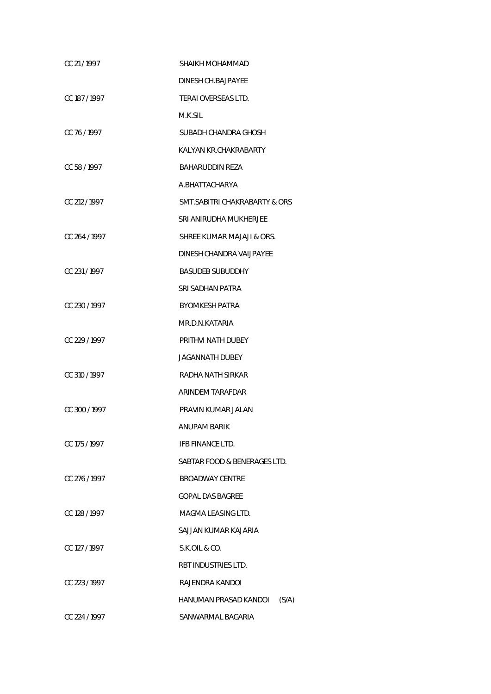| CC 21/1997    | SHAIKH MOHAMMAD                |
|---------------|--------------------------------|
|               | DINESH CH.BAJPAYEE             |
| CC 187/1997   | TERAI OVERSEAS LTD.            |
|               | M.K.SIL                        |
| CC 76/1997    | SUBADH CHANDRA GHOSH           |
|               | KALYAN KR.CHAKRABARTY          |
| CC 58/1997    | BAHARUDDIN REZA                |
|               | A.BHATTACHARYA                 |
| CC 212 / 1997 | SMT.SABITRI CHAKRABARTY & ORS  |
|               | SRI ANIRUDHA MUKHERJEE         |
| CC 264 / 1997 | SHREE KUMAR MAJAJI & ORS.      |
|               | DINESH CHANDRA VAIJPAYEE       |
| CC 231/1997   | <b>BASUDEB SUBUDDHY</b>        |
|               | SRI SADHAN PATRA               |
| CC 230/1997   | <b>BYOMKESH PATRA</b>          |
|               | MR.D.N.KATARIA                 |
| CC 229 / 1997 | PRITHVI NATH DUBEY             |
|               | JAGANNATH DUBEY                |
| CC 310 / 1997 | RADHA NATH SIRKAR              |
|               | ARINDEM TARAFDAR               |
| CC 300/1997   | PRAVIN KUMAR JALAN             |
|               | <b>ANUPAM BARIK</b>            |
| CC 175 / 1997 | IFB FINANCE LTD.               |
|               | SABTAR FOOD & BENERAGES LTD.   |
| CC 276/1997   | <b>BROADWAY CENTRE</b>         |
|               | <b>GOPAL DAS BAGREE</b>        |
| CC 128 / 1997 | MAGMA LEASING LTD.             |
|               | SAJJAN KUMAR KAJARIA           |
| CC 127 / 1997 | S.K.OIL & CO.                  |
|               | RBT INDUSTRIES LTD.            |
| CC 223/1997   | RAJENDRA KANDOI                |
|               | HANUMAN PRASAD KANDOI<br>(S/A) |
| CC 224 / 1997 | SANWARMAL BAGARIA              |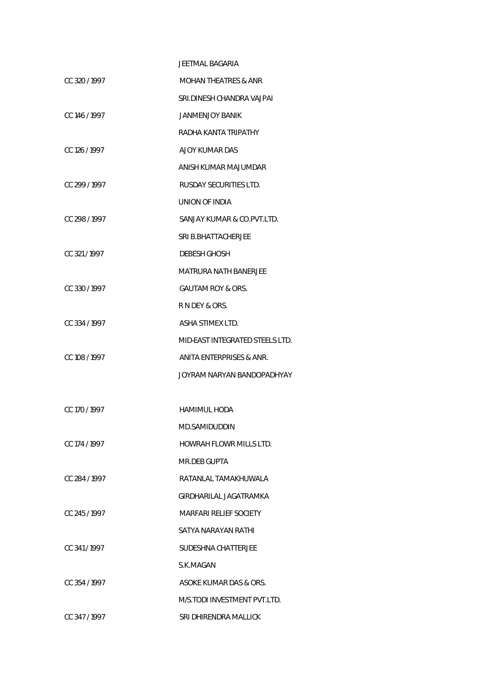|               | JEETMAL BAGARIA                 |
|---------------|---------------------------------|
| CC 320/1997   | <b>MOHAN THEATRES &amp; ANR</b> |
|               | SRI.DINESH CHANDRA VAJPAI       |
| CC 146 / 1997 | JANMENJOY BANIK                 |
|               | RADHA KANTA TRIPATHY            |
| CC 126 / 1997 | AJOY KUMAR DAS                  |
|               | ANISH KUMAR MAJUMDAR            |
| CC 299/1997   | RUSDAY SECURITIES LTD.          |
|               | UNION OF INDIA                  |
| CC 298/1997   | SANJAY KUMAR & CO.PVT.LTD.      |
|               | SRI B.BHATTACHERJEE             |
| CC 321/1997   | <b>DEBESH GHOSH</b>             |
|               | MATRURA NATH BANERJEE           |
| CC 330/1997   | GAUTAM ROY & ORS.               |
|               | R N DEY & ORS.                  |
| CC 334 / 1997 | ASHA STIMEX LTD.                |
|               | MID-EAST INTEGRATED STEELS LTD. |
| CC 108 / 1997 | ANITA ENTERPRISES & ANR.        |
|               | JOYRAM NARYAN BANDOPADHYAY      |
|               |                                 |
| CC 170 / 1997 | <b>HAMIMUL HODA</b>             |
|               | MD.SAMIDUDDIN                   |
| CC 174 / 1997 | HOWRAH FLOWR MILLS LTD.         |
|               | MR.DEB GUPTA                    |
| CC 284/1997   | RATANLAL TAMAKHUWALA            |
|               | GIRDHARILAL JAGATRAMKA          |
| CC 245/1997   | <b>MARFARI RELIEF SOCIETY</b>   |
|               | SATYA NARAYAN RATHI             |
| CC 341/1997   | SUDESHNA CHATTERJEE             |
|               | S.K.MAGAN                       |
| CC 354 / 1997 | ASOKE KUMAR DAS & ORS.          |
|               | M/S.TODI INVESTMENT PVT.LTD.    |
| CC 347/1997   | SRI DHIRENDRA MALLICK           |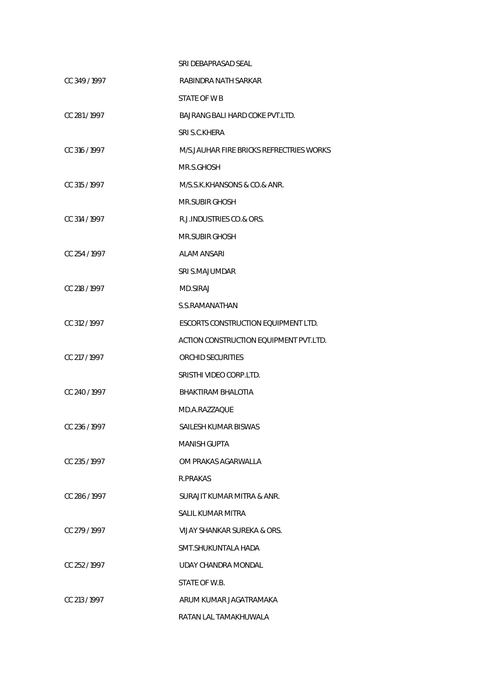|               | SRI DEBAPRASAD SEAL                        |
|---------------|--------------------------------------------|
| CC 349/1997   | RABINDRA NATH SARKAR                       |
|               | STATE OF W B                               |
| CC 281/1997   | BAJRANG BALI HARD COKE PVT.LTD.            |
|               | SRI S.C.KHERA                              |
| CC 316 / 1997 | M/S. JAUHAR FIRE BRICKS REFRECTRIES WORKS  |
|               | MR.S.GHOSH                                 |
| CC 315 / 1997 | M/S.S.K.KHANSONS & CO.& ANR.               |
|               | MR.SUBIR GHOSH                             |
| CC 314 / 1997 | R.J. INDUSTRIES CO.& ORS.                  |
|               | <b>MR.SUBIR GHOSH</b>                      |
| CC 254 / 1997 | ALAM ANSARI                                |
|               | SRI S.MAJUMDAR                             |
| CC 218 / 1997 | <b>MD.SIRAJ</b>                            |
|               | S.S.RAMANATHAN                             |
| CC 312 / 1997 | <b>ESCORTS CONSTRUCTION EQUIPMENT LTD.</b> |
|               | ACTION CONSTRUCTION EQUIPMENT PVT.LTD.     |
| CC 217 / 1997 | ORCHID SECURITIES                          |
|               | SRISTHI VIDEO CORP.LTD.                    |
| CC 240/1997   | BHAKTIRAM BHALOTIA                         |
|               | MD.A.RAZZAOUE                              |
| CC 236 / 1997 | SAILESH KUMAR BISWAS                       |
|               | <b>MANISH GUPTA</b>                        |
| CC 235/1997   | OM PRAKAS AGARWALLA                        |
|               | R.PRAKAS                                   |
| CC 286/1997   | SURAJIT KUMAR MITRA & ANR.                 |
|               | SALIL KUMAR MITRA                          |
| CC 279/1997   | VIJAY SHANKAR SUREKA & ORS.                |
|               | SMT.SHUKUNTALA HADA                        |
| CC 252/1997   | UDAY CHANDRA MONDAL                        |
|               | STATE OF W.B.                              |
| CC 213/1997   | ARUM KUMAR JAGATRAMAKA                     |
|               | RATAN LAL TAMAKHUWALA                      |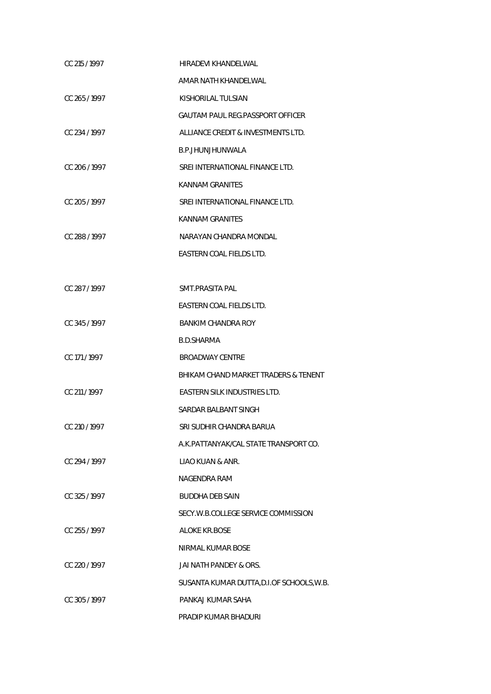| CC 215 / 1997 | HIRADEVI KHANDELWAL                       |
|---------------|-------------------------------------------|
|               | AMAR NATH KHANDELWAL                      |
| CC 265/1997   | KISHORILAL TULSIAN                        |
|               | <b>GAUTAM PAUL REG.PASSPORT OFFICER</b>   |
| CC 234 / 1997 | ALLIANCE CREDIT & INVESTMENTS LTD.        |
|               | B.P.JHUNJHUNWALA                          |
| CC 206 / 1997 | SREI INTERNATIONAL FINANCE LTD.           |
|               | KANNAM GRANITES                           |
| CC 205 / 1997 | SREI INTERNATIONAL FINANCE LTD.           |
|               | KANNAM GRANITES                           |
| CC 288 / 1997 | NARAYAN CHANDRA MONDAL                    |
|               | EASTERN COAL FIELDS LTD.                  |
|               |                                           |
| CC 287/1997   | SMT.PRASITA PAL                           |
|               | EASTERN COAL FIELDS LTD.                  |
| CC 345/1997   | <b>BANKIM CHANDRA ROY</b>                 |
|               | <b>B.D.SHARMA</b>                         |
| CC 171/1997   | <b>BROADWAY CENTRE</b>                    |
|               | BHIKAM CHAND MARKET TRADERS & TENENT      |
| CC 211 / 1997 | EASTERN SILK INDUSTRIES LTD.              |
|               | SARDAR BALBANT SINGH                      |
| CC 210 / 1997 | SRI SUDHIR CHANDRA BARUA                  |
|               | A.K.PATTANYAK/CAL STATE TRANSPORT CO.     |
| CC 294/1997   | LIAO KUAN & ANR.                          |
|               | NAGENDRA RAM                              |
| CC 325 / 1997 | <b>BUDDHA DEB SAIN</b>                    |
|               | SECY.W.B.COLLEGE SERVICE COMMISSION       |
| CC 255 / 1997 | <b>ALOKE KR.BOSE</b>                      |
|               | NIRMAL KUMAR BOSE                         |
| CC 220/1997   | JAI NATH PANDEY & ORS.                    |
|               | SUSANTA KUMAR DUTTA, D.I.OF SCHOOLS, W.B. |
| CC 305/1997   | PANKAJ KUMAR SAHA                         |
|               | PRADIP KUMAR BHADURI                      |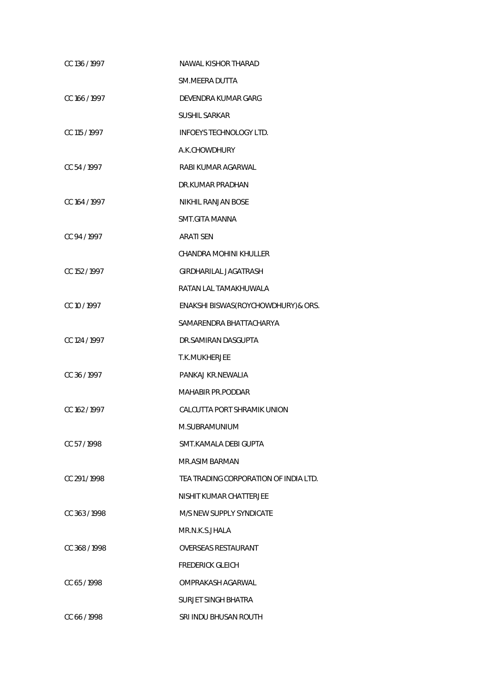| CC 136 / 1997 | NAWAL KISHOR THARAD                   |
|---------------|---------------------------------------|
|               | SM.MEERA DUTTA                        |
| CC 166 / 1997 | DEVENDRA KUMAR GARG                   |
|               | <b>SUSHIL SARKAR</b>                  |
| CC 115 / 1997 | <b>INFOEYS TECHNOLOGY LTD.</b>        |
|               | A.K.CHOWDHURY                         |
| CC 54/1997    | RABI KUMAR AGARWAL                    |
|               | DR.KUMAR PRADHAN                      |
| CC 164 / 1997 | NIKHIL RANJAN BOSE                    |
|               | SMT.GITA MANNA                        |
| CC 94 / 1997  | <b>ARATI SEN</b>                      |
|               | CHANDRA MOHINI KHULLER                |
| CC 152 / 1997 | GIRDHARILAL JAGATRASH                 |
|               | RATAN LAL TAMAKHUWALA                 |
| CC 10 / 1997  | ENAKSHI BISWAS (ROYCHOWDHURY) & ORS.  |
|               | SAMARENDRA BHATTACHARYA               |
| CC 124 / 1997 | DR.SAMIRAN DASGUPTA                   |
|               | T.K.MUKHERJEE                         |
| CC 36/1997    | PANKAJ KR.NEWALIA                     |
|               | <b>MAHABIR PR.PODDAR</b>              |
| CC 162 / 1997 | CALCUTTA PORT SHRAMIK UNION           |
|               | M.SUBRAMUNIUM                         |
| CC 57/1998    | SMT.KAMALA DEBI GUPTA                 |
|               | MR.ASIM BARMAN                        |
| CC 291/1998   | TEA TRADING CORPORATION OF INDIA LTD. |
|               | NISHIT KUMAR CHATTERJEE               |
| CC 363/1998   | M/S NEW SUPPLY SYNDICATE              |
|               | MR.N.K.S.JHALA                        |
| CC 368/1998   | OVERSEAS RESTAURANT                   |
|               | <b>FREDERICK GLEICH</b>               |
| CC 65/1998    | OMPRAKASH AGARWAL                     |
|               | SURJET SINGH BHATRA                   |
| CC 66 / 1998  | SRI INDU BHUSAN ROUTH                 |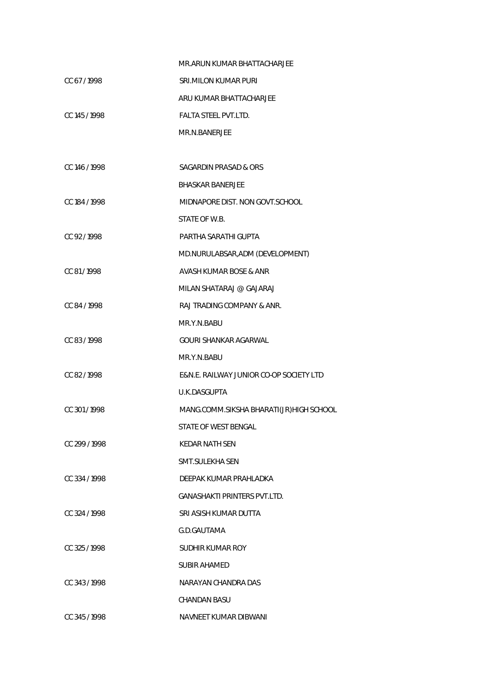|               | MR.ARUN KUMAR BHATTACHARJEE             |
|---------------|-----------------------------------------|
| CC 67/1998    | <b>SRI.MILON KUMAR PURI</b>             |
|               | ARU KUMAR BHATTACHARJEE                 |
| CC 145 / 1998 | <b>FALTA STEEL PVT.LTD.</b>             |
|               | MR.N.BANERJEE                           |
|               |                                         |
| CC 146/1998   | SAGARDIN PRASAD & ORS                   |
|               | <b>BHASKAR BANERJEE</b>                 |
| CC 184 / 1998 | MIDNAPORE DIST. NON GOVT.SCHOOL         |
|               | STATE OF W.B.                           |
| CC 92/1998    | PARTHA SARATHI GUPTA                    |
|               | MD.NURULABSAR, ADM (DEVELOPMENT)        |
| CC 81/1998    | AVASH KUMAR BOSE & ANR                  |
|               | MILAN SHATARAJ @ GAJARAJ                |
| CC 84 / 1998  | RAJ TRADING COMPANY & ANR.              |
|               | MR.Y.N.BABU                             |
| CC 83/1998    | GOURI SHANKAR AGARWAL                   |
|               | MR.Y.N.BABU                             |
| CC 82/1998    | E&N.E. RAILWAY JUNIOR CO-OP SOCIETY LTD |
|               | U.K.DASGUPTA                            |
| CC 301/1998   | MANG.COMM.SIKSHA BHARATI(JR)HIGH SCHOOL |
|               | STATE OF WEST BENGAL                    |
| CC 299/1998   | KEDAR NATH SEN                          |
|               | SMT.SULEKHA SEN                         |
| CC 334/1998   | DEEPAK KUMAR PRAHLADKA                  |
|               | GANASHAKTI PRINTERS PVT.LTD.            |
| CC 324/1998   | SRI ASISH KUMAR DUTTA                   |
|               | G.D.GAUTAMA                             |
| CC 325/1998   | SUDHIR KUMAR ROY                        |
|               | SUBIR AHAMED                            |
| CC 343/1998   | NARAYAN CHANDRA DAS                     |
|               | CHANDAN BASU                            |
| CC 345/1998   | NAVNEET KUMAR DIBWANI                   |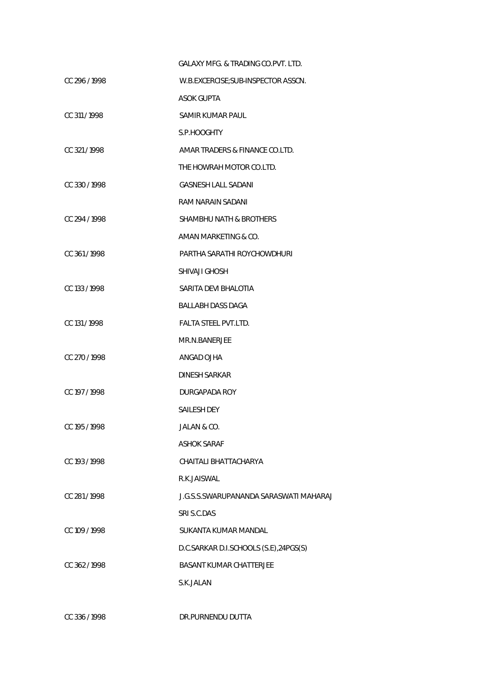|               | GALAXY MFG. & TRADING CO. PVT. LTD.    |
|---------------|----------------------------------------|
| CC 296/1998   | W.B.EXCERCISE; SUB-INSPECTOR ASSCN.    |
|               | <b>ASOK GUPTA</b>                      |
| CC 311/1998   | SAMIR KUMAR PAUL                       |
|               | S.P.HOOGHTY                            |
| CC 321/1998   | AMAR TRADERS & FINANCE CO.LTD.         |
|               | THE HOWRAH MOTOR CO.LTD.               |
| CC 330/1998   | <b>GASNESH LALL SADANI</b>             |
|               | RAM NARAIN SADANI                      |
| CC 294/1998   | SHAMBHU NATH & BROTHERS                |
|               | AMAN MARKETING & CO.                   |
| CC 361/1998   | PARTHA SARATHI ROYCHOWDHURI            |
|               | SHIVAJI GHOSH                          |
| CC 133/1998   | SARITA DEVI BHALOTIA                   |
|               | BALLABH DASS DAGA                      |
| CC 131/1998   | <b>FALTA STEEL PVT.LTD.</b>            |
|               | MR.N.BANERJEE                          |
| CC 270 / 1998 | ANGAD OJHA                             |
|               | DINESH SARKAR                          |
| CC 197 / 1998 | DURGAPADA ROY                          |
|               | <b>SAILESH DEY</b>                     |
| CC 195/1998   | JALAN & CO.                            |
|               | ASHOK SARAF                            |
| CC 193 / 1998 | CHAITALI BHATTACHARYA                  |
|               | R.K.JAISWAL                            |
| CC 281/1998   | J.G.S.S.SWARUPANANDA SARASWATI MAHARAJ |
|               | SRI S.C.DAS                            |
| CC 109 / 1998 | SUKANTA KUMAR MANDAL                   |
|               | D.C.SARKAR D.I.SCHOOLS (S.E),24PGS(S)  |
| CC 362 / 1998 | <b>BASANT KUMAR CHATTERJEE</b>         |
|               | S.K.JALAN                              |
|               |                                        |

CC 336 / 1998 DR.PURNENDU DUTTA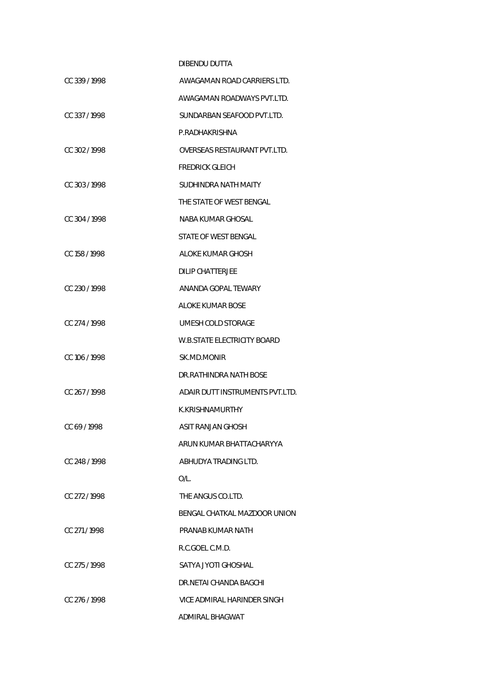## DIBENDU DUTTA CC 339 / 1998 AWAGAMAN ROAD CARRIERS LTD. AWAGAMAN ROADWAYS PVT.LTD. CC 337 / 1998 SUNDARBAN SEAFOOD PVT.LTD. P.RADHAKRISHNA CC 302 / 1998 OVERSEAS RESTAURANT PVT.LTD. FREDRICK GLEICH CC 303 / 1998 SUDHINDRA NATH MAITY THE STATE OF WEST BENGAL CC 304 / 1998 NABA KUMAR GHOSAL STATE OF WEST BENGAL CC 158 / 1998 ALOKE KUMAR GHOSH DILIP CHATTERJEE CC 230 / 1998 ANANDA GOPAL TEWARY ALOKE KUMAR BOSE CC 274 / 1998 UMESH COLD STORAGE W.B.STATE ELECTRICITY BOARD CC 106 / 1998 SK.MD.MONIR DR.RATHINDRA NATH BOSE CC 267 / 1998 ADAIR DUTT INSTRUMENTS PVT.LTD. K.KRISHNAMURTHY CC 69 / 1998 ASIT RANJAN GHOSH ARUN KUMAR BHATTACHARYYA CC 248 / 1998 ABHUDYA TRADING LTD. O/L. CC 272 / 1998 THE ANGUS CO.LTD. BENGAL CHATKAL MAZDOOR UNION CC 271 / 1998 PRANAB KUMAR NATH R.C.GOEL C.M.D. CC 275 / 1998 SATYA JYOTI GHOSHAL DR.NETAI CHANDA BAGCHI CC 276 / 1998 VICE ADMIRAL HARINDER SINGH

ADMIRAL BHAGWAT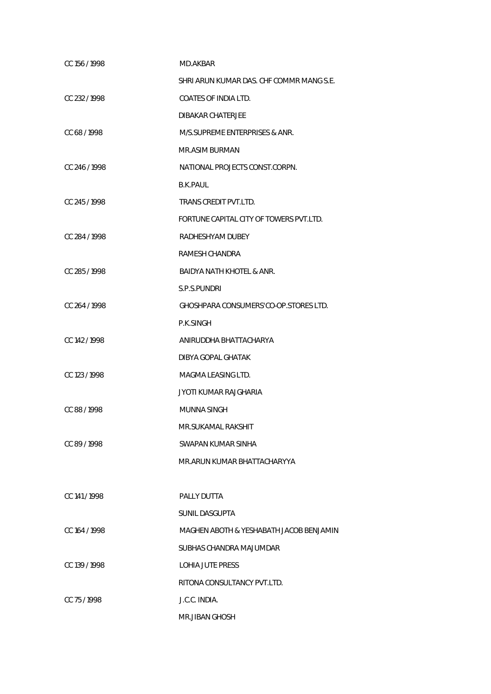| CC 156 / 1998 | MD.AKBAR                                 |
|---------------|------------------------------------------|
|               | SHRI ARUN KUMAR DAS. CHF COMMR MANG S.E. |
| CC 232/1998   | <b>COATES OF INDIA LTD.</b>              |
|               | DIBAKAR CHATERJEE                        |
| CC 68/1998    | M/S.SUPREME ENTERPRISES & ANR.           |
|               | MR.ASIM BURMAN                           |
| CC 246/1998   | NATIONAL PROJECTS CONST.CORPN.           |
|               | B.K.PAUL                                 |
| CC 245/1998   | TRANS CREDIT PVT.LTD.                    |
|               | FORTUNE CAPITAL CITY OF TOWERS PVT.LTD.  |
| CC 284 / 1998 | RADHESHYAM DUBEY                         |
|               | RAMESH CHANDRA                           |
| CC 285/1998   | BAIDYA NATH KHOTEL & ANR.                |
|               | S.P.S.PUNDRI                             |
| CC 264 / 1998 | GHOSHPARA CONSUMERS'CO-OP.STORES LTD.    |
|               | P.K.SINGH                                |
| CC 142/1998   | ANIRUDDHA BHATTACHARYA                   |
|               | DIBYA GOPAL GHATAK                       |
| CC 123 / 1998 | MAGMA LEASING LTD.                       |
|               | JYOTI KUMAR RAJGHARIA                    |
| CC 88/1998    | MUNNA SINGH                              |
|               | MR.SUKAMAL RAKSHIT                       |
| CC 89/1998    | SWAPAN KUMAR SINHA                       |
|               | MR.ARUN KUMAR BHATTACHARYYA              |
|               |                                          |
| CC 141/1998   | PALLY DUTTA                              |
|               | SUNIL DASGUPTA                           |
| CC 164 / 1998 | MAGHEN ABOTH & YESHABATH JACOB BENJAMIN  |
|               | SUBHAS CHANDRA MAJUMDAR                  |
| CC 139/1998   | LOHIA JUTE PRESS                         |
|               | RITONA CONSULTANCY PVT.LTD.              |
| CC 75/1998    | J.C.C. INDIA.                            |
|               | <b>MR.JIBAN GHOSH</b>                    |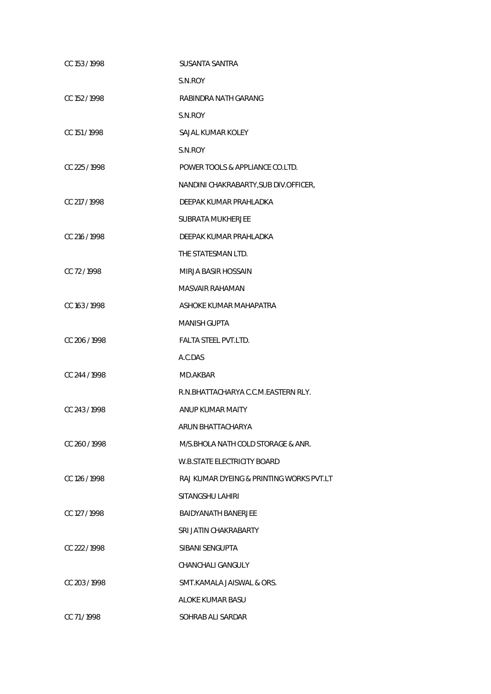| CC 153/1998   | SUSANTA SANTRA                           |
|---------------|------------------------------------------|
|               | S.N.ROY                                  |
| CC 152/1998   | RABINDRA NATH GARANG                     |
|               | S.N.ROY                                  |
| CC 151 / 1998 | SAJAL KUMAR KOLEY                        |
|               | S.N.ROY                                  |
| CC 225 / 1998 | POWER TOOLS & APPLIANCE CO.LTD.          |
|               | NANDINI CHAKRABARTY, SUB DIV.OFFICER,    |
| CC 217/1998   | DEEPAK KUMAR PRAHLADKA                   |
|               | SUBRATA MUKHERJEE                        |
| CC 216 / 1998 | DEEPAK KUMAR PRAHLADKA                   |
|               | THE STATESMAN LTD.                       |
| CC 72/1998    | MIRJA BASIR HOSSAIN                      |
|               | MASVAIR RAHAMAN                          |
| CC 163/1998   | ASHOKE KUMAR MAHAPATRA                   |
|               | MANISH GUPTA                             |
| CC 206/1998   | FALTA STEEL PVT.LTD.                     |
|               | A.C.DAS                                  |
| CC 244 / 1998 | MD.AKBAR                                 |
|               | R.N.BHATTACHARYA C.C.M.EASTERN RLY.      |
| CC 243/1998   | ANUP KUMAR MAITY                         |
|               | ARUN BHATTACHARYA                        |
| CC 260/1998   | M/S.BHOLA NATH COLD STORAGE & ANR.       |
|               | <b>W.B.STATE ELECTRICITY BOARD</b>       |
| CC 126/1998   | RAJ KUMAR DYEING & PRINTING WORKS PVT.LT |
|               | SITANGSHU LAHIRI                         |
| CC 127 / 1998 | <b>BAIDYANATH BANERJEE</b>               |
|               | SRI JATIN CHAKRABARTY                    |
| CC 222/1998   | SIBANI SENGUPTA                          |
|               | CHANCHALI GANGULY                        |
| CC 203/1998   | SMT.KAMALA JAISWAL & ORS.                |
|               | ALOKE KUMAR BASU                         |
| CC 71/1998    | SOHRAB ALI SARDAR                        |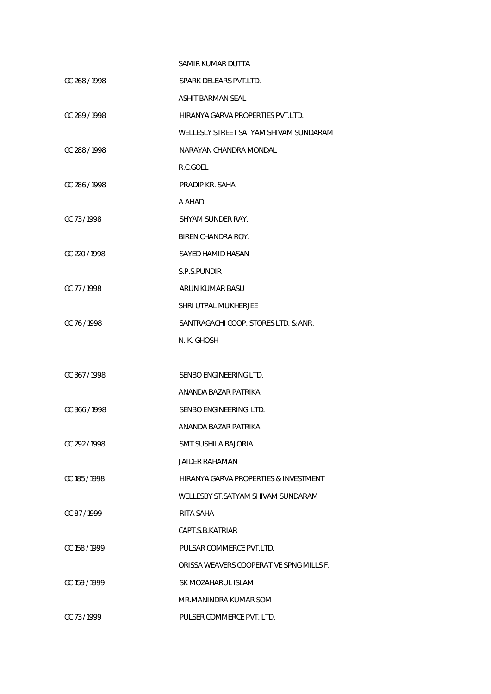|               | SAMIR KUMAR DUTTA                        |
|---------------|------------------------------------------|
| CC 268 / 1998 | SPARK DELEARS PVT.LTD.                   |
|               | ASHIT BARMAN SEAL                        |
| CC 289 / 1998 | HIRANYA GARVA PROPERTIES PVT.LTD.        |
|               | WELLESLY STREET SATYAM SHIVAM SUNDARAM   |
| CC 288 / 1998 | NARAYAN CHANDRA MONDAL                   |
|               | R.C.GOEL                                 |
| CC 286/1998   | PRADIP KR. SAHA                          |
|               | A.AHAD                                   |
| CC 73/1998    | SHYAM SUNDER RAY.                        |
|               | BIREN CHANDRA ROY.                       |
| CC 220/1998   | SAYED HAMID HASAN                        |
|               | S.P.S.PUNDIR                             |
| CC 77/1998    | ARUN KUMAR BASU                          |
|               | SHRI UTPAL MUKHERJEE                     |
| CC 76/1998    | SANTRAGACHI COOP. STORES LTD. & ANR.     |
|               | N. K. GHOSH                              |
|               |                                          |
| CC 367/1998   | SENBO ENGINEERING LTD.                   |
|               | ANANDA BAZAR PATRIKA                     |
| CC 366/1998   | SENBO ENGINEERING LTD.                   |
|               | ANANDA BAZAR PATRIKA                     |
| CC 292/1998   | SMT.SUSHILA BAJORIA                      |
|               | <b>JAIDER RAHAMAN</b>                    |
| CC 185 / 1998 | HIRANYA GARVA PROPERTIES & INVESTMENT    |
|               | WELLESBY ST. SATYAM SHIVAM SUNDARAM      |
| CC 87/1999    | RITA SAHA                                |
|               | CAPT S.B. KATRIAR                        |
| CC 158 / 1999 | PULSAR COMMERCE PVT.LTD.                 |
|               | ORISSA WEAVERS COOPERATIVE SPNG MILLS F. |
| CC 159 / 1999 | SK MOZAHARUL ISLAM                       |
|               | MR.MANINDRA KUMAR SOM                    |
| CC 73/1999    | PULSER COMMERCE PVT. LTD.                |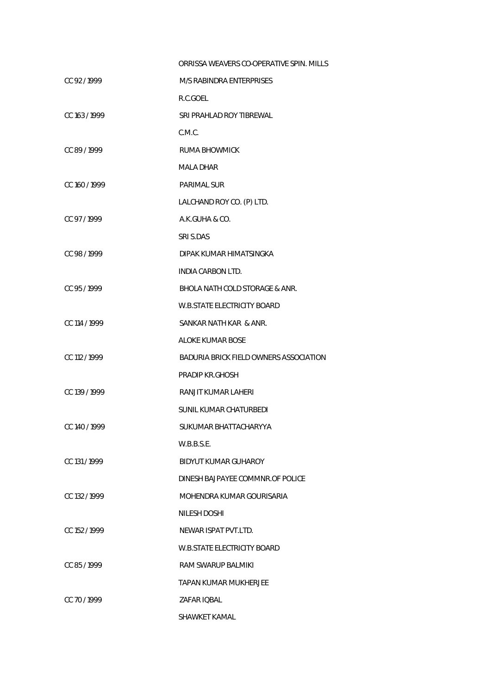|               | ORRISSA WEAVERS CO-OPERATIVE SPIN. MILLS |
|---------------|------------------------------------------|
| CC 92/1999    | M/S RABINDRA ENTERPRISES                 |
|               | R.C.GOEL                                 |
| CC 163 / 1999 | SRI PRAHLAD ROY TIBREWAL                 |
|               | C.M.C.                                   |
| CC 89 / 1999  | RUMA BHOWMICK                            |
|               | MALA DHAR                                |
| CC 160 / 1999 | <b>PARIMAL SUR</b>                       |
|               | LALCHAND ROY CO. (P) LTD.                |
| CC 97/1999    | A.K.GUHA & CO.                           |
|               | SRI S.DAS                                |
| CC 98 / 1999  | DIPAK KUMAR HIMATSINGKA                  |
|               | <b>INDIA CARBON LTD.</b>                 |
| CC 95/1999    | BHOLA NATH COLD STORAGE & ANR.           |
|               | <b>W.B.STATE ELECTRICITY BOARD</b>       |
| CC 114 / 1999 | SANKAR NATH KAR & ANR.                   |
|               | <b>ALOKE KUMAR BOSE</b>                  |
| CC 112 / 1999 | BADURIA BRICK FIELD OWNERS ASSOCIATION   |
|               | PRADIP KR.GHOSH                          |
| CC 139 / 1999 | RANJIT KUMAR LAHERI                      |
|               | SUNIL KUMAR CHATURBEDI                   |
| CC 140 / 1999 | SUKUMAR BHATTACHARYYA                    |
|               | W.B.B.S.E.                               |
| CC 131/1999   | BIDYUT KUMAR GUHAROY                     |
|               | DINESH BAJPAYEE COMMNR.OF POLICE         |
| CC 132/1999   | MOHENDRA KUMAR GOURISARIA                |
|               | NILESH DOSHI                             |
| CC 152/1999   | NEWAR ISPAT PVT LTD.                     |
|               | <b>W.B.STATE ELECTRICITY BOARD</b>       |
| CC 85/1999    | RAM SWARUP BALMIKI                       |
|               | TAPAN KUMAR MUKHERJEE                    |
| CC 70 / 1999  | ZAFAR IQBAL                              |
|               | SHAWKET KAMAL                            |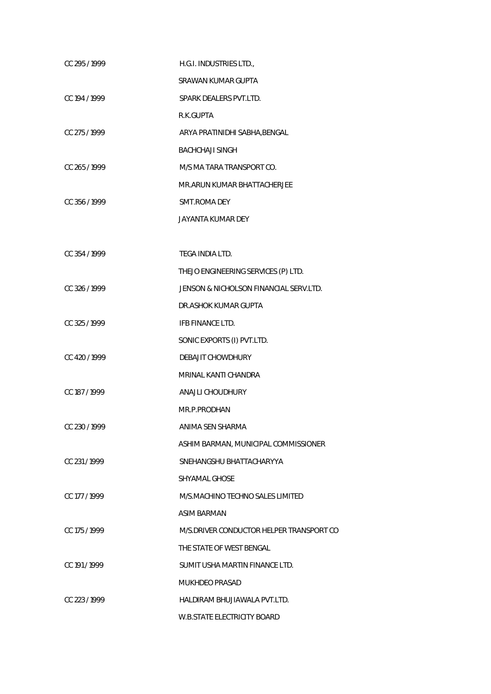| CC 295 / 1999 | H.G.I. INDUSTRIES LTD.,                  |
|---------------|------------------------------------------|
|               | SRAWAN KUMAR GUPTA                       |
| CC 194 / 1999 | SPARK DEALERS PVT.LTD.                   |
|               | R.K.GUPTA                                |
| CC 275 / 1999 | ARYA PRATINIDHI SABHA, BENGAL            |
|               | <b>BACHCHAJI SINGH</b>                   |
| CC 265/1999   | M/S MA TARA TRANSPORT CO.                |
|               | MR.ARUN KUMAR BHATTACHERJEE              |
| CC 356 / 1999 | SMT.ROMA DEY                             |
|               | JAYANTA KUMAR DEY                        |
|               |                                          |
| CC 354 / 1999 | TEGA INDIA LTD.                          |
|               | THEJO ENGINEERING SERVICES (P) LTD.      |
| CC 326/1999   | JENSON & NICHOLSON FINANCIAL SERV.LTD.   |
|               | DR.ASHOK KUMAR GUPTA                     |
| CC 325 / 1999 | IFB FINANCE LTD.                         |
|               | SONIC EXPORTS (I) PVT.LTD.               |
| CC 420 / 1999 | DEBAJIT CHOWDHURY                        |
|               | MRINAL KANTI CHANDRA                     |
| CC 187 / 1999 | ANAJLI CHOUDHURY                         |
|               | MR.P.PRODHAN                             |
| CC 230 / 1999 | ANIMA SEN SHARMA                         |
|               | ASHIM BARMAN, MUNICIPAL COMMISSIONER     |
| CC 231/1999   | SNEHANGSHU BHATTACHARYYA                 |
|               | <b>SHYAMAL GHOSE</b>                     |
| CC 177 / 1999 | M/S.MACHINO TECHNO SALES LIMITED         |
|               | ASIM BARMAN                              |
| CC 175 / 1999 | M/S.DRIVER CONDUCTOR HELPER TRANSPORT CO |
|               | THE STATE OF WEST BENGAL                 |
| CC 191/1999   | SUMIT USHA MARTIN FINANCE LTD.           |
|               | MUKHDEO PRASAD                           |
| CC 223/1999   | HALDIRAM BHUJIAWALA PVT.LTD.             |
|               | <b>W.B.STATE ELECTRICITY BOARD</b>       |
|               |                                          |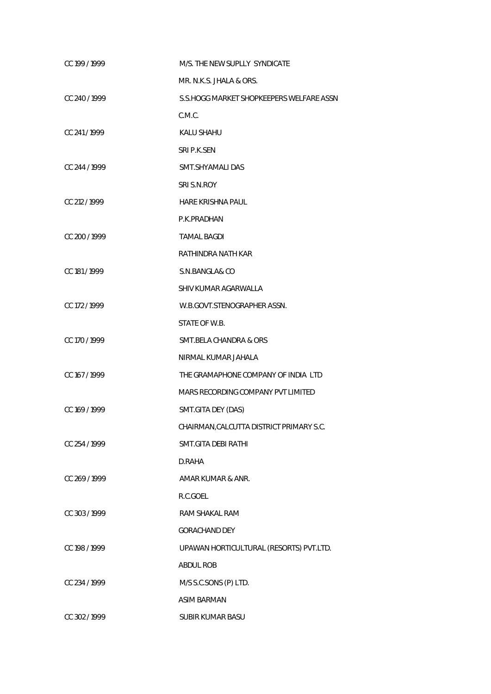| CC 199 / 1999 | M/S. THE NEW SUPLLY SYNDICATE            |
|---------------|------------------------------------------|
|               | MR. N.K.S. JHALA & ORS.                  |
| CC 240 / 1999 | S.S.HOGG MARKET SHOPKEEPERS WELFARE ASSN |
|               | C.M.C.                                   |
| CC 241/1999   | <b>KALU SHAHU</b>                        |
|               | SRI P.K.SEN                              |
| CC 244 / 1999 | SMT.SHYAMALI DAS                         |
|               | SRI S.N.ROY                              |
| CC 212 / 1999 | HARE KRISHNA PAUL                        |
|               | P.K.PRADHAN                              |
| CC 200 / 1999 | <b>TAMAL BAGDI</b>                       |
|               | RATHINDRA NATH KAR                       |
| CC 181/1999   | S.N.BANGLA& CO                           |
|               | SHIV KUMAR AGARWALLA                     |
| CC 172/1999   | W.B.GOVT.STENOGRAPHER ASSN.              |
|               | STATE OF W.B.                            |
| CC 170 / 1999 | <b>SMT.BELA CHANDRA &amp; ORS</b>        |
|               | NIRMAL KUMAR JAHALA                      |
| CC 167 / 1999 | THE GRAMAPHONE COMPANY OF INDIA LTD      |
|               | MARS RECORDING COMPANY PVT LIMITED       |
| CC 169 / 1999 | SMT.GITA DEY (DAS)                       |
|               | CHAIRMAN, CALCUTTA DISTRICT PRIMARY S.C. |
| CC 254 / 1999 | SMT.GITA DEBI RATHI                      |
|               | D.RAHA                                   |
| CC 269 / 1999 | AMAR KUMAR & ANR.                        |
|               | R.C.GOEL                                 |
| CC 303 / 1999 | RAM SHAKAL RAM                           |
|               | <b>GORACHAND DEY</b>                     |
| CC 198 / 1999 | UPAWAN HORTICULTURAL (RESORTS) PVT.LTD.  |
|               | <b>ABDUL ROB</b>                         |
| CC 234 / 1999 | M/S S.C.SONS (P) LTD.                    |
|               | <b>ASIM BARMAN</b>                       |
| CC 302 / 1999 | SUBIR KUMAR BASU                         |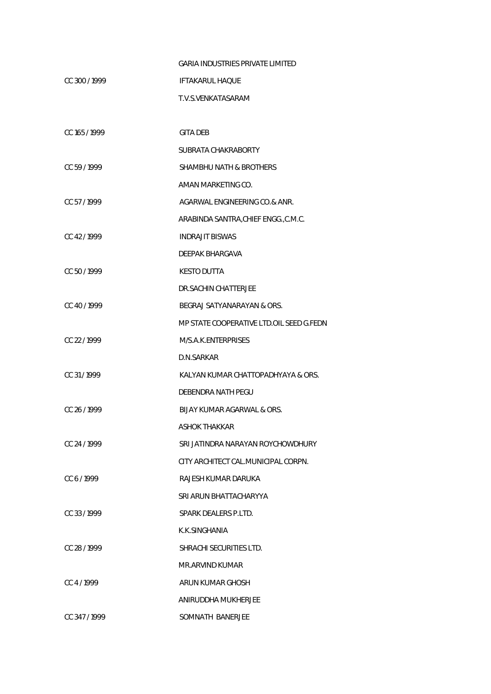|                  | <b>GARIA INDUSTRIES PRIVATE LIMITED</b>  |
|------------------|------------------------------------------|
| CC 300 / 1999    | <b>IFTAKARUL HAQUE</b>                   |
|                  | T.V.S.VENKATASARAM                       |
|                  |                                          |
| CC 165 / 1999    | <b>GITA DEB</b>                          |
|                  | SUBRATA CHAKRABORTY                      |
| CC 59/1999       | SHAMBHU NATH & BROTHERS                  |
|                  | AMAN MARKETING CO.                       |
| CC 57/1999       | AGARWAL ENGINEERING CO.& ANR.            |
|                  | ARABINDA SANTRA, CHIEF ENGG., C.M.C.     |
| CC 42/1999       | <b>INDRAJIT BISWAS</b>                   |
|                  | DEEPAK BHARGAVA                          |
| CC 50/1999       | <b>KESTO DUTTA</b>                       |
|                  | DR.SACHIN CHATTERJEE                     |
| CC 40/1999       | BEGRAJ SATYANARAYAN & ORS.               |
|                  | MP STATE COOPERATIVE LTD.OIL SEED G.FEDN |
| CC 22/1999       | M/S.A.K.ENTERPRISES                      |
|                  | D.N.SARKAR                               |
| CC 31/1999       | KALYAN KUMAR CHATTOPADHYAYA & ORS.       |
|                  | DEBENDRA NATH PEGU                       |
| CC 26 / 1999     | BIJAY KUMAR AGARWAL & ORS.               |
|                  | <b>ASHOK THAKKAR</b>                     |
| $CC$ , 24 / 1999 | SRI JATINDRA NARAYAN ROYCHOWDHURY        |
|                  | CITY ARCHITECT CAL MUNICIPAL CORPN.      |
| CC 6/1999        | RAJESH KUMAR DARUKA                      |
|                  | SRI ARUN BHATTACHARYYA                   |
| $CC$ 33 / 1999   | SPARK DEALERS P.I TD.                    |
|                  | K.K.SINGHANIA                            |
| CC 28/1999       | SHRACHI SECURITIES LTD.                  |
|                  | MR.ARVIND KUMAR                          |
| CC 4/1999        | ARUN KUMAR GHOSH                         |
|                  | ANIRUDDHA MUKHERJEE                      |
| CC 347/1999      | SOMNATH BANERJEE                         |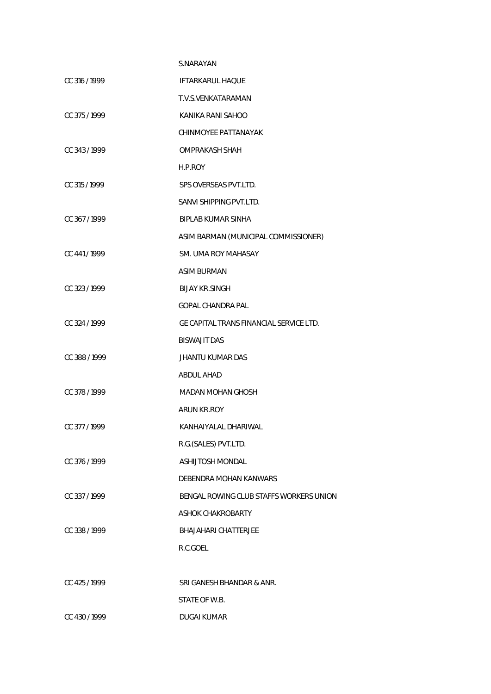|               | S.NARAYAN                               |
|---------------|-----------------------------------------|
| CC 316/1999   | <b>IFTARKARUL HAQUE</b>                 |
|               | T.V.S.VENKATARAMAN                      |
| CC 375/1999   | KANIKA RANI SAHOO                       |
|               | CHINMOYEE PATTANAYAK                    |
| CC 343/1999   | OMPRAKASH SHAH                          |
|               | H.P.ROY                                 |
| CC 315 / 1999 | SPS OVERSEAS PVT.LTD.                   |
|               | SANVI SHIPPING PVT.LTD.                 |
| CC 367/1999   | <b>BIPLAB KUMAR SINHA</b>               |
|               | ASIM BARMAN (MUNICIPAL COMMISSIONER)    |
| CC 441/1999   | SM. UMA ROY MAHASAY                     |
|               | <b>ASIM BURMAN</b>                      |
| CC 323/1999   | <b>BIJAY KR.SINGH</b>                   |
|               | <b>GOPAL CHANDRA PAL</b>                |
| CC 324 / 1999 | GE CAPITAL TRANS FINANCIAL SERVICE LTD. |
|               | <b>BISWAJIT DAS</b>                     |
| CC 388 / 1999 | <b>JHANTU KUMAR DAS</b>                 |
|               | <b>ABDUL AHAD</b>                       |
| CC 378 / 1999 | MADAN MOHAN GHOSH                       |
|               | ARUN KR.ROY                             |
| CC 377/1999   | KANHAIYALAL DHARIWAL                    |
|               | R.G.(SALES) PVT.LTD.                    |
| CC 376 / 1999 | <b>ASHIJTOSH MONDAL</b>                 |
|               | DEBENDRA MOHAN KANWARS                  |
| CC 337/1999   | BENGAL ROWING CLUB STAFFS WORKERS UNION |
|               | <b>ASHOK CHAKROBARTY</b>                |
| CC 338 / 1999 | <b>BHAJAHARI CHATTERJEE</b>             |
|               | R.C.GOEL                                |
|               |                                         |
| CC 425 / 1999 | SRI GANESH BHANDAR & ANR.               |
|               | STATE OF W.B.                           |
| CC 430/1999   | <b>DUGAI KUMAR</b>                      |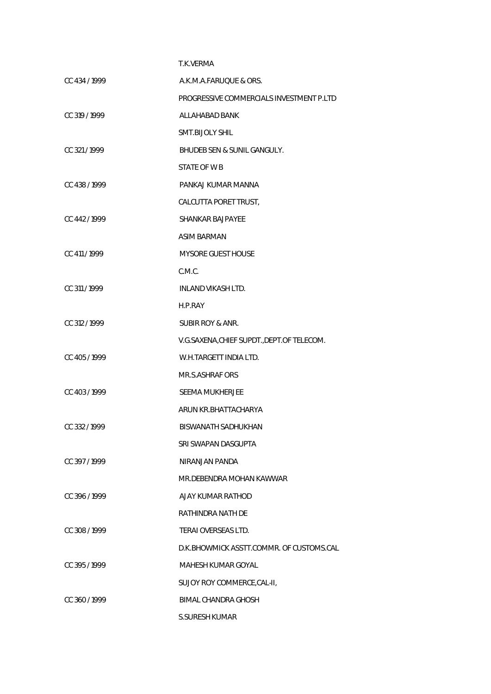|               | T.K.VERMA                                   |
|---------------|---------------------------------------------|
| CC 434 / 1999 | A.K.M.A.FARUQUE & ORS.                      |
|               | PROGRESSIVE COMMERCIALS INVESTMENT P.LTD    |
| CC 319 / 1999 | ALLAHABAD BANK                              |
|               | <b>SMT.BIJOLY SHIL</b>                      |
| CC 321/1999   | BHUDEB SEN & SUNIL GANGULY.                 |
|               | STATE OF W B                                |
| CC 438 / 1999 | PANKAJ KUMAR MANNA                          |
|               | CALCUTTA PORET TRUST,                       |
| CC 442 / 1999 | <b>SHANKAR BAJPAYEE</b>                     |
|               | ASIM BARMAN                                 |
| CC 411/1999   | <b>MYSORE GUEST HOUSE</b>                   |
|               | C.M.C.                                      |
| CC 311 / 1999 | <b>INLAND VIKASH LTD.</b>                   |
|               | H.P.RAY                                     |
| CC 312 / 1999 | <b>SUBIR ROY &amp; ANR.</b>                 |
|               | V.G.SAXENA, CHIEF SUPDT., DEPT. OF TELECOM. |
| CC 405 / 1999 | W.H.TARGETT INDIA LTD.                      |
|               | MR.S.ASHRAF ORS                             |
| CC 403/1999   | SEEMA MUKHERJEE                             |
|               | ARUN KR.BHATTACHARYA                        |
| CC 332/1999   | BISWANATH SADHUKHAN                         |
|               | SRI SWAPAN DASGUPTA                         |
| CC 397/1999   | NIRANJAN PANDA                              |
|               | MR.DEBENDRA MOHAN KAWWAR                    |
| CC 396 / 1999 | AJAY KUMAR RATHOD                           |
|               | RATHINDRA NATH DE                           |
| CC 308/1999   | TERAI OVERSEAS LTD.                         |
|               | D.K. BHOWMICK ASSTT.COMMR. OF CUSTOMS.CAL   |
| CC 395/1999   | MAHESH KUMAR GOYAL                          |
|               | SUJOY ROY COMMERCE, CAL-II,                 |
| CC 360/1999   | <b>BIMAL CHANDRA GHOSH</b>                  |
|               | <b>S.SURESH KUMAR</b>                       |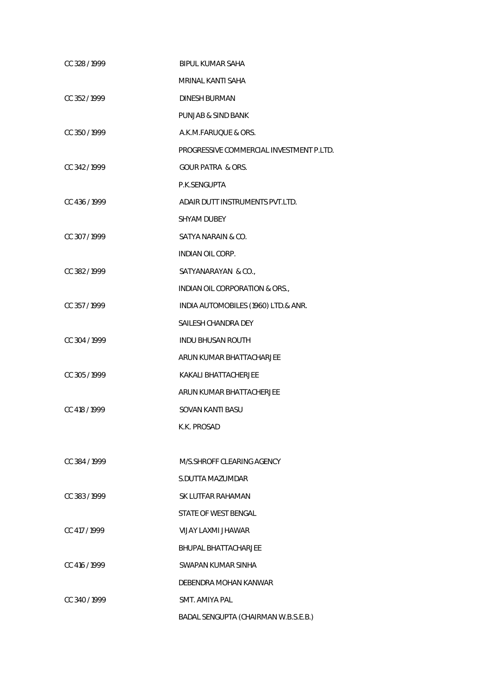| CC 328 / 1999 | <b>BIPUL KUMAR SAHA</b>                  |
|---------------|------------------------------------------|
|               | MRINAL KANTI SAHA                        |
| CC 352/1999   | <b>DINESH BURMAN</b>                     |
|               | PUNJAB & SIND BANK                       |
| CC 350 / 1999 | A.K.M.FARUQUE & ORS.                     |
|               | PROGRESSIVE COMMERCIAL INVESTMENT P.LTD. |
| CC 342/1999   | <b>GOUR PATRA &amp; ORS.</b>             |
|               | P.K.SENGUPTA                             |
| CC 436 / 1999 | ADAIR DUTT INSTRUMENTS PVT.LTD.          |
|               | SHYAM DUBEY                              |
| CC 307/1999   | SATYA NARAIN & CO.                       |
|               | INDIAN OIL CORP.                         |
| CC 382/1999   | SATYANARAYAN & CO.,                      |
|               | INDIAN OIL CORPORATION & ORS.,           |
| CC 357/1999   | INDIA AUTOMOBILES (1960) LTD.& ANR.      |
|               | SAILESH CHANDRA DEY                      |
| CC 304 / 1999 | INDU BHUSAN ROUTH                        |
|               | ARUN KUMAR BHATTACHARJEE                 |
| CC 305/1999   | KAKALI BHATTACHERJEE                     |
|               | ARUN KUMAR BHATTACHERJEE                 |
| CC 418 / 1999 | SOVAN KANTI BASU                         |
|               | K.K. PROSAD                              |
|               |                                          |
| CC 384 / 1999 | M/S. SHROFF CLEARING AGENCY              |
|               | S.DUTTA MAZUMDAR                         |
| CC 383/1999   | SK LUTFAR RAHAMAN                        |
|               | STATE OF WEST BENGAL                     |
| CC 417 / 1999 | VIJAY LAXMI JHAWAR                       |
|               | <b>BHUPAL BHATTACHARJEE</b>              |
| CC 416 / 1999 | SWAPAN KUMAR SINHA                       |
|               | DEBENDRA MOHAN KANWAR                    |
| CC 340/1999   | SMT. AMIYA PAL                           |
|               | BADAL SENGUPTA (CHAIRMAN W.B.S.E.B.)     |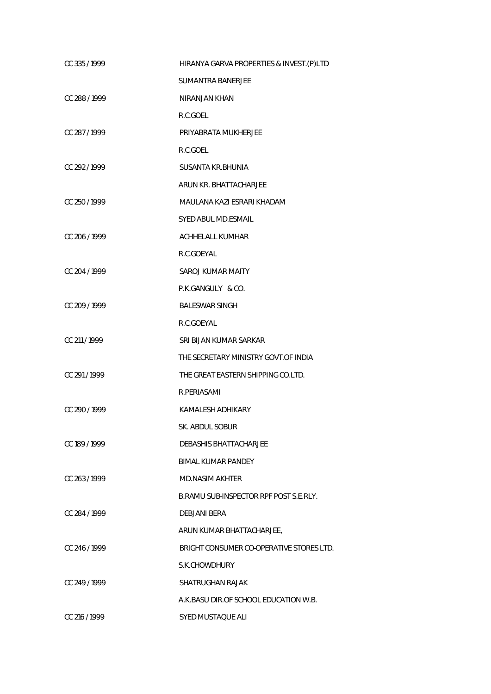| CC 335/1999   | HIRANYA GARVA PROPERTIES & INVEST. (P)LTD |
|---------------|-------------------------------------------|
|               | <b>SUMANTRA BANERJEE</b>                  |
| CC 288/1999   | NIRANJAN KHAN                             |
|               | R.C.GOEL                                  |
| CC 287/1999   | PRIYABRATA MUKHERJEE                      |
|               | R.C.GOEL                                  |
| CC 292/1999   | SUSANTA KR. BHUNIA                        |
|               | ARUN KR. BHATTACHARJEE                    |
| CC 250/1999   | MAULANA KAZI ESRARI KHADAM                |
|               | <b>SYED ABUL MD.ESMAIL</b>                |
| CC 206/1999   | <b>ACHHELALL KUMHAR</b>                   |
|               | R.C.GOEYAL                                |
| CC 204 / 1999 | SAROJ KUMAR MAITY                         |
|               | P.K.GANGULY & CO.                         |
| CC 209 / 1999 | <b>BALESWAR SINGH</b>                     |
|               | R.C.GOEYAL                                |
| CC 211/1999   | SRI BIJAN KUMAR SARKAR                    |
|               | THE SECRETARY MINISTRY GOVT.OF INDIA      |
| CC 291/1999   | THE GREAT EASTERN SHIPPING CO.LTD.        |
|               | R.PERIASAMI                               |
| CC 290/1999   | KAMALESH ADHIKARY                         |
|               | SK. ABDUL SOBUR                           |
| CC 189/1999   | DEBASHIS BHATTACHARJEE                    |
|               | <b>BIMAL KUMAR PANDEY</b>                 |
| CC 263/1999   | <b>MD.NASIM AKHTER</b>                    |
|               | B.RAMU SUB-INSPECTOR RPF POST S.E.RLY.    |
| CC 284 / 1999 | DEBJANI BERA                              |
|               | ARUN KUMAR BHATTACHARJEE,                 |
| CC 246/1999   | BRIGHT CONSUMER CO-OPERATIVE STORES LTD.  |
|               | S.K.CHOWDHURY                             |
| CC 249/1999   | SHATRUGHAN RAJAK                          |
|               | A.K. BASU DIR. OF SCHOOL EDUCATION W.B.   |
| CC 216 / 1999 | SYED MUSTAQUE ALI                         |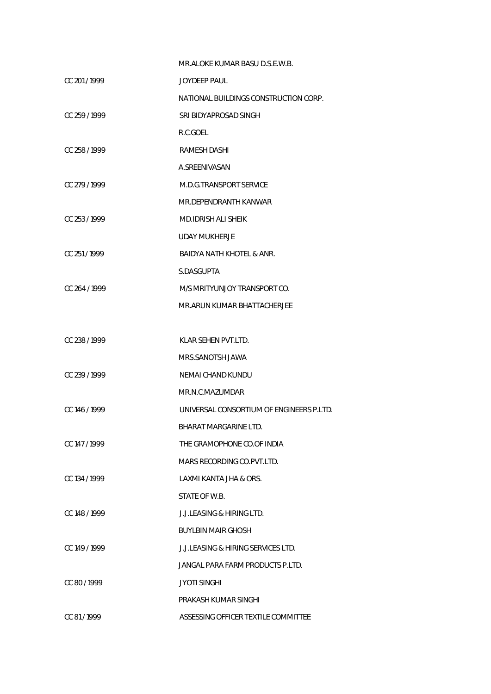|                 | MR.ALOKE KUMAR BASU D.S.E.W.B.           |
|-----------------|------------------------------------------|
| CC 201/1999     | JOYDEEP PAUL                             |
|                 | NATIONAL BUILDINGS CONSTRUCTION CORP.    |
| CC 259/1999     | SRI BIDYAPROSAD SINGH                    |
|                 | R.C.GOEL                                 |
| CC 258 / 1999   | <b>RAMESH DASHI</b>                      |
|                 | A.SREENIVASAN                            |
| CC 279/1999     | M.D.G.TRANSPORT SERVICE                  |
|                 | MR.DEPENDRANTH KANWAR                    |
| CC 253/1999     | <b>MD.IDRISH ALI SHEIK</b>               |
|                 | UDAY MUKHERJE                            |
| CC 251/1999     | BAIDYA NATH KHOTEL & ANR.                |
|                 | S.DASGUPTA                               |
| CC 264/1999     | M/S MRITYUNJOY TRANSPORT CO.             |
|                 | MR.ARUN KUMAR BHATTACHERJEE              |
|                 |                                          |
| CC 238/1999     | KLAR SEHEN PVT.LTD.                      |
|                 | MRS.SANOTSH JAWA                         |
| CC 239/1999     | NEMAI CHAND KUNDU                        |
|                 | MR.N.C.MAZUMDAR                          |
| CC 146 / 1999   | UNIVERSAL CONSORTIUM OF ENGINEERS P.LTD. |
|                 | BHARAT MARGARINE LTD.                    |
| $CC$ 147 / 1999 | THE GRAMOPHONE CO.OF INDIA               |
|                 | MARS RECORDING CO.PVT.LTD.               |
| CC 134 / 1999   | LAXMI KANTA JHA & ORS.                   |
|                 | STATE OF W.B.                            |
| CC 148 / 1999   | <b>J.J.I FASING &amp; HIRING LTD.</b>    |
|                 | <b>BUYLBIN MAIR GHOSH</b>                |
| CC 149/1999     | J.J.LEASING & HIRING SERVICES LTD.       |
|                 | JANGAL PARA FARM PRODUCTS P.LTD.         |
| CC 80/1999      | <b>JYOTI SINGHI</b>                      |
|                 | PRAKASH KUMAR SINGHI                     |
| CC 81/1999      | ASSESSING OFFICER TEXTILE COMMITTEE      |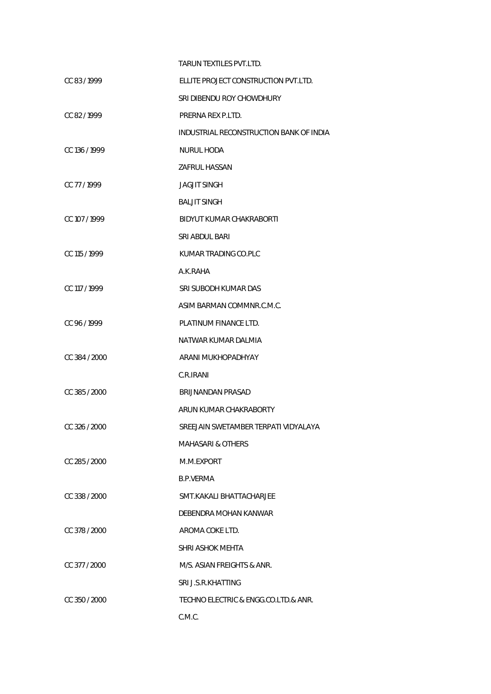|               | TARUN TEXTILES PVT.LTD.                 |
|---------------|-----------------------------------------|
| CC 83/1999    | ELLITE PROJECT CONSTRUCTION PVT.LTD.    |
|               | SRI DIBENDU ROY CHOWDHURY               |
| CC 82/1999    | PRERNA REX P.LTD.                       |
|               | INDUSTRIAL RECONSTRUCTION BANK OF INDIA |
| CC 136 / 1999 | NURUL HODA                              |
|               | ZAFRUL HASSAN                           |
| CC 77/1999    | JAGJIT SINGH                            |
|               | <b>BALJIT SINGH</b>                     |
| CC 107/1999   | BIDYUT KUMAR CHAKRABORTI                |
|               | SRI ABDUL BARI                          |
| CC 115 / 1999 | KUMAR TRADING CO.PLC                    |
|               | A.K.RAHA                                |
| CC 117 / 1999 | SRI SUBODH KUMAR DAS                    |
|               | ASIM BARMAN COMMNR.C.M.C.               |
| CC 96 / 1999  | PLATINUM FINANCE LTD.                   |
|               | NATWAR KUMAR DALMIA                     |
| CC 384 / 2000 | ARANI MUKHOPADHYAY                      |
|               | C.R.IRANI                               |
| CC 385 / 2000 | BRIJNANDAN PRASAD                       |
|               | ARUN KUMAR CHAKRABORTY                  |
| CC 326 / 2000 | SREEJAIN SWETAMBER TERPATI VIDYALAYA    |
|               | MAHASARI & OTHERS                       |
| CC 285/2000   | M.M.EXPORT                              |
|               | B.P.VERMA                               |
| CC 338 / 2000 | SMT.KAKALI BHATTACHARJEE                |
|               | DEBENDRA MOHAN KANWAR                   |
| CC 378 / 2000 | AROMA COKE LTD.                         |
|               | SHRI ASHOK MEHTA                        |
| CC 377 / 2000 | M/S. ASIAN FREIGHTS & ANR.              |
|               | SRI J.S.R.KHATTING                      |
| CC 350 / 2000 | TECHNO ELECTRIC & ENGG.CO.LTD.& ANR.    |
|               | C.M.C.                                  |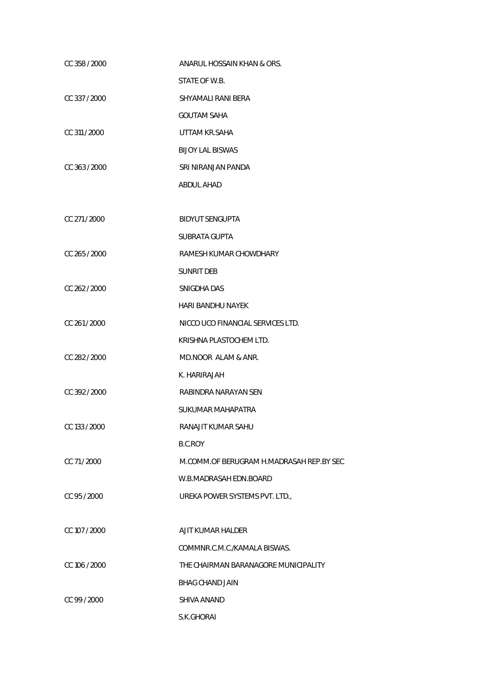| CC 358 / 2000 | ANARUL HOSSAIN KHAN & ORS.               |
|---------------|------------------------------------------|
|               | STATE OF W.B.                            |
| CC 337 / 2000 | SHYAMALI RANI BERA                       |
|               | <b>GOUTAM SAHA</b>                       |
| CC 311 / 2000 | UTTAM KR.SAHA                            |
|               | <b>BIJOY LAL BISWAS</b>                  |
| CC 363 / 2000 | SRI NIRANJAN PANDA                       |
|               | ABDUL AHAD                               |
|               |                                          |
| CC 271/2000   | <b>BIDYUT SENGUPTA</b>                   |
|               | <b>SUBRATA GUPTA</b>                     |
| CC 265 / 2000 | RAMESH KUMAR CHOWDHARY                   |
|               | <b>SUNRIT DEB</b>                        |
| CC 262/2000   | SNIGDHA DAS                              |
|               | <b>HARI BANDHU NAYEK</b>                 |
| CC 261/2000   | NICCO UCO FINANCIAL SERVICES LTD.        |
|               | KRISHNA PLASTOCHEM LTD.                  |
| CC 282 / 2000 | MD.NOOR ALAM & ANR.                      |
|               | K. HARIRAJAH                             |
| CC 392 / 2000 | RABINDRA NARAYAN SEN                     |
|               | SUKUMAR MAHAPATRA                        |
| CC 133 / 2000 | RANAJIT KUMAR SAHU                       |
|               | B.C.ROY                                  |
| CC 71/2000    | M.COMM.OF BERUGRAM H.MADRASAH REP.BY SEC |
|               | W.B.MADRASAH EDN.BOARD                   |
| CC 95 / 2000  | UREKA POWER SYSTEMS PVT. LTD.,           |
|               |                                          |
| CC 107 / 2000 | AJIT KUMAR HALDER                        |
|               | COMMNR.C.M.C./KAMALA BISWAS.             |
| CC 106 / 2000 | THE CHAIRMAN BARANAGORE MUNICIPALITY     |
|               | BHAG CHAND JAIN                          |
| CC 99 / 2000  | SHIVA ANAND                              |
|               | S.K.GHORAI                               |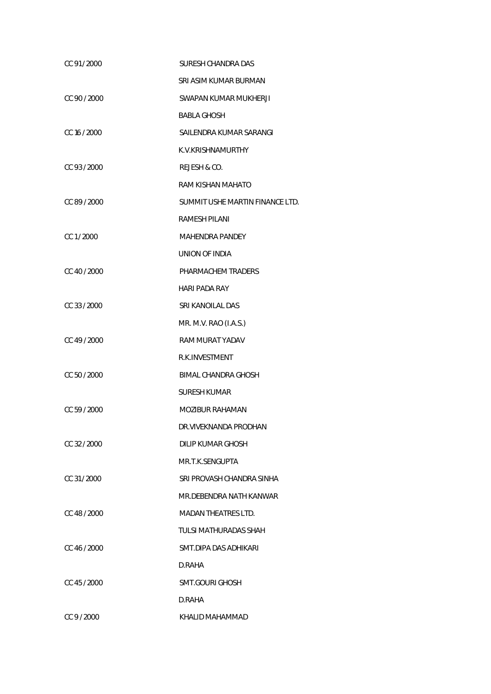| CC 91/2000   | SURESH CHANDRA DAS              |
|--------------|---------------------------------|
|              | SRI ASIM KUMAR BURMAN           |
| CC 90 / 2000 | SWAPAN KUMAR MUKHERJI           |
|              | <b>BABLA GHOSH</b>              |
| CC 16 / 2000 | SAILENDRA KUMAR SARANGI         |
|              | K.V.KRISHNAMURTHY               |
| CC 93/2000   | REJESH & CO.                    |
|              | RAM KISHAN MAHATO               |
| CC 89 / 2000 | SUMMIT USHE MARTIN FINANCE LTD. |
|              | RAMESH PILANI                   |
| CC 1/2000    | <b>MAHENDRA PANDEY</b>          |
|              | UNION OF INDIA                  |
| CC 40 / 2000 | PHARMACHEM TRADERS              |
|              | HARI PADA RAY                   |
| CC 33 / 2000 | SRI KANOILAL DAS                |
|              | MR. M.V. RAO (I.A.S.)           |
| CC 49 / 2000 | RAM MURAT YADAV                 |
|              | R.K. INVESTMENT                 |
| CC 50 / 2000 | BIMAL CHANDRA GHOSH             |
|              | <b>SURESH KUMAR</b>             |
| CC 59 / 2000 | <b>MOZIBUR RAHAMAN</b>          |
|              | DR.VIVEKNANDA PRODHAN           |
| CC 32 / 2000 | DILIP KUMAR GHOSH               |
|              | MR.T.K.SENGUPTA                 |
| CC 31/2000   | SRI PROVASH CHANDRA SINHA       |
|              | MR.DEBENDRA NATH KANWAR         |
| CC 48 / 2000 | <b>MADAN THEATRES LTD.</b>      |
|              | TULSI MATHURADAS SHAH           |
| CC 46 / 2000 | SMT.DIPA DAS ADHIKARI           |
|              | D.RAHA                          |
| CC 45/2000   | SMT.GOURI GHOSH                 |
|              | D.RAHA                          |
| CC 9 / 2000  | KHALID MAHAMMAD                 |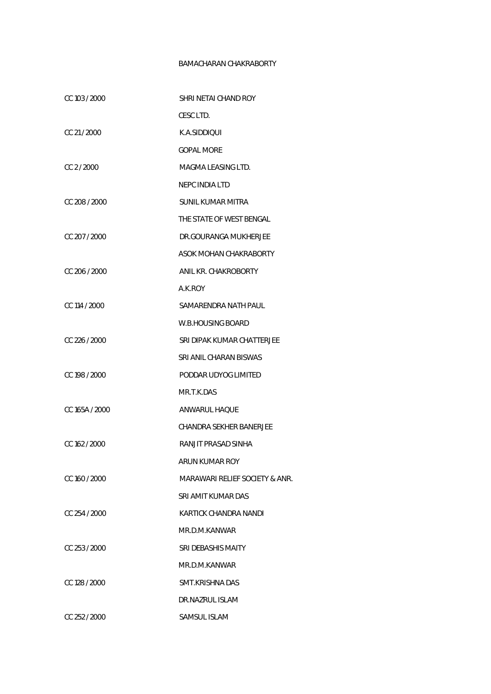## BAMACHARAN CHAKRABORTY

| CC 103 / 2000   | SHRI NETAI CHAND ROY           |
|-----------------|--------------------------------|
|                 | CESC LTD.                      |
| CC 21/2000      | K.A.SIDDIQUI                   |
|                 | <b>GOPAL MORE</b>              |
| CC 2/2000       | MAGMA LEASING LTD.             |
|                 | <b>NEPC INDIA LTD</b>          |
| CC 208 / 2000   | SUNIL KUMAR MITRA              |
|                 | THE STATE OF WEST BENGAL       |
| CC 207 / 2000   | DR.GOURANGA MUKHERJEE          |
|                 | ASOK MOHAN CHAKRABORTY         |
| CC 206 / 2000   | ANIL KR. CHAKROBORTY           |
|                 | A.K.ROY                        |
| CC 114 / 2000   | SAMARENDRA NATH PAUL           |
|                 | W.B.HOUSING BOARD              |
| CC 226 / 2000   | SRI DIPAK KUMAR CHATTERJEE     |
|                 | SRI ANIL CHARAN BISWAS         |
| CC 198 / 2000   | PODDAR UDYOG LIMITED           |
|                 | MR.T.K.DAS                     |
| CC 165A / 2000  | ANWARUL HAQUE                  |
|                 | CHANDRA SEKHER BANERJEE        |
| CC 162 / 2000   | RANJIT PRASAD SINHA            |
|                 | ARUN KUMAR ROY                 |
| CC 160 / 2000   | MARAWARI RELIEF SOCIETY & ANR. |
|                 | SRI AMIT KUMAR DAS             |
| $CC$ 254 / 2000 | KARTICK CHANDRA NANDI          |
|                 | MR.D.M.KANWAR                  |
| CC 253/2000     | SRI DEBASHIS MAITY             |
|                 | MR.D.M.KANWAR                  |
| CC 128 / 2000   | SMT.KRISHNA DAS                |
|                 | DR.NAZRUL ISLAM                |
| CC 252 / 2000   | SAMSUL ISLAM                   |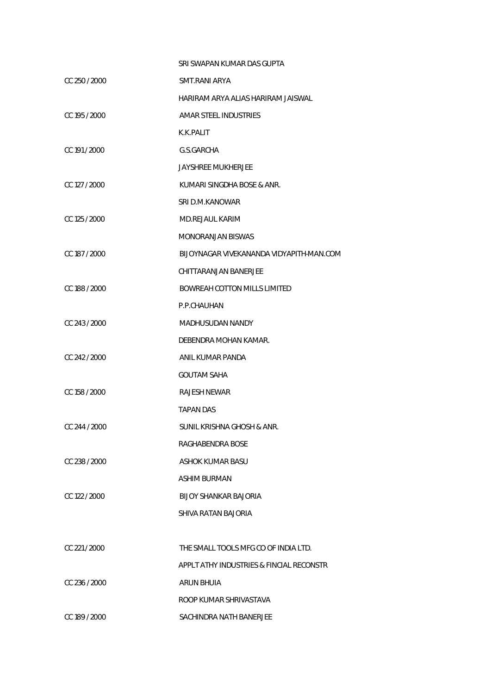|               | SRI SWAPAN KUMAR DAS GUPTA               |
|---------------|------------------------------------------|
| CC 250 / 2000 | SMT.RANI ARYA                            |
|               | HARIRAM ARYA ALIAS HARIRAM JAISWAL       |
| CC 195 / 2000 | AMAR STEEL INDUSTRIES                    |
|               | K.K.PALIT                                |
| CC 191 / 2000 | G.S.GARCHA                               |
|               | JAYSHREE MUKHERJEE                       |
| CC 127 / 2000 | KUMARI SINGDHA BOSE & ANR.               |
|               | SRI D.M.KANOWAR                          |
| CC 125 / 2000 | <b>MD.REJAUL KARIM</b>                   |
|               | <b>MONORANJAN BISWAS</b>                 |
| CC 187 / 2000 | BIJOYNAGAR VIVEKANANDA VIDYAPITH-MAN.COM |
|               | CHITTARANJAN BANERJEE                    |
| CC 188 / 2000 | <b>BOWREAH COTTON MILLS LIMITED</b>      |
|               | P.P.CHAUHAN                              |
| CC 243 / 2000 | MADHUSUDAN NANDY                         |
|               | DEBENDRA MOHAN KAMAR.                    |
| CC 242 / 2000 | ANIL KUMAR PANDA                         |
|               | <b>GOUTAM SAHA</b>                       |
| CC 158 / 2000 | RAJESH NEWAR                             |
|               | <b>TAPAN DAS</b>                         |
| CC 244 / 2000 | SUNIL KRISHNA GHOSH & ANR.               |
|               | RAGHABENDRA BOSE                         |
| CC 238 / 2000 | ASHOK KUMAR BASU                         |
|               | ASHIM BURMAN                             |
| CC 122 / 2000 | <b>BLJOY SHANKAR BAJORIA</b>             |
|               | SHIVA RATAN BAJORIA                      |
|               |                                          |
| CC 221/2000   | THE SMALL TOOLS MFG CO OF INDIA LTD.     |
|               | APPLT ATHY INDUSTRIES & FINCIAL RECONSTR |
| CC 236 / 2000 | ARUN BHUIA                               |
|               | ROOP KUMAR SHRIVASTAVA                   |
| CC 189 / 2000 | SACHINDRA NATH BANERJEE                  |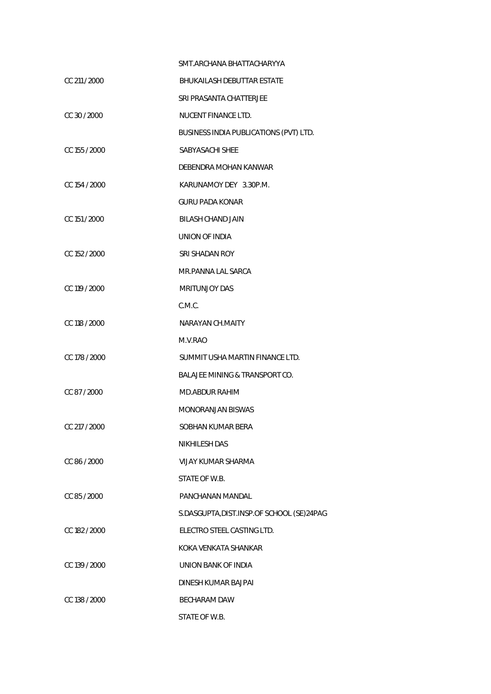|               | SMT. ARCHANA BHATTACHARYYA                |
|---------------|-------------------------------------------|
| CC 211 / 2000 | BHUKAILASH DEBUTTAR ESTATE                |
|               | SRI PRASANTA CHATTERJEE                   |
| CC 30 / 2000  | NUCENT FINANCE LTD.                       |
|               | BUSINESS INDIA PUBLICATIONS (PVT) LTD.    |
| CC 155 / 2000 | SABYASACHI SHEE                           |
|               | DEBENDRA MOHAN KANWAR                     |
| CC 154 / 2000 | KARUNAMOY DEY 3.30P.M.                    |
|               | <b>GURU PADA KONAR</b>                    |
| CC 151 / 2000 | <b>BILASH CHAND JAIN</b>                  |
|               | UNION OF INDIA                            |
| CC 152 / 2000 | SRI SHADAN ROY                            |
|               | MR.PANNA LAL SARCA                        |
| CC 119 / 2000 | <b>MRITUNJOY DAS</b>                      |
|               | C.M.C.                                    |
| CC 118 / 2000 | NARAYAN CH.MAITY                          |
|               | M.V.RAO                                   |
| CC 178 / 2000 | SUMMIT USHA MARTIN FINANCE LTD.           |
|               | <b>BALAJEE MINING &amp; TRANSPORT CO.</b> |
| CC 87/2000    | MD.ABDUR RAHIM                            |
|               | <b>MONORANJAN BISWAS</b>                  |
| CC 217 / 2000 | SOBHAN KUMAR BERA                         |
|               | <b>NIKHILESH DAS</b>                      |
| CC 86 / 2000  | VIJAY KUMAR SHARMA                        |
|               | STATE OF W.B.                             |
| CC 85 / 2000  | PANCHANAN MANDAL                          |
|               | S.DASGUPTA, DIST.INSP.OF SCHOOL (SE)24PAG |
| CC 182 / 2000 | ELECTRO STEEL CASTING LTD.                |
|               | KOKA VENKATA SHANKAR                      |
| CC 139 / 2000 | UNION BANK OF INDIA                       |
|               | DINESH KUMAR BAJPAI                       |
| CC 138 / 2000 | <b>BECHARAM DAW</b>                       |
|               | STATE OF W.B.                             |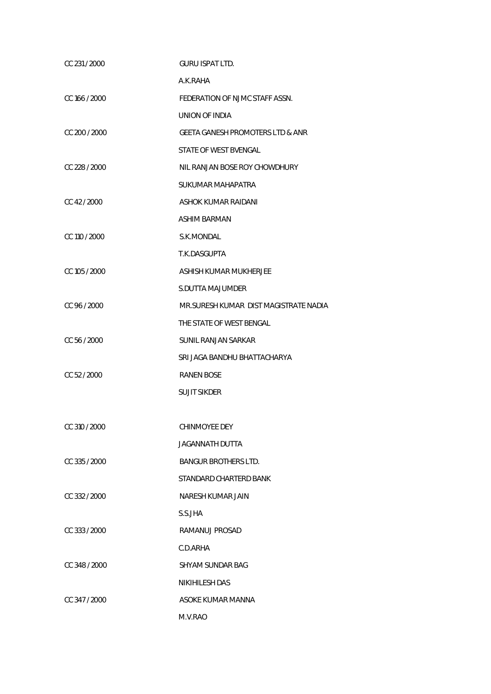| CC 231/2000   | <b>GURU ISPAT LTD.</b>                      |
|---------------|---------------------------------------------|
|               | A.K.RAHA                                    |
| CC 166 / 2000 | FEDERATION OF NJMC STAFF ASSN.              |
|               | UNION OF INDIA                              |
| CC 200 / 2000 | <b>GEETA GANESH PROMOTERS LTD &amp; ANR</b> |
|               | STATE OF WEST BVENGAL                       |
| CC 228 / 2000 | NIL RANJAN BOSE ROY CHOWDHURY               |
|               | SUKUMAR MAHAPATRA                           |
| CC 42/2000    | ASHOK KUMAR RAIDANI                         |
|               | ASHIM BARMAN                                |
| CC 110 / 2000 | S.K.MONDAL                                  |
|               | T.K.DASGUPTA                                |
| CC 105 / 2000 | ASHISH KUMAR MUKHERJEE                      |
|               | S.DUTTA MAJUMDER                            |
| CC 96 / 2000  | MR. SURESH KUMAR DIST MAGISTRATE NADIA      |
|               | THE STATE OF WEST BENGAL                    |
| CC 56 / 2000  | <b>SUNIL RANJAN SARKAR</b>                  |
|               | SRI JAGA BANDHU BHATTACHARYA                |
| CC 52 / 2000  | <b>RANEN BOSE</b>                           |
|               | <b>SUJIT SIKDER</b>                         |
|               |                                             |
| CC 310 / 2000 | CHINMOYEE DEY                               |
|               | JAGANNATH DUTTA                             |
| CC 335 / 2000 | <b>BANGUR BROTHERS LTD.</b>                 |
|               | STANDARD CHARTERD BANK                      |
| CC 332 / 2000 | NARESH KUMAR JAIN                           |
|               | S.S.JHA                                     |
| CC 333/2000   | RAMANUJ PROSAD                              |
|               | C.D.ARHA                                    |
| CC 348 / 2000 | SHYAM SUNDAR BAG                            |
|               | <b>NIKIHILESH DAS</b>                       |
| CC 347 / 2000 | ASOKE KUMAR MANNA                           |
|               | M.V.RAO                                     |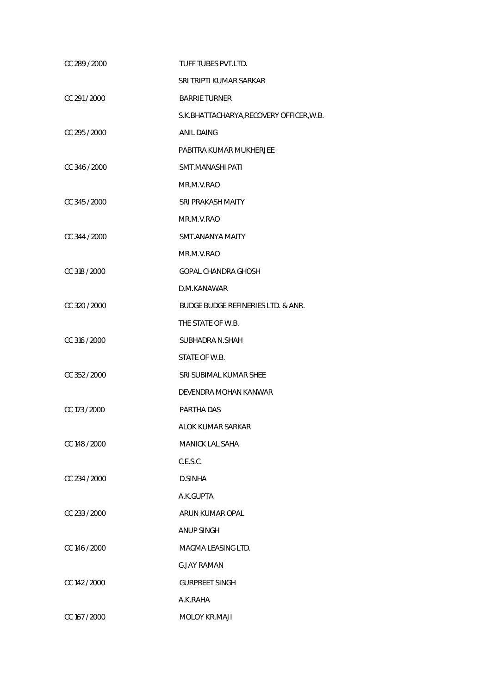| CC 289 / 2000 | TUFF TUBES PVT.LTD.                           |
|---------------|-----------------------------------------------|
|               | SRI TRIPTI KUMAR SARKAR                       |
| CC 291/2000   | <b>BARRIE TURNER</b>                          |
|               | S.K. BHATTACHARYA, RECOVERY OFFICER, W.B.     |
| CC 295 / 2000 | <b>ANIL DAING</b>                             |
|               | PABITRA KUMAR MUKHERJEE                       |
| CC 346 / 2000 | SMT.MANASHI PATI                              |
|               | MR.M.V.RAO                                    |
| CC 345 / 2000 | SRI PRAKASH MAITY                             |
|               | MR.M.V.RAO                                    |
| CC 344 / 2000 | SMT.ANANYA MAITY                              |
|               | MR.M.V.RAO                                    |
| CC 318 / 2000 | GOPAL CHANDRA GHOSH                           |
|               | D.M.KANAWAR                                   |
| CC 320 / 2000 | <b>BUDGE BUDGE REFINERIES LTD. &amp; ANR.</b> |
|               | THE STATE OF W.B.                             |
| CC 316 / 2000 | SUBHADRA N.SHAH                               |
|               | STATE OF W.B.                                 |
| CC 352 / 2000 | SRI SUBIMAL KUMAR SHEE                        |
|               | DEVENDRA MOHAN KANWAR                         |
| CC 173 / 2000 | PARTHA DAS                                    |
|               | ALOK KUMAR SARKAR                             |
| CC 148 / 2000 | <b>MANICK LAL SAHA</b>                        |
|               | C.E.S.C.                                      |
| CC 234 / 2000 | D.SINHA                                       |
|               | A.K.GUPTA                                     |
| CC 233 / 2000 | ARUN KUMAR OPAL                               |
|               | <b>ANUP SINGH</b>                             |
| CC 146 / 2000 | MAGMA LEASING LTD.                            |
|               | G.JAY RAMAN                                   |
| CC 142 / 2000 | <b>GURPREET SINGH</b>                         |
|               | A.K.RAHA                                      |
| CC 167 / 2000 | <b>MOLOY KR.MAJI</b>                          |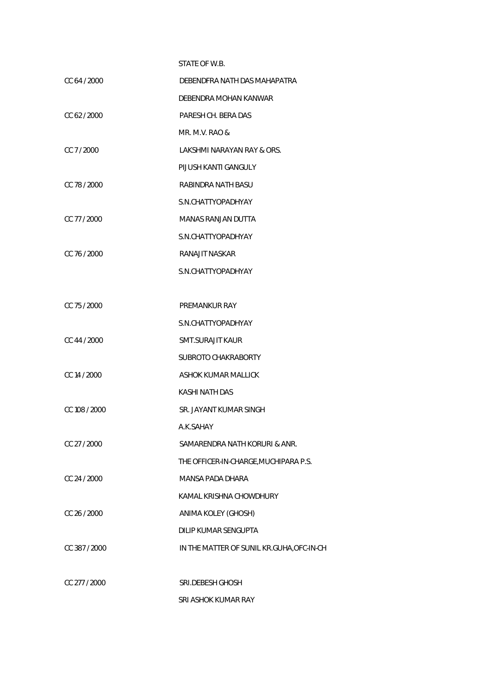## STATE OF W.B.

| CC 64 / 2000  | DEBENDFRA NATH DAS MAHAPATRA          |
|---------------|---------------------------------------|
|               | DEBENDRA MOHAN KANWAR                 |
| CC 62/2000    | PARESH CH. BERA DAS                   |
|               | MR. M.V. RAO &                        |
| CC 7/2000     | LAKSHMI NARAYAN RAY & ORS.            |
|               | PIJUSH KANTI GANGULY                  |
| CC 78 / 2000  | RABINDRA NATH BASU                    |
|               | S.N.CHATTYOPADHYAY                    |
| CC 77 / 2000  | MANAS RANJAN DUTTA                    |
|               | S.N.CHATTYOPADHYAY                    |
| CC 76 / 2000  | <b>RANAJIT NASKAR</b>                 |
|               | S.N.CHATTYOPADHYAY                    |
|               |                                       |
| CC 75/2000    | PREMANKUR RAY                         |
|               | S.N.CHATTYOPADHYAY                    |
| CC 44 / 2000  | SMT.SURAJIT KAUR                      |
|               | SUBROTO CHAKRABORTY                   |
| CC 14 / 2000  | ASHOK KUMAR MALLICK                   |
|               | <b>KASHI NATH DAS</b>                 |
| CC 108 / 2000 | SR. JAYANT KUMAR SINGH                |
|               | A.K.SAHAY                             |
| CC 27 / 2000  | SAMARENDRA NATH KORURI & ANR.         |
|               | THE OFFICER-IN-CHARGE, MUCHIPARA P.S. |
| CC 24 / 2000  | <b>MANSA PADA DHARA</b>               |
|               | KAMAL KRISHNA CHOWDHURY               |
|               |                                       |

CC 26 / 2000 ANIMA KOLEY (GHOSH)

DILIP KUMAR SENGUPTA

CC 387 / 2000 IN THE MATTER OF SUNIL KR.GUHA, OFC-IN-CH

CC 277 / 2000 SRI.DEBESH GHOSH

SRI ASHOK KUMAR RAY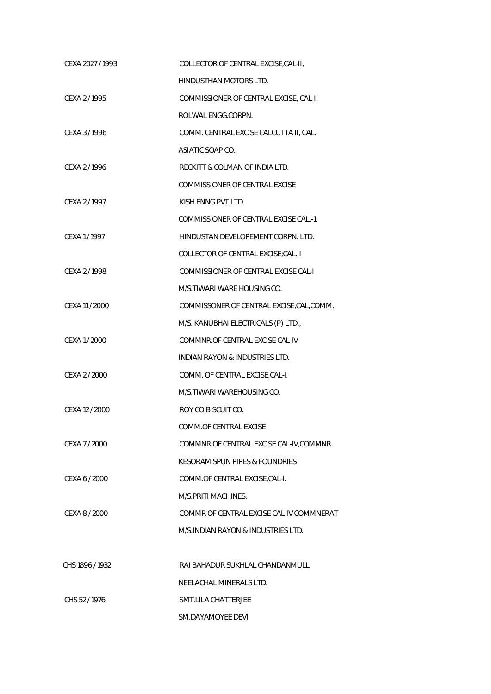| CEXA 2027 / 1993 | COLLECTOR OF CENTRAL EXCISE, CAL-II,      |
|------------------|-------------------------------------------|
|                  | HINDUSTHAN MOTORS LTD.                    |
| CEXA 2/1995      | COMMISSIONER OF CENTRAL EXCISE, CAL-II    |
|                  | ROLWAL ENGG.CORPN.                        |
| CEXA 3/1996      | COMM. CENTRAL EXCISE CALCUTTA II, CAL.    |
|                  | ASIATIC SOAP CO.                          |
| CEXA 2/1996      | RECKITT & COLMAN OF INDIA LTD.            |
|                  | COMMISSIONER OF CENTRAL EXCISE            |
| CEXA 2/1997      | KISH ENNG.PVT.LTD.                        |
|                  | COMMISSIONER OF CENTRAL EXCISE CAL.-1     |
| CEXA 1/1997      | HINDUSTAN DEVELOPEMENT CORPN. LTD.        |
|                  | COLLECTOR OF CENTRAL EXCISE; CAL.II       |
| CEXA 2/1998      | COMMISSIONER OF CENTRAL EXCISE CAL-I      |
|                  | M/S. TIWARI WARE HOUSING CO.              |
| CEXA 11 / 2000   | COMMISSONER OF CENTRAL EXCISE, CAL, COMM. |
|                  | M/S. KANUBHAI ELECTRICALS (P) LTD.,       |
| CEXA 1 / 2000    | COMMNR.OF CENTRAL EXCISE CAL-IV           |
|                  | <b>INDIAN RAYON &amp; INDUSTRIES LTD.</b> |
| CEXA 2 / 2000    | COMM. OF CENTRAL EXCISE, CAL-I.           |
|                  | M/S. TIWARI WAREHOUSING CO.               |
| CEXA 12 / 2000   | ROY CO.BISCUIT CO.                        |
|                  | COMM.OF CENTRAL EXCISE                    |
| CEXA 7 / 2000    | COMMNR.OF CENTRAL EXCISE CAL-IV, COMMNR.  |
|                  | KESORAM SPUN PIPES & FOUNDRIES            |
| CEXA 6 / 2000    | COMM.OF CENTRAL EXCISE, CAL-I.            |
|                  | M/S.PRITI MACHINES.                       |
| CEXA 8 / 2000    | COMMR OF CENTRAL EXCISE CAL-IV COMMNERAT  |
|                  | M/S.INDIAN RAYON & INDUSTRIES LTD.        |
|                  |                                           |
| CHS 1896 / 1932  | RAI BAHADUR SUKHLAL CHANDANMULL           |
|                  | NEELACHAL MINERALS LTD.                   |
| CHS 52/1976      | SMT.LILA CHATTERJEE                       |
|                  | SM.DAYAMOYEE DEVI                         |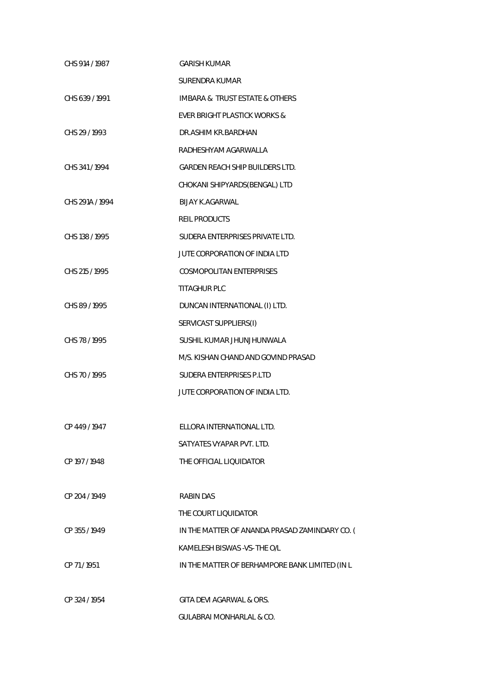| CHS 914 / 1987  | <b>GARISH KUMAR</b>                            |
|-----------------|------------------------------------------------|
|                 | <b>SURENDRA KUMAR</b>                          |
| CHS 639 / 1991  | <b>IMBARA &amp; TRUST ESTATE &amp; OTHERS</b>  |
|                 | EVER BRIGHT PLASTICK WORKS &                   |
| CHS 29 / 1993   | DR.ASHIM KR.BARDHAN                            |
|                 | RADHESHYAM AGARWALLA                           |
| CHS 341/1994    | <b>GARDEN REACH SHIP BUILDERS LTD.</b>         |
|                 | CHOKANI SHIPYARDS(BENGAL) LTD                  |
| CHS 291A / 1994 | <b>BIJAY K.AGARWAL</b>                         |
|                 | <b>REIL PRODUCTS</b>                           |
| CHS 138 / 1995  | SUDERA ENTERPRISES PRIVATE LTD.                |
|                 | JUTE CORPORATION OF INDIA LTD                  |
| CHS 215 / 1995  | <b>COSMOPOLITAN ENTERPRISES</b>                |
|                 | TITAGHUR PLC                                   |
| CHS 89 / 1995   | DUNCAN INTERNATIONAL (I) LTD.                  |
|                 | SERVICAST SUPPLIERS(I)                         |
| CHS 78 / 1995   | SUSHIL KUMAR JHUNJHUNWALA                      |
|                 | M/S. KISHAN CHAND AND GOVIND PRASAD            |
| CHS 70 / 1995   | SUDERA ENTERPRISES P.LTD                       |
|                 | JUTE CORPORATION OF INDIA LTD.                 |
|                 |                                                |
| CP 449 / 1947   | ELLORA INTERNATIONAL LTD.                      |
|                 | SATYATES VYAPAR PVT. LTD.                      |
| CP 197 / 1948   | THE OFFICIAL LIQUIDATOR                        |
|                 |                                                |
| CP 204 / 1949   | <b>RABIN DAS</b>                               |
|                 | THE COURT LIQUIDATOR                           |
| CP 355/1949     | IN THE MATTER OF ANANDA PRASAD ZAMINDARY CO. ( |
|                 | KAMELESH BISWAS - VS- THE O/L                  |
| CP 71/1951      | IN THE MATTER OF BERHAMPORE BANK LIMITED (IN L |
|                 |                                                |
| CP 324 / 1954   | GITA DEVI AGARWAL & ORS.                       |
|                 | <b>GULABRAI MONHARLAL &amp; CO.</b>            |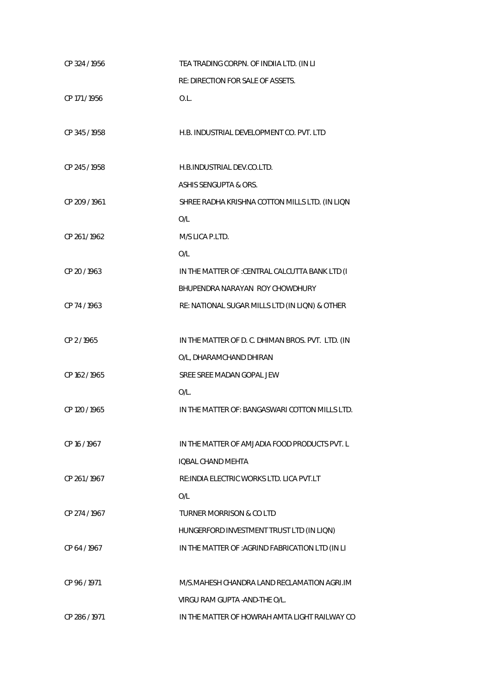| CP 324 / 1956 | TEA TRADING CORPN. OF INDIIA LTD. (IN LI          |
|---------------|---------------------------------------------------|
|               | RE: DIRECTION FOR SALE OF ASSETS.                 |
| CP 171 / 1956 | O.L.                                              |
|               |                                                   |
| CP 345 / 1958 | H.B. INDUSTRIAL DEVELOPMENT CO. PVT. LTD          |
|               |                                                   |
| CP 245 / 1958 | H.B.INDUSTRIAL DEV.CO.LTD.                        |
|               | ASHIS SENGUPTA & ORS.                             |
| CP 209 / 1961 | SHREE RADHA KRISHNA COTTON MILLS LTD. (IN LIQN    |
|               | O/L                                               |
| CP 261/1962   | M/S LICA P.LTD.                                   |
|               | O/L                                               |
| CP 20 / 1963  | IN THE MATTER OF : CENTRAL CALCUTTA BANK LTD (I   |
|               | BHUPENDRA NARAYAN ROY CHOWDHURY                   |
| CP 74/1963    | RE: NATIONAL SUGAR MILLS LTD (IN LIQN) & OTHER    |
|               |                                                   |
| CP 2/1965     | IN THE MATTER OF D. C. DHIMAN BROS. PVT. LTD. (IN |
|               | O/L, DHARAMCHAND DHIRAN                           |
| CP 162/1965   | SREE SREE MADAN GOPAL JEW                         |
|               | O/L.                                              |
| CP 120 / 1965 | IN THE MATTER OF: BANGASWARI COTTON MILLS LTD.    |
|               |                                                   |
| CP 16 / 1967  | IN THE MATTER OF AMJADIA FOOD PRODUCTS PVT. L     |
|               | <b>IOBAL CHAND MEHTA</b>                          |
| CP 261/1967   | RE: INDIA ELECTRIC WORKS LTD. LICA PVT.LT         |
|               | O/L                                               |
| CP 274 / 1967 | <b>TURNER MORRISON &amp; CO LTD</b>               |
|               | HUNGERFORD INVESTMENT TRUST LTD (IN LIQN)         |
| CP 64 / 1967  | IN THE MATTER OF : AGRIND FABRICATION LTD (IN LI  |
|               |                                                   |
| CP 96 / 1971  | M/S.MAHESH CHANDRA LAND RECLAMATION AGRI.IM       |
|               | VIRGU RAM GUPTA - AND-THE O/L.                    |
| CP 286/1971   | IN THE MATTER OF HOWRAH AMTA LIGHT RAILWAY CO     |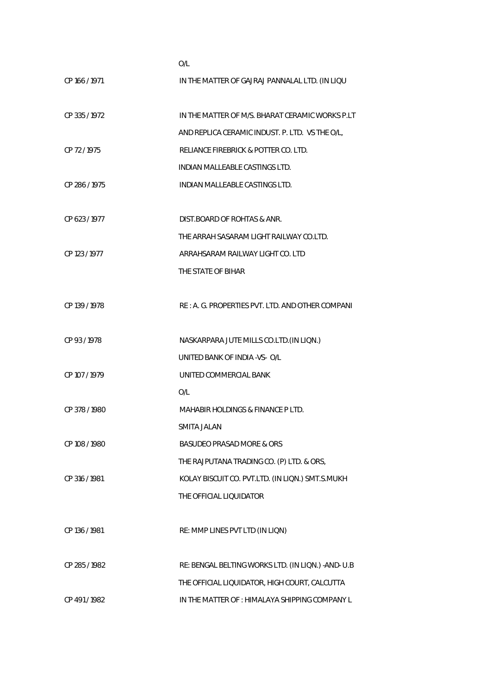|               | O/L                                                 |
|---------------|-----------------------------------------------------|
| CP 166 / 1971 | IN THE MATTER OF GAJRAJ PANNALAL LTD. (IN LIQU      |
| CP 335 / 1972 | IN THE MATTER OF M/S. BHARAT CERAMIC WORKS P.LT     |
|               | AND REPLICA CERAMIC INDUST. P. LTD. VS THE O/L,     |
| CP 72/1975    | RELIANCE FIREBRICK & POTTER CO. LTD.                |
|               | INDIAN MALLEABLE CASTINGS LTD.                      |
| CP 286 / 1975 | INDIAN MALLEABLE CASTINGS LTD.                      |
| CP 623 / 1977 | DIST. BOARD OF ROHTAS & ANR.                        |
|               | THE ARRAH SASARAM LIGHT RAILWAY CO.LTD.             |
| CP 123 / 1977 | ARRAHSARAM RAILWAY LIGHT CO. LTD                    |
|               |                                                     |
|               | THE STATE OF BIHAR                                  |
| CP 139 / 1978 | RE: A. G. PROPERTIES PVT. LTD. AND OTHER COMPANI    |
| CP 93/1978    | NASKARPARA JUTE MILLS CO.LTD. (IN LIQN.)            |
|               | UNITED BANK OF INDIA -VS- O/L                       |
| CP 107 / 1979 | UNITED COMMERCIAL BANK                              |
|               | O/L                                                 |
| CP 378 / 1980 | <b>MAHABIR HOLDINGS &amp; FINANCE P LTD.</b>        |
|               | SMITA JALAN                                         |
| CP 108 / 1980 | BASUDEO PRASAD MORE & ORS                           |
|               | THE RAJPUTANA TRADING CO. (P) LTD. & ORS,           |
| CP 316 / 1981 | KOLAY BISCUIT CO. PVT.LTD. (IN LIQN.) SMT.S.MUKH    |
|               | THE OFFICIAL LIQUIDATOR                             |
| CP 136 / 1981 | RE: MMP LINES PVT LTD (IN LIQN)                     |
| CP 285 / 1982 | RE: BENGAL BELTING WORKS LTD. (IN LIQN.) - AND- U.B |
|               | THE OFFICIAL LIQUIDATOR, HIGH COURT, CALCUTTA       |
| CP 491 / 1982 | IN THE MATTER OF : HIMALAYA SHIPPING COMPANY L      |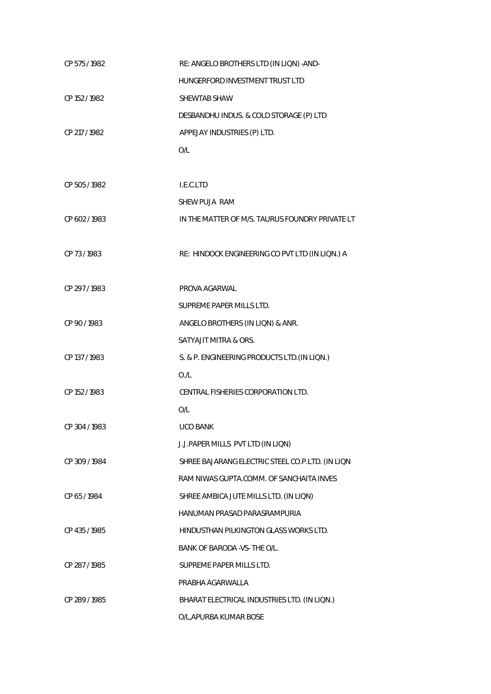| CP 575 / 1982 | RE: ANGELO BROTHERS LTD (IN LIQN) -AND-          |
|---------------|--------------------------------------------------|
|               | HUNGERFORD INVESTMENT TRUST LTD                  |
| CP 152 / 1982 | SHEWTAB SHAW                                     |
|               | DESBANDHU INDUS. & COLD STORAGE (P) LTD          |
| CP 217 / 1982 | APPEJAY INDUSTRIES (P) LTD.                      |
|               | O/L                                              |
|               |                                                  |
| CP 505 / 1982 | I.E.C.LTD                                        |
|               | SHEW PUJA RAM                                    |
| CP 602 / 1983 | IN THE MATTER OF M/S. TAURUS FOUNDRY PRIVATE LT  |
|               |                                                  |
| CP 73/1983    | RE: HINDOCK ENGINEERING CO PVT LTD (IN LIQN.) A  |
|               |                                                  |
| CP 297/1983   | PROVA AGARWAL                                    |
|               | SUPREME PAPER MILLS LTD.                         |
| CP 90 / 1983  | ANGELO BROTHERS (IN LIQN) & ANR.                 |
|               | SATYAJIT MITRA & ORS.                            |
| CP 137 / 1983 | S. & P. ENGINEERING PRODUCTS LTD. (IN LIQN.)     |
|               | O/L                                              |
| CP 152 / 1983 | CENTRAL FISHERIES CORPORATION LTD.               |
|               | O/L                                              |
| CP 304 / 1983 | <b>UCO BANK</b>                                  |
|               | J.J.PAPER MILLS PVT LTD (IN LIQN)                |
| CP 309 / 1984 | SHREE BAJARANG ELECTRIC STEEL CO.P.LTD. (IN LIQN |
|               | RAM NIWAS GUPTA.COMM. OF SANCHAITA INVES         |
| CP 65/1984    | SHREE AMBICA JUTE MILLS LTD. (IN LIQN)           |
|               | HANUMAN PRASAD PARASRAMPURIA                     |
| CP 435 / 1985 | HINDUSTHAN PILKINGTON GLASS WORKS LTD.           |
|               | BANK OF BARODA - VS- THE O/L.                    |
| CP 287/1985   | SUPREME PAPER MILLS LTD.                         |
|               | PRABHA AGARWALLA                                 |
| CP 289 / 1985 | BHARAT ELECTRICAL INDUSTRIES LTD. (IN LIQN.)     |
|               | O/L, APURBA KUMAR BOSE                           |
|               |                                                  |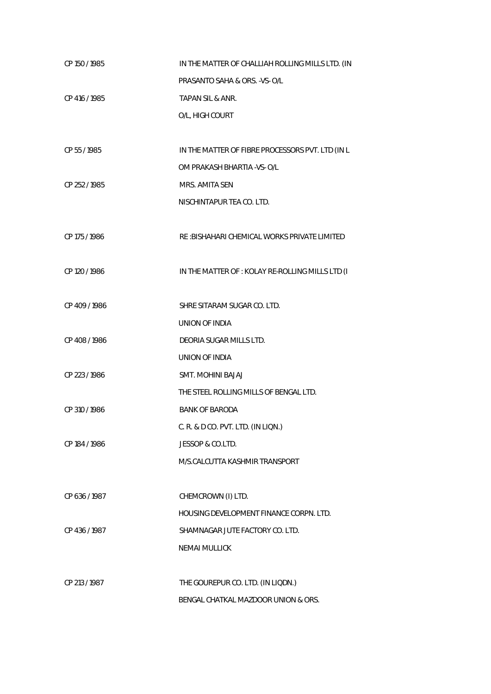| CP 150 / 1985 | IN THE MATTER OF CHALLIAH ROLLING MILLS LTD. (IN |
|---------------|--------------------------------------------------|
|               | PRASANTO SAHA & ORS. - VS- O/L                   |
| CP 416 / 1985 | <b>TAPAN SIL &amp; ANR.</b>                      |
|               | O/L, HIGH COURT                                  |
|               |                                                  |
| CP 55 / 1985  | IN THE MATTER OF FIBRE PROCESSORS PVT. LTD (IN L |
|               | OM PRAKASH BHARTIA - VS- O/L                     |
| CP 252 / 1985 | MRS. AMITA SEN                                   |
|               | NISCHINTAPUR TEA CO. LTD.                        |
|               |                                                  |
| CP 175 / 1986 | RE : BISHAHARI CHEMICAL WORKS PRIVATE LIMITED    |
|               |                                                  |
| CP 120 / 1986 | IN THE MATTER OF : KOLAY RE-ROLLING MILLS LTD (I |
|               |                                                  |
| CP 409 / 1986 | SHRE SITARAM SUGAR CO. LTD.                      |
|               | UNION OF INDIA                                   |
| CP 408 / 1986 | DEORIA SUGAR MILLS LTD.                          |
|               | UNION OF INDIA                                   |
| CP 223 / 1986 | <b>SMT. MOHINI BAJAJ</b>                         |
|               | THE STEEL ROLLING MILLS OF BENGAL LTD.           |
| CP 310/1986   | <b>BANK OF BARODA</b>                            |
|               | C. R. & D CO. PVT. LTD. (IN LIQN.)               |
| CP 184 / 1986 | JESSOP & CO.LTD.                                 |
|               | M/S.CALCUTTA KASHMIR TRANSPORT                   |
|               |                                                  |
| CP 636 / 1987 | CHEMCROWN (I) LTD.                               |
|               | <b>HOUSING DEVELOPMENT FINANCE CORPN. LTD.</b>   |
| CP 436 / 1987 | SHAMNAGAR JUTE FACTORY CO. LTD.                  |
|               | <b>NEMAI MULLICK</b>                             |
|               |                                                  |
| CP 213 / 1987 | THE GOUREPUR CO. LTD. (IN LIQDN.)                |
|               | BENGAL CHATKAL MAZDOOR UNION & ORS.              |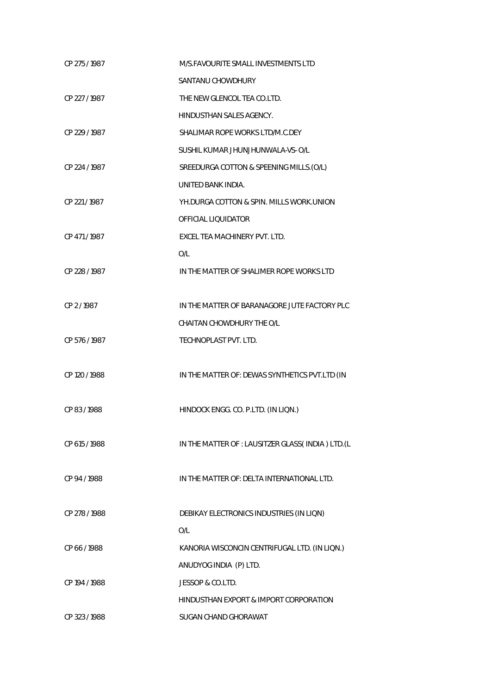| CP 275/1987   | M/S. FAVOURITE SMALL INVESTMENTS LTD             |
|---------------|--------------------------------------------------|
|               | SANTANU CHOWDHURY                                |
| CP 227/1987   | THE NEW GLENCOL TEA CO.LTD.                      |
|               | HINDUSTHAN SALES AGENCY.                         |
| CP 229 / 1987 | SHALIMAR ROPE WORKS LTD/M.C.DEY                  |
|               | SUSHIL KUMAR JHUNJHUNWALA-VS- O/L                |
| CP 224 / 1987 | SREEDURGA COTTON & SPEENING MILLS.(O/L)          |
|               | UNITED BANK INDIA.                               |
| CP 221/1987   | YH.DURGA COTTON & SPIN. MILLS WORK.UNION         |
|               | OFFICIAL LIOUIDATOR                              |
| CP 471/1987   | EXCEL TEA MACHINERY PVT. LTD.                    |
|               | O/L                                              |
| CP 228 / 1987 | IN THE MATTER OF SHALIMER ROPE WORKS LTD         |
|               |                                                  |
| CP 2/1987     | IN THE MATTER OF BARANAGORE JUTE FACTORY PLC     |
|               | CHAITAN CHOWDHURY THE O/L                        |
| CP 576 / 1987 | TECHNOPLAST PVT. LTD.                            |
|               |                                                  |
| CP 120 / 1988 | IN THE MATTER OF: DEWAS SYNTHETICS PVT.LTD (IN   |
|               |                                                  |
| CP 83/1988    | HINDOCK ENGG. CO. P.LTD. (IN LIQN.)              |
|               |                                                  |
| CP 615 / 1988 | IN THE MATTER OF : LAUSITZER GLASS(INDIA) LTD.(L |
|               |                                                  |
| CP 94 / 1988  | IN THE MATTER OF: DELTA INTERNATIONAL LTD.       |
|               |                                                  |
| CP 278 / 1988 | DEBIKAY ELECTRONICS INDUSTRIES (IN LIQN)         |
|               | O/L                                              |
| CP 66 / 1988  | KANORIA WISCONCIN CENTRIFUGAL LTD. (IN LIQN.)    |
|               | ANUDYOG INDIA (P) LTD.                           |
| CP 194 / 1988 | JESSOP & CO.LTD.                                 |
|               | HINDUSTHAN EXPORT & IMPORT CORPORATION           |
| CP 323 / 1988 | SUGAN CHAND GHORAWAT                             |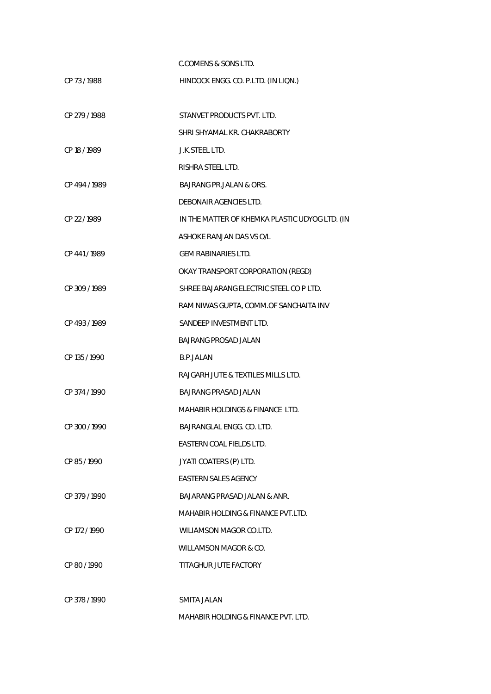C.COMENS & SONS LTD.

| CP 73/1988    | HINDOCK ENGG. CO. P.LTD. (IN LIQN.)            |
|---------------|------------------------------------------------|
| CP 279 / 1988 | STANVET PRODUCTS PVT. LTD.                     |
|               | SHRI SHYAMAL KR. CHAKRABORTY                   |
| CP 18 / 1989  | J.K.STEEL LTD.                                 |
|               | RISHRA STEEL LTD.                              |
| CP 494/1989   | <b>BAJRANG PR.JALAN &amp; ORS.</b>             |
|               | DEBONAIR AGENCIES LTD.                         |
| CP 22 / 1989  | IN THE MATTER OF KHEMKA PLASTIC UDYOG LTD. (IN |
|               | ASHOKE RANJAN DAS VS O/L                       |
| CP 441/1989   | <b>GEM RABINARIES LTD.</b>                     |
|               | OKAY TRANSPORT CORPORATION (REGD)              |
| CP 309 / 1989 | SHREE BAJARANG ELECTRIC STEEL CO P LTD.        |
|               | RAM NIWAS GUPTA, COMM.OF SANCHAITA INV         |
| CP 493/1989   | SANDEEP INVESTMENT LTD.                        |
|               | <b>BAJRANG PROSAD JALAN</b>                    |
| CP 135 / 1990 | <b>B.P.JALAN</b>                               |
|               | RAJGARH JUTE & TEXTILES MILLS LTD.             |
| CP 374 / 1990 | BAJRANG PRASAD JALAN                           |
|               | <b>MAHABIR HOLDINGS &amp; FINANCE LTD.</b>     |
| CP 300 / 1990 | BAJRANGLAL ENGG. CO. LTD.                      |
|               | EASTERN COAL FIELDS LTD.                       |
| CP 85/1990    | JYATI COATERS (P) LTD.                         |
|               | EASTERN SALES AGENCY                           |
| CP 379/1990   | <b>BAJARANG PRASAD JALAN &amp; ANR.</b>        |
|               | MAHABIR HOLDING & FINANCE PVT.LTD.             |
| CP 172/1990   | WILIAMSON MAGOR CO.LTD.                        |
|               | WILLAMSON MAGOR & CO.                          |
| CP 80/1990    | TITAGHUR JUTE FACTORY                          |
| CP 378 / 1990 | SMITA JALAN                                    |
|               | <b>MAHABIR HOLDING &amp; FINANCE PVT. LTD.</b> |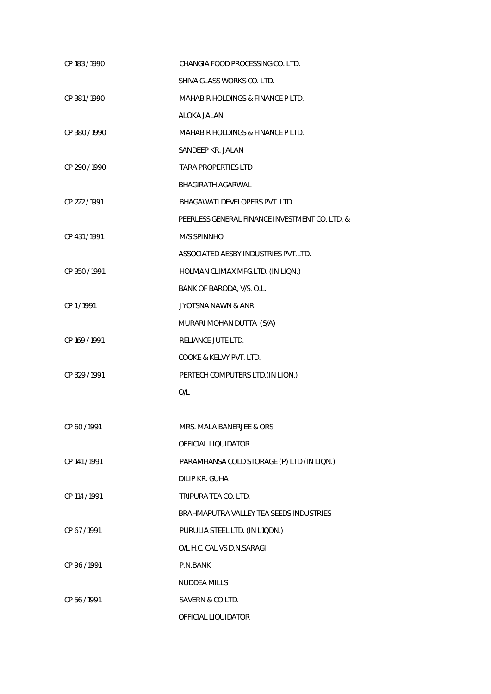| CP 183 / 1990 | CHANGIA FOOD PROCESSING CO. LTD.               |
|---------------|------------------------------------------------|
|               | SHIVA GLASS WORKS CO. LTD.                     |
| CP 381/1990   | <b>MAHABIR HOLDINGS &amp; FINANCE P LTD.</b>   |
|               | ALOKA JALAN                                    |
| CP 380/1990   | <b>MAHABIR HOLDINGS &amp; FINANCE P LTD.</b>   |
|               | SANDEEP KR. JALAN                              |
| CP 290 / 1990 | <b>TARA PROPERTIES LTD</b>                     |
|               | BHAGIRATH AGARWAL                              |
| CP 222 / 1991 | BHAGAWATI DEVELOPERS PVT. LTD.                 |
|               | PEERLESS GENERAL FINANCE INVESTMENT CO. LTD. & |
| CP 431 / 1991 | M/S SPINNHO                                    |
|               | ASSOCIATED AESBY INDUSTRIES PVT.LTD.           |
| CP 350 / 1991 | HOLMAN CLIMAX MFG.LTD. (IN LIQN.)              |
|               | BANK OF BARODA, V/S. O.L.                      |
| CP1/1991      | <b>JYOTSNA NAWN &amp; ANR.</b>                 |
|               | MURARI MOHAN DUTTA (S/A)                       |
| CP 169 / 1991 | RELIANCE JUTE LTD.                             |
|               | COOKE & KELVY PVT. LTD.                        |
| CP 329 / 1991 | PERTECH COMPUTERS LTD. (IN LIQN.)              |
|               | O/L                                            |
|               |                                                |
| CP 60 / 1991  | MRS. MALA BANERJEE & ORS                       |
|               | OFFICIAL LIQUIDATOR                            |
| CP 141/1991   | PARAMHANSA COLD STORAGE (P) LTD (IN LIQN.)     |
|               | DILIP KR. GUHA                                 |
| CP 114 / 1991 | TRIPURA TEA CO. LTD.                           |
|               | BRAHMAPUTRA VALLEY TEA SEEDS INDUSTRIES        |
| CP 67/1991    | PURULIA STEEL LTD. (IN L1QDN.)                 |
|               | O/L H.C. CAL VS D.N.SARAGI                     |
| CP 96/1991    | P.N.BANK                                       |
|               | <b>NUDDEA MILLS</b>                            |
| CP 56 / 1991  | SAVERN & CO.LTD.                               |
|               | OFFICIAL LIQUIDATOR                            |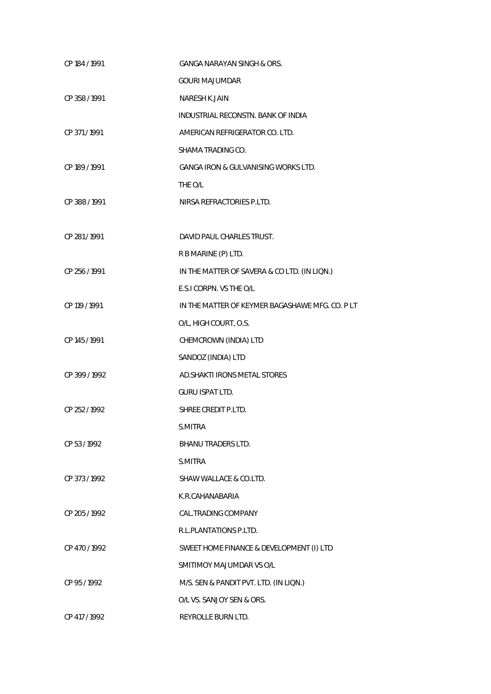| CP 184 / 1991 | <b>GANGA NARAYAN SINGH &amp; ORS.</b>          |
|---------------|------------------------------------------------|
|               | <b>GOURI MAJUMDAR</b>                          |
| CP 358 / 1991 | <b>NARESH K.JAIN</b>                           |
|               | INDUSTRIAL RECONSTN. BANK OF INDIA             |
| CP 371 / 1991 | AMERICAN REFRIGERATOR CO. LTD.                 |
|               | SHAMA TRADING CO.                              |
| CP 189 / 1991 | <b>GANGA IRON &amp; GULVANISING WORKS LTD.</b> |
|               | THE O/L                                        |
| CP 388 / 1991 | NIRSA REFRACTORIES P.LTD.                      |
|               |                                                |
| CP 281/1991   | DAVID PAUL CHARLES TRUST.                      |
|               | R B MARINE (P) LTD.                            |
| CP 256 / 1991 | IN THE MATTER OF SAVERA & CO LTD. (IN LIQN.)   |
|               | E.S.I CORPN. VS THE O/L                        |
| CP 119 / 1991 | IN THE MATTER OF KEYMER BAGASHAWE MFG. CO. PLT |
|               | O/L, HIGH COURT, O.S.                          |
| CP 145 / 1991 | CHEMCROWN (INDIA) LTD                          |
|               | SANDOZ (INDIA) LTD                             |
| CP 399 / 1992 | AD. SHAKTI IRONS METAL STORES                  |
|               | <b>GURU ISPAT LTD.</b>                         |
| CP 252 / 1992 | SHREE CREDIT P.LTD.                            |
|               | S.MITRA                                        |
| CP 53/1992    | <b>BHANU TRADERS LTD.</b>                      |
|               | S.MITRA                                        |
| CP 373 / 1992 | SHAW WALLACE & CO.LTD.                         |
|               | K.R.CAHANABARIA                                |
| CP 205 / 1992 | CAL.TRADING COMPANY                            |
|               | R.L.PLANTATIONS P.LTD.                         |
| CP 470 / 1992 | SWEET HOME FINANCE & DEVELOPMENT (I) LTD       |
|               | SMITIMOY MAJUMDAR VS O/L                       |
| CP 95 / 1992  | M/S. SEN & PANDIT PVT. LTD. (IN LIQN.)         |
|               | O/L VS. SANJOY SEN & ORS.                      |
| CP 417 / 1992 | REYROLLE BURN LTD.                             |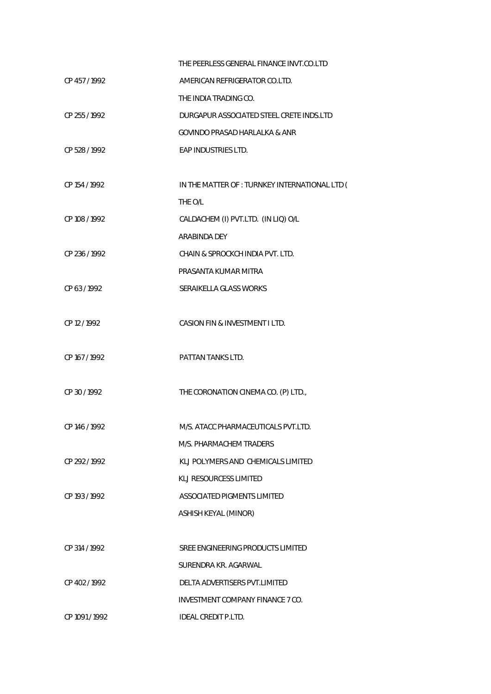|                | THE PEERLESS GENERAL FINANCE INVT.CO.LTD       |
|----------------|------------------------------------------------|
| CP 457/1992    | AMERICAN REFRIGERATOR CO.LTD.                  |
|                | THE INDIA TRADING CO.                          |
| CP 255 / 1992  | DURGAPUR ASSOCIATED STEEL CRETE INDS.LTD       |
|                | GOVINDO PRASAD HARLALKA & ANR                  |
| CP 528 / 1992  | EAP INDUSTRIES LTD.                            |
|                |                                                |
| CP 154 / 1992  | IN THE MATTER OF : TURNKEY INTERNATIONAL LTD ( |
|                | THE O/L                                        |
| CP 108 / 1992  | CALDACHEM (I) PVT.LTD. (IN LIQ) O/L            |
|                | ARABINDA DEY                                   |
| CP 236 / 1992  | CHAIN & SPROCKCH INDIA PVT. LTD.               |
|                | PRASANTA KUMAR MITRA                           |
| CP 63/1992     | SERAIKELLA GLASS WORKS                         |
|                |                                                |
| CP 12/1992     | CASION FIN & INVESTMENT I LTD.                 |
|                |                                                |
| CP 167 / 1992  | PATTAN TANKS LTD.                              |
|                |                                                |
| CP 30 / 1992   | THE CORONATION CINEMA CO. (P) LTD.,            |
|                |                                                |
| CP 146 / 1992  | M/S. ATACC PHARMACEUTICALS PVT.LTD.            |
|                | M/S. PHARMACHEM TRADERS                        |
| CP 292 / 1992  | KLJ POLYMERS AND CHEMICALS LIMITED             |
|                | KLJ RESOURCESS LIMITED                         |
| CP 193 / 1992  | ASSOCIATED PIGMENTS LIMITED                    |
|                | ASHISH KEYAL (MINOR)                           |
|                |                                                |
| CP 314 / 1992  | SREE ENGINEERING PRODUCTS LIMITED              |
|                | SURENDRA KR. AGARWAL                           |
| CP 402/1992    | DELTA ADVERTISERS PVT.LIMITED                  |
|                | INVESTMENT COMPANY FINANCE 7 CO.               |
| CP 1091 / 1992 | <b>IDEAL CREDIT P.LTD.</b>                     |
|                |                                                |
|                |                                                |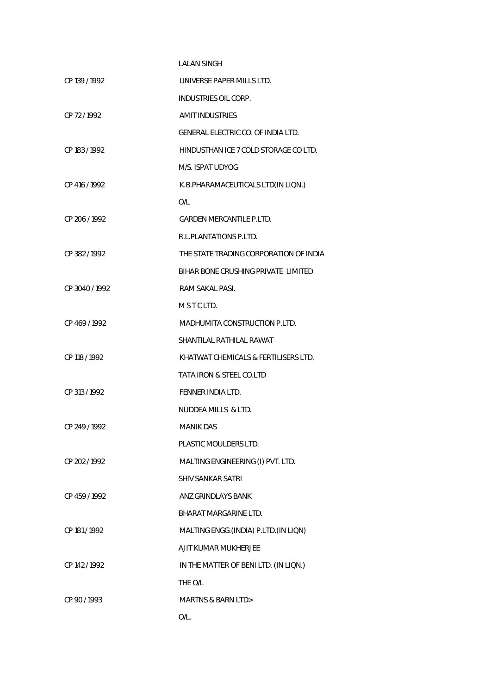|               | <b>LALAN SINGH</b>                     |
|---------------|----------------------------------------|
| CP 139 / 1992 | UNIVERSE PAPER MILLS LTD.              |
|               | <b>INDUSTRIES OIL CORP.</b>            |
| CP 72/1992    | <b>AMIT INDUSTRIES</b>                 |
|               | GENERAL ELECTRIC CO. OF INDIA LTD.     |
| CP 183/1992   | HINDUSTHAN ICE 7 COLD STORAGE CO LTD.  |
|               | M/S. ISPAT UDYOG                       |
| CP 416 / 1992 | K.B.PHARAMACEUTICALS LTD(IN LION.)     |
|               | O/L                                    |
| CP 206/1992   | <b>GARDEN MERCANTILE P.LTD.</b>        |
|               | R.L.PLANTATIONS P.LTD.                 |
| CP 382/1992   | THE STATE TRADING CORPORATION OF INDIA |
|               | BIHAR BONE CRUSHING PRIVATE LIMITED    |
| CP 3040/1992  | RAM SAKAL PASI.                        |
|               | MSTCLTD.                               |
| CP 469/1992   | MADHUMITA CONSTRUCTION P.LTD.          |
|               | SHANTILAL RATHILAL RAWAT               |
| CP 118 / 1992 | KHATWAT CHEMICALS & FERTILISERS LTD.   |
|               | TATA IRON & STEEL CO.LTD               |
| CP 313 / 1992 | FENNER INDIA LTD.                      |
|               | NUDDEA MILLS & LTD.                    |
| CP 249/1992   | <b>MANIK DAS</b>                       |
|               | PLASTIC MOULDERS LTD.                  |
| CP 202 / 1992 | MALTING ENGINEERING (I) PVT. LTD.      |
|               | <b>SHIV SANKAR SATRI</b>               |
| CP 459 / 1992 | ANZ GRINDLAYS BANK                     |
|               | <b>BHARAT MARGARINE LTD.</b>           |
| CP 181 / 1992 | MALTING ENGG. (INDIA) P.LTD. (IN LIQN) |
|               | AJIT KUMAR MUKHERJEE                   |
| CP 142 / 1992 | IN THE MATTER OF BENI LTD. (IN LIQN.)  |
|               | THE O/L                                |
| CP 90 / 1993  | <b>MARTNS &amp; BARN LTD&gt;</b>       |
|               | $O/L$ .                                |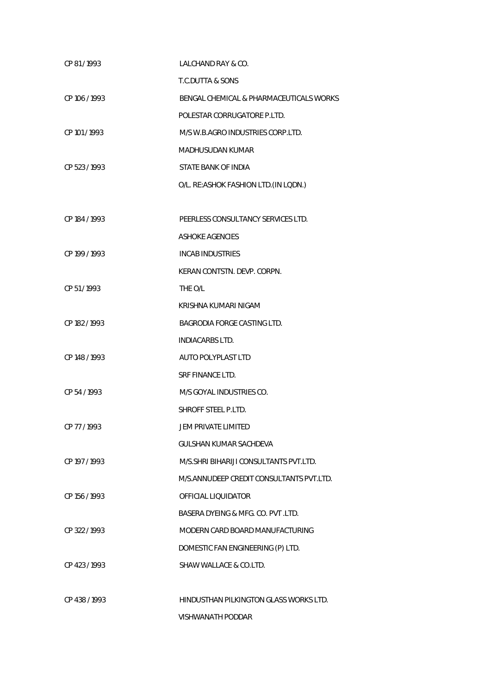| CP 81/1993    | LALCHAND RAY & CO.                       |
|---------------|------------------------------------------|
|               | <b>T.C.DUTTA &amp; SONS</b>              |
| CP 106/1993   | BENGAL CHEMICAL & PHARMACEUTICALS WORKS  |
|               | POLESTAR CORRUGATORE P.LTD.              |
| CP 101 / 1993 | M/S W.B.AGRO INDUSTRIES CORP.LTD.        |
|               | <b>MADHUSUDAN KUMAR</b>                  |
| CP 523 / 1993 | STATE BANK OF INDIA                      |
|               | O/L. RE:ASHOK FASHION LTD.(IN LODN.)     |
|               |                                          |
| CP 184 / 1993 | PEERLESS CONSULTANCY SERVICES LTD.       |
|               | <b>ASHOKE AGENCIES</b>                   |
| CP 199 / 1993 | <b>INCAB INDUSTRIES</b>                  |
|               | KERAN CONTSTN. DEVP. CORPN.              |
| CP 51/1993    | THE O/L                                  |
|               | KRISHNA KUMARI NIGAM                     |
| CP 182 / 1993 | <b>BAGRODIA FORGE CASTING LTD.</b>       |
|               | <b>INDIACARBS LTD.</b>                   |
| CP 148 / 1993 | AUTO POLYPLAST LTD                       |
|               | <b>SRF FINANCE LTD.</b>                  |
| CP 54 / 1993  | M/S GOYAL INDUSTRIES CO.                 |
|               | SHROFF STEEL P.LTD.                      |
| CP 77 / 1993  | JEM PRIVATE LIMITED                      |
|               | GULSHAN KUMAR SACHDEVA                   |
| CP 197 / 1993 | M/S. SHRI BIHARIJI CONSULTANTS PVT.LTD.  |
|               | M/S.ANNUDEEP CREDIT CONSULTANTS PVT.LTD. |
| CP 156 / 1993 | OFFICIAL LIQUIDATOR                      |
|               | BASERA DYEING & MFG. CO. PVT. LTD.       |
| CP 322 / 1993 | MODERN CARD BOARD MANUFACTURING          |
|               | DOMESTIC FAN ENGINEERING (P) LTD.        |
| CP 423 / 1993 | SHAW WALLACE & CO.LTD.                   |
|               |                                          |
| CP 438 / 1993 | HINDUSTHAN PILKINGTON GLASS WORKS LTD.   |
|               | <b>VISHWANATH PODDAR</b>                 |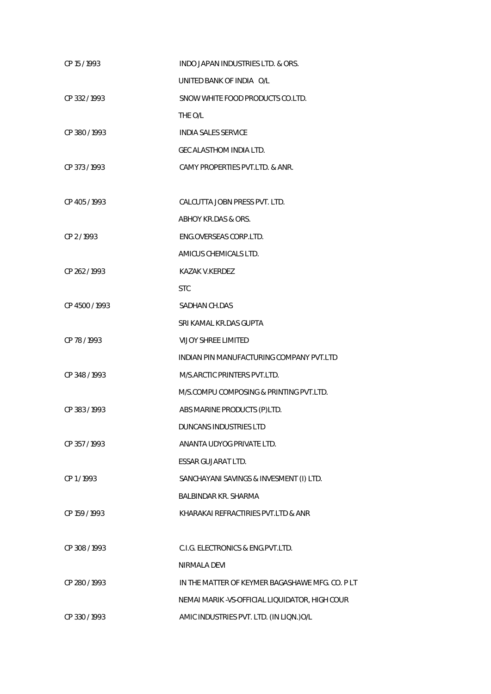| CP 15 / 1993   | INDO JAPAN INDUSTRIES LTD. & ORS.               |
|----------------|-------------------------------------------------|
|                | UNITED BANK OF INDIA O/L                        |
| CP 332/1993    | SNOW WHITE FOOD PRODUCTS CO.LTD.                |
|                | THE O/L                                         |
| CP 380/1993    | <b>INDIA SALES SERVICE</b>                      |
|                | GEC ALASTHOM INDIA LTD.                         |
| CP 373/1993    | CAMY PROPERTIES PVT.LTD. & ANR.                 |
|                |                                                 |
| CP 405/1993    | CALCUTTA JOBN PRESS PVT. LTD.                   |
|                | ABHOY KR.DAS & ORS.                             |
| CP 2/1993      | ENG.OVERSEAS CORP.LTD.                          |
|                | AMICUS CHEMICALS LTD.                           |
| CP 262/1993    | KAZAK V.KERDEZ                                  |
|                | <b>STC</b>                                      |
| CP 4500 / 1993 | SADHAN CH.DAS                                   |
|                | SRI KAMAL KR.DAS GUPTA                          |
| CP 78 / 1993   | <b>VIJOY SHREE LIMITED</b>                      |
|                | INDIAN PIN MANUFACTURING COMPANY PVT.LTD        |
| CP 348 / 1993  | M/S.ARCTIC PRINTERS PVT.LTD.                    |
|                | M/S.COMPU COMPOSING & PRINTING PVT.LTD.         |
| CP 383/1993    | ABS MARINE PRODUCTS (P)LTD.                     |
|                | <b>DUNCANS INDUSTRIES LTD</b>                   |
| CP 357/1993    | ANANTA UDYOG PRIVATE LTD.                       |
|                | <b>ESSAR GUJARAT LTD.</b>                       |
| CP 1/1993      | SANCHAYANI SAVINGS & INVESMENT (I) LTD.         |
|                | <b>BALBINDAR KR. SHARMA</b>                     |
| CP 159 / 1993  | KHARAKAI REFRACTIRIES PVT.LTD & ANR             |
|                |                                                 |
| CP 308 / 1993  | C.I.G. ELECTRONICS & ENG.PVT.LTD.               |
|                | NIRMALA DEVI                                    |
| CP 280 / 1993  | IN THE MATTER OF KEYMER BAGASHAWE MFG. CO. PLT  |
|                | NEMAI MARIK - VS-OFFICIAL LIQUIDATOR, HIGH COUR |
| CP 330/1993    | AMIC INDUSTRIES PVT. LTD. (IN LIQN.) O/L        |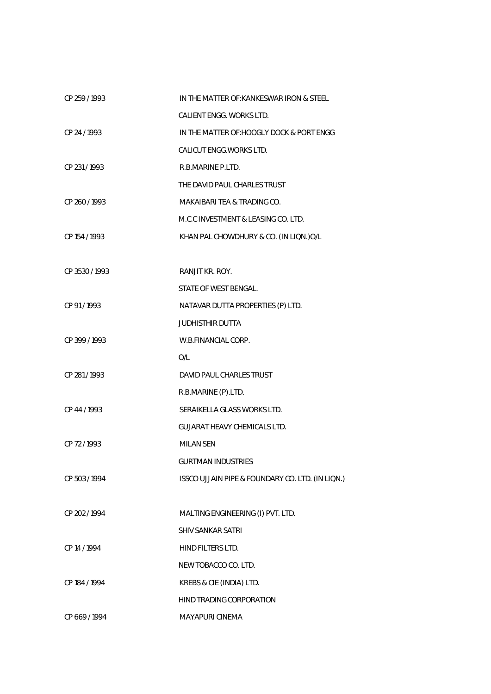| CP 259 / 1993 | IN THE MATTER OF: KANKESWAR IRON & STEEL         |
|---------------|--------------------------------------------------|
|               | CALIENT ENGG. WORKS LTD.                         |
| CP 24 / 1993  | IN THE MATTER OF: HOOGLY DOCK & PORT ENGG        |
|               | CALICUT ENGG. WORKS LTD.                         |
| CP 231/1993   | R.B.MARINE P.LTD.                                |
|               | THE DAVID PAUL CHARLES TRUST                     |
| CP 260/1993   | MAKAIBARI TEA & TRADING CO.                      |
|               | M.C.C INVESTMENT & LEASING CO. LTD.              |
| CP 154 / 1993 | KHAN PAL CHOWDHURY & CO. (IN LIQN.) O/L          |
|               |                                                  |
| CP 3530/1993  | RANJIT KR. ROY.                                  |
|               | STATE OF WEST BENGAL.                            |
| CP 91/1993    | NATAVAR DUTTA PROPERTIES (P) LTD.                |
|               | <b>JUDHISTHIR DUTTA</b>                          |
| CP 399 / 1993 | W.B.FINANCIAL CORP.                              |
|               | O/L                                              |
| CP 281/1993   | DAVID PAUL CHARLES TRUST                         |
|               | R.B.MARINE (P).LTD.                              |
| CP 44 / 1993  | SERAIKELLA GLASS WORKS LTD.                      |
|               | <b>GUJARAT HEAVY CHEMICALS LTD.</b>              |
| CP 72/1993    | MILAN SEN                                        |
|               | <b>GURTMAN INDUSTRIES</b>                        |
| CP 503 / 1994 | ISSCO UJJAIN PIPE & FOUNDARY CO. LTD. (IN LIQN.) |
|               |                                                  |
| CP 202 / 1994 | MALTING ENGINEERING (I) PVT. LTD.                |
|               | <b>SHIV SANKAR SATRI</b>                         |
| CP 14 / 1994  | HIND FILTERS LTD.                                |
|               | NEW TOBACCO CO. LTD.                             |
| CP 184 / 1994 | KREBS & CIE (INDIA) LTD.                         |
|               | HIND TRADING CORPORATION                         |
| CP 669 / 1994 | MAYAPURI CINEMA                                  |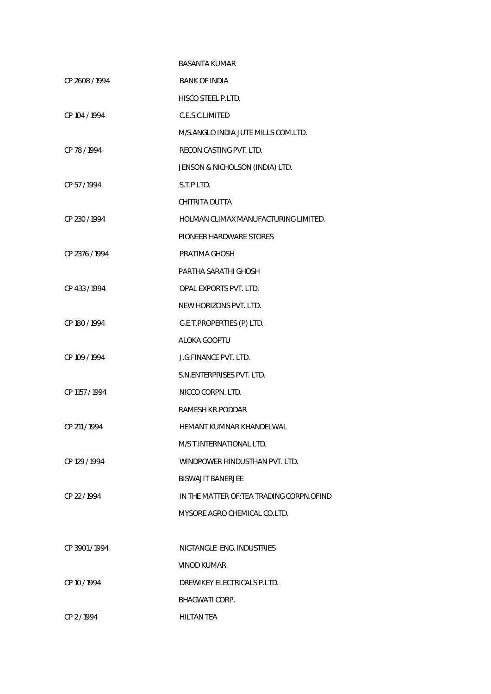|                | <b>BASANTA KUMAR</b>                       |
|----------------|--------------------------------------------|
| CP 2608 / 1994 | <b>BANK OF INDIA</b>                       |
|                | <b>HISCO STEEL P.LTD.</b>                  |
| CP 104 / 1994  | C.E.S.C.LIMITED                            |
|                | M/S.ANGLO INDIA JUTE MILLS COM.LTD.        |
| CP 78 / 1994   | RECON CASTING PVT. LTD.                    |
|                | JENSON & NICHOLSON (INDIA) LTD.            |
| CP 57/1994     | S.T.P LTD.                                 |
|                | CHITRITA DUTTA                             |
| CP 230 / 1994  | HOLMAN CLIMAX MANUFACTURING LIMITED.       |
|                | PIONEER HARDWARE STORES                    |
| CP 2376 / 1994 | PRATIMA GHOSH                              |
|                | PARTHA SARATHI GHOSH                       |
| CP 433 / 1994  | OPAL EXPORTS PVT. LTD.                     |
|                | NEW HORIZONS PVT. LTD.                     |
| CP 180 / 1994  | G.E.T.PROPERTIES (P) LTD.                  |
|                | ALOKA GOOPTU                               |
| CP 109 / 1994  | <b>J.G.FINANCE PVT. LTD.</b>               |
|                | S.N.ENTERPRISES PVT. LTD.                  |
| CP 1157 / 1994 | NICCO CORPN. LTD.                          |
|                | RAMESH KR.PODDAR                           |
| CP 211 / 1994  | HEMANT KUMNAR KHANDELWAL                   |
|                | M/S T. INTERNATIONAL LTD.                  |
| CP 129 / 1994  | WINDPOWER HINDUSTHAN PVT. LTD.             |
|                | <b>BISWAJIT BANERJEE</b>                   |
| CP 22 / 1994   | IN THE MATTER OF: TEA TRADING CORPN. OFIND |
|                | MYSORE AGRO CHEMICAL CO.LTD.               |
|                |                                            |
| CP 3901/1994   | NIGTANGLE ENG. INDUSTRIES                  |
|                | VINOD KUMAR                                |
| CP 10 / 1994   | DREWIKEY ELECTRICALS P.LTD.                |
|                | BHAGWATI CORP.                             |
| CP 2/1994      | <b>HILTAN TEA</b>                          |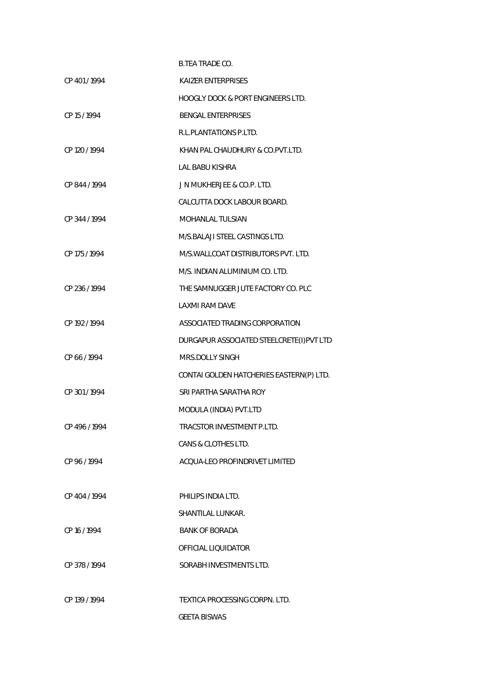|               | <b>B.TEA TRADE CO.</b>                       |
|---------------|----------------------------------------------|
| CP 401/1994   | <b>KAIZER ENTERPRISES</b>                    |
|               | <b>HOOGLY DOCK &amp; PORT ENGINEERS LTD.</b> |
| CP 15 / 1994  | <b>BENGAL ENTERPRISES</b>                    |
|               | R.L.PLANTATIONS P.LTD.                       |
| CP 120 / 1994 | KHAN PAL CHAUDHURY & CO.PVT.LTD.             |
|               | LAL BABU KISHRA                              |
| CP 844 / 1994 | J N MUKHERJEE & CO.P. LTD.                   |
|               | CALCUTTA DOCK LABOUR BOARD.                  |
| CP 344 / 1994 | <b>MOHANLAL TULSIAN</b>                      |
|               | M/S.BALAJI STEEL CASTINGS LTD.               |
| CP 175 / 1994 | M/S. WALLCOAT DISTRIBUTORS PVT. LTD.         |
|               | M/S. INDIAN ALUMINIUM CO. LTD.               |
| CP 236 / 1994 | THE SAMNUGGER JUTE FACTORY CO. PLC           |
|               | LAXMI RAM DAVE                               |
| CP 192 / 1994 | ASSOCIATED TRADING CORPORATION               |
|               | DURGAPUR ASSOCIATED STEELCRETE(I)PVT LTD     |
| CP 66/1994    | MRS.DOLLY SINGH                              |
|               | CONTAI GOLDEN HATCHERIES EASTERN(P) LTD.     |
| CP 301/1994   | SRI PARTHA SARATHA ROY                       |
|               | MODULA (INDIA) PVT.LTD                       |
| CP 496/1994   | TRACSTOR INVESTMENT P.LTD.                   |
|               | CANS & CLOTHES LTD.                          |
| CP 96/1994    | ACOUA-LEO PROFINDRIVET LIMITED               |
|               |                                              |
| CP 404 / 1994 | PHILIPS INDIA LTD.                           |
|               | SHANTILAL LUNKAR.                            |
| CP 16 / 1994  | <b>BANK OF BORADA</b>                        |
|               | OFFICIAL LIQUIDATOR                          |
| CP 378/1994   | SORABH INVESTMENTS LTD.                      |
|               |                                              |
| CP 139 / 1994 | TEXTICA PROCESSING CORPN. LTD.               |
|               | <b>GEETA BISWAS</b>                          |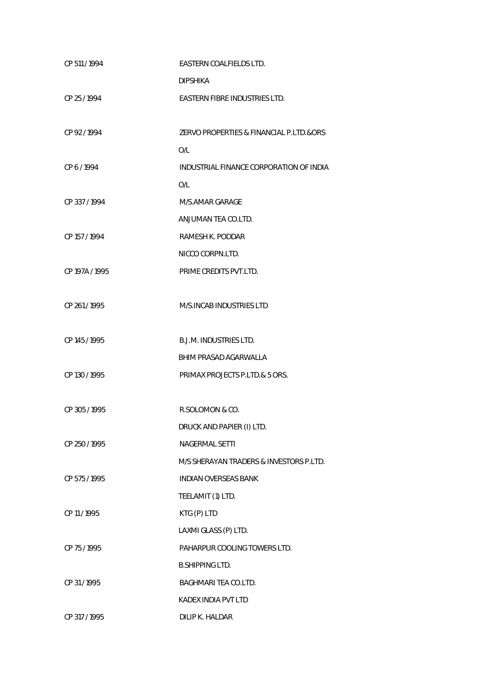| CP 511 / 1994  | EASTERN COALFIELDS LTD.                 |
|----------------|-----------------------------------------|
|                | <b>DIPSHIKA</b>                         |
| CP 25 / 1994   | EASTERN FIBRE INDUSTRIES LTD.           |
|                |                                         |
| CP 92/1994     | ZERVO PROPERTIES & FINANCIAL P.LTD.&ORS |
|                | O/L                                     |
| CP 6/1994      | INDUSTRIAL FINANCE CORPORATION OF INDIA |
|                | O/L                                     |
| CP 337/1994    | M/S.AMAR GARAGE                         |
|                | ANJUMAN TEA CO.LTD.                     |
| CP 157 / 1994  | RAMESH K. PODDAR                        |
|                | NICCO CORPN.LTD.                        |
| CP 197A / 1995 | PRIME CREDITS PVT.LTD.                  |
|                |                                         |
| CP 261/1995    | M/S.INCAB INDUSTRIES LTD                |
|                |                                         |
| CP 145 / 1995  | <b>B.J.M. INDUSTRIES LTD.</b>           |
|                | BHIM PRASAD AGARWALLA                   |
| CP 130 / 1995  | PRIMAX PROJECTS P.LTD.& 5 ORS.          |
|                |                                         |
| CP 305 / 1995  | R.SOLOMON & CO.                         |
|                | DRUCK AND PAPIER (I) LTD.               |
| CP 250 / 1995  | <b>NAGERMAL SETTI</b>                   |
|                | M/S SHERAYAN TRADERS & INVESTORS P.LTD. |
| CP 575 / 1995  | <b>INDIAN OVERSEAS BANK</b>             |
|                | TEELAMIT (1) LTD.                       |
| CP 11 / 1995   | KTG (P) LTD                             |
|                | LAXMI GLASS (P) LTD.                    |
| CP 75 / 1995   | PAHARPUR COOLING TOWERS LTD.            |
|                | <b>B.SHIPPING LTD.</b>                  |
| CP 31/1995     | BAGHMARI TEA CO.LTD.                    |
|                | KADEX INDIA PVT LTD                     |
| CP 317 / 1995  | DILIP K. HALDAR                         |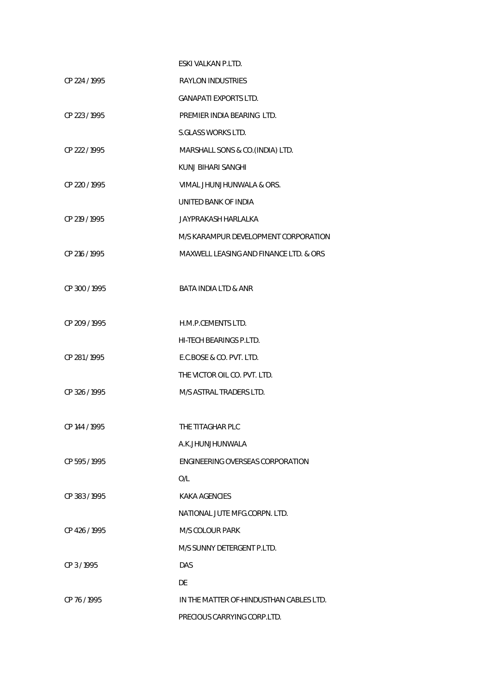|               | ESKI VALKAN P.LTD.                      |
|---------------|-----------------------------------------|
| CP 224 / 1995 | <b>RAYLON INDUSTRIES</b>                |
|               | <b>GANAPATI EXPORTS LTD.</b>            |
| CP 223 / 1995 | PREMIER INDIA BEARING LTD.              |
|               | S.GLASS WORKS LTD.                      |
| CP 222 / 1995 | MARSHALL SONS & CO. (INDIA) LTD.        |
|               | KUNJ BIHARI SANGHI                      |
| CP 220 / 1995 | VIMAL JHUNJHUNWALA & ORS.               |
|               | UNITED BANK OF INDIA                    |
| CP 219 / 1995 | <b>JAYPRAKASH HARLALKA</b>              |
|               | M/S KARAMPUR DEVELOPMENT CORPORATION    |
| CP 216 / 1995 | MAXWELL LEASING AND FINANCE LTD. & ORS  |
|               |                                         |
| CP 300/1995   | <b>BATA INDIA LTD &amp; ANR</b>         |
|               |                                         |
| CP 209 / 1995 | H.M.P.CEMENTS LTD.                      |
|               | HI-TECH BEARINGS P.LTD.                 |
| CP 281/1995   | E.C.BOSE & CO. PVT. LTD.                |
|               | THE VICTOR OIL CO. PVT. LTD.            |
| CP 326 / 1995 | M/S ASTRAL TRADERS LTD.                 |
|               |                                         |
| CP 144 / 1995 | THE TITAGHAR PLC                        |
|               | A.K.JHUNJHUNWALA                        |
| CP 595/1995   | ENGINEERING OVERSEAS CORPORATION        |
|               | O/L                                     |
| CP 383/1995   | KAKA AGENCIES                           |
|               | NATIONAL JUTE MFG.CORPN. LTD.           |
| CP 426/1995   | <b>M/S COLOUR PARK</b>                  |
|               | M/S SUNNY DETERGENT P.LTD.              |
| CP 3/1995     | <b>DAS</b>                              |
|               | DE                                      |
| CP 76 / 1995  | IN THE MATTER OF-HINDUSTHAN CABLES LTD. |
|               | PRECIOUS CARRYING CORP.LTD.             |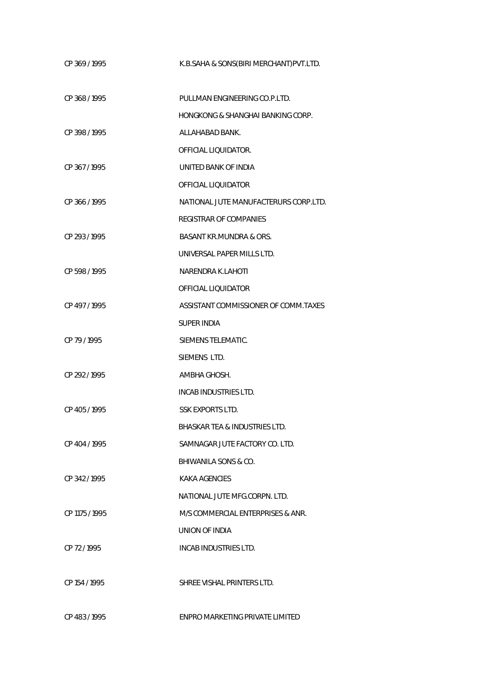| CP 369/1995    | K.B.SAHA & SONS(BIRI MERCHANT) PVT.LTD. |
|----------------|-----------------------------------------|
| CP 368 / 1995  | PULLMAN ENGINEERING CO.P.LTD.           |
|                | HONGKONG & SHANGHAI BANKING CORP.       |
| CP 398 / 1995  | ALLAHABAD BANK.                         |
|                | OFFICIAL LIQUIDATOR.                    |
| CP 367/1995    | UNITED BANK OF INDIA                    |
|                | OFFICIAL LIQUIDATOR                     |
| CP 366 / 1995  | NATIONAL JUTE MANUFACTERURS CORP.LTD.   |
|                | <b>REGISTRAR OF COMPANIES</b>           |
| CP 293 / 1995  | <b>BASANT KR.MUNDRA &amp; ORS.</b>      |
|                | UNIVERSAL PAPER MILLS LTD.              |
| CP 598 / 1995  | NARENDRA K.LAHOTI                       |
|                | OFFICIAL LIOUIDATOR                     |
| CP 497/1995    | ASSISTANT COMMISSIONER OF COMM.TAXES    |
|                | SUPER INDIA                             |
| CP 79 / 1995   | SIEMENS TELEMATIC.                      |
|                | SIEMENS LTD.                            |
| CP 292 / 1995  | AMBHA GHOSH.                            |
|                | INCAB INDUSTRIES LTD.                   |
| CP 405/1995    | <b>SSK EXPORTS LTD.</b>                 |
|                | BHASKAR TEA & INDUSTRIES LTD.           |
| CP 404 / 1995  | SAMNAGAR JUTE FACTORY CO. LTD.          |
|                | BHIWANILA SONS & CO.                    |
| CP 342/1995    | KAKA AGENCIES                           |
|                | NATIONAL JUTE MFG.CORPN. LTD.           |
| CP 1175 / 1995 | M/S COMMERCIAL ENTERPRISES & ANR.       |
|                | UNION OF INDIA                          |
| CP 72/1995     | INCAB INDUSTRIES LTD.                   |
| CP 154 / 1995  | SHREE VISHAL PRINTERS LTD.              |
| CP 483/1995    | ENPRO MARKETING PRIVATE LIMITED         |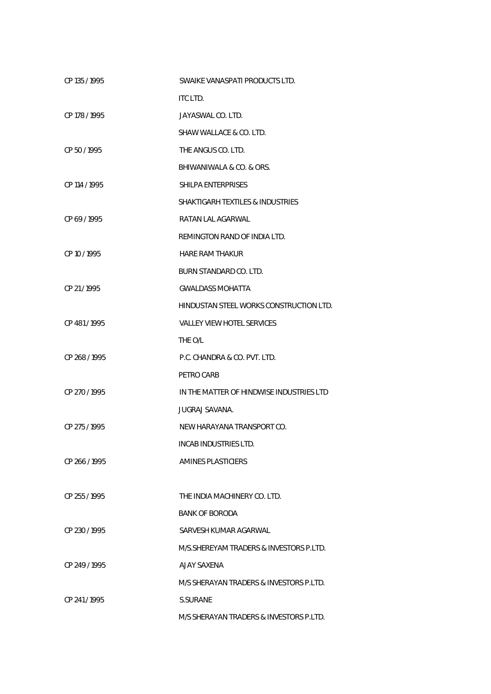| CP 135 / 1995 | SWAIKE VANASPATI PRODUCTS LTD.              |
|---------------|---------------------------------------------|
|               | ITC LTD.                                    |
| CP 178 / 1995 | JAYASWAL CO. LTD.                           |
|               | SHAW WALLACE & CO. LTD.                     |
| CP 50/1995    | THE ANGUS CO. LTD.                          |
|               | BHIWANIWALA & CO. & ORS.                    |
| CP 114 / 1995 | SHILPA ENTERPRISES                          |
|               | <b>SHAKTIGARH TEXTILES &amp; INDUSTRIES</b> |
| CP 69/1995    | RATAN LAL AGARWAL                           |
|               | REMINGTON RAND OF INDIA LTD.                |
| CP 10 / 1995  | <b>HARE RAM THAKUR</b>                      |
|               | BURN STANDARD CO. LTD.                      |
| CP 21/1995    | <b>GWALDASS MOHATTA</b>                     |
|               | HINDUSTAN STEEL WORKS CONSTRUCTION LTD.     |
| CP 481/1995   | <b>VALLEY VIEW HOTEL SERVICES</b>           |
|               | THE O/L                                     |
| CP 268 / 1995 | P.C. CHANDRA & CO. PVT. LTD.                |
|               | PETRO CARB                                  |
| CP 270 / 1995 | IN THE MATTER OF HINDWISE INDUSTRIES LTD    |
|               | JUGRAJ SAVANA.                              |
| CP 275 / 1995 | NEW HARAYANA TRANSPORT CO.                  |
|               | INCAB INDUSTRIES LTD.                       |
| CP 266 / 1995 | AMINES PLASTICIERS                          |
|               |                                             |
| CP 255 / 1995 | THE INDIA MACHINERY CO. LTD.                |
|               | <b>BANK OF BORODA</b>                       |
| CP 230 / 1995 | SARVESH KUMAR AGARWAL                       |
|               | M/S. SHEREYAM TRADERS & INVESTORS P.LTD.    |
| CP 249 / 1995 | <b>AJAY SAXENA</b>                          |
|               | M/S SHERAYAN TRADERS & INVESTORS P.LTD.     |
| CP 241/1995   | S.SURANE                                    |
|               | M/S SHERAYAN TRADERS & INVESTORS P.LTD.     |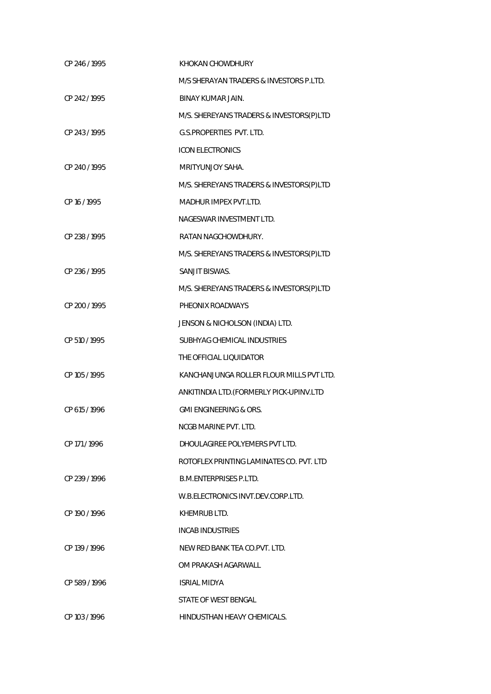| CP 246 / 1995 | KHOKAN CHOWDHURY                         |
|---------------|------------------------------------------|
|               | M/S SHERAYAN TRADERS & INVESTORS P.LTD.  |
| CP 242 / 1995 | <b>BINAY KUMAR JAIN.</b>                 |
|               | M/S. SHEREYANS TRADERS & INVESTORS(P)LTD |
| CP 243 / 1995 | G.S.PROPERTIES PVT. LTD.                 |
|               | <b>ICON ELECTRONICS</b>                  |
| CP 240 / 1995 | MRITYUNJOY SAHA.                         |
|               | M/S. SHEREYANS TRADERS & INVESTORS(P)LTD |
| CP 16 / 1995  | MADHUR IMPEX PVT.LTD.                    |
|               | NAGESWAR INVESTMENT LTD.                 |
| CP 238 / 1995 | RATAN NAGCHOWDHURY.                      |
|               | M/S. SHEREYANS TRADERS & INVESTORS(P)LTD |
| CP 236 / 1995 | SANJIT BISWAS.                           |
|               | M/S. SHEREYANS TRADERS & INVESTORS(P)LTD |
| CP 200 / 1995 | PHEONIX ROADWAYS                         |
|               | JENSON & NICHOLSON (INDIA) LTD.          |
| CP 510 / 1995 | SUBHYAG CHEMICAL INDUSTRIES              |
|               | THE OFFICIAL LIQUIDATOR                  |
| CP 105 / 1995 | KANCHANJUNGA ROLLER FLOUR MILLS PVT LTD. |
|               | ANKITINDIA LTD. (FORMERLY PICK-UPINV.LTD |
| CP 615 / 1996 | <b>GMI ENGINEERING &amp; ORS.</b>        |
|               | <b>NCGB MARINE PVT. LTD.</b>             |
| CP 171/1996   | DHOULAGIREE POLYEMERS PVT LTD.           |
|               | ROTOFLEX PRINTING LAMINATES CO. PVT. LTD |
| CP 239 / 1996 | <b>B.M.FNTFRPRISES P.I TD.</b>           |
|               | W.B.ELECTRONICS INVT.DEV.CORP.LTD.       |
| CP 190 / 1996 | KHEMRUB LTD.                             |
|               | <b>INCAB INDUSTRIES</b>                  |
| CP 139 / 1996 | NEW RED BANK TEA CO.PVT. LTD.            |
|               | OM PRAKASH AGARWALL                      |
| CP 589/1996   | <b>ISRIAL MIDYA</b>                      |
|               | STATE OF WEST BENGAL                     |
| CP 103/1996   | HINDUSTHAN HEAVY CHEMICALS.              |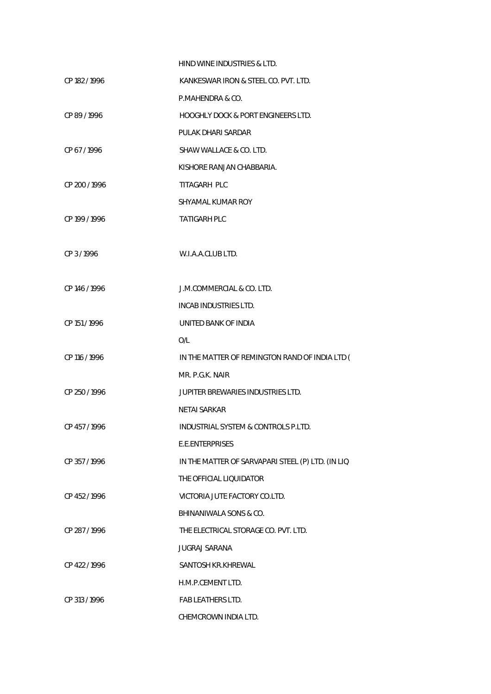|               | HIND WINE INDUSTRIES & LTD.                       |
|---------------|---------------------------------------------------|
| CP 182 / 1996 | KANKESWAR IRON & STEEL CO. PVT. LTD.              |
|               | P.MAHENDRA & CO.                                  |
| CP 89/1996    | HOOGHLY DOCK & PORT ENGINEERS LTD.                |
|               | PULAK DHARI SARDAR                                |
| CP 67/1996    | SHAW WALLACE & CO. LTD.                           |
|               | KISHORE RANJAN CHABBARIA.                         |
| CP 200 / 1996 | TITAGARH PLC                                      |
|               | SHYAMAL KUMAR ROY                                 |
| CP 199 / 1996 | <b>TATIGARH PLC</b>                               |
|               |                                                   |
| CP 3/1996     | W.I.A.A.CLUB LTD.                                 |
|               |                                                   |
| CP 146 / 1996 | J.M.COMMERCIAL & CO. LTD.                         |
|               | INCAB INDUSTRIES LTD.                             |
| CP 151 / 1996 | UNITED BANK OF INDIA                              |
|               | O/L                                               |
| CP 116 / 1996 | IN THE MATTER OF REMINGTON RAND OF INDIA LTD (    |
|               | MR. P.G.K. NAIR                                   |
| CP 250 / 1996 | JUPITER BREWARIES INDUSTRIES LTD.                 |
|               | NETAI SARKAR                                      |
| CP 457 / 1996 | INDUSTRIAL SYSTEM & CONTROLS P.LTD.               |
|               | E.E.ENTERPRISES                                   |
| CP 357/1996   | IN THE MATTER OF SARVAPARI STEEL (P) LTD. (IN LIQ |
|               | THE OFFICIAL LIQUIDATOR                           |
| CP 452/1996   | VICTORIA JUTE FACTORY CO.LTD.                     |
|               | BHINANIWALA SONS & CO.                            |
| CP 287/1996   | THE ELECTRICAL STORAGE CO. PVT. LTD.              |
|               | <b>JUGRAJ SARANA</b>                              |
| CP 422 / 1996 | SANTOSH KR.KHREWAL                                |
|               | H.M.P.CEMENT LTD.                                 |
| CP 313 / 1996 | <b>FAB LEATHERS LTD.</b>                          |
|               | CHEMCROWN INDIA LTD.                              |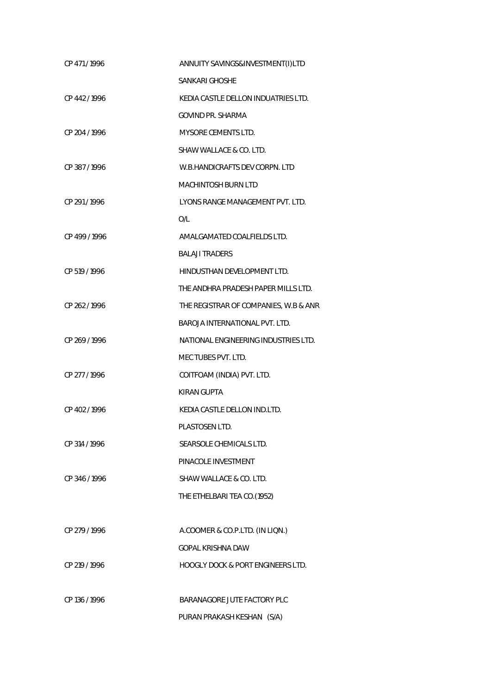| CP 471/1996   | ANNUITY SAVINGS&INVESTMENT(I)LTD             |
|---------------|----------------------------------------------|
|               | SANKARI GHOSHE                               |
| CP 442/1996   | KEDIA CASTLE DELLON INDUATRIES LTD.          |
|               | GOVIND PR. SHARMA                            |
| CP 204 / 1996 | <b>MYSORE CEMENTS LTD.</b>                   |
|               | SHAW WALLACE & CO. LTD.                      |
| CP 387/1996   | W.B.HANDICRAFTS DEV CORPN. LTD               |
|               | <b>MACHINTOSH BURN LTD</b>                   |
| CP 291/1996   | LYONS RANGE MANAGEMENT PVT. LTD.             |
|               | O/L                                          |
| CP 499 / 1996 | AMALGAMATED COALFIELDS LTD.                  |
|               | <b>BALAJI TRADERS</b>                        |
| CP 519 / 1996 | HINDUSTHAN DEVELOPMENT LTD.                  |
|               | THE ANDHRA PRADESH PAPER MILLS LTD.          |
| CP 262/1996   | THE REGISTRAR OF COMPANIES, W.B & ANR        |
|               | <b>BAROJA INTERNATIONAL PVT. LTD.</b>        |
| CP 269 / 1996 | NATIONAL ENGINEERING INDUSTRIES LTD.         |
|               | MEC TUBES PVT. LTD.                          |
| CP 277/1996   | COITFOAM (INDIA) PVT. LTD.                   |
|               | <b>KIRAN GUPTA</b>                           |
| CP 402/1996   | KEDIA CASTLE DELLON IND.LTD.                 |
|               | PLASTOSEN LTD.                               |
| CP 314 / 1996 | SEARSOLE CHEMICALS LTD.                      |
|               | PINACOLE INVESTMENT                          |
| CP 346/1996   | SHAW WALLACE & CO. LTD.                      |
|               | THE ETHELBARI TEA CO.(1952)                  |
|               |                                              |
| CP 279 / 1996 | A.COOMER & CO.P.LTD. (IN LIQN.)              |
|               | GOPAL KRISHNA DAW                            |
| CP 219 / 1996 | <b>HOOGLY DOCK &amp; PORT ENGINEERS LTD.</b> |
|               |                                              |
| CP 136 / 1996 | BARANAGORE JUTE FACTORY PLC                  |
|               | PURAN PRAKASH KESHAN (S/A)                   |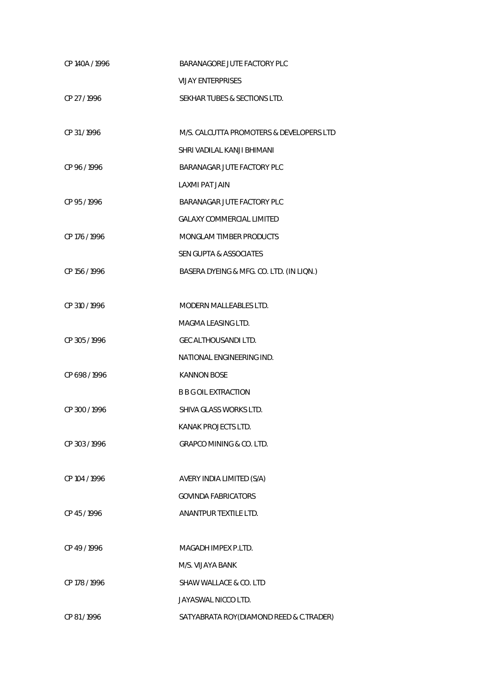| CP 140A / 1996 | BARANAGORE JUTE FACTORY PLC              |
|----------------|------------------------------------------|
|                | <b>VIJAY ENTERPRISES</b>                 |
| CP 27 / 1996   | SEKHAR TUBES & SECTIONS LTD.             |
|                |                                          |
| CP 31/1996     | M/S. CALCUTTA PROMOTERS & DEVELOPERS LTD |
|                | SHRI VADILAL KANJI BHIMANI               |
| CP 96/1996     | BARANAGAR JUTE FACTORY PLC               |
|                | <b>LAXMI PAT JAIN</b>                    |
| CP 95/1996     | BARANAGAR JUTE FACTORY PLC               |
|                | <b>GALAXY COMMERCIAL LIMITED</b>         |
| CP 176 / 1996  | MONGLAM TIMBER PRODUCTS                  |
|                | <b>SEN GUPTA &amp; ASSOCIATES</b>        |
| CP 156 / 1996  | BASERA DYEING & MFG. CO. LTD. (IN LIQN.) |
|                |                                          |
| CP 310 / 1996  | <b>MODERN MALLEABLES LTD.</b>            |
|                | MAGMA LEASING LTD.                       |
| CP 305 / 1996  | <b>GEC ALTHOUSANDI LTD.</b>              |
|                | NATIONAL ENGINEERING IND.                |
| CP 698 / 1996  | <b>KANNON BOSE</b>                       |
|                | <b>B B G OIL EXTRACTION</b>              |
| CP 300 / 1996  | SHIVA GLASS WORKS LTD.                   |
|                | KANAK PROJECTS LTD.                      |
| CP 303 / 1996  | GRAPCO MINING & CO. LTD.                 |
|                |                                          |
| CP 104 / 1996  | AVERY INDIA LIMITED (S/A)                |
|                | <b>GOVINDA FABRICATORS</b>               |
| CP 45 / 1996   | ANANTPUR TEXTILE LTD.                    |
|                |                                          |
| CP 49 / 1996   | MAGADH IMPEX P.LTD.                      |
|                | M/S. VIJAYA BANK                         |
| CP 178 / 1996  | SHAW WALLACE & CO. LTD                   |
|                | JAYASWAL NICCO LTD.                      |
| CP 81/1996     | SATYABRATA ROY(DIAMOND REED & C.TRADER)  |
|                |                                          |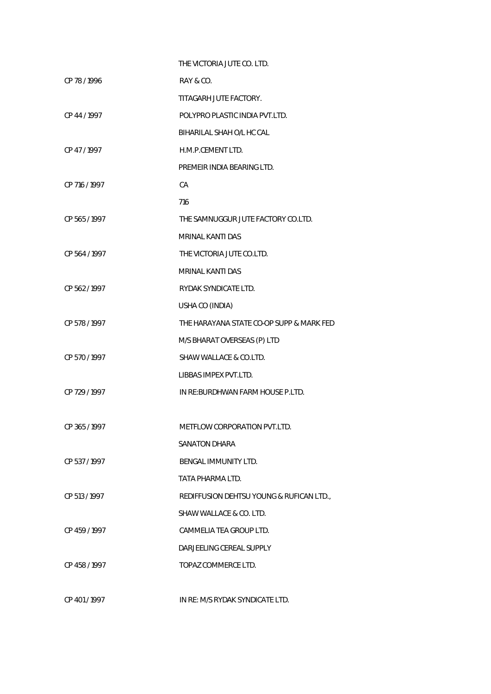|               | THE VICTORIA JUTE CO. LTD.               |
|---------------|------------------------------------------|
| CP 78 / 1996  | RAY & CO.                                |
|               | TITAGARH JUTE FACTORY.                   |
| CP 44 / 1997  | POLYPRO PLASTIC INDIA PVT.LTD.           |
|               | BIHARILAL SHAH O/L HC CAL                |
| CP 47/1997    | H.M.P.CEMENT LTD.                        |
|               | PREMEIR INDIA BEARING LTD.               |
| CP 716 / 1997 | CA                                       |
|               | 716                                      |
| CP 565 / 1997 | THE SAMNUGGUR JUTE FACTORY CO.LTD.       |
|               | MRINAL KANTI DAS                         |
| CP 564 / 1997 | THE VICTORIA JUTE CO.LTD.                |
|               | <b>MRINAL KANTI DAS</b>                  |
| CP 562/1997   | RYDAK SYNDICATE LTD.                     |
|               | USHA CO (INDIA)                          |
| CP 578 / 1997 | THE HARAYANA STATE CO-OP SUPP & MARK FED |
|               | M/S BHARAT OVERSEAS (P) LTD              |
| CP 570/1997   | SHAW WALLACE & CO.LTD.                   |
|               | LIBBAS IMPEX PVT.LTD.                    |
| CP 729 / 1997 | IN RE: BURDHWAN FARM HOUSE P.LTD.        |
|               |                                          |
| CP 365 / 1997 | METFLOW CORPORATION PVT.LTD.             |
|               | <b>SANATON DHARA</b>                     |
| CP 537/1997   | BENGAL IMMUNITY LTD.                     |
|               | TATA PHARMA LTD.                         |
| CP 513 / 1997 | REDIFFUSION DEHTSU YOUNG & RUFICAN LTD., |
|               | SHAW WALLACE & CO. LTD.                  |
| CP 459 / 1997 | CAMMELIA TEA GROUP LTD.                  |
|               | DARJEELING CEREAL SUPPLY                 |
| CP 458/1997   | TOPAZ COMMERCE LTD.                      |
|               |                                          |
|               |                                          |

CP 401 / 1997 IN RE: M/S RYDAK SYNDICATE LTD.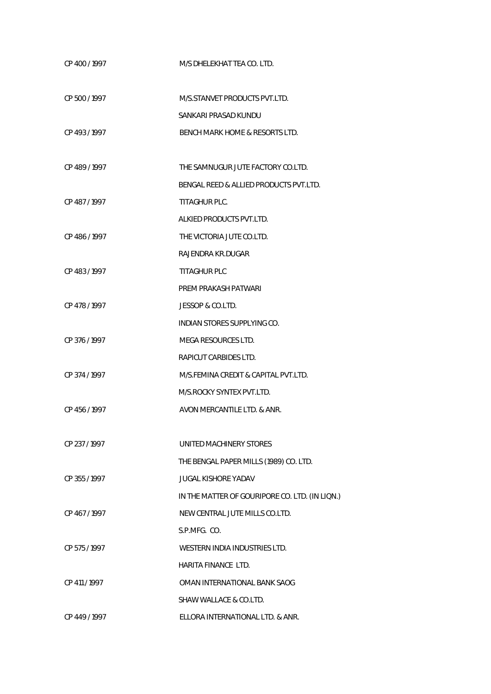| CP 400/1997   | M/S DHELEKHAT TEA CO. LTD.                     |
|---------------|------------------------------------------------|
| CP 500 / 1997 | M/S.STANVET PRODUCTS PVT.LTD.                  |
|               | SANKARI PRASAD KUNDU                           |
| CP 493/1997   | BENCH MARK HOME & RESORTS LTD.                 |
| CP 489/1997   | THE SAMNUGUR JUTE FACTORY CO.LTD.              |
|               | BENGAL REED & ALLIED PRODUCTS PVT.LTD.         |
| CP 487/1997   | TITAGHUR PLC.                                  |
|               | ALKIED PRODUCTS PVT.LTD.                       |
| CP 486 / 1997 | THE VICTORIA JUTE CO.LTD.                      |
|               | RAJENDRA KR.DUGAR                              |
| CP 483/1997   | TITAGHUR PLC                                   |
|               | PREM PRAKASH PATWARI                           |
| CP 478/1997   | JESSOP & CO.LTD.                               |
|               | INDIAN STORES SUPPLYING CO.                    |
| CP 376/1997   | MEGA RESOURCES LTD.                            |
|               | RAPICUT CARBIDES LTD.                          |
| CP 374 / 1997 | M/S.FEMINA CREDIT & CAPITAL PVT.LTD.           |
|               | M/S.ROCKY SYNTEX PVT.LTD.                      |
| CP 456/1997   | AVON MERCANTILE LTD. & ANR.                    |
| CP 237/1997   | UNITED MACHINERY STORES                        |
|               | THE BENGAL PAPER MILLS (1989) CO. LTD.         |
| CP 355/1997   | JUGAL KISHORE YADAV                            |
|               | IN THE MATTER OF GOURIPORE CO. LTD. (IN LIQN.) |
| CP 467/1997   | NEW CENTRAL JUTE MILLS CO.LTD.                 |
|               | S.P.MFG. CO.                                   |
| CP 575/1997   | WESTERN INDIA INDUSTRIES LTD.                  |
|               | HARITA FINANCE LTD.                            |
| CP 411 / 1997 | OMAN INTERNATIONAL BANK SAOG                   |
|               | SHAW WALLACE & CO.LTD.                         |
| CP 449 / 1997 | ELLORA INTERNATIONAL LTD. & ANR.               |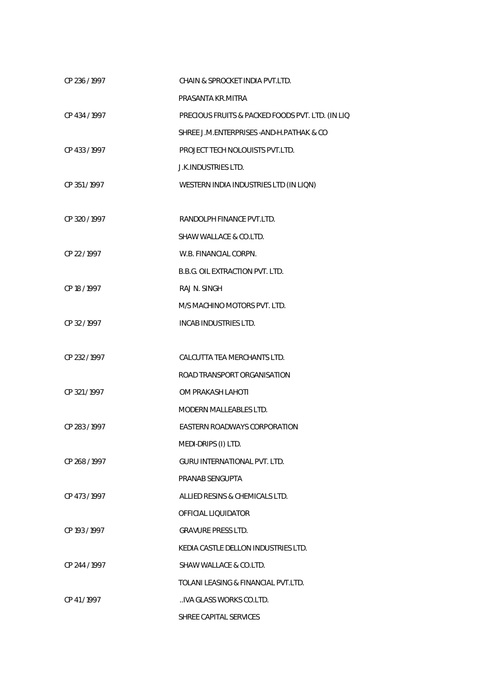| CP 236 / 1997 | CHAIN & SPROCKET INDIA PVT.LTD.                  |
|---------------|--------------------------------------------------|
|               | PRASANTA KR.MITRA                                |
| CP 434 / 1997 | PRECIOUS FRUITS & PACKED FOODS PVT. LTD. (IN LIQ |
|               | SHREE J.M. ENTERPRISES - AND-H. PATHAK & CO      |
| CP 433 / 1997 | PROJECT TECH NOLOUISTS PVT.LTD.                  |
|               | <b>J.K.INDUSTRIES LTD.</b>                       |
| CP 351/1997   | WESTERN INDIA INDUSTRIES LTD (IN LIQN)           |
|               |                                                  |
| CP 320 / 1997 | RANDOLPH FINANCE PVT.LTD.                        |
|               | SHAW WALLACE & CO.LTD.                           |
| CP 22 / 1997  | W.B. FINANCIAL CORPN.                            |
|               | B.B.G. OIL EXTRACTION PVT. LTD.                  |
| CP 18 / 1997  | RAJ N. SINGH                                     |
|               | M/S MACHINO MOTORS PVT. LTD.                     |
| CP 32/1997    | INCAB INDUSTRIES LTD.                            |
|               |                                                  |
| CP 232 / 1997 | CALCUTTA TEA MERCHANTS LTD.                      |
|               | ROAD TRANSPORT ORGANISATION                      |
| CP 321/1997   | OM PRAKASH LAHOTI                                |
|               | <b>MODERN MALLEABLES LTD.</b>                    |
| CP 283/1997   | <b>EASTERN ROADWAYS CORPORATION</b>              |
|               | MEDI-DRIPS (I) LTD.                              |
| CP 268 / 1997 | GURU INTERNATIONAL PVT. LTD.                     |
|               | PRANAB SENGUPTA                                  |
| CP 473/1997   | ALLIED RESINS & CHEMICALS LTD.                   |
|               | OFFICIAL LIOUIDATOR                              |
| CP 193 / 1997 | <b>GRAVURE PRESS LTD.</b>                        |
|               | KEDIA CASTLE DELLON INDUSTRIES LTD.              |
| CP 244 / 1997 | SHAW WALLACE & CO.LTD.                           |
|               | TOLANI LEASING & FINANCIAL PVT.LTD.              |
| CP 41/1997    | IVA GLASS WORKS CO.LTD.                          |
|               | SHREE CAPITAL SERVICES                           |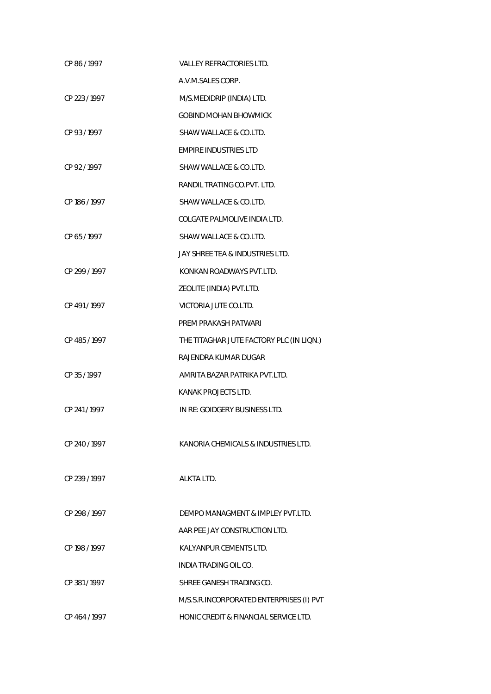| CP 86/1997    | <b>VALLEY REFRACTORIES LTD.</b>          |
|---------------|------------------------------------------|
|               | A.V.M.SALES CORP.                        |
| CP 223 / 1997 | M/S.MEDIDRIP (INDIA) LTD.                |
|               | <b>GOBIND MOHAN BHOWMICK</b>             |
| CP 93/1997    | SHAW WALLACE & CO.LTD.                   |
|               | <b>EMPIRE INDUSTRIES LTD</b>             |
| CP 92/1997    | SHAW WALLACE & CO.LTD.                   |
|               | RANDIL TRATING CO.PVT. LTD.              |
| CP 186 / 1997 | SHAW WALLACE & CO.LTD.                   |
|               | COLGATE PALMOLIVE INDIA LTD.             |
| CP 65/1997    | SHAW WALLACE & CO.LTD.                   |
|               | JAY SHREE TEA & INDUSTRIES LTD.          |
| CP 299 / 1997 | KONKAN ROADWAYS PVT.LTD.                 |
|               | ZEOLITE (INDIA) PVT.LTD.                 |
| CP 491/1997   | VICTORIA JUTE CO.LTD.                    |
|               | PREM PRAKASH PATWARI                     |
| CP 485 / 1997 | THE TITAGHAR JUTE FACTORY PLC (IN LION.) |
|               | RAJENDRA KUMAR DUGAR                     |
| CP 35/1997    | AMRITA BAZAR PATRIKA PVT.LTD.            |
|               | KANAK PROJECTS LTD.                      |
| CP 241/1997   | IN RE: GOIDGERY BUSINESS LTD.            |
|               |                                          |
| CP 240 / 1997 | KANORIA CHEMICALS & INDUSTRIES LTD.      |
|               |                                          |
| CP 239 / 1997 | ALKTA LTD.                               |
|               |                                          |
| CP 298 / 1997 | DEMPO MANAGMENT & IMPLEY PVT.LTD.        |
|               | AAR PEE JAY CONSTRUCTION LTD.            |
| CP 198 / 1997 | KALYANPUR CEMENTS LTD.                   |
|               | INDIA TRADING OIL CO.                    |
| CP 381/1997   | SHREE GANESH TRADING CO.                 |
|               | M/S.S.R.INCORPORATED ENTERPRISES (I) PVT |
| CP 464 / 1997 | HONIC CREDIT & FINANCIAL SERVICE LTD.    |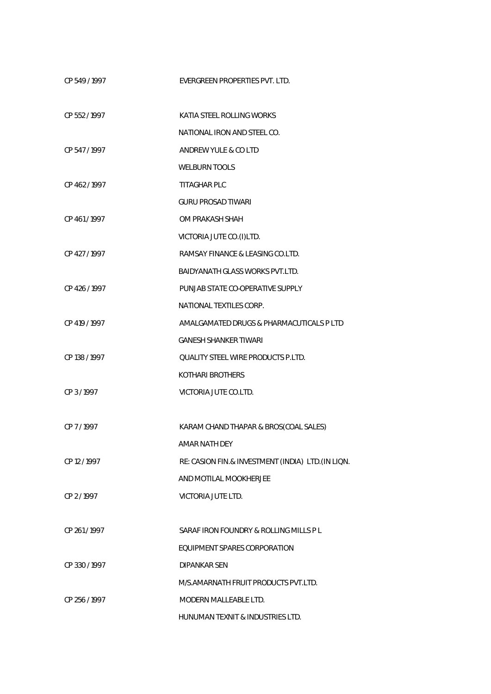| CP 549/1997   | EVERGREEN PROPERTIES PVT. LTD.                     |
|---------------|----------------------------------------------------|
| CP 552/1997   | KATIA STEEL ROLLING WORKS                          |
|               | NATIONAL IRON AND STEEL CO.                        |
| CP 547/1997   | ANDREW YULE & CO LTD                               |
|               | WELBURN TOOLS                                      |
| CP 462/1997   | TITAGHAR PLC                                       |
|               | <b>GURU PROSAD TIWARI</b>                          |
| CP 461/1997   | OM PRAKASH SHAH                                    |
|               | VICTORIA JUTE CO.(I)LTD.                           |
| CP 427 / 1997 | RAMSAY FINANCE & LEASING CO.LTD.                   |
|               | <b>BAIDYANATH GLASS WORKS PVT.LTD.</b>             |
| CP 426 / 1997 | PUNJAB STATE CO-OPERATIVE SUPPLY                   |
|               | NATIONAL TEXTILES CORP.                            |
| CP 419 / 1997 | AMALGAMATED DRUGS & PHARMACUTICALS P LTD           |
|               | <b>GANESH SHANKER TIWARI</b>                       |
| CP 138 / 1997 | <b>QUALITY STEEL WIRE PRODUCTS P.LTD.</b>          |
|               | <b>KOTHARI BROTHERS</b>                            |
| CP 3/1997     | VICTORIA JUTE CO.LTD.                              |
|               |                                                    |
| CP 7/1997     | KARAM CHAND THAPAR & BROS(COAL SALES)              |
|               | AMAR NATH DEY                                      |
| CP 12/1997    | RE: CASION FIN.& INVESTMENT (INDIA) LTD. (IN LIQN. |
|               | AND MOTILAL MOOKHERJEE                             |
| CP 2/1997     | VICTORIA JUTE LTD.                                 |
|               |                                                    |
| CP 261/1997   | SARAF IRON FOUNDRY & ROLLING MILLS P L             |
|               | EQUIPMENT SPARES CORPORATION                       |
| CP 330 / 1997 | <b>DIPANKAR SEN</b>                                |
|               | M/S.AMARNATH FRUIT PRODUCTS PVT.LTD.               |
| CP 256 / 1997 | MODERN MALLEABLE LTD.                              |
|               | HUNUMAN TEXNIT & INDUSTRIES LTD.                   |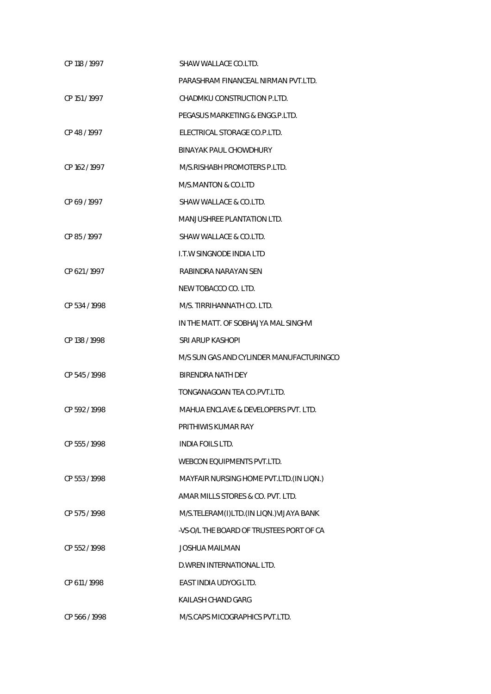| CP 118 / 1997 | SHAW WALLACE CO.LTD.                     |
|---------------|------------------------------------------|
|               | PARASHRAM FINANCEAL NIRMAN PVT.LTD.      |
| CP 151 / 1997 | CHADMKU CONSTRUCTION P.LTD.              |
|               | PEGASUS MARKETING & ENGG.P.LTD.          |
| CP 48/1997    | ELECTRICAL STORAGE CO.P.LTD.             |
|               | BINAYAK PAUL CHOWDHURY                   |
| CP 162/1997   | M/S.RISHABH PROMOTERS P.LTD.             |
|               | M/S.MANTON & CO.LTD                      |
| CP 69/1997    | SHAW WALLACE & CO.LTD.                   |
|               | MANJUSHREE PLANTATION LTD.               |
| CP 85/1997    | SHAW WALLACE & CO.LTD.                   |
|               | <b>I.T.W SINGNODE INDIA LTD</b>          |
| CP 621/1997   | RABINDRA NARAYAN SEN                     |
|               | NEW TOBACCO CO. LTD.                     |
| CP 534 / 1998 | M/S. TIRRIHANNATH CO. LTD.               |
|               | IN THE MATT. OF SOBHAJYA MAL SINGHVI     |
| CP 138 / 1998 | SRI ARUP KASHOPI                         |
|               | M/S SUN GAS AND CYLINDER MANUFACTURINGCO |
| CP 545/1998   | BIRENDRA NATH DEY                        |
|               | TONGANAGOAN TEA CO.PVT.LTD.              |
| CP 592/1998   | MAHUA ENCLAVE & DEVELOPERS PVT. LTD.     |
|               | PRITHIWIS KUMAR RAY                      |
| CP 555 / 1998 | <b>INDIA FOILS LTD.</b>                  |
|               | <b>WEBCON EOUIPMENTS PVT.LTD.</b>        |
| CP 553/1998   | MAYFAIR NURSING HOME PVT.LTD. (IN LION.) |
|               | AMAR MILLS STORES & CO. PVT. LTD.        |
| CP 575 / 1998 | M/S.TELERAM(I)LTD.(IN LION.) VIJAYA BANK |
|               | -VS-O/L THE BOARD OF TRUSTEES PORT OF CA |
| CP 552/1998   | <b>JOSHUA MAILMAN</b>                    |
|               | D. WREN INTERNATIONAL LTD.               |
| CP 611 / 1998 | EAST INDIA UDYOG LTD.                    |
|               | KAILASH CHAND GARG                       |
| CP 566 / 1998 | M/S.CAPS MICOGRAPHICS PVT.LTD.           |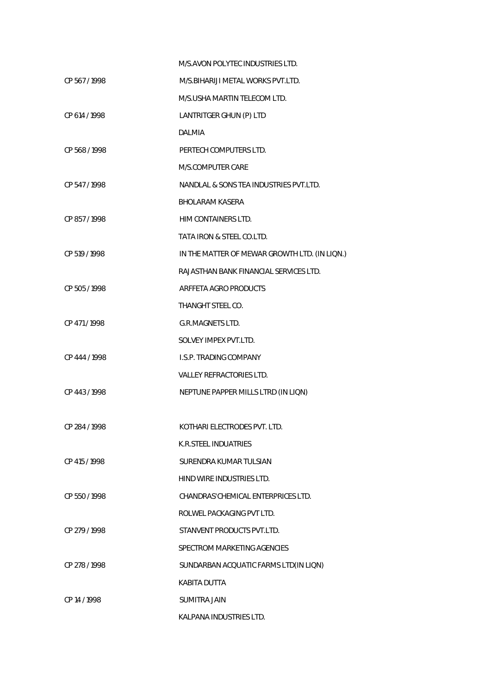|               | M/S.AVON POLYTEC INDUSTRIES LTD.              |
|---------------|-----------------------------------------------|
| CP 567 / 1998 | M/S. BIHARIJI METAL WORKS PVT. LTD.           |
|               | M/S.USHA MARTIN TELECOM LTD.                  |
| CP 614 / 1998 | LANTRITGER GHUN (P) LTD                       |
|               | <b>DALMIA</b>                                 |
| CP 568 / 1998 | PERTECH COMPUTERS LTD.                        |
|               | M/S.COMPUTER CARE                             |
| CP 547/1998   | NANDLAL & SONS TEA INDUSTRIES PVT.LTD.        |
|               | <b>BHOLARAM KASERA</b>                        |
| CP 857 / 1998 | HIM CONTAINERS LTD.                           |
|               | TATA IRON & STEEL CO.LTD.                     |
| CP 519 / 1998 | IN THE MATTER OF MEWAR GROWTH LTD. (IN LIQN.) |
|               | RAJASTHAN BANK FINANCIAL SERVICES LTD.        |
| CP 505 / 1998 | ARFFETA AGRO PRODUCTS                         |
|               | THANGHT STEEL CO.                             |
| CP 471/1998   | <b>G.R.MAGNETS LTD.</b>                       |
|               | SOLVEY IMPEX PVT.LTD.                         |
| CP 444 / 1998 | <b>I.S.P. TRADING COMPANY</b>                 |
|               | <b>VALLEY REFRACTORIES LTD.</b>               |
| CP 443/1998   | NEPTUNE PAPPER MILLS LTRD (IN LIQN)           |
|               |                                               |
| CP 284 / 1998 | KOTHARI ELECTRODES PVT. LTD.                  |
|               | K.R.STEEL INDUATRIES                          |
| CP 415 / 1998 | SURENDRA KUMAR TULSIAN                        |
|               | HIND WIRE INDUSTRIES LTD.                     |
| CP 550 / 1998 | CHANDRAS' CHEMICAL ENTERPRICES LTD.           |
|               | ROLWEL PACKAGING PVT LTD.                     |
| CP 279 / 1998 | STANVENT PRODUCTS PVT.LTD.                    |
|               | SPECTROM MARKETING AGENCIES                   |
| CP 278 / 1998 | SUNDARBAN ACQUATIC FARMS LTD(IN LIQN)         |
|               | <b>KABITA DUTTA</b>                           |
| CP 14 / 1998  | <b>SUMITRA JAIN</b>                           |
|               | KALPANA INDUSTRIES LTD.                       |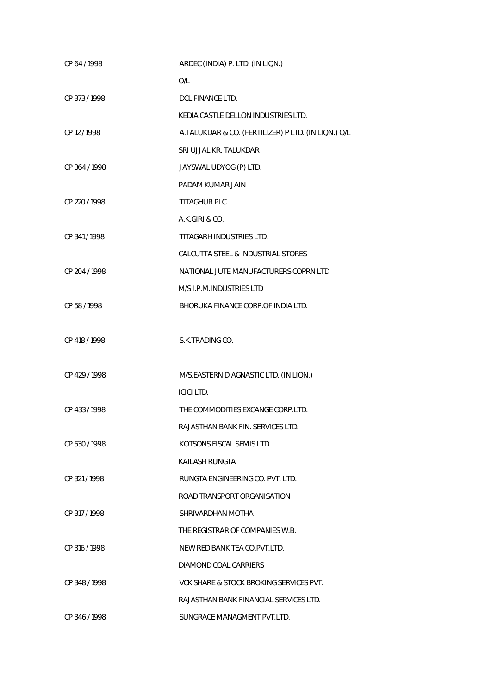| CP 64 / 1998  | ARDEC (INDIA) P. LTD. (IN LIQN.)                    |
|---------------|-----------------------------------------------------|
|               | O/L                                                 |
| CP 373 / 1998 | DCL FINANCE LTD.                                    |
|               | KEDIA CASTLE DELLON INDUSTRIES LTD.                 |
| CP 12 / 1998  | A.TALUKDAR & CO. (FERTILIZER) P LTD. (IN LIQN.) O/L |
|               | SRI UJJAL KR. TALUKDAR                              |
| CP 364 / 1998 | JAYSWAL UDYOG (P) LTD.                              |
|               | PADAM KUMAR JAIN                                    |
| CP 220 / 1998 | <b>TITAGHUR PLC</b>                                 |
|               | A.K.GIRI & CO.                                      |
| CP 341/1998   | TITAGARH INDUSTRIES LTD.                            |
|               | CALCUTTA STEEL & INDUSTRIAL STORES                  |
| CP 204 / 1998 | NATIONAL JUTE MANUFACTURERS COPRN LTD               |
|               | M/S I.P.M.INDUSTRIES LTD                            |
| CP 58 / 1998  | BHORUKA FINANCE CORP. OF INDIA LTD.                 |
|               |                                                     |
| CP 418 / 1998 | S.K.TRADING CO.                                     |
|               |                                                     |
| CP 429 / 1998 | M/S.EASTERN DIAGNASTIC LTD. (IN LIQN.)              |
|               | <b>ICICI LTD.</b>                                   |
| CP 433 / 1998 | THE COMMODITIES EXCANGE CORP.LTD.                   |
|               | RAJASTHAN BANK FIN. SERVICES LTD.                   |
| CP 530/1998   | KOTSONS FISCAL SEMIS LTD.                           |
|               | KAILASH RUNGTA                                      |
| CP 321/1998   | RUNGTA ENGINEERING CO. PVT. LTD.                    |
|               | ROAD TRANSPORT ORGANISATION                         |
| CP 317/1998   | SHRIVARDHAN MOTHA                                   |
|               | THE REGISTRAR OF COMPANIES W.B.                     |
| CP 316 / 1998 | NEW RED BANK TEA CO. PVT. LTD.                      |
|               | DIAMOND COAL CARRIERS                               |
| CP 348/1998   | VCK SHARE & STOCK BROKING SERVICES PVT.             |
|               | RAJASTHAN BANK FINANCIAL SERVICES LTD.              |
| CP 346 / 1998 | SUNGRACE MANAGMENT PVT.LTD.                         |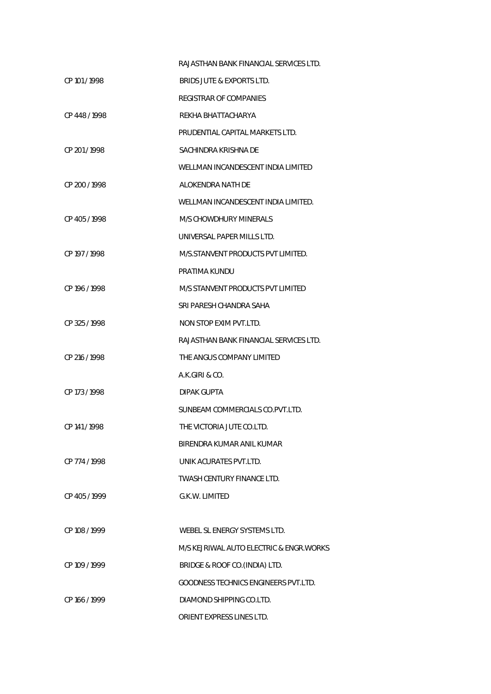|               | RAJASTHAN BANK FINANCIAL SERVICES LTD.      |
|---------------|---------------------------------------------|
| CP 101/1998   | BRIDS JUTE & EXPORTS LTD.                   |
|               | REGISTRAR OF COMPANIES                      |
| CP 448/1998   | REKHA BHATTACHARYA                          |
|               | PRUDENTIAL CAPITAL MARKETS LTD.             |
| CP 201/1998   | SACHINDRA KRISHNA DE                        |
|               | WELLMAN INCANDESCENT INDIA LIMITED          |
| CP 200 / 1998 | ALOKENDRA NATH DE                           |
|               | WELLMAN INCANDESCENT INDIA LIMITED.         |
| CP 405/1998   | <b>M/S CHOWDHURY MINERALS</b>               |
|               | UNIVERSAL PAPER MILLS LTD.                  |
| CP 197 / 1998 | M/S. STANVENT PRODUCTS PVT LIMITED.         |
|               | PRATIMA KUNDU                               |
| CP 196 / 1998 | M/S STANVENT PRODUCTS PVT LIMITED           |
|               | SRI PARESH CHANDRA SAHA                     |
| CP 325/1998   | NON STOP EXIM PVT.LTD.                      |
|               | RAJASTHAN BANK FINANCIAL SERVICES LTD.      |
| CP 216 / 1998 | THE ANGUS COMPANY LIMITED                   |
|               | A.K.GIRI & CO.                              |
| CP 173/1998   | DIPAK GUPTA                                 |
|               | SUNBEAM COMMERCIALS CO.PVT.LTD.             |
| CP 141/1998   | THE VICTORIA JUTE CO.LTD.                   |
|               | BIRENDRA KUMAR ANIL KUMAR                   |
| CP 774 / 1998 | UNIK ACURATES PVT.LTD.                      |
|               | TWASH CENTURY FINANCE LTD.                  |
| CP 405/1999   | G.K.W. LIMITED                              |
|               |                                             |
| CP 108 / 1999 | WEBEL SL ENERGY SYSTEMS LTD.                |
|               | M/S KEJRIWAL AUTO ELECTRIC & ENGR.WORKS     |
| CP 109 / 1999 | BRIDGE & ROOF CO. (INDIA) LTD.              |
|               | <b>GOODNESS TECHNICS ENGINEERS PVT.LTD.</b> |
| CP 166 / 1999 | DIAMOND SHIPPING CO.LTD.                    |
|               | ORIENT EXPRESS LINES LTD.                   |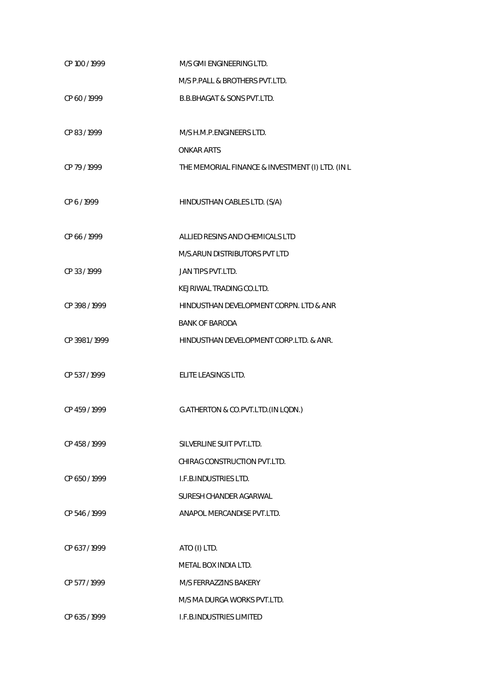| CP 100 / 1999 | M/S GMI ENGINEERING LTD.                         |
|---------------|--------------------------------------------------|
|               | M/S P. PALL & BROTHERS PVT.LTD.                  |
| CP 60/1999    | <b>B.B.BHAGAT &amp; SONS PVT.LTD.</b>            |
|               |                                                  |
| CP 83/1999    | M/S H.M.P.ENGINEERS LTD.                         |
|               | <b>ONKAR ARTS</b>                                |
| CP 79 / 1999  | THE MEMORIAL FINANCE & INVESTMENT (I) LTD. (IN L |
|               |                                                  |
| CP 6/1999     | HINDUSTHAN CABLES LTD. (S/A)                     |
|               |                                                  |
| CP 66 / 1999  | ALLIED RESINS AND CHEMICALS LTD                  |
|               | M/S.ARUN DISTRIBUTORS PVT LTD                    |
| CP 33/1999    | JAN TIPS PVT.LTD.                                |
|               | KEJRIWAL TRADING CO.LTD.                         |
| CP 398 / 1999 | HINDUSTHAN DEVELOPMENT CORPN. LTD & ANR          |
|               | <b>BANK OF BARODA</b>                            |
| CP 3981/1999  | HINDUSTHAN DEVELOPMENT CORP.LTD. & ANR.          |
|               |                                                  |
| CP 537/1999   | ELITE LEASINGS LTD.                              |
|               |                                                  |
| CP 459 / 1999 | G.ATHERTON & CO.PVT.LTD.(IN LQDN.)               |
|               |                                                  |
| CP 458/1999   | SILVERLINE SUIT PVT.LTD.                         |
|               | CHIRAG CONSTRUCTION PVT.LTD.                     |
| CP 650/1999   | I.F.B.INDUSTRIES LTD.                            |
|               | SURESH CHANDER AGARWAL                           |
| CP 546/1999   | ANAPOL MERCANDISE PVT.LTD.                       |
|               |                                                  |
| CP 637/1999   | ATO (I) LTD.                                     |
|               | METAL BOX INDIA LTD.                             |
| CP 577/1999   | M/S FERRAZZINS BAKERY                            |
|               | M/S MA DURGA WORKS PVT.LTD.                      |
| CP 635/1999   | I.F.B.INDUSTRIES LIMITED                         |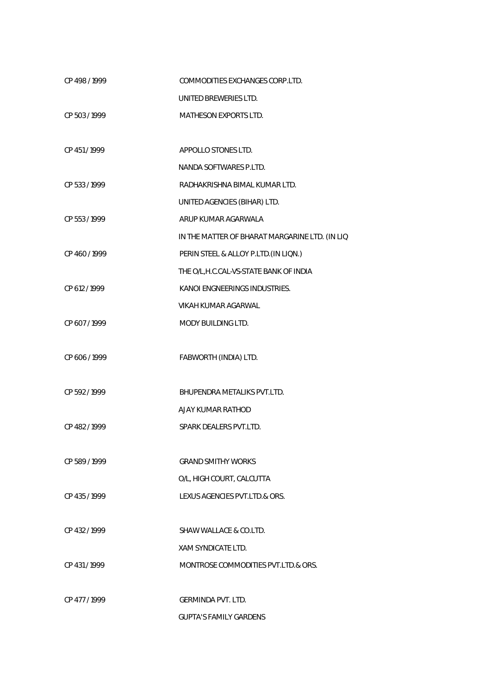| CP 498 / 1999 | COMMODITIES EXCHANGES CORP.LTD.                |
|---------------|------------------------------------------------|
|               | UNITED BREWERIES LTD.                          |
| CP 503 / 1999 | <b>MATHESON EXPORTS LTD.</b>                   |
|               |                                                |
| CP 451/1999   | APPOLLO STONES LTD.                            |
|               | NANDA SOFTWARES P.LTD.                         |
| CP 533 / 1999 | RADHAKRISHNA BIMAL KUMAR LTD.                  |
|               | UNITED AGENCIES (BIHAR) LTD.                   |
| CP 553 / 1999 | ARUP KUMAR AGARWALA                            |
|               | IN THE MATTER OF BHARAT MARGARINE LTD. (IN LIQ |
| CP 460/1999   | PERIN STEEL & ALLOY P.LTD. (IN LIQN.)          |
|               | THE O/L, H.C.CAL-VS-STATE BANK OF INDIA        |
| CP 612 / 1999 | KANOI ENGNEERINGS INDUSTRIES.                  |
|               | <b>VIKAH KUMAR AGARWAL</b>                     |
| CP 607/1999   | <b>MODY BUILDING LTD.</b>                      |
|               |                                                |
| CP 606 / 1999 | FABWORTH (INDIA) LTD.                          |
|               |                                                |
| CP 592/1999   | BHUPENDRA METALIKS PVT.LTD.                    |
|               | AJAY KUMAR RATHOD                              |
| CP 482/1999   | SPARK DEALERS PVT.LTD.                         |
|               |                                                |
| CP 589/1999   | <b>GRAND SMITHY WORKS</b>                      |
|               | O/L, HIGH COURT, CALCUTTA                      |
| CP 435/1999   | LEXUS AGENCIES PVT.LTD.& ORS.                  |
|               |                                                |
| CP 432/1999   | SHAW WALLACE & CO.LTD.                         |
|               | <b>XAM SYNDICATE LTD.</b>                      |
| CP 431/1999   | MONTROSE COMMODITIES PVT.LTD.& ORS.            |
|               |                                                |
| CP 477/1999   | GERMINDA PVT. LTD.                             |
|               | <b>GUPTA'S FAMILY GARDENS</b>                  |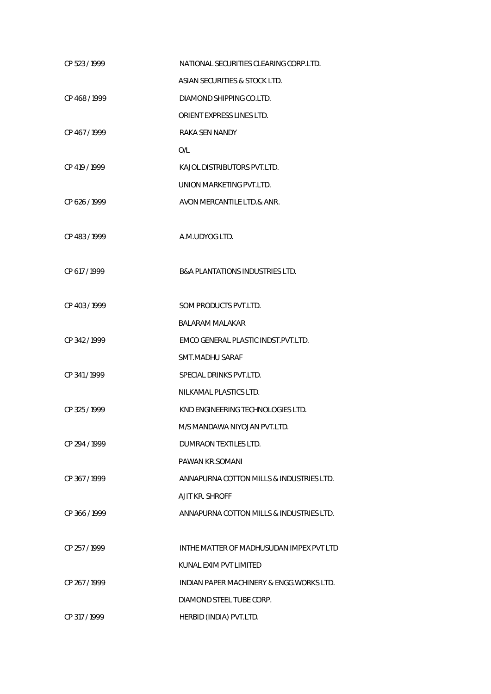| CP 523/1999   | NATIONAL SECURITIES CLEARING CORP.LTD.     |
|---------------|--------------------------------------------|
|               | ASIAN SECURITIES & STOCK LTD.              |
| CP 468/1999   | DIAMOND SHIPPING CO.LTD.                   |
|               | ORIENT EXPRESS LINES LTD.                  |
| CP 467/1999   | RAKA SEN NANDY                             |
|               | O/I                                        |
| CP 419 / 1999 | KAJOL DISTRIBUTORS PVT.LTD.                |
|               | UNION MARKETING PVT.LTD.                   |
| CP 626 / 1999 | AVON MERCANTILE LTD.& ANR.                 |
|               |                                            |
| CP 483/1999   | A.M.UDYOG LTD.                             |
|               |                                            |
| CP 617 / 1999 | <b>B&amp;A PLANTATIONS INDUSTRIES LTD.</b> |
|               |                                            |
| CP 403/1999   | SOM PRODUCTS PVT.LTD.                      |
|               | <b>BALARAM MALAKAR</b>                     |
| CP 342/1999   | EMCO GENERAL PLASTIC INDST. PVT.LTD.       |
|               | SMT.MADHU SARAF                            |
| CP 341/1999   | SPECIAL DRINKS PVT.LTD.                    |
|               | NILKAMAL PLASTICS LTD.                     |
| CP 325 / 1999 | KND ENGINEERING TECHNOLOGIES LTD.          |
|               | M/S MANDAWA NIYOJAN PVT.LTD.               |
| CP 294 / 1999 | DUMRAON TEXTILES LTD.                      |
|               | PAWAN KR.SOMANI                            |
| CP 367/1999   | ANNAPURNA COTTON MILLS & INDUSTRIES LTD.   |
|               | AJIT KR. SHROFF                            |
| CP 366/1999   | ANNAPURNA COTTON MILLS & INDUSTRIES LTD.   |
|               |                                            |
| CP 257/1999   | INTHE MATTER OF MADHUSUDAN IMPEX PVT LTD   |
|               | KUNAL EXIM PVT LIMITED                     |
| CP 267/1999   | INDIAN PAPER MACHINERY & ENGG. WORKS LTD.  |
|               | DIAMOND STEEL TUBE CORP.                   |
| CP 317 / 1999 | HERBID (INDIA) PVT.LTD.                    |
|               |                                            |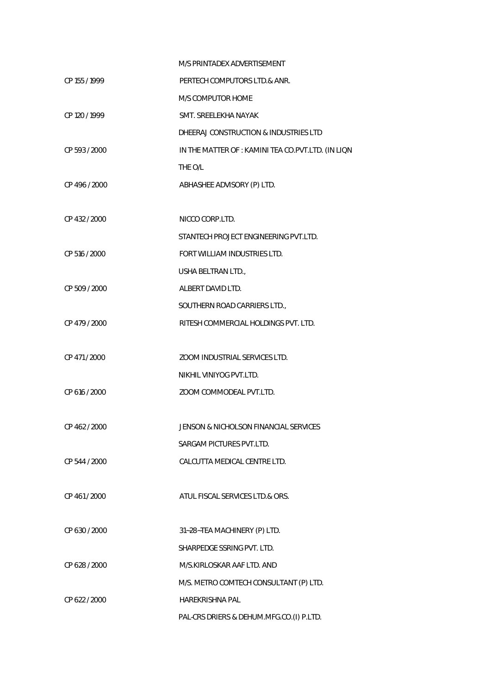|               | M/S PRINTADEX ADVERTISEMENT                        |
|---------------|----------------------------------------------------|
| CP 155 / 1999 | PERTECH COMPUTORS LTD.& ANR.                       |
|               | M/S COMPUTOR HOME                                  |
| CP 120 / 1999 | SMT. SREELEKHA NAYAK                               |
|               | DHEERAJ CONSTRUCTION & INDUSTRIES LTD              |
| CP 593 / 2000 | IN THE MATTER OF : KAMINI TEA CO.PVT.LTD. (IN LIQN |
|               | THE O/L                                            |
| CP 496 / 2000 | ABHASHEE ADVISORY (P) LTD.                         |
|               |                                                    |
| CP 432 / 2000 | NICCO CORP.LTD.                                    |
|               | STANTECH PROJECT ENGINEERING PVT.LTD.              |
| CP 516 / 2000 | FORT WILLIAM INDUSTRIES LTD.                       |
|               | USHA BELTRAN LTD.,                                 |
| CP 509 / 2000 | ALBERT DAVID LTD.                                  |
|               | SOUTHERN ROAD CARRIERS LTD.,                       |
| CP 479 / 2000 | RITESH COMMERCIAL HOLDINGS PVT. LTD.               |
|               |                                                    |
| CP 471 / 2000 | ZOOM INDUSTRIAL SERVICES LTD.                      |
|               | NIKHIL VINIYOG PVT.LTD.                            |
| CP 616 / 2000 | ZOOM COMMODEAL PVT.LTD.                            |
|               |                                                    |
| CP 462 / 2000 | JENSON & NICHOLSON FINANCIAL SERVICES              |
|               | SARGAM PICTURES PVT.LTD.                           |
| CP 544 / 2000 | CALCUTTA MEDICAL CENTRE LTD.                       |
|               |                                                    |
| CP 461/2000   | ATUL FISCAL SERVICES LTD.& ORS.                    |
|               |                                                    |
| CP 630 / 2000 | 31~28~TEA MACHINERY (P) LTD.                       |
|               | SHARPEDGE SSRING PVT. LTD.                         |
| CP 628 / 2000 | M/S.KIRLOSKAR AAF LTD. AND                         |
|               | M/S. METRO COMTECH CONSULTANT (P) LTD.             |
| CP 622 / 2000 | <b>HAREKRISHNA PAL</b>                             |
|               | PAL-CRS DRIERS & DEHUM.MFG.CO.(I) P.LTD.           |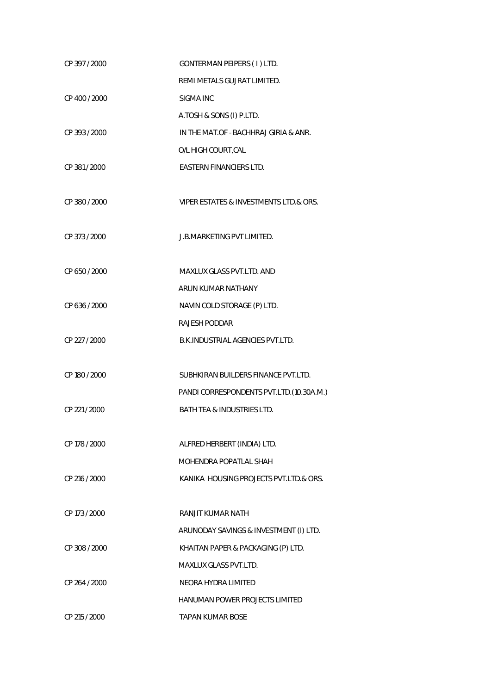| CP 397 / 2000 | GONTERMAN PEIPERS (1) LTD.               |
|---------------|------------------------------------------|
|               | REMI METALS GUJRAT LIMITED.              |
| CP 400 / 2000 | SIGMA INC                                |
|               | A.TOSH & SONS (I) P.LTD.                 |
| CP 393 / 2000 | IN THE MAT.OF - BACHHRAJ GIRIA & ANR.    |
|               | O/L HIGH COURT, CAL                      |
| CP 381 / 2000 | <b>EASTERN FINANCIERS LTD.</b>           |
|               |                                          |
| CP 380 / 2000 | VIPER ESTATES & INVESTMENTS LTD.& ORS.   |
|               |                                          |
| CP 373 / 2000 | J.B.MARKETING PVT LIMITED.               |
|               |                                          |
| CP 650 / 2000 | MAXLUX GLASS PVT.LTD. AND                |
|               | ARUN KUMAR NATHANY                       |
| CP 636 / 2000 | NAVIN COLD STORAGE (P) LTD.              |
|               | <b>RAJESH PODDAR</b>                     |
| CP 227 / 2000 | B.K. INDUSTRIAL AGENCIES PVT.LTD.        |
|               |                                          |
| CP 180 / 2000 | SUBHKIRAN BUILDERS FINANCE PVT.LTD.      |
|               | PANDI CORRESPONDENTS PVT.LTD.(10.30A.M.) |
| CP 221 / 2000 | <b>BATH TEA &amp; INDUSTRIES LTD.</b>    |
|               |                                          |
| CP 178 / 2000 | ALFRED HERBERT (INDIA) LTD.              |
|               | MOHENDRA POPATI AL SHAH                  |
| CP 216 / 2000 | KANIKA HOUSING PROJECTS PVT.LTD.& ORS.   |
|               |                                          |
| CP 173 / 2000 | RANJIT KUMAR NATH                        |
|               | ARUNODAY SAVINGS & INVESTMENT (I) LTD.   |
| CP 308 / 2000 | KHAITAN PAPER & PACKAGING (P) LTD.       |
|               | <b>MAXLUX GLASS PVT.LTD.</b>             |
| CP 264 / 2000 | NEORA HYDRA LIMITED                      |
|               | HANUMAN POWER PROJECTS LIMITED           |
| CP 215 / 2000 | <b>TAPAN KUMAR BOSE</b>                  |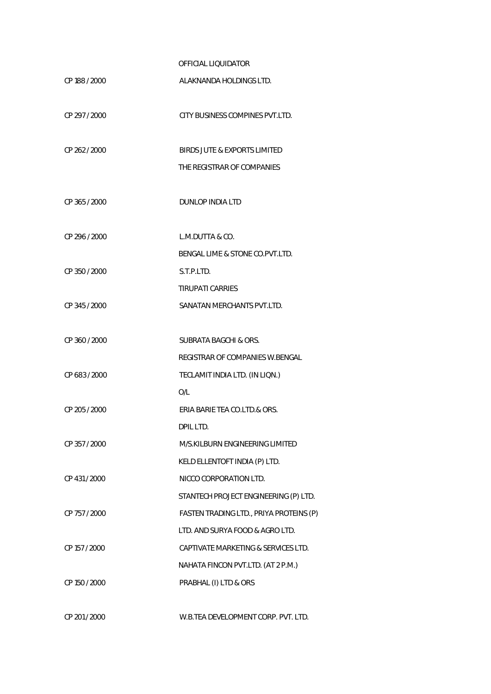## OFFICIAL LIQUIDATOR

| CP 188 / 2000 | ALAKNANDA HOLDINGS LTD.                 |
|---------------|-----------------------------------------|
| CP 297 / 2000 | CITY BUSINESS COMPINES PVT.LTD.         |
| CP 262 / 2000 | BIRDS JUTE & EXPORTS LIMITED            |
|               | THE REGISTRAR OF COMPANIES              |
| CP 365 / 2000 | <b>DUNLOP INDIA LTD</b>                 |
| CP 296 / 2000 | L.M.DUTTA & CO.                         |
|               | BENGAL LIME & STONE CO.PVT.LTD.         |
| CP 350 / 2000 | S.T.P.I TD.                             |
|               | <b>TIRUPATI CARRIES</b>                 |
| CP 345 / 2000 | SANATAN MERCHANTS PVT.LTD.              |
| CP 360 / 2000 | <b>SUBRATA BAGCHI &amp; ORS.</b>        |
|               | REGISTRAR OF COMPANIES W.BENGAL         |
| CP 683 / 2000 | TECLAMIT INDIA LTD. (IN LIQN.)          |
|               | O/L                                     |
| CP 205 / 2000 | ERIA BARIE TEA CO.LTD.& ORS.            |
|               | DPIL LTD.                               |
| CP 357 / 2000 | M/S.KILBURN ENGINEERING LIMITED         |
|               | KELD ELLENTOFT INDIA (P) LTD.           |
| CP 431 / 2000 | NICCO CORPORATION LTD.                  |
|               | STANTECH PROJECT ENGINEERING (P) LTD.   |
| CP 757 / 2000 | FASTEN TRADING LTD., PRIYA PROTEINS (P) |
|               | LTD. AND SURYA FOOD & AGRO LTD.         |
| CP 157 / 2000 | CAPTIVATE MARKETING & SERVICES LTD.     |
|               | NAHATA FINCON PVT.LTD. (AT 2 P.M.)      |
| CP 150 / 2000 | PRABHAL (I) LTD & ORS                   |
| CP 201 / 2000 | W.B.TEA DEVELOPMENT CORP. PVT. LTD.     |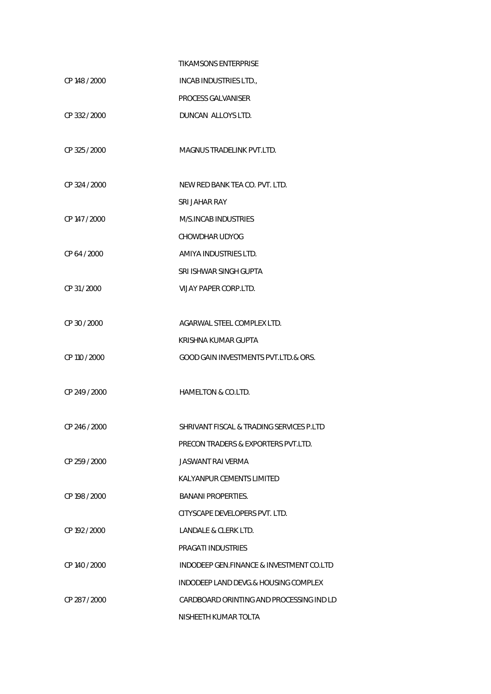|               | <b>TIKAMSONS ENTERPRISE</b>              |
|---------------|------------------------------------------|
| CP 148 / 2000 | INCAB INDUSTRIES LTD.,                   |
|               | PROCESS GALVANISER                       |
| CP 332 / 2000 | DUNCAN ALLOYS LTD.                       |
| CP 325 / 2000 | MAGNUS TRADELINK PVT LTD.                |
| CP 324 / 2000 | NEW RED BANK TEA CO. PVT. LTD.           |
|               | SRI JAHAR RAY                            |
| CP 147 / 2000 | M/S.INCAB INDUSTRIES                     |
|               | <b>CHOWDHAR UDYOG</b>                    |
| CP 64 / 2000  | AMIYA INDUSTRIES LTD.                    |
|               | SRI ISHWAR SINGH GUPTA                   |
| CP 31/2000    | VIJAY PAPER CORP.LTD.                    |
| CP 30 / 2000  | AGARWAL STEEL COMPLEX LTD.               |
|               | KRISHNA KUMAR GUPTA                      |
| CP 110 / 2000 | GOOD GAIN INVESTMENTS PVT.LTD.& ORS.     |
| CP 249 / 2000 | <b>HAMELTON &amp; CO.LTD.</b>            |
| CP 246 / 2000 | SHRIVANT FISCAL & TRADING SERVICES P.LTD |
|               | PRECON TRADERS & EXPORTERS PVT.LTD.      |
| CP 259 / 2000 | JASWANT RAI VERMA                        |
|               | KALYANPUR CEMENTS LIMITED                |
| CP 198 / 2000 | <b>BANANI PROPERTIES.</b>                |
|               | CITYSCAPE DEVELOPERS PVT. LTD.           |
| CP 192 / 2000 | LANDALE & CLERK LTD.                     |
|               | PRAGATI INDUSTRIES                       |
| CP 140 / 2000 | INDODEEP GEN.FINANCE & INVESTMENT CO.LTD |
|               | INDODEEP LAND DEVG.& HOUSING COMPLEX     |
| CP 287 / 2000 | CARDBOARD ORINTING AND PROCESSING IND LD |
|               | NISHEETH KUMAR TOLTA                     |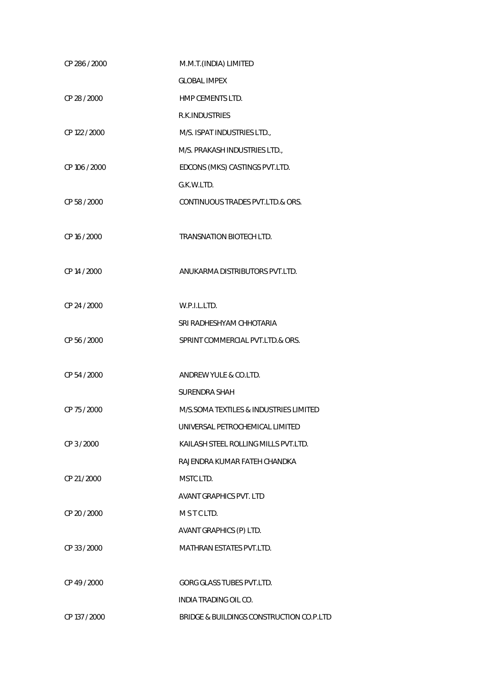| CP 286 / 2000 | M.M.T.(INDIA) LIMITED                    |
|---------------|------------------------------------------|
|               | <b>GLOBAL IMPEX</b>                      |
| CP 28 / 2000  | HMP CEMENTS LTD.                         |
|               | R.K. INDUSTRIES                          |
| CP 122 / 2000 | M/S. ISPAT INDUSTRIES LTD.,              |
|               | M/S. PRAKASH INDUSTRIES LTD.,            |
| CP 106 / 2000 | EDCONS (MKS) CASTINGS PVT.LTD.           |
|               | G.K.W.LTD.                               |
| CP 58 / 2000  | CONTINUOUS TRADES PVT.LTD.& ORS.         |
|               |                                          |
| CP 16 / 2000  | TRANSNATION BIOTECH LTD.                 |
|               |                                          |
| CP 14 / 2000  | ANUKARMA DISTRIBUTORS PVT.LTD.           |
|               |                                          |
| CP 24 / 2000  | W.P.I.L.LTD.                             |
|               | SRI RADHESHYAM CHHOTARIA                 |
| CP 56 / 2000  | SPRINT COMMERCIAL PVT.LTD.& ORS.         |
|               |                                          |
| CP 54 / 2000  | ANDREW YULE & CO.LTD.                    |
|               | <b>SURENDRA SHAH</b>                     |
| CP 75 / 2000  | M/S.SOMA TEXTILES & INDUSTRIES LIMITED   |
|               | UNIVERSAL PETROCHEMICAL LIMITED          |
| CP 3 / 2000   | KAILASH STEEL ROLLING MILLS PVT.LTD.     |
|               | RAJENDRA KUMAR FATEH CHANDKA             |
| CP 21/2000    | MSTC LTD.                                |
|               | <b>AVANT GRAPHICS PVT. LTD</b>           |
| CP 20 / 2000  | MSTCLTD.                                 |
|               | AVANT GRAPHICS (P) LTD.                  |
| CP 33 / 2000  | <b>MATHRAN ESTATES PVT.LTD.</b>          |
|               |                                          |
| CP 49 / 2000  | <b>GORG GLASS TUBES PVT.LTD.</b>         |
|               | INDIA TRADING OIL CO.                    |
| CP 137 / 2000 | BRIDGE & BUILDINGS CONSTRUCTION CO.P.LTD |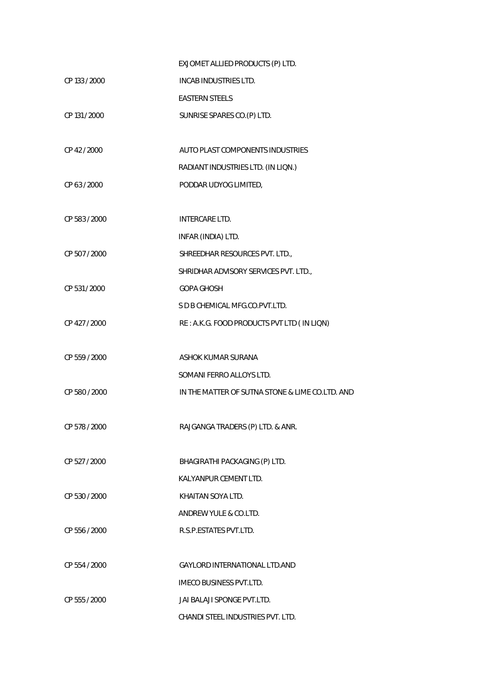|               | EXJOMET ALLIED PRODUCTS (P) LTD.                |
|---------------|-------------------------------------------------|
| CP 133 / 2000 | INCAB INDUSTRIES LTD.                           |
|               | <b>EASTERN STEELS</b>                           |
| CP 131 / 2000 | SUNRISE SPARES CO. (P) LTD.                     |
|               |                                                 |
| CP 42 / 2000  | AUTO PLAST COMPONENTS INDUSTRIES                |
|               | RADIANT INDUSTRIES LTD. (IN LIQN.)              |
| CP 63 / 2000  | PODDAR UDYOG LIMITED,                           |
|               |                                                 |
| CP 583 / 2000 | <b>INTERCARE LTD.</b>                           |
|               | INFAR (INDIA) LTD.                              |
| CP 507 / 2000 | SHREEDHAR RESOURCES PVT. LTD.,                  |
|               | SHRIDHAR ADVISORY SERVICES PVT. LTD.,           |
| CP 531 / 2000 | <b>GOPA GHOSH</b>                               |
|               | S D B CHEMICAL MFG.CO.PVT.LTD.                  |
| CP 427 / 2000 | RE: A.K.G. FOOD PRODUCTS PVT LTD (IN LIQN)      |
|               |                                                 |
| CP 559 / 2000 | ASHOK KUMAR SURANA                              |
|               | SOMANI FERRO ALLOYS LTD.                        |
| CP 580 / 2000 | IN THE MATTER OF SUTNA STONE & LIME CO.LTD. AND |
|               |                                                 |
| CP 578 / 2000 | RAJGANGA TRADERS (P) LTD. & ANR.                |
|               |                                                 |
| CP 527 / 2000 | BHAGIRATHI PACKAGING (P) LTD.                   |
|               | KALYANPUR CEMENT LTD.                           |
| CP 530 / 2000 | KHAITAN SOYA LTD.                               |
|               | ANDREW YULE & CO.LTD.                           |
| CP 556 / 2000 | R.S.P.ESTATES PVT.LTD.                          |
|               |                                                 |
| CP 554 / 2000 | <b>GAYLORD INTERNATIONAL LTD.AND</b>            |
|               | <b>IMECO BUSINESS PVT.LTD.</b>                  |
| CP 555 / 2000 | JAI BALAJI SPONGE PVT.LTD.                      |
|               | CHANDI STEEL INDUSTRIES PVT. LTD.               |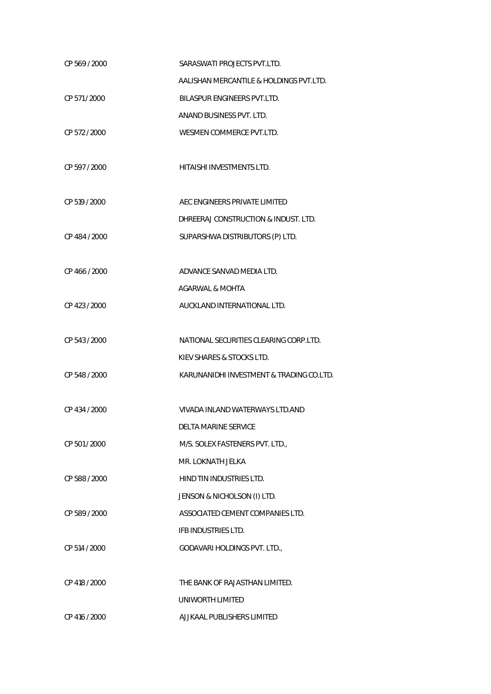| CP 569 / 2000 | SARASWATI PROJECTS PVT.LTD.              |
|---------------|------------------------------------------|
|               | AALISHAN MERCANTILE & HOLDINGS PVT.LTD.  |
| CP 571 / 2000 | <b>BILASPUR ENGINEERS PVT.LTD.</b>       |
|               | ANAND BUSINESS PVT. LTD.                 |
| CP 572 / 2000 | WESMEN COMMERCE PVT.LTD.                 |
|               |                                          |
| CP 597 / 2000 | HITAISHI INVESTMENTS LTD.                |
|               |                                          |
| CP 519 / 2000 | AEC ENGINEERS PRIVATE LIMITED            |
|               | DHREERAJ CONSTRUCTION & INDUST. LTD.     |
| CP 484 / 2000 | SUPARSHWA DISTRIBUTORS (P) LTD.          |
|               |                                          |
| CP 466 / 2000 | ADVANCE SANVAD MEDIA LTD.                |
|               | <b>AGARWAL &amp; MOHTA</b>               |
| CP 423 / 2000 | AUCKLAND INTERNATIONAL LTD.              |
|               |                                          |
| CP 543 / 2000 | NATIONAL SECURITIES CLEARING CORP.LTD.   |
|               | KIEV SHARES & STOCKS LTD.                |
| CP 548 / 2000 | KARUNANIDHI INVESTMENT & TRADING CO.LTD. |
|               |                                          |
| CP 434 / 2000 | VIVADA INLAND WATERWAYS LTD.AND          |
|               | DELTA MARINE SERVICE                     |
| CP 501 / 2000 | M/S. SOLEX FASTENERS PVT. LTD.,          |
|               | MR. LOKNATH JELKA                        |
| CP 588 / 2000 | HIND TIN INDUSTRIES LTD.                 |
|               | JENSON & NICHOLSON (I) LTD.              |
| CP 589 / 2000 | ASSOCIATED CEMENT COMPANIES LTD.         |
|               | IFB INDUSTRIES LTD.                      |
| CP 514 / 2000 | GODAVARI HOLDINGS PVT. LTD.,             |
|               |                                          |
| CP 418 / 2000 | THE BANK OF RAJASTHAN LIMITED.           |
|               | UNIWORTH LIMITED                         |
| CP 416 / 2000 | AJJKAAL PUBLISHERS LIMITED               |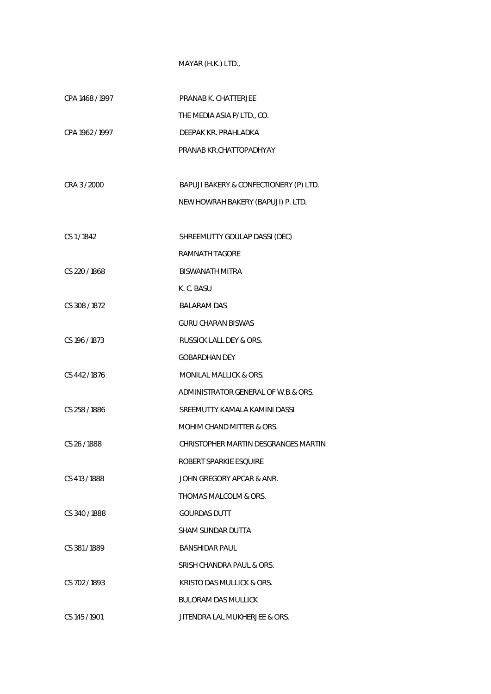## MAYAR (H.K.) LTD.,

| CPA 1468 / 1997 | PRANAB K. CHATTERJEE                   |
|-----------------|----------------------------------------|
|                 | THE MEDIA ASIA P/LTD., CO.             |
| CPA 1962 / 1997 | DEEPAK KR. PRAHLADKA                   |
|                 | PRANAB KR.CHATTOPADHYAY                |
|                 |                                        |
| CRA 3 / 2000    | BAPUJI BAKERY & CONFECTIONERY (P) LTD. |
|                 | NEW HOWRAH BAKERY (BAPUJI) P. LTD.     |
|                 |                                        |
| CS 1/1842       | SHREEMUTTY GOULAP DASSI (DEC)          |
|                 | <b>RAMNATH TAGORE</b>                  |
| CS 220 / 1868   | <b>BISWANATH MITRA</b>                 |
|                 | K. C. BASU                             |
| CS 308 / 1872   | <b>BALARAM DAS</b>                     |
|                 | <b>GURU CHARAN BISWAS</b>              |
| CS 196 / 1873   | <b>RUSSICK LALL DEY &amp; ORS.</b>     |
|                 | <b>GOBARDHAN DEY</b>                   |
| CS 442/1876     | MONILAL MALLICK & ORS.                 |
|                 | ADMINISTRATOR GENERAL OF W.B.& ORS.    |
| CS 258 / 1886   | SREEMUTTY KAMALA KAMINI DASSI          |
|                 | MOHIM CHAND MITTER & ORS.              |
| CS 26/1888      | CHRISTOPHER MARTIN DESGRANGES MARTIN   |
|                 | ROBERT SPARKIE ESQUIRE                 |
| CS 413 / 1888   | JOHN GREGORY APCAR & ANR.              |
|                 | THOMAS MALCOLM & ORS.                  |
| CS 340/1888     | <b>GOURDAS DUTT</b>                    |
|                 | SHAM SUNDAR DUTTA                      |
| CS 381/1889     | <b>BANSHIDAR PAUL</b>                  |
|                 | SRISH CHANDRA PAUL & ORS.              |
| CS 702/1893     | KRISTO DAS MULLICK & ORS.              |
|                 | <b>BULORAM DAS MULLICK</b>             |
| CS 145 / 1901   | JITENDRA LAL MUKHERJEE & ORS.          |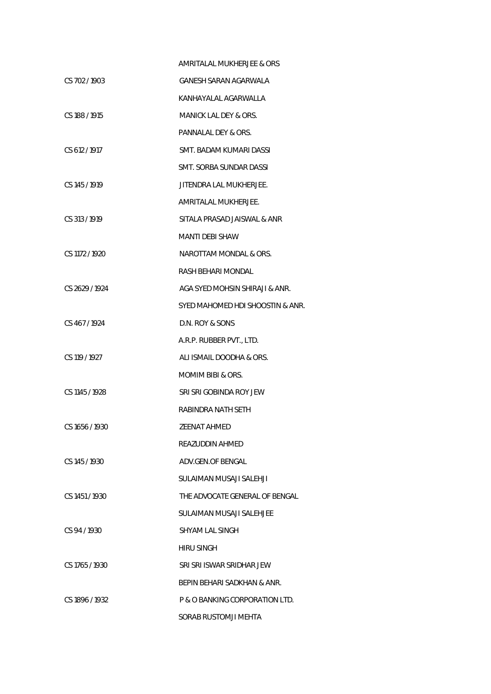|                | AMRITALAL MUKHERJEE & ORS        |
|----------------|----------------------------------|
| CS 702/1903    | GANESH SARAN AGARWALA            |
|                | KANHAYALAL AGARWALLA             |
| CS 188/1915    | MANICK LAL DEY & ORS.            |
|                | PANNALAL DEY & ORS.              |
| CS 612/1917    | SMT. BADAM KUMARI DASSI          |
|                | SMT. SORBA SUNDAR DASSI          |
| CS 145 / 1919  | JITENDRA LAL MUKHERJEE.          |
|                | AMRITALAL MUKHERJEE.             |
| CS 313/1919    | SITALA PRASAD JAISWAL & ANR      |
|                | MANTI DEBI SHAW                  |
| CS 1172 / 1920 | NAROTTAM MONDAL & ORS.           |
|                | RASH BEHARI MONDAL               |
| CS 2629 / 1924 | AGA SYED MOHSIN SHIRAJI & ANR.   |
|                | SYED MAHOMED HDI SHOOSTIN & ANR. |
| CS 467/1924    | D.N. ROY & SONS                  |
|                | A.R.P. RUBBER PVT., LTD.         |
| CS 119 / 1927  | ALI ISMAIL DOODHA & ORS.         |
|                | MOMIM BIBI & ORS.                |
| CS 1145 / 1928 | SRI SRI GOBINDA ROY JEW          |
|                | RABINDRA NATH SETH               |
| CS 1656/1930   | <b>ZEENAT AHMED</b>              |
|                | REAZUDDIN AHMED                  |
| CS 145 / 1930  | ADV.GEN.OF BENGAL                |
|                | SULAIMAN MUSAJI SALEHJI          |
| CS 1451/1930   | THE ADVOCATE GENERAL OF BENGAL   |
|                | SULAIMAN MUSAJI SALEHJEE         |
| CS 94/1930     | SHYAM LAL SINGH                  |
|                | HIRU SINGH                       |
| CS 1765 / 1930 | SRI SRI ISWAR SRIDHAR JEW        |
|                | BEPIN BEHARI SADKHAN & ANR.      |
| CS 1896 / 1932 | P & O BANKING CORPORATION LTD.   |
|                | SORAB RUSTOMJI MEHTA             |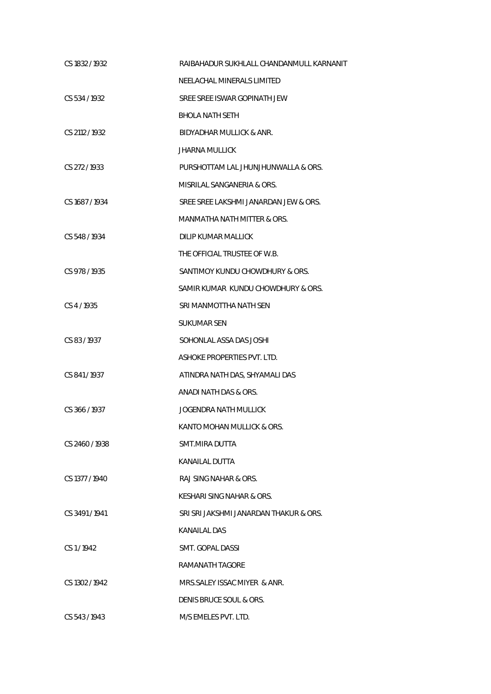| CS 1832 / 1932 | RAIBAHADUR SUKHLALL CHANDANMULL KARNANIT |
|----------------|------------------------------------------|
|                | NEELACHAL MINERALS LIMITED               |
| CS 534/1932    | SREE SREE ISWAR GOPINATH JEW             |
|                | <b>BHOLA NATH SETH</b>                   |
| CS 2112 / 1932 | BIDYADHAR MULLICK & ANR.                 |
|                | <b>JHARNA MULLICK</b>                    |
| CS 272/1933    | PURSHOTTAM LAL JHUNJHUNWALLA & ORS.      |
|                | MISRILAL SANGANERIA & ORS.               |
| CS 1687/1934   | SREE SREE LAKSHMI JANARDAN JEW & ORS.    |
|                | MANMATHA NATH MITTER & ORS.              |
| CS 548 / 1934  | DILIP KUMAR MALLICK                      |
|                | THE OFFICIAL TRUSTEE OF W.B.             |
| CS 978 / 1935  | SANTIMOY KUNDU CHOWDHURY & ORS.          |
|                | SAMIR KUMAR KUNDU CHOWDHURY & ORS.       |
| CS 4/1935      | SRI MANMOTTHA NATH SEN                   |
|                | SUKUMAR SEN                              |
| CS 83/1937     | SOHONLAL ASSA DAS JOSHI                  |
|                | ASHOKE PROPERTIES PVT. LTD.              |
| CS 841/1937    | ATINDRA NATH DAS, SHYAMALI DAS           |
|                | ANADI NATH DAS & ORS.                    |
| CS 366/1937    | <b>JOGENDRA NATH MULLICK</b>             |
|                | KANTO MOHAN MULLICK & ORS.               |
| CS 2460/1938   | SMT.MIRA DUTTA                           |
|                | KANAILAL DUTTA                           |
| CS 1377 / 1940 | RAJ SING NAHAR & ORS.                    |
|                | KESHARI SING NAHAR & ORS.                |
| CS 3491/1941   | SRI SRI JAKSHMI JANARDAN THAKUR & ORS.   |
|                | KANAILAL DAS                             |
| CS 1/1942      | SMT. GOPAL DASSI                         |
|                | RAMANATH TAGORE                          |
| CS 1302 / 1942 | MRS. SALEY ISSAC MIYER & ANR.            |
|                | DENIS BRUCE SOUL & ORS.                  |
| CS 543/1943    | M/S EMELES PVT. LTD.                     |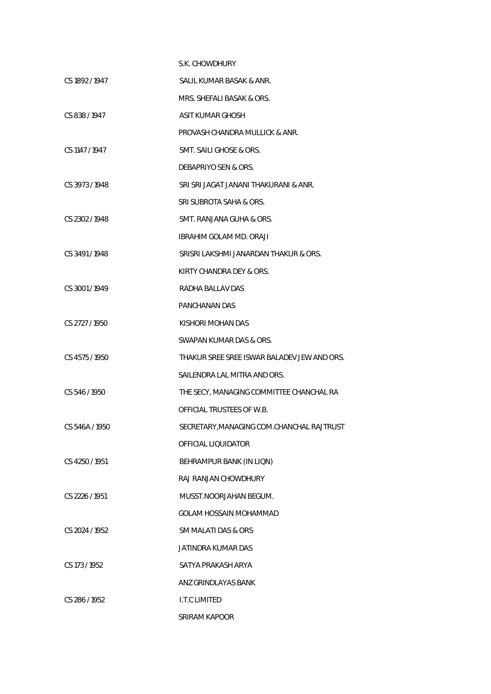|                | S.K. CHOWDHURY                              |
|----------------|---------------------------------------------|
| CS 1892 / 1947 | SALIL KUMAR BASAK & ANR.                    |
|                | MRS. SHEFALI BASAK & ORS.                   |
| CS 838/1947    | ASIT KUMAR GHOSH                            |
|                | PROVASH CHANDRA MULLICK & ANR.              |
| CS 1147 / 1947 | SMT. SAILI GHOSE & ORS.                     |
|                | DEBAPRIYO SEN & ORS.                        |
| CS 3973/1948   | SRI SRI JAGAT JANANI THAKURANI & ANR.       |
|                | SRI SUBROTA SAHA & ORS.                     |
| CS 2302 / 1948 | SMT. RANJANA GUHA & ORS.                    |
|                | <b>IBRAHIM GOLAM MD. ORAJI</b>              |
| CS 3491/1948   | SRISRI LAKSHMI JANARDAN THAKUR & ORS.       |
|                | KIRTY CHANDRA DEY & ORS.                    |
| CS 3001/1949   | RADHA BALLAV DAS                            |
|                | PANCHANAN DAS                               |
| CS 2727 / 1950 | KISHORI MOHAN DAS                           |
|                | SWAPAN KUMAR DAS & ORS.                     |
| CS 4575/1950   | THAKUR SREE SREE ISWAR BALADEV JEW AND ORS. |
|                | SAILENDRA LAL MITRA AND ORS.                |
| CS 546 / 1950  | THE SECY, MANAGING COMMITTEE CHANCHAL RA    |
|                | OFFICIAL TRUSTEES OF W.B.                   |
| CS 546A / 1950 | SECRETARY, MANAGING COM. CHANCHAL RAJTRUST  |
|                | OFFICIAL LIQUIDATOR                         |
| CS 4250 / 1951 | BEHRAMPUR BANK (IN LIQN)                    |
|                | RAJ RANJAN CHOWDHURY                        |
| CS 2226 / 1951 | MUSST.NOORJAHAN BEGUM.                      |
|                | GOLAM HOSSAIN MOHAMMAD                      |
| CS 2024 / 1952 | SM MALATI DAS & ORS                         |
|                | JATINDRA KUMAR DAS                          |
| CS 173 / 1952  | SATYA PRAKASH ARYA                          |
|                | ANZ GRINDLAYAS BANK                         |
| CS 286 / 1952  | I.T.C LIMITED                               |
|                | SRIRAM KAPOOR                               |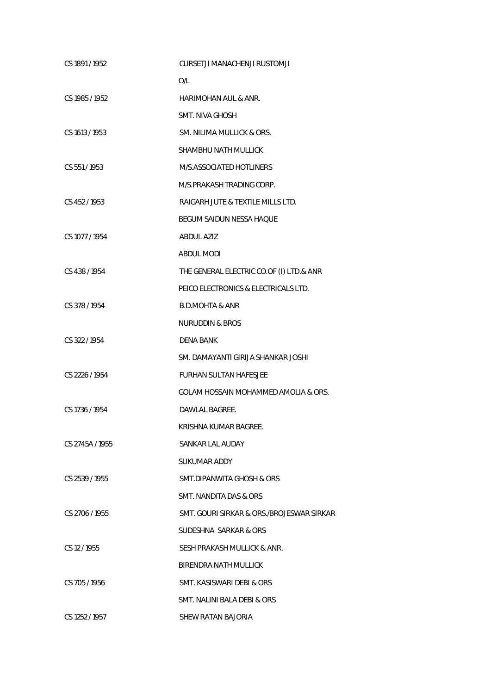| CS 1891 / 1952  | CURSETJI MANACHENJI RUSTOMJI              |
|-----------------|-------------------------------------------|
|                 | O/L                                       |
| CS 1985 / 1952  | HARIMOHAN AUL & ANR.                      |
|                 | <b>SMT. NIVA GHOSH</b>                    |
| CS 1613 / 1953  | SM. NILIMA MULLICK & ORS.                 |
|                 | SHAMBHU NATH MULLICK                      |
| CS 551/1953     | M/S.ASSOCIATED HOTLINERS                  |
|                 | M/S.PRAKASH TRADING CORP.                 |
| CS 452/1953     | RAIGARH JUTE & TEXTILE MILLS LTD.         |
|                 | BEGUM SAIDUN NESSA HAQUE                  |
| CS 1077 / 1954  | <b>ABDUL AZIZ</b>                         |
|                 | <b>ABDUL MODI</b>                         |
| CS 438 / 1954   | THE GENERAL ELECTRIC CO.OF (I) LTD.& ANR  |
|                 | PEICO ELECTRONICS & ELECTRICALS LTD.      |
| CS 378 / 1954   | <b>B.D.MOHTA &amp; ANR</b>                |
|                 | NURUDDIN & BROS                           |
| CS 322/1954     | DENA BANK                                 |
|                 | SM. DAMAYANTI GIRIJA SHANKAR JOSHI        |
| CS 2226 / 1954  | <b>FURHAN SULTAN HAFESJEE</b>             |
|                 | GOLAM HOSSAIN MOHAMMED AMOLIA & ORS.      |
| CS 1736 / 1954  | DAWLAL BAGREE.                            |
|                 | KRISHNA KUMAR BAGREE.                     |
| CS 2745A / 1955 | SANKAR LAL AUDAY                          |
|                 | <b>SUKUMAR ADDY</b>                       |
| CS 2539/1955    | SMT.DIPANWITA GHOSH & ORS                 |
|                 | SMT. NANDITA DAS & ORS                    |
| CS 2706 / 1955  | SMT. GOURI SIRKAR & ORS./BROJESWAR SIRKAR |
|                 | SUDESHNA SARKAR & ORS                     |
| CS 12/1955      | SESH PRAKASH MULLICK & ANR.               |
|                 | BIRENDRA NATH MULLICK                     |
| CS 705/1956     | SMT. KASISWARI DEBI & ORS                 |
|                 | SMT. NALINI BALA DEBI & ORS               |
| CS 1252/1957    | SHEW RATAN BAJORIA                        |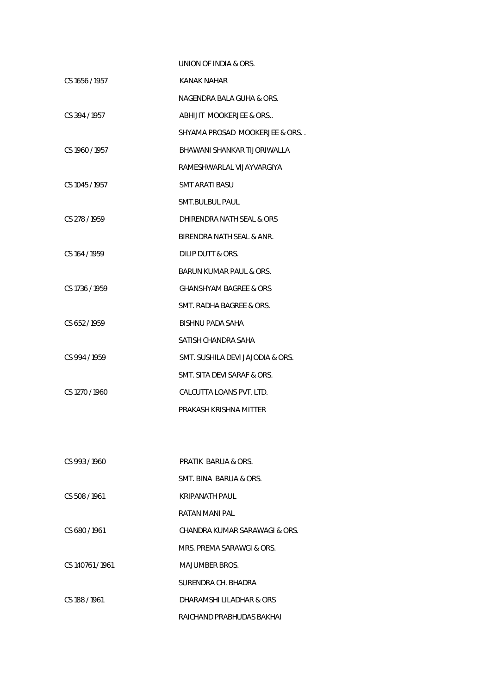|                | UNION OF INDIA & ORS.             |
|----------------|-----------------------------------|
| CS 1656 / 1957 | <b>KANAK NAHAR</b>                |
|                | NAGENDRA BALA GUHA & ORS.         |
| CS 394/1957    | ABHIJIT MOOKERJEE & ORS           |
|                | SHYAMA PROSAD MOOKERJEE & ORS. .  |
| CS 1960 / 1957 | BHAWANI SHANKAR TIJORIWALLA       |
|                | RAMESHWARLAL VIJAYVARGIYA         |
| CS 1045 / 1957 | SMT ARATI BASU                    |
|                | SMT.BULBUL PAUL                   |
| CS 278 / 1959  | DHIRENDRA NATH SEAL & ORS         |
|                | BIRENDRA NATH SEAL & ANR.         |
| CS 164 / 1959  | DILIP DUTT & ORS.                 |
|                | BARUN KUMAR PAUL & ORS.           |
| CS 1736 / 1959 | <b>GHANSHYAM BAGREE &amp; ORS</b> |
|                | SMT. RADHA BAGREE & ORS.          |
| CS 652/1959    | BISHNU PADA SAHA                  |
|                | SATISH CHANDRA SAHA               |
| CS 994 / 1959  | SMT. SUSHILA DEVI JAJODIA & ORS.  |
|                | SMT. SITA DEVI SARAF & ORS.       |
| CS 1270 / 1960 | CALCUTTA LOANS PVT. LTD.          |
|                | PRAKASH KRISHNA MITTER            |
|                |                                   |
|                |                                   |
| CS 993/1960    | PRATIK BARUA & ORS.               |
|                | SMT. BINA BARUA & ORS.            |
| CS 508/1961    | KRIPANATH PAUL                    |
|                | RATAN MANI PAL                    |
| CS 680/1961    | CHANDRA KUMAR SARAWAGI & ORS.     |
|                | MRS. PREMA SARAWGI & ORS.         |

CS 140761 / 1961 MAJUMBER BROS.

SURENDRA CH. BHADRA

CS 188 / 1961 DHARAMSHI LILADHAR & ORS

RAICHAND PRABHUDAS BAKHAI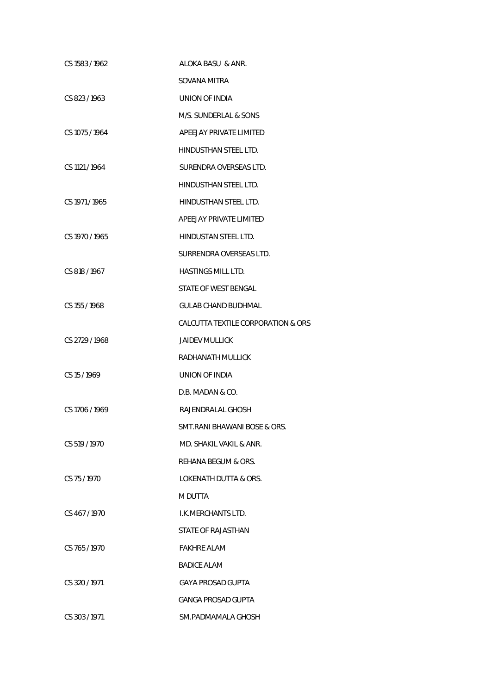| CS 1583/1962   | ALOKA BASU & ANR.                  |
|----------------|------------------------------------|
|                | SOVANA MITRA                       |
| CS 823/1963    | UNION OF INDIA                     |
|                | M/S. SUNDERLAL & SONS              |
| CS 1075 / 1964 | APEEJAY PRIVATE LIMITED            |
|                | HINDUSTHAN STEEL LTD.              |
| CS 1121 / 1964 | SURENDRA OVERSEAS LTD.             |
|                | HINDUSTHAN STEEL LTD.              |
| CS 1971 / 1965 | HINDUSTHAN STEEL LTD.              |
|                | APEEJAY PRIVATE LIMITED            |
| CS 1970 / 1965 | HINDUSTAN STEEL LTD.               |
|                | SURRENDRA OVERSEAS LTD.            |
| CS 818 / 1967  | <b>HASTINGS MILL LTD.</b>          |
|                | STATE OF WEST BENGAL               |
| CS 155 / 1968  | GULAB CHAND BUDHMAL                |
|                | CALCUTTA TEXTILE CORPORATION & ORS |
| CS 2729 / 1968 | <b>JAIDEV MULLICK</b>              |
|                | RADHANATH MULLICK                  |
| CS 15/1969     | UNION OF INDIA                     |
|                | D.B. MADAN & CO.                   |
| CS 1706 / 1969 | RAJENDRALAL GHOSH                  |
|                | SMT.RANI BHAWANI BOSE & ORS.       |
| CS 519/1970    | MD. SHAKII VAKII & ANR.            |
|                | REHANA BEGUM & ORS.                |
| CS 75/1970     | LOKENATH DUTTA & ORS.              |
|                | M DUTTA                            |
| CS 467/1970    | I.K.MERCHANTS LTD.                 |
|                | STATE OF RAJASTHAN                 |
| CS 765/1970    | <b>FAKHRE ALAM</b>                 |
|                | <b>BADICE ALAM</b>                 |
| CS 320 / 1971  | GAYA PROSAD GUPTA                  |
|                | GANGA PROSAD GUPTA                 |
| CS 303 / 1971  | SM.PADMAMALA GHOSH                 |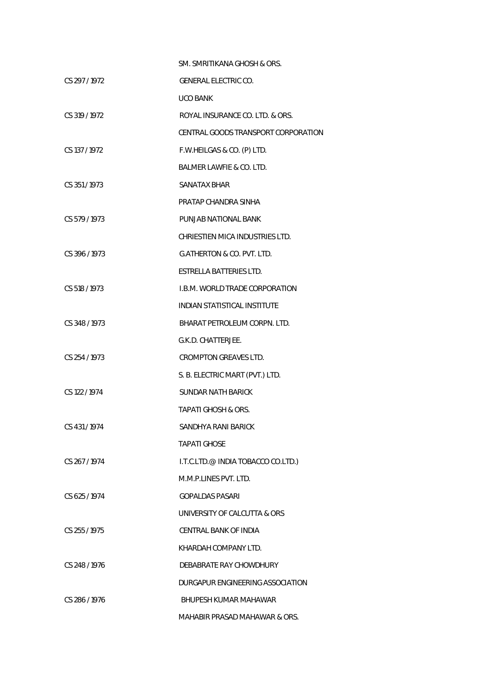|               | SM. SMRITIKANA GHOSH & ORS.           |
|---------------|---------------------------------------|
| CS 297/1972   | <b>GENERAL ELECTRIC CO.</b>           |
|               | UCO BANK                              |
| CS 319 / 1972 | ROYAL INSURANCE CO. LTD. & ORS.       |
|               | CENTRAL GOODS TRANSPORT CORPORATION   |
| CS 137 / 1972 | F.W.HEILGAS & CO. (P) LTD.            |
|               | BALMER LAWFIE & CO. LTD.              |
| CS 351/1973   | SANATAX BHAR                          |
|               | PRATAP CHANDRA SINHA                  |
| CS 579 / 1973 | PUNJAB NATIONAL BANK                  |
|               | CHRIESTIEN MICA INDUSTRIES LTD.       |
| CS 396 / 1973 | <b>G.ATHERTON &amp; CO. PVT. LTD.</b> |
|               | <b>ESTRELLA BATTERIES LTD.</b>        |
| CS 518 / 1973 | I.B.M. WORLD TRADE CORPORATION        |
|               | <b>INDIAN STATISTICAL INSTITUTE</b>   |
| CS 348/1973   | BHARAT PETROLEUM CORPN. LTD.          |
|               | G.K.D. CHATTERJEE.                    |
| CS 254/1973   | <b>CROMPTON GREAVES LTD.</b>          |
|               | S. B. ELECTRIC MART (PVT.) LTD.       |
| CS 122 / 1974 | <b>SUNDAR NATH BARICK</b>             |
|               | TAPATI GHOSH & ORS.                   |
| CS 431/1974   | SANDHYA RANI BARICK                   |
|               | TAPATI GHOSE                          |
| CS 267/1974   | I.T.C.LTD.@ INDIA TOBACCO CO.LTD.)    |
|               | M.M.P.LINES PVT. LTD.                 |
| CS 625/1974   | <b>GOPALDAS PASARI</b>                |
|               | UNIVERSITY OF CALCUTTA & ORS          |
| CS 255/1975   | CENTRAL BANK OF INDIA                 |
|               | KHARDAH COMPANY LTD.                  |
| CS 248/1976   | DEBABRATE RAY CHOWDHURY               |
|               | DURGAPUR ENGINEERING ASSOCIATION      |
| CS 286/1976   | BHUPESH KUMAR MAHAWAR                 |
|               | MAHABIR PRASAD MAHAWAR & ORS.         |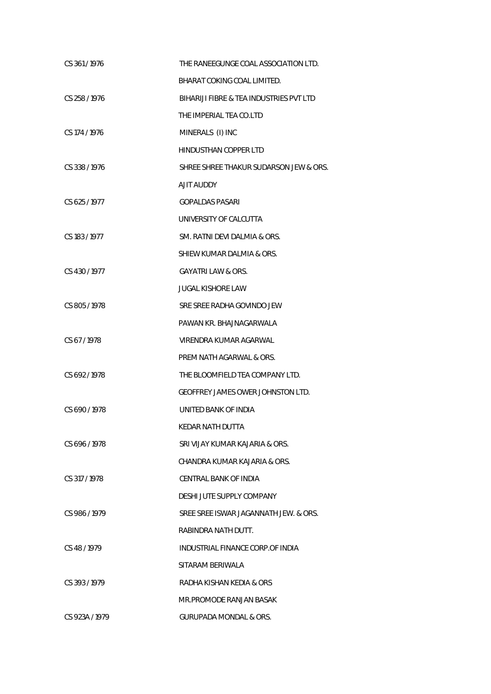| CS 361/1976    | THE RANEEGUNGE COAL ASSOCIATION LTD.    |
|----------------|-----------------------------------------|
|                | BHARAT COKING COAL LIMITED.             |
| CS 258 / 1976  | BIHARIJI FIBRE & TEA INDUSTRIES PVT LTD |
|                | THE IMPERIAL TEA CO.LTD                 |
| CS 174 / 1976  | MINERALS (I) INC                        |
|                | <b>HINDUSTHAN COPPER LTD</b>            |
| CS 338/1976    | SHREE SHREE THAKUR SUDARSON JEW & ORS.  |
|                | AJIT AUDDY                              |
| CS 625/1977    | <b>GOPALDAS PASARI</b>                  |
|                | UNIVERSITY OF CALCUTTA                  |
| CS 183/1977    | SM. RATNI DEVI DALMIA & ORS.            |
|                | SHIEW KUMAR DALMIA & ORS.               |
| CS 430/1977    | GAYATRI LAW & ORS.                      |
|                | <b>JUGAL KISHORE LAW</b>                |
| CS 805/1978    | SRE SREE RADHA GOVINDO JEW              |
|                | PAWAN KR. BHAJNAGARWALA                 |
| CS 67/1978     | VIRENDRA KUMAR AGARWAL                  |
|                | PREM NATH AGARWAL & ORS.                |
| CS 692/1978    | THE BLOOMFIELD TEA COMPANY LTD.         |
|                | GEOFFREY JAMES OWER JOHNSTON LTD.       |
| CS 690/1978    | UNITED BANK OF INDIA                    |
|                | KEDAR NATH DUTTA                        |
| CS 696/1978    | SRI VIJAY KUMAR KAJARIA & ORS.          |
|                | CHANDRA KUMAR KAJARIA & ORS.            |
| CS 317/1978    | CENTRAL BANK OF INDIA                   |
|                | DESHI JUTE SUPPLY COMPANY               |
| CS 986/1979    | SREE SREE ISWAR JAGANNATH JEW. & ORS.   |
|                | RABINDRA NATH DUTT.                     |
| CS 48/1979     | INDUSTRIAL FINANCE CORP.OF INDIA        |
|                | SITARAM BERIWALA                        |
| CS 393/1979    | RADHA KISHAN KEDIA & ORS                |
|                | MR.PROMODE RANJAN BASAK                 |
| CS 923A / 1979 | <b>GURUPADA MONDAL &amp; ORS.</b>       |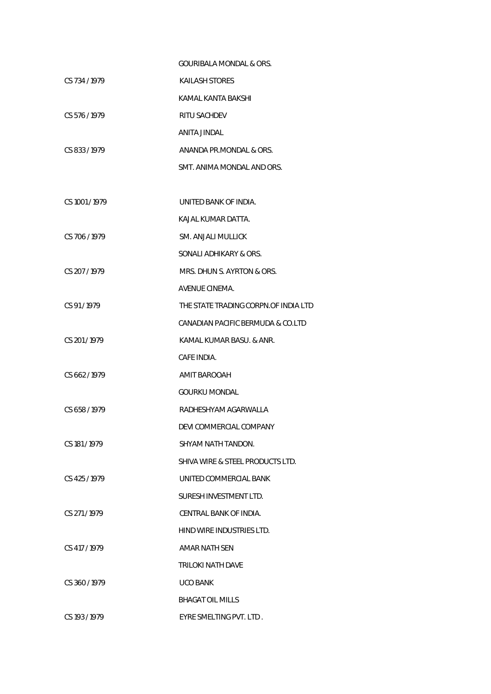|               | <b>GOURIBALA MONDAL &amp; ORS.</b>   |
|---------------|--------------------------------------|
| CS 734/1979   | <b>KAILASH STORES</b>                |
|               | KAMAL KANTA BAKSHI                   |
| CS 576/1979   | RITU SACHDEV                         |
|               | ANITA JINDAL                         |
| CS 833/1979   | ANANDA PR.MONDAL & ORS.              |
|               | SMT. ANIMA MONDAL AND ORS.           |
|               |                                      |
| CS 1001/1979  | UNITED BANK OF INDIA.                |
|               | KAJAL KUMAR DATTA.                   |
| CS 706 / 1979 | SM. ANJALI MULLICK                   |
|               | SONALI ADHIKARY & ORS.               |
| CS 207/1979   | MRS. DHUN S. AYRTON & ORS.           |
|               | AVENUE CINEMA.                       |
| CS 91/1979    | THE STATE TRADING CORPN.OF INDIA LTD |
|               | CANADIAN PACIFIC BERMUDA & CO.LTD    |
| CS 201/1979   | KAMAL KUMAR BASU. & ANR.             |
|               | CAFE INDIA.                          |
| CS 662/1979   | AMIT BAROOAH                         |
|               | <b>GOURKU MONDAL</b>                 |
| CS 658/1979   | RADHESHYAM AGARWALLA                 |
|               | DEVI COMMERCIAL COMPANY              |
| CS 181/1979   | SHYAM NATH TANDON.                   |
|               | SHIVA WIRE & STEEL PRODUCTS LTD.     |
| CS 425/1979   | UNITED COMMERCIAL BANK               |
|               | SURESH INVESTMENT LTD.               |
| CS 271/1979   | CENTRAL BANK OF INDIA.               |
|               | HIND WIRE INDUSTRIES LTD.            |
| CS 417/1979   | AMAR NATH SEN                        |
|               | TRILOKI NATH DAVE                    |
| CS 360/1979   | <b>UCO BANK</b>                      |
|               | <b>BHAGAT OIL MILLS</b>              |
| CS 193/1979   | EYRE SMELTING PVT. LTD.              |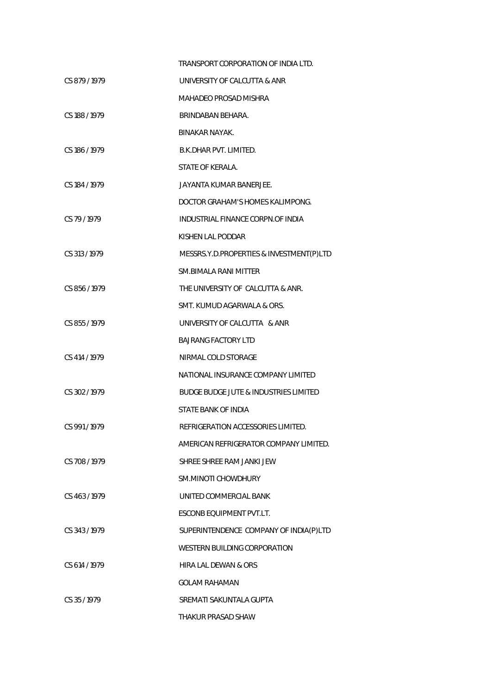|                 | TRANSPORT CORPORATION OF INDIA LTD.              |
|-----------------|--------------------------------------------------|
| CS 879/1979     | UNIVERSITY OF CALCUTTA & ANR                     |
|                 | MAHADEO PROSAD MISHRA                            |
| CS 188 / 1979   | BRINDABAN BEHARA.                                |
|                 | <b>BINAKAR NAYAK.</b>                            |
| CS 186/1979     | B.K.DHAR PVT. LIMITED.                           |
|                 | STATE OF KERALA.                                 |
| CS 184 / 1979   | JAYANTA KUMAR BANERJEE.                          |
|                 | DOCTOR GRAHAM'S HOMES KALIMPONG.                 |
| CS 79/1979      | INDUSTRIAL FINANCE CORPN.OF INDIA                |
|                 | KISHEN LAL PODDAR                                |
| CS 313 / 1979   | MESSRS.Y.D.PROPERTIES & INVESTMENT(P)LTD         |
|                 | SM. BIMALA RANI MITTER                           |
| CS 856/1979     | THE UNIVERSITY OF CALCUTTA & ANR.                |
|                 | SMT. KUMUD AGARWALA & ORS.                       |
| CS 855/1979     | UNIVERSITY OF CALCUTTA & ANR                     |
|                 | <b>BAJRANG FACTORY LTD</b>                       |
| CS 414 / 1979   | NIRMAL COLD STORAGE                              |
|                 | NATIONAL INSURANCE COMPANY LIMITED               |
| CS 302/1979     | <b>BUDGE BUDGE JUTE &amp; INDUSTRIES LIMITED</b> |
|                 | STATE BANK OF INDIA                              |
| CS 991/1979     | REFRIGERATION ACCESSORIES LIMITED.               |
|                 | AMERICAN REFRIGERATOR COMPANY LIMITED.           |
| CS 708/1979     | SHRFF SHRFF RAM JANKLIFW                         |
|                 | SM.MINOTI CHOWDHURY                              |
| $CS$ 463 / 1979 | UNITED COMMERCIAL BANK                           |
|                 | ESCONB EOUIPMENT PVT.LT.                         |
| CS 343/1979     | SUPERINTENDENCE COMPANY OF INDIA(P)LTD           |
|                 | WESTERN BUILDING CORPORATION                     |
| CS 614 / 1979   | HIRA LAL DEWAN & ORS                             |
|                 | <b>GOLAM RAHAMAN</b>                             |
| CS 35/1979      | SREMATI SAKUNTALA GUPTA                          |
|                 | THAKUR PRASAD SHAW                               |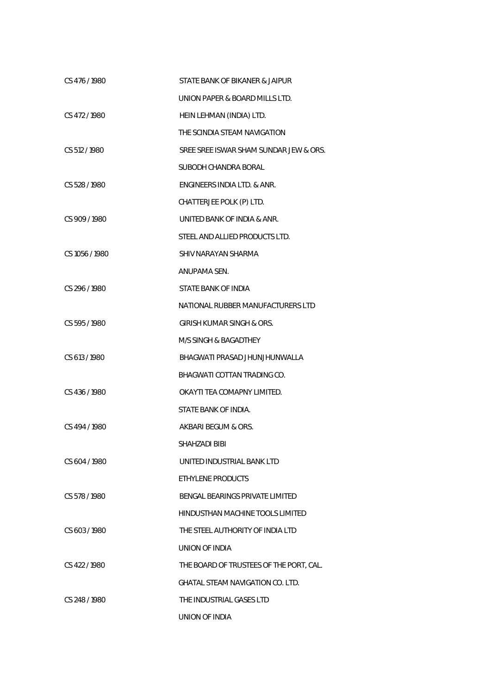| CS 476/1980    | STATE BANK OF BIKANER & JAIPUR          |
|----------------|-----------------------------------------|
|                | UNION PAPER & BOARD MILLS LTD.          |
| CS 472/1980    | HEIN LEHMAN (INDIA) LTD.                |
|                | THE SCINDIA STEAM NAVIGATION            |
| CS 512/1980    | SREE SREE ISWAR SHAM SUNDAR JEW & ORS.  |
|                | SUBODH CHANDRA BORAL                    |
| CS 528/1980    | ENGINEERS INDIA LTD. & ANR.             |
|                | CHATTERJEE POLK (P) LTD.                |
| CS 909/1980    | UNITED BANK OF INDIA & ANR.             |
|                | STEEL AND ALLIED PRODUCTS LTD.          |
| CS 1056 / 1980 | SHIV NARAYAN SHARMA                     |
|                | ANUPAMA SEN.                            |
| CS 296/1980    | STATE BANK OF INDIA                     |
|                | NATIONAL RUBBER MANUFACTURERS LTD       |
| CS 595/1980    | GIRISH KUMAR SINGH & ORS.               |
|                | M/S SINGH & BAGADTHEY                   |
| CS 613 / 1980  | BHAGWATI PRASAD JHUNJHUNWALLA           |
|                | BHAGWATI COTTAN TRADING CO.             |
| CS 436/1980    | OKAYTI TEA COMAPNY LIMITED.             |
|                | STATE BANK OF INDIA.                    |
| CS 494/1980    | AKBARI BEGUM & ORS.                     |
|                | SHAHZADI BIBI                           |
| CS 604 / 1980  | UNITED INDUSTRIAL BANK LTD              |
|                | ETHYLENE PRODUCTS                       |
| CS 578/1980    | BENGAL BEARINGS PRIVATE LIMITED         |
|                | HINDUSTHAN MACHINE TOOLS LIMITED        |
| CS 603/1980    | THE STEEL AUTHORITY OF INDIA LTD        |
|                | UNION OF INDIA                          |
| CS 422/1980    | THE BOARD OF TRUSTEES OF THE PORT, CAL. |
|                | GHATAL STEAM NAVIGATION CO. LTD.        |
| CS 248 / 1980  | THE INDUSTRIAL GASES LTD                |
|                | UNION OF INDIA                          |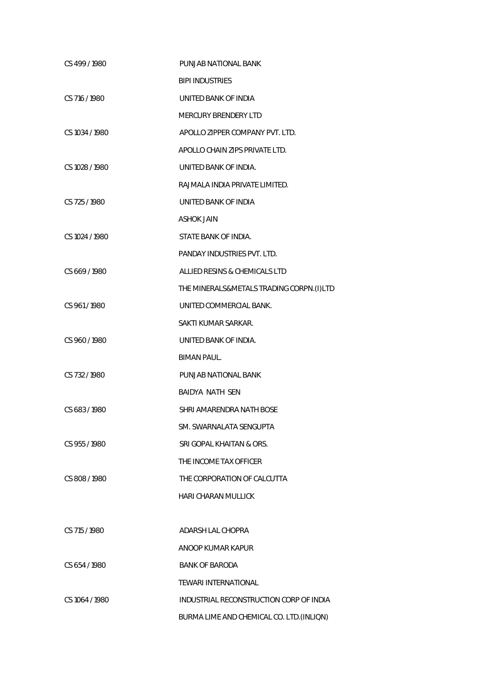| CS 499/1980    | PUNJAB NATIONAL BANK                     |
|----------------|------------------------------------------|
|                | <b>BIPI INDUSTRIES</b>                   |
| CS 716 / 1980  | UNITED BANK OF INDIA                     |
|                | <b>MERCURY BRENDERY LTD</b>              |
| CS 1034 / 1980 | APOLLO ZIPPER COMPANY PVT. LTD.          |
|                | APOLLO CHAIN ZIPS PRIVATE LTD.           |
| CS 1028 / 1980 | UNITED BANK OF INDIA.                    |
|                | RAJMALA INDIA PRIVATE LIMITED.           |
| CS 725 / 1980  | UNITED BANK OF INDIA                     |
|                | <b>ASHOK JAIN</b>                        |
| CS 1024 / 1980 | STATE BANK OF INDIA.                     |
|                | PANDAY INDUSTRIES PVT. LTD.              |
| CS 669/1980    | ALLIED RESINS & CHEMICALS LTD            |
|                | THE MINERALS&METALS TRADING CORPN.(I)LTD |
| CS 961/1980    | UNITED COMMERCIAL BANK.                  |
|                | SAKTI KUMAR SARKAR.                      |
| CS 960/1980    | UNITED BANK OF INDIA.                    |
|                | BIMAN PAUL.                              |
| CS 732 / 1980  | PUNJAB NATIONAL BANK                     |
|                | <b>BAIDYA NATH SEN</b>                   |
| CS 683/1980    | SHRI AMARENDRA NATH BOSE                 |
|                | SM. SWARNALATA SENGUPTA                  |
| CS 955/1980    | SRI GOPAL KHAITAN & ORS.                 |
|                | THE INCOME TAX OFFICER                   |
| CS 808/1980    | THE CORPORATION OF CALCUTTA              |
|                | HARI CHARAN MULLICK                      |
|                |                                          |
| CS 715 / 1980  | ADARSH LAL CHOPRA                        |
|                | ANOOP KUMAR KAPUR                        |
| CS 654/1980    | <b>BANK OF BARODA</b>                    |
|                | TEWARI INTERNATIONAL                     |
| CS 1064 / 1980 | INDUSTRIAL RECONSTRUCTION CORP OF INDIA  |
|                | BURMA LIME AND CHEMICAL CO. LTD.(INLIQN) |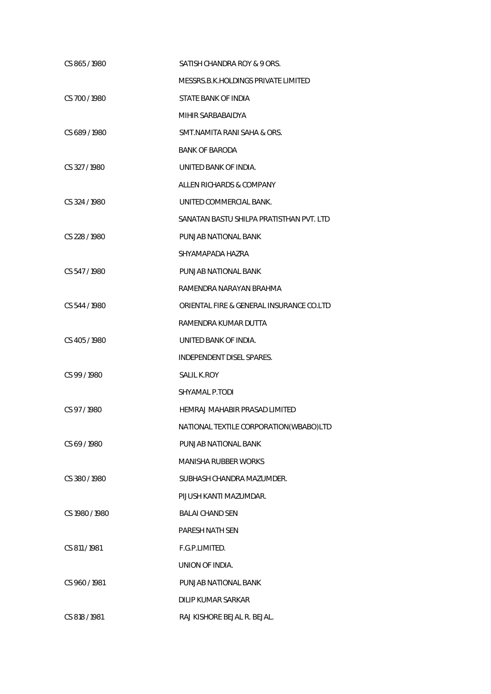| CS 865/1980    | SATISH CHANDRA ROY & 9 ORS.              |
|----------------|------------------------------------------|
|                | MESSRS.B.K.HOLDINGS PRIVATE LIMITED      |
| CS 700/1980    | STATE BANK OF INDIA                      |
|                | MIHIR SARBABAIDYA                        |
| CS 689/1980    | SMT.NAMITA RANI SAHA & ORS.              |
|                | <b>BANK OF BARODA</b>                    |
| CS 327/1980    | UNITED BANK OF INDIA.                    |
|                | ALLEN RICHARDS & COMPANY                 |
| CS 324 / 1980  | UNITED COMMERCIAL BANK.                  |
|                | SANATAN BASTU SHILPA PRATISTHAN PVT. LTD |
| CS 228 / 1980  | PUNJAB NATIONAL BANK                     |
|                | SHYAMAPADA HAZRA                         |
| CS 547/1980    | PUNJAB NATIONAL BANK                     |
|                | RAMENDRA NARAYAN BRAHMA                  |
| CS 544/1980    | ORIENTAL FIRE & GENERAL INSURANCE CO.LTD |
|                | RAMENDRA KUMAR DUTTA                     |
| CS 405/1980    | UNITED BANK OF INDIA.                    |
|                | INDEPENDENT DISEL SPARES.                |
| CS 99/1980     | <b>SALIL K.ROY</b>                       |
|                | SHYAMAL P.TODI                           |
| CS 97/1980     | HEMRAJ MAHABIR PRASAD LIMITED            |
|                | NATIONAL TEXTILE CORPORATION(WBABO)LTD   |
| CS 69/1980     | PUNJAB NATIONAL BANK                     |
|                | <b>MANISHA RUBBER WORKS</b>              |
| CS 380/1980    | SUBHASH CHANDRA MAZUMDER.                |
|                | PIJUSH KANTI MAZUMDAR.                   |
| CS 1980 / 1980 | <b>BALAI CHAND SEN</b>                   |
|                | <b>PARESH NATH SEN</b>                   |
| CS 811/1981    | F.G.P.LIMITED.                           |
|                | UNION OF INDIA.                          |
| CS 960 / 1981  | PUNJAB NATIONAL BANK                     |
|                | DILIP KUMAR SARKAR                       |
| CS 818 / 1981  | RAJ KISHORE BEJAL R. BEJAL.              |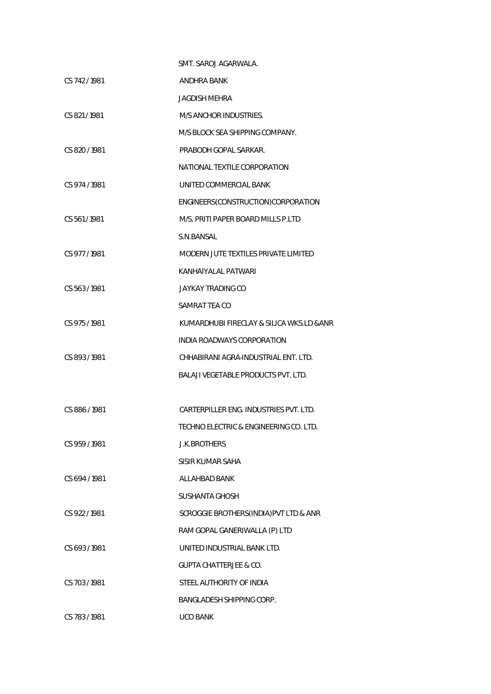|               | SMT. SAROJ AGARWALA.                       |
|---------------|--------------------------------------------|
| CS 742 / 1981 | ANDHRA BANK                                |
|               | JAGDISH MEHRA                              |
| CS 821/1981   | M/S ANCHOR INDUSTRIES.                     |
|               | M/S BLOCK SEA SHIPPING COMPANY.            |
| CS 820/1981   | PRABODH GOPAL SARKAR.                      |
|               | NATIONAL TEXTILE CORPORATION               |
| CS 974/1981   | UNITED COMMERCIAL BANK                     |
|               | ENGINEERS(CONSTRUCTION)CORPORATION         |
| CS 561/1981   | M/S. PRITI PAPER BOARD MILLS P.LTD         |
|               | S.N.BANSAL                                 |
| CS 977/1981   | MODERN JUTE TEXTILES PRIVATE LIMITED       |
|               | KANHAIYALAL PATWARI                        |
| CS 563/1981   | <b>JAYKAY TRADING CO</b>                   |
|               | SAMRAT TEA CO                              |
| CS 975/1981   | KUMARDHUBI FIRECLAY & SILICA WKS.LD & ANR  |
|               | INDIA ROADWAYS CORPORATION                 |
| CS 893 / 1981 | CHHABIRANI AGRA-INDUSTRIAL ENT. LTD.       |
|               | <b>BALAJI VEGETABLE PRODUCTS PVT. LTD.</b> |
|               |                                            |
| CS 886/1981   | CARTERPILLER ENG. INDUSTRIES PVT. LTD.     |
|               | TECHNO ELECTRIC & ENGINEERING CO. LTD.     |
| CS 959/1981   | <b>J.K.BROTHERS</b>                        |
|               | SISIR KUMAR SAHA                           |
| CS 694/1981   | ALLAHBAD BANK                              |
|               | SUSHANTA GHOSH                             |
| CS 922 / 1981 | SCROGGIE BROTHERS (INDIA) PVT LTD & ANR    |
|               | RAM GOPAL GANERIWALLA (P) LTD              |
| CS 693/1981   | UNITED INDUSTRIAL BANK LTD.                |
|               | GUPTA CHATTERJEE & CO.                     |
| CS 703 / 1981 | STEEL AUTHORITY OF INDIA                   |
|               | BANGLADESH SHIPPING CORP.                  |
| CS 783/1981   | <b>UCO BANK</b>                            |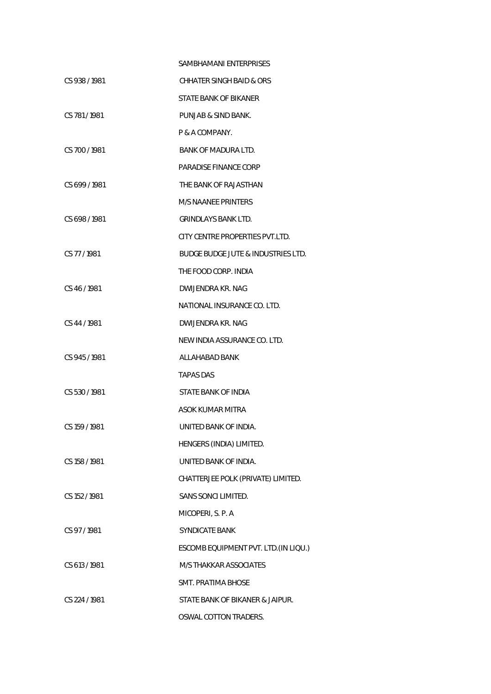|               | SAMBHAMANI ENTERPRISES                        |
|---------------|-----------------------------------------------|
| CS 938/1981   | CHHATER SINGH BAID & ORS                      |
|               | STATE BANK OF BIKANER                         |
| CS 781/1981   | PUNJAB & SIND BANK.                           |
|               | P & A COMPANY.                                |
| CS 700/1981   | BANK OF MADURA LTD.                           |
|               | PARADISE FINANCE CORP                         |
| CS 699/1981   | THE BANK OF RAJASTHAN                         |
|               | M/S NAANEE PRINTERS                           |
| CS 698/1981   | <b>GRINDLAYS BANK LTD.</b>                    |
|               | CITY CENTRE PROPERTIES PVT.LTD.               |
| CS 77/1981    | <b>BUDGE BUDGE JUTE &amp; INDUSTRIES LTD.</b> |
|               | THE FOOD CORP. INDIA                          |
| CS 46/1981    | DWIJENDRA KR. NAG                             |
|               | NATIONAL INSURANCE CO. LTD.                   |
| CS 44/1981    | DWIJENDRA KR. NAG                             |
|               | NEW INDIA ASSURANCE CO. LTD.                  |
| CS 945/1981   | ALLAHABAD BANK                                |
|               | <b>TAPAS DAS</b>                              |
| CS 530/1981   | STATE BANK OF INDIA                           |
|               | ASOK KUMAR MITRA                              |
| CS 159 / 1981 | UNITED BANK OF INDIA.                         |
|               | HENGERS (INDIA) LIMITED.                      |
| CS 158 / 1981 | UNITED BANK OF INDIA.                         |
|               | CHATTERJEE POLK (PRIVATE) LIMITED.            |
| CS 152 / 1981 | SANS SONCI LIMITED.                           |
|               | MICOPERI, S. P. A                             |
| CS 97/1981    | <b>SYNDICATE BANK</b>                         |
|               | ESCOMB EQUIPMENT PVT. LTD. (IN LIQU.)         |
| CS 613 / 1981 | <b>M/S THAKKAR ASSOCIATES</b>                 |
|               | <b>SMT. PRATIMA BHOSE</b>                     |
| CS 224 / 1981 | STATE BANK OF BIKANER & JAIPUR.               |
|               | OSWAL COTTON TRADERS.                         |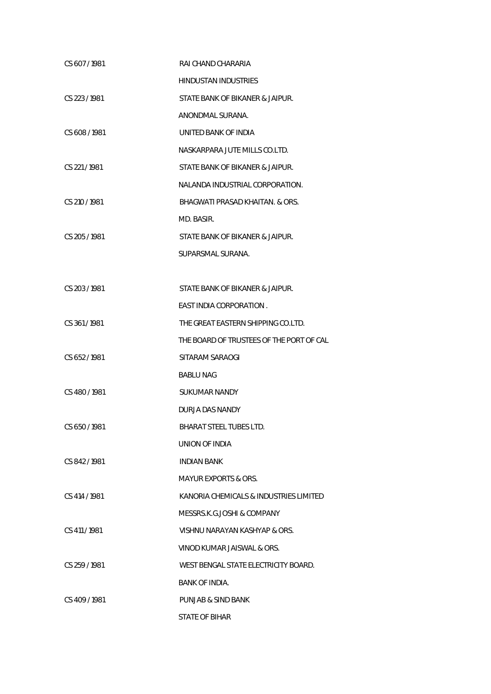| CS 607/1981   | RAI CHAND CHARARIA                       |
|---------------|------------------------------------------|
|               | HINDUSTAN INDUSTRIES                     |
| CS 223/1981   | STATE BANK OF BIKANER & JAIPUR.          |
|               | ANONDMAL SURANA.                         |
| CS 608/1981   | UNITED BANK OF INDIA                     |
|               | NASKARPARA JUTE MILLS CO.LTD.            |
| CS 221/1981   | STATE BANK OF BIKANER & JAIPUR.          |
|               | NALANDA INDUSTRIAL CORPORATION.          |
| CS 210 / 1981 | BHAGWATI PRASAD KHAITAN. & ORS.          |
|               | MD. BASIR.                               |
| CS 205 / 1981 | STATE BANK OF BIKANER & JAIPUR.          |
|               | SUPARSMAL SURANA.                        |
|               |                                          |
| CS 203/1981   | STATE BANK OF BIKANER & JAIPUR.          |
|               | EAST INDIA CORPORATION.                  |
| CS 361/1981   | THE GREAT EASTERN SHIPPING CO.LTD.       |
|               | THE BOARD OF TRUSTEES OF THE PORT OF CAL |
| CS 652/1981   | SITARAM SARAOGI                          |
|               | <b>BABLU NAG</b>                         |
| CS 480/1981   | SUKUMAR NANDY                            |
|               | DURJA DAS NANDY                          |
| CS 650 / 1981 | BHARAT STEEL TUBES LTD.                  |
|               | UNION OF INDIA                           |
| CS 842/1981   | <b>INDIAN BANK</b>                       |
|               | MAYUR EXPORTS & ORS.                     |
| CS 414 / 1981 | KANORIA CHEMICALS & INDUSTRIES LIMITED   |
|               | MESSRS.K.G.JOSHI & COMPANY               |
| CS 411/1981   | VISHNU NARAYAN KASHYAP & ORS.            |
|               | VINOD KUMAR JAISWAL & ORS.               |
| CS 259/1981   | WEST BENGAL STATE ELECTRICITY BOARD.     |
|               | BANK OF INDIA.                           |
| CS 409/1981   | PUNJAB & SIND BANK                       |
|               | <b>STATE OF BIHAR</b>                    |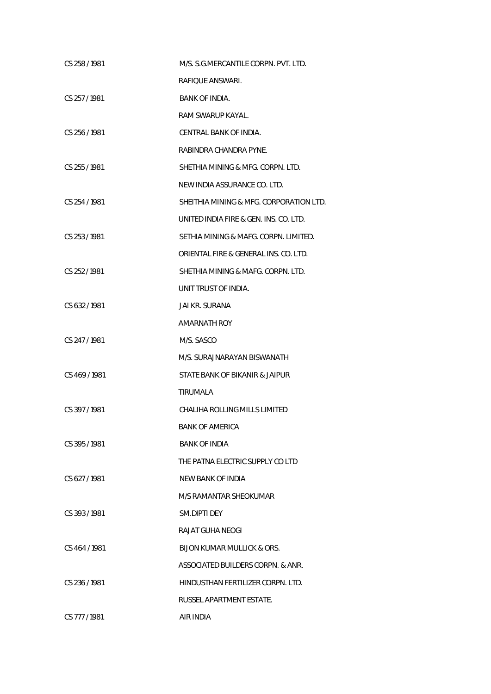| CS 258/1981   | M/S. S.G.MERCANTILE CORPN. PVT. LTD.    |
|---------------|-----------------------------------------|
|               | RAFIOUE ANSWARI.                        |
| CS 257/1981   | <b>BANK OF INDIA.</b>                   |
|               | RAM SWARUP KAYAL.                       |
| CS 256/1981   | CENTRAL BANK OF INDIA.                  |
|               | RABINDRA CHANDRA PYNE.                  |
| CS 255 / 1981 | SHETHIA MINING & MFG. CORPN. LTD.       |
|               | NEW INDIA ASSURANCE CO. LTD.            |
| CS 254/1981   | SHEITHIA MINING & MFG. CORPORATION LTD. |
|               | UNITED INDIA FIRE & GEN. INS. CO. LTD.  |
| CS 253 / 1981 | SETHIA MINING & MAFG. CORPN. LIMITED.   |
|               | ORIENTAL FIRE & GENERAL INS. CO. LTD.   |
| CS 252/1981   | SHETHIA MINING & MAFG. CORPN. LTD.      |
|               | UNIT TRUST OF INDIA.                    |
| CS 632/1981   | JAI KR. SURANA                          |
|               | AMARNATH ROY                            |
| CS 247/1981   | M/S. SASCO                              |
|               | M/S. SURAJNARAYAN BISWANATH             |
| CS 469 / 1981 | STATE BANK OF BIKANIR & JAIPUR          |
|               | TIRUMALA                                |
| CS 397/1981   | CHALIHA ROLLING MILLS LIMITED           |
|               | <b>BANK OF AMERICA</b>                  |
| CS 395/1981   | <b>BANK OF INDIA</b>                    |
|               | THE PATNA ELECTRIC SUPPLY CO LTD        |
| CS 627/1981   | NEW BANK OF INDIA                       |
|               | M/S RAMANTAR SHEOKUMAR                  |
| CS 393/1981   | SM.DIPTI DEY                            |
|               | RAJAT GUHA NEOGI                        |
| CS 464 / 1981 | <b>BIJON KUMAR MULLICK &amp; ORS.</b>   |
|               | ASSOCIATED BUILDERS CORPN. & ANR.       |
| CS 236/1981   | HINDUSTHAN FERTILIZER CORPN. LTD.       |
|               | RUSSEL APARTMENT ESTATE.                |
| CS 777 / 1981 | AIR INDIA                               |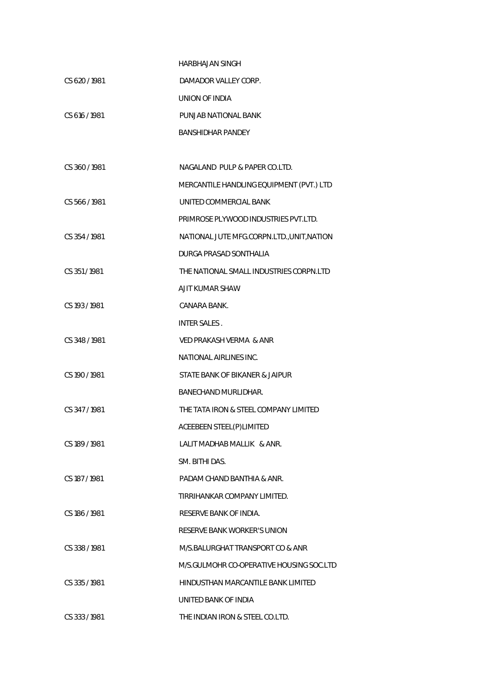|               | <b>HARBHAJAN SINGH</b>                     |
|---------------|--------------------------------------------|
| CS 620/1981   | DAMADOR VALLEY CORP.                       |
|               | UNION OF INDIA                             |
| CS 616 / 1981 | PUNJAB NATIONAL BANK                       |
|               | <b>BANSHIDHAR PANDEY</b>                   |
|               |                                            |
| CS 360/1981   | NAGALAND PULP & PAPER CO.LTD.              |
|               | MERCANTILE HANDLING EQUIPMENT (PVT.) LTD   |
| CS 566/1981   | UNITED COMMERCIAL BANK                     |
|               | PRIMROSE PLYWOOD INDUSTRIES PVT.LTD.       |
| CS 354/1981   | NATIONAL JUTE MFG.CORPN.LTD., UNIT, NATION |
|               | DURGA PRASAD SONTHALIA                     |
| CS 351/1981   | THE NATIONAL SMALL INDUSTRIES CORPN.LTD    |
|               | AJIT KUMAR SHAW                            |
| CS 193 / 1981 | CANARA BANK.                               |
|               | INTER SALES.                               |
| CS 348/1981   | VED PRAKASH VERMA & ANR                    |
|               | NATIONAL AIRLINES INC.                     |
| CS 190 / 1981 | STATE BANK OF BIKANER & JAIPUR             |
|               | BANECHAND MURLIDHAR.                       |
| CS 347/1981   | THE TATA IRON & STEEL COMPANY LIMITED      |
|               | ACEEBEEN STEEL(P)LIMITED                   |
| CS 189/1981   | LALIT MADHAB MALLIK & ANR.                 |
|               | SM. BITHI DAS.                             |
| CS 187 / 1981 | PADAM CHAND BANTHIA & ANR.                 |
|               | TIRRIHANKAR COMPANY LIMITED.               |
| CS 186/1981   | RESERVE BANK OF INDIA.                     |
|               | <b>RESERVE BANK WORKER'S UNION</b>         |
| CS 338/1981   | M/S.BALURGHAT TRANSPORT CO & ANR           |
|               | M/S.GULMOHR CO-OPERATIVE HOUSING SOC.LTD   |
| CS 335/1981   | HINDUSTHAN MARCANTILE BANK LIMITED         |
|               | UNITED BANK OF INDIA                       |
| CS 333 / 1981 | THE INDIAN IRON & STEEL CO.LTD.            |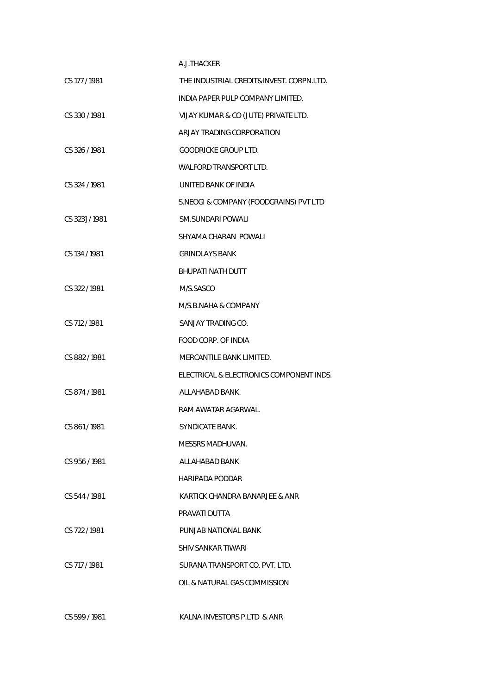## A.J.THACKER

| CS 177 / 1981  | THE INDUSTRIAL CREDIT&INVEST, CORPN.LTD. |
|----------------|------------------------------------------|
|                | INDIA PAPER PULP COMPANY LIMITED.        |
| CS 330 / 1981  | VIJAY KUMAR & CO (JUTE) PRIVATE LTD.     |
|                | ARJAY TRADING CORPORATION                |
| CS 326 / 1981  | <b>GOODRICKE GROUP LTD.</b>              |
|                | <b>WALFORD TRANSPORT LTD.</b>            |
| CS 324 / 1981  | UNITED BANK OF INDIA                     |
|                | S.NEOGI & COMPANY (FOODGRAINS) PVT LTD   |
| CS 323] / 1981 | <b>SM.SUNDARI POWALI</b>                 |
|                | SHYAMA CHARAN POWALI                     |
| CS 134 / 1981  | <b>GRINDLAYS BANK</b>                    |
|                | <b>BHUPATI NATH DUTT</b>                 |
| CS 322 / 1981  | M/S.SASCO                                |
|                | M/S.B.NAHA & COMPANY                     |
| CS 712 / 1981  | SANJAY TRADING CO.                       |
|                | FOOD CORP. OF INDIA                      |
| CS 882/1981    | MERCANTILE BANK LIMITED.                 |
|                | ELECTRICAL & ELECTRONICS COMPONENT INDS. |
| CS 874 / 1981  | ALLAHABAD BANK.                          |
|                | RAM AWATAR AGARWAL.                      |
| CS 861/1981    | <b>SYNDICATE BANK.</b>                   |
|                | MESSRS MADHUVAN.                         |
| CS 956/1981    | ALLAHABAD BANK                           |
|                | <b>HARIPADA PODDAR</b>                   |
| CS 544/1981    | KARTICK CHANDRA BANARJEE & ANR           |
|                | PRAVATI DUTTA                            |
| CS 722 / 1981  | PUNJAB NATIONAL BANK                     |
|                | SHIV SANKAR TIWARI                       |
| CS 717 / 1981  | SURANA TRANSPORT CO. PVT. LTD.           |
|                | OIL & NATURAL GAS COMMISSION             |
|                |                                          |

CS 599 / 1981 KALNA INVESTORS P.LTD & ANR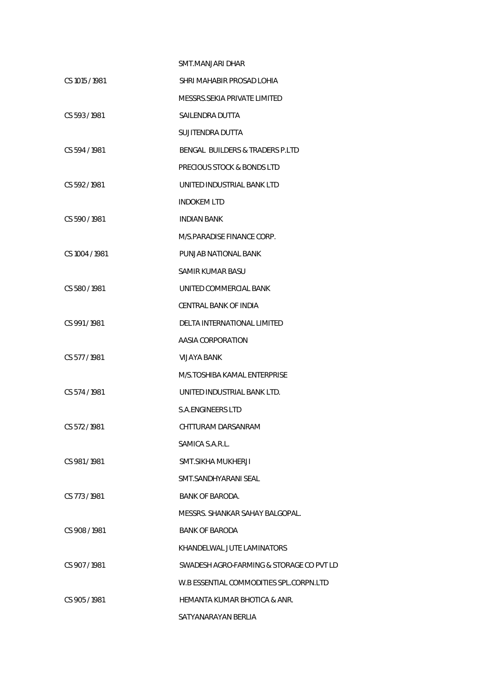|                | SMT.MANJARI DHAR                         |
|----------------|------------------------------------------|
| CS 1015 / 1981 | SHRI MAHABIR PROSAD LOHIA                |
|                | MESSRS.SEKIA PRIVATE LIMITED             |
| CS 593/1981    | SAILENDRA DUTTA                          |
|                | SUJITENDRA DUTTA                         |
| CS 594/1981    | BENGAL BUILDERS & TRADERS P.LTD          |
|                | PRECIOUS STOCK & BONDS LTD               |
| CS 592/1981    | UNITED INDUSTRIAL BANK LTD               |
|                | <b>INDOKEM LTD</b>                       |
| CS 590/1981    | <b>INDIAN BANK</b>                       |
|                | M/S.PARADISE FINANCE CORP.               |
| CS 1004 / 1981 | PUNJAB NATIONAL BANK                     |
|                | SAMIR KUMAR BASU                         |
| CS 580/1981    | UNITED COMMERCIAL BANK                   |
|                | CENTRAL BANK OF INDIA                    |
| CS 991/1981    | DELTA INTERNATIONAL LIMITED              |
|                | AASIA CORPORATION                        |
| CS 577/1981    | VIJAYA BANK                              |
|                | M/S.TOSHIBA KAMAL ENTERPRISE             |
| CS 574/1981    | UNITED INDUSTRIAL BANK LTD.              |
|                | S.A. FNGINFFRS LTD                       |
| CS 572/1981    | CHTTURAM DARSANRAM                       |
|                | SAMICA S.A.R.L.                          |
| CS 981/1981    | SMT.SIKHA MUKHERJI                       |
|                | SMT.SANDHYARANI SEAL                     |
| CS 773/1981    | <b>BANK OF BARODA.</b>                   |
|                | MESSRS, SHANKAR SAHAY BALGOPAL.          |
| CS 908/1981    | <b>BANK OF BARODA</b>                    |
|                | KHANDELWAL JUTE LAMINATORS               |
| CS 907 / 1981  | SWADESH AGRO-FARMING & STORAGE CO PVT LD |
|                | W.B ESSENTIAL COMMODITIES SPL.CORPN.LTD  |
| CS 905/1981    | HEMANTA KUMAR BHOTICA & ANR.             |
|                | SATYANARAYAN BERLIA                      |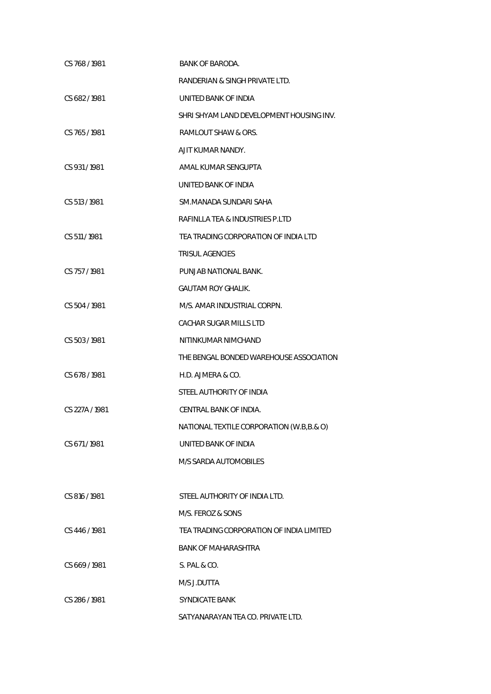| CS 768/1981    | <b>BANK OF BARODA.</b>                   |
|----------------|------------------------------------------|
|                | RANDERIAN & SINGH PRIVATE LTD.           |
| CS 682/1981    | UNITED BANK OF INDIA                     |
|                | SHRI SHYAM LAND DEVELOPMENT HOUSING INV. |
| CS 765/1981    | RAMLOUT SHAW & ORS.                      |
|                | AJIT KUMAR NANDY.                        |
| CS 931/1981    | AMAL KUMAR SENGUPTA                      |
|                | UNITED BANK OF INDIA                     |
| CS 513/1981    | SM.MANADA SUNDARI SAHA                   |
|                | RAFINLLA TEA & INDUSTRIES P.LTD          |
| CS 511/1981    | TEA TRADING CORPORATION OF INDIA LTD     |
|                | <b>TRISUL AGENCIES</b>                   |
| CS 757/1981    | PUNJAB NATIONAL BANK.                    |
|                | <b>GAUTAM ROY GHALIK.</b>                |
| CS 504 / 1981  | M/S. AMAR INDUSTRIAL CORPN.              |
|                | CACHAR SUGAR MILLS LTD                   |
| CS 503/1981    | NITINKUMAR NIMCHAND                      |
|                | THE BENGAL BONDED WAREHOUSE ASSOCIATION  |
| CS 678 / 1981  | H.D. AJMERA & CO.                        |
|                | STEEL AUTHORITY OF INDIA                 |
| CS 227A / 1981 | CENTRAL BANK OF INDIA.                   |
|                | NATIONAL TEXTILE CORPORATION (W.B,B.& O) |
| CS 671/1981    | UNITED BANK OF INDIA                     |
|                | <b>M/S SARDA AUTOMOBILES</b>             |
|                |                                          |
| CS 816/1981    | STEEL AUTHORITY OF INDIA LTD.            |
|                | M/S. FEROZ & SONS                        |
| CS 446/1981    | TEA TRADING CORPORATION OF INDIA LIMITED |
|                | <b>BANK OF MAHARASHTRA</b>               |
| CS 669/1981    | S. PAL & CO.                             |
|                | M/S J.DUTTA                              |
| CS 286/1981    | SYNDICATE BANK                           |
|                | SATYANARAYAN TEA CO. PRIVATE LTD.        |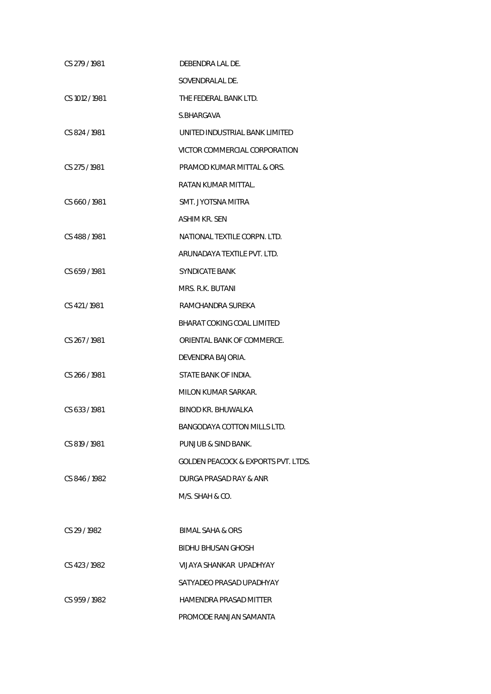| CS 279/1981    | DEBENDRA LAL DE.                               |
|----------------|------------------------------------------------|
|                | SOVENDRALAL DE.                                |
| CS 1012 / 1981 | THE FEDERAL BANK LTD.                          |
|                | S.BHARGAVA                                     |
| CS 824/1981    | UNITED INDUSTRIAL BANK LIMITED                 |
|                | VICTOR COMMERCIAL CORPORATION                  |
| CS 275/1981    | PRAMOD KUMAR MITTAL & ORS.                     |
|                | RATAN KUMAR MITTAL.                            |
| CS 660/1981    | SMT. JYOTSNA MITRA                             |
|                | <b>ASHIM KR. SEN</b>                           |
| CS 488 / 1981  | NATIONAL TEXTILE CORPN. LTD.                   |
|                | ARUNADAYA TEXTILE PVT. LTD.                    |
| CS 659 / 1981  | <b>SYNDICATE BANK</b>                          |
|                | MRS. R.K. BUTANI                               |
| CS 421/1981    | RAMCHANDRA SUREKA                              |
|                | BHARAT COKING COAL LIMITED                     |
| CS 267/1981    | ORIENTAL BANK OF COMMERCE.                     |
|                | DEVENDRA BAJORIA.                              |
| CS 266 / 1981  | STATE BANK OF INDIA.                           |
|                | MILON KUMAR SARKAR.                            |
| CS 633 / 1981  | BINOD KR. BHUWALKA                             |
|                | BANGODAYA COTTON MILLS LTD.                    |
| CS 819 / 1981  | PUNJUB & SIND BANK.                            |
|                | <b>GOLDEN PEACOCK &amp; EXPORTS PVT. LTDS.</b> |
| CS 846/1982    | DURGA PRASAD RAY & ANR                         |
|                | M/S. SHAH & CO.                                |
|                |                                                |
| CS 29 / 1982   | BIMAL SAHA & ORS                               |
|                | BIDHU BHUSAN GHOSH                             |
| CS 423/1982    | VIJAYA SHANKAR UPADHYAY                        |
|                | SATYADEO PRASAD UPADHYAY                       |
| CS 959/1982    | HAMENDRA PRASAD MITTER                         |
|                | PROMODE RANJAN SAMANTA                         |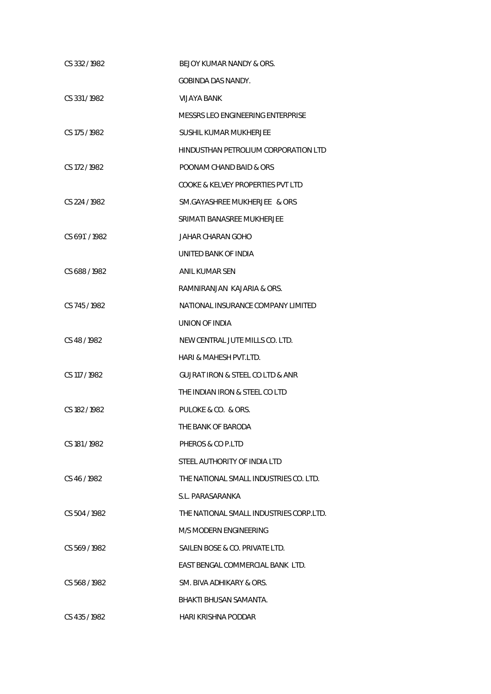| CS 332/1982   | BEJOY KUMAR NANDY & ORS.                        |
|---------------|-------------------------------------------------|
|               | GOBINDA DAS NANDY.                              |
| CS 331/1982   | VIJAYA BANK                                     |
|               | MESSRS LEO ENGINEERING ENTERPRISE               |
| CS 175 / 1982 | SUSHIL KUMAR MUKHERJEE                          |
|               | HINDUSTHAN PETROLIUM CORPORATION LTD            |
| CS 172/1982   | POONAM CHAND BAID & ORS                         |
|               | COOKE & KELVEY PROPERTIES PVT LTD               |
| CS 224 / 1982 | SM.GAYASHREE MUKHERJEE & ORS                    |
|               | SRIMATI BANASREE MUKHERJEE                      |
| CS 691 / 1982 | JAHAR CHARAN GOHO                               |
|               | UNITED BANK OF INDIA                            |
| CS 688/1982   | ANIL KUMAR SEN                                  |
|               | RAMNIRANJAN KAJARIA & ORS.                      |
| CS 745/1982   | NATIONAL INSURANCE COMPANY LIMITED              |
|               | UNION OF INDIA                                  |
| CS 48/1982    | NEW CENTRAL JUTE MILLS CO. LTD.                 |
|               | HARI & MAHESH PVT.LTD.                          |
| CS 117 / 1982 | <b>GUJRAT IRON &amp; STEEL CO LTD &amp; ANR</b> |
|               | THE INDIAN IRON & STEEL CO LTD                  |
| CS 182/1982   | PULOKE & CO. & ORS.                             |
|               | THE BANK OF BARODA                              |
| CS 181/1982   | PHEROS & CO P.LTD                               |
|               | STEEL AUTHORITY OF INDIA LTD                    |
| CS 46/1982    | THE NATIONAL SMALL INDUSTRIES CO. LTD.          |
|               | S.L. PARASARANKA                                |
| CS 504/1982   | THE NATIONAL SMALL INDUSTRIES CORP.LTD.         |
|               | M/S MODERN ENGINEERING                          |
| CS 569/1982   | SAILEN BOSE & CO. PRIVATE LTD.                  |
|               | EAST BENGAL COMMERCIAL BANK LTD.                |
| CS 568/1982   | SM. BIVA ADHIKARY & ORS.                        |
|               | BHAKTI BHUSAN SAMANTA.                          |
| CS 435/1982   | <b>HARI KRISHNA PODDAR</b>                      |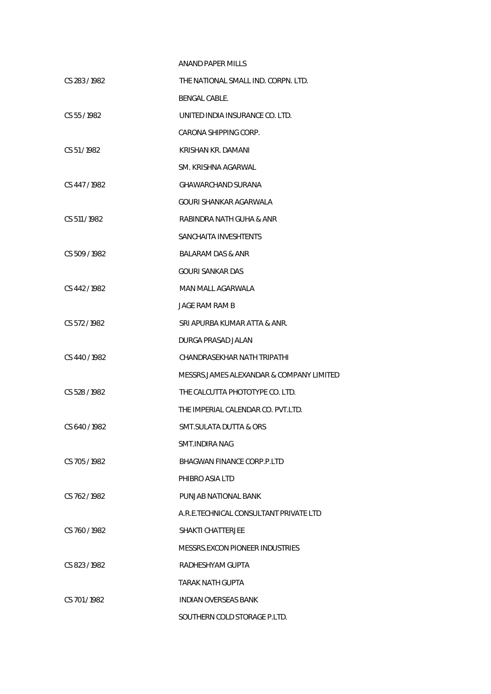| ANAND PAPER MILLS                        |
|------------------------------------------|
| THE NATIONAL SMALL IND. CORPN. LTD.      |
| BENGAL CABLE.                            |
| UNITED INDIA INSURANCE CO. LTD.          |
| CARONA SHIPPING CORP.                    |
| KRISHAN KR. DAMANI                       |
| SM. KRISHNA AGARWAL                      |
| GHAWARCHAND SURANA                       |
| GOURI SHANKAR AGARWALA                   |
| RABINDRA NATH GUHA & ANR                 |
| SANCHAITA INVESHTENTS                    |
| BALARAM DAS & ANR                        |
| <b>GOURI SANKAR DAS</b>                  |
| MAN MALL AGARWALA                        |
| JAGE RAM RAM B                           |
| SRI APURBA KUMAR ATTA & ANR.             |
| DURGA PRASAD JALAN                       |
| CHANDRASEKHAR NATH TRIPATHI              |
| MESSRS.JAMES ALEXANDAR & COMPANY LIMITED |
| THE CALCUTTA PHOTOTYPE CO. LTD.          |
| THE IMPERIAL CALENDAR CO. PVT.LTD.       |
| SMT.SULATA DUTTA & ORS                   |
| SMT INDIRA NAG                           |
| BHAGWAN FINANCE CORP.P.LTD               |
| PHIBRO ASIA LTD                          |
| PUNJAB NATIONAL BANK                     |
| A.R.E.TECHNICAL CONSULTANT PRIVATE LTD   |
| <b>SHAKTI CHATTER JFF</b>                |
| MESSRS.EXCON PIONEER INDUSTRIES          |
| RADHESHYAM GUPTA                         |
| TARAK NATH GUPTA                         |
| <b>INDIAN OVERSEAS BANK</b>              |
| SOUTHERN COLD STORAGE P.LTD.             |
|                                          |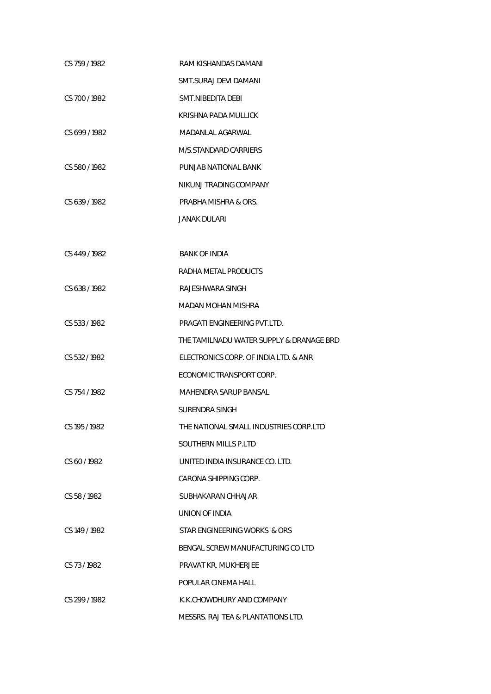| CS 759 / 1982 | RAM KISHANDAS DAMANI                     |
|---------------|------------------------------------------|
|               | SMT.SURAJ DEVI DAMANI                    |
| CS 700 / 1982 | SMT.NIBEDITA DEBI                        |
|               | KRISHNA PADA MULLICK                     |
| CS 699/1982   | MADANLAL AGARWAL                         |
|               | M/S.STANDARD CARRIERS                    |
| CS 580/1982   | PUNJAB NATIONAL BANK                     |
|               | NIKUNJ TRADING COMPANY                   |
| CS 639/1982   | PRABHA MISHRA & ORS.                     |
|               | <b>JANAK DULARI</b>                      |
|               |                                          |
| CS 449/1982   | <b>BANK OF INDIA</b>                     |
|               | RADHA METAL PRODUCTS                     |
| CS 638/1982   | RAJESHWARA SINGH                         |
|               | MADAN MOHAN MISHRA                       |
| CS 533 / 1982 | PRAGATI ENGINEERING PVT.LTD.             |
|               | THE TAMILNADU WATER SUPPLY & DRANAGE BRD |
| CS 532/1982   | ELECTRONICS CORP. OF INDIA LTD. & ANR    |
|               | ECONOMIC TRANSPORT CORP.                 |
| CS 754 / 1982 | MAHENDRA SARUP BANSAL                    |
|               | SURENDRA SINGH                           |
| CS 195 / 1982 | THE NATIONAL SMALL INDUSTRIES CORP.LTD   |
|               | SOUTHERN MILLS P.LTD                     |
| CS 60/1982    | UNITED INDIA INSURANCE CO. LTD.          |
|               | CARONA SHIPPING CORP.                    |
| CS 58/1982    | SUBHAKARAN CHHAJAR                       |
|               | UNION OF INDIA                           |
| CS 149 / 1982 | STAR ENGINEERING WORKS & ORS             |
|               | BENGAL SCREW MANUFACTURING CO LTD        |
| CS 73/1982    | <b>PRAVAT KR. MUKHERJEE</b>              |
|               | POPULAR CINEMA HALL                      |
| CS 299/1982   | K.K.CHOWDHURY AND COMPANY                |
|               | MESSRS. RAJ TEA & PLANTATIONS LTD.       |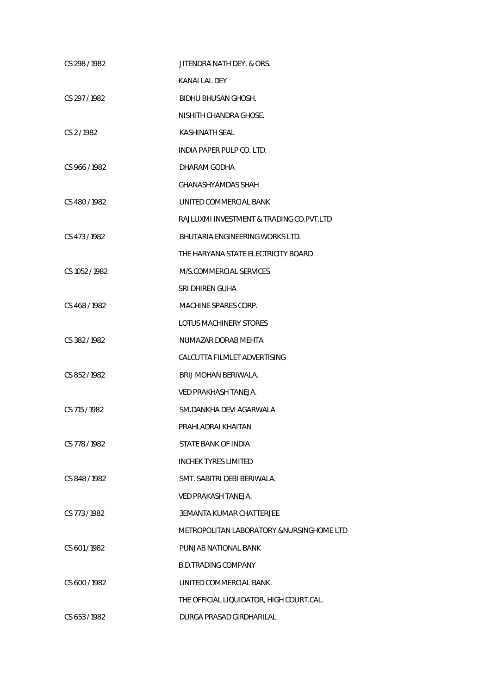| CS 298 / 1982  | JITENDRA NATH DEY. & ORS.                |
|----------------|------------------------------------------|
|                | KANAI LAL DEY                            |
| CS 297/1982    | BIDHU BHUSAN GHOSH.                      |
|                | NISHITH CHANDRA GHOSE.                   |
| CS 2/1982      | KASHINATH SEAL                           |
|                | INDIA PAPER PULP CO. LTD.                |
| CS 966/1982    | DHARAM GODHA                             |
|                | GHANASHYAMDAS SHAH                       |
| CS 480/1982    | UNITED COMMERCIAL BANK                   |
|                | RAJLUXMI INVESTMENT & TRADING CO.PVT.LTD |
| CS 473/1982    | BHUTARIA ENGINEERING WORKS LTD.          |
|                | THE HARYANA STATE ELECTRICITY BOARD      |
| CS 1052 / 1982 | M/S.COMMERCIAL SERVICES                  |
|                | SRI DHIREN GUHA                          |
| CS 468 / 1982  | MACHINE SPARES CORP.                     |
|                | LOTUS MACHINERY STORES                   |
| CS 382/1982    | NUMAZAR DORAB MEHTA                      |
|                | CALCUTTA FILMLET ADVERTISING             |
| CS 852/1982    | BRIJ MOHAN BERIWALA.                     |
|                | VED PRAKHASH TANEJA.                     |
| CS 715/1982    | SM.DANKHA DEVI AGARWALA                  |
|                | PRAHLADRAI KHAITAN                       |
| CS 778 / 1982  | STATE BANK OF INDIA                      |
|                | <b>INCHEK TYRES LIMITED</b>              |
| CS 848/1982    | SMT. SABITRI DEBI BERIWALA.              |
|                | <b>VED PRAKASH TANEJA.</b>               |
| CS 773/1982    | 3EMANTA KUMAR CHATTERJEE                 |
|                | METROPOLITAN LABORATORY &NURSINGHOME LTD |
| CS 601/1982    | PUNJAB NATIONAL BANK                     |
|                | <b>B.D.TRADING COMPANY</b>               |
| CS 600/1982    | UNITED COMMERCIAL BANK.                  |
|                | THE OFFICIAL LIQUIDATOR, HIGH COURT.CAL. |
| CS 653/1982    | DURGA PRASAD GIRDHARILAL                 |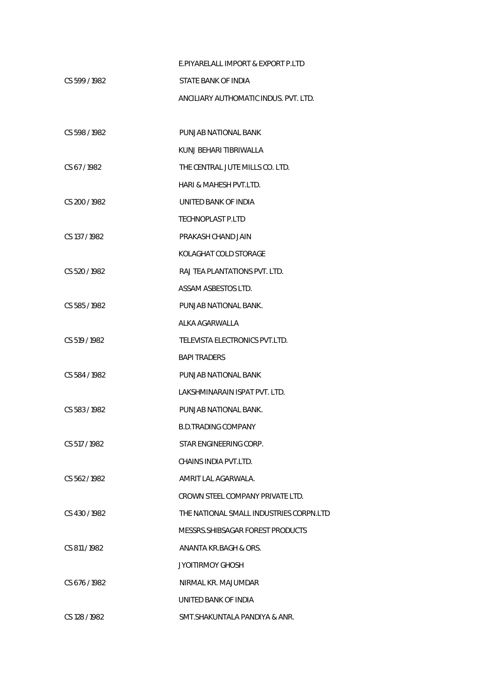|               | E.PIYARELALL IMPORT & EXPORT P.LTD      |
|---------------|-----------------------------------------|
| CS 599/1982   | STATE BANK OF INDIA                     |
|               | ANCILIARY AUTHOMATIC INDUS. PVT. LTD.   |
|               |                                         |
| CS 598/1982   | PUNJAB NATIONAL BANK                    |
|               | KUNJ BEHARI TIBRIWALLA                  |
| CS 67/1982    | THE CENTRAL JUTE MILLS CO. LTD.         |
|               | HARI & MAHESH PVT.LTD.                  |
| CS 200 / 1982 | UNITED BANK OF INDIA                    |
|               | <b>TECHNOPLAST P.LTD</b>                |
| CS 137/1982   | PRAKASH CHAND JAIN                      |
|               | KOLAGHAT COLD STORAGE                   |
| CS 520/1982   | RAJ TEA PLANTATIONS PVT. LTD.           |
|               | ASSAM ASBESTOS LTD.                     |
| CS 585/1982   | PUNJAB NATIONAL BANK.                   |
|               | ALKA AGARWALLA                          |
| CS 519/1982   | TELEVISTA ELECTRONICS PVT.LTD.          |
|               | <b>BAPI TRADERS</b>                     |
| CS 584/1982   | PUNJAB NATIONAL BANK                    |
|               | LAKSHMINARAIN ISPAT PVT. LTD.           |
| CS 583/1982   | PUNJAB NATIONAL BANK.                   |
|               | B.D.TRADING COMPANY                     |
| CS 517/1982   | STAR ENGINEERING CORP.                  |
|               | CHAINS INDIA PVT.LTD.                   |
| CS 562/1982   | AMRIT LAL AGARWALA.                     |
|               | CROWN STEEL COMPANY PRIVATE LTD.        |
| CS 430/1982   | THE NATIONAL SMALL INDUSTRIES CORPN.LTD |
|               | MESSRS.SHIBSAGAR FOREST PRODUCTS        |
| CS 811/1982   | ANANTA KR.BAGH & ORS.                   |
|               | JYOITIRMOY GHOSH                        |
| CS 676/1982   | NIRMAL KR. MAJUMDAR                     |
|               | UNITED BANK OF INDIA                    |
| CS 128 / 1982 | SMT.SHAKUNTALA PANDIYA & ANR.           |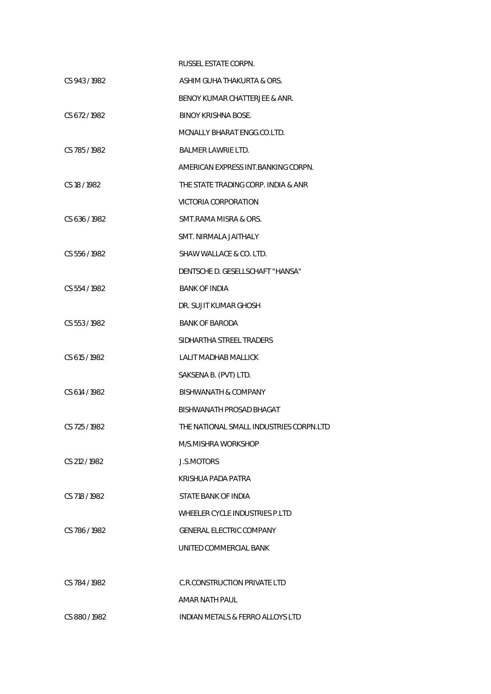|               | RUSSEL ESTATE CORPN.                        |
|---------------|---------------------------------------------|
| CS 943/1982   | ASHIM GUHA THAKURTA & ORS.                  |
|               | BENOY KUMAR CHATTERJEE & ANR.               |
| CS 672/1982   | BINOY KRISHNA BOSE.                         |
|               | MCNALLY BHARAT ENGG.CO.LTD.                 |
| CS 785/1982   | <b>BALMER LAWRIE LTD.</b>                   |
|               | AMERICAN EXPRESS INT.BANKING CORPN.         |
| CS 18 / 1982  | THE STATE TRADING CORP. INDIA & ANR         |
|               | VICTORIA CORPORATION                        |
| CS 636/1982   | SMT.RAMA MISRA & ORS.                       |
|               | SMT. NIRMALA JAITHALY                       |
| CS 556/1982   | SHAW WALLACE & CO. LTD.                     |
|               | DENTSCHE D. GESELLSCHAFT "HANSA"            |
| CS 554/1982   | <b>BANK OF INDIA</b>                        |
|               | DR. SUJIT KUMAR GHOSH                       |
| CS 553/1982   | <b>BANK OF BARODA</b>                       |
|               | SIDHARTHA STREEL TRADERS                    |
| CS 615/1982   | <b>LALIT MADHAB MALLICK</b>                 |
|               | SAKSENA B. (PVT) LTD.                       |
| CS 614/1982   | BISHWANATH & COMPANY                        |
|               | BISHWANATH PROSAD BHAGAT                    |
| CS 725/1982   | THE NATIONAL SMALL INDUSTRIES CORPN.LTD     |
|               | M/S.MISHRA WORKSHOP                         |
| CS 212 / 1982 | J.S.MOTORS                                  |
|               | KRISHUA PADA PATRA                          |
| CS 718/1982   | STATE BANK OF INDIA                         |
|               | WHEELER CYCLE INDUSTRIES P.I TD             |
| CS 786/1982   | <b>GENERAL ELECTRIC COMPANY</b>             |
|               | UNITED COMMERCIAL BANK                      |
|               |                                             |
| CS 784/1982   | C.R.CONSTRUCTION PRIVATE LTD                |
|               | AMAR NATH PAUL                              |
| CS 880/1982   | <b>INDIAN METALS &amp; FERRO ALLOYS LTD</b> |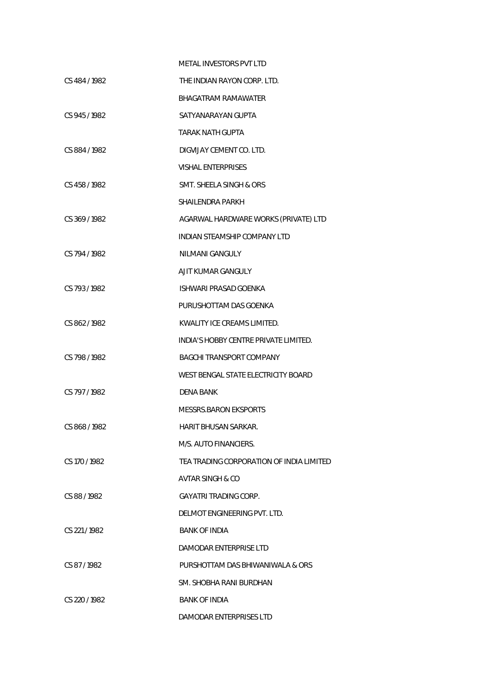|               | METAL INVESTORS PVT LTD                  |
|---------------|------------------------------------------|
| CS 484/1982   | THE INDIAN RAYON CORP. LTD.              |
|               | BHAGATRAM RAMAWATER                      |
| CS 945/1982   | SATYANARAYAN GUPTA                       |
|               | TARAK NATH GUPTA                         |
| CS 884/1982   | DIGVIJAY CEMENT CO. LTD.                 |
|               | <b>VISHAL ENTERPRISES</b>                |
| CS 458 / 1982 | SMT. SHEELA SINGH & ORS                  |
|               | <b>SHAILENDRA PARKH</b>                  |
| CS 369/1982   | AGARWAL HARDWARE WORKS (PRIVATE) LTD     |
|               | INDIAN STEAMSHIP COMPANY LTD             |
| CS 794/1982   | NILMANI GANGULY                          |
|               | AJIT KUMAR GANGULY                       |
| CS 793/1982   | ISHWARI PRASAD GOENKA                    |
|               | PURUSHOTTAM DAS GOENKA                   |
| CS 862/1982   | KWALITY ICE CREAMS LIMITED.              |
|               | INDIA'S HOBBY CENTRE PRIVATE LIMITED.    |
| CS 798/1982   | <b>BAGCHI TRANSPORT COMPANY</b>          |
|               | WEST BENGAL STATE ELECTRICITY BOARD      |
| CS 797/1982   | DENA BANK                                |
|               | MESSRS.BARON EKSPORTS                    |
| CS 868/1982   | <b>HARIT BHUSAN SARKAR.</b>              |
|               | M/S. AUTO FINANCIERS.                    |
| CS 170/1982   | TEA TRADING CORPORATION OF INDIA LIMITED |
|               | AVTAR SINGH & CO                         |
| CS 88/1982    | GAYATRI TRADING CORP.                    |
|               | DELMOT ENGINEERING PVT. LTD.             |
| CS 221/1982   | <b>BANK OF INDIA</b>                     |
|               | DAMODAR ENTERPRISE LTD                   |
| CS 87/1982    | PURSHOTTAM DAS BHIWANIWALA & ORS         |
|               | SM. SHOBHA RANI BURDHAN                  |
| CS 220 / 1982 | <b>BANK OF INDIA</b>                     |
|               | DAMODAR ENTERPRISES LTD                  |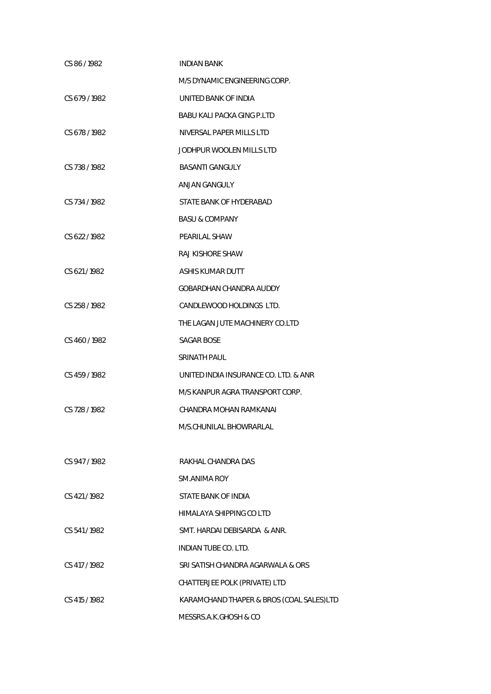| CS 86/1982    | <b>INDIAN BANK</b>                       |
|---------------|------------------------------------------|
|               | M/S DYNAMIC ENGINEERING CORP.            |
| CS 679 / 1982 | UNITED BANK OF INDIA                     |
|               | BABU KALI PACKA GING P.LTD               |
| CS 678 / 1982 | NIVERSAL PAPER MILLS LTD                 |
|               | JODHPUR WOOLEN MILLS LTD                 |
| CS 738 / 1982 | <b>BASANTI GANGULY</b>                   |
|               | ANJAN GANGULY                            |
| CS 734 / 1982 | STATE BANK OF HYDERABAD                  |
|               | <b>BASU &amp; COMPANY</b>                |
| CS 622/1982   | PEARILAL SHAW                            |
|               | RAJ KISHORE SHAW                         |
| CS 621/1982   | ASHIS KUMAR DUTT                         |
|               | GOBARDHAN CHANDRA AUDDY                  |
| CS 258 / 1982 | CANDLEWOOD HOLDINGS LTD.                 |
|               | THE LAGAN JUTE MACHINERY CO.LTD          |
| CS 460/1982   | SAGAR BOSE                               |
|               | SRINATH PAUL                             |
| CS 459 / 1982 | UNITED INDIA INSURANCE CO. LTD. & ANR    |
|               | M/S KANPUR AGRA TRANSPORT CORP.          |
| CS 728 / 1982 | CHANDRA MOHAN RAMKANAI                   |
|               | M/S.CHUNILAL BHOWRARLAL                  |
|               |                                          |
| CS 947/1982   | RAKHAL CHANDRA DAS                       |
|               | SM.ANIMA ROY                             |
| CS 421/1982   | STATE BANK OF INDIA                      |
|               | HIMALAYA SHIPPING CO LTD                 |
| CS 541/1982   | SMT. HARDAI DEBISARDA & ANR.             |
|               | <b>INDIAN TUBE CO. LTD.</b>              |
| CS 417 / 1982 | SRI SATISH CHANDRA AGARWALA & ORS        |
|               | CHATTERJEE POLK (PRIVATE) LTD            |
| CS 415 / 1982 | KARAMCHAND THAPER & BROS (COAL SALES)LTD |
|               | MESSRS.A.K.GHOSH & CO                    |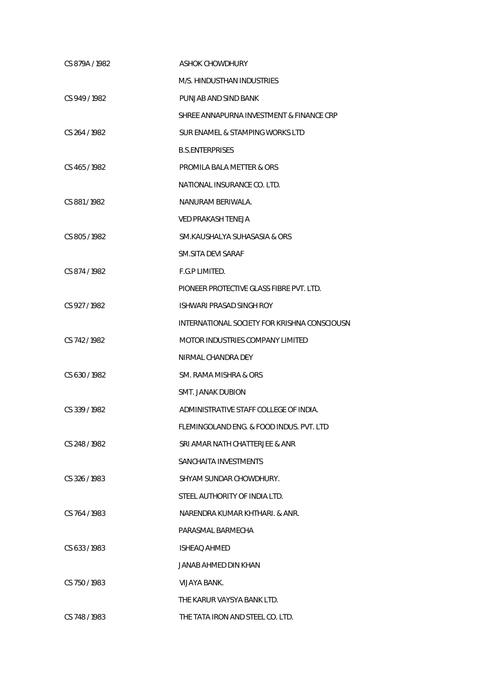| CS 879A / 1982 | ASHOK CHOWDHURY                              |
|----------------|----------------------------------------------|
|                | M/S. HINDUSTHAN INDUSTRIES                   |
| CS 949 / 1982  | PUNJAB AND SIND BANK                         |
|                | SHREE ANNAPURNA INVESTMENT & FINANCE CRP     |
| CS 264 / 1982  | SUR ENAMEL & STAMPING WORKS LTD              |
|                | <b>B.S.ENTERPRISES</b>                       |
| CS 465 / 1982  | PROMILA BALA METTER & ORS                    |
|                | NATIONAL INSURANCE CO. LTD.                  |
| CS 881/1982    | NANURAM BERIWALA.                            |
|                | <b>VED PRAKASH TENEJA</b>                    |
| CS 805/1982    | SM.KAUSHALYA SUHASASIA & ORS                 |
|                | SM.SITA DEVI SARAF                           |
| CS 874/1982    | F.G.P LIMITED.                               |
|                | PIONEER PROTECTIVE GLASS FIBRE PVT. LTD.     |
| CS 927/1982    | <b>ISHWARI PRASAD SINGH ROY</b>              |
|                | INTERNATIONAL SOCIETY FOR KRISHNA CONSCIOUSN |
| CS 742/1982    | MOTOR INDUSTRIES COMPANY LIMITED             |
|                | NIRMAL CHANDRA DEY                           |
| CS 630/1982    | SM. RAMA MISHRA & ORS                        |
|                | <b>SMT. JANAK DUBION</b>                     |
| CS 339/1982    | ADMINISTRATIVE STAFF COLLEGE OF INDIA.       |
|                | FLEMINGOLAND ENG. & FOOD INDUS. PVT. LTD     |
| CS 248 / 1982  | SRI AMAR NATH CHATTERJEE & ANR               |
|                | SANCHAITA INVESTMENTS                        |
| CS 326/1983    | SHYAM SUNDAR CHOWDHURY.                      |
|                | STEEL AUTHORITY OF INDIA LTD.                |
| CS 764/1983    | NARENDRA KUMAR KHTHARI. & ANR.               |
|                | PARASMAL BARMECHA                            |
| CS 633/1983    | <b>ISHEAQ AHMED</b>                          |
|                | JANAB AHMED DIN KHAN                         |
| CS 750/1983    | VIJAYA BANK.                                 |
|                | THE KARUR VAYSYA BANK LTD.                   |
| CS 748 / 1983  | THE TATA IRON AND STEEL CO. LTD.             |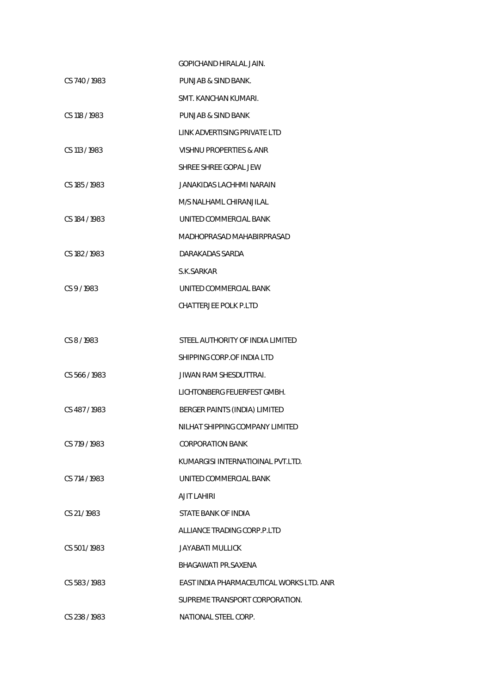|               | GOPICHAND HIRAI AL JAIN.                 |
|---------------|------------------------------------------|
| CS 740 / 1983 | PUNJAB & SIND BANK.                      |
|               | SMT. KANCHAN KUMARI.                     |
| CS 118 / 1983 | PUNJAB & SIND BANK                       |
|               | LINK ADVERTISING PRIVATE LTD             |
| CS 113 / 1983 | VISHNU PROPERTIES & ANR                  |
|               | SHREE SHREE GOPAL JEW                    |
| CS 185 / 1983 | JANAKIDAS LACHHMI NARAIN                 |
|               | M/S NALHAML CHIRANJILAL                  |
| CS 184 / 1983 | UNITED COMMERCIAL BANK                   |
|               | MADHOPRASAD MAHABIRPRASAD                |
| CS 182/1983   | DARAKADAS SARDA                          |
|               | S.K. SARKAR                              |
| CS 9/1983     | UNITED COMMERCIAL BANK                   |
|               | <b>CHATTERJEE POLK P.LTD</b>             |
|               |                                          |
| CS 8/1983     | STEEL AUTHORITY OF INDIA LIMITED         |
|               | SHIPPING CORP. OF INDIA LTD              |
| CS 566/1983   | <b>JIWAN RAM SHESDUTTRAI.</b>            |
|               | LICHTONBERG FEUERFEST GMBH.              |
| CS 487/1983   | BERGER PAINTS (INDIA) LIMITED            |
|               | NILHAT SHIPPING COMPANY LIMITED          |
| CS 719 / 1983 | CORPORATION BANK                         |
|               | KUMARGISI INTERNATIOINAL PVT.LTD.        |
| CS 714/1983   | UNITED COMMERCIAL BANK                   |
|               | AJIT LAHIRI                              |
| CS 21/1983    | STATE BANK OF INDIA                      |
|               | ALLIANCE TRADING CORP.P.LTD              |
| CS 501/1983   | JAYABATI MULLICK                         |
|               | BHAGAWATI PR.SAXENA                      |
| CS 583/1983   | EAST INDIA PHARMACEUTICAL WORKS LTD. ANR |
|               | SUPREME TRANSPORT CORPORATION.           |
| CS 238 / 1983 | NATIONAL STEEL CORP.                     |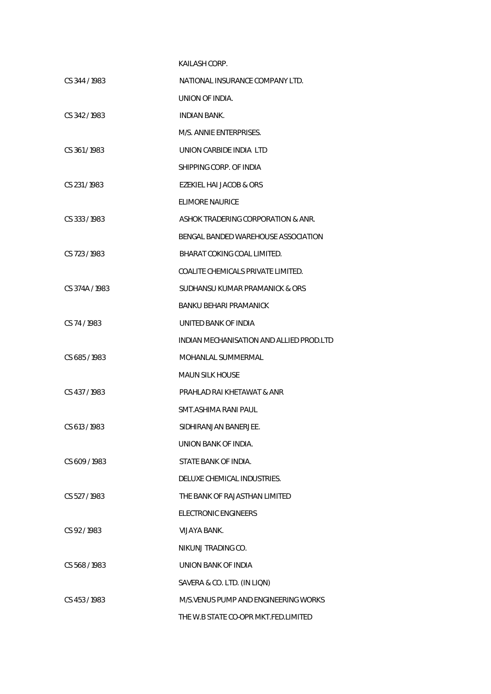|                | KAILASH CORP.                            |
|----------------|------------------------------------------|
| CS 344 / 1983  | NATIONAL INSURANCE COMPANY LTD.          |
|                | UNION OF INDIA.                          |
| CS 342/1983    | INDIAN BANK.                             |
|                | M/S. ANNIE ENTERPRISES.                  |
| CS 361/1983    | UNION CARBIDE INDIA LTD                  |
|                | SHIPPING CORP. OF INDIA                  |
| CS 231/1983    | EZEKIEL HAI JACOB & ORS                  |
|                | ELIMORE NAURICE                          |
| CS 333/1983    | ASHOK TRADERING CORPORATION & ANR.       |
|                | BENGAL BANDED WAREHOUSE ASSOCIATION      |
| CS 723/1983    | BHARAT COKING COAL LIMITED.              |
|                | COALITE CHEMICALS PRIVATE LIMITED.       |
| CS 374A / 1983 | SUDHANSU KUMAR PRAMANICK & ORS           |
|                | BANKU BEHARI PRAMANICK                   |
| CS 74/1983     | UNITED BANK OF INDIA                     |
|                | INDIAN MECHANISATION AND ALLIED PROD.LTD |
| CS 685/1983    | MOHANLAL SUMMERMAL                       |
|                | MAUN SILK HOUSE                          |
| CS 437/1983    | PRAHLAD RAI KHETAWAT & ANR               |
|                | SMT.ASHIMA RANI PAUL                     |
| CS 613/1983    | SIDHIRANJAN BANERJEE.                    |
|                | UNION BANK OF INDIA.                     |
| CS 609/1983    | STATE BANK OF INDIA.                     |
|                | DELUXE CHEMICAL INDUSTRIES.              |
| CS 527/1983    | THE BANK OF RAJASTHAN LIMITED            |
|                | FLECTRONIC ENGINEERS                     |
| $CS$ 92/1983   | VIJAYA BANK.                             |
|                | NIKUNJ TRADING CO.                       |
| CS 568/1983    | UNION BANK OF INDIA                      |
|                | SAVERA & CO. LTD. (IN LIQN)              |
| CS 453/1983    | M/S. VENUS PUMP AND ENGINEERING WORKS    |
|                | THE W.B STATE CO-OPR MKT.FED.LIMITED     |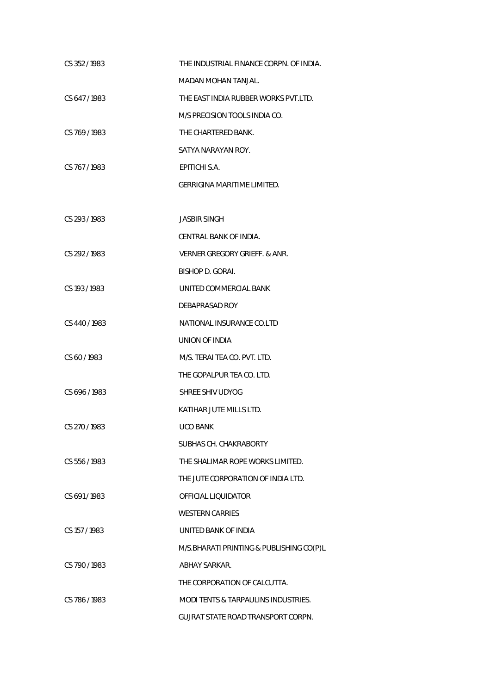| CS 352/1983   | THE INDUSTRIAL FINANCE CORPN. OF INDIA.  |
|---------------|------------------------------------------|
|               | <b>MADAN MOHAN TANJAL.</b>               |
| CS 647/1983   | THE EAST INDIA RUBBER WORKS PVT.LTD.     |
|               | M/S PRECISION TOOLS INDIA CO.            |
| CS 769/1983   | THE CHARTERED BANK.                      |
|               | SATYA NARAYAN ROY.                       |
| CS 767/1983   | EPITICHI S.A.                            |
|               | GERRIGINA MARITIME LIMITED.              |
|               |                                          |
| CS 293/1983   | <b>JASBIR SINGH</b>                      |
|               | CENTRAL BANK OF INDIA.                   |
| CS 292/1983   | VERNER GREGORY GRIEFF. & ANR.            |
|               | <b>BISHOP D. GORAI.</b>                  |
| CS 193/1983   | UNITED COMMERCIAL BANK                   |
|               | DEBAPRASAD ROY                           |
| CS 440/1983   | NATIONAL INSURANCE CO.LTD                |
|               | UNION OF INDIA                           |
| CS 60/1983    | M/S. TERAI TEA CO. PVT. LTD.             |
|               | THE GOPALPUR TEA CO. LTD.                |
| CS 696/1983   | SHREE SHIV UDYOG                         |
|               | KATIHAR JUTE MILLS LTD.                  |
| CS 270 / 1983 | UCO BANK                                 |
|               | SUBHAS CH. CHAKRABORTY                   |
| CS 556 / 1983 | THE SHALIMAR ROPE WORKS LIMITED.         |
|               | THE JUTE CORPORATION OF INDIA LTD.       |
| CS 691/1983   | OFFICIAL LIQUIDATOR                      |
|               | <b>WESTERN CARRIES</b>                   |
| CS 157/1983   | UNITED BANK OF INDIA                     |
|               | M/S.BHARATI PRINTING & PUBLISHING CO(P)L |
| CS 790/1983   | <b>ABHAY SARKAR.</b>                     |
|               | THE CORPORATION OF CALCUTTA.             |
| CS 786/1983   | MODI TENTS & TARPAULINS INDUSTRIES.      |
|               | GUJRAT STATE ROAD TRANSPORT CORPN.       |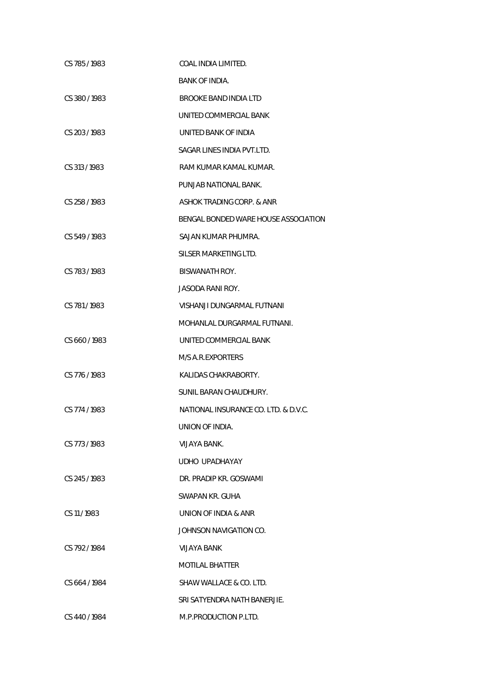| CS 785/1983   | COAL INDIA LIMITED.                  |
|---------------|--------------------------------------|
|               | <b>BANK OF INDIA.</b>                |
| CS 380/1983   | BROOKE BAND INDIA LTD                |
|               | UNITED COMMERCIAL BANK               |
| CS 203 / 1983 | UNITED BANK OF INDIA                 |
|               | SAGAR LINES INDIA PVT.LTD.           |
| CS 313/1983   | RAM KUMAR KAMAL KUMAR.               |
|               | PUNJAB NATIONAL BANK.                |
| CS 258 / 1983 | ASHOK TRADING CORP. & ANR            |
|               | BENGAL BONDED WARE HOUSE ASSOCIATION |
| CS 549/1983   | SAJAN KUMAR PHUMRA.                  |
|               | SILSER MARKETING LTD.                |
| CS 783/1983   | BISWANATH ROY.                       |
|               | JASODA RANI ROY.                     |
| CS 781/1983   | VISHANJI DUNGARMAL FUTNANI           |
|               | MOHANLAL DURGARMAL FUTNANI.          |
| CS 660/1983   | UNITED COMMERCIAL BANK               |
|               | M/S A.R.EXPORTERS                    |
| CS 776/1983   | KALIDAS CHAKRABORTY.                 |
|               | SUNIL BARAN CHAUDHURY.               |
| CS 774/1983   | NATIONAL INSURANCE CO. LTD. & D.V.C. |
|               | UNION OF INDIA.                      |
| CS 773/1983   | VIJAYA BANK.                         |
|               | UDHO UPADHAYAY                       |
| CS 245/1983   | DR. PRADIP KR. GOSWAMI               |
|               | SWAPAN KR. GUHA                      |
| CS 11/1983    | UNION OF INDIA & ANR                 |
|               | JOHNSON NAVIGATION CO.               |
| CS 792/1984   | VIJAYA BANK                          |
|               | <b>MOTILAL BHATTER</b>               |
| CS 664/1984   | SHAW WALLACE & CO. LTD.              |
|               | SRI SATYENDRA NATH BANERJIE.         |
| CS 440 / 1984 | M.P.PRODUCTION P.LTD.                |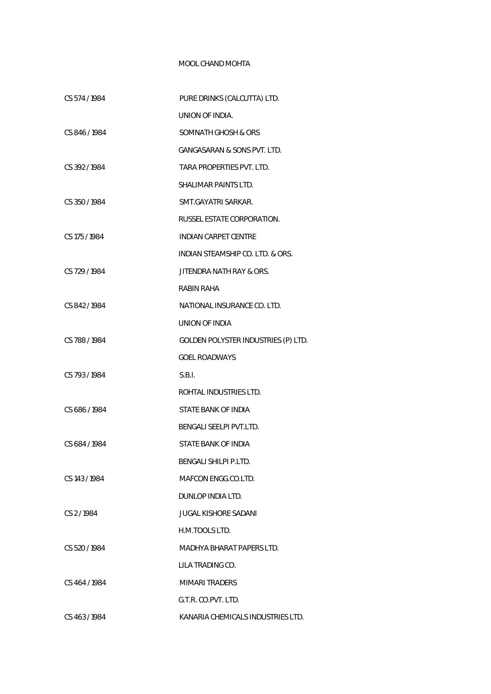## MOOL CHAND MOHTA

| CS 574/1984   | PURE DRINKS (CALCUTTA) LTD.            |
|---------------|----------------------------------------|
|               | UNION OF INDIA.                        |
| CS 846/1984   | SOMNATH GHOSH & ORS                    |
|               | <b>GANGASARAN &amp; SONS PVT. LTD.</b> |
| CS 392/1984   | TARA PROPERTIES PVT. LTD.              |
|               | SHALIMAR PAINTS LTD.                   |
| CS 350/1984   | SMT.GAYATRI SARKAR.                    |
|               | RUSSEL ESTATE CORPORATION.             |
| CS 175 / 1984 | <b>INDIAN CARPET CENTRE</b>            |
|               | INDIAN STEAMSHIP CO. LTD. & ORS.       |
| CS 729 / 1984 | JITENDRA NATH RAY & ORS.               |
|               | RABIN RAHA                             |
| CS 842/1984   | NATIONAL INSURANCE CO. LTD.            |
|               | UNION OF INDIA                         |
| CS 788 / 1984 | GOLDEN POLYSTER INDUSTRIES (P) LTD.    |
|               | <b>GOEL ROADWAYS</b>                   |
| CS 793/1984   | S.B.I.                                 |
|               | ROHTAL INDUSTRIES LTD.                 |
| CS 686/1984   | STATE BANK OF INDIA                    |
|               | BENGALI SEELPI PVT.LTD.                |
| CS 684/1984   | STATE BANK OF INDIA                    |
|               | BENGALI SHILPI P.LTD.                  |
| CS 143 / 1984 | MAFCON ENGG.CO.LTD.                    |
|               | DUNLOP INDIA LTD.                      |
| CS 2/1984     | JUGAL KISHORE SADANI                   |
|               | H.M.TOOLS LTD.                         |
| CS 520/1984   | MADHYA BHARAT PAPERS LTD.              |
|               | LILA TRADING CO.                       |
| CS 464 / 1984 | <b>MIMARI TRADERS</b>                  |
|               | G.T.R. CO.PVT. LTD.                    |
| CS 463/1984   | KANARIA CHEMICALS INDUSTRIES LTD.      |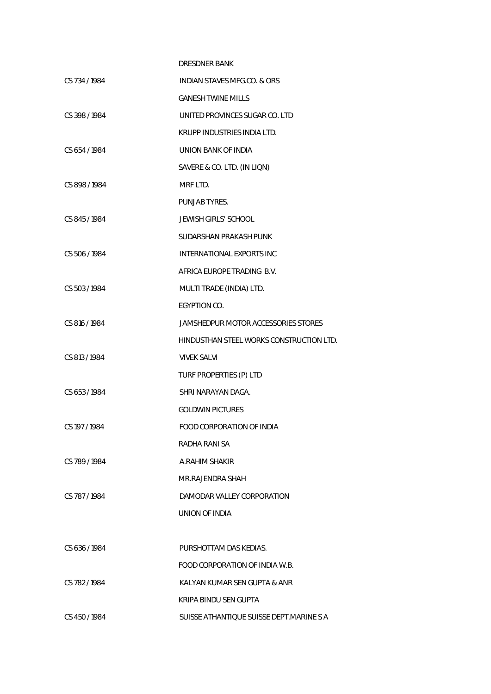|               | <b>DRESDNER BANK</b>                     |
|---------------|------------------------------------------|
| CS 734 / 1984 | <b>INDIAN STAVES MFG.CO. &amp; ORS</b>   |
|               | <b>GANESH TWINE MILLS</b>                |
| CS 398 / 1984 | UNITED PROVINCES SUGAR CO. LTD           |
|               | KRUPP INDUSTRIES INDIA LTD.              |
| CS 654 / 1984 | UNION BANK OF INDIA                      |
|               | SAVERE & CO. LTD. (IN LIQN)              |
| CS 898/1984   | MRF LTD.                                 |
|               | PUNJAB TYRES.                            |
| CS 845/1984   | JEWISH GIRLS' SCHOOL                     |
|               | SUDARSHAN PRAKASH PUNK                   |
| CS 506 / 1984 | <b>INTERNATIONAL EXPORTS INC</b>         |
|               | AFRICA EUROPE TRADING B.V.               |
| CS 503/1984   | MULTI TRADE (INDIA) LTD.                 |
|               | EGYPTION CO.                             |
| CS 816 / 1984 | JAMSHEDPUR MOTOR ACCESSORIES STORES      |
|               | HINDUSTHAN STEEL WORKS CONSTRUCTION LTD. |
| CS 813 / 1984 | <b>VIVEK SALVI</b>                       |
|               | TURF PROPERTIES (P) LTD                  |
| CS 653/1984   | SHRI NARAYAN DAGA.                       |
|               | <b>GOLDWIN PICTURES</b>                  |
| CS 197 / 1984 | FOOD CORPORATION OF INDIA                |
|               | RADHA RANI SA                            |
| CS 789/1984   | A.RAHIM SHAKIR                           |
|               | MR.RAJENDRA SHAH                         |
| CS 787/1984   | DAMODAR VALLEY CORPORATION               |
|               | <b>UNION OF INDIA</b>                    |
|               |                                          |
| CS 636/1984   | PURSHOTTAM DAS KEDIAS.                   |
|               | FOOD CORPORATION OF INDIA W.B.           |
| CS 782/1984   | KALYAN KUMAR SEN GUPTA & ANR             |
|               | KRIPA BINDU SEN GUPTA                    |
| CS 450/1984   | SUISSE ATHANTIQUE SUISSE DEPT.MARINE S A |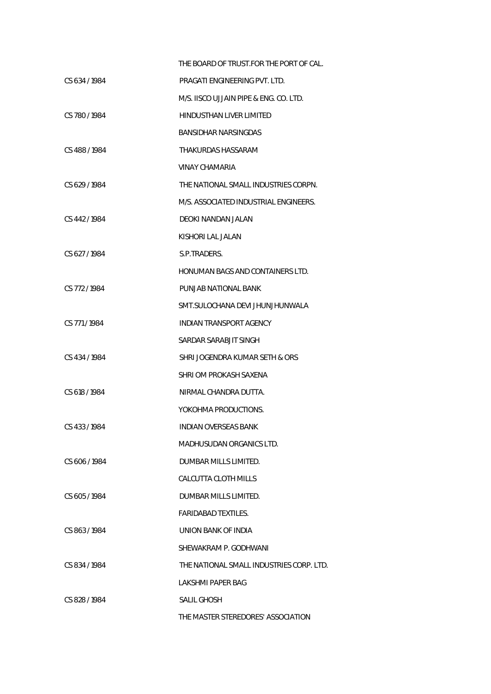|               | THE BOARD OF TRUST FOR THE PORT OF CAL.  |
|---------------|------------------------------------------|
| CS 634/1984   | PRAGATI ENGINEERING PVT. LTD.            |
|               | M/S. IISCO UJJAIN PIPE & ENG. CO. LTD.   |
| CS 780/1984   | HINDUSTHAN LIVER LIMITED                 |
|               | BANSIDHAR NARSINGDAS                     |
| CS 488/1984   | THAKURDAS HASSARAM                       |
|               | VINAY CHAMARIA                           |
| CS 629/1984   | THE NATIONAL SMALL INDUSTRIES CORPN.     |
|               | M/S. ASSOCIATED INDUSTRIAL ENGINEERS.    |
| CS 442/1984   | DEOKI NANDAN JALAN                       |
|               | KISHORI LAL JALAN                        |
| CS 627/1984   | S.P.TRADERS.                             |
|               | <b>HONUMAN BAGS AND CONTAINERS LTD.</b>  |
| CS 772/1984   | PUNJAB NATIONAL BANK                     |
|               | SMT.SULOCHANA DEVI JHUNJHUNWALA          |
| CS 771/1984   | INDIAN TRANSPORT AGENCY                  |
|               | SARDAR SARABJIT SINGH                    |
| CS 434/1984   | SHRI JOGENDRA KUMAR SETH & ORS           |
|               | SHRI OM PROKASH SAXENA                   |
| CS 618 / 1984 | NIRMAL CHANDRA DUTTA.                    |
|               | YOKOHMA PRODUCTIONS.                     |
| CS 433 / 1984 | <b>INDIAN OVERSEAS BANK</b>              |
|               | <b>MADHUSUDAN ORGANICS LTD.</b>          |
| CS 606/1984   | DUMBAR MILLS LIMITED.                    |
|               | CALCUTTA CLOTH MILLS                     |
| CS 605/1984   | DUMBAR MILLS LIMITED.                    |
|               | <b>FARIDABAD TEXTILES.</b>               |
| CS 863/1984   | UNION BANK OF INDIA                      |
|               | SHEWAKRAM P. GODHWANI                    |
| CS 834/1984   | THE NATIONAL SMALL INDUSTRIES CORP. LTD. |
|               | LAKSHMI PAPER BAG                        |
| CS 828/1984   | SALIL GHOSH                              |
|               | THE MASTER STEREDORES' ASSOCIATION       |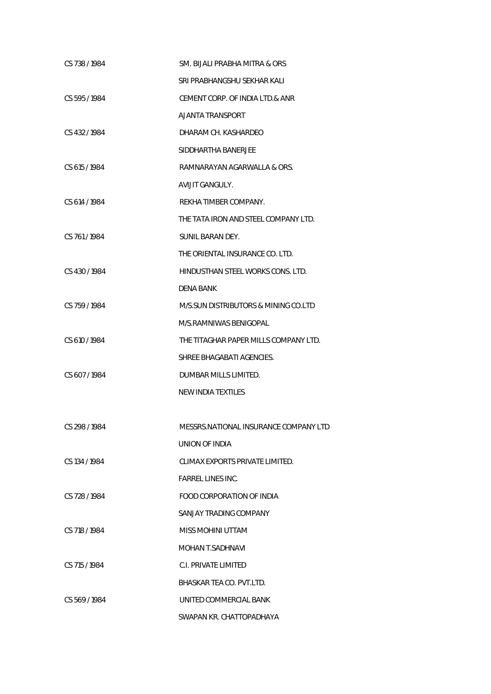| CS 738 / 1984 | SM. BIJALI PRABHA MITRA & ORS         |
|---------------|---------------------------------------|
|               | SRI PRABHANGSHU SEKHAR KALI           |
| CS 595/1984   | CEMENT CORP. OF INDIA LTD.& ANR       |
|               | AJANTA TRANSPORT                      |
| CS 432/1984   | DHARAM CH. KASHARDEO                  |
|               | SIDDHARTHA BANERJEE                   |
| CS 615/1984   | RAMNARAYAN AGARWALLA & ORS.           |
|               | AVIJIT GANGULY.                       |
| CS 614 / 1984 | REKHA TIMBER COMPANY.                 |
|               | THE TATA IRON AND STEEL COMPANY LTD.  |
| CS 761/1984   | SUNIL BARAN DEY.                      |
|               | THE ORIENTAL INSURANCE CO. LTD.       |
| CS 430/1984   | HINDUSTHAN STEEL WORKS CONS. LTD.     |
|               | <b>DENA BANK</b>                      |
| CS 759/1984   | M/S.SUN DISTRIBUTORS & MINING CO.LTD  |
|               | M/S.RAMNIWAS BENIGOPAL                |
| CS 610 / 1984 | THE TITAGHAR PAPER MILLS COMPANY LTD. |
|               | SHREE BHAGABATI AGENCIES.             |
| CS 607/1984   | DUMBAR MILLS LIMITED.                 |
|               | NEW INDIA TEXTILES                    |
|               |                                       |
| CS 298 / 1984 | MESSRS.NATIONAL INSURANCE COMPANY LTD |
|               | UNION OF INDIA                        |
| CS 134 / 1984 | CLIMAX EXPORTS PRIVATE LIMITED.       |
|               | FARREL LINES INC.                     |
| CS 728 / 1984 | FOOD CORPORATION OF INDIA             |
|               | SANJAY TRADING COMPANY                |
| CS 718 / 1984 | MISS MOHINI UTTAM                     |
|               | MOHAN T.SADHNAVI                      |
| CS 715/1984   | C.I. PRIVATE LIMITED                  |
|               | BHASKAR TEA CO. PVT.LTD.              |
| CS 569/1984   | UNITED COMMERCIAL BANK                |
|               | SWAPAN KR. CHATTOPADHAYA              |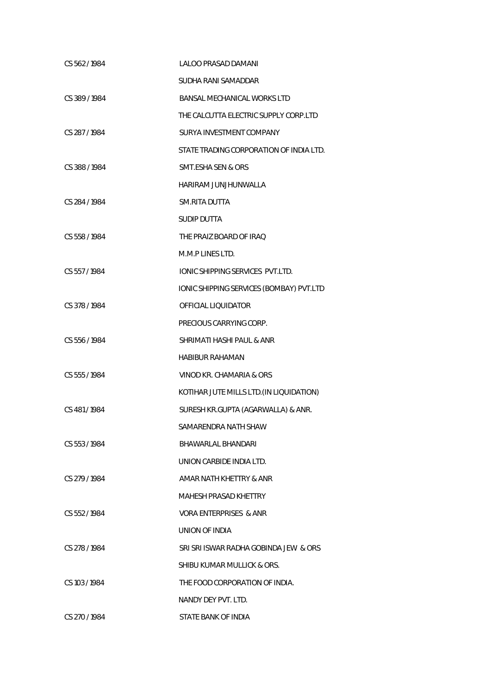| CS 562/1984   | <b>LALOO PRASAD DAMANI</b>               |
|---------------|------------------------------------------|
|               | SUDHA RANI SAMADDAR                      |
| CS 389/1984   | <b>BANSAL MECHANICAL WORKS LTD</b>       |
|               | THE CALCUTTA ELECTRIC SUPPLY CORP.LTD    |
| CS 287/1984   | SURYA INVESTMENT COMPANY                 |
|               | STATE TRADING CORPORATION OF INDIA LTD.  |
| CS 388 / 1984 | SMT.ESHA SEN & ORS                       |
|               | HARIRAM JUNJHUNWALLA                     |
| CS 284 / 1984 | <b>SM.RITA DUTTA</b>                     |
|               | <b>SUDIP DUTTA</b>                       |
| CS 558 / 1984 | THE PRAIZ BOARD OF IRAQ                  |
|               | M.M.P LINES LTD.                         |
| CS 557/1984   | IONIC SHIPPING SERVICES PVT.LTD.         |
|               | IONIC SHIPPING SERVICES (BOMBAY) PVT.LTD |
| CS 378 / 1984 | OFFICIAL LIQUIDATOR                      |
|               | PRECIOUS CARRYING CORP.                  |
| CS 556 / 1984 | SHRIMATI HASHI PAUL & ANR                |
|               | HABIBUR RAHAMAN                          |
| CS 555 / 1984 | VINOD KR. CHAMARIA & ORS                 |
|               | KOTIHAR JUTE MILLS LTD. (IN LIQUIDATION) |
| CS 481/1984   | SURESH KR.GUPTA (AGARWALLA) & ANR.       |
|               | SAMARENDRA NATH SHAW                     |
| CS 553/1984   | BHAWARLAL BHANDARI                       |
|               | UNION CARBIDE INDIA LTD.                 |
| CS 279/1984   | AMAR NATH KHETTRY & ANR                  |
|               | MAHESH PRASAD KHETTRY                    |
| CS 552/1984   | VORA ENTERPRISES & ANR                   |
|               | <b>UNION OF INDIA</b>                    |
| CS 278 / 1984 | SRI SRI ISWAR RADHA GOBINDA JEW & ORS    |
|               | SHIBU KUMAR MULLICK & ORS.               |
| CS 103/1984   | THE FOOD CORPORATION OF INDIA.           |
|               | NANDY DEY PVT. LTD.                      |
| CS 270 / 1984 | STATE BANK OF INDIA                      |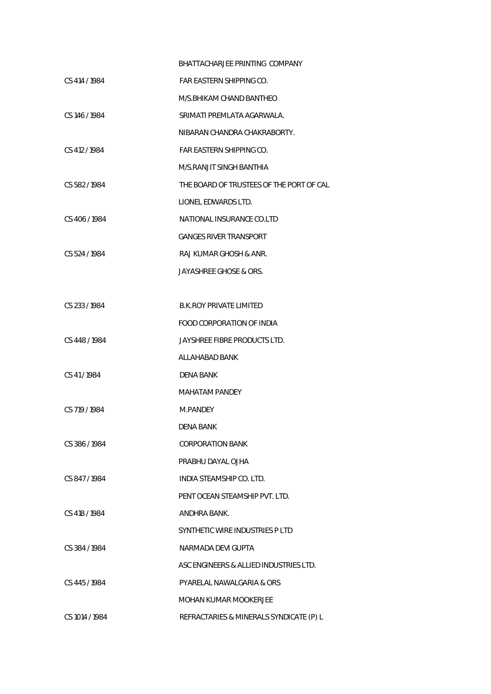|                | BHATTACHARJEE PRINTING COMPANY           |
|----------------|------------------------------------------|
| CS 414 / 1984  | FAR EASTERN SHIPPING CO.                 |
|                | M/S BHIKAM CHAND BANTHEO                 |
| CS 146 / 1984  | SRIMATI PREMLATA AGARWALA.               |
|                | NIBARAN CHANDRA CHAKRABORTY.             |
| CS 412/1984    | FAR EASTERN SHIPPING CO.                 |
|                | M/S.RANJIT SINGH BANTHIA                 |
| CS 582/1984    | THE BOARD OF TRUSTEES OF THE PORT OF CAL |
|                | LIONEL EDWARDS LTD.                      |
| CS 406/1984    | NATIONAL INSURANCE CO.LTD                |
|                | <b>GANGES RIVER TRANSPORT</b>            |
| CS 524 / 1984  | RAJ KUMAR GHOSH & ANR.                   |
|                | JAYASHREE GHOSE & ORS.                   |
|                |                                          |
| CS 233 / 1984  | <b>B.K.ROY PRIVATE LIMITED</b>           |
|                | <b>FOOD CORPORATION OF INDIA</b>         |
| CS 448 / 1984  | JAYSHREE FIBRE PRODUCTS LTD.             |
|                | ALLAHABAD BANK                           |
| CS 41/1984     | DENA BANK                                |
|                | MAHATAM PANDEY                           |
| CS 719 / 1984  | M.PANDEY                                 |
|                | DENA BANK                                |
| CS 386/1984    | <b>CORPORATION BANK</b>                  |
|                | PRABHU DAYAL OJHA                        |
| CS 847/1984    | INDIA STEAMSHIP CO. LTD.                 |
|                | PENT OCEAN STEAMSHIP PVT. LTD.           |
| CS 418 / 1984  | ANDHRA BANK.                             |
|                | SYNTHETIC WIRE INDUSTRIES P LTD          |
| CS 384 / 1984  | NARMADA DEVI GUPTA                       |
|                | ASC ENGINEERS & ALLIED INDUSTRIES LTD.   |
| CS 445/1984    | PYARELAL NAWALGARIA & ORS                |
|                | MOHAN KUMAR MOOKERJEE                    |
| CS 1014 / 1984 | REFRACTARIES & MINERALS SYNDICATE (P) L  |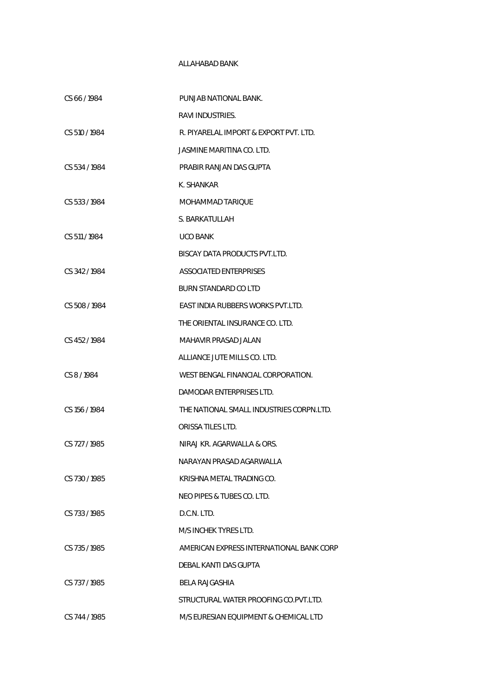## ALLAHABAD BANK

| CS 66/1984    | PUNJAB NATIONAL BANK.                    |
|---------------|------------------------------------------|
|               | RAVI INDUSTRIES.                         |
| CS 510 / 1984 | R. PIYARELAL IMPORT & EXPORT PVT. LTD.   |
|               | JASMINE MARITINA CO. LTD.                |
| CS 534/1984   | PRABIR RANJAN DAS GUPTA                  |
|               | K. SHANKAR                               |
| CS 533/1984   | MOHAMMAD TARIQUE                         |
|               | S. BARKATULLAH                           |
| CS 511/1984   | <b>UCO BANK</b>                          |
|               | BISCAY DATA PRODUCTS PVT.LTD.            |
| CS 342/1984   | <b>ASSOCIATED ENTERPRISES</b>            |
|               | BURN STANDARD CO LTD                     |
| CS 508/1984   | EAST INDIA RUBBERS WORKS PVT.LTD.        |
|               | THE ORIENTAL INSURANCE CO. LTD.          |
| CS 452/1984   | MAHAVIR PRASAD JALAN                     |
|               | ALLIANCE JUTE MILLS CO. LTD.             |
| CS 8/1984     | WEST BENGAL FINANCIAL CORPORATION.       |
|               | DAMODAR ENTERPRISES LTD.                 |
| CS 156 / 1984 | THE NATIONAL SMALL INDUSTRIES CORPN.LTD. |
|               | <b>ORISSA TILES LTD.</b>                 |
| CS 727 / 1985 | NIRAJ KR. AGARWALLA & ORS.               |
|               | NARAYAN PRASAD AGARWALLA                 |
| CS 730/1985   | KRISHNA METAL TRADING CO.                |
|               | NEO PIPES & TUBES CO. LTD.               |
| CS 733/1985   | D.C.N. LTD.                              |
|               | M/S INCHEK TYRES LTD.                    |
| CS 735/1985   | AMERICAN EXPRESS INTERNATIONAL BANK CORP |
|               | DEBAL KANTI DAS GUPTA                    |
| CS 737/1985   | <b>BELA RAJGASHIA</b>                    |
|               | STRUCTURAL WATER PROOFING CO.PVT.LTD.    |
| CS 744 / 1985 | M/S EURESIAN EQUIPMENT & CHEMICAL LTD    |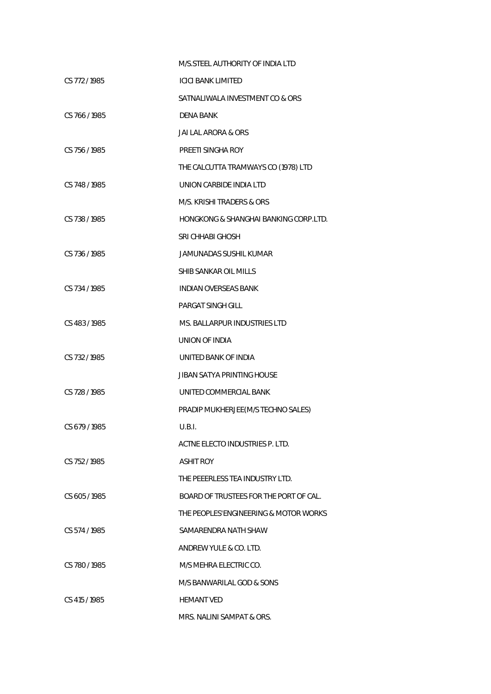|               | M/S.STEEL AUTHORITY OF INDIA LTD       |
|---------------|----------------------------------------|
| CS 772/1985   | ICICI BANK LIMITED                     |
|               | SATNALIWALA INVESTMENT CO & ORS        |
| CS 766/1985   | DENA BANK                              |
|               | JAI LAL ARORA & ORS                    |
| CS 756/1985   | PREETI SINGHA ROY                      |
|               | THE CALCUTTA TRAMWAYS CO (1978) LTD    |
| CS 748 / 1985 | UNION CARBIDE INDIA LTD                |
|               | M/S. KRISHI TRADERS & ORS              |
| CS 738 / 1985 | HONGKONG & SHANGHAI BANKING CORP.LTD.  |
|               | SRI CHHABI GHOSH                       |
| CS 736/1985   | JAMUNADAS SUSHIL KUMAR                 |
|               | SHIB SANKAR OIL MILLS                  |
| CS 734 / 1985 | INDIAN OVERSEAS BANK                   |
|               | PARGAT SINGH GILL                      |
| CS 483/1985   | MS. BALLARPUR INDUSTRIES LTD           |
|               | UNION OF INDIA                         |
| CS 732/1985   | UNITED BANK OF INDIA                   |
|               | JIBAN SATYA PRINTING HOUSE             |
| CS 728 / 1985 | UNITED COMMERCIAL BANK                 |
|               | PRADIP MUKHERJEE (M/S TECHNO SALES)    |
| CS 679 / 1985 | U.B.I.                                 |
|               | ACTNE ELECTO INDUSTRIES P. LTD.        |
| CS 752/1985   | ASHIT ROY                              |
|               | THE PEEERLESS TEA INDUSTRY LTD.        |
| CS 605/1985   | BOARD OF TRUSTEES FOR THE PORT OF CAL. |
|               | THE PEOPLES'ENGINEERING & MOTOR WORKS  |
| CS 574/1985   | SAMARENDRA NATH SHAW                   |
|               | ANDREW YULE & CO. LTD.                 |
| CS 780/1985   | M/S MEHRA ELECTRIC CO.                 |
|               | M/S BANWARILAL GOD & SONS              |
| CS 415 / 1985 | <b>HEMANT VED</b>                      |
|               | MRS. NALINI SAMPAT & ORS.              |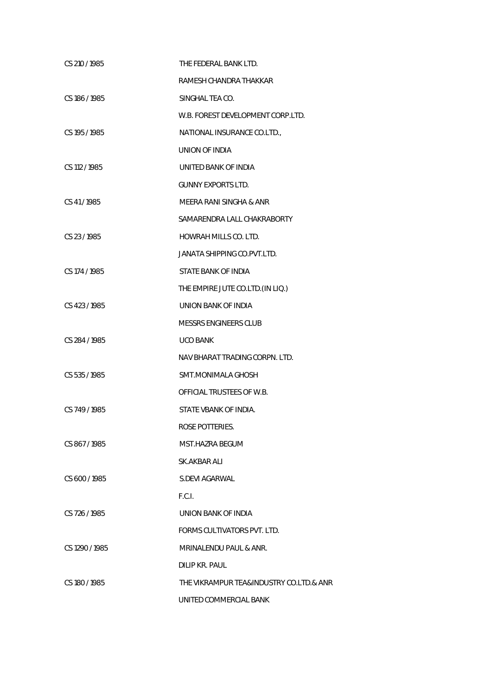| CS 210/1985    | THE FEDERAL BANK LTD.                   |
|----------------|-----------------------------------------|
|                | RAMESH CHANDRA THAKKAR                  |
| CS 186 / 1985  | SINGHAL TEA CO.                         |
|                | W.B. FOREST DEVELOPMENT CORP.LTD.       |
| CS 195 / 1985  | NATIONAL INSURANCE CO.LTD.,             |
|                | UNION OF INDIA                          |
| CS 112 / 1985  | UNITED BANK OF INDIA                    |
|                | <b>GUNNY EXPORTS LTD.</b>               |
| CS 41/1985     | MEERA RANI SINGHA & ANR                 |
|                | SAMARENDRA LALL CHAKRABORTY             |
| CS 23/1985     | HOWRAH MILLS CO. LTD.                   |
|                | JANATA SHIPPING CO.PVT.LTD.             |
| CS 174 / 1985  | STATE BANK OF INDIA                     |
|                | THE EMPIRE JUTE CO.LTD. (IN LIQ.)       |
| CS 423 / 1985  | UNION BANK OF INDIA                     |
|                | MESSRS ENGINEERS CLUB                   |
| CS 284/1985    | <b>UCO BANK</b>                         |
|                | NAV BHARAT TRADING CORPN. LTD.          |
| CS 535 / 1985  | SMT.MONIMALA GHOSH                      |
|                | OFFICIAL TRUSTEES OF W.B.               |
| CS 749 / 1985  | STATE VBANK OF INDIA.                   |
|                | ROSE POTTERIES.                         |
| CS 867/1985    | MST.HAZRA BEGUM                         |
|                | SK.AKBAR ALI                            |
| CS 600 / 1985  | <b>S.DEVI AGARWAL</b>                   |
|                | F.C.I.                                  |
| CS 726/1985    | UNION BANK OF INDIA                     |
|                | FORMS CULTIVATORS PVT. LTD.             |
| CS 1290 / 1985 | MRINALENDU PAUL & ANR.                  |
|                | DILIP KR. PAUL                          |
| CS 180 / 1985  | THE VIKRAMPUR TEA&INDUSTRY CO.LTD.& ANR |
|                | UNITED COMMERCIAL BANK                  |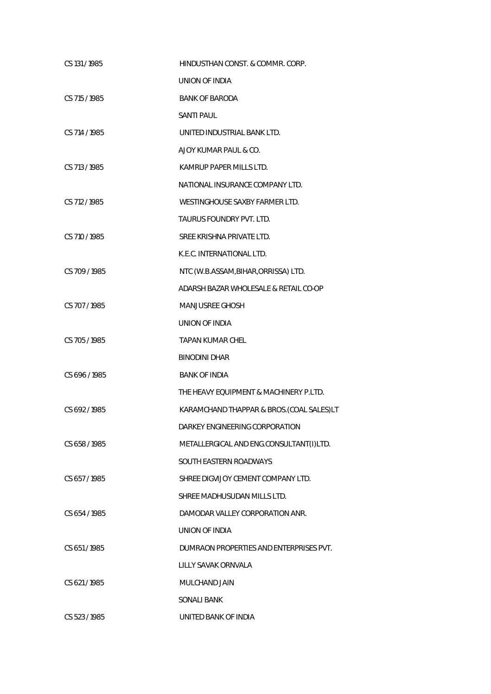| CS 131/1985   | HINDUSTHAN CONST. & COMMR. CORP.         |
|---------------|------------------------------------------|
|               | <b>UNION OF INDIA</b>                    |
| CS 715 / 1985 | <b>BANK OF BARODA</b>                    |
|               | <b>SANTI PAUL</b>                        |
| CS 714 / 1985 | UNITED INDUSTRIAL BANK LTD.              |
|               | AJOY KUMAR PAUL & CO.                    |
| CS 713 / 1985 | KAMRUP PAPER MILLS LTD.                  |
|               | NATIONAL INSURANCE COMPANY LTD.          |
| CS 712 / 1985 | WESTINGHOUSE SAXBY FARMER LTD.           |
|               | TAURUS FOUNDRY PVT. LTD.                 |
| CS 710/1985   | SREE KRISHNA PRIVATE LTD.                |
|               | K.E.C. INTERNATIONAL LTD.                |
| CS 709/1985   | NTC (W.B.ASSAM, BIHAR, ORRISSA) LTD.     |
|               | ADARSH BAZAR WHOLESALE & RETAIL CO-OP    |
| CS 707/1985   | <b>MANJUSREE GHOSH</b>                   |
|               | UNION OF INDIA                           |
| CS 705/1985   | <b>TAPAN KUMAR CHEL</b>                  |
|               | <b>BINODINI DHAR</b>                     |
| CS 696 / 1985 | <b>BANK OF INDIA</b>                     |
|               | THE HEAVY EQUIPMENT & MACHINERY P.LTD.   |
| CS 692/1985   | KARAMCHAND THAPPAR & BROS.(COAL SALES)LT |
|               | DARKEY ENGINEERING CORPORATION           |
| CS 658/1985   | METALLERGICAL AND ENG.CONSULTANT(I)LTD.  |
|               | SOUTH EASTERN ROADWAYS                   |
| CS 657/1985   | SHREE DIGVIJOY CEMENT COMPANY LTD.       |
|               | SHREE MADHUSUDAN MILLS LTD.              |
| CS 654 / 1985 | DAMODAR VALLEY CORPORATION ANR.          |
|               | UNION OF INDIA                           |
| CS 651/1985   | DUMRAON PROPERTIES AND ENTERPRISES PVT.  |
|               | LILLY SAVAK ORNVALA                      |
| CS 621/1985   | MULCHAND JAIN                            |
|               | <b>SONALI BANK</b>                       |
| CS 523 / 1985 | UNITED BANK OF INDIA                     |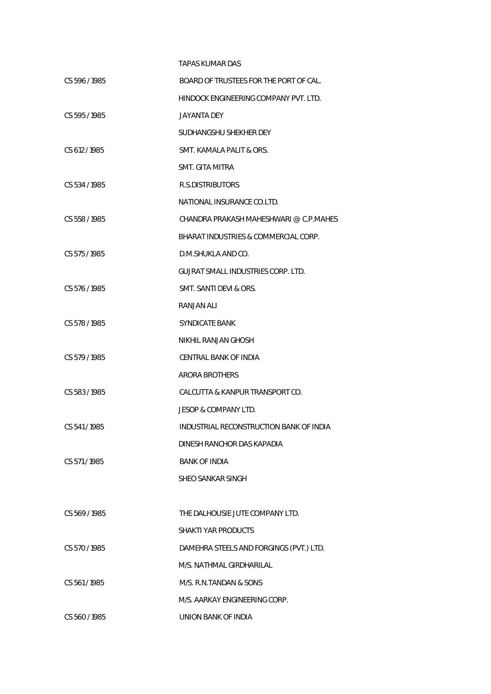|               | <b>TAPAS KUMAR DAS</b>                  |
|---------------|-----------------------------------------|
| CS 596 / 1985 | BOARD OF TRUSTEES FOR THE PORT OF CAL.  |
|               | HINDOCK ENGINEERING COMPANY PVT. LTD.   |
| CS 595/1985   | JAYANTA DEY                             |
|               | SUDHANGSHU SHEKHER DEY                  |
| CS 612/1985   | SMT. KAMALA PALIT & ORS.                |
|               | SMT. GITA MITRA                         |
| CS 534/1985   | R.S.DISTRIBUTORS                        |
|               | NATIONAL INSURANCE CO.LTD.              |
| CS 558 / 1985 | CHANDRA PRAKASH MAHESHWARI @ C.P.MAHES  |
|               | BHARAT INDUSTRIES & COMMERCIAL CORP.    |
| CS 575 / 1985 | D.M.SHUKLA AND CO.                      |
|               | GUJRAT SMALL INDUSTRIES CORP. LTD.      |
| CS 576 / 1985 | SMT. SANTI DEVI & ORS.                  |
|               | RANJAN ALI                              |
| CS 578 / 1985 | <b>SYNDICATE BANK</b>                   |
|               | NIKHIL RANJAN GHOSH                     |
| CS 579/1985   | CENTRAL BANK OF INDIA                   |
|               | ARORA BROTHERS                          |
| CS 583/1985   | CALCUTTA & KANPUR TRANSPORT CO.         |
|               | JESOP & COMPANY LTD.                    |
| CS 541/1985   | INDUSTRIAL RECONSTRUCTION BANK OF INDIA |
|               | DINESH RANCHOR DAS KAPADIA              |
| CS 571/1985   | <b>BANK OF INDIA</b>                    |
|               | SHEO SANKAR SINGH                       |
|               |                                         |
| CS 569/1985   | THE DALHOUSIE JUTE COMPANY LTD.         |
|               | <b>SHAKTI YAR PRODUCTS</b>              |
| CS 570/1985   | DAMEHRA STEELS AND FORGINGS (PVT.) LTD. |
|               | M/S. NATHMAL GIRDHARILAL                |
| CS 561/1985   | M/S. R.N.TANDAN & SONS                  |
|               | M/S. AARKAY ENGINEERING CORP.           |
| CS 560/1985   | UNION BANK OF INDIA                     |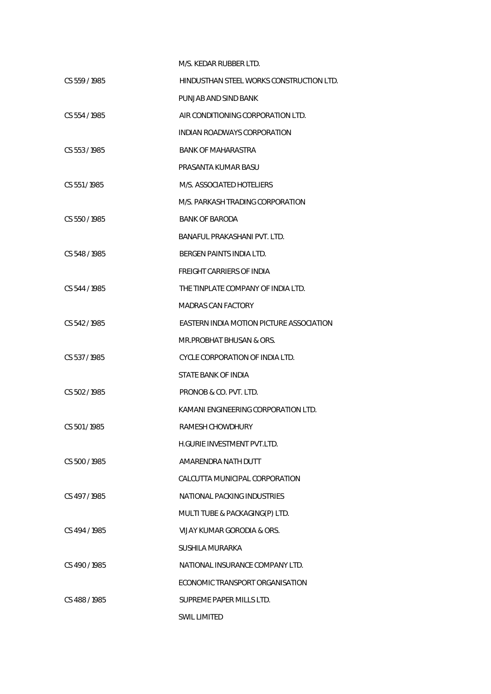|               | M/S. KEDAR RUBBER LTD.                   |
|---------------|------------------------------------------|
| CS 559/1985   | HINDUSTHAN STEEL WORKS CONSTRUCTION LTD. |
|               | PUNJAB AND SIND BANK                     |
| CS 554/1985   | AIR CONDITIONING CORPORATION LTD.        |
|               | INDIAN ROADWAYS CORPORATION              |
| CS 553/1985   | <b>BANK OF MAHARASTRA</b>                |
|               | PRASANTA KUMAR BASU                      |
| CS 551/1985   | M/S. ASSOCIATED HOTELIERS                |
|               | M/S. PARKASH TRADING CORPORATION         |
| CS 550/1985   | <b>BANK OF BARODA</b>                    |
|               | BANAFUL PRAKASHANI PVT. LTD.             |
| CS 548 / 1985 | BERGEN PAINTS INDIA LTD.                 |
|               | <b>FREIGHT CARRIERS OF INDIA</b>         |
| CS 544 / 1985 | THE TINPLATE COMPANY OF INDIA LTD.       |
|               | MADRAS CAN FACTORY                       |
| CS 542/1985   | EASTERN INDIA MOTION PICTURE ASSOCIATION |
|               | MR.PROBHAT BHUSAN & ORS.                 |
| CS 537/1985   | CYCLE CORPORATION OF INDIA LTD.          |
|               | STATE BANK OF INDIA                      |
| CS 502/1985   | PRONOB & CO. PVT. LTD.                   |
|               | KAMANI ENGINEERING CORPORATION LTD.      |
| CS 501/1985   | RAMESH CHOWDHURY                         |
|               | H.GURIE INVESTMENT PVT.LTD.              |
| CS 500 / 1985 | AMARENDRA NATH DUTT                      |
|               | CALCUTTA MUNICIPAL CORPORATION           |
| CS 497/1985   | NATIONAL PACKING INDUSTRIES              |
|               | MULTI TUBE & PACKAGING(P) LTD.           |
| CS 494/1985   | VIJAY KUMAR GORODIA & ORS.               |
|               | SUSHILA MURARKA                          |
| CS 490/1985   | NATIONAL INSURANCE COMPANY LTD.          |
|               | ECONOMIC TRANSPORT ORGANISATION          |
| CS 488/1985   | SUPREME PAPER MILLS LTD.                 |
|               | <b>SWIL LIMITED</b>                      |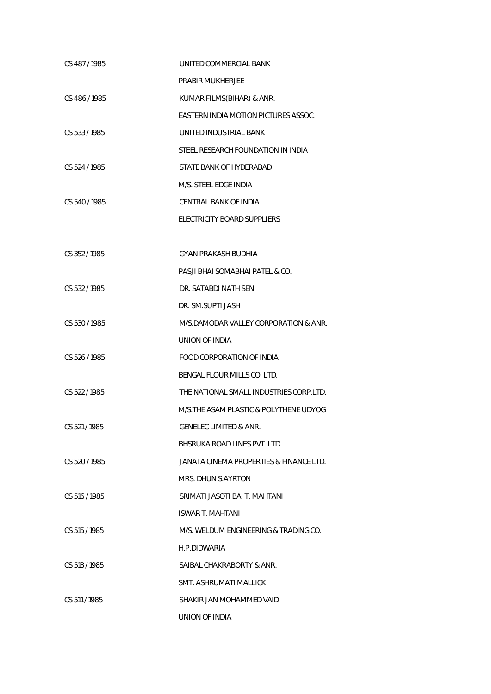| CS 487/1985   | UNITED COMMERCIAL BANK                  |
|---------------|-----------------------------------------|
|               | PRABIR MUKHERJEE                        |
| CS 486/1985   | KUMAR FILMS(BIHAR) & ANR.               |
|               | EASTERN INDIA MOTION PICTURES ASSOC.    |
| CS 533/1985   | UNITED INDUSTRIAL BANK                  |
|               | STEEL RESEARCH FOUNDATION IN INDIA      |
| CS 524 / 1985 | STATE BANK OF HYDERABAD                 |
|               | M/S. STEEL EDGE INDIA                   |
| CS 540/1985   | CENTRAL BANK OF INDIA                   |
|               | ELECTRICITY BOARD SUPPLIERS             |
|               |                                         |
| CS 352/1985   | GYAN PRAKASH BUDHIA                     |
|               | PASJI BHAI SOMABHAI PATEL & CO.         |
| CS 532/1985   | DR. SATABDI NATH SEN                    |
|               | DR. SM.SUPTI JASH                       |
| CS 530/1985   | M/S.DAMODAR VALLEY CORPORATION & ANR.   |
|               | UNION OF INDIA                          |
| CS 526 / 1985 | FOOD CORPORATION OF INDIA               |
|               | BENGAL FLOUR MILLS CO. LTD.             |
| CS 522/1985   | THE NATIONAL SMALL INDUSTRIES CORP.LTD. |
|               | M/S. THE ASAM PLASTIC & POLYTHENE UDYOG |
| CS 521/1985   | <b>GENELEC LIMITED &amp; ANR.</b>       |
|               | BHSRUKA ROAD LINES PVT. LTD.            |
| CS 520 / 1985 | JANATA CINEMA PROPERTIES & FINANCE LTD. |
|               | MRS. DHUN S.AYRTON                      |
| CS 516 / 1985 | SRIMATI JASOTI BAI T. MAHTANI           |
|               | <b>ISWAR T. MAHTANI</b>                 |
| CS 515 / 1985 | M/S. WELDUM ENGINEERING & TRADING CO.   |
|               | H.P.DIDWARIA                            |
| CS 513/1985   | SAIBAL CHAKRABORTY & ANR.               |
|               | SMT. ASHRUMATI MALLICK                  |
| CS 511/1985   | SHAKIR JAN MOHAMMED VAID                |
|               | UNION OF INDIA                          |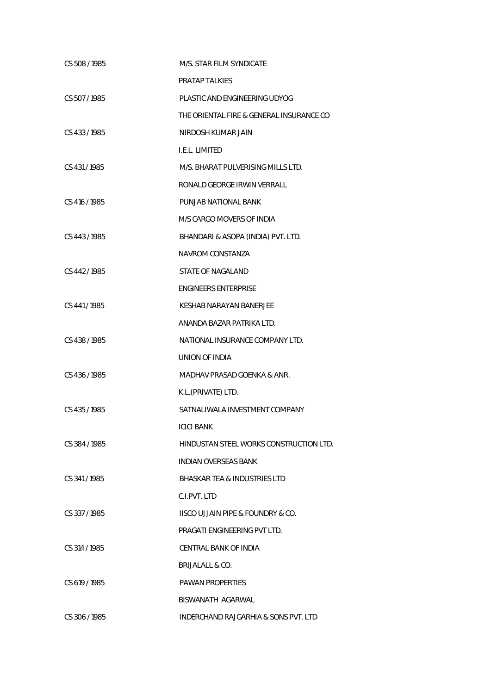| CS 508/1985   | M/S. STAR FILM SYNDICATE                 |
|---------------|------------------------------------------|
|               | PRATAP TALKIES                           |
| CS 507/1985   | PLASTIC AND ENGINEERING UDYOG            |
|               | THE ORIENTAL FIRE & GENERAL INSURANCE CO |
| CS 433/1985   | NIRDOSH KUMAR JAIN                       |
|               | I.E.L. LIMITED                           |
| CS 431/1985   | M/S. BHARAT PULVERISING MILLS LTD.       |
|               | RONALD GEORGE IRWIN VERRALL              |
| CS 416 / 1985 | PUNJAB NATIONAL BANK                     |
|               | M/S CARGO MOVERS OF INDIA                |
| CS 443 / 1985 | BHANDARI & ASOPA (INDIA) PVT. LTD.       |
|               | NAVROM CONSTANZA                         |
| CS 442/1985   | <b>STATE OF NAGALAND</b>                 |
|               | <b>ENGINEERS ENTERPRISE</b>              |
| CS 441/1985   | <b>KESHAB NARAYAN BANERJEE</b>           |
|               | ANANDA BAZAR PATRIKA LTD.                |
| CS 438 / 1985 | NATIONAL INSURANCE COMPANY LTD.          |
|               | UNION OF INDIA                           |
| CS 436/1985   | MADHAV PRASAD GOENKA & ANR.              |
|               | K.L.(PRIVATE) LTD.                       |
| CS 435/1985   | SATNALIWALA INVESTMENT COMPANY           |
|               | ICICI BANK                               |
| CS 384/1985   | HINDUSTAN STEEL WORKS CONSTRUCTION LTD.  |
|               | <b>INDIAN OVERSEAS BANK</b>              |
| CS 341/1985   | BHASKAR TEA & INDUSTRIES LTD             |
|               | C.LPVT. LTD                              |
| CS 337/1985   | IISCO UJJAIN PIPE & FOUNDRY & CO.        |
|               | PRAGATI ENGINEERING PVT LTD.             |
| CS 314 / 1985 | CENTRAL BANK OF INDIA                    |
|               | BRIJALALL & CO.                          |
| CS 619 / 1985 | <b>PAWAN PROPERTIES</b>                  |
|               | BISWANATH AGARWAL                        |
| CS 306 / 1985 | INDERCHAND RAJGARHIA & SONS PVT. LTD     |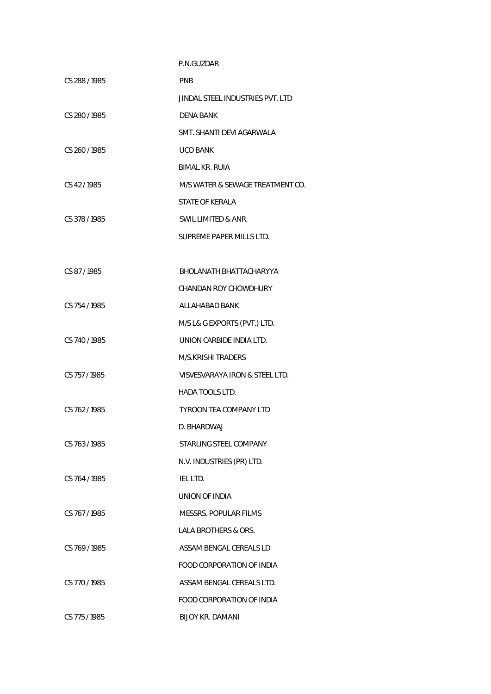|               | P.N.GUZDAR                       |
|---------------|----------------------------------|
| CS 288 / 1985 | <b>PNB</b>                       |
|               | JINDAL STEEL INDUSTRIES PVT. LTD |
| CS 280/1985   | <b>DENA BANK</b>                 |
|               | SMT. SHANTI DEVI AGARWALA        |
| CS 260/1985   | <b>UCO BANK</b>                  |
|               | BIMAL KR. RUIA                   |
| CS 42/1985    | M/S WATER & SEWAGE TREATMENT CO. |
|               | <b>STATE OF KERALA</b>           |
| CS 378 / 1985 | SWIL LIMITED & ANR.              |
|               | SUPREME PAPER MILLS LTD.         |
|               |                                  |
| CS 87/1985    | BHOLANATH BHATTACHARYYA          |
|               | <b>CHANDAN ROY CHOWDHURY</b>     |
| CS 754/1985   | ALLAHABAD BANK                   |
|               | M/S L& G EXPORTS (PVT.) LTD.     |
| CS 740/1985   | UNION CARBIDE INDIA LTD.         |
|               | M/S.KRISHI TRADERS               |
| CS 757/1985   | VISVESVARAYA IRON & STEEL LTD.   |
|               | <b>HADA TOOLS LTD.</b>           |
| CS 762/1985   | TYROON TEA COMPANY LTD           |
|               | D. BHARDWAJ                      |
| CS 763/1985   | STARLING STEEL COMPANY           |
|               | N.V. INDUSTRIES (PR) LTD.        |
| CS 764 / 1985 | IEL LTD.                         |
|               | UNION OF INDIA                   |
| CS 767/1985   | <b>MESSRS. POPULAR FILMS</b>     |
|               | <b>LALA BROTHERS &amp; ORS.</b>  |
| CS 769/1985   | ASSAM BENGAL CEREALS LD          |
|               | FOOD CORPORATION OF INDIA        |
| CS 770 / 1985 | ASSAM BENGAL CEREALS LTD.        |
|               | <b>FOOD CORPORATION OF INDIA</b> |
| CS 775 / 1985 | <b>BIJOY KR. DAMANI</b>          |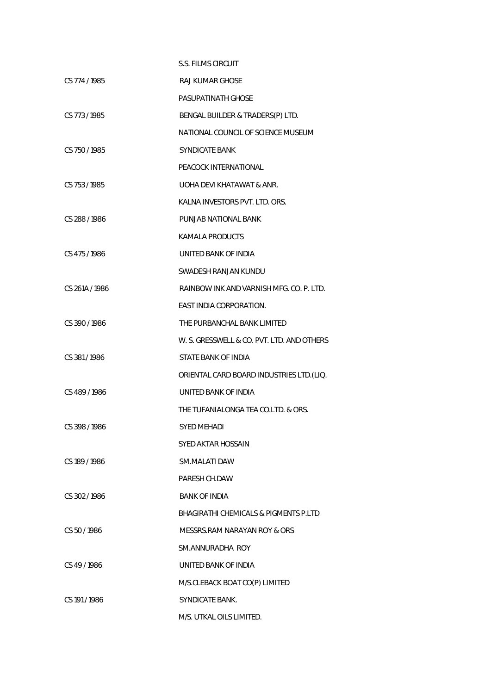|                | S.S. FILMS CIRCUIT                               |
|----------------|--------------------------------------------------|
| CS 774 / 1985  | RAJ KUMAR GHOSE                                  |
|                | <b>PASUPATINATH GHOSE</b>                        |
| CS 773/1985    | BENGAL BUILDER & TRADERS(P) LTD.                 |
|                | NATIONAL COUNCIL OF SCIENCE MUSEUM               |
| CS 750 / 1985  | SYNDICATE BANK                                   |
|                | PEACOCK INTERNATIONAL                            |
| CS 753 / 1985  | UOHA DEVI KHATAWAT & ANR.                        |
|                | KALNA INVESTORS PVT. LTD. ORS.                   |
| CS 288/1986    | PUNJAB NATIONAL BANK                             |
|                | KAMALA PRODUCTS                                  |
| CS 475/1986    | UNITED BANK OF INDIA                             |
|                | SWADESH RANJAN KUNDU                             |
| CS 261A / 1986 | RAINBOW INK AND VARNISH MFG. CO. P. LTD.         |
|                | EAST INDIA CORPORATION.                          |
| CS 390/1986    | THE PURBANCHAL BANK LIMITED                      |
|                | W. S. GRESSWELL & CO. PVT. LTD. AND OTHERS       |
| CS 381/1986    | STATE BANK OF INDIA                              |
|                | ORIENTAL CARD BOARD INDUSTRIES LTD. (LIQ.        |
| CS 489/1986    | UNITED BANK OF INDIA                             |
|                | THE TUFANIALONGA TEA CO.LTD. & ORS.              |
| CS 398 / 1986  | SYED MEHADI                                      |
|                | SYED AKTAR HOSSAIN                               |
| CS 189/1986    | SM.MALATI DAW                                    |
|                | PARESH CH.DAW                                    |
| CS 302/1986    | <b>BANK OF INDIA</b>                             |
|                | <b>BHAGIRATHI CHEMICALS &amp; PIGMENTS P.LTD</b> |
| CS 50/1986     | MESSRS.RAM NARAYAN ROY & ORS                     |
|                | SM.ANNURADHA ROY                                 |
| CS 49/1986     | UNITED BANK OF INDIA                             |
|                | M/S.CLEBACK BOAT CO(P) LIMITED                   |
| CS 191/1986    | <b>SYNDICATE BANK.</b>                           |
|                | M/S. UTKAL OILS LIMITED.                         |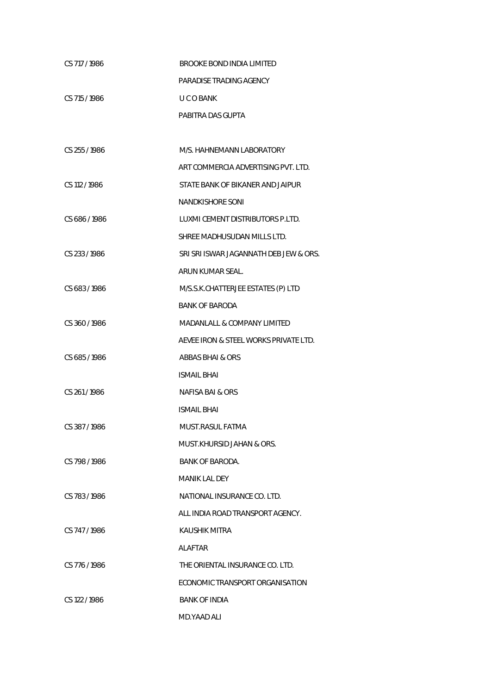| CS 717/1986   | <b>BROOKE BOND INDIA LIMITED</b>       |
|---------------|----------------------------------------|
|               | PARADISE TRADING AGENCY                |
| CS 715 / 1986 | U C O BANK                             |
|               | PABITRA DAS GUPTA                      |
|               |                                        |
| CS 255/1986   | M/S. HAHNEMANN LABORATORY              |
|               | ART COMMERCIA ADVERTISING PVT. I TD.   |
| CS 112 / 1986 | STATE BANK OF BIKANER AND JAIPUR       |
|               | <b>NANDKISHORE SONI</b>                |
| CS 686 / 1986 | LUXMI CEMENT DISTRIBUTORS P.LTD.       |
|               | SHREE MADHUSUDAN MILLS LTD.            |
| CS 233/1986   | SRI SRI ISWAR JAGANNATH DEB JEW & ORS. |
|               | ARUN KUMAR SEAL.                       |
| CS 683/1986   | M/S.S.K.CHATTERJEE ESTATES (P) LTD     |
|               | <b>BANK OF BARODA</b>                  |
| CS 360/1986   | <b>MADANLALL &amp; COMPANY LIMITED</b> |
|               | AEVEE IRON & STEEL WORKS PRIVATE LTD.  |
| CS 685/1986   | ABBAS BHAI & ORS                       |
|               | <b>ISMAIL BHAI</b>                     |
| CS 261/1986   | NAFISA BAI & ORS                       |
|               | <b>ISMAIL BHAI</b>                     |
| CS 387/1986   | MUST.RASUL FATMA                       |
|               | MUST.KHURSID JAHAN & ORS.              |
| CS 798/1986   | <b>BANK OF BARODA.</b>                 |
|               | MANIK LAL DEY                          |
| CS 783/1986   | NATIONAL INSURANCE CO. LTD.            |
|               | ALL INDIA ROAD TRANSPORT AGENCY.       |
| CS 747/1986   | KAUSHIK MITRA                          |
|               | ALAFTAR                                |
| CS 776/1986   | THE ORIENTAL INSURANCE CO. LTD.        |
|               | ECONOMIC TRANSPORT ORGANISATION        |
| CS 122/1986   | <b>BANK OF INDIA</b>                   |
|               | MD.YAAD ALI                            |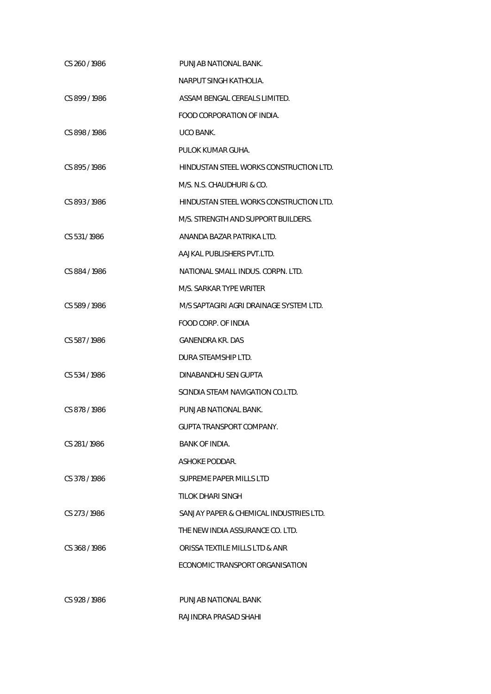| CS 260/1986   | PUNJAB NATIONAL BANK.                   |
|---------------|-----------------------------------------|
|               | NARPUT SINGH KATHOLIA.                  |
| CS 899/1986   | ASSAM BENGAL CEREALS LIMITED.           |
|               | FOOD CORPORATION OF INDIA.              |
| CS 898/1986   | UCO BANK.                               |
|               | PULOK KUMAR GUHA.                       |
| CS 895/1986   | HINDUSTAN STEEL WORKS CONSTRUCTION LTD. |
|               | M/S. N.S. CHAUDHURI & CO.               |
| CS 893/1986   | HINDUSTAN STEEL WORKS CONSTRUCTION LTD. |
|               | M/S. STRENGTH AND SUPPORT BUILDERS.     |
| CS 531/1986   | ANANDA BAZAR PATRIKA LTD.               |
|               | AAJKAL PUBLISHERS PVT.LTD.              |
| CS 884/1986   | NATIONAL SMALL INDUS. CORPN. LTD.       |
|               | M/S. SARKAR TYPE WRITER                 |
| CS 589/1986   | M/S SAPTAGIRI AGRI DRAINAGE SYSTEM LTD. |
|               | FOOD CORP. OF INDIA                     |
| CS 587/1986   | GANENDRA KR. DAS                        |
|               | DURA STEAMSHIP LTD.                     |
| CS 534/1986   | DINABANDHU SEN GUPTA                    |
|               | SCINDIA STEAM NAVIGATION CO.LTD.        |
| CS 878/1986   | PUNJAB NATIONAL BANK.                   |
|               | GUPTA TRANSPORT COMPANY.                |
| CS 281/1986   | BANK OF INDIA.                          |
|               | ASHOKE PODDAR.                          |
| CS 378/1986   | SUPREME PAPER MILLS LTD                 |
|               | TILOK DHARI SINGH                       |
| CS 273/1986   | SANJAY PAPER & CHEMICAL INDUSTRIES LTD. |
|               | THE NEW INDIA ASSURANCE CO. LTD.        |
| CS 368/1986   | ORISSA TEXTILE MILLS LTD & ANR          |
|               | ECONOMIC TRANSPORT ORGANISATION         |
|               |                                         |
| CS 928 / 1986 | PUNJAB NATIONAL BANK                    |
|               | RAJINDRA PRASAD SHAHI                   |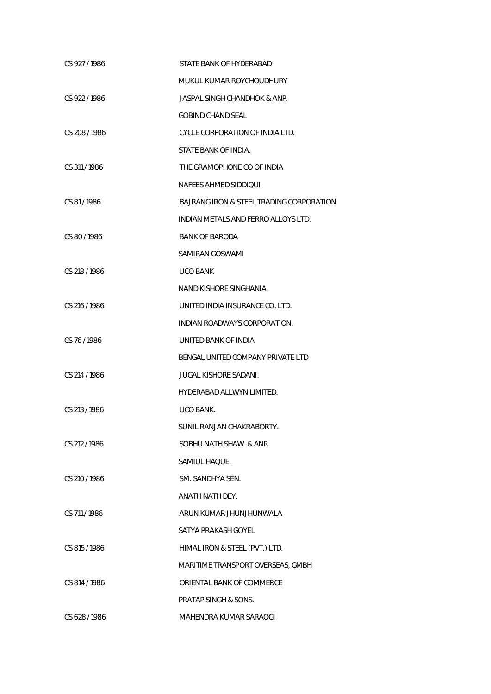| CS 927/1986   | STATE BANK OF HYDERABAD                  |
|---------------|------------------------------------------|
|               | MUKUL KUMAR ROYCHOUDHURY                 |
| CS 922/1986   | <b>JASPAL SINGH CHANDHOK &amp; ANR</b>   |
|               | <b>GOBIND CHAND SEAL</b>                 |
| CS 208 / 1986 | CYCLE CORPORATION OF INDIA LTD.          |
|               | STATE BANK OF INDIA.                     |
| CS 311/1986   | THE GRAMOPHONE CO OF INDIA               |
|               | NAFEES AHMED SIDDIQUI                    |
| CS 81/1986    | BAJRANG IRON & STEEL TRADING CORPORATION |
|               | INDIAN METALS AND FERRO ALLOYS LTD.      |
| CS 80/1986    | <b>BANK OF BARODA</b>                    |
|               | SAMIRAN GOSWAMI                          |
| CS 218 / 1986 | <b>UCO BANK</b>                          |
|               | NAND KISHORE SINGHANIA.                  |
| CS 216 / 1986 | UNITED INDIA INSURANCE CO. LTD.          |
|               | INDIAN ROADWAYS CORPORATION.             |
| CS 76/1986    | UNITED BANK OF INDIA                     |
|               | BENGAL UNITED COMPANY PRIVATE LTD        |
| CS 214 / 1986 | <b>JUGAL KISHORE SADANI.</b>             |
|               | HYDERABAD ALLWYN LIMITED.                |
| CS 213 / 1986 | UCO BANK.                                |
|               | SUNIL RANJAN CHAKRABORTY.                |
| CS 212/1986   | SOBHU NATH SHAW, & ANR.                  |
|               | SAMIUL HAQUE.                            |
| CS 210 / 1986 | SM. SANDHYA SEN.                         |
|               | ANATH NATH DEY.                          |
| CS 711 / 1986 | ARUN KUMAR JHUNJHUNWALA                  |
|               | SATYA PRAKASH GOYEL                      |
| CS 815 / 1986 | HIMAL IRON & STEEL (PVT.) LTD.           |
|               | MARITIME TRANSPORT OVERSEAS, GMBH        |
| CS 814 / 1986 | ORIENTAL BANK OF COMMERCE                |
|               | PRATAP SINGH & SONS.                     |
| CS 628 / 1986 | MAHENDRA KUMAR SARAOGI                   |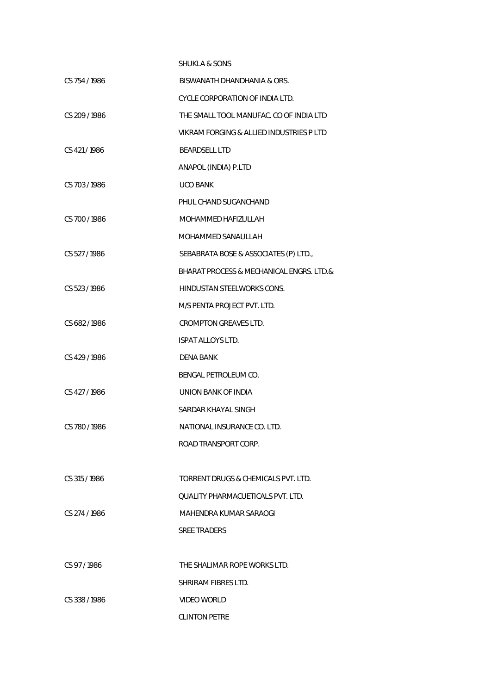|               | <b>SHUKLA &amp; SONS</b>                 |
|---------------|------------------------------------------|
| CS 754 / 1986 | BISWANATH DHANDHANIA & ORS.              |
|               | CYCLE CORPORATION OF INDIA LTD.          |
| CS 209/1986   | THE SMALL TOOL MANUFAC. CO OF INDIA LTD  |
|               | VIKRAM FORGING & ALLIED INDUSTRIES P LTD |
| CS 421/1986   | <b>BEARDSELL LTD</b>                     |
|               | ANAPOL (INDIA) P.LTD                     |
| CS 703/1986   | <b>UCO BANK</b>                          |
|               | PHUL CHAND SUGANCHAND                    |
| CS 700/1986   | MOHAMMED HAFIZULLAH                      |
|               | MOHAMMED SANAULLAH                       |
| CS 527/1986   | SEBABRATA BOSE & ASSOCIATES (P) LTD.,    |
|               | BHARAT PROCESS & MECHANICAL ENGRS. LTD.& |
| CS 523/1986   | <b>HINDUSTAN STEELWORKS CONS.</b>        |
|               | M/S PENTA PROJECT PVT. LTD.              |
| CS 682/1986   | <b>CROMPTON GREAVES LTD.</b>             |
|               | <b>ISPAT ALLOYS LTD.</b>                 |
| CS 429/1986   | DENA BANK                                |
|               | BENGAL PETROLEUM CO.                     |
| CS 427/1986   | UNION BANK OF INDIA                      |
|               | SARDAR KHAYAL SINGH                      |
| CS 780/1986   | NATIONAL INSURANCE CO. LTD.              |
|               | ROAD TRANSPORT CORP.                     |
|               |                                          |
| CS 315 / 1986 | TORRENT DRUGS & CHEMICALS PVT. LTD.      |
|               | QUALITY PHARMACUETICALS PVT. LTD.        |
| CS 274 / 1986 | MAHENDRA KUMAR SARAOGI                   |
|               | <b>SREE TRADERS</b>                      |
|               |                                          |
| CS 97/1986    | THE SHALIMAR ROPE WORKS LTD.             |
|               | SHRIRAM FIBRES LTD.                      |
| CS 338/1986   | VIDEO WORLD                              |
|               | <b>CLINTON PETRE</b>                     |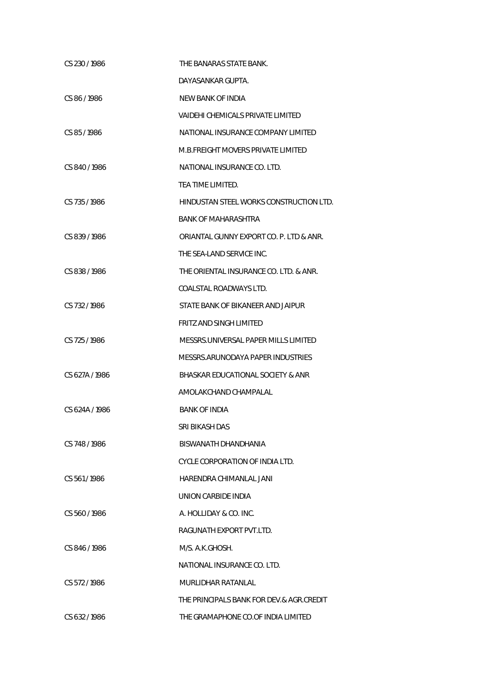| CS 230/1986    | THE BANARAS STATE BANK.                  |
|----------------|------------------------------------------|
|                | DAYASANKAR GUPTA.                        |
| CS 86 / 1986   | NEW BANK OF INDIA                        |
|                | VAIDEHI CHEMICALS PRIVATE LIMITED        |
| CS 85/1986     | NATIONAL INSURANCE COMPANY LIMITED       |
|                | M.B.FREIGHT MOVERS PRIVATE LIMITED       |
| CS 840/1986    | NATIONAL INSURANCE CO. LTD.              |
|                | TEA TIME LIMITED.                        |
| CS 735/1986    | HINDUSTAN STEEL WORKS CONSTRUCTION LTD.  |
|                | BANK OF MAHARASHTRA                      |
| CS 839/1986    | ORIANTAL GUNNY EXPORT CO. P. LTD & ANR.  |
|                | THE SEA-LAND SERVICE INC.                |
| CS 838/1986    | THE ORIENTAL INSURANCE CO. LTD. & ANR.   |
|                | COALSTAL ROADWAYS LTD.                   |
| CS 732/1986    | STATE BANK OF BIKANEER AND JAIPUR        |
|                | FRITZ AND SINGH LIMITED                  |
| CS 725 / 1986  | MESSRS.UNIVERSAL PAPER MILLS LIMITED     |
|                | MESSRS.ARUNODAYA PAPER INDUSTRIES        |
| CS 627A / 1986 | BHASKAR EDUCATIONAL SOCIETY & ANR        |
|                | AMOLAKCHAND CHAMPALAL                    |
| CS 624A / 1986 | <b>BANK OF INDIA</b>                     |
|                | SRI BIKASH DAS                           |
| CS 748 / 1986  | BISWANATH DHANDHANIA                     |
|                | CYCLE CORPORATION OF INDIA LTD.          |
| CS 561/1986    | HARENDRA CHIMANLAL JANI                  |
|                | UNION CARBIDE INDIA                      |
| CS 560/1986    | A. HOLLIDAY & CO. INC.                   |
|                | RAGUNATH EXPORT PVT.LTD.                 |
| CS 846/1986    | M/S. A.K.GHOSH.                          |
|                | NATIONAL INSURANCE CO. LTD.              |
| CS 572/1986    | MURLIDHAR RATANLAL                       |
|                | THE PRINCIPALS BANK FOR DEV.& AGR.CREDIT |
| CS 632/1986    | THE GRAMAPHONE CO.OF INDIA LIMITED       |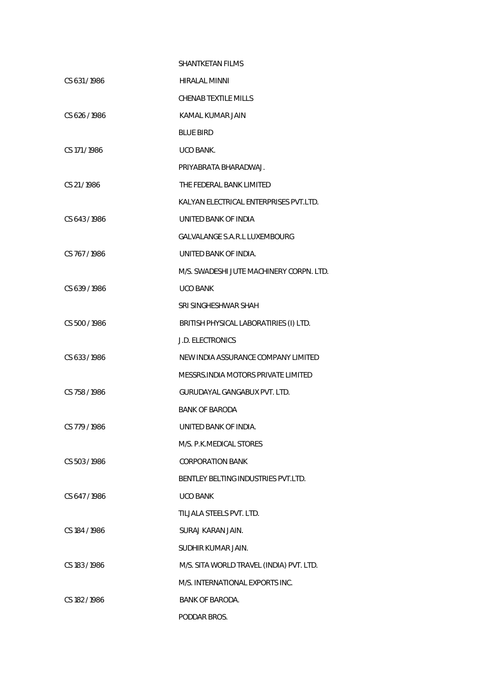|               | SHANTKFTAN FILMS                         |
|---------------|------------------------------------------|
| CS 631/1986   | <b>HIRALAL MINNI</b>                     |
|               | <b>CHENAB TEXTILE MILLS</b>              |
| CS 626/1986   | KAMAL KUMAR JAIN                         |
|               | <b>BLUE BIRD</b>                         |
| CS 171/1986   | UCO BANK.                                |
|               | PRIYABRATA BHARADWAJ.                    |
| CS 21/1986    | THE FEDERAL BANK LIMITED                 |
|               | KALYAN ELECTRICAL ENTERPRISES PVT.LTD.   |
| CS 643/1986   | UNITED BANK OF INDIA                     |
|               | <b>GALVALANGE S.A.R.L LUXEMBOURG</b>     |
| CS 767/1986   | UNITED BANK OF INDIA.                    |
|               | M/S. SWADESHI JUTE MACHINERY CORPN. LTD. |
| CS 639/1986   | <b>UCO BANK</b>                          |
|               | SRI SINGHESHWAR SHAH                     |
| CS 500/1986   | BRITISH PHYSICAL LABORATIRIES (I) LTD.   |
|               | <b>J.D. ELECTRONICS</b>                  |
| CS 633/1986   | NEW INDIA ASSURANCE COMPANY LIMITED      |
|               | MESSRS. INDIA MOTORS PRIVATE LIMITED     |
| CS 758/1986   | GURUDAYAL GANGABUX PVT. LTD.             |
|               | BANK OF BARODA                           |
| CS 779 / 1986 | UNITED BANK OF INDIA.                    |
|               | M/S. P.K.MEDICAL STORES                  |
| CS 503/1986   | <b>CORPORATION BANK</b>                  |
|               | BENTLEY BELTING INDUSTRIES PVT.LTD.      |
| CS 647/1986   | <b>UCO BANK</b>                          |
|               | TILJALA STEELS PVT. LTD.                 |
| CS 184 / 1986 | SURAJ KARAN JAIN.                        |
|               | SUDHIR KUMAR JAIN.                       |
| CS 183/1986   | M/S. SITA WORLD TRAVEL (INDIA) PVT. LTD. |
|               | M/S. INTERNATIONAL EXPORTS INC.          |
| CS 182/1986   | <b>BANK OF BARODA.</b>                   |
|               | PODDAR BROS.                             |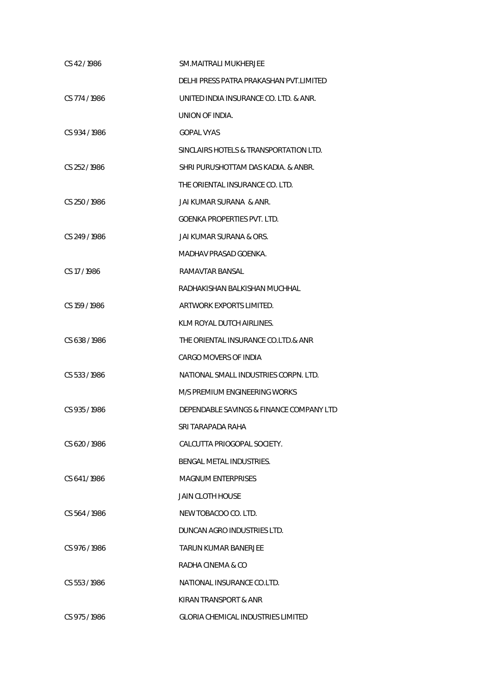| CS 42/1986    | SM.MAITRALI MUKHERJEE                     |
|---------------|-------------------------------------------|
|               | DELHI PRESS PATRA PRAKASHAN PVT.LIMITED   |
| CS 774 / 1986 | UNITED INDIA INSURANCE CO. LTD. & ANR.    |
|               | UNION OF INDIA.                           |
| CS 934/1986   | <b>GOPAL VYAS</b>                         |
|               | SINCLAIRS HOTELS & TRANSPORTATION LTD.    |
| CS 252/1986   | SHRI PURUSHOTTAM DAS KADIA, & ANBR.       |
|               | THE ORIENTAL INSURANCE CO. LTD.           |
| CS 250/1986   | JAI KUMAR SURANA & ANR.                   |
|               | GOENKA PROPERTIES PVT. LTD.               |
| CS 249 / 1986 | JAI KUMAR SURANA & ORS.                   |
|               | MADHAV PRASAD GOENKA.                     |
| CS 17/1986    | RAMAVTAR BANSAL                           |
|               | RADHAKISHAN BALKISHAN MUCHHAL             |
| CS 159 / 1986 | ARTWORK EXPORTS LIMITED.                  |
|               | KLM ROYAL DUTCH AIRLINES.                 |
| CS 638 / 1986 | THE ORIENTAL INSURANCE CO.LTD.& ANR       |
|               | CARGO MOVERS OF INDIA                     |
| CS 533/1986   | NATIONAL SMALL INDUSTRIES CORPN. LTD.     |
|               | M/S PREMIUM ENGINEERING WORKS             |
| CS 935/1986   | DEPENDABLE SAVINGS & FINANCE COMPANY LTD  |
|               | SRI TARAPADA RAHA                         |
| CS 620/1986   | CALCUTTA PRIOGOPAL SOCIETY.               |
|               | BENGAL METAL INDUSTRIES.                  |
| CS 641/1986   | <b>MAGNUM ENTERPRISES</b>                 |
|               | JAIN CLOTH HOUSE                          |
| CS 564/1986   | NEW TOBACOO CO. LTD.                      |
|               | DUNCAN AGRO INDUSTRIES LTD.               |
| CS 976/1986   | TARUN KUMAR BANERJEE                      |
|               | RADHA CINEMA & CO                         |
| CS 553/1986   | NATIONAL INSURANCE CO.LTD.                |
|               | KIRAN TRANSPORT & ANR                     |
| CS 975/1986   | <b>GLORIA CHEMICAL INDUSTRIES LIMITED</b> |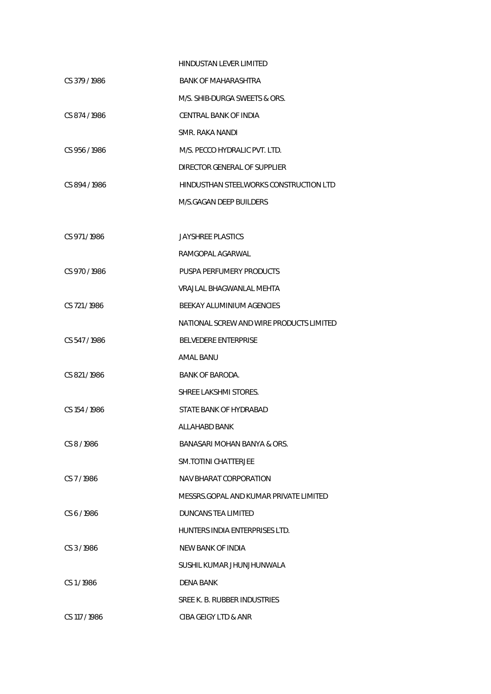|               | HINDUSTAN LEVER LIMITED                  |
|---------------|------------------------------------------|
| CS 379/1986   | BANK OF MAHARASHTRA                      |
|               | M/S. SHIB-DURGA SWEETS & ORS.            |
| CS 874/1986   | CENTRAL BANK OF INDIA                    |
|               | SMR. RAKA NANDI                          |
| CS 956/1986   | M/S. PECCO HYDRALIC PVT. LTD.            |
|               | DIRECTOR GENERAL OF SUPPLIER             |
| CS 894/1986   | HINDUSTHAN STEELWORKS CONSTRUCTION LTD   |
|               | M/S.GAGAN DEEP BUILDERS                  |
|               |                                          |
| CS 971/1986   | <b>JAYSHREE PLASTICS</b>                 |
|               | RAMGOPAL AGARWAL                         |
| CS 970/1986   | PUSPA PERFUMERY PRODUCTS                 |
|               | VRAJLAL BHAGWANLAL MEHTA                 |
| CS 721/1986   | BEEKAY ALUMINIUM AGENCIES                |
|               | NATIONAL SCREW AND WIRE PRODUCTS LIMITED |
| CS 547/1986   | <b>BELVEDERE ENTERPRISE</b>              |
|               | AMAL BANU                                |
| CS 821/1986   | BANK OF BARODA.                          |
|               | SHREE LAKSHMI STORES.                    |
| CS 154 / 1986 | STATE BANK OF HYDRABAD                   |
|               | ALLAHABD BANK                            |
| $CS$ 8/1986   | BANASARI MOHAN BANYA & ORS.              |
|               | <b>SM.TOTINI CHATTERJEE</b>              |
| CS 7/1986     | NAV BHARAT CORPORATION                   |
|               | MESSRS GOPAL AND KUMAR PRIVATE LIMITED   |
| CS 6/1986     | DUNCANS TEA LIMITED                      |
|               | HUNTERS INDIA ENTERPRISES LTD.           |
| CS 3/1986     | NEW BANK OF INDIA                        |
|               | SUSHIL KUMAR JHUNJHUNWALA                |
| CS1/1986      | DENA BANK                                |
|               | SREE K. B. RUBBER INDUSTRIES             |
| CS 117 / 1986 | CIBA GEIGY LTD & ANR                     |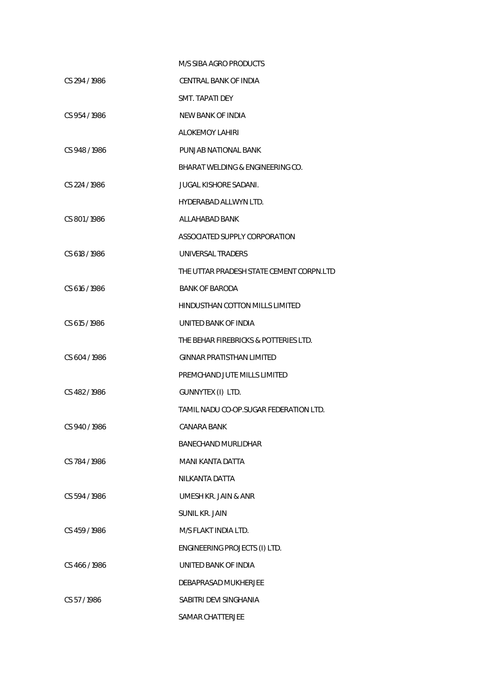|               | M/S SIBA AGRO PRODUCTS                   |
|---------------|------------------------------------------|
| CS 294 / 1986 | CENTRAL BANK OF INDIA                    |
|               | SMT. TAPATI DEY                          |
| CS 954/1986   | <b>NEW BANK OF INDIA</b>                 |
|               | <b>ALOKEMOY LAHIRI</b>                   |
| CS 948/1986   | PUNJAB NATIONAL BANK                     |
|               | BHARAT WELDING & ENGINEERING CO.         |
| CS 224 / 1986 | <b>JUGAL KISHORE SADANI.</b>             |
|               | <b>HYDERABAD ALLWYN LTD.</b>             |
| CS 801/1986   | ALLAHABAD BANK                           |
|               | ASSOCIATED SUPPLY CORPORATION            |
| CS 618/1986   | UNIVERSAL TRADERS                        |
|               | THE UTTAR PRADESH STATE CEMENT CORPN.LTD |
| CS 616 / 1986 | <b>BANK OF BARODA</b>                    |
|               | <b>HINDUSTHAN COTTON MILLS LIMITED</b>   |
| CS 615/1986   | UNITED BANK OF INDIA                     |
|               | THE BEHAR FIREBRICKS & POTTERIES LTD.    |
| CS 604 / 1986 | <b>GINNAR PRATISTHAN LIMITED</b>         |
|               | PREMCHAND JUTE MILLS LIMITED             |
| CS 482/1986   | GUNNYTEX (I) LTD.                        |
|               | TAMIL NADU CO-OP.SUGAR FEDERATION LTD.   |
| CS 940/1986   | CANARA BANK                              |
|               | <b>BANECHAND MURLIDHAR</b>               |
| CS 784/1986   | MANI KANTA DATTA                         |
|               | NILKANTA DATTA                           |
| CS 594/1986   | UMESH KR. JAIN & ANR                     |
|               | <b>SUNIL KR. JAIN</b>                    |
| CS 459/1986   | M/S FLAKT INDIA LTD.                     |
|               | ENGINEERING PROJECTS (I) LTD.            |
| CS 466/1986   | UNITED BANK OF INDIA                     |
|               | DEBAPRASAD MUKHERJEE                     |
| CS 57/1986    | SABITRI DEVI SINGHANIA                   |
|               | SAMAR CHATTERJEE                         |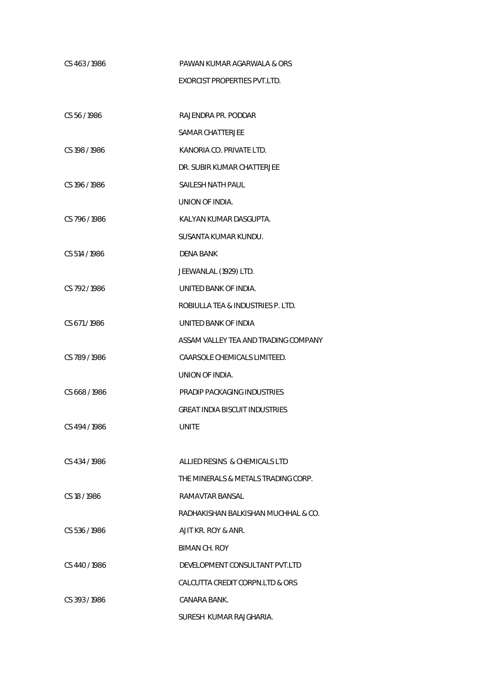| CS 463/1986   | PAWAN KUMAR AGARWALA & ORS            |
|---------------|---------------------------------------|
|               | <b>EXORCIST PROPERTIES PVT.LTD.</b>   |
|               |                                       |
| CS 56/1986    | RAJENDRA PR. PODDAR                   |
|               | SAMAR CHATTERJEE                      |
| CS 198 / 1986 | KANORIA CO. PRIVATE LTD.              |
|               | DR. SUBIR KUMAR CHATTERJEE            |
| CS 196 / 1986 | SAILESH NATH PAUL                     |
|               | UNION OF INDIA.                       |
| CS 796 / 1986 | KALYAN KUMAR DASGUPTA.                |
|               | SUSANTA KUMAR KUNDU.                  |
| CS 514 / 1986 | DENA BANK                             |
|               | JEEWANLAL (1929) LTD.                 |
| CS 792/1986   | UNITED BANK OF INDIA.                 |
|               | ROBIULLA TEA & INDUSTRIES P. LTD.     |
| CS 671/1986   | UNITED BANK OF INDIA                  |
|               | ASSAM VALLEY TEA AND TRADING COMPANY  |
| CS 789/1986   | CAARSOLE CHEMICALS LIMITEED.          |
|               | UNION OF INDIA.                       |
| CS 668/1986   | PRADIP PACKAGING INDUSTRIES           |
|               | <b>GREAT INDIA BISCUIT INDUSTRIES</b> |
| CS 494 / 1986 | <b>UNITE</b>                          |
|               |                                       |
| CS 434/1986   | ALLIED RESINS & CHEMICALS LTD         |
|               | THE MINERALS & METALS TRADING CORP.   |
| CS 18 / 1986  | RAMAVTAR BANSAL                       |
|               | RADHAKISHAN BALKISHAN MUCHHAL & CO.   |
| CS 536/1986   | AJIT KR. ROY & ANR.                   |
|               | BIMAN CH. ROY                         |
| CS 440/1986   | DEVELOPMENT CONSULTANT PVT.LTD        |
|               | CALCUTTA CREDIT CORPN.LTD & ORS       |
| CS 393/1986   | CANARA BANK.                          |
|               |                                       |

SURESH KUMAR RAJGHARIA.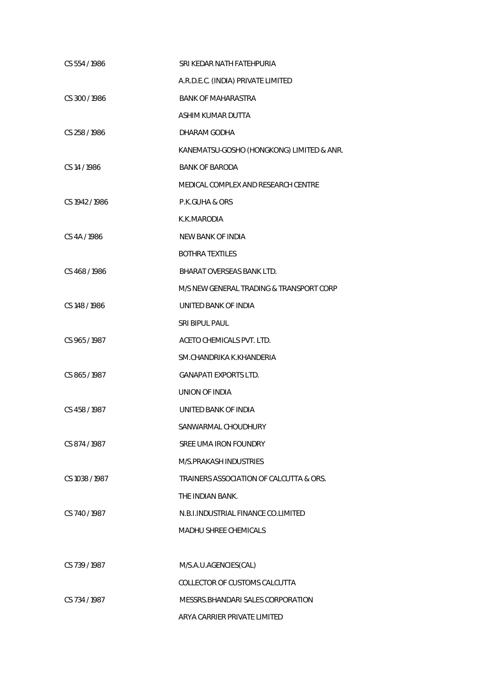| CS 554 / 1986  | SRI KEDAR NATH FATEHPURIA                 |
|----------------|-------------------------------------------|
|                | A.R.D.E.C. (INDIA) PRIVATE LIMITED        |
| CS 300 / 1986  | <b>BANK OF MAHARASTRA</b>                 |
|                | ASHIM KUMAR DUTTA                         |
| CS 258 / 1986  | DHARAM GODHA                              |
|                | KANEMATSU-GOSHO (HONGKONG) LIMITED & ANR. |
| CS 14 / 1986   | <b>BANK OF BARODA</b>                     |
|                | MEDICAL COMPLEX AND RESEARCH CENTRE       |
| CS 1942 / 1986 | P.K.GUHA & ORS                            |
|                | K.K.MARODIA                               |
| CS 4A / 1986   | <b>NEW BANK OF INDIA</b>                  |
|                | <b>BOTHRA TEXTILES</b>                    |
| CS 468/1986    | BHARAT OVERSEAS BANK LTD.                 |
|                | M/S NEW GENERAL TRADING & TRANSPORT CORP  |
| CS 148 / 1986  | UNITED BANK OF INDIA                      |
|                | SRI BIPUL PAUL                            |
| CS 965/1987    | ACETO CHEMICALS PVT. LTD.                 |
|                | SM.CHANDRIKA K.KHANDERIA                  |
| CS 865/1987    | <b>GANAPATI EXPORTS LTD.</b>              |
|                | UNION OF INDIA                            |
| CS 458 / 1987  | UNITED BANK OF INDIA                      |
|                | SANWARMAL CHOUDHURY                       |
| CS 874/1987    | SREE UMA IRON FOUNDRY                     |
|                | M/S.PRAKASH INDUSTRIES                    |
| CS 1038 / 1987 | TRAINERS ASSOCIATION OF CALCUTTA & ORS.   |
|                | THE INDIAN BANK.                          |
| CS 740/1987    | N.B.I.INDUSTRIAL FINANCE CO.LIMITED       |
|                | <b>MADHU SHREE CHEMICALS</b>              |
|                |                                           |
| CS 739/1987    | M/S.A.U.AGENCIES(CAL)                     |
|                | COLLECTOR OF CUSTOMS CALCUTTA             |
| CS 734/1987    | MESSRS. BHANDARI SALES CORPORATION        |
|                | ARYA CARRIER PRIVATE LIMITED              |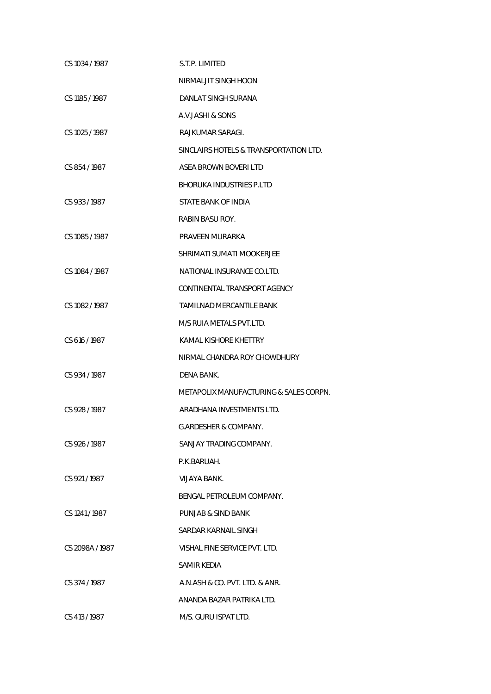| CS 1034 / 1987  | S.T.P. LIMITED                         |
|-----------------|----------------------------------------|
|                 | NIRMALJIT SINGH HOON                   |
| CS 1185 / 1987  | DANLAT SINGH SURANA                    |
|                 | A.V.JASHI & SONS                       |
| CS 1025 / 1987  | RAJKUMAR SARAGI.                       |
|                 | SINCLAIRS HOTELS & TRANSPORTATION LTD. |
| CS 854/1987     | ASEA BROWN BOVERILTD                   |
|                 | BHORUKA INDUSTRIES P.LTD               |
| CS 933/1987     | STATE BANK OF INDIA                    |
|                 | RABIN BASU ROY.                        |
| CS 1085 / 1987  | PRAVEEN MURARKA                        |
|                 | SHRIMATI SUMATI MOOKERJEE              |
| CS 1084 / 1987  | NATIONAL INSURANCE CO.LTD.             |
|                 | CONTINENTAL TRANSPORT AGENCY           |
| CS 1082 / 1987  | TAMILNAD MERCANTILE BANK               |
|                 | M/S RUIA METALS PVT.LTD.               |
| CS 616 / 1987   | KAMAL KISHORE KHETTRY                  |
|                 | NIRMAL CHANDRA ROY CHOWDHURY           |
| CS 934 / 1987   | DENA BANK.                             |
|                 | METAPOLIX MANUFACTURING & SALES CORPN. |
| CS 928 / 1987   | ARADHANA INVESTMENTS LTD.              |
|                 | <b>G.ARDESHER &amp; COMPANY.</b>       |
| CS 926/1987     | SANJAY TRADING COMPANY.                |
|                 | P.K.BARUAH.                            |
| CS 921/1987     | <b>VIJAYA BANK.</b>                    |
|                 | BENGAL PETROLEUM COMPANY.              |
| CS 1241/1987    | PUNJAB & SIND BANK                     |
|                 | SARDAR KARNAIL SINGH                   |
| CS 2098A / 1987 | VISHAL FINE SERVICE PVT. LTD.          |
|                 | SAMIR KEDIA                            |
| CS 374/1987     | A.N.ASH & CO. PVT. LTD. & ANR.         |
|                 | ANANDA BAZAR PATRIKA LTD.              |
| CS 413 / 1987   | M/S. GURU ISPAT LTD.                   |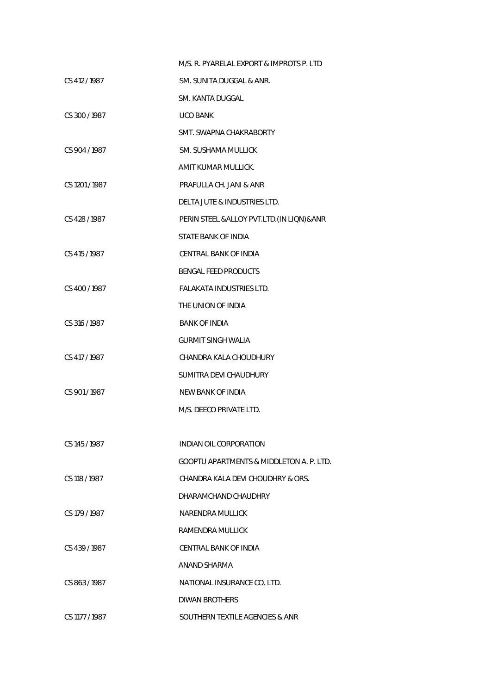|                | M/S. R. PYARELAL EXPORT & IMPROTS P. LTD     |
|----------------|----------------------------------------------|
| CS 412/1987    | SM. SUNITA DUGGAL & ANR.                     |
|                | SM. KANTA DUGGAL                             |
| CS 300 / 1987  | <b>UCO BANK</b>                              |
|                | SMT. SWAPNA CHAKRABORTY                      |
| CS 904 / 1987  | SM. SUSHAMA MULLICK                          |
|                | AMIT KUMAR MULLICK.                          |
| CS 1201/1987   | PRAFULLA CH. JANI & ANR                      |
|                | <b>DELTA JUTE &amp; INDUSTRIES LTD.</b>      |
| CS 428/1987    | PERIN STEEL & ALLOY PVT.LTD. (IN LIQN) & ANR |
|                | STATE BANK OF INDIA                          |
| CS 415 / 1987  | CENTRAL BANK OF INDIA                        |
|                | <b>BENGAL FEED PRODUCTS</b>                  |
| CS 400/1987    | <b>FALAKATA INDUSTRIES LTD.</b>              |
|                | THE UNION OF INDIA                           |
| CS 316 / 1987  | <b>BANK OF INDIA</b>                         |
|                | <b>GURMIT SINGH WALIA</b>                    |
| CS 417 / 1987  | CHANDRA KALA CHOUDHURY                       |
|                | SUMITRA DEVI CHAUDHURY                       |
| CS 901/1987    | NEW BANK OF INDIA                            |
|                | M/S. DEECO PRIVATE LTD.                      |
|                |                                              |
| CS 145 / 1987  | INDIAN OIL CORPORATION                       |
|                | GOOPTU APARTMENTS & MIDDLETON A. P. LTD.     |
| CS 118 / 1987  | CHANDRA KALA DEVI CHOUDHRY & ORS.            |
|                | DHARAMCHAND CHAUDHRY                         |
| CS 179 / 1987  | NARENDRA MULLICK                             |
|                | RAMENDRA MULLICK                             |
| CS 439/1987    | CENTRAL BANK OF INDIA                        |
|                | ANAND SHARMA                                 |
| CS 863/1987    | NATIONAL INSURANCE CO. LTD.                  |
|                | DIWAN BROTHERS                               |
| CS 1177 / 1987 | SOUTHERN TEXTILE AGENCIES & ANR              |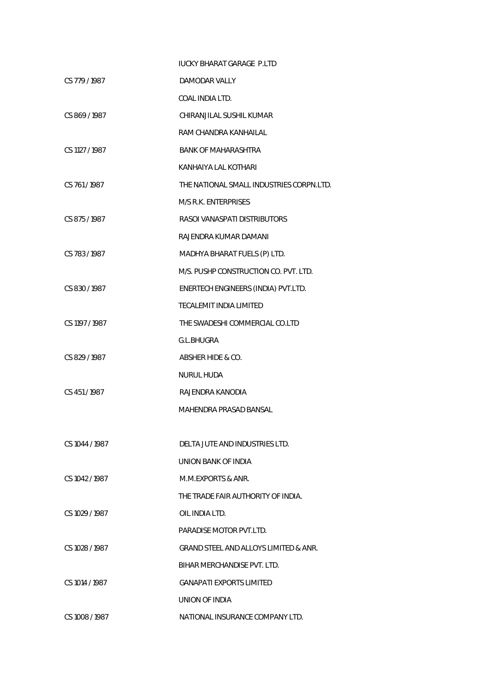|                | <b>IUCKY BHARAT GARAGE P.LTD</b>         |
|----------------|------------------------------------------|
| CS 779 / 1987  | DAMODAR VALLY                            |
|                | COAL INDIA LTD.                          |
| CS 869/1987    | CHIRANJILAL SUSHIL KUMAR                 |
|                | RAM CHANDRA KANHAILAL                    |
| CS 1127 / 1987 | <b>BANK OF MAHARASHTRA</b>               |
|                | KANHAIYA LAL KOTHARI                     |
| CS 761/1987    | THE NATIONAL SMALL INDUSTRIES CORPN.LTD. |
|                | M/S R.K. ENTERPRISES                     |
| CS 875/1987    | RASOL VANASPATI DISTRIBUTORS             |
|                | RAJENDRA KUMAR DAMANI                    |
| CS 783/1987    | MADHYA BHARAT FUELS (P) LTD.             |
|                | M/S. PUSHP CONSTRUCTION CO. PVT. LTD.    |
| CS 830/1987    | ENERTECH ENGINEERS (INDIA) PVT.LTD.      |
|                | TECALEMIT INDIA LIMITED                  |
| CS 1197 / 1987 | THE SWADESHI COMMERCIAL CO.LTD           |
|                | G.L.BHUGRA                               |
| CS 829 / 1987  | ABSHER HIDE & CO.                        |
|                | <b>NURUL HUDA</b>                        |
| CS 451/1987    | RAJENDRA KANODIA                         |
|                | MAHENDRA PRASAD BANSAL                   |
|                |                                          |
| CS 1044 / 1987 | DELTA JUTE AND INDUSTRIES LTD.           |
|                | UNION BANK OF INDIA                      |
| CS 1042 / 1987 | M.M.EXPORTS & ANR.                       |
|                | THE TRADE FAIR AUTHORITY OF INDIA.       |
| CS 1029 / 1987 | OIL INDIA LTD.                           |
|                | PARADISE MOTOR PVT.LTD.                  |
| CS 1028 / 1987 | GRAND STEEL AND ALLOYS LIMITED & ANR.    |
|                | BIHAR MERCHANDISE PVT. LTD.              |
| CS 1014 / 1987 | <b>GANAPATI EXPORTS LIMITED</b>          |
|                | UNION OF INDIA                           |
| CS 1008 / 1987 | NATIONAL INSURANCE COMPANY LTD.          |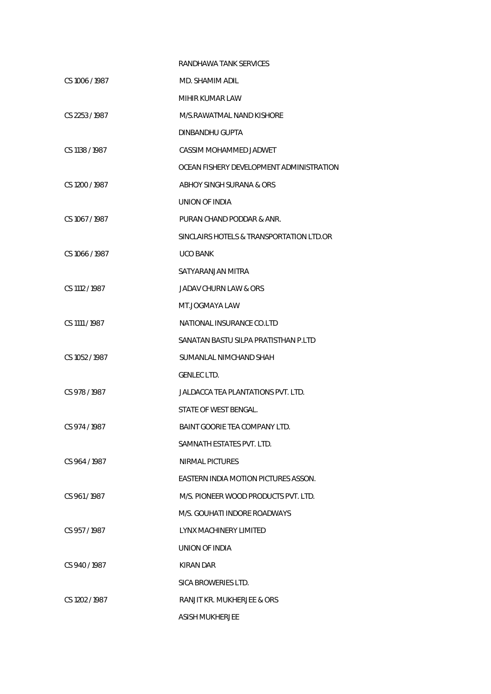|                | RANDHAWA TANK SERVICES                   |
|----------------|------------------------------------------|
| CS 1006 / 1987 | MD. SHAMIM ADIL                          |
|                | MIHIR KUMAR LAW                          |
| CS 2253/1987   | M/S.RAWATMAL NAND KISHORE                |
|                | DINBANDHU GUPTA                          |
| CS 1138 / 1987 | CASSIM MOHAMMED JADWET                   |
|                | OCEAN FISHERY DEVELOPMENT ADMINISTRATION |
| CS 1200 / 1987 | ABHOY SINGH SURANA & ORS                 |
|                | UNION OF INDIA                           |
| CS 1067/1987   | PURAN CHAND PODDAR & ANR.                |
|                | SINCLAIRS HOTELS & TRANSPORTATION LTD.OR |
| CS 1066 / 1987 | <b>UCO BANK</b>                          |
|                | SATYARANJAN MITRA                        |
| CS 1112 / 1987 | JADAV CHURN LAW & ORS                    |
|                | MT.JOGMAYA LAW                           |
| CS 1111 / 1987 | NATIONAL INSURANCE CO.LTD                |
|                | SANATAN BASTU SILPA PRATISTHAN P.LTD     |
| CS 1052 / 1987 | SUMANLAL NIMCHAND SHAH                   |
|                | GENLEC LTD.                              |
| CS 978/1987    | JALDACCA TEA PLANTATIONS PVT. LTD.       |
|                | STATE OF WEST BENGAL.                    |
| CS 974/1987    | BAINT GOORIE TEA COMPANY LTD.            |
|                | SAMNATH ESTATES PVT. LTD.                |
| CS 964/1987    | NIRMAL PICTURES                          |
|                | EASTERN INDIA MOTION PICTURES ASSON.     |
| CS 961/1987    | M/S. PIONEER WOOD PRODUCTS PVT. LTD.     |
|                | M/S. GOUHATI INDORE ROADWAYS             |
| CS 957/1987    | LYNX MACHINERY LIMITED                   |
|                | UNION OF INDIA                           |
| CS 940/1987    | KIRAN DAR                                |
|                | SICA BROWERIES LTD.                      |
| CS 1202 / 1987 | RANJIT KR. MUKHERJEE & ORS               |
|                | <b>ASISH MUKHERJEE</b>                   |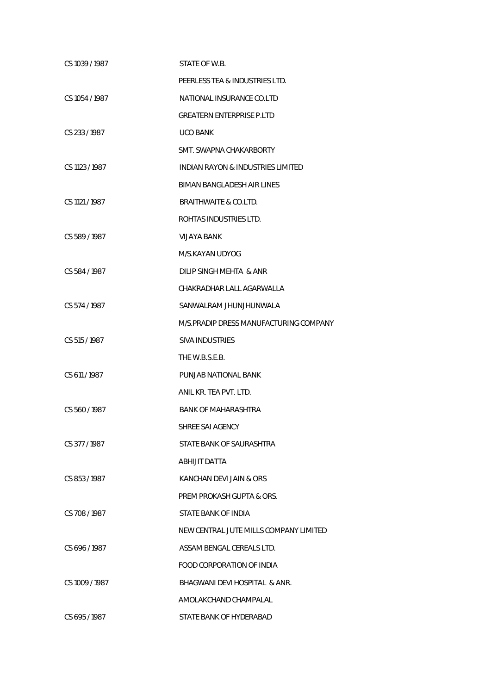| CS 1039 / 1987 | STATE OF W.B.                           |
|----------------|-----------------------------------------|
|                | PEERLESS TEA & INDUSTRIES LTD.          |
| CS 1054 / 1987 | NATIONAL INSURANCE CO.LTD               |
|                | <b>GREATERN ENTERPRISE P.LTD</b>        |
| CS 233/1987    | <b>UCO BANK</b>                         |
|                | SMT. SWAPNA CHAKARBORTY                 |
| CS 1123 / 1987 | INDIAN RAYON & INDUSTRIES LIMITED       |
|                | BIMAN BANGLADESH AIR LINES              |
| CS 1121 / 1987 | BRAITHWAITE & CO.LTD.                   |
|                | ROHTAS INDUSTRIES LTD.                  |
| CS 589/1987    | VIJAYA BANK                             |
|                | M/S.KAYAN UDYOG                         |
| CS 584/1987    | DILIP SINGH MEHTA & ANR                 |
|                | CHAKRADHAR LALL AGARWALLA               |
| CS 574 / 1987  | SANWALRAM JHUNJHUNWALA                  |
|                | M/S. PRADIP DRESS MANUFACTURING COMPANY |
| CS 515 / 1987  | <b>SIVA INDUSTRIES</b>                  |
|                | THE W.B.S.E.B.                          |
| CS 611/1987    | PUNJAB NATIONAL BANK                    |
|                | ANIL KR. TEA PVT. LTD.                  |
| CS 560/1987    | BANK OF MAHARASHTRA                     |
|                | SHREE SAI AGENCY                        |
| CS 377/1987    | STATE BANK OF SAURASHTRA                |
|                | ABHIJIT DATTA                           |
| CS 853/1987    | KANCHAN DEVI JAIN & ORS                 |
|                | PREM PROKASH GUPTA & ORS.               |
| CS 708/1987    | STATE BANK OF INDIA                     |
|                | NEW CENTRAL JUTE MILLS COMPANY LIMITED  |
| CS 696/1987    | ASSAM BENGAL CEREALS LTD.               |
|                | <b>FOOD CORPORATION OF INDIA</b>        |
| CS 1009 / 1987 | BHAGWANI DEVI HOSPITAL & ANR.           |
|                | AMOLAKCHAND CHAMPALAL                   |
| CS 695/1987    | STATE BANK OF HYDERABAD                 |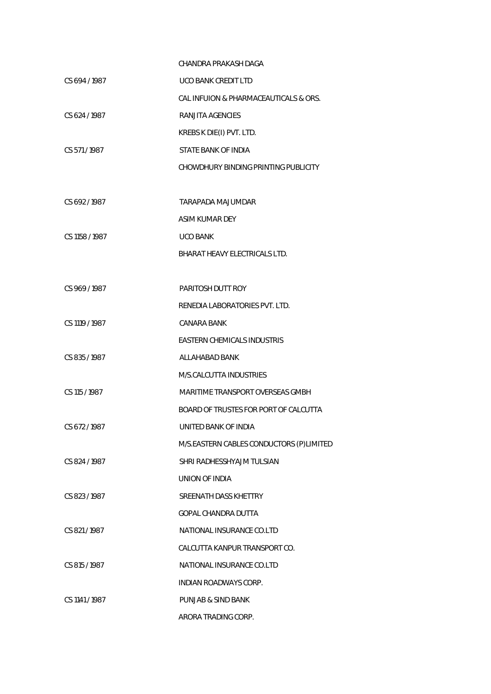|                | CHANDRA PRAKASH DAGA                     |
|----------------|------------------------------------------|
| CS 694/1987    | <b>UCO BANK CREDIT LTD</b>               |
|                | CAL INFUION & PHARMACEAUTICALS & ORS.    |
| CS 624 / 1987  | RANJITA AGENCIES                         |
|                | KREBS K DIE(I) PVT. LTD.                 |
| CS 571/1987    | STATE BANK OF INDIA                      |
|                | CHOWDHURY BINDING PRINTING PUBLICITY     |
|                |                                          |
| CS 692/1987    | TARAPADA MAJUMDAR                        |
|                | ASIM KUMAR DEY                           |
| CS 1158 / 1987 | <b>UCO BANK</b>                          |
|                | BHARAT HEAVY ELECTRICALS LTD.            |
|                |                                          |
| CS 969/1987    | PARITOSH DUTT ROY                        |
|                | RENEDIA LABORATORIES PVT. LTD.           |
| CS 1119 / 1987 | CANARA BANK                              |
|                | <b>EASTERN CHEMICALS INDUSTRIS</b>       |
| CS 835/1987    | ALLAHABAD BANK                           |
|                | M/S.CALCUTTA INDUSTRIES                  |
| CS 115 / 1987  | <b>MARITIME TRANSPORT OVERSEAS GMBH</b>  |
|                | BOARD OF TRUSTES FOR PORT OF CALCUTTA    |
| CS 672/1987    | UNITED BANK OF INDIA                     |
|                | M/S.EASTERN CABLES CONDUCTORS (P)LIMITED |
| CS 824 / 1987  | SHRI RADHESSHYAJM TULSIAN                |
|                | UNION OF INDIA                           |
| CS 823/1987    | SREENATH DASS KHETTRY                    |
|                | <b>GOPAL CHANDRA DUTTA</b>               |
| CS 821/1987    | NATIONAL INSURANCE CO.LTD                |
|                | CALCUTTA KANPUR TRANSPORT CO.            |
| CS 815 / 1987  | NATIONAL INSURANCE CO.LTD                |
|                | INDIAN ROADWAYS CORP.                    |
| CS 1141 / 1987 | PUNJAB & SIND BANK                       |
|                | ARORA TRADING CORP.                      |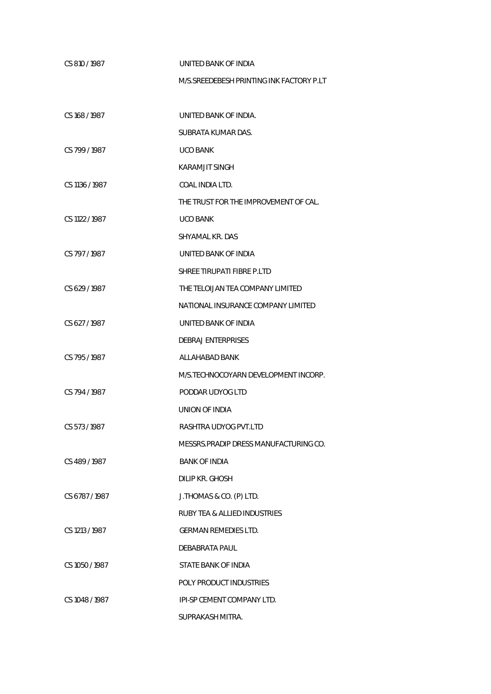| CS 810/1987    | UNITED BANK OF INDIA                      |
|----------------|-------------------------------------------|
|                | M/S. SREEDEBESH PRINTING INK FACTORY P.LT |
|                |                                           |
| CS 168 / 1987  | UNITED BANK OF INDIA.                     |
|                | SUBRATA KUMAR DAS.                        |
| CS 799/1987    | <b>UCO BANK</b>                           |
|                | <b>KARAMJIT SINGH</b>                     |
| CS 1136 / 1987 | COAL INDIA LTD.                           |
|                | THE TRUST FOR THE IMPROVEMENT OF CAL.     |
| CS 1122 / 1987 | <b>UCO BANK</b>                           |
|                | SHYAMAL KR. DAS                           |
| CS 797/1987    | UNITED BANK OF INDIA                      |
|                | SHREE TIRUPATI FIBRE P.LTD                |
| CS 629/1987    | THE TELOIJAN TEA COMPANY LIMITED          |
|                | NATIONAL INSURANCE COMPANY LIMITED        |
| CS 627/1987    | UNITED BANK OF INDIA                      |
|                | <b>DEBRAJ ENTERPRISES</b>                 |
| CS 795/1987    | ALLAHABAD BANK                            |
|                | M/S.TECHNOCOYARN DEVELOPMENT INCORP.      |
| CS 794 / 1987  | PODDAR UDYOG LTD                          |
|                | UNION OF INDIA                            |
| CS 573 / 1987  | RASHTRA UDYOG PVT.LTD                     |
|                | MESSRS.PRADIP DRESS MANUFACTURING CO.     |
| CS 489/1987    | <b>BANK OF INDIA</b>                      |
|                | DILIP KR. GHOSH                           |
| CS 6787/1987   | J.THOMAS & CO. (P) LTD.                   |
|                | <b>RUBY TEA &amp; ALLIED INDUSTRIES</b>   |
| CS 1213 / 1987 | <b>GERMAN REMEDIES LTD.</b>               |
|                | DEBABRATA PAUL                            |
| CS 1050 / 1987 | STATE BANK OF INDIA                       |
|                | POLY PRODUCT INDUSTRIES                   |
| CS 1048 / 1987 | IPI-SP CEMENT COMPANY LTD.                |
|                | SUPRAKASH MITRA.                          |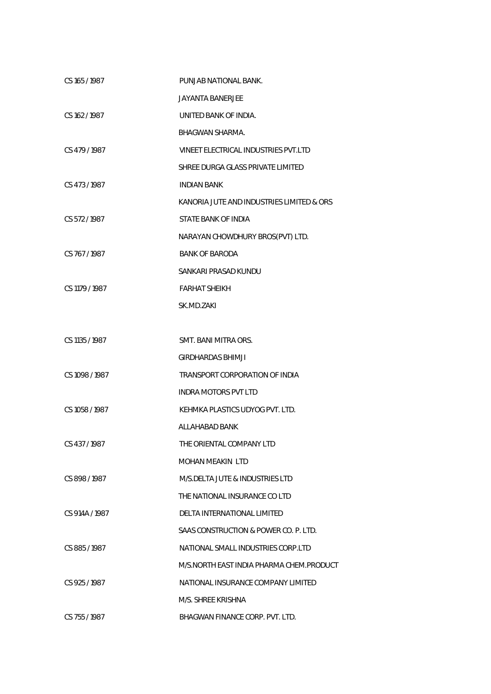| CS 165 / 1987  | PUNJAB NATIONAL BANK.                     |
|----------------|-------------------------------------------|
|                | <b>JAYANTA BANERJEE</b>                   |
| CS 162/1987    | UNITED BANK OF INDIA.                     |
|                | <b>BHAGWAN SHARMA.</b>                    |
| CS 479/1987    | VINEET ELECTRICAL INDUSTRIES PVT.LTD      |
|                | SHREE DURGA GLASS PRIVATE LIMITED         |
| CS 473/1987    | <b>INDIAN BANK</b>                        |
|                | KANORIA JUTE AND INDUSTRIES LIMITED & ORS |
| CS 572/1987    | STATE BANK OF INDIA                       |
|                | NARAYAN CHOWDHURY BROS(PVT) LTD.          |
| CS 767/1987    | <b>BANK OF BARODA</b>                     |
|                | SANKARI PRASAD KUNDU                      |
| CS 1179 / 1987 | <b>FARHAT SHEIKH</b>                      |
|                | SK.MD.ZAKI                                |
|                |                                           |
| CS 1135 / 1987 | SMT. BANI MITRA ORS.                      |
|                | GIRDHARDAS BHIMJI                         |
| CS 1098 / 1987 | TRANSPORT CORPORATION OF INDIA            |
|                | <b>INDRA MOTORS PVT LTD</b>               |
| CS 1058 / 1987 | KEHMKA PLASTICS UDYOG PVT. LTD.           |
|                | ALLAHABAD BANK                            |
| CS 437/1987    | THE ORIENTAL COMPANY LTD                  |
|                | MOHAN MEAKIN LTD                          |
| CS 898/1987    | M/S.DELTA JUTE & INDUSTRIES LTD           |
|                | THE NATIONAL INSURANCE CO LTD             |
| CS 914A / 1987 | DELTA INTERNATIONAL LIMITED               |
|                | SAAS CONSTRUCTION & POWER CO. P. LTD.     |
| CS 885/1987    | NATIONAL SMALL INDUSTRIES CORP.LTD        |
|                | M/S.NORTH EAST INDIA PHARMA CHEM.PRODUCT  |
| CS 925/1987    | NATIONAL INSURANCE COMPANY LIMITED        |
|                | M/S. SHREE KRISHNA                        |
| CS 755 / 1987  | BHAGWAN FINANCE CORP. PVT. LTD.           |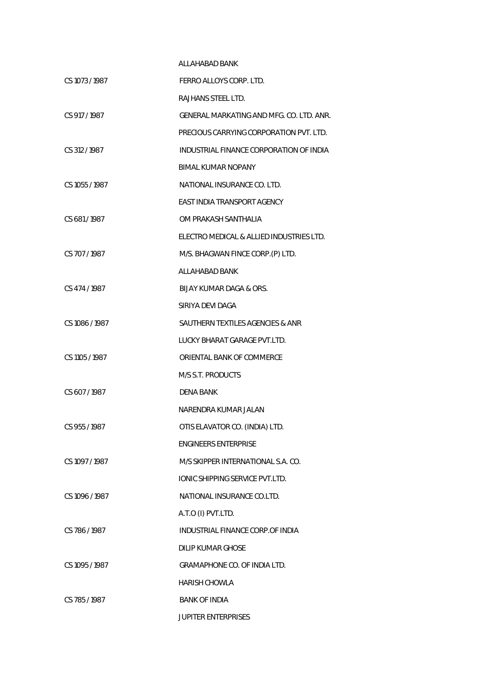|                | ALLAHABAD BANK                           |
|----------------|------------------------------------------|
| CS 1073 / 1987 | FERRO ALLOYS CORP. LTD.                  |
|                | RAJHANS STEEL LTD.                       |
| CS 917/1987    | GENERAL MARKATING AND MFG. CO. LTD. ANR. |
|                | PRECIOUS CARRYING CORPORATION PVT. LTD.  |
| CS 312/1987    | INDUSTRIAL FINANCE CORPORATION OF INDIA  |
|                | BIMAL KUMAR NOPANY                       |
| CS 1055 / 1987 | NATIONAL INSURANCE CO. LTD.              |
|                | EAST INDIA TRANSPORT AGENCY              |
| CS 681/1987    | OM PRAKASH SANTHALIA                     |
|                | ELECTRO MEDICAL & ALLIED INDUSTRIES LTD. |
| CS 707/1987    | M/S. BHAGWAN FINCE CORP.(P) LTD.         |
|                | ALLAHABAD BANK                           |
| CS 474 / 1987  | BUAY KUMAR DAGA & ORS.                   |
|                | SIRIYA DEVI DAGA                         |
| CS 1086 / 1987 | SAUTHERN TEXTILES AGENCIES & ANR         |
|                | LUCKY BHARAT GARAGE PVT.LTD.             |
| CS 1105 / 1987 | ORIENTAL BANK OF COMMERCE                |
|                | M/S S.T. PRODUCTS                        |
| CS 607/1987    | DENA BANK                                |
|                | NARENDRA KUMAR JALAN                     |
| CS 955/1987    | OTIS ELAVATOR CO. (INDIA) LTD.           |
|                | <b>ENGINEERS ENTERPRISE</b>              |
| CS 1097/1987   | M/S SKIPPER INTERNATIONAL S.A. CO.       |
|                | <b>IONIC SHIPPING SERVICE PVT.LTD.</b>   |
| CS 1096 / 1987 | NATIONAL INSURANCE CO.LTD.               |
|                | A.T.O (I) PVT.LTD.                       |
| CS 786/1987    | INDUSTRIAL FINANCE CORP.OF INDIA         |
|                | DILIP KUMAR GHOSE                        |
| CS 1095/1987   | GRAMAPHONE CO. OF INDIA LTD.             |
|                | <b>HARISH CHOWLA</b>                     |
| CS 785/1987    | <b>BANK OF INDIA</b>                     |
|                | <b>JUPITER ENTERPRISES</b>               |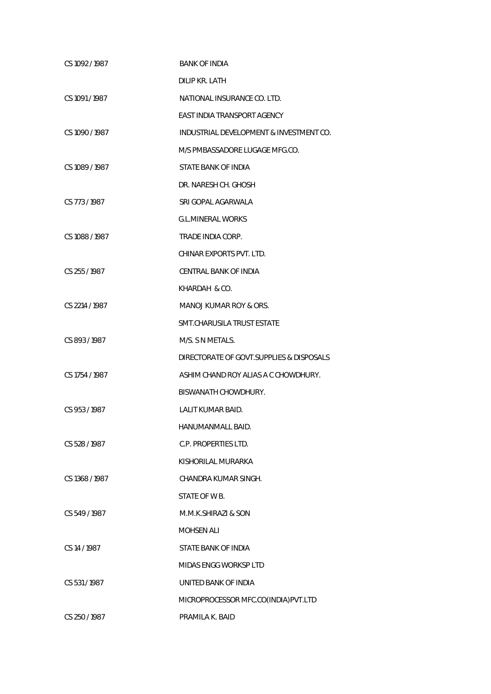| CS 1092 / 1987 | <b>BANK OF INDIA</b>                      |
|----------------|-------------------------------------------|
|                | DILIP KR. LATH                            |
| CS 1091 / 1987 | NATIONAL INSURANCE CO. LTD.               |
|                | <b>EAST INDIA TRANSPORT AGENCY</b>        |
| CS 1090 / 1987 | INDUSTRIAL DEVELOPMENT & INVESTMENT CO.   |
|                | M/S PMBASSADORE LUGAGE MFG.CO.            |
| CS 1089 / 1987 | STATE BANK OF INDIA                       |
|                | DR. NARESH CH. GHOSH                      |
| CS 773 / 1987  | SRI GOPAL AGARWALA                        |
|                | <b>G.L.MINERAL WORKS</b>                  |
| CS 1088 / 1987 | TRADE INDIA CORP.                         |
|                | CHINAR EXPORTS PVT. LTD.                  |
| CS 255 / 1987  | CENTRAL BANK OF INDIA                     |
|                | KHARDAH & CO.                             |
| CS 2214 / 1987 | MANOJ KUMAR ROY & ORS.                    |
|                | SMT.CHARUSILA TRUST ESTATE                |
| CS 893/1987    | M/S. S N METALS.                          |
|                | DIRECTORATE OF GOVT. SUPPLIES & DISPOSALS |
| CS 1754 / 1987 | ASHIM CHAND ROY ALIAS A C CHOWDHURY.      |
|                | BISWANATH CHOWDHURY.                      |
| CS 953/1987    | <b>LALIT KUMAR BAID.</b>                  |
|                | HANUMANMALL BAID.                         |
| CS 528 / 1987  | C.P. PROPERTIES LTD.                      |
|                | KISHORILAL MURARKA                        |
| CS 1368 / 1987 | CHANDRA KUMAR SINGH.                      |
|                | STATE OF W B.                             |
| CS 549/1987    | M.M.K.SHIRAZI & SON                       |
|                | <b>MOHSEN ALI</b>                         |
| CS 14 / 1987   | STATE BANK OF INDIA                       |
|                | <b>MIDAS ENGG WORKSP LTD</b>              |
| CS 531/1987    | UNITED BANK OF INDIA                      |
|                | MICROPROCESSOR MFC.CO(INDIA) PVT.LTD      |
| CS 250/1987    | PRAMILA K. BAID                           |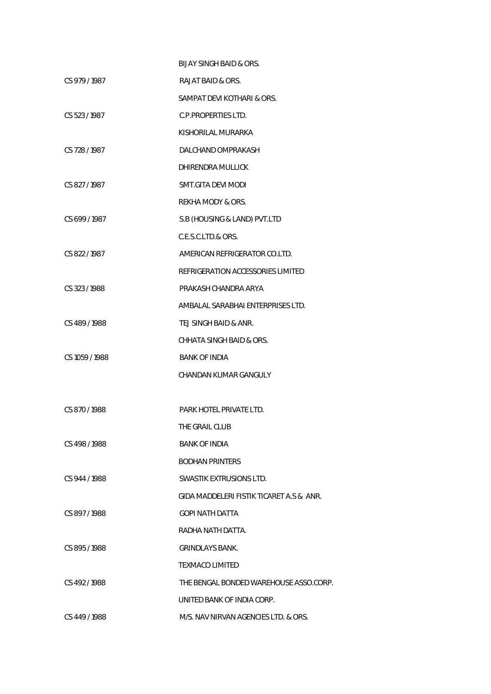|                | <b>BIJAY SINGH BAID &amp; ORS.</b>       |
|----------------|------------------------------------------|
| CS 979/1987    | RAJAT BAID & ORS.                        |
|                | SAMPAT DEVI KOTHARI & ORS.               |
| CS 523/1987    | C.P.PROPERTIES LTD.                      |
|                | KISHORILAL MURARKA                       |
| CS 728 / 1987  | DALCHAND OMPRAKASH                       |
|                | DHIRENDRA MULLICK                        |
| CS 827/1987    | SMT.GITA DEVI MODI                       |
|                | REKHA MODY & ORS.                        |
| CS 699/1987    | S.B (HOUSING & LAND) PVT.LTD             |
|                | C.E.S.C.LTD.& ORS.                       |
| CS 822/1987    | AMERICAN REFRIGERATOR CO.LTD.            |
|                | REFRIGERATION ACCESSORIES LIMITED        |
| CS 323/1988    | PRAKASH CHANDRA ARYA                     |
|                | AMBALAL SARABHAI ENTERPRISES LTD.        |
| CS 489/1988    | TEJ SINGH BAID & ANR.                    |
|                | CHHATA SINGH BAID & ORS.                 |
| CS 1059 / 1988 | <b>BANK OF INDIA</b>                     |
|                | CHANDAN KUMAR GANGULY                    |
|                |                                          |
| CS 870/1988    | PARK HOTEL PRIVATE LTD.                  |
|                | THE GRAIL CLUB                           |
| CS 498 / 1988  | <b>BANK OF INDIA</b>                     |
|                | <b>BODHAN PRINTERS</b>                   |
| CS 944 / 1988  | SWASTIK EXTRUSIONS LTD.                  |
|                | GIDA MADDELERI FISTIK TICARET A.S & ANR. |
| CS 897/1988    | <b>GOPI NATH DATTA</b>                   |
|                | RADHA NATH DATTA.                        |
| CS 895/1988    | <b>GRINDLAYS BANK.</b>                   |
|                | TEXMACO LIMITED                          |
| CS 492/1988    | THE BENGAL BONDED WAREHOUSE ASSO.CORP.   |
|                | UNITED BANK OF INDIA CORP.               |
| CS 449 / 1988  | M/S. NAV NIRVAN AGENCIES LTD. & ORS.     |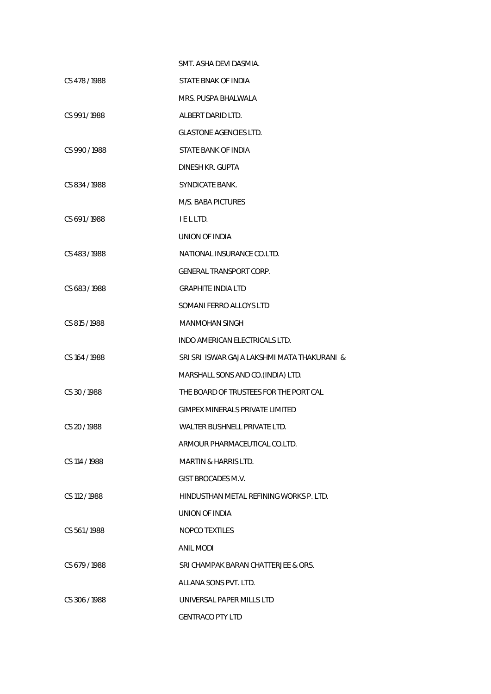|               | SMT. ASHA DEVI DASMIA.                      |
|---------------|---------------------------------------------|
| CS 478 / 1988 | STATE BNAK OF INDIA                         |
|               | MRS. PUSPA BHALWALA                         |
| CS 991/1988   | ALBERT DARID LTD.                           |
|               | <b>GLASTONE AGENCIES LTD.</b>               |
| CS 990/1988   | STATE BANK OF INDIA                         |
|               | DINESH KR. GUPTA                            |
| CS 834/1988   | SYNDICATE BANK.                             |
|               | M/S. BABA PICTURES                          |
| CS 691/1988   | IELLTD.                                     |
|               | UNION OF INDIA                              |
| CS 483/1988   | NATIONAL INSURANCE CO.LTD.                  |
|               | GENERAL TRANSPORT CORP.                     |
| CS 683/1988   | <b>GRAPHITE INDIA LTD</b>                   |
|               | SOMANI FERRO ALLOYS LTD                     |
| CS 815 / 1988 | <b>MANMOHAN SINGH</b>                       |
|               | INDO AMERICAN ELECTRICALS LTD.              |
| CS 164 / 1988 | SRI SRI ISWAR GAJA LAKSHMI MATA THAKURANI & |
|               | MARSHALL SONS AND CO. (INDIA) LTD.          |
| CS 30/1988    | THE BOARD OF TRUSTEES FOR THE PORT CAL      |
|               | GIMPEX MINERALS PRIVATE LIMITED             |
| CS 20 / 1988  | WALTER BUSHNELL PRIVATE LTD.                |
|               | ARMOUR PHARMACEUTICAL CO.LTD.               |
| CS 114 / 1988 | MARTIN & HARRIS LTD.                        |
|               | GIST BROCADES M.V.                          |
| CS 112 / 1988 | HINDUSTHAN METAL REFINING WORKS P. LTD.     |
|               | UNION OF INDIA                              |
| CS 561/1988   | <b>NOPCO TEXTILES</b>                       |
|               | <b>ANIL MODI</b>                            |
| CS 679/1988   | SRI CHAMPAK BARAN CHATTERJEE & ORS.         |
|               | ALLANA SONS PVT. LTD.                       |
| CS 306 / 1988 | UNIVERSAL PAPER MILLS LTD                   |
|               | <b>GENTRACO PTY LTD</b>                     |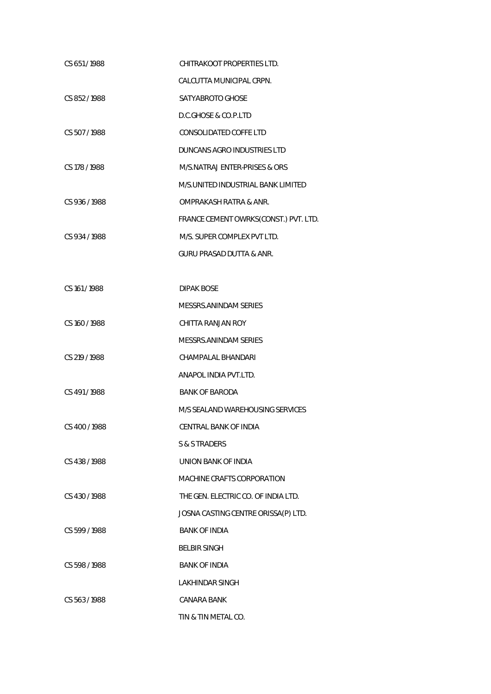| CS 651/1988   | CHITRAKOOT PROPERTIES LTD.            |
|---------------|---------------------------------------|
|               | CALCUTTA MUNICIPAL CRPN.              |
| CS 852/1988   | SATYABROTO GHOSE                      |
|               | D.C.GHOSE & CO.P.LTD                  |
| CS 507/1988   | <b>CONSOLIDATED COFFE LTD</b>         |
|               | DUNCANS AGRO INDUSTRIES LTD           |
| CS 178 / 1988 | M/S.NATRAJ ENTER-PRISES & ORS         |
|               | M/S.UNITED INDUSTRIAL BANK LIMITED    |
| CS 936 / 1988 | OMPRAKASH RATRA & ANR.                |
|               | FRANCE CEMENT OWRKS(CONST.) PVT. LTD. |
| CS 934 / 1988 | M/S. SUPER COMPLEX PVT LTD.           |
|               | <b>GURU PRASAD DUTTA &amp; ANR.</b>   |
|               |                                       |
| CS 161/1988   | <b>DIPAK BOSE</b>                     |
|               | MESSRS.ANINDAM SERIES                 |
| CS 160 / 1988 | CHITTA RANJAN ROY                     |
|               | MESSRS.ANINDAM SERIES                 |
| CS 219 / 1988 | <b>CHAMPALAL BHANDARI</b>             |
|               | ANAPOL INDIA PVT.LTD.                 |
| CS 491/1988   | <b>BANK OF BARODA</b>                 |
|               | M/S SEALAND WAREHOUSING SERVICES      |
| CS 400 / 1988 | CENTRAL BANK OF INDIA                 |
|               | S & S TRADERS                         |
| CS 438 / 1988 | UNION BANK OF INDIA                   |
|               | MACHINE CRAFTS CORPORATION            |
| CS 430/1988   | THE GEN. ELECTRIC CO. OF INDIA LTD.   |
|               | JOSNA CASTING CENTRE ORISSA(P) LTD.   |
| CS 599 / 1988 | <b>BANK OF INDIA</b>                  |
|               | <b>BELBIR SINGH</b>                   |
| CS 598/1988   | <b>BANK OF INDIA</b>                  |
|               | LAKHINDAR SINGH                       |
| CS 563 / 1988 | CANARA BANK                           |
|               | TIN & TIN METAL CO.                   |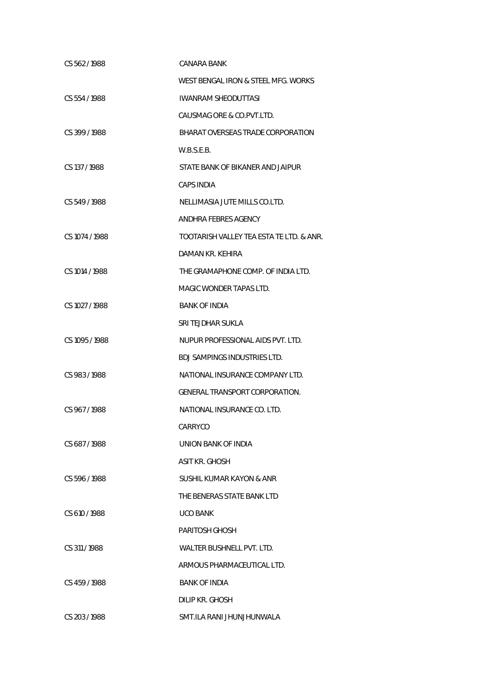| CS 562/1988    | CANARA BANK                              |
|----------------|------------------------------------------|
|                | WEST BENGAL IRON & STEEL MFG. WORKS      |
| CS 554/1988    | <b>IWANRAM SHEODUTTASI</b>               |
|                | CAUSMAG ORE & CO.PVT.LTD.                |
| CS 399/1988    | BHARAT OVERSEAS TRADE CORPORATION        |
|                | W.B.S.E.B.                               |
| CS 137/1988    | STATE BANK OF BIKANER AND JAIPUR         |
|                | CAPS INDIA                               |
| CS 549/1988    | NELLIMASIA JUTE MILLS CO.LTD.            |
|                | ANDHRA FEBRES AGENCY                     |
| CS 1074 / 1988 | TOOTARISH VALLEY TEA ESTA TE LTD. & ANR. |
|                | DAMAN KR. KEHIRA                         |
| CS 1014 / 1988 | THE GRAMAPHONE COMP. OF INDIA LTD.       |
|                | MAGIC WONDER TAPAS LTD.                  |
| CS 1027 / 1988 | <b>BANK OF INDIA</b>                     |
|                | SRI TEJDHAR SUKLA                        |
| CS 1095 / 1988 | NUPUR PROFESSIONAL AIDS PVT. LTD.        |
|                | <b>BDJ SAMPINGS INDUSTRIES LTD.</b>      |
| CS 983/1988    | NATIONAL INSURANCE COMPANY LTD.          |
|                | <b>GENERAL TRANSPORT CORPORATION.</b>    |
| CS 967/1988    | NATIONAL INSURANCE CO. LTD.              |
|                | CARRYCO                                  |
| CS 687/1988    | UNION BANK OF INDIA                      |
|                | <b>ASIT KR. GHOSH</b>                    |
| CS 596/1988    | SUSHIL KUMAR KAYON & ANR                 |
|                | THE BENERAS STATE BANK LTD               |
| CS 610/1988    | UCO BANK                                 |
|                | PARITOSH GHOSH                           |
| CS 311/1988    | WALTER BUSHNELL PVT. LTD.                |
|                | ARMOUS PHARMACEUTICAL LTD.               |
| CS 459/1988    | <b>BANK OF INDIA</b>                     |
|                | DILIP KR. GHOSH                          |
| CS 203 / 1988  | SMT.ILA RANI JHUNJHUNWALA                |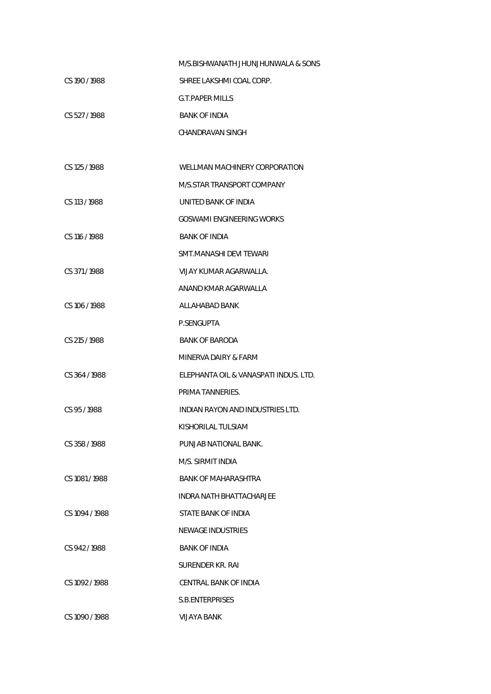|                | M/S.BISHWANATH JHUNJHUNWALA & SONS    |
|----------------|---------------------------------------|
| CS 190 / 1988  | SHREE LAKSHMI COAL CORP.              |
|                | <b>G.T.PAPER MILLS</b>                |
| CS 527/1988    | <b>BANK OF INDIA</b>                  |
|                | CHANDRAVAN SINGH                      |
|                |                                       |
| CS 125 / 1988  | WELLMAN MACHINERY CORPORATION         |
|                | M/S.STAR TRANSPORT COMPANY            |
| CS 113 / 1988  | UNITED BANK OF INDIA                  |
|                | <b>GOSWAMI ENGINEERING WORKS</b>      |
| CS 116 / 1988  | <b>BANK OF INDIA</b>                  |
|                | SMT.MANASHI DEVI TEWARI               |
| CS 371/1988    | VIJAY KUMAR AGARWALLA.                |
|                | ANAND KMAR AGARWALLA                  |
| CS 106 / 1988  | ALLAHABAD BANK                        |
|                | P.SENGUPTA                            |
| CS 215 / 1988  | <b>BANK OF BARODA</b>                 |
|                | MINERVA DAIRY & FARM                  |
| CS 364/1988    | ELEPHANTA OIL & VANASPATI INDUS. LTD. |
|                | PRIMA TANNERIES.                      |
| CS 95/1988     | INDIAN RAYON AND INDUSTRIES LTD.      |
|                | KISHORILAL TULSIAM                    |
| CS 358/1988    | PUNJAB NATIONAL BANK.                 |
|                | M/S. SIRMIT INDIA                     |
| CS 1081/1988   | <b>BANK OF MAHARASHTRA</b>            |
|                | INDRA NATH BHATTACHARJEE              |
| CS 1094 / 1988 | STATE BANK OF INDIA                   |
|                | NEWAGE INDUSTRIES                     |
| CS 942/1988    | <b>BANK OF INDIA</b>                  |
|                | SURENDER KR. RAI                      |
| CS 1092 / 1988 | CENTRAL BANK OF INDIA                 |
|                | S.B.ENTERPRISES                       |
| CS 1090 / 1988 | VIJAYA BANK                           |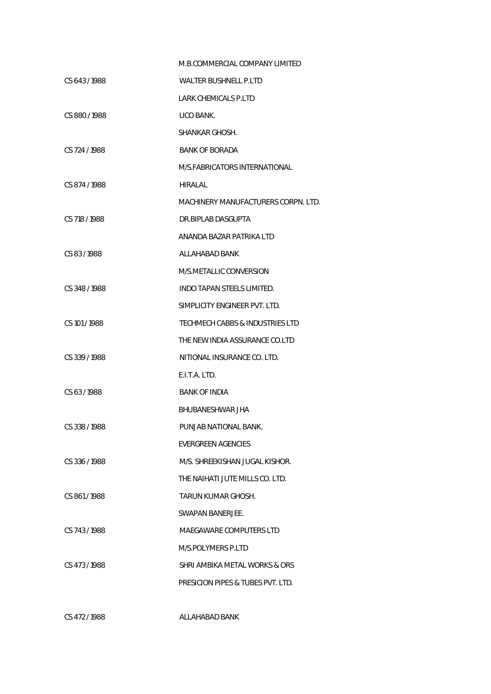|               | M.B.COMMERCIAL COMPANY LIMITED      |
|---------------|-------------------------------------|
| CS 643/1988   | WALTER BUSHNELL P.LTD               |
|               | LARK CHEMICALS P.LTD                |
| CS 880/1988   | UCO BANK.                           |
|               | SHANKAR GHOSH.                      |
| CS 724 / 1988 | <b>BANK OF BORADA</b>               |
|               | M/S.FABRICATORS INTERNATIONAL       |
| CS 874/1988   | HIRALAL                             |
|               | MACHINERY MANUFACTURERS CORPN. LTD. |
| CS 718/1988   | DR.BIPLAB DASGUPTA                  |
|               | ANANDA BAZAR PATRIKA LTD            |
| CS 83/1988    | ALLAHABAD BANK                      |
|               | M/S.METALLIC CONVERSION             |
| CS 348/1988   | INDO TAPAN STEELS LIMITED.          |
|               | SIMPLICITY ENGINEER PVT. LTD.       |
| CS 101/1988   | TECHMECH CABBS & INDUSTRIES LTD     |
|               | THE NEW INDIA ASSURANCE CO.LTD      |
| CS 339/1988   | NITIONAL INSURANCE CO. LTD.         |
|               | E.I.T.A. LTD.                       |
| CS 63/1988    | <b>BANK OF INDIA</b>                |
|               | BHUBANESHWAR JHA                    |
| CS 338 / 1988 | PUNJAB NATIONAL BANK.               |
|               | EVERGREEN AGENCIES                  |
| CS 336/1988   | M/S. SHREEKISHAN JUGAL KISHOR.      |
|               | THE NAIHATI JUTE MILLS CO. LTD.     |
| CS 861/1988   | TARUN KUMAR GHOSH.                  |
|               | SWAPAN BANERJEE.                    |
| CS 743/1988   | MAEGAWARE COMPUTERS LTD             |
|               | M/S.POLYMERS P.LTD                  |
| CS 473/1988   | SHRI AMBIKA METAL WORKS & ORS       |
|               | PRESICION PIPES & TUBES PVT. LTD.   |
|               |                                     |

CS 472 / 1988 ALLAHABAD BANK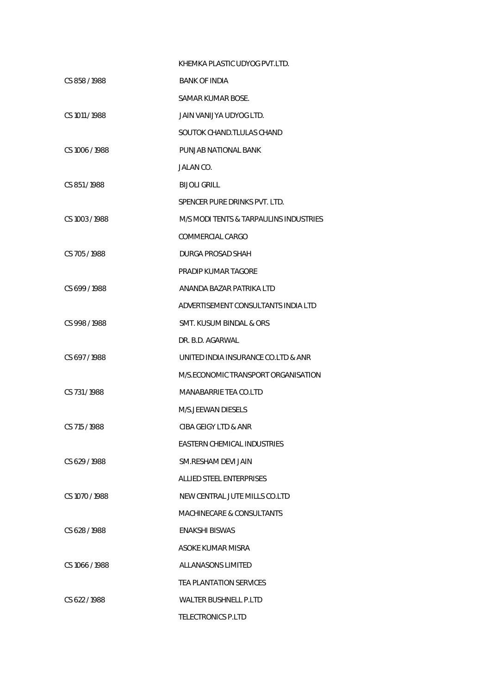|                | KHEMKA PLASTIC UDYOG PVT.LTD.          |
|----------------|----------------------------------------|
| CS 858/1988    | <b>BANK OF INDIA</b>                   |
|                | SAMAR KUMAR BOSE.                      |
| CS 1011 / 1988 | JAIN VANIJYA UDYOG LTD.                |
|                | SOUTOK CHAND. TLULAS CHAND             |
| CS 1006 / 1988 | PUNJAB NATIONAL BANK                   |
|                | JALAN CO.                              |
| CS 851/1988    | <b>BIJOLI GRILL</b>                    |
|                | SPENCER PURE DRINKS PVT. LTD.          |
| CS 1003 / 1988 | M/S MODI TENTS & TARPAULINS INDUSTRIES |
|                | COMMERCIAL CARGO                       |
| CS 705/1988    | DURGA PROSAD SHAH                      |
|                | PRADIP KUMAR TAGORE                    |
| CS 699/1988    | ANANDA BAZAR PATRIKA LTD               |
|                | ADVERTISEMENT CONSULTANTS INDIA LTD    |
| CS 998/1988    | SMT. KUSUM BINDAL & ORS                |
|                | DR. B.D. AGARWAL                       |
| CS 697/1988    | UNITED INDIA INSURANCE CO.LTD & ANR    |
|                | M/S.ECONOMIC TRANSPORT ORGANISATION    |
| CS 731/1988    | MANABARRIE TEA CO.LTD                  |
|                | M/S. JFFWAN DIFSFLS                    |
| CS 715 / 1988  | CIBA GEIGY LTD & ANR                   |
|                | <b>FASTERN CHEMICAL INDUSTRIES</b>     |
| CS 629/1988    | SM RESHAM DEVI JAIN                    |
|                | ALLIED STEEL ENTERPRISES               |
| CS 1070 / 1988 | NEW CENTRAL JUTE MILLS CO.LTD          |
|                | MACHINECARE & CONSULTANTS              |
| CS 628 / 1988  | ENAKSHI BISWAS                         |
|                | ASOKE KUMAR MISRA                      |
| CS 1066/1988   | ALLANASONS LIMITED                     |
|                | <b>TEA PLANTATION SERVICES</b>         |
| CS 622/1988    | WALTER BUSHNELL P.LTD                  |
|                | <b>TELECTRONICS P.LTD</b>              |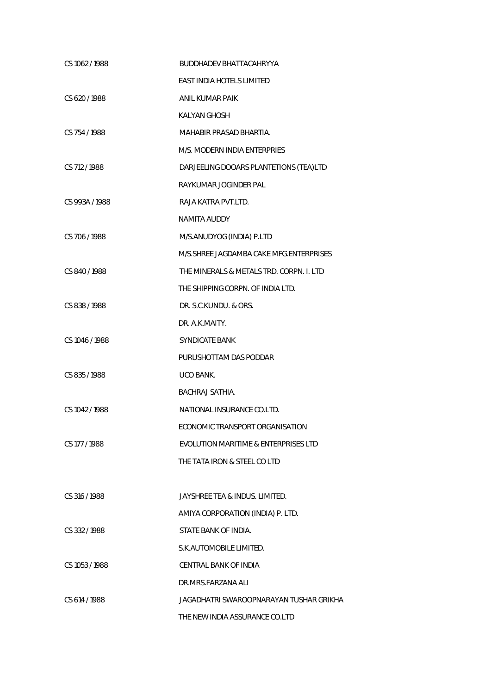| CS 1062 / 1988 | <b>BUDDHADEV BHATTACAHRYYA</b>            |
|----------------|-------------------------------------------|
|                | <b>EAST INDIA HOTELS LIMITED</b>          |
| CS 620 / 1988  | ANIL KUMAR PAIK                           |
|                | KALYAN GHOSH                              |
| CS 754 / 1988  | MAHABIR PRASAD BHARTIA.                   |
|                | M/S. MODERN INDIA ENTERPRIES              |
| CS 712 / 1988  | DARJEELING DOOARS PLANTETIONS (TEA)LTD    |
|                | RAYKUMAR JOGINDER PAL                     |
| CS 993A / 1988 | RAJA KATRA PVT.LTD.                       |
|                | NAMITA AUDDY                              |
| CS 706 / 1988  | M/S.ANUDYOG (INDIA) P.LTD                 |
|                | M/S. SHREE JAGDAMBA CAKE MFG. ENTERPRISES |
| CS 840/1988    | THE MINERALS & METALS TRD. CORPN. I. LTD  |
|                | THE SHIPPING CORPN. OF INDIA LTD.         |
| CS 838 / 1988  | DR. S.C.KUNDU. & ORS.                     |
|                | DR. A.K.MAITY.                            |
| CS 1046 / 1988 | <b>SYNDICATE BANK</b>                     |
|                | PURUSHOTTAM DAS PODDAR                    |
| CS 835/1988    | UCO BANK.                                 |
|                | <b>BACHRAJ SATHIA.</b>                    |
| CS 1042 / 1988 | NATIONAL INSURANCE CO.LTD.                |
|                | ECONOMIC TRANSPORT ORGANISATION           |
| CS 177 / 1988  | EVOLUTION MARITIME & ENTERPRISES LTD      |
|                | THE TATA IRON & STEEL CO LTD              |
|                |                                           |
| CS 316/1988    | JAYSHREE TEA & INDUS. LIMITED.            |
|                | AMIYA CORPORATION (INDIA) P. LTD.         |
| CS 332/1988    | STATE BANK OF INDIA.                      |
|                | S.K. AUTOMOBILE LIMITED.                  |
| CS 1053 / 1988 | CENTRAL BANK OF INDIA                     |
|                | DR.MRS.FARZANA ALI                        |
| CS 614 / 1988  | JAGADHATRI SWAROOPNARAYAN TUSHAR GRIKHA   |
|                | THE NEW INDIA ASSURANCE CO.LTD            |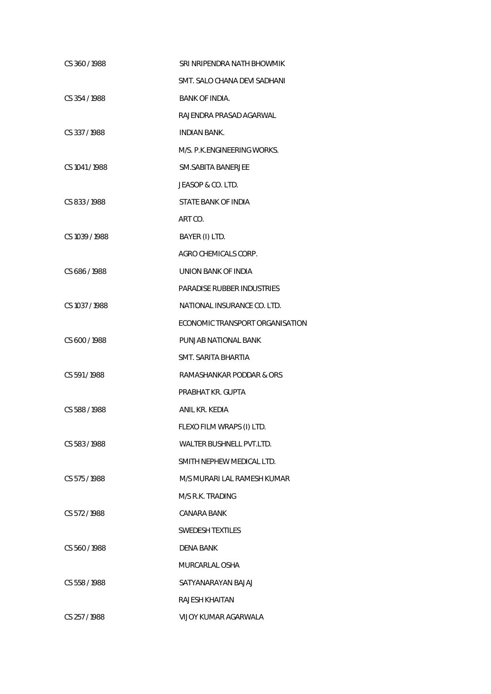| CS 360/1988    | SRI NRIPENDRA NATH BHOWMIK      |
|----------------|---------------------------------|
|                | SMT. SALO CHANA DEVI SADHANI    |
| CS 354/1988    | <b>BANK OF INDIA.</b>           |
|                | RAJENDRA PRASAD AGARWAL         |
| CS 337/1988    | INDIAN BANK.                    |
|                | M/S. P.K.ENGINEERING WORKS.     |
| CS 1041/1988   | SM.SABITA BANERJEE              |
|                | JEASOP & CO. LTD.               |
| CS 833/1988    | STATE BANK OF INDIA             |
|                | ART CO.                         |
| CS 1039 / 1988 | BAYER (I) LTD.                  |
|                | AGRO CHEMICALS CORP.            |
| CS 686/1988    | UNION BANK OF INDIA             |
|                | PARADISE RUBBER INDUSTRIES      |
| CS 1037 / 1988 | NATIONAL INSURANCE CO. LTD.     |
|                | ECONOMIC TRANSPORT ORGANISATION |
| CS 600 / 1988  | PUNJAB NATIONAL BANK            |
|                | SMT. SARITA BHARTIA             |
| CS 591/1988    | RAMASHANKAR PODDAR & ORS        |
|                | PRABHAT KR. GUPTA               |
| CS 588/1988    | ANIL KR. KEDIA                  |
|                | FLEXO FILM WRAPS (I) LTD.       |
| CS 583/1988    | WALTER BUSHNELL PVT.LTD.        |
|                | SMITH NEPHEW MEDICAL LTD.       |
| CS 575/1988    | M/S MURARI LAL RAMESH KUMAR     |
|                | M/S R.K. TRADING                |
| CS 572/1988    | CANARA BANK                     |
|                | SWEDESH TEXTILES                |
| CS 560/1988    | DENA BANK                       |
|                | MURCARLAL OSHA                  |
| CS 558 / 1988  | SATYANARAYAN BAJAJ              |
|                | RAJESH KHAITAN                  |
| CS 257/1988    | VIJOY KUMAR AGARWALA            |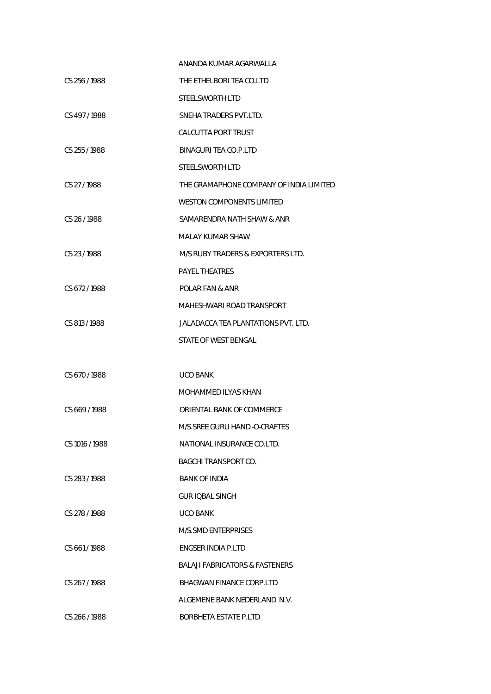|                | ANANDA KUMAR AGARWALLA                  |
|----------------|-----------------------------------------|
| CS 256/1988    | THE ETHELBORI TEA CO.LTD                |
|                | STEELSWORTH LTD                         |
| CS 497/1988    | SNEHA TRADERS PVT.LTD.                  |
|                | <b>CALCUTTA PORT TRUST</b>              |
| CS 255/1988    | BINAGURI TEA CO.P.LTD                   |
|                | STEELSWORTH LTD                         |
| CS 27/1988     | THE GRAMAPHONE COMPANY OF INDIA LIMITED |
|                | WESTON COMPONENTS LIMITED               |
| CS 26/1988     | SAMARENDRA NATH SHAW & ANR              |
|                | MALAY KUMAR SHAW                        |
| CS 23/1988     | M/S RUBY TRADERS & EXPORTERS LTD.       |
|                | <b>PAYEL THEATRES</b>                   |
| CS 672/1988    | POLAR FAN & ANR                         |
|                | MAHESHWARI ROAD TRANSPORT               |
| CS 813/1988    | JALADACCA TEA PLANTATIONS PVT. LTD.     |
|                | STATE OF WEST BENGAL                    |
|                |                                         |
| CS 670/1988    | <b>UCO BANK</b>                         |
|                | MOHAMMED ILYAS KHAN                     |
| CS 669/1988    | ORIENTAL BANK OF COMMERCE               |
|                | M/S.SREE GURU HAND -O-CRAFTES           |
| CS 1016 / 1988 | NATIONAL INSURANCE CO.LTD.              |
|                | <b>BAGCHI TRANSPORT CO.</b>             |
| CS 283/1988    | <b>BANK OF INDIA</b>                    |
|                | GUR IOBAL SINGH                         |
| CS 278 / 1988  | <b>UCO BANK</b>                         |
|                | M/S.SMD ENTERPRISES                     |
| CS 661/1988    | ENGSER INDIA P.LTD                      |
|                | BALAJI FABRICATORS & FASTENERS          |
| CS 267/1988    | BHAGWAN FINANCE CORP.LTD                |
|                | ALGEMENE BANK NEDERLAND N.V.            |
| CS 266 / 1988  | BORBHETA ESTATE P.LTD                   |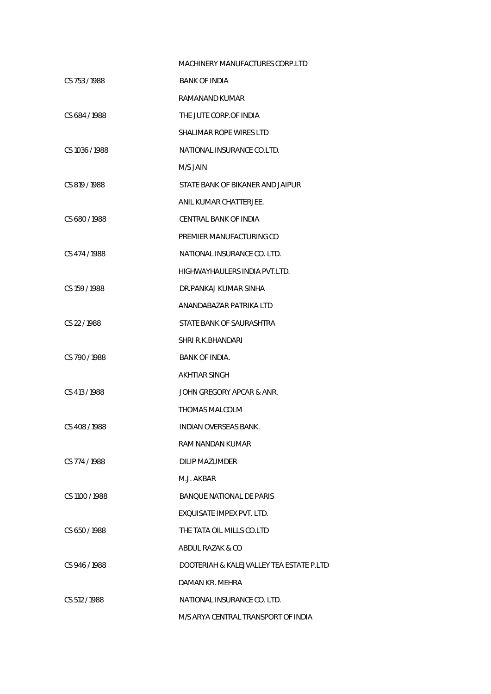|                | MACHINERY MANUFACTURES CORP.LTD          |
|----------------|------------------------------------------|
| CS 753/1988    | <b>BANK OF INDIA</b>                     |
|                | RAMANAND KUMAR                           |
| CS 684/1988    | THE JUTE CORP.OF INDIA                   |
|                | SHALIMAR ROPE WIRES LTD                  |
| CS 1036 / 1988 | NATIONAL INSURANCE CO.LTD.               |
|                | M/S JAIN                                 |
| CS 819/1988    | STATE BANK OF BIKANER AND JAIPUR         |
|                | ANIL KUMAR CHATTERJEE.                   |
| CS 680/1988    | CENTRAL BANK OF INDIA                    |
|                | PREMIER MANUFACTURING CO                 |
| CS 474 / 1988  | NATIONAL INSURANCE CO. LTD.              |
|                | HIGHWAYHAULERS INDIA PVT.LTD.            |
| CS 159/1988    | DR.PANKAJ KUMAR SINHA                    |
|                | ANANDABAZAR PATRIKA LTD                  |
| CS 22/1988     | STATE BANK OF SAURASHTRA                 |
|                | SHRI R.K.BHANDARI                        |
| CS 790/1988    | BANK OF INDIA.                           |
|                | AKHTIAR SINGH                            |
| CS 413 / 1988  | JOHN GREGORY APCAR & ANR.                |
|                | THOMAS MALCOLM                           |
| CS 408 / 1988  | INDIAN OVERSEAS BANK.                    |
|                | RAM NANDAN KUMAR                         |
| CS 774 / 1988  | DILIP MAZUMDER                           |
|                | M.J. AKBAR                               |
| CS 1100 / 1988 | <b>BANQUE NATIONAL DE PARIS</b>          |
|                | EXOUISATE IMPEX PVT. LTD.                |
| CS 650/1988    | THE TATA OIL MILLS CO.LTD                |
|                | ABDUL RAZAK & CO                         |
| CS 946/1988    | DOOTERIAH & KALEJVALLEY TEA ESTATE P.LTD |
|                | DAMAN KR. MEHRA                          |
| CS 512/1988    | NATIONAL INSURANCE CO. LTD.              |
|                | M/S ARYA CENTRAL TRANSPORT OF INDIA      |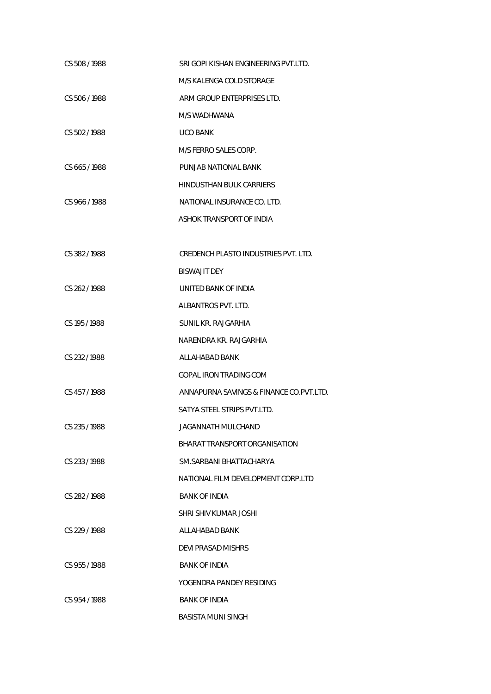| CS 508/1988   | SRI GOPI KISHAN ENGINEERING PVT.LTD.      |
|---------------|-------------------------------------------|
|               | M/S KALENGA COLD STORAGE                  |
| CS 506 / 1988 | ARM GROUP ENTERPRISES LTD.                |
|               | M/S WADHWANA                              |
| CS 502/1988   | <b>UCO BANK</b>                           |
|               | M/S FERRO SALES CORP.                     |
| CS 665/1988   | PUNJAB NATIONAL BANK                      |
|               | <b>HINDUSTHAN BULK CARRIERS</b>           |
| CS 966/1988   | NATIONAL INSURANCE CO. LTD.               |
|               | ASHOK TRANSPORT OF INDIA                  |
|               |                                           |
| CS 382/1988   | CREDENCH PLASTO INDUSTRIES PVT. LTD.      |
|               | <b>BISWAJIT DEY</b>                       |
| CS 262/1988   | UNITED BANK OF INDIA                      |
|               | ALBANTROS PVT. LTD.                       |
| CS 195 / 1988 | SUNIL KR. RAJGARHIA                       |
|               | NARENDRA KR. RAJGARHIA                    |
| CS 232/1988   | ALLAHABAD BANK                            |
|               | <b>GOPAL IRON TRADING COM</b>             |
| CS 457/1988   | ANNAPURNA SAVINGS & FINANCE CO. PVT. LTD. |
|               | SATYA STEEL STRIPS PVT.LTD.               |
| CS 235 / 1988 | JAGANNATH MULCHAND                        |
|               | BHARAT TRANSPORT ORGANISATION             |
| CS 233/1988   | SM.SARBANI BHATTACHARYA                   |
|               | NATIONAL FILM DEVELOPMENT CORP.LTD        |
| CS 282/1988   | <b>BANK OF INDIA</b>                      |
|               | SHRI SHIV KUMAR JOSHI                     |
| CS 229 / 1988 | ALLAHABAD BANK                            |
|               | DEVI PRASAD MISHRS                        |
| CS 955/1988   | <b>BANK OF INDIA</b>                      |
|               | YOGENDRA PANDEY RESIDING                  |
| CS 954/1988   | <b>BANK OF INDIA</b>                      |
|               | <b>BASISTA MUNI SINGH</b>                 |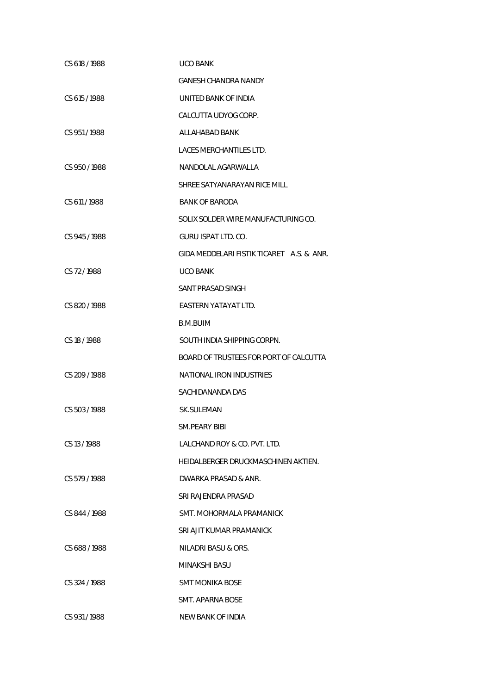| CS 618/1988   | UCO BANK                                  |
|---------------|-------------------------------------------|
|               | <b>GANESH CHANDRA NANDY</b>               |
| CS 615 / 1988 | UNITED BANK OF INDIA                      |
|               | CALCUTTA UDYOG CORP.                      |
| CS 951/1988   | ALLAHABAD BANK                            |
|               | LACES MERCHANTILES LTD.                   |
| CS 950/1988   | NANDOLAL AGARWALLA                        |
|               | SHREE SATYANARAYAN RICE MILL              |
| CS 611/1988   | <b>BANK OF BARODA</b>                     |
|               | SOLIX SOLDER WIRE MANUFACTURING CO.       |
| CS 945 / 1988 | GURU ISPAT LTD, CO.                       |
|               | GIDA MEDDELARI FISTIK TICARET A.S. & ANR. |
| CS 72/1988    | <b>UCO BANK</b>                           |
|               | SANT PRASAD SINGH                         |
| CS 820/1988   | EASTERN YATAYAT LTD.                      |
|               | B.M.BUIM                                  |
| CS 18 / 1988  | SOUTH INDIA SHIPPING CORPN.               |
|               | BOARD OF TRUSTEES FOR PORT OF CALCUTTA    |
| CS 209 / 1988 | NATIONAL IRON INDUSTRIES                  |
|               | SACHIDANANDA DAS                          |
| CS 503 / 1988 | <b>SK.SULEMAN</b>                         |
|               | SM.PEARY BIBI                             |
| CS 13/1988    | LALCHAND ROY & CO. PVT. LTD.              |
|               | HEIDALBERGER DRUCKMASCHINEN AKTIEN.       |
| CS 579/1988   | DWARKA PRASAD & ANR.                      |
|               | SRI RAJENDRA PRASAD                       |
| CS 844/1988   | SMT. MOHORMALA PRAMANICK                  |
|               | SRI AJIT KUMAR PRAMANICK                  |
| CS 688 / 1988 | NILADRI BASU & ORS.                       |
|               | MINAKSHI BASU                             |
| CS 324 / 1988 | SMT MONIKA BOSE                           |
|               | SMT. APARNA BOSE                          |
| CS 931/1988   | <b>NEW BANK OF INDIA</b>                  |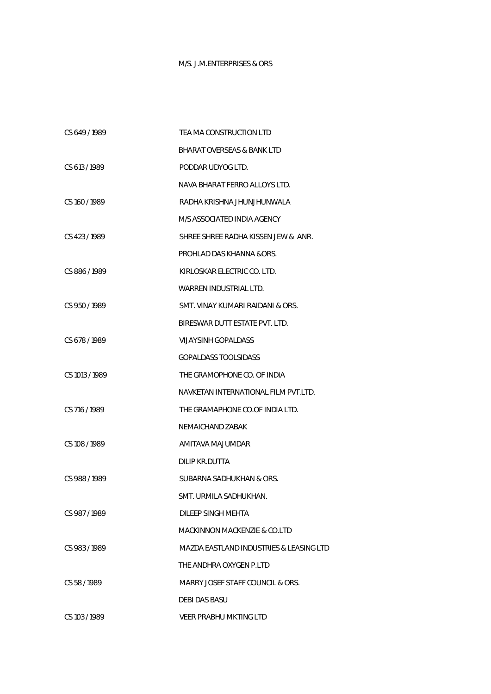## M/S. J.M.ENTERPRISES & ORS

| CS 649/1989    | TEA MA CONSTRUCTION LTD                 |
|----------------|-----------------------------------------|
|                | <b>BHARAT OVERSEAS &amp; BANK LTD</b>   |
| CS 613/1989    | PODDAR UDYOG LTD.                       |
|                | NAVA BHARAT FERRO ALLOYS LTD.           |
| CS 160 / 1989  | RADHA KRISHNA JHUNJHUNWALA              |
|                | M/S ASSOCIATED INDIA AGENCY             |
| CS 423/1989    | SHREE SHREE RADHA KISSEN JEW & ANR.     |
|                | PROHLAD DAS KHANNA &ORS.                |
| CS 886/1989    | KIRLOSKAR ELECTRIC CO. LTD.             |
|                | WARREN INDUSTRIAL LTD.                  |
| CS 950/1989    | SMT. VINAY KUMARI RAIDANI & ORS.        |
|                | BIRESWAR DUTT ESTATE PVT. LTD.          |
| CS 678/1989    | VIJAYSINH GOPALDASS                     |
|                | <b>GOPALDASS TOOLSIDASS</b>             |
| CS 1013 / 1989 | THE GRAMOPHONE CO. OF INDIA             |
|                | NAVKETAN INTERNATIONAL FILM PVT.LTD.    |
| CS 716 / 1989  | THE GRAMAPHONE CO.OF INDIA LTD.         |
|                | NEMAICHAND ZABAK                        |
| CS 108 / 1989  | AMITAVA MAJUMDAR                        |
|                | DILIP KR.DUTTA                          |
| CS 988/1989    | SUBARNA SADHUKHAN & ORS.                |
|                | SMT. URMILA SADHUKHAN.                  |
| CS 987/1989    | DILEEP SINGH MEHTA                      |
|                | MACKINNON MACKENZIE & CO.LTD            |
| CS 983/1989    | MAZDA EASTLAND INDUSTRIES & LEASING LTD |
|                | THE ANDHRA OXYGEN P.LTD                 |
| CS 58/1989     | MARRY JOSEF STAFF COUNCIL & ORS.        |
|                | DEBI DAS BASU                           |
| CS 103 / 1989  | VEER PRABHU MKTING LTD                  |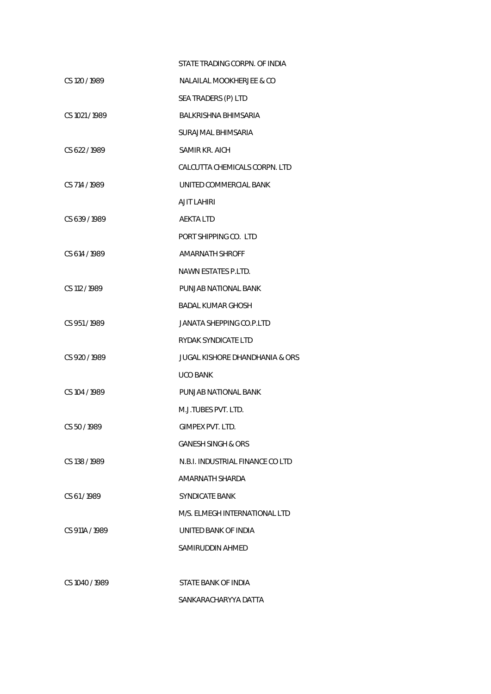|                | STATE TRADING CORPN. OF INDIA             |
|----------------|-------------------------------------------|
| CS 120 / 1989  | NALAILAL MOOKHERJEE & CO                  |
|                | SEA TRADERS (P) LTD                       |
| CS 1021 / 1989 | BALKRISHNA BHIMSARIA                      |
|                | SURAJMAL BHIMSARIA                        |
| CS 622/1989    | SAMIR KR. AICH                            |
|                | CALCUTTA CHEMICALS CORPN. LTD             |
| CS 714 / 1989  | UNITED COMMERCIAL BANK                    |
|                | <b>AJIT LAHIRI</b>                        |
| CS 639/1989    | AEKTA LTD                                 |
|                | PORT SHIPPING CO. LTD                     |
| CS 614 / 1989  | <b>AMARNATH SHROFF</b>                    |
|                | NAWN ESTATES P.LTD.                       |
| CS 112 / 1989  | PUNJAB NATIONAL BANK                      |
|                | BADAL KUMAR GHOSH                         |
| CS 951/1989    | JANATA SHEPPING CO.P.LTD                  |
|                | RYDAK SYNDICATE LTD                       |
| CS 920 / 1989  | <b>JUGAL KISHORE DHANDHANIA &amp; ORS</b> |
|                | UCO BANK                                  |
| CS 104 / 1989  | PUNJAB NATIONAL BANK                      |
|                | M.J.TUBES PVT. LTD.                       |
| CS 50 / 1989   | GIMPEX PVT. LTD.                          |
|                | <b>GANESH SINGH &amp; ORS</b>             |
| CS 138 / 1989  | N.B.I. INDUSTRIAL FINANCE CO LTD          |
|                | AMARNATH SHARDA                           |
| CS 61/1989     | <b>SYNDICATE BANK</b>                     |
|                | M/S. ELMEGH INTERNATIONAL LTD             |
| CS 911A / 1989 | UNITED BANK OF INDIA                      |
|                | SAMIRUDDIN AHMED                          |
|                |                                           |
| CS 1040 / 1989 | STATE BANK OF INDIA                       |
|                |                                           |

SANKARACHARYYA DATTA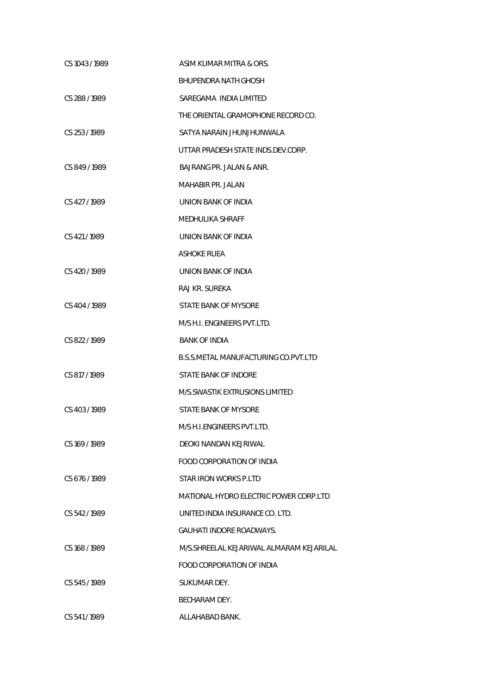| CS 1043 / 1989 | ASIM KUMAR MITRA & ORS.                  |
|----------------|------------------------------------------|
|                | <b>BHUPENDRA NATH GHOSH</b>              |
| CS 288 / 1989  | SAREGAMA INDIA LIMITED                   |
|                | THE ORIENTAL GRAMOPHONE RECORD CO.       |
| CS 253/1989    | SATYA NARAIN JHUNJHUNWALA                |
|                | UTTAR PRADESH STATE INDS.DEV.CORP.       |
| CS 849/1989    | BAJRANG PR. JALAN & ANR.                 |
|                | MAHABIR PR. JALAN                        |
| CS 427/1989    | UNION BANK OF INDIA                      |
|                | <b>MEDHULIKA SHRAFF</b>                  |
| CS 421/1989    | UNION BANK OF INDIA                      |
|                | ASHOKE RUEA                              |
| CS 420 / 1989  | UNION BANK OF INDIA                      |
|                | RAJ KR. SUREKA                           |
| CS 404 / 1989  | STATE BANK OF MYSORE                     |
|                | M/S H.I. ENGINEERS PVT.LTD.              |
| CS 822/1989    | <b>BANK OF INDIA</b>                     |
|                | B.S.S.METAL MANUFACTURING CO.PVT.LTD     |
| CS 817 / 1989  | STATE BANK OF INDORE                     |
|                | M/S.SWASTIK EXTRUSIONS LIMITED           |
| CS 403/1989    | STATE BANK OF MYSORE                     |
|                | M/S H.I.ENGINEERS PVT.LTD.               |
| CS 169/1989    | DEOKI NANDAN KEJRIWAL                    |
|                | FOOD CORPORATION OF INDIA                |
| CS 676/1989    | STAR IRON WORKS P.LTD                    |
|                | MATIONAL HYDRO ELECTRIC POWER CORP.LTD   |
| CS 542/1989    | UNITED INDIA INSURANCE CO. LTD.          |
|                | <b>GAUHATI INDORE ROADWAYS.</b>          |
| CS 168 / 1989  | M/S.SHREELAL KEJARIWAL ALMARAM KEJARILAL |
|                | FOOD CORPORATION OF INDIA                |
| CS 545/1989    | SUKUMAR DEY.                             |
|                | BECHARAM DEY.                            |
| CS 541/1989    | ALLAHABAD BANK.                          |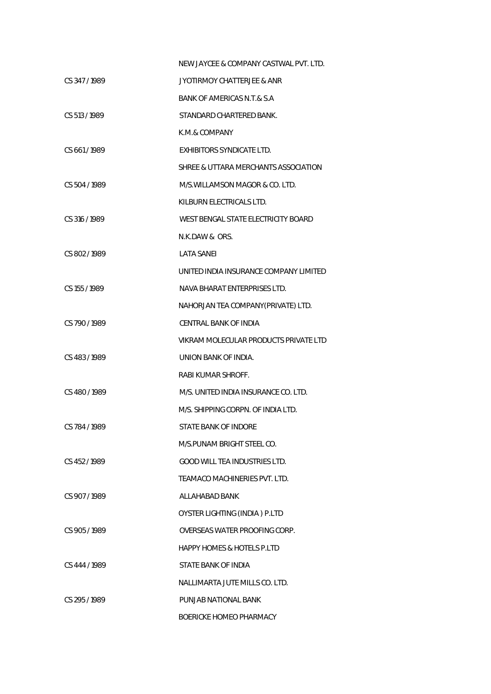|               | NEW JAYCEE & COMPANY CASTWAL PVT. LTD. |
|---------------|----------------------------------------|
| CS 347/1989   | JYOTIRMOY CHATTERJEE & ANR             |
|               | BANK OF AMERICAS N.T.& S.A             |
| CS 513/1989   | STANDARD CHARTERED BANK.               |
|               | K.M.& COMPANY                          |
| CS 661/1989   | <b>EXHIBITORS SYNDICATE LTD.</b>       |
|               | SHREE & UTTARA MERCHANTS ASSOCIATION   |
| CS 504 / 1989 | M/S.WILLAMSON MAGOR & CO. LTD.         |
|               | KILBURN ELECTRICALS LTD.               |
| CS 316/1989   | WEST BENGAL STATE ELECTRICITY BOARD    |
|               | N.K.DAW & ORS.                         |
| CS 802/1989   | <b>LATA SANFL</b>                      |
|               | UNITED INDIA INSURANCE COMPANY LIMITED |
| CS 155/1989   | NAVA BHARAT ENTERPRISES LTD.           |
|               | NAHORJAN TEA COMPANY(PRIVATE) LTD.     |
| CS 790/1989   | CENTRAL BANK OF INDIA                  |
|               | VIKRAM MOLECULAR PRODUCTS PRIVATE LTD  |
| CS 483/1989   | UNION BANK OF INDIA.                   |
|               | RABI KUMAR SHROFF.                     |
| CS 480/1989   | M/S. UNITED INDIA INSURANCE CO. LTD.   |
|               | M/S. SHIPPING CORPN. OF INDIA LTD.     |
| CS 784/1989   | STATE BANK OF INDORE                   |
|               | M/S.PUNAM BRIGHT STEEL CO.             |
| CS 452/1989   | <b>GOOD WILL TEA INDUSTRIES LTD.</b>   |
|               | TEAMACO MACHINERIES PVT. LTD.          |
| CS 907/1989   | ALLAHABAD BANK                         |
|               | OYSTER LIGHTING (INDIA) P.LTD          |
| CS 905/1989   | OVERSEAS WATER PROOFING CORP.          |
|               | <b>HAPPY HOMES &amp; HOTELS P.LTD</b>  |
| CS 444 / 1989 | STATE BANK OF INDIA                    |
|               | NALLIMARTA JUTE MILLS CO. LTD.         |
| CS 295/1989   | PUNJAB NATIONAL BANK                   |
|               | BOERICKE HOMEO PHARMACY                |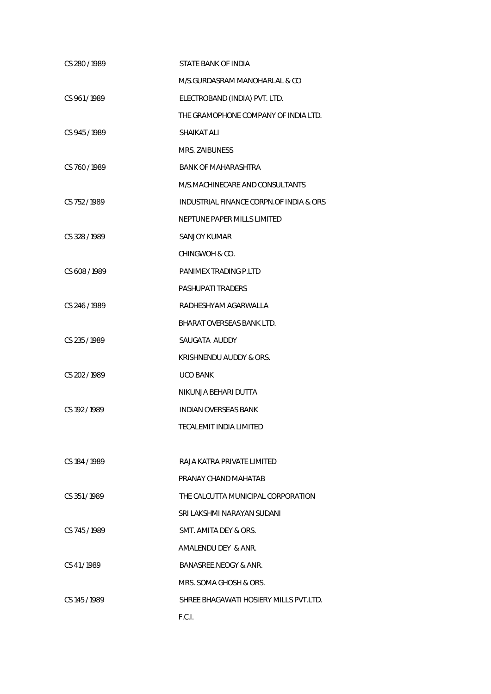| CS 280 / 1989 | STATE BANK OF INDIA                     |
|---------------|-----------------------------------------|
|               | M/S.GURDASRAM MANOHARLAL & CO           |
| CS 961/1989   | ELECTROBAND (INDIA) PVT. LTD.           |
|               | THE GRAMOPHONE COMPANY OF INDIA LTD.    |
| CS 945/1989   | SHAIKAT ALI                             |
|               | MRS. ZAIBUNESS                          |
| CS 760/1989   | <b>BANK OF MAHARASHTRA</b>              |
|               | M/S.MACHINECARE AND CONSULTANTS         |
| CS 752/1989   | INDUSTRIAL FINANCE CORPN.OF INDIA & ORS |
|               | NEPTUNE PAPER MILLS LIMITED             |
| CS 328 / 1989 | SANJOY KUMAR                            |
|               | CHINGWOH & CO.                          |
| CS 608/1989   | PANIMEX TRADING P.LTD                   |
|               | PASHUPATI TRADERS                       |
| CS 246 / 1989 | RADHESHYAM AGARWALLA                    |
|               | <b>BHARAT OVERSEAS BANK LTD.</b>        |
| CS 235/1989   | SAUGATA AUDDY                           |
|               | KRISHNENDU AUDDY & ORS.                 |
| CS 202 / 1989 | <b>UCO BANK</b>                         |
|               | NIKUNJA BEHARI DUTTA                    |
| CS 192/1989   | <b>INDIAN OVERSEAS BANK</b>             |
|               | TECALEMIT INDIA LIMITED                 |
|               |                                         |
| CS 184 / 1989 | RAJA KATRA PRIVATE LIMITED              |
|               | PRANAY CHAND MAHATAB                    |
| CS 351/1989   | THE CALCUTTA MUNICIPAL CORPORATION      |
|               | SRI LAKSHMI NARAYAN SUDANI              |
| CS 745/1989   | SMT. AMITA DEY & ORS.                   |
|               | AMALENDU DEY & ANR.                     |
| CS 41/1989    | BANASREE.NEOGY & ANR.                   |
|               | MRS. SOMA GHOSH & ORS.                  |
| CS 145/1989   | SHREE BHAGAWATI HOSIERY MILLS PVT.LTD.  |
|               | F.C.I.                                  |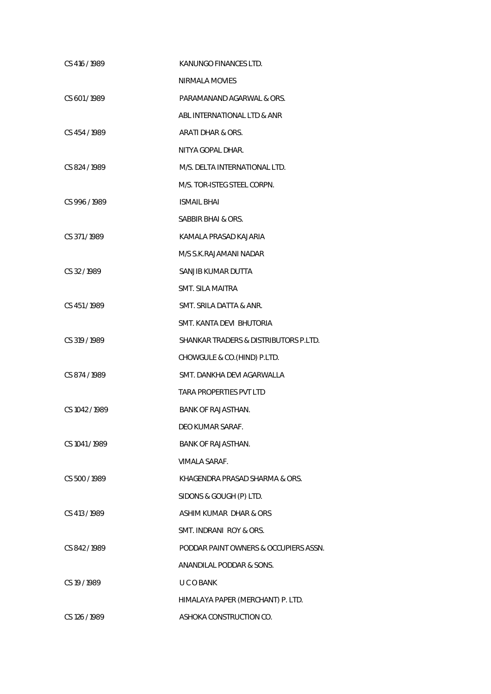| CS 416 / 1989  | KANUNGO FINANCES LTD.                 |
|----------------|---------------------------------------|
|                | NIRMALA MOVIES                        |
| CS 601/1989    | PARAMANAND AGARWAL & ORS.             |
|                | ABL INTERNATIONAL LTD & ANR           |
| CS 454/1989    | ARATI DHAR & ORS.                     |
|                | NITYA GOPAL DHAR.                     |
| CS 824/1989    | M/S. DELTA INTERNATIONAL LTD.         |
|                | M/S. TOR-ISTEG STEEL CORPN.           |
| CS 996/1989    | <b>ISMAIL BHAI</b>                    |
|                | SABBIR BHAI & ORS.                    |
| CS 371/1989    | KAMALA PRASAD KAJARIA                 |
|                | M/S S.K.RAJAMANI NADAR                |
| CS 32/1989     | SANJIB KUMAR DUTTA                    |
|                | <b>SMT. SILA MAITRA</b>               |
| CS 451/1989    | SMT. SRILA DATTA & ANR.               |
|                | SMT. KANTA DEVI BHUTORIA              |
| CS 319/1989    | SHANKAR TRADERS & DISTRIBUTORS P.LTD. |
|                | CHOWGULE & CO. (HIND) P.LTD.          |
| CS 874 / 1989  | SMT. DANKHA DEVI AGARWALLA            |
|                | <b>TARA PROPERTIES PVT LTD</b>        |
| CS 1042 / 1989 | BANK OF RAJASTHAN.                    |
|                | DEO KUMAR SARAF.                      |
| CS 1041/1989   | <b>BANK OF RAJASTHAN.</b>             |
|                | VIMALA SARAF.                         |
| CS 500 / 1989  | KHAGENDRA PRASAD SHARMA & ORS.        |
|                | SIDONS & GOUGH (P) LTD.               |
| CS 413 / 1989  | ASHIM KUMAR DHAR & ORS                |
|                | SMT. INDRANI ROY & ORS.               |
| CS 842/1989    | PODDAR PAINT OWNERS & OCCUPIERS ASSN. |
|                | ANANDILAL PODDAR & SONS.              |
| CS 19 / 1989   | U C O BANK                            |
|                | HIMALAYA PAPER (MERCHANT) P. LTD.     |
| CS 126 / 1989  | ASHOKA CONSTRUCTION CO.               |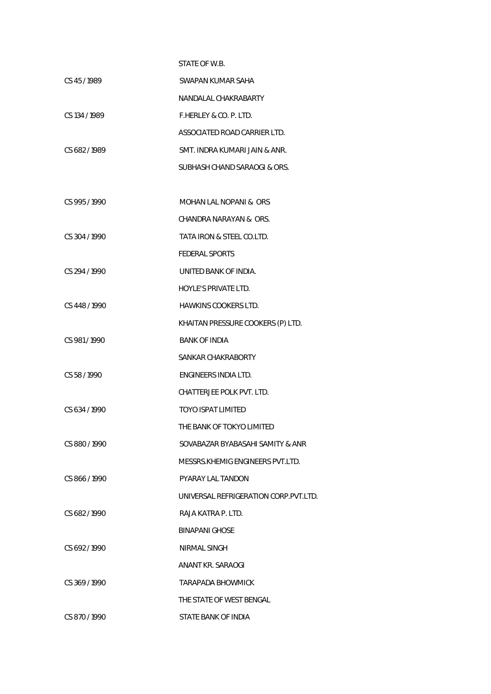## STATE OF W.B.

| CS 45/1989    | SWAPAN KUMAR SAHA             |
|---------------|-------------------------------|
|               | NANDALAL CHAKRABARTY          |
| CS 134 / 1989 | F.HERLEY & CO. P. LTD.        |
|               | ASSOCIATED ROAD CARRIER LTD.  |
| CS 682/1989   | SMT. INDRA KUMARI JAIN & ANR. |
|               | SUBHASH CHAND SARAOGL& ORS.   |

| CS 995/1990   | <b>MOHAN LAL NOPANI &amp; ORS</b>     |
|---------------|---------------------------------------|
|               | CHANDRA NARAYAN & ORS.                |
| CS 304 / 1990 | TATA IRON & STEEL CO.LTD.             |
|               | <b>FEDERAL SPORTS</b>                 |
| CS 294 / 1990 | UNITED BANK OF INDIA.                 |
|               | <b>HOYLE'S PRIVATE LTD.</b>           |
| CS 448 / 1990 | <b>HAWKINS COOKERS LTD.</b>           |
|               | KHAITAN PRESSURE COOKERS (P) LTD.     |
| CS 981/1990   | <b>BANK OF INDIA</b>                  |
|               | SANKAR CHAKRABORTY                    |
| CS 58/1990    | ENGINEERS INDIA LTD.                  |
|               | CHATTERJEE POLK PVT. LTD.             |
| CS 634/1990   | TOYO ISPAT LIMITED                    |
|               | THE BANK OF TOKYO LIMITED             |
| CS 880 / 1990 | SOVABAZAR BYABASAHI SAMITY & ANR      |
|               | MESSRS KHEMIG ENGINEERS PVT LTD.      |
| CS 866/1990   | PYARAY LAL TANDON                     |
|               | UNIVERSAL REFRIGERATION CORP.PVT.LTD. |
| CS 682/1990   | RAJA KATRA P. LTD.                    |
|               | <b>BINAPANI GHOSE</b>                 |
| CS 692/1990   | NIRMAL SINGH                          |
|               | ANANT KR. SARAOGI                     |
| CS 369 / 1990 | <b>TARAPADA BHOWMICK</b>              |
|               | THE STATE OF WEST BENGAL              |
| CS 870/1990   | STATE BANK OF INDIA                   |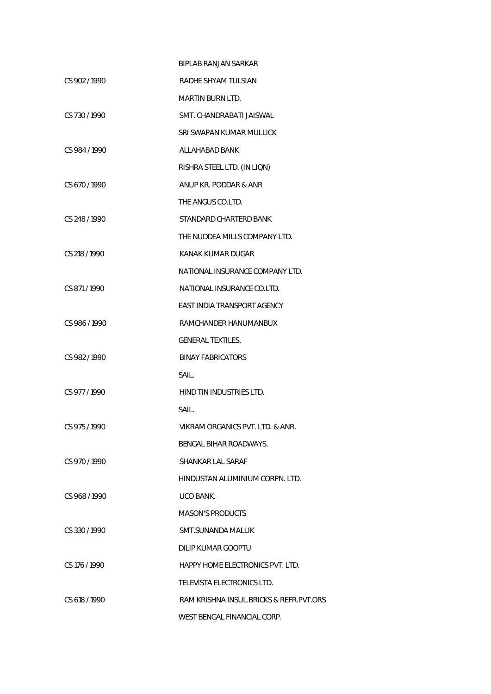|                 | <b>BIPLAB RANJAN SARKAR</b>             |
|-----------------|-----------------------------------------|
| CS 902/1990     | RADHE SHYAM TULSIAN                     |
|                 | MARTIN BURN LTD.                        |
| CS 730/1990     | SMT. CHANDRABATI JAISWAL                |
|                 | SRI SWAPAN KUMAR MULLICK                |
| CS 984/1990     | ALLAHABAD BANK                          |
|                 | RISHRA STEEL LTD. (IN LIQN)             |
| CS 670/1990     | ANUP KR. PODDAR & ANR                   |
|                 | THE ANGUS CO.LTD.                       |
| CS 248 / 1990   | STANDARD CHARTERD BANK                  |
|                 | THE NUDDEA MILLS COMPANY LTD.           |
| CS 218 / 1990   | KANAK KUMAR DUGAR                       |
|                 | NATIONAL INSURANCE COMPANY LTD.         |
| CS 871/1990     | NATIONAL INSURANCE CO.LTD.              |
|                 | EAST INDIA TRANSPORT AGENCY             |
| CS 986/1990     | RAMCHANDER HANUMANBUX                   |
|                 | <b>GENERAL TEXTILES.</b>                |
| CS 982/1990     | <b>BINAY FABRICATORS</b>                |
|                 | SAIL.                                   |
| CS 977/1990     | HIND TIN INDUSTRIES LTD.                |
|                 | SAIL.                                   |
| CS 975 / 1990   | VIKRAM ORGANICS PVT. LTD. & ANR.        |
|                 | BENGAL BIHAR ROADWAYS.                  |
| CS 970/1990     | SHANKAR LAL SARAF                       |
|                 | HINDUSTAN ALUMINIUM CORPN. LTD.         |
| CS 968/1990     | UCO BANK.                               |
|                 | <b>MASON'S PRODUCTS</b>                 |
| $CS$ 330 / 1990 | SMT.SUNANDA MALLIK                      |
|                 | DILIP KUMAR GOOPTU                      |
| CS 176/1990     | HAPPY HOME ELECTRONICS PVT. LTD.        |
|                 | TELEVISTA ELECTRONICS LTD.              |
| CS 618 / 1990   | RAM KRISHNA INSUL.BRICKS & REFR.PVT.ORS |
|                 | WEST BENGAL FINANCIAL CORP.             |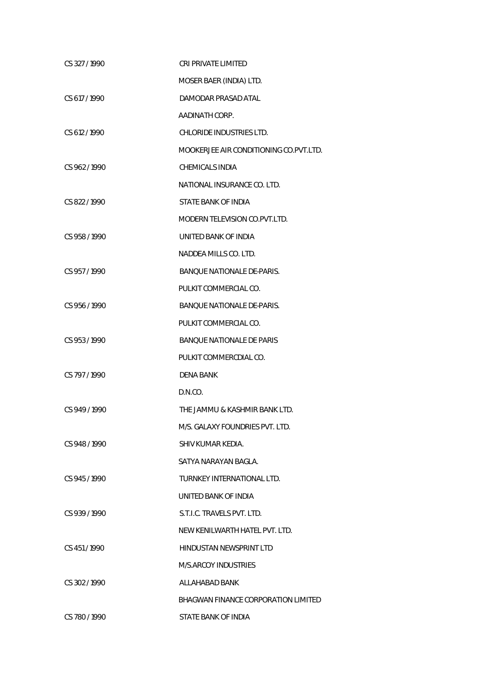| CS 327/1990   | CRI PRIVATE LIMITED                     |
|---------------|-----------------------------------------|
|               | MOSER BAER (INDIA) LTD.                 |
| CS 617/1990   | DAMODAR PRASAD ATAL                     |
|               | AADINATH CORP.                          |
| CS 612/1990   | CHLORIDE INDUSTRIES LTD.                |
|               | MOOKERJEE AIR CONDITIONING CO. PVT.LTD. |
| CS 962/1990   | CHEMICALS INDIA                         |
|               | NATIONAL INSURANCE CO. LTD.             |
| CS 822/1990   | STATE BANK OF INDIA                     |
|               | MODERN TELEVISION CO.PVT.LTD.           |
| CS 958 / 1990 | UNITED BANK OF INDIA                    |
|               | NADDEA MILLS CO. LTD.                   |
| CS 957/1990   | BANQUE NATIONALE DE-PARIS.              |
|               | PULKIT COMMERCIAL CO.                   |
| CS 956/1990   | <b>BANQUE NATIONALE DE-PARIS.</b>       |
|               | PULKIT COMMERCIAL CO.                   |
| CS 953/1990   | <b>BANQUE NATIONALE DE PARIS</b>        |
|               | PULKIT COMMERCDIAL CO.                  |
| CS 797/1990   | DENA BANK                               |
|               | D.N.CO.                                 |
| CS 949/1990   | THE JAMMU & KASHMIR BANK LTD.           |
|               | M/S. GALAXY FOUNDRIES PVT. LTD.         |
| CS 948/1990   | SHIV KUMAR KEDIA.                       |
|               | SATYA NARAYAN BAGLA.                    |
| CS 945/1990   | TURNKEY INTERNATIONAL LTD.              |
|               | UNITED BANK OF INDIA                    |
| CS 939/1990   | S.T.I.C. TRAVELS PVT. LTD.              |
|               | NEW KENILWARTH HATEL PVT. LTD.          |
| CS 451/1990   | HINDUSTAN NEWSPRINT LTD                 |
|               | M/S.ARCOY INDUSTRIES                    |
| CS 302/1990   | ALLAHABAD BANK                          |
|               | BHAGWAN FINANCE CORPORATION LIMITED     |
| CS 780/1990   | STATE BANK OF INDIA                     |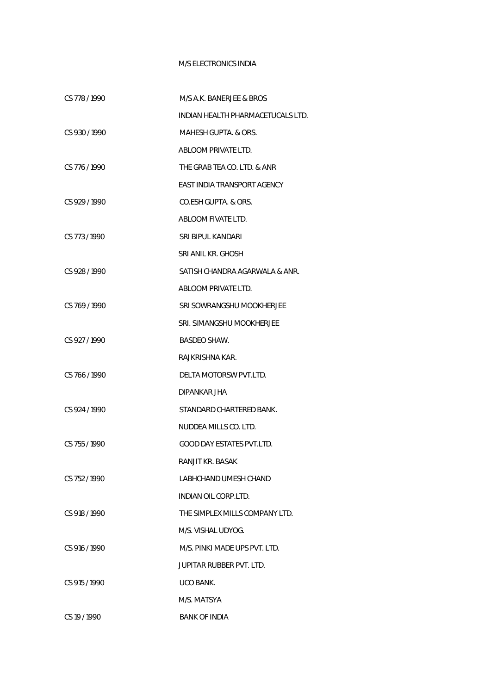## M/S ELECTRONICS INDIA

| CS 778 / 1990 | M/S A.K. BANERJEE & BROS          |
|---------------|-----------------------------------|
|               | INDIAN HEALTH PHARMACETUCALS LTD. |
| CS 930/1990   | MAHESH GUPTA. & ORS.              |
|               | ABLOOM PRIVATE LTD.               |
| CS 776/1990   | THE GRAB TEA CO. LTD. & ANR       |
|               | EAST INDIA TRANSPORT AGENCY       |
| CS 929/1990   | CO.ESH GUPTA. & ORS.              |
|               | ABLOOM FIVATE LTD.                |
| CS 773/1990   | SRI BIPUL KANDARI                 |
|               | SRI ANIL KR. GHOSH                |
| CS 928 / 1990 | SATISH CHANDRA AGARWALA & ANR.    |
|               | ABLOOM PRIVATE LTD.               |
| CS 769/1990   | SRI SOWRANGSHU MOOKHERJEE         |
|               | SRI. SIMANGSHU MOOKHERJEE         |
| CS 927/1990   | <b>BASDEO SHAW.</b>               |
|               | RAJKRISHNA KAR.                   |
| CS 766 / 1990 | DELTA MOTORSW PVT.LTD.            |
|               | DIPANKAR JHA                      |
| CS 924 / 1990 | STANDARD CHARTERED BANK.          |
|               | NUDDEA MILLS CO. LTD.             |
| CS 755/1990   | <b>GOOD DAY ESTATES PVT.LTD.</b>  |
|               | RANJIT KR. BASAK                  |
| CS 752/1990   | LABHCHAND UMESH CHAND             |
|               | INDIAN OIL CORP.LTD.              |
| CS 918 / 1990 | THE SIMPLEX MILLS COMPANY LTD.    |
|               | M/S. VISHAL UDYOG.                |
| CS 916 / 1990 | M/S. PINKI MADE UPS PVT. LTD.     |
|               | JUPITAR RUBBER PVT. LTD.          |
| CS 915/1990   | UCO BANK.                         |
|               | M/S. MATSYA                       |
| CS 19/1990    | <b>BANK OF INDIA</b>              |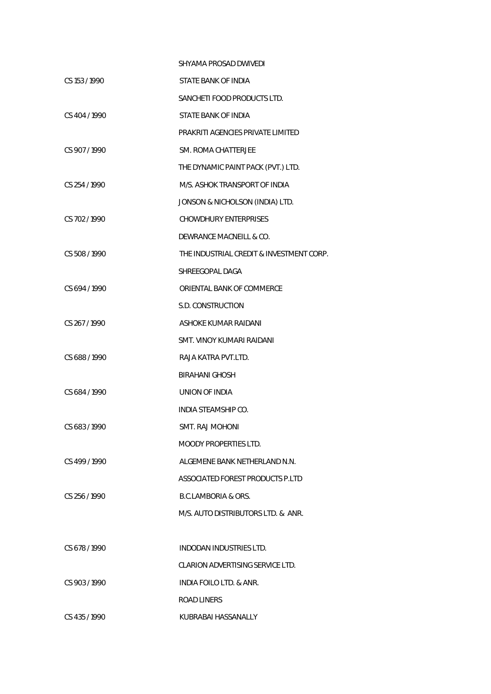|                 | SHYAMA PROSAD DWIVEDI                    |
|-----------------|------------------------------------------|
| CS 153/1990     | STATE BANK OF INDIA                      |
|                 | SANCHETI FOOD PRODUCTS LTD.              |
| CS 404 / 1990   | STATE BANK OF INDIA                      |
|                 | PRAKRITI AGENCIES PRIVATE LIMITED        |
| CS 907/1990     | SM. ROMA CHATTERJEE                      |
|                 | THE DYNAMIC PAINT PACK (PVT.) LTD.       |
| CS 254/1990     | M/S. ASHOK TRANSPORT OF INDIA            |
|                 | JONSON & NICHOLSON (INDIA) LTD.          |
| CS 702/1990     | <b>CHOWDHURY ENTERPRISES</b>             |
|                 | DEWRANCE MACNEILL & CO.                  |
| CS 508 / 1990   | THE INDUSTRIAL CREDIT & INVESTMENT CORP. |
|                 | SHREEGOPAL DAGA                          |
| CS 694 / 1990   | ORIENTAL BANK OF COMMERCE                |
|                 | S.D. CONSTRUCTION                        |
| CS 267/1990     | ASHOKE KUMAR RAIDANI                     |
|                 | SMT. VINOY KUMARI RAIDANI                |
| CS 688 / 1990   | RAJA KATRA PVT.LTD.                      |
|                 | <b>BIRAHANI GHOSH</b>                    |
| CS 684 / 1990   | UNION OF INDIA                           |
|                 | INDIA STEAMSHIP CO.                      |
| CS 683/1990     | SMT. RAJ MOHONI                          |
|                 | MOODY PROPERTIES LTD.                    |
| CS 499/1990     | ALGEMENE BANK NETHERLAND N.N.            |
|                 | ASSOCIATED FOREST PRODUCTS P.LTD         |
| $CS$ 256 / 1990 | B.C.LAMBORIA & ORS.                      |
|                 | M/S. AUTO DISTRIBUTORS LTD. & ANR.       |
|                 |                                          |
| CS 678/1990     | INDODAN INDUSTRIES LTD.                  |
|                 | CLARION ADVERTISING SERVICE LTD.         |
| CS 903/1990     | INDIA FOILO LTD. & ANR.                  |
|                 | ROAD LINERS                              |
| CS 435/1990     | KUBRABAI HASSANALLY                      |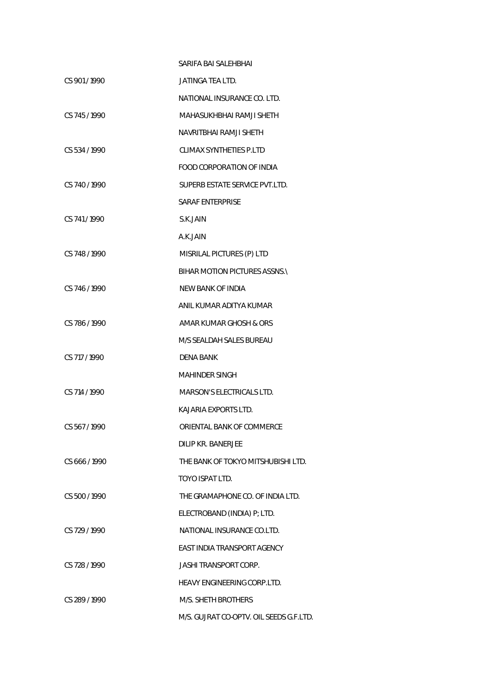|               | SARIFA BAI SALEHBHAI                    |
|---------------|-----------------------------------------|
| CS 901/1990   | JATINGA TEA LTD.                        |
|               | NATIONAL INSURANCE CO. LTD.             |
| CS 745/1990   | MAHASUKHBHAI RAMJI SHETH                |
|               | NAVRITBHAI RAMJI SHETH                  |
| CS 534/1990   | CLIMAX SYNTHETIES P.LTD                 |
|               | FOOD CORPORATION OF INDIA               |
| CS 740/1990   | SUPERB ESTATE SERVICE PVT.LTD.          |
|               | SARAF ENTERPRISE                        |
| CS 741/1990   | S.K.JAIN                                |
|               | A.K.JAIN                                |
| CS 748/1990   | MISRILAL PICTURES (P) LTD               |
|               | BIHAR MOTION PICTURES ASSNS.            |
| CS 746/1990   | NEW BANK OF INDIA                       |
|               | ANIL KUMAR ADITYA KUMAR                 |
| CS 786/1990   | AMAR KUMAR GHOSH & ORS                  |
|               | M/S SEALDAH SALES BUREAU                |
| CS 717 / 1990 | DENA BANK                               |
|               | MAHINDER SINGH                          |
| CS 714 / 1990 | MARSON'S ELECTRICALS LTD.               |
|               | KAJARIA EXPORTS LTD.                    |
| CS 567/1990   | ORIENTAL BANK OF COMMERCE               |
|               | DILIP KR. BANERJEE                      |
| CS 666/1990   | THE BANK OF TOKYO MITSHUBISHI LTD.      |
|               | TOYO ISPAT LTD.                         |
| CS 500 / 1990 | THE GRAMAPHONE CO. OF INDIA LTD.        |
|               | ELECTROBAND (INDIA) P; LTD.             |
| CS 729 / 1990 | NATIONAL INSURANCE CO.LTD.              |
|               | EAST INDIA TRANSPORT AGENCY             |
| CS 728 / 1990 | <b>JASHI TRANSPORT CORP.</b>            |
|               | <b>HEAVY ENGINEERING CORP.LTD.</b>      |
| CS 289/1990   | M/S. SHETH BROTHERS                     |
|               | M/S. GUJRAT CO-OPTV. OIL SEEDS G.F.LTD. |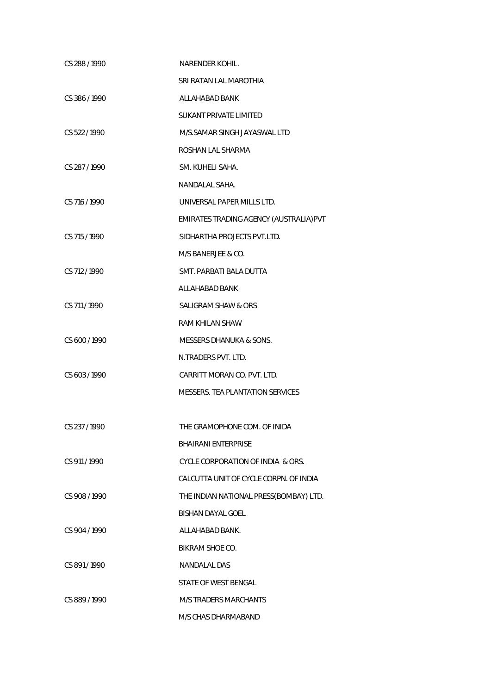| CS 288/1990   | <b>NARENDER KOHIL.</b>                  |
|---------------|-----------------------------------------|
|               | SRI RATAN LAL MAROTHIA                  |
| CS 386/1990   | ALLAHABAD BANK                          |
|               | <b>SUKANT PRIVATE LIMITED</b>           |
| CS 522/1990   | M/S.SAMAR SINGH JAYASWAL LTD            |
|               | ROSHAN LAL SHARMA                       |
| CS 287/1990   | SM. KUHELI SAHA.                        |
|               | NANDALAL SAHA.                          |
| CS 716 / 1990 | UNIVERSAL PAPER MILLS LTD.              |
|               | EMIRATES TRADING AGENCY (AUSTRALIA) PVT |
| CS 715 / 1990 | SIDHARTHA PROJECTS PVT.LTD.             |
|               | M/S BANERJEE & CO.                      |
| CS 712/1990   | SMT. PARBATI BALA DUTTA                 |
|               | ALLAHABAD BANK                          |
| CS 711 / 1990 | <b>SALIGRAM SHAW &amp; ORS</b>          |
|               | <b>RAM KHILAN SHAW</b>                  |
| CS 600 / 1990 | MESSERS DHANUKA & SONS.                 |
|               | N.TRADERS PVT. LTD.                     |
| CS 603 / 1990 | CARRITT MORAN CO. PVT. LTD.             |
|               | MESSERS. TEA PLANTATION SERVICES        |
|               |                                         |
| CS 237 / 1990 | THE GRAMOPHONE COM. OF INIDA            |
|               | <b>BHAIRANI ENTERPRISE</b>              |
| CS 911/1990   | CYCLE CORPORATION OF INDIA & ORS.       |
|               | CALCUTTA UNIT OF CYCLE CORPN. OF INDIA  |
| CS 908/1990   | THE INDIAN NATIONAL PRESS(BOMBAY) LTD.  |
|               | <b>BISHAN DAYAL GOEL</b>                |
| CS 904 / 1990 | ALLAHABAD BANK.                         |
|               | BIKRAM SHOE CO.                         |
| CS 891/1990   | <b>NANDALAL DAS</b>                     |
|               | STATE OF WEST BENGAL                    |
| CS 889/1990   | <b>M/S TRADERS MARCHANTS</b>            |
|               | M/S CHAS DHARMABAND                     |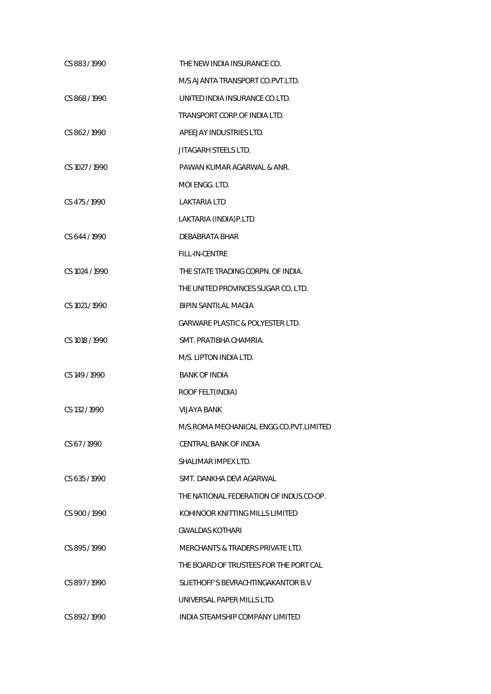| CS 883/1990    | THE NEW INDIA INSURANCE CO.                 |
|----------------|---------------------------------------------|
|                | M/S AJANTA TRANSPORT CO.PVT.LTD.            |
| CS 868/1990    | UNITED INDIA INSURANCE CO.LTD.              |
|                | TRANSPORT CORP. OF INDIA LTD.               |
| CS 862/1990    | APEEJAY INDUSTRIES LTD.                     |
|                | JITAGARH STEELS LTD.                        |
| CS 1027 / 1990 | PAWAN KUMAR AGARWAL & ANR.                  |
|                | MOI ENGG. LTD.                              |
| CS 475 / 1990  | LAKTARIA LTD                                |
|                | LAKTARIA (INDIA)P.LTD                       |
| CS 644 / 1990  | DEBABRATA BHAR                              |
|                | FILL-IN-CENTRE                              |
| CS 1024 / 1990 | THE STATE TRADING CORPN. OF INDIA.          |
|                | THE UNITED PROVINCES SUGAR CO. LTD.         |
| CS 1021 / 1990 | <b>BIPIN SANTILAL MAGIA</b>                 |
|                | <b>GARWARE PLASTIC &amp; POLYESTER LTD.</b> |
| CS 1018 / 1990 | SMT. PRATIBHA CHAMRIA.                      |
|                | M/S. LIPTON INDIA LTD.                      |
| CS 149 / 1990  | <b>BANK OF INDIA</b>                        |
|                | ROOF FELT(INDIA)                            |
| CS 132/1990    | <b>VIJAYA BANK</b>                          |
|                | M/S.ROMA MECHANICAL ENGG.CO.PVT.LIMITED     |
| CS 67/1990     | CENTRAL BANK OF INDIA                       |
|                | SHAI IMAR IMPEX LTD.                        |
| CS 635/1990    | SMT. DANKHA DEVI AGARWAL                    |
|                | THE NATIONAL FEDERATION OF INDUS.CO-OP.     |
| CS 900/1990    | KOHINOOR KNITTING MILLS LIMITED             |
|                | <b>GWALDAS KOTHARI</b>                      |
| CS 895/1990    | MERCHANTS & TRADERS PRIVATE LTD.            |
|                | THE BOARD OF TRUSTEES FOR THE PORT CAL      |
| CS 897/1990    | SLIETHOFF'S BEVRACHTINGAKANTOR B.V          |
|                | UNIVERSAL PAPER MILLS LTD.                  |
| CS 892/1990    | INDIA STEAMSHIP COMPANY LIMITED             |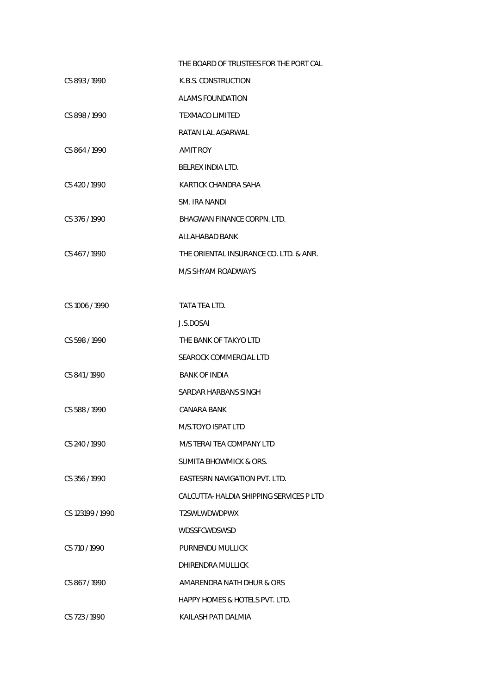|                  | THE BOARD OF TRUSTEES FOR THE PORT CAL  |
|------------------|-----------------------------------------|
| CS 893/1990      | K.B.S. CONSTRUCTION                     |
|                  | <b>ALAMS FOUNDATION</b>                 |
| CS 898/1990      | <b>TEXMACO LIMITED</b>                  |
|                  | RATAN LAL AGARWAL                       |
| CS 864 / 1990    | <b>AMIT ROY</b>                         |
|                  | BELREX INDIA LTD.                       |
| CS 420 / 1990    | KARTICK CHANDRA SAHA                    |
|                  | SM. IRA NANDI                           |
| CS 376 / 1990    | BHAGWAN FINANCE CORPN. LTD.             |
|                  | ALLAHABAD BANK                          |
| CS 467/1990      | THE ORIENTAL INSURANCE CO. LTD. & ANR.  |
|                  | M/S SHYAM ROADWAYS                      |
|                  |                                         |
| CS 1006 / 1990   | TATA TEA LTD.                           |
|                  | J.S.DOSAI                               |
| CS 598 / 1990    | THE BANK OF TAKYO LTD                   |
|                  | SEAROCK COMMERCIAL LTD                  |
| CS 841/1990      | <b>BANK OF INDIA</b>                    |
|                  | SARDAR HARBANS SINGH                    |
| CS 588 / 1990    | CANARA BANK                             |
|                  | M/S.TOYO ISPAT LTD                      |
| CS 240 / 1990    | M/S TERAI TEA COMPANY LTD               |
|                  | <b>SUMITA BHOWMICK &amp; ORS.</b>       |
| CS 356/1990      | EASTESRN NAVIGATION PVT. LTD.           |
|                  | CALCUTTA-HALDIA SHIPPING SERVICES P LTD |
| CS 123199 / 1990 | T2SWLWDWDPWX                            |
|                  | WDSSFCWDSWSD                            |
| CS 710 / 1990    | PURNENDU MULLICK                        |
|                  | DHIRENDRA MULLICK                       |
| CS 867/1990      | AMARENDRA NATH DHUR & ORS               |
|                  | HAPPY HOMES & HOTELS PVT. LTD.          |
| CS 723 / 1990    | KAILASH PATI DALMIA                     |
|                  |                                         |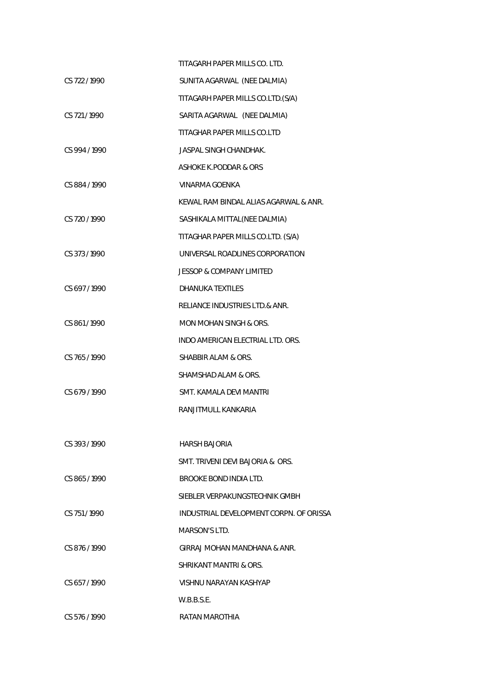|               | TITAGARH PAPER MILLS CO. LTD.           |
|---------------|-----------------------------------------|
| CS 722/1990   | SUNITA AGARWAL (NEE DALMIA)             |
|               | TITAGARH PAPER MILLS CO.LTD.(S/A)       |
| CS 721/1990   | SARITA AGARWAL (NEE DALMIA)             |
|               | TITAGHAR PAPER MILLS CO.LTD             |
| CS 994 / 1990 | JASPAL SINGH CHANDHAK.                  |
|               | ASHOKE K.PODDAR & ORS                   |
| CS 884/1990   | VINARMA GOENKA                          |
|               | KEWAL RAM BINDAL ALIAS AGARWAL & ANR.   |
| CS 720 / 1990 | SASHIKALA MITTAL(NEE DALMIA)            |
|               | TITAGHAR PAPER MILLS CO.LTD. (S/A)      |
| CS 373/1990   | UNIVERSAL ROADLINES CORPORATION         |
|               | <b>JESSOP &amp; COMPANY LIMITED</b>     |
| CS 697/1990   | <b>DHANUKA TEXTILES</b>                 |
|               | RELIANCE INDUSTRIES LTD.& ANR.          |
| CS 861/1990   | MON MOHAN SINGH & ORS.                  |
|               | INDO AMERICAN ELECTRIAL LTD. ORS.       |
| CS 765/1990   | SHABBIR ALAM & ORS.                     |
|               | SHAMSHAD ALAM & ORS.                    |
| CS 679/1990   | SMT. KAMALA DEVI MANTRI                 |
|               | RANJITMULL KANKARIA                     |
|               |                                         |
| CS 393/1990   | HARSH BAJORIA                           |
|               | SMT. TRIVENI DEVI BAJORIA & ORS.        |
| CS 865/1990   | BROOKE BOND INDIA LTD.                  |
|               | SIEBLER VERPAKUNGSTECHNIK GMBH          |
| CS 751/1990   | INDUSTRIAL DEVELOPMENT CORPN. OF ORISSA |
|               | MARSON'S LTD.                           |
| CS 876/1990   | GIRRAJ MOHAN MANDHANA & ANR.            |
|               | SHRIKANT MANTRI & ORS.                  |
| CS 657/1990   | VISHNU NARAYAN KASHYAP                  |
|               | W.B.B.S.E.                              |
| CS 576/1990   | RATAN MAROTHIA                          |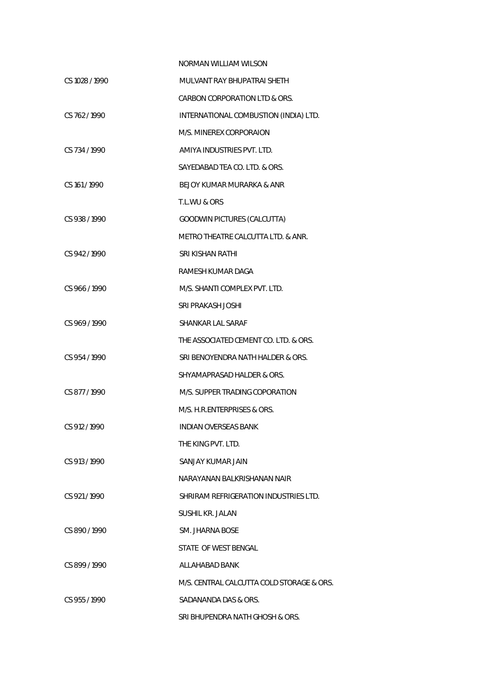|                | <b>NORMAN WILLIAM WILSON</b>              |
|----------------|-------------------------------------------|
| CS 1028 / 1990 | MULVANT RAY BHUPATRAI SHETH               |
|                | CARBON CORPORATION LTD & ORS.             |
| CS 762/1990    | INTERNATIONAL COMBUSTION (INDIA) LTD.     |
|                | M/S. MINEREX CORPORAION                   |
| CS 734/1990    | AMIYA INDUSTRIES PVT. LTD.                |
|                | SAYEDABAD TEA CO. LTD. & ORS.             |
| CS 161/1990    | BEJOY KUMAR MURARKA & ANR                 |
|                | T.L.WU & ORS                              |
| CS 938/1990    | GOODWIN PICTURES (CALCUTTA)               |
|                | METRO THEATRE CALCUTTA LTD. & ANR.        |
| CS 942/1990    | SRI KISHAN RATHI                          |
|                | RAMESH KUMAR DAGA                         |
| CS 966/1990    | M/S. SHANTI COMPLEX PVT. LTD.             |
|                | SRI PRAKASH JOSHI                         |
| CS 969/1990    | SHANKAR LAL SARAF                         |
|                | THE ASSOCIATED CEMENT CO. LTD. & ORS.     |
| CS 954 / 1990  | SRI BENOYENDRA NATH HALDER & ORS.         |
|                | SHYAMAPRASAD HALDER & ORS.                |
| CS 877/1990    | M/S. SUPPER TRADING COPORATION            |
|                | M/S. H.R.ENTERPRISES & ORS.               |
| CS 912 / 1990  | INDIAN OVERSEAS BANK                      |
|                | THE KING PVT. LTD.                        |
| CS 913/1990    | SANJAY KUMAR JAIN                         |
|                | NARAYANAN BALKRISHANAN NAIR               |
| CS 921/1990    | SHRIRAM REFRIGERATION INDUSTRIES LTD.     |
|                | <b>SUSHIL KR. JALAN</b>                   |
| CS 890/1990    | SM. JHARNA BOSE                           |
|                | STATE OF WEST BENGAL                      |
| CS 899/1990    | ALLAHABAD BANK                            |
|                | M/S. CENTRAL CALCUTTA COLD STORAGE & ORS. |
| CS 955/1990    | SADANANDA DAS & ORS.                      |
|                | SRI BHUPENDRA NATH GHOSH & ORS.           |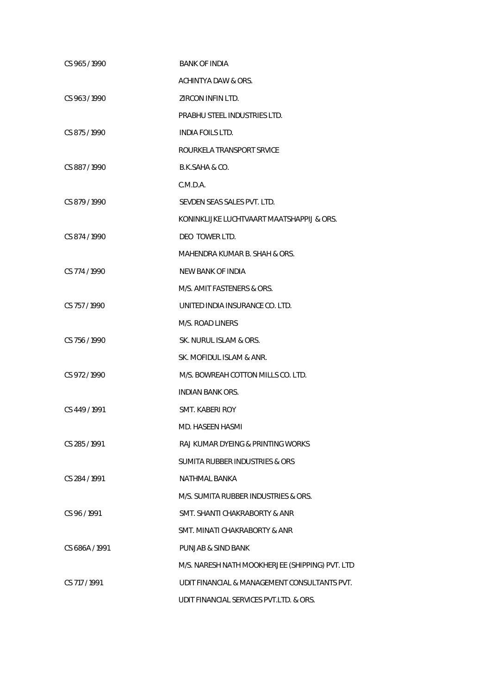| CS 965/1990    | <b>BANK OF INDIA</b>                            |
|----------------|-------------------------------------------------|
|                | ACHINTYA DAW & ORS.                             |
| CS 963/1990    | ZIRCON INFINITD.                                |
|                | PRABHU STEEL INDUSTRIES LTD.                    |
| CS 875/1990    | INDIA FOILS LTD.                                |
|                | ROURKELA TRANSPORT SRVICE                       |
| CS 887/1990    | B.K.SAHA & CO.                                  |
|                | C.M.D.A.                                        |
| CS 879/1990    | SEVDEN SEAS SALES PVT. LTD.                     |
|                | KONINKLIJKE LUCHTVAART MAATSHAPPIJ & ORS.       |
| CS 874 / 1990  | DEO TOWER LTD.                                  |
|                | MAHENDRA KUMAR B. SHAH & ORS.                   |
| CS 774/1990    | NEW BANK OF INDIA                               |
|                | M/S. AMIT FASTENERS & ORS.                      |
| CS 757/1990    | UNITED INDIA INSURANCE CO. LTD.                 |
|                | M/S. ROAD LINERS                                |
| CS 756 / 1990  | SK. NURUL ISLAM & ORS.                          |
|                | SK. MOFIDUL ISLAM & ANR.                        |
| CS 972/1990    | M/S. BOWREAH COTTON MILLS CO. LTD.              |
|                | INDIAN BANK ORS.                                |
| CS 449/1991    | SMT. KABERI ROY                                 |
|                | MD. HASEEN HASMI                                |
| CS 285/1991    | RAJ KUMAR DYEING & PRINTING WORKS               |
|                | SUMITA RUBBER INDUSTRIES & ORS                  |
| CS 284 / 1991  | <b>NATHMAL BANKA</b>                            |
|                | M/S. SUMITA RUBBER INDUSTRIES & ORS.            |
| CS 96/1991     | SMT. SHANTI CHAKRABORTY & ANR                   |
|                | SMT. MINATI CHAKRABORTY & ANR                   |
| CS 686A / 1991 | PUNJAB & SIND BANK                              |
|                | M/S. NARESH NATH MOOKHERJEE (SHIPPING) PVT. LTD |
| CS 717 / 1991  | UDIT FINANCIAL & MANAGEMENT CONSULTANTS PVT.    |
|                | UDIT FINANCIAL SERVICES PVT.LTD. & ORS.         |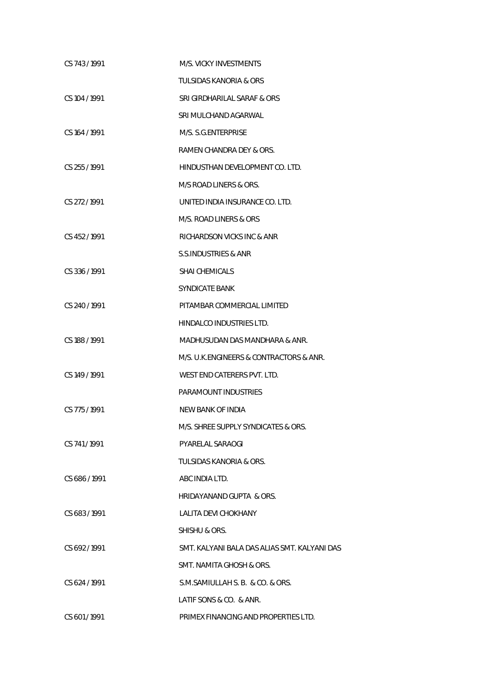| CS 743/1991     | M/S. VICKY INVESTMENTS                       |
|-----------------|----------------------------------------------|
|                 | <b>TULSIDAS KANORIA &amp; ORS</b>            |
| CS 104 / 1991   | SRI GIRDHARILAL SARAF & ORS                  |
|                 | SRI MULCHAND AGARWAL                         |
| CS 164/1991     | M/S. S.G.ENTERPRISE                          |
|                 | RAMEN CHANDRA DEY & ORS.                     |
| $CS$ 255 / 1991 | HINDUSTHAN DEVELOPMENT CO. LTD.              |
|                 | M/S ROAD LINERS & ORS.                       |
| CS 272/1991     | UNITED INDIA INSURANCE CO. LTD.              |
|                 | M/S. ROAD LINERS & ORS                       |
| CS 452/1991     | RICHARDSON VICKS INC & ANR                   |
|                 | S.S.INDUSTRIES & ANR                         |
| CS 336/1991     | <b>SHAI CHEMICALS</b>                        |
|                 | SYNDICATE BANK                               |
| CS 240/1991     | PITAMBAR COMMERCIAL LIMITED                  |
|                 | HINDALCO INDUSTRIES LTD.                     |
| CS 188/1991     | MADHUSUDAN DAS MANDHARA & ANR.               |
|                 | M/S. U.K.ENGINEERS & CONTRACTORS & ANR.      |
| CS 149 / 1991   | WEST END CATERERS PVT. LTD.                  |
|                 | PARAMOUNT INDUSTRIES                         |
| CS 775/1991     | NEW BANK OF INDIA                            |
|                 | M/S. SHREE SUPPLY SYNDICATES & ORS.          |
| CS 741/1991     | <b>PYARELAL SARAOGI</b>                      |
|                 | TULSIDAS KANORIA & ORS.                      |
| CS 686/1991     | ABC INDIA LTD.                               |
|                 | HRIDAYANAND GUPTA & ORS.                     |
| CS 683/1991     | LALITA DEVI CHOKHANY                         |
|                 | SHISHU & ORS.                                |
| CS 692/1991     | SMT. KALYANI BALA DAS ALIAS SMT. KALYANI DAS |
|                 | SMT. NAMITA GHOSH & ORS.                     |
| CS 624/1991     | S.M.SAMIULLAH S. B. & CO. & ORS.             |
|                 | LATIF SONS & CO. & ANR.                      |
| CS 601/1991     | PRIMEX FINANCING AND PROPERTIES LTD.         |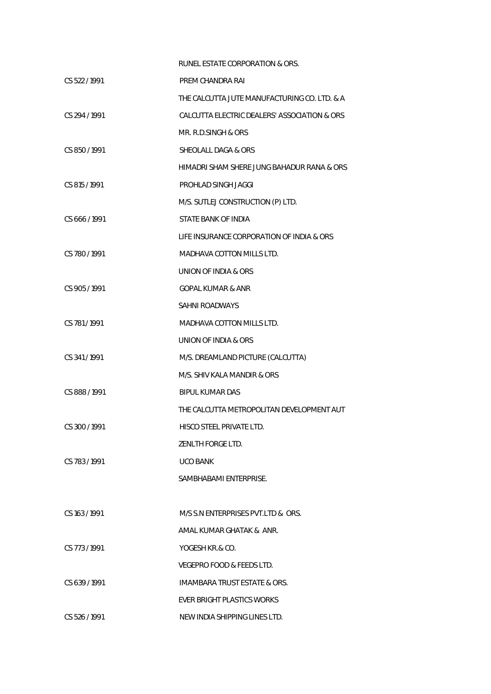|               | RUNEL ESTATE CORPORATION & ORS.              |
|---------------|----------------------------------------------|
| CS 522/1991   | PREM CHANDRA RAI                             |
|               | THE CALCUTTA JUTE MANUFACTURING CO. LTD. & A |
| CS 294/1991   | CALCUTTA ELECTRIC DEALERS' ASSOCIATION & ORS |
|               | MR. R.D.SINGH & ORS                          |
| CS 850 / 1991 | SHEOLALL DAGA & ORS                          |
|               | HIMADRI SHAM SHERE JUNG BAHADUR RANA & ORS   |
| CS 815 / 1991 | PROHLAD SINGH JAGGI                          |
|               | M/S. SUTLEJ CONSTRUCTION (P) LTD.            |
| CS 666 / 1991 | STATE BANK OF INDIA                          |
|               | LIFE INSURANCE CORPORATION OF INDIA & ORS    |
| CS 780/1991   | <b>MADHAVA COTTON MILLS LTD.</b>             |
|               | UNION OF INDIA & ORS                         |
| CS 905 / 1991 | <b>GOPAL KUMAR &amp; ANR</b>                 |
|               | SAHNI ROADWAYS                               |
| CS 781/1991   | MADHAVA COTTON MILLS LTD.                    |
|               | UNION OF INDIA & ORS                         |
| CS 341/1991   | M/S. DREAMLAND PICTURE (CALCUTTA)            |
|               | M/S. SHIV KALA MANDIR & ORS                  |
| CS 888 / 1991 | <b>BIPUL KUMAR DAS</b>                       |
|               | THE CALCUTTA METROPOLITAN DEVELOPMENT AUT    |
| CS 300 / 1991 | HISCO STEEL PRIVATE LTD.                     |
|               | ZENLTH FORGE LTD.                            |
| CS 783/1991   | <b>UCO BANK</b>                              |
|               | SAMBHABAMI ENTERPRISE.                       |
|               |                                              |
| CS 163 / 1991 | M/S S.N ENTERPRISES PVT.LTD & ORS.           |
|               | AMAL KUMAR GHATAK & ANR.                     |
| CS 773/1991   | YOGESH KR.& CO.                              |
|               | VEGEPRO FOOD & FEEDS LTD.                    |
| CS 639 / 1991 | <b>IMAMBARA TRUST ESTATE &amp; ORS.</b>      |
|               | <b>EVER BRIGHT PLASTICS WORKS</b>            |
| CS 526 / 1991 | NEW INDIA SHIPPING LINES LTD.                |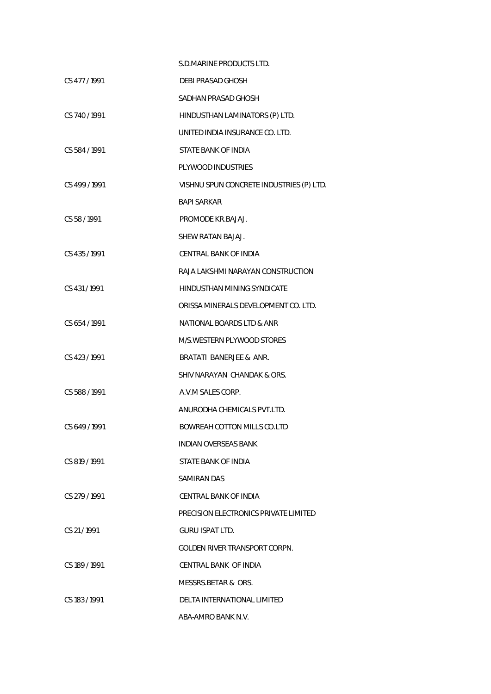|               | S.D.MARINE PRODUCTS LTD.                 |
|---------------|------------------------------------------|
| CS 477/1991   | DEBI PRASAD GHOSH                        |
|               | SADHAN PRASAD GHOSH                      |
| CS 740/1991   | HINDUSTHAN LAMINATORS (P) LTD.           |
|               | UNITED INDIA INSURANCE CO. LTD.          |
| CS 584/1991   | STATE BANK OF INDIA                      |
|               | PLYWOOD INDUSTRIES                       |
| CS 499 / 1991 | VISHNU SPUN CONCRETE INDUSTRIES (P) LTD. |
|               | <b>BAPI SARKAR</b>                       |
| CS 58 / 1991  | PROMODE KR.BAJAJ.                        |
|               | SHEW RATAN BAJAJ.                        |
| CS 435 / 1991 | CENTRAL BANK OF INDIA                    |
|               | RAJA LAKSHMI NARAYAN CONSTRUCTION        |
| CS 431 / 1991 | HINDUSTHAN MINING SYNDICATE              |
|               | ORISSA MINERALS DEVELOPMENT CO. LTD.     |
| CS 654 / 1991 | NATIONAL BOARDS LTD & ANR                |
|               | M/S. WESTERN PLYWOOD STORES              |
| CS 423/1991   | BRATATI BANERJEE & ANR.                  |
|               | SHIV NARAYAN CHANDAK & ORS.              |
| CS 588 / 1991 | A.V.M SALES CORP.                        |
|               | ANURODHA CHEMICALS PVT.LTD.              |
| CS 649 / 1991 | BOWREAH COTTON MILLS CO.LTD              |
|               | INDIAN OVERSEAS BANK                     |
| CS 819/1991   | STATE BANK OF INDIA                      |
|               | SAMIRAN DAS                              |
| CS 279 / 1991 | CENTRAL BANK OF INDIA                    |
|               | PRECISION ELECTRONICS PRIVATE LIMITED    |
| CS 21/1991    | <b>GURU ISPAT LTD.</b>                   |
|               | GOLDEN RIVER TRANSPORT CORPN.            |
| CS 189/1991   | CENTRAL BANK OF INDIA                    |
|               | MESSRS.BETAR & ORS.                      |
| CS 183/1991   | DELTA INTERNATIONAL LIMITED              |
|               | ABA-AMRO BANK N.V.                       |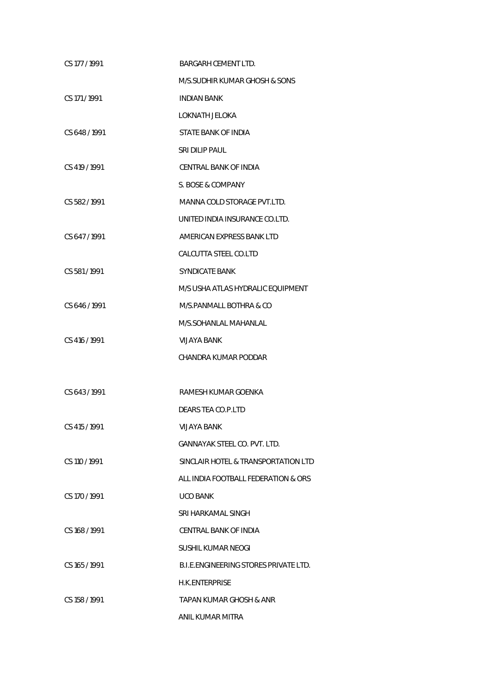| CS 177 / 1991 | BARGARH CEMENT LTD.                   |
|---------------|---------------------------------------|
|               | M/S.SUDHIR KUMAR GHOSH & SONS         |
| CS 171 / 1991 | <b>INDIAN BANK</b>                    |
|               | LOKNATH JELOKA                        |
| CS 648 / 1991 | STATE BANK OF INDIA                   |
|               | SRI DILIP PAUL                        |
| CS 419 / 1991 | CENTRAL BANK OF INDIA                 |
|               | S. BOSE & COMPANY                     |
| CS 582 / 1991 | MANNA COLD STORAGE PVT.LTD.           |
|               | UNITED INDIA INSURANCE CO.LTD.        |
| CS 647/1991   | AMERICAN EXPRESS BANK LTD             |
|               | CALCUTTA STEEL CO.LTD                 |
| CS 581/1991   | <b>SYNDICATE BANK</b>                 |
|               | M/S USHA ATLAS HYDRALIC EQUIPMENT     |
| CS 646/1991   | M/S.PANMALL BOTHRA & CO               |
|               | M/S.SOHANLAL MAHANLAL                 |
| CS 416 / 1991 | VIJAYA BANK                           |
|               | CHANDRA KUMAR PODDAR                  |
|               |                                       |
| CS 643 / 1991 | RAMESH KUMAR GOENKA                   |
|               | DEARS TEA CO.P.LTD                    |
| CS 415 / 1991 | <b>VIJAYA BANK</b>                    |
|               | <b>GANNAYAK STEEL CO. PVT. LTD.</b>   |
| CS 110 / 1991 | SINCLAIR HOTEL & TRANSPORTATION LTD   |
|               | ALL INDIA FOOTBALL FEDERATION & ORS   |
| CS 170 / 1991 | <b>UCO BANK</b>                       |
|               | SRI HARKAMAL SINGH                    |
| CS 168/1991   | CENTRAL BANK OF INDIA                 |
|               | SUSHIL KUMAR NEOGI                    |
| CS 165/1991   | B.I.E.ENGINEERING STORES PRIVATE LTD. |
|               | <b>H.K.ENTERPRISE</b>                 |
| CS 158 / 1991 | TAPAN KUMAR GHOSH & ANR               |
|               | ANIL KUMAR MITRA                      |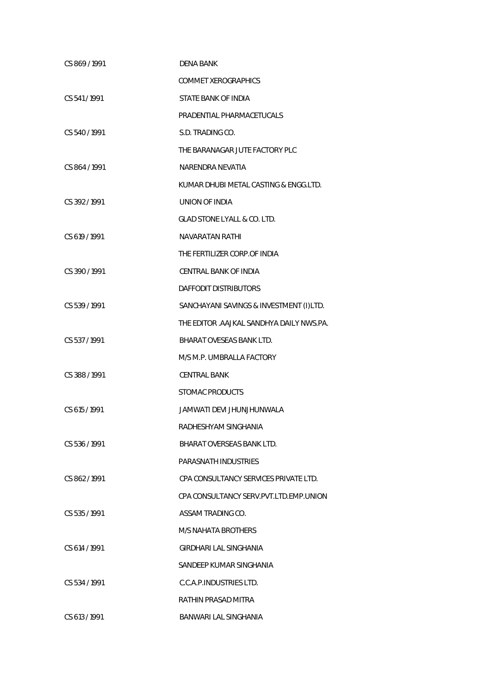| CS 869/1991   | DENA BANK                                |
|---------------|------------------------------------------|
|               | COMMET XEROGRAPHICS                      |
| CS 541/1991   | STATE BANK OF INDIA                      |
|               | PRADENTIAL PHARMACETUCALS                |
| CS 540/1991   | S.D. TRADING CO.                         |
|               | THE BARANAGAR JUTE FACTORY PLC           |
| CS 864 / 1991 | NARFNDRA NFVATIA                         |
|               | KUMAR DHUBI METAL CASTING & ENGG.LTD.    |
| CS 392/1991   | UNION OF INDIA                           |
|               | <b>GLAD STONE LYALL &amp; CO. LTD.</b>   |
| CS 619 / 1991 | <b>NAVARATAN RATHI</b>                   |
|               | THE FERTILIZER CORP.OF INDIA             |
| CS 390/1991   | CENTRAL BANK OF INDIA                    |
|               | DAFFODIT DISTRIBUTORS                    |
| CS 539/1991   | SANCHAYANI SAVINGS & INVESTMENT (I)LTD.  |
|               | THE EDITOR .AAJKAL SANDHYA DAILY NWS.PA. |
| CS 537/1991   | BHARAT OVESEAS BANK LTD.                 |
|               | M/S M.P. UMBRALLA FACTORY                |
| CS 388 / 1991 | <b>CENTRAL BANK</b>                      |
|               | STOMAC PRODUCTS                          |
| CS 615 / 1991 | JAMWATI DEVI JHUNJHUNWALA                |
|               | RADHESHYAM SINGHANIA                     |
| CS 536/1991   | BHARAT OVERSEAS BANK LTD.                |
|               | PARASNATH INDUSTRIES                     |
| CS 862/1991   | CPA CONSULTANCY SERVICES PRIVATE LTD.    |
|               | CPA CONSULTANCY SERV.PVT.LTD.EMP.UNION   |
| CS 535/1991   | ASSAM TRADING CO.                        |
|               | M/S NAHATA BROTHERS                      |
| CS 614 / 1991 | GIRDHARI LAL SINGHANIA                   |
|               | SANDEEP KUMAR SINGHANIA                  |
| CS 534/1991   | C.C.A.P. INDUSTRIES LTD.                 |
|               | RATHIN PRASAD MITRA                      |
| CS 613 / 1991 | BANWARI LAL SINGHANIA                    |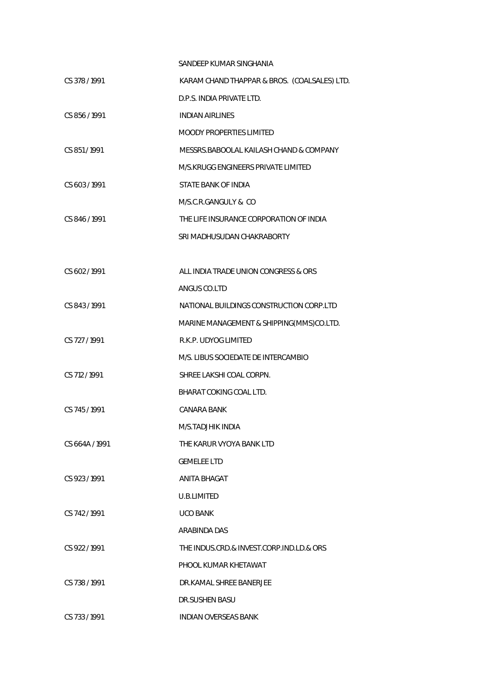|                | SANDEEP KUMAR SINGHANIA                      |
|----------------|----------------------------------------------|
| CS 378 / 1991  | KARAM CHAND THAPPAR & BROS. (COALSALES) LTD. |
|                | D.P.S. INDIA PRIVATE LTD.                    |
| CS 856 / 1991  | <b>INDIAN AIRLINES</b>                       |
|                | <b>MOODY PROPERTIES LIMITED</b>              |
| CS 851/1991    | MESSRS. BABOOLAL KAILASH CHAND & COMPANY     |
|                | M/S.KRUGG ENGINEERS PRIVATE LIMITED          |
| CS 603 / 1991  | STATE BANK OF INDIA                          |
|                | M/S.C.R.GANGULY & CO                         |
| CS 846/1991    | THE LIFE INSURANCE CORPORATION OF INDIA      |
|                | SRI MADHUSUDAN CHAKRABORTY                   |
|                |                                              |
| CS 602/1991    | ALL INDIA TRADE UNION CONGRESS & ORS         |
|                | ANGUS CO.LTD                                 |
| CS 843 / 1991  | NATIONAL BUILDINGS CONSTRUCTION CORP.LTD     |
|                | MARINE MANAGEMENT & SHIPPING(MMS)CO.LTD.     |
| CS 727/1991    | R.K.P. UDYOG LIMITED                         |
|                | M/S. LIBUS SOCIEDATE DE INTERCAMBIO          |
| CS 712/1991    | SHREE LAKSHI COAL CORPN.                     |
|                | BHARAT COKING COAL LTD.                      |
| CS 745/1991    | CANARA BANK                                  |
|                | M/S.TADJHIK INDIA                            |
| CS 664A / 1991 | THE KARUR VYOYA BANK LTD                     |
|                | <b>GEMELEE LTD</b>                           |
| CS 923/1991    | ANITA BHAGAT                                 |
|                | U.B.LIMITED                                  |
| CS 742/1991    | <b>UCO BANK</b>                              |
|                | ARABINDA DAS                                 |
| CS 922/1991    | THE INDUS.CRD.& INVEST.CORP.IND.LD.& ORS     |
|                | PHOOL KUMAR KHETAWAT                         |
| CS 738/1991    | DR.KAMAL SHREE BANERJEE                      |
|                | DR.SUSHEN BASU                               |
| CS 733/1991    | <b>INDIAN OVERSEAS BANK</b>                  |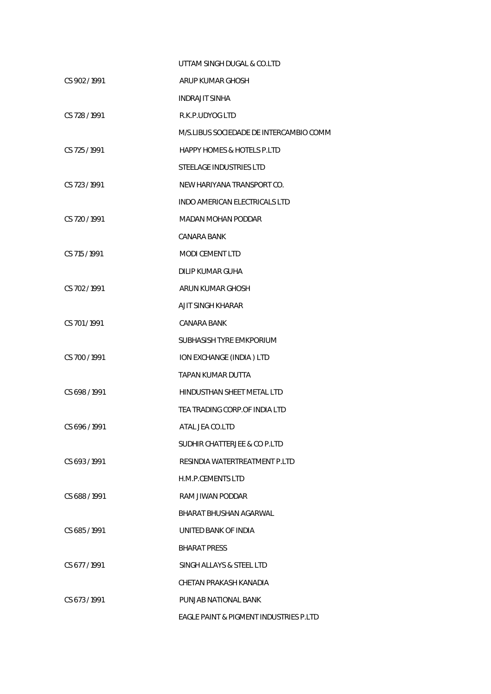|               | UTTAM SINGH DUGAL & CO.LTD              |
|---------------|-----------------------------------------|
| CS 902 / 1991 | ARUP KUMAR GHOSH                        |
|               | INDRAJIT SINHA                          |
| CS 728 / 1991 | R.K.P.UDYOG LTD                         |
|               | M/S.LIBUS SOCIEDADE DE INTERCAMBIO COMM |
| CS 725/1991   | <b>HAPPY HOMES &amp; HOTELS P.LTD</b>   |
|               | STEELAGE INDUSTRIES LTD                 |
| CS 723 / 1991 | NEW HARIYANA TRANSPORT CO.              |
|               | INDO AMERICAN ELECTRICALS LTD           |
| CS 720/1991   | MADAN MOHAN PODDAR                      |
|               | CANARA BANK                             |
| CS 715 / 1991 | <b>MODI CEMENT LTD</b>                  |
|               | <b>DILIP KUMAR GUHA</b>                 |
| CS 702/1991   | ARUN KUMAR GHOSH                        |
|               | AJIT SINGH KHARAR                       |
| CS 701/1991   | CANARA BANK                             |
|               | SUBHASISH TYRE EMKPORIUM                |
| CS 700 / 1991 | ION EXCHANGE (INDIA) LTD                |
|               | TAPAN KUMAR DUTTA                       |
| CS 698 / 1991 | HINDUSTHAN SHEET METAL LTD              |
|               | TEA TRADING CORP. OF INDIA LTD          |
| CS 696/1991   | ATAL JEA CO.LTD                         |
|               | SUDHIR CHATTERJEE & CO P.LTD            |
| CS 693/1991   | RESINDIA WATERTREATMENT P.LTD           |
|               | H.M.P.CEMENTS LTD                       |
| CS 688/1991   | RAM JIWAN PODDAR                        |
|               | BHARAT BHUSHAN AGARWAL                  |
| CS 685/1991   | UNITED BANK OF INDIA                    |
|               | <b>BHARAT PRESS</b>                     |
| CS 677/1991   | SINGH ALLAYS & STEEL LTD                |
|               | CHETAN PRAKASH KANADIA                  |
| CS 673/1991   | PUNJAB NATIONAL BANK                    |
|               | EAGLE PAINT & PIGMENT INDUSTRIES P.LTD  |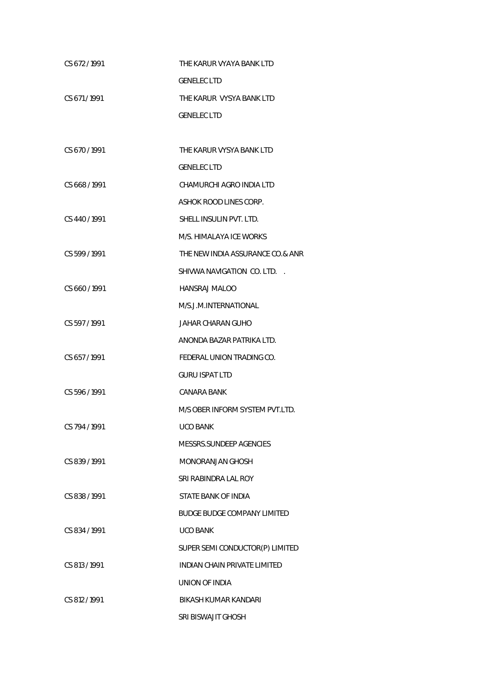| CS 672/1991   | THE KARUR VYAYA BANK LTD            |
|---------------|-------------------------------------|
|               | <b>GENELEC LTD</b>                  |
| CS 671/1991   | THE KARUR VYSYA BANK LTD            |
|               | <b>GENELEC LTD</b>                  |
|               |                                     |
| CS 670 / 1991 | THE KARUR VYSYA BANK LTD            |
|               | <b>GENELEC LTD</b>                  |
| CS 668/1991   | CHAMURCHI AGRO INDIA LTD            |
|               | ASHOK ROOD LINES CORP.              |
| CS 440/1991   | SHELL INSULIN PVT. LTD.             |
|               | M/S. HIMALAYA ICE WORKS             |
| CS 599/1991   | THE NEW INDIA ASSURANCE CO.& ANR    |
|               | SHIVWA NAVIGATION CO. LTD.          |
| CS 660/1991   | HANSRAJ MALOO                       |
|               | M/S.J.M.INTERNATIONAL               |
| CS 597/1991   | JAHAR CHARAN GUHO                   |
|               | ANONDA BAZAR PATRIKA LTD.           |
| CS 657/1991   | FEDERAL UNION TRADING CO.           |
|               | <b>GURU ISPAT LTD</b>               |
| CS 596 / 1991 | CANARA BANK                         |
|               | M/S OBER INFORM SYSTEM PVT.LTD.     |
| CS 794 / 1991 | UCO BANK                            |
|               | MESSRS.SUNDEEP AGENCIES             |
| CS 839 / 1991 | MONORANJAN GHOSH                    |
|               | SRI RABINDRA LAL ROY                |
| CS 838/1991   | STATE BANK OF INDIA                 |
|               | <b>BUDGE BUDGE COMPANY LIMITED</b>  |
| CS 834/1991   | <b>UCO BANK</b>                     |
|               | SUPER SEMI CONDUCTOR(P) LIMITED     |
| CS 813/1991   | <b>INDIAN CHAIN PRIVATE LIMITED</b> |
|               | UNION OF INDIA                      |
| CS 812 / 1991 | BIKASH KUMAR KANDARI                |
|               | SRI BISWAJIT GHOSH                  |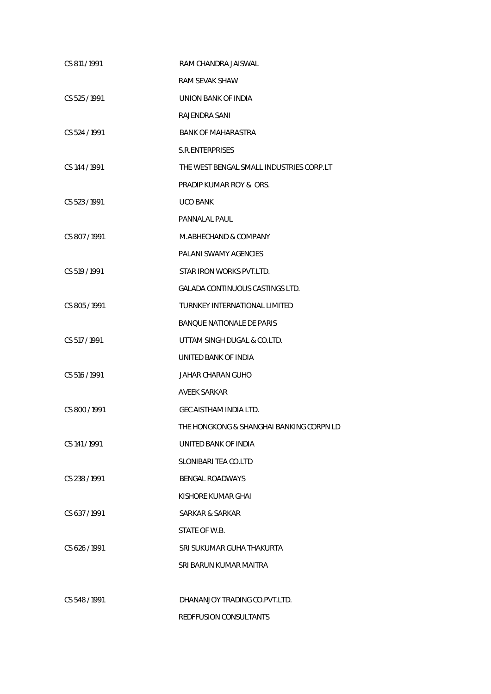| CS 811 / 1991 | RAM CHANDRA JAISWAL                      |
|---------------|------------------------------------------|
|               | RAM SEVAK SHAW                           |
| CS 525/1991   | UNION BANK OF INDIA                      |
|               | RAJENDRA SANI                            |
| CS 524 / 1991 | <b>BANK OF MAHARASTRA</b>                |
|               | <b>S.R.ENTERPRISES</b>                   |
| CS 144 / 1991 | THE WEST BENGAL SMALL INDUSTRIES CORP.LT |
|               | PRADIP KUMAR ROY & ORS.                  |
| CS 523 / 1991 | <b>UCO BANK</b>                          |
|               | PANNALAL PAUL                            |
| CS 807/1991   | M.ABHECHAND & COMPANY                    |
|               | PALANI SWAMY AGENCIES                    |
| CS 519 / 1991 | STAR IRON WORKS PVT.LTD.                 |
|               | <b>GALADA CONTINUOUS CASTINGS LTD.</b>   |
| CS 805/1991   | <b>TURNKEY INTERNATIONAL LIMITED</b>     |
|               | <b>BANQUE NATIONALE DE PARIS</b>         |
| CS 517 / 1991 | UTTAM SINGH DUGAL & CO.LTD.              |
|               | UNITED BANK OF INDIA                     |
| CS 516 / 1991 | JAHAR CHARAN GUHO                        |
|               | <b>AVEEK SARKAR</b>                      |
| CS 800 / 1991 | GEC AISTHAM INDIA LTD.                   |
|               | THE HONGKONG & SHANGHAI BANKING CORPN LD |
| CS 141/1991   | UNITED BANK OF INDIA                     |
|               | SLONIBARI TEA CO.LTD                     |
| CS 238/1991   | <b>BENGAL ROADWAYS</b>                   |
|               | KISHORE KUMAR GHAI                       |
| CS 637/1991   | SARKAR & SARKAR                          |
|               | STATE OF W.B.                            |
| CS 626/1991   | SRI SUKUMAR GUHA THAKURTA                |
|               | SRI BARUN KUMAR MAITRA                   |
|               |                                          |
| CS 548/1991   | DHANANJOY TRADING CO.PVT.LTD.            |
|               | REDFFUSION CONSULTANTS                   |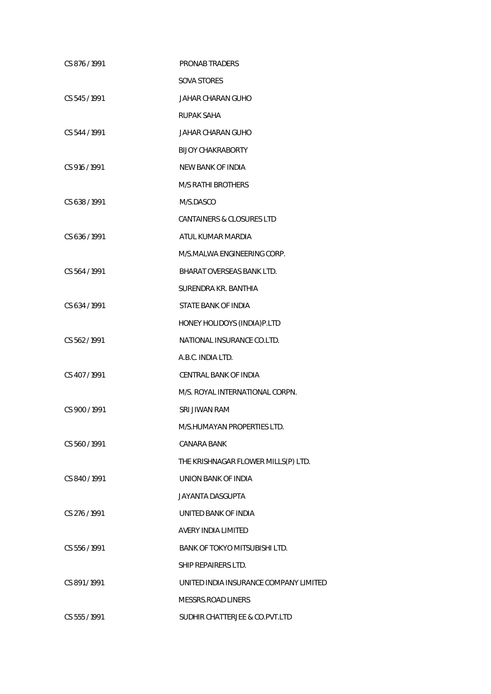| CS 876/1991   | PRONAB TRADERS                         |
|---------------|----------------------------------------|
|               | <b>SOVA STORES</b>                     |
| CS 545 / 1991 | JAHAR CHARAN GUHO                      |
|               | RUPAK SAHA                             |
| CS 544/1991   | JAHAR CHARAN GUHO                      |
|               | <b>BIJOY CHAKRABORTY</b>               |
| CS 916 / 1991 | <b>NEW BANK OF INDIA</b>               |
|               | M/S RATHI BROTHERS                     |
| CS 638 / 1991 | M/S.DASCO                              |
|               | CANTAINERS & CLOSURES LTD              |
| CS 636/1991   | ATUL KUMAR MARDIA                      |
|               | M/S.MALWA ENGINEERING CORP.            |
| CS 564 / 1991 | <b>BHARAT OVERSEAS BANK LTD.</b>       |
|               | SURENDRA KR. BANTHIA                   |
| CS 634 / 1991 | STATE BANK OF INDIA                    |
|               | HONEY HOLIDOYS (INDIA) P.LTD           |
| CS 562 / 1991 | NATIONAL INSURANCE CO.LTD.             |
|               | A.B.C. INDIA LTD.                      |
| CS 407/1991   | CENTRAL BANK OF INDIA                  |
|               | M/S. ROYAL INTERNATIONAL CORPN.        |
| CS 900 / 1991 | SRI JIWAN RAM                          |
|               | M/S.HUMAYAN PROPERTIES LTD.            |
| CS 560 / 1991 | CANARA BANK                            |
|               | THE KRISHNAGAR FLOWER MILLS(P) LTD.    |
| CS 840/1991   | UNION BANK OF INDIA                    |
|               | <b>JAYANTA DASGUPTA</b>                |
| CS 276 / 1991 | UNITED BANK OF INDIA                   |
|               | <b>AVERY INDIA LIMITED</b>             |
| CS 556/1991   | <b>BANK OF TOKYO MITSUBISHI LTD.</b>   |
|               | SHIP REPAIRERS LTD.                    |
| CS 891/1991   | UNITED INDIA INSURANCE COMPANY LIMITED |
|               | <b>MESSRS.ROAD LINERS</b>              |
| CS 555 / 1991 | SUDHIR CHATTERJEE & CO.PVT.LTD         |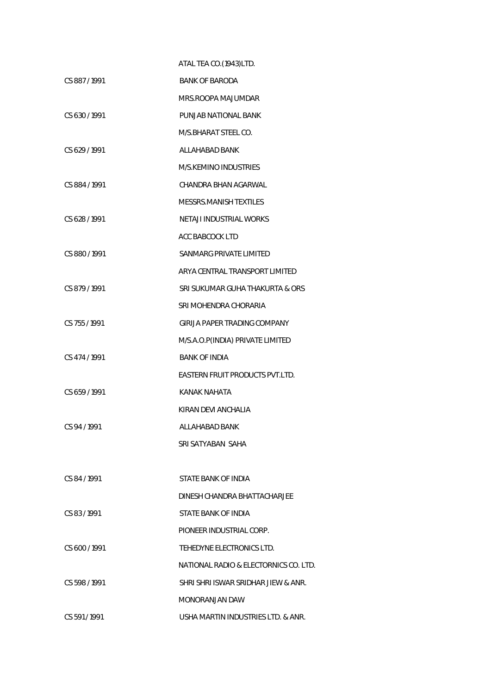|               | ATAL TEA CO.(1943)LTD.                |
|---------------|---------------------------------------|
| CS 887/1991   | <b>BANK OF BARODA</b>                 |
|               | MRS.ROOPA MAJUMDAR                    |
| CS 630/1991   | PUNJAB NATIONAL BANK                  |
|               | M/S.BHARAT STEEL CO.                  |
| CS 629/1991   | ALL AHABAD BANK                       |
|               | M/S.KEMINO INDUSTRIES                 |
| CS 884 / 1991 | CHANDRA BHAN AGARWAL                  |
|               | MESSRS.MANISH TEXTILES                |
| CS 628/1991   | NETAJI INDUSTRIAL WORKS               |
|               | ACC BABCOCK LTD                       |
| CS 880/1991   | SANMARG PRIVATE LIMITED               |
|               | ARYA CENTRAL TRANSPORT LIMITED        |
| CS 879 / 1991 | SRI SUKUMAR GUHA THAKURTA & ORS       |
|               | SRI MOHENDRA CHORARIA                 |
| CS 755 / 1991 | GIRIJA PAPER TRADING COMPANY          |
|               | M/S.A.O.P(INDIA) PRIVATE LIMITED      |
| CS 474 / 1991 | <b>BANK OF INDIA</b>                  |
|               | EASTERN FRUIT PRODUCTS PVT.LTD.       |
| CS 659 / 1991 | <b>KANAK NAHATA</b>                   |
|               | KIRAN DEVI ANCHALIA                   |
| CS 94 / 1991  | ALLAHABAD BANK                        |
|               | SRI SATYABAN SAHA                     |
|               |                                       |
| CS 84/1991    | STATE BANK OF INDIA                   |
|               | DINESH CHANDRA BHATTACHARJEE          |
| CS 83/1991    | STATE BANK OF INDIA                   |
|               | PIONEER INDUSTRIAL CORP.              |
| CS 600/1991   | TEHEDYNE ELECTRONICS LTD.             |
|               | NATIONAL RADIO & ELECTORNICS CO. LTD. |
| CS 598/1991   | SHRI SHRI ISWAR SRIDHAR JIEW & ANR.   |
|               | MONORANJAN DAW                        |
| CS 591/1991   | USHA MARTIN INDUSTRIES LTD. & ANR.    |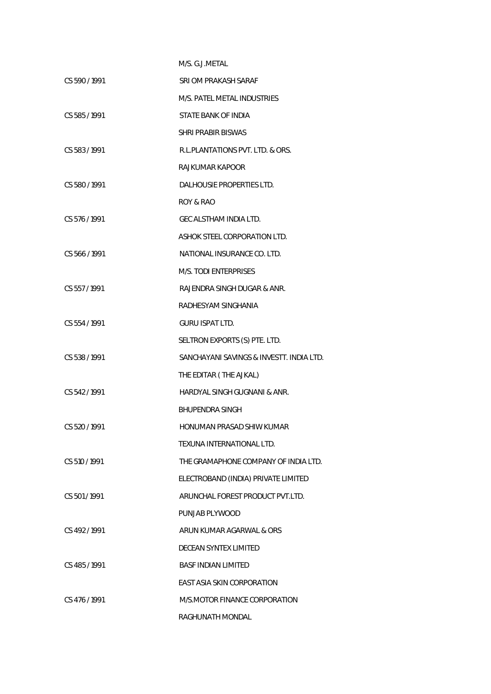|               | M/S. G.J.METAL                           |
|---------------|------------------------------------------|
| CS 590/1991   | SRI OM PRAKASH SARAF                     |
|               | M/S. PATEL METAL INDUSTRIES              |
| CS 585 / 1991 | STATE BANK OF INDIA                      |
|               | <b>SHRI PRABIR BISWAS</b>                |
| CS 583 / 1991 | R.L. PLANTATIONS PVT. LTD. & ORS.        |
|               | RAJKUMAR KAPOOR                          |
| CS 580/1991   | DALHOUSIE PROPERTIES LTD.                |
|               | ROY & RAO                                |
| CS 576/1991   | GEC ALSTHAM INDIA LTD.                   |
|               | ASHOK STEEL CORPORATION LTD.             |
| CS 566/1991   | NATIONAL INSURANCE CO. LTD.              |
|               | M/S. TODI ENTERPRISES                    |
| CS 557/1991   | RAJENDRA SINGH DUGAR & ANR.              |
|               | RADHESYAM SINGHANIA                      |
| CS 554/1991   | <b>GURU ISPAT LTD.</b>                   |
|               | SELTRON EXPORTS (S) PTE. LTD.            |
| CS 538 / 1991 | SANCHAYANI SAVINGS & INVESTT. INDIA LTD. |
|               | THE EDITAR (THE AJKAL)                   |
| CS 542/1991   | HARDYAL SINGH GUGNANI & ANR.             |
|               | BHUPENDRA SINGH                          |
| CS 520 / 1991 | <b>HONUMAN PRASAD SHIW KUMAR</b>         |
|               | TEXUNA INTERNATIONAL LTD.                |
| CS 510 / 1991 | THE GRAMAPHONE COMPANY OF INDIA LTD.     |
|               | ELECTROBAND (INDIA) PRIVATE LIMITED      |
| CS 501/1991   | ARUNCHAL FOREST PRODUCT PVT.LTD.         |
|               | PUNJAB PLYWOOD                           |
| CS 492/1991   | ARUN KUMAR AGARWAL & ORS                 |
|               | DECEAN SYNTEX LIMITED                    |
| CS 485 / 1991 | <b>BASF INDIAN LIMITED</b>               |
|               | EAST ASIA SKIN CORPORATION               |
| CS 476/1991   | M/S.MOTOR FINANCE CORPORATION            |
|               | RAGHUNATH MONDAL                         |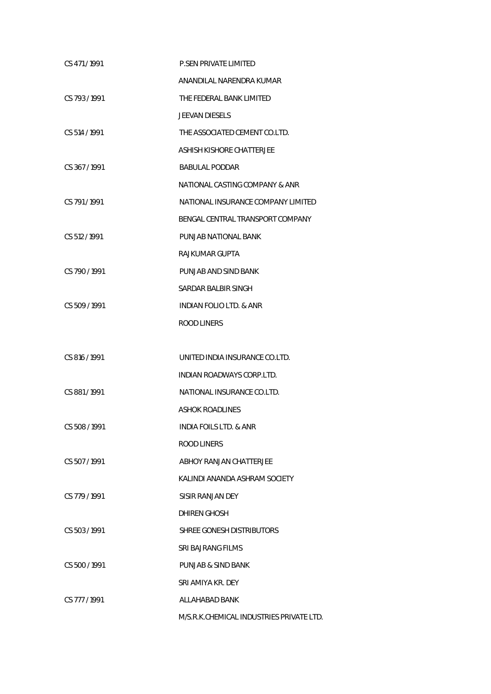| CS 471/1991   | <b>P.SEN PRIVATE LIMITED</b>             |
|---------------|------------------------------------------|
|               | ANANDILAL NARENDRA KUMAR                 |
| CS 793/1991   | THE FEDERAL BANK LIMITED                 |
|               | <b>JEEVAN DIESELS</b>                    |
| CS 514 / 1991 | THE ASSOCIATED CEMENT CO.LTD.            |
|               | ASHISH KISHORE CHATTERJEE                |
| CS 367/1991   | <b>BABULAL PODDAR</b>                    |
|               | NATIONAL CASTING COMPANY & ANR           |
| CS 791/1991   | NATIONAL INSURANCE COMPANY LIMITED       |
|               | BENGAL CENTRAL TRANSPORT COMPANY         |
| CS 512 / 1991 | PUNJAB NATIONAL BANK                     |
|               | RAJKUMAR GUPTA                           |
| CS 790 / 1991 | PUNJAB AND SIND BANK                     |
|               | SARDAR BALBIR SINGH                      |
| CS 509/1991   | <b>INDIAN FOLIO LTD. &amp; ANR</b>       |
|               | <b>ROOD LINERS</b>                       |
|               |                                          |
| CS 816 / 1991 | UNITED INDIA INSURANCE CO.LTD.           |
|               | <b>INDIAN ROADWAYS CORP.LTD.</b>         |
| CS 881/1991   | NATIONAL INSURANCE CO.LTD.               |
|               | <b>ASHOK ROADLINES</b>                   |
| CS 508 / 1991 | INDIA FOILS LTD. & ANR                   |
|               | ROOD LINERS                              |
| CS 507/1991   | ABHOY RANJAN CHATTERJEE                  |
|               | KALINDI ANANDA ASHRAM SOCIETY            |
| CS 779/1991   | SISIR RANJAN DEY                         |
|               | DHIREN GHOSH                             |
| CS 503/1991   | SHREE GONESH DISTRIBUTORS                |
|               | SRI BAJRANG FILMS                        |
| CS 500/1991   | PUNJAB & SIND BANK                       |
|               | SRI AMIYA KR. DEY                        |
| CS 777/1991   | ALLAHABAD BANK                           |
|               | M/S.R.K.CHEMICAL INDUSTRIES PRIVATE LTD. |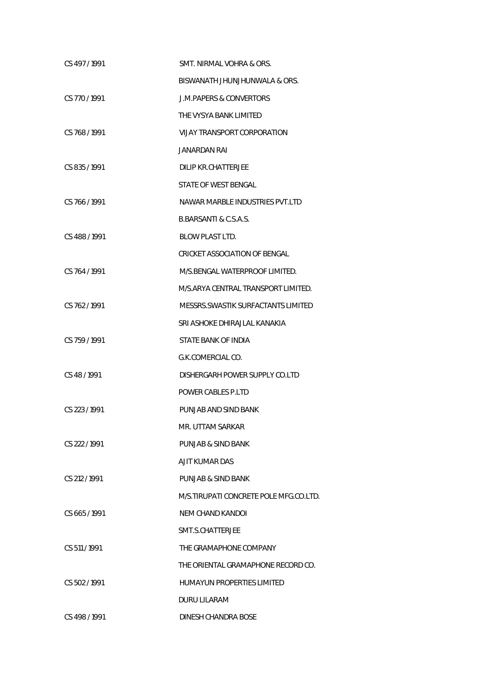| CS 497/1991   | SMT. NIRMAL VOHRA & ORS.               |
|---------------|----------------------------------------|
|               | BISWANATH JHUNJHUNWALA & ORS.          |
| CS 770/1991   | <b>J.M.PAPERS &amp; CONVERTORS</b>     |
|               | THE VYSYA BANK LIMITED                 |
| CS 768 / 1991 | VIJAY TRANSPORT CORPORATION            |
|               | JANARDAN RAI                           |
| CS 835/1991   | <b>DILIP KR.CHATTERJEE</b>             |
|               | STATE OF WEST BENGAL                   |
| CS 766/1991   | NAWAR MARBLE INDUSTRIES PVT.LTD        |
|               | B.BARSANTI & C.S.A.S.                  |
| CS 488 / 1991 | <b>BLOW PLAST LTD.</b>                 |
|               | <b>CRICKET ASSOCIATION OF BENGAL</b>   |
| CS 764/1991   | M/S.BENGAL WATERPROOF LIMITED.         |
|               | M/S.ARYA CENTRAL TRANSPORT LIMITED.    |
| CS 762/1991   | MESSRS. SWASTIK SURFACTANTS LIMITED    |
|               | SRI ASHOKE DHIRAJLAL KANAKIA           |
| CS 759/1991   | STATE BANK OF INDIA                    |
|               | G.K.COMERCIAL CO.                      |
| CS 48/1991    | DISHERGARH POWER SUPPLY CO.LTD         |
|               | POWER CABLES P.LTD                     |
| CS 223/1991   | PUNJAB AND SIND BANK                   |
|               | MR. UTTAM SARKAR                       |
| CS 222 / 1991 | PUNJAB & SIND BANK                     |
|               | A IIT KUMAR DAS                        |
| CS 212/1991   | PUNJAB & SIND BANK                     |
|               | M/S.TIRUPATI CONCRETE POLE MFG.CO.LTD. |
| CS 665/1991   | NEM CHAND KANDOI                       |
|               | SMT.S.CHATTERJEE                       |
| CS 511/1991   | THE GRAMAPHONE COMPANY                 |
|               | THE ORIENTAL GRAMAPHONE RECORD CO.     |
| CS 502/1991   | HUMAYUN PROPERTIES LIMITED             |
|               | DURU LILARAM                           |
| CS 498/1991   | DINESH CHANDRA BOSE                    |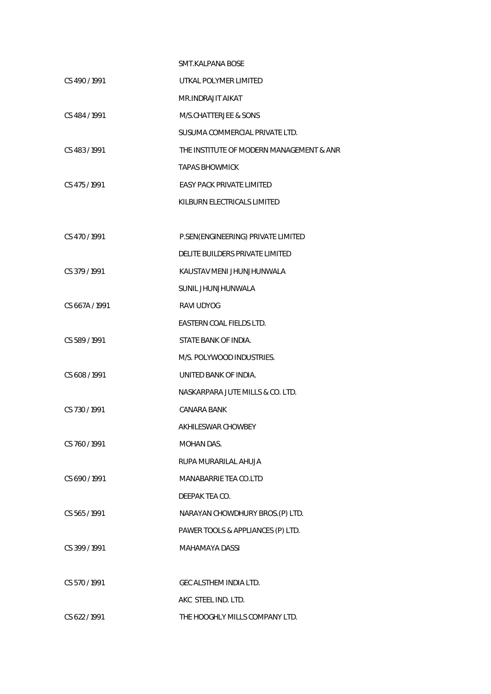|                | SMT KAI PANA BOSE                        |
|----------------|------------------------------------------|
| CS 490/1991    | UTKAL POLYMER LIMITED                    |
|                | MR.INDRAJIT AIKAT                        |
| CS 484/1991    | M/S.CHATTERJEE & SONS                    |
|                | SUSUMA COMMERCIAL PRIVATE LTD.           |
| CS 483/1991    | THE INSTITUTE OF MODERN MANAGEMENT & ANR |
|                | TAPAS BHOWMICK                           |
| CS 475 / 1991  | <b>EASY PACK PRIVATE LIMITED</b>         |
|                | KILBURN ELECTRICALS LIMITED              |
|                |                                          |
| CS 470 / 1991  | P.SEN(ENGINEERING) PRIVATE LIMITED       |
|                | DELITE BUILDERS PRIVATE LIMITED          |
| CS 379 / 1991  | KAUSTAV MENI JHUNJHUNWALA                |
|                | SUNIL JHUNJHUNWALA                       |
| CS 667A / 1991 | <b>RAVI UDYOG</b>                        |
|                | EASTERN COAL FIELDS LTD.                 |
| CS 589 / 1991  | STATE BANK OF INDIA.                     |
|                | M/S. POLYWOOD INDUSTRIES.                |
| CS 608 / 1991  | UNITED BANK OF INDIA.                    |
|                | NASKARPARA JUTE MILLS & CO. LTD.         |
| CS 730/1991    | CANARA BANK                              |
|                | AKHILESWAR CHOWBEY                       |
| CS 760/1991    | MOHAN DAS.                               |
|                | RUPA MURARILAL AHUJA                     |
| CS 690 / 1991  | MANABARRIE TEA CO.LTD                    |
|                | DEEPAK TEA CO.                           |
| CS 565 / 1991  | NARAYAN CHOWDHURY BROS.(P) LTD.          |
|                | PAWER TOOLS & APPLIANCES (P) LTD.        |
| CS 399 / 1991  | MAHAMAYA DASSI                           |
|                |                                          |
| CS 570 / 1991  | GEC ALSTHEM INDIA LTD.                   |
|                | AKC STEEL IND. LTD.                      |
| CS 622/1991    | THE HOOGHLY MILLS COMPANY LTD.           |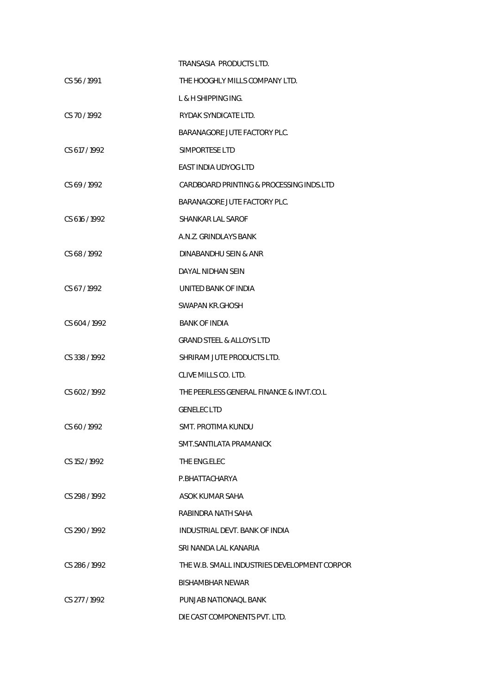|               | TRANSASIA PRODUCTS LTD.                      |
|---------------|----------------------------------------------|
| CS 56 / 1991  | THE HOOGHLY MILLS COMPANY LTD.               |
|               | L & H SHIPPING ING.                          |
| CS 70/1992    | RYDAK SYNDICATE LTD.                         |
|               | BARANAGORE JUTE FACTORY PLC.                 |
| CS 617/1992   | SIMPORTESE LTD                               |
|               | EAST INDIA UDYOG LTD                         |
| CS 69/1992    | CARDBOARD PRINTING & PROCESSING INDS.LTD     |
|               | BARANAGORE JUTE FACTORY PLC.                 |
| CS 616 / 1992 | SHANKAR LAL SAROF                            |
|               | A.N.Z. GRINDLAYS BANK                        |
| CS 68/1992    | DINABANDHU SEIN & ANR                        |
|               | DAYAL NIDHAN SEIN                            |
| CS 67/1992    | UNITED BANK OF INDIA                         |
|               | SWAPAN KR.GHOSH                              |
| CS 604/1992   | <b>BANK OF INDIA</b>                         |
|               | <b>GRAND STEEL &amp; ALLOYS LTD</b>          |
| CS 338 / 1992 | SHRIRAM JUTE PRODUCTS LTD.                   |
|               | CLIVE MILLS CO. LTD.                         |
| CS 602/1992   | THE PEERLESS GENERAL FINANCE & INVT.CO.L     |
|               | <b>GENELEC LTD</b>                           |
| CS 60/1992    | SMT. PROTIMA KUNDU                           |
|               | SMT.SANTILATA PRAMANICK                      |
| CS 152/1992   | THE ENG.ELEC                                 |
|               | P.BHATTACHARYA                               |
| CS 298 / 1992 | ASOK KUMAR SAHA                              |
|               | RABINDRA NATH SAHA                           |
| CS 290/1992   | INDUSTRIAL DEVT. BANK OF INDIA               |
|               | SRI NANDA LAL KANARIA                        |
| CS 286/1992   | THE W.B. SMALL INDUSTRIES DEVELOPMENT CORPOR |
|               | BISHAMBHAR NEWAR                             |
| CS 277 / 1992 | PUNJAB NATIONAQL BANK                        |
|               | DIE CAST COMPONENTS PVT. LTD.                |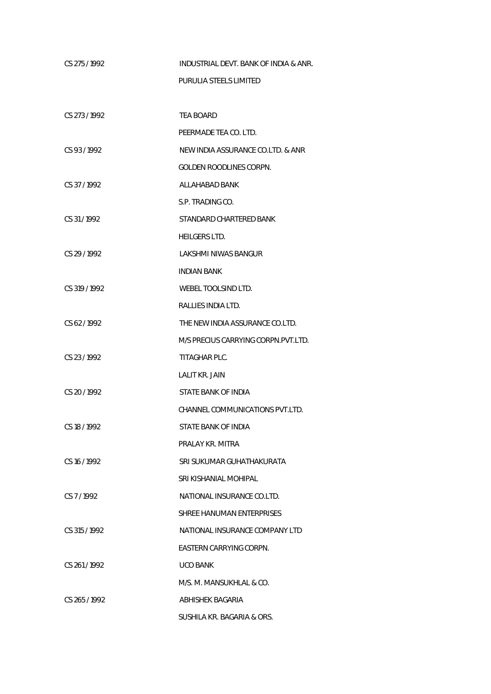| CS 275/1992   | INDUSTRIAL DEVT. BANK OF INDIA & ANR. |
|---------------|---------------------------------------|
|               | PURULIA STEELS LIMITED                |
|               |                                       |
| CS 273/1992   | TEA BOARD                             |
|               | PEERMADE TEA CO. LTD.                 |
| CS 93/1992    | NEW INDIA ASSURANCE CO.LTD. & ANR     |
|               | <b>GOLDEN ROODLINES CORPN.</b>        |
| CS 37/1992    | ALLAHABAD BANK                        |
|               | S.P. TRADING CO.                      |
| CS 31/1992    | STANDARD CHARTERED BANK               |
|               | <b>HEILGERS LTD.</b>                  |
| CS 29 / 1992  | <b>LAKSHMI NIWAS BANGUR</b>           |
|               | INDIAN BANK                           |
| CS 319 / 1992 | WEBEL TOOLSIND LTD.                   |
|               | RALLIES INDIA LTD.                    |
| CS 62/1992    | THE NEW INDIA ASSURANCE CO.LTD.       |
|               | M/S PRECIUS CARRYING CORPN. PVT. LTD. |
| CS 23/1992    | TITAGHAR PLC.                         |
|               | <b>LALIT KR. JAIN</b>                 |
| CS 20 / 1992  | STATE BANK OF INDIA                   |
|               | CHANNEL COMMUNICATIONS PVT.LTD.       |
| CS 18 / 1992  | STATE BANK OF INDIA                   |
|               | PRALAY KR. MITRA                      |
| CS 16/1992    | SRI SUKUMAR GUHATHAKURATA             |
|               | SRI KISHANIAL MOHIPAL                 |
| CS 7/1992     | NATIONAL INSURANCE CO.LTD.            |
|               | SHREE HANUMAN ENTERPRISES             |
| CS 315 / 1992 | NATIONAL INSURANCE COMPANY LTD        |
|               | EASTERN CARRYING CORPN.               |
| CS 261/1992   | <b>UCO BANK</b>                       |
|               | M/S. M. MANSUKHLAL & CO.              |
| CS 265/1992   | ABHISHEK BAGARIA                      |
|               | SUSHILA KR. BAGARIA & ORS.            |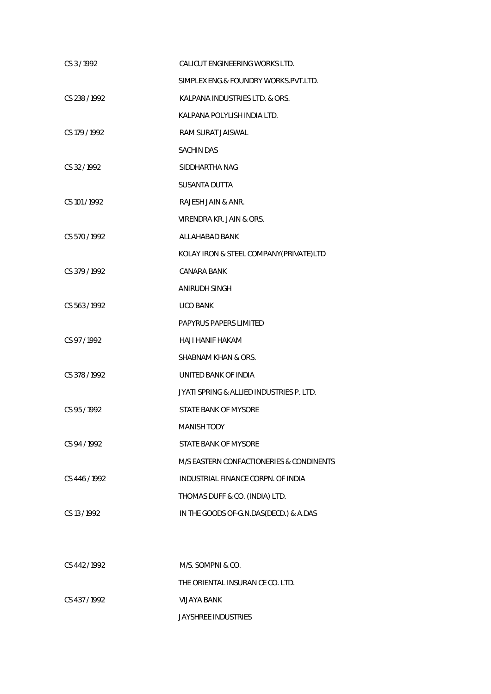| CS 3/1992     | CALICUT ENGINEERING WORKS LTD.           |
|---------------|------------------------------------------|
|               | SIMPLEX ENG.& FOUNDRY WORKS.PVT.LTD.     |
| CS 238 / 1992 | KALPANA INDUSTRIES LTD. & ORS.           |
|               | KALPANA POLYLISH INDIA LTD.              |
| CS 179 / 1992 | RAM SURAT JAISWAL                        |
|               | <b>SACHIN DAS</b>                        |
| CS 32/1992    | SIDDHARTHA NAG                           |
|               | <b>SUSANTA DUTTA</b>                     |
| CS 101 / 1992 | RAJESH JAIN & ANR.                       |
|               | VIRENDRA KR. JAIN & ORS.                 |
| CS 570/1992   | <b>ALLAHABAD BANK</b>                    |
|               | KOLAY IRON & STEEL COMPANY(PRIVATE)LTD   |
| CS 379 / 1992 | <b>CANARA BANK</b>                       |
|               | ANIRUDH SINGH                            |
| CS 563/1992   | <b>UCO BANK</b>                          |
|               | PAPYRUS PAPERS LIMITED                   |
| CS 97/1992    | <b>HAJI HANIF HAKAM</b>                  |
|               | SHABNAM KHAN & ORS.                      |
| CS 378 / 1992 | UNITED BANK OF INDIA                     |
|               | JYATI SPRING & ALLIED INDUSTRIES P. LTD. |
| CS 95/1992    | STATE BANK OF MYSORE                     |
|               | <b>MANISH TODY</b>                       |
| CS 94/1992    | STATE BANK OF MYSORE                     |
|               | M/S EASTERN CONFACTIONERIES & CONDINENTS |
| CS 446 / 1992 | INDUSTRIAL FINANCE CORPN. OF INDIA       |
|               | THOMAS DUFF & CO. (INDIA) LTD.           |
| CS 13/1992    | IN THE GOODS OF-G.N.DAS(DECD.) & A.DAS   |
|               |                                          |
|               |                                          |
| CS 442 / 1992 | M/S. SOMPNI & CO.                        |
|               | THE ORIENTAL INSURAN CE CO. LTD.         |

CS 437 / 1992 VIJAYA BANK

JAYSHREE INDUSTRIES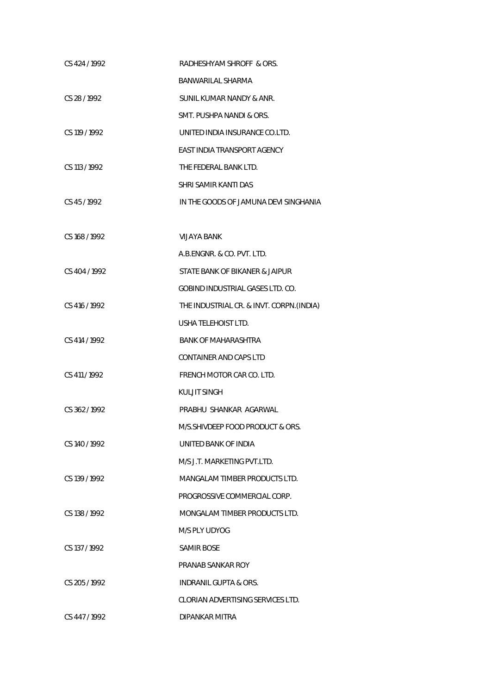| CS 424 / 1992 | RADHESHYAM SHROFF & ORS.                  |
|---------------|-------------------------------------------|
|               | <b>BANWARILAL SHARMA</b>                  |
| CS 28/1992    | SUNIL KUMAR NANDY & ANR.                  |
|               | SMT. PUSHPA NANDI & ORS.                  |
| CS 119 / 1992 | UNITED INDIA INSURANCE CO.LTD.            |
|               | <b>EAST INDIA TRANSPORT AGENCY</b>        |
| CS 113 / 1992 | THE FEDERAL BANK LTD.                     |
|               | SHRI SAMIR KANTI DAS                      |
| CS 45/1992    | IN THE GOODS OF JAMUNA DEVI SINGHANIA     |
|               |                                           |
| CS 168 / 1992 | <b>VIJAYA BANK</b>                        |
|               | A.B.ENGNR. & CO. PVT. LTD.                |
| CS 404 / 1992 | STATE BANK OF BIKANER & JAIPUR            |
|               | <b>GOBIND INDUSTRIAL GASES LTD. CO.</b>   |
| CS 416 / 1992 | THE INDUSTRIAL CR. & INVT. CORPN. (INDIA) |
|               | USHA TELEHOIST LTD.                       |
| CS 414 / 1992 | <b>BANK OF MAHARASHTRA</b>                |
|               | <b>CONTAINER AND CAPS LTD</b>             |
| CS 411/1992   | FRENCH MOTOR CAR CO. LTD.                 |
|               | <b>KULJIT SINGH</b>                       |
| CS 362/1992   | PRABHU SHANKAR AGARWAL                    |
|               | M/S.SHIVDEEP FOOD PRODUCT & ORS.          |
| CS 140 / 1992 | UNITED BANK OF INDIA                      |
|               | M/S J.T. MARKETING PVT.LTD.               |
| CS 139 / 1992 | MANGALAM TIMBER PRODUCTS LTD.             |
|               | PROGROSSIVE COMMERCIAL CORP.              |
| CS 138 / 1992 | MONGALAM TIMBER PRODUCTS LTD.             |
|               | M/S PLY UDYOG                             |
| CS 137/1992   | <b>SAMIR BOSE</b>                         |
|               | PRANAB SANKAR ROY                         |
| CS 205/1992   | INDRANIL GUPTA & ORS.                     |
|               | CLORIAN ADVERTISING SERVICES LTD.         |
| CS 447/1992   | DIPANKAR MITRA                            |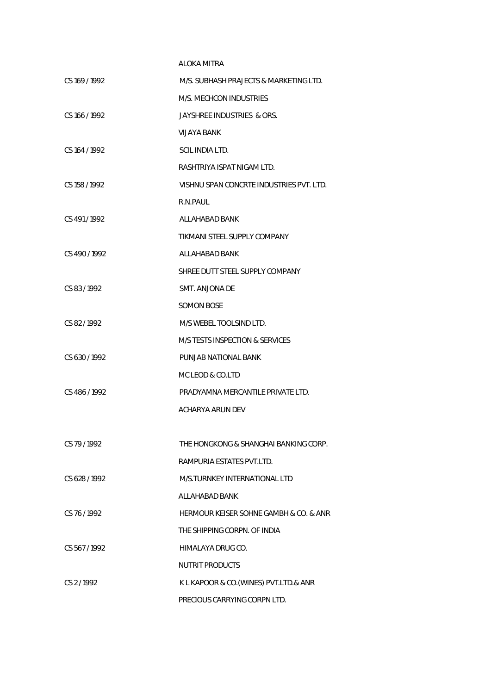|                 | ALOKA MITRA                              |
|-----------------|------------------------------------------|
| CS 169 / 1992   | M/S. SUBHASH PRAJECTS & MARKETING LTD.   |
|                 | M/S. MECHCON INDUSTRIES                  |
| CS 166 / 1992   | JAYSHREE INDUSTRIES & ORS.               |
|                 | VIJAYA BANK                              |
| CS 164 / 1992   | SCIL INDIA LTD.                          |
|                 | RASHTRIYA ISPAT NIGAM LTD.               |
| CS 158 / 1992   | VISHNU SPAN CONCRTE INDUSTRIES PVT. LTD. |
|                 | R.N.PAUL                                 |
| CS 491/1992     | ALL AHABAD BANK                          |
|                 | TIKMANI STEEL SUPPLY COMPANY             |
| $CS$ 490 / 1992 | ALLAHABAD BANK                           |
|                 | SHREE DUTT STEEL SUPPLY COMPANY          |
| CS 83/1992      | SMT. ANJONA DE                           |
|                 | <b>SOMON BOSE</b>                        |
| CS 82/1992      | M/S WEBEL TOOLSIND LTD.                  |
|                 | M/S TESTS INSPECTION & SERVICES          |
| CS 630/1992     | PUNJAB NATIONAL BANK                     |
|                 | MC LEOD & CO.LTD                         |
| CS 486/1992     | PRADYAMNA MERCANTILE PRIVATE LTD.        |
|                 | ACHARYA ARUN DEV                         |
|                 |                                          |
| CS 79/1992      | THE HONGKONG & SHANGHAI BANKING CORP.    |
|                 | RAMPURIA ESTATES PVT.LTD.                |
| CS 628/1992     | M/S.TURNKEY INTERNATIONAL LTD            |
|                 | ALLAHABAD BANK                           |
| CS 76/1992      | HERMOUR KEISER SOHNE GAMBH & CO. & ANR   |
|                 | THE SHIPPING CORPN. OF INDIA             |
| CS 567/1992     | HIMALAYA DRUG CO.                        |
|                 | <b>NUTRIT PRODUCTS</b>                   |
| CS 2/1992       | K L KAPOOR & CO. (WINES) PVT. LTD. & ANR |
|                 | PRECIOUS CARRYING CORPN LTD.             |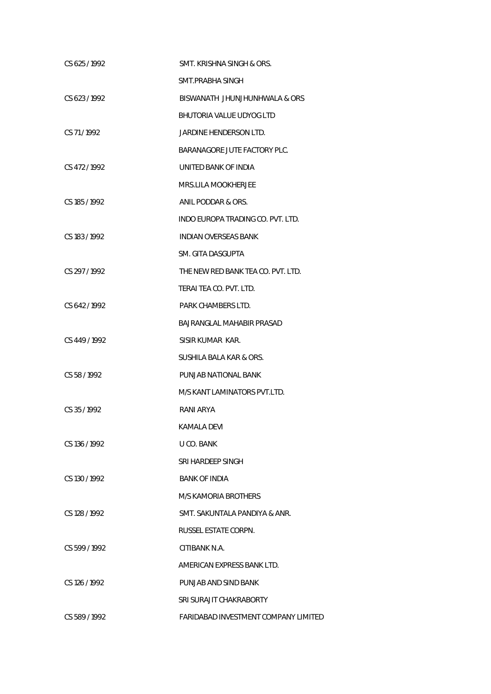| CS 625/1992   | SMT. KRISHNA SINGH & ORS.            |
|---------------|--------------------------------------|
|               | SMT.PRABHA SINGH                     |
| CS 623/1992   | BISWANATH JHUNJHUNHWALA & ORS        |
|               | BHUTORIA VALUE UDYOG LTD             |
| CS 71/1992    | JARDINE HENDERSON LTD.               |
|               | BARANAGORE JUTE FACTORY PLC.         |
| CS 472/1992   | UNITED BANK OF INDIA                 |
|               | MRS.LILA MOOKHERJEE                  |
| CS 185 / 1992 | ANIL PODDAR & ORS.                   |
|               | INDO EUROPA TRADING CO. PVT. LTD.    |
| CS 183 / 1992 | <b>INDIAN OVERSEAS BANK</b>          |
|               | SM. GITA DASGUPTA                    |
| CS 297/1992   | THE NEW RED BANK TEA CO. PVT. LTD.   |
|               | TERAI TEA CO. PVT. LTD.              |
| CS 642/1992   | PARK CHAMBERS LTD.                   |
|               | BAJRANGLAL MAHABIR PRASAD            |
| CS 449 / 1992 | SISIR KUMAR KAR.                     |
|               | SUSHILA BALA KAR & ORS.              |
| CS 58/1992    | PUNJAB NATIONAL BANK                 |
|               | M/S KANT LAMINATORS PVT.LTD.         |
| CS 35/1992    | RANI ARYA                            |
|               | KAMALA DEVI                          |
| CS 136/1992   | U CO. BANK                           |
|               | SRI HARDEEP SINGH                    |
| CS 130 / 1992 | <b>BANK OF INDIA</b>                 |
|               | M/S KAMORIA BROTHERS                 |
| CS 128 / 1992 | SMT. SAKUNTALA PANDIYA & ANR.        |
|               | RUSSEL ESTATE CORPN.                 |
| CS 599/1992   | CITIBANK N.A.                        |
|               | AMERICAN EXPRESS BANK LTD.           |
| CS 126 / 1992 | PUNJAB AND SIND BANK                 |
|               | SRI SURAJIT CHAKRABORTY              |
| CS 589/1992   | FARIDABAD INVESTMENT COMPANY LIMITED |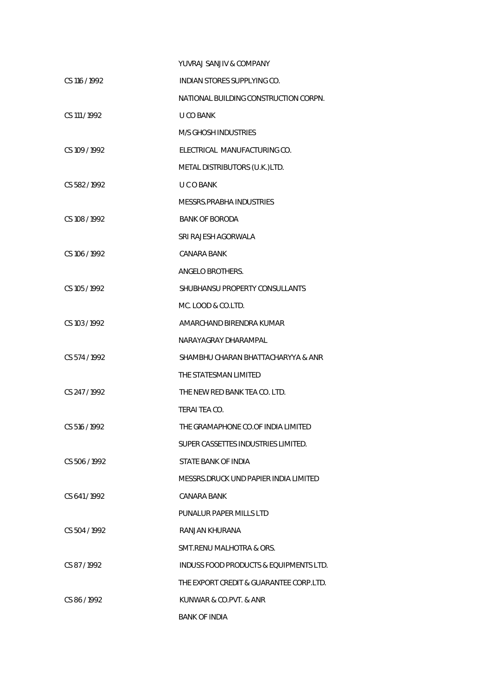|               | YUVRAJ SANJIV & COMPANY                 |
|---------------|-----------------------------------------|
| CS 116 / 1992 | INDIAN STORES SUPPLYING CO.             |
|               | NATIONAL BUILDING CONSTRUCTION CORPN.   |
| CS 111 / 1992 | U CO BANK                               |
|               | <b>M/S GHOSH INDUSTRIES</b>             |
| CS 109 / 1992 | ELECTRICAL MANUFACTURING CO.            |
|               | METAL DISTRIBUTORS (U.K.)LTD.           |
| CS 582/1992   | <b>UCOBANK</b>                          |
|               | MESSRS.PRABHA INDUSTRIES                |
| CS 108 / 1992 | <b>BANK OF BORODA</b>                   |
|               | SRI RAJESH AGORWALA                     |
| CS 106 / 1992 | CANARA BANK                             |
|               | ANGELO BROTHERS.                        |
| CS 105 / 1992 | SHUBHANSU PROPERTY CONSULLANTS          |
|               | MC. LOOD & CO.LTD.                      |
| CS 103 / 1992 | AMARCHAND BIRENDRA KUMAR                |
|               | NARAYAGRAY DHARAMPAL                    |
| CS 574 / 1992 | SHAMBHU CHARAN BHATTACHARYYA & ANR      |
|               | THE STATESMAN LIMITED                   |
| CS 247/1992   | THE NEW RED BANK TEA CO. LTD.           |
|               | TERAI TEA CO.                           |
| CS 516 / 1992 | THE GRAMAPHONE CO.OF INDIA LIMITED      |
|               | SUPER CASSETTES INDUSTRIES LIMITED.     |
| CS 506/1992   | STATE BANK OF INDIA                     |
|               | MESSRS DRUCK UND PAPIER INDIA LIMITED   |
| CS 641/1992   | CANARA BANK                             |
|               | PUNALUR PAPER MILLS LTD                 |
| CS 504/1992   | RANJAN KHURANA                          |
|               | SMT.RENU MALHOTRA & ORS.                |
| CS 87/1992    | INDUSS FOOD PRODUCTS & EQUIPMENTS LTD.  |
|               | THE EXPORT CREDIT & GUARANTEE CORP.LTD. |
| CS 86/1992    | KUNWAR & CO.PVT. & ANR                  |
|               | <b>BANK OF INDIA</b>                    |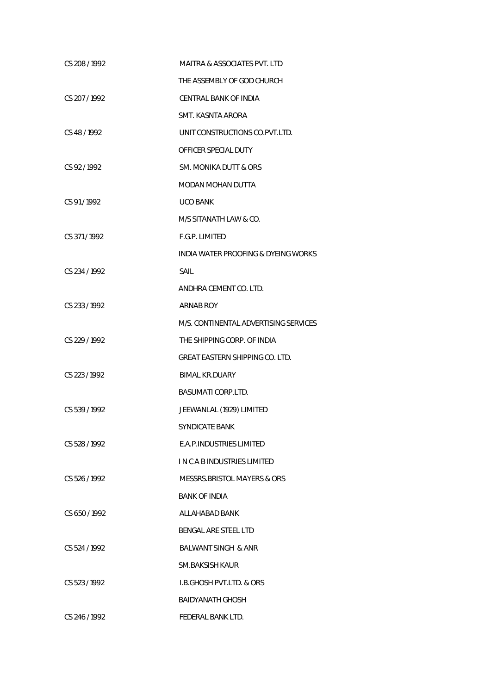| CS 208 / 1992 | MAITRA & ASSOCIATES PVT. LTD          |
|---------------|---------------------------------------|
|               | THE ASSEMBLY OF GOD CHURCH            |
| CS 207 / 1992 | CENTRAL BANK OF INDIA                 |
|               | SMT. KASNTA ARORA                     |
| CS 48 / 1992  | UNIT CONSTRUCTIONS CO. PVT. LTD.      |
|               | OFFICER SPECIAL DUTY                  |
| CS 92/1992    | SM. MONIKA DUTT & ORS                 |
|               | MODAN MOHAN DUTTA                     |
| CS 91/1992    | <b>UCO BANK</b>                       |
|               | M/S SITANATH LAW & CO.                |
| CS 371/1992   | F.G.P. LIMITED                        |
|               | INDIA WATER PROOFING & DYEING WORKS   |
| CS 234/1992   | SAIL                                  |
|               | ANDHRA CEMENT CO. LTD.                |
| CS 233 / 1992 | ARNAB ROY                             |
|               | M/S. CONTINENTAL ADVERTISING SERVICES |
| CS 229 / 1992 | THE SHIPPING CORP. OF INDIA           |
|               | GREAT EASTERN SHIPPING CO. LTD.       |
| CS 223 / 1992 | <b>BIMAL KR.DUARY</b>                 |
|               | <b>BASUMATI CORP.LTD.</b>             |
| CS 539/1992   | JEEWANLAL (1929) LIMITED              |
|               | SYNDICATE BANK                        |
| CS 528 / 1992 | E.A.P. INDUSTRIES LIMITED             |
|               | I N C A B INDUSTRIES LIMITED          |
| CS 526/1992   | MESSRS.BRISTOL MAYERS & ORS           |
|               | <b>BANK OF INDIA</b>                  |
| CS 650/1992   | ALLAHABAD BANK                        |
|               | BENGAL ARE STEEL LTD                  |
| CS 524/1992   | <b>BALWANT SINGH &amp; ANR</b>        |
|               | SM.BAKSISH KAUR                       |
| CS 523/1992   | <b>I.B.GHOSH PVT.LTD. &amp; ORS</b>   |
|               | BAIDYANATH GHOSH                      |
| CS 246/1992   | FEDERAL BANK LTD.                     |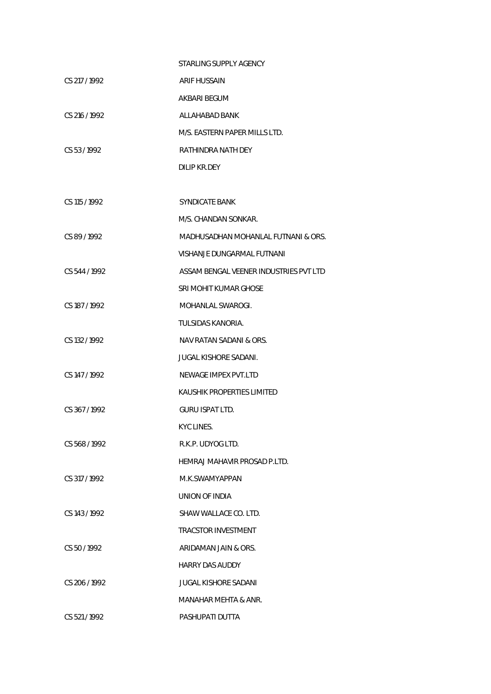|               | STARLING SUPPLY AGENCY                 |
|---------------|----------------------------------------|
| CS 217/1992   | ARIF HUSSAIN                           |
|               | AKBARI BEGUM                           |
| CS 216 / 1992 | ALLAHABAD BANK                         |
|               | M/S. EASTERN PAPER MILLS LTD.          |
| CS 53/1992    | RATHINDRA NATH DEY                     |
|               | DILIP KR.DEY                           |
|               |                                        |
| CS 115 / 1992 | SYNDICATE BANK                         |
|               | M/S. CHANDAN SONKAR.                   |
| CS 89/1992    | MADHUSADHAN MOHANLAL FUTNANI & ORS.    |
|               | VISHANJE DUNGARMAL FUTNANI             |
| CS 544 / 1992 | ASSAM BENGAL VEENER INDUSTRIES PVT LTD |
|               | SRI MOHIT KUMAR GHOSE                  |
| CS 187/1992   | MOHANLAL SWAROGI.                      |
|               | TULSIDAS KANORIA.                      |
| CS 132 / 1992 | NAV RATAN SADANI & ORS.                |
|               | JUGAL KISHORE SADANI.                  |
| CS 147 / 1992 | NEWAGE IMPEX PVT.LTD                   |
|               | KAUSHIK PROPERTIES LIMITED             |
| CS 367/1992   | <b>GURU ISPAT LTD.</b>                 |
|               | KYC LINES.                             |
| CS 568/1992   | R.K.P. UDYOG LTD.                      |
|               | HEMRAJ MAHAVIR PROSAD P.LTD.           |
| CS 317/1992   | M.K.SWAMYAPPAN                         |
|               | UNION OF INDIA                         |
| CS 143/1992   | SHAW WALLACE CO. LTD.                  |
|               | <b>TRACSTOR INVESTMENT</b>             |
| CS 50/1992    | ARIDAMAN JAIN & ORS.                   |
|               | <b>HARRY DAS AUDDY</b>                 |
| CS 206/1992   | <b>JUGAL KISHORE SADANI</b>            |
|               | MANAHAR MEHTA & ANR.                   |
| CS 521/1992   | PASHUPATI DUTTA                        |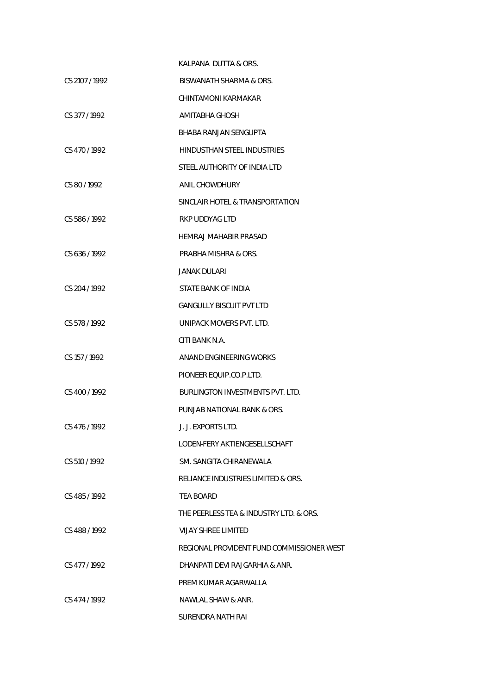|                | KALPANA DUTTA & ORS.                      |
|----------------|-------------------------------------------|
| CS 2107 / 1992 | BISWANATH SHARMA & ORS.                   |
|                | CHINTAMONI KARMAKAR                       |
| CS 377 / 1992  | AMITABHA GHOSH                            |
|                | <b>BHABA RANJAN SENGUPTA</b>              |
| CS 470/1992    | HINDUSTHAN STEEL INDUSTRIES               |
|                | STEEL AUTHORITY OF INDIA LTD              |
| CS 80/1992     | ANIL CHOWDHURY                            |
|                | SINCLAIR HOTEL & TRANSPORTATION           |
| CS 586/1992    | <b>RKP UDDYAG LTD</b>                     |
|                | HEMRAJ MAHABIR PRASAD                     |
| CS 636/1992    | PRABHA MISHRA & ORS.                      |
|                | JANAK DULARI                              |
| CS 204 / 1992  | STATE BANK OF INDIA                       |
|                | <b>GANGULLY BISCUIT PVT LTD</b>           |
| CS 578 / 1992  | UNIPACK MOVERS PVT. LTD.                  |
|                | CITI BANK N.A.                            |
| CS 157/1992    | ANAND ENGINEERING WORKS                   |
|                | PIONEER EQUIP.CO.P.LTD.                   |
| CS 400 / 1992  | <b>BURLINGTON INVESTMENTS PVT. LTD.</b>   |
|                | PUNJAB NATIONAL BANK & ORS.               |
| CS 476 / 1992  | J. J. EXPORTS LTD.                        |
|                | LODEN-FERY AKTIENGESELLSCHAFT             |
| CS 510/1992    | SM. SANGITA CHIRANEWALA                   |
|                | RELIANCE INDUSTRIES LIMITED & ORS.        |
| CS 485/1992    | TFA BOARD                                 |
|                | THE PEERLESS TEA & INDUSTRY LTD. & ORS.   |
| CS 488/1992    | <b>VIJAY SHREE LIMITED</b>                |
|                | REGIONAL PROVIDENT FUND COMMISSIONER WEST |
| CS 477/1992    | DHANPATI DEVI RAJGARHIA & ANR.            |
|                | PREM KUMAR AGARWALLA                      |
| CS 474/1992    | NAWLAL SHAW & ANR.                        |
|                | SURENDRA NATH RAI                         |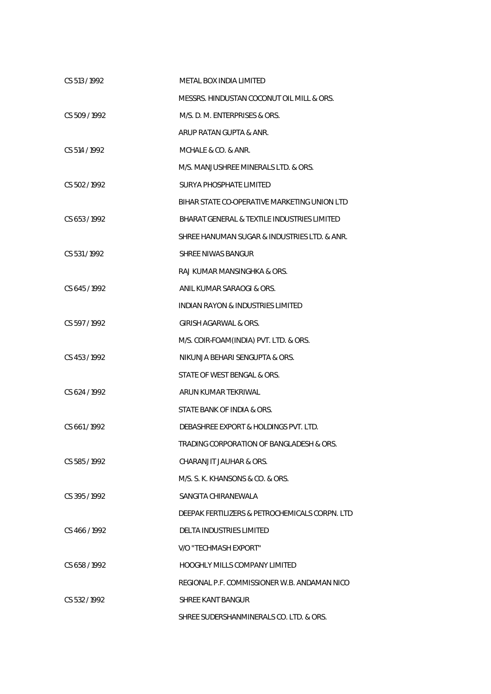| CS 513/1992   | METAL BOX INDIA LIMITED                        |
|---------------|------------------------------------------------|
|               | MESSRS. HINDUSTAN COCONUT OIL MILL & ORS.      |
| CS 509/1992   | M/S. D. M. ENTERPRISES & ORS.                  |
|               | ARUP RATAN GUPTA & ANR.                        |
| CS 514 / 1992 | MCHALE & CO. & ANR.                            |
|               | M/S. MANJUSHREE MINERALS LTD. & ORS.           |
| CS 502/1992   | <b>SURYA PHOSPHATE LIMITED</b>                 |
|               | BIHAR STATE CO-OPERATIVE MARKETING UNION LTD   |
| CS 653/1992   | BHARAT GENERAL & TEXTILE INDUSTRIES LIMITED    |
|               | SHREE HANUMAN SUGAR & INDUSTRIES LTD. & ANR.   |
| CS 531/1992   | <b>SHREE NIWAS BANGUR</b>                      |
|               | RAJ KUMAR MANSINGHKA & ORS.                    |
| CS 645/1992   | ANIL KUMAR SARAOGI & ORS.                      |
|               | INDIAN RAYON & INDUSTRIES LIMITED              |
| CS 597/1992   | GIRISH AGARWAL & ORS.                          |
|               | M/S. COIR-FOAM(INDIA) PVT. LTD. & ORS.         |
| CS 453/1992   | NIKUNJA BEHARI SENGUPTA & ORS.                 |
|               | STATE OF WEST BENGAL & ORS.                    |
| CS 624 / 1992 | ARUN KUMAR TEKRIWAL                            |
|               | STATE BANK OF INDIA & ORS.                     |
| CS 661/1992   | DEBASHREE EXPORT & HOLDINGS PVT. LTD.          |
|               | TRADING CORPORATION OF BANGLADESH & ORS.       |
| CS 585/1992   | CHARANJIT JAUHAR & ORS.                        |
|               | M/S. S. K. KHANSONS & CO. & ORS.               |
| CS 395/1992   | SANGITA CHIRANEWALA                            |
|               | DEEPAK FERTILIZERS & PETROCHEMICALS CORPN. LTD |
| CS 466/1992   | DELTA INDUSTRIES LIMITED                       |
|               | V/O "TECHMASH EXPORT"                          |
| CS 658/1992   | <b>HOOGHLY MILLS COMPANY LIMITED</b>           |
|               | REGIONAL P.F. COMMISSIONER W.B. ANDAMAN NICO   |
| CS 532/1992   | SHREE KANT BANGUR                              |
|               | SHREE SUDERSHANMINERALS CO. LTD. & ORS.        |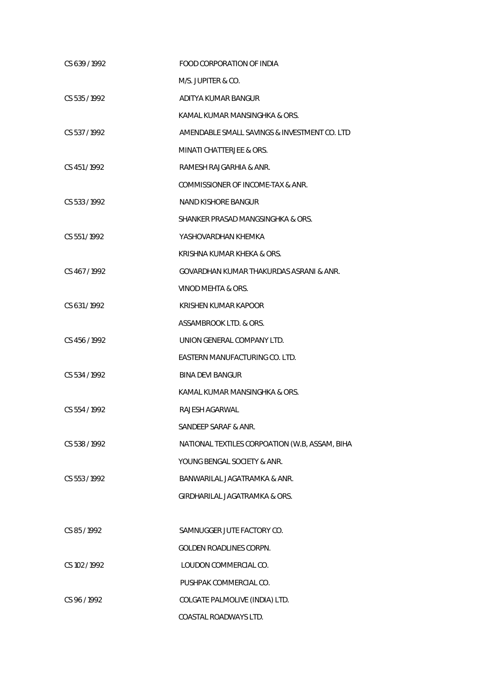| CS 639/1992   | FOOD CORPORATION OF INDIA                      |
|---------------|------------------------------------------------|
|               | M/S. JUPITER & CO.                             |
| CS 535/1992   | ADITYA KUMAR BANGUR                            |
|               | KAMAL KUMAR MANSINGHKA & ORS.                  |
| CS 537/1992   | AMENDABLE SMALL SAVINGS & INVESTMENT CO. LTD   |
|               | MINATI CHATTERJEE & ORS.                       |
| CS 451/1992   | RAMESH RAJGARHIA & ANR.                        |
|               | COMMISSIONER OF INCOME-TAX & ANR.              |
| CS 533/1992   | NAND KISHORE BANGUR                            |
|               | SHANKER PRASAD MANGSINGHKA & ORS.              |
| CS 551/1992   | YASHOVARDHAN KHEMKA                            |
|               | KRISHNA KUMAR KHEKA & ORS.                     |
| CS 467/1992   | GOVARDHAN KUMAR THAKURDAS ASRANI & ANR.        |
|               | VINOD MEHTA & ORS.                             |
| CS 631/1992   | KRISHEN KUMAR KAPOOR                           |
|               | ASSAMBROOK LTD. & ORS.                         |
| CS 456 / 1992 | UNION GENERAL COMPANY LTD.                     |
|               | EASTERN MANUFACTURING CO. LTD.                 |
| CS 534/1992   | <b>BINA DEVI BANGUR</b>                        |
|               | KAMAL KUMAR MANSINGHKA & ORS.                  |
| CS 554/1992   | RAJESH AGARWAL                                 |
|               | SANDEEP SARAF & ANR.                           |
| CS 538 / 1992 | NATIONAL TEXTILES CORPOATION (W.B, ASSAM, BIHA |
|               | YOUNG BENGAL SOCIETY & ANR.                    |
| CS 553/1992   | BANWARILAL JAGATRAMKA & ANR.                   |
|               | GIRDHARILAL JAGATRAMKA & ORS.                  |
|               |                                                |
| CS 85/1992    | SAMNUGGER JUTE FACTORY CO.                     |
|               | GOLDEN ROADLINES CORPN.                        |
| CS 102/1992   | LOUDON COMMERCIAL CO.                          |
|               | PUSHPAK COMMERCIAL CO.                         |
| CS 96/1992    | COLGATE PALMOLIVE (INDIA) LTD.                 |
|               | COASTAL ROADWAYS LTD.                          |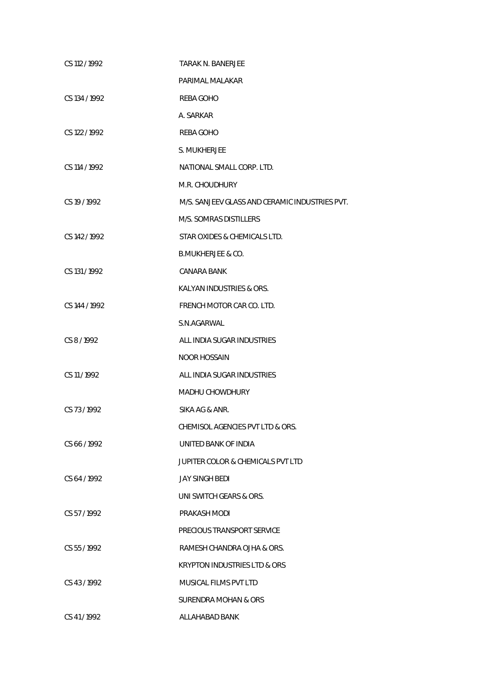| CS 112 / 1992 | TARAK N. BANERJEE                              |
|---------------|------------------------------------------------|
|               | PARIMAL MALAKAR                                |
| CS 134 / 1992 | REBA GOHO                                      |
|               | A. SARKAR                                      |
| CS 122/1992   | REBA GOHO                                      |
|               | S. MUKHERJEE                                   |
| CS 114 / 1992 | NATIONAL SMALL CORP. LTD.                      |
|               | M.R. CHOUDHURY                                 |
| CS 19 / 1992  | M/S. SANJEEV GLASS AND CERAMIC INDUSTRIES PVT. |
|               | M/S. SOMRAS DISTILLERS                         |
| CS 142 / 1992 | STAR OXIDES & CHEMICALS LTD.                   |
|               | <b>B.MUKHERJEE &amp; CO.</b>                   |
| CS 131/1992   | CANARA BANK                                    |
|               | KALYAN INDUSTRIES & ORS.                       |
| CS 144 / 1992 | FRENCH MOTOR CAR CO. LTD.                      |
|               | S.N.AGARWAL                                    |
| CS 8/1992     | ALL INDIA SUGAR INDUSTRIES                     |
|               | <b>NOOR HOSSAIN</b>                            |
| CS 11/1992    | ALL INDIA SUGAR INDUSTRIES                     |
|               | <b>MADHU CHOWDHURY</b>                         |
| CS 73/1992    | SIKA AG & ANR.                                 |
|               | CHEMISOL AGENCIES PVT LTD & ORS.               |
| CS 66/1992    | UNITED BANK OF INDIA                           |
|               | JUPITER COLOR & CHEMICALS PVT LTD              |
| CS 64 / 1992  | <b>JAY SINGH BEDI</b>                          |
|               | UNI SWITCH GEARS & ORS.                        |
| CS 57/1992    | PRAKASH MODI                                   |
|               | PRECIOUS TRANSPORT SERVICE                     |
| CS 55/1992    | RAMESH CHANDRA OJHA & ORS.                     |
|               | <b>KRYPTON INDUSTRIES LTD &amp; ORS</b>        |
| CS 43/1992    | MUSICAL FILMS PVT LTD                          |
|               | SURENDRA MOHAN & ORS                           |
| CS 41/1992    | ALLAHABAD BANK                                 |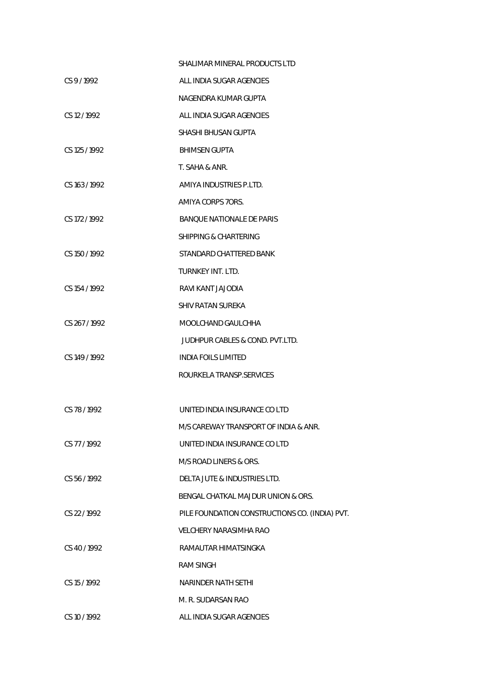|               | SHALIMAR MINERAL PRODUCTS LTD                  |
|---------------|------------------------------------------------|
| CS 9/1992     | ALL INDIA SUGAR AGENCIES                       |
|               | NAGENDRA KUMAR GUPTA                           |
| CS 12/1992    | ALL INDIA SUGAR AGENCIES                       |
|               | SHASHI BHUSAN GUPTA                            |
| CS 125 / 1992 | <b>BHIMSEN GUPTA</b>                           |
|               | T. SAHA & ANR.                                 |
| CS 163/1992   | AMIYA INDUSTRIES P.LTD.                        |
|               | AMIYA CORPS 7ORS.                              |
| CS 172/1992   | <b>BANQUE NATIONALE DE PARIS</b>               |
|               | SHIPPING & CHARTERING                          |
| CS 150/1992   | STANDARD CHATTERED BANK                        |
|               | TURNKEY INT. LTD.                              |
| CS 154/1992   | RAVI KANT JAJODIA                              |
|               | SHIV RATAN SUREKA                              |
| CS 267/1992   | MOOLCHAND GAULCHHA                             |
|               | JUDHPUR CABLES & COND. PVT.LTD.                |
| CS 149 / 1992 | <b>INDIA FOILS LIMITED</b>                     |
|               | ROURKELA TRANSP.SERVICES                       |
|               |                                                |
| CS 78/1992    | UNITED INDIA INSURANCE CO LTD                  |
|               | M/S CAREWAY TRANSPORT OF INDIA & ANR.          |
| CS 77/1992    | UNITED INDIA INSURANCE CO LTD                  |
|               | M/S ROAD LINERS & ORS.                         |
| CS 56/1992    | DELTA JUTE & INDUSTRIES LTD.                   |
|               | BENGAL CHATKAL MAJDUR UNION & ORS.             |
| CS 22/1992    | PILE FOUNDATION CONSTRUCTIONS CO. (INDIA) PVT. |
|               | <b>VELCHERY NARASIMHA RAO</b>                  |
| CS 40/1992    | RAMAUTAR HIMATSINGKA                           |
|               | <b>RAM SINGH</b>                               |
| CS 15 / 1992  | NARINDER NATH SETHI                            |
|               | M. R. SUDARSAN RAO                             |
| CS 10 / 1992  | ALL INDIA SUGAR AGENCIES                       |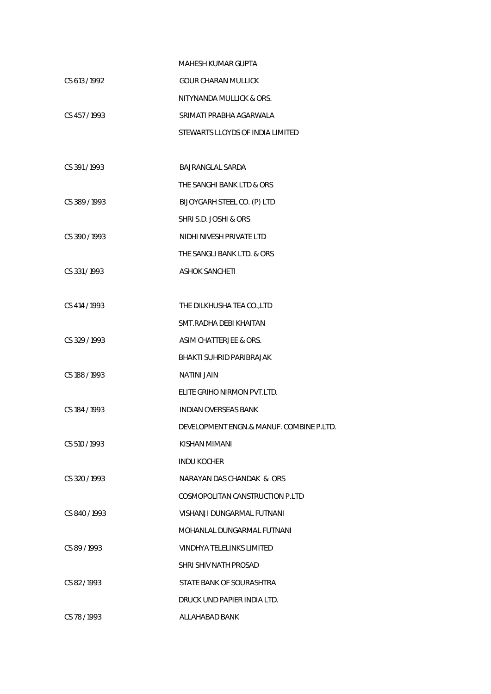|               | <b>MAHESH KUMAR GUPTA</b>                |
|---------------|------------------------------------------|
| CS 613 / 1992 | GOUR CHARAN MULLICK                      |
|               | NITYNANDA MULLICK & ORS.                 |
| CS 457/1993   | SRIMATI PRABHA AGARWALA                  |
|               | STEWARTS LLOYDS OF INDIA LIMITED         |
|               |                                          |
| CS 391/1993   | BAJRANGLAL SARDA                         |
|               | THE SANGHI BANK LTD & ORS                |
| CS 389/1993   | BIJOYGARH STEEL CO. (P) LTD              |
|               | SHRI S.D. JOSHI & ORS                    |
| CS 390/1993   | NIDHI NIVESH PRIVATE LTD                 |
|               | THE SANGLI BANK LTD. & ORS               |
| CS 331/1993   | <b>ASHOK SANCHETI</b>                    |
|               |                                          |
| CS 414 / 1993 | THE DILKHUSHA TEA CO., LTD               |
|               | SMT. RADHA DEBI KHAITAN                  |
| CS 329 / 1993 | ASIM CHATTERJEE & ORS.                   |
|               | <b>BHAKTI SUHRID PARIBRAJAK</b>          |
| CS 188 / 1993 | <b>NATINI JAIN</b>                       |
|               | ELITE GRIHO NIRMON PVT.LTD.              |
| CS 184 / 1993 | INDIAN OVERSEAS BANK                     |
|               | DEVELOPMENT ENGN.& MANUF. COMBINE P.LTD. |
| CS 510/1993   | KISHAN MIMANI                            |
|               | <b>INDU KOCHER</b>                       |
| CS 320/1993   | NARAYAN DAS CHANDAK & ORS                |
|               | COSMOPOLITAN CANSTRUCTION P.LTD          |
| CS 840/1993   | VISHANJI DUNGARMAL FUTNANI               |
|               | MOHANLAL DUNGARMAL FUTNANI               |
| CS 89/1993    | VINDHYA TELELINKS LIMITED                |
|               | SHRI SHIV NATH PROSAD                    |
| CS 82/1993    | STATE BANK OF SOURASHTRA                 |
|               | DRUCK UND PAPIER INDIA LTD.              |
| CS 78/1993    | ALLAHABAD BANK                           |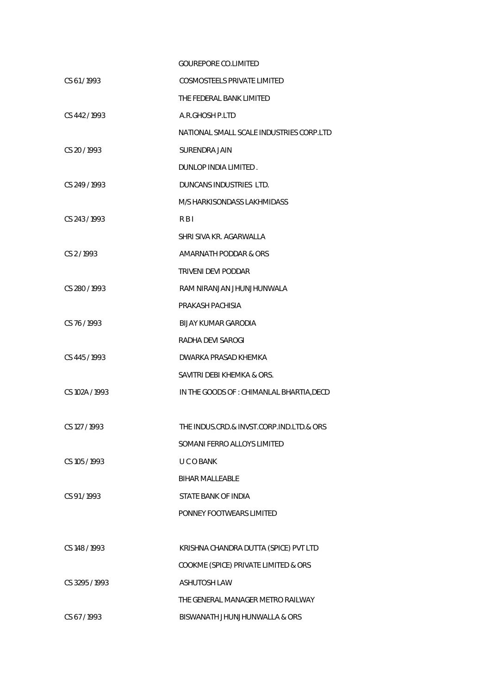|                | <b>GOUREPORE CO.LIMITED</b>               |
|----------------|-------------------------------------------|
| CS 61/1993     | <b>COSMOSTEELS PRIVATE LIMITED</b>        |
|                | THE FEDERAL BANK LIMITED                  |
| CS 442/1993    | A.R.GHOSH P.LTD                           |
|                | NATIONAL SMALL SCALE INDUSTRIES CORP.LTD  |
| CS 20/1993     | SURENDRA JAIN                             |
|                | DUNLOP INDIA LIMITED.                     |
| CS 249 / 1993  | DUNCANS INDUSTRIES LTD.                   |
|                | M/S HARKISONDASS LAKHMIDASS               |
| CS 243/1993    | R B I                                     |
|                | SHRI SIVA KR. AGARWALLA                   |
| CS 2/1993      | AMARNATH PODDAR & ORS                     |
|                | TRIVENI DEVI PODDAR                       |
| CS 280 / 1993  | RAM NIRANJAN JHUNJHUNWALA                 |
|                | PRAKASH PACHISIA                          |
| CS 76/1993     | BIJAY KUMAR GARODIA                       |
|                | RADHA DEVI SAROGI                         |
| CS 445/1993    | DWARKA PRASAD KHEMKA                      |
|                | SAVITRI DEBI KHEMKA & ORS.                |
| CS 102A / 1993 | IN THE GOODS OF : CHIMANLAL BHARTIA, DECD |
|                |                                           |
| CS 127 / 1993  | THE INDUS.CRD.& INVST.CORP.IND.LTD.& ORS  |
|                | SOMANI FERRO ALLOYS LIMITED               |
| CS 105 / 1993  | U C O BANK                                |
|                | <b>BIHAR MALLEABLE</b>                    |
| CS 91/1993     | STATE BANK OF INDIA                       |
|                | PONNEY FOOTWEARS LIMITED                  |
|                |                                           |
| CS 148 / 1993  | KRISHNA CHANDRA DUTTA (SPICE) PVT LTD     |
|                | COOKME (SPICE) PRIVATE LIMITED & ORS      |
| CS 3295 / 1993 | <b>ASHUTOSH LAW</b>                       |
|                | THE GENERAL MANAGER METRO RAILWAY         |
| CS 67/1993     | BISWANATH JHUNJHUNWALLA & ORS             |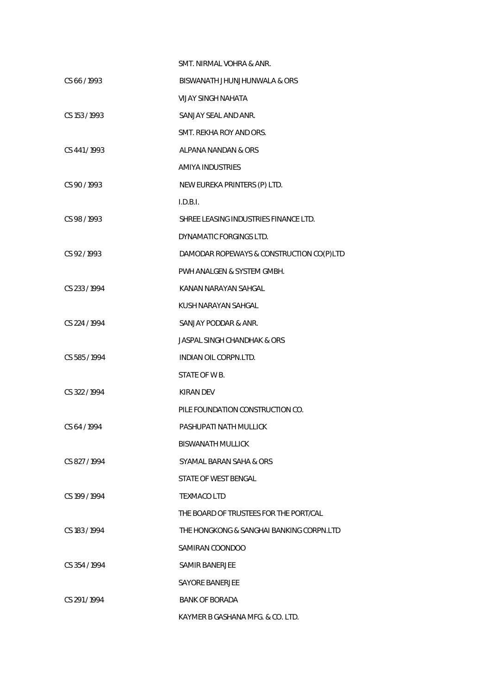|               | SMT. NIRMAL VOHRA & ANR.                 |
|---------------|------------------------------------------|
| CS 66/1993    | BISWANATH JHUNJHUNWALA & ORS             |
|               | <b>VIJAY SINGH NAHATA</b>                |
| CS 153 / 1993 | SANJAY SEAL AND ANR.                     |
|               | SMT. REKHA ROY AND ORS.                  |
| CS 441/1993   | ALPANA NANDAN & ORS                      |
|               | <b>AMIYA INDUSTRIES</b>                  |
| CS 90 / 1993  | NEW EUREKA PRINTERS (P) LTD.             |
|               | I.D.B.I.                                 |
| CS 98 / 1993  | SHREE LEASING INDUSTRIES FINANCE LTD.    |
|               | DYNAMATIC FORGINGS LTD.                  |
| CS 92/1993    | DAMODAR ROPEWAYS & CONSTRUCTION CO(P)LTD |
|               | PWH ANALGEN & SYSTEM GMBH.               |
| CS 233 / 1994 | KANAN NARAYAN SAHGAL                     |
|               | KUSH NARAYAN SAHGAL                      |
| CS 224 / 1994 | SANJAY PODDAR & ANR.                     |
|               | <b>JASPAL SINGH CHANDHAK &amp; ORS</b>   |
| CS 585/1994   | <b>INDIAN OIL CORPN.LTD.</b>             |
|               | STATE OF W B.                            |
| CS 322/1994   | KIRAN DEV                                |
|               | PILE FOUNDATION CONSTRUCTION CO.         |
| CS 64 / 1994  | PASHUPATI NATH MULLICK                   |
|               | <b>BISWANATH MULLICK</b>                 |
| CS 827/1994   | SYAMAL BARAN SAHA & ORS                  |
|               | STATE OF WEST BENGAL                     |
| CS 199 / 1994 | <b>TEXMACO LTD</b>                       |
|               | THE BOARD OF TRUSTEES FOR THE PORT/CAL   |
| CS 183/1994   | THE HONGKONG & SANGHAI BANKING CORPN.LTD |
|               | SAMIRAN COONDOO                          |
| CS 354/1994   | SAMIR BANERJEE                           |
|               | SAYORE BANERJEE                          |
| CS 291/1994   | <b>BANK OF BORADA</b>                    |
|               | KAYMER B GASHANA MFG. & CO. LTD.         |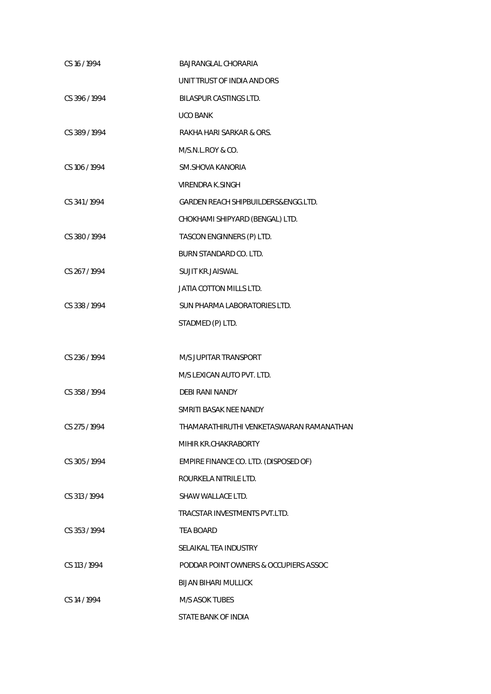| CS 16/1994    | BAJRANGLAL CHORARIA                            |
|---------------|------------------------------------------------|
|               | UNIT TRUST OF INDIA AND ORS                    |
| CS 396/1994   | <b>BILASPUR CASTINGS LTD.</b>                  |
|               | <b>UCO BANK</b>                                |
| CS 389/1994   | RAKHA HARI SARKAR & ORS.                       |
|               | M/S.N.L.ROY & CO.                              |
| CS 106 / 1994 | SM.SHOVA KANORIA                               |
|               | <b>VIRENDRA K.SINGH</b>                        |
| CS 341/1994   | <b>GARDEN REACH SHIPBUILDERS&amp;ENGG.LTD.</b> |
|               | CHOKHAMI SHIPYARD (BENGAL) LTD.                |
| CS 380/1994   | TASCON ENGINNERS (P) LTD.                      |
|               | BURN STANDARD CO. LTD.                         |
| CS 267/1994   | <b>SUJIT KR.JAISWAL</b>                        |
|               | JATIA COTTON MILLS LTD.                        |
| CS 338 / 1994 | SUN PHARMA LABORATORIES LTD.                   |
|               | STADMED (P) LTD.                               |
|               |                                                |
| CS 236 / 1994 | M/S JUPITAR TRANSPORT                          |
|               | M/S LEXICAN AUTO PVT. LTD.                     |
| CS 358 / 1994 | <b>DEBI RANI NANDY</b>                         |
|               | SMRITI BASAK NEE NANDY                         |
| CS 275 / 1994 | THAMARATHIRUTHI VENKETASWARAN RAMANATHAN       |
|               | MIHIR KR.CHAKRABORTY                           |
| CS 305/1994   | EMPIRE FINANCE CO. LTD. (DISPOSED OF)          |
|               | ROURKELA NITRILE LTD.                          |
| CS 313/1994   | SHAW WALLACE LTD.                              |
|               | TRACSTAR INVESTMENTS PVT.LTD.                  |
| CS 353/1994   | <b>TEA BOARD</b>                               |
|               | SELAIKAL TEA INDUSTRY                          |
| CS 113 / 1994 | PODDAR POINT OWNERS & OCCUPIERS ASSOC          |
|               | <b>BIJAN BIHARI MULLICK</b>                    |
| CS 14 / 1994  | <b>M/S ASOK TUBES</b>                          |
|               | STATE BANK OF INDIA                            |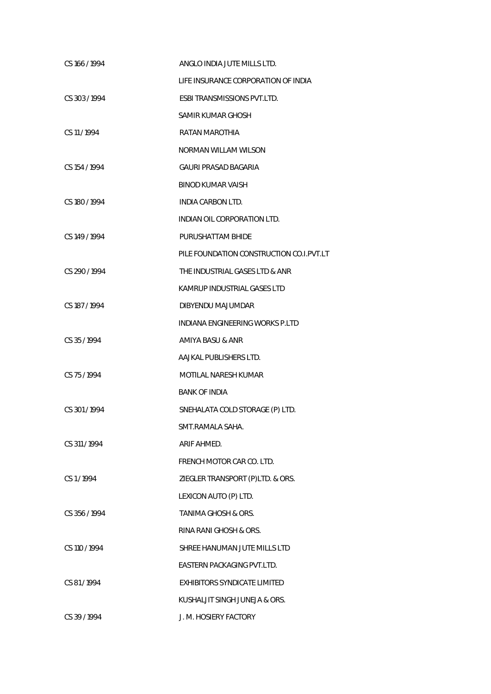| CS 166 / 1994 | ANGLO INDIA JUTE MILLS LTD.              |
|---------------|------------------------------------------|
|               | LIFE INSURANCE CORPORATION OF INDIA      |
| CS 303/1994   | <b>ESBI TRANSMISSIONS PVT.LTD.</b>       |
|               | SAMIR KUMAR GHOSH                        |
| CS 11/1994    | RATAN MAROTHIA                           |
|               | <b>NORMAN WILLAM WILSON</b>              |
| CS 154 / 1994 | GAURI PRASAD BAGARIA                     |
|               | <b>BINOD KUMAR VAISH</b>                 |
| CS 180 / 1994 | INDIA CARBON LTD.                        |
|               | INDIAN OIL CORPORATION LTD.              |
| CS 149 / 1994 | PURUSHATTAM BHIDE                        |
|               | PILE FOUNDATION CONSTRUCTION CO.I.PVT.LT |
| CS 290 / 1994 | THE INDUSTRIAL GASES LTD & ANR           |
|               | KAMRUP INDUSTRIAL GASES LTD              |
| CS 187 / 1994 | DIBYENDU MAJUMDAR                        |
|               | INDIANA ENGINEERING WORKS P.LTD          |
| CS 35/1994    | AMIYA BASU & ANR                         |
|               | AAJKAL PUBLISHERS LTD.                   |
| CS 75/1994    | MOTILAL NARESH KUMAR                     |
|               | <b>BANK OF INDIA</b>                     |
| CS 301/1994   | SNEHALATA COLD STORAGE (P) LTD.          |
|               | SMT.RAMALA SAHA.                         |
| CS 311/1994   | ARIF AHMED.                              |
|               | FRENCH MOTOR CAR CO. LTD.                |
| CS1/1994      | ZIEGLER TRANSPORT (P)LTD. & ORS.         |
|               | LEXICON AUTO (P) LTD.                    |
| CS 356/1994   | <b>TANIMA GHOSH &amp; ORS.</b>           |
|               | RINA RANI GHOSH & ORS.                   |
| CS 110 / 1994 | SHREE HANUMAN JUTE MILLS LTD             |
|               | EASTERN PACKAGING PVT.LTD.               |
| CS 81/1994    | <b>EXHIBITORS SYNDICATE LIMITED</b>      |
|               | KUSHALJIT SINGH JUNEJA & ORS.            |
| CS 39/1994    | J. M. HOSIERY FACTORY                    |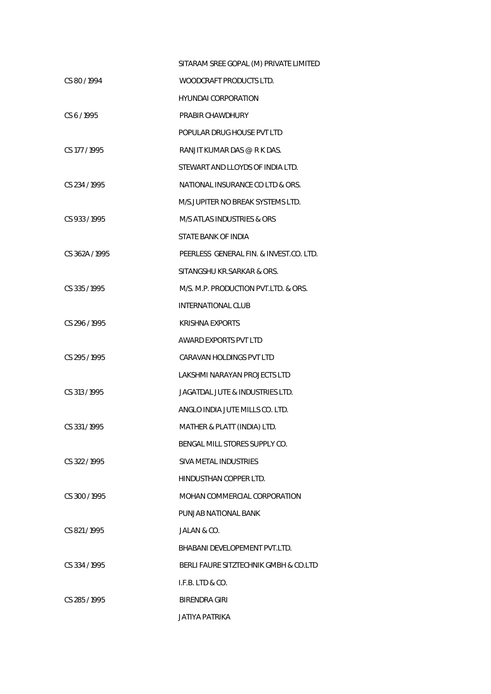|                | SITARAM SREE GOPAL (M) PRIVATE LIMITED  |
|----------------|-----------------------------------------|
| CS 80/1994     | WOODCRAFT PRODUCTS LTD.                 |
|                | <b>HYUNDAI CORPORATION</b>              |
| CS 6/1995      | PRABIR CHAWDHURY                        |
|                | POPULAR DRUG HOUSE PVT LTD              |
| CS 177 / 1995  | RANJIT KUMAR DAS @ R K DAS.             |
|                | STEWART AND LLOYDS OF INDIA LTD.        |
| CS 234 / 1995  | NATIONAL INSURANCE CO LTD & ORS.        |
|                | M/S.JUPITER NO BREAK SYSTEMS LTD.       |
| CS 933/1995    | M/S ATLAS INDUSTRIES & ORS              |
|                | STATE BANK OF INDIA                     |
| CS 362A / 1995 | PEERLESS GENERAL FIN. & INVEST.CO. LTD. |
|                | SITANGSHU KR.SARKAR & ORS.              |
| CS 335/1995    | M/S. M.P. PRODUCTION PVT.LTD. & ORS.    |
|                | INTERNATIONAL CLUB                      |
| CS 296/1995    | <b>KRISHNA EXPORTS</b>                  |
|                | AWARD EXPORTS PVT LTD                   |
| CS 295 / 1995  | CARAVAN HOLDINGS PVT LTD                |
|                | LAKSHMI NARAYAN PROJECTS LTD            |
| CS 313/1995    | JAGATDAL JUTE & INDUSTRIES LTD.         |
|                | ANGLO INDIA JUTE MILLS CO. LTD.         |
| CS 331/1995    | MATHER & PLATT (INDIA) LTD.             |
|                | BENGAL MILL STORES SUPPLY CO.           |
| CS 322/1995    | SIVA METAL INDUSTRIES                   |
|                | HINDUSTHAN COPPER LTD.                  |
| CS 300 / 1995  | MOHAN COMMERCIAL CORPORATION            |
|                | PUNJAB NATIONAL BANK                    |
| CS 821/1995    | JALAN & CO.                             |
|                | BHABANI DEVELOPEMENT PVT.LTD.           |
| CS 334/1995    | BERLI FAURE SITZTECHNIK GMBH & CO.LTD   |
|                | I.F.B. LTD & CO.                        |
| CS 285/1995    | BIRENDRA GIRI                           |
|                | <b>JATIYA PATRIKA</b>                   |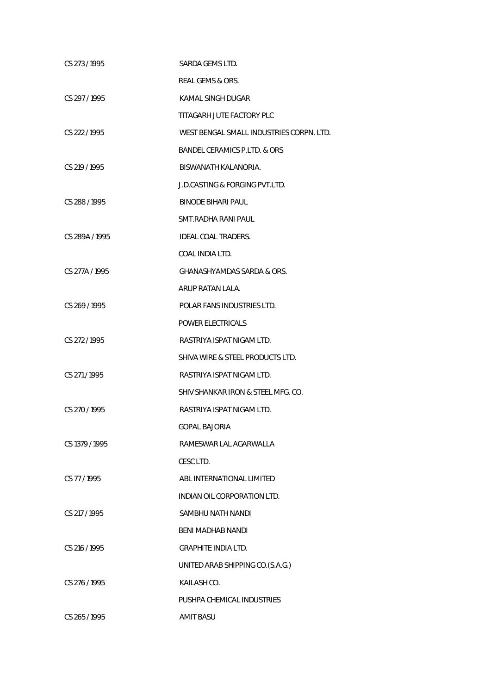| CS 273/1995    | SARDA GEMS LTD.                          |
|----------------|------------------------------------------|
|                | REAL GEMS & ORS.                         |
| CS 297/1995    | KAMAL SINGH DUGAR                        |
|                | TITAGARH JUTE FACTORY PLC                |
| CS 222/1995    | WEST BENGAL SMALL INDUSTRIES CORPN. LTD. |
|                | BANDEL CERAMICS P.LTD. & ORS             |
| CS 219 / 1995  | BISWANATH KALANORIA.                     |
|                | J.D.CASTING & FORGING PVT.LTD.           |
| CS 288 / 1995  | BINODE BIHARI PAUL                       |
|                | SMT.RADHA RANI PAUL                      |
| CS 289A / 1995 | IDEAL COAL TRADERS.                      |
|                | COAL INDIA LTD.                          |
| CS 277A / 1995 | GHANASHYAMDAS SARDA & ORS.               |
|                | ARUP RATAN LALA.                         |
| CS 269/1995    | POLAR FANS INDUSTRIES LTD.               |
|                | POWER ELECTRICALS                        |
| CS 272 / 1995  | RASTRIYA ISPAT NIGAM LTD.                |
|                | SHIVA WIRE & STEEL PRODUCTS LTD.         |
| CS 271/1995    | RASTRIYA ISPAT NIGAM LTD.                |
|                | SHIV SHANKAR IRON & STEEL MFG. CO.       |
| CS 270 / 1995  | RASTRIYA ISPAT NIGAM LTD.                |
|                | <b>GOPAL BAJORIA</b>                     |
| CS 1379 / 1995 | RAMESWAR LAL AGARWALLA                   |
|                | CESC LTD.                                |
| CS 77/1995     | ABL INTERNATIONAL LIMITED                |
|                | INDIAN OIL CORPORATION LTD.              |
| CS 217 / 1995  | SAMBHU NATH NANDI                        |
|                | <b>BENI MADHAB NANDI</b>                 |
| CS 216 / 1995  | <b>GRAPHITE INDIA LTD.</b>               |
|                | UNITED ARAB SHIPPING CO.(S.A.G.)         |
| CS 276 / 1995  | KAILASH CO.                              |
|                | PUSHPA CHEMICAL INDUSTRIES               |
| CS 265 / 1995  | <b>AMIT BASU</b>                         |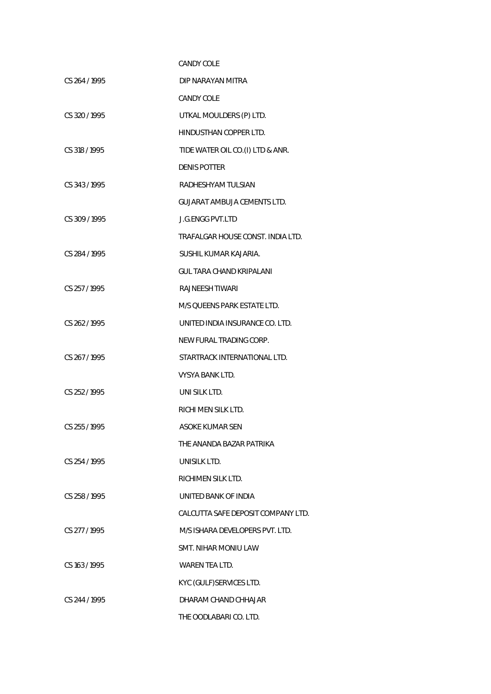|               | <b>CANDY COLE</b>                  |
|---------------|------------------------------------|
| CS 264 / 1995 | DIP NARAYAN MITRA                  |
|               | <b>CANDY COLE</b>                  |
| CS 320 / 1995 | UTKAL MOULDERS (P) LTD.            |
|               | HINDUSTHAN COPPER LTD.             |
| CS 318 / 1995 | TIDE WATER OIL CO.(I) LTD & ANR.   |
|               | <b>DENIS POTTER</b>                |
| CS 343/1995   | RADHESHYAM TULSIAN                 |
|               | <b>GUJARAT AMBUJA CEMENTS LTD.</b> |
| CS 309 / 1995 | <b>J.G.ENGG PVT.LTD</b>            |
|               | TRAFALGAR HOUSE CONST. INDIA LTD.  |
| CS 284 / 1995 | SUSHIL KUMAR KAJARIA.              |
|               | GUL TARA CHAND KRIPALANI           |
| CS 257/1995   | RAJNEESH TIWARI                    |
|               | M/S QUEENS PARK ESTATE LTD.        |
| CS 262 / 1995 | UNITED INDIA INSURANCE CO. LTD.    |
|               | NEW FURAL TRADING CORP.            |
| CS 267/1995   | STARTRACK INTERNATIONAL LTD.       |
|               | VYSYA BANK LTD.                    |
| CS 252/1995   | UNI SILK LTD.                      |
|               | RICHI MEN SILK LTD.                |
| CS 255/1995   | <b>ASOKE KUMAR SEN</b>             |
|               | THE ANANDA BAZAR PATRIKA           |
| CS 254 / 1995 | UNISILK LTD.                       |
|               | RICHIMEN SILK LTD.                 |
| CS 258 / 1995 | UNITED BANK OF INDIA               |
|               | CALCUTTA SAFE DEPOSIT COMPANY LTD. |
| CS 277 / 1995 | M/S ISHARA DEVELOPERS PVT. LTD.    |
|               | SMT. NIHAR MONIU LAW               |
| CS 163/1995   | WAREN TEA LTD.                     |
|               | KYC (GULF) SERVICES LTD.           |
| CS 244 / 1995 | DHARAM CHAND CHHAJAR               |
|               | THE OODLABARI CO. LTD.             |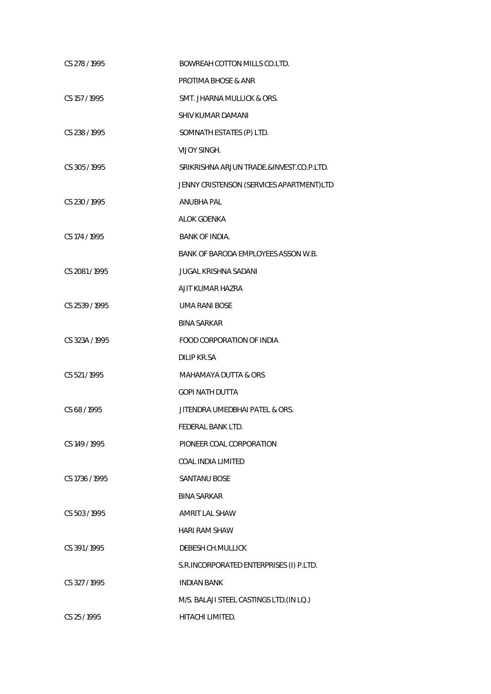| CS 278 / 1995  | BOWREAH COTTON MILLS CO.LTD.             |
|----------------|------------------------------------------|
|                | <b>PROTIMA BHOSE &amp; ANR</b>           |
| CS 157 / 1995  | SMT. JHARNA MULLICK & ORS.               |
|                | <b>SHIV KUMAR DAMANI</b>                 |
| CS 238 / 1995  | SOMNATH ESTATES (P) LTD.                 |
|                | <b>VIJOY SINGH.</b>                      |
| CS 305 / 1995  | SRIKRISHNA ARJUN TRADE.&INVEST.CO.P.LTD. |
|                | JENNY CRISTENSON (SERVICES APARTMENT)LTD |
| CS 230 / 1995  | ANUBHA PAL                               |
|                | <b>ALOK GOENKA</b>                       |
| CS 174 / 1995  | <b>BANK OF INDIA.</b>                    |
|                | BANK OF BARODA EMPLOYEES ASSON W.B.      |
| CS 2081 / 1995 | <b>JUGAL KRISHNA SADANI</b>              |
|                | AJIT KUMAR HAZRA                         |
| CS 2539/1995   | <b>UMA RANI BOSE</b>                     |
|                | <b>BINA SARKAR</b>                       |
| CS 323A / 1995 | FOOD CORPORATION OF INDIA                |
|                | <b>DILIP KR.SA</b>                       |
| CS 521/1995    | <b>MAHAMAYA DUTTA &amp; ORS</b>          |
|                | <b>GOPI NATH DUTTA</b>                   |
| CS 68/1995     | JITENDRA UMEDBHAI PATEL & ORS.           |
|                | FEDERAL BANK LTD.                        |
| CS 149 / 1995  | PIONEER COAL CORPORATION                 |
|                | <b>COAL INDIA LIMITED</b>                |
| CS 1736 / 1995 | <b>SANTANU BOSE</b>                      |
|                | <b>BINA SARKAR</b>                       |
| CS 503 / 1995  | <b>AMRIT LAL SHAW</b>                    |
|                | <b>HARI RAM SHAW</b>                     |
| CS 391/1995    | DEBESH CH.MULLICK                        |
|                | S.R.INCORPORATED ENTERPRISES (I) P.LTD.  |
| CS 327/1995    | <b>INDIAN BANK</b>                       |
|                | M/S. BALAJI STEEL CASTINGS LTD. (IN LQ.) |
| CS 25/1995     | HITACHI LIMITED.                         |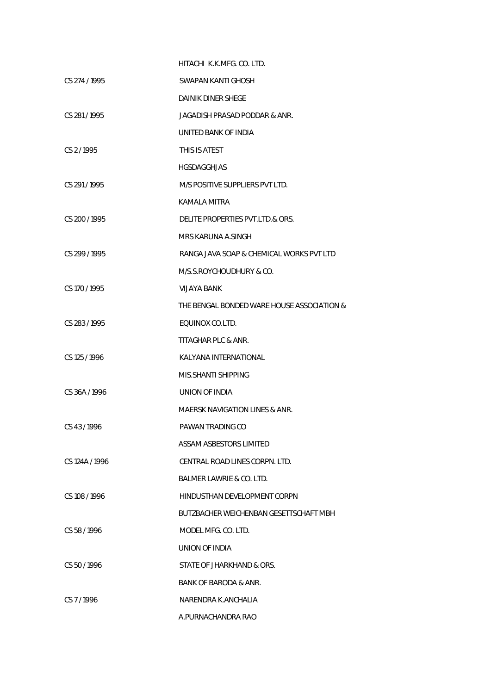|                | HITACHI K.K.MFG. CO. LTD.                  |
|----------------|--------------------------------------------|
| CS 274 / 1995  | SWAPAN KANTI GHOSH                         |
|                | <b>DAINIK DINER SHEGE</b>                  |
| CS 281/1995    | JAGADISH PRASAD PODDAR & ANR.              |
|                | UNITED BANK OF INDIA                       |
| CS 2/1995      | THIS IS ATEST                              |
|                | HGSDAGGHJAS                                |
| CS 291/1995    | M/S POSITIVE SUPPLIERS PVT LTD.            |
|                | KAMALA MITRA                               |
| CS 200 / 1995  | DELITE PROPERTIES PVT.LTD.& ORS.           |
|                | MRS KARUNA A.SINGH                         |
| CS 299 / 1995  | RANGA JAVA SOAP & CHEMICAL WORKS PVT LTD   |
|                | M/S.S.ROYCHOUDHURY & CO.                   |
| CS 170 / 1995  | <b>VIJAYA BANK</b>                         |
|                | THE BENGAL BONDED WARE HOUSE ASSOCIATION & |
| CS 283 / 1995  | EQUINOX CO.LTD.                            |
|                | TITAGHAR PLC & ANR.                        |
| CS 125 / 1996  | KALYANA INTERNATIONAL                      |
|                | MIS.SHANTI SHIPPING                        |
| CS 36A / 1996  | UNION OF INDIA                             |
|                | MAERSK NAVIGATION LINES & ANR.             |
| CS 43/1996     | PAWAN TRADING CO                           |
|                | ASSAM ASBESTORS LIMITED                    |
| CS 124A / 1996 | CENTRAL ROAD LINES CORPN. LTD.             |
|                | BALMER LAWRIE & CO. LTD.                   |
| CS 108/1996    | HINDUSTHAN DEVELOPMENT CORPN               |
|                | BUTZBACHER WEICHENBAN GESETTSCHAFT MBH     |
| CS 58/1996     | MODEL MFG. CO. LTD.                        |
|                | UNION OF INDIA                             |
| CS 50/1996     | STATE OF JHARKHAND & ORS.                  |
|                | BANK OF BARODA & ANR.                      |
| CS 7/1996      | NARENDRA K.ANCHALIA                        |
|                | A.PURNACHANDRA RAO                         |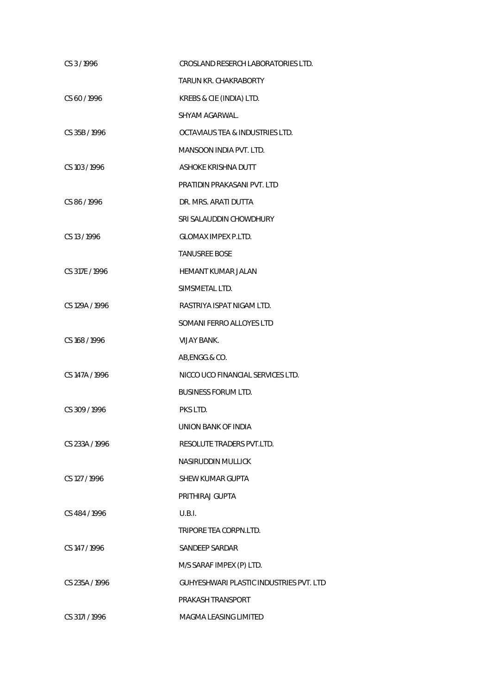| CS 3/1996      | CROSLAND RESERCH LABORATORIES LTD.      |
|----------------|-----------------------------------------|
|                | <b>TARUN KR. CHAKRABORTY</b>            |
| CS 60/1996     | KREBS & CIE (INDIA) LTD.                |
|                | SHYAM AGARWAL.                          |
| CS 35B / 1996  | OCTAVIAUS TEA & INDUSTRIES LTD.         |
|                | <b>MANSOON INDIA PVT. LTD.</b>          |
| CS 103 / 1996  | ASHOKE KRISHNA DUTT                     |
|                | PRATIDIN PRAKASANI PVT. LTD             |
| CS 86/1996     | DR. MRS. ARATI DUTTA                    |
|                | SRI SALAUDDIN CHOWDHURY                 |
| CS 13/1996     | <b>GLOMAX IMPEX P.LTD.</b>              |
|                | <b>TANUSREE BOSE</b>                    |
| CS 317E / 1996 | <b>HEMANT KUMAR JALAN</b>               |
|                | SIMSMETAL LTD.                          |
| CS 129A / 1996 | RASTRIYA ISPAT NIGAM LTD.               |
|                | SOMANI FERRO ALLOYES LTD                |
| CS 168 / 1996  | <b>VIJAY BANK.</b>                      |
|                | AB, ENGG.& CO.                          |
| CS 147A / 1996 | NICCO UCO FINANCIAL SERVICES LTD.       |
|                | <b>BUSINESS FORUM LTD.</b>              |
| CS 309 / 1996  | PKS LTD.                                |
|                | UNION BANK OF INDIA                     |
| CS 233A / 1996 | RESOLUTE TRADERS PVT.LTD.               |
|                | NASIRUDDIN MULLICK                      |
| CS 127 / 1996  | SHEW KUMAR GUPTA                        |
|                | PRITHIRAJ GUPTA                         |
| CS 484 / 1996  | U.B.I.                                  |
|                | TRIPORE TEA CORPN.LTD.                  |
| CS 147/1996    | <b>SANDEEP SARDAR</b>                   |
|                | M/S SARAF IMPEX (P) LTD.                |
| CS 235A / 1996 | GUHYESHWARI PLASTIC INDUSTRIES PVT. LTD |
|                | PRAKASH TRANSPORT                       |
| CS 3171/1996   | MAGMA LEASING LIMITED                   |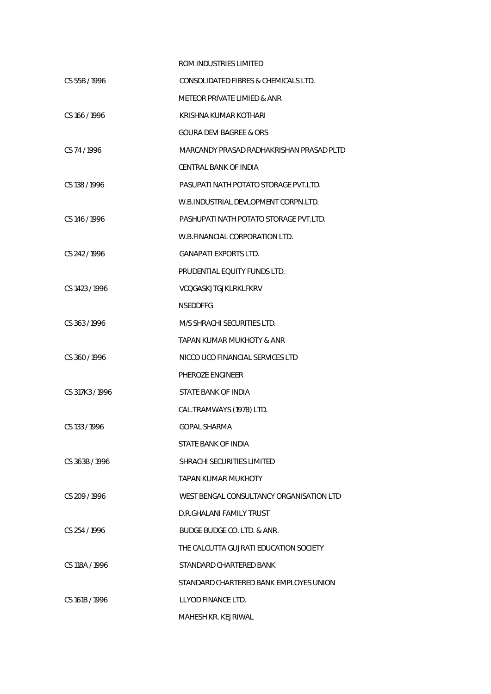|                | ROM INDUSTRIES LIMITED                   |
|----------------|------------------------------------------|
| CS 55B / 1996  | CONSOLIDATED FIBRES & CHEMICALS LTD.     |
|                | METEOR PRIVATE LIMIED & ANR              |
| CS 166 / 1996  | KRISHNA KUMAR KOTHARI                    |
|                | GOURA DEVI BAGREE & ORS                  |
| CS 74/1996     | MARCANDY PRASAD RADHAKRISHAN PRASAD PLTD |
|                | CENTRAL BANK OF INDIA                    |
| CS 138/1996    | PASUPATI NATH POTATO STORAGE PVT.LTD.    |
|                | W.B.INDUSTRIAL DEVLOPMENT CORPN.LTD.     |
| CS 146/1996    | PASHUPATI NATH POTATO STORAGE PVT.LTD.   |
|                | W.B.FINANCIAL CORPORATION LTD.           |
| CS 242/1996    | <b>GANAPATI EXPORTS LTD.</b>             |
|                | PRUDENTIAL EQUITY FUNDS LTD.             |
| CS 1423 / 1996 | VCQGASKJTGJKLRKLFKRV                     |
|                | <b>NSEDDFFG</b>                          |
| CS 363/1996    | M/S SHRACHI SECURITIES LTD.              |
|                | TAPAN KUMAR MUKHOTY & ANR                |
| CS 360/1996    | NICCO UCO FINANCIAL SERVICES LTD         |
|                | PHEROZE ENGINEER                         |
| CS 317K3/1996  | STATE BANK OF INDIA                      |
|                | CAL.TRAMWAYS (1978) LTD.                 |
| CS 133/1996    | <b>GOPAL SHARMA</b>                      |
|                | STATE BANK OF INDIA                      |
| CS 363B / 1996 | SHRACHI SECURITIES LIMITED               |
|                | TAPAN KUMAR MUKHOTY                      |
| CS 209/1996    | WEST BENGAL CONSULTANCY ORGANISATION LTD |
|                | D.R.GHALANI FAMILY TRUST                 |
| CS 254 / 1996  | BUDGE BUDGE CO. LTD. & ANR.              |
|                | THE CALCUTTA GUJRATI EDUCATION SOCIETY   |
| CS 118A / 1996 | STANDARD CHARTERED BANK                  |
|                | STANDARD CHARTERED BANK EMPLOYES UNION   |
| CS 161B / 1996 | LLYOD FINANCE LTD.                       |
|                | MAHESH KR. KEJRIWAL                      |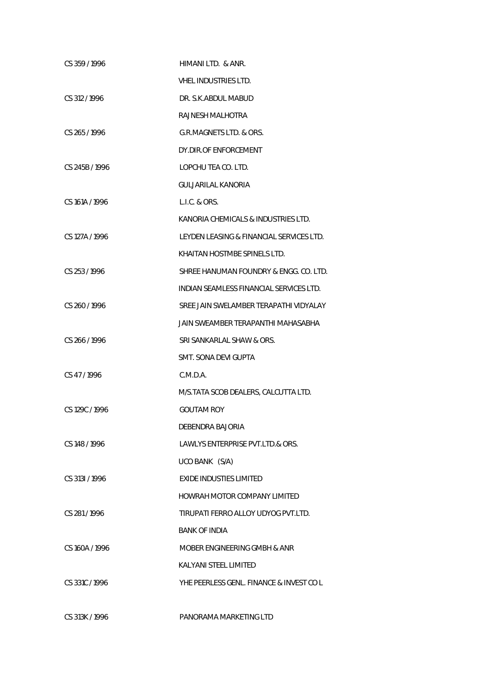| CS 359/1996    | HIMANI LTD. & ANR.                       |
|----------------|------------------------------------------|
|                | VHEL INDUSTRIES LTD.                     |
| CS 312/1996    | DR. S.K.ABDUL MABUD                      |
|                | RAJNESH MALHOTRA                         |
| CS 265/1996    | G.R.MAGNETS LTD. & ORS.                  |
|                | DY.DIR.OF ENFORCEMENT                    |
| CS 245B / 1996 | LOPCHU TEA CO. LTD.                      |
|                | GULJARILAL KANORIA                       |
| CS 161A / 1996 | L.I.C. & ORS.                            |
|                | KANORIA CHEMICALS & INDUSTRIES LTD.      |
| CS 127A / 1996 | LEYDEN LEASING & FINANCIAL SERVICES LTD. |
|                | KHAITAN HOSTMBE SPINELS LTD.             |
| CS 253 / 1996  | SHREE HANUMAN FOUNDRY & ENGG. CO. LTD.   |
|                | INDIAN SEAMLESS FINANCIAL SERVICES LTD.  |
| CS 260/1996    | SREE JAIN SWELAMBER TERAPATHI VIDYALAY   |
|                | JAIN SWEAMBER TERAPANTHI MAHASABHA       |
| CS 266/1996    | SRI SANKARLAL SHAW & ORS.                |
|                | SMT. SONA DEVI GUPTA                     |
| CS 47/1996     | C.M.D.A.                                 |
|                | M/S.TATA SCOB DEALERS, CALCUTTA LTD.     |
| CS 129C / 1996 | <b>GOUTAM ROY</b>                        |
|                | DEBENDRA BAJORIA                         |
| CS 148 / 1996  | LAWLYS ENTERPRISE PVT.LTD.& ORS.         |
|                | UCO BANK (S/A)                           |
| CS 3131/1996   | EXIDE INDUSTIES LIMITED                  |
|                | HOWRAH MOTOR COMPANY LIMITED             |
| CS 281/1996    | TIRUPATI FERRO ALLOY UDYOG PVT.LTD.      |
|                | <b>BANK OF INDIA</b>                     |
| CS 160A / 1996 | MOBER ENGINEERING GMBH & ANR             |
|                | KALYANI STEEL LIMITED                    |
| CS 331C/1996   | YHE PEERLESS GENL. FINANCE & INVEST CO L |
|                |                                          |
| CS 313K / 1996 | PANORAMA MARKETING LTD                   |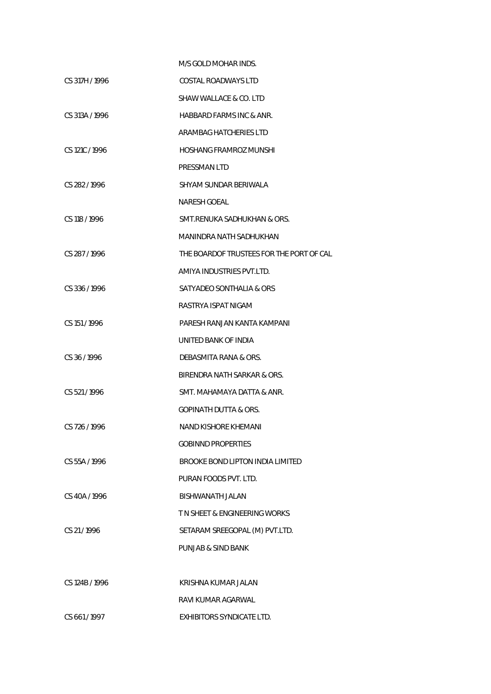|                | M/S GOLD MOHAR INDS.                     |
|----------------|------------------------------------------|
| CS 317H / 1996 | COSTAL ROADWAYS LTD                      |
|                | SHAW WALLACE & CO. LTD                   |
| CS 313A / 1996 | HABBARD FARMS INC & ANR.                 |
|                | ARAMBAG HATCHERIES LTD                   |
| CS 121C/1996   | HOSHANG FRAMROZ MUNSHI                   |
|                | <b>PRESSMAN LTD</b>                      |
| CS 282/1996    | SHYAM SUNDAR BERIWALA                    |
|                | NARESH GOEAL                             |
| CS 118 / 1996  | SMT.RENUKA SADHUKHAN & ORS.              |
|                | MANINDRA NATH SADHUKHAN                  |
| CS 287/1996    | THE BOARDOF TRUSTEES FOR THE PORT OF CAL |
|                | AMIYA INDUSTRIES PVT.LTD.                |
| CS 336 / 1996  | SATYADEO SONTHALIA & ORS                 |
|                | RASTRYA ISPAT NIGAM                      |
| CS 151/1996    | PARESH RANJAN KANTA KAMPANI              |
|                | UNITED BANK OF INDIA                     |
| CS 36/1996     | DEBASMITA RANA & ORS.                    |
|                | BIRENDRA NATH SARKAR & ORS.              |
| CS 521/1996    | SMT. MAHAMAYA DATTA & ANR.               |
|                | GOPINATH DUTTA & ORS.                    |
| CS 726 / 1996  | NAND KISHORE KHEMANI                     |
|                | <b>GOBINND PROPERTIES</b>                |
| CS 55A / 1996  | BROOKE BOND LIPTON INDIA LIMITED         |
|                | PURAN FOODS PVT. LTD.                    |
| CS 40A / 1996  | BISHWANATH JALAN                         |
|                | T N SHEET & ENGINEERING WORKS            |
| CS 21/1996     | SETARAM SREEGOPAL (M) PVT.LTD.           |
|                | PUNJAB & SIND BANK                       |
|                |                                          |
| CS 124B / 1996 | KRISHNA KUMAR JALAN                      |
|                | RAVI KUMAR AGARWAL                       |
| CS 661/1997    | EXHIBITORS SYNDICATE LTD.                |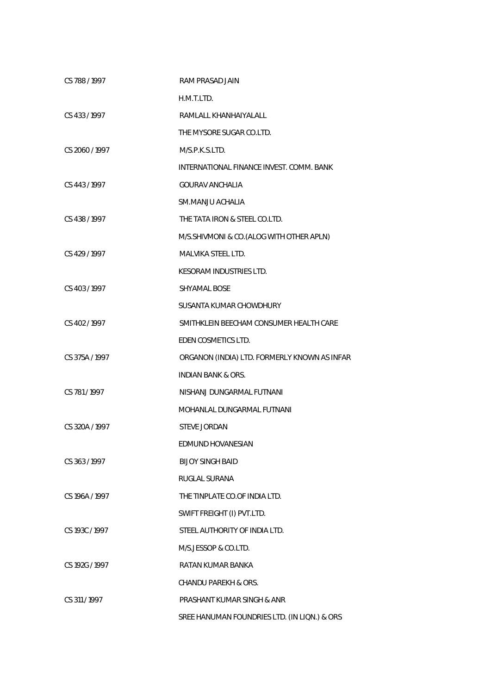| CS 788/1997    | RAM PRASAD JAIN                              |
|----------------|----------------------------------------------|
|                | H.M.T.LTD.                                   |
| CS 433/1997    | RAMLALL KHANHAIYALALL                        |
|                | THE MYSORE SUGAR CO.LTD.                     |
| CS 2060 / 1997 | M/S.P.K.S.LTD.                               |
|                | INTERNATIONAL FINANCE INVEST. COMM. BANK     |
| CS 443/1997    | <b>GOURAV ANCHALIA</b>                       |
|                | SM.MANJU ACHALIA                             |
| CS 438/1997    | THE TATA IRON & STEEL CO.LTD.                |
|                | M/S.SHIVMONI & CO.(ALOG WITH OTHER APLN)     |
| CS 429 / 1997  | MALVIKA STEEL LTD.                           |
|                | <b>KESORAM INDUSTRIES LTD.</b>               |
| CS 403/1997    | SHYAMAL BOSE                                 |
|                | SUSANTA KUMAR CHOWDHURY                      |
| CS 402/1997    | SMITHKLEIN BEECHAM CONSUMER HEALTH CARE      |
|                | EDEN COSMETICS LTD.                          |
| CS 375A / 1997 | ORGANON (INDIA) LTD. FORMERLY KNOWN AS INFAR |
|                | <b>INDIAN BANK &amp; ORS.</b>                |
| CS 781/1997    | NISHANJ DUNGARMAL FUTNANI                    |
|                | MOHANLAL DUNGARMAL FUTNANI                   |
| CS 320A / 1997 | <b>STEVE JORDAN</b>                          |
|                | EDMUND HOVANESIAN                            |
| CS 363/1997    | <b>BIJOY SINGH BAID</b>                      |
|                | RUGLAL SURANA                                |
| CS 196A / 1997 | THE TINPLATE CO.OF INDIA LTD.                |
|                | SWIFT FREIGHT (I) PVT.LTD.                   |
| CS 193C / 1997 | STEEL AUTHORITY OF INDIA LTD.                |
|                | M/S.JESSOP & CO.LTD.                         |
| CS 192G / 1997 | RATAN KUMAR BANKA                            |
|                | CHANDU PAREKH & ORS.                         |
| CS 311 / 1997  | PRASHANT KUMAR SINGH & ANR                   |
|                | SREE HANUMAN FOUNDRIES LTD. (IN LIQN.) & ORS |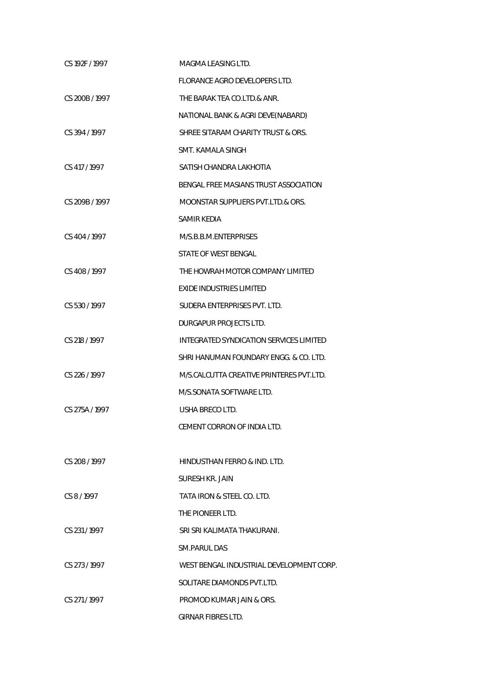| CS 192F / 1997 | MAGMA LEASING LTD.                       |
|----------------|------------------------------------------|
|                | FLORANCE AGRO DEVELOPERS LTD.            |
| CS 200B / 1997 | THE BARAK TEA CO.LTD.& ANR.              |
|                | NATIONAL BANK & AGRI DEVE(NABARD)        |
| CS 394 / 1997  | SHREE SITARAM CHARITY TRUST & ORS.       |
|                | SMT. KAMALA SINGH                        |
| CS 417 / 1997  | SATISH CHANDRA LAKHOTIA                  |
|                | BENGAL FREE MASIANS TRUST ASSOCIATION    |
| CS 209B / 1997 | MOONSTAR SUPPLIERS PVT.LTD.& ORS.        |
|                | <b>SAMIR KEDIA</b>                       |
| CS 404 / 1997  | M/S.B.B.M.ENTERPRISES                    |
|                | STATE OF WEST BENGAL                     |
| CS 408 / 1997  | THE HOWRAH MOTOR COMPANY LIMITED         |
|                | <b>EXIDE INDUSTRIES LIMITED</b>          |
| CS 530/1997    | SUDERA ENTERPRISES PVT. LTD.             |
|                | DURGAPUR PROJECTS LTD.                   |
| CS 218 / 1997  | INTEGRATED SYNDICATION SERVICES LIMITED  |
|                | SHRI HANUMAN FOUNDARY ENGG. & CO. LTD.   |
| CS 226 / 1997  | M/S.CALCUTTA CREATIVE PRINTERES PVT.LTD. |
|                | M/S.SONATA SOFTWARE LTD.                 |
| CS 275A / 1997 | USHA BRECO LTD.                          |
|                | CEMENT CORRON OF INDIA LTD.              |
|                |                                          |
| CS 208/1997    | HINDUSTHAN FERRO & IND. LTD.             |
|                | SURESH KR. JAIN                          |
| CS 8/1997      | TATA IRON & STEEL CO. LTD.               |
|                | THE PIONEER LTD.                         |
| CS 231/1997    | SRI SRI KALIMATA THAKURANI.              |
|                | SM.PARUL DAS                             |
| CS 273/1997    | WEST BENGAL INDUSTRIAL DEVELOPMENT CORP. |
|                | SOLITARE DIAMONDS PVT.LTD.               |
| CS 271/1997    | PROMOD KUMAR JAIN & ORS.                 |
|                | GIRNAR FIBRES LTD.                       |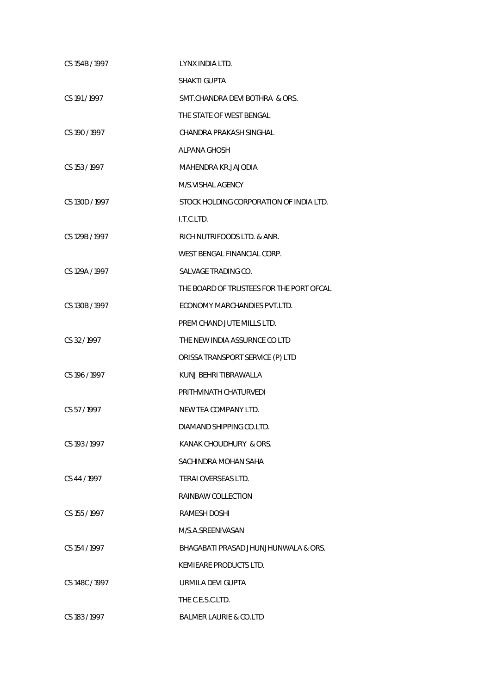| CS 154B / 1997 | LYNX INDIA LTD.                          |
|----------------|------------------------------------------|
|                | SHAKTI GUPTA                             |
| CS 191/1997    | SMT. CHANDRA DEVI BOTHRA & ORS.          |
|                | THE STATE OF WEST BENGAL                 |
| CS 190 / 1997  | CHANDRA PRAKASH SINGHAL                  |
|                | <b>ALPANA GHOSH</b>                      |
| CS 153 / 1997  | MAHENDRA KR.JAJODIA                      |
|                | M/S.VISHAL AGENCY                        |
| CS 130D / 1997 | STOCK HOLDING CORPORATION OF INDIA LTD.  |
|                | I.T.C.LTD.                               |
| CS 129B / 1997 | RICH NUTRIFOODS LTD. & ANR.              |
|                | WEST BENGAL FINANCIAL CORP.              |
| CS 129A / 1997 | SALVAGE TRADING CO.                      |
|                | THE BOARD OF TRUSTEES FOR THE PORT OFCAL |
| CS 130B / 1997 | ECONOMY MARCHANDIES PVT.LTD.             |
|                | PREM CHAND JUTE MILLS LTD.               |
| CS 32/1997     | THE NEW INDIA ASSURNCE CO LTD            |
|                | ORISSA TRANSPORT SERVICE (P) LTD         |
| CS 196 / 1997  | KUNJ BEHRI TIBRAWALLA                    |
|                | PRITHVINATH CHATURVEDI                   |
| CS 57/1997     | NEW TEA COMPANY LTD.                     |
|                | DIAMAND SHIPPING CO.LTD.                 |
| CS 193 / 1997  | KANAK CHOUDHURY & ORS.                   |
|                | SACHINDRA MOHAN SAHA                     |
| CS 44 / 1997   | TERAI OVERSEAS LTD.                      |
|                | RAINBAW COLLECTION                       |
| CS 155 / 1997  | RAMESH DOSHI                             |
|                | M/S.A.SREENIVASAN                        |
| CS 154 / 1997  | BHAGABATI PRASAD JHUNJHUNWALA & ORS.     |
|                | KEMIEARE PRODUCTS LTD.                   |
| CS 148C / 1997 | URMILA DEVI GUPTA                        |
|                | THE C.E.S.C.LTD.                         |
| CS 183 / 1997  | <b>BALMER LAURIE &amp; CO.LTD</b>        |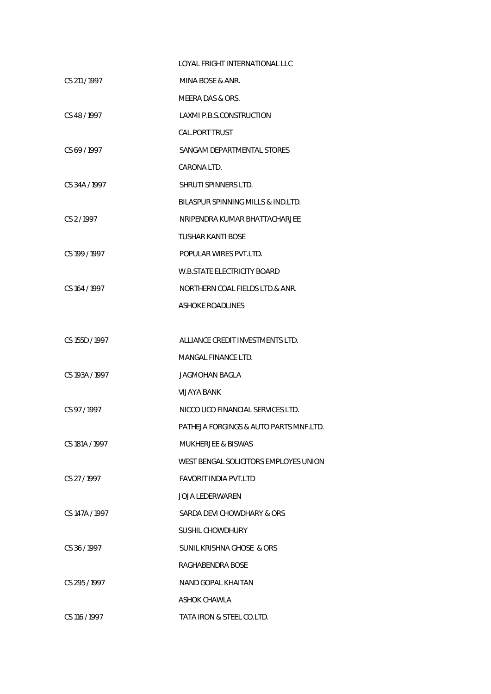|                | LOYAL FRIGHT INTERNATIONAL LLC         |
|----------------|----------------------------------------|
| CS 211/1997    | MINA BOSE & ANR.                       |
|                | MEERA DAS & ORS.                       |
| CS 48/1997     | <b>LAXMI P.B.S.CONSTRUCTION</b>        |
|                | <b>CAL.PORT TRUST</b>                  |
| CS 69/1997     | SANGAM DEPARTMENTAL STORES             |
|                | CARONA LTD.                            |
| CS 34A / 1997  | SHRUTI SPINNERS LTD.                   |
|                | BILASPUR SPINNING MILLS & IND.LTD.     |
| CS 2/1997      | NRIPENDRA KUMAR BHATTACHARJEE          |
|                | TUSHAR KANTI BOSE                      |
| CS 199 / 1997  | POPULAR WIRES PVT.LTD.                 |
|                | <b>W.B.STATE ELECTRICITY BOARD</b>     |
| CS 164 / 1997  | NORTHERN COAL FIELDS LTD.& ANR.        |
|                | <b>ASHOKE ROADLINES</b>                |
|                |                                        |
| CS 155D / 1997 | ALLIANCE CREDIT INVESTMENTS LTD.       |
|                | MANGAL FINANCE LTD.                    |
| CS 193A / 1997 | JAGMOHAN BAGLA                         |
|                | VIJAYA BANK                            |
| CS 97/1997     | NICCO UCO FINANCIAL SERVICES LTD.      |
|                | PATHEJA FORGINGS & AUTO PARTS MNF.LTD. |
| CS 181A / 1997 | <b>MUKHERJEE &amp; BISWAS</b>          |
|                | WEST BENGAL SOLICITORS EMPLOYES UNION  |
| CS 27 / 1997   | FAVORIT INDIA PVT.LTD                  |
|                | JOJA LEDERWAREN                        |
| CS 147A / 1997 | SARDA DEVI CHOWDHARY & ORS             |
|                | SUSHIL CHOWDHURY                       |
| CS 36/1997     | SUNIL KRISHNA GHOSE & ORS              |
|                | RAGHABENDRA BOSE                       |
| CS 295/1997    | NAND GOPAL KHAITAN                     |
|                | ASHOK CHAWLA                           |
| CS 116 / 1997  | TATA IRON & STEEL CO.LTD.              |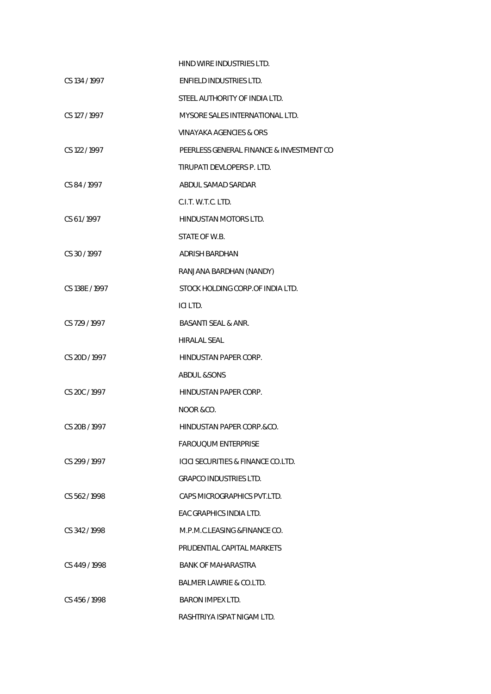|                | HIND WIRE INDUSTRIES LTD.                     |
|----------------|-----------------------------------------------|
| CS 134 / 1997  | ENFIELD INDUSTRIES LTD.                       |
|                | STEEL AUTHORITY OF INDIA LTD.                 |
| CS 127 / 1997  | MYSORE SALES INTERNATIONAL LTD.               |
|                | VINAYAKA AGENCIES & ORS                       |
| CS 122 / 1997  | PEERLESS GENERAL FINANCE & INVESTMENT CO      |
|                | TIRUPATI DEVLOPERS P. LTD.                    |
| CS 84 / 1997   | ABDUL SAMAD SARDAR                            |
|                | C.I.T. W.T.C. LTD.                            |
| CS 61/1997     | <b>HINDUSTAN MOTORS LTD.</b>                  |
|                | STATE OF W.B.                                 |
| CS 30/1997     | ADRISH BARDHAN                                |
|                | RANJANA BARDHAN (NANDY)                       |
| CS 138E / 1997 | STOCK HOLDING CORP.OF INDIA LTD.              |
|                | ICI LTD.                                      |
| CS 729 / 1997  | BASANTI SEAL & ANR.                           |
|                | <b>HIRALAL SEAL</b>                           |
| CS 20D / 1997  | HINDUSTAN PAPER CORP.                         |
|                | ABDUL &SONS                                   |
| CS 20C / 1997  | HINDUSTAN PAPER CORP.                         |
|                | NOOR &CO.                                     |
| CS 20B / 1997  | HINDUSTAN PAPER CORP.&CO.                     |
|                | <b>FAROUQUM ENTERPRISE</b>                    |
| CS 299/1997    | <b>ICICI SECURITIES &amp; FINANCE CO.LTD.</b> |
|                | <b>GRAPCO INDUSTRIES LTD.</b>                 |
| CS 562/1998    | CAPS MICROGRAPHICS PVT.LTD.                   |
|                | EAC GRAPHICS INDIA LTD.                       |
| CS 342/1998    | M.P.M.C.LEASING & FINANCE CO.                 |
|                | PRUDENTIAL CAPITAL MARKETS                    |
| CS 449/1998    | BANK OF MAHARASTRA                            |
|                | BALMER LAWRIE & CO.LTD.                       |
| CS 456/1998    | <b>BARON IMPEX LTD.</b>                       |
|                | RASHTRIYA ISPAT NIGAM LTD.                    |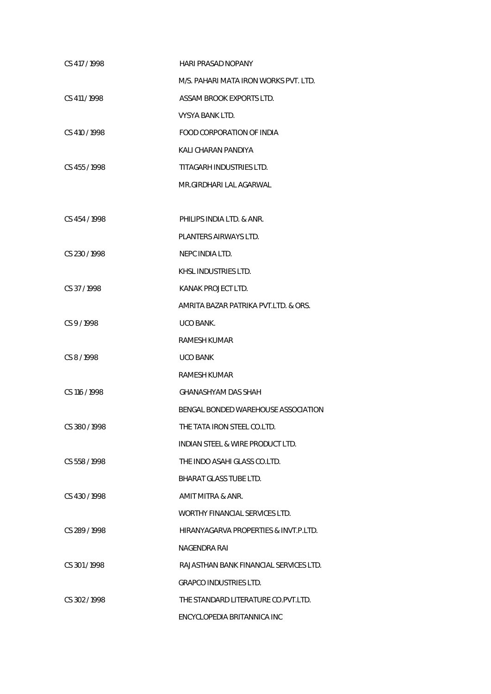| CS 417 / 1998 | <b>HARI PRASAD NOPANY</b>              |
|---------------|----------------------------------------|
|               | M/S. PAHARI MATA IRON WORKS PVT. LTD.  |
| CS 411 / 1998 | ASSAM BROOK EXPORTS LTD.               |
|               | VYSYA BANK LTD.                        |
| CS 410 / 1998 | FOOD CORPORATION OF INDIA              |
|               | KALI CHARAN PANDIYA                    |
| CS 455 / 1998 | TITAGARH INDUSTRIES LTD.               |
|               | MR.GIRDHARI LAL AGARWAL                |
|               |                                        |
| CS 454 / 1998 | PHILIPS INDIA LTD. & ANR.              |
|               | PLANTERS AIRWAYS LTD.                  |
| CS 230 / 1998 | NEPC INDIA LTD.                        |
|               | KHSL INDUSTRIES LTD.                   |
| CS 37/1998    | KANAK PROJECT LTD.                     |
|               | AMRITA BAZAR PATRIKA PVT.LTD. & ORS.   |
| CS 9/1998     | UCO BANK.                              |
|               | RAMESH KUMAR                           |
| CS 8/1998     | <b>UCO BANK</b>                        |
|               | RAMESH KUMAR                           |
| CS 116 / 1998 | <b>GHANASHYAM DAS SHAH</b>             |
|               | BENGAL BONDED WAREHOUSE ASSOCIATION    |
| CS 380 / 1998 | THE TATA IRON STEEL CO.LTD.            |
|               | INDIAN STEEL & WIRE PRODUCT LTD.       |
| CS 558 / 1998 | THE INDO ASAHI GLASS CO.LTD.           |
|               | BHARAT GLASS TUBE LTD.                 |
| CS 430/1998   | AMIT MITRA & ANR.                      |
|               | WORTHY FINANCIAL SERVICES LTD.         |
| CS 289/1998   | HIRANYAGARVA PROPERTIES & INVT.P.LTD.  |
|               | NAGENDRA RAI                           |
| CS 301/1998   | RAJASTHAN BANK FINANCIAL SERVICES LTD. |
|               | GRAPCO INDUSTRIES LTD.                 |
| CS 302/1998   | THE STANDARD LITERATURE CO.PVT.LTD.    |
|               | ENCYCLOPEDIA BRITANNICA INC            |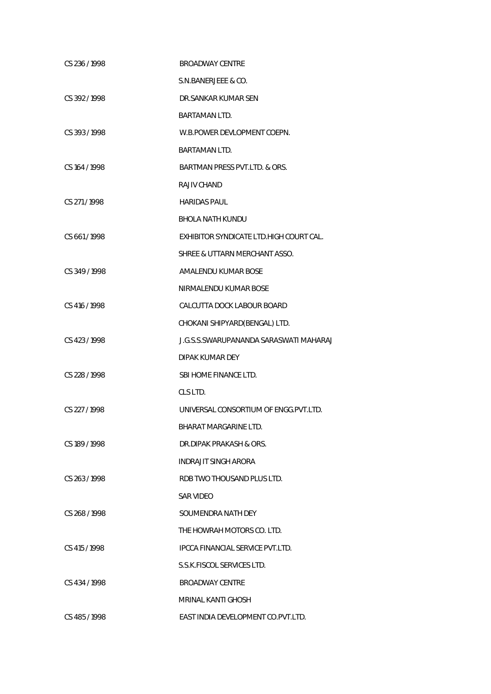| CS 236 / 1998 | <b>BROADWAY CENTRE</b>                  |
|---------------|-----------------------------------------|
|               | S.N.BANERJEEE & CO.                     |
| CS 392/1998   | DR.SANKAR KUMAR SEN                     |
|               | <b>BARTAMAN LTD.</b>                    |
| CS 393/1998   | W.B.POWER DEVLOPMENT COEPN.             |
|               | <b>BARTAMAN LTD.</b>                    |
| CS 164 / 1998 | BARTMAN PRESS PVT.LTD. & ORS.           |
|               | RAJIV CHAND                             |
| CS 271/1998   | <b>HARIDAS PAUL</b>                     |
|               | <b>BHOLA NATH KUNDU</b>                 |
| CS 661/1998   | EXHIBITOR SYNDICATE LTD.HIGH COURT CAL. |
|               | SHREE & UTTARN MERCHANT ASSO.           |
| CS 349 / 1998 | AMALENDU KUMAR BOSE                     |
|               | NIRMALENDU KUMAR BOSE                   |
| CS 416 / 1998 | CALCUTTA DOCK LABOUR BOARD              |
|               | CHOKANI SHIPYARD(BENGAL) LTD.           |
| CS 423/1998   | J.G.S.S.SWARUPANANDA SARASWATI MAHARAJ  |
|               | DIPAK KUMAR DEY                         |
| CS 228 / 1998 | SBI HOME FINANCE LTD.                   |
|               | CLS LTD.                                |
| CS 227 / 1998 | UNIVERSAL CONSORTIUM OF ENGG. PVT. LTD. |
|               | BHARAT MARGARINE LTD.                   |
| CS 189/1998   | DR.DIPAK PRAKASH & ORS.                 |
|               | <b>INDRAJIT SINGH ARORA</b>             |
| CS 263/1998   | RDB TWO THOUSAND PLUS LTD.              |
|               | SAR VIDEO                               |
| CS 268/1998   | SOUMENDRA NATH DEY                      |
|               | THE HOWRAH MOTORS CO. LTD.              |
| CS 415/1998   | <b>IPCCA FINANCIAL SERVICE PVT.LTD.</b> |
|               | S.S.K.FISCOL SERVICES LTD.              |
| CS 434/1998   | <b>BROADWAY CENTRE</b>                  |
|               | <b>MRINAL KANTI GHOSH</b>               |
| CS 485/1998   | EAST INDIA DEVELOPMENT CO. PVT. LTD.    |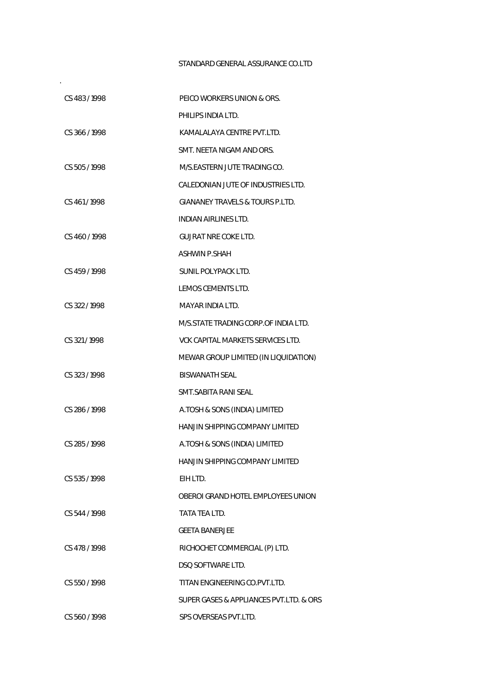## STANDARD GENERAL ASSURANCE CO.LTD

.

| CS 483/1998   | PEICO WORKERS UNION & ORS.                 |
|---------------|--------------------------------------------|
|               | PHILIPS INDIA LTD.                         |
| CS 366/1998   | KAMALALAYA CENTRE PVT.LTD.                 |
|               | SMT. NEETA NIGAM AND ORS.                  |
| CS 505/1998   | M/S.EASTERN JUTE TRADING CO.               |
|               | CALEDONIAN JUTE OF INDUSTRIES LTD.         |
| CS 461/1998   | <b>GIANANEY TRAVELS &amp; TOURS P.LTD.</b> |
|               | INDIAN AIRLINES LTD.                       |
| CS 460/1998   | <b>GUJRAT NRE COKE LTD.</b>                |
|               | <b>ASHWIN P.SHAH</b>                       |
| CS 459 / 1998 | SUNIL POLYPACK LTD.                        |
|               | LEMOS CEMENTS LTD.                         |
| CS 322 / 1998 | MAYAR INDIA LTD.                           |
|               | M/S.STATE TRADING CORP.OF INDIA LTD.       |
| CS 321/1998   | VCK CAPITAL MARKETS SERVICES LTD.          |
|               | MEWAR GROUP LIMITED (IN LIQUIDATION)       |
| CS 323/1998   | <b>BISWANATH SEAL</b>                      |
|               | SMT.SABITA RANI SEAL                       |
| CS 286 / 1998 | A.TOSH & SONS (INDIA) LIMITED              |
|               | HANJIN SHIPPING COMPANY LIMITED            |
| CS 285 / 1998 | A.TOSH & SONS (INDIA) LIMITED              |
|               | HANJIN SHIPPING COMPANY LIMITED            |
| CS 535/1998   | EIH LTD.                                   |
|               | OBEROI GRAND HOTEL EMPLOYEES UNION         |
| CS 544/1998   | TATA TEA LTD.                              |
|               | <b>GEETA BANERJEE</b>                      |
| CS 478 / 1998 | RICHOCHET COMMERCIAL (P) LTD.              |
|               | DSQ SOFTWARE LTD.                          |
| CS 550/1998   | TITAN ENGINEERING CO.PVT.LTD.              |
|               | SUPER GASES & APPLIANCES PVT.LTD. & ORS    |
| CS 560/1998   | SPS OVERSEAS PVT.LTD.                      |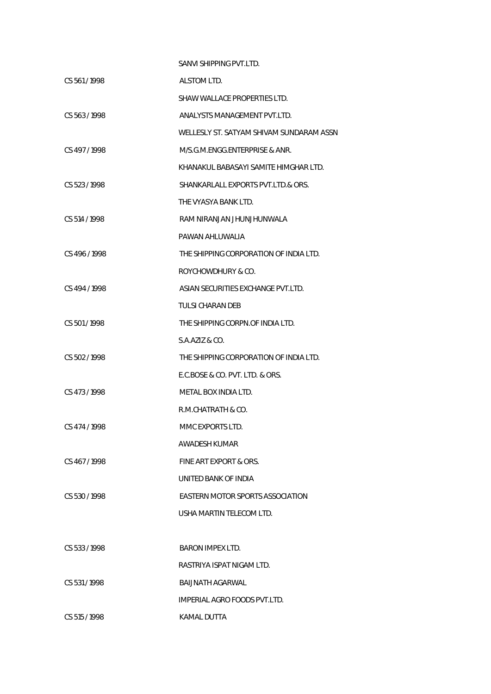|               | SANVI SHIPPING PVT.LTD.                  |
|---------------|------------------------------------------|
| CS 561/1998   | ALSTOM LTD.                              |
|               | SHAW WALLACE PROPERTIES LTD.             |
| CS 563/1998   | ANALYSTS MANAGEMENT PVT.LTD.             |
|               | WELLESLY ST. SATYAM SHIVAM SUNDARAM ASSN |
| CS 497/1998   | M/S.G.M.ENGG.ENTERPRISE & ANR.           |
|               | KHANAKUL BABASAYI SAMITE HIMGHAR LTD.    |
| CS 523/1998   | SHANKARLALL EXPORTS PVT.LTD.& ORS.       |
|               | THE VYASYA BANK LTD.                     |
| CS 514 / 1998 | RAM NIRANJAN JHUNJHUNWALA                |
|               | PAWAN AHLUWALIA                          |
| CS 496/1998   | THE SHIPPING CORPORATION OF INDIA LTD.   |
|               | ROYCHOWDHURY & CO.                       |
| CS 494/1998   | ASIAN SECURITIES EXCHANGE PVT.LTD.       |
|               | TULSI CHARAN DEB                         |
| CS 501/1998   | THE SHIPPING CORPN.OF INDIA LTD.         |
|               | S.A.AZIZ & CO.                           |
| CS 502/1998   | THE SHIPPING CORPORATION OF INDIA LTD.   |
|               | E.C.BOSE & CO. PVT. LTD. & ORS.          |
| CS 473/1998   | METAL BOX INDIA LTD.                     |
|               | R.M.CHATRATH & CO.                       |
| CS 474/1998   | MMC EXPORTS LTD.                         |
|               | AWADESH KUMAR                            |
| CS 467/1998   | FINE ART EXPORT & ORS.                   |
|               | UNITED BANK OF INDIA                     |
| CS 530/1998   | EASTERN MOTOR SPORTS ASSOCIATION         |
|               | USHA MARTIN TELECOM LTD.                 |
|               |                                          |
| CS 533/1998   | <b>BARON IMPEX LTD.</b>                  |
|               | RASTRIYA ISPAT NIGAM LTD.                |
| CS 531/1998   | BAIJNATH AGARWAL                         |
|               | IMPERIAL AGRO FOODS PVT.LTD.             |
| CS 515/1998   | KAMAL DUTTA                              |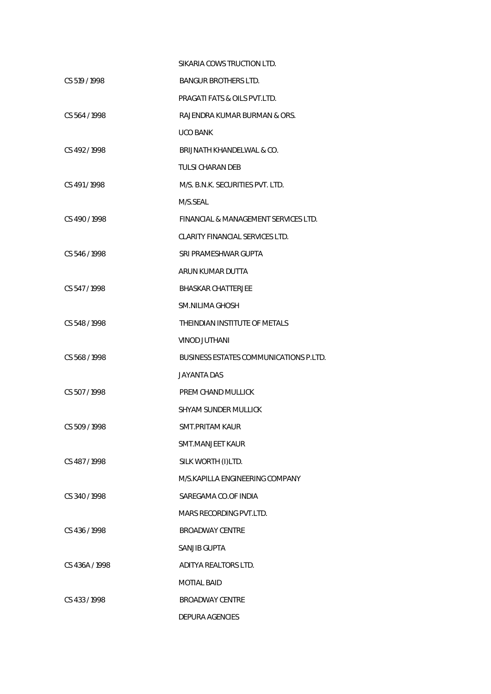|                | SIKARIA COWS TRUCTION LTD.                    |
|----------------|-----------------------------------------------|
| CS 519 / 1998  | <b>BANGUR BROTHERS LTD.</b>                   |
|                | PRAGATI FATS & OILS PVT.LTD.                  |
| CS 564/1998    | RAJENDRA KUMAR BURMAN & ORS.                  |
|                | <b>UCO BANK</b>                               |
| CS 492/1998    | BRIJNATH KHANDELWAL & CO.                     |
|                | TULSI CHARAN DEB                              |
| CS 491/1998    | M/S. B.N.K. SECURITIES PVT. LTD.              |
|                | M/S.SEAL                                      |
| CS 490/1998    | FINANCIAL & MANAGEMENT SERVICES LTD.          |
|                | CLARITY FINANCIAL SERVICES LTD.               |
| CS 546/1998    | SRI PRAMESHWAR GUPTA                          |
|                | ARUN KUMAR DUTTA                              |
| CS 547/1998    | <b>BHASKAR CHATTERJEE</b>                     |
|                | SM.NILIMA GHOSH                               |
| CS 548 / 1998  | THEINDIAN INSTITUTE OF METALS                 |
|                | <b>VINOD JUTHANI</b>                          |
| CS 568 / 1998  | <b>BUSINESS ESTATES COMMUNICATIONS P.LTD.</b> |
|                | JAYANTA DAS                                   |
| CS 507/1998    | PREM CHAND MULLICK                            |
|                | SHYAM SUNDER MULLICK                          |
| CS 509 / 1998  | SMT.PRITAM KAUR                               |
|                | SMT.MANJEET KAUR                              |
| CS 487/1998    | SILK WORTH (I)LTD.                            |
|                | M/S.KAPILLA ENGINEERING COMPANY               |
| CS 340/1998    | SAREGAMA CO.OF INDIA                          |
|                | MARS RECORDING PVT.LTD.                       |
| CS 436/1998    | <b>BROADWAY CENTRE</b>                        |
|                | SANJIB GUPTA                                  |
| CS 436A / 1998 | ADITYA REALTORS LTD.                          |
|                | <b>MOTIAL BAID</b>                            |
| CS 433/1998    | <b>BROADWAY CENTRE</b>                        |
|                | DEPURA AGENCIES                               |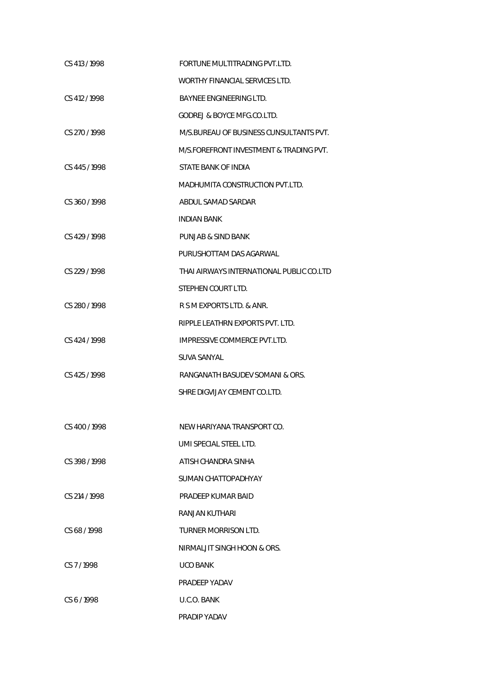| CS 413/1998   | FORTUNE MULTITRADING PVT.LTD.            |
|---------------|------------------------------------------|
|               | WORTHY FINANCIAL SERVICES LTD.           |
| CS 412 / 1998 | <b>BAYNEE ENGINEERING LTD.</b>           |
|               | <b>GODREJ &amp; BOYCE MFG.CO.LTD.</b>    |
| CS 270/1998   | M/S.BUREAU OF BUSINESS CUNSULTANTS PVT.  |
|               | M/S.FOREFRONT INVESTMENT & TRADING PVT.  |
| CS 445/1998   | STATE BANK OF INDIA                      |
|               | MADHUMITA CONSTRUCTION PVT.LTD.          |
| CS 360/1998   | ABDUL SAMAD SARDAR                       |
|               | <b>INDIAN BANK</b>                       |
| CS 429/1998   | PUNJAB & SIND BANK                       |
|               | PURUSHOTTAM DAS AGARWAL                  |
| CS 229/1998   | THAI AIRWAYS INTERNATIONAL PUBLIC CO.LTD |
|               | STEPHEN COURT LTD.                       |
| CS 280 / 1998 | R S M EXPORTS LTD. & ANR.                |
|               | RIPPLE LEATHRN EXPORTS PVT. LTD.         |
| CS 424 / 1998 | IMPRESSIVE COMMERCE PVT.LTD.             |
|               | <b>SUVA SANYAL</b>                       |
| CS 425/1998   | RANGANATH BASUDEV SOMANI & ORS.          |
|               | SHRE DIGVIJAY CEMENT CO.LTD.             |
|               |                                          |
| CS 400 / 1998 | NEW HARIYANA TRANSPORT CO.               |
|               | UMI SPECIAL STEEL LTD.                   |
| CS 398/1998   | ATISH CHANDRA SINHA                      |
|               | SUMAN CHATTOPADHYAY                      |
| CS 214 / 1998 | PRADEEP KUMAR BAID                       |
|               | RANJAN KUTHARI                           |
| CS 68/1998    | TURNER MORRISON LTD.                     |
|               | NIRMALJIT SINGH HOON & ORS.              |
| CS 7/1998     | <b>UCO BANK</b>                          |
|               | PRADEEP YADAV                            |
| CS 6/1998     | U.C.O. BANK                              |
|               | PRADIP YADAV                             |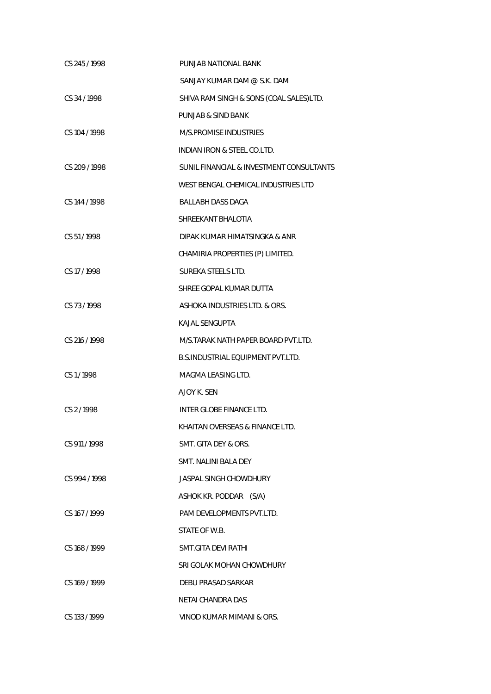| CS 245/1998   | PUNJAB NATIONAL BANK                     |
|---------------|------------------------------------------|
|               | SANJAY KUMAR DAM @ S.K. DAM              |
| CS 34/1998    | SHIVA RAM SINGH & SONS (COAL SALES)LTD.  |
|               | PUNJAB & SIND BANK                       |
| CS 104 / 1998 | M/S.PROMISE INDUSTRIES                   |
|               | INDIAN IRON & STEEL CO.LTD.              |
| CS 209/1998   | SUNIL FINANCIAL & INVESTMENT CONSULTANTS |
|               | WEST BENGAL CHEMICAL INDUSTRIES LTD      |
| CS 144 / 1998 | <b>BALLABH DASS DAGA</b>                 |
|               | SHREEKANT BHALOTIA                       |
| CS 51/1998    | DIPAK KUMAR HIMATSINGKA & ANR            |
|               | CHAMIRIA PROPERTIES (P) LIMITED.         |
| CS 17/1998    | SUREKA STEELS LTD.                       |
|               | SHREE GOPAL KUMAR DUTTA                  |
| CS 73/1998    | ASHOKA INDUSTRIES LTD. & ORS.            |
|               | <b>KAJAL SENGUPTA</b>                    |
| CS 216 / 1998 | M/S.TARAK NATH PAPER BOARD PVT.LTD.      |
|               | B.S.INDUSTRIAL EQUIPMENT PVT.LTD.        |
| CS1/1998      | MAGMA LEASING LTD.                       |
|               | AJOY K. SEN                              |
| CS 2/1998     | INTER GLOBE FINANCE LTD.                 |
|               | KHAITAN OVERSEAS & FINANCE LTD.          |
| CS 911/1998   | SMT. GITA DEY & ORS.                     |
|               | SMT. NALINI BALA DEY                     |
| CS 994 / 1998 | <b>JASPAL SINGH CHOWDHURY</b>            |
|               | ASHOK KR. PODDAR (S/A)                   |
| CS 167/1999   | PAM DEVELOPMENTS PVT.LTD.                |
|               | STATE OF W.B.                            |
| CS 168 / 1999 | SMT.GITA DEVI RATHI                      |
|               | SRI GOLAK MOHAN CHOWDHURY                |
| CS 169/1999   | DEBU PRASAD SARKAR                       |
|               | NETAI CHANDRA DAS                        |
| CS 133 / 1999 | VINOD KUMAR MIMANI & ORS.                |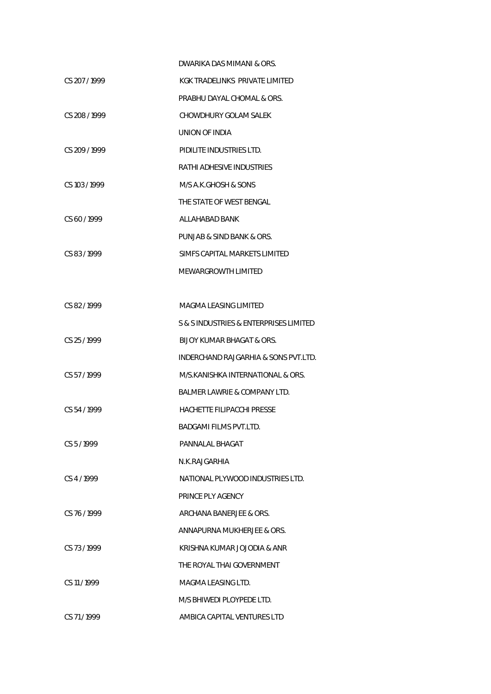|             | DWARIKA DAS MIMANI & ORS.               |
|-------------|-----------------------------------------|
| CS 207/1999 | KGK TRADELINKS PRIVATE LIMITED          |
|             | PRABHU DAYAL CHOMAL & ORS.              |
| CS 208/1999 | CHOWDHURY GOLAM SALEK                   |
|             | UNION OF INDIA                          |
| CS 209/1999 | PIDILITE INDUSTRIES LTD.                |
|             | RATHI ADHESIVE INDUSTRIES               |
| CS 103/1999 | M/S A.K.GHOSH & SONS                    |
|             | THE STATE OF WEST BENGAL                |
| CS 60/1999  | ALLAHABAD BANK                          |
|             | PUNJAB & SIND BANK & ORS.               |
| CS 83/1999  | SIMES CAPITAL MARKETS LIMITED           |
|             | MEWARGROWTH LIMITED                     |
|             |                                         |
| CS 82/1999  | MAGMA LEASING LIMITED                   |
|             | S & S INDUSTRIES & ENTERPRISES LIMITED  |
| CS 25/1999  | BIJOY KUMAR BHAGAT & ORS.               |
|             | INDERCHAND RAJGARHIA & SONS PVT.LTD.    |
| CS 57/1999  | M/S.KANISHKA INTERNATIONAL & ORS.       |
|             | <b>BALMER LAWRIE &amp; COMPANY LTD.</b> |
| CS 54/1999  | HACHETTE FILIPACCHI PRESSE              |
|             | BADGAMI FILMS PVT.LTD.                  |
| CS 5/1999   | PANNALAL BHAGAT                         |
|             | N.K.RAJGARHIA                           |
| CS 4/1999   | NATIONAL PLYWOOD INDUSTRIES LTD.        |
|             | PRINCE PLY AGENCY                       |
| CS 76/1999  | ARCHANA BANERJEE & ORS.                 |
|             | ANNAPURNA MUKHERJEE & ORS.              |
| CS 73/1999  | KRISHNA KUMAR JOJODIA & ANR             |
|             | THE ROYAL THAI GOVERNMENT               |
| CS 11/1999  | MAGMA LEASING LTD.                      |
|             | M/S BHIWEDI PLOYPEDE LTD.               |
| CS 71/1999  | AMBICA CAPITAL VENTURES LTD             |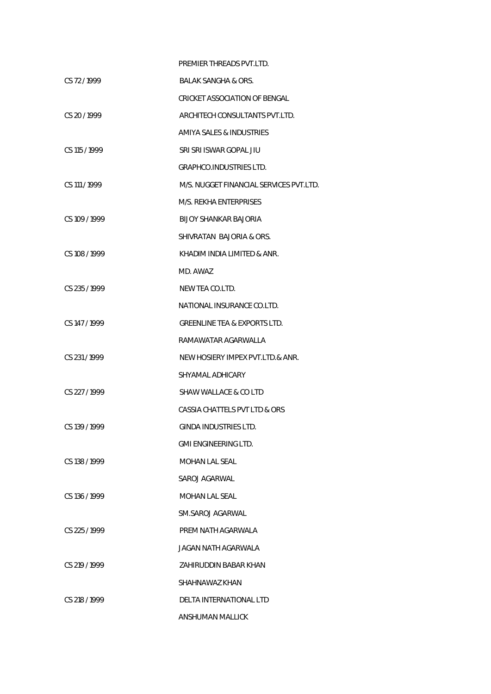|                 | PREMIER THREADS PVT.LTD.                |
|-----------------|-----------------------------------------|
| CS 72/1999      | BALAK SANGHA & ORS.                     |
|                 | CRICKET ASSOCIATION OF BENGAL           |
| CS 20/1999      | ARCHITECH CONSULTANTS PVT.LTD.          |
|                 | AMIYA SALES & INDUSTRIES                |
| $CS$ 115 / 1999 | SRI SRI ISWAR GOPAL JIU                 |
|                 | <b>GRAPHCO.INDUSTRIES LTD.</b>          |
| CS 111/1999     | M/S. NUGGET FINANCIAL SERVICES PVT.LTD. |
|                 | M/S. REKHA ENTERPRISES                  |
| CS 109 / 1999   | BIJOY SHANKAR BAJORIA                   |
|                 | SHIVRATAN BAJORIA & ORS.                |
| CS 108/1999     | KHADIM INDIA LIMITED & ANR.             |
|                 | MD. AWAZ                                |
| CS 235 / 1999   | NEW TEA CO.LTD.                         |
|                 | NATIONAL INSURANCE CO.LTD.              |
| CS 147/1999     | <b>GREENLINE TEA &amp; EXPORTS LTD.</b> |
|                 | RAMAWATAR AGARWALLA                     |
| CS 231/1999     | NEW HOSIERY IMPEX PVT.LTD.& ANR.        |
|                 | SHYAMAL ADHICARY                        |
| CS 227/1999     | SHAW WALLACE & CO LTD                   |
|                 | CASSIA CHATTELS PVT LTD & ORS           |
| CS 139/1999     | GINDA INDUSTRIES LTD.                   |
|                 | <b>GMI ENGINEERING LTD.</b>             |
| CS 138 / 1999   | MOHAN LAL SEAL                          |
|                 | SAROJ AGARWAL                           |
| CS 136/1999     | MOHAN LAL SEAL                          |
|                 | SM.SAROJ AGARWAL                        |
| $CS$ 225 / 1999 | PREM NATH AGARWALA                      |
|                 | JAGAN NATH AGARWALA                     |
| CS 219 / 1999   | ZAHIRUDDIN BABAR KHAN                   |
|                 | SHAHNAWAZ KHAN                          |
| CS 218/1999     | DELTA INTERNATIONAL LTD                 |
|                 | ANSHUMAN MALLICK                        |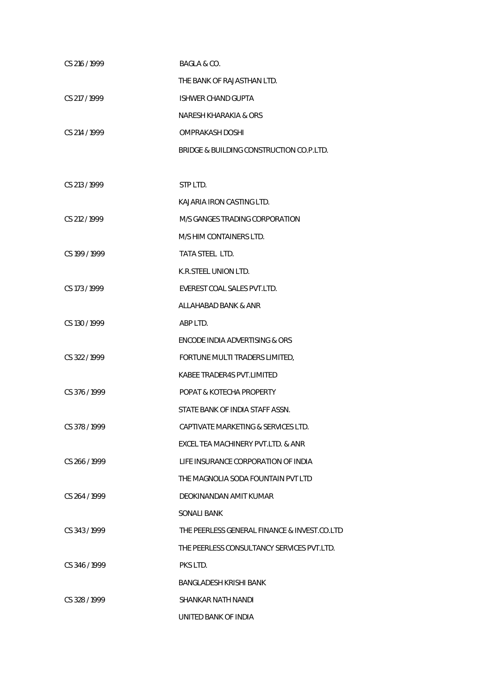| CS 216 / 1999 | BAGLA & CO.                                   |
|---------------|-----------------------------------------------|
|               | THE BANK OF RAJASTHAN LTD.                    |
| CS 217 / 1999 | <b>ISHWER CHAND GUPTA</b>                     |
|               | NARESH KHARAKIA & ORS                         |
| CS 214 / 1999 | OMPRAKASH DOSHI                               |
|               | BRIDGE & BUILDING CONSTRUCTION CO.P.LTD.      |
|               |                                               |
| CS 213 / 1999 | STP LTD.                                      |
|               | KAJARIA IRON CASTING LTD.                     |
| CS 212 / 1999 | M/S GANGES TRADING CORPORATION                |
|               | M/S HIM CONTAINERS LTD.                       |
| CS 199 / 1999 | TATA STEEL LTD.                               |
|               | K.R.STEEL UNION LTD.                          |
| CS 173 / 1999 | EVEREST COAL SALES PVT.LTD.                   |
|               | ALLAHABAD BANK & ANR                          |
| CS 130 / 1999 | ABP LTD.                                      |
|               | <b>ENCODE INDIA ADVERTISING &amp; ORS</b>     |
| CS 322/1999   | FORTUNE MULTI TRADERS LIMITED,                |
|               | KABEE TRADER4S PVT.LIMITED                    |
| CS 376 / 1999 | POPAT & KOTECHA PROPERTY                      |
|               | STATE BANK OF INDIA STAFF ASSN.               |
| CS 378 / 1999 | CAPTIVATE MARKETING & SERVICES LTD.           |
|               | <b>EXCEL TEA MACHINERY PVT LTD. &amp; ANR</b> |
| CS 266/1999   | LIFE INSURANCE CORPORATION OF INDIA           |
|               | THE MAGNOLIA SODA FOUNTAIN PVT LTD            |
| CS 264/1999   | DEOKINANDAN AMIT KUMAR                        |
|               | SONALI BANK                                   |
| CS 343/1999   | THE PEERLESS GENERAL FINANCE & INVEST.CO.LTD  |
|               | THE PEERLESS CONSULTANCY SERVICES PVT.LTD.    |
| CS 346/1999   | PKS LTD.                                      |
|               | BANGLADESH KRISHI BANK                        |
| CS 328/1999   | SHANKAR NATH NANDI                            |
|               | UNITED BANK OF INDIA                          |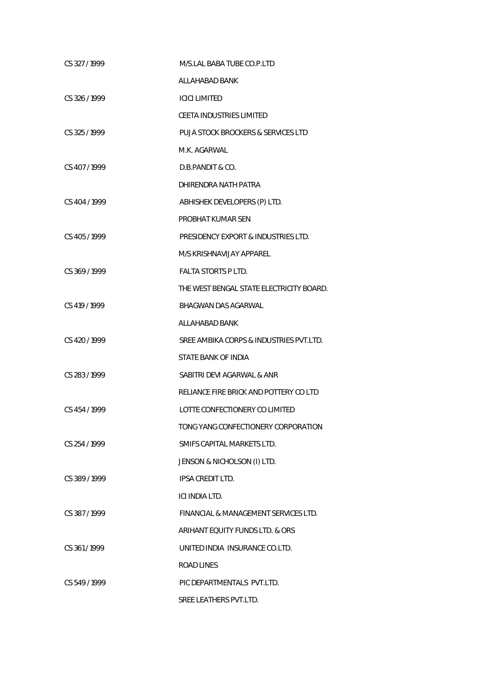| CS 327/1999   | M/S.LAL BABA TUBE CO.P.LTD                    |
|---------------|-----------------------------------------------|
|               | ALLAHABAD BANK                                |
| CS 326/1999   | <b>ICICI LIMITED</b>                          |
|               | <b>CEETA INDUSTRIES LIMITED</b>               |
| CS 325 / 1999 | <b>PUJA STOCK BROCKERS &amp; SERVICES LTD</b> |
|               | M.K. AGARWAI                                  |
| CS 407/1999   | D.B.PANDIT & CO.                              |
|               | DHIRENDRA NATH PATRA                          |
| CS 404 / 1999 | ABHISHEK DEVELOPERS (P) LTD.                  |
|               | PROBHAT KUMAR SEN                             |
| CS 405/1999   | PRESIDENCY EXPORT & INDUSTRIES LTD.           |
|               | M/S KRISHNAVIJAY APPAREL                      |
| CS 369/1999   | <b>FAI TA STORTS P LTD.</b>                   |
|               | THE WEST BENGAL STATE ELECTRICITY BOARD.      |
| CS 419 / 1999 | <b>BHAGWAN DAS AGARWAL</b>                    |
|               | ALLAHABAD BANK                                |
| CS 420/1999   | SREE AMBIKA CORPS & INDUSTRIES PVT.LTD.       |
|               | STATE BANK OF INDIA                           |
| CS 283/1999   | SABITRI DEVI AGARWAL & ANR                    |
|               | RELIANCE FIRE BRICK AND POTTERY CO LTD        |
| CS 454 / 1999 | LOTTE CONFECTIONERY CO LIMITED                |
|               | TONG YANG CONFECTIONERY CORPORATION           |
| CS 254 / 1999 | SMIFS CAPITAL MARKETS LTD.                    |
|               | JENSON & NICHOLSON (I) LTD.                   |
| CS 389/1999   | IPSA CREDIT LTD.                              |
|               | ICI INDIA LTD.                                |
| CS 387/1999   | FINANCIAL & MANAGEMENT SERVICES LTD.          |
|               | ARIHANT EQUITY FUNDS LTD. & ORS               |
| CS 361/1999   | UNITED INDIA INSURANCE CO.LTD.                |
|               | <b>ROAD LINES</b>                             |
| CS 549/1999   | PIC DEPARTMENTALS PVT.LTD.                    |
|               | SREE LEATHERS PVT.LTD.                        |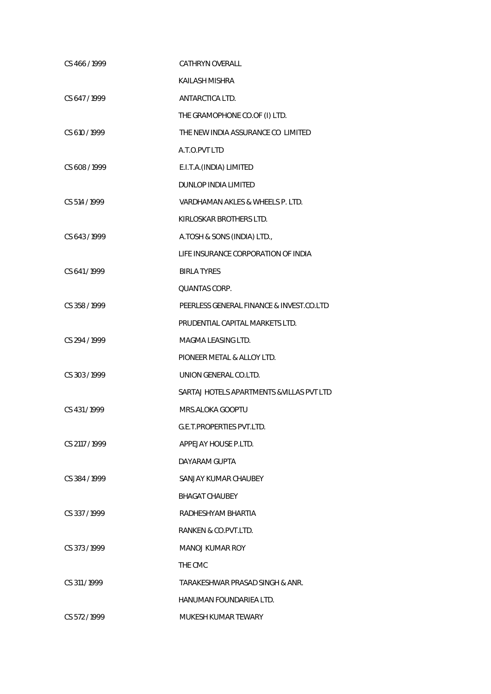| CS 466 / 1999  | <b>CATHRYN OVERALL</b>                    |
|----------------|-------------------------------------------|
|                | KAILASH MISHRA                            |
| CS 647/1999    | ANTARCTICA LTD.                           |
|                | THE GRAMOPHONE CO.OF (I) LTD.             |
| CS 610 / 1999  | THE NEW INDIA ASSURANCE CO LIMITED        |
|                | A.T.O.PVT LTD                             |
| CS 608 / 1999  | E.I.T.A.(INDIA) LIMITED                   |
|                | DUNLOP INDIA LIMITED                      |
| CS 514 / 1999  | VARDHAMAN AKLES & WHEELS P. LTD.          |
|                | KIRLOSKAR BROTHERS LTD.                   |
| CS 643/1999    | A.TOSH & SONS (INDIA) LTD.,               |
|                | LIFE INSURANCE CORPORATION OF INDIA       |
| CS 641/1999    | <b>BIRLA TYRES</b>                        |
|                | <b>QUANTAS CORP.</b>                      |
| CS 358 / 1999  | PEERLESS GENERAL FINANCE & INVEST.CO.LTD  |
|                | PRUDENTIAL CAPITAL MARKETS LTD.           |
| CS 294 / 1999  | MAGMA LEASING LTD.                        |
|                | PIONEER METAL & ALLOY LTD.                |
| CS 303/1999    | UNION GENERAL CO.LTD.                     |
|                | SARTAJ HOTELS APARTMENTS & VILLAS PVT LTD |
| CS 431/1999    | MRS.ALOKA GOOPTU                          |
|                | G.E.T.PROPERTIES PVT.LTD.                 |
| CS 2117 / 1999 | APPEJAY HOUSE P.LTD.                      |
|                | DAYARAM GUPTA                             |
| CS 384/1999    | SANJAY KUMAR CHAUBEY                      |
|                | <b>BHAGAT CHAUBEY</b>                     |
| CS 337/1999    | RADHESHYAM BHARTIA                        |
|                | RANKEN & CO.PVT.LTD.                      |
| CS 373/1999    | MANOJ KUMAR ROY                           |
|                | THE CMC                                   |
| CS 311/1999    | TARAKESHWAR PRASAD SINGH & ANR.           |
|                | HANUMAN FOUNDARIEA LTD.                   |
| CS 572/1999    | MUKESH KUMAR TEWARY                       |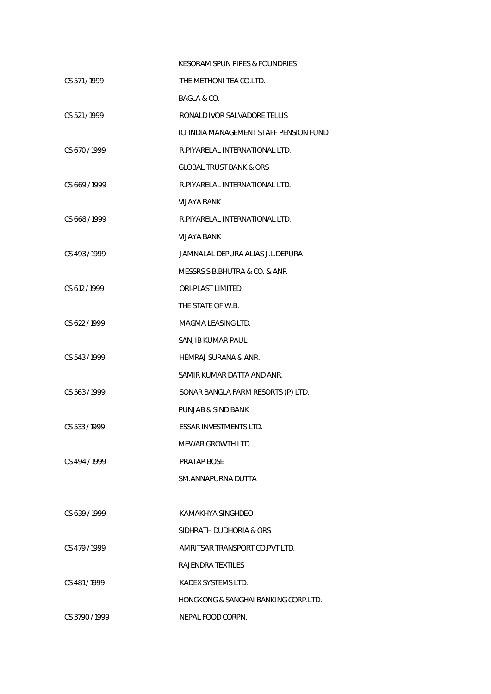|                | KESORAM SPUN PIPES & FOUNDRIES          |
|----------------|-----------------------------------------|
| CS 571/1999    | THE METHONI TEA CO.LTD.                 |
|                | BAGLA & CO.                             |
| CS 521/1999    | RONALD IVOR SALVADORE TELLIS            |
|                | ICI INDIA MANAGEMENT STAFF PENSION FUND |
| CS 670/1999    | R.PIYARELAL INTERNATIONAL LTD.          |
|                | <b>GLOBAL TRUST BANK &amp; ORS</b>      |
| CS 669/1999    | R.PIYARELAL INTERNATIONAL LTD.          |
|                | VIJAYA BANK                             |
| CS 668/1999    | R.PIYARELAL INTERNATIONAL LTD.          |
|                | VIJAYA BANK                             |
| CS 493/1999    | JAMNALAL DEPURA ALIAS J.L.DEPURA        |
|                | MESSRS S.B.BHUTRA & CO. & ANR           |
| CS 612/1999    | ORI-PLAST LIMITED                       |
|                | THE STATE OF W.B.                       |
| CS 622/1999    | MAGMA LEASING LTD.                      |
|                | SANJIB KUMAR PAUL                       |
| CS 543/1999    | <b>HEMRAJ SURANA &amp; ANR.</b>         |
|                | SAMIR KUMAR DATTA AND ANR.              |
| CS 563/1999    | SONAR BANGLA FARM RESORTS (P) LTD.      |
|                | PUNJAB & SIND BANK                      |
| CS 533 / 1999  | ESSAR INVESTMENTS LTD.                  |
|                | MEWAR GROWTH LTD.                       |
| CS 494 / 1999  | PRATAP BOSE                             |
|                | SM ANNAPURNA DUTTA                      |
|                |                                         |
| CS 639/1999    | KAMAKHYA SINGHDEO                       |
|                | SIDHRATH DUDHORIA & ORS                 |
| CS 479/1999    | AMRITSAR TRANSPORT CO.PVT.LTD.          |
|                | RAJENDRA TEXTILES                       |
| CS 481/1999    | KADEX SYSTEMS LTD.                      |
|                | HONGKONG & SANGHAI BANKING CORP.LTD.    |
| CS 3790 / 1999 | NEPAL FOOD CORPN.                       |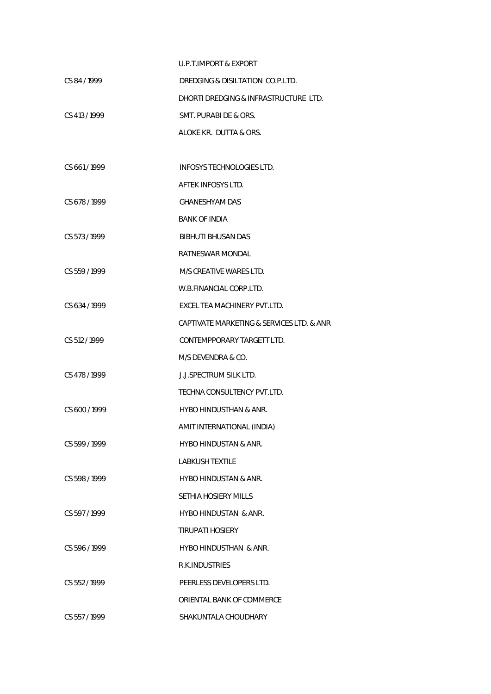|               | <b>U.P.T.IMPORT &amp; EXPORT</b>          |
|---------------|-------------------------------------------|
| CS 84/1999    | DREDGING & DISILTATION CO.P.LTD.          |
|               | DHORTI DREDGING & INFRASTRUCTURE LTD.     |
| CS 413/1999   | SMT. PURABI DE & ORS.                     |
|               | ALOKE KR. DUTTA & ORS.                    |
|               |                                           |
| CS 661/1999   | <b>INFOSYS TECHNOLOGIES LTD.</b>          |
|               | AFTEK INFOSYS LTD.                        |
| CS 678/1999   | <b>GHANESHYAM DAS</b>                     |
|               | <b>BANK OF INDIA</b>                      |
| CS 573/1999   | <b>BIBHUTI BHUSAN DAS</b>                 |
|               | RATNESWAR MONDAL                          |
| CS 559/1999   | M/S CREATIVE WARES LTD.                   |
|               | W.B.FINANCIAL CORP.LTD.                   |
| CS 634/1999   | EXCEL TEA MACHINERY PVT.LTD.              |
|               | CAPTIVATE MARKETING & SERVICES LTD. & ANR |
| CS 512 / 1999 | CONTEMPPORARY TARGETT LTD.                |
|               | M/S DEVENDRA & CO.                        |
| CS 478 / 1999 | <b>J.J.SPECTRUM SILK LTD.</b>             |
|               | TECHNA CONSULTENCY PVT.LTD.               |
| CS 600/1999   | HYBO HINDUSTHAN & ANR.                    |
|               | AMIT INTERNATIONAL (INDIA)                |
| CS 599/1999   | HYBO HINDUSTAN & ANR.                     |
|               | <b>LABKUSH TEXTILE</b>                    |
| CS 598/1999   | <b>HYBO HINDUSTAN &amp; ANR.</b>          |
|               | SETHIA HOSIERY MILLS                      |
| CS 597/1999   | <b>HYBO HINDUSTAN &amp; ANR.</b>          |
|               | <b>TIRUPATI HOSIERY</b>                   |
| CS 596/1999   | HYBO HINDUSTHAN & ANR.                    |
|               | R.K. INDUSTRIES                           |
| CS 552/1999   | PEERLESS DEVELOPERS LTD.                  |
|               | ORIENTAL BANK OF COMMERCE                 |
| CS 557/1999   | SHAKUNTALA CHOUDHARY                      |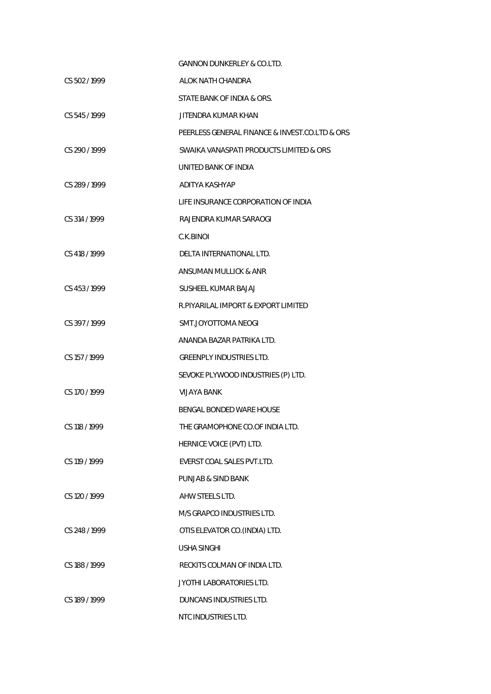|               | <b>GANNON DUNKERLEY &amp; CO.LTD.</b>          |
|---------------|------------------------------------------------|
| CS 502/1999   | ALOK NATH CHANDRA                              |
|               | STATE BANK OF INDIA & ORS.                     |
| CS 545 / 1999 | <b>JITENDRA KUMAR KHAN</b>                     |
|               | PEERLESS GENERAL FINANCE & INVEST.CO.LTD & ORS |
| CS 290/1999   | SWAIKA VANASPATI PRODUCTS LIMITED & ORS        |
|               | UNITED BANK OF INDIA                           |
| CS 289 / 1999 | ADITYA KASHYAP                                 |
|               | LIFE INSURANCE CORPORATION OF INDIA            |
| CS 314 / 1999 | RAJENDRA KUMAR SARAOGI                         |
|               | C.K.BINOI                                      |
| CS 418 / 1999 | DELTA INTERNATIONAL LTD.                       |
|               | ANSUMAN MULLICK & ANR                          |
| CS 453/1999   | SUSHEEL KUMAR BAJAJ                            |
|               | R.PIYARILAL IMPORT & EXPORT LIMITED            |
| CS 397/1999   | SMT.JOYOTTOMA NEOGI                            |
|               | ANANDA BAZAR PATRIKA LTD.                      |
| CS 157 / 1999 | <b>GREENPLY INDUSTRIES LTD.</b>                |
|               | SEVOKE PLYWOOD INDUSTRIES (P) LTD.             |
| CS 170 / 1999 | <b>VIJAYA BANK</b>                             |
|               | BENGAL BONDED WARE HOUSE                       |
| CS 118 / 1999 | THE GRAMOPHONE CO.OF INDIA LTD.                |
|               | HERNICE VOICE (PVT) LTD.                       |
| CS 119/1999   | EVERST COAL SALES PVT.LTD.                     |
|               | PUNJAB & SIND BANK                             |
| CS 120 / 1999 | AHW STEELS LTD.                                |
|               | M/S GRAPCO INDUSTRIES LTD.                     |
| CS 248 / 1999 | OTIS ELEVATOR CO. (INDIA) LTD.                 |
|               | <b>USHA SINGHI</b>                             |
| CS 188 / 1999 | RECKITS COLMAN OF INDIA LTD.                   |
|               | JYOTHI LABORATORIES LTD.                       |
| CS 189/1999   | DUNCANS INDUSTRIES LTD.                        |
|               | NTC INDUSTRIES LTD.                            |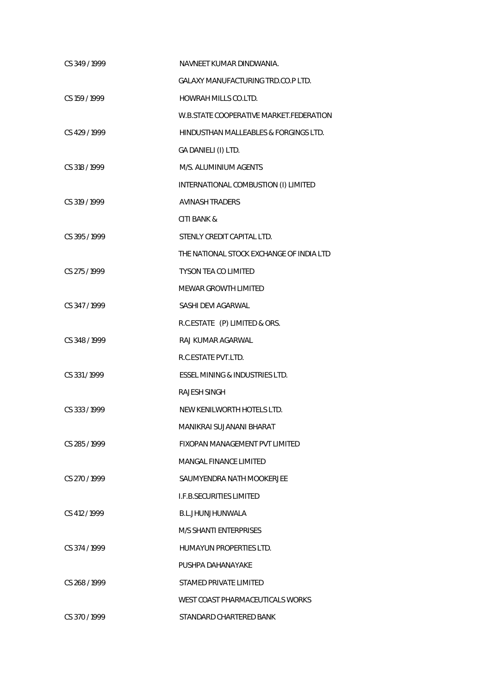| CS 349/1999   | NAVNEET KUMAR DINDWANIA.                 |
|---------------|------------------------------------------|
|               | <b>GALAXY MANUFACTURING TRD.CO.PLTD.</b> |
| CS 159 / 1999 | <b>HOWRAH MILLS CO.LTD.</b>              |
|               | W.B.STATE COOPERATIVE MARKET.FEDERATION  |
| CS 429 / 1999 | HINDUSTHAN MALLEABLES & FORGINGS LTD.    |
|               | GA DANIELI (I) LTD.                      |
| CS 318 / 1999 | M/S. ALUMINIUM AGENTS                    |
|               | INTERNATIONAL COMBUSTION (I) LIMITED     |
| CS 319 / 1999 | <b>AVINASH TRADERS</b>                   |
|               | <b>CITI BANK &amp;</b>                   |
| CS 395/1999   | STENLY CREDIT CAPITAL LTD.               |
|               | THE NATIONAL STOCK EXCHANGE OF INDIA LTD |
| CS 275 / 1999 | <b>TYSON TEA CO LIMITED</b>              |
|               | <b>MEWAR GROWTH LIMITED</b>              |
| CS 347/1999   | SASHI DEVI AGARWAL                       |
|               | R.C.ESTATE (P) LIMITED & ORS.            |
| CS 348 / 1999 | RAJ KUMAR AGARWAL                        |
|               | R.C.ESTATE PVT.LTD.                      |
| CS 331/1999   | ESSEL MINING & INDUSTRIES LTD.           |
|               | <b>RAJESH SINGH</b>                      |
| CS 333/1999   | NEW KENILWORTH HOTELS LTD.               |
|               | MANIKRAI SUJANANI BHARAT                 |
| CS 285/1999   | FIXOPAN MANAGEMENT PVT LIMITED           |
|               | MANGAL FINANCE LIMITED                   |
| CS 270/1999   | SAUMYENDRA NATH MOOKERJEE                |
|               | <b>I.F.B.SECURITIES LIMITED</b>          |
| CS 412/1999   | B.L.JHUNJHUNWALA                         |
|               | <b>M/S SHANTI ENTERPRISES</b>            |
| CS 374/1999   | HUMAYUN PROPERTIES LTD.                  |
|               | PUSHPA DAHANAYAKE                        |
| CS 268/1999   | STAMED PRIVATE LIMITED                   |
|               | WEST COAST PHARMACEUTICALS WORKS         |
| CS 370/1999   | STANDARD CHARTERED BANK                  |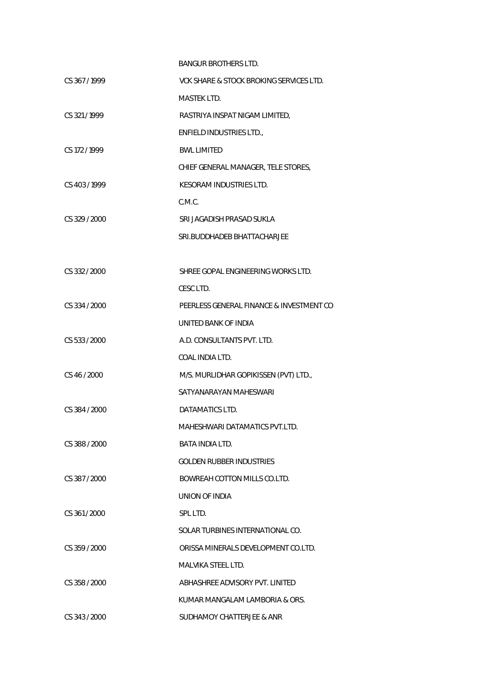|               | <b>BANGUR BROTHERS LTD.</b>              |
|---------------|------------------------------------------|
| CS 367/1999   | VCK SHARE & STOCK BROKING SERVICES LTD.  |
|               | <b>MASTEK LTD.</b>                       |
| CS 321/1999   | RASTRIYA INSPAT NIGAM LIMITED,           |
|               | ENFIELD INDUSTRIES LTD.,                 |
| CS 172 / 1999 | <b>BWL LIMITED</b>                       |
|               | CHIEF GENERAL MANAGER, TELE STORES,      |
| CS 403/1999   | <b>KESORAM INDUSTRIES LTD.</b>           |
|               | C.M.C.                                   |
| CS 329 / 2000 | SRI JAGADISH PRASAD SUKLA                |
|               | SRI.BUDDHADEB BHATTACHARJEE              |
|               |                                          |
| CS 332 / 2000 | SHREE GOPAL ENGINEERING WORKS LTD.       |
|               | CESC LTD.                                |
| CS 334 / 2000 | PEERLESS GENERAL FINANCE & INVESTMENT CO |
|               | UNITED BANK OF INDIA                     |
| CS 533 / 2000 | A.D. CONSULTANTS PVT. LTD.               |
|               | COAL INDIA LTD.                          |
| CS 46 / 2000  | M/S. MURLIDHAR GOPIKISSEN (PVT) LTD.,    |
|               | SATYANARAYAN MAHESWARI                   |
| CS 384 / 2000 | DATAMATICS LTD.                          |
|               | MAHESHWARI DATAMATICS PVT.LTD.           |
| CS 388 / 2000 | <b>BATA INDIA LTD.</b>                   |
|               | <b>GOLDEN RUBBER INDUSTRIES</b>          |
| CS 387/2000   | BOWREAH COTTON MILLS CO.LTD.             |
|               | UNION OF INDIA                           |
| CS 361/2000   | SPL LTD.                                 |
|               | SOLAR TURBINES INTERNATIONAL CO.         |
| CS 359 / 2000 | ORISSA MINERALS DEVELOPMENT CO.LTD.      |
|               | MALVIKA STEEL LTD.                       |
| CS 358 / 2000 | ABHASHREE ADVISORY PVT. LINITED          |
|               | KUMAR MANGALAM LAMBORIA & ORS.           |
| CS 343 / 2000 | SUDHAMOY CHATTERJEE & ANR                |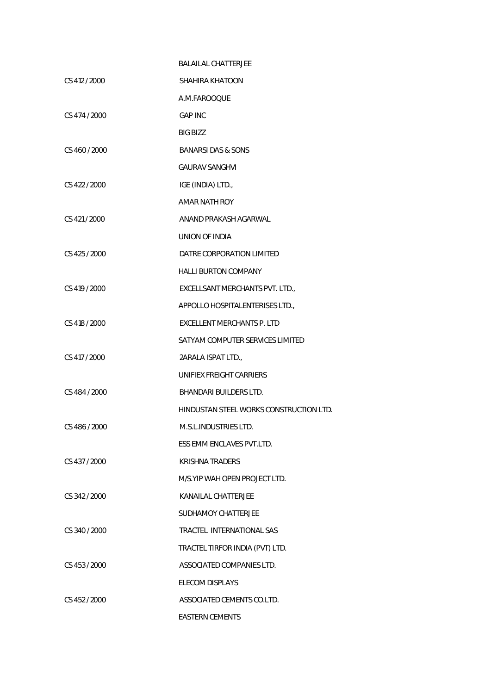|               | <b>BALAILAL CHATTERJEE</b>              |
|---------------|-----------------------------------------|
| CS 412 / 2000 | SHAHIRA KHATOON                         |
|               | A.M.FAROOQUE                            |
| CS 474 / 2000 | <b>GAP INC</b>                          |
|               | <b>BIG BIZZ</b>                         |
| CS 460 / 2000 | <b>BANARSI DAS &amp; SONS</b>           |
|               | <b>GAURAV SANGHVI</b>                   |
| CS 422 / 2000 | IGE (INDIA) LTD.,                       |
|               | AMAR NATH ROY                           |
| CS 421 / 2000 | ANAND PRAKASH AGARWAL                   |
|               | UNION OF INDIA                          |
| CS 425 / 2000 | DATRE CORPORATION LIMITED               |
|               | <b>HALLI BURTON COMPANY</b>             |
| CS 419 / 2000 | EXCELLSANT MERCHANTS PVT. LTD.,         |
|               | APPOLLO HOSPITALENTERISES LTD.,         |
| CS 418 / 2000 | <b>EXCELLENT MERCHANTS P. LTD</b>       |
|               | SATYAM COMPUTER SERVICES LIMITED        |
| CS 417 / 2000 | 2ARALA ISPAT LTD.,                      |
|               | UNIFIEX FREIGHT CARRIERS                |
| CS 484 / 2000 | <b>BHANDARI BUILDERS LTD.</b>           |
|               | HINDUSTAN STEEL WORKS CONSTRUCTION LTD. |
| CS 486 / 2000 | M.S.L. INDUSTRIES LTD.                  |
|               | ESS EMM ENCLAVES PVT.LTD.               |
| CS 437 / 2000 | <b>KRISHNA TRADERS</b>                  |
|               | M/S. YIP WAH OPEN PROJECT LTD.          |
| CS 342 / 2000 | KANAILAL CHATTERJEE                     |
|               | SUDHAMOY CHATTERJEE                     |
| CS 340 / 2000 | TRACTEL INTERNATIONAL SAS               |
|               | TRACTEL TIRFOR INDIA (PVT) LTD.         |
| CS 453 / 2000 | ASSOCIATED COMPANIES LTD.               |
|               | <b>ELECOM DISPLAYS</b>                  |
| CS 452 / 2000 | ASSOCIATED CEMENTS CO.LTD.              |
|               | <b>EASTERN CEMENTS</b>                  |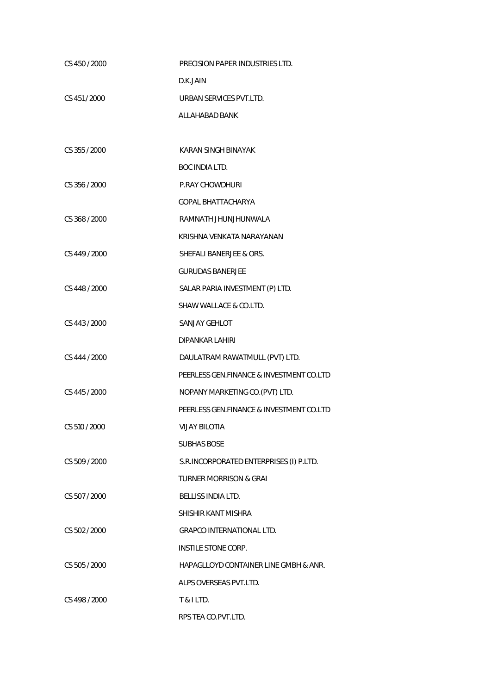| CS 450 / 2000 | PRECISION PAPER INDUSTRIES LTD.          |
|---------------|------------------------------------------|
|               | D.K.JAIN                                 |
| CS 451/2000   | URBAN SERVICES PVT.LTD.                  |
|               | ALLAHABAD BANK                           |
|               |                                          |
| CS 355 / 2000 | KARAN SINGH BINAYAK                      |
|               | <b>BOC INDIA LTD.</b>                    |
| CS 356 / 2000 | <b>P.RAY CHOWDHURI</b>                   |
|               | GOPAL BHATTACHARYA                       |
| CS 368 / 2000 | RAMNATH JHUNJHUNWALA                     |
|               | KRISHNA VENKATA NARAYANAN                |
| CS 449 / 2000 | SHEFALI BANERJEE & ORS.                  |
|               | <b>GURUDAS BANERJEE</b>                  |
| CS 448 / 2000 | SALAR PARIA INVESTMENT (P) LTD.          |
|               | SHAW WALLACE & CO.LTD.                   |
| CS 443 / 2000 | <b>SANJAY GEHLOT</b>                     |
|               | <b>DIPANKAR LAHIRI</b>                   |
| CS 444 / 2000 | DAULATRAM RAWATMULL (PVT) LTD.           |
|               | PEERLESS GEN.FINANCE & INVESTMENT CO.LTD |
| CS 445 / 2000 | NOPANY MARKETING CO. (PVT) LTD.          |
|               | PEERLESS GEN.FINANCE & INVESTMENT CO.LTD |
| CS 510 / 2000 | <b>VIJAY BILOTIA</b>                     |
|               | <b>SUBHAS BOSE</b>                       |
| CS 509 / 2000 | S.R.INCORPORATED ENTERPRISES (I) P.LTD.  |
|               | <b>TURNER MORRISON &amp; GRAI</b>        |
| CS 507 / 2000 | <b>BELLISS INDIA LTD.</b>                |
|               | SHISHIR KANT MISHRA                      |
| CS 502 / 2000 | <b>GRAPCO INTERNATIONAL LTD.</b>         |
|               | INSTILE STONE CORP.                      |
| CS 505/2000   | HAPAGLLOYD CONTAINER LINE GMBH & ANR.    |
|               | ALPS OVERSEAS PVT.LTD.                   |
| CS 498 / 2000 | T & I LTD.                               |
|               | RPS TEA CO.PVT.LTD.                      |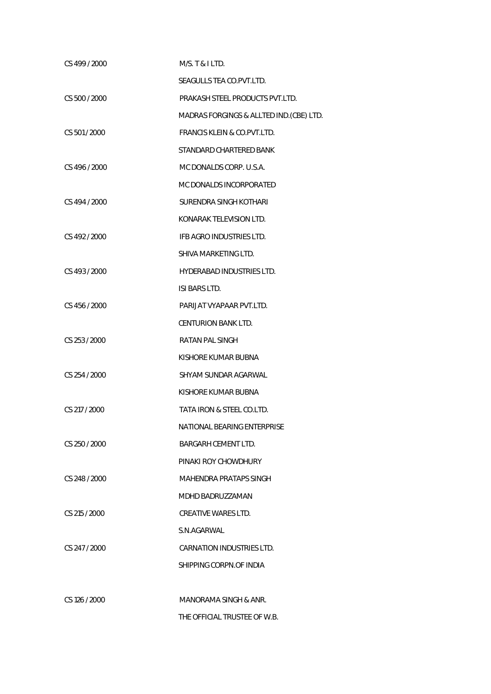| CS 499 / 2000 | M/S. T & I LTD.                          |
|---------------|------------------------------------------|
|               | SEAGULLS TEA CO.PVT.LTD.                 |
| CS 500 / 2000 | PRAKASH STEEL PRODUCTS PVT.LTD.          |
|               | MADRAS FORGINGS & ALLTED IND. (CBE) LTD. |
| CS 501 / 2000 | <b>FRANCIS KLEIN &amp; CO.PVT.LTD.</b>   |
|               | STANDARD CHARTERED BANK                  |
| CS 496 / 2000 | MC DONALDS CORP. U.S.A.                  |
|               | MC DONALDS INCORPORATED                  |
| CS 494 / 2000 | SURENDRA SINGH KOTHARI                   |
|               | KONARAK TELEVISION LTD.                  |
| CS 492 / 2000 | IFB AGRO INDUSTRIES LTD.                 |
|               | SHIVA MARKETING LTD.                     |
| CS 493 / 2000 | HYDERABAD INDUSTRIES LTD.                |
|               | ISI BARS LTD.                            |
| CS 456 / 2000 | PARIJAT VYAPAAR PVT.LTD.                 |
|               | <b>CENTURION BANK LTD.</b>               |
| CS 253 / 2000 | <b>RATAN PAL SINGH</b>                   |
|               | KISHORE KUMAR BUBNA                      |
| CS 254 / 2000 | SHYAM SUNDAR AGARWAL                     |
|               | KISHORE KUMAR BUBNA                      |
| CS 217 / 2000 | TATA IRON & STEEL CO.LTD.                |
|               | NATIONAL BEARING ENTERPRISE              |
| CS 250 / 2000 | BARGARH CEMENT LTD.                      |
|               | PINAKI ROY CHOWDHURY                     |
| CS 248 / 2000 | MAHENDRA PRATAPS SINGH                   |
|               | MDHD BADRUZZAMAN                         |
| CS 215 / 2000 | <b>CREATIVE WARES LTD.</b>               |
|               | S.N.AGARWAL                              |
| CS 247 / 2000 | CARNATION INDUSTRIES LTD.                |
|               | SHIPPING CORPN.OF INDIA                  |
|               |                                          |
| CS 126 / 2000 | MANORAMA SINGH & ANR.                    |
|               | THE OFFICIAL TRUSTEE OF W.B.             |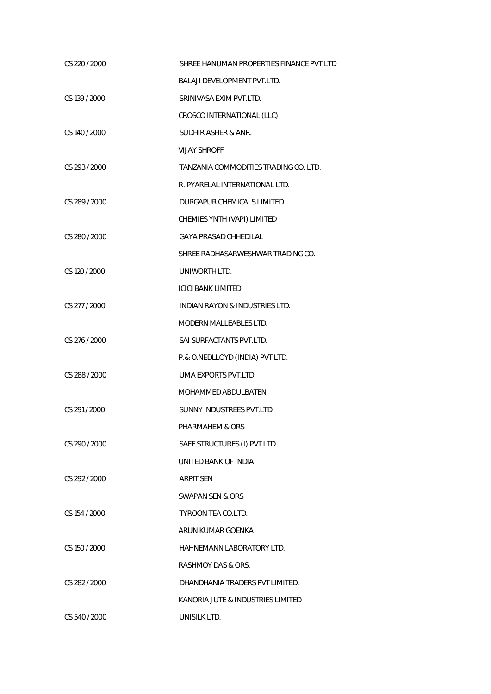| CS 220 / 2000 | SHREE HANUMAN PROPERTIES FINANCE PVT.LTD  |
|---------------|-------------------------------------------|
|               | <b>BALAJI DEVELOPMENT PVT.LTD.</b>        |
| CS 139 / 2000 | SRINIVASA EXIM PVT.LTD.                   |
|               | CROSCO INTERNATIONAL (LLC)                |
| CS 140 / 2000 | SUDHIR ASHER & ANR.                       |
|               | <b>VIJAY SHROFF</b>                       |
| CS 293 / 2000 | TANZANIA COMMODITIES TRADING CO. LTD.     |
|               | R. PYARELAL INTERNATIONAL LTD.            |
| CS 289 / 2000 | DURGAPUR CHEMICALS LIMITED                |
|               | CHEMIES YNTH (VAPI) LIMITED               |
| CS 280 / 2000 | <b>GAYA PRASAD CHHEDILAL</b>              |
|               | SHREE RADHASARWESHWAR TRADING CO.         |
| CS 120 / 2000 | UNIWORTH LTD.                             |
|               | <b>ICICI BANK LIMITED</b>                 |
| CS 277 / 2000 | <b>INDIAN RAYON &amp; INDUSTRIES LTD.</b> |
|               | <b>MODERN MALLEABLES LTD.</b>             |
| CS 276 / 2000 | SAI SURFACTANTS PVT.LTD.                  |
|               | P.& O.NEDLLOYD (INDIA) PVT.LTD.           |
| CS 288 / 2000 | UMA EXPORTS PVT.LTD.                      |
|               | MOHAMMED ABDULBATEN                       |
| CS 291/2000   | SUNNY INDUSTREES PVT.LTD.                 |
|               | PHARMAHEM & ORS                           |
| CS 290 / 2000 | SAFE STRUCTURES (I) PVT LTD               |
|               | UNITED BANK OF INDIA                      |
| CS 292 / 2000 | <b>ARPIT SEN</b>                          |
|               | SWAPAN SEN & ORS                          |
| CS 154 / 2000 | TYROON TEA CO.LTD.                        |
|               | ARUN KUMAR GOENKA                         |
| CS 150 / 2000 | HAHNEMANN LABORATORY LTD.                 |
|               | RASHMOY DAS & ORS.                        |
| CS 282 / 2000 | DHANDHANIA TRADERS PVT LIMITED.           |
|               | KANORIA JUTE & INDUSTRIES LIMITED         |
| CS 540 / 2000 | UNISILK LTD.                              |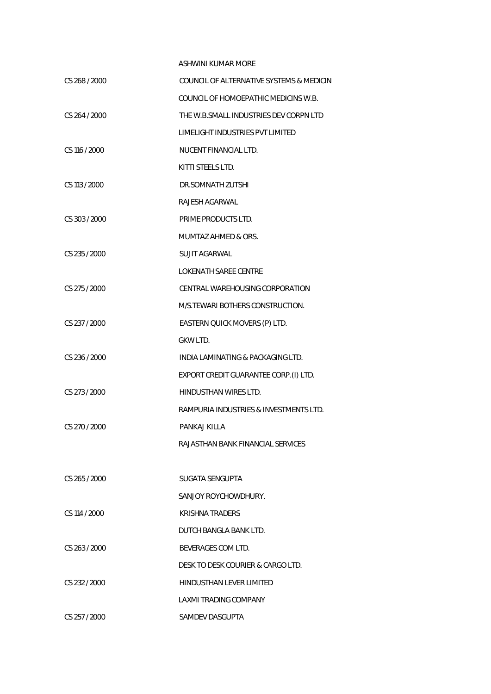## ASHWINI KUMAR MORE

| CS 268 / 2000 | COUNCIL OF ALTERNATIVE SYSTEMS & MEDICIN |
|---------------|------------------------------------------|
|               | COUNCIL OF HOMOEPATHIC MEDICINS W.B.     |
| CS 264 / 2000 | THE W.B.SMALL INDUSTRIES DEV CORPN LTD   |
|               | LIMELIGHT INDUSTRIES PVT LIMITED         |
| CS 116 / 2000 | NUCENT FINANCIAL LTD.                    |
|               | KITTI STEELS LTD.                        |
| CS 113 / 2000 | DR.SOMNATH ZUTSHI                        |
|               | RAJESH AGARWAL                           |
| CS 303 / 2000 | PRIME PRODUCTS LTD.                      |
|               | <b>MUMTAZ AHMED &amp; ORS.</b>           |
| CS 235 / 2000 | SUJIT AGARWAI                            |
|               | <b>LOKENATH SAREE CENTRE</b>             |
| CS 275 / 2000 | CENTRAL WAREHOUSING CORPORATION          |
|               | M/S. TEWARI BOTHERS CONSTRUCTION.        |
| CS 237 / 2000 | EASTERN QUICK MOVERS (P) LTD.            |
|               | GKW LTD.                                 |
| CS 236 / 2000 | INDIA LAMINATING & PACKAGING LTD.        |
|               | EXPORT CREDIT GUARANTEE CORP.(I) LTD.    |
| CS 273 / 2000 | HINDUSTHAN WIRES LTD.                    |
|               | RAMPURIA INDUSTRIES & INVESTMENTS LTD.   |
| CS 270 / 2000 | PANKAJ KILLA                             |
|               | RAJASTHAN BANK FINANCIAL SERVICES        |
|               |                                          |
| CS 265/2000   | SUGATA SENGUPTA                          |
|               | SANJOY ROYCHOWDHURY.                     |
| CS 114 / 2000 | <b>KRISHNA TRADERS</b>                   |
|               | DUTCH BANGLA BANK LTD.                   |
| CS 263 / 2000 | BEVERAGES COM LTD.                       |
|               | DESK TO DESK COURIER & CARGO LTD.        |
| CS 232 / 2000 | HINDUSTHAN LEVER LIMITED                 |
|               | LAXMI TRADING COMPANY                    |
| CS 257 / 2000 | SAMDEV DASGUPTA                          |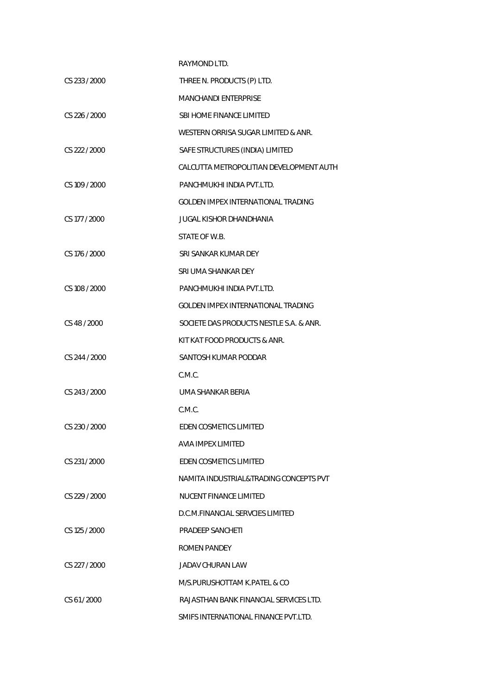|               | RAYMOND LTD.                              |
|---------------|-------------------------------------------|
| CS 233 / 2000 | THREE N. PRODUCTS (P) LTD.                |
|               | MANCHANDI ENTERPRISE                      |
| CS 226 / 2000 | <b>SBI HOME FINANCE LIMITED</b>           |
|               | WESTERN ORRISA SUGAR LIMITED & ANR.       |
| CS 222 / 2000 | SAFE STRUCTURES (INDIA) LIMITED           |
|               | CALCUTTA METROPOLITIAN DEVELOPMENT AUTH   |
| CS 109 / 2000 | PANCHMUKHI INDIA PVT.LTD.                 |
|               | GOLDEN IMPEX INTERNATIONAL TRADING        |
| CS 177 / 2000 | JUGAL KISHOR DHANDHANIA                   |
|               | STATE OF W.B.                             |
| CS 176 / 2000 | SRI SANKAR KUMAR DEY                      |
|               | SRI UMA SHANKAR DEY                       |
| CS 108 / 2000 | PANCHMUKHI INDIA PVT.LTD.                 |
|               | <b>GOLDEN IMPEX INTERNATIONAL TRADING</b> |
| CS 48 / 2000  | SOCIETE DAS PRODUCTS NESTLE S.A. & ANR.   |
|               | KIT KAT FOOD PRODUCTS & ANR.              |
| CS 244 / 2000 | SANTOSH KUMAR PODDAR                      |
|               | C.M.C.                                    |
| CS 243 / 2000 | UMA SHANKAR BERIA                         |
|               | C.M.C.                                    |
| CS 230 / 2000 | EDEN COSMETICS LIMITED                    |
|               | <b>AVIA IMPEX LIMITED</b>                 |
| CS 231/2000   | <b>EDEN COSMETICS LIMITED</b>             |
|               | NAMITA INDUSTRIAL&TRADING CONCEPTS PVT    |
| CS 229 / 2000 | <b>NUCENT FINANCE LIMITED</b>             |
|               | D.C.M.FINANCIAL SERVCIES LIMITED          |
| CS 125 / 2000 | <b>PRADEEP SANCHETI</b>                   |
|               | ROMEN PANDEY                              |
| CS 227 / 2000 | JADAV CHURAN LAW                          |
|               | M/S.PURUSHOTTAM K.PATEL & CO              |
| CS 61/2000    | RAJASTHAN BANK FINANCIAL SERVICES LTD.    |
|               | SMIFS INTERNATIONAL FINANCE PVT.LTD.      |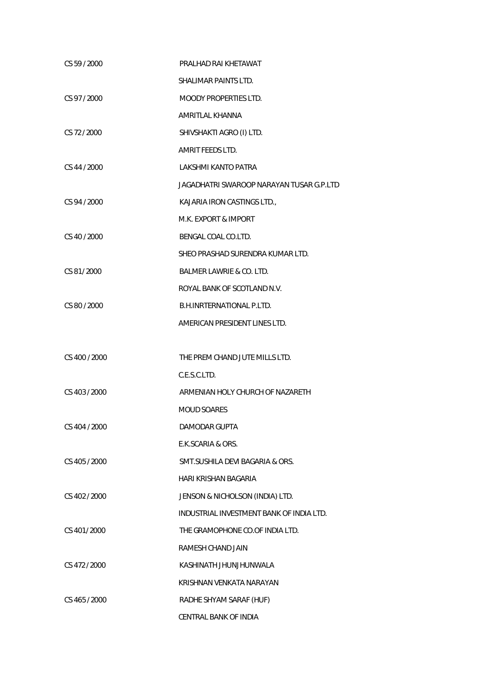| CS 59 / 2000  | PRALHAD RAI KHETAWAT                     |
|---------------|------------------------------------------|
|               | SHALIMAR PAINTS LTD.                     |
| CS 97 / 2000  | <b>MOODY PROPERTIES LTD.</b>             |
|               | AMRITLAL KHANNA                          |
| CS 72 / 2000  | SHIVSHAKTI AGRO (I) LTD.                 |
|               | AMRIT FEEDS LTD.                         |
| CS 44 / 2000  | LAKSHMI KANTO PATRA                      |
|               | JAGADHATRI SWAROOP NARAYAN TUSAR G.P.LTD |
| CS 94 / 2000  | KAJARIA IRON CASTINGS LTD.,              |
|               | M.K. EXPORT & IMPORT                     |
| CS 40 / 2000  | BENGAL COAL CO.LTD.                      |
|               | SHEO PRASHAD SURENDRA KUMAR LTD.         |
| CS 81/2000    | BALMER LAWRIE & CO. LTD.                 |
|               | ROYAL BANK OF SCOTLAND N.V.              |
| CS 80 / 2000  | <b>B.H.INRTERNATIONAL P.LTD.</b>         |
|               | AMERICAN PRESIDENT LINES LTD.            |
|               |                                          |
| CS 400 / 2000 | THE PREM CHAND JUTE MILLS LTD.           |
|               | C.E.S.C.LTD.                             |
| CS 403 / 2000 | ARMENIAN HOLY CHURCH OF NAZARETH         |
|               | <b>MOUD SOARES</b>                       |
| CS 404 / 2000 | <b>DAMODAR GUPTA</b>                     |
|               | E.K.SCARIA & ORS.                        |
| CS 405 / 2000 | SMT.SUSHILA DEVI BAGARIA & ORS.          |
|               | HARI KRISHAN BAGARIA                     |
| CS 402 / 2000 | JENSON & NICHOLSON (INDIA) LTD.          |
|               | INDUSTRIAL INVESTMENT BANK OF INDIA LTD. |
| CS 401/2000   | THE GRAMOPHONE CO.OF INDIA LTD.          |
|               | RAMESH CHAND JAIN                        |
| CS 472 / 2000 | KASHINATH JHUNJHUNWALA                   |
|               | KRISHNAN VENKATA NARAYAN                 |
| CS 465 / 2000 | RADHE SHYAM SARAF (HUF)                  |
|               | <b>CENTRAL BANK OF INDIA</b>             |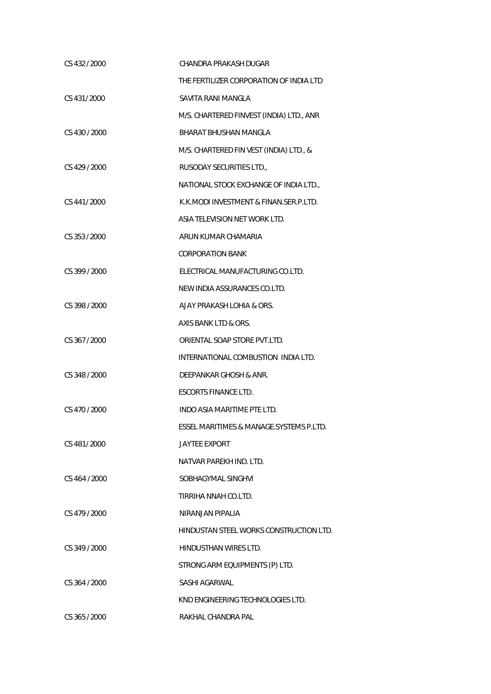| CS 432/2000   | CHANDRA PRAKASH DUGAR                    |
|---------------|------------------------------------------|
|               | THE FERTILIZER CORPORATION OF INDIA LTD  |
| CS 431/2000   | SAVITA RANI MANGLA                       |
|               | M/S. CHARTERED FINVEST (INDIA) LTD., ANR |
| CS 430 / 2000 | BHARAT BHUSHAN MANGLA                    |
|               | M/S. CHARTERED FIN VEST (INDIA) LTD., &  |
| CS 429 / 2000 | RUSODAY SECURITIES LTD.,                 |
|               | NATIONAL STOCK EXCHANGE OF INDIA LTD.,   |
| CS 441/2000   | K.K.MODI INVESTMENT & FINAN.SER.P.LTD.   |
|               | ASIA TELEVISION NET WORK LTD.            |
| CS 353 / 2000 | ARUN KUMAR CHAMARIA                      |
|               | <b>CORPORATION BANK</b>                  |
| CS 399 / 2000 | ELECTRICAL MANUFACTURING CO.LTD.         |
|               | NEW INDIA ASSURANCES CO.LTD.             |
| CS 398 / 2000 | AJAY PRAKASH LOHIA & ORS.                |
|               | AXIS BANK LTD & ORS.                     |
| CS 367/2000   | ORIENTAL SOAP STORE PVT.LTD.             |
|               | INTERNATIONAL COMBUSTION INDIA LTD.      |
| CS 348 / 2000 | DEEPANKAR GHOSH & ANR.                   |
|               | <b>ESCORTS FINANCE LTD.</b>              |
| CS 470 / 2000 | INDO ASIA MARITIME PTE LTD.              |
|               | ESSEL MARITIMES & MANAGE.SYSTEMS P.LTD.  |
| CS 481/2000   | JAYTEE EXPORT                            |
|               | NATVAR PAREKH IND. LTD.                  |
| CS 464 / 2000 | SOBHAGYMAL SINGHVI                       |
|               | TIRRIHA NNAH CO.LTD.                     |
| CS 479 / 2000 | NIRANJAN PIPALIA                         |
|               | HINDUSTAN STEEL WORKS CONSTRUCTION LTD.  |
| CS 349 / 2000 | <b>HINDUSTHAN WIRES LTD.</b>             |
|               | STRONG ARM EQUIPMENTS (P) LTD.           |
| CS 364 / 2000 | <b>SASHI AGARWAL</b>                     |
|               | KND ENGINEERING TECHNOLOGIES LTD.        |
| CS 365 / 2000 | RAKHAL CHANDRA PAL                       |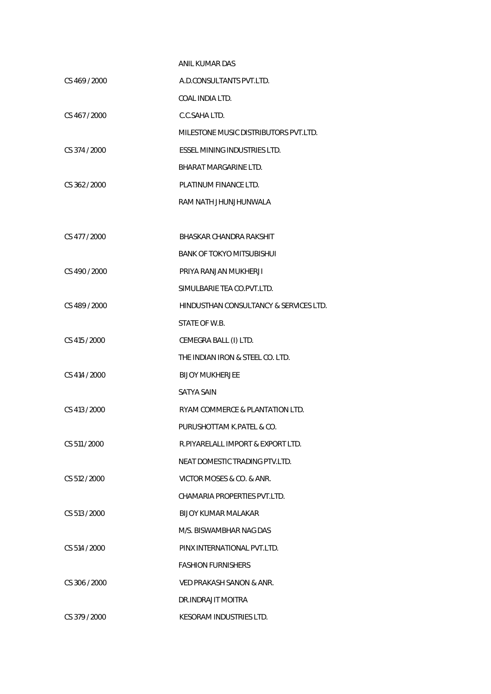|                 | ANIL KUMAR DAS                         |
|-----------------|----------------------------------------|
| CS 469 / 2000   | A.D.CONSULTANTS PVT.LTD.               |
|                 | COAL INDIA LTD.                        |
| CS 467/2000     | C.C.SAHA LTD.                          |
|                 | MILESTONE MUSIC DISTRIBUTORS PVT.LTD.  |
| CS 374 / 2000   | ESSEL MINING INDUSTRIES LTD.           |
|                 | BHARAT MARGARINE LTD.                  |
| CS 362/2000     | PLATINUM FINANCE LTD.                  |
|                 | RAM NATH JHUNJHUNWALA                  |
|                 |                                        |
| CS 477 / 2000   | BHASKAR CHANDRA RAKSHIT                |
|                 | BANK OF TOKYO MITSUBISHUI              |
| CS 490 / 2000   | PRIYA RANJAN MUKHERJI                  |
|                 | SIMULBARIE TEA CO.PVT.LTD.             |
| CS 489 / 2000   | HINDUSTHAN CONSULTANCY & SERVICES LTD. |
|                 | STATE OF W.B.                          |
| CS 415 / 2000   | CEMEGRA BALL (I) LTD.                  |
|                 | THE INDIAN IRON & STEEL CO. LTD.       |
| CS 414 / 2000   | <b>BIJOY MUKHERJEE</b>                 |
|                 | SATYA SAIN                             |
| CS 413 / 2000   | RYAM COMMERCE & PLANTATION LTD.        |
|                 | PURUSHOTTAM K.PATEL & CO.              |
| CS 511 / 2000   | R PIYARELALL IMPORT & EXPORT LTD.      |
|                 | NEAT DOMESTIC TRADING PTV.LTD.         |
| CS 512 / 2000   | VICTOR MOSES & CO. & ANR.              |
|                 | CHAMARIA PROPERTIES PVT.LTD.           |
| $CS$ 513 / 2000 | BIJOY KUMAR MALAKAR                    |
|                 | M/S. BISWAMBHAR NAG DAS                |
| CS 514 / 2000   | PINX INTERNATIONAL PVT.LTD.            |
|                 | <b>FASHION FURNISHERS</b>              |
| CS 306 / 2000   | VED PRAKASH SANON & ANR.               |
|                 | DR.INDRAJIT MOITRA                     |
| CS 379 / 2000   | KESORAM INDUSTRIES LTD.                |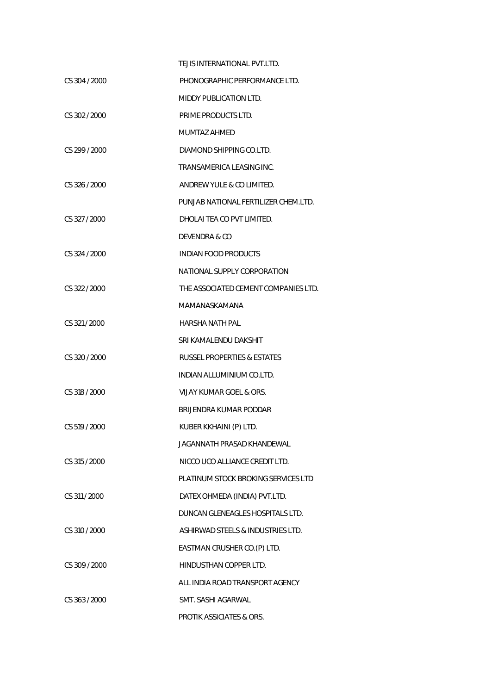|               | TEJIS INTERNATIONAL PVT.LTD.           |
|---------------|----------------------------------------|
| CS 304 / 2000 | PHONOGRAPHIC PERFORMANCE LTD.          |
|               | MIDDY PUBLICATION LTD.                 |
| CS 302 / 2000 | PRIME PRODUCTS LTD.                    |
|               | MUMTAZ AHMED                           |
| CS 299 / 2000 | DIAMOND SHIPPING CO.LTD.               |
|               | TRANSAMERICA LEASING INC.              |
| CS 326 / 2000 | ANDREW YULE & CO LIMITED.              |
|               | PUNJAB NATIONAL FERTILIZER CHEM.LTD.   |
| CS 327/2000   | DHOLAI TEA CO PVT LIMITED.             |
|               | DEVENDRA & CO                          |
| CS 324 / 2000 | INDIAN FOOD PRODUCTS                   |
|               | NATIONAL SUPPLY CORPORATION            |
| CS 322/2000   | THE ASSOCIATED CEMENT COMPANIES LTD.   |
|               | MAMANASKAMANA                          |
| CS 321/2000   | HARSHA NATH PAL                        |
|               | SRI KAMALENDU DAKSHIT                  |
| CS 320/2000   | <b>RUSSEL PROPERTIES &amp; ESTATES</b> |
|               | INDIAN ALLUMINIUM CO.LTD.              |
| CS 318 / 2000 | VIJAY KUMAR GOEL & ORS.                |
|               | BRIJENDRA KUMAR PODDAR                 |
| CS 519 / 2000 | KUBER KKHAINI (P) LTD.                 |
|               | JAGANNATH PRASAD KHANDEWAL             |
| CS 315 / 2000 | NICCO UCO ALLIANCE CREDIT LTD.         |
|               | PLATINUM STOCK BROKING SERVICES LTD    |
| CS 311 / 2000 | DATEX OHMEDA (INDIA) PVT.LTD.          |
|               | DUNCAN GLENEAGLES HOSPITALS LTD.       |
| CS 310 / 2000 | ASHIRWAD STEELS & INDUSTRIES LTD.      |
|               | EASTMAN CRUSHER CO.(P) LTD.            |
| CS 309 / 2000 | HINDUSTHAN COPPER LTD.                 |
|               | ALL INDIA ROAD TRANSPORT AGENCY        |
| CS 363/2000   | SMT. SASHI AGARWAL                     |
|               | <b>PROTIK ASSICIATES &amp; ORS.</b>    |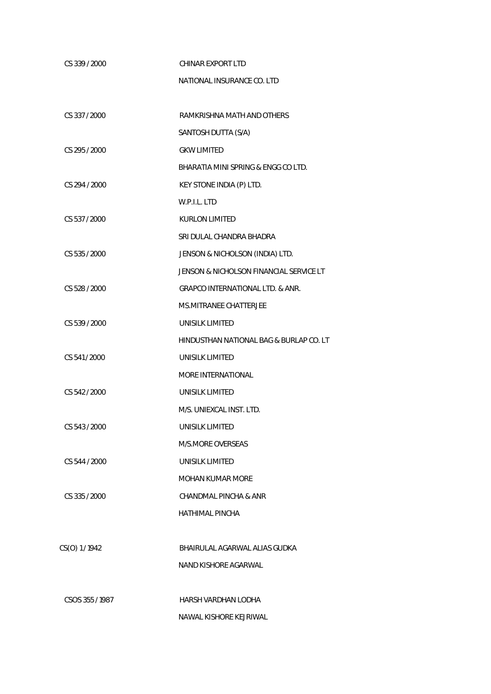| CS 339 / 2000   | CHINAR EXPORT LTD                       |
|-----------------|-----------------------------------------|
|                 | NATIONAL INSURANCE CO. LTD              |
|                 |                                         |
| CS 337 / 2000   | RAMKRISHNA MATH AND OTHERS              |
|                 | SANTOSH DUTTA (S/A)                     |
| CS 295 / 2000   | <b>GKW LIMITED</b>                      |
|                 | BHARATIA MINI SPRING & ENGG CO LTD.     |
| CS 294 / 2000   | KEY STONE INDIA (P) LTD.                |
|                 | W.P.I.L. LTD                            |
| CS 537 / 2000   | <b>KURLON LIMITED</b>                   |
|                 | SRI DULAL CHANDRA BHADRA                |
| CS 535 / 2000   | JENSON & NICHOLSON (INDIA) LTD.         |
|                 | JENSON & NICHOLSON FINANCIAL SERVICE LT |
| CS 528 / 2000   | GRAPCO INTERNATIONAL LTD. & ANR.        |
|                 | <b>MS.MITRANEE CHATTERJEE</b>           |
| CS 539 / 2000   | UNISILK LIMITED                         |
|                 | HINDUSTHAN NATIONAL BAG & BURLAP CO. LT |
| CS 541 / 2000   | <b>UNISILK LIMITED</b>                  |
|                 | <b>MORE INTERNATIONAL</b>               |
| CS 542 / 2000   | UNISILK LIMITED                         |
|                 | M/S. UNIEXCAL INST. LTD.                |
| CS 543 / 2000   | UNISILK LIMITED                         |
|                 | <b>M/S.MORE OVERSEAS</b>                |
| CS 544 / 2000   | <b>UNISILK LIMITED</b>                  |
|                 | <b>MOHAN KUMAR MORE</b>                 |
| CS 335 / 2000   | CHANDMAL PINCHA & ANR                   |
|                 | HATHIMAL PINCHA                         |
|                 |                                         |
| CS(O) 1/1942    | BHAIRULAL AGARWAL ALIAS GUDKA           |
|                 | NAND KISHORE AGARWAL                    |
|                 |                                         |
| CSOS 355 / 1987 | HARSH VARDHAN LODHA                     |
|                 | NAWAL KISHORE KEJRIWAL                  |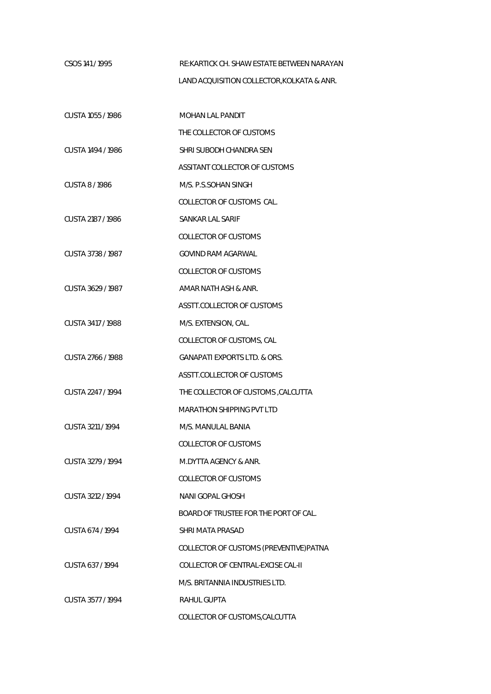CSOS 141 / 1995 RE:KARTICK CH. SHAW ESTATE BETWEEN NARAYAN LAND ACQUISITION COLLECTOR,KOLKATA & ANR.

| CUSTA 1055 / 1986 | MOHAN LAL PANDIT                        |
|-------------------|-----------------------------------------|
|                   | THE COLLECTOR OF CUSTOMS                |
| CUSTA 1494 / 1986 | SHRI SUBODH CHANDRA SEN                 |
|                   | ASSITANT COLLECTOR OF CUSTOMS           |
| CUSTA 8/1986      | M/S. P.S.SOHAN SINGH                    |
|                   | COLLECTOR OF CUSTOMS CAL.               |
| CUSTA 2187 / 1986 | SANKAR LAL SARIF                        |
|                   | COLLECTOR OF CUSTOMS                    |
| CUSTA 3738 / 1987 | GOVIND RAM AGARWAL                      |
|                   | <b>COLLECTOR OF CUSTOMS</b>             |
| CUSTA 3629 / 1987 | AMAR NATH ASH & ANR.                    |
|                   | ASSTT.COLLECTOR OF CUSTOMS              |
| CUSTA 3417 / 1988 | M/S. EXTENSION, CAL.                    |
|                   | COLLECTOR OF CUSTOMS, CAL               |
| CUSTA 2766 / 1988 | <b>GANAPATI EXPORTS LTD. &amp; ORS.</b> |
|                   | ASSTT.COLLECTOR OF CUSTOMS              |
| CUSTA 2247 / 1994 | THE COLLECTOR OF CUSTOMS, CALCUTTA      |
|                   | <b>MARATHON SHIPPING PVT LTD</b>        |
| CUSTA 3211 / 1994 | M/S. MANULAL BANIA                      |
|                   | COLLECTOR OF CUSTOMS                    |
| CUSTA 3279 / 1994 | M.DYTTA AGENCY & ANR.                   |
|                   | <b>COLLECTOR OF CUSTOMS</b>             |
| CUSTA 3212 / 1994 | NANI GOPAL GHOSH                        |
|                   | BOARD OF TRUSTEE FOR THE PORT OF CAL.   |
| CUSTA 674 / 1994  | SHRI MATA PRASAD                        |
|                   | COLLECTOR OF CUSTOMS (PREVENTIVE) PATNA |
| CUSTA 637/1994    | COLLECTOR OF CENTRAL-EXCISE CAL-II      |
|                   | M/S. BRITANNIA INDUSTRIES LTD.          |
| CUSTA 3577 / 1994 | <b>RAHUL GUPTA</b>                      |
|                   | COLLECTOR OF CUSTOMS, CALCUTTA          |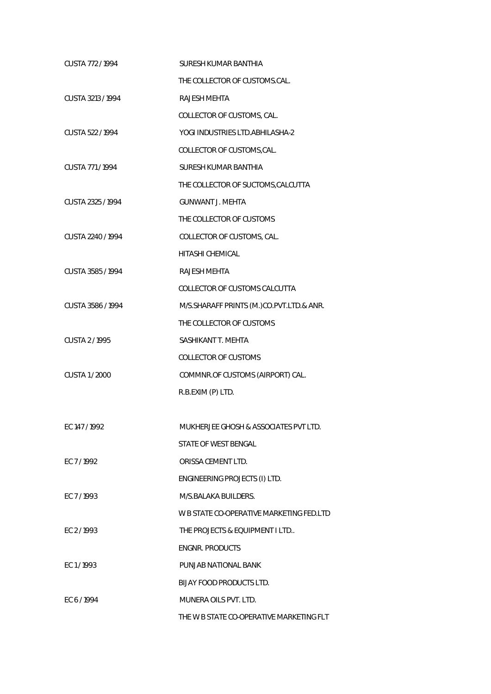| CUSTA 772/1994    | <b>SURESH KUMAR BANTHIA</b>              |
|-------------------|------------------------------------------|
|                   | THE COLLECTOR OF CUSTOMS.CAL.            |
| CUSTA 3213 / 1994 | <b>RAJESH MEHTA</b>                      |
|                   | COLLECTOR OF CUSTOMS, CAL.               |
| CUSTA 522 / 1994  | YOGI INDUSTRIES LTD. ABHILASHA-2         |
|                   | COLLECTOR OF CUSTOMS, CAL.               |
| CUSTA 771/1994    | SURESH KUMAR BANTHIA                     |
|                   | THE COLLECTOR OF SUCTOMS, CALCUTTA       |
| CUSTA 2325 / 1994 | <b>GUNWANT J. MEHTA</b>                  |
|                   | THE COLLECTOR OF CUSTOMS                 |
| CUSTA 2240 / 1994 | COLLECTOR OF CUSTOMS, CAL.               |
|                   | <b>HITASHI CHEMICAL</b>                  |
| CUSTA 3585 / 1994 | <b>RAJESH MEHTA</b>                      |
|                   | COLLECTOR OF CUSTOMS CALCUTTA            |
| CUSTA 3586 / 1994 | M/S.SHARAFF PRINTS (M.)CO.PVT.LTD.& ANR. |
|                   | THE COLLECTOR OF CUSTOMS                 |
| CUSTA 2/1995      | SASHIKANT T. MEHTA                       |
|                   | <b>COLLECTOR OF CUSTOMS</b>              |
| CUSTA 1 / 2000    | COMMNR.OF CUSTOMS (AIRPORT) CAL.         |
|                   | R.B.EXIM (P) LTD.                        |
|                   |                                          |
| EC 147 / 1992     | MUKHERJEE GHOSH & ASSOCIATES PVT LTD.    |
|                   | STATE OF WEST BENGAL                     |
| EC 7/1992         | ORISSA CEMENT LTD.                       |
|                   | ENGINEERING PROJECTS (I) LTD.            |
| FC 7/1993         | M/S.BALAKA BUILDERS.                     |
|                   | W B STATE CO-OPERATIVE MARKETING FED.LTD |
| EC 2/1993         | THE PROJECTS & EQUIPMENT I LTD           |
|                   | <b>ENGNR. PRODUCTS</b>                   |
| EC 1/1993         | PUNJAB NATIONAL BANK                     |
|                   | BIJAY FOOD PRODUCTS LTD.                 |
| EC 6/1994         | MUNERA OILS PVT. LTD.                    |
|                   | THE W B STATE CO-OPERATIVE MARKETING FLT |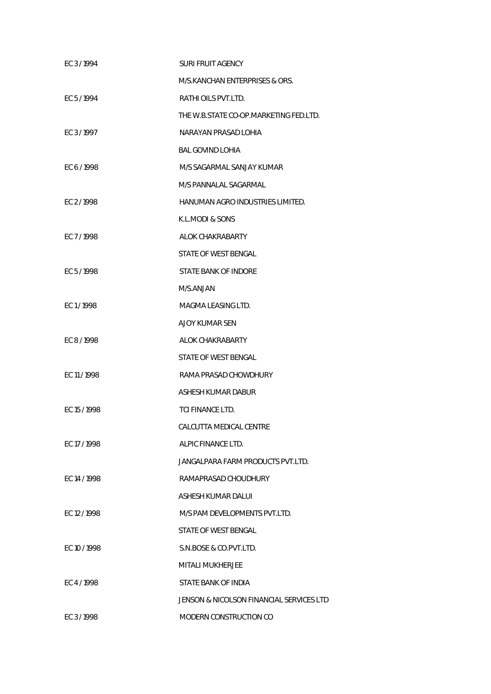| EC 3/1994    | SURI FRUIT AGENCY                        |
|--------------|------------------------------------------|
|              | M/S.KANCHAN ENTERPRISES & ORS.           |
| EC 5/1994    | RATHI OILS PVT.LTD.                      |
|              | THE W.B.STATE CO-OP.MARKETING FED.LTD.   |
| EC 3/1997    | NARAYAN PRASAD LOHIA                     |
|              | <b>BAL GOVIND LOHIA</b>                  |
| EC 6/1998    | M/S SAGARMAL SANJAY KUMAR                |
|              | M/S PANNALAL SAGARMAL                    |
| EC 2/1998    | HANUMAN AGRO INDUSTRIES LIMITED.         |
|              | K.L.MODI & SONS                          |
| FC 7/1998    | ALOK CHAKRABARTY                         |
|              | STATE OF WEST BENGAL                     |
| EC 5/1998    | STATE BANK OF INDORE                     |
|              | M/S.ANJAN                                |
| EC1/1998     | MAGMA LEASING LTD.                       |
|              | <b>AJOY KUMAR SEN</b>                    |
| EC 8/1998    | ALOK CHAKRABARTY                         |
|              | STATE OF WEST BENGAL                     |
| EC 11 / 1998 | RAMA PRASAD CHOWDHURY                    |
|              | ASHESH KUMAR DABUR                       |
| EC 15/1998   | TCI FINANCE LTD.                         |
|              | CALCUTTA MEDICAL CENTRE                  |
| EC 17/1998   | ALPIC FINANCE LTD.                       |
|              | JANGALPARA FARM PRODUCTS PVT.LTD.        |
| EC 14 / 1998 | RAMAPRASAD CHOUDHURY                     |
|              | ASHESH KUMAR DALUI                       |
| EC 12/1998   | M/S PAM DEVELOPMENTS PVT.LTD.            |
|              | STATE OF WEST BENGAL                     |
| EC 10 / 1998 | S.N.BOSE & CO.PVT.LTD.                   |
|              | MITALI MUKHERJEE                         |
| EC 4/1998    | STATE BANK OF INDIA                      |
|              | JENSON & NICOLSON FINANCIAL SERVICES LTD |
| EC 3/1998    | MODERN CONSTRUCTION CO                   |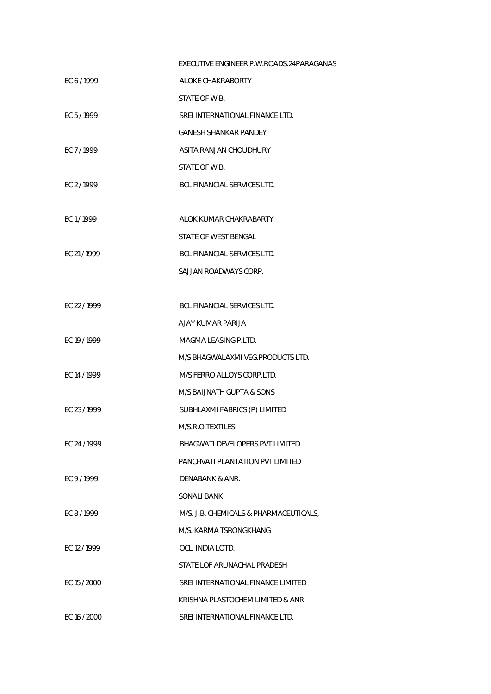|              | EXECUTIVE ENGINEER P.W.ROADS.24PARAGANAS |
|--------------|------------------------------------------|
| EC 6/1999    | ALOKE CHAKRABORTY                        |
|              | STATE OF W.B.                            |
| EC 5/1999    | SREI INTERNATIONAL FINANCE LTD.          |
|              | <b>GANESH SHANKAR PANDEY</b>             |
| EC 7/1999    | ASITA RANJAN CHOUDHURY                   |
|              | STATE OF W.B.                            |
| EC 2/1999    | BCL FINANCIAL SERVICES LTD.              |
|              |                                          |
| EC1/1999     | ALOK KUMAR CHAKRABARTY                   |
|              | STATE OF WEST BENGAL                     |
| EC 21/1999   | <b>BCL FINANCIAL SERVICES LTD.</b>       |
|              | SAJJAN ROADWAYS CORP.                    |
|              |                                          |
| EC 22 / 1999 | <b>BCL FINANCIAL SERVICES LTD.</b>       |
|              | AJAY KUMAR PARIJA                        |
| EC 19 / 1999 | MAGMA LEASING P.LTD.                     |
|              | M/S BHAGWALAXMI VEG.PRODUCTS LTD.        |
| EC 14 / 1999 | M/S FERRO ALLOYS CORP.LTD.               |
|              | M/S BAIJNATH GUPTA & SONS                |
| EC 23/1999   | SUBHLAXMI FABRICS (P) LIMITED            |
|              | M/S.R.O.TEXTILES                         |
| EC 24 / 1999 | BHAGWATI DEVELOPERS PVT LIMITED          |
|              | PANCHVATI PI ANTATION PVT I IMITED       |
| EC 9/1999    | DENABANK & ANR.                          |
|              | SONALI BANK                              |
| EC 8/1999    | M/S. J.B. CHEMICALS & PHARMACEUTICALS,   |
|              | M/S. KARMA TSRONGKHANG                   |
| EC 12/1999   | OCL INDIA LOTD.                          |
|              | STATE LOF ARUNACHAL PRADESH              |
| EC 15 / 2000 | SREI INTERNATIONAL FINANCE LIMITED       |
|              | KRISHNA PLASTOCHEM LIMITED & ANR         |
| EC 16 / 2000 | SREI INTERNATIONAL FINANCE LTD.          |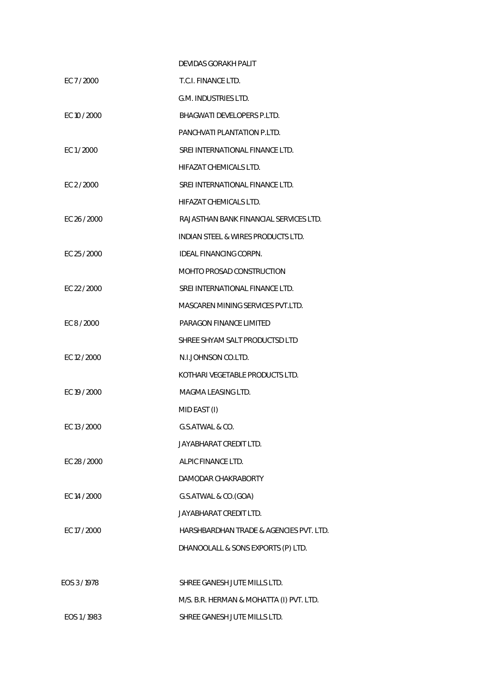|              |              | DEVIDAS GORAKH PALIT                     |
|--------------|--------------|------------------------------------------|
| EC 7/2000    |              | T.C.I. FINANCE LTD.                      |
|              |              | G.M. INDUSTRIES LTD.                     |
|              | EC 10 / 2000 | BHAGWATI DEVELOPERS P.LTD.               |
|              |              | PANCHVATI PLANTATION P.LTD.              |
| EC 1/2000    |              | SREI INTERNATIONAL FINANCE LTD.          |
|              |              | HIFAZAT CHEMICALS LTD.                   |
| EC 2 / 2000  |              | SREI INTERNATIONAL FINANCE LTD.          |
|              |              | HIFAZAT CHEMICALS LTD.                   |
|              | EC 26 / 2000 | RAJASTHAN BANK FINANCIAL SERVICES LTD.   |
|              |              | INDIAN STEEL & WIRES PRODUCTS LTD.       |
|              | EC 25 / 2000 | IDEAL FINANCING CORPN.                   |
|              |              | MOHTO PROSAD CONSTRUCTION                |
|              | EC 22 / 2000 | SREI INTERNATIONAL FINANCE LTD.          |
|              |              | MASCAREN MINING SERVICES PVT.LTD.        |
| EC 8 / 2000  |              | PARAGON FINANCE LIMITED                  |
|              |              | SHREE SHYAM SALT PRODUCTSD LTD           |
| EC 12 / 2000 |              | N.I.JOHNSON CO.LTD.                      |
|              |              | KOTHARI VEGETABLE PRODUCTS LTD.          |
|              | EC 19 / 2000 | MAGMA LEASING LTD.                       |
|              |              | MID EAST (I)                             |
| EC 13 / 2000 |              | G.S.ATWAL & CO.                          |
|              |              | JAYABHARAT CREDIT LTD.                   |
|              | EC 28 / 2000 | ALPIC FINANCE LTD.                       |
|              |              | DAMODAR CHAKRABORTY                      |
|              | EC 14 / 2000 | G.S.ATWAL & CO.(GOA)                     |
|              |              | <b>JAYABHARAT CREDIT LTD.</b>            |
| EC 17 / 2000 |              | HARSHBARDHAN TRADE & AGENCIES PVT. LTD.  |
|              |              | DHANOOLALL & SONS EXPORTS (P) LTD.       |
|              |              |                                          |
| EOS 3/1978   |              | SHREE GANESH JUTE MILLS LTD.             |
|              |              | M/S. B.R. HERMAN & MOHATTA (I) PVT. LTD. |
| EOS 1/1983   |              | SHREE GANESH JUTE MILLS LTD.             |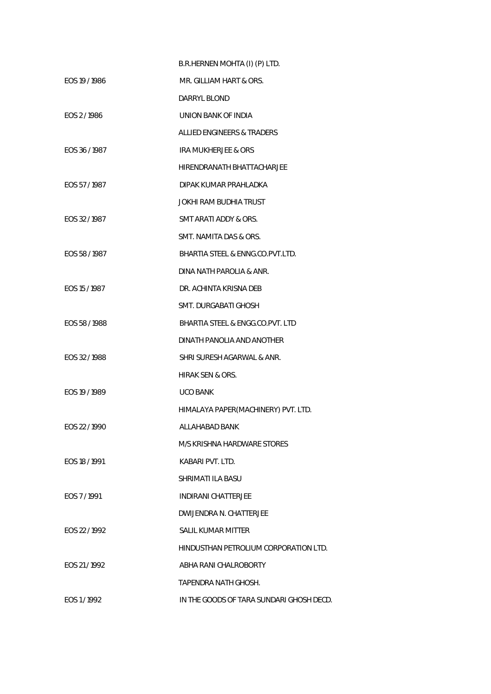|               | B.R.HERNEN MOHTA (I) (P) LTD.            |
|---------------|------------------------------------------|
| EOS 19 / 1986 | MR. GILLIAM HART & ORS.                  |
|               | DARRYL BLOND                             |
| EOS 2/1986    | UNION BANK OF INDIA                      |
|               | ALLIED ENGINEERS & TRADERS               |
| EOS 36/1987   | IRA MUKHERJEE & ORS                      |
|               | HIRENDRANATH BHATTACHARJEE               |
| EOS 57/1987   | DIPAK KUMAR PRAHLADKA                    |
|               | JOKHI RAM BUDHIA TRUST                   |
| EOS 32/1987   | SMT ARATI ADDY & ORS.                    |
|               | SMT. NAMITA DAS & ORS.                   |
| EOS 58/1987   | BHARTIA STEEL & ENNG.CO.PVT.LTD.         |
|               | DINA NATH PAROLIA & ANR.                 |
| EOS 15 / 1987 | DR. ACHINTA KRISNA DEB                   |
|               | SMT. DURGABATI GHOSH                     |
| EOS 58 / 1988 | BHARTIA STEEL & ENGG.CO.PVT. LTD         |
|               | DINATH PANOLIA AND ANOTHER               |
| EOS 32/1988   | SHRI SURESH AGARWAL & ANR.               |
|               | <b>HIRAK SEN &amp; ORS.</b>              |
| EOS 19 / 1989 | <b>UCO BANK</b>                          |
|               | HIMALAYA PAPER(MACHINERY) PVT. LTD.      |
| EOS 22/1990   | ALLAHABAD BANK                           |
|               | M/S KRISHNA HARDWARE STORES              |
| EOS 18/1991   | KABARI PVT. LTD.                         |
|               | SHRIMATI ILA BASU                        |
| EOS 7/1991    | <b>INDIRANI CHATTERJEE</b>               |
|               | DWIJENDRA N. CHATTERJEE                  |
| FOS 22/1992   | SALIL KUMAR MITTER                       |
|               | HINDUSTHAN PETROLIUM CORPORATION LTD.    |
| EOS 21/1992   | ABHA RANI CHALROBORTY                    |
|               | TAPENDRA NATH GHOSH.                     |
| EOS 1/1992    | IN THE GOODS OF TARA SUNDARI GHOSH DECD. |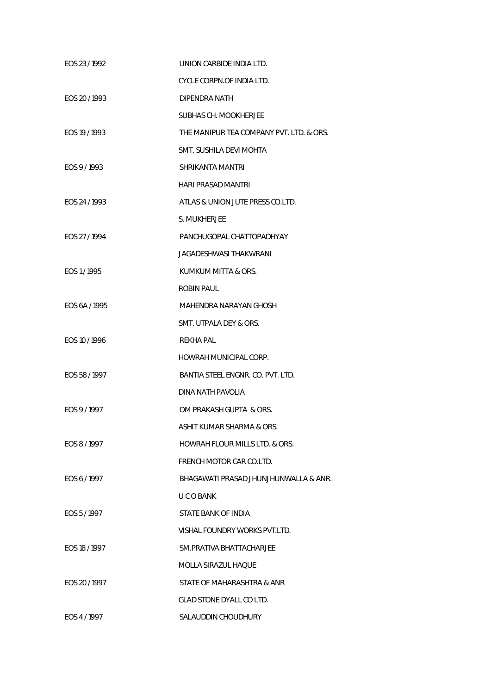| EOS 23/1992   | UNION CARBIDE INDIA LTD.                 |
|---------------|------------------------------------------|
|               | CYCLE CORPN.OF INDIA LTD.                |
| EOS 20/1993   | DIPENDRA NATH                            |
|               | SUBHAS CH. MOOKHERJEE                    |
| EOS 19 / 1993 | THE MANIPUR TEA COMPANY PVT. LTD. & ORS. |
|               | SMT. SUSHILA DEVI MOHTA                  |
| EOS 9/1993    | SHRIKANTA MANTRI                         |
|               | HARI PRASAD MANTRI                       |
| EOS 24/1993   | ATLAS & UNION JUTE PRESS CO.LTD.         |
|               | S. MUKHERJEE                             |
| EOS 27 / 1994 | PANCHUGOPAL CHATTOPADHYAY                |
|               | JAGADESHWASI THAKWRANI                   |
| EOS 1/1995    | KUMKUM MITTA & ORS.                      |
|               | ROBIN PAUL                               |
| EOS 6A / 1995 | MAHENDRA NARAYAN GHOSH                   |
|               | SMT. UTPALA DEY & ORS.                   |
| EOS 10 / 1996 | REKHA PAL                                |
|               | HOWRAH MUNICIPAL CORP.                   |
| EOS 58 / 1997 | BANTIA STEEL ENGNR. CO. PVT. LTD.        |
|               | DINA NATH PAVOLIA                        |
| EOS 9/1997    | OM PRAKASH GUPTA & ORS.                  |
|               | ASHIT KUMAR SHARMA & ORS.                |
| EOS 8/1997    | HOWRAH FLOUR MILLS LTD. & ORS.           |
|               | FRENCH MOTOR CAR CO.LTD.                 |
| EOS 6/1997    | BHAGAWATI PRASAD JHUNJHUNWALLA & ANR.    |
|               | U C O BANK                               |
| EOS 5/1997    | STATE BANK OF INDIA                      |
|               | VISHAL FOUNDRY WORKS PVT.LTD.            |
| EOS 18 / 1997 | SM.PRATIVA BHATTACHARJEE                 |
|               | MOLLA SIRAZUL HAQUE                      |
| EOS 20 / 1997 | STATE OF MAHARASHTRA & ANR               |
|               | GLAD STONE DYALL CO LTD.                 |
| EOS 4 / 1997  | SALAUDDIN CHOUDHURY                      |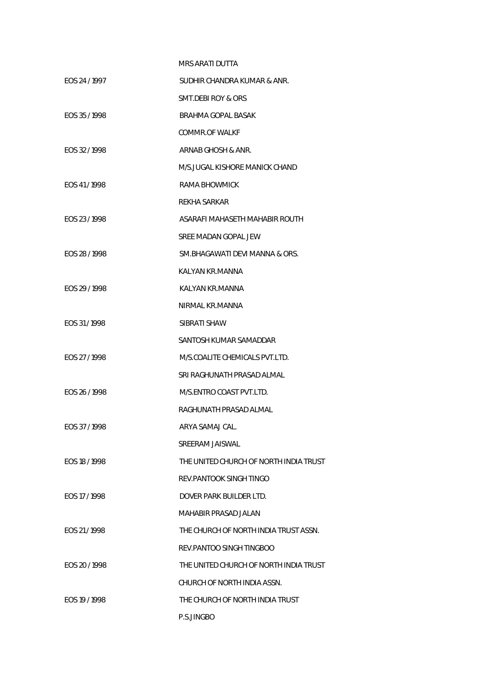|               | <b>MRS ARATI DUTTA</b>                 |
|---------------|----------------------------------------|
| EOS 24 / 1997 | SUDHIR CHANDRA KUMAR & ANR.            |
|               | SMT.DEBI ROY & ORS                     |
| EOS 35/1998   | BRAHMA GOPAL BASAK                     |
|               | COMMR.OF WALKF                         |
| EOS 32/1998   | ARNAB GHOSH & ANR.                     |
|               | M/S.JUGAL KISHORE MANICK CHAND         |
| EOS 41/1998   | RAMA BHOWMICK                          |
|               | <b>REKHA SARKAR</b>                    |
| EOS 23/1998   | ASARAFI MAHASETH MAHABIR ROUTH         |
|               | SREE MADAN GOPAL JEW                   |
| EOS 28 / 1998 | SM.BHAGAWATI DEVI MANNA & ORS.         |
|               | KALYAN KR.MANNA                        |
| EOS 29 / 1998 | KALYAN KR.MANNA                        |
|               | NIRMAL KR.MANNA                        |
| EOS 31/1998   | SIBRATI SHAW                           |
|               | SANTOSH KUMAR SAMADDAR                 |
| EOS 27 / 1998 | M/S.COALITE CHEMICALS PVT.LTD.         |
|               | SRI RAGHUNATH PRASAD ALMAL             |
| EOS 26 / 1998 | M/S.ENTRO COAST PVT.LTD.               |
|               | RAGHUNATH PRASAD ALMAL                 |
| EOS 37/1998   | ARYA SAMAJ CAL.                        |
|               | SREERAM JAISWAL                        |
| EOS 18 / 1998 | THE UNITED CHURCH OF NORTH INDIA TRUST |
|               | REV. PANTOOK SINGH TINGO               |
| EOS 17/1998   | DOVER PARK BUILDER LTD.                |
|               | MAHABIR PRASAD JALAN                   |
| EOS 21/1998   | THE CHURCH OF NORTH INDIA TRUST ASSN.  |
|               | REV.PANTOO SINGH TINGBOO               |
| EOS 20 / 1998 | THE UNITED CHURCH OF NORTH INDIA TRUST |
|               | CHURCH OF NORTH INDIA ASSN.            |
| EOS 19 / 1998 | THE CHURCH OF NORTH INDIA TRUST        |
|               | P.S.JINGBO                             |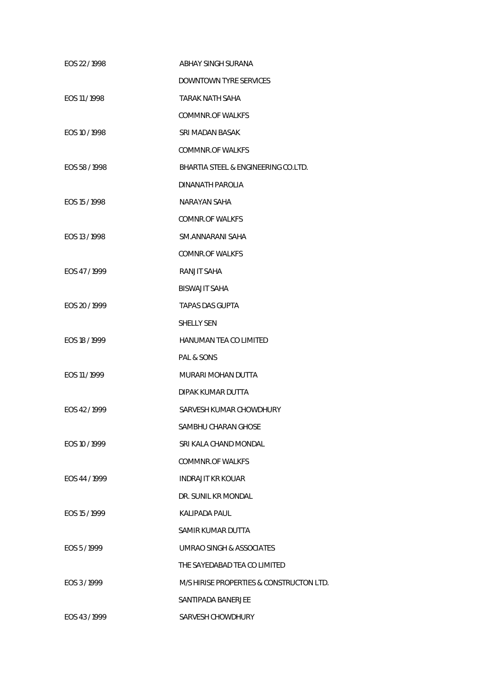| EOS 22/1998   | ABHAY SINGH SURANA                       |
|---------------|------------------------------------------|
|               | <b>DOWNTOWN TYRE SERVICES</b>            |
| EOS 11 / 1998 | <b>TARAK NATH SAHA</b>                   |
|               | <b>COMMNR.OF WALKES</b>                  |
| EOS 10 / 1998 | SRI MADAN BASAK                          |
|               | <b>COMMNR.OF WALKES</b>                  |
| EOS 58 / 1998 | BHARTIA STEEL & ENGINEERING CO.LTD.      |
|               | DINANATH PAROLIA                         |
| EOS 15 / 1998 | NARAYAN SAHA                             |
|               | COMNR.OF WALKES                          |
| EOS 13 / 1998 | SM.ANNARANI SAHA                         |
|               | <b>COMNR.OF WALKFS</b>                   |
| EOS 47/1999   | RANJIT SAHA                              |
|               | <b>BISWAJIT SAHA</b>                     |
| EOS 20 / 1999 | <b>TAPAS DAS GUPTA</b>                   |
|               | <b>SHELLY SEN</b>                        |
| EOS 18 / 1999 | HANUMAN TEA CO LIMITED                   |
|               | PAL & SONS                               |
| EOS 11 / 1999 | MURARI MOHAN DUTTA                       |
|               | DIPAK KUMAR DUTTA                        |
| EOS 42/1999   | SARVESH KUMAR CHOWDHURY                  |
|               | SAMBHU CHARAN GHOSE                      |
| EOS 10 / 1999 | SRI KALA CHAND MONDAL                    |
|               | COMMNR.OF WALKES                         |
| EOS 44 / 1999 | <b>INDRAJIT KR KOUAR</b>                 |
|               | DR. SUNIL KR MONDAL                      |
| EOS 15 / 1999 | KALIPADA PAUL                            |
|               | SAMIR KUMAR DUTTA                        |
| EOS 5/1999    | UMRAO SINGH & ASSOCIATES                 |
|               | THE SAYEDABAD TEA CO LIMITED             |
| EOS 3/1999    | M/S HIRISE PROPERTIES & CONSTRUCTON LTD. |
|               | SANTIPADA BANERJEE                       |
| EOS 43/1999   | SARVESH CHOWDHURY                        |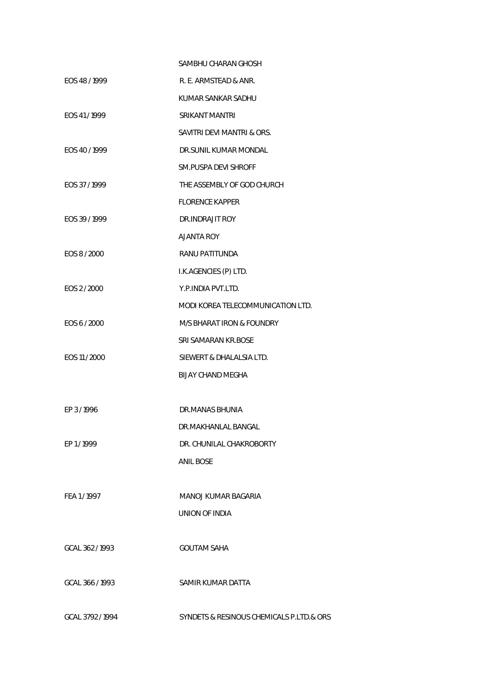|                  | SAMBHU CHARAN GHOSH                      |
|------------------|------------------------------------------|
| EOS 48/1999      | R. E. ARMSTEAD & ANR.                    |
|                  | KUMAR SANKAR SADHU                       |
| EOS 41/1999      | <b>SRIKANT MANTRI</b>                    |
|                  | SAVITRI DEVI MANTRI & ORS.               |
| EOS 40/1999      | DR.SUNIL KUMAR MONDAL                    |
|                  | SM.PUSPA DEVI SHROFF                     |
| EOS 37/1999      | THE ASSEMBLY OF GOD CHURCH               |
|                  | <b>FLORENCE KAPPER</b>                   |
| EOS 39/1999      | DR.INDRAJIT ROY                          |
|                  | AJANTA ROY                               |
| EOS 8 / 2000     | RANU PATITUNDA                           |
|                  | I.K.AGENCIES (P) LTD.                    |
| EOS 2 / 2000     | Y.P. INDIA PVT.LTD.                      |
|                  | MODI KOREA TELECOMMUNICATION LTD.        |
| EOS 6 / 2000     | M/S BHARAT IRON & FOUNDRY                |
|                  | SRI SAMARAN KR.BOSE                      |
| EOS 11 / 2000    | SIEWERT & DHALALSIA LTD.                 |
|                  | BIJAY CHAND MEGHA                        |
|                  |                                          |
| EP 3/1996        | DR.MANAS BHUNIA                          |
|                  | DR.MAKHANLAL BANGAL                      |
| FP1/1999         | DR. CHUNILAL CHAKROBORTY                 |
|                  | <b>ANIL BOSE</b>                         |
|                  |                                          |
| FEA 1/1997       | MANOJ KUMAR BAGARIA                      |
|                  | UNION OF INDIA                           |
|                  |                                          |
| GCAL 362/1993    | <b>GOUTAM SAHA</b>                       |
|                  |                                          |
| GCAL 366 / 1993  | SAMIR KUMAR DATTA                        |
|                  |                                          |
| GCAL 3792 / 1994 | SYNDETS & RESINOUS CHEMICALS P.LTD.& ORS |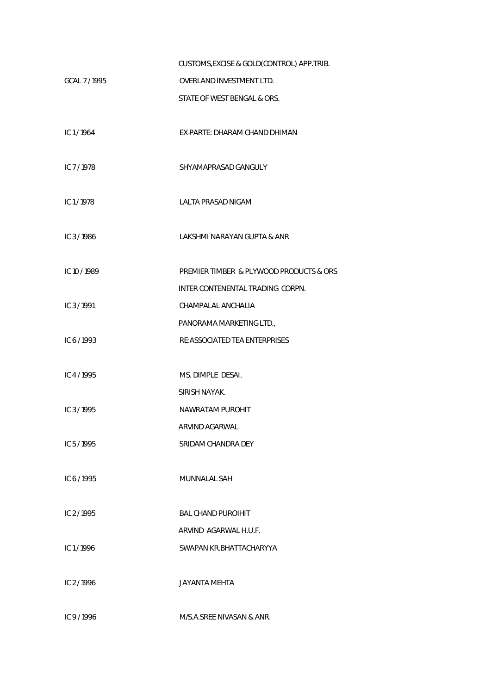|             | CUSTOMS, EXCISE & GOLD(CONTROL) APP. TRIB. |
|-------------|--------------------------------------------|
| GCAL 7/1995 | OVERLAND INVESTMENT LTD.                   |
|             | STATE OF WEST BENGAL & ORS.                |
|             |                                            |
| IC1/1964    | EX-PARTE: DHARAM CHAND DHIMAN              |
|             |                                            |
| IC 7/1978   | SHYAMAPRASAD GANGULY                       |
|             |                                            |
| IC1/1978    | LALTA PRASAD NIGAM                         |
|             |                                            |
| IC 3/1986   | LAKSHMI NARAYAN GUPTA & ANR                |
| IC10/1989   | PREMIER TIMBER & PLYWOOD PRODUCTS & ORS    |
|             | INTER CONTENENTAL TRADING CORPN.           |
|             |                                            |
| IC 3/1991   | CHAMPALAL ANCHALIA                         |
|             | PANORAMA MARKETING LTD.,                   |
| IC 6/1993   | RE:ASSOCIATED TEA ENTERPRISES              |
| IC4/1995    | MS. DIMPLE DESAI.                          |
|             | SIRISH NAYAK.                              |
| IC 3/1995   | NAWRATAM PUROHIT                           |
|             | ARVIND AGARWAL                             |
| IC $5/1995$ | SRIDAM CHANDRA DEY                         |
|             |                                            |
| IC 6/1995   | MUNNALAL SAH                               |
|             |                                            |
| IC $2/1995$ | <b>BAL CHAND PUROIHIT</b>                  |
|             | ARVIND AGARWAL H.U.F.                      |
| IC $1/1996$ | SWAPAN KR.BHATTACHARYYA                    |
|             |                                            |
| IC $2/1996$ | <b>JAYANTA MEHTA</b>                       |
|             |                                            |
| IC 9/1996   | M/S.A.SREE NIVASAN & ANR.                  |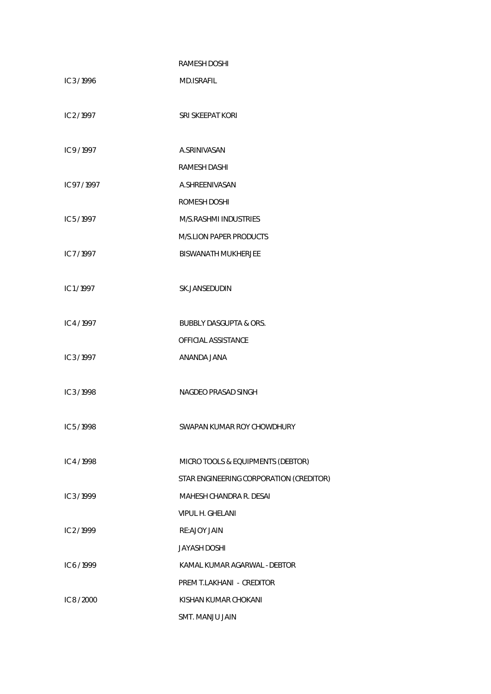|             | <b>RAMESH DOSHI</b>                     |
|-------------|-----------------------------------------|
| IC 3/1996   | <b>MD.ISRAFIL</b>                       |
|             |                                         |
| IC 2/1997   | SRI SKEEPAT KORI                        |
|             |                                         |
| IC 9/1997   | A.SRINIVASAN                            |
|             | <b>RAMESH DASHI</b>                     |
| IC 97/1997  | A.SHREENIVASAN                          |
|             | ROMESH DOSHI                            |
| IC $5/1997$ | M/S.RASHMI INDUSTRIES                   |
|             | <b>M/S.LION PAPER PRODUCTS</b>          |
| IC 7/1997   | <b>BISWANATH MUKHERJEE</b>              |
|             |                                         |
| IC1/1997    | SK.JANSEDUDIN                           |
|             |                                         |
| IC4/1997    | <b>BUBBLY DASGUPTA &amp; ORS.</b>       |
|             | OFFICIAL ASSISTANCE                     |
| IC 3/1997   | ANANDA JANA                             |
|             |                                         |
| IC 3/1998   | NAGDEO PRASAD SINGH                     |
|             |                                         |
| IC $5/1998$ | SWAPAN KUMAR ROY CHOWDHURY              |
|             |                                         |
| IC4/1998    | MICRO TOOLS & EQUIPMENTS (DEBTOR)       |
|             | STAR ENGINEERING CORPORATION (CREDITOR) |
| IC 3/1999   | MAHESH CHANDRA R. DESAI                 |
|             | VIPUL H. GHELANI                        |
| IC 2/1999   | RE:AJOY JAIN                            |
|             | <b>JAYASH DOSHI</b>                     |
| IC 6/1999   | KAMAL KUMAR AGARWAL - DEBTOR            |
|             | PREM T.LAKHANI - CREDITOR               |
| IC 8 / 2000 | KISHAN KUMAR CHOKANI                    |
|             | SMT. MANJU JAIN                         |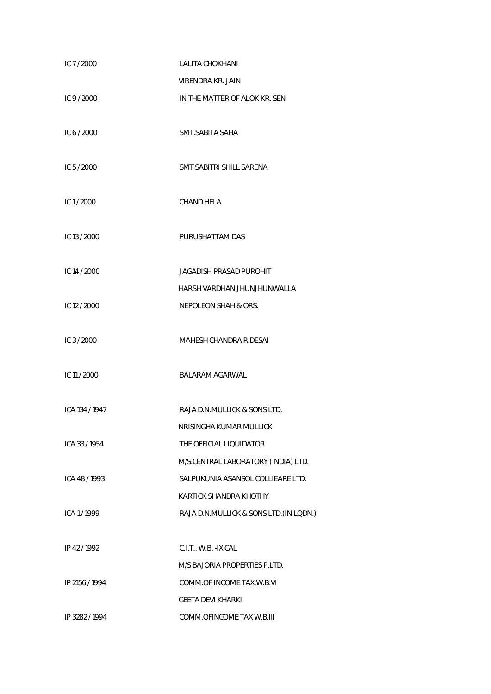| IC 7/2000      | LALITA CHOKHANI                         |
|----------------|-----------------------------------------|
|                | VIRENDRA KR. JAIN                       |
| IC $9/2000$    | IN THE MATTER OF ALOK KR. SEN           |
|                |                                         |
| IC 6 / 2000    | SMT.SABITA SAHA                         |
|                |                                         |
| IC 5/2000      | SMT SABITRI SHILL SARENA                |
| IC $1/2000$    | CHAND HELA                              |
|                |                                         |
| IC 13 / 2000   | PURUSHATTAM DAS                         |
|                |                                         |
| IC 14 / 2000   | JAGADISH PRASAD PUROHIT                 |
|                | HARSH VARDHAN JHUNJHUNWALLA             |
| IC 12 / 2000   | <b>NEPOLEON SHAH &amp; ORS.</b>         |
|                |                                         |
| IC $3/2000$    | MAHESH CHANDRA R.DESAI                  |
| IC 11 / 2000   | <b>BALARAM AGARWAL</b>                  |
|                |                                         |
| ICA 134 / 1947 | RAJA D.N.MULLICK & SONS LTD.            |
|                | NRISINGHA KUMAR MULLICK                 |
| ICA 33 / 1954  | THE OFFICIAL LIQUIDATOR                 |
|                | M/S.CENTRAL LABORATORY (INDIA) LTD.     |
| ICA 48 / 1993  | SALPUKUNIA ASANSOL COLLIEARE LTD.       |
|                | KARTICK SHANDRA KHOTHY                  |
| ICA 1/1999     | RAJA D.N.MULLICK & SONS LTD. (IN LODN.) |
|                |                                         |
| IP 42/1992     | C.I.T., W.B. - IX CAL                   |
|                | M/S BAJORIA PROPERTIES P.LTD.           |
| IP 2156 / 1994 | COMM.OF INCOME TAX; W.B.VI              |
|                | <b>GEETA DEVI KHARKI</b>                |
| IP 3282 / 1994 | COMM.OFINCOME TAX W.B.III               |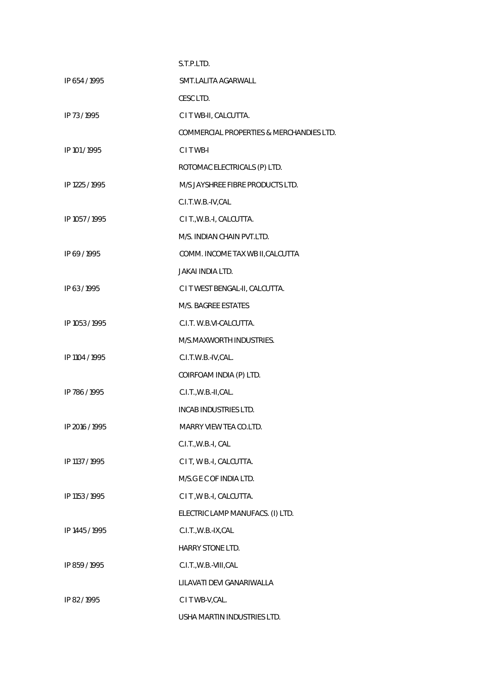|                | S.T.P.LTD.                               |
|----------------|------------------------------------------|
| IP 654/1995    | SMT.LALITA AGARWALL                      |
|                | CESC LTD.                                |
| IP 73/1995     | C I T WB-II, CALCUTTA.                   |
|                | COMMERCIAL PROPERTIES & MERCHANDIES LTD. |
| IP 101 / 1995  | CITWB-I                                  |
|                | ROTOMAC ELECTRICALS (P) LTD.             |
| IP 1225 / 1995 | M/S JAYSHREE FIBRE PRODUCTS LTD.         |
|                | C.I.T.W.B.-IV,CAL                        |
| IP 1057 / 1995 | C I T., W.B.-I, CALCUTTA.                |
|                | M/S. INDIAN CHAIN PVT.LTD.               |
| IP 69/1995     | COMM. INCOME TAX WB II, CALCUTTA         |
|                | <b>JAKAI INDIA LTD.</b>                  |
| IP 63/1995     | C I T WEST BENGAL-II, CALCUTTA.          |
|                | M/S. BAGREE ESTATES                      |
| IP 1053 / 1995 | C.I.T. W.B.VI-CALCUTTA.                  |
|                | M/S.MAXWORTH INDUSTRIES.                 |
| IP 1104 / 1995 | C.I.T.W.B.-IV,CAL.                       |
|                | COIRFOAM INDIA (P) LTD.                  |
| IP 786/1995    | C.I.T., W.B.-II, CAL.                    |
|                | INCAB INDUSTRIES LTD.                    |
| IP 2016 / 1995 | MARRY VIEW TEA CO.LTD.                   |
|                | C.I.T., W.B.-I, CAL                      |
| IP 1137 / 1995 | C I T, W B .- I, CALCUTTA.               |
|                | M/S.G E C OF INDIA LTD.                  |
| IP 1153 / 1995 | C I T , W B .- I, CALCUTTA.              |
|                | ELECTRIC LAMP MANUFACS. (I) LTD.         |
| IP 1445 / 1995 | C.I.T., W.B.-IX, CAL                     |
|                | HARRY STONE LTD.                         |
| IP 859 / 1995  | C.I.T., W.B.-VIII, CAL                   |
|                | LILAVATI DEVI GANARIWALLA                |
| IP 82/1995     | C I T WB-V, CAL.                         |
|                | USHA MARTIN INDUSTRIES LTD.              |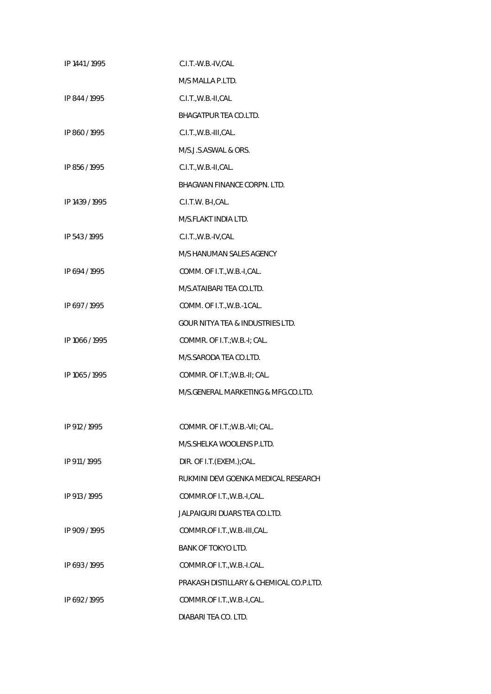| IP 1441 / 1995 | C.I.T.-W.B.-IV,CAL                          |
|----------------|---------------------------------------------|
|                | M/S MALLA P.LTD.                            |
| IP 844 / 1995  | C.I.T., W.B.-II, CAL                        |
|                | BHAGATPUR TEA CO.LTD.                       |
| IP 860/1995    | C.I.T., W.B.-III, CAL.                      |
|                | M/S.J.S.ASWAL & ORS.                        |
| IP 856 / 1995  | C.I.T., W.B.-II, CAL.                       |
|                | <b>BHAGWAN FINANCE CORPN. LTD.</b>          |
| IP 1439 / 1995 | C.I.T.W. B-I,CAL.                           |
|                | M/S.FLAKT INDIA LTD.                        |
| IP 543/1995    | C.I.T., W.B.-IV, CAL                        |
|                | M/S HANUMAN SALES AGENCY                    |
| IP 694/1995    | COMM. OF I.T., W.B.-I, CAL.                 |
|                | M/S.ATAIBARI TEA CO.LTD.                    |
| IP 697/1995    | COMM. OF I.T., W.B.-1.CAL.                  |
|                | <b>GOUR NITYA TEA &amp; INDUSTRIES LTD.</b> |
| IP 1066 / 1995 | COMMR. OF I.T.; W.B.-I; CAL.                |
|                | M/S.SARODA TEA CO.LTD.                      |
| IP 1065 / 1995 | COMMR. OF I.T.; W.B.-II; CAL.               |
|                | M/S.GENERAL MARKETING & MFG.CO.LTD.         |
|                |                                             |
| IP 912 / 1995  | COMMR. OF I.T.; W.B.-VII; CAL.              |
|                | M/S. SHELKA WOOLENS P.LTD.                  |
| IP 911 / 1995  | DIR. OF I.T.(EXEM.);CAL.                    |
|                | RUKMINI DEVI GOENKA MEDICAL RESEARCH        |
| IP 913 / 1995  | COMMR.OF I.T., W.B.-I, CAL.                 |
|                | JALPAIGURI DUARS TEA CO.LTD.                |
| IP 909 / 1995  | COMMR.OF I.T., W.B.-III, CAL.               |
|                | <b>BANK OF TOKYO LTD.</b>                   |
| IP 693/1995    | COMMR.OF I.T., W.B.-I.CAL.                  |
|                | PRAKASH DISTILLARY & CHEMICAL CO.P.LTD.     |
| IP 692/1995    | COMMR.OF I.T., W.B.-I, CAL.                 |
|                | DIABARI TEA CO. LTD.                        |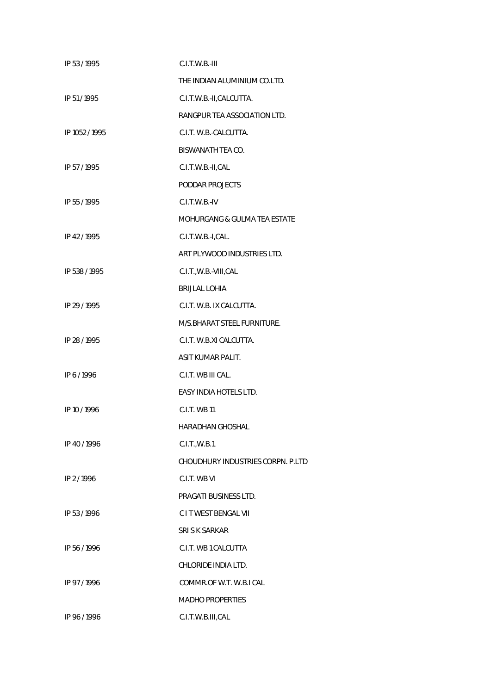| IP 53 / 1995   | $C.I.T.W.B.-III$                         |
|----------------|------------------------------------------|
|                | THE INDIAN ALUMINIUM CO.LTD.             |
| IP 51/1995     | C.I.T.W.B.-II,CALCUTTA.                  |
|                | RANGPUR TEA ASSOCIATION LTD.             |
| IP 1052 / 1995 | C.I.T. W.B.-CALCUTTA.                    |
|                | BISWANATH TEA CO.                        |
| IP 57/1995     | C.I.T.W.B.-II,CAL                        |
|                | PODDAR PROJECTS                          |
| IP 55 / 1995   | C.I.T.W.B.-IV                            |
|                | <b>MOHURGANG &amp; GULMA TEA ESTATE</b>  |
| IP 42/1995     | C.I.T.W.B.-I,CAL.                        |
|                | ART PLYWOOD INDUSTRIES LTD.              |
| IP 538 / 1995  | C.I.T., W.B.-VIII, CAL                   |
|                | <b>BRIJLAL LOHIA</b>                     |
| IP 29 / 1995   | C.I.T. W.B. IX CALCUTTA.                 |
|                | M/S.BHARAT STEEL FURNITURE.              |
| IP 28 / 1995   | C.I.T. W.B.XI CALCUTTA.                  |
|                | ASIT KUMAR PALIT.                        |
| IP 6/1996      | C.I.T. WB III CAL.                       |
|                | EASY INDIA HOTELS LTD.                   |
| IP 10 / 1996   | C.I.T. WB 11                             |
|                | HARADHAN GHOSHAL                         |
| IP 40/1996     | C.I.T., W.B.1                            |
|                | <b>CHOUDHURY INDUSTRIES CORPN. P.LTD</b> |
| IP 2/1996      | C.I.T. WB VI                             |
|                | PRAGATI BUSINESS LTD.                    |
| IP 53/1996     | <b>CIT WEST BENGAL VII</b>               |
|                | SRISK SARKAR                             |
| IP 56/1996     | C.I.T. WB 1 CALCUTTA                     |
|                | CHLORIDE INDIA LTD.                      |
| IP 97/1996     | COMMR.OF W.T. W.B.I CAL                  |
|                | <b>MADHO PROPERTIES</b>                  |
| IP 96/1996     | C.I.T.W.B.III,CAL                        |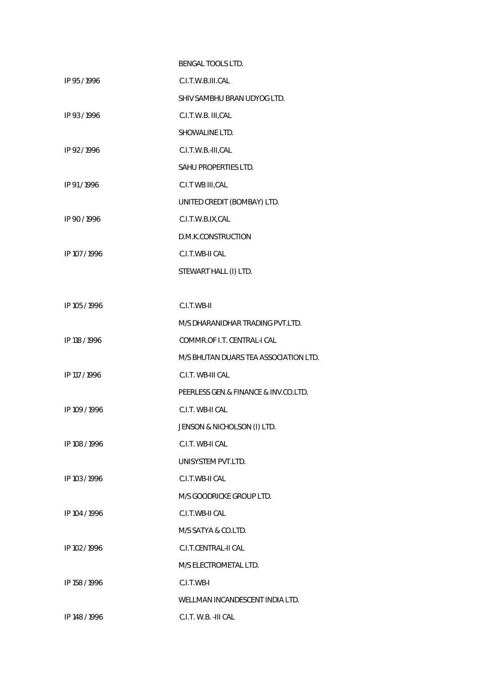|               | <b>BENGAL TOOLS LTD.</b>              |
|---------------|---------------------------------------|
| IP 95/1996    | C.I.T.W.B.III.CAL                     |
|               | SHIV SAMBHU BRAN UDYOG LTD.           |
| IP 93/1996    | C.I.T.W.B. III,CAL                    |
|               | SHOWALINE LTD.                        |
| IP 92/1996    | C.I.T.W.B.-III,CAL                    |
|               | SAHU PROPERTIES LTD.                  |
| IP 91/1996    | C.I.T WB III, CAL                     |
|               | UNITED CREDIT (BOMBAY) LTD.           |
| IP 90/1996    | C.I.T.W.B.IX,CAL                      |
|               | D.M.K.CONSTRUCTION                    |
| IP 107 / 1996 | C.I.T.WB-II CAL                       |
|               | STEWART HALL (I) LTD.                 |
|               |                                       |
| IP 105 / 1996 | C.I.T.WB-II                           |
|               | M/S DHARANIDHAR TRADING PVT.LTD.      |
| IP 118 / 1996 | COMMR.OF I.T. CENTRAL-I CAL           |
|               | M/S BHUTAN DUARS TEA ASSOCIATION LTD. |
| IP 117 / 1996 | C.I.T. WB-III CAL                     |
|               | PEERLESS GEN.& FINANCE & INV.CO.LTD.  |
| IP 109 / 1996 | C.I.T. WB-II CAL                      |
|               | JENSON & NICHOLSON (I) LTD.           |
| IP 108 / 1996 | C.I.T. WB-II CAL                      |
|               | UNISYSTEM PVT.LTD.                    |
| IP 103 / 1996 | C.I.T.WB-II CAL                       |
|               | M/S GOODRICKE GROUP LTD.              |
| IP 104 / 1996 | C.I.T.WB-II CAL                       |
|               | M/S SATYA & CO.LTD.                   |
| IP 102 / 1996 | C.I.T.CENTRAL-II CAL                  |
|               | M/S ELECTROMETAL LTD.                 |
| IP 158 / 1996 | C.I.T.WB-I                            |
|               | WELLMAN INCANDESCENT INDIA LTD.       |
| IP 148 / 1996 | C.I.T. W.B. - III CAL                 |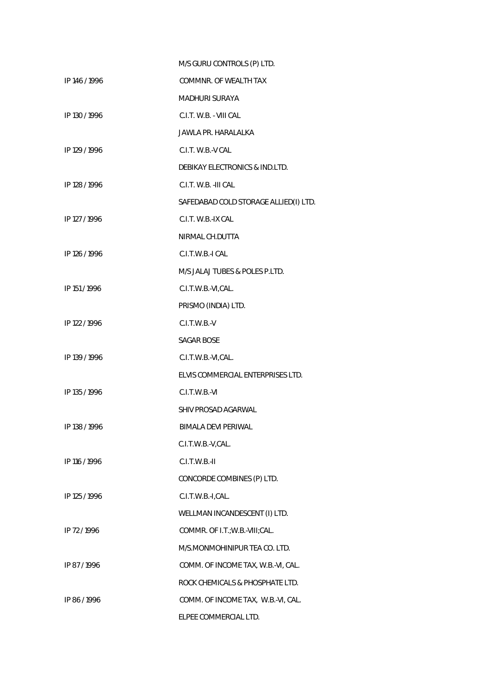|               | M/S GURU CONTROLS (P) LTD.            |
|---------------|---------------------------------------|
| IP 146 / 1996 | COMMNR. OF WEALTH TAX                 |
|               | MADHURI SURAYA                        |
| IP 130 / 1996 | C.I.T. W.B. - VIII CAL                |
|               | <b>JAWLA PR. HARALALKA</b>            |
| IP 129 / 1996 | C.I.T. W.B.-V CAL                     |
|               | DEBIKAY ELECTRONICS & IND.LTD.        |
| IP 128 / 1996 | C.I.T. W.B. - III CAL                 |
|               | SAFEDABAD COLD STORAGE ALLIED(I) LTD. |
| IP 127 / 1996 | C.I.T. W.B.-IX CAL                    |
|               | NIRMAL CH.DUTTA                       |
| IP 126 / 1996 | C.I.T.W.B.-I CAL                      |
|               | M/S JALAJ TUBES & POLES P.LTD.        |
| IP 151/1996   | C.I.T.W.B.-VI,CAL.                    |
|               | PRISMO (INDIA) LTD.                   |
| IP 122 / 1996 | $C.I.T.W.B.-V$                        |
|               | <b>SAGAR BOSE</b>                     |
| IP 139 / 1996 | C.I.T.W.B.-VI,CAL.                    |
|               | ELVIS COMMERCIAL ENTERPRISES LTD.     |
| IP 135 / 1996 | C.I.T.W.B.-VI                         |
|               | SHIV PROSAD AGARWAL                   |
| IP 138 / 1996 | <b>BIMALA DEVI PERIWAL</b>            |
|               | C.I.T.W.B.-V,CAL.                     |
| IP 116 / 1996 | $C.I.T.W.B.-II$                       |
|               | CONCORDE COMBINES (P) LTD.            |
| IP 125 / 1996 | C.I.T.W.B.-I,CAL.                     |
|               | WELLMAN INCANDESCENT (I) LTD.         |
| IP 72/1996    | COMMR. OF I.T.; W.B.-VIII; CAL.       |
|               | M/S.MONMOHINIPUR TEA CO. LTD.         |
| IP 87/1996    | COMM. OF INCOME TAX, W.B.-VI, CAL.    |
|               | ROCK CHEMICALS & PHOSPHATE LTD.       |
| IP 86/1996    | COMM. OF INCOME TAX, W.B.-VI, CAL.    |
|               | ELPEE COMMERCIAL LTD.                 |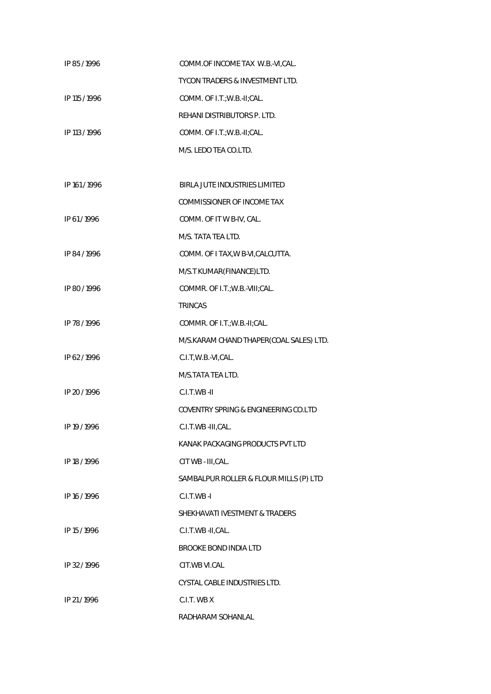| IP 85/1996    | COMM.OF INCOME TAX W.B.-VI,CAL.         |
|---------------|-----------------------------------------|
|               | TYCON TRADERS & INVESTMENT LTD.         |
| IP 115 / 1996 | COMM. OF I.T.; W.B.-II; CAL.            |
|               | REHANI DISTRIBUTORS P. LTD.             |
| IP 113 / 1996 | COMM. OF I.T.; W.B.-II; CAL.            |
|               | M/S. LEDO TEA CO.LTD.                   |
|               |                                         |
| IP 161/1996   | BIRLA JUTE INDUSTRIES LIMITED           |
|               | COMMISSIONER OF INCOME TAX              |
| IP 61/1996    | COMM. OF IT W B-IV, CAL.                |
|               | M/S. TATA TEA LTD.                      |
| IP 84/1996    | COMM. OF I TAX, W B-VI, CALCUTTA.       |
|               | M/S.T KUMAR(FINANCE)LTD.                |
| IP 80/1996    | COMMR. OF I.T.; W.B.-VIII; CAL.         |
|               | <b>TRINCAS</b>                          |
| IP 78 / 1996  | COMMR. OF I.T.; W.B.-II; CAL.           |
|               | M/S.KARAM CHAND THAPER(COAL SALES) LTD. |
| IP 62/1996    | C.I.T, W.B.-VI, CAL.                    |
|               | M/S.TATA TEA LTD.                       |
| IP 20 / 1996  | C.I.T.WB-II                             |
|               | COVENTRY SPRING & ENGINEERING CO.LTD    |
| IP 19 / 1996  | C.I.T.WB-III,CAL.                       |
|               | KANAK PACKAGING PRODUCTS PVT LTD        |
| IP 18 / 1996  | CIT WB - III, CAL.                      |
|               | SAMBALPUR ROLLER & FLOUR MILLS (P) LTD  |
| IP 16 / 1996  | $C.I.T.WB-I$                            |
|               | SHEKHAVATI IVESTMENT & TRADERS          |
| IP 15 / 1996  | C.I.T.WB-II,CAL.                        |
|               | <b>BROOKE BOND INDIA LTD</b>            |
| IP 32/1996    | CIT.WB VI.CAL                           |
|               | CYSTAL CABLE INDUSTRIES LTD.            |
| IP 21/1996    | C.I.T. WB X                             |
|               | RADHARAM SOHANLAL                       |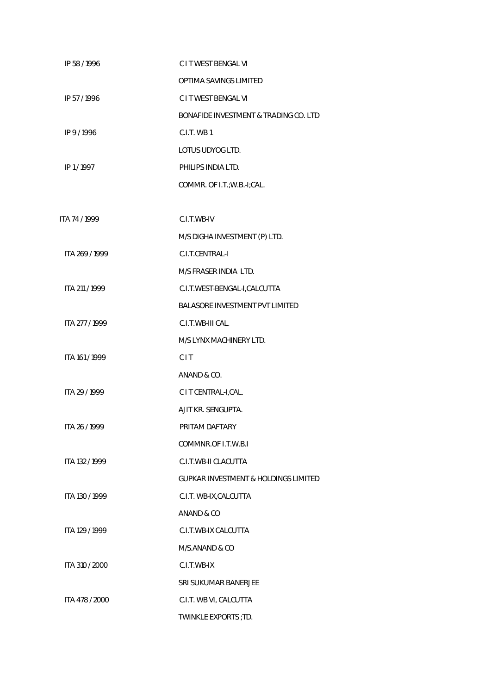| IP 58/1996     | C I T WEST BENGAL VI                            |
|----------------|-------------------------------------------------|
|                | OPTIMA SAVINGS LIMITED                          |
| IP 57/1996     | C I T WEST BENGAL VI                            |
|                | BONAFIDE INVESTMENT & TRADING CO. LTD           |
| IP 9/1996      | C.I.T. WB1                                      |
|                | LOTUS UDYOG LTD.                                |
| IP 1/1997      | PHILIPS INDIA LTD.                              |
|                | COMMR. OF I.T.; W.B.-I; CAL.                    |
|                |                                                 |
| ITA 74 / 1999  | C.I.T.WB-IV                                     |
|                | M/S DIGHA INVESTMENT (P) LTD.                   |
| ITA 269 / 1999 | C.I.T.CENTRAL-I                                 |
|                | M/S FRASER INDIA LTD.                           |
| ITA 211 / 1999 | C.I.T.WEST-BENGAL-I,CALCUTTA                    |
|                | <b>BALASORE INVESTMENT PVT LIMITED</b>          |
| ITA 277 / 1999 | C.I.T.WB-III CAL.                               |
|                | M/S LYNX MACHINERY LTD.                         |
| ITA 161 / 1999 | <b>CIT</b>                                      |
|                | ANAND & CO.                                     |
| ITA 29 / 1999  | C I T CENTRAL-I, CAL.                           |
|                | AJIT KR. SENGUPTA.                              |
| ITA 26 / 1999  | PRITAM DAFTARY                                  |
|                | COMMNR.OF I.T.W.B.I                             |
| ITA 132 / 1999 | C.I.T.WB-II CLACUTTA                            |
|                | <b>GUPKAR INVESTMENT &amp; HOLDINGS LIMITED</b> |
| ITA 130 / 1999 | C.I.T. WB-IX, CALCUTTA                          |
|                | ANAND & CO                                      |
| ITA 129 / 1999 | C.I.T.WB-IX CALCUTTA                            |
|                | M/S.ANAND & CO                                  |
| ITA 310 / 2000 | C.I.T.WB-IX                                     |
|                | SRI SUKUMAR BANERJEE                            |
| ITA 478 / 2000 | C.I.T. WB VI, CALCUTTA                          |
|                | TWINKLE EXPORTS ; TD.                           |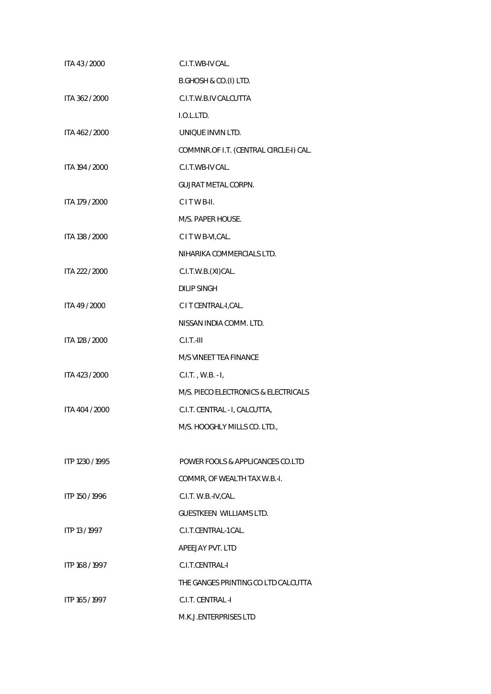| ITA 43 / 2000   | C.I.T.WB-IV CAL.                       |
|-----------------|----------------------------------------|
|                 | B.GHOSH & CO.(I) LTD.                  |
| ITA 362 / 2000  | C.I.T.W.B.IV CALCUTTA                  |
|                 | I.O.L.LTD.                             |
| ITA 462 / 2000  | UNIQUE INVIN LTD.                      |
|                 | COMMNR.OF I.T. (CENTRAL CIRCLE-I) CAL. |
| ITA 194 / 2000  | C.I.T.WB-IV CAL.                       |
|                 | <b>GUJRAT METAL CORPN.</b>             |
| ITA 179 / 2000  | CITWB-II.                              |
|                 | M/S. PAPER HOUSE.                      |
| ITA 138 / 2000  | C I T W B-VI, CAL.                     |
|                 | NIHARIKA COMMERCIALS LTD.              |
| ITA 222 / 2000  | C.I.T.W.B.(XI)CAL.                     |
|                 | <b>DILIP SINGH</b>                     |
| ITA 49 / 2000   | C I T CENTRAL-I, CAL.                  |
|                 | NISSAN INDIA COMM. LTD.                |
| ITA 128 / 2000  | $C.I.T.-III$                           |
|                 | M/S VINEET TEA FINANCE                 |
| ITA 423 / 2000  | C.I.T., W.B. - I,                      |
|                 | M/S. PIECO ELECTRONICS & ELECTRICALS   |
| ITA 404 / 2000  | C.I.T. CENTRAL - I, CALCUTTA,          |
|                 | M/S. HOOGHLY MILLS CO. LTD.,           |
|                 |                                        |
| ITP 1230 / 1995 | POWER FOOLS & APPLICANCES CO.LTD       |
|                 | COMMR, OF WEALTH TAX W.B.-I.           |
| ITP 150 / 1996  | C.I.T. W.B.-IV, CAL.                   |
|                 | <b>GUESTKEEN WILLIAMS LTD.</b>         |
| ITP 13 / 1997   | C.I.T.CENTRAL-1 CAL.                   |
|                 | APEEJAY PVT. LTD                       |
| ITP 168 / 1997  | C.I.T.CENTRAL-I                        |
|                 | THE GANGES PRINTING CO LTD CALCUTTA    |
| ITP 165 / 1997  | C.I.T. CENTRAL -I                      |
|                 | M.K.J.ENTERPRISES LTD                  |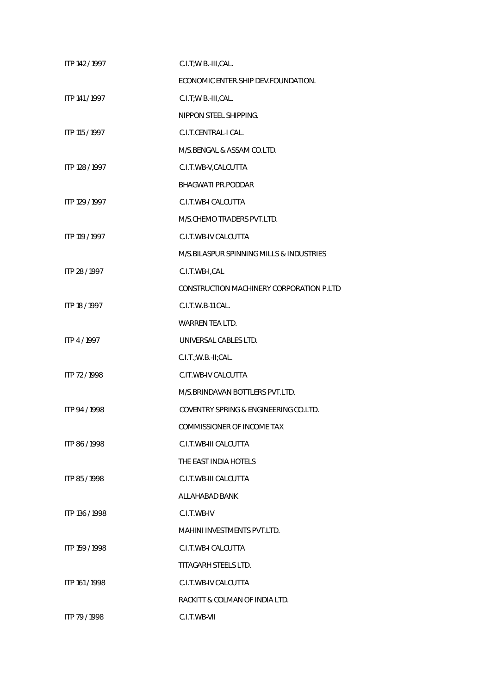| ITP 142 / 1997 | C.I.T; W B.-III, CAL.                    |
|----------------|------------------------------------------|
|                | ECONOMIC ENTER. SHIP DEV. FOUNDATION.    |
| ITP 141 / 1997 | C.I.T;W B.-III,CAL.                      |
|                | NIPPON STEEL SHIPPING.                   |
| ITP 115 / 1997 | C.I.T.CENTRAL-I CAL.                     |
|                | M/S.BENGAL & ASSAM CO.LTD.               |
| ITP 128 / 1997 | C.I.T.WB-V,CALCUTTA                      |
|                | <b>BHAGWATI PR.PODDAR</b>                |
| ITP 129 / 1997 | C.I.T.WB-I CALCUTTA                      |
|                | M/S.CHEMO TRADERS PVT.LTD.               |
| ITP 119 / 1997 | C.I.T.WB-IV CALCUTTA                     |
|                | M/S.BILASPUR SPINNING MILLS & INDUSTRIES |
| ITP 28 / 1997  | C.I.T.WB-I,CAL                           |
|                | CONSTRUCTION MACHINERY CORPORATION P.LTD |
| ITP 18 / 1997  | C.I.T.W.B-11 CAL.                        |
|                | <b>WARREN TEA LTD.</b>                   |
| ITP 4/1997     | UNIVERSAL CABLES LTD.                    |
|                | C.I.T.; W.B.-II; CAL.                    |
| ITP 72/1998    | C.IT.WB-IV CALCUTTA                      |
|                | M/S.BRINDAVAN BOTTLERS PVT.LTD.          |
| ITP 94 / 1998  | COVENTRY SPRING & ENGINEERING CO.LTD.    |
|                | COMMISSIONER OF INCOME TAX               |
| ITP 86/1998    | C.I.T.WB-III CALCUTTA                    |
|                | THE EAST INDIA HOTELS                    |
| ITP 85/1998    | C.I.T.WB-III CALCUTTA                    |
|                | ALLAHABAD BANK                           |
| ITP 136 / 1998 | C.I.T.WB-IV                              |
|                | <b>MAHINI INVESTMENTS PVT.LTD.</b>       |
| ITP 159 / 1998 | C.I.T.WB-I CALCUTTA                      |
|                | TITAGARH STEELS LTD.                     |
| ITP 161 / 1998 | C.I.T.WB-IV CALCUTTA                     |
|                | RACKITT & COLMAN OF INDIA LTD.           |
| ITP 79 / 1998  | C.I.T.WB-VII                             |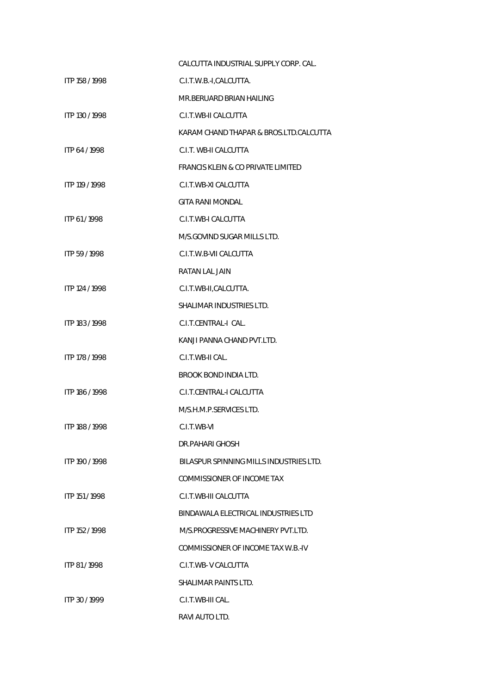|                | CALCUTTA INDUSTRIAL SUPPLY CORP. CAL.         |
|----------------|-----------------------------------------------|
| ITP 158 / 1998 | C.I.T.W.B.-I,CALCUTTA.                        |
|                | MR.BERUARD BRIAN HAILING                      |
| ITP 130 / 1998 | C.I.T.WB-II CALCUTTA                          |
|                | KARAM CHAND THAPAR & BROS.LTD.CALCUTTA        |
| ITP 64 / 1998  | C.I.T. WB-II CALCUTTA                         |
|                | <b>FRANCIS KLEIN &amp; CO PRIVATE LIMITED</b> |
| ITP 119 / 1998 | C.I.T.WB-XI CALCUTTA                          |
|                | <b>GITA RANI MONDAL</b>                       |
| ITP 61/1998    | C.I.T.WB-I CALCUTTA                           |
|                | M/S.GOVIND SUGAR MILLS LTD.                   |
| ITP 59/1998    | C.I.T.W.B-VII CALCUTTA                        |
|                | RATAN LAL JAIN                                |
| ITP 124 / 1998 | C.I.T.WB-II,CALCUTTA.                         |
|                | SHALIMAR INDUSTRIES LTD.                      |
| ITP 183 / 1998 | C.I.T.CENTRAL-I CAL.                          |
|                | KANJI PANNA CHAND PVT.LTD.                    |
| ITP 178 / 1998 | C.I.T.WB-II CAL.                              |
|                | <b>BROOK BOND INDIA LTD.</b>                  |
| ITP 186 / 1998 | C.I.T.CENTRAL-I CALCUTTA                      |
|                | M/S.H.M.P.SERVICES LTD.                       |
| ITP 188 / 1998 | C.L.T.WB-VI                                   |
|                | DR PAHARI GHOSH                               |
| ITP 190 / 1998 | BILASPUR SPINNING MILLS INDUSTRIES LTD.       |
|                | COMMISSIONER OF INCOME TAX                    |
| ITP 151 / 1998 | C.I.T.WB-III CALCUTTA                         |
|                | BINDAWALA ELECTRICAL INDUSTRIES LTD           |
| ITP 152 / 1998 | M/S.PROGRESSIVE MACHINERY PVT.LTD.            |
|                | COMMISSIONER OF INCOME TAX W.B.-IV            |
| ITP 81/1998    | C.I.T.WB-VCALCUTTA                            |
|                | SHALIMAR PAINTS LTD.                          |
| ITP 30/1999    | C.I.T.WB-III CAL.                             |
|                | RAVI AUTO LTD.                                |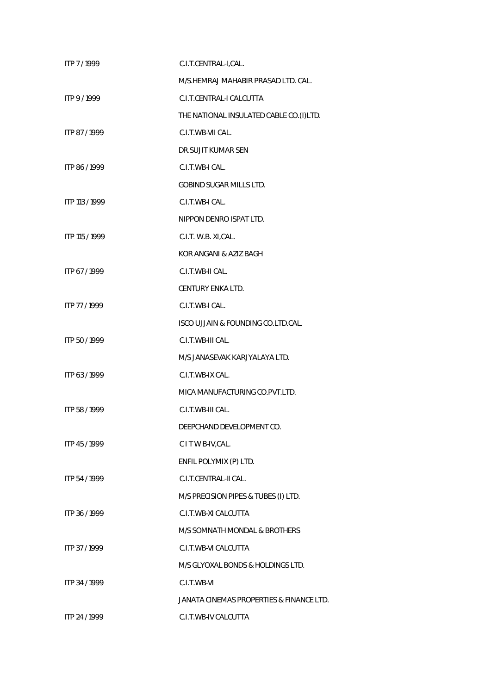| ITP 7/1999     | C.I.T.CENTRAL-I,CAL.                     |
|----------------|------------------------------------------|
|                | M/S.HEMRAJ MAHABIR PRASAD LTD. CAL.      |
| ITP 9/1999     | C.I.T.CENTRAL-I CALCUTTA                 |
|                | THE NATIONAL INSULATED CABLE CO.(I)LTD.  |
| ITP 87/1999    | C.I.T.WB-VII CAL.                        |
|                | DR.SUJIT KUMAR SEN                       |
| ITP 86 / 1999  | C.I.T.WB-I CAL.                          |
|                | <b>GOBIND SUGAR MILLS LTD.</b>           |
| ITP 113 / 1999 | C.I.T.WB-I CAL.                          |
|                | NIPPON DENRO ISPAT LTD.                  |
| ITP 115 / 1999 | C.I.T. W.B. XI, CAL.                     |
|                | KOR ANGANI & AZIZ BAGH                   |
| ITP 67/1999    | C.I.T.WB-II CAL.                         |
|                | CENTURY ENKA LTD.                        |
| ITP 77 / 1999  | C.I.T.WB-I CAL.                          |
|                | ISCO UJJAIN & FOUNDING CO.LTD.CAL.       |
| ITP 50 / 1999  | C.I.T.WB-III CAL.                        |
|                | M/S JANASEVAK KARJYALAYA LTD.            |
| ITP 63/1999    | C.I.T.WB-IX CAL.                         |
|                | MICA MANUFACTURING CO.PVT.LTD.           |
| ITP 58 / 1999  | C.I.T.WB-III CAL.                        |
|                | DEEPCHAND DEVELOPMENT CO.                |
| ITP 45/1999    | C I T W B-IV, CAL.                       |
|                | ENFIL POLYMIX (P) LTD.                   |
| ITP 54 / 1999  | C.I.T.CENTRAL-II CAL.                    |
|                | M/S PRECISION PIPES & TUBES (I) LTD.     |
| ITP 36/1999    | C.I.T.WB-XI CALCUTTA                     |
|                | M/S SOMNATH MONDAL & BROTHERS            |
| ITP 37/1999    | C.I.T.WB-VI CALCUTTA                     |
|                | M/S GLYOXAL BONDS & HOLDINGS LTD.        |
| ITP 34 / 1999  | C.I.T.WB-VI                              |
|                | JANATA CINEMAS PROPERTIES & FINANCE LTD. |
| ITP 24 / 1999  | C.I.T.WB-IV CALCUTTA                     |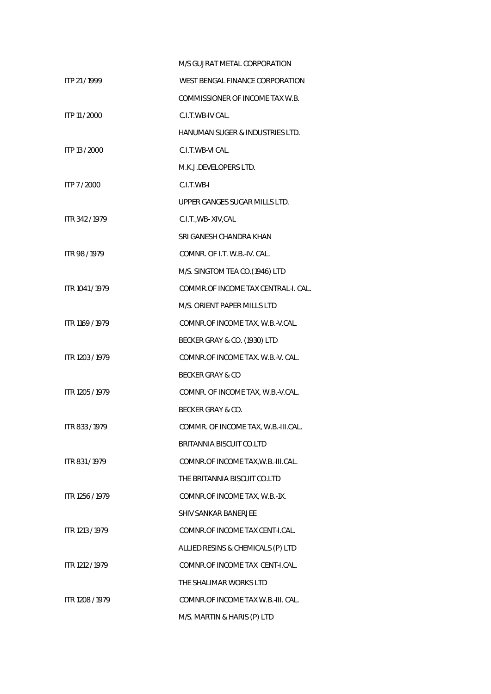|                 | M/S GUJRAT METAL CORPORATION        |
|-----------------|-------------------------------------|
| ITP 21/1999     | WEST BENGAL FINANCE CORPORATION     |
|                 | COMMISSIONER OF INCOME TAX W.B.     |
| ITP 11 / 2000   | C.I.T.WB-IV CAL.                    |
|                 | HANUMAN SUGER & INDUSTRIES LTD.     |
| ITP 13 / 2000   | C.I.T.WB-VI CAL.                    |
|                 | M.K.J.DEVELOPERS LTD.               |
| ITP 7/2000      | C.I.T.WB-I                          |
|                 | UPPER GANGES SUGAR MILLS LTD.       |
| ITR 342/1979    | C.I.T., WB-XIV, CAL                 |
|                 | SRI GANESH CHANDRA KHAN             |
| ITR 98/1979     | COMNR. OF I.T. W.B.-IV. CAL.        |
|                 | M/S. SINGTOM TEA CO.(1946) LTD      |
| ITR 1041 / 1979 | COMMR.OF INCOME TAX CENTRAL-I. CAL. |
|                 | M/S. ORIENT PAPER MILLS LTD         |
| ITR 1169 / 1979 | COMNR.OF INCOME TAX, W.B.-V.CAL.    |
|                 | BECKER GRAY & CO. (1930) LTD        |
| ITR 1203 / 1979 | COMNR.OF INCOME TAX. W.B.-V. CAL.   |
|                 | BECKER GRAY & CO                    |
| ITR 1205 / 1979 | COMNR. OF INCOME TAX, W.B.-V.CAL.   |
|                 | BECKER GRAY & CO.                   |
| ITR 833 / 1979  | COMMR. OF INCOME TAX, W.B.-III.CAL. |
|                 | BRITANNIA BISCUIT CO.LTD            |
| ITR 831/1979    | COMNR.OF INCOME TAX, W.B.-III.CAL.  |
|                 | THE BRITANNIA BISCUIT CO.LTD        |
| ITR 1256 / 1979 | COMNR.OF INCOME TAX, W.B.-1X.       |
|                 | <b>SHIV SANKAR BANERJEE</b>         |
| ITR 1213 / 1979 | COMNR.OF INCOME TAX CENT-I.CAL.     |
|                 | ALLIED RESINS & CHEMICALS (P) LTD   |
| ITR 1212 / 1979 | COMNR.OF INCOME TAX CENT-I.CAL.     |
|                 | THE SHALIMAR WORKS LTD              |
| ITR 1208 / 1979 | COMNR.OF INCOME TAX W.B.-III. CAL.  |
|                 | M/S. MARTIN & HARIS (P) LTD         |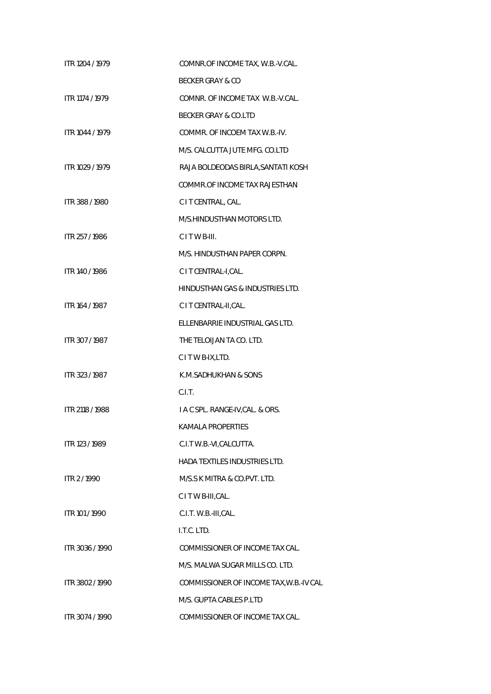| ITR 1204 / 1979 | COMNR.OF INCOME TAX, W.B.-V.CAL.        |
|-----------------|-----------------------------------------|
|                 | BECKER GRAY & CO                        |
| ITR 1174 / 1979 | COMNR. OF INCOME TAX W.B.-V.CAL.        |
|                 | BECKER GRAY & CO.LTD                    |
| ITR 1044 / 1979 | COMMR. OF INCOEM TAX W.B.-IV.           |
|                 | M/S. CALCUTTA JUTE MFG. CO.LTD          |
| ITR 1029 / 1979 | RAJA BOLDEODAS BIRLA, SANTATI KOSH      |
|                 | COMMR.OF INCOME TAX RAJESTHAN           |
| ITR 388 / 1980  | C I T CENTRAL, CAL.                     |
|                 | M/S.HINDUSTHAN MOTORS LTD.              |
| ITR 257/1986    | CITWB-III.                              |
|                 | M/S. HINDUSTHAN PAPER CORPN.            |
| ITR 140 / 1986  | C I T CENTRAL-I, CAL.                   |
|                 | HINDUSTHAN GAS & INDUSTRIES LTD.        |
| ITR 164 / 1987  | C I T CENTRAL-II, CAL.                  |
|                 | ELLENBARRIE INDUSTRIAL GAS LTD.         |
| ITR 307/1987    | THE TELOIJAN TA CO. LTD.                |
|                 | CITWB-IX,LTD.                           |
| ITR 323 / 1987  | K.M.SADHUKHAN & SONS                    |
|                 | C.I.T.                                  |
| ITR 2118 / 1988 | I A C SPL. RANGE-IV, CAL. & ORS.        |
|                 | KAMALA PROPERTIES                       |
| ITR 123 / 1989  | C.I.T W.B.-VI.CALCUTTA.                 |
|                 | <b>HADA TEXTILES INDUSTRIES LTD.</b>    |
| ITR 2/1990      | M/S.S K MITRA & CO.PVT. LTD.            |
|                 | CITWB-III, CAL.                         |
| ITR 101 / 1990  | C.I.T. W.B.-III, CAL.                   |
|                 | I.T.C. LTD.                             |
| ITR 3036 / 1990 | COMMISSIONER OF INCOME TAX CAL.         |
|                 | M/S. MALWA SUGAR MILLS CO. LTD.         |
| ITR 3802 / 1990 | COMMISSIONER OF INCOME TAX, W.B.-IV CAL |
|                 | M/S. GUPTA CABLES P.LTD                 |
| ITR 3074 / 1990 | COMMISSIONER OF INCOME TAX CAL.         |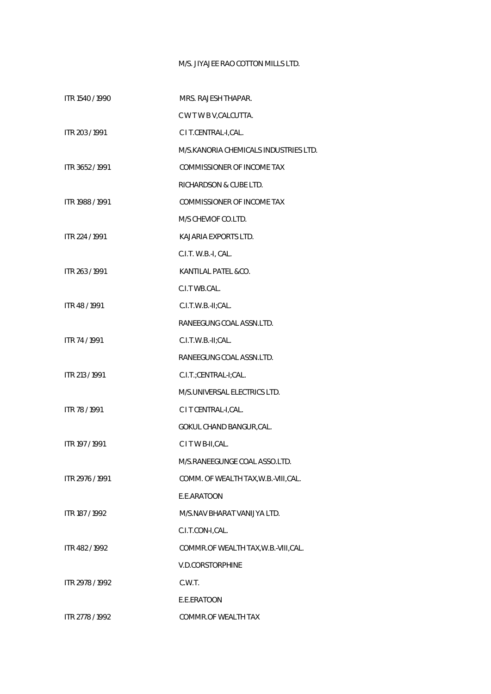## M/S. JIYAJEE RAO COTTON MILLS LTD.

| ITR 1540 / 1990 | MRS. RAJESH THAPAR.                    |
|-----------------|----------------------------------------|
|                 | C W T W B V, CALCUTTA.                 |
| ITR 203 / 1991  | C I T.CENTRAL-I,CAL.                   |
|                 | M/S. KANORIA CHEMICALS INDUSTRIES LTD. |
| ITR 3652/1991   | COMMISSIONER OF INCOME TAX             |
|                 | RICHARDSON & CUBE LTD.                 |
| ITR 1988 / 1991 | COMMISSIONER OF INCOME TAX             |
|                 | M/S CHEVIOF CO.LTD.                    |
| ITR 224 / 1991  | KAJARIA EXPORTS LTD.                   |
|                 | C.I.T. W.B.-I, CAL.                    |
| ITR 263 / 1991  | KANTILAL PATEL & CO.                   |
|                 | C.I.T WB.CAL.                          |
| ITR 48 / 1991   | C.I.T.W.B.-II;CAL.                     |
|                 | RANEEGUNG COAL ASSN.LTD.               |
| ITR 74 / 1991   | C.I.T.W.B.-II;CAL.                     |
|                 | RANEEGUNG COAL ASSN.LTD.               |
| ITR 213 / 1991  | C.I.T.;CENTRAL-I;CAL.                  |
|                 | M/S.UNIVERSAL ELECTRICS LTD.           |
| ITR 78 / 1991   | C I T CENTRAL-I, CAL.                  |
|                 | GOKUL CHAND BANGUR, CAL.               |
| ITR 197 / 1991  | CITWB-II, CAL.                         |
|                 | M/S.RANEEGUNGE COAL ASSO.LTD.          |
| ITR 2976 / 1991 | COMM. OF WEALTH TAX, W.B.-VIII, CAL.   |
|                 | E.E.ARATOON                            |
| ITR 187 / 1992  | M/S.NAV BHARAT VANLIYA LTD.            |
|                 | C.I.T.CON-I,CAL.                       |
| ITR 482/1992    | COMMR.OF WEALTH TAX, W.B.-VIII, CAL.   |
|                 | V.D.CORSTORPHINE                       |
| ITR 2978 / 1992 | C.W.T.                                 |
|                 | E.E.ERATOON                            |
| ITR 2778 / 1992 | COMMR.OF WEALTH TAX                    |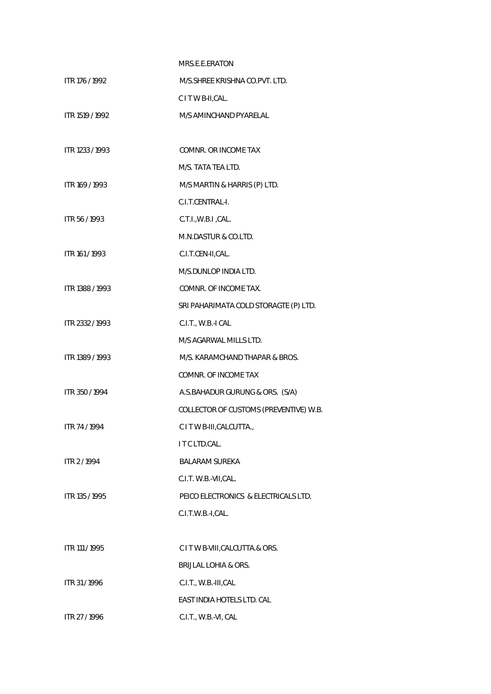|                 | MRS.E.E.ERATON                         |
|-----------------|----------------------------------------|
| ITR 176 / 1992  | M/S.SHREE KRISHNA CO.PVT. LTD.         |
|                 | CITWB-II, CAL.                         |
| ITR 1519 / 1992 | M/S AMINCHAND PYARELAL                 |
|                 |                                        |
| ITR 1233 / 1993 | COMNR. OR INCOME TAX                   |
|                 | M/S. TATA TEA LTD.                     |
| ITR 169 / 1993  | M/S MARTIN & HARRIS (P) LTD.           |
|                 | C.I.T.CENTRAL-I.                       |
| ITR 56 / 1993   | C.T.I., W.B.I., CAL.                   |
|                 | M.N.DASTUR & CO.LTD.                   |
| ITR 161 / 1993  | C.I.T.CEN-II,CAL.                      |
|                 | M/S.DUNLOP INDIA LTD.                  |
| ITR 1388 / 1993 | COMNR. OF INCOME TAX.                  |
|                 | SRI PAHARIMATA COLD STORAGTE (P) LTD.  |
| ITR 2332 / 1993 | C.I.T., W.B.-I CAL                     |
|                 | M/S AGARWAL MILLS LTD.                 |
| ITR 1389 / 1993 | M/S. KARAMCHAND THAPAR & BROS.         |
|                 | COMNR. OF INCOME TAX                   |
| ITR 350 / 1994  | A.S.BAHADUR GURUNG & ORS. (S/A)        |
|                 | COLLECTOR OF CUSTOMS (PREVENTIVE) W.B. |
| ITR 74 / 1994   | C I T W B-III, CALCUTTA.,              |
|                 | I T C LTD.CAL.                         |
| ITR 2 / 1994    | <b>BALARAM SUREKA</b>                  |
|                 | C.I.T. W.B.-VII, CAL.                  |
| ITR 135 / 1995  | PEICO ELECTRONICS & ELECTRICALS LTD.   |
|                 | C.I.T.W.B.-I,CAL.                      |
|                 |                                        |
| ITR 111 / 1995  | C I T W B-VIII, CALCUTTA.& ORS.        |
|                 | <b>BRIJLAL LOHIA &amp; ORS.</b>        |
| ITR 31/1996     | C.I.T., W.B.-III, CAL                  |
|                 | EAST INDIA HOTELS LTD. CAL             |
| ITR 27 / 1996   | C.I.T., W.B.-VI, CAL                   |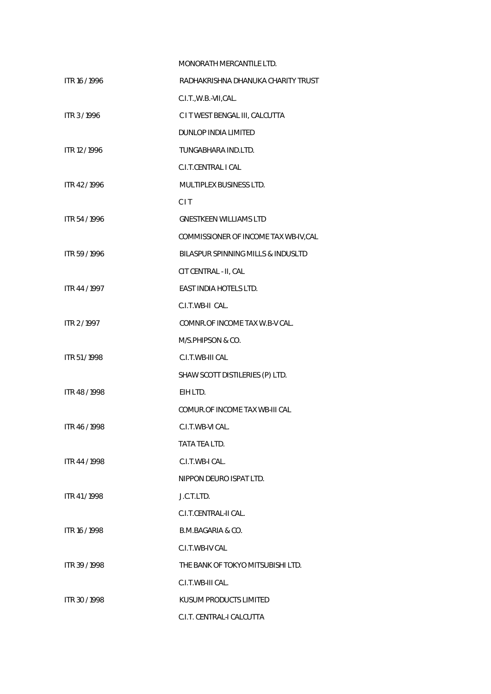|               | MONORATH MERCANTILE LTD.              |
|---------------|---------------------------------------|
| ITR 16 / 1996 | RADHAKRISHNA DHANUKA CHARITY TRUST    |
|               | C.I.T., W.B.-VII, CAL.                |
| ITR 3/1996    | C I T WEST BENGAL III, CALCUTTA       |
|               | DUNLOP INDIA LIMITED                  |
| ITR 12 / 1996 | TUNGABHARA IND.LTD.                   |
|               | C.I.T.CENTRAL I CAL                   |
| ITR 42/1996   | MULTIPLEX BUSINESS LTD.               |
|               | <b>CIT</b>                            |
| ITR 54/1996   | <b>GNESTKEEN WILLIAMS LTD</b>         |
|               | COMMISSIONER OF INCOME TAX WB-IV, CAL |
| ITR 59/1996   | BILASPUR SPINNING MILLS & INDUSLTD    |
|               | CIT CENTRAL - II, CAL                 |
| ITR 44 / 1997 | <b>EAST INDIA HOTELS LTD.</b>         |
|               | C.I.T.WB-II CAL.                      |
| ITR 2/1997    | COMNR.OF INCOME TAX W.B-V CAL.        |
|               | M/S.PHIPSON & CO.                     |
| ITR 51/1998   | C.I.T.WB-III CAL                      |
|               | SHAW SCOTT DISTILERIES (P) LTD.       |
| ITR 48 / 1998 | EIH LTD.                              |
|               | COMUR.OF INCOME TAX WB-III CAL        |
| ITR 46/1998   | C.I.T.WB-VI CAL.                      |
|               | TATA TEA LTD.                         |
| ITR 44 / 1998 | C.I.T.WB-I CAL.                       |
|               | NIPPON DEURO ISPAT LTD.               |
| ITR 41/1998   | J.C.T.LTD.                            |
|               | C.I.T.CENTRAL-II CAL.                 |
| ITR 16 / 1998 | B.M.BAGARIA & CO.                     |
|               | C.I.T.WB-IV CAL                       |
| ITR 39/1998   | THE BANK OF TOKYO MITSUBISHI LTD.     |
|               | C.I.T.WB-III CAL.                     |
| ITR 30/1998   | KUSUM PRODUCTS LIMITED                |
|               | C.I.T. CENTRAL-I CALCUTTA             |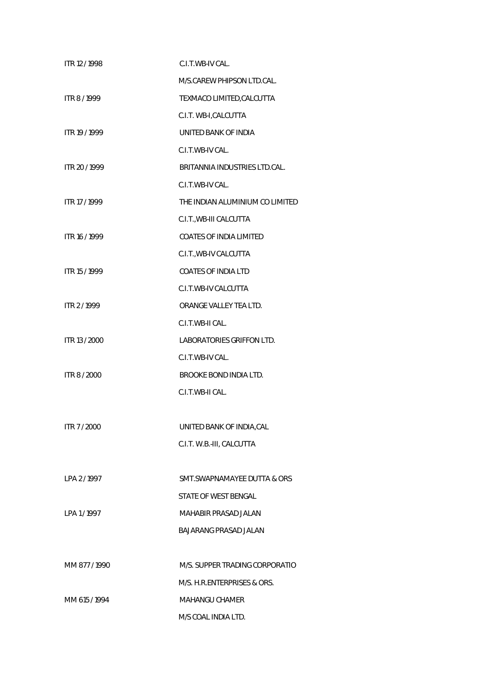| ITR 12 / 1998 | C.I.T.WB-IV CAL.                |
|---------------|---------------------------------|
|               | M/S.CAREW PHIPSON LTD.CAL.      |
| ITR 8/1999    | TEXMACO LIMITED, CALCUTTA       |
|               | C.I.T. WB-I, CALCUTTA           |
| ITR 19 / 1999 | UNITED BANK OF INDIA            |
|               | C.I.T.WB-IV CAL.                |
| ITR 20 / 1999 | BRITANNIA INDUSTRIES LTD.CAL.   |
|               | C.I.T.WB-IV CAL.                |
| ITR 17 / 1999 | THE INDIAN ALUMINIUM CO LIMITED |
|               | C.I.T., WB-III CALCUTTA         |
| ITR 16 / 1999 | <b>COATES OF INDIA LIMITED</b>  |
|               | C.I.T., WB-IV CALCUTTA          |
| ITR 15 / 1999 | <b>COATES OF INDIA LTD</b>      |
|               | C.I.T.WB-IV CALCUTTA            |
| ITR 2/1999    | ORANGE VALLEY TEA LTD.          |
|               | C.I.T.WB-II CAL.                |
| ITR 13 / 2000 | LABORATORIES GRIFFON LTD.       |
|               | C.I.T.WB-IV CAL.                |
| ITR 8 / 2000  | BROOKE BOND INDIA LTD.          |
|               | C.I.T.WB-II CAL.                |
|               |                                 |
| ITR 7 / 2000  | UNITED BANK OF INDIA, CAL       |
|               | C.I.T. W.B.-III, CALCUTTA       |
|               |                                 |
| LPA 2/1997    | SMT. SWAPNAMAYEE DUTTA & ORS    |
|               | STATE OF WEST BENGAL            |
| LPA 1/1997    | MAHABIR PRASAD JALAN            |
|               | <b>BAJARANG PRASAD JALAN</b>    |
|               |                                 |
| MM 877/1990   | M/S. SUPPER TRADING CORPORATIO  |
|               | M/S. H.R.ENTERPRISES & ORS.     |
| MM 615/1994   | <b>MAHANGU CHAMER</b>           |
|               | M/S COAL INDIA LTD.             |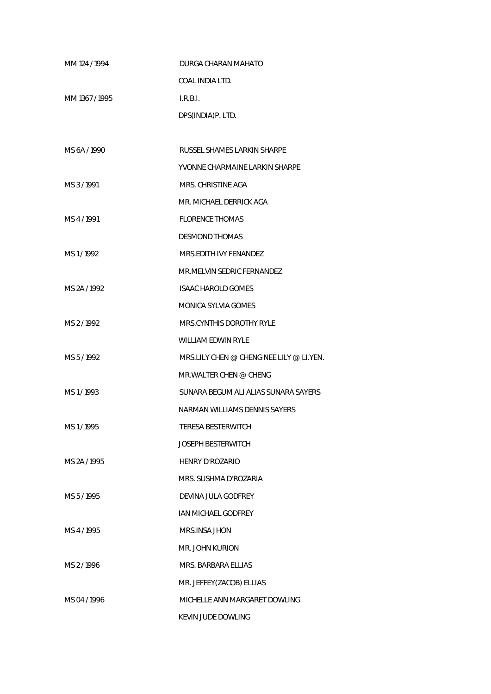| MM 124 / 1994 | DURGA CHARAN MAHATO                      |
|---------------|------------------------------------------|
|               | COAL INDIA LTD.                          |
| MM 1367/1995  | LRBL                                     |
|               | DPS(INDIA)P. LTD.                        |
|               |                                          |
| MS 6A / 1990  | RUSSEL SHAMES LARKIN SHARPE              |
|               | YVONNE CHARMAINE LARKIN SHARPE           |
| MS 3/1991     | MRS. CHRISTINE AGA                       |
|               | MR. MICHAEL DERRICK AGA                  |
| MS 4/1991     | <b>FLORENCE THOMAS</b>                   |
|               | <b>DESMOND THOMAS</b>                    |
| MS1/1992      | MRS FDITH IVY FFNANDF7                   |
|               | MR.MELVIN SEDRIC FERNANDEZ               |
| MS 2A / 1992  | <b>ISAAC HAROLD GOMES</b>                |
|               | MONICA SYLVIA GOMES                      |
| MS 2/1992     | MRS.CYNTHIS DOROTHY RYLE                 |
|               | <b>WILLIAM EDWIN RYLE</b>                |
| MS 5/1992     | MRS.LILY CHEN @ CHENG NEE LILY @ LI.YEN. |
|               | MR WAI TER CHEN @ CHENG                  |
| MS1/1993      | SUNARA BEGUM ALI ALIAS SUNARA SAYERS     |
|               | NARMAN WILLIAMS DENNIS SAYERS            |
| MS1/1995      | <b>TERESA BESTERWITCH</b>                |
|               | <b>JOSEPH BESTERWITCH</b>                |
| MS 2A / 1995  | HENRY D'ROZARIO                          |
|               | MRS. SUSHMA D'ROZARIA                    |
| MS 5/1995     | DEVINA JULA GODFREY                      |
|               | IAN MICHAEL GODFREY                      |
| MS 4/1995     | MRS.INSA JHON                            |
|               | MR. JOHN KURION                          |
| MS 2/1996     | MRS. BARBARA ELLIAS                      |
|               | MR. JEFFEY(ZACOB) ELLIAS                 |
| MS 04/1996    | MICHELLE ANN MARGARET DOWLING            |
|               | KEVIN JUDE DOWLING                       |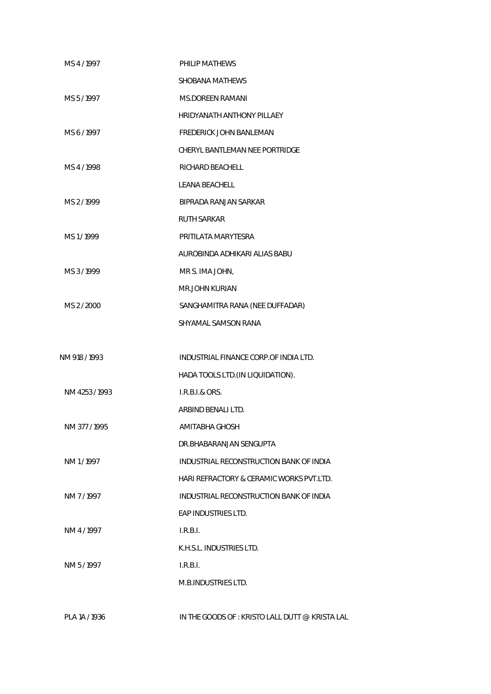| MS 4/1997     | PHILIP MATHEWS                                 |
|---------------|------------------------------------------------|
|               | SHOBANA MATHEWS                                |
| MS 5/1997     | <b>MS.DOREEN RAMANI</b>                        |
|               | <b>HRIDYANATH ANTHONY PILLAEY</b>              |
| MS 6/1997     | <b>FREDERICK JOHN BANLEMAN</b>                 |
|               | CHERYL BANTLEMAN NEE PORTRIDGE                 |
| MS4/1998      | RICHARD BEACHELL                               |
|               | <b>LEANA BEACHELL</b>                          |
| MS 2/1999     | BIPRADA RANJAN SARKAR                          |
|               | <b>RUTH SARKAR</b>                             |
| MS1/1999      | PRITILATA MARYTESRA                            |
|               | AUROBINDA ADHIKARI ALIAS BABU                  |
| MS 3/1999     | MR S. IMA JOHN,                                |
|               | <b>MR.JOHN KURIAN</b>                          |
| MS 2 / 2000   | SANGHAMITRA RANA (NEE DUFFADAR)                |
|               | SHYAMAL SAMSON RANA                            |
|               |                                                |
| NM 918 / 1993 | INDUSTRIAL FINANCE CORP.OF INDIA LTD.          |
|               | HADA TOOLS LTD. (IN LIQUIDATION).              |
| NM 4253/1993  | <b>I.R.B.I.&amp; ORS.</b>                      |
|               | ARBIND BENALI LTD.                             |
| NM 377 / 1995 | AMITABHA GHOSH                                 |
|               | DR.BHABARANJAN SENGUPTA                        |
| NM 1/1997     | INDUSTRIAL RECONSTRUCTION BANK OF INDIA        |
|               | HARI REFRACTORY & CERAMIC WORKS PVT.LTD.       |
| NM 7/1997     | INDUSTRIAL RECONSTRUCTION BANK OF INDIA        |
|               | EAP INDUSTRIES LTD.                            |
| NM 4/1997     | I.R.B.I.                                       |
|               | K.H.S.L. INDUSTRIES LTD.                       |
| NM 5/1997     | I.R.B.I.                                       |
|               | M.B.INDUSTRIES LTD.                            |
| PLA 1A / 1936 | IN THE GOODS OF: KRISTO LALL DUTT @ KRISTA LAL |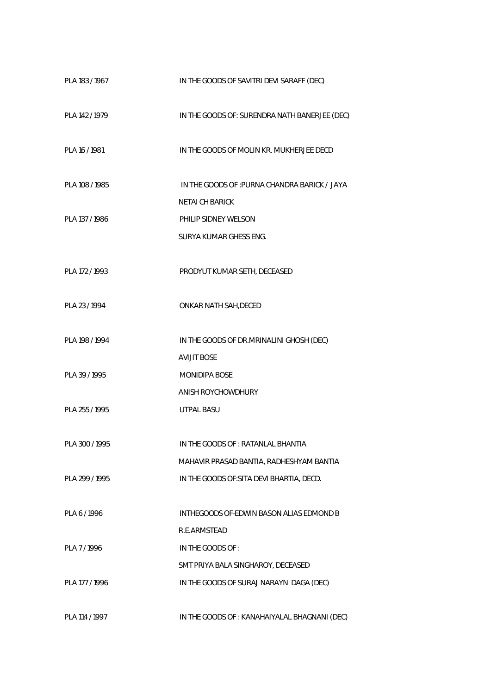| PLA 183 / 1967 | IN THE GOODS OF SAVITRI DEVI SARAFF (DEC)     |
|----------------|-----------------------------------------------|
| PLA 142 / 1979 | IN THE GOODS OF: SURENDRA NATH BANERJEE (DEC) |
| PLA 16 / 1981  | IN THE GOODS OF MOLIN KR. MUKHERJEE DECD      |
| PLA 108 / 1985 | IN THE GOODS OF : PURNA CHANDRA BARICK / JAYA |
|                | <b>NETAI CH BARICK</b>                        |
| PLA 137 / 1986 | PHILIP SIDNEY WELSON                          |
|                | SURYA KUMAR GHESS ENG.                        |
| PLA 172 / 1993 | PRODYUT KUMAR SETH, DECEASED                  |
| PLA 23 / 1994  | ONKAR NATH SAH, DECED                         |
| PLA 198 / 1994 | IN THE GOODS OF DR.MRINALINI GHOSH (DEC)      |
|                | <b>AVIJIT BOSE</b>                            |
| PLA 39 / 1995  | MONIDIPA BOSE                                 |
|                | ANISH ROYCHOWDHURY                            |
| PLA 255 / 1995 | <b>UTPAL BASU</b>                             |
|                |                                               |
| PLA 300 / 1995 | IN THE GOODS OF: RATANLAL BHANTIA             |
|                | MAHAVIR PRASAD BANTIA, RADHESHYAM BANTIA      |
| PLA 299 / 1995 | IN THE GOODS OF: SITA DEVI BHARTIA, DECD.     |
|                |                                               |
| PI A 6/1996    | INTHEGOODS OF-EDWIN BASON ALIAS EDMOND B      |
|                | R.E.ARMSTEAD                                  |
| PLA 7/1996     | IN THE GOODS OF :                             |
|                | SMT PRIYA BALA SINGHAROY, DECEASED            |
| PLA 177 / 1996 | IN THE GOODS OF SURAJ NARAYN DAGA (DEC)       |
|                |                                               |
| PLA 114 / 1997 | IN THE GOODS OF : KANAHAIYALAL BHAGNANI (DEC) |